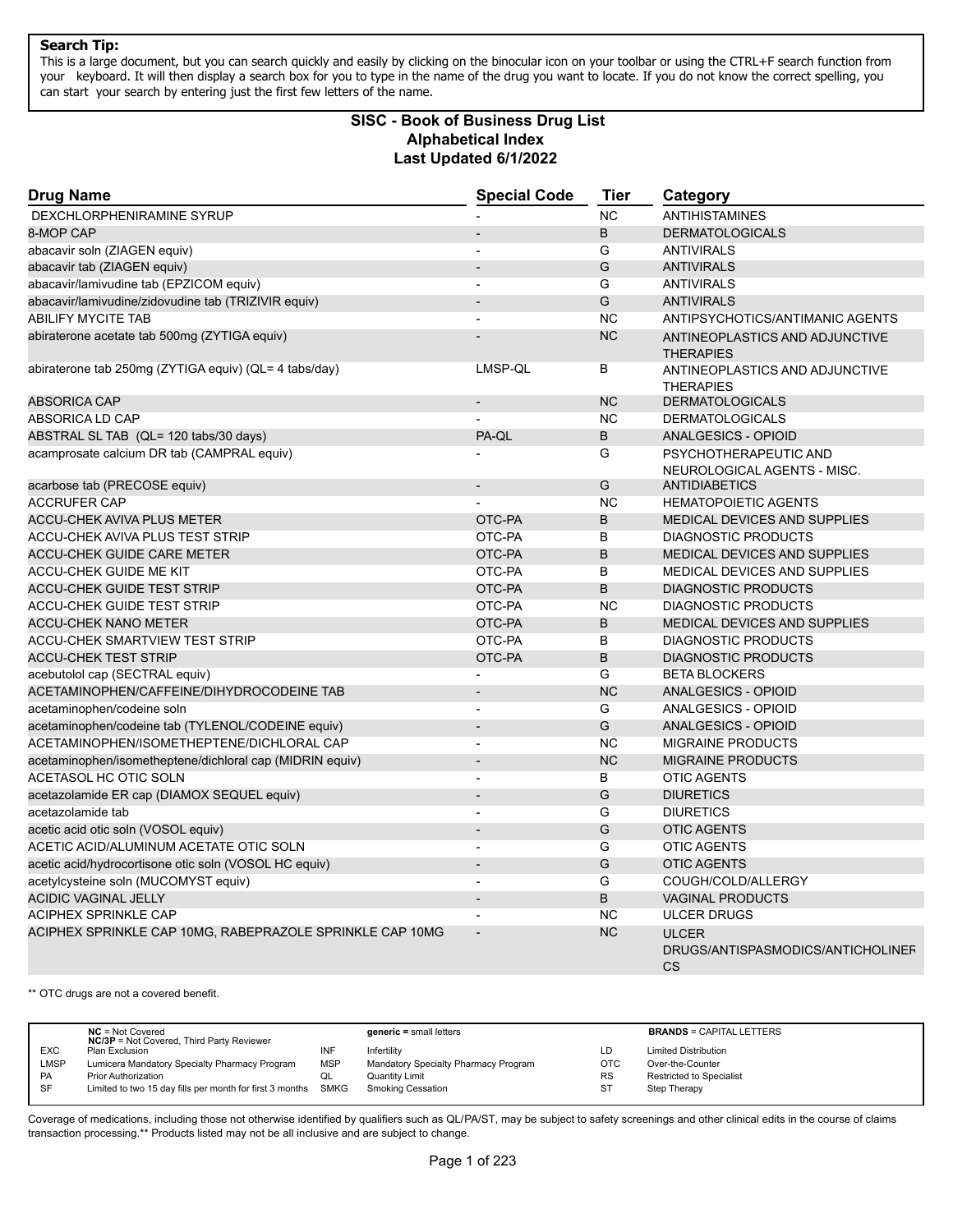This is a large document, but you can search quickly and easily by clicking on the binocular icon on your toolbar or using the CTRL+F search function from your keyboard. It will then display a search box for you to type in the name of the drug you want to locate. If you do not know the correct spelling, you can start your search by entering just the first few letters of the name.

# **Alphabetical Index Last Updated 6/1/2022 SISC - Book of Business Drug List**

| <b>Drug Name</b>                                         | <b>Special Code</b>      | <b>Tier</b> | Category                                                       |
|----------------------------------------------------------|--------------------------|-------------|----------------------------------------------------------------|
| DEXCHLORPHENIRAMINE SYRUP                                |                          | <b>NC</b>   | <b>ANTIHISTAMINES</b>                                          |
| 8-MOP CAP                                                |                          | B           | <b>DERMATOLOGICALS</b>                                         |
| abacavir soln (ZIAGEN equiv)                             | L,                       | G           | <b>ANTIVIRALS</b>                                              |
| abacavir tab (ZIAGEN equiv)                              |                          | G           | <b>ANTIVIRALS</b>                                              |
| abacavir/lamivudine tab (EPZICOM equiv)                  | $\overline{\phantom{a}}$ | G           | <b>ANTIVIRALS</b>                                              |
| abacavir/lamivudine/zidovudine tab (TRIZIVIR equiv)      |                          | G           | <b>ANTIVIRALS</b>                                              |
| <b>ABILIFY MYCITE TAB</b>                                | ÷,                       | <b>NC</b>   | ANTIPSYCHOTICS/ANTIMANIC AGENTS                                |
| abiraterone acetate tab 500mg (ZYTIGA equiv)             |                          | <b>NC</b>   | ANTINEOPLASTICS AND ADJUNCTIVE<br><b>THERAPIES</b>             |
| abiraterone tab 250mg (ZYTIGA equiv) (QL= 4 tabs/day)    | LMSP-QL                  | B           | ANTINEOPLASTICS AND ADJUNCTIVE<br><b>THERAPIES</b>             |
| <b>ABSORICA CAP</b>                                      |                          | <b>NC</b>   | <b>DERMATOLOGICALS</b>                                         |
| ABSORICA LD CAP                                          |                          | <b>NC</b>   | <b>DERMATOLOGICALS</b>                                         |
| ABSTRAL SL TAB (QL= 120 tabs/30 days)                    | PA-QL                    | B           | <b>ANALGESICS - OPIOID</b>                                     |
| acamprosate calcium DR tab (CAMPRAL equiv)               |                          | G           | PSYCHOTHERAPEUTIC AND<br>NEUROLOGICAL AGENTS - MISC.           |
| acarbose tab (PRECOSE equiv)                             | $\overline{a}$           | G           | <b>ANTIDIABETICS</b>                                           |
| <b>ACCRUFER CAP</b>                                      | $\overline{a}$           | <b>NC</b>   | <b>HEMATOPOIETIC AGENTS</b>                                    |
| <b>ACCU-CHEK AVIVA PLUS METER</b>                        | OTC-PA                   | $\sf B$     | MEDICAL DEVICES AND SUPPLIES                                   |
| ACCU-CHEK AVIVA PLUS TEST STRIP                          | OTC-PA                   | B           | <b>DIAGNOSTIC PRODUCTS</b>                                     |
| <b>ACCU-CHEK GUIDE CARE METER</b>                        | OTC-PA                   | B           | MEDICAL DEVICES AND SUPPLIES                                   |
| <b>ACCU-CHEK GUIDE ME KIT</b>                            | OTC-PA                   | B           | <b>MEDICAL DEVICES AND SUPPLIES</b>                            |
| <b>ACCU-CHEK GUIDE TEST STRIP</b>                        | OTC-PA                   | B           | <b>DIAGNOSTIC PRODUCTS</b>                                     |
| <b>ACCU-CHEK GUIDE TEST STRIP</b>                        | OTC-PA                   | <b>NC</b>   | <b>DIAGNOSTIC PRODUCTS</b>                                     |
| <b>ACCU-CHEK NANO METER</b>                              | OTC-PA                   | B           | MEDICAL DEVICES AND SUPPLIES                                   |
| <b>ACCU-CHEK SMARTVIEW TEST STRIP</b>                    | OTC-PA                   | B           | <b>DIAGNOSTIC PRODUCTS</b>                                     |
| <b>ACCU-CHEK TEST STRIP</b>                              | OTC-PA                   | $\sf B$     | <b>DIAGNOSTIC PRODUCTS</b>                                     |
| acebutolol cap (SECTRAL equiv)                           |                          | G           | <b>BETA BLOCKERS</b>                                           |
| ACETAMINOPHEN/CAFFEINE/DIHYDROCODEINE TAB                |                          | <b>NC</b>   | ANALGESICS - OPIOID                                            |
| acetaminophen/codeine soln                               |                          | G           | ANALGESICS - OPIOID                                            |
| acetaminophen/codeine tab (TYLENOL/CODEINE equiv)        |                          | G           | <b>ANALGESICS - OPIOID</b>                                     |
| ACETAMINOPHEN/ISOMETHEPTENE/DICHLORAL CAP                |                          | <b>NC</b>   | <b>MIGRAINE PRODUCTS</b>                                       |
| acetaminophen/isometheptene/dichloral cap (MIDRIN equiv) | $\overline{a}$           | <b>NC</b>   | <b>MIGRAINE PRODUCTS</b>                                       |
| ACETASOL HC OTIC SOLN                                    | ÷,                       | B           | <b>OTIC AGENTS</b>                                             |
| acetazolamide ER cap (DIAMOX SEQUEL equiv)               | $\overline{a}$           | G           | <b>DIURETICS</b>                                               |
| acetazolamide tab                                        |                          | G           | <b>DIURETICS</b>                                               |
| acetic acid otic soln (VOSOL equiv)                      | $\overline{a}$           | G           | <b>OTIC AGENTS</b>                                             |
| ACETIC ACID/ALUMINUM ACETATE OTIC SOLN                   | $\overline{\phantom{a}}$ | G           | <b>OTIC AGENTS</b>                                             |
| acetic acid/hydrocortisone otic soln (VOSOL HC equiv)    | $\overline{a}$           | G           | <b>OTIC AGENTS</b>                                             |
| acetylcysteine soln (MUCOMYST equiv)                     |                          | G           | COUGH/COLD/ALLERGY                                             |
| <b>ACIDIC VAGINAL JELLY</b>                              | $\overline{\phantom{a}}$ | B           | <b>VAGINAL PRODUCTS</b>                                        |
| <b>ACIPHEX SPRINKLE CAP</b>                              |                          | <b>NC</b>   | <b>ULCER DRUGS</b>                                             |
| ACIPHEX SPRINKLE CAP 10MG, RABEPRAZOLE SPRINKLE CAP 10MG |                          | <b>NC</b>   | <b>ULCER</b><br>DRUGS/ANTISPASMODICS/ANTICHOLINEF<br><b>CS</b> |

\*\* OTC drugs are not a covered benefit.

|           | $NC = Not Covered$<br><b>NC/3P</b> = Not Covered, Third Party Reviewer |            | $generic = small letters$            |           | <b>BRANDS = CAPITAL LETTERS</b> |
|-----------|------------------------------------------------------------------------|------------|--------------------------------------|-----------|---------------------------------|
| EXC       | Plan Exclusion                                                         |            | Infertility                          | LD        | <b>Limited Distribution</b>     |
| LMSP      | Lumicera Mandatory Specialty Pharmacy Program                          | <b>MSP</b> | Mandatory Specialty Pharmacy Program | OTC       | Over-the-Counter                |
| <b>PA</b> | <b>Prior Authorization</b>                                             | QL         | Quantity Limit                       | <b>RS</b> | Restricted to Specialist        |
| <b>SF</b> | Limited to two 15 day fills per month for first 3 months               | SMKG       | <b>Smoking Cessation</b>             | -ST       | Step Therapy                    |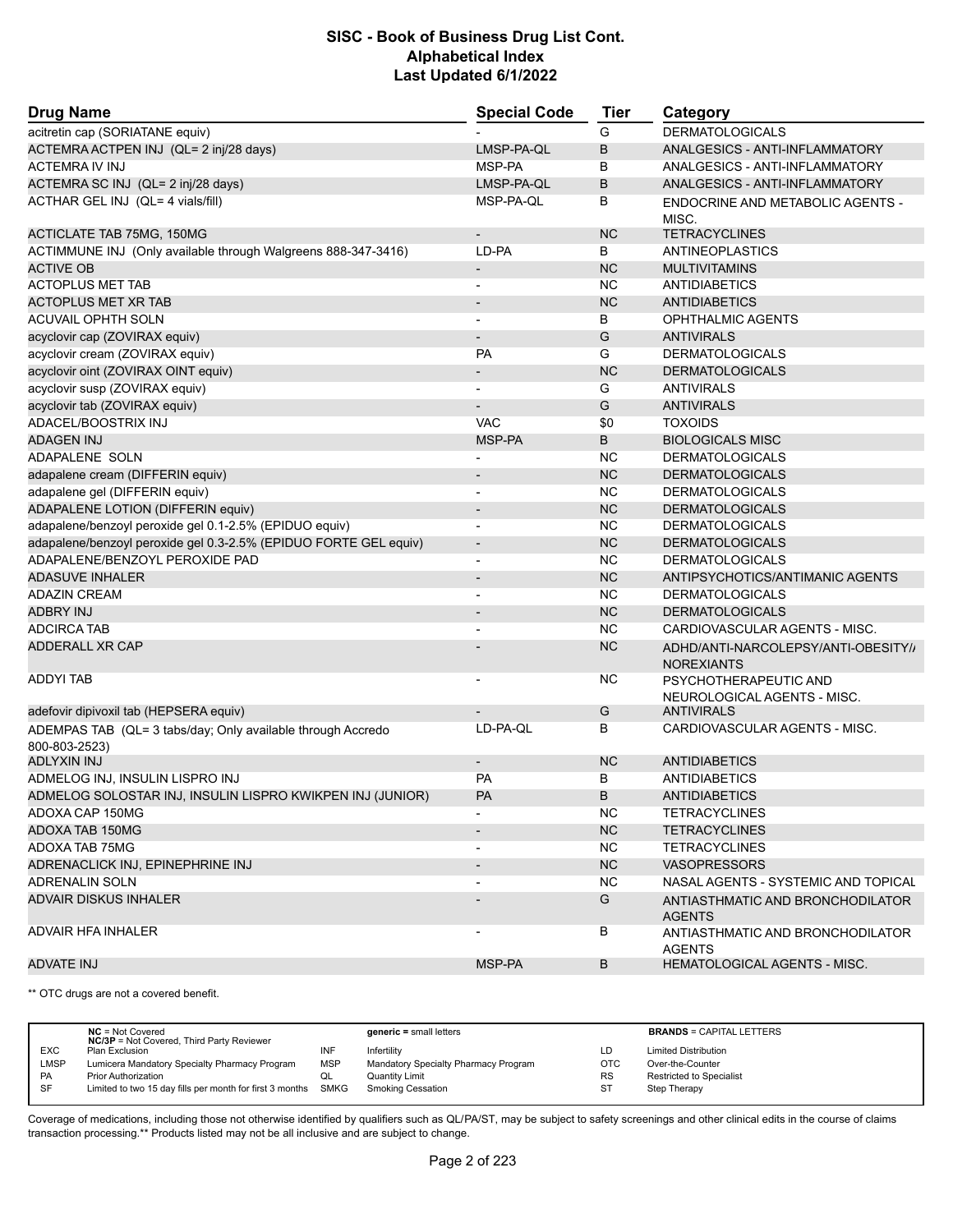| <b>Drug Name</b>                                                             | <b>Special Code</b>      | Tier      | Category                                                 |
|------------------------------------------------------------------------------|--------------------------|-----------|----------------------------------------------------------|
| acitretin cap (SORIATANE equiv)                                              |                          | G         | <b>DERMATOLOGICALS</b>                                   |
| ACTEMRA ACTPEN INJ (QL= 2 inj/28 days)                                       | LMSP-PA-QL               | B         | ANALGESICS - ANTI-INFLAMMATORY                           |
| ACTEMRA IV INJ                                                               | MSP-PA                   | в         | ANALGESICS - ANTI-INFLAMMATORY                           |
| ACTEMRA SC INJ (QL= 2 inj/28 days)                                           | LMSP-PA-QL               | B         | ANALGESICS - ANTI-INFLAMMATORY                           |
| ACTHAR GEL INJ (QL= 4 vials/fill)                                            | MSP-PA-QL                | B         | ENDOCRINE AND METABOLIC AGENTS -<br>MISC.                |
| <b>ACTICLATE TAB 75MG, 150MG</b>                                             |                          | <b>NC</b> | <b>TETRACYCLINES</b>                                     |
| ACTIMMUNE INJ (Only available through Walgreens 888-347-3416)                | LD-PA                    | В         | ANTINEOPLASTICS                                          |
| <b>ACTIVE OB</b>                                                             | $\overline{\phantom{a}}$ | <b>NC</b> | <b>MULTIVITAMINS</b>                                     |
| <b>ACTOPLUS MET TAB</b>                                                      | $\overline{\phantom{a}}$ | <b>NC</b> | <b>ANTIDIABETICS</b>                                     |
| <b>ACTOPLUS MET XR TAB</b>                                                   |                          | <b>NC</b> | <b>ANTIDIABETICS</b>                                     |
| <b>ACUVAIL OPHTH SOLN</b>                                                    |                          | B         | <b>OPHTHALMIC AGENTS</b>                                 |
| acyclovir cap (ZOVIRAX equiv)                                                | $\overline{\phantom{a}}$ | G         | <b>ANTIVIRALS</b>                                        |
| acyclovir cream (ZOVIRAX equiv)                                              | <b>PA</b>                | G         | <b>DERMATOLOGICALS</b>                                   |
| acyclovir oint (ZOVIRAX OINT equiv)                                          |                          | <b>NC</b> | <b>DERMATOLOGICALS</b>                                   |
| acyclovir susp (ZOVIRAX equiv)                                               |                          | G         | <b>ANTIVIRALS</b>                                        |
| acyclovir tab (ZOVIRAX equiv)                                                |                          | G         | <b>ANTIVIRALS</b>                                        |
| ADACEL/BOOSTRIX INJ                                                          | <b>VAC</b>               | \$0       | <b>TOXOIDS</b>                                           |
| <b>ADAGEN INJ</b>                                                            | MSP-PA                   | B         | <b>BIOLOGICALS MISC</b>                                  |
| ADAPALENE SOLN                                                               |                          | <b>NC</b> | <b>DERMATOLOGICALS</b>                                   |
| adapalene cream (DIFFERIN equiv)                                             |                          | <b>NC</b> | <b>DERMATOLOGICALS</b>                                   |
| adapalene gel (DIFFERIN equiv)                                               | $\overline{\phantom{a}}$ | <b>NC</b> | <b>DERMATOLOGICALS</b>                                   |
| ADAPALENE LOTION (DIFFERIN equiv)                                            |                          | <b>NC</b> | <b>DERMATOLOGICALS</b>                                   |
| adapalene/benzoyl peroxide gel 0.1-2.5% (EPIDUO equiv)                       |                          | <b>NC</b> | <b>DERMATOLOGICALS</b>                                   |
| adapalene/benzoyl peroxide gel 0.3-2.5% (EPIDUO FORTE GEL equiv)             | $\overline{\phantom{a}}$ | <b>NC</b> | <b>DERMATOLOGICALS</b>                                   |
| ADAPALENE/BENZOYL PEROXIDE PAD                                               |                          | <b>NC</b> | <b>DERMATOLOGICALS</b>                                   |
| <b>ADASUVE INHALER</b>                                                       |                          | <b>NC</b> | ANTIPSYCHOTICS/ANTIMANIC AGENTS                          |
| <b>ADAZIN CREAM</b>                                                          | $\overline{\phantom{a}}$ | <b>NC</b> | <b>DERMATOLOGICALS</b>                                   |
| <b>ADBRY INJ</b>                                                             |                          | <b>NC</b> | <b>DERMATOLOGICALS</b>                                   |
| <b>ADCIRCA TAB</b>                                                           |                          | <b>NC</b> | CARDIOVASCULAR AGENTS - MISC.                            |
| <b>ADDERALL XR CAP</b>                                                       |                          | <b>NC</b> | ADHD/ANTI-NARCOLEPSY/ANTI-OBESITY//<br><b>NOREXIANTS</b> |
| <b>ADDYI TAB</b>                                                             |                          | <b>NC</b> | PSYCHOTHERAPEUTIC AND<br>NEUROLOGICAL AGENTS - MISC.     |
| adefovir dipivoxil tab (HEPSERA equiv)                                       |                          | G         | <b>ANTIVIRALS</b>                                        |
| ADEMPAS TAB (QL= 3 tabs/day; Only available through Accredo<br>800-803-2523) | LD-PA-QL                 | B         | CARDIOVASCULAR AGENTS - MISC.                            |
| ADLYXIN INJ<br>ADMELOG INJ, INSULIN LISPRO INJ                               | $\overline{\phantom{a}}$ | <b>NC</b> | <b>ANTIDIABETICS</b>                                     |
|                                                                              | <b>PA</b>                | В<br>B    | <b>ANTIDIABETICS</b>                                     |
| ADMELOG SOLOSTAR INJ, INSULIN LISPRO KWIKPEN INJ (JUNIOR)                    | PA                       |           | ANTIDIABETICS                                            |
| ADOXA CAP 150MG                                                              |                          | NC.       | <b>TETRACYCLINES</b>                                     |
| <b>ADOXA TAB 150MG</b>                                                       |                          | <b>NC</b> | <b>TETRACYCLINES</b>                                     |
| ADOXA TAB 75MG                                                               |                          | <b>NC</b> | <b>TETRACYCLINES</b>                                     |
| ADRENACLICK INJ, EPINEPHRINE INJ                                             | $\overline{\phantom{a}}$ | <b>NC</b> | <b>VASOPRESSORS</b>                                      |
| <b>ADRENALIN SOLN</b>                                                        |                          | NC.       | NASAL AGENTS - SYSTEMIC AND TOPICAL                      |
| <b>ADVAIR DISKUS INHALER</b>                                                 |                          | G         | ANTIASTHMATIC AND BRONCHODILATOR<br><b>AGENTS</b>        |
| <b>ADVAIR HFA INHALER</b>                                                    |                          | В         | ANTIASTHMATIC AND BRONCHODILATOR<br><b>AGENTS</b>        |
| <b>ADVATE INJ</b>                                                            | MSP-PA                   | B         | <b>HEMATOLOGICAL AGENTS - MISC.</b>                      |

\*\* OTC drugs are not a covered benefit.

|             | $NC = Not Covered$<br><b>NC/3P</b> = Not Covered, Third Party Reviewer |            | $generic = small letters$            |            | <b>BRANDS = CAPITAL LETTERS</b> |
|-------------|------------------------------------------------------------------------|------------|--------------------------------------|------------|---------------------------------|
| <b>EXC</b>  | Plan Exclusion                                                         | INF        | Infertility                          | LD         | <b>Limited Distribution</b>     |
| <b>LMSP</b> | Lumicera Mandatory Specialty Pharmacy Program                          | <b>MSP</b> | Mandatory Specialty Pharmacy Program | <b>OTC</b> | Over-the-Counter                |
| PA          | Prior Authorization                                                    | QL         | <b>Quantity Limit</b>                | <b>RS</b>  | Restricted to Specialist        |
| SF          | Limited to two 15 day fills per month for first 3 months SMKG          |            | <b>Smoking Cessation</b>             | ST         | Step Therapy                    |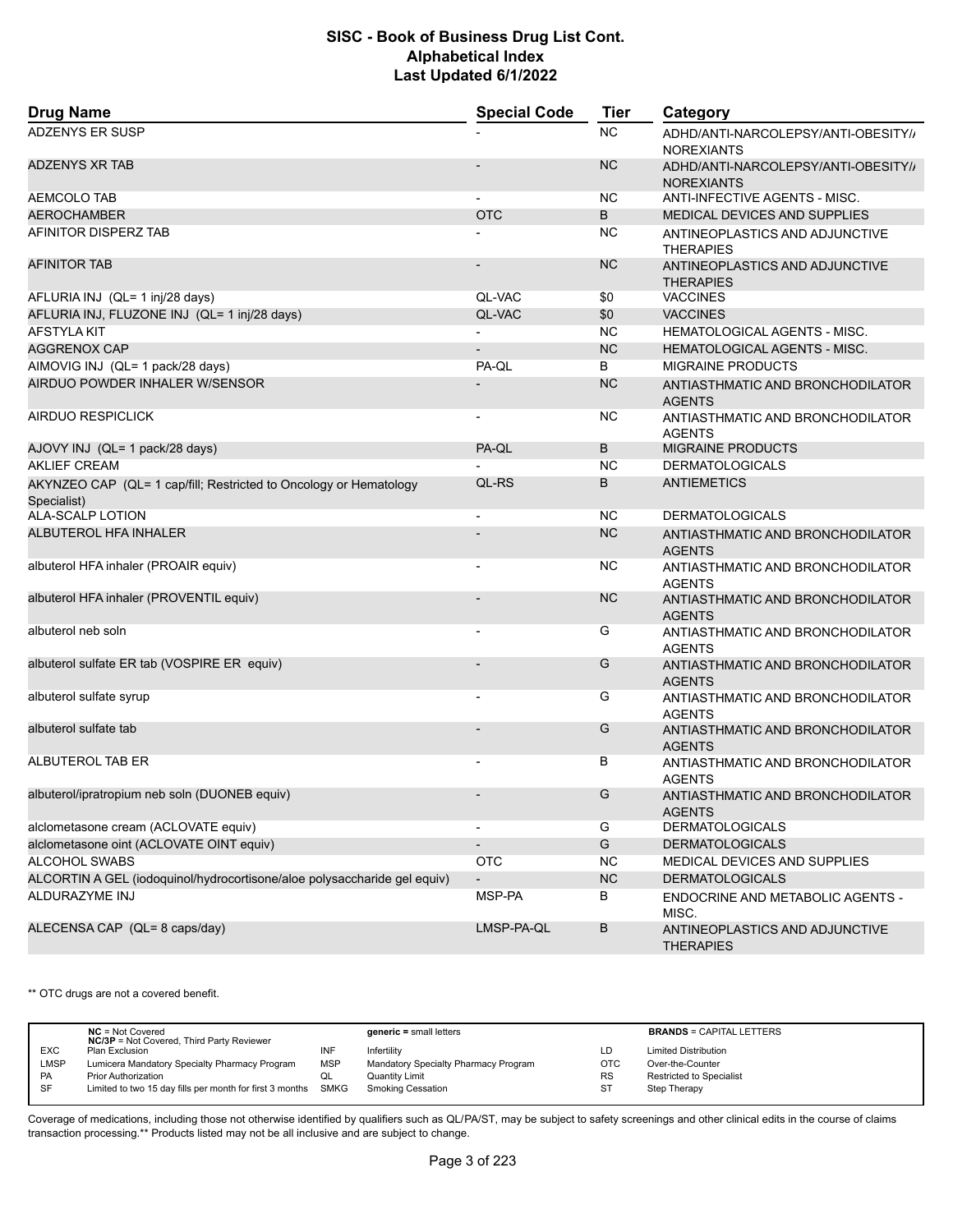| <b>Drug Name</b>                                                                 | <b>Special Code</b>          | <b>Tier</b> | Category                                                 |  |
|----------------------------------------------------------------------------------|------------------------------|-------------|----------------------------------------------------------|--|
| <b>ADZENYS ER SUSP</b>                                                           |                              | <b>NC</b>   | ADHD/ANTI-NARCOLEPSY/ANTI-OBESITY//<br><b>NOREXIANTS</b> |  |
| <b>ADZENYS XR TAB</b>                                                            |                              | <b>NC</b>   | ADHD/ANTI-NARCOLEPSY/ANTI-OBESITY//<br><b>NOREXIANTS</b> |  |
| AEMCOLO TAB                                                                      |                              | NC          | ANTI-INFECTIVE AGENTS - MISC.                            |  |
| <b>AEROCHAMBER</b>                                                               | <b>OTC</b>                   | B           | MEDICAL DEVICES AND SUPPLIES                             |  |
| AFINITOR DISPERZ TAB                                                             |                              | NC          | ANTINEOPLASTICS AND ADJUNCTIVE<br><b>THERAPIES</b>       |  |
| <b>AFINITOR TAB</b>                                                              |                              | <b>NC</b>   | ANTINEOPLASTICS AND ADJUNCTIVE<br><b>THERAPIES</b>       |  |
| AFLURIA INJ (QL= 1 inj/28 days)                                                  | QL-VAC                       | \$0         | <b>VACCINES</b>                                          |  |
| AFLURIA INJ, FLUZONE INJ (QL= 1 inj/28 days)                                     | QL-VAC                       | \$0         | <b>VACCINES</b>                                          |  |
| <b>AFSTYLA KIT</b>                                                               |                              | <b>NC</b>   | HEMATOLOGICAL AGENTS - MISC.                             |  |
| <b>AGGRENOX CAP</b>                                                              |                              | <b>NC</b>   | HEMATOLOGICAL AGENTS - MISC.                             |  |
| AIMOVIG INJ (QL= 1 pack/28 days)                                                 | PA-QL                        | B           | <b>MIGRAINE PRODUCTS</b>                                 |  |
| AIRDUO POWDER INHALER W/SENSOR                                                   |                              | <b>NC</b>   | ANTIASTHMATIC AND BRONCHODILATOR<br><b>AGENTS</b>        |  |
| <b>AIRDUO RESPICLICK</b>                                                         | $\overline{a}$               | ΝC          | ANTIASTHMATIC AND BRONCHODILATOR<br><b>AGENTS</b>        |  |
| AJOVY INJ (QL= 1 pack/28 days)                                                   | PA-QL                        | B           | <b>MIGRAINE PRODUCTS</b>                                 |  |
| <b>AKLIEF CREAM</b>                                                              |                              | <b>NC</b>   | <b>DERMATOLOGICALS</b>                                   |  |
| AKYNZEO CAP (QL= 1 cap/fill; Restricted to Oncology or Hematology<br>Specialist) | QL-RS                        | B           | ANTIEMETICS                                              |  |
| ALA-SCALP LOTION                                                                 | $\overline{a}$               | <b>NC</b>   | <b>DERMATOLOGICALS</b>                                   |  |
| <b>ALBUTEROL HFA INHALER</b>                                                     |                              | <b>NC</b>   | ANTIASTHMATIC AND BRONCHODILATOR<br><b>AGENTS</b>        |  |
| albuterol HFA inhaler (PROAIR equiv)                                             | $\overline{\phantom{0}}$     | ΝC          | ANTIASTHMATIC AND BRONCHODILATOR<br><b>AGENTS</b>        |  |
| albuterol HFA inhaler (PROVENTIL equiv)                                          |                              | <b>NC</b>   | ANTIASTHMATIC AND BRONCHODILATOR<br><b>AGENTS</b>        |  |
| albuterol neb soln                                                               |                              | G           | ANTIASTHMATIC AND BRONCHODILATOR<br><b>AGENTS</b>        |  |
| albuterol sulfate ER tab (VOSPIRE ER equiv)                                      |                              | G           | ANTIASTHMATIC AND BRONCHODILATOR<br><b>AGENTS</b>        |  |
| albuterol sulfate syrup                                                          | $\qquad \qquad \blacksquare$ | G           | ANTIASTHMATIC AND BRONCHODILATOR<br><b>AGENTS</b>        |  |
| albuterol sulfate tab                                                            |                              | G           | ANTIASTHMATIC AND BRONCHODILATOR<br><b>AGENTS</b>        |  |
| ALBUTEROL TAB ER                                                                 |                              | В           | ANTIASTHMATIC AND BRONCHODILATOR<br><b>AGENTS</b>        |  |
| albuterol/ipratropium neb soln (DUONEB equiv)                                    |                              | G           | ANTIASTHMATIC AND BRONCHODILATOR<br><b>AGENTS</b>        |  |
| alclometasone cream (ACLOVATE equiv)                                             |                              | G           | <b>DERMATOLOGICALS</b>                                   |  |
| alclometasone oint (ACLOVATE OINT equiv)                                         |                              | G           | <b>DERMATOLOGICALS</b>                                   |  |
| ALCOHOL SWABS                                                                    | <b>OTC</b>                   | NC.         | MEDICAL DEVICES AND SUPPLIES                             |  |
| ALCORTIN A GEL (iodoquinol/hydrocortisone/aloe polysaccharide gel equiv)         | $\overline{\phantom{m}}$     | NC          | <b>DERMATOLOGICALS</b>                                   |  |
| ALDURAZYME INJ                                                                   | MSP-PA                       | В           | ENDOCRINE AND METABOLIC AGENTS -<br>MISC.                |  |
| ALECENSA CAP (QL= 8 caps/day)                                                    | LMSP-PA-QL                   | $\sf B$     | ANTINEOPLASTICS AND ADJUNCTIVE<br><b>THERAPIES</b>       |  |

\*\* OTC drugs are not a covered benefit.

|            | $NC = Not Covered$<br><b>NC/3P</b> = Not Covered, Third Party Reviewer |            | $generic = small letters$            |            | <b>BRANDS = CAPITAL LETTERS</b> |
|------------|------------------------------------------------------------------------|------------|--------------------------------------|------------|---------------------------------|
| <b>EXC</b> | Plan Exclusion                                                         |            | Infertility                          | LD         | <b>Limited Distribution</b>     |
| LMSP       | Lumicera Mandatory Specialty Pharmacy Program                          | <b>MSP</b> | Mandatory Specialty Pharmacy Program | <b>OTC</b> | Over-the-Counter                |
| <b>PA</b>  | <b>Prior Authorization</b>                                             | QL         | Quantity Limit                       | <b>RS</b>  | <b>Restricted to Specialist</b> |
| -SF        | Limited to two 15 day fills per month for first 3 months SMKG          |            | Smoking Cessation                    | ST         | Step Therapy                    |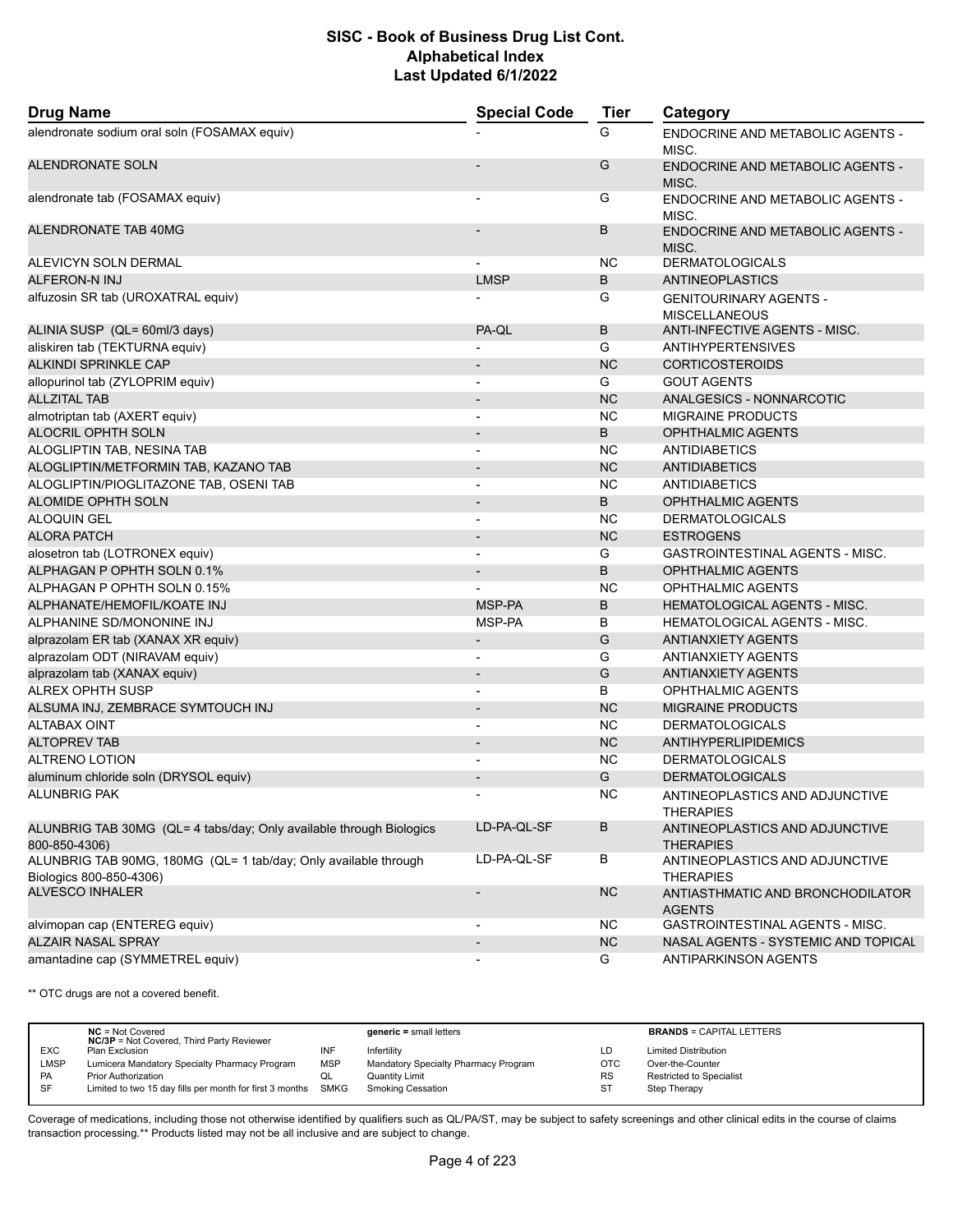| <b>Drug Name</b>                                                                           | <b>Special Code</b>      | <b>Tier</b> | Category                                              |  |
|--------------------------------------------------------------------------------------------|--------------------------|-------------|-------------------------------------------------------|--|
| alendronate sodium oral soln (FOSAMAX equiv)                                               |                          | G           | ENDOCRINE AND METABOLIC AGENTS -<br>MISC.             |  |
| <b>ALENDRONATE SOLN</b>                                                                    |                          | G           | <b>ENDOCRINE AND METABOLIC AGENTS -</b><br>MISC.      |  |
| alendronate tab (FOSAMAX equiv)                                                            |                          | G           | <b>ENDOCRINE AND METABOLIC AGENTS -</b><br>MISC.      |  |
| ALENDRONATE TAB 40MG                                                                       |                          | B           | ENDOCRINE AND METABOLIC AGENTS -<br>MISC.             |  |
| ALEVICYN SOLN DERMAL                                                                       |                          | NC.         | <b>DERMATOLOGICALS</b>                                |  |
| <b>ALFERON-N INJ</b>                                                                       | <b>LMSP</b>              | B           | <b>ANTINEOPLASTICS</b>                                |  |
| alfuzosin SR tab (UROXATRAL equiv)                                                         |                          | G           | <b>GENITOURINARY AGENTS -</b><br><b>MISCELLANEOUS</b> |  |
| ALINIA SUSP (QL= 60ml/3 days)                                                              | PA-QL                    | B           | ANTI-INFECTIVE AGENTS - MISC.                         |  |
| aliskiren tab (TEKTURNA equiv)                                                             |                          | G           | <b>ANTIHYPERTENSIVES</b>                              |  |
| <b>ALKINDI SPRINKLE CAP</b>                                                                |                          | <b>NC</b>   | <b>CORTICOSTEROIDS</b>                                |  |
| allopurinol tab (ZYLOPRIM equiv)                                                           | $\blacksquare$           | G           | <b>GOUT AGENTS</b>                                    |  |
| <b>ALLZITAL TAB</b>                                                                        | $\overline{\phantom{a}}$ | <b>NC</b>   | ANALGESICS - NONNARCOTIC                              |  |
| almotriptan tab (AXERT equiv)                                                              |                          | <b>NC</b>   | <b>MIGRAINE PRODUCTS</b>                              |  |
| <b>ALOCRIL OPHTH SOLN</b>                                                                  | $\overline{\phantom{a}}$ | B           | <b>OPHTHALMIC AGENTS</b>                              |  |
| ALOGLIPTIN TAB, NESINA TAB                                                                 | $\overline{\phantom{a}}$ | NC.         | <b>ANTIDIABETICS</b>                                  |  |
| ALOGLIPTIN/METFORMIN TAB, KAZANO TAB                                                       |                          | <b>NC</b>   | <b>ANTIDIABETICS</b>                                  |  |
| ALOGLIPTIN/PIOGLITAZONE TAB, OSENI TAB                                                     |                          | <b>NC</b>   | <b>ANTIDIABETICS</b>                                  |  |
| <b>ALOMIDE OPHTH SOLN</b>                                                                  | $\overline{\phantom{a}}$ | B           | <b>OPHTHALMIC AGENTS</b>                              |  |
| <b>ALOQUIN GEL</b>                                                                         |                          | <b>NC</b>   | <b>DERMATOLOGICALS</b>                                |  |
| <b>ALORA PATCH</b>                                                                         |                          | <b>NC</b>   | <b>ESTROGENS</b>                                      |  |
| alosetron tab (LOTRONEX equiv)                                                             | $\blacksquare$           | G           | <b>GASTROINTESTINAL AGENTS - MISC.</b>                |  |
| ALPHAGAN P OPHTH SOLN 0.1%                                                                 | $\overline{\phantom{a}}$ | B           | <b>OPHTHALMIC AGENTS</b>                              |  |
| ALPHAGAN P OPHTH SOLN 0.15%                                                                |                          | <b>NC</b>   | OPHTHALMIC AGENTS                                     |  |
| ALPHANATE/HEMOFIL/KOATE INJ                                                                | MSP-PA                   | B           | <b>HEMATOLOGICAL AGENTS - MISC.</b>                   |  |
| ALPHANINE SD/MONONINE INJ                                                                  | MSP-PA                   | B           | HEMATOLOGICAL AGENTS - MISC.                          |  |
| alprazolam ER tab (XANAX XR equiv)                                                         | $\overline{\phantom{a}}$ | G           | <b>ANTIANXIETY AGENTS</b>                             |  |
| alprazolam ODT (NIRAVAM equiv)                                                             | $\blacksquare$           | G           | ANTIANXIETY AGENTS                                    |  |
| alprazolam tab (XANAX equiv)                                                               |                          | G           | <b>ANTIANXIETY AGENTS</b>                             |  |
| <b>ALREX OPHTH SUSP</b>                                                                    |                          | B           | OPHTHALMIC AGENTS                                     |  |
| ALSUMA INJ, ZEMBRACE SYMTOUCH INJ                                                          | $\blacksquare$           | <b>NC</b>   | <b>MIGRAINE PRODUCTS</b>                              |  |
| <b>ALTABAX OINT</b>                                                                        |                          | <b>NC</b>   | <b>DERMATOLOGICALS</b>                                |  |
| <b>ALTOPREV TAB</b>                                                                        | $\overline{\phantom{a}}$ | <b>NC</b>   | <b>ANTIHYPERLIPIDEMICS</b>                            |  |
| <b>ALTRENO LOTION</b>                                                                      |                          | NC.         | <b>DERMATOLOGICALS</b>                                |  |
| aluminum chloride soln (DRYSOL equiv)                                                      |                          | G           | <b>DERMATOLOGICALS</b>                                |  |
| <b>ALUNBRIG PAK</b>                                                                        | $\overline{\phantom{a}}$ | <b>NC</b>   | ANTINEOPLASTICS AND ADJUNCTIVE                        |  |
|                                                                                            |                          |             | <b>THERAPIES</b>                                      |  |
| ALUNBRIG TAB 30MG (QL= 4 tabs/day; Only available through Biologics<br>800-850-4306)       | LD-PA-QL-SF              | В           | ANTINEOPLASTICS AND ADJUNCTIVE<br><b>THERAPIES</b>    |  |
| ALUNBRIG TAB 90MG, 180MG (QL= 1 tab/day; Only available through<br>Biologics 800-850-4306) | LD-PA-QL-SF              | В           | ANTINEOPLASTICS AND ADJUNCTIVE<br><b>THERAPIES</b>    |  |
| <b>ALVESCO INHALER</b>                                                                     | $\overline{\phantom{a}}$ | NC          | ANTIASTHMATIC AND BRONCHODILATOR<br><b>AGENTS</b>     |  |
| alvimopan cap (ENTEREG equiv)                                                              | $\overline{\phantom{a}}$ | NC.         | GASTROINTESTINAL AGENTS - MISC.                       |  |
| <b>ALZAIR NASAL SPRAY</b>                                                                  |                          | <b>NC</b>   | NASAL AGENTS - SYSTEMIC AND TOPICAL                   |  |
| amantadine cap (SYMMETREL equiv)                                                           |                          | G           | <b>ANTIPARKINSON AGENTS</b>                           |  |

\*\* OTC drugs are not a covered benefit.

|            | $NC = Not Covered$<br><b>NC/3P</b> = Not Covered, Third Party Reviewer |            | $generic = small letters$            |            | <b>BRANDS = CAPITAL LETTERS</b> |
|------------|------------------------------------------------------------------------|------------|--------------------------------------|------------|---------------------------------|
| <b>EXC</b> | Plan Exclusion                                                         | INF        | Infertility                          | LD         | <b>Limited Distribution</b>     |
| LMSP       | Lumicera Mandatory Specialty Pharmacy Program                          | <b>MSP</b> | Mandatory Specialty Pharmacy Program | <b>OTC</b> | Over-the-Counter                |
| PA         | <b>Prior Authorization</b>                                             | QL         | <b>Quantity Limit</b>                | <b>RS</b>  | Restricted to Specialist        |
| SF         | Limited to two 15 day fills per month for first 3 months SMKG          |            | <b>Smoking Cessation</b>             | ST         | Step Therapy                    |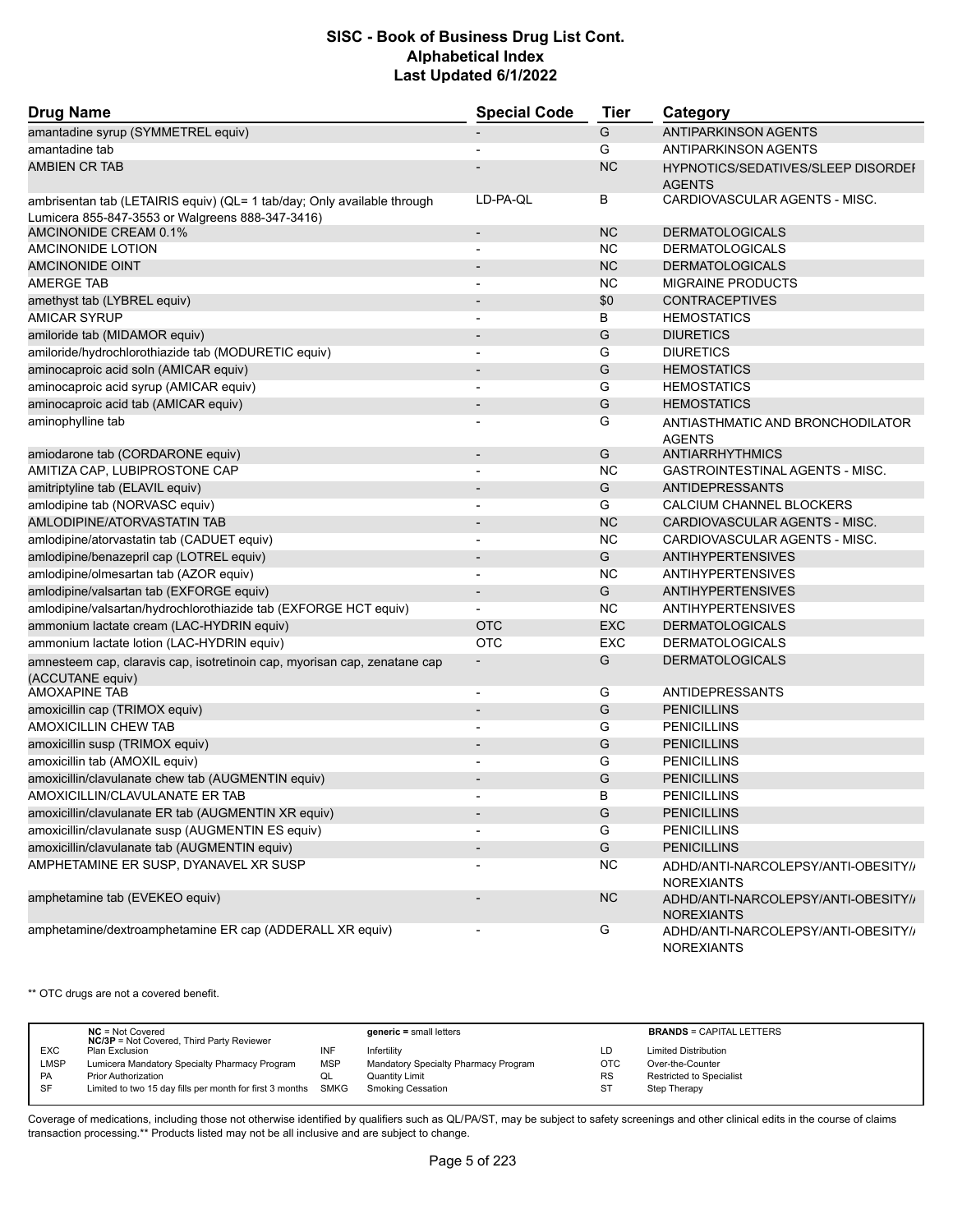| <b>Drug Name</b>                                                                                                            | <b>Special Code</b>      | <b>Tier</b> | Category                                                   |
|-----------------------------------------------------------------------------------------------------------------------------|--------------------------|-------------|------------------------------------------------------------|
| amantadine syrup (SYMMETREL equiv)                                                                                          |                          | G           | <b>ANTIPARKINSON AGENTS</b>                                |
| amantadine tab                                                                                                              |                          | G           | <b>ANTIPARKINSON AGENTS</b>                                |
| <b>AMBIEN CR TAB</b>                                                                                                        |                          | <b>NC</b>   | <b>HYPNOTICS/SEDATIVES/SLEEP DISORDEF</b><br><b>AGENTS</b> |
| ambrisentan tab (LETAIRIS equiv) (QL= 1 tab/day; Only available through<br>Lumicera 855-847-3553 or Walgreens 888-347-3416) | LD-PA-QL                 | В           | CARDIOVASCULAR AGENTS - MISC.                              |
| AMCINONIDE CREAM 0.1%                                                                                                       | $\overline{\phantom{a}}$ | <b>NC</b>   | <b>DERMATOLOGICALS</b>                                     |
| AMCINONIDE LOTION                                                                                                           | $\overline{\phantom{a}}$ | <b>NC</b>   | <b>DERMATOLOGICALS</b>                                     |
| <b>AMCINONIDE OINT</b>                                                                                                      | $\overline{\phantom{a}}$ | <b>NC</b>   | <b>DERMATOLOGICALS</b>                                     |
| <b>AMERGE TAB</b>                                                                                                           |                          | <b>NC</b>   | <b>MIGRAINE PRODUCTS</b>                                   |
| amethyst tab (LYBREL equiv)                                                                                                 | $\overline{\phantom{a}}$ | \$0         | <b>CONTRACEPTIVES</b>                                      |
| <b>AMICAR SYRUP</b>                                                                                                         | $\overline{\phantom{a}}$ | В           | <b>HEMOSTATICS</b>                                         |
| amiloride tab (MIDAMOR equiv)                                                                                               |                          | G           | <b>DIURETICS</b>                                           |
| amiloride/hydrochlorothiazide tab (MODURETIC equiv)                                                                         |                          | G           | <b>DIURETICS</b>                                           |
| aminocaproic acid soln (AMICAR equiv)                                                                                       | $\overline{\phantom{a}}$ | G           | <b>HEMOSTATICS</b>                                         |
| aminocaproic acid syrup (AMICAR equiv)                                                                                      | $\overline{\phantom{a}}$ | G           | <b>HEMOSTATICS</b>                                         |
| aminocaproic acid tab (AMICAR equiv)                                                                                        |                          | G           | <b>HEMOSTATICS</b>                                         |
| aminophylline tab                                                                                                           |                          | G           | ANTIASTHMATIC AND BRONCHODILATOR<br><b>AGENTS</b>          |
| amiodarone tab (CORDARONE equiv)                                                                                            | $\overline{\phantom{a}}$ | G           | <b>ANTIARRHYTHMICS</b>                                     |
| AMITIZA CAP, LUBIPROSTONE CAP                                                                                               |                          | <b>NC</b>   | <b>GASTROINTESTINAL AGENTS - MISC.</b>                     |
| amitriptyline tab (ELAVIL equiv)                                                                                            | $\overline{\phantom{a}}$ | G           | ANTIDEPRESSANTS                                            |
| amlodipine tab (NORVASC equiv)                                                                                              | $\blacksquare$           | G           | CALCIUM CHANNEL BLOCKERS                                   |
| AMLODIPINE/ATORVASTATIN TAB                                                                                                 |                          | <b>NC</b>   | CARDIOVASCULAR AGENTS - MISC.                              |
| amlodipine/atorvastatin tab (CADUET equiv)                                                                                  |                          | <b>NC</b>   | CARDIOVASCULAR AGENTS - MISC.                              |
| amlodipine/benazepril cap (LOTREL equiv)                                                                                    | $\overline{\phantom{a}}$ | G           | <b>ANTIHYPERTENSIVES</b>                                   |
| amlodipine/olmesartan tab (AZOR equiv)                                                                                      |                          | <b>NC</b>   | <b>ANTIHYPERTENSIVES</b>                                   |
| amlodipine/valsartan tab (EXFORGE equiv)                                                                                    | $\overline{\phantom{a}}$ | G           | <b>ANTIHYPERTENSIVES</b>                                   |
| amlodipine/valsartan/hydrochlorothiazide tab (EXFORGE HCT equiv)                                                            |                          | NC.         | <b>ANTIHYPERTENSIVES</b>                                   |
| ammonium lactate cream (LAC-HYDRIN equiv)                                                                                   | <b>OTC</b>               | <b>EXC</b>  | <b>DERMATOLOGICALS</b>                                     |
| ammonium lactate lotion (LAC-HYDRIN equiv)                                                                                  | <b>OTC</b>               | <b>EXC</b>  | <b>DERMATOLOGICALS</b>                                     |
| amnesteem cap, claravis cap, isotretinoin cap, myorisan cap, zenatane cap<br>(ACCUTANE equiv)                               |                          | G           | <b>DERMATOLOGICALS</b>                                     |
| <b>AMOXAPINE TAB</b>                                                                                                        | $\blacksquare$           | G           | <b>ANTIDEPRESSANTS</b>                                     |
| amoxicillin cap (TRIMOX equiv)                                                                                              |                          | G           | <b>PENICILLINS</b>                                         |
| <b>AMOXICILLIN CHEW TAB</b>                                                                                                 |                          | G           | <b>PENICILLINS</b>                                         |
| amoxicillin susp (TRIMOX equiv)                                                                                             |                          | G           | <b>PENICILLINS</b>                                         |
| amoxicillin tab (AMOXIL equiv)                                                                                              |                          | G           | <b>PENICILLINS</b>                                         |
| amoxicillin/clavulanate chew tab (AUGMENTIN equiv)                                                                          |                          | G           | <b>PENICILLINS</b>                                         |
| AMOXICILLIN/CLAVULANATE ER TAB                                                                                              |                          | в           | <b>PENICILLINS</b>                                         |
| amoxicillin/clavulanate ER tab (AUGMENTIN XR equiv)                                                                         | $\overline{\phantom{a}}$ | G           | <b>PENICILLINS</b>                                         |
| amoxicillin/clavulanate susp (AUGMENTIN ES equiv)                                                                           |                          | G           | <b>PENICILLINS</b>                                         |
| amoxicillin/clavulanate tab (AUGMENTIN equiv)                                                                               |                          | G           | <b>PENICILLINS</b>                                         |
| AMPHETAMINE ER SUSP, DYANAVEL XR SUSP                                                                                       |                          | <b>NC</b>   | ADHD/ANTI-NARCOLEPSY/ANTI-OBESITY//<br><b>NOREXIANTS</b>   |
| amphetamine tab (EVEKEO equiv)                                                                                              |                          | NC          | ADHD/ANTI-NARCOLEPSY/ANTI-OBESITY//<br><b>NOREXIANTS</b>   |
| amphetamine/dextroamphetamine ER cap (ADDERALL XR equiv)                                                                    |                          | G           | ADHD/ANTI-NARCOLEPSY/ANTI-OBESITY//<br><b>NOREXIANTS</b>   |

\*\* OTC drugs are not a covered benefit.

|             | $NC = Not Covered$<br><b>NC/3P</b> = Not Covered, Third Party Reviewer |            | $generic = small letters$            |            | <b>BRANDS = CAPITAL LETTERS</b> |
|-------------|------------------------------------------------------------------------|------------|--------------------------------------|------------|---------------------------------|
| <b>EXC</b>  | Plan Exclusion                                                         | INF        | Infertility                          | LD         | <b>Limited Distribution</b>     |
| <b>LMSP</b> | Lumicera Mandatory Specialty Pharmacy Program                          | <b>MSP</b> | Mandatory Specialty Pharmacy Program | <b>OTC</b> | Over-the-Counter                |
| PA          | Prior Authorization                                                    | QL         | <b>Quantity Limit</b>                | <b>RS</b>  | Restricted to Specialist        |
| SF          | Limited to two 15 day fills per month for first 3 months SMKG          |            | <b>Smoking Cessation</b>             | ST         | Step Therapy                    |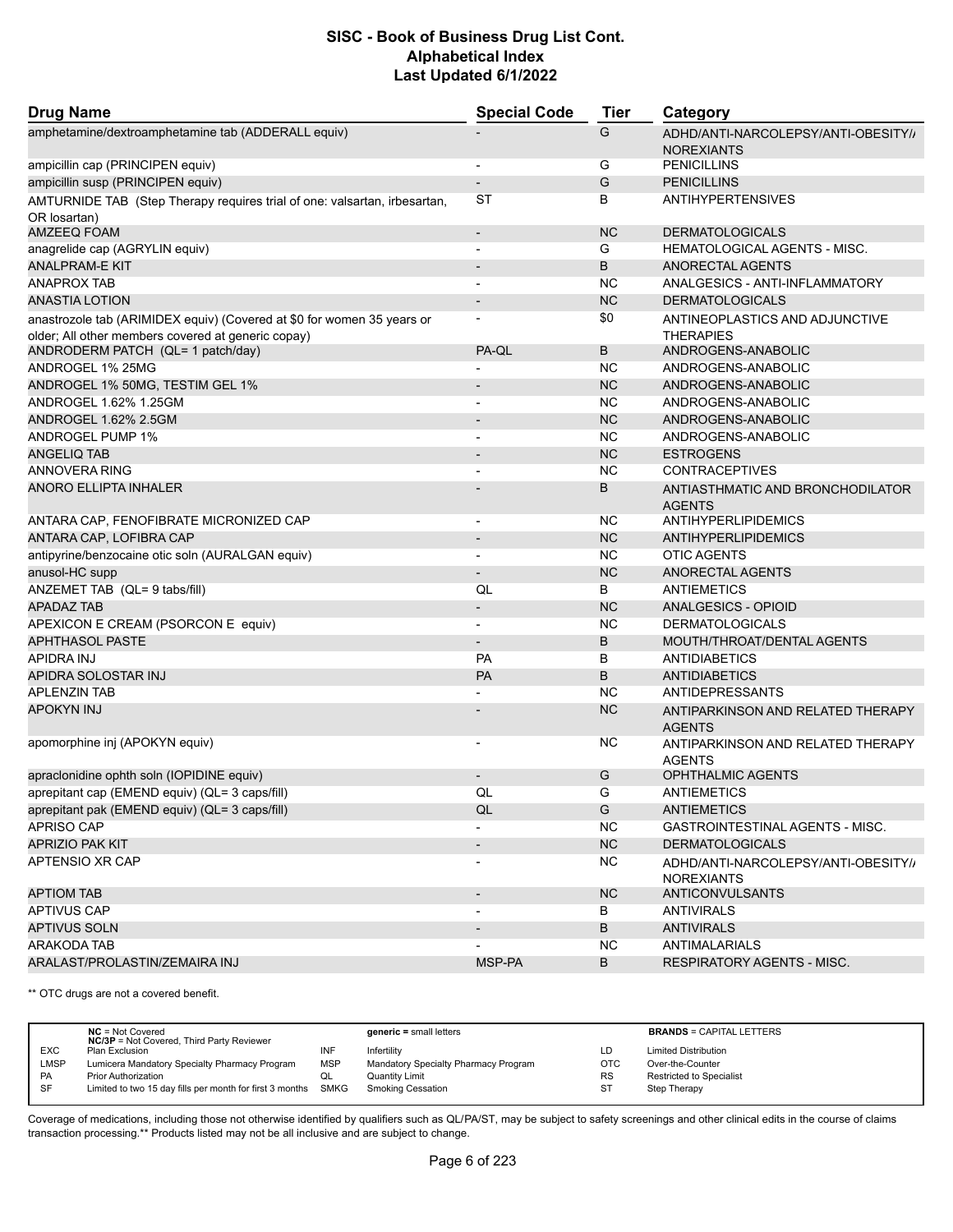| <b>Drug Name</b>                                                                                                             | <b>Special Code</b>          | <b>Tier</b> | Category                                                 |
|------------------------------------------------------------------------------------------------------------------------------|------------------------------|-------------|----------------------------------------------------------|
| amphetamine/dextroamphetamine tab (ADDERALL equiv)                                                                           |                              | G           | ADHD/ANTI-NARCOLEPSY/ANTI-OBESITY//<br><b>NOREXIANTS</b> |
| ampicillin cap (PRINCIPEN equiv)                                                                                             |                              | G           | <b>PENICILLINS</b>                                       |
| ampicillin susp (PRINCIPEN equiv)                                                                                            |                              | G           | <b>PENICILLINS</b>                                       |
| AMTURNIDE TAB (Step Therapy requires trial of one: valsartan, irbesartan,<br>OR losartan)                                    | ST                           | B           | <b>ANTIHYPERTENSIVES</b>                                 |
| <b>AMZEEQ FOAM</b>                                                                                                           | $\overline{\phantom{a}}$     | <b>NC</b>   | <b>DERMATOLOGICALS</b>                                   |
| anagrelide cap (AGRYLIN equiv)                                                                                               | $\blacksquare$               | G           | <b>HEMATOLOGICAL AGENTS - MISC.</b>                      |
| ANALPRAM-E KIT                                                                                                               | $\overline{\phantom{a}}$     | B           | ANORECTAL AGENTS                                         |
| <b>ANAPROX TAB</b>                                                                                                           |                              | <b>NC</b>   | ANALGESICS - ANTI-INFLAMMATORY                           |
| ANASTIA LOTION                                                                                                               | $\overline{a}$               | <b>NC</b>   | <b>DERMATOLOGICALS</b>                                   |
|                                                                                                                              |                              | \$0         |                                                          |
| anastrozole tab (ARIMIDEX equiv) (Covered at \$0 for women 35 years or<br>older; All other members covered at generic copay) |                              |             | ANTINEOPLASTICS AND ADJUNCTIVE<br><b>THERAPIES</b>       |
| ANDRODERM PATCH (QL= 1 patch/day)                                                                                            | PA-QL                        | B           | ANDROGENS-ANABOLIC                                       |
| ANDROGEL 1% 25MG                                                                                                             |                              | <b>NC</b>   | ANDROGENS-ANABOLIC                                       |
| ANDROGEL 1% 50MG, TESTIM GEL 1%                                                                                              |                              | <b>NC</b>   | ANDROGENS-ANABOLIC                                       |
| ANDROGEL 1.62% 1.25GM                                                                                                        | $\overline{\phantom{a}}$     | <b>NC</b>   | ANDROGENS-ANABOLIC                                       |
| ANDROGEL 1.62% 2.5GM                                                                                                         |                              | <b>NC</b>   | ANDROGENS-ANABOLIC                                       |
| <b>ANDROGEL PUMP 1%</b>                                                                                                      | $\overline{\phantom{a}}$     | <b>NC</b>   | ANDROGENS-ANABOLIC                                       |
| ANGELIQ TAB                                                                                                                  |                              | <b>NC</b>   | <b>ESTROGENS</b>                                         |
| ANNOVERA RING                                                                                                                |                              | <b>NC</b>   | <b>CONTRACEPTIVES</b>                                    |
| ANORO ELLIPTA INHALER                                                                                                        |                              | B           | ANTIASTHMATIC AND BRONCHODILATOR<br><b>AGENTS</b>        |
| ANTARA CAP, FENOFIBRATE MICRONIZED CAP                                                                                       | $\overline{\phantom{a}}$     | NC.         | ANTIHYPERLIPIDEMICS                                      |
| ANTARA CAP, LOFIBRA CAP                                                                                                      |                              | <b>NC</b>   | ANTIHYPERLIPIDEMICS                                      |
| antipyrine/benzocaine otic soln (AURALGAN equiv)                                                                             |                              | <b>NC</b>   | <b>OTIC AGENTS</b>                                       |
| anusol-HC supp                                                                                                               | $\qquad \qquad \blacksquare$ | <b>NC</b>   | ANORECTAL AGENTS                                         |
| ANZEMET TAB (QL= 9 tabs/fill)                                                                                                | QL                           | B           | <b>ANTIEMETICS</b>                                       |
| <b>APADAZ TAB</b>                                                                                                            |                              | <b>NC</b>   | ANALGESICS - OPIOID                                      |
| APEXICON E CREAM (PSORCON E equiv)                                                                                           | $\blacksquare$               | NC.         | <b>DERMATOLOGICALS</b>                                   |
| <b>APHTHASOL PASTE</b>                                                                                                       | $\overline{\phantom{0}}$     | B           | MOUTH/THROAT/DENTAL AGENTS                               |
| APIDRA INJ                                                                                                                   | <b>PA</b>                    | B           | ANTIDIABETICS                                            |
| APIDRA SOLOSTAR INJ                                                                                                          | PA                           | B           | <b>ANTIDIABETICS</b>                                     |
| <b>APLENZIN TAB</b>                                                                                                          |                              | ΝC          | <b>ANTIDEPRESSANTS</b>                                   |
| <b>APOKYN INJ</b>                                                                                                            |                              | <b>NC</b>   | ANTIPARKINSON AND RELATED THERAPY<br><b>AGENTS</b>       |
| apomorphine inj (APOKYN equiv)                                                                                               |                              | ΝC          | ANTIPARKINSON AND RELATED THERAPY<br><b>AGENTS</b>       |
| apraclonidine ophth soln (IOPIDINE equiv)                                                                                    |                              | G           | <b>OPHTHALMIC AGENTS</b>                                 |
| aprepitant cap (EMEND equiv) (QL= 3 caps/fill)                                                                               | QL                           | G           | <b>ANTIEMETICS</b>                                       |
| aprepitant pak (EMEND equiv) (QL= 3 caps/fill)                                                                               | QL                           | G           | <b>ANTIEMETICS</b>                                       |
| APRISO CAP                                                                                                                   |                              | <b>NC</b>   | <b>GASTROINTESTINAL AGENTS - MISC.</b>                   |
| <b>APRIZIO PAK KIT</b>                                                                                                       | $\overline{\phantom{a}}$     | NC          | <b>DERMATOLOGICALS</b>                                   |
| APTENSIO XR CAP                                                                                                              | -                            | <b>NC</b>   | ADHD/ANTI-NARCOLEPSY/ANTI-OBESITY//<br><b>NOREXIANTS</b> |
| <b>APTIOM TAB</b>                                                                                                            | $\overline{\phantom{a}}$     | NC          | ANTICONVULSANTS                                          |
| APTIVUS CAP                                                                                                                  |                              | В           | <b>ANTIVIRALS</b>                                        |
| <b>APTIVUS SOLN</b>                                                                                                          |                              | B           | <b>ANTIVIRALS</b>                                        |
| ARAKODA TAB                                                                                                                  |                              | NС          | <b>ANTIMALARIALS</b>                                     |
| ARALAST/PROLASTIN/ZEMAIRA INJ                                                                                                | MSP-PA                       | B           | RESPIRATORY AGENTS - MISC.                               |
|                                                                                                                              |                              |             |                                                          |

\*\* OTC drugs are not a covered benefit.

|             | $NC = Not Covered$<br><b>NC/3P</b> = Not Covered, Third Party Reviewer |            | $generic = small letters$            |            | <b>BRANDS = CAPITAL LETTERS</b> |
|-------------|------------------------------------------------------------------------|------------|--------------------------------------|------------|---------------------------------|
| <b>EXC</b>  | Plan Exclusion                                                         | INF        | Infertility                          | LD         | <b>Limited Distribution</b>     |
| <b>LMSP</b> | Lumicera Mandatory Specialty Pharmacy Program                          | <b>MSP</b> | Mandatory Specialty Pharmacy Program | <b>OTC</b> | Over-the-Counter                |
| PA          | <b>Prior Authorization</b>                                             | QL         | <b>Quantity Limit</b>                | <b>RS</b>  | <b>Restricted to Specialist</b> |
| SF          | Limited to two 15 day fills per month for first 3 months SMKG          |            | <b>Smoking Cessation</b>             | <b>ST</b>  | Step Therapy                    |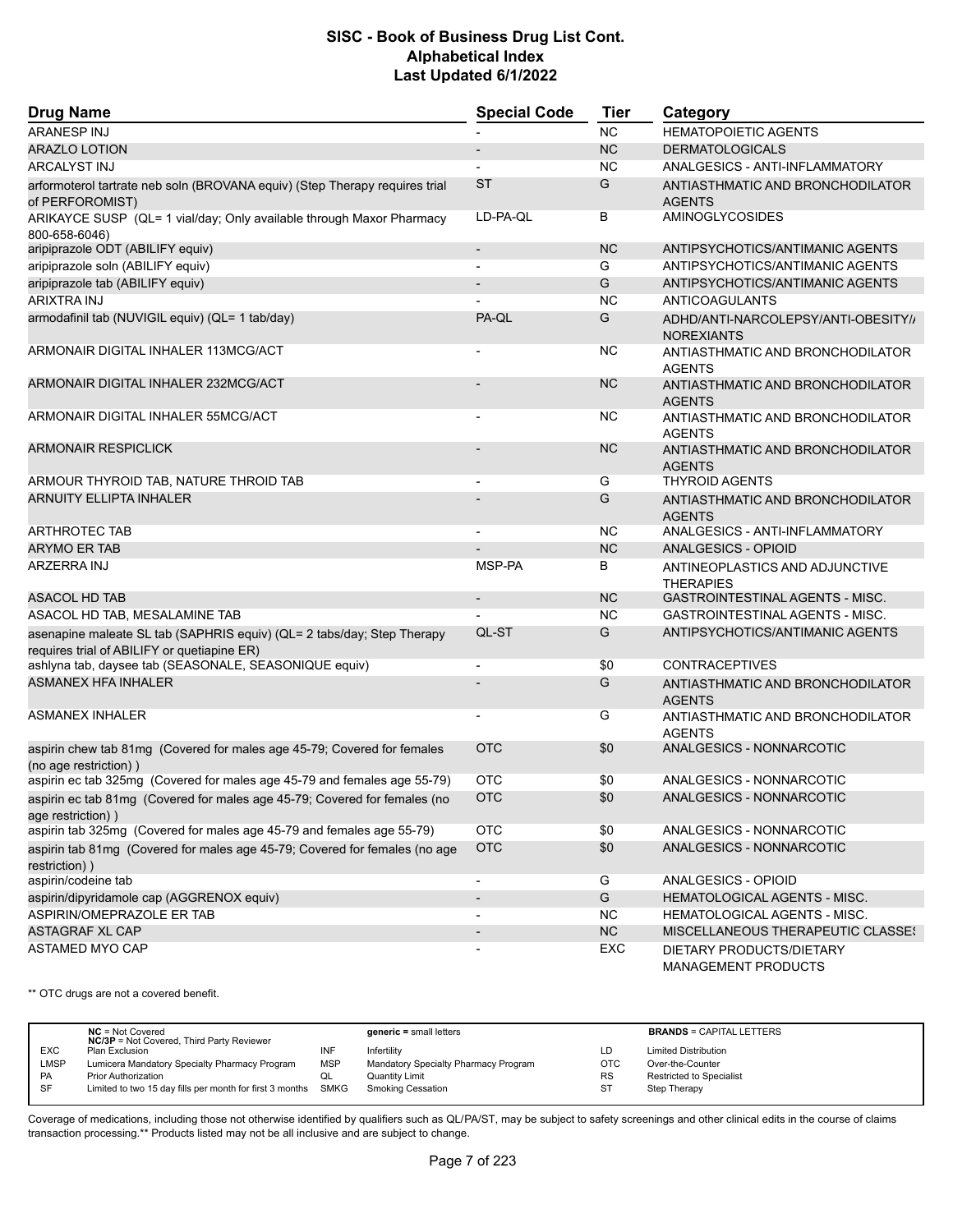| <b>Drug Name</b>                                                                                                      | <b>Special Code</b>          | <b>Tier</b> | Category                                                 |  |
|-----------------------------------------------------------------------------------------------------------------------|------------------------------|-------------|----------------------------------------------------------|--|
| <b>ARANESP INJ</b>                                                                                                    |                              | <b>NC</b>   | <b>HEMATOPOIETIC AGENTS</b>                              |  |
| <b>ARAZLO LOTION</b>                                                                                                  | $\overline{\phantom{a}}$     | <b>NC</b>   | <b>DERMATOLOGICALS</b>                                   |  |
| ARCALYST INJ                                                                                                          |                              | <b>NC</b>   | ANALGESICS - ANTI-INFLAMMATORY                           |  |
| arformoterol tartrate neb soln (BROVANA equiv) (Step Therapy requires trial<br>of PERFOROMIST)                        | <b>ST</b>                    | G           | ANTIASTHMATIC AND BRONCHODILATOR<br><b>AGENTS</b>        |  |
| ARIKAYCE SUSP (QL= 1 vial/day; Only available through Maxor Pharmacy<br>800-658-6046)                                 | LD-PA-QL                     | B           | <b>AMINOGLYCOSIDES</b>                                   |  |
| aripiprazole ODT (ABILIFY equiv)                                                                                      | $\overline{\phantom{a}}$     | <b>NC</b>   | ANTIPSYCHOTICS/ANTIMANIC AGENTS                          |  |
| aripiprazole soln (ABILIFY equiv)                                                                                     | $\blacksquare$               | G           | ANTIPSYCHOTICS/ANTIMANIC AGENTS                          |  |
| aripiprazole tab (ABILIFY equiv)                                                                                      | $\overline{\phantom{m}}$     | G           | ANTIPSYCHOTICS/ANTIMANIC AGENTS                          |  |
| <b>ARIXTRA INJ</b>                                                                                                    |                              | <b>NC</b>   | ANTICOAGULANTS                                           |  |
| armodafinil tab (NUVIGIL equiv) (QL= 1 tab/day)                                                                       | PA-QL                        | G           | ADHD/ANTI-NARCOLEPSY/ANTI-OBESITY//<br><b>NOREXIANTS</b> |  |
| ARMONAIR DIGITAL INHALER 113MCG/ACT                                                                                   | $\blacksquare$               | <b>NC</b>   | ANTIASTHMATIC AND BRONCHODILATOR<br><b>AGENTS</b>        |  |
| ARMONAIR DIGITAL INHALER 232MCG/ACT                                                                                   |                              | <b>NC</b>   | ANTIASTHMATIC AND BRONCHODILATOR<br><b>AGENTS</b>        |  |
| ARMONAIR DIGITAL INHALER 55MCG/ACT                                                                                    | $\blacksquare$               | NС          | ANTIASTHMATIC AND BRONCHODILATOR<br><b>AGENTS</b>        |  |
| <b>ARMONAIR RESPICLICK</b>                                                                                            |                              | <b>NC</b>   | ANTIASTHMATIC AND BRONCHODILATOR<br><b>AGENTS</b>        |  |
| ARMOUR THYROID TAB, NATURE THROID TAB                                                                                 | $\blacksquare$               | G           | <b>THYROID AGENTS</b>                                    |  |
| <b>ARNUITY ELLIPTA INHALER</b>                                                                                        |                              | G           | ANTIASTHMATIC AND BRONCHODILATOR<br><b>AGENTS</b>        |  |
| <b>ARTHROTEC TAB</b>                                                                                                  | $\blacksquare$               | NC          | ANALGESICS - ANTI-INFLAMMATORY                           |  |
| <b>ARYMO ER TAB</b>                                                                                                   |                              | <b>NC</b>   | <b>ANALGESICS - OPIOID</b>                               |  |
| ARZERRA INJ                                                                                                           | MSP-PA                       | В           | ANTINEOPLASTICS AND ADJUNCTIVE<br><b>THERAPIES</b>       |  |
| <b>ASACOL HD TAB</b>                                                                                                  | $\overline{\phantom{a}}$     | <b>NC</b>   | <b>GASTROINTESTINAL AGENTS - MISC.</b>                   |  |
| ASACOL HD TAB, MESALAMINE TAB                                                                                         |                              | <b>NC</b>   | GASTROINTESTINAL AGENTS - MISC.                          |  |
| asenapine maleate SL tab (SAPHRIS equiv) (QL= 2 tabs/day; Step Therapy<br>requires trial of ABILIFY or quetiapine ER) | QL-ST                        | G           | ANTIPSYCHOTICS/ANTIMANIC AGENTS                          |  |
| ashlyna tab, daysee tab (SEASONALE, SEASONIQUE equiv)                                                                 |                              | \$0         | <b>CONTRACEPTIVES</b>                                    |  |
| <b>ASMANEX HFA INHALER</b>                                                                                            |                              | G           | ANTIASTHMATIC AND BRONCHODILATOR<br><b>AGENTS</b>        |  |
| <b>ASMANEX INHALER</b>                                                                                                | $\blacksquare$               | G           | ANTIASTHMATIC AND BRONCHODILATOR<br><b>AGENTS</b>        |  |
| aspirin chew tab 81mg (Covered for males age 45-79; Covered for females<br>(no age restriction))                      | <b>OTC</b>                   | \$0         | ANALGESICS - NONNARCOTIC                                 |  |
| aspirin ec tab 325mg (Covered for males age 45-79 and females age 55-79)                                              | отс                          | \$0         | ANALGESICS - NONNARCOTIC                                 |  |
| aspirin ec tab 81mg (Covered for males age 45-79; Covered for females (no<br>age restriction))                        | <b>OTC</b>                   | $$0$$       | ANALGESICS - NONNARCOTIC                                 |  |
| aspirin tab 325mg (Covered for males age 45-79 and females age 55-79)                                                 | <b>OTC</b>                   | \$0         | ANALGESICS - NONNARCOTIC                                 |  |
| aspirin tab 81mg (Covered for males age 45-79; Covered for females (no age<br>restriction))                           | <b>OTC</b>                   | \$0         | ANALGESICS - NONNARCOTIC                                 |  |
| aspirin/codeine tab                                                                                                   | $\qquad \qquad \blacksquare$ | G           | ANALGESICS - OPIOID                                      |  |
| aspirin/dipyridamole cap (AGGRENOX equiv)                                                                             | $\overline{\phantom{a}}$     | G           | HEMATOLOGICAL AGENTS - MISC.                             |  |
| ASPIRIN/OMEPRAZOLE ER TAB                                                                                             | $\overline{\phantom{0}}$     | <b>NC</b>   | HEMATOLOGICAL AGENTS - MISC.                             |  |
| <b>ASTAGRAF XL CAP</b>                                                                                                | $\overline{\phantom{a}}$     | NC          | MISCELLANEOUS THERAPEUTIC CLASSES                        |  |
| <b>ASTAMED MYO CAP</b>                                                                                                |                              | EXC         | DIETARY PRODUCTS/DIETARY<br>MANAGEMENT PRODUCTS          |  |

\*\* OTC drugs are not a covered benefit.

|            | $NC = Not Covered$<br><b>NC/3P</b> = Not Covered, Third Party Reviewer |            | $generic = small letters$            |            | <b>BRANDS = CAPITAL LETTERS</b> |
|------------|------------------------------------------------------------------------|------------|--------------------------------------|------------|---------------------------------|
| <b>EXC</b> | Plan Exclusion                                                         | INF        | Infertility                          | LD         | <b>Limited Distribution</b>     |
| LMSP       | Lumicera Mandatory Specialty Pharmacy Program                          | <b>MSP</b> | Mandatory Specialty Pharmacy Program | <b>OTC</b> | Over-the-Counter                |
| <b>PA</b>  | <b>Prior Authorization</b>                                             | QL         | Quantity Limit                       | <b>RS</b>  | Restricted to Specialist        |
| <b>SF</b>  | Limited to two 15 day fills per month for first 3 months SMKG          |            | <b>Smoking Cessation</b>             | ST         | Step Therapy                    |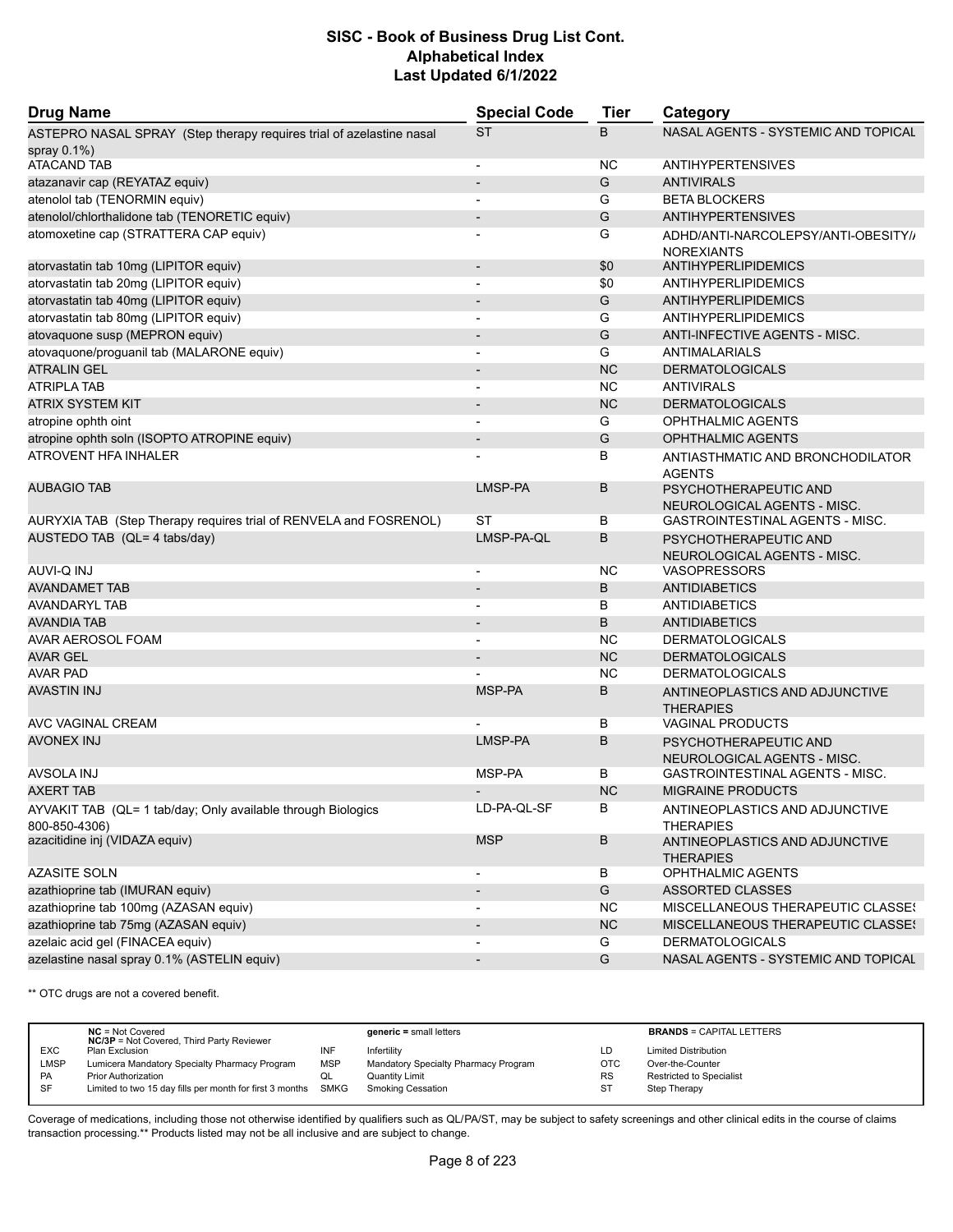| <b>Drug Name</b>                                                              | <b>Special Code</b>      | Tier      | Category                                                 |  |
|-------------------------------------------------------------------------------|--------------------------|-----------|----------------------------------------------------------|--|
| ASTEPRO NASAL SPRAY (Step therapy requires trial of azelastine nasal          | <b>ST</b>                | B         | NASAL AGENTS - SYSTEMIC AND TOPICAL                      |  |
| spray 0.1%)                                                                   |                          |           |                                                          |  |
| <b>ATACAND TAB</b>                                                            | $\overline{\phantom{a}}$ | <b>NC</b> | <b>ANTIHYPERTENSIVES</b>                                 |  |
| atazanavir cap (REYATAZ equiv)                                                |                          | G         | <b>ANTIVIRALS</b>                                        |  |
| atenolol tab (TENORMIN equiv)                                                 |                          | G         | <b>BETA BLOCKERS</b>                                     |  |
| atenolol/chlorthalidone tab (TENORETIC equiv)                                 | $\overline{\phantom{a}}$ | G         | <b>ANTIHYPERTENSIVES</b>                                 |  |
| atomoxetine cap (STRATTERA CAP equiv)                                         | $\overline{\phantom{0}}$ | G         | ADHD/ANTI-NARCOLEPSY/ANTI-OBESITY//<br><b>NOREXIANTS</b> |  |
| atorvastatin tab 10mg (LIPITOR equiv)                                         | $\overline{\phantom{a}}$ | \$0       | <b>ANTIHYPERLIPIDEMICS</b>                               |  |
| atorvastatin tab 20mg (LIPITOR equiv)                                         | $\overline{a}$           | \$0       | ANTIHYPERLIPIDEMICS                                      |  |
| atorvastatin tab 40mg (LIPITOR equiv)                                         | $\overline{\phantom{a}}$ | G         | <b>ANTIHYPERLIPIDEMICS</b>                               |  |
| atorvastatin tab 80mg (LIPITOR equiv)                                         | $\overline{\phantom{a}}$ | G         | <b>ANTIHYPERLIPIDEMICS</b>                               |  |
| atovaquone susp (MEPRON equiv)                                                |                          | G         | ANTI-INFECTIVE AGENTS - MISC.                            |  |
| atovaquone/proguanil tab (MALARONE equiv)                                     | $\overline{\phantom{a}}$ | G         | ANTIMALARIALS                                            |  |
| <b>ATRALIN GEL</b>                                                            | $\overline{\phantom{a}}$ | <b>NC</b> | <b>DERMATOLOGICALS</b>                                   |  |
| <b>ATRIPLA TAB</b>                                                            | $\overline{\phantom{a}}$ | <b>NC</b> | <b>ANTIVIRALS</b>                                        |  |
| ATRIX SYSTEM KIT                                                              |                          | <b>NC</b> | <b>DERMATOLOGICALS</b>                                   |  |
| atropine ophth oint                                                           | $\blacksquare$           | G         | <b>OPHTHALMIC AGENTS</b>                                 |  |
| atropine ophth soln (ISOPTO ATROPINE equiv)                                   | $\overline{\phantom{a}}$ | G         | <b>OPHTHALMIC AGENTS</b>                                 |  |
| <b>ATROVENT HFA INHALER</b>                                                   |                          | B         | ANTIASTHMATIC AND BRONCHODILATOR<br><b>AGENTS</b>        |  |
| <b>AUBAGIO TAB</b>                                                            | LMSP-PA                  | B         | PSYCHOTHERAPEUTIC AND<br>NEUROLOGICAL AGENTS - MISC.     |  |
| AURYXIA TAB (Step Therapy requires trial of RENVELA and FOSRENOL)             | <b>ST</b>                | B         | GASTROINTESTINAL AGENTS - MISC.                          |  |
| AUSTEDO TAB (QL= 4 tabs/day)                                                  | LMSP-PA-QL               | B         | PSYCHOTHERAPEUTIC AND<br>NEUROLOGICAL AGENTS - MISC.     |  |
| <b>AUVI-Q INJ</b>                                                             | $\overline{\phantom{a}}$ | <b>NC</b> | <b>VASOPRESSORS</b>                                      |  |
| <b>AVANDAMET TAB</b>                                                          |                          | B         | <b>ANTIDIABETICS</b>                                     |  |
| AVANDARYL TAB                                                                 | -                        | B         | <b>ANTIDIABETICS</b>                                     |  |
| AVANDIA TAB                                                                   | $\blacksquare$           | B         | <b>ANTIDIABETICS</b>                                     |  |
| AVAR AEROSOL FOAM                                                             |                          | <b>NC</b> | <b>DERMATOLOGICALS</b>                                   |  |
| AVAR GEL                                                                      |                          | <b>NC</b> | <b>DERMATOLOGICALS</b>                                   |  |
| <b>AVAR PAD</b>                                                               |                          | NC        | <b>DERMATOLOGICALS</b>                                   |  |
| AVASTIN INJ                                                                   | MSP-PA                   | B         | ANTINEOPLASTICS AND ADJUNCTIVE<br><b>THERAPIES</b>       |  |
| AVC VAGINAL CREAM                                                             |                          | В         | <b>VAGINAL PRODUCTS</b>                                  |  |
| <b>AVONEX INJ</b>                                                             | LMSP-PA                  | B         | PSYCHOTHERAPEUTIC AND<br>NEUROLOGICAL AGENTS - MISC.     |  |
| AVSOLA INJ                                                                    | MSP-PA                   | В         | <b>GASTROINTESTINAL AGENTS - MISC.</b>                   |  |
| AXERT TAB                                                                     | $\overline{\phantom{a}}$ | <b>NC</b> | <b>MIGRAINE PRODUCTS</b>                                 |  |
| AYVAKIT TAB (QL= 1 tab/day; Only available through Biologics<br>800-850-4306) | LD-PA-QL-SF              | В         | ANTINEOPLASTICS AND ADJUNCTIVE<br><b>THERAPIES</b>       |  |
| azacitidine inj (VIDAZA equiv)                                                | <b>MSP</b>               | B         | ANTINEOPLASTICS AND ADJUNCTIVE<br><b>THERAPIES</b>       |  |
| <b>AZASITE SOLN</b>                                                           |                          | B         | OPHTHALMIC AGENTS                                        |  |
| azathioprine tab (IMURAN equiv)                                               | $\overline{\phantom{a}}$ | G         | ASSORTED CLASSES                                         |  |
| azathioprine tab 100mg (AZASAN equiv)                                         |                          | NC.       | MISCELLANEOUS THERAPEUTIC CLASSES                        |  |
| azathioprine tab 75mg (AZASAN equiv)                                          | $\overline{\phantom{a}}$ | NC        | MISCELLANEOUS THERAPEUTIC CLASSES                        |  |
| azelaic acid gel (FINACEA equiv)                                              |                          | G         | <b>DERMATOLOGICALS</b>                                   |  |
| azelastine nasal spray 0.1% (ASTELIN equiv)                                   |                          | G         | NASAL AGENTS - SYSTEMIC AND TOPICAL                      |  |

\*\* OTC drugs are not a covered benefit.

|             | $NC = Not Covered$<br><b>NC/3P</b> = Not Covered, Third Party Reviewer |            | $generic = small letters$            |            | <b>BRANDS = CAPITAL LETTERS</b> |
|-------------|------------------------------------------------------------------------|------------|--------------------------------------|------------|---------------------------------|
| <b>EXC</b>  | Plan Exclusion                                                         | INF        | Infertility                          | LD         | <b>Limited Distribution</b>     |
| <b>LMSP</b> | Lumicera Mandatory Specialty Pharmacy Program                          | <b>MSP</b> | Mandatory Specialty Pharmacy Program | <b>OTC</b> | Over-the-Counter                |
| <b>PA</b>   | <b>Prior Authorization</b>                                             | QL         | Quantity Limit                       | RS         | <b>Restricted to Specialist</b> |
| -SF         | Limited to two 15 day fills per month for first 3 months SMKG          |            | <b>Smoking Cessation</b>             | <b>ST</b>  | Step Therapy                    |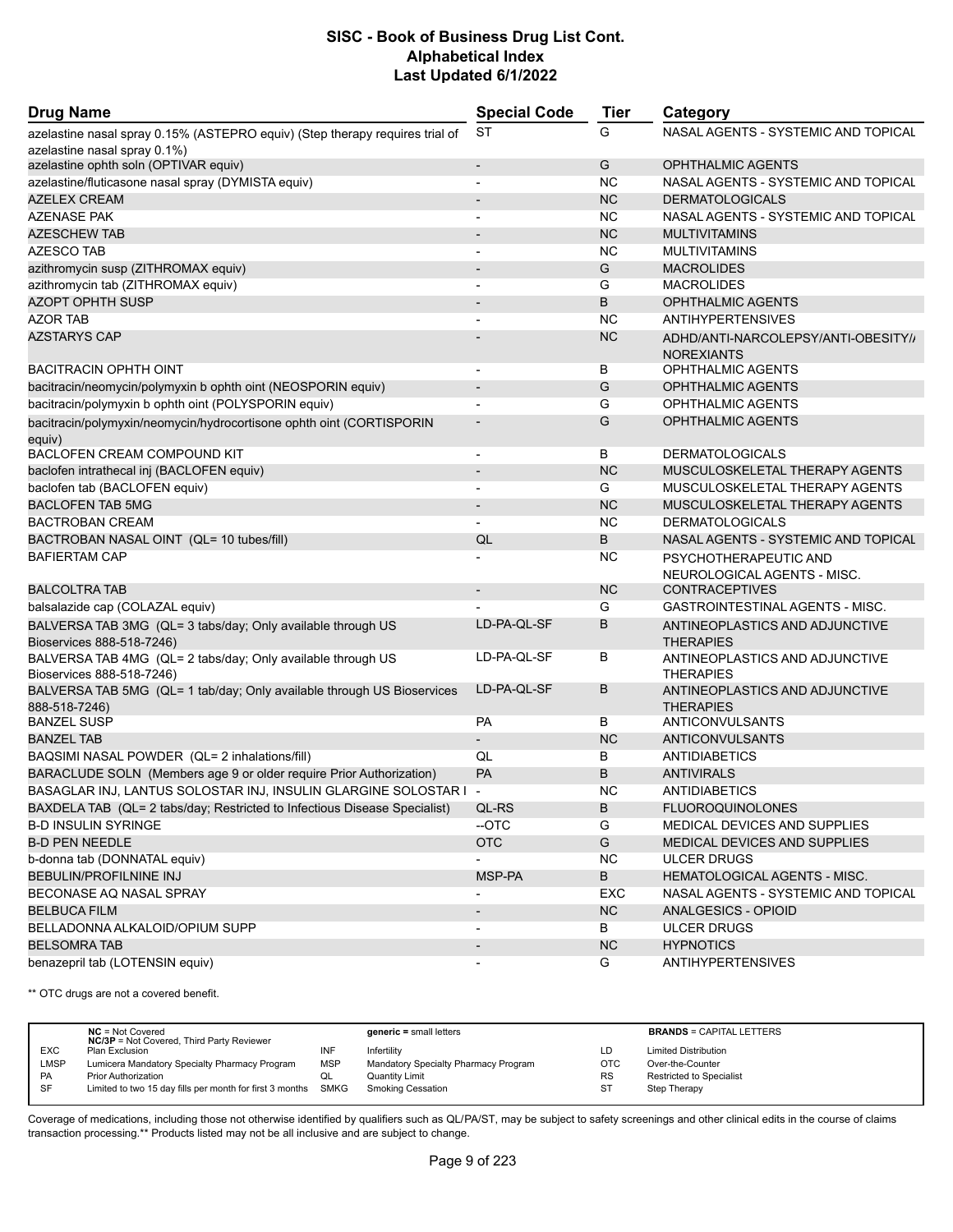| <b>Drug Name</b>                                                                         | <b>Special Code</b>          | <b>Tier</b> | Category                                                 |
|------------------------------------------------------------------------------------------|------------------------------|-------------|----------------------------------------------------------|
| azelastine nasal spray 0.15% (ASTEPRO equiv) (Step therapy requires trial of             | <b>ST</b>                    | G           | NASAL AGENTS - SYSTEMIC AND TOPICAL                      |
| azelastine nasal spray 0.1%)                                                             |                              |             |                                                          |
| azelastine ophth soln (OPTIVAR equiv)                                                    | $\overline{\phantom{a}}$     | G           | <b>OPHTHALMIC AGENTS</b>                                 |
| azelastine/fluticasone nasal spray (DYMISTA equiv)                                       | $\blacksquare$               | <b>NC</b>   | NASAL AGENTS - SYSTEMIC AND TOPICAL                      |
| <b>AZELEX CREAM</b>                                                                      | -                            | <b>NC</b>   | <b>DERMATOLOGICALS</b>                                   |
| <b>AZENASE PAK</b>                                                                       |                              | <b>NC</b>   | NASAL AGENTS - SYSTEMIC AND TOPICAL                      |
| AZESCHEW TAB                                                                             | ÷                            | <b>NC</b>   | <b>MULTIVITAMINS</b>                                     |
| <b>AZESCO TAB</b>                                                                        | -                            | <b>NC</b>   | <b>MULTIVITAMINS</b>                                     |
| azithromycin susp (ZITHROMAX equiv)                                                      | $\overline{\phantom{0}}$     | G           | <b>MACROLIDES</b>                                        |
| azithromycin tab (ZITHROMAX equiv)                                                       | $\blacksquare$               | G           | <b>MACROLIDES</b>                                        |
| <b>AZOPT OPHTH SUSP</b>                                                                  | $\overline{\phantom{a}}$     | B           | <b>OPHTHALMIC AGENTS</b>                                 |
| <b>AZOR TAB</b>                                                                          |                              | NC          | <b>ANTIHYPERTENSIVES</b>                                 |
| AZSTARYS CAP                                                                             |                              | <b>NC</b>   | ADHD/ANTI-NARCOLEPSY/ANTI-OBESITY//<br><b>NOREXIANTS</b> |
| BACITRACIN OPHTH OINT                                                                    | $\overline{\phantom{a}}$     | В           | OPHTHALMIC AGENTS                                        |
| bacitracin/neomycin/polymyxin b ophth oint (NEOSPORIN equiv)                             | $\overline{\phantom{a}}$     | G           | <b>OPHTHALMIC AGENTS</b>                                 |
| bacitracin/polymyxin b ophth oint (POLYSPORIN equiv)                                     |                              | G           | <b>OPHTHALMIC AGENTS</b>                                 |
| bacitracin/polymyxin/neomycin/hydrocortisone ophth oint (CORTISPORIN<br>equiv)           | $\overline{\phantom{a}}$     | G           | <b>OPHTHALMIC AGENTS</b>                                 |
| <b>BACLOFEN CREAM COMPOUND KIT</b>                                                       | $\overline{\phantom{a}}$     | В           | <b>DERMATOLOGICALS</b>                                   |
| baclofen intrathecal inj (BACLOFEN equiv)                                                | $\overline{\phantom{a}}$     | <b>NC</b>   | MUSCULOSKELETAL THERAPY AGENTS                           |
| baclofen tab (BACLOFEN equiv)                                                            |                              | G           | MUSCULOSKELETAL THERAPY AGENTS                           |
| <b>BACLOFEN TAB 5MG</b>                                                                  | $\overline{\phantom{a}}$     | <b>NC</b>   | MUSCULOSKELETAL THERAPY AGENTS                           |
| <b>BACTROBAN CREAM</b>                                                                   |                              | NC          | <b>DERMATOLOGICALS</b>                                   |
| BACTROBAN NASAL OINT (QL= 10 tubes/fill)                                                 | QL                           | B           | NASAL AGENTS - SYSTEMIC AND TOPICAL                      |
| <b>BAFIERTAM CAP</b>                                                                     |                              | ΝC          | PSYCHOTHERAPEUTIC AND                                    |
|                                                                                          |                              |             | NEUROLOGICAL AGENTS - MISC.                              |
| <b>BALCOLTRA TAB</b>                                                                     | $\overline{\phantom{0}}$     | <b>NC</b>   | <b>CONTRACEPTIVES</b>                                    |
| balsalazide cap (COLAZAL equiv)                                                          |                              | G           | GASTROINTESTINAL AGENTS - MISC.                          |
| BALVERSA TAB 3MG (QL= 3 tabs/day; Only available through US                              | LD-PA-QL-SF                  | В           | ANTINEOPLASTICS AND ADJUNCTIVE                           |
| Bioservices 888-518-7246)                                                                |                              |             | <b>THERAPIES</b>                                         |
| BALVERSA TAB 4MG (QL= 2 tabs/day; Only available through US<br>Bioservices 888-518-7246) | LD-PA-QL-SF                  | В           | ANTINEOPLASTICS AND ADJUNCTIVE<br><b>THERAPIES</b>       |
| BALVERSA TAB 5MG (QL= 1 tab/day; Only available through US Bioservices                   | LD-PA-QL-SF                  | В           | ANTINEOPLASTICS AND ADJUNCTIVE                           |
| 888-518-7246)                                                                            |                              |             | <b>THERAPIES</b>                                         |
| <b>BANZEL SUSP</b>                                                                       | РA                           | В           | ANTICONVULSANTS                                          |
| <b>BANZEL TAB</b>                                                                        | $\overline{\phantom{0}}$     | <b>NC</b>   | <b>ANTICONVULSANTS</b>                                   |
| BAQSIMI NASAL POWDER (QL= 2 inhalations/fill)                                            | QL                           | В           | <b>ANTIDIABETICS</b>                                     |
| BARACLUDE SOLN (Members age 9 or older require Prior Authorization)                      | PA                           | B           | <b>ANTIVIRALS</b>                                        |
| BASAGLAR INJ, LANTUS SOLOSTAR INJ, INSULIN GLARGINE SOLOSTAR I -                         |                              | NC          | ANTIDIABETICS                                            |
| BAXDELA TAB (QL= 2 tabs/day; Restricted to Infectious Disease Specialist)                | QL-RS                        | В           | <b>FLUOROQUINOLONES</b>                                  |
| <b>B-D INSULIN SYRINGE</b>                                                               | --OTC                        | G           | MEDICAL DEVICES AND SUPPLIES                             |
| <b>B-D PEN NEEDLE</b>                                                                    | <b>OTC</b>                   | G           | <b>MEDICAL DEVICES AND SUPPLIES</b>                      |
| b-donna tab (DONNATAL equiv)                                                             |                              | <b>NC</b>   | <b>ULCER DRUGS</b>                                       |
| <b>BEBULIN/PROFILNINE INJ</b>                                                            | MSP-PA                       | B           | <b>HEMATOLOGICAL AGENTS - MISC.</b>                      |
| BECONASE AQ NASAL SPRAY                                                                  | $\qquad \qquad \blacksquare$ | EXC         | NASAL AGENTS - SYSTEMIC AND TOPICAL                      |
| <b>BELBUCA FILM</b>                                                                      | $\overline{\phantom{a}}$     | NC          | ANALGESICS - OPIOID                                      |
| BELLADONNA ALKALOID/OPIUM SUPP                                                           | $\overline{\phantom{a}}$     | В           | <b>ULCER DRUGS</b>                                       |
| <b>BELSOMRA TAB</b>                                                                      | $\overline{\phantom{a}}$     | NC          | <b>HYPNOTICS</b>                                         |
| benazepril tab (LOTENSIN equiv)                                                          | -                            | G           | <b>ANTIHYPERTENSIVES</b>                                 |

\*\* OTC drugs are not a covered benefit.

|             | $NC = Not Covered$<br><b>NC/3P</b> = Not Covered, Third Party Reviewer |            | $generic = small letters$            |            | <b>BRANDS = CAPITAL LETTERS</b> |
|-------------|------------------------------------------------------------------------|------------|--------------------------------------|------------|---------------------------------|
| <b>EXC</b>  | Plan Exclusion                                                         | INF        | Infertility                          | LD         | <b>Limited Distribution</b>     |
| <b>LMSP</b> | Lumicera Mandatory Specialty Pharmacy Program                          | <b>MSP</b> | Mandatory Specialty Pharmacy Program | <b>OTC</b> | Over-the-Counter                |
| PA          | Prior Authorization                                                    | QL         | <b>Quantity Limit</b>                | <b>RS</b>  | Restricted to Specialist        |
| SF          | Limited to two 15 day fills per month for first 3 months SMKG          |            | <b>Smoking Cessation</b>             | ST         | Step Therapy                    |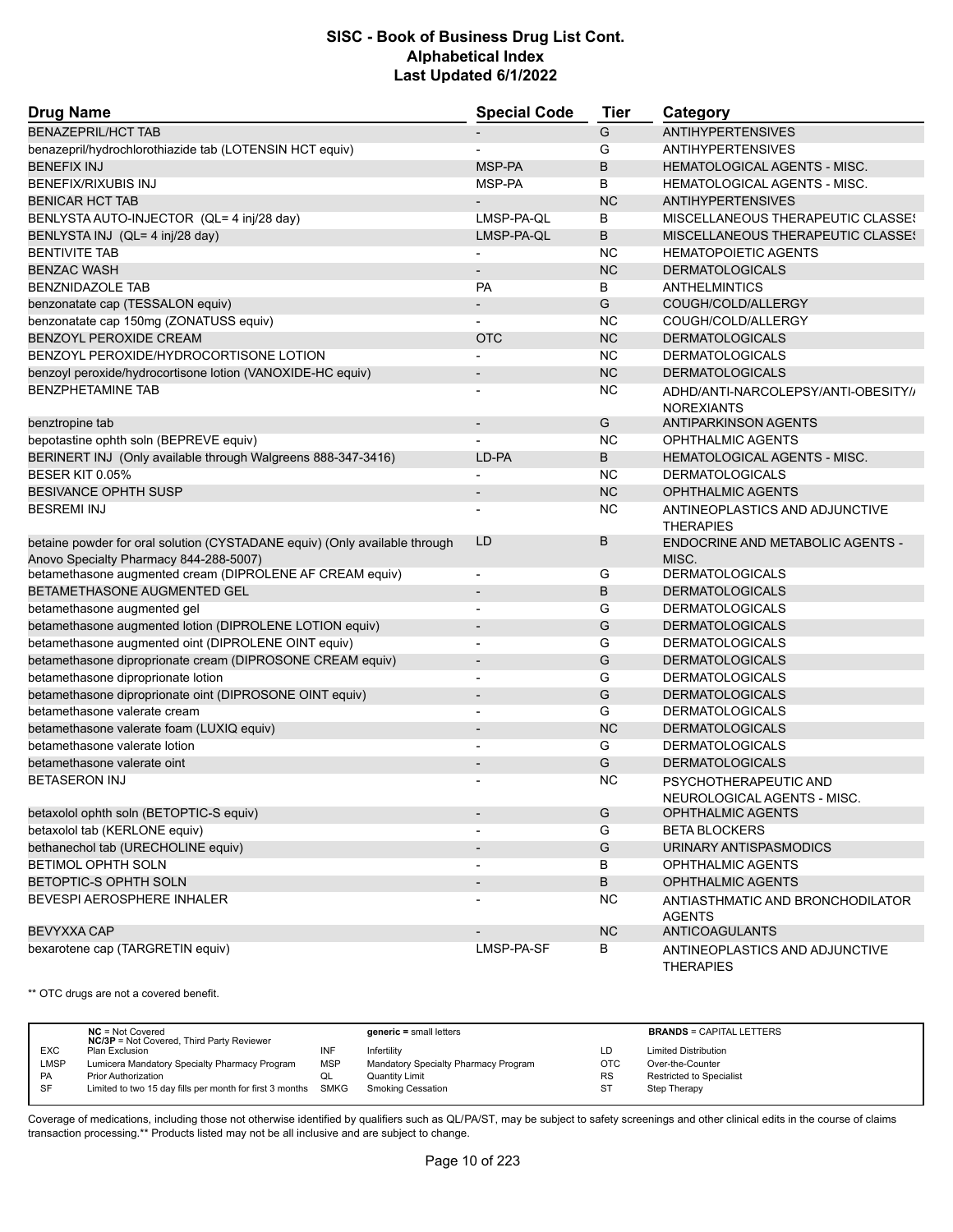| <b>Drug Name</b>                                                                                                     | <b>Special Code</b>      | <b>Tier</b> | Category                                                 |
|----------------------------------------------------------------------------------------------------------------------|--------------------------|-------------|----------------------------------------------------------|
| <b>BENAZEPRIL/HCT TAB</b>                                                                                            |                          | G           | <b>ANTIHYPERTENSIVES</b>                                 |
| benazepril/hydrochlorothiazide tab (LOTENSIN HCT equiv)                                                              |                          | G           | <b>ANTIHYPERTENSIVES</b>                                 |
| <b>BENEFIX INJ</b>                                                                                                   | MSP-PA                   | B           | HEMATOLOGICAL AGENTS - MISC.                             |
| BENEFIX/RIXUBIS INJ                                                                                                  | MSP-PA                   | В           | HEMATOLOGICAL AGENTS - MISC.                             |
| <b>BENICAR HCT TAB</b>                                                                                               |                          | <b>NC</b>   | <b>ANTIHYPERTENSIVES</b>                                 |
| BENLYSTA AUTO-INJECTOR (QL= 4 inj/28 day)                                                                            | LMSP-PA-QL               | В           | MISCELLANEOUS THERAPEUTIC CLASSES                        |
| BENLYSTA INJ (QL= 4 inj/28 day)                                                                                      | LMSP-PA-QL               | B           | MISCELLANEOUS THERAPEUTIC CLASSES                        |
| <b>BENTIVITE TAB</b>                                                                                                 | -                        | <b>NC</b>   | <b>HEMATOPOIETIC AGENTS</b>                              |
| <b>BENZAC WASH</b>                                                                                                   | $\overline{a}$           | <b>NC</b>   | <b>DERMATOLOGICALS</b>                                   |
| <b>BENZNIDAZOLE TAB</b>                                                                                              | <b>PA</b>                | В           | ANTHELMINTICS                                            |
| benzonatate cap (TESSALON equiv)                                                                                     | $\overline{\phantom{a}}$ | G           | COUGH/COLD/ALLERGY                                       |
| benzonatate cap 150mg (ZONATUSS equiv)                                                                               |                          | <b>NC</b>   | COUGH/COLD/ALLERGY                                       |
| BENZOYL PEROXIDE CREAM                                                                                               | <b>OTC</b>               | <b>NC</b>   | <b>DERMATOLOGICALS</b>                                   |
| BENZOYL PEROXIDE/HYDROCORTISONE LOTION                                                                               |                          | <b>NC</b>   | <b>DERMATOLOGICALS</b>                                   |
| benzoyl peroxide/hydrocortisone lotion (VANOXIDE-HC equiv)                                                           | $\overline{\phantom{0}}$ | <b>NC</b>   | <b>DERMATOLOGICALS</b>                                   |
| <b>BENZPHETAMINE TAB</b>                                                                                             |                          | <b>NC</b>   | ADHD/ANTI-NARCOLEPSY/ANTI-OBESITY//<br><b>NOREXIANTS</b> |
| benztropine tab                                                                                                      | $\overline{\phantom{a}}$ | G           | <b>ANTIPARKINSON AGENTS</b>                              |
| bepotastine ophth soln (BEPREVE equiv)                                                                               |                          | NC          | OPHTHALMIC AGENTS                                        |
| BERINERT INJ (Only available through Walgreens 888-347-3416)                                                         | LD-PA                    | B           | <b>HEMATOLOGICAL AGENTS - MISC.</b>                      |
| BESER KIT 0.05%                                                                                                      |                          | <b>NC</b>   | <b>DERMATOLOGICALS</b>                                   |
| <b>BESIVANCE OPHTH SUSP</b>                                                                                          | $\overline{\phantom{a}}$ | <b>NC</b>   | <b>OPHTHALMIC AGENTS</b>                                 |
| <b>BESREMI INJ</b>                                                                                                   |                          | NC          | ANTINEOPLASTICS AND ADJUNCTIVE<br><b>THERAPIES</b>       |
| betaine powder for oral solution (CYSTADANE equiv) (Only available through<br>Anovo Specialty Pharmacy 844-288-5007) | LD                       | B           | ENDOCRINE AND METABOLIC AGENTS -<br>MISC.                |
| betamethasone augmented cream (DIPROLENE AF CREAM equiv)                                                             | $\overline{\phantom{a}}$ | G           | <b>DERMATOLOGICALS</b>                                   |
| BETAMETHASONE AUGMENTED GEL                                                                                          | $\overline{a}$           | B           | <b>DERMATOLOGICALS</b>                                   |
| betamethasone augmented gel                                                                                          | $\overline{a}$           | G           | <b>DERMATOLOGICALS</b>                                   |
| betamethasone augmented lotion (DIPROLENE LOTION equiv)                                                              | $\overline{\phantom{0}}$ | G           | <b>DERMATOLOGICALS</b>                                   |
| betamethasone augmented oint (DIPROLENE OINT equiv)                                                                  | $\blacksquare$           | G           | <b>DERMATOLOGICALS</b>                                   |
| betamethasone diproprionate cream (DIPROSONE CREAM equiv)                                                            | $\overline{\phantom{a}}$ | G           | <b>DERMATOLOGICALS</b>                                   |
| betamethasone diproprionate lotion                                                                                   | $\blacksquare$           | G           | <b>DERMATOLOGICALS</b>                                   |
| betamethasone diproprionate oint (DIPROSONE OINT equiv)                                                              | $\overline{\phantom{a}}$ | G           | <b>DERMATOLOGICALS</b>                                   |
| betamethasone valerate cream                                                                                         |                          | G           | <b>DERMATOLOGICALS</b>                                   |
| betamethasone valerate foam (LUXIQ equiv)                                                                            | $\overline{\phantom{a}}$ | <b>NC</b>   | <b>DERMATOLOGICALS</b>                                   |
| betamethasone valerate lotion                                                                                        |                          | G           | <b>DERMATOLOGICALS</b>                                   |
| betamethasone valerate oint                                                                                          |                          | G           | <b>DERMATOLOGICALS</b>                                   |
| <b>BETASERON INJ</b>                                                                                                 |                          | NC          | PSYCHOTHERAPEUTIC AND<br>NEUROLOGICAL AGENTS - MISC.     |
| betaxolol ophth soln (BETOPTIC-S equiv)                                                                              | $\overline{\phantom{a}}$ | G           | OPHTHALMIC AGENTS                                        |
| betaxolol tab (KERLONE equiv)                                                                                        |                          | G           | <b>BETA BLOCKERS</b>                                     |
| bethanechol tab (URECHOLINE equiv)                                                                                   |                          | G           | URINARY ANTISPASMODICS                                   |
| BETIMOL OPHTH SOLN                                                                                                   | $\overline{\phantom{a}}$ | В           | <b>OPHTHALMIC AGENTS</b>                                 |
| <b>BETOPTIC-S OPHTH SOLN</b>                                                                                         | $\overline{\phantom{a}}$ | В           | <b>OPHTHALMIC AGENTS</b>                                 |
| BEVESPI AEROSPHERE INHALER                                                                                           |                          | <b>NC</b>   | ANTIASTHMATIC AND BRONCHODILATOR<br><b>AGENTS</b>        |
| <b>BEVYXXA CAP</b>                                                                                                   |                          | <b>NC</b>   | <b>ANTICOAGULANTS</b>                                    |
| bexarotene cap (TARGRETIN equiv)                                                                                     | LMSP-PA-SF               | В           | ANTINEOPLASTICS AND ADJUNCTIVE<br><b>THERAPIES</b>       |

\*\* OTC drugs are not a covered benefit.

|            | $NC = Not Covered$<br><b>NC/3P</b> = Not Covered, Third Party Reviewer |            | $generic = small letters$            |     | <b>BRANDS = CAPITAL LETTERS</b> |
|------------|------------------------------------------------------------------------|------------|--------------------------------------|-----|---------------------------------|
| <b>EXC</b> | Plan Exclusion                                                         | INF        | Infertility                          |     | <b>Limited Distribution</b>     |
| LMSP       | Lumicera Mandatory Specialty Pharmacy Program                          | <b>MSP</b> | Mandatory Specialty Pharmacy Program | OTC | Over-the-Counter                |
| <b>PA</b>  | <b>Prior Authorization</b>                                             | QL.        | <b>Quantity Limit</b>                | RS  | Restricted to Specialist        |
| <b>SF</b>  | Limited to two 15 day fills per month for first 3 months               | SMKG       | <b>Smoking Cessation</b>             | S٦  | Step Therapy                    |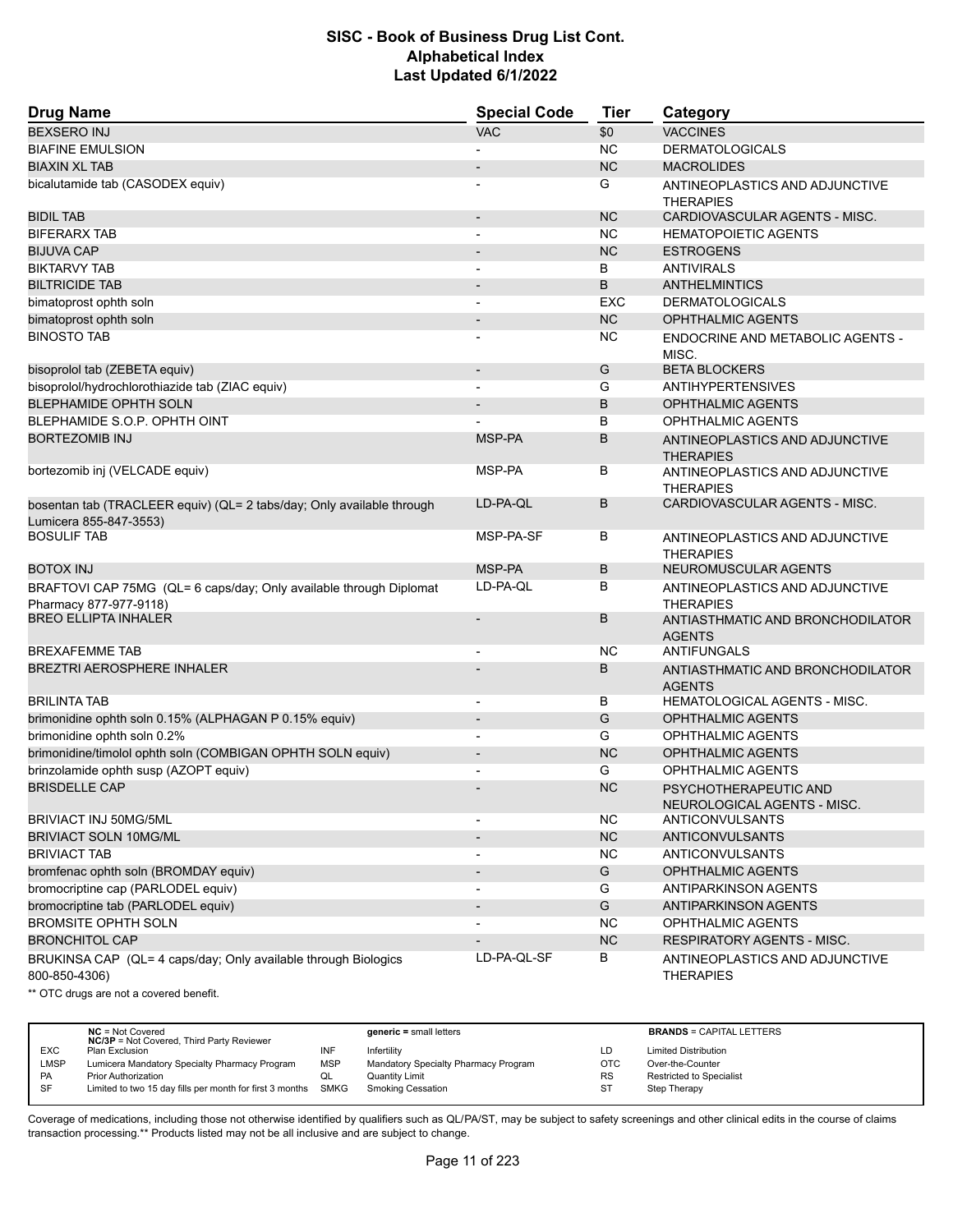| <b>Drug Name</b>                                                                                | <b>Special Code</b>      | <b>Tier</b> | Category                                             |
|-------------------------------------------------------------------------------------------------|--------------------------|-------------|------------------------------------------------------|
| <b>BEXSERO INJ</b>                                                                              | <b>VAC</b>               | \$0         | <b>VACCINES</b>                                      |
| <b>BIAFINE EMULSION</b>                                                                         |                          | <b>NC</b>   | <b>DERMATOLOGICALS</b>                               |
| <b>BIAXIN XL TAB</b>                                                                            |                          | <b>NC</b>   | <b>MACROLIDES</b>                                    |
| bicalutamide tab (CASODEX equiv)                                                                |                          | G           | ANTINEOPLASTICS AND ADJUNCTIVE<br><b>THERAPIES</b>   |
| <b>BIDIL TAB</b>                                                                                | $\overline{\phantom{m}}$ | <b>NC</b>   | CARDIOVASCULAR AGENTS - MISC.                        |
| <b>BIFERARX TAB</b>                                                                             | $\overline{\phantom{a}}$ | <b>NC</b>   | <b>HEMATOPOIETIC AGENTS</b>                          |
| <b>BIJUVA CAP</b>                                                                               |                          | <b>NC</b>   | <b>ESTROGENS</b>                                     |
| <b>BIKTARVY TAB</b>                                                                             | $\overline{\phantom{0}}$ | B           | <b>ANTIVIRALS</b>                                    |
| <b>BILTRICIDE TAB</b>                                                                           | $\overline{\phantom{m}}$ | B           | <b>ANTHELMINTICS</b>                                 |
| bimatoprost ophth soln                                                                          |                          | <b>EXC</b>  | <b>DERMATOLOGICALS</b>                               |
| bimatoprost ophth soln                                                                          | $\overline{\phantom{m}}$ | <b>NC</b>   | <b>OPHTHALMIC AGENTS</b>                             |
| <b>BINOSTO TAB</b>                                                                              |                          | NC          | ENDOCRINE AND METABOLIC AGENTS -<br>MISC.            |
| bisoprolol tab (ZEBETA equiv)                                                                   | $\overline{\phantom{a}}$ | G           | <b>BETA BLOCKERS</b>                                 |
| bisoprolol/hydrochlorothiazide tab (ZIAC equiv)                                                 |                          | G           | <b>ANTIHYPERTENSIVES</b>                             |
| <b>BLEPHAMIDE OPHTH SOLN</b>                                                                    |                          | B           | <b>OPHTHALMIC AGENTS</b>                             |
| BLEPHAMIDE S.O.P. OPHTH OINT                                                                    |                          | В           | <b>OPHTHALMIC AGENTS</b>                             |
| <b>BORTEZOMIB INJ</b>                                                                           | MSP-PA                   | B           | ANTINEOPLASTICS AND ADJUNCTIVE<br><b>THERAPIES</b>   |
| bortezomib inj (VELCADE equiv)                                                                  | MSP-PA                   | B           | ANTINEOPLASTICS AND ADJUNCTIVE<br><b>THERAPIES</b>   |
| bosentan tab (TRACLEER equiv) (QL= 2 tabs/day; Only available through<br>Lumicera 855-847-3553) | LD-PA-QL                 | B           | CARDIOVASCULAR AGENTS - MISC.                        |
| <b>BOSULIF TAB</b>                                                                              | MSP-PA-SF                | В           | ANTINEOPLASTICS AND ADJUNCTIVE<br><b>THERAPIES</b>   |
| <b>BOTOX INJ</b>                                                                                | MSP-PA                   | B           | NEUROMUSCULAR AGENTS                                 |
| BRAFTOVI CAP 75MG (QL= 6 caps/day; Only available through Diplomat<br>Pharmacy 877-977-9118)    | LD-PA-QL                 | B           | ANTINEOPLASTICS AND ADJUNCTIVE<br><b>THERAPIES</b>   |
| <b>BREO ELLIPTA INHALER</b>                                                                     | $\overline{\phantom{m}}$ | B           | ANTIASTHMATIC AND BRONCHODILATOR<br><b>AGENTS</b>    |
| <b>BREXAFEMME TAB</b>                                                                           | $\overline{\phantom{0}}$ | NC          | ANTIFUNGALS                                          |
| <b>BREZTRI AEROSPHERE INHALER</b>                                                               |                          | B           | ANTIASTHMATIC AND BRONCHODILATOR<br><b>AGENTS</b>    |
| <b>BRILINTA TAB</b>                                                                             | $\overline{a}$           | В           | <b>HEMATOLOGICAL AGENTS - MISC.</b>                  |
| brimonidine ophth soln 0.15% (ALPHAGAN P 0.15% equiv)                                           |                          | G           | OPHTHALMIC AGENTS                                    |
| brimonidine ophth soln 0.2%                                                                     | $\overline{a}$           | G           | <b>OPHTHALMIC AGENTS</b>                             |
| brimonidine/timolol ophth soln (COMBIGAN OPHTH SOLN equiv)                                      | $\overline{\phantom{a}}$ | <b>NC</b>   | <b>OPHTHALMIC AGENTS</b>                             |
| brinzolamide ophth susp (AZOPT equiv)                                                           |                          | G           | <b>OPHTHALMIC AGENTS</b>                             |
| <b>BRISDELLE CAP</b>                                                                            |                          | <b>NC</b>   | PSYCHOTHERAPEUTIC AND<br>NEUROLOGICAL AGENTS - MISC. |
| BRIVIACT INJ 50MG/5ML                                                                           |                          | NC.         | ANTICONVULSANTS                                      |
| <b>BRIVIACT SOLN 10MG/ML</b>                                                                    |                          | $NC$        | <b>ANTICONVULSANTS</b>                               |
| <b>BRIVIACT TAB</b>                                                                             |                          | <b>NC</b>   | ANTICONVULSANTS                                      |
| bromfenac ophth soln (BROMDAY equiv)                                                            |                          | G           | <b>OPHTHALMIC AGENTS</b>                             |
| bromocriptine cap (PARLODEL equiv)                                                              | $\overline{\phantom{0}}$ | G           | ANTIPARKINSON AGENTS                                 |
| bromocriptine tab (PARLODEL equiv)                                                              |                          | G           | <b>ANTIPARKINSON AGENTS</b>                          |
| <b>BROMSITE OPHTH SOLN</b>                                                                      |                          | <b>NC</b>   | <b>OPHTHALMIC AGENTS</b>                             |
| <b>BRONCHITOL CAP</b>                                                                           | $\overline{\phantom{a}}$ | NC          | <b>RESPIRATORY AGENTS - MISC.</b>                    |
| BRUKINSA CAP (QL= 4 caps/day; Only available through Biologics<br>800-850-4306)                 | LD-PA-QL-SF              | В           | ANTINEOPLASTICS AND ADJUNCTIVE<br><b>THERAPIES</b>   |

\*\* OTC drugs are not a covered benefit.

|             | $NC = Not Covered$<br><b>NC/3P</b> = Not Covered, Third Party Reviewer |            | $generic = small letters$            |     | <b>BRANDS = CAPITAL LETTERS</b> |
|-------------|------------------------------------------------------------------------|------------|--------------------------------------|-----|---------------------------------|
| <b>EXC</b>  | Plan Exclusion                                                         | INF        | Infertility                          |     | <b>Limited Distribution</b>     |
| <b>LMSP</b> | Lumicera Mandatory Specialty Pharmacy Program                          | <b>MSP</b> | Mandatory Specialty Pharmacy Program | OTC | Over-the-Counter                |
| <b>PA</b>   | <b>Prior Authorization</b>                                             | QL         | <b>Quantity Limit</b>                | RS  | Restricted to Specialist        |
| <b>SF</b>   | Limited to two 15 day fills per month for first 3 months               | SMKG       | <b>Smoking Cessation</b>             | -S7 | Step Therapy                    |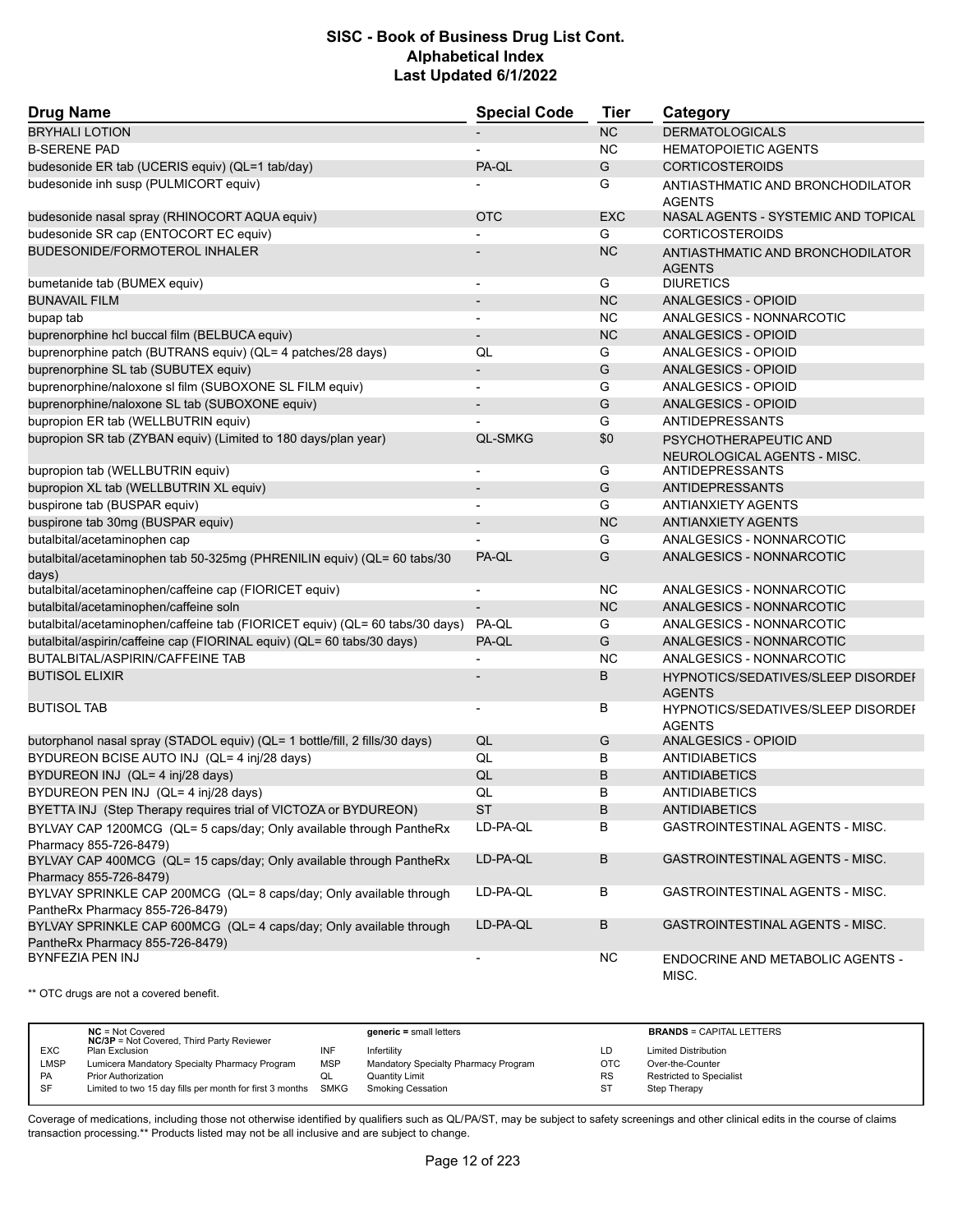| <b>Drug Name</b>                                                                                      | <b>Special Code</b>      | <b>Tier</b> | Category                                                   |
|-------------------------------------------------------------------------------------------------------|--------------------------|-------------|------------------------------------------------------------|
| <b>BRYHALI LOTION</b>                                                                                 |                          | <b>NC</b>   | <b>DERMATOLOGICALS</b>                                     |
| <b>B-SERENE PAD</b>                                                                                   |                          | <b>NC</b>   | <b>HEMATOPOIETIC AGENTS</b>                                |
| budesonide ER tab (UCERIS equiv) (QL=1 tab/day)                                                       | PA-QL                    | G           | <b>CORTICOSTEROIDS</b>                                     |
| budesonide inh susp (PULMICORT equiv)                                                                 |                          | G           | ANTIASTHMATIC AND BRONCHODILATOR<br><b>AGENTS</b>          |
| budesonide nasal spray (RHINOCORT AQUA equiv)                                                         | <b>OTC</b>               | <b>EXC</b>  | NASAL AGENTS - SYSTEMIC AND TOPICAL                        |
| budesonide SR cap (ENTOCORT EC equiv)                                                                 |                          | G           | <b>CORTICOSTEROIDS</b>                                     |
| <b>BUDESONIDE/FORMOTEROL INHALER</b>                                                                  |                          | <b>NC</b>   | ANTIASTHMATIC AND BRONCHODILATOR<br><b>AGENTS</b>          |
| bumetanide tab (BUMEX equiv)                                                                          |                          | G           | <b>DIURETICS</b>                                           |
| <b>BUNAVAIL FILM</b>                                                                                  | $\overline{\phantom{0}}$ | <b>NC</b>   | ANALGESICS - OPIOID                                        |
| bupap tab                                                                                             |                          | <b>NC</b>   | ANALGESICS - NONNARCOTIC                                   |
| buprenorphine hcl buccal film (BELBUCA equiv)                                                         |                          | <b>NC</b>   | ANALGESICS - OPIOID                                        |
| buprenorphine patch (BUTRANS equiv) (QL= 4 patches/28 days)                                           | QL                       | G           | ANALGESICS - OPIOID                                        |
| buprenorphine SL tab (SUBUTEX equiv)                                                                  |                          | G           | ANALGESICS - OPIOID                                        |
| buprenorphine/naloxone sl film (SUBOXONE SL FILM equiv)                                               |                          | G           | ANALGESICS - OPIOID                                        |
| buprenorphine/naloxone SL tab (SUBOXONE equiv)                                                        |                          | G           | ANALGESICS - OPIOID                                        |
| bupropion ER tab (WELLBUTRIN equiv)                                                                   |                          | G           | <b>ANTIDEPRESSANTS</b>                                     |
| bupropion SR tab (ZYBAN equiv) (Limited to 180 days/plan year)                                        | <b>QL-SMKG</b>           | \$0         | PSYCHOTHERAPEUTIC AND<br>NEUROLOGICAL AGENTS - MISC.       |
| bupropion tab (WELLBUTRIN equiv)                                                                      |                          | G           | ANTIDEPRESSANTS                                            |
| bupropion XL tab (WELLBUTRIN XL equiv)                                                                |                          | G           | ANTIDEPRESSANTS                                            |
| buspirone tab (BUSPAR equiv)                                                                          | $\overline{\phantom{a}}$ | G           | <b>ANTIANXIETY AGENTS</b>                                  |
| buspirone tab 30mg (BUSPAR equiv)                                                                     |                          | <b>NC</b>   | <b>ANTIANXIETY AGENTS</b>                                  |
| butalbital/acetaminophen cap                                                                          |                          | G           | ANALGESICS - NONNARCOTIC                                   |
| butalbital/acetaminophen tab 50-325mg (PHRENILIN equiv) (QL= 60 tabs/30<br>days)                      | PA-QL                    | G           | ANALGESICS - NONNARCOTIC                                   |
| butalbital/acetaminophen/caffeine cap (FIORICET equiv)                                                | $\overline{\phantom{a}}$ | NC          | ANALGESICS - NONNARCOTIC                                   |
| butalbital/acetaminophen/caffeine soln                                                                |                          | <b>NC</b>   | ANALGESICS - NONNARCOTIC                                   |
| butalbital/acetaminophen/caffeine tab (FIORICET equiv) (QL= 60 tabs/30 days)                          | PA-QL                    | G           | ANALGESICS - NONNARCOTIC                                   |
| butalbital/aspirin/caffeine cap (FIORINAL equiv) (QL= 60 tabs/30 days)                                | PA-QL                    | G           | ANALGESICS - NONNARCOTIC                                   |
| BUTALBITAL/ASPIRIN/CAFFEINE TAB                                                                       |                          | <b>NC</b>   | ANALGESICS - NONNARCOTIC                                   |
| <b>BUTISOL ELIXIR</b>                                                                                 |                          | B           | HYPNOTICS/SEDATIVES/SLEEP DISORDEI<br><b>AGENTS</b>        |
| <b>BUTISOL TAB</b>                                                                                    | ÷                        | В           | <b>HYPNOTICS/SEDATIVES/SLEEP DISORDEF</b><br><b>AGENTS</b> |
| butorphanol nasal spray (STADOL equiv) (QL= 1 bottle/fill, 2 fills/30 days)                           | QL                       | G           | <b>ANALGESICS - OPIOID</b>                                 |
| BYDUREON BCISE AUTO INJ (QL= 4 inj/28 days)                                                           | QL                       | В           | <b>ANTIDIABETICS</b>                                       |
| BYDUREON INJ (QL= 4 inj/28 days)                                                                      | QL                       | B           | <b>ANTIDIABETICS</b>                                       |
| BYDUREON PEN INJ (QL= 4 inj/28 days)                                                                  | QL                       | B           | <b>ANTIDIABETICS</b>                                       |
| BYETTA INJ (Step Therapy requires trial of VICTOZA or BYDUREON)                                       | <b>ST</b>                | B           | ANTIDIABETICS                                              |
| BYLVAY CAP 1200MCG (QL= 5 caps/day; Only available through PantheRx<br>Pharmacy 855-726-8479)         | LD-PA-QL                 | В           | GASTROINTESTINAL AGENTS - MISC.                            |
| BYLVAY CAP 400MCG (QL= 15 caps/day; Only available through PantheRx<br>Pharmacy 855-726-8479)         | LD-PA-QL                 | B           | GASTROINTESTINAL AGENTS - MISC.                            |
| BYLVAY SPRINKLE CAP 200MCG (QL= 8 caps/day; Only available through<br>PantheRx Pharmacy 855-726-8479) | LD-PA-QL                 | В           | GASTROINTESTINAL AGENTS - MISC.                            |
| BYLVAY SPRINKLE CAP 600MCG (QL= 4 caps/day; Only available through<br>PantheRx Pharmacy 855-726-8479) | LD-PA-QL                 | В           | GASTROINTESTINAL AGENTS - MISC.                            |
| BYNFEZIA PEN INJ                                                                                      |                          | <b>NC</b>   | ENDOCRINE AND METABOLIC AGENTS -<br>MISC.                  |

\*\* OTC drugs are not a covered benefit.

|             | $NC = Not Covered$<br><b>NC/3P</b> = Not Covered, Third Party Reviewer |            | $generic = small letters$            |            | <b>BRANDS = CAPITAL LETTERS</b> |
|-------------|------------------------------------------------------------------------|------------|--------------------------------------|------------|---------------------------------|
| <b>EXC</b>  | Plan Exclusion                                                         | INF        | Infertility                          | LD         | <b>Limited Distribution</b>     |
| <b>LMSP</b> | Lumicera Mandatory Specialty Pharmacy Program                          | <b>MSP</b> | Mandatory Specialty Pharmacy Program | <b>OTC</b> | Over-the-Counter                |
| <b>PA</b>   | <b>Prior Authorization</b>                                             |            | Quantity Limit                       | <b>RS</b>  | <b>Restricted to Specialist</b> |
| SF          | Limited to two 15 day fills per month for first 3 months SMKG          |            | <b>Smoking Cessation</b>             | ST         | Step Therapy                    |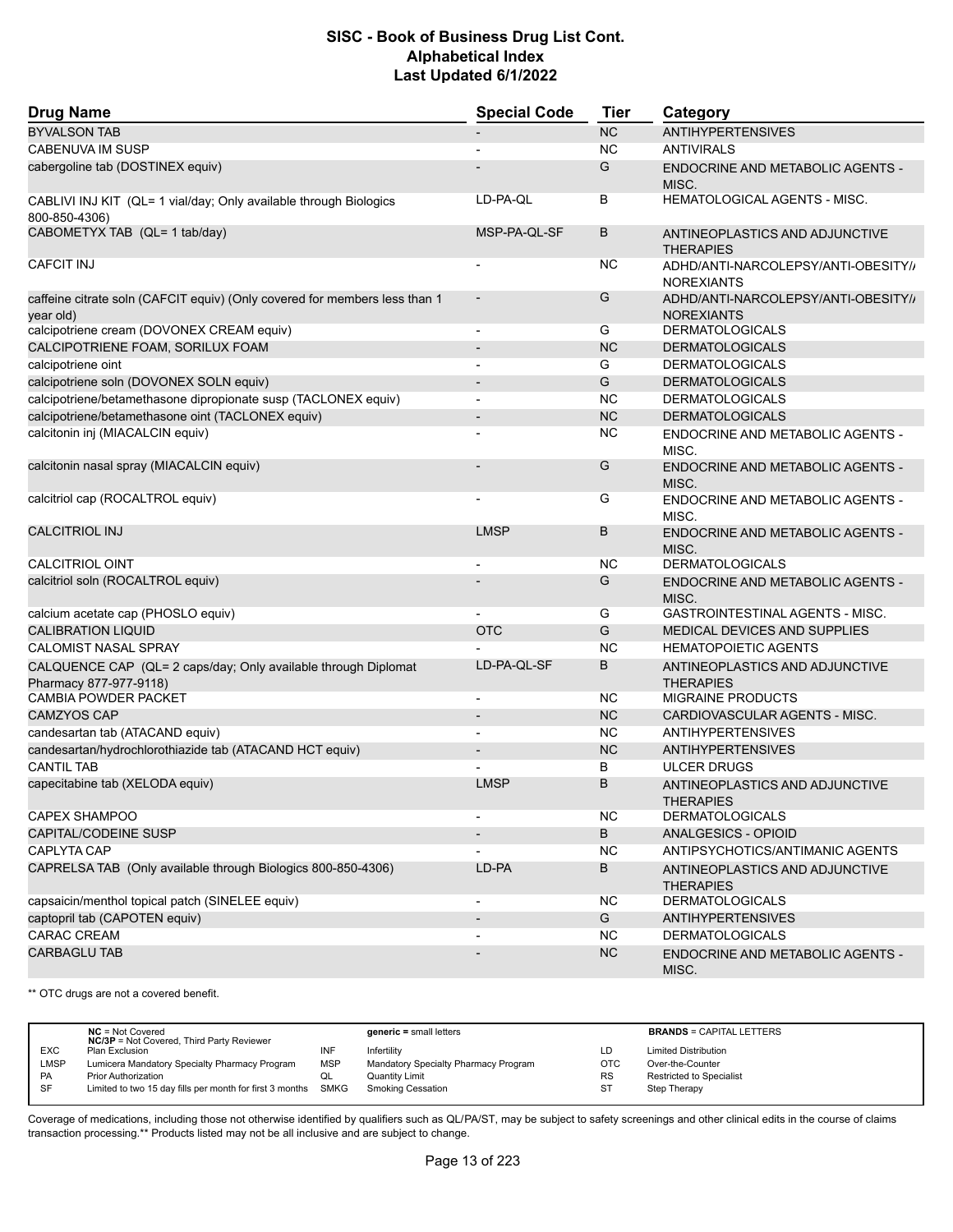| <b>Drug Name</b>                                                                         | <b>Special Code</b>          | <b>Tier</b> | Category                                                 |
|------------------------------------------------------------------------------------------|------------------------------|-------------|----------------------------------------------------------|
| <b>BYVALSON TAB</b>                                                                      |                              | <b>NC</b>   | <b>ANTIHYPERTENSIVES</b>                                 |
| CABENUVA IM SUSP                                                                         |                              | <b>NC</b>   | <b>ANTIVIRALS</b>                                        |
| cabergoline tab (DOSTINEX equiv)                                                         |                              | G           | <b>ENDOCRINE AND METABOLIC AGENTS -</b><br>MISC.         |
| CABLIVI INJ KIT (QL= 1 vial/day; Only available through Biologics<br>800-850-4306)       | LD-PA-QL                     | B           | HEMATOLOGICAL AGENTS - MISC.                             |
| CABOMETYX TAB (QL= 1 tab/day)                                                            | MSP-PA-QL-SF                 | B           | ANTINEOPLASTICS AND ADJUNCTIVE<br><b>THERAPIES</b>       |
| <b>CAFCIT INJ</b>                                                                        |                              | <b>NC</b>   | ADHD/ANTI-NARCOLEPSY/ANTI-OBESITY//<br><b>NOREXIANTS</b> |
| caffeine citrate soln (CAFCIT equiv) (Only covered for members less than 1<br>year old)  |                              | G           | ADHD/ANTI-NARCOLEPSY/ANTI-OBESITY//<br><b>NOREXIANTS</b> |
| calcipotriene cream (DOVONEX CREAM equiv)                                                | $\overline{a}$               | G           | <b>DERMATOLOGICALS</b>                                   |
| CALCIPOTRIENE FOAM, SORILUX FOAM                                                         | $\qquad \qquad \blacksquare$ | <b>NC</b>   | <b>DERMATOLOGICALS</b>                                   |
| calcipotriene oint                                                                       | $\overline{a}$               | G           | <b>DERMATOLOGICALS</b>                                   |
| calcipotriene soln (DOVONEX SOLN equiv)                                                  |                              | G           | <b>DERMATOLOGICALS</b>                                   |
| calcipotriene/betamethasone dipropionate susp (TACLONEX equiv)                           | $\blacksquare$               | NC.         | <b>DERMATOLOGICALS</b>                                   |
| calcipotriene/betamethasone oint (TACLONEX equiv)                                        | $\overline{\phantom{m}}$     | <b>NC</b>   | <b>DERMATOLOGICALS</b>                                   |
| calcitonin inj (MIACALCIN equiv)                                                         |                              | <b>NC</b>   | ENDOCRINE AND METABOLIC AGENTS -<br>MISC.                |
| calcitonin nasal spray (MIACALCIN equiv)                                                 |                              | G           | <b>ENDOCRINE AND METABOLIC AGENTS -</b><br>MISC.         |
| calcitriol cap (ROCALTROL equiv)                                                         |                              | G           | <b>ENDOCRINE AND METABOLIC AGENTS -</b><br>MISC.         |
| <b>CALCITRIOL INJ</b>                                                                    | <b>LMSP</b>                  | B           | <b>ENDOCRINE AND METABOLIC AGENTS -</b><br>MISC.         |
| <b>CALCITRIOL OINT</b>                                                                   |                              | <b>NC</b>   | <b>DERMATOLOGICALS</b>                                   |
| calcitriol soln (ROCALTROL equiv)                                                        |                              | G           | ENDOCRINE AND METABOLIC AGENTS -<br>MISC.                |
| calcium acetate cap (PHOSLO equiv)                                                       |                              | G           | GASTROINTESTINAL AGENTS - MISC.                          |
| <b>CALIBRATION LIQUID</b>                                                                | <b>OTC</b>                   | G           | MEDICAL DEVICES AND SUPPLIES                             |
| <b>CALOMIST NASAL SPRAY</b>                                                              |                              | <b>NC</b>   | <b>HEMATOPOIETIC AGENTS</b>                              |
| CALQUENCE CAP (QL= 2 caps/day; Only available through Diplomat<br>Pharmacy 877-977-9118) | LD-PA-QL-SF                  | B           | ANTINEOPLASTICS AND ADJUNCTIVE<br><b>THERAPIES</b>       |
| <b>CAMBIA POWDER PACKET</b>                                                              | $\overline{\phantom{a}}$     | NC.         | <b>MIGRAINE PRODUCTS</b>                                 |
| <b>CAMZYOS CAP</b>                                                                       | $\overline{\phantom{a}}$     | <b>NC</b>   | CARDIOVASCULAR AGENTS - MISC.                            |
| candesartan tab (ATACAND equiv)                                                          |                              | <b>NC</b>   | <b>ANTIHYPERTENSIVES</b>                                 |
| candesartan/hydrochlorothiazide tab (ATACAND HCT equiv)                                  | $\overline{\phantom{m}}$     | <b>NC</b>   | <b>ANTIHYPERTENSIVES</b>                                 |
| <b>CANTIL TAB</b>                                                                        |                              | B           | <b>ULCER DRUGS</b>                                       |
| capecitabine tab (XELODA equiv)                                                          | <b>LMSP</b>                  | B           | ANTINEOPLASTICS AND ADJUNCTIVE<br><b>I HERAPIES</b>      |
| <b>CAPEX SHAMPOO</b>                                                                     |                              | <b>NC</b>   | <b>DERMATOLOGICALS</b>                                   |
| <b>CAPITAL/CODEINE SUSP</b>                                                              |                              | B           | <b>ANALGESICS - OPIOID</b>                               |
| CAPLYTA CAP                                                                              |                              | NC.         | ANTIPSYCHOTICS/ANTIMANIC AGENTS                          |
| CAPRELSA TAB (Only available through Biologics 800-850-4306)                             | LD-PA                        | B           | ANTINEOPLASTICS AND ADJUNCTIVE<br><b>THERAPIES</b>       |
| capsaicin/menthol topical patch (SINELEE equiv)                                          | $\overline{\phantom{a}}$     | <b>NC</b>   | <b>DERMATOLOGICALS</b>                                   |
| captopril tab (CAPOTEN equiv)                                                            |                              | G           | <b>ANTIHYPERTENSIVES</b>                                 |
| <b>CARAC CREAM</b>                                                                       | $\overline{a}$               | NC.         | <b>DERMATOLOGICALS</b>                                   |
| <b>CARBAGLU TAB</b>                                                                      |                              | <b>NC</b>   | ENDOCRINE AND METABOLIC AGENTS -<br>MISC.                |

\*\* OTC drugs are not a covered benefit.

|             | $NC = Not Covered$<br><b>NC/3P</b> = Not Covered, Third Party Reviewer |            | $generic = small letters$            |           | <b>BRANDS = CAPITAL LETTERS</b> |
|-------------|------------------------------------------------------------------------|------------|--------------------------------------|-----------|---------------------------------|
| <b>EXC</b>  | Plan Exclusion                                                         | INF        | Infertility                          | LD        | <b>Limited Distribution</b>     |
| <b>LMSP</b> | Lumicera Mandatory Specialty Pharmacy Program                          | <b>MSP</b> | Mandatory Specialty Pharmacy Program | OTC       | Over-the-Counter                |
| PA          | <b>Prior Authorization</b>                                             |            | Quantity Limit                       | <b>RS</b> | <b>Restricted to Specialist</b> |
| SF          | Limited to two 15 day fills per month for first 3 months SMKG          |            | <b>Smoking Cessation</b>             | ST        | Step Therapy                    |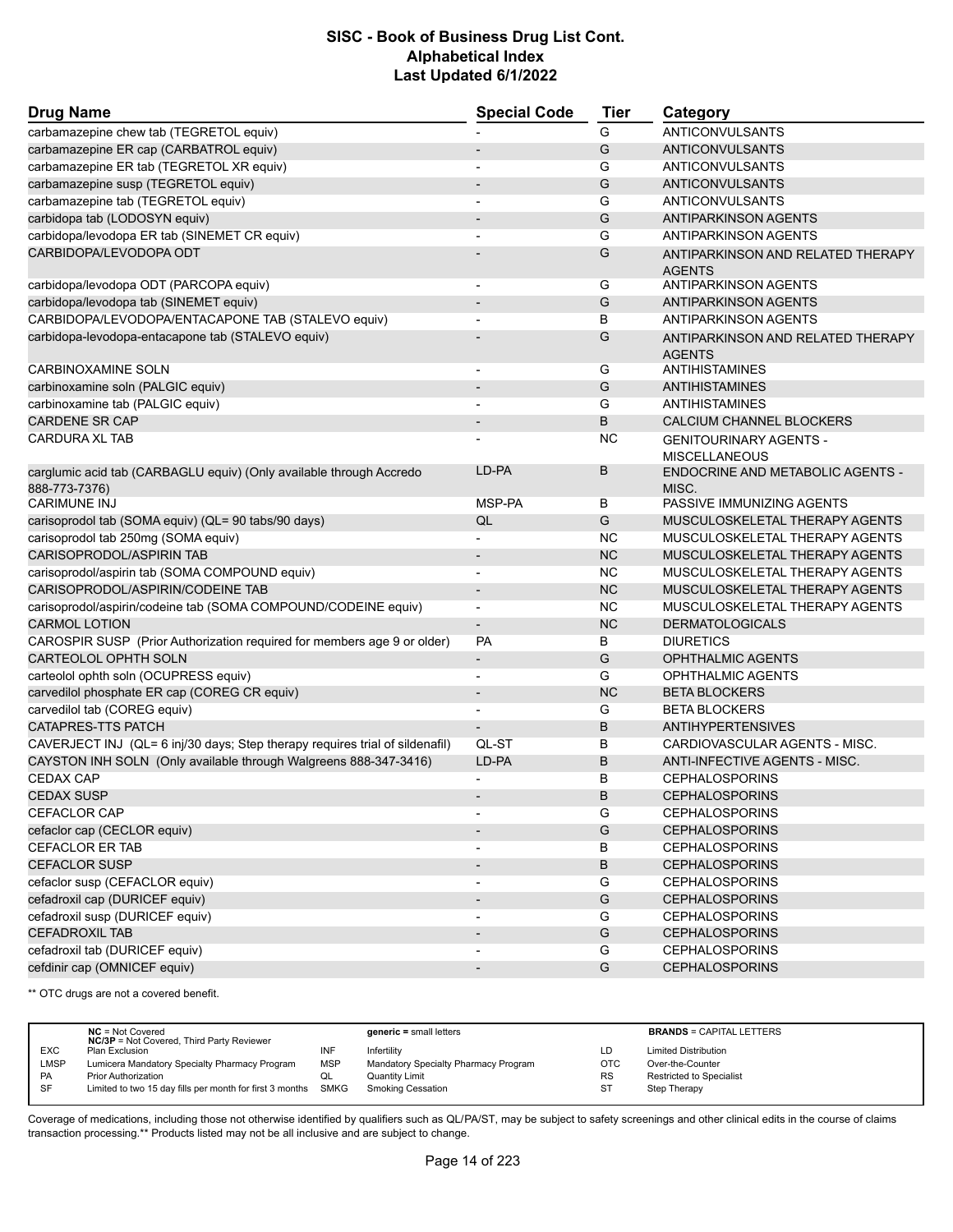| <b>Drug Name</b>                                                                     | <b>Special Code</b>      | <b>Tier</b>   | Category                                              |
|--------------------------------------------------------------------------------------|--------------------------|---------------|-------------------------------------------------------|
| carbamazepine chew tab (TEGRETOL equiv)                                              |                          | G             | <b>ANTICONVULSANTS</b>                                |
| carbamazepine ER cap (CARBATROL equiv)                                               |                          | G             | <b>ANTICONVULSANTS</b>                                |
| carbamazepine ER tab (TEGRETOL XR equiv)                                             |                          | G             | ANTICONVULSANTS                                       |
| carbamazepine susp (TEGRETOL equiv)                                                  |                          | G             | ANTICONVULSANTS                                       |
| carbamazepine tab (TEGRETOL equiv)                                                   | $\overline{\phantom{a}}$ | G             | ANTICONVULSANTS                                       |
| carbidopa tab (LODOSYN equiv)                                                        |                          | G             | <b>ANTIPARKINSON AGENTS</b>                           |
| carbidopa/levodopa ER tab (SINEMET CR equiv)                                         |                          | G             | ANTIPARKINSON AGENTS                                  |
| CARBIDOPA/LEVODOPA ODT                                                               |                          | G             | ANTIPARKINSON AND RELATED THERAPY<br><b>AGENTS</b>    |
| carbidopa/levodopa ODT (PARCOPA equiv)                                               | $\overline{\phantom{a}}$ | G             | <b>ANTIPARKINSON AGENTS</b>                           |
| carbidopa/levodopa tab (SINEMET equiv)                                               | $\overline{\phantom{a}}$ | G             | <b>ANTIPARKINSON AGENTS</b>                           |
| CARBIDOPA/LEVODOPA/ENTACAPONE TAB (STALEVO equiv)                                    |                          | В             | <b>ANTIPARKINSON AGENTS</b>                           |
| carbidopa-levodopa-entacapone tab (STALEVO equiv)                                    |                          | G             | ANTIPARKINSON AND RELATED THERAPY<br><b>AGENTS</b>    |
| <b>CARBINOXAMINE SOLN</b>                                                            | $\overline{\phantom{a}}$ | G             | ANTIHISTAMINES                                        |
| carbinoxamine soln (PALGIC equiv)                                                    |                          | G             | ANTIHISTAMINES                                        |
| carbinoxamine tab (PALGIC equiv)                                                     |                          | G             | <b>ANTIHISTAMINES</b>                                 |
| <b>CARDENE SR CAP</b>                                                                | $\overline{\phantom{a}}$ | B             | CALCIUM CHANNEL BLOCKERS                              |
| <b>CARDURA XL TAB</b>                                                                |                          | <b>NC</b>     | <b>GENITOURINARY AGENTS -</b><br><b>MISCELLANEOUS</b> |
| carglumic acid tab (CARBAGLU equiv) (Only available through Accredo<br>888-773-7376) | LD-PA                    | B             | <b>ENDOCRINE AND METABOLIC AGENTS -</b><br>MISC.      |
| <b>CARIMUNE INJ</b>                                                                  | MSP-PA                   | В             | PASSIVE IMMUNIZING AGENTS                             |
| carisoprodol tab (SOMA equiv) (QL= 90 tabs/90 days)                                  | QL                       | G             | MUSCULOSKELETAL THERAPY AGENTS                        |
| carisoprodol tab 250mg (SOMA equiv)                                                  | $\blacksquare$           | <b>NC</b>     | MUSCULOSKELETAL THERAPY AGENTS                        |
| CARISOPRODOL/ASPIRIN TAB                                                             |                          | <b>NC</b>     | MUSCULOSKELETAL THERAPY AGENTS                        |
| carisoprodol/aspirin tab (SOMA COMPOUND equiv)                                       |                          | <b>NC</b>     | MUSCULOSKELETAL THERAPY AGENTS                        |
| CARISOPRODOL/ASPIRIN/CODEINE TAB                                                     |                          | <b>NC</b>     | MUSCULOSKELETAL THERAPY AGENTS                        |
| carisoprodol/aspirin/codeine tab (SOMA COMPOUND/CODEINE equiv)                       | $\overline{\phantom{a}}$ | <b>NC</b>     | MUSCULOSKELETAL THERAPY AGENTS                        |
| <b>CARMOL LOTION</b>                                                                 | $\overline{\phantom{a}}$ | <b>NC</b>     | <b>DERMATOLOGICALS</b>                                |
| CAROSPIR SUSP (Prior Authorization required for members age 9 or older)              | <b>PA</b>                | В             | <b>DIURETICS</b>                                      |
| <b>CARTEOLOL OPHTH SOLN</b>                                                          | $\overline{\phantom{a}}$ | G             | <b>OPHTHALMIC AGENTS</b>                              |
| carteolol ophth soln (OCUPRESS equiv)                                                |                          | G             | <b>OPHTHALMIC AGENTS</b>                              |
| carvedilol phosphate ER cap (COREG CR equiv)                                         | $\overline{\phantom{a}}$ | <b>NC</b>     | <b>BETA BLOCKERS</b>                                  |
| carvedilol tab (COREG equiv)                                                         | $\blacksquare$           | G             | <b>BETA BLOCKERS</b>                                  |
| CATAPRES-TTS PATCH                                                                   |                          | B             | <b>ANTIHYPERTENSIVES</b>                              |
| CAVERJECT INJ (QL= 6 inj/30 days; Step therapy requires trial of sildenafil)         | QL-ST                    | в             | CARDIOVASCULAR AGENTS - MISC.                         |
| CAYSTON INH SOLN (Only available through Walgreens 888-347-3416)                     | LD-PA                    | B             | ANTI-INFECTIVE AGENTS - MISC.                         |
| <b>CEDAX CAP</b>                                                                     |                          | B             | <b>CEPHALOSPORINS</b>                                 |
| <b>CEDAX SUSP</b>                                                                    |                          | <sub>B</sub>  | <b>CEPHALOSPORINS</b>                                 |
| <b>CEFACLOR CAP</b>                                                                  |                          | G             | <b>CEPHALOSPORINS</b>                                 |
| cefaclor cap (CECLOR equiv)                                                          |                          | G             | <b>CEPHALOSPORINS</b>                                 |
| CEFACLOR ER TAB                                                                      |                          | В             | <b>CEPHALOSPORINS</b>                                 |
| <b>CEFACLOR SUSP</b>                                                                 |                          | B             | <b>CEPHALOSPORINS</b>                                 |
| cefaclor susp (CEFACLOR equiv)                                                       |                          | G             | <b>CEPHALOSPORINS</b>                                 |
| cefadroxil cap (DURICEF equiv)                                                       |                          | G             | <b>CEPHALOSPORINS</b>                                 |
| cefadroxil susp (DURICEF equiv)                                                      |                          | G             | <b>CEPHALOSPORINS</b>                                 |
| <b>CEFADROXIL TAB</b>                                                                |                          | G             | <b>CEPHALOSPORINS</b>                                 |
| cefadroxil tab (DURICEF equiv)                                                       |                          | G             | <b>CEPHALOSPORINS</b>                                 |
| cefdinir cap (OMNICEF equiv)                                                         |                          | ${\mathsf G}$ | <b>CEPHALOSPORINS</b>                                 |

\*\* OTC drugs are not a covered benefit.

|            | $NC = Not Covered$<br><b>NC/3P</b> = Not Covered, Third Party Reviewer |            | $generic = small letters$            |            | <b>BRANDS = CAPITAL LETTERS</b> |
|------------|------------------------------------------------------------------------|------------|--------------------------------------|------------|---------------------------------|
| <b>EXC</b> | Plan Exclusion                                                         | INF        | Infertility                          | LD         | <b>Limited Distribution</b>     |
| LMSP       | Lumicera Mandatory Specialty Pharmacy Program                          | <b>MSP</b> | Mandatory Specialty Pharmacy Program | <b>OTC</b> | Over-the-Counter                |
| PA         | <b>Prior Authorization</b>                                             | QL         | Quantity Limit                       | <b>RS</b>  | <b>Restricted to Specialist</b> |
| <b>SF</b>  | Limited to two 15 day fills per month for first 3 months SMKG          |            | <b>Smoking Cessation</b>             | <b>ST</b>  | Step Therapy                    |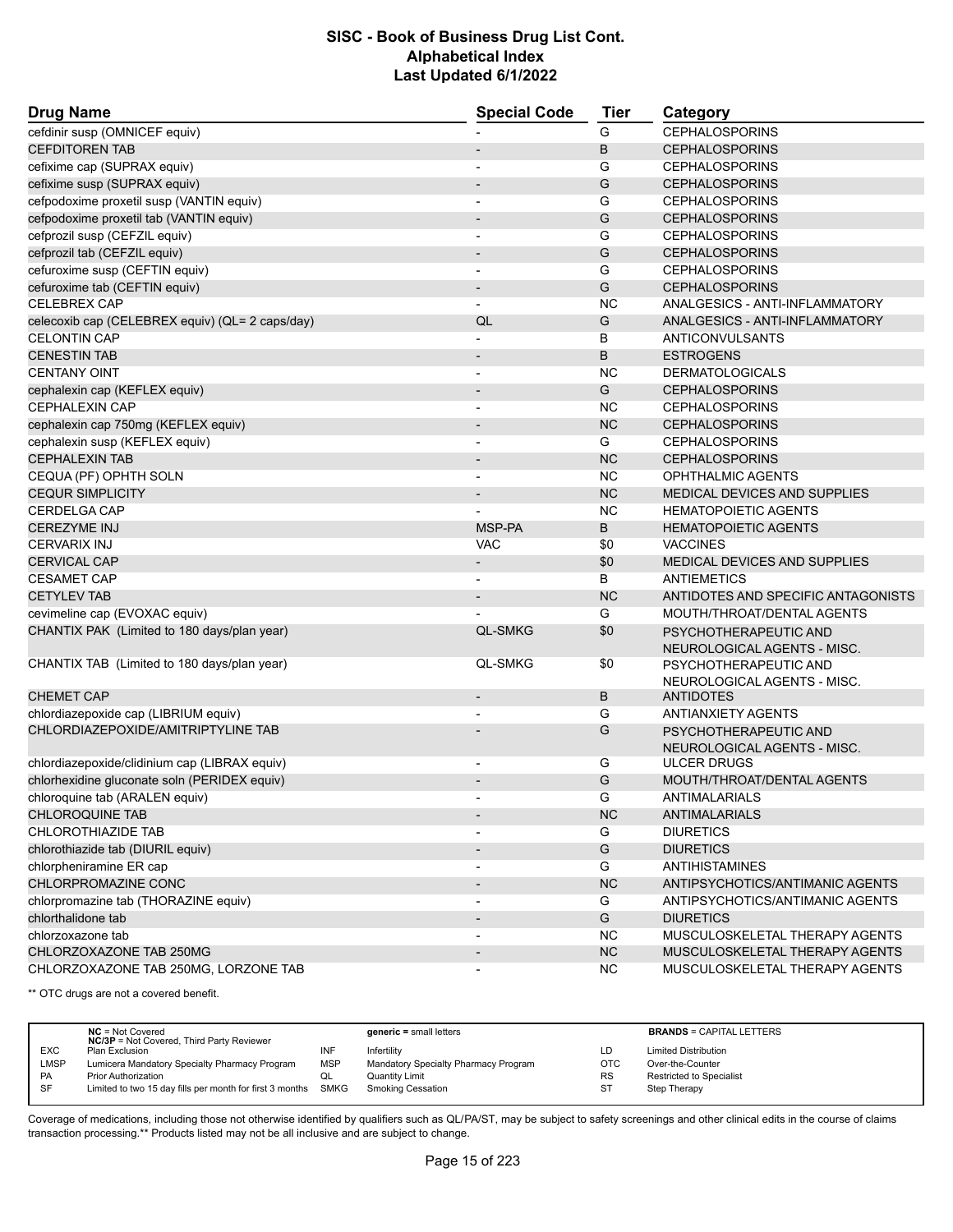| <b>Drug Name</b>                                | <b>Special Code</b>      | <b>Tier</b> | Category                            |
|-------------------------------------------------|--------------------------|-------------|-------------------------------------|
| cefdinir susp (OMNICEF equiv)                   |                          | G           | <b>CEPHALOSPORINS</b>               |
| <b>CEFDITOREN TAB</b>                           |                          | B           | <b>CEPHALOSPORINS</b>               |
| cefixime cap (SUPRAX equiv)                     |                          | G           | <b>CEPHALOSPORINS</b>               |
| cefixime susp (SUPRAX equiv)                    |                          | G           | <b>CEPHALOSPORINS</b>               |
| cefpodoxime proxetil susp (VANTIN equiv)        | $\overline{a}$           | G           | <b>CEPHALOSPORINS</b>               |
| cefpodoxime proxetil tab (VANTIN equiv)         |                          | G           | <b>CEPHALOSPORINS</b>               |
| cefprozil susp (CEFZIL equiv)                   |                          | G           | <b>CEPHALOSPORINS</b>               |
| cefprozil tab (CEFZIL equiv)                    |                          | G           | <b>CEPHALOSPORINS</b>               |
| cefuroxime susp (CEFTIN equiv)                  | $\overline{a}$           | G           | <b>CEPHALOSPORINS</b>               |
| cefuroxime tab (CEFTIN equiv)                   |                          | G           | <b>CEPHALOSPORINS</b>               |
| <b>CELEBREX CAP</b>                             | $\overline{\phantom{0}}$ | <b>NC</b>   | ANALGESICS - ANTI-INFLAMMATORY      |
| celecoxib cap (CELEBREX equiv) (QL= 2 caps/day) | QL                       | G           | ANALGESICS - ANTI-INFLAMMATORY      |
| <b>CELONTIN CAP</b>                             |                          | B           | <b>ANTICONVULSANTS</b>              |
| <b>CENESTIN TAB</b>                             | $\overline{\phantom{m}}$ | B           | <b>ESTROGENS</b>                    |
| <b>CENTANY OINT</b>                             |                          | NC          | <b>DERMATOLOGICALS</b>              |
| cephalexin cap (KEFLEX equiv)                   |                          | G           | <b>CEPHALOSPORINS</b>               |
| <b>CEPHALEXIN CAP</b>                           | $\overline{\phantom{a}}$ | NC.         | <b>CEPHALOSPORINS</b>               |
| cephalexin cap 750mg (KEFLEX equiv)             |                          | <b>NC</b>   | <b>CEPHALOSPORINS</b>               |
| cephalexin susp (KEFLEX equiv)                  |                          | G           | <b>CEPHALOSPORINS</b>               |
| <b>CEPHALEXIN TAB</b>                           |                          | <b>NC</b>   | <b>CEPHALOSPORINS</b>               |
| CEQUA (PF) OPHTH SOLN                           | $\overline{a}$           | NC.         | <b>OPHTHALMIC AGENTS</b>            |
| <b>CEQUR SIMPLICITY</b>                         |                          | <b>NC</b>   | <b>MEDICAL DEVICES AND SUPPLIES</b> |
| <b>CERDELGA CAP</b>                             |                          | <b>NC</b>   | <b>HEMATOPOIETIC AGENTS</b>         |
| <b>CEREZYME INJ</b>                             | MSP-PA                   | B           | <b>HEMATOPOIETIC AGENTS</b>         |
| <b>CERVARIX INJ</b>                             | VAC                      | \$0         | <b>VACCINES</b>                     |
| <b>CERVICAL CAP</b>                             | $\overline{\phantom{m}}$ | \$0         | MEDICAL DEVICES AND SUPPLIES        |
| <b>CESAMET CAP</b>                              |                          | B           | <b>ANTIEMETICS</b>                  |
| <b>CETYLEV TAB</b>                              |                          | <b>NC</b>   | ANTIDOTES AND SPECIFIC ANTAGONISTS  |
| cevimeline cap (EVOXAC equiv)                   |                          | G           | MOUTH/THROAT/DENTAL AGENTS          |
| CHANTIX PAK (Limited to 180 days/plan year)     | <b>QL-SMKG</b>           | \$0         | PSYCHOTHERAPEUTIC AND               |
|                                                 |                          |             | NEUROLOGICAL AGENTS - MISC.         |
| CHANTIX TAB (Limited to 180 days/plan year)     | <b>QL-SMKG</b>           | \$0         | PSYCHOTHERAPEUTIC AND               |
|                                                 |                          |             | NEUROLOGICAL AGENTS - MISC.         |
| <b>CHEMET CAP</b>                               | $\overline{\phantom{m}}$ | B           | ANTIDOTES                           |
| chlordiazepoxide cap (LIBRIUM equiv)            |                          | G           | <b>ANTIANXIETY AGENTS</b>           |
| CHLORDIAZEPOXIDE/AMITRIPTYLINE TAB              |                          | G           | PSYCHOTHERAPEUTIC AND               |
|                                                 |                          |             | NEUROLOGICAL AGENTS - MISC.         |
| chlordiazepoxide/clidinium cap (LIBRAX equiv)   |                          | G           | <b>ULCER DRUGS</b>                  |
| chlorhexidine gluconate soln (PERIDEX equiv)    |                          | G           | MOUTH/THROAT/DENTAL AGENTS          |
| chloroquine tab (ARALEN equiv)                  |                          | G           | ANTIMALARIALS                       |
| <b>CHLOROQUINE TAB</b>                          |                          | NC          | ANTIMALARIALS                       |
| CHLOROTHIAZIDE TAB                              |                          | G           | <b>DIURETICS</b>                    |
| chlorothiazide tab (DIURIL equiv)               |                          | G           | <b>DIURETICS</b>                    |
| chlorpheniramine ER cap                         |                          | G           | <b>ANTIHISTAMINES</b>               |
| CHLORPROMAZINE CONC                             |                          | <b>NC</b>   | ANTIPSYCHOTICS/ANTIMANIC AGENTS     |
| chlorpromazine tab (THORAZINE equiv)            |                          | G           | ANTIPSYCHOTICS/ANTIMANIC AGENTS     |
| chlorthalidone tab                              |                          | G           | <b>DIURETICS</b>                    |
| chlorzoxazone tab                               |                          | NC.         | MUSCULOSKELETAL THERAPY AGENTS      |
| CHLORZOXAZONE TAB 250MG                         |                          | <b>NC</b>   | MUSCULOSKELETAL THERAPY AGENTS      |
| CHLORZOXAZONE TAB 250MG, LORZONE TAB            |                          | NC.         | MUSCULOSKELETAL THERAPY AGENTS      |

\*\* OTC drugs are not a covered benefit.

|             | $NC = Not Covered$<br><b>NC/3P</b> = Not Covered, Third Party Reviewer |            | $generic = small letters$            |           | <b>BRANDS = CAPITAL LETTERS</b> |
|-------------|------------------------------------------------------------------------|------------|--------------------------------------|-----------|---------------------------------|
| <b>EXC</b>  | Plan Exclusion                                                         | INF        | Infertility                          | LD        | <b>Limited Distribution</b>     |
| <b>LMSP</b> | Lumicera Mandatory Specialty Pharmacy Program                          | <b>MSP</b> | Mandatory Specialty Pharmacy Program | OTC       | Over-the-Counter                |
| PA          | <b>Prior Authorization</b>                                             | QL         | <b>Quantity Limit</b>                | <b>RS</b> | <b>Restricted to Specialist</b> |
| SF          | Limited to two 15 day fills per month for first 3 months SMKG          |            | <b>Smoking Cessation</b>             | <b>ST</b> | Step Therapy                    |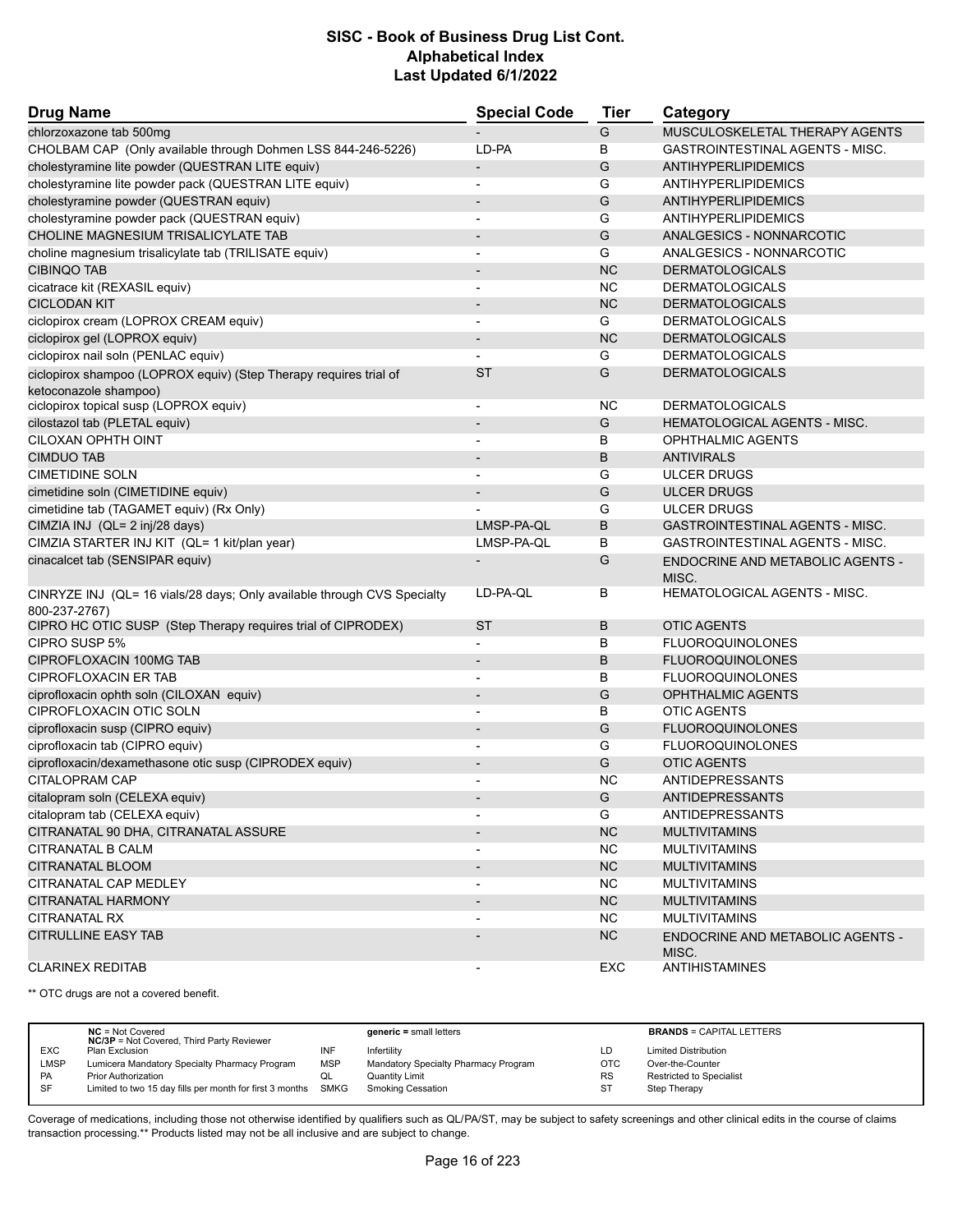| <b>Drug Name</b>                                                                           | <b>Special Code</b>          | Tier      | Category                                         |
|--------------------------------------------------------------------------------------------|------------------------------|-----------|--------------------------------------------------|
| chlorzoxazone tab 500mg                                                                    |                              | G         | MUSCULOSKELETAL THERAPY AGENTS                   |
| CHOLBAM CAP (Only available through Dohmen LSS 844-246-5226)                               | LD-PA                        | В         | <b>GASTROINTESTINAL AGENTS - MISC.</b>           |
| cholestyramine lite powder (QUESTRAN LITE equiv)                                           | $\overline{\phantom{a}}$     | G         | ANTIHYPERLIPIDEMICS                              |
| cholestyramine lite powder pack (QUESTRAN LITE equiv)                                      |                              | G         | ANTIHYPERLIPIDEMICS                              |
| cholestyramine powder (QUESTRAN equiv)                                                     | $\overline{\phantom{a}}$     | G         | ANTIHYPERLIPIDEMICS                              |
| cholestyramine powder pack (QUESTRAN equiv)                                                | $\overline{a}$               | G         | ANTIHYPERLIPIDEMICS                              |
| CHOLINE MAGNESIUM TRISALICYLATE TAB                                                        |                              | G         | ANALGESICS - NONNARCOTIC                         |
| choline magnesium trisalicylate tab (TRILISATE equiv)                                      | $\overline{\phantom{a}}$     | G         | ANALGESICS - NONNARCOTIC                         |
| <b>CIBINQO TAB</b>                                                                         |                              | <b>NC</b> | <b>DERMATOLOGICALS</b>                           |
| cicatrace kit (REXASIL equiv)                                                              | $\overline{\phantom{a}}$     | <b>NC</b> | <b>DERMATOLOGICALS</b>                           |
| <b>CICLODAN KIT</b>                                                                        | $\overline{\phantom{a}}$     | <b>NC</b> | <b>DERMATOLOGICALS</b>                           |
| ciclopirox cream (LOPROX CREAM equiv)                                                      | $\overline{\phantom{a}}$     | G         | <b>DERMATOLOGICALS</b>                           |
| ciclopirox gel (LOPROX equiv)                                                              | $\overline{\phantom{a}}$     | <b>NC</b> | <b>DERMATOLOGICALS</b>                           |
| ciclopirox nail soln (PENLAC equiv)                                                        |                              | G         | <b>DERMATOLOGICALS</b>                           |
| ciclopirox shampoo (LOPROX equiv) (Step Therapy requires trial of<br>ketoconazole shampoo) | <b>ST</b>                    | G         | <b>DERMATOLOGICALS</b>                           |
| ciclopirox topical susp (LOPROX equiv)                                                     | $\overline{\phantom{a}}$     | NC.       | <b>DERMATOLOGICALS</b>                           |
| cilostazol tab (PLETAL equiv)                                                              | $\overline{\phantom{a}}$     | G         | HEMATOLOGICAL AGENTS - MISC.                     |
| CILOXAN OPHTH OINT                                                                         |                              | В         | <b>OPHTHALMIC AGENTS</b>                         |
| <b>CIMDUO TAB</b>                                                                          | $\overline{\phantom{a}}$     | B         | <b>ANTIVIRALS</b>                                |
| <b>CIMETIDINE SOLN</b>                                                                     | $\overline{\phantom{a}}$     | G         | <b>ULCER DRUGS</b>                               |
| cimetidine soln (CIMETIDINE equiv)                                                         |                              | G         | <b>ULCER DRUGS</b>                               |
| cimetidine tab (TAGAMET equiv) (Rx Only)                                                   |                              | G         | <b>ULCER DRUGS</b>                               |
| CIMZIA INJ (QL= 2 inj/28 days)                                                             | LMSP-PA-QL                   | B         | <b>GASTROINTESTINAL AGENTS - MISC.</b>           |
| CIMZIA STARTER INJ KIT (QL= 1 kit/plan year)                                               | LMSP-PA-QL                   | В         | <b>GASTROINTESTINAL AGENTS - MISC.</b>           |
| cinacalcet tab (SENSIPAR equiv)                                                            |                              | G         | <b>ENDOCRINE AND METABOLIC AGENTS -</b><br>MISC. |
| CINRYZE INJ (QL= 16 vials/28 days; Only available through CVS Specialty                    | LD-PA-QL                     | В         | HEMATOLOGICAL AGENTS - MISC.                     |
| 800-237-2767)                                                                              |                              |           |                                                  |
| CIPRO HC OTIC SUSP (Step Therapy requires trial of CIPRODEX)                               | <b>ST</b>                    | В         | <b>OTIC AGENTS</b>                               |
| CIPRO SUSP 5%                                                                              |                              | B         | <b>FLUOROQUINOLONES</b>                          |
| CIPROFLOXACIN 100MG TAB                                                                    |                              | B         | <b>FLUOROQUINOLONES</b>                          |
| <b>CIPROFLOXACIN ER TAB</b>                                                                | $\overline{\phantom{a}}$     | В         | <b>FLUOROQUINOLONES</b>                          |
| ciprofloxacin ophth soln (CILOXAN equiv)                                                   |                              | G         | <b>OPHTHALMIC AGENTS</b>                         |
| CIPROFLOXACIN OTIC SOLN                                                                    |                              | в         | <b>OTIC AGENTS</b>                               |
| ciprofloxacin susp (CIPRO equiv)                                                           | $\qquad \qquad \blacksquare$ | G         | <b>FLUOROQUINOLONES</b>                          |
| ciprofloxacin tab (CIPRO equiv)                                                            |                              | G         | <b>FLUOROQUINOLONES</b>                          |
| ciprofloxacin/dexamethasone otic susp (CIPRODEX equiv)                                     |                              | G         | <b>OTIC AGENTS</b>                               |
| CITALOPRAM CAP                                                                             |                              | <b>NC</b> | ANTIDEPRESSANTS                                  |
| citalopram soln (CELEXA equiv)                                                             |                              | G         | ANTIDEPRESSANTS                                  |
| citalopram tab (CELEXA equiv)                                                              |                              | G         | <b>ANTIDEPRESSANTS</b>                           |
| CITRANATAL 90 DHA, CITRANATAL ASSURE                                                       |                              | <b>NC</b> | <b>MULTIVITAMINS</b>                             |
| CITRANATAL B CALM                                                                          |                              | <b>NC</b> | <b>MULTIVITAMINS</b>                             |
| CITRANATAL BLOOM                                                                           |                              | <b>NC</b> | <b>MULTIVITAMINS</b>                             |
| CITRANATAL CAP MEDLEY                                                                      |                              | <b>NC</b> | <b>MULTIVITAMINS</b>                             |
| CITRANATAL HARMONY                                                                         | $\overline{\phantom{a}}$     | <b>NC</b> | <b>MULTIVITAMINS</b>                             |
| <b>CITRANATAL RX</b>                                                                       |                              | NC.       | <b>MULTIVITAMINS</b>                             |
| <b>CITRULLINE EASY TAB</b>                                                                 |                              | NC        | <b>ENDOCRINE AND METABOLIC AGENTS -</b><br>MISC. |
| <b>CLARINEX REDITAB</b>                                                                    |                              | EXC       | <b>ANTIHISTAMINES</b>                            |

\*\* OTC drugs are not a covered benefit.

|             | $NC = Not Covered$<br><b>NC/3P</b> = Not Covered, Third Party Reviewer |            | $generic = small letters$            |            | <b>BRANDS = CAPITAL LETTERS</b> |
|-------------|------------------------------------------------------------------------|------------|--------------------------------------|------------|---------------------------------|
| <b>EXC</b>  | Plan Exclusion                                                         | INF        | Infertility                          | LD         | <b>Limited Distribution</b>     |
| <b>LMSP</b> | Lumicera Mandatory Specialty Pharmacy Program                          | <b>MSP</b> | Mandatory Specialty Pharmacy Program | <b>OTC</b> | Over-the-Counter                |
| <b>PA</b>   | <b>Prior Authorization</b>                                             | QL         | Quantity Limit                       | <b>RS</b>  | <b>Restricted to Specialist</b> |
| -SF         | Limited to two 15 day fills per month for first 3 months SMKG          |            | <b>Smoking Cessation</b>             | ST         | Step Therapy                    |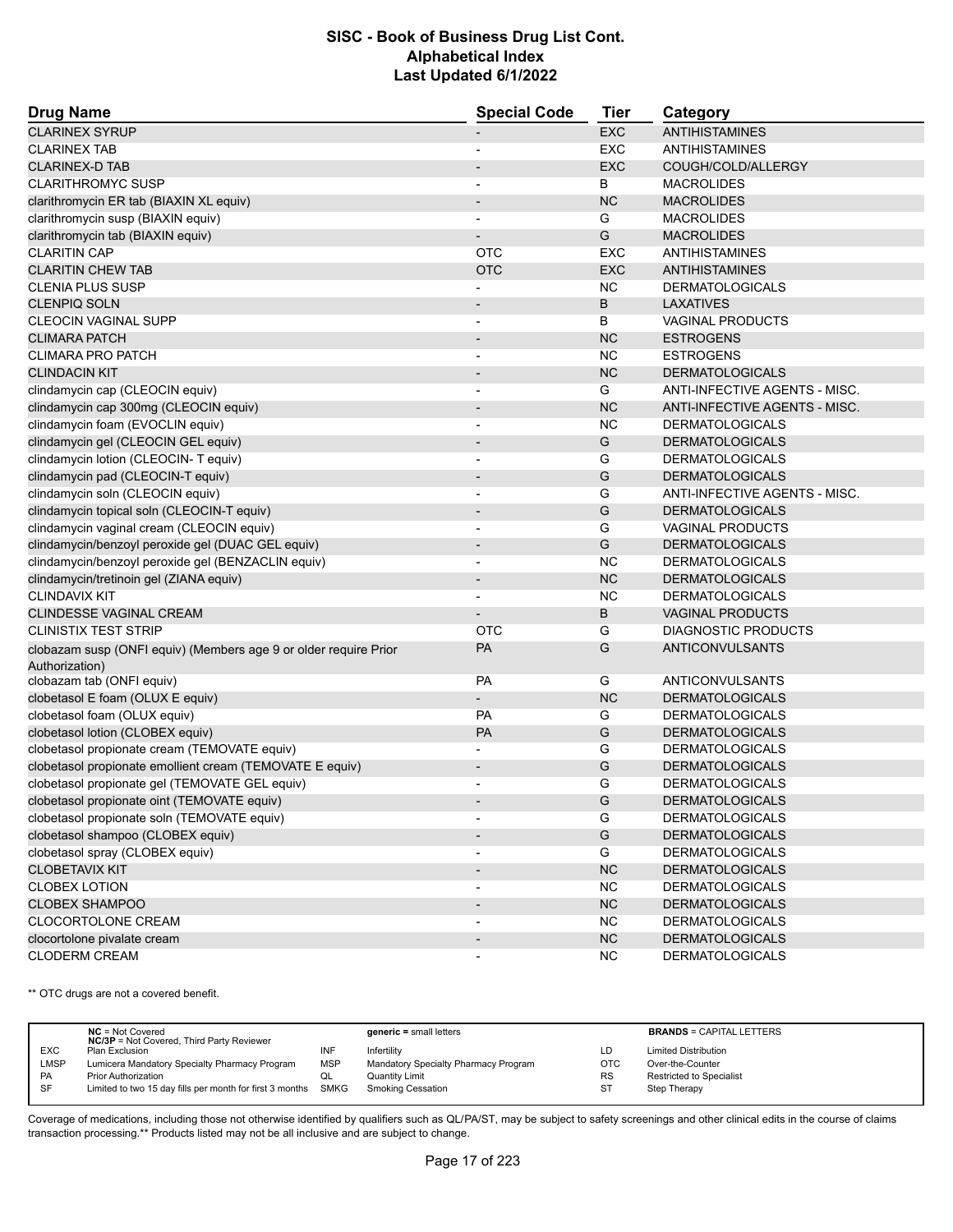| <b>Drug Name</b>                                                                   | <b>Special Code</b>          | <b>Tier</b>   | Category                      |
|------------------------------------------------------------------------------------|------------------------------|---------------|-------------------------------|
| <b>CLARINEX SYRUP</b>                                                              |                              | <b>EXC</b>    | <b>ANTIHISTAMINES</b>         |
| <b>CLARINEX TAB</b>                                                                | $\overline{a}$               | <b>EXC</b>    | <b>ANTIHISTAMINES</b>         |
| <b>CLARINEX-D TAB</b>                                                              |                              | <b>EXC</b>    | COUGH/COLD/ALLERGY            |
| <b>CLARITHROMYC SUSP</b>                                                           |                              | B             | <b>MACROLIDES</b>             |
| clarithromycin ER tab (BIAXIN XL equiv)                                            | $\qquad \qquad \blacksquare$ | <b>NC</b>     | <b>MACROLIDES</b>             |
| clarithromycin susp (BIAXIN equiv)                                                 |                              | G             | <b>MACROLIDES</b>             |
| clarithromycin tab (BIAXIN equiv)                                                  |                              | G             | <b>MACROLIDES</b>             |
| <b>CLARITIN CAP</b>                                                                | <b>OTC</b>                   | <b>EXC</b>    | <b>ANTIHISTAMINES</b>         |
| <b>CLARITIN CHEW TAB</b>                                                           | <b>OTC</b>                   | <b>EXC</b>    | <b>ANTIHISTAMINES</b>         |
| <b>CLENIA PLUS SUSP</b>                                                            |                              | <b>NC</b>     | <b>DERMATOLOGICALS</b>        |
| <b>CLENPIQ SOLN</b>                                                                | $\overline{\phantom{a}}$     | B             | <b>LAXATIVES</b>              |
| <b>CLEOCIN VAGINAL SUPP</b>                                                        |                              | B             | <b>VAGINAL PRODUCTS</b>       |
| <b>CLIMARA PATCH</b>                                                               | $\overline{a}$               | <b>NC</b>     | <b>ESTROGENS</b>              |
| <b>CLIMARA PRO PATCH</b>                                                           |                              | <b>NC</b>     | <b>ESTROGENS</b>              |
| <b>CLINDACIN KIT</b>                                                               | $\overline{\phantom{m}}$     | <b>NC</b>     | <b>DERMATOLOGICALS</b>        |
| clindamycin cap (CLEOCIN equiv)                                                    | $\overline{\phantom{0}}$     | G             | ANTI-INFECTIVE AGENTS - MISC. |
| clindamycin cap 300mg (CLEOCIN equiv)                                              | $\qquad \qquad \blacksquare$ | <b>NC</b>     | ANTI-INFECTIVE AGENTS - MISC. |
| clindamycin foam (EVOCLIN equiv)                                                   | ٠                            | <b>NC</b>     | <b>DERMATOLOGICALS</b>        |
| clindamycin gel (CLEOCIN GEL equiv)                                                | $\qquad \qquad \blacksquare$ | G             | <b>DERMATOLOGICALS</b>        |
| clindamycin lotion (CLEOCIN- T equiv)                                              |                              | G             | <b>DERMATOLOGICALS</b>        |
| clindamycin pad (CLEOCIN-T equiv)                                                  | $\overline{a}$               | G             | <b>DERMATOLOGICALS</b>        |
| clindamycin soln (CLEOCIN equiv)                                                   | $\overline{a}$               | G             | ANTI-INFECTIVE AGENTS - MISC. |
| clindamycin topical soln (CLEOCIN-T equiv)                                         | $\overline{a}$               | ${\mathsf G}$ | <b>DERMATOLOGICALS</b>        |
| clindamycin vaginal cream (CLEOCIN equiv)                                          | ٠                            | G             | <b>VAGINAL PRODUCTS</b>       |
| clindamycin/benzoyl peroxide gel (DUAC GEL equiv)                                  | $\overline{\phantom{a}}$     | G             | <b>DERMATOLOGICALS</b>        |
| clindamycin/benzoyl peroxide gel (BENZACLIN equiv)                                 |                              | <b>NC</b>     | <b>DERMATOLOGICALS</b>        |
| clindamycin/tretinoin gel (ZIANA equiv)                                            | $\overline{\phantom{m}}$     | <b>NC</b>     | <b>DERMATOLOGICALS</b>        |
| <b>CLINDAVIX KIT</b>                                                               |                              | <b>NC</b>     | <b>DERMATOLOGICALS</b>        |
| <b>CLINDESSE VAGINAL CREAM</b>                                                     |                              | B             | <b>VAGINAL PRODUCTS</b>       |
| <b>CLINISTIX TEST STRIP</b>                                                        | OTC                          | G             | <b>DIAGNOSTIC PRODUCTS</b>    |
|                                                                                    |                              |               | ANTICONVULSANTS               |
| clobazam susp (ONFI equiv) (Members age 9 or older require Prior<br>Authorization) | <b>PA</b>                    | G             |                               |
| clobazam tab (ONFI equiv)                                                          | PA                           | G             | <b>ANTICONVULSANTS</b>        |
| clobetasol E foam (OLUX E equiv)                                                   |                              | <b>NC</b>     | <b>DERMATOLOGICALS</b>        |
| clobetasol foam (OLUX equiv)                                                       | PA                           | G             | <b>DERMATOLOGICALS</b>        |
| clobetasol lotion (CLOBEX equiv)                                                   | PA                           | G             | <b>DERMATOLOGICALS</b>        |
| clobetasol propionate cream (TEMOVATE equiv)                                       |                              | G             | <b>DERMATOLOGICALS</b>        |
| clobetasol propionate emollient cream (TEMOVATE E equiv)                           | $\overline{\phantom{m}}$     | G             | <b>DERMATOLOGICALS</b>        |
| clobetasol propionate gel (TEMOVATE GEL equiv)                                     | $\overline{a}$               | G             | <b>DERMATOLOGICALS</b>        |
| clobetasol propionate oint (TEMOVATE equiv)                                        |                              | G             | DERMATOLOGICALS               |
| clobetasol propionate soln (TEMOVATE equiv)                                        | $\overline{\phantom{a}}$     | G             | <b>DERMATOLOGICALS</b>        |
| clobetasol shampoo (CLOBEX equiv)                                                  | $\overline{\phantom{a}}$     | G             | <b>DERMATOLOGICALS</b>        |
| clobetasol spray (CLOBEX equiv)                                                    |                              | G             | <b>DERMATOLOGICALS</b>        |
| <b>CLOBETAVIX KIT</b>                                                              |                              | NC            | <b>DERMATOLOGICALS</b>        |
| <b>CLOBEX LOTION</b>                                                               | ٠                            | <b>NC</b>     | <b>DERMATOLOGICALS</b>        |
| <b>CLOBEX SHAMPOO</b>                                                              | $\qquad \qquad \blacksquare$ | NC            | <b>DERMATOLOGICALS</b>        |
| CLOCORTOLONE CREAM                                                                 |                              | <b>NC</b>     | <b>DERMATOLOGICALS</b>        |
| clocortolone pivalate cream                                                        | $\overline{\phantom{a}}$     | NC            | <b>DERMATOLOGICALS</b>        |
| <b>CLODERM CREAM</b>                                                               |                              | <b>NC</b>     | <b>DERMATOLOGICALS</b>        |

\*\* OTC drugs are not a covered benefit.

|             | $NC = Not Covered$                                            |            | $generic = small letters$            |            | <b>BRANDS = CAPITAL LETTERS</b> |
|-------------|---------------------------------------------------------------|------------|--------------------------------------|------------|---------------------------------|
|             | <b>NC/3P</b> = Not Covered, Third Party Reviewer              |            |                                      |            |                                 |
| <b>EXC</b>  | Plan Exclusion                                                | INF        | Infertility                          | LD         | <b>Limited Distribution</b>     |
| <b>LMSP</b> | Lumicera Mandatory Specialty Pharmacy Program                 | <b>MSP</b> | Mandatory Specialty Pharmacy Program | <b>OTC</b> | Over-the-Counter                |
| PA          | <b>Prior Authorization</b>                                    | QL         | Quantity Limit                       | <b>RS</b>  | <b>Restricted to Specialist</b> |
| SF          | Limited to two 15 day fills per month for first 3 months SMKG |            | Smoking Cessation                    | <b>ST</b>  | Step Therapy                    |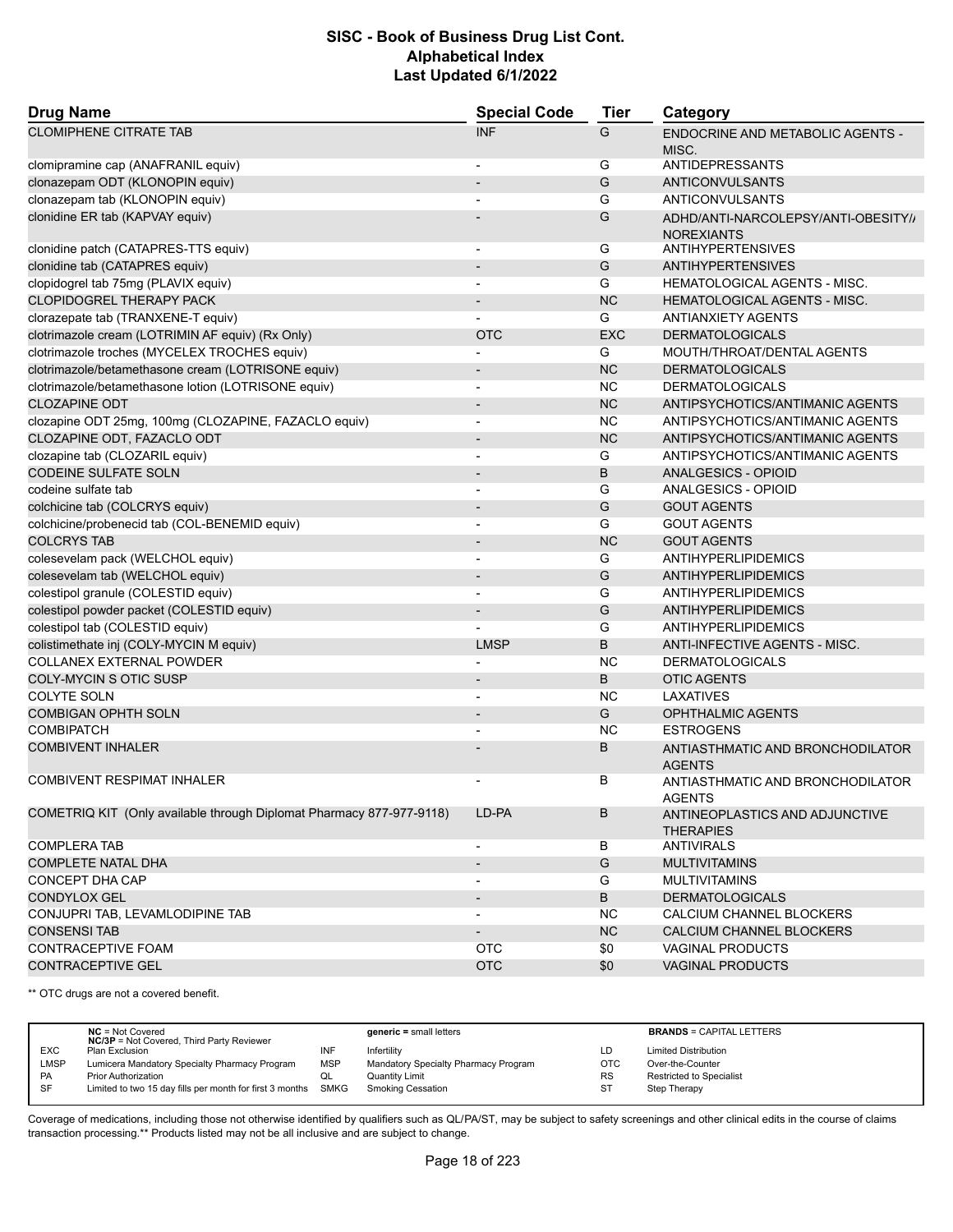| <b>Drug Name</b>                                                     | <b>Special Code</b>          | <b>Tier</b>   | Category                                                 |
|----------------------------------------------------------------------|------------------------------|---------------|----------------------------------------------------------|
| <b>CLOMIPHENE CITRATE TAB</b>                                        | <b>INF</b>                   | G             | <b>ENDOCRINE AND METABOLIC AGENTS -</b><br>MISC.         |
| clomipramine cap (ANAFRANIL equiv)                                   |                              | G             | ANTIDEPRESSANTS                                          |
| clonazepam ODT (KLONOPIN equiv)                                      |                              | G             | <b>ANTICONVULSANTS</b>                                   |
| clonazepam tab (KLONOPIN equiv)                                      |                              | G             | ANTICONVULSANTS                                          |
| clonidine ER tab (KAPVAY equiv)                                      |                              | G             | ADHD/ANTI-NARCOLEPSY/ANTI-OBESITY//<br><b>NOREXIANTS</b> |
| clonidine patch (CATAPRES-TTS equiv)                                 |                              | G             | <b>ANTIHYPERTENSIVES</b>                                 |
| clonidine tab (CATAPRES equiv)                                       | $\qquad \qquad \blacksquare$ | ${\mathsf G}$ | <b>ANTIHYPERTENSIVES</b>                                 |
| clopidogrel tab 75mg (PLAVIX equiv)                                  |                              | G             | <b>HEMATOLOGICAL AGENTS - MISC.</b>                      |
| <b>CLOPIDOGREL THERAPY PACK</b>                                      |                              | <b>NC</b>     | <b>HEMATOLOGICAL AGENTS - MISC.</b>                      |
| clorazepate tab (TRANXENE-T equiv)                                   |                              | G             | <b>ANTIANXIETY AGENTS</b>                                |
| clotrimazole cream (LOTRIMIN AF equiv) (Rx Only)                     | <b>OTC</b>                   | <b>EXC</b>    | <b>DERMATOLOGICALS</b>                                   |
| clotrimazole troches (MYCELEX TROCHES equiv)                         |                              | G             | MOUTH/THROAT/DENTAL AGENTS                               |
| clotrimazole/betamethasone cream (LOTRISONE equiv)                   | $\qquad \qquad \blacksquare$ | <b>NC</b>     | <b>DERMATOLOGICALS</b>                                   |
| clotrimazole/betamethasone lotion (LOTRISONE equiv)                  |                              | <b>NC</b>     | <b>DERMATOLOGICALS</b>                                   |
| <b>CLOZAPINE ODT</b>                                                 |                              | <b>NC</b>     | ANTIPSYCHOTICS/ANTIMANIC AGENTS                          |
| clozapine ODT 25mg, 100mg (CLOZAPINE, FAZACLO equiv)                 | $\overline{a}$               | <b>NC</b>     | ANTIPSYCHOTICS/ANTIMANIC AGENTS                          |
| CLOZAPINE ODT, FAZACLO ODT                                           |                              | <b>NC</b>     | ANTIPSYCHOTICS/ANTIMANIC AGENTS                          |
| clozapine tab (CLOZARIL equiv)                                       |                              | G             | ANTIPSYCHOTICS/ANTIMANIC AGENTS                          |
| <b>CODEINE SULFATE SOLN</b>                                          | $\qquad \qquad \blacksquare$ | B             | <b>ANALGESICS - OPIOID</b>                               |
| codeine sulfate tab                                                  |                              | G             | ANALGESICS - OPIOID                                      |
| colchicine tab (COLCRYS equiv)                                       |                              | G             | <b>GOUT AGENTS</b>                                       |
| colchicine/probenecid tab (COL-BENEMID equiv)                        |                              | G             | <b>GOUT AGENTS</b>                                       |
| <b>COLCRYS TAB</b>                                                   | $\overline{a}$               | <b>NC</b>     | <b>GOUT AGENTS</b>                                       |
| colesevelam pack (WELCHOL equiv)                                     | $\overline{\phantom{0}}$     | G             | ANTIHYPERLIPIDEMICS                                      |
| colesevelam tab (WELCHOL equiv)                                      |                              | G             | ANTIHYPERLIPIDEMICS                                      |
| colestipol granule (COLESTID equiv)                                  | $\overline{\phantom{a}}$     | G             | ANTIHYPERLIPIDEMICS                                      |
| colestipol powder packet (COLESTID equiv)                            |                              | G             | ANTIHYPERLIPIDEMICS                                      |
| colestipol tab (COLESTID equiv)                                      |                              | G             | ANTIHYPERLIPIDEMICS                                      |
| colistimethate inj (COLY-MYCIN M equiv)                              | <b>LMSP</b>                  | B             | ANTI-INFECTIVE AGENTS - MISC.                            |
| COLLANEX EXTERNAL POWDER                                             |                              | <b>NC</b>     | <b>DERMATOLOGICALS</b>                                   |
| <b>COLY-MYCIN S OTIC SUSP</b>                                        |                              | B             | <b>OTIC AGENTS</b>                                       |
| <b>COLYTE SOLN</b>                                                   | $\overline{\phantom{a}}$     | <b>NC</b>     | LAXATIVES                                                |
| <b>COMBIGAN OPHTH SOLN</b>                                           |                              | G             | <b>OPHTHALMIC AGENTS</b>                                 |
| <b>COMBIPATCH</b>                                                    |                              | <b>NC</b>     | <b>ESTROGENS</b>                                         |
| <b>COMBIVENT INHALER</b>                                             |                              | B             | ANTIASTHMATIC AND BRONCHODILATOR<br><b>AGENTS</b>        |
| <b>COMBIVENT RESPIMAT INHALER</b>                                    |                              | В             | ANTIASTHMATIC AND BRONCHODILATOR<br><b>AGENTS</b>        |
| COMETRIQ KIT (Only available through Diplomat Pharmacy 877-977-9118) | LD-PA                        | B             | ANTINEOPLASTICS AND ADJUNCTIVE<br><b>THERAPIES</b>       |
| <b>COMPLERA TAB</b>                                                  | $\overline{\phantom{a}}$     | B             | <b>ANTIVIRALS</b>                                        |
| <b>COMPLETE NATAL DHA</b>                                            | $\overline{\phantom{a}}$     | G             | <b>MULTIVITAMINS</b>                                     |
| CONCEPT DHA CAP                                                      |                              | G             | <b>MULTIVITAMINS</b>                                     |
| <b>CONDYLOX GEL</b>                                                  |                              | B             | <b>DERMATOLOGICALS</b>                                   |
| CONJUPRI TAB, LEVAMLODIPINE TAB                                      | $\qquad \qquad \blacksquare$ | ΝC            | CALCIUM CHANNEL BLOCKERS                                 |
| <b>CONSENSI TAB</b>                                                  |                              | NC            | CALCIUM CHANNEL BLOCKERS                                 |
| CONTRACEPTIVE FOAM                                                   | OTC                          | \$0           | <b>VAGINAL PRODUCTS</b>                                  |
| CONTRACEPTIVE GEL                                                    | <b>OTC</b>                   | \$0           | VAGINAL PRODUCTS                                         |

\*\* OTC drugs are not a covered benefit.

|            | $NC = Not Covered$<br><b>NC/3P</b> = Not Covered, Third Party Reviewer |            | $generic = small letters$            |            | <b>BRANDS = CAPITAL LETTERS</b> |
|------------|------------------------------------------------------------------------|------------|--------------------------------------|------------|---------------------------------|
| <b>EXC</b> | Plan Exclusion                                                         | INF        | Infertility                          | LD         | <b>Limited Distribution</b>     |
| LMSP       | Lumicera Mandatory Specialty Pharmacy Program                          | <b>MSP</b> | Mandatory Specialty Pharmacy Program | <b>OTC</b> | Over-the-Counter                |
| <b>PA</b>  | <b>Prior Authorization</b>                                             | QL         | <b>Quantity Limit</b>                | <b>RS</b>  | <b>Restricted to Specialist</b> |
| <b>SF</b>  | Limited to two 15 day fills per month for first 3 months SMKG          |            | <b>Smoking Cessation</b>             | ST         | Step Therapy                    |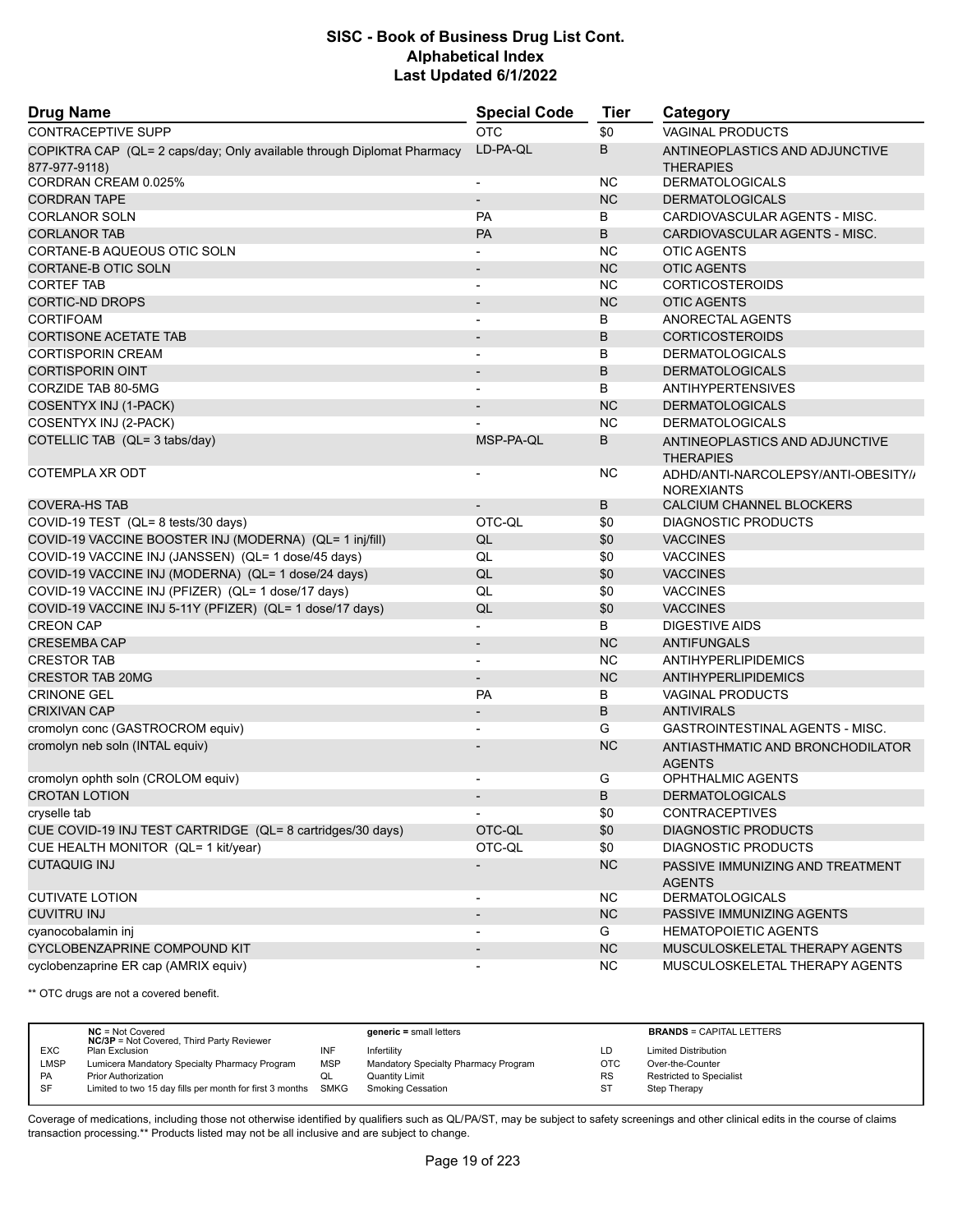| <b>Drug Name</b>                                                       | <b>Special Code</b>      | Tier      | Category                                                 |
|------------------------------------------------------------------------|--------------------------|-----------|----------------------------------------------------------|
| <b>CONTRACEPTIVE SUPP</b>                                              | <b>OTC</b>               | \$0       | <b>VAGINAL PRODUCTS</b>                                  |
| COPIKTRA CAP (QL= 2 caps/day; Only available through Diplomat Pharmacy | LD-PA-QL                 | B         | ANTINEOPLASTICS AND ADJUNCTIVE                           |
| 877-977-9118)                                                          |                          |           | <b>THERAPIES</b>                                         |
| CORDRAN CREAM 0.025%                                                   | $\overline{\phantom{a}}$ | NC.       | <b>DERMATOLOGICALS</b>                                   |
| <b>CORDRAN TAPE</b>                                                    |                          | <b>NC</b> | <b>DERMATOLOGICALS</b>                                   |
| <b>CORLANOR SOLN</b>                                                   | <b>PA</b>                | В         | CARDIOVASCULAR AGENTS - MISC.                            |
| <b>CORLANOR TAB</b>                                                    | <b>PA</b>                | B         | CARDIOVASCULAR AGENTS - MISC.                            |
| CORTANE-B AQUEOUS OTIC SOLN                                            | $\blacksquare$           | <b>NC</b> | <b>OTIC AGENTS</b>                                       |
| <b>CORTANE-B OTIC SOLN</b>                                             |                          | <b>NC</b> | <b>OTIC AGENTS</b>                                       |
| <b>CORTEF TAB</b>                                                      | $\overline{\phantom{a}}$ | NC.       | <b>CORTICOSTEROIDS</b>                                   |
| <b>CORTIC-ND DROPS</b>                                                 |                          | <b>NC</b> | <b>OTIC AGENTS</b>                                       |
| <b>CORTIFOAM</b>                                                       |                          | В         | ANORECTAL AGENTS                                         |
| <b>CORTISONE ACETATE TAB</b>                                           | $\overline{\phantom{a}}$ | B         | <b>CORTICOSTEROIDS</b>                                   |
| <b>CORTISPORIN CREAM</b>                                               | $\overline{\phantom{a}}$ | B         | <b>DERMATOLOGICALS</b>                                   |
| <b>CORTISPORIN OINT</b>                                                |                          | B         | <b>DERMATOLOGICALS</b>                                   |
| CORZIDE TAB 80-5MG                                                     |                          | B         | <b>ANTIHYPERTENSIVES</b>                                 |
| COSENTYX INJ (1-PACK)                                                  |                          | <b>NC</b> | <b>DERMATOLOGICALS</b>                                   |
| COSENTYX INJ (2-PACK)                                                  |                          | <b>NC</b> | <b>DERMATOLOGICALS</b>                                   |
| COTELLIC TAB (QL= 3 tabs/day)                                          | MSP-PA-QL                | B         | ANTINEOPLASTICS AND ADJUNCTIVE<br><b>THERAPIES</b>       |
| COTEMPLA XR ODT                                                        |                          | NC.       | ADHD/ANTI-NARCOLEPSY/ANTI-OBESITY//<br><b>NOREXIANTS</b> |
| <b>COVERA-HS TAB</b>                                                   |                          | B         | CALCIUM CHANNEL BLOCKERS                                 |
| COVID-19 TEST (QL= 8 tests/30 days)                                    | OTC-QL                   | \$0       | <b>DIAGNOSTIC PRODUCTS</b>                               |
| COVID-19 VACCINE BOOSTER INJ (MODERNA) (QL= 1 inj/fill)                | QL                       | \$0       | <b>VACCINES</b>                                          |
| COVID-19 VACCINE INJ (JANSSEN) (QL= 1 dose/45 days)                    | QL                       | \$0       | <b>VACCINES</b>                                          |
| COVID-19 VACCINE INJ (MODERNA) (QL= 1 dose/24 days)                    | QL                       | \$0       | <b>VACCINES</b>                                          |
| COVID-19 VACCINE INJ (PFIZER) (QL= 1 dose/17 days)                     | QL                       | \$0       | <b>VACCINES</b>                                          |
| COVID-19 VACCINE INJ 5-11Y (PFIZER) (QL= 1 dose/17 days)               | QL                       | \$0       | <b>VACCINES</b>                                          |
| <b>CREON CAP</b>                                                       |                          | В         | <b>DIGESTIVE AIDS</b>                                    |
| <b>CRESEMBA CAP</b>                                                    |                          | <b>NC</b> | <b>ANTIFUNGALS</b>                                       |
| <b>CRESTOR TAB</b>                                                     | $\blacksquare$           | <b>NC</b> | <b>ANTIHYPERLIPIDEMICS</b>                               |
| <b>CRESTOR TAB 20MG</b>                                                | $\overline{\phantom{a}}$ | <b>NC</b> | ANTIHYPERLIPIDEMICS                                      |
| <b>CRINONE GEL</b>                                                     | <b>PA</b>                | B         | <b>VAGINAL PRODUCTS</b>                                  |
| <b>CRIXIVAN CAP</b>                                                    |                          | B         | <b>ANTIVIRALS</b>                                        |
| cromolyn conc (GASTROCROM equiv)                                       |                          | G         | GASTROINTESTINAL AGENTS - MISC.                          |
| cromolyn neb soln (INTAL equiv)                                        |                          | <b>NC</b> | ANTIASTHMATIC AND BRONCHODILATOR<br><b>AGENTS</b>        |
| cromolyn ophth soln (CROLOM equiv)                                     |                          | G         | <b>OPHTHALMIC AGENTS</b>                                 |
| <b>CROTAN LOTION</b>                                                   |                          | B         | <b>DERMATOLOGICALS</b>                                   |
| cryselle tab                                                           |                          | \$0       | <b>CONTRACEPTIVES</b>                                    |
| CUE COVID-19 INJ TEST CARTRIDGE (QL= 8 cartridges/30 days)             | OTC-QL                   | \$0       | <b>DIAGNOSTIC PRODUCTS</b>                               |
| CUE HEALTH MONITOR (QL= 1 kit/year)                                    | OTC-QL                   | \$0       | DIAGNOSTIC PRODUCTS                                      |
| <b>CUTAQUIG INJ</b>                                                    |                          | <b>NC</b> | PASSIVE IMMUNIZING AND TREATMENT<br><b>AGENTS</b>        |
| <b>CUTIVATE LOTION</b>                                                 |                          | NC.       | <b>DERMATOLOGICALS</b>                                   |
| <b>CUVITRU INJ</b>                                                     | $\overline{\phantom{a}}$ | NC        | PASSIVE IMMUNIZING AGENTS                                |
| cyanocobalamin inj                                                     |                          | G         | <b>HEMATOPOIETIC AGENTS</b>                              |
| CYCLOBENZAPRINE COMPOUND KIT                                           |                          | <b>NC</b> | MUSCULOSKELETAL THERAPY AGENTS                           |
| cyclobenzaprine ER cap (AMRIX equiv)                                   |                          | <b>NC</b> | MUSCULOSKELETAL THERAPY AGENTS                           |

\*\* OTC drugs are not a covered benefit.

|             | $NC = Not Covered$<br><b>NC/3P</b> = Not Covered, Third Party Reviewer |            | $generic = small letters$            |            | <b>BRANDS = CAPITAL LETTERS</b> |
|-------------|------------------------------------------------------------------------|------------|--------------------------------------|------------|---------------------------------|
| <b>EXC</b>  | Plan Exclusion                                                         | INF        | Infertility                          | LD         | <b>Limited Distribution</b>     |
| <b>LMSP</b> | Lumicera Mandatory Specialty Pharmacy Program                          | <b>MSP</b> | Mandatory Specialty Pharmacy Program | <b>OTC</b> | Over-the-Counter                |
| <b>PA</b>   | <b>Prior Authorization</b>                                             |            | <b>Quantity Limit</b>                | <b>RS</b>  | <b>Restricted to Specialist</b> |
| SF          | Limited to two 15 day fills per month for first 3 months SMKG          |            | Smoking Cessation                    | ST         | Step Therapy                    |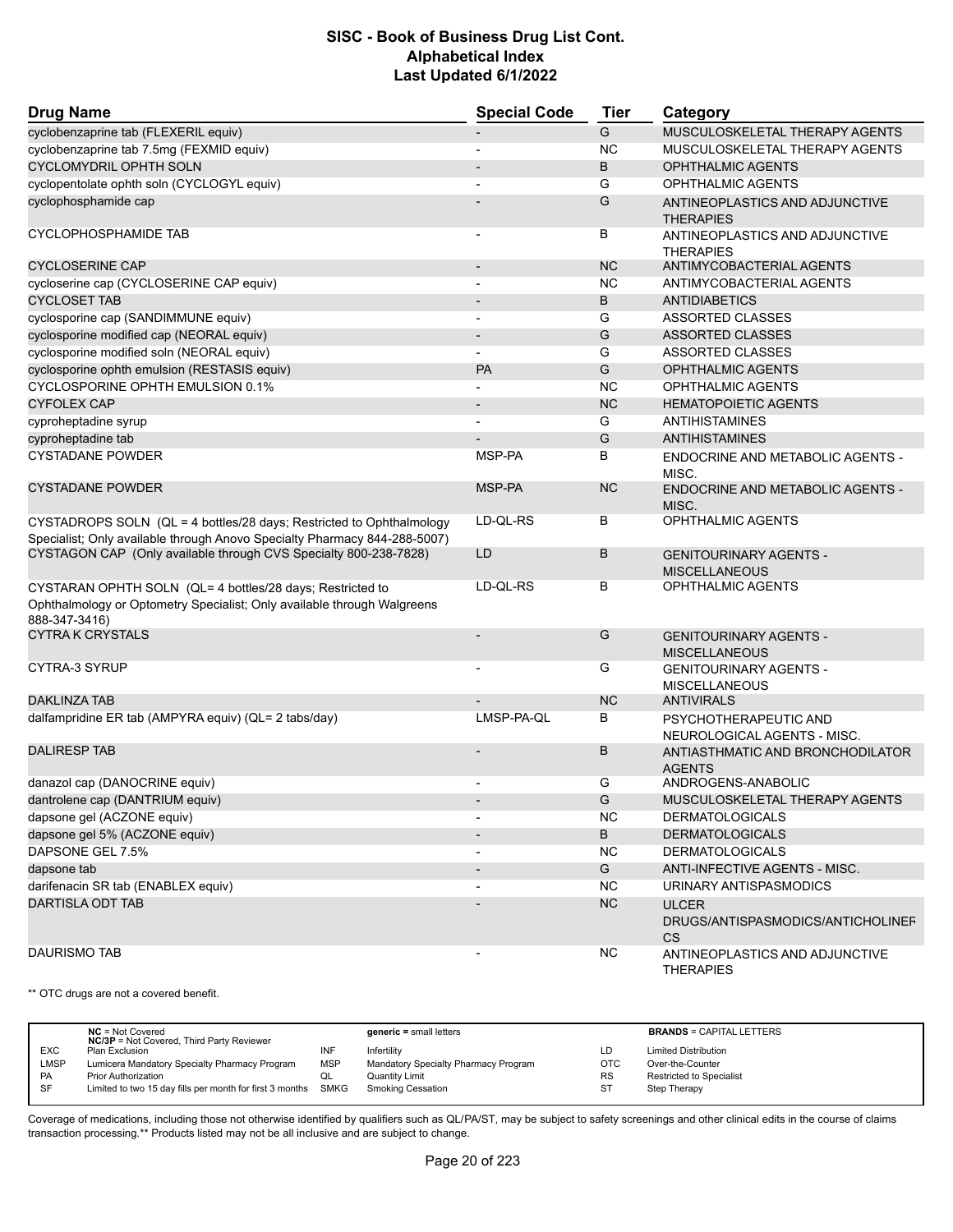| <b>Drug Name</b>                                                                                                                                      | <b>Special Code</b>      | <b>Tier</b>  | Category                                                       |
|-------------------------------------------------------------------------------------------------------------------------------------------------------|--------------------------|--------------|----------------------------------------------------------------|
| cyclobenzaprine tab (FLEXERIL equiv)                                                                                                                  |                          | G            | MUSCULOSKELETAL THERAPY AGENTS                                 |
| cyclobenzaprine tab 7.5mg (FEXMID equiv)                                                                                                              |                          | <b>NC</b>    | MUSCULOSKELETAL THERAPY AGENTS                                 |
| <b>CYCLOMYDRIL OPHTH SOLN</b>                                                                                                                         |                          | B            | <b>OPHTHALMIC AGENTS</b>                                       |
| cyclopentolate ophth soln (CYCLOGYL equiv)                                                                                                            |                          | G            | <b>OPHTHALMIC AGENTS</b>                                       |
| cyclophosphamide cap                                                                                                                                  |                          | G            | ANTINEOPLASTICS AND ADJUNCTIVE<br><b>THERAPIES</b>             |
| CYCLOPHOSPHAMIDE TAB                                                                                                                                  | $\overline{a}$           | В            | ANTINEOPLASTICS AND ADJUNCTIVE<br><b>THERAPIES</b>             |
| <b>CYCLOSERINE CAP</b>                                                                                                                                |                          | <b>NC</b>    | ANTIMYCOBACTERIAL AGENTS                                       |
| cycloserine cap (CYCLOSERINE CAP equiv)                                                                                                               |                          | <b>NC</b>    | ANTIMYCOBACTERIAL AGENTS                                       |
| <b>CYCLOSET TAB</b>                                                                                                                                   |                          | B            | <b>ANTIDIABETICS</b>                                           |
| cyclosporine cap (SANDIMMUNE equiv)                                                                                                                   | $\overline{\phantom{a}}$ | G            | ASSORTED CLASSES                                               |
| cyclosporine modified cap (NEORAL equiv)                                                                                                              |                          | G            | <b>ASSORTED CLASSES</b>                                        |
| cyclosporine modified soln (NEORAL equiv)                                                                                                             | $\overline{\phantom{a}}$ | G            | ASSORTED CLASSES                                               |
| cyclosporine ophth emulsion (RESTASIS equiv)                                                                                                          | <b>PA</b>                | G            | <b>OPHTHALMIC AGENTS</b>                                       |
| CYCLOSPORINE OPHTH EMULSION 0.1%                                                                                                                      |                          | <b>NC</b>    | <b>OPHTHALMIC AGENTS</b>                                       |
| <b>CYFOLEX CAP</b>                                                                                                                                    |                          | <b>NC</b>    | <b>HEMATOPOIETIC AGENTS</b>                                    |
| cyproheptadine syrup                                                                                                                                  | $\blacksquare$           | G            | <b>ANTIHISTAMINES</b>                                          |
| cyproheptadine tab                                                                                                                                    |                          | G            | ANTIHISTAMINES                                                 |
| <b>CYSTADANE POWDER</b>                                                                                                                               | MSP-PA                   | B            | ENDOCRINE AND METABOLIC AGENTS -<br>MISC.                      |
| <b>CYSTADANE POWDER</b>                                                                                                                               | MSP-PA                   | <b>NC</b>    | ENDOCRINE AND METABOLIC AGENTS -<br>MISC.                      |
| CYSTADROPS SOLN (QL = 4 bottles/28 days; Restricted to Ophthalmology<br>Specialist; Only available through Anovo Specialty Pharmacy 844-288-5007)     | LD-QL-RS                 | В            | <b>OPHTHALMIC AGENTS</b>                                       |
| CYSTAGON CAP (Only available through CVS Specialty 800-238-7828)                                                                                      | LD                       | B            | <b>GENITOURINARY AGENTS -</b><br><b>MISCELLANEOUS</b>          |
| CYSTARAN OPHTH SOLN (QL= 4 bottles/28 days; Restricted to<br>Ophthalmology or Optometry Specialist; Only available through Walgreens<br>888-347-3416) | LD-QL-RS                 | В            | OPHTHALMIC AGENTS                                              |
| <b>CYTRA K CRYSTALS</b>                                                                                                                               |                          | G            | <b>GENITOURINARY AGENTS -</b><br><b>MISCELLANEOUS</b>          |
| CYTRA-3 SYRUP                                                                                                                                         |                          | G            | <b>GENITOURINARY AGENTS -</b><br><b>MISCELLANEOUS</b>          |
| <b>DAKLINZA TAB</b>                                                                                                                                   |                          | <b>NC</b>    | <b>ANTIVIRALS</b>                                              |
| dalfampridine ER tab (AMPYRA equiv) (QL= 2 tabs/day)                                                                                                  | LMSP-PA-QL               | B            | PSYCHOTHERAPEUTIC AND<br>NEUROLOGICAL AGENTS - MISC.           |
| <b>DALIRESP TAB</b>                                                                                                                                   |                          | B            | ANTIASTHMATIC AND BRONCHODILATOR<br><b>AGENTS</b>              |
| danazol cap (DANOCRINE equiv)                                                                                                                         |                          | G            | ANDROGENS-ANABOLIC                                             |
| dantrolene cap (DANTRIUM equiv)                                                                                                                       |                          | G            | MUSCULOSKELETAL THERAPY AGENTS                                 |
| dapsone gel (ACZONE equiv)                                                                                                                            |                          | <b>NC</b>    | <b>DERMATOLOGICALS</b>                                         |
| dapsone gel 5% (ACZONE equiv)                                                                                                                         |                          | $\, {\sf B}$ | <b>DERMATOLOGICALS</b>                                         |
| DAPSONE GEL 7.5%                                                                                                                                      |                          | <b>NC</b>    | <b>DERMATOLOGICALS</b>                                         |
| dapsone tab                                                                                                                                           |                          | G            | <b>ANTI-INFECTIVE AGENTS - MISC.</b>                           |
| darifenacin SR tab (ENABLEX equiv)                                                                                                                    |                          | <b>NC</b>    | URINARY ANTISPASMODICS                                         |
| <b>DARTISLA ODT TAB</b>                                                                                                                               |                          | NC           | <b>ULCER</b><br>DRUGS/ANTISPASMODICS/ANTICHOLINEF<br><b>CS</b> |
| <b>DAURISMO TAB</b>                                                                                                                                   |                          | <b>NC</b>    | ANTINEOPLASTICS AND ADJUNCTIVE<br><b>THERAPIES</b>             |

\*\* OTC drugs are not a covered benefit.

|           | $NC = Not Covered$<br><b>NC/3P</b> = Not Covered, Third Party Reviewer |            | $generic = small letters$            |     | <b>BRANDS = CAPITAL LETTERS</b> |
|-----------|------------------------------------------------------------------------|------------|--------------------------------------|-----|---------------------------------|
| EXC       | Plan Exclusion                                                         | <b>INF</b> | Infertility                          | LD  | <b>Limited Distribution</b>     |
| LMSP      | Lumicera Mandatory Specialty Pharmacy Program                          | MSP        | Mandatory Specialty Pharmacy Program | OTC | Over-the-Counter                |
| <b>PA</b> | <b>Prior Authorization</b>                                             | QL.        | <b>Quantity Limit</b>                | RS  | Restricted to Specialist        |
| <b>SF</b> | Limited to two 15 day fills per month for first 3 months               | SMKG       | <b>Smoking Cessation</b>             | S.  | Step Therapy                    |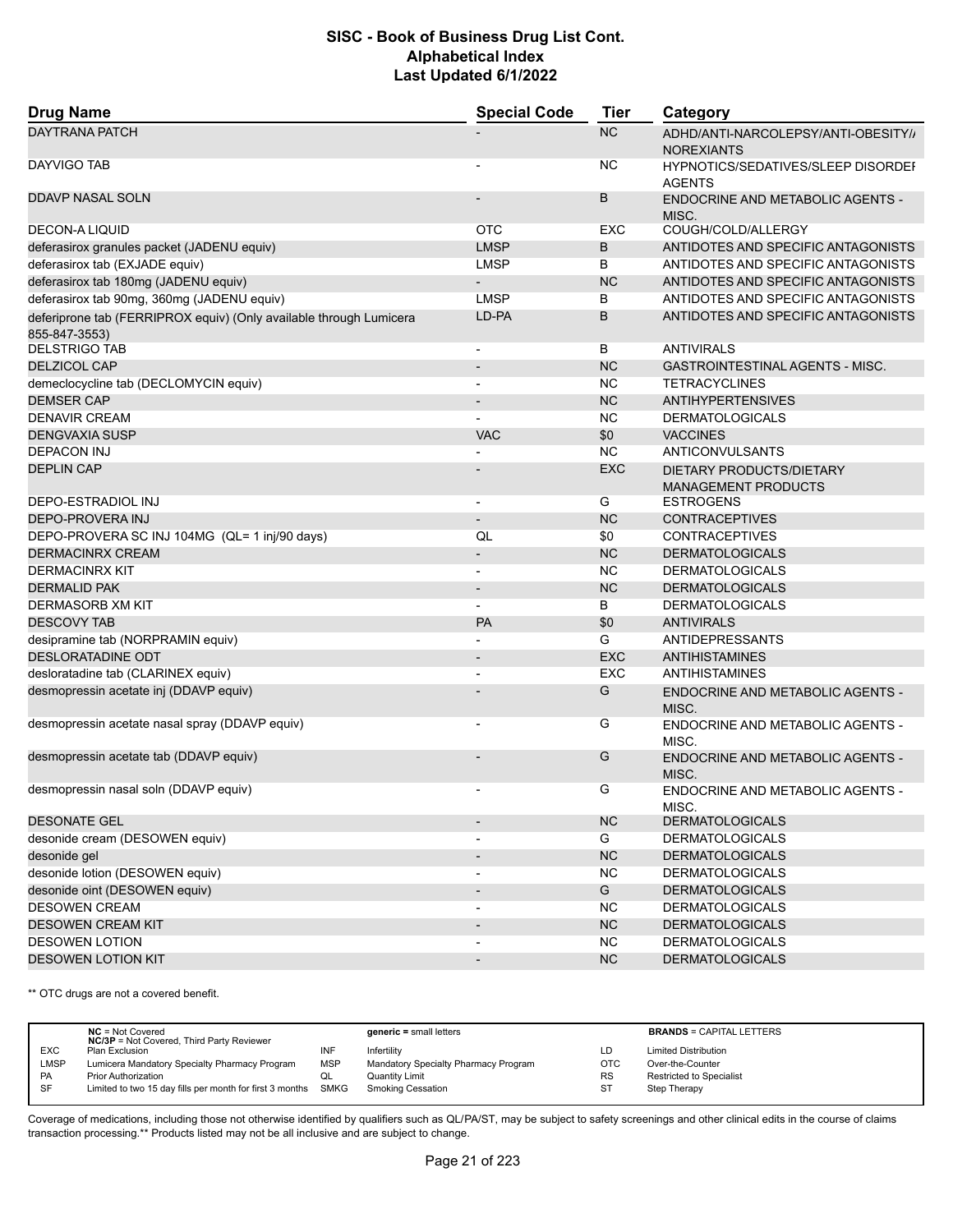| <b>Drug Name</b>                                                                    | <b>Special Code</b>      | <b>Tier</b> | Category                                                 |
|-------------------------------------------------------------------------------------|--------------------------|-------------|----------------------------------------------------------|
| <b>DAYTRANA PATCH</b>                                                               |                          | NC          | ADHD/ANTI-NARCOLEPSY/ANTI-OBESITY//<br><b>NOREXIANTS</b> |
| DAYVIGO TAB                                                                         |                          | <b>NC</b>   | HYPNOTICS/SEDATIVES/SLEEP DISORDEF<br><b>AGENTS</b>      |
| <b>DDAVP NASAL SOLN</b>                                                             |                          | B           | ENDOCRINE AND METABOLIC AGENTS -<br>MISC.                |
| <b>DECON-A LIQUID</b>                                                               | <b>OTC</b>               | <b>EXC</b>  | COUGH/COLD/ALLERGY                                       |
| deferasirox granules packet (JADENU equiv)                                          | <b>LMSP</b>              | B           | ANTIDOTES AND SPECIFIC ANTAGONISTS                       |
| deferasirox tab (EXJADE equiv)                                                      | <b>LMSP</b>              | B           | ANTIDOTES AND SPECIFIC ANTAGONISTS                       |
| deferasirox tab 180mg (JADENU equiv)                                                |                          | <b>NC</b>   | ANTIDOTES AND SPECIFIC ANTAGONISTS                       |
| deferasirox tab 90mg, 360mg (JADENU equiv)                                          | <b>LMSP</b>              | B           | ANTIDOTES AND SPECIFIC ANTAGONISTS                       |
| deferiprone tab (FERRIPROX equiv) (Only available through Lumicera<br>855-847-3553) | LD-PA                    | B           | ANTIDOTES AND SPECIFIC ANTAGONISTS                       |
| <b>DELSTRIGO TAB</b>                                                                |                          | B           | <b>ANTIVIRALS</b>                                        |
| <b>DELZICOL CAP</b>                                                                 |                          | <b>NC</b>   | <b>GASTROINTESTINAL AGENTS - MISC.</b>                   |
| demeclocycline tab (DECLOMYCIN equiv)                                               | $\overline{\phantom{a}}$ | <b>NC</b>   | <b>TETRACYCLINES</b>                                     |
| <b>DEMSER CAP</b>                                                                   |                          | <b>NC</b>   | <b>ANTIHYPERTENSIVES</b>                                 |
| <b>DENAVIR CREAM</b>                                                                |                          | <b>NC</b>   | <b>DERMATOLOGICALS</b>                                   |
| <b>DENGVAXIA SUSP</b>                                                               | <b>VAC</b>               | \$0         | <b>VACCINES</b>                                          |
| <b>DEPACON INJ</b>                                                                  |                          | NC          | ANTICONVULSANTS                                          |
| <b>DEPLIN CAP</b>                                                                   |                          | <b>EXC</b>  | DIETARY PRODUCTS/DIETARY<br><b>MANAGEMENT PRODUCTS</b>   |
| DEPO-ESTRADIOL INJ                                                                  | $\blacksquare$           | G           | <b>ESTROGENS</b>                                         |
| <b>DEPO-PROVERA INJ</b>                                                             | $\overline{\phantom{a}}$ | <b>NC</b>   | <b>CONTRACEPTIVES</b>                                    |
| DEPO-PROVERA SC INJ 104MG (QL= 1 inj/90 days)                                       | QL                       | \$0         | <b>CONTRACEPTIVES</b>                                    |
| <b>DERMACINRX CREAM</b>                                                             | $\overline{\phantom{a}}$ | <b>NC</b>   | <b>DERMATOLOGICALS</b>                                   |
| <b>DERMACINRX KIT</b>                                                               |                          | <b>NC</b>   | <b>DERMATOLOGICALS</b>                                   |
| <b>DERMALID PAK</b>                                                                 | $\overline{\phantom{a}}$ | <b>NC</b>   | <b>DERMATOLOGICALS</b>                                   |
| DERMASORB XM KIT                                                                    | $\overline{\phantom{a}}$ | В           | <b>DERMATOLOGICALS</b>                                   |
| <b>DESCOVY TAB</b>                                                                  | PA                       | \$0         | <b>ANTIVIRALS</b>                                        |
| desipramine tab (NORPRAMIN equiv)                                                   | $\blacksquare$           | G           | <b>ANTIDEPRESSANTS</b>                                   |
| DESLORATADINE ODT                                                                   | $\overline{\phantom{a}}$ | <b>EXC</b>  | <b>ANTIHISTAMINES</b>                                    |
| desloratadine tab (CLARINEX equiv)                                                  |                          | <b>EXC</b>  | <b>ANTIHISTAMINES</b>                                    |
| desmopressin acetate inj (DDAVP equiv)                                              |                          | G           | ENDOCRINE AND METABOLIC AGENTS -<br>MISC.                |
| desmopressin acetate nasal spray (DDAVP equiv)                                      |                          | G           | <b>ENDOCRINE AND METABOLIC AGENTS -</b><br>MISC.         |
| desmopressin acetate tab (DDAVP equiv)                                              |                          | G           | ENDOCRINE AND METABOLIC AGENTS -<br>MISC.                |
| desmopressin nasal soln (DDAVP equiv)                                               | $\overline{\phantom{a}}$ | G           | ENDOCRINE AND METABOLIC AGENTS -<br>MISC.                |
| <b>DESONATE GEL</b>                                                                 | $\overline{\phantom{a}}$ | NC          | <b>DERMATOLOGICALS</b>                                   |
| desonide cream (DESOWEN equiv)                                                      |                          | G           | <b>DERMATOLOGICALS</b>                                   |
| desonide gel                                                                        |                          | NC          | <b>DERMATOLOGICALS</b>                                   |
| desonide lotion (DESOWEN equiv)                                                     | $\blacksquare$           | <b>NC</b>   | <b>DERMATOLOGICALS</b>                                   |
| desonide oint (DESOWEN equiv)                                                       | $\overline{\phantom{a}}$ | G           | <b>DERMATOLOGICALS</b>                                   |
| <b>DESOWEN CREAM</b>                                                                |                          | <b>NC</b>   | <b>DERMATOLOGICALS</b>                                   |
| <b>DESOWEN CREAM KIT</b>                                                            | $\overline{\phantom{a}}$ | <b>NC</b>   | <b>DERMATOLOGICALS</b>                                   |
| <b>DESOWEN LOTION</b>                                                               | $\blacksquare$           | <b>NC</b>   | <b>DERMATOLOGICALS</b>                                   |
| <b>DESOWEN LOTION KIT</b>                                                           |                          | <b>NC</b>   | <b>DERMATOLOGICALS</b>                                   |

\*\* OTC drugs are not a covered benefit.

|             | $NC = Not Covered$<br><b>NC/3P</b> = Not Covered, Third Party Reviewer |            | $generic = small letters$            |            | <b>BRANDS = CAPITAL LETTERS</b> |
|-------------|------------------------------------------------------------------------|------------|--------------------------------------|------------|---------------------------------|
| <b>EXC</b>  | Plan Exclusion                                                         | INF        | Infertility                          | LD         | <b>Limited Distribution</b>     |
| <b>LMSP</b> | Lumicera Mandatory Specialty Pharmacy Program                          | <b>MSP</b> | Mandatory Specialty Pharmacy Program | <b>OTC</b> | Over-the-Counter                |
| PA          | <b>Prior Authorization</b>                                             | QL         | <b>Quantity Limit</b>                | <b>RS</b>  | <b>Restricted to Specialist</b> |
| SF          | Limited to two 15 day fills per month for first 3 months SMKG          |            | Smoking Cessation                    | -ST        | Step Therapy                    |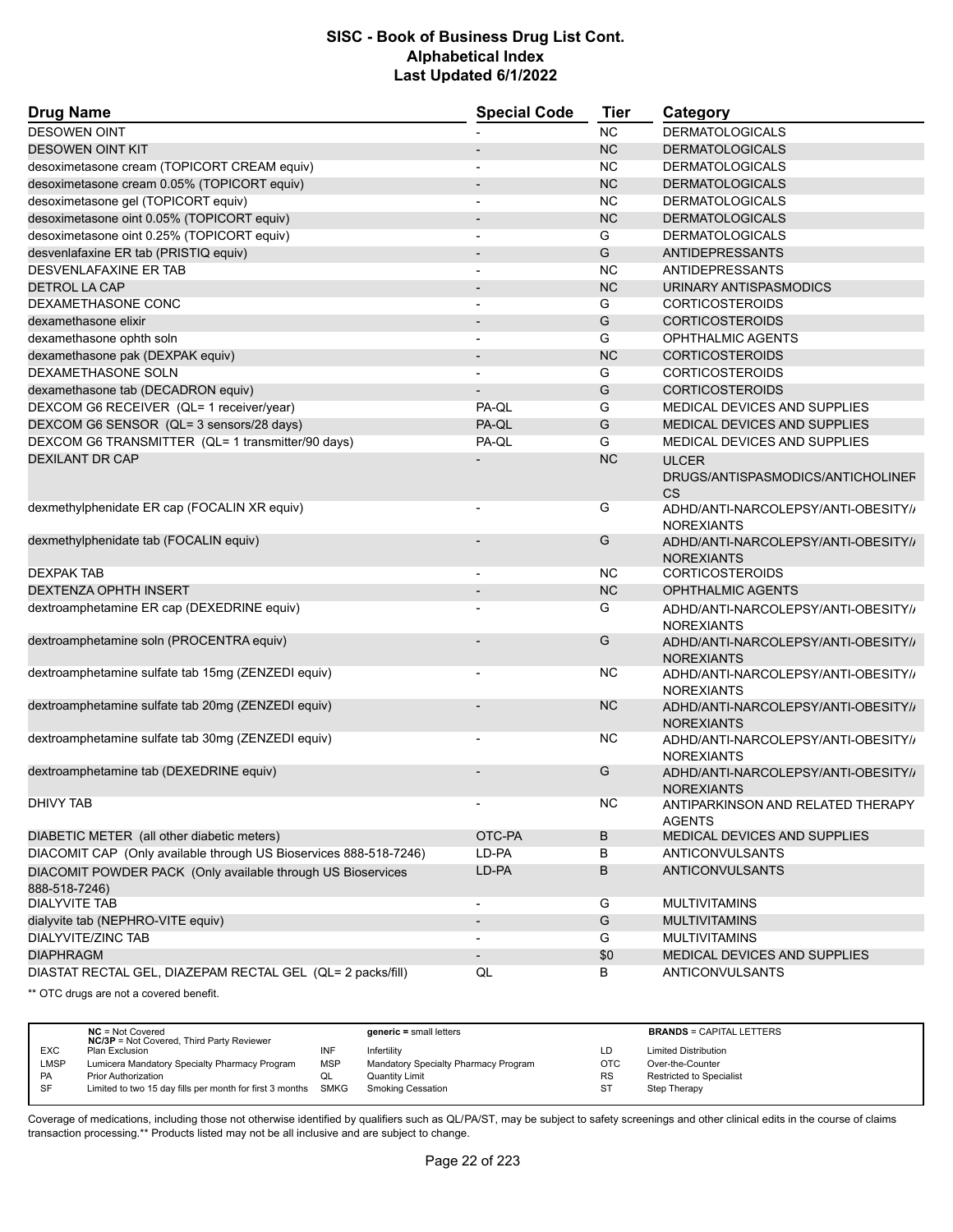| <b>Drug Name</b>                                                             | <b>Special Code</b>      | <b>Tier</b> | Category                                                 |  |
|------------------------------------------------------------------------------|--------------------------|-------------|----------------------------------------------------------|--|
| <b>DESOWEN OINT</b>                                                          |                          | <b>NC</b>   | <b>DERMATOLOGICALS</b>                                   |  |
| <b>DESOWEN OINT KIT</b>                                                      |                          | <b>NC</b>   | <b>DERMATOLOGICALS</b>                                   |  |
| desoximetasone cream (TOPICORT CREAM equiv)                                  | $\blacksquare$           | <b>NC</b>   | <b>DERMATOLOGICALS</b>                                   |  |
| desoximetasone cream 0.05% (TOPICORT equiv)                                  | $\overline{\phantom{a}}$ | <b>NC</b>   | <b>DERMATOLOGICALS</b>                                   |  |
| desoximetasone gel (TOPICORT equiv)                                          |                          | <b>NC</b>   | <b>DERMATOLOGICALS</b>                                   |  |
| desoximetasone oint 0.05% (TOPICORT equiv)                                   |                          | <b>NC</b>   | <b>DERMATOLOGICALS</b>                                   |  |
| desoximetasone oint 0.25% (TOPICORT equiv)                                   | $\overline{a}$           | G           | <b>DERMATOLOGICALS</b>                                   |  |
| desvenlafaxine ER tab (PRISTIQ equiv)                                        |                          | G           | <b>ANTIDEPRESSANTS</b>                                   |  |
| DESVENLAFAXINE ER TAB                                                        | $\blacksquare$           | <b>NC</b>   | ANTIDEPRESSANTS                                          |  |
| <b>DETROL LA CAP</b>                                                         | $\overline{\phantom{a}}$ | <b>NC</b>   | URINARY ANTISPASMODICS                                   |  |
| DEXAMETHASONE CONC                                                           |                          | G           | <b>CORTICOSTEROIDS</b>                                   |  |
| dexamethasone elixir                                                         |                          | G           | <b>CORTICOSTEROIDS</b>                                   |  |
| dexamethasone ophth soln                                                     | $\blacksquare$           | G           | <b>OPHTHALMIC AGENTS</b>                                 |  |
| dexamethasone pak (DEXPAK equiv)                                             |                          | <b>NC</b>   | <b>CORTICOSTEROIDS</b>                                   |  |
| DEXAMETHASONE SOLN                                                           |                          | G           | CORTICOSTEROIDS                                          |  |
| dexamethasone tab (DECADRON equiv)                                           |                          | G           | <b>CORTICOSTEROIDS</b>                                   |  |
| DEXCOM G6 RECEIVER (QL= 1 receiver/year)                                     | PA-QL                    | G           | MEDICAL DEVICES AND SUPPLIES                             |  |
| DEXCOM G6 SENSOR (QL= 3 sensors/28 days)                                     | PA-QL                    | G           | MEDICAL DEVICES AND SUPPLIES                             |  |
| DEXCOM G6 TRANSMITTER (QL= 1 transmitter/90 days)                            | PA-QL                    | G           | MEDICAL DEVICES AND SUPPLIES                             |  |
| <b>DEXILANT DR CAP</b>                                                       |                          | <b>NC</b>   | <b>ULCER</b>                                             |  |
|                                                                              |                          |             | DRUGS/ANTISPASMODICS/ANTICHOLINEF<br><b>CS</b>           |  |
| dexmethylphenidate ER cap (FOCALIN XR equiv)                                 |                          | G           | ADHD/ANTI-NARCOLEPSY/ANTI-OBESITY//<br><b>NOREXIANTS</b> |  |
| dexmethylphenidate tab (FOCALIN equiv)                                       |                          | G           | ADHD/ANTI-NARCOLEPSY/ANTI-OBESITY/<br><b>NOREXIANTS</b>  |  |
| <b>DEXPAK TAB</b>                                                            |                          | <b>NC</b>   | <b>CORTICOSTEROIDS</b>                                   |  |
| <b>DEXTENZA OPHTH INSERT</b>                                                 | $\overline{\phantom{a}}$ | <b>NC</b>   | <b>OPHTHALMIC AGENTS</b>                                 |  |
| dextroamphetamine ER cap (DEXEDRINE equiv)                                   |                          | G           | ADHD/ANTI-NARCOLEPSY/ANTI-OBESITY//<br><b>NOREXIANTS</b> |  |
| dextroamphetamine soln (PROCENTRA equiv)                                     |                          | G           | ADHD/ANTI-NARCOLEPSY/ANTI-OBESITY//<br><b>NOREXIANTS</b> |  |
| dextroamphetamine sulfate tab 15mg (ZENZEDI equiv)                           |                          | NC          | ADHD/ANTI-NARCOLEPSY/ANTI-OBESITY//<br><b>NOREXIANTS</b> |  |
| dextroamphetamine sulfate tab 20mg (ZENZEDI equiv)                           |                          | <b>NC</b>   | ADHD/ANTI-NARCOLEPSY/ANTI-OBESITY//<br><b>NOREXIANTS</b> |  |
| dextroamphetamine sulfate tab 30mg (ZENZEDI equiv)                           |                          | <b>NC</b>   | ADHD/ANTI-NARCOLEPSY/ANTI-OBESITY//<br><b>NOREXIANTS</b> |  |
| dextroamphetamine tab (DEXEDRINE equiv)                                      |                          | G           | ADHD/ANTI-NARCOLEPSY/ANTI-OBESITY//<br><b>NOREXIANTS</b> |  |
| DHIVY TAB                                                                    |                          | NC.         | ANTIPARKINSON AND RELATED THERAPY<br><b>AGENTS</b>       |  |
| DIABETIC METER (all other diabetic meters)                                   | OTC-PA                   | B           | MEDICAL DEVICES AND SUPPLIES                             |  |
| DIACOMIT CAP (Only available through US Bioservices 888-518-7246)            | LD-PA                    | в           | ANTICONVULSANTS                                          |  |
| DIACOMIT POWDER PACK (Only available through US Bioservices<br>888-518-7246) | LD-PA                    | B           | <b>ANTICONVULSANTS</b>                                   |  |
| <b>DIALYVITE TAB</b>                                                         | $\blacksquare$           | G           | <b>MULTIVITAMINS</b>                                     |  |
| dialyvite tab (NEPHRO-VITE equiv)                                            |                          | G           | <b>MULTIVITAMINS</b>                                     |  |
| DIALYVITE/ZINC TAB                                                           |                          | G           | <b>MULTIVITAMINS</b>                                     |  |
| <b>DIAPHRAGM</b>                                                             |                          | \$0         | MEDICAL DEVICES AND SUPPLIES                             |  |
| DIASTAT RECTAL GEL, DIAZEPAM RECTAL GEL (QL= 2 packs/fill)                   | QL                       | В           | ANTICONVULSANTS                                          |  |
|                                                                              |                          |             |                                                          |  |

\*\* OTC drugs are not a covered benefit.

|             | $NC = Not Covered$<br><b>NC/3P</b> = Not Covered, Third Party Reviewer |            | $generic = small letters$            |            | <b>BRANDS = CAPITAL LETTERS</b> |
|-------------|------------------------------------------------------------------------|------------|--------------------------------------|------------|---------------------------------|
| <b>EXC</b>  | Plan Exclusion                                                         | INF        | Infertility                          | LD         | <b>Limited Distribution</b>     |
| <b>LMSP</b> | Lumicera Mandatory Specialty Pharmacy Program                          | <b>MSP</b> | Mandatory Specialty Pharmacy Program | <b>OTC</b> | Over-the-Counter                |
| PA          | <b>Prior Authorization</b>                                             | ◡          | Quantity Limit                       | <b>RS</b>  | <b>Restricted to Specialist</b> |
| <b>SF</b>   | Limited to two 15 day fills per month for first 3 months               | SMKG       | <b>Smoking Cessation</b>             | <b>ST</b>  | <b>Step Therapy</b>             |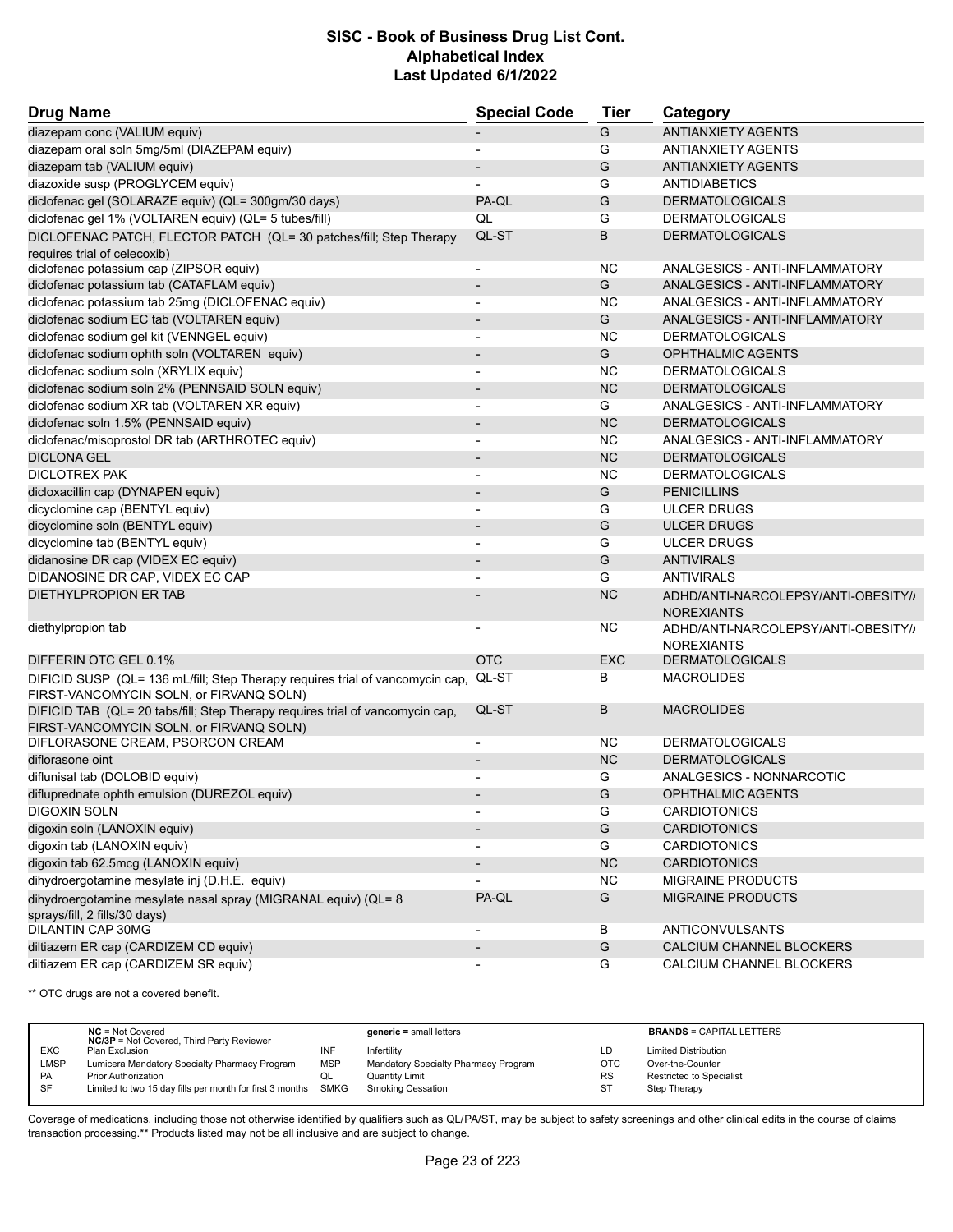| <b>Drug Name</b>                                                                                                         | <b>Special Code</b>          | <b>Tier</b> | Category                                                 |
|--------------------------------------------------------------------------------------------------------------------------|------------------------------|-------------|----------------------------------------------------------|
| diazepam conc (VALIUM equiv)                                                                                             |                              | G           | <b>ANTIANXIETY AGENTS</b>                                |
| diazepam oral soln 5mg/5ml (DIAZEPAM equiv)                                                                              | $\overline{\phantom{a}}$     | G           | <b>ANTIANXIETY AGENTS</b>                                |
| diazepam tab (VALIUM equiv)                                                                                              |                              | G           | <b>ANTIANXIETY AGENTS</b>                                |
| diazoxide susp (PROGLYCEM equiv)                                                                                         |                              | G           | <b>ANTIDIABETICS</b>                                     |
| diclofenac gel (SOLARAZE equiv) (QL= 300gm/30 days)                                                                      | PA-QL                        | G           | <b>DERMATOLOGICALS</b>                                   |
| diclofenac gel 1% (VOLTAREN equiv) (QL= 5 tubes/fill)                                                                    | QL                           | G           | <b>DERMATOLOGICALS</b>                                   |
| DICLOFENAC PATCH, FLECTOR PATCH (QL= 30 patches/fill; Step Therapy<br>requires trial of celecoxib)                       | QL-ST                        | B           | <b>DERMATOLOGICALS</b>                                   |
| diclofenac potassium cap (ZIPSOR equiv)                                                                                  | $\overline{\phantom{a}}$     | <b>NC</b>   | ANALGESICS - ANTI-INFLAMMATORY                           |
| diclofenac potassium tab (CATAFLAM equiv)                                                                                | $\overline{\phantom{a}}$     | G           | ANALGESICS - ANTI-INFLAMMATORY                           |
| diclofenac potassium tab 25mg (DICLOFENAC equiv)                                                                         |                              | <b>NC</b>   | ANALGESICS - ANTI-INFLAMMATORY                           |
| diclofenac sodium EC tab (VOLTAREN equiv)                                                                                | $\overline{a}$               | G           | ANALGESICS - ANTI-INFLAMMATORY                           |
| diclofenac sodium gel kit (VENNGEL equiv)                                                                                | $\overline{\phantom{0}}$     | ΝC          | <b>DERMATOLOGICALS</b>                                   |
| diclofenac sodium ophth soln (VOLTAREN equiv)                                                                            |                              | G           | <b>OPHTHALMIC AGENTS</b>                                 |
| diclofenac sodium soln (XRYLIX equiv)                                                                                    |                              | <b>NC</b>   | <b>DERMATOLOGICALS</b>                                   |
| diclofenac sodium soln 2% (PENNSAID SOLN equiv)                                                                          | $\overline{\phantom{a}}$     | <b>NC</b>   | <b>DERMATOLOGICALS</b>                                   |
| diclofenac sodium XR tab (VOLTAREN XR equiv)                                                                             | $\overline{\phantom{0}}$     | G           | ANALGESICS - ANTI-INFLAMMATORY                           |
| diclofenac soln 1.5% (PENNSAID equiv)                                                                                    | $\overline{\phantom{a}}$     | <b>NC</b>   | <b>DERMATOLOGICALS</b>                                   |
| diclofenac/misoprostol DR tab (ARTHROTEC equiv)                                                                          | $\overline{a}$               | <b>NC</b>   | ANALGESICS - ANTI-INFLAMMATORY                           |
| <b>DICLONA GEL</b>                                                                                                       | $\overline{\phantom{a}}$     | <b>NC</b>   | <b>DERMATOLOGICALS</b>                                   |
| <b>DICLOTREX PAK</b>                                                                                                     | -                            | <b>NC</b>   | <b>DERMATOLOGICALS</b>                                   |
| dicloxacillin cap (DYNAPEN equiv)                                                                                        | $\qquad \qquad \blacksquare$ | G           | <b>PENICILLINS</b>                                       |
| dicyclomine cap (BENTYL equiv)                                                                                           | $\overline{a}$               | G           | <b>ULCER DRUGS</b>                                       |
| dicyclomine soln (BENTYL equiv)                                                                                          | $\overline{a}$               | G           | <b>ULCER DRUGS</b>                                       |
| dicyclomine tab (BENTYL equiv)                                                                                           |                              | G           | <b>ULCER DRUGS</b>                                       |
| didanosine DR cap (VIDEX EC equiv)                                                                                       | $\overline{\phantom{m}}$     | G           | <b>ANTIVIRALS</b>                                        |
| DIDANOSINE DR CAP, VIDEX EC CAP                                                                                          |                              | G           | <b>ANTIVIRALS</b>                                        |
| <b>DIETHYLPROPION ER TAB</b>                                                                                             |                              | <b>NC</b>   | ADHD/ANTI-NARCOLEPSY/ANTI-OBESITY//<br><b>NOREXIANTS</b> |
| diethylpropion tab                                                                                                       |                              | <b>NC</b>   | ADHD/ANTI-NARCOLEPSY/ANTI-OBESITY//<br><b>NOREXIANTS</b> |
| DIFFERIN OTC GEL 0.1%                                                                                                    | <b>OTC</b>                   | <b>EXC</b>  | <b>DERMATOLOGICALS</b>                                   |
| DIFICID SUSP (QL= 136 mL/fill; Step Therapy requires trial of vancomycin cap,                                            | QL-ST                        | В           | <b>MACROLIDES</b>                                        |
| FIRST-VANCOMYCIN SOLN, or FIRVANQ SOLN)                                                                                  |                              |             |                                                          |
| DIFICID TAB (QL= 20 tabs/fill; Step Therapy requires trial of vancomycin cap,<br>FIRST-VANCOMYCIN SOLN, or FIRVANQ SOLN) | QL-ST                        | B           | <b>MACROLIDES</b>                                        |
| DIFLORASONE CREAM, PSORCON CREAM                                                                                         | $\overline{\phantom{a}}$     | NC.         | <b>DERMATOLOGICALS</b>                                   |
| diflorasone oint                                                                                                         |                              | <b>NC</b>   | <b>DERMATOLOGICALS</b>                                   |
| diflunisal tab (DOLOBID equiv)                                                                                           |                              | G           | ANALGESICS - NONNARCOTIC                                 |
| difluprednate ophth emulsion (DUREZOL equiv)                                                                             |                              | G           | <b>OPHTHALMIC AGENTS</b>                                 |
| DIGOXIN SOLN                                                                                                             |                              | G           | <b>CARDIOTONICS</b>                                      |
| digoxin soln (LANOXIN equiv)                                                                                             |                              | G           | <b>CARDIOTONICS</b>                                      |
| digoxin tab (LANOXIN equiv)                                                                                              | $\overline{\phantom{a}}$     | G           | <b>CARDIOTONICS</b>                                      |
| digoxin tab 62.5mcg (LANOXIN equiv)                                                                                      |                              | NC          | <b>CARDIOTONICS</b>                                      |
| dihydroergotamine mesylate inj (D.H.E. equiv)                                                                            |                              | <b>NC</b>   | MIGRAINE PRODUCTS                                        |
| dihydroergotamine mesylate nasal spray (MIGRANAL equiv) (QL= 8<br>sprays/fill, 2 fills/30 days)                          | PA-QL                        | G           | <b>MIGRAINE PRODUCTS</b>                                 |
| DILANTIN CAP 30MG                                                                                                        | $\overline{\phantom{a}}$     | В           | ANTICONVULSANTS                                          |
| diltiazem ER cap (CARDIZEM CD equiv)                                                                                     | $\overline{\phantom{m}}$     | G           | CALCIUM CHANNEL BLOCKERS                                 |
| diltiazem ER cap (CARDIZEM SR equiv)                                                                                     |                              | G           | CALCIUM CHANNEL BLOCKERS                                 |

\*\* OTC drugs are not a covered benefit.

|            | $NC = Not Covered$<br><b>NC/3P</b> = Not Covered, Third Party Reviewer |            | $generic = small letters$            |            | <b>BRANDS = CAPITAL LETTERS</b> |
|------------|------------------------------------------------------------------------|------------|--------------------------------------|------------|---------------------------------|
| <b>EXC</b> | Plan Exclusion                                                         | INF        | Infertility                          | LD         | <b>Limited Distribution</b>     |
| LMSP       | Lumicera Mandatory Specialty Pharmacy Program                          | <b>MSP</b> | Mandatory Specialty Pharmacy Program | <b>OTC</b> | Over-the-Counter                |
| PA         | <b>Prior Authorization</b>                                             | QL         | <b>Quantity Limit</b>                | <b>RS</b>  | Restricted to Specialist        |
| SF         | Limited to two 15 day fills per month for first 3 months SMKG          |            | <b>Smoking Cessation</b>             | ST         | Step Therapy                    |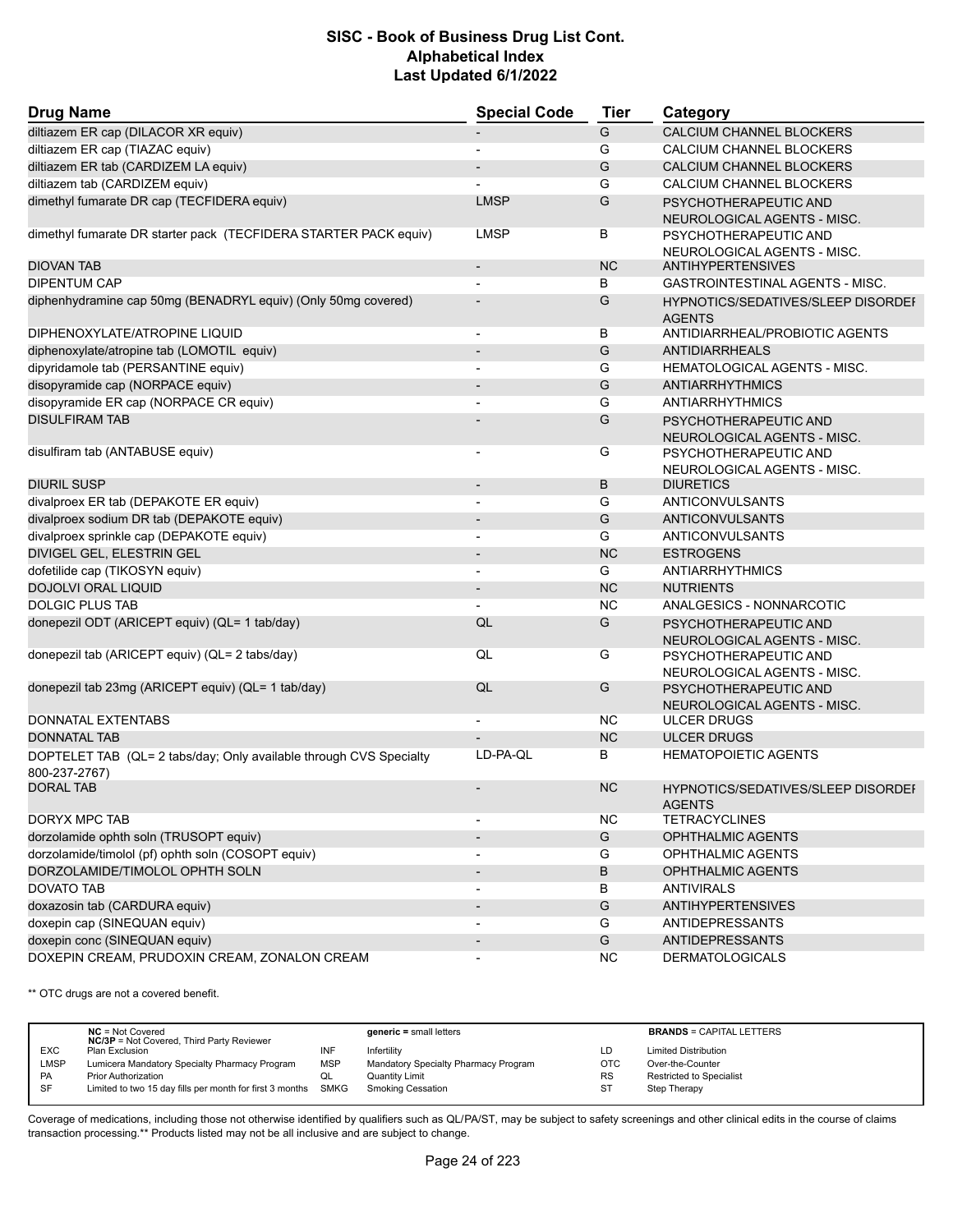| <b>Drug Name</b>                                                                    | <b>Special Code</b>      | <b>Tier</b> | Category                                                   |
|-------------------------------------------------------------------------------------|--------------------------|-------------|------------------------------------------------------------|
| diltiazem ER cap (DILACOR XR equiv)                                                 |                          | G           | <b>CALCIUM CHANNEL BLOCKERS</b>                            |
| diltiazem ER cap (TIAZAC equiv)                                                     | -                        | G           | CALCIUM CHANNEL BLOCKERS                                   |
| diltiazem ER tab (CARDIZEM LA equiv)                                                |                          | G           | CALCIUM CHANNEL BLOCKERS                                   |
| diltiazem tab (CARDIZEM equiv)                                                      |                          | G           | CALCIUM CHANNEL BLOCKERS                                   |
| dimethyl fumarate DR cap (TECFIDERA equiv)                                          | <b>LMSP</b>              | G           | PSYCHOTHERAPEUTIC AND<br>NEUROLOGICAL AGENTS - MISC.       |
| dimethyl fumarate DR starter pack (TECFIDERA STARTER PACK equiv)                    | <b>LMSP</b>              | В           | PSYCHOTHERAPEUTIC AND<br>NEUROLOGICAL AGENTS - MISC.       |
| <b>DIOVAN TAB</b>                                                                   | $\overline{\phantom{a}}$ | <b>NC</b>   | <b>ANTIHYPERTENSIVES</b>                                   |
| <b>DIPENTUM CAP</b>                                                                 |                          | В           | GASTROINTESTINAL AGENTS - MISC.                            |
| diphenhydramine cap 50mg (BENADRYL equiv) (Only 50mg covered)                       |                          | G           | HYPNOTICS/SEDATIVES/SLEEP DISORDEI<br><b>AGENTS</b>        |
| DIPHENOXYLATE/ATROPINE LIQUID                                                       | $\overline{\phantom{a}}$ | В           | ANTIDIARRHEAL/PROBIOTIC AGENTS                             |
| diphenoxylate/atropine tab (LOMOTIL equiv)                                          | $\overline{\phantom{a}}$ | G           | <b>ANTIDIARRHEALS</b>                                      |
| dipyridamole tab (PERSANTINE equiv)                                                 |                          | G           | <b>HEMATOLOGICAL AGENTS - MISC.</b>                        |
| disopyramide cap (NORPACE equiv)                                                    |                          | G           | <b>ANTIARRHYTHMICS</b>                                     |
| disopyramide ER cap (NORPACE CR equiv)                                              | $\overline{\phantom{a}}$ | G           | <b>ANTIARRHYTHMICS</b>                                     |
| <b>DISULFIRAM TAB</b>                                                               |                          | G           | PSYCHOTHERAPEUTIC AND<br>NEUROLOGICAL AGENTS - MISC.       |
| disulfiram tab (ANTABUSE equiv)                                                     |                          | G           | PSYCHOTHERAPEUTIC AND<br>NEUROLOGICAL AGENTS - MISC.       |
| DIURIL SUSP                                                                         | $\overline{\phantom{0}}$ | В           | <b>DIURETICS</b>                                           |
| divalproex ER tab (DEPAKOTE ER equiv)                                               | $\overline{\phantom{a}}$ | G           | ANTICONVULSANTS                                            |
| divalproex sodium DR tab (DEPAKOTE equiv)                                           | $\overline{\phantom{a}}$ | G           | <b>ANTICONVULSANTS</b>                                     |
| divalproex sprinkle cap (DEPAKOTE equiv)                                            | -                        | G           | ANTICONVULSANTS                                            |
| DIVIGEL GEL, ELESTRIN GEL                                                           | $\overline{a}$           | <b>NC</b>   | <b>ESTROGENS</b>                                           |
| dofetilide cap (TIKOSYN equiv)                                                      | $\overline{a}$           | G           | <b>ANTIARRHYTHMICS</b>                                     |
| DOJOLVI ORAL LIQUID                                                                 |                          | <b>NC</b>   | <b>NUTRIENTS</b>                                           |
| <b>DOLGIC PLUS TAB</b>                                                              |                          | <b>NC</b>   | ANALGESICS - NONNARCOTIC                                   |
| donepezil ODT (ARICEPT equiv) (QL= 1 tab/day)                                       | QL                       | G           | PSYCHOTHERAPEUTIC AND<br>NEUROLOGICAL AGENTS - MISC.       |
| donepezil tab (ARICEPT equiv) (QL= 2 tabs/day)                                      | QL                       | G           | PSYCHOTHERAPEUTIC AND<br>NEUROLOGICAL AGENTS - MISC.       |
| donepezil tab 23mg (ARICEPT equiv) (QL= 1 tab/day)                                  | QL                       | G           | PSYCHOTHERAPEUTIC AND<br>NEUROLOGICAL AGENTS - MISC.       |
| DONNATAL EXTENTABS                                                                  | $\overline{a}$           | ΝC          | ULCER DRUGS                                                |
| <b>DONNATAL TAB</b>                                                                 |                          | <b>NC</b>   | <b>ULCER DRUGS</b>                                         |
| DOPTELET TAB (QL= 2 tabs/day; Only available through CVS Specialty<br>800-237-2767) | LD-PA-QL                 | В           | <b>HEMATOPOIETIC AGENTS</b>                                |
| <b>DORAL TAB</b>                                                                    |                          | <b>NC</b>   | <b>HYPNOTICS/SEDATIVES/SLEEP DISORDEF</b><br><b>AGENTS</b> |
| <b>DORYX MPC TAB</b>                                                                |                          | <b>NC</b>   | <b>TETRACYCLINES</b>                                       |
| dorzolamide ophth soln (TRUSOPT equiv)                                              | $\overline{\phantom{a}}$ | G           | OPHTHALMIC AGENTS                                          |
| dorzolamide/timolol (pf) ophth soln (COSOPT equiv)                                  |                          | G           | OPHTHALMIC AGENTS                                          |
| DORZOLAMIDE/TIMOLOL OPHTH SOLN                                                      | $\blacksquare$           | В           | <b>OPHTHALMIC AGENTS</b>                                   |
| <b>DOVATO TAB</b>                                                                   |                          | В           | <b>ANTIVIRALS</b>                                          |
| doxazosin tab (CARDURA equiv)                                                       | $\overline{\phantom{0}}$ | G           | <b>ANTIHYPERTENSIVES</b>                                   |
| doxepin cap (SINEQUAN equiv)                                                        |                          | G           | ANTIDEPRESSANTS                                            |
| doxepin conc (SINEQUAN equiv)                                                       | $\overline{\phantom{0}}$ | G           | <b>ANTIDEPRESSANTS</b>                                     |
| DOXEPIN CREAM, PRUDOXIN CREAM, ZONALON CREAM                                        |                          | <b>NC</b>   | <b>DERMATOLOGICALS</b>                                     |

\*\* OTC drugs are not a covered benefit.

|            | $NC = Not Covered$<br><b>NC/3P</b> = Not Covered, Third Party Reviewer |            | $generic = small letters$            |            | <b>BRANDS = CAPITAL LETTERS</b> |
|------------|------------------------------------------------------------------------|------------|--------------------------------------|------------|---------------------------------|
| <b>EXC</b> | Plan Exclusion                                                         | INF        | Infertility                          | LD         | <b>Limited Distribution</b>     |
| LMSP       | Lumicera Mandatory Specialty Pharmacy Program                          | <b>MSP</b> | Mandatory Specialty Pharmacy Program | <b>OTC</b> | Over-the-Counter                |
| PA         | <b>Prior Authorization</b>                                             | QL         | <b>Quantity Limit</b>                | <b>RS</b>  | Restricted to Specialist        |
| SF         | Limited to two 15 day fills per month for first 3 months SMKG          |            | <b>Smoking Cessation</b>             | ST         | Step Therapy                    |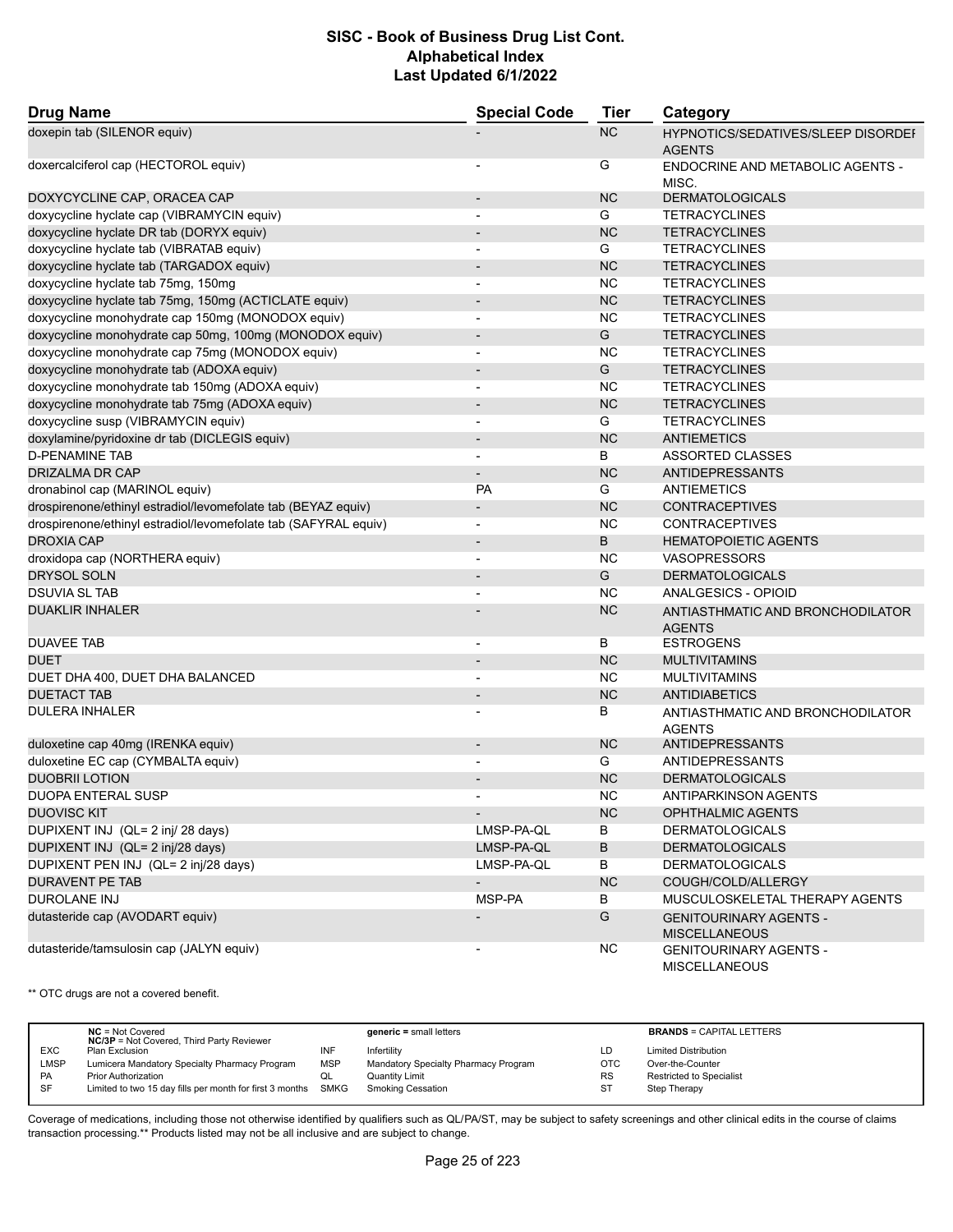| <b>Drug Name</b>                                                | <b>Special Code</b>          | Tier      | Category                                              |
|-----------------------------------------------------------------|------------------------------|-----------|-------------------------------------------------------|
| doxepin tab (SILENOR equiv)                                     |                              | <b>NC</b> | HYPNOTICS/SEDATIVES/SLEEP DISORDEI<br><b>AGENTS</b>   |
| doxercalciferol cap (HECTOROL equiv)                            |                              | G         | ENDOCRINE AND METABOLIC AGENTS -<br>MISC.             |
| DOXYCYCLINE CAP, ORACEA CAP                                     | $\qquad \qquad \blacksquare$ | <b>NC</b> | <b>DERMATOLOGICALS</b>                                |
| doxycycline hyclate cap (VIBRAMYCIN equiv)                      | $\overline{\phantom{a}}$     | G         | <b>TETRACYCLINES</b>                                  |
| doxycycline hyclate DR tab (DORYX equiv)                        |                              | <b>NC</b> | <b>TETRACYCLINES</b>                                  |
| doxycycline hyclate tab (VIBRATAB equiv)                        | $\overline{\phantom{a}}$     | G         | <b>TETRACYCLINES</b>                                  |
| doxycycline hyclate tab (TARGADOX equiv)                        | $\overline{\phantom{a}}$     | <b>NC</b> | <b>TETRACYCLINES</b>                                  |
| doxycycline hyclate tab 75mg, 150mg                             |                              | <b>NC</b> | <b>TETRACYCLINES</b>                                  |
| doxycycline hyclate tab 75mg, 150mg (ACTICLATE equiv)           | $\overline{\phantom{a}}$     | <b>NC</b> | <b>TETRACYCLINES</b>                                  |
| doxycycline monohydrate cap 150mg (MONODOX equiv)               | $\overline{\phantom{a}}$     | <b>NC</b> | <b>TETRACYCLINES</b>                                  |
| doxycycline monohydrate cap 50mg, 100mg (MONODOX equiv)         |                              | G         | <b>TETRACYCLINES</b>                                  |
| doxycycline monohydrate cap 75mg (MONODOX equiv)                | $\overline{a}$               | <b>NC</b> | <b>TETRACYCLINES</b>                                  |
| doxycycline monohydrate tab (ADOXA equiv)                       | $\overline{\phantom{a}}$     | G         | <b>TETRACYCLINES</b>                                  |
| doxycycline monohydrate tab 150mg (ADOXA equiv)                 | $\overline{\phantom{a}}$     | <b>NC</b> | <b>TETRACYCLINES</b>                                  |
| doxycycline monohydrate tab 75mg (ADOXA equiv)                  |                              | <b>NC</b> | <b>TETRACYCLINES</b>                                  |
| doxycycline susp (VIBRAMYCIN equiv)                             | $\overline{a}$               | G         | <b>TETRACYCLINES</b>                                  |
| doxylamine/pyridoxine dr tab (DICLEGIS equiv)                   | $\overline{\phantom{a}}$     | <b>NC</b> | <b>ANTIEMETICS</b>                                    |
| <b>D-PENAMINE TAB</b>                                           | $\overline{\phantom{a}}$     | В         | <b>ASSORTED CLASSES</b>                               |
| DRIZALMA DR CAP                                                 | $\overline{\phantom{a}}$     | <b>NC</b> | <b>ANTIDEPRESSANTS</b>                                |
| dronabinol cap (MARINOL equiv)                                  | <b>PA</b>                    | G         | ANTIEMETICS                                           |
| drospirenone/ethinyl estradiol/levomefolate tab (BEYAZ equiv)   | $\overline{\phantom{a}}$     | <b>NC</b> | <b>CONTRACEPTIVES</b>                                 |
| drospirenone/ethinyl estradiol/levomefolate tab (SAFYRAL equiv) | $\blacksquare$               | <b>NC</b> | <b>CONTRACEPTIVES</b>                                 |
| <b>DROXIA CAP</b>                                               |                              | B         | <b>HEMATOPOIETIC AGENTS</b>                           |
| droxidopa cap (NORTHERA equiv)                                  |                              | <b>NC</b> | <b>VASOPRESSORS</b>                                   |
| <b>DRYSOL SOLN</b>                                              | $\overline{\phantom{a}}$     | G         | <b>DERMATOLOGICALS</b>                                |
| <b>DSUVIA SL TAB</b>                                            |                              | <b>NC</b> | ANALGESICS - OPIOID                                   |
| <b>DUAKLIR INHALER</b>                                          |                              | <b>NC</b> | ANTIASTHMATIC AND BRONCHODILATOR<br><b>AGENTS</b>     |
| <b>DUAVEE TAB</b>                                               | $\overline{\phantom{a}}$     | В         | <b>ESTROGENS</b>                                      |
| <b>DUET</b>                                                     | $\overline{\phantom{a}}$     | <b>NC</b> | <b>MULTIVITAMINS</b>                                  |
| DUET DHA 400, DUET DHA BALANCED                                 | $\overline{\phantom{a}}$     | <b>NC</b> | <b>MULTIVITAMINS</b>                                  |
| <b>DUETACT TAB</b>                                              | $\overline{\phantom{a}}$     | <b>NC</b> | <b>ANTIDIABETICS</b>                                  |
| <b>DULERA INHALER</b>                                           |                              | В         | ANTIASTHMATIC AND BRONCHODILATOR<br><b>AGENTS</b>     |
| duloxetine cap 40mg (IRENKA equiv)                              | $\overline{\phantom{a}}$     | <b>NC</b> | <b>ANTIDEPRESSANTS</b>                                |
| duloxetine EC cap (CYMBALTA equiv)                              |                              | G         | <b>ANTIDEPRESSANTS</b>                                |
| <b>DUOBRII LOTION</b>                                           |                              | <b>NC</b> | <b>DERMATOLOGICALS</b>                                |
| DUOPA ENTERAL SUSP                                              |                              | <b>NC</b> | ANTIPARKINSON AGENTS                                  |
| <b>DUOVISC KIT</b>                                              | $\overline{\phantom{a}}$     | <b>NC</b> | OPHTHALMIC AGENTS                                     |
| DUPIXENT INJ (QL= 2 inj/ 28 days)                               | LMSP-PA-QL                   | B         | <b>DERMATOLOGICALS</b>                                |
| DUPIXENT INJ (QL= 2 inj/28 days)                                | LMSP-PA-QL                   | B         | <b>DERMATOLOGICALS</b>                                |
| DUPIXENT PEN INJ (QL= 2 inj/28 days)                            | LMSP-PA-QL                   | В         | <b>DERMATOLOGICALS</b>                                |
| <b>DURAVENT PE TAB</b>                                          |                              | <b>NC</b> | COUGH/COLD/ALLERGY                                    |
| DUROLANE INJ                                                    | MSP-PA                       | В         | MUSCULOSKELETAL THERAPY AGENTS                        |
| dutasteride cap (AVODART equiv)                                 |                              | G         | <b>GENITOURINARY AGENTS -</b><br><b>MISCELLANEOUS</b> |
| dutasteride/tamsulosin cap (JALYN equiv)                        |                              | <b>NC</b> | <b>GENITOURINARY AGENTS -</b><br><b>MISCELLANEOUS</b> |

\*\* OTC drugs are not a covered benefit.

|            | $NC = Not Covered$<br><b>NC/3P</b> = Not Covered, Third Party Reviewer |            | $generic = small letters$            |            | <b>BRANDS = CAPITAL LETTERS</b> |
|------------|------------------------------------------------------------------------|------------|--------------------------------------|------------|---------------------------------|
| <b>EXC</b> | Plan Exclusion                                                         | INF        | Infertility                          | LD         | <b>Limited Distribution</b>     |
| LMSP       | Lumicera Mandatory Specialty Pharmacy Program                          | <b>MSP</b> | Mandatory Specialty Pharmacy Program | <b>OTC</b> | Over-the-Counter                |
| <b>PA</b>  | <b>Prior Authorization</b>                                             | QL         | Quantity Limit                       | <b>RS</b>  | <b>Restricted to Specialist</b> |
| SF         | Limited to two 15 day fills per month for first 3 months               | SMKG       | <b>Smoking Cessation</b>             | <b>ST</b>  | Step Therapy                    |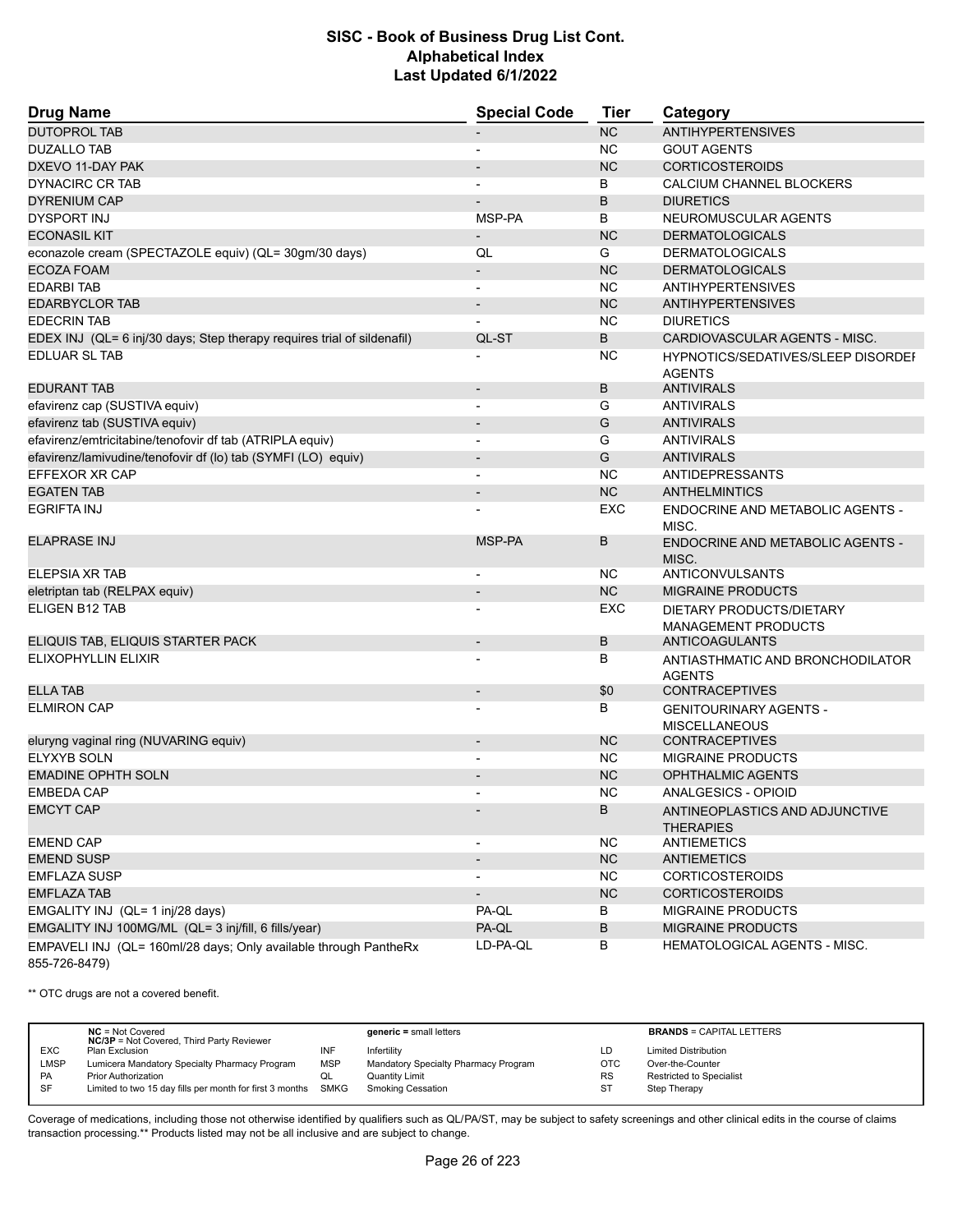| <b>Drug Name</b>                                                                  | <b>Special Code</b>      | <b>Tier</b> | Category                                               |
|-----------------------------------------------------------------------------------|--------------------------|-------------|--------------------------------------------------------|
| <b>DUTOPROL TAB</b>                                                               |                          | NC          | <b>ANTIHYPERTENSIVES</b>                               |
| <b>DUZALLO TAB</b>                                                                |                          | <b>NC</b>   | <b>GOUT AGENTS</b>                                     |
| DXEVO 11-DAY PAK                                                                  |                          | <b>NC</b>   | <b>CORTICOSTEROIDS</b>                                 |
| DYNACIRC CR TAB                                                                   |                          | B           | CALCIUM CHANNEL BLOCKERS                               |
| <b>DYRENIUM CAP</b>                                                               | $\overline{\phantom{a}}$ | B           | <b>DIURETICS</b>                                       |
| <b>DYSPORT INJ</b>                                                                | MSP-PA                   | B           | NEUROMUSCULAR AGENTS                                   |
| <b>ECONASIL KIT</b>                                                               | $\overline{\phantom{a}}$ | <b>NC</b>   | <b>DERMATOLOGICALS</b>                                 |
| econazole cream (SPECTAZOLE equiv) (QL= 30gm/30 days)                             | QL                       | G           | <b>DERMATOLOGICALS</b>                                 |
| <b>ECOZA FOAM</b>                                                                 | $\overline{\phantom{a}}$ | <b>NC</b>   | <b>DERMATOLOGICALS</b>                                 |
| <b>EDARBI TAB</b>                                                                 | $\overline{\phantom{a}}$ | <b>NC</b>   | <b>ANTIHYPERTENSIVES</b>                               |
| <b>EDARBYCLOR TAB</b>                                                             | $\overline{\phantom{a}}$ | <b>NC</b>   | <b>ANTIHYPERTENSIVES</b>                               |
| <b>EDECRIN TAB</b>                                                                |                          | <b>NC</b>   | <b>DIURETICS</b>                                       |
| EDEX INJ (QL= 6 inj/30 days; Step therapy requires trial of sildenafil)           | QL-ST                    | B           | CARDIOVASCULAR AGENTS - MISC.                          |
| EDLUAR SL TAB                                                                     |                          | ΝC          | HYPNOTICS/SEDATIVES/SLEEP DISORDEI                     |
|                                                                                   |                          |             | <b>AGENTS</b>                                          |
| <b>EDURANT TAB</b>                                                                | $\overline{\phantom{a}}$ | B           | <b>ANTIVIRALS</b>                                      |
| efavirenz cap (SUSTIVA equiv)                                                     | $\blacksquare$           | G           | <b>ANTIVIRALS</b>                                      |
| efavirenz tab (SUSTIVA equiv)                                                     |                          | G           | <b>ANTIVIRALS</b>                                      |
| efavirenz/emtricitabine/tenofovir df tab (ATRIPLA equiv)                          |                          | G           | <b>ANTIVIRALS</b>                                      |
| efavirenz/lamivudine/tenofovir df (lo) tab (SYMFI (LO) equiv)                     | $\overline{\phantom{a}}$ | G           | <b>ANTIVIRALS</b>                                      |
| EFFEXOR XR CAP                                                                    | $\overline{\phantom{a}}$ | <b>NC</b>   | <b>ANTIDEPRESSANTS</b>                                 |
| <b>EGATEN TAB</b>                                                                 |                          | NC          | <b>ANTHELMINTICS</b>                                   |
| <b>EGRIFTA INJ</b>                                                                |                          | <b>EXC</b>  | ENDOCRINE AND METABOLIC AGENTS -                       |
|                                                                                   |                          |             | MISC.                                                  |
| <b>ELAPRASE INJ</b>                                                               | MSP-PA                   | B           | ENDOCRINE AND METABOLIC AGENTS -<br>MISC.              |
| ELEPSIA XR TAB                                                                    | $\overline{\phantom{a}}$ | NC.         | <b>ANTICONVULSANTS</b>                                 |
| eletriptan tab (RELPAX equiv)                                                     |                          | <b>NC</b>   | <b>MIGRAINE PRODUCTS</b>                               |
| ELIGEN B12 TAB                                                                    |                          | EXC         | DIETARY PRODUCTS/DIETARY<br><b>MANAGEMENT PRODUCTS</b> |
| ELIQUIS TAB, ELIQUIS STARTER PACK                                                 | $\overline{\phantom{a}}$ | B           | ANTICOAGULANTS                                         |
| ELIXOPHYLLIN ELIXIR                                                               |                          | В           | ANTIASTHMATIC AND BRONCHODILATOR<br><b>AGENTS</b>      |
| <b>ELLA TAB</b>                                                                   | $\overline{\phantom{a}}$ | \$0         | <b>CONTRACEPTIVES</b>                                  |
| <b>ELMIRON CAP</b>                                                                |                          | В           | <b>GENITOURINARY AGENTS -</b>                          |
|                                                                                   |                          |             | <b>MISCELLANEOUS</b>                                   |
| eluryng vaginal ring (NUVARING equiv)                                             | $\overline{\phantom{a}}$ | <b>NC</b>   | <b>CONTRACEPTIVES</b>                                  |
| <b>ELYXYB SOLN</b>                                                                |                          | <b>NC</b>   | <b>MIGRAINE PRODUCTS</b>                               |
| <b>EMADINE OPHTH SOLN</b>                                                         |                          | <b>NC</b>   | <b>OPHTHALMIC AGENTS</b>                               |
| <b>EMBEDA CAP</b>                                                                 |                          | <b>NC</b>   | ANALGESICS - OPIOID                                    |
| <b>EMCYT CAP</b>                                                                  |                          | B           | ANTINEOPLASTICS AND ADJUNCTIVE<br><b>THERAPIES</b>     |
| <b>EMEND CAP</b>                                                                  |                          | <b>NC</b>   | <b>ANTIEMETICS</b>                                     |
| <b>EMEND SUSP</b>                                                                 |                          | NC          | <b>ANTIEMETICS</b>                                     |
| <b>EMFLAZA SUSP</b>                                                               |                          | <b>NC</b>   | <b>CORTICOSTEROIDS</b>                                 |
| <b>EMFLAZA TAB</b>                                                                |                          | NC          | <b>CORTICOSTEROIDS</b>                                 |
| EMGALITY INJ (QL= 1 inj/28 days)                                                  | PA-QL                    | B           | <b>MIGRAINE PRODUCTS</b>                               |
| EMGALITY INJ 100MG/ML (QL= 3 inj/fill, 6 fills/year)                              | PA-QL                    | B           | MIGRAINE PRODUCTS                                      |
| EMPAVELI INJ (QL= 160ml/28 days; Only available through PantheRx<br>855-726-8479) | LD-PA-QL                 | В           | <b>HEMATOLOGICAL AGENTS - MISC.</b>                    |

\*\* OTC drugs are not a covered benefit.

|            | $NC = Not Covered$<br><b>NC/3P</b> = Not Covered, Third Party Reviewer |            | $generic = small letters$            |            | <b>BRANDS = CAPITAL LETTERS</b> |
|------------|------------------------------------------------------------------------|------------|--------------------------------------|------------|---------------------------------|
| <b>EXC</b> | Plan Exclusion                                                         | INF        | Infertility                          | LD         | <b>Limited Distribution</b>     |
| LMSP       | Lumicera Mandatory Specialty Pharmacy Program                          | <b>MSP</b> | Mandatory Specialty Pharmacy Program | <b>OTC</b> | Over-the-Counter                |
| PA         | <b>Prior Authorization</b>                                             | QL         | Quantity Limit                       | <b>RS</b>  | <b>Restricted to Specialist</b> |
| SF         | Limited to two 15 day fills per month for first 3 months SMKG          |            | Smoking Cessation                    | <b>ST</b>  | Step Therapy                    |
|            |                                                                        |            |                                      |            |                                 |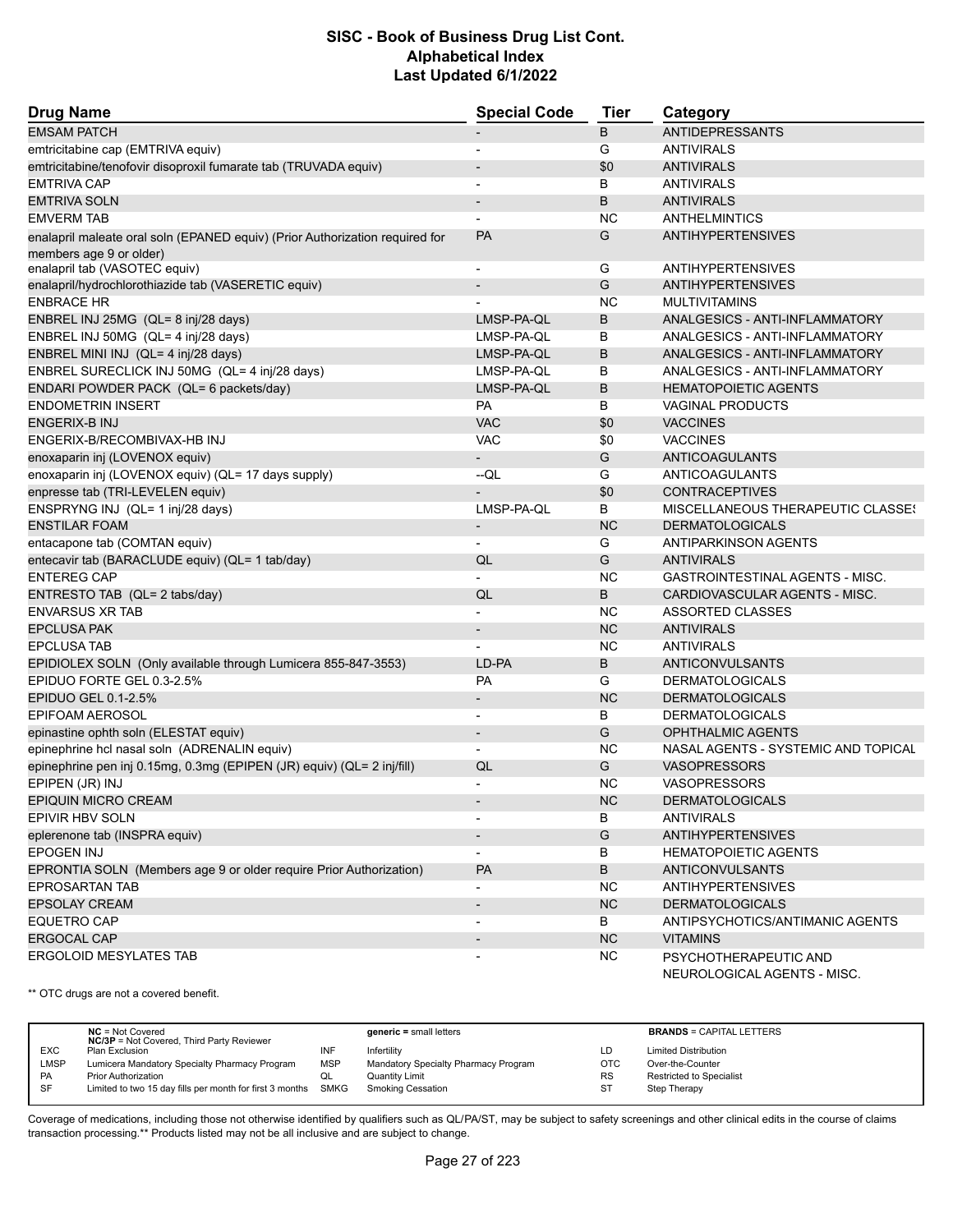| <b>Drug Name</b>                                                             | <b>Special Code</b>      | Tier       | Category                            |
|------------------------------------------------------------------------------|--------------------------|------------|-------------------------------------|
| <b>EMSAM PATCH</b>                                                           |                          | B          | <b>ANTIDEPRESSANTS</b>              |
| emtricitabine cap (EMTRIVA equiv)                                            |                          | G          | <b>ANTIVIRALS</b>                   |
| emtricitabine/tenofovir disoproxil fumarate tab (TRUVADA equiv)              |                          | \$0        | <b>ANTIVIRALS</b>                   |
| <b>EMTRIVA CAP</b>                                                           | $\blacksquare$           | В          | <b>ANTIVIRALS</b>                   |
| <b>EMTRIVA SOLN</b>                                                          | $\overline{\phantom{a}}$ | B          | <b>ANTIVIRALS</b>                   |
| <b>EMVERM TAB</b>                                                            |                          | <b>NC</b>  | <b>ANTHELMINTICS</b>                |
| enalapril maleate oral soln (EPANED equiv) (Prior Authorization required for | <b>PA</b>                | G          | <b>ANTIHYPERTENSIVES</b>            |
| members age 9 or older)                                                      |                          |            |                                     |
| enalapril tab (VASOTEC equiv)                                                | $\overline{\phantom{a}}$ | G          | ANTIHYPERTENSIVES                   |
| enalapril/hydrochlorothiazide tab (VASERETIC equiv)                          | $\overline{\phantom{a}}$ | G          | <b>ANTIHYPERTENSIVES</b>            |
| <b>ENBRACE HR</b>                                                            |                          | <b>NC</b>  | <b>MULTIVITAMINS</b>                |
| ENBREL INJ 25MG (QL= 8 inj/28 days)                                          | LMSP-PA-QL               | B          | ANALGESICS - ANTI-INFLAMMATORY      |
| ENBREL INJ 50MG (QL= 4 inj/28 days)                                          | LMSP-PA-QL               | В          | ANALGESICS - ANTI-INFLAMMATORY      |
| ENBREL MINI INJ (QL= 4 inj/28 days)                                          | LMSP-PA-QL               | B          | ANALGESICS - ANTI-INFLAMMATORY      |
| ENBREL SURECLICK INJ 50MG (QL= 4 inj/28 days)                                | LMSP-PA-QL               | В          | ANALGESICS - ANTI-INFLAMMATORY      |
| ENDARI POWDER PACK (QL= 6 packets/day)                                       | LMSP-PA-QL               | B          | <b>HEMATOPOIETIC AGENTS</b>         |
| <b>ENDOMETRIN INSERT</b>                                                     | PA                       | В          | <b>VAGINAL PRODUCTS</b>             |
| <b>ENGERIX-B INJ</b>                                                         | <b>VAC</b>               | \$0        | <b>VACCINES</b>                     |
| ENGERIX-B/RECOMBIVAX-HB INJ                                                  | <b>VAC</b>               | \$0        | <b>VACCINES</b>                     |
| enoxaparin inj (LOVENOX equiv)                                               | $\overline{\phantom{a}}$ | G          | <b>ANTICOAGULANTS</b>               |
| enoxaparin inj (LOVENOX equiv) (QL= 17 days supply)                          | $-QL$                    | G          | ANTICOAGULANTS                      |
| enpresse tab (TRI-LEVELEN equiv)                                             |                          | \$0        | <b>CONTRACEPTIVES</b>               |
| ENSPRYNG INJ (QL= 1 inj/28 days)                                             | LMSP-PA-QL               | B          | MISCELLANEOUS THERAPEUTIC CLASSES   |
| <b>ENSTILAR FOAM</b>                                                         | $\overline{\phantom{a}}$ | <b>NC</b>  | <b>DERMATOLOGICALS</b>              |
| entacapone tab (COMTAN equiv)                                                | $\overline{\phantom{a}}$ | G          | ANTIPARKINSON AGENTS                |
| entecavir tab (BARACLUDE equiv) (QL= 1 tab/day)                              | QL                       | G          | <b>ANTIVIRALS</b>                   |
| <b>ENTEREG CAP</b>                                                           |                          | <b>NC</b>  | GASTROINTESTINAL AGENTS - MISC.     |
| ENTRESTO TAB (QL= 2 tabs/day)                                                | QL                       | B          | CARDIOVASCULAR AGENTS - MISC.       |
| <b>ENVARSUS XR TAB</b>                                                       |                          | <b>NC</b>  | ASSORTED CLASSES                    |
| <b>EPCLUSA PAK</b>                                                           |                          | <b>NC</b>  | <b>ANTIVIRALS</b>                   |
| <b>EPCLUSA TAB</b>                                                           |                          | <b>NC</b>  | <b>ANTIVIRALS</b>                   |
| EPIDIOLEX SOLN (Only available through Lumicera 855-847-3553)                | LD-PA                    | B          | <b>ANTICONVULSANTS</b>              |
| EPIDUO FORTE GEL 0.3-2.5%                                                    | <b>PA</b>                | G          | <b>DERMATOLOGICALS</b>              |
| EPIDUO GEL 0.1-2.5%                                                          |                          | <b>NC</b>  | <b>DERMATOLOGICALS</b>              |
| EPIFOAM AEROSOL                                                              | $\blacksquare$           | В          | <b>DERMATOLOGICALS</b>              |
| epinastine ophth soln (ELESTAT equiv)                                        | $\overline{\phantom{a}}$ | G          | <b>OPHTHALMIC AGENTS</b>            |
| epinephrine hcl nasal soln (ADRENALIN equiv)                                 |                          | <b>NC</b>  | NASAL AGENTS - SYSTEMIC AND TOPICAL |
| epinephrine pen inj 0.15mg, 0.3mg (EPIPEN (JR) equiv) (QL= 2 inj/fill)       | QL                       | G          | <b>VASOPRESSORS</b>                 |
| EPIPEN (JR) INJ                                                              |                          | <b>NC</b>  | <b>VASOPRESSORS</b>                 |
| EPIQUIN MICRO CREAM                                                          |                          | ${\sf NC}$ | <b>DERMATOLOGICALS</b>              |
| EPIVIR HBV SOLN                                                              | $\overline{\phantom{a}}$ | В          | <b>ANTIVIRALS</b>                   |
| eplerenone tab (INSPRA equiv)                                                |                          | G          | <b>ANTIHYPERTENSIVES</b>            |
| <b>EPOGEN INJ</b>                                                            |                          | В          | <b>HEMATOPOIETIC AGENTS</b>         |
| EPRONTIA SOLN (Members age 9 or older require Prior Authorization)           | <b>PA</b>                | В          | <b>ANTICONVULSANTS</b>              |
| <b>EPROSARTAN TAB</b>                                                        |                          | NC.        | <b>ANTIHYPERTENSIVES</b>            |
| <b>EPSOLAY CREAM</b>                                                         | $\blacksquare$           | NC         | <b>DERMATOLOGICALS</b>              |
| <b>EQUETRO CAP</b>                                                           |                          | B          | ANTIPSYCHOTICS/ANTIMANIC AGENTS     |
| <b>ERGOCAL CAP</b>                                                           | $\overline{\phantom{a}}$ | NC         | <b>VITAMINS</b>                     |
| ERGOLOID MESYLATES TAB                                                       |                          | <b>NC</b>  | PSYCHOTHERAPEUTIC AND               |
|                                                                              |                          |            | NEUROLOGICAL AGENTS - MISC.         |

\*\* OTC drugs are not a covered benefit.

|           | $NC = Not Covered$<br><b>NC/3P</b> = Not Covered, Third Party Reviewer |            | $generic = small letters$            |            | <b>BRANDS = CAPITAL LETTERS</b> |
|-----------|------------------------------------------------------------------------|------------|--------------------------------------|------------|---------------------------------|
| EXC       | Plan Exclusion                                                         | INF        | Infertility                          | LD         | <b>Limited Distribution</b>     |
| LMSP      | Lumicera Mandatory Specialty Pharmacy Program                          | <b>MSP</b> | Mandatory Specialty Pharmacy Program | <b>OTC</b> | Over-the-Counter                |
| <b>PA</b> | <b>Prior Authorization</b>                                             | QL         | <b>Quantity Limit</b>                | <b>RS</b>  | <b>Restricted to Specialist</b> |
| <b>SF</b> | Limited to two 15 day fills per month for first 3 months SMKG          |            | <b>Smoking Cessation</b>             | -ST        | Step Therapy                    |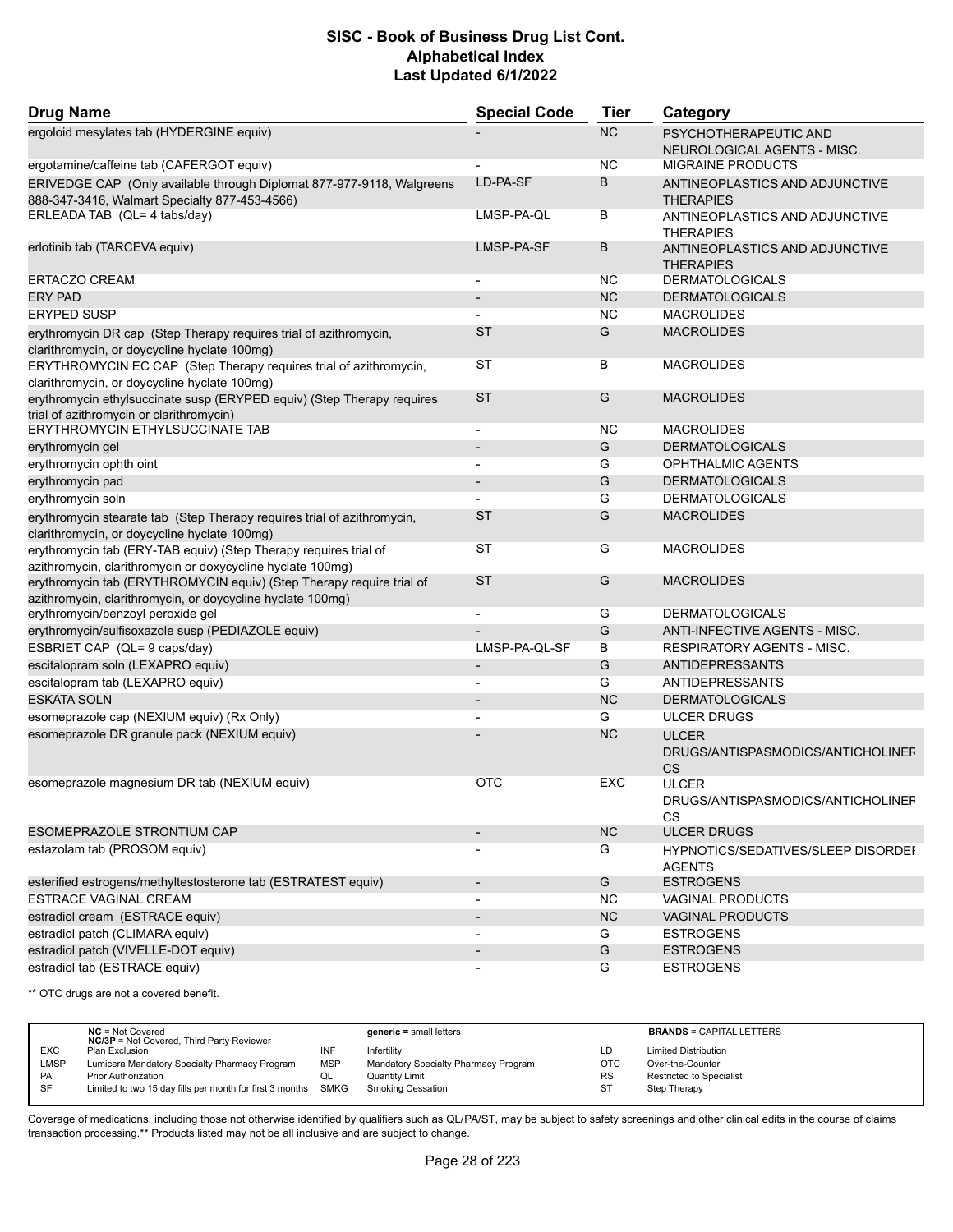| <b>Drug Name</b>                                                                                                                   | <b>Special Code</b>      | <b>Tier</b> | Category                                                       |
|------------------------------------------------------------------------------------------------------------------------------------|--------------------------|-------------|----------------------------------------------------------------|
| ergoloid mesylates tab (HYDERGINE equiv)                                                                                           |                          | <b>NC</b>   | PSYCHOTHERAPEUTIC AND<br>NEUROLOGICAL AGENTS - MISC.           |
| ergotamine/caffeine tab (CAFERGOT equiv)                                                                                           |                          | ΝC          | <b>MIGRAINE PRODUCTS</b>                                       |
| ERIVEDGE CAP (Only available through Diplomat 877-977-9118, Walgreens<br>888-347-3416, Walmart Specialty 877-453-4566)             | LD-PA-SF                 | B           | ANTINEOPLASTICS AND ADJUNCTIVE<br><b>THERAPIES</b>             |
| ERLEADA TAB (QL= 4 tabs/day)                                                                                                       | LMSP-PA-QL               | В           | ANTINEOPLASTICS AND ADJUNCTIVE<br><b>THERAPIES</b>             |
| erlotinib tab (TARCEVA equiv)                                                                                                      | LMSP-PA-SF               | B           | ANTINEOPLASTICS AND ADJUNCTIVE<br><b>THERAPIES</b>             |
| <b>ERTACZO CREAM</b>                                                                                                               |                          | NC          | <b>DERMATOLOGICALS</b>                                         |
| <b>ERY PAD</b>                                                                                                                     |                          | <b>NC</b>   | <b>DERMATOLOGICALS</b>                                         |
| <b>ERYPED SUSP</b>                                                                                                                 |                          | <b>NC</b>   | <b>MACROLIDES</b>                                              |
| erythromycin DR cap (Step Therapy requires trial of azithromycin,<br>clarithromycin, or doycycline hyclate 100mg)                  | <b>ST</b>                | G           | <b>MACROLIDES</b>                                              |
| ERYTHROMYCIN EC CAP (Step Therapy requires trial of azithromycin,<br>clarithromycin, or doycycline hyclate 100mg)                  | ST                       | B           | <b>MACROLIDES</b>                                              |
| erythromycin ethylsuccinate susp (ERYPED equiv) (Step Therapy requires<br>trial of azithromycin or clarithromycin)                 | <b>ST</b>                | G           | <b>MACROLIDES</b>                                              |
| ERYTHROMYCIN ETHYLSUCCINATE TAB                                                                                                    | $\overline{\phantom{a}}$ | <b>NC</b>   | <b>MACROLIDES</b>                                              |
| erythromycin gel                                                                                                                   |                          | G           | <b>DERMATOLOGICALS</b>                                         |
| erythromycin ophth oint                                                                                                            | $\blacksquare$           | G           | OPHTHALMIC AGENTS                                              |
| erythromycin pad                                                                                                                   |                          | G           | <b>DERMATOLOGICALS</b>                                         |
| erythromycin soln                                                                                                                  |                          | G           | <b>DERMATOLOGICALS</b>                                         |
| erythromycin stearate tab (Step Therapy requires trial of azithromycin,<br>clarithromycin, or doycycline hyclate 100mg)            | <b>ST</b>                | G           | <b>MACROLIDES</b>                                              |
| erythromycin tab (ERY-TAB equiv) (Step Therapy requires trial of<br>azithromycin, clarithromycin or doxycycline hyclate 100mg)     | <b>ST</b>                | G           | <b>MACROLIDES</b>                                              |
| erythromycin tab (ERYTHROMYCIN equiv) (Step Therapy require trial of<br>azithromycin, clarithromycin, or doycycline hyclate 100mg) | <b>ST</b>                | G           | <b>MACROLIDES</b>                                              |
| erythromycin/benzoyl peroxide gel                                                                                                  | $\blacksquare$           | G           | <b>DERMATOLOGICALS</b>                                         |
| erythromycin/sulfisoxazole susp (PEDIAZOLE equiv)                                                                                  |                          | G           | ANTI-INFECTIVE AGENTS - MISC.                                  |
| ESBRIET CAP (QL= 9 caps/day)                                                                                                       | LMSP-PA-QL-SF            | B           | <b>RESPIRATORY AGENTS - MISC.</b>                              |
| escitalopram soln (LEXAPRO equiv)                                                                                                  | $\overline{\phantom{a}}$ | G           | <b>ANTIDEPRESSANTS</b>                                         |
| escitalopram tab (LEXAPRO equiv)                                                                                                   | $\overline{\phantom{a}}$ | G           | <b>ANTIDEPRESSANTS</b>                                         |
| <b>ESKATA SOLN</b>                                                                                                                 |                          | <b>NC</b>   | <b>DERMATOLOGICALS</b>                                         |
| esomeprazole cap (NEXIUM equiv) (Rx Only)                                                                                          |                          | G           | <b>ULCER DRUGS</b>                                             |
| esomeprazole DR granule pack (NEXIUM equiv)                                                                                        |                          | <b>NC</b>   | <b>ULCER</b><br>DRUGS/ANTISPASMODICS/ANTICHOLINEF<br><b>CS</b> |
| esomeprazole magnesium DR tab (NEXIUM equiv)                                                                                       | <b>OTC</b>               | EXC         | <b>ULCER</b><br>DRUGS/ANTISPASMODICS/ANTICHOLINEF<br>CS        |
| ESOMEPRAZOLE STRONTIUM CAP                                                                                                         |                          | <b>NC</b>   | <b>ULCER DRUGS</b>                                             |
| estazolam tab (PROSOM equiv)                                                                                                       |                          | G           | HYPNOTICS/SEDATIVES/SLEEP DISORDEF<br><b>AGENTS</b>            |
| esterified estrogens/methyltestosterone tab (ESTRATEST equiv)                                                                      | $\overline{\phantom{a}}$ | G           | <b>ESTROGENS</b>                                               |
| <b>ESTRACE VAGINAL CREAM</b>                                                                                                       |                          | ΝC          | <b>VAGINAL PRODUCTS</b>                                        |
| estradiol cream (ESTRACE equiv)                                                                                                    | $\overline{\phantom{a}}$ | NC          | <b>VAGINAL PRODUCTS</b>                                        |
| estradiol patch (CLIMARA equiv)                                                                                                    | $\overline{\phantom{a}}$ | G           | <b>ESTROGENS</b>                                               |
| estradiol patch (VIVELLE-DOT equiv)                                                                                                |                          | G           | <b>ESTROGENS</b>                                               |
| estradiol tab (ESTRACE equiv)                                                                                                      |                          | G           | <b>ESTROGENS</b>                                               |

\*\* OTC drugs are not a covered benefit.

|             | $NC = Not Covered$<br><b>NC/3P</b> = Not Covered, Third Party Reviewer |            | $generic = small letters$            |            | <b>BRANDS = CAPITAL LETTERS</b> |
|-------------|------------------------------------------------------------------------|------------|--------------------------------------|------------|---------------------------------|
| <b>EXC</b>  | Plan Exclusion                                                         | INF        | Infertility                          | LD         | <b>Limited Distribution</b>     |
| <b>LMSP</b> | Lumicera Mandatory Specialty Pharmacy Program                          | <b>MSP</b> | Mandatory Specialty Pharmacy Program | <b>OTC</b> | Over-the-Counter                |
| <b>PA</b>   | <b>Prior Authorization</b>                                             | QL         | Quantity Limit                       | <b>RS</b>  | <b>Restricted to Specialist</b> |
| <b>SF</b>   | Limited to two 15 day fills per month for first 3 months SMKG          |            | <b>Smoking Cessation</b>             | ST         | Step Therapy                    |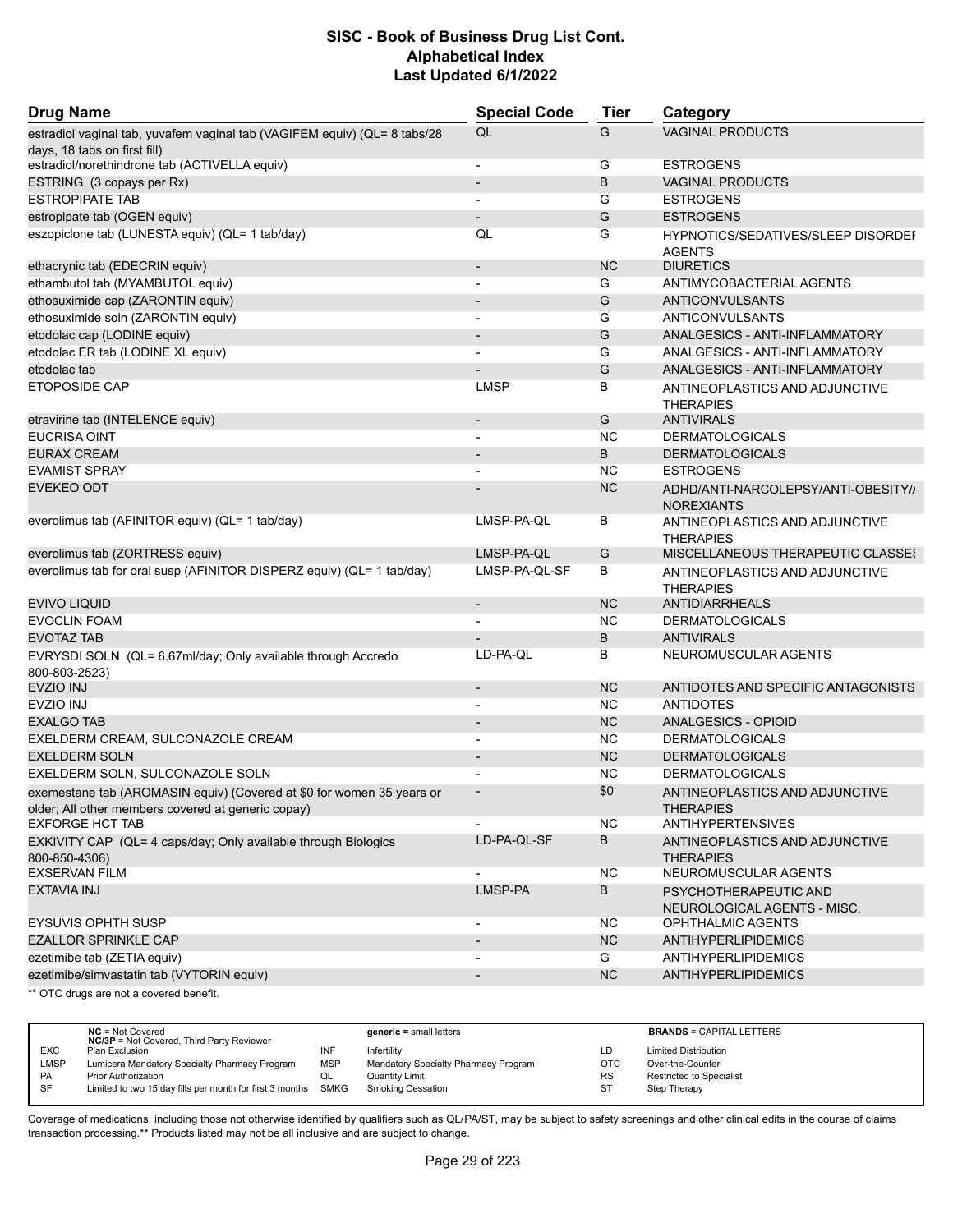| <b>Drug Name</b>                                                                | <b>Special Code</b>      | <b>Tier</b> | Category                                                   |
|---------------------------------------------------------------------------------|--------------------------|-------------|------------------------------------------------------------|
| estradiol vaginal tab, yuvafem vaginal tab (VAGIFEM equiv) (QL= 8 tabs/28       | QL                       | G           | <b>VAGINAL PRODUCTS</b>                                    |
| days, 18 tabs on first fill)                                                    |                          |             |                                                            |
| estradiol/norethindrone tab (ACTIVELLA equiv)                                   | $\overline{a}$           | G           | <b>ESTROGENS</b>                                           |
| ESTRING (3 copays per Rx)                                                       | $\overline{\phantom{a}}$ | B           | <b>VAGINAL PRODUCTS</b>                                    |
| <b>ESTROPIPATE TAB</b>                                                          |                          | G           | <b>ESTROGENS</b>                                           |
| estropipate tab (OGEN equiv)                                                    | $\overline{a}$           | G           | <b>ESTROGENS</b>                                           |
| eszopiclone tab (LUNESTA equiv) (QL= 1 tab/day)                                 | QL                       | G           | <b>HYPNOTICS/SEDATIVES/SLEEP DISORDEF</b><br><b>AGENTS</b> |
| ethacrynic tab (EDECRIN equiv)                                                  | $\overline{\phantom{a}}$ | <b>NC</b>   | <b>DIURETICS</b>                                           |
| ethambutol tab (MYAMBUTOL equiv)                                                |                          | G           | ANTIMYCOBACTERIAL AGENTS                                   |
| ethosuximide cap (ZARONTIN equiv)                                               | $\overline{a}$           | G           | ANTICONVULSANTS                                            |
| ethosuximide soln (ZARONTIN equiv)                                              | $\overline{a}$           | G           | ANTICONVULSANTS                                            |
| etodolac cap (LODINE equiv)                                                     |                          | G           | ANALGESICS - ANTI-INFLAMMATORY                             |
| etodolac ER tab (LODINE XL equiv)                                               |                          | G           | ANALGESICS - ANTI-INFLAMMATORY                             |
| etodolac tab                                                                    |                          | G           | ANALGESICS - ANTI-INFLAMMATORY                             |
| <b>ETOPOSIDE CAP</b>                                                            | <b>LMSP</b>              | В           | ANTINEOPLASTICS AND ADJUNCTIVE                             |
|                                                                                 | $\overline{a}$           | G           | <b>THERAPIES</b><br><b>ANTIVIRALS</b>                      |
| etravirine tab (INTELENCE equiv)<br><b>EUCRISA OINT</b>                         | $\overline{a}$           | <b>NC</b>   | <b>DERMATOLOGICALS</b>                                     |
|                                                                                 |                          |             |                                                            |
| <b>EURAX CREAM</b>                                                              | $\overline{\phantom{a}}$ | B           | <b>DERMATOLOGICALS</b>                                     |
| <b>EVAMIST SPRAY</b>                                                            | $\overline{\phantom{a}}$ | <b>NC</b>   | <b>ESTROGENS</b>                                           |
| <b>EVEKEO ODT</b>                                                               |                          | <b>NC</b>   | ADHD/ANTI-NARCOLEPSY/ANTI-OBESITY//<br><b>NOREXIANTS</b>   |
| everolimus tab (AFINITOR equiv) (QL= 1 tab/day)                                 | LMSP-PA-QL               | В           | ANTINEOPLASTICS AND ADJUNCTIVE<br><b>THERAPIES</b>         |
| everolimus tab (ZORTRESS equiv)                                                 | LMSP-PA-QL               | G           | MISCELLANEOUS THERAPEUTIC CLASSES                          |
| everolimus tab for oral susp (AFINITOR DISPERZ equiv) (QL= 1 tab/day)           | LMSP-PA-QL-SF            | B           | ANTINEOPLASTICS AND ADJUNCTIVE<br><b>THERAPIES</b>         |
| <b>EVIVO LIQUID</b>                                                             | $\overline{\phantom{a}}$ | <b>NC</b>   | <b>ANTIDIARRHEALS</b>                                      |
| <b>EVOCLIN FOAM</b>                                                             | $\overline{a}$           | <b>NC</b>   | <b>DERMATOLOGICALS</b>                                     |
| <b>EVOTAZ TAB</b>                                                               |                          | В           | <b>ANTIVIRALS</b>                                          |
| EVRYSDI SOLN (QL= 6.67ml/day; Only available through Accredo                    | LD-PA-QL                 | B           | NEUROMUSCULAR AGENTS                                       |
| 800-803-2523)<br><b>EVZIO INJ</b>                                               | $\overline{\phantom{0}}$ | <b>NC</b>   | ANTIDOTES AND SPECIFIC ANTAGONISTS                         |
| EVZIO INJ                                                                       |                          | <b>NC</b>   | <b>ANTIDOTES</b>                                           |
| <b>EXALGO TAB</b>                                                               | $\blacksquare$           | <b>NC</b>   | <b>ANALGESICS - OPIOID</b>                                 |
|                                                                                 | $\overline{\phantom{m}}$ |             |                                                            |
| EXELDERM CREAM, SULCONAZOLE CREAM                                               |                          | <b>NC</b>   | <b>DERMATOLOGICALS</b>                                     |
| <b>EXELDERM SOLN</b>                                                            |                          | <b>NC</b>   | <b>DERMATOLOGICALS</b>                                     |
| EXELDERM SOLN, SULCONAZOLE SOLN                                                 | $\overline{a}$           | <b>NC</b>   | <b>DERMATOLOGICALS</b>                                     |
| exemestane tab (AROMASIN equiv) (Covered at \$0 for women 35 years or           |                          | \$0         | ANTINEOPLASTICS AND ADJUNCTIVE                             |
| older; All other members covered at generic copay)<br><b>EXFORGE HCT TAB</b>    |                          |             | <b>THERAPIES</b>                                           |
|                                                                                 |                          | <b>NC</b>   | <b>ANTIHYPERTENSIVES</b>                                   |
| EXKIVITY CAP (QL= 4 caps/day; Only available through Biologics<br>800-850-4306) | LD-PA-QL-SF              | В           | ANTINEOPLASTICS AND ADJUNCTIVE<br><b>THERAPIES</b>         |
| <b>EXSERVAN FILM</b>                                                            |                          | <b>NC</b>   | NEUROMUSCULAR AGENTS                                       |
| EXTAVIA INJ                                                                     | LMSP-PA                  | В           | PSYCHOTHERAPEUTIC AND<br>NEUROLOGICAL AGENTS - MISC.       |
| <b>EYSUVIS OPHTH SUSP</b>                                                       | $\overline{a}$           | NC.         | OPHTHALMIC AGENTS                                          |
| <b>EZALLOR SPRINKLE CAP</b>                                                     |                          | <b>NC</b>   | ANTIHYPERLIPIDEMICS                                        |
| ezetimibe tab (ZETIA equiv)                                                     | $\overline{a}$           | G           | <b>ANTIHYPERLIPIDEMICS</b>                                 |
| ezetimibe/simvastatin tab (VYTORIN equiv)                                       | $\overline{\phantom{0}}$ | <b>NC</b>   | <b>ANTIHYPERLIPIDEMICS</b>                                 |
| ** OTC drugs are not a covered benefit.                                         |                          |             |                                                            |

**NC** = Not Covered **generic =** small letters **BRANDS** = CAPITAL LETTERS **NC/3P** = Not Covered, Third Party Reviewer EXC Plan Exclusion INF Infertility LD Limited Distribution LMSP Lumicera Mandatory Specialty Pharmacy Program MSP Mandatory Specialty Pharmacy Program OTC Over-the-Counter<br>PA Prior Authorization of QL Quantity Limit Cuntity Limit PA Prior Authorization **COL** Quantity Limit Collection RS Restricted to Specialist<br>
SF Limited to two 15 day fills per month for first 3 months SMKG Smoking Cessation ST Step Therapy Limited to two 15 day fills per month for first 3 months SMKG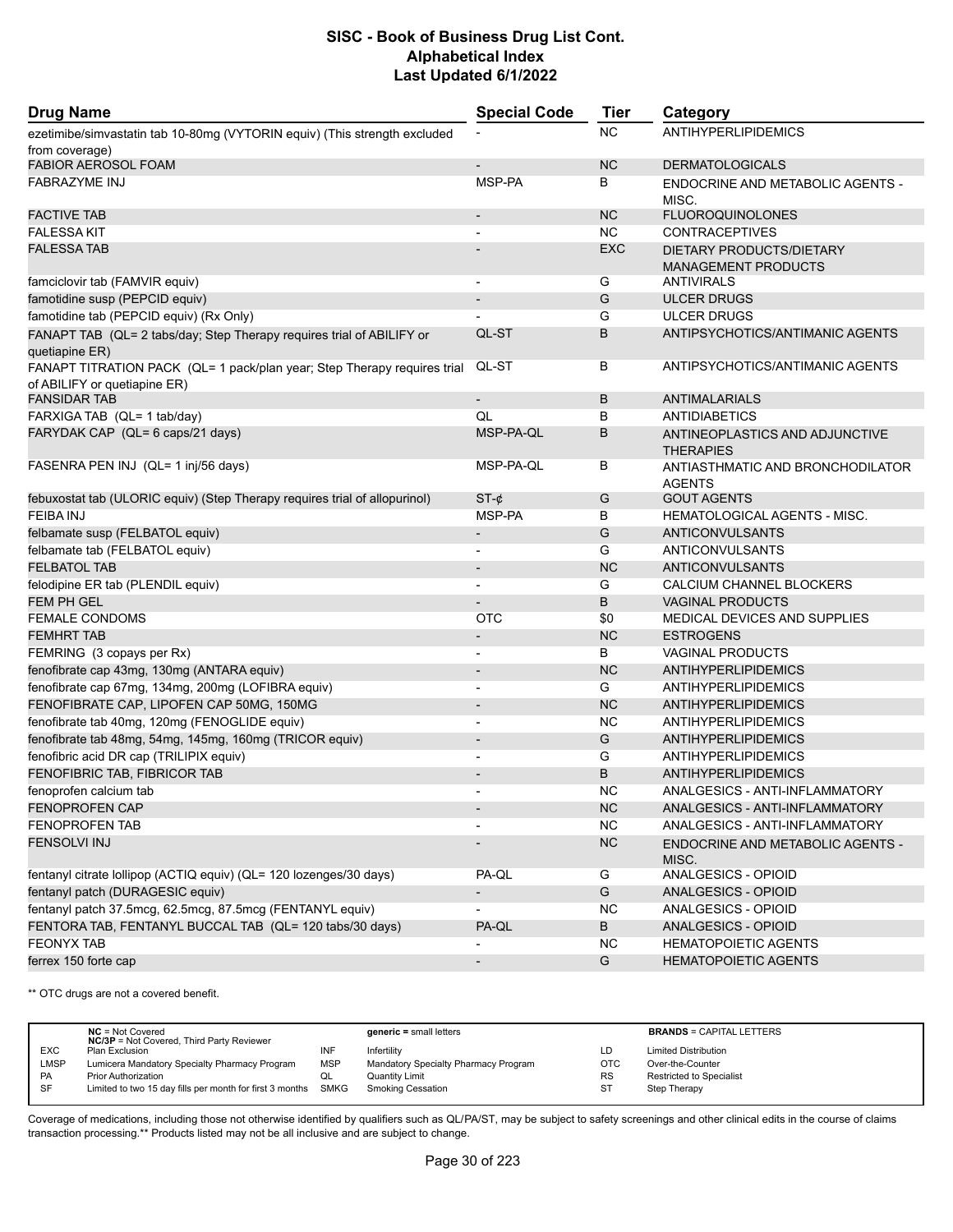| <b>Drug Name</b>                                                                                         | <b>Special Code</b>      | <b>Tier</b> | Category                                               |
|----------------------------------------------------------------------------------------------------------|--------------------------|-------------|--------------------------------------------------------|
| ezetimibe/simvastatin tab 10-80mg (VYTORIN equiv) (This strength excluded                                |                          | <b>NC</b>   | <b>ANTIHYPERLIPIDEMICS</b>                             |
| from coverage)                                                                                           |                          |             |                                                        |
| <b>FABIOR AEROSOL FOAM</b>                                                                               | $\overline{a}$           | <b>NC</b>   | <b>DERMATOLOGICALS</b>                                 |
| <b>FABRAZYME INJ</b>                                                                                     | MSP-PA                   | В           | ENDOCRINE AND METABOLIC AGENTS -<br>MISC.              |
| <b>FACTIVE TAB</b>                                                                                       |                          | <b>NC</b>   | <b>FLUOROQUINOLONES</b>                                |
| <b>FALESSA KIT</b>                                                                                       |                          | <b>NC</b>   | <b>CONTRACEPTIVES</b>                                  |
| <b>FALESSA TAB</b>                                                                                       |                          | <b>EXC</b>  | DIETARY PRODUCTS/DIETARY<br><b>MANAGEMENT PRODUCTS</b> |
| famciclovir tab (FAMVIR equiv)                                                                           | $\overline{\phantom{a}}$ | G           | <b>ANTIVIRALS</b>                                      |
| famotidine susp (PEPCID equiv)                                                                           |                          | G           | <b>ULCER DRUGS</b>                                     |
| famotidine tab (PEPCID equiv) (Rx Only)                                                                  |                          | G           | <b>ULCER DRUGS</b>                                     |
| FANAPT TAB (QL= 2 tabs/day; Step Therapy requires trial of ABILIFY or<br>quetiapine ER)                  | QL-ST                    | B           | ANTIPSYCHOTICS/ANTIMANIC AGENTS                        |
| FANAPT TITRATION PACK (QL= 1 pack/plan year; Step Therapy requires trial<br>of ABILIFY or quetiapine ER) | QL-ST                    | В           | ANTIPSYCHOTICS/ANTIMANIC AGENTS                        |
| <b>FANSIDAR TAB</b>                                                                                      | $\overline{\phantom{a}}$ | B           | <b>ANTIMALARIALS</b>                                   |
| FARXIGA TAB (QL= 1 tab/day)                                                                              | QL                       | В           | <b>ANTIDIABETICS</b>                                   |
| FARYDAK CAP (QL= 6 caps/21 days)                                                                         | MSP-PA-QL                | В           | ANTINEOPLASTICS AND ADJUNCTIVE<br><b>THERAPIES</b>     |
| FASENRA PEN INJ (QL= 1 inj/56 days)                                                                      | MSP-PA-QL                | В           | ANTIASTHMATIC AND BRONCHODILATOR<br><b>AGENTS</b>      |
| febuxostat tab (ULORIC equiv) (Step Therapy requires trial of allopurinol)                               | $ST-¢$                   | G           | <b>GOUT AGENTS</b>                                     |
| <b>FEIBA INJ</b>                                                                                         | MSP-PA                   | В           | <b>HEMATOLOGICAL AGENTS - MISC.</b>                    |
| felbamate susp (FELBATOL equiv)                                                                          | $\overline{\phantom{a}}$ | G           | <b>ANTICONVULSANTS</b>                                 |
| felbamate tab (FELBATOL equiv)                                                                           |                          | G           | ANTICONVULSANTS                                        |
| <b>FELBATOL TAB</b>                                                                                      | $\overline{\phantom{a}}$ | <b>NC</b>   | ANTICONVULSANTS                                        |
| felodipine ER tab (PLENDIL equiv)                                                                        |                          | G           | CALCIUM CHANNEL BLOCKERS                               |
| <b>FEM PH GEL</b>                                                                                        |                          | B           | <b>VAGINAL PRODUCTS</b>                                |
| <b>FEMALE CONDOMS</b>                                                                                    | <b>OTC</b>               | \$0         | MEDICAL DEVICES AND SUPPLIES                           |
| <b>FEMHRT TAB</b>                                                                                        | $\overline{\phantom{a}}$ | <b>NC</b>   | <b>ESTROGENS</b>                                       |
| FEMRING (3 copays per Rx)                                                                                |                          | В           | VAGINAL PRODUCTS                                       |
| fenofibrate cap 43mg, 130mg (ANTARA equiv)                                                               |                          | <b>NC</b>   | ANTIHYPERLIPIDEMICS                                    |
| fenofibrate cap 67mg, 134mg, 200mg (LOFIBRA equiv)                                                       | $\overline{a}$           | G           | <b>ANTIHYPERLIPIDEMICS</b>                             |
| FENOFIBRATE CAP, LIPOFEN CAP 50MG, 150MG                                                                 |                          | <b>NC</b>   | <b>ANTIHYPERLIPIDEMICS</b>                             |
| fenofibrate tab 40mg, 120mg (FENOGLIDE equiv)                                                            | $\blacksquare$           | <b>NC</b>   | <b>ANTIHYPERLIPIDEMICS</b>                             |
| fenofibrate tab 48mg, 54mg, 145mg, 160mg (TRICOR equiv)                                                  | $\overline{\phantom{a}}$ | G           | <b>ANTIHYPERLIPIDEMICS</b>                             |
| fenofibric acid DR cap (TRILIPIX equiv)                                                                  | $\blacksquare$           | G           | <b>ANTIHYPERLIPIDEMICS</b>                             |
| FENOFIBRIC TAB, FIBRICOR TAB                                                                             |                          | B           | ANTIHYPERLIPIDEMICS                                    |
| fenoprofen calcium tab                                                                                   | $\overline{\phantom{a}}$ | <b>NC</b>   | ANALGESICS - ANTI-INFLAMMATORY                         |
| <b>FENOPROFEN CAP</b>                                                                                    |                          | NC          | ANALGESICS - ANTI-INFLAMMATORY                         |
| <b>FENOPROFEN TAB</b>                                                                                    |                          | <b>NC</b>   | ANALGESICS - ANTI-INFLAMMATORY                         |
| <b>FENSOLVI INJ</b>                                                                                      |                          | NC          | <b>ENDOCRINE AND METABOLIC AGENTS -</b><br>MISC.       |
| fentanyl citrate lollipop (ACTIQ equiv) (QL= 120 lozenges/30 days)                                       | PA-QL                    | G           | ANALGESICS - OPIOID                                    |
| fentanyl patch (DURAGESIC equiv)                                                                         |                          | G           | ANALGESICS - OPIOID                                    |
| fentanyl patch 37.5mcg, 62.5mcg, 87.5mcg (FENTANYL equiv)                                                |                          | <b>NC</b>   | ANALGESICS - OPIOID                                    |
| FENTORA TAB, FENTANYL BUCCAL TAB (QL= 120 tabs/30 days)                                                  | PA-QL                    | B           | ANALGESICS - OPIOID                                    |
| <b>FEONYX TAB</b>                                                                                        |                          | NC.         | <b>HEMATOPOIETIC AGENTS</b>                            |
| ferrex 150 forte cap                                                                                     |                          | G           | <b>HEMATOPOIETIC AGENTS</b>                            |
|                                                                                                          |                          |             |                                                        |

\*\* OTC drugs are not a covered benefit.

|             | $NC = Not Covered$<br><b>NC/3P</b> = Not Covered, Third Party Reviewer |            | $generic = small letters$            |            | <b>BRANDS = CAPITAL LETTERS</b> |
|-------------|------------------------------------------------------------------------|------------|--------------------------------------|------------|---------------------------------|
| <b>EXC</b>  | Plan Exclusion                                                         | INF        | Infertility                          | LD         | <b>Limited Distribution</b>     |
| <b>LMSP</b> | Lumicera Mandatory Specialty Pharmacy Program                          | <b>MSP</b> | Mandatory Specialty Pharmacy Program | <b>OTC</b> | Over-the-Counter                |
| PA          | <b>Prior Authorization</b>                                             | QL         | Quantity Limit                       | <b>RS</b>  | Restricted to Specialist        |
| SF          | Limited to two 15 day fills per month for first 3 months SMKG          |            | <b>Smoking Cessation</b>             | <b>ST</b>  | Step Therapy                    |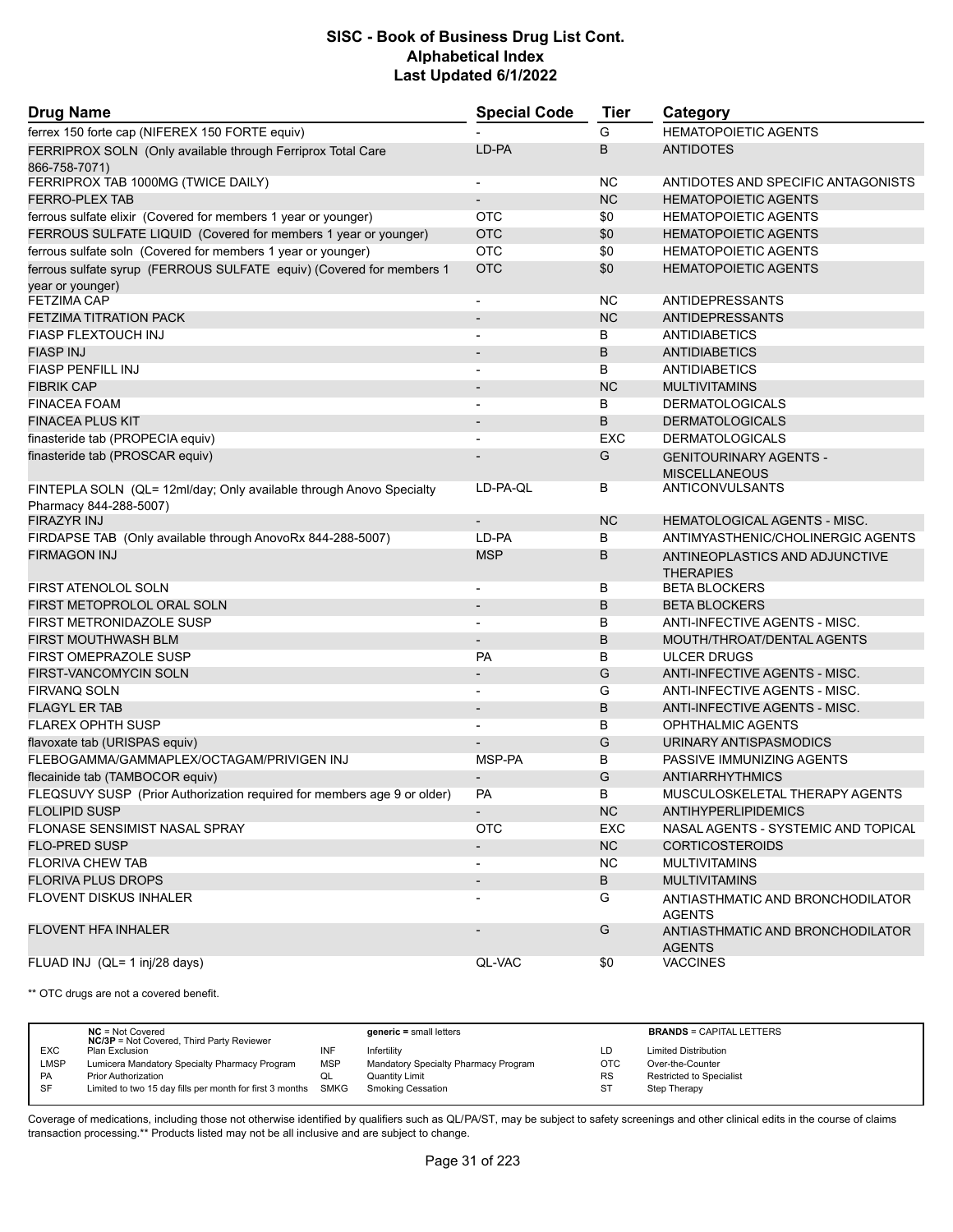| <b>Drug Name</b>                                                             | <b>Special Code</b>      | <b>Tier</b> | Category                                           |  |
|------------------------------------------------------------------------------|--------------------------|-------------|----------------------------------------------------|--|
| ferrex 150 forte cap (NIFEREX 150 FORTE equiv)                               |                          | G           | <b>HEMATOPOIETIC AGENTS</b>                        |  |
| FERRIPROX SOLN (Only available through Ferriprox Total Care<br>866-758-7071) | LD-PA                    | B           | <b>ANTIDOTES</b>                                   |  |
| FERRIPROX TAB 1000MG (TWICE DAILY)                                           | $\blacksquare$           | NC.         | ANTIDOTES AND SPECIFIC ANTAGONISTS                 |  |
| <b>FERRO-PLEX TAB</b>                                                        |                          | <b>NC</b>   | <b>HEMATOPOIETIC AGENTS</b>                        |  |
| ferrous sulfate elixir (Covered for members 1 year or younger)               | <b>OTC</b>               | \$0         | <b>HEMATOPOIETIC AGENTS</b>                        |  |
| FERROUS SULFATE LIQUID (Covered for members 1 year or younger)               | <b>OTC</b>               | \$0         | <b>HEMATOPOIETIC AGENTS</b>                        |  |
| ferrous sulfate soln (Covered for members 1 year or younger)                 | <b>OTC</b>               | \$0         | <b>HEMATOPOIETIC AGENTS</b>                        |  |
| ferrous sulfate syrup (FERROUS SULFATE equiv) (Covered for members 1         | <b>OTC</b>               | \$0         | <b>HEMATOPOIETIC AGENTS</b>                        |  |
| year or younger)<br><b>FETZIMA CAP</b>                                       |                          | <b>NC</b>   | <b>ANTIDEPRESSANTS</b>                             |  |
| <b>FETZIMA TITRATION PACK</b>                                                | $\overline{\phantom{a}}$ | <b>NC</b>   | ANTIDEPRESSANTS                                    |  |
| <b>FIASP FLEXTOUCH INJ</b>                                                   |                          | B           | ANTIDIABETICS                                      |  |
| <b>FIASP INJ</b>                                                             |                          | B           | <b>ANTIDIABETICS</b>                               |  |
| <b>FIASP PENFILL INJ</b>                                                     |                          | В           | <b>ANTIDIABETICS</b>                               |  |
| <b>FIBRIK CAP</b>                                                            | $\overline{\phantom{a}}$ | <b>NC</b>   |                                                    |  |
|                                                                              |                          |             | <b>MULTIVITAMINS</b>                               |  |
| <b>FINACEA FOAM</b>                                                          |                          | B           | <b>DERMATOLOGICALS</b>                             |  |
| <b>FINACEA PLUS KIT</b>                                                      |                          | B           | <b>DERMATOLOGICALS</b>                             |  |
| finasteride tab (PROPECIA equiv)                                             | $\blacksquare$           | <b>EXC</b>  | <b>DERMATOLOGICALS</b>                             |  |
| finasteride tab (PROSCAR equiv)                                              |                          | G           | <b>GENITOURINARY AGENTS -</b>                      |  |
|                                                                              |                          |             | <b>MISCELLANEOUS</b>                               |  |
| FINTEPLA SOLN (QL= 12ml/day; Only available through Anovo Specialty          | LD-PA-QL                 | В           | ANTICONVULSANTS                                    |  |
| Pharmacy 844-288-5007)                                                       |                          |             | <b>HEMATOLOGICAL AGENTS - MISC.</b>                |  |
| <b>FIRAZYR INJ</b>                                                           |                          | <b>NC</b>   | ANTIMYASTHENIC/CHOLINERGIC AGENTS                  |  |
| FIRDAPSE TAB (Only available through AnovoRx 844-288-5007)                   | LD-PA                    | B           |                                                    |  |
| <b>FIRMAGON INJ</b>                                                          | <b>MSP</b>               | B           | ANTINEOPLASTICS AND ADJUNCTIVE<br><b>THERAPIES</b> |  |
| FIRST ATENOLOL SOLN                                                          | $\blacksquare$           | В           | <b>BETA BLOCKERS</b>                               |  |
| FIRST METOPROLOL ORAL SOLN                                                   |                          | B           | <b>BETA BLOCKERS</b>                               |  |
| FIRST METRONIDAZOLE SUSP                                                     |                          | B           | ANTI-INFECTIVE AGENTS - MISC.                      |  |
| FIRST MOUTHWASH BLM                                                          | $\overline{\phantom{a}}$ | B           | MOUTH/THROAT/DENTAL AGENTS                         |  |
| <b>FIRST OMEPRAZOLE SUSP</b>                                                 | <b>PA</b>                | В           | <b>ULCER DRUGS</b>                                 |  |
| FIRST-VANCOMYCIN SOLN                                                        | $\overline{\phantom{a}}$ | G           | ANTI-INFECTIVE AGENTS - MISC.                      |  |
| <b>FIRVANQ SOLN</b>                                                          | $\blacksquare$           | G           | ANTI-INFECTIVE AGENTS - MISC.                      |  |
| <b>FLAGYL ER TAB</b>                                                         |                          | B           | <b>ANTI-INFECTIVE AGENTS - MISC.</b>               |  |
| <b>FLAREX OPHTH SUSP</b>                                                     |                          | B           | OPHTHALMIC AGENTS                                  |  |
| flavoxate tab (URISPAS equiv)                                                |                          | G           | URINARY ANTISPASMODICS                             |  |
| FLEBOGAMMA/GAMMAPLEX/OCTAGAM/PRIVIGEN INJ                                    | MSP-PA                   | B           | PASSIVE IMMUNIZING AGENTS                          |  |
| flecainide tab (TAMBOCOR equiv)                                              | $\overline{\phantom{a}}$ | G           | <b>ANTIARRHYTHMICS</b>                             |  |
| FLEQSUVY SUSP (Prior Authorization required for members age 9 or older)      | PA                       | В           | MUSCULOSKELETAL THERAPY AGENTS                     |  |
| <b>FLOLIPID SUSP</b>                                                         |                          | <b>NC</b>   | <b>ANTIHYPERLIPIDEMICS</b>                         |  |
| FLONASE SENSIMIST NASAL SPRAY                                                | <b>OTC</b>               | <b>EXC</b>  | NASAL AGENTS - SYSTEMIC AND TOPICAL                |  |
| <b>FLO-PRED SUSP</b>                                                         |                          | <b>NC</b>   | <b>CORTICOSTEROIDS</b>                             |  |
| <b>FLORIVA CHEW TAB</b>                                                      |                          | <b>NC</b>   | <b>MULTIVITAMINS</b>                               |  |
| <b>FLORIVA PLUS DROPS</b>                                                    |                          | B           | <b>MULTIVITAMINS</b>                               |  |
| <b>FLOVENT DISKUS INHALER</b>                                                |                          | G           | ANTIASTHMATIC AND BRONCHODILATOR                   |  |
|                                                                              |                          |             | <b>AGENTS</b>                                      |  |
| <b>FLOVENT HFA INHALER</b>                                                   |                          | G           | ANTIASTHMATIC AND BRONCHODILATOR<br><b>AGENTS</b>  |  |
| FLUAD INJ (QL= 1 inj/28 days)                                                | QL-VAC                   | \$0         | <b>VACCINES</b>                                    |  |

\*\* OTC drugs are not a covered benefit.

|             | $NC = Not Covered$<br><b>NC/3P</b> = Not Covered, Third Party Reviewer |            | $generic = small letters$            |            | <b>BRANDS = CAPITAL LETTERS</b> |
|-------------|------------------------------------------------------------------------|------------|--------------------------------------|------------|---------------------------------|
| <b>EXC</b>  | Plan Exclusion                                                         | INF        | Infertility                          | LD         | <b>Limited Distribution</b>     |
| <b>LMSP</b> | Lumicera Mandatory Specialty Pharmacy Program                          | <b>MSP</b> | Mandatory Specialty Pharmacy Program | <b>OTC</b> | Over-the-Counter                |
| PA          | Prior Authorization                                                    | QL         | <b>Quantity Limit</b>                | <b>RS</b>  | Restricted to Specialist        |
| SF          | Limited to two 15 day fills per month for first 3 months SMKG          |            | <b>Smoking Cessation</b>             | <b>ST</b>  | Step Therapy                    |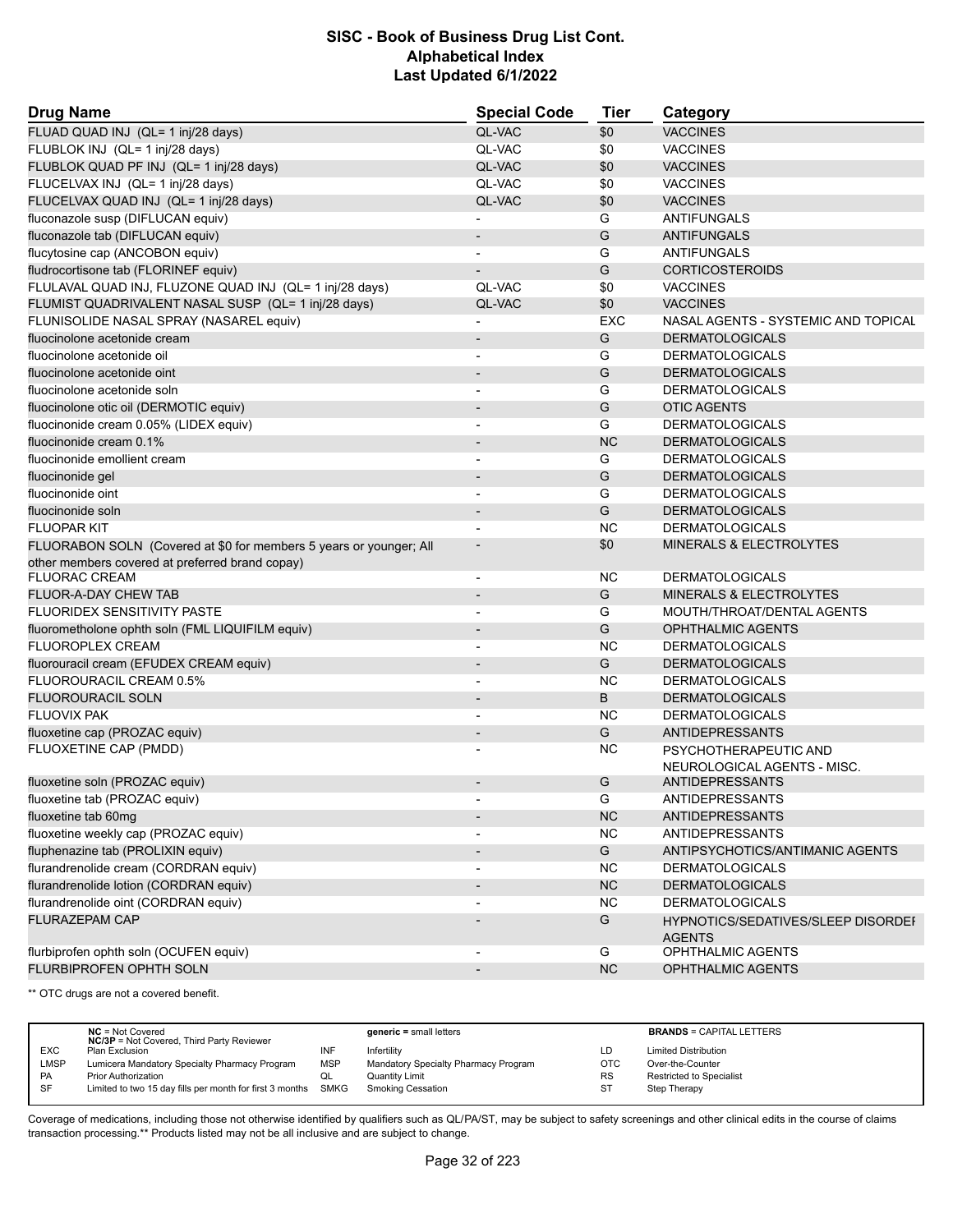| <b>Drug Name</b>                                                   | <b>Special Code</b>      | <b>Tier</b> | Category                                            |
|--------------------------------------------------------------------|--------------------------|-------------|-----------------------------------------------------|
| FLUAD QUAD INJ (QL= 1 inj/28 days)                                 | QL-VAC                   | \$0         | <b>VACCINES</b>                                     |
| FLUBLOK INJ (QL= 1 inj/28 days)                                    | QL-VAC                   | \$0         | <b>VACCINES</b>                                     |
| FLUBLOK QUAD PF INJ (QL= 1 inj/28 days)                            | QL-VAC                   | \$0         | <b>VACCINES</b>                                     |
| FLUCELVAX INJ (QL= 1 inj/28 days)                                  | QL-VAC                   | \$0         | <b>VACCINES</b>                                     |
| FLUCELVAX QUAD INJ (QL= 1 inj/28 days)                             | QL-VAC                   | \$0         | <b>VACCINES</b>                                     |
| fluconazole susp (DIFLUCAN equiv)                                  |                          | G           | <b>ANTIFUNGALS</b>                                  |
| fluconazole tab (DIFLUCAN equiv)                                   |                          | G           | <b>ANTIFUNGALS</b>                                  |
| flucytosine cap (ANCOBON equiv)                                    | $\blacksquare$           | G           | <b>ANTIFUNGALS</b>                                  |
| fludrocortisone tab (FLORINEF equiv)                               |                          | G           | <b>CORTICOSTEROIDS</b>                              |
| FLULAVAL QUAD INJ, FLUZONE QUAD INJ (QL= 1 inj/28 days)            | QL-VAC                   | \$0         | <b>VACCINES</b>                                     |
| FLUMIST QUADRIVALENT NASAL SUSP (QL= 1 inj/28 days)                | QL-VAC                   | \$0         | <b>VACCINES</b>                                     |
| FLUNISOLIDE NASAL SPRAY (NASAREL equiv)                            |                          | <b>EXC</b>  | NASAL AGENTS - SYSTEMIC AND TOPICAL                 |
| fluocinolone acetonide cream                                       | $\overline{\phantom{a}}$ | G           | <b>DERMATOLOGICALS</b>                              |
| fluocinolone acetonide oil                                         |                          | G           | <b>DERMATOLOGICALS</b>                              |
| fluocinolone acetonide oint                                        | $\overline{\phantom{a}}$ | G           | <b>DERMATOLOGICALS</b>                              |
| fluocinolone acetonide soln                                        | $\overline{\phantom{a}}$ | G           | <b>DERMATOLOGICALS</b>                              |
| fluocinolone otic oil (DERMOTIC equiv)                             |                          | G           | <b>OTIC AGENTS</b>                                  |
| fluocinonide cream 0.05% (LIDEX equiv)                             | $\blacksquare$           | G           | <b>DERMATOLOGICALS</b>                              |
| fluocinonide cream 0.1%                                            | $\overline{\phantom{a}}$ | <b>NC</b>   | <b>DERMATOLOGICALS</b>                              |
| fluocinonide emollient cream                                       |                          | G           | <b>DERMATOLOGICALS</b>                              |
| fluocinonide gel                                                   | $\overline{\phantom{a}}$ | G           | <b>DERMATOLOGICALS</b>                              |
| fluocinonide oint                                                  | $\overline{\phantom{a}}$ | G           | <b>DERMATOLOGICALS</b>                              |
| fluocinonide soln                                                  |                          | G           | <b>DERMATOLOGICALS</b>                              |
| <b>FLUOPAR KIT</b>                                                 | $\blacksquare$           | <b>NC</b>   | <b>DERMATOLOGICALS</b>                              |
| FLUORABON SOLN (Covered at \$0 for members 5 years or younger; All |                          | \$0         | <b>MINERALS &amp; ELECTROLYTES</b>                  |
| other members covered at preferred brand copay)                    |                          |             |                                                     |
| <b>FLUORAC CREAM</b>                                               | $\overline{\phantom{a}}$ | NC.         | <b>DERMATOLOGICALS</b>                              |
| FLUOR-A-DAY CHEW TAB                                               |                          | G           | MINERALS & ELECTROLYTES                             |
| <b>FLUORIDEX SENSITIVITY PASTE</b>                                 | $\overline{\phantom{a}}$ | G           | MOUTH/THROAT/DENTAL AGENTS                          |
| fluorometholone ophth soln (FML LIQUIFILM equiv)                   |                          | G           | <b>OPHTHALMIC AGENTS</b>                            |
| FLUOROPLEX CREAM                                                   |                          | <b>NC</b>   | <b>DERMATOLOGICALS</b>                              |
| fluorouracil cream (EFUDEX CREAM equiv)                            | $\overline{\phantom{a}}$ | G           | <b>DERMATOLOGICALS</b>                              |
| FLUOROURACIL CREAM 0.5%                                            | $\blacksquare$           | <b>NC</b>   | <b>DERMATOLOGICALS</b>                              |
| <b>FLUOROURACIL SOLN</b>                                           |                          | B           | <b>DERMATOLOGICALS</b>                              |
| <b>FLUOVIX PAK</b>                                                 | $\overline{\phantom{a}}$ | NC.         | <b>DERMATOLOGICALS</b>                              |
| fluoxetine cap (PROZAC equiv)                                      | $\overline{\phantom{a}}$ | G           | <b>ANTIDEPRESSANTS</b>                              |
| FLUOXETINE CAP (PMDD)                                              |                          | NC.         | PSYCHOTHERAPEUTIC AND                               |
|                                                                    |                          |             | NEUROLOGICAL AGENTS - MISC.                         |
| fluoxetine soln (PROZAC equiv)                                     |                          | G           | ANTIDEPRESSANTS                                     |
| fluoxetine tab (PROZAC equiv)                                      |                          | G           | ANTIDEPRESSANTS                                     |
| fluoxetine tab 60mg                                                | $\overline{\phantom{a}}$ | NC          | <b>ANTIDEPRESSANTS</b>                              |
| fluoxetine weekly cap (PROZAC equiv)                               |                          | <b>NC</b>   | <b>ANTIDEPRESSANTS</b>                              |
| fluphenazine tab (PROLIXIN equiv)                                  |                          | G           | ANTIPSYCHOTICS/ANTIMANIC AGENTS                     |
| flurandrenolide cream (CORDRAN equiv)                              |                          | NC.         | <b>DERMATOLOGICALS</b>                              |
| flurandrenolide lotion (CORDRAN equiv)                             | $\overline{\phantom{a}}$ | <b>NC</b>   | <b>DERMATOLOGICALS</b>                              |
|                                                                    |                          |             |                                                     |
| flurandrenolide oint (CORDRAN equiv)                               |                          | <b>NC</b>   | <b>DERMATOLOGICALS</b>                              |
| FLURAZEPAM CAP                                                     |                          | G           | HYPNOTICS/SEDATIVES/SLEEP DISORDEI<br><b>AGENTS</b> |
| flurbiprofen ophth soln (OCUFEN equiv)                             | $\overline{\phantom{a}}$ | G           | OPHTHALMIC AGENTS                                   |
| <b>FLURBIPROFEN OPHTH SOLN</b>                                     | $\overline{\phantom{a}}$ | NC          | OPHTHALMIC AGENTS                                   |

\*\* OTC drugs are not a covered benefit.

|             | $NC = Not Covered$<br><b>NC/3P</b> = Not Covered, Third Party Reviewer |            | $generic = small letters$            |            | <b>BRANDS = CAPITAL LETTERS</b> |
|-------------|------------------------------------------------------------------------|------------|--------------------------------------|------------|---------------------------------|
| <b>EXC</b>  | Plan Exclusion                                                         | INF        | Infertility                          | LD         | <b>Limited Distribution</b>     |
| <b>LMSP</b> | Lumicera Mandatory Specialty Pharmacy Program                          | <b>MSP</b> | Mandatory Specialty Pharmacy Program | <b>OTC</b> | Over-the-Counter                |
| PA          | <b>Prior Authorization</b>                                             | QL         | <b>Quantity Limit</b>                | <b>RS</b>  | Restricted to Specialist        |
| SF          | Limited to two 15 day fills per month for first 3 months SMKG          |            | <b>Smoking Cessation</b>             | -ST        | Step Therapy                    |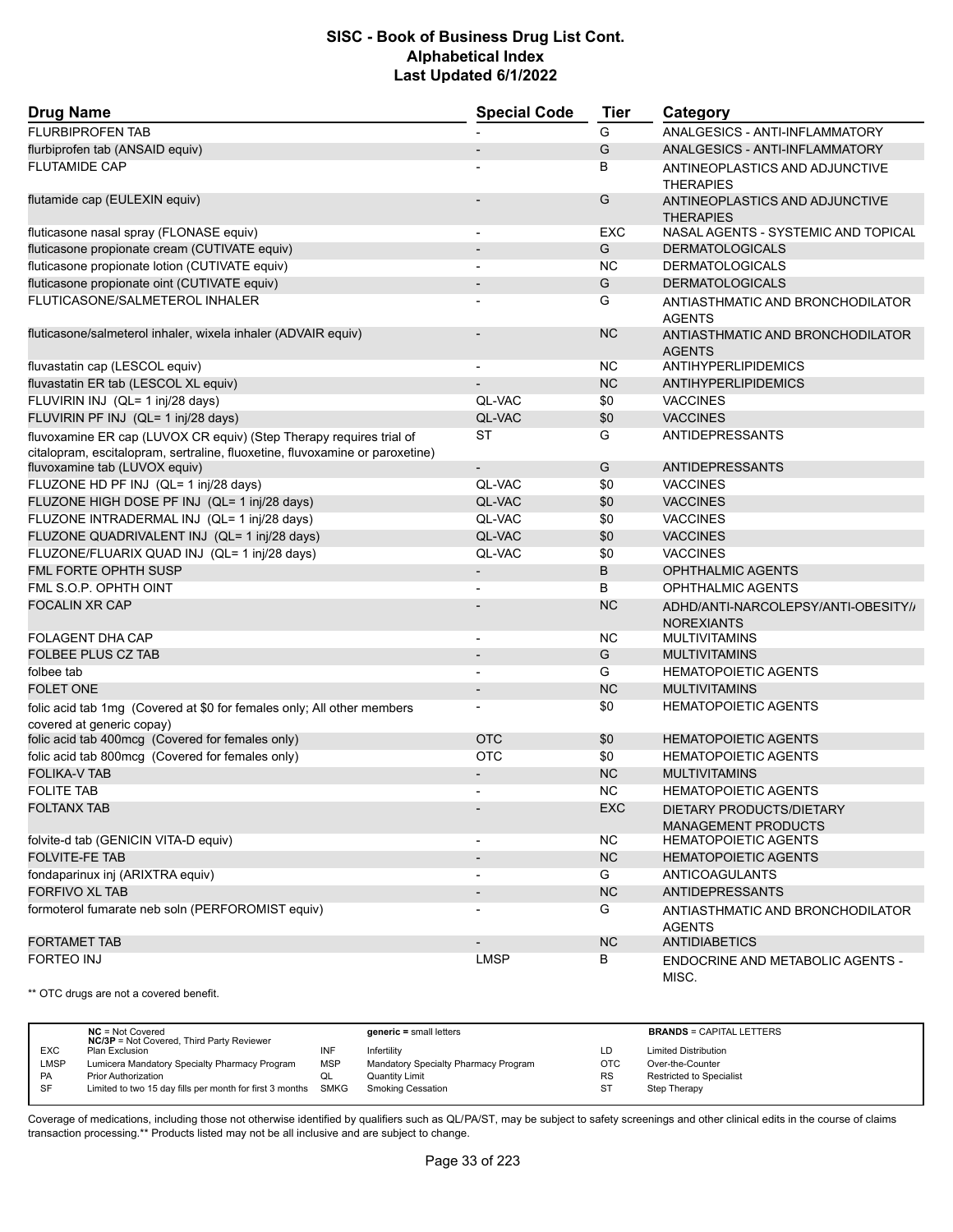| <b>Drug Name</b>                                                                                                                                    | <b>Special Code</b>          | <b>Tier</b> | Category                                                 |
|-----------------------------------------------------------------------------------------------------------------------------------------------------|------------------------------|-------------|----------------------------------------------------------|
| <b>FLURBIPROFEN TAB</b>                                                                                                                             |                              | G           | ANALGESICS - ANTI-INFLAMMATORY                           |
| flurbiprofen tab (ANSAID equiv)                                                                                                                     |                              | G           | ANALGESICS - ANTI-INFLAMMATORY                           |
| <b>FLUTAMIDE CAP</b>                                                                                                                                |                              | B           | ANTINEOPLASTICS AND ADJUNCTIVE<br><b>THERAPIES</b>       |
| flutamide cap (EULEXIN equiv)                                                                                                                       |                              | G           | ANTINEOPLASTICS AND ADJUNCTIVE<br><b>THERAPIES</b>       |
| fluticasone nasal spray (FLONASE equiv)                                                                                                             | $\overline{\phantom{a}}$     | <b>EXC</b>  | NASAL AGENTS - SYSTEMIC AND TOPICAL                      |
| fluticasone propionate cream (CUTIVATE equiv)                                                                                                       | $\qquad \qquad \blacksquare$ | G           | <b>DERMATOLOGICALS</b>                                   |
| fluticasone propionate lotion (CUTIVATE equiv)                                                                                                      |                              | <b>NC</b>   | <b>DERMATOLOGICALS</b>                                   |
| fluticasone propionate oint (CUTIVATE equiv)                                                                                                        |                              | G           | <b>DERMATOLOGICALS</b>                                   |
| FLUTICASONE/SALMETEROL INHALER                                                                                                                      |                              | G           | ANTIASTHMATIC AND BRONCHODILATOR<br><b>AGENTS</b>        |
| fluticasone/salmeterol inhaler, wixela inhaler (ADVAIR equiv)                                                                                       |                              | <b>NC</b>   | ANTIASTHMATIC AND BRONCHODILATOR<br><b>AGENTS</b>        |
| fluvastatin cap (LESCOL equiv)                                                                                                                      | $\overline{\phantom{0}}$     | ΝC          | ANTIHYPERLIPIDEMICS                                      |
| fluvastatin ER tab (LESCOL XL equiv)                                                                                                                |                              | <b>NC</b>   | ANTIHYPERLIPIDEMICS                                      |
| FLUVIRIN INJ (QL= 1 inj/28 days)                                                                                                                    | QL-VAC                       | \$0         | <b>VACCINES</b>                                          |
| FLUVIRIN PF INJ (QL= 1 inj/28 days)                                                                                                                 | QL-VAC                       | \$0         | <b>VACCINES</b>                                          |
| fluvoxamine ER cap (LUVOX CR equiv) (Step Therapy requires trial of<br>citalopram, escitalopram, sertraline, fluoxetine, fluvoxamine or paroxetine) | <b>ST</b>                    | G           | <b>ANTIDEPRESSANTS</b>                                   |
| fluvoxamine tab (LUVOX equiv)                                                                                                                       |                              | G           | <b>ANTIDEPRESSANTS</b>                                   |
| FLUZONE HD PF INJ (QL= 1 inj/28 days)                                                                                                               | QL-VAC                       | \$0         | <b>VACCINES</b>                                          |
| FLUZONE HIGH DOSE PF INJ (QL= 1 inj/28 days)                                                                                                        | QL-VAC                       | \$0         | <b>VACCINES</b>                                          |
| FLUZONE INTRADERMAL INJ (QL= 1 inj/28 days)                                                                                                         | QL-VAC                       | \$0         | <b>VACCINES</b>                                          |
| FLUZONE QUADRIVALENT INJ (QL= 1 inj/28 days)                                                                                                        | QL-VAC                       | \$0         | <b>VACCINES</b>                                          |
| FLUZONE/FLUARIX QUAD INJ (QL= 1 inj/28 days)                                                                                                        | QL-VAC                       | \$0         | <b>VACCINES</b>                                          |
| <b>FML FORTE OPHTH SUSP</b>                                                                                                                         | $\overline{a}$               | B           | OPHTHALMIC AGENTS                                        |
| FML S.O.P. OPHTH OINT                                                                                                                               |                              | B           | OPHTHALMIC AGENTS                                        |
| <b>FOCALIN XR CAP</b>                                                                                                                               |                              | <b>NC</b>   | ADHD/ANTI-NARCOLEPSY/ANTI-OBESITY//<br><b>NOREXIANTS</b> |
| <b>FOLAGENT DHA CAP</b>                                                                                                                             |                              | <b>NC</b>   | <b>MULTIVITAMINS</b>                                     |
| <b>FOLBEE PLUS CZ TAB</b>                                                                                                                           | $\qquad \qquad \blacksquare$ | G           | <b>MULTIVITAMINS</b>                                     |
| folbee tab                                                                                                                                          |                              | G           | <b>HEMATOPOIETIC AGENTS</b>                              |
| <b>FOLET ONE</b>                                                                                                                                    |                              | <b>NC</b>   | <b>MULTIVITAMINS</b>                                     |
| folic acid tab 1mg (Covered at \$0 for females only; All other members<br>covered at generic copay)                                                 |                              | \$0         | <b>HEMATOPOIETIC AGENTS</b>                              |
| folic acid tab 400mcg (Covered for females only)                                                                                                    | <b>OTC</b>                   | \$0         | <b>HEMATOPOIETIC AGENTS</b>                              |
| folic acid tab 800mcg (Covered for females only)                                                                                                    | <b>OTC</b>                   | \$0         | <b>HEMATOPOIETIC AGENTS</b>                              |
| <b>FOLIKA-V TAB</b>                                                                                                                                 |                              | <b>NC</b>   | <b>MULTIVITAMINS</b>                                     |
| <b>FOLITE TAB</b>                                                                                                                                   | $\overline{\phantom{0}}$     | <b>NC</b>   | <b>HEMATOPOIETIC AGENTS</b>                              |
| <b>FOLTANX TAB</b>                                                                                                                                  |                              | <b>EXC</b>  | DIETARY PRODUCTS/DIETARY<br><b>MANAGEMENT PRODUCTS</b>   |
| folvite-d tab (GENICIN VITA-D equiv)                                                                                                                |                              | NC.         | <b>HEMATOPOIETIC AGENTS</b>                              |
| <b>FOLVITE-FE TAB</b>                                                                                                                               |                              | NC          | <b>HEMATOPOIETIC AGENTS</b>                              |
| fondaparinux inj (ARIXTRA equiv)                                                                                                                    | $\overline{\phantom{0}}$     | G           | <b>ANTICOAGULANTS</b>                                    |
| <b>FORFIVO XL TAB</b>                                                                                                                               | $\overline{\phantom{a}}$     | <b>NC</b>   | <b>ANTIDEPRESSANTS</b>                                   |
| formoterol fumarate neb soln (PERFOROMIST equiv)                                                                                                    |                              | G           | ANTIASTHMATIC AND BRONCHODILATOR<br><b>AGENTS</b>        |
| <b>FORTAMET TAB</b>                                                                                                                                 |                              | NC          | <b>ANTIDIABETICS</b>                                     |
| <b>FORTEO INJ</b>                                                                                                                                   | <b>LMSP</b>                  | В           | ENDOCRINE AND METABOLIC AGENTS -<br>MISC.                |

\*\* OTC drugs are not a covered benefit.

|             | $NC = Not Covered$<br><b>NC/3P</b> = Not Covered, Third Party Reviewer |            | $generic = small letters$            |            | <b>BRANDS = CAPITAL LETTERS</b> |
|-------------|------------------------------------------------------------------------|------------|--------------------------------------|------------|---------------------------------|
| <b>EXC</b>  | Plan Exclusion                                                         | INF        | Infertility                          | LD         | <b>Limited Distribution</b>     |
| <b>LMSP</b> | Lumicera Mandatory Specialty Pharmacy Program                          | <b>MSP</b> | Mandatory Specialty Pharmacy Program | <b>OTC</b> | Over-the-Counter                |
| <b>PA</b>   | <b>Prior Authorization</b>                                             |            | <b>Quantity Limit</b>                | <b>RS</b>  | <b>Restricted to Specialist</b> |
| -SF         | Limited to two 15 day fills per month for first 3 months               | SMKG       | <b>Smoking Cessation</b>             | <b>ST</b>  | Step Therapy                    |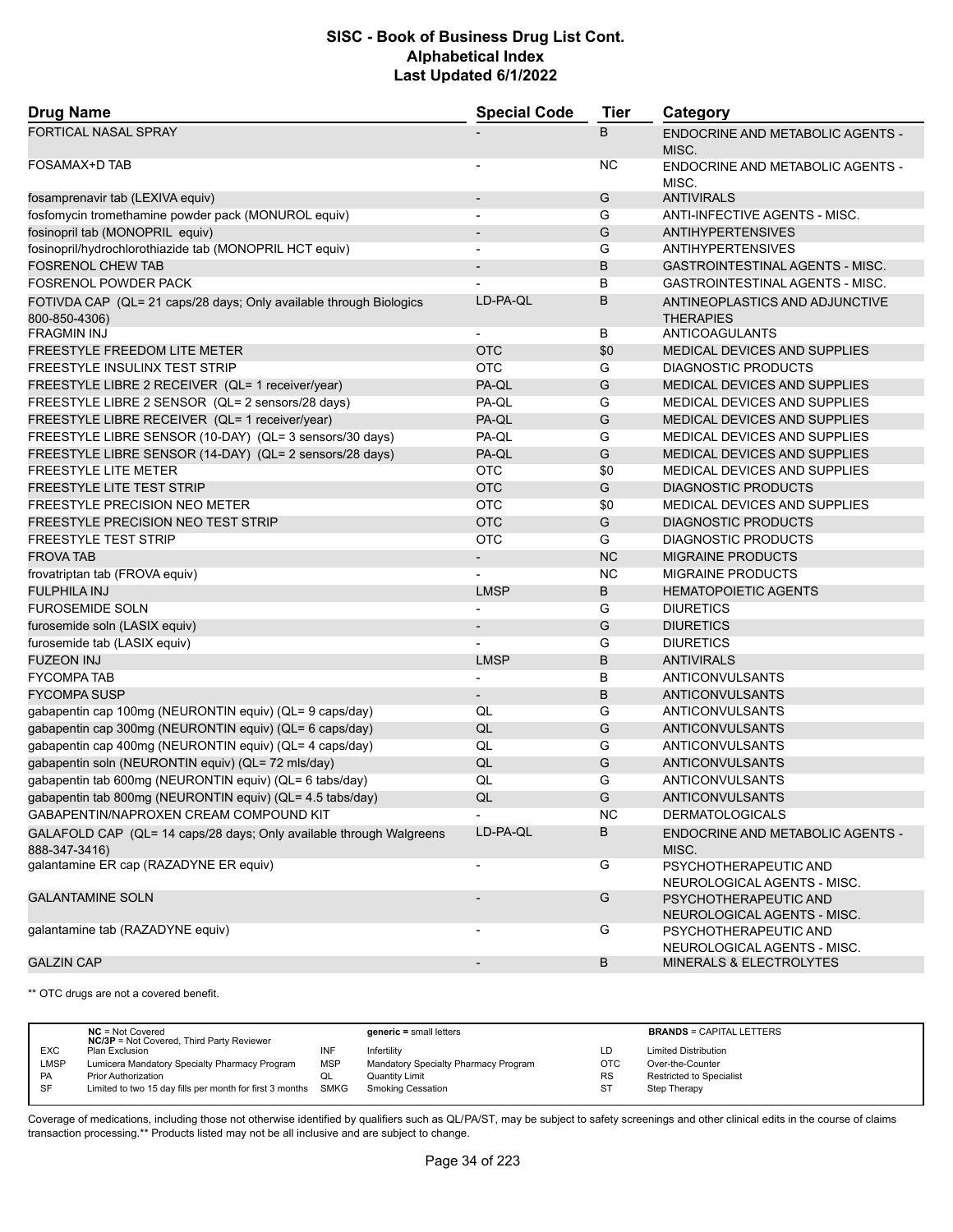| <b>Drug Name</b>                                                                                          | <b>Special Code</b>      | Tier      | Category                                                                    |
|-----------------------------------------------------------------------------------------------------------|--------------------------|-----------|-----------------------------------------------------------------------------|
| <b>FORTICAL NASAL SPRAY</b>                                                                               |                          | B         | ENDOCRINE AND METABOLIC AGENTS -<br>MISC.                                   |
| FOSAMAX+D TAB                                                                                             |                          | NC        | ENDOCRINE AND METABOLIC AGENTS -<br>MISC.                                   |
| fosamprenavir tab (LEXIVA equiv)                                                                          |                          | G         | <b>ANTIVIRALS</b>                                                           |
| fosfomycin tromethamine powder pack (MONUROL equiv)                                                       | $\overline{\phantom{a}}$ | G         | ANTI-INFECTIVE AGENTS - MISC.                                               |
| fosinopril tab (MONOPRIL equiv)                                                                           | -                        | G         | <b>ANTIHYPERTENSIVES</b>                                                    |
| fosinopril/hydrochlorothiazide tab (MONOPRIL HCT equiv)                                                   | $\overline{a}$           | G         | <b>ANTIHYPERTENSIVES</b>                                                    |
| <b>FOSRENOL CHEW TAB</b>                                                                                  | $\blacksquare$           | B         | <b>GASTROINTESTINAL AGENTS - MISC.</b>                                      |
| FOSRENOL POWDER PACK                                                                                      |                          | В         | <b>GASTROINTESTINAL AGENTS - MISC.</b>                                      |
| FOTIVDA CAP (QL= 21 caps/28 days; Only available through Biologics<br>800-850-4306)<br><b>FRAGMIN INJ</b> | LD-PA-QL                 | B<br>В    | ANTINEOPLASTICS AND ADJUNCTIVE<br><b>THERAPIES</b><br><b>ANTICOAGULANTS</b> |
|                                                                                                           | <b>OTC</b>               |           |                                                                             |
| <b>FREESTYLE FREEDOM LITE METER</b><br>FREESTYLE INSULINX TEST STRIP                                      | <b>OTC</b>               | \$0<br>G  | <b>MEDICAL DEVICES AND SUPPLIES</b><br>DIAGNOSTIC PRODUCTS                  |
|                                                                                                           |                          |           | MEDICAL DEVICES AND SUPPLIES                                                |
| FREESTYLE LIBRE 2 RECEIVER (QL= 1 receiver/year)<br>FREESTYLE LIBRE 2 SENSOR (QL= 2 sensors/28 days)      | PA-QL<br>PA-QL           | G<br>G    | MEDICAL DEVICES AND SUPPLIES                                                |
| FREESTYLE LIBRE RECEIVER (QL= 1 receiver/year)                                                            |                          | G         | MEDICAL DEVICES AND SUPPLIES                                                |
| FREESTYLE LIBRE SENSOR (10-DAY) (QL= 3 sensors/30 days)                                                   | PA-QL<br>PA-QL           | G         | <b>MEDICAL DEVICES AND SUPPLIES</b>                                         |
|                                                                                                           |                          | G         |                                                                             |
| FREESTYLE LIBRE SENSOR (14-DAY) (QL= 2 sensors/28 days)<br><b>FREESTYLE LITE METER</b>                    | PA-QL<br><b>OTC</b>      | \$0       | MEDICAL DEVICES AND SUPPLIES<br>MEDICAL DEVICES AND SUPPLIES                |
| <b>FREESTYLE LITE TEST STRIP</b>                                                                          | <b>OTC</b>               | G         | <b>DIAGNOSTIC PRODUCTS</b>                                                  |
| <b>FREESTYLE PRECISION NEO METER</b>                                                                      | <b>OTC</b>               | \$0       | MEDICAL DEVICES AND SUPPLIES                                                |
| <b>FREESTYLE PRECISION NEO TEST STRIP</b>                                                                 | <b>OTC</b>               | G         | <b>DIAGNOSTIC PRODUCTS</b>                                                  |
| <b>FREESTYLE TEST STRIP</b>                                                                               | <b>OTC</b>               | G         | <b>DIAGNOSTIC PRODUCTS</b>                                                  |
| <b>FROVA TAB</b>                                                                                          | $\overline{\phantom{a}}$ | <b>NC</b> | <b>MIGRAINE PRODUCTS</b>                                                    |
|                                                                                                           |                          | <b>NC</b> | <b>MIGRAINE PRODUCTS</b>                                                    |
| frovatriptan tab (FROVA equiv)<br><b>FULPHILA INJ</b>                                                     | <b>LMSP</b>              | B         | <b>HEMATOPOIETIC AGENTS</b>                                                 |
| <b>FUROSEMIDE SOLN</b>                                                                                    |                          | G         | <b>DIURETICS</b>                                                            |
| furosemide soln (LASIX equiv)                                                                             | $\overline{\phantom{a}}$ | G         | <b>DIURETICS</b>                                                            |
| furosemide tab (LASIX equiv)                                                                              |                          | G         | <b>DIURETICS</b>                                                            |
| <b>FUZEON INJ</b>                                                                                         | <b>LMSP</b>              | B         | <b>ANTIVIRALS</b>                                                           |
| <b>FYCOMPA TAB</b>                                                                                        | $\blacksquare$           | В         | ANTICONVULSANTS                                                             |
| <b>FYCOMPA SUSP</b>                                                                                       | $\overline{\phantom{a}}$ | B         | ANTICONVULSANTS                                                             |
| gabapentin cap 100mg (NEURONTIN equiv) (QL= 9 caps/day)                                                   | QL                       | G         | ANTICONVULSANTS                                                             |
| gabapentin cap 300mg (NEURONTIN equiv) (QL= 6 caps/day)                                                   | QL                       | G         | ANTICONVULSANTS                                                             |
| gabapentin cap 400mg (NEURONTIN equiv) (QL= 4 caps/day)                                                   | QL                       | G         | ANTICONVULSANTS                                                             |
| gabapentin soln (NEURONTIN equiv) (QL= 72 mls/day)                                                        | QL                       | G         | ANTICONVULSANTS                                                             |
| gabapentin tab 600mg (NEURONTIN equiv) (QL= 6 tabs/day)                                                   | QL                       | G         | ANTICONVULSANTS                                                             |
| gabapentin tab 800mg (NEURONTIN equiv) (QL= 4.5 tabs/day)                                                 | QL                       | G         | ANTICONVULSANTS                                                             |
| GABAPENTIN/NAPROXEN CREAM COMPOUND KIT                                                                    |                          | <b>NC</b> | <b>DERMATOLOGICALS</b>                                                      |
|                                                                                                           | LD-PA-QL                 | В         |                                                                             |
| GALAFOLD CAP (QL= 14 caps/28 days; Only available through Walgreens<br>888-347-3416)                      |                          |           | ENDOCRINE AND METABOLIC AGENTS -<br>MISC.                                   |
| galantamine ER cap (RAZADYNE ER equiv)                                                                    | $\blacksquare$           | G         | PSYCHOTHERAPEUTIC AND<br>NEUROLOGICAL AGENTS - MISC.                        |
| <b>GALANTAMINE SOLN</b>                                                                                   | $\overline{\phantom{m}}$ | G         | PSYCHOTHERAPEUTIC AND<br>NEUROLOGICAL AGENTS - MISC.                        |
| galantamine tab (RAZADYNE equiv)                                                                          | ٠                        | G         | PSYCHOTHERAPEUTIC AND<br>NEUROLOGICAL AGENTS - MISC.                        |
| <b>GALZIN CAP</b>                                                                                         | $\overline{\phantom{a}}$ | В         | MINERALS & ELECTROLYTES                                                     |

\*\* OTC drugs are not a covered benefit.

|             | $NC = Not Covered$<br><b>NC/3P</b> = Not Covered, Third Party Reviewer |            | $generic = small letters$            |            | <b>BRANDS = CAPITAL LETTERS</b> |
|-------------|------------------------------------------------------------------------|------------|--------------------------------------|------------|---------------------------------|
| <b>EXC</b>  | Plan Exclusion                                                         | INF        | Infertility                          | LD         | <b>Limited Distribution</b>     |
| <b>LMSP</b> | Lumicera Mandatory Specialty Pharmacy Program                          | <b>MSP</b> | Mandatory Specialty Pharmacy Program | <b>OTC</b> | Over-the-Counter                |
| PA          | <b>Prior Authorization</b>                                             | w∟         | Quantity Limit                       | <b>RS</b>  | Restricted to Specialist        |
| SF          | Limited to two 15 day fills per month for first 3 months SMKG          |            | Smoking Cessation                    | ST         | Step Therapy                    |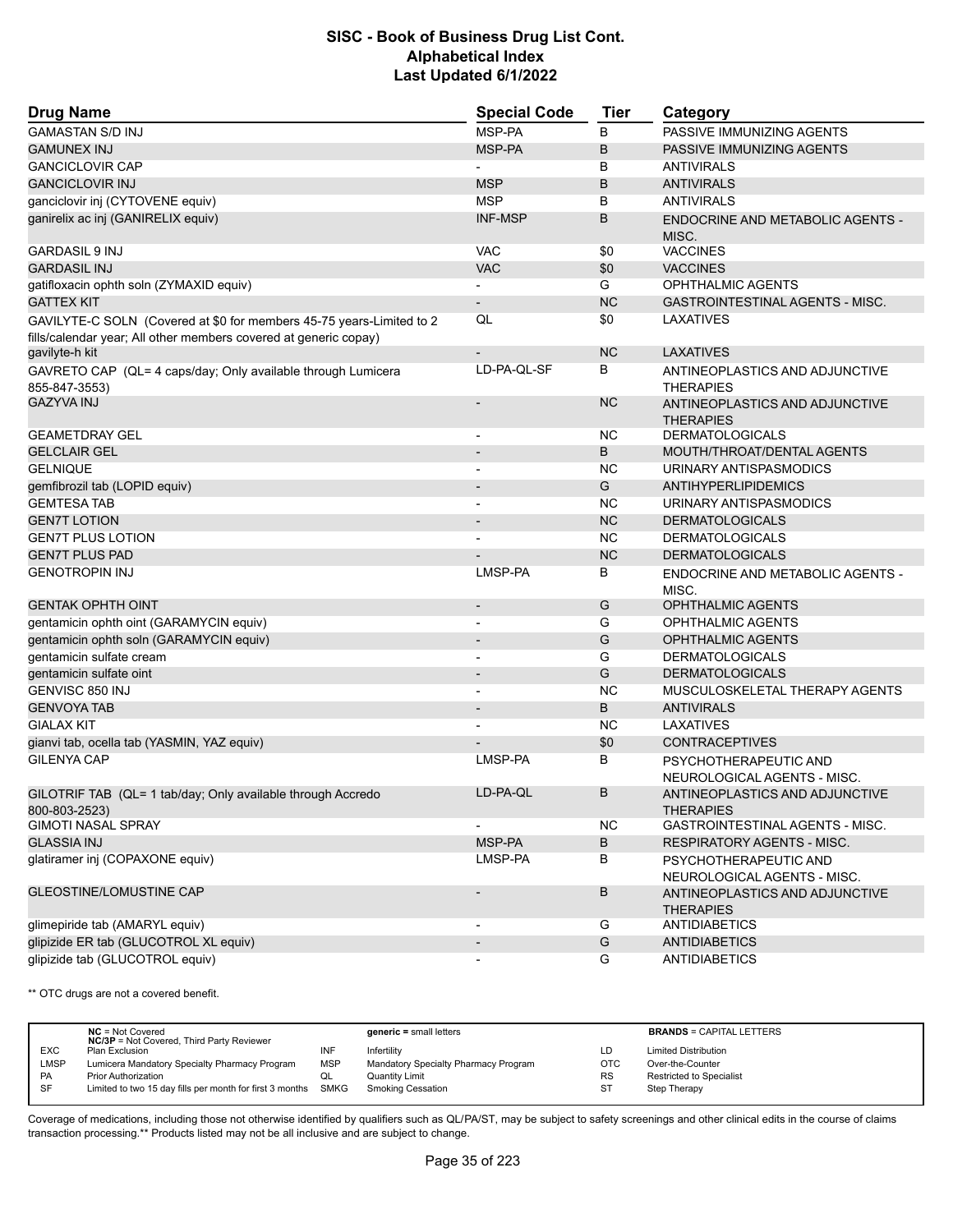| <b>Drug Name</b>                                                              | <b>Special Code</b>      | <b>Tier</b> | Category                                                   |  |
|-------------------------------------------------------------------------------|--------------------------|-------------|------------------------------------------------------------|--|
| <b>GAMASTAN S/D INJ</b>                                                       | MSP-PA                   | B           | PASSIVE IMMUNIZING AGENTS                                  |  |
| <b>GAMUNEX INJ</b>                                                            | MSP-PA                   | B           | PASSIVE IMMUNIZING AGENTS                                  |  |
| <b>GANCICLOVIR CAP</b>                                                        |                          | В           | <b>ANTIVIRALS</b>                                          |  |
| <b>GANCICLOVIR INJ</b>                                                        | <b>MSP</b>               | B           | <b>ANTIVIRALS</b>                                          |  |
| ganciclovir inj (CYTOVENE equiv)                                              | <b>MSP</b>               | В           | <b>ANTIVIRALS</b>                                          |  |
| ganirelix ac inj (GANIRELIX equiv)                                            | <b>INF-MSP</b>           | B           | ENDOCRINE AND METABOLIC AGENTS -<br>MISC.                  |  |
| <b>GARDASIL 9 INJ</b>                                                         | <b>VAC</b>               | \$0         | <b>VACCINES</b>                                            |  |
| <b>GARDASIL INJ</b>                                                           | <b>VAC</b>               | \$0         | <b>VACCINES</b>                                            |  |
| gatifloxacin ophth soln (ZYMAXID equiv)                                       |                          | G           | <b>OPHTHALMIC AGENTS</b>                                   |  |
| <b>GATTEX KIT</b>                                                             | $\overline{\phantom{0}}$ | <b>NC</b>   | GASTROINTESTINAL AGENTS - MISC.                            |  |
| GAVILYTE-C SOLN (Covered at \$0 for members 45-75 years-Limited to 2          | QL                       | \$0         | LAXATIVES                                                  |  |
| fills/calendar year; All other members covered at generic copay)              |                          |             |                                                            |  |
| gavilyte-h kit                                                                | $\overline{\phantom{a}}$ | <b>NC</b>   | <b>LAXATIVES</b>                                           |  |
| GAVRETO CAP (QL= 4 caps/day; Only available through Lumicera<br>855-847-3553) | LD-PA-QL-SF              | В           | ANTINEOPLASTICS AND ADJUNCTIVE<br><b>THERAPIES</b>         |  |
| <b>GAZYVA INJ</b>                                                             |                          | <b>NC</b>   | ANTINEOPLASTICS AND ADJUNCTIVE<br><b>THERAPIES</b>         |  |
| <b>GEAMETDRAY GEL</b>                                                         |                          | ΝC          | <b>DERMATOLOGICALS</b>                                     |  |
| <b>GELCLAIR GEL</b>                                                           |                          | B           | MOUTH/THROAT/DENTAL AGENTS                                 |  |
| <b>GELNIQUE</b>                                                               |                          | ΝC          | URINARY ANTISPASMODICS                                     |  |
| gemfibrozil tab (LOPID equiv)                                                 |                          | G           | <b>ANTIHYPERLIPIDEMICS</b>                                 |  |
| <b>GEMTESA TAB</b>                                                            |                          | ΝC          | URINARY ANTISPASMODICS                                     |  |
| <b>GEN7T LOTION</b>                                                           |                          | <b>NC</b>   | <b>DERMATOLOGICALS</b>                                     |  |
| <b>GEN7T PLUS LOTION</b>                                                      |                          | ΝC          | <b>DERMATOLOGICALS</b>                                     |  |
| <b>GEN7T PLUS PAD</b>                                                         |                          | <b>NC</b>   | <b>DERMATOLOGICALS</b>                                     |  |
| <b>GENOTROPIN INJ</b>                                                         | LMSP-PA                  | В           | ENDOCRINE AND METABOLIC AGENTS -<br>MISC.                  |  |
| <b>GENTAK OPHTH OINT</b>                                                      | $\overline{\phantom{m}}$ | G           | <b>OPHTHALMIC AGENTS</b>                                   |  |
| gentamicin ophth oint (GARAMYCIN equiv)                                       | $\overline{\phantom{a}}$ | G           | OPHTHALMIC AGENTS                                          |  |
| gentamicin ophth soln (GARAMYCIN equiv)                                       | $\overline{\phantom{m}}$ | G           | <b>OPHTHALMIC AGENTS</b>                                   |  |
| gentamicin sulfate cream                                                      |                          | G           | <b>DERMATOLOGICALS</b>                                     |  |
| gentamicin sulfate oint                                                       | $\overline{\phantom{0}}$ | G           | <b>DERMATOLOGICALS</b>                                     |  |
| GENVISC 850 INJ                                                               |                          | <b>NC</b>   | MUSCULOSKELETAL THERAPY AGENTS                             |  |
| <b>GENVOYA TAB</b>                                                            |                          | B           | <b>ANTIVIRALS</b>                                          |  |
| <b>GIALAX KIT</b>                                                             | $\overline{a}$           | ΝC          | LAXATIVES                                                  |  |
| gianvi tab, ocella tab (YASMIN, YAZ equiv)                                    |                          | \$0         | <b>CONTRACEPTIVES</b>                                      |  |
| <b>GILENYA CAP</b>                                                            | LMSP-PA                  | В           | PSYCHOTHERAPEUTIC AND<br>NEUROLOGICAL AGENTS - MISC.       |  |
| GILOTRIF TAB (QL= 1 tab/day; Only available through Accredo                   | LD-PA-QL                 | B           | ANTINEOPLASTICS AND ADJUNCTIVE                             |  |
| 800-803-2523)<br><b>GIMOTI NASAL SPRAY</b>                                    |                          | <b>NC</b>   | <b>THERAPIES</b><br><b>GASTROINTESTINAL AGENTS - MISC.</b> |  |
| <b>GLASSIA INJ</b>                                                            | MSP-PA                   |             |                                                            |  |
|                                                                               |                          | B           | RESPIRATORY AGENTS - MISC.                                 |  |
| glatiramer inj (COPAXONE equiv)                                               | LMSP-PA                  | В           | PSYCHOTHERAPEUTIC AND<br>NEUROLOGICAL AGENTS - MISC.       |  |
| <b>GLEOSTINE/LOMUSTINE CAP</b>                                                |                          | В           | ANTINEOPLASTICS AND ADJUNCTIVE<br><b>THERAPIES</b>         |  |
| glimepiride tab (AMARYL equiv)                                                |                          | G           | <b>ANTIDIABETICS</b>                                       |  |
| glipizide ER tab (GLUCOTROL XL equiv)                                         |                          | G           | <b>ANTIDIABETICS</b>                                       |  |
| glipizide tab (GLUCOTROL equiv)                                               |                          | G           | <b>ANTIDIABETICS</b>                                       |  |

\*\* OTC drugs are not a covered benefit.

|             | $NC = Not Covered$<br><b>NC/3P</b> = Not Covered, Third Party Reviewer |            | $generic = small letters$            |            | <b>BRANDS = CAPITAL LETTERS</b> |
|-------------|------------------------------------------------------------------------|------------|--------------------------------------|------------|---------------------------------|
| <b>EXC</b>  | Plan Exclusion                                                         | INF        | Infertility                          | LD         | <b>Limited Distribution</b>     |
| <b>LMSP</b> | Lumicera Mandatory Specialty Pharmacy Program                          | <b>MSP</b> | Mandatory Specialty Pharmacy Program | <b>OTC</b> | Over-the-Counter                |
| <b>PA</b>   | <b>Prior Authorization</b>                                             | QL         | Quantity Limit                       | <b>RS</b>  | Restricted to Specialist        |
| -SF         | Limited to two 15 day fills per month for first 3 months SMKG          |            | Smoking Cessation                    | -ST        | Step Therapy                    |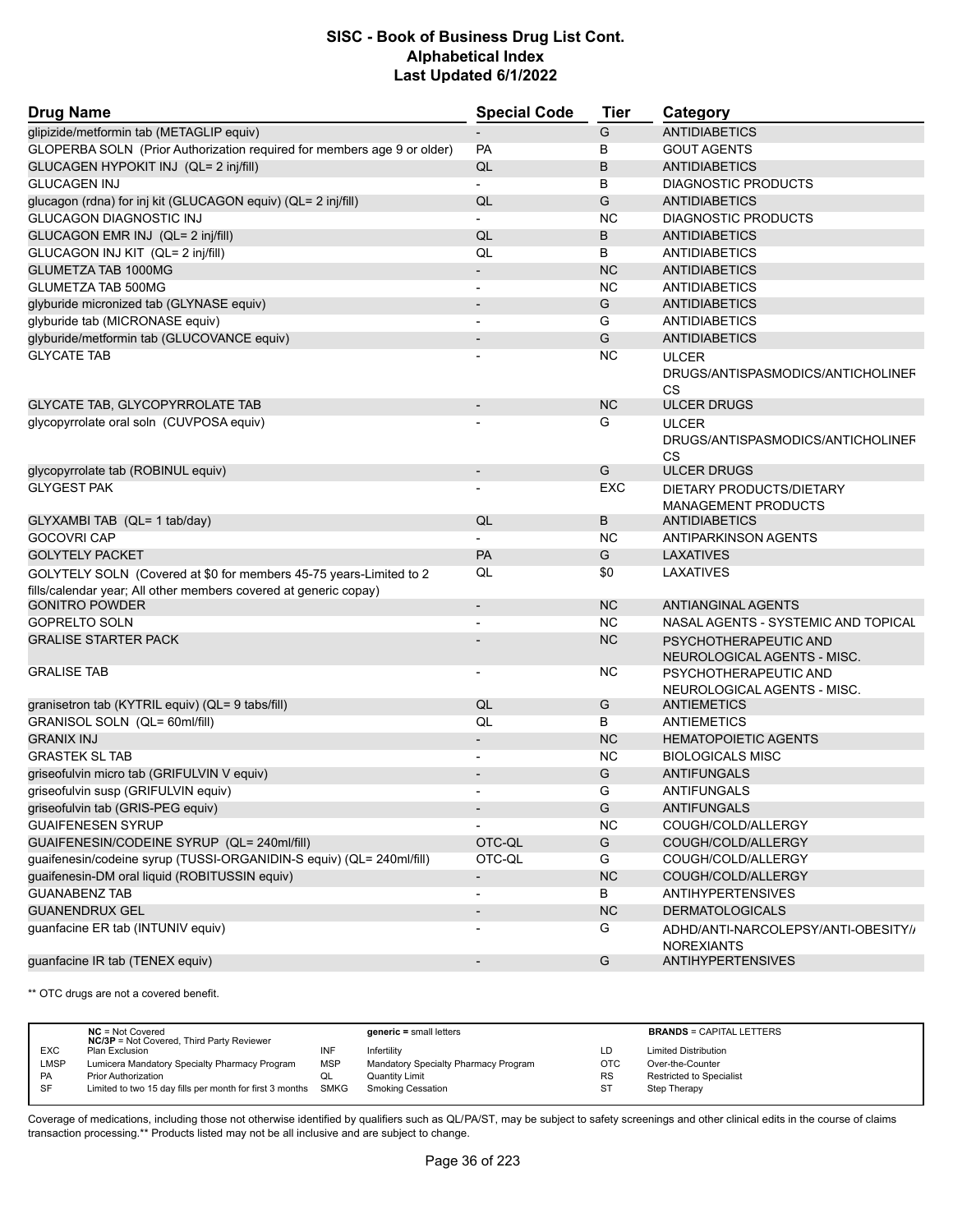| <b>Drug Name</b>                                                                                                                       | <b>Special Code</b>      | <b>Tier</b>   | Category                                                       |
|----------------------------------------------------------------------------------------------------------------------------------------|--------------------------|---------------|----------------------------------------------------------------|
| glipizide/metformin tab (METAGLIP equiv)                                                                                               |                          | G             | <b>ANTIDIABETICS</b>                                           |
| GLOPERBA SOLN (Prior Authorization required for members age 9 or older)                                                                | <b>PA</b>                | B             | <b>GOUT AGENTS</b>                                             |
| GLUCAGEN HYPOKIT INJ (QL= 2 inj/fill)                                                                                                  | QL                       | B             | <b>ANTIDIABETICS</b>                                           |
| <b>GLUCAGEN INJ</b>                                                                                                                    | $\blacksquare$           | B             | <b>DIAGNOSTIC PRODUCTS</b>                                     |
| glucagon (rdna) for inj kit (GLUCAGON equiv) (QL= 2 inj/fill)                                                                          | QL                       | G             | <b>ANTIDIABETICS</b>                                           |
| <b>GLUCAGON DIAGNOSTIC INJ</b>                                                                                                         |                          | <b>NC</b>     | <b>DIAGNOSTIC PRODUCTS</b>                                     |
| GLUCAGON EMR INJ (QL= 2 inj/fill)                                                                                                      | QL                       | B             | <b>ANTIDIABETICS</b>                                           |
| GLUCAGON INJ KIT (QL= 2 inj/fill)                                                                                                      | QL                       | B             | <b>ANTIDIABETICS</b>                                           |
| <b>GLUMETZA TAB 1000MG</b>                                                                                                             |                          | <b>NC</b>     | <b>ANTIDIABETICS</b>                                           |
| <b>GLUMETZA TAB 500MG</b>                                                                                                              | $\blacksquare$           | <b>NC</b>     | <b>ANTIDIABETICS</b>                                           |
| glyburide micronized tab (GLYNASE equiv)                                                                                               |                          | G             | <b>ANTIDIABETICS</b>                                           |
| qlyburide tab (MICRONASE equiv)                                                                                                        |                          | G             | <b>ANTIDIABETICS</b>                                           |
| glyburide/metformin tab (GLUCOVANCE equiv)                                                                                             |                          | G             | <b>ANTIDIABETICS</b>                                           |
| <b>GLYCATE TAB</b>                                                                                                                     |                          | <b>NC</b>     | <b>ULCER</b>                                                   |
|                                                                                                                                        |                          |               | DRUGS/ANTISPASMODICS/ANTICHOLINEF<br>CS                        |
| GLYCATE TAB, GLYCOPYRROLATE TAB                                                                                                        |                          | <b>NC</b>     | <b>ULCER DRUGS</b>                                             |
| glycopyrrolate oral soln (CUVPOSA equiv)                                                                                               |                          | G             | <b>ULCER</b><br>DRUGS/ANTISPASMODICS/ANTICHOLINEF<br><b>CS</b> |
| glycopyrrolate tab (ROBINUL equiv)                                                                                                     |                          | G             | <b>ULCER DRUGS</b>                                             |
| <b>GLYGEST PAK</b>                                                                                                                     |                          | EXC           | DIETARY PRODUCTS/DIETARY<br><b>MANAGEMENT PRODUCTS</b>         |
| GLYXAMBI TAB (QL= 1 tab/day)                                                                                                           | QL                       | B             | <b>ANTIDIABETICS</b>                                           |
| <b>GOCOVRI CAP</b>                                                                                                                     |                          | <b>NC</b>     | ANTIPARKINSON AGENTS                                           |
| <b>GOLYTELY PACKET</b>                                                                                                                 | PA                       | G             | <b>LAXATIVES</b>                                               |
| GOLYTELY SOLN (Covered at \$0 for members 45-75 years-Limited to 2<br>fills/calendar year; All other members covered at generic copay) | QL                       | \$0           | LAXATIVES                                                      |
| <b>GONITRO POWDER</b>                                                                                                                  | $\blacksquare$           | <b>NC</b>     | ANTIANGINAL AGENTS                                             |
| <b>GOPRELTO SOLN</b>                                                                                                                   | $\blacksquare$           | <b>NC</b>     | NASAL AGENTS - SYSTEMIC AND TOPICAL                            |
| <b>GRALISE STARTER PACK</b>                                                                                                            |                          | <b>NC</b>     | PSYCHOTHERAPEUTIC AND<br>NEUROLOGICAL AGENTS - MISC.           |
| <b>GRALISE TAB</b>                                                                                                                     |                          | <b>NC</b>     | PSYCHOTHERAPEUTIC AND<br>NEUROLOGICAL AGENTS - MISC.           |
| granisetron tab (KYTRIL equiv) (QL= 9 tabs/fill)                                                                                       | QL                       | G             | ANTIEMETICS                                                    |
| GRANISOL SOLN (QL= 60ml/fill)                                                                                                          | QL                       | B             | <b>ANTIEMETICS</b>                                             |
| <b>GRANIX INJ</b>                                                                                                                      | $\overline{\phantom{a}}$ | <b>NC</b>     | <b>HEMATOPOIETIC AGENTS</b>                                    |
| <b>GRASTEK SL TAB</b>                                                                                                                  | $\overline{\phantom{a}}$ | <b>NC</b>     | <b>BIOLOGICALS MISC</b>                                        |
| griseofulvin micro tab (GRIFULVIN V equiv)                                                                                             |                          | G             | <b>ANTIFUNGALS</b>                                             |
| griseofulvin susp (GRIFULVIN equiv)                                                                                                    | $\blacksquare$           | G             | ANTIFUNGALS                                                    |
| griseofulvin tab (GRIS-PEG equiv)                                                                                                      |                          | G             | <b>ANTIFUNGALS</b>                                             |
| <b>GUAIFENESEN SYRUP</b>                                                                                                               |                          | <b>NC</b>     | COUGH/COLD/ALLERGY                                             |
| GUAIFENESIN/CODEINE SYRUP (QL= 240ml/fill)                                                                                             | OTC-QL                   | ${\mathsf G}$ | COUGH/COLD/ALLERGY                                             |
| guaifenesin/codeine syrup (TUSSI-ORGANIDIN-S equiv) (QL= 240ml/fill)                                                                   | OTC-QL                   | G             | COUGH/COLD/ALLERGY                                             |
| guaifenesin-DM oral liquid (ROBITUSSIN equiv)                                                                                          | $\overline{\phantom{a}}$ | NC            | COUGH/COLD/ALLERGY                                             |
| <b>GUANABENZ TAB</b>                                                                                                                   | $\overline{\phantom{a}}$ | B             | <b>ANTIHYPERTENSIVES</b>                                       |
| <b>GUANENDRUX GEL</b>                                                                                                                  | $\overline{\phantom{a}}$ | NC            | <b>DERMATOLOGICALS</b>                                         |
| guanfacine ER tab (INTUNIV equiv)                                                                                                      |                          | G             | ADHD/ANTI-NARCOLEPSY/ANTI-OBESITY//<br><b>NOREXIANTS</b>       |
| guanfacine IR tab (TENEX equiv)                                                                                                        | $\overline{\phantom{a}}$ | G             | <b>ANTIHYPERTENSIVES</b>                                       |

\*\* OTC drugs are not a covered benefit.

|             | $NC = Not Covered$                                            |            | $generic = small letters$            |            | <b>BRANDS = CAPITAL LETTERS</b> |
|-------------|---------------------------------------------------------------|------------|--------------------------------------|------------|---------------------------------|
|             | <b>NC/3P</b> = Not Covered, Third Party Reviewer              |            |                                      |            |                                 |
| <b>EXC</b>  | Plan Exclusion                                                | INF        | Infertility                          | LD         | <b>Limited Distribution</b>     |
| <b>LMSP</b> | Lumicera Mandatory Specialty Pharmacy Program                 | <b>MSP</b> | Mandatory Specialty Pharmacy Program | <b>OTC</b> | Over-the-Counter                |
| PA          | <b>Prior Authorization</b>                                    | QL         | Quantity Limit                       | <b>RS</b>  | <b>Restricted to Specialist</b> |
| SF          | Limited to two 15 day fills per month for first 3 months SMKG |            | Smoking Cessation                    | <b>ST</b>  | Step Therapy                    |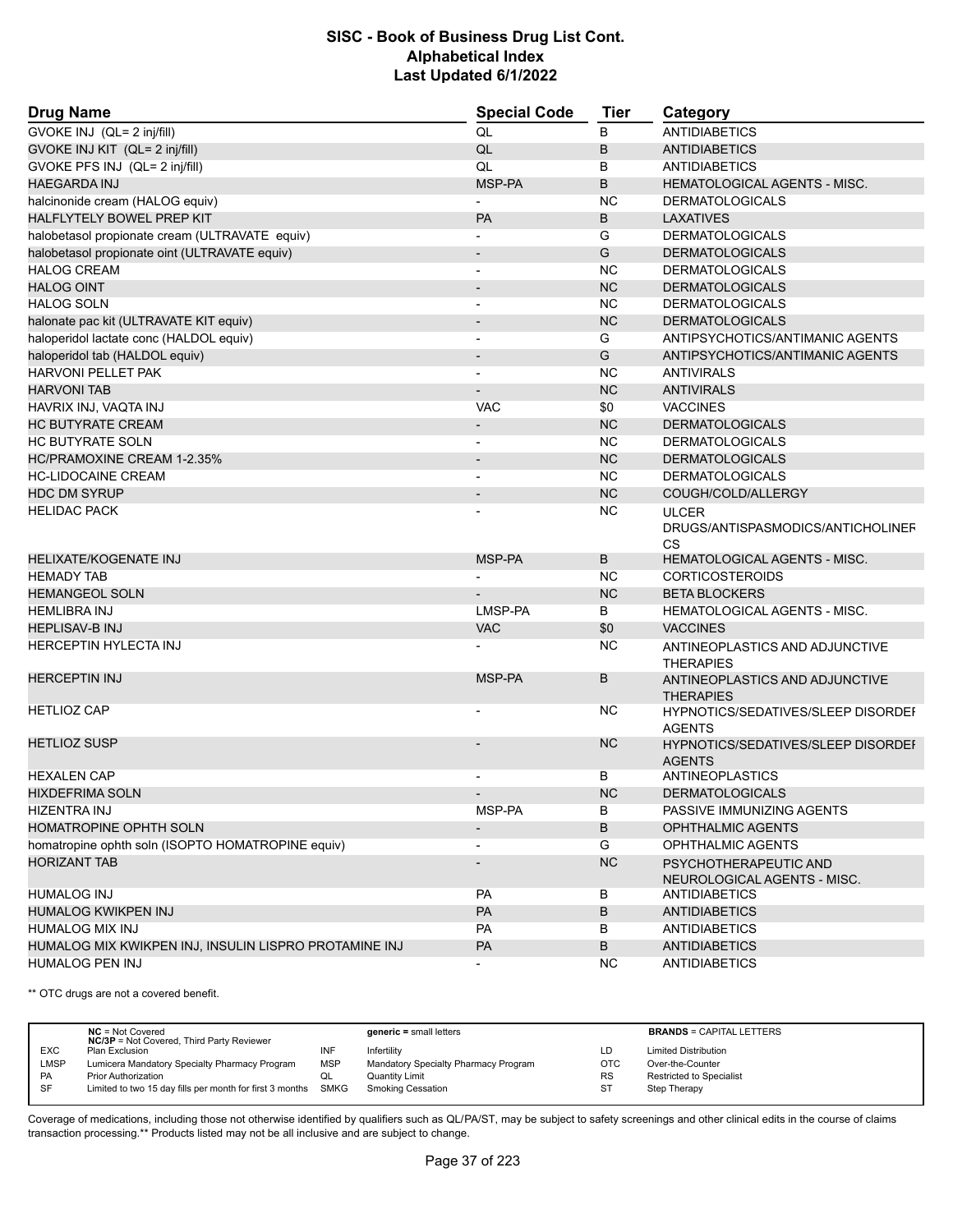| <b>Drug Name</b>                                      | <b>Special Code</b>      | <b>Tier</b> | Category                                                |
|-------------------------------------------------------|--------------------------|-------------|---------------------------------------------------------|
| GVOKE INJ (QL= 2 inj/fill)                            | QL                       | B           | <b>ANTIDIABETICS</b>                                    |
| GVOKE INJ KIT (QL= 2 inj/fill)                        | QL                       | B           | <b>ANTIDIABETICS</b>                                    |
| GVOKE PFS INJ (QL= 2 inj/fill)                        | QL                       | B           | <b>ANTIDIABETICS</b>                                    |
| <b>HAEGARDA INJ</b>                                   | MSP-PA                   | B           | <b>HEMATOLOGICAL AGENTS - MISC.</b>                     |
| halcinonide cream (HALOG equiv)                       | $\blacksquare$           | <b>NC</b>   | <b>DERMATOLOGICALS</b>                                  |
| HALFLYTELY BOWEL PREP KIT                             | PA                       | B           | LAXATIVES                                               |
| halobetasol propionate cream (ULTRAVATE equiv)        |                          | G           | <b>DERMATOLOGICALS</b>                                  |
| halobetasol propionate oint (ULTRAVATE equiv)         | $\blacksquare$           | G           | <b>DERMATOLOGICALS</b>                                  |
| <b>HALOG CREAM</b>                                    | $\overline{\phantom{a}}$ | <b>NC</b>   | <b>DERMATOLOGICALS</b>                                  |
| <b>HALOG OINT</b>                                     |                          | <b>NC</b>   | <b>DERMATOLOGICALS</b>                                  |
| <b>HALOG SOLN</b>                                     | $\blacksquare$           | <b>NC</b>   | <b>DERMATOLOGICALS</b>                                  |
| halonate pac kit (ULTRAVATE KIT equiv)                |                          | <b>NC</b>   | <b>DERMATOLOGICALS</b>                                  |
| haloperidol lactate conc (HALDOL equiv)               |                          | G           | ANTIPSYCHOTICS/ANTIMANIC AGENTS                         |
| haloperidol tab (HALDOL equiv)                        | $\blacksquare$           | G           | ANTIPSYCHOTICS/ANTIMANIC AGENTS                         |
| <b>HARVONI PELLET PAK</b>                             | $\overline{\phantom{a}}$ | <b>NC</b>   | <b>ANTIVIRALS</b>                                       |
| <b>HARVONI TAB</b>                                    |                          | <b>NC</b>   | <b>ANTIVIRALS</b>                                       |
| HAVRIX INJ, VAQTA INJ                                 | <b>VAC</b>               | \$0         | <b>VACCINES</b>                                         |
| <b>HC BUTYRATE CREAM</b>                              |                          | <b>NC</b>   | <b>DERMATOLOGICALS</b>                                  |
| <b>HC BUTYRATE SOLN</b>                               |                          | <b>NC</b>   | <b>DERMATOLOGICALS</b>                                  |
| HC/PRAMOXINE CREAM 1-2.35%                            |                          | <b>NC</b>   | <b>DERMATOLOGICALS</b>                                  |
| <b>HC-LIDOCAINE CREAM</b>                             | $\overline{\phantom{a}}$ | <b>NC</b>   | <b>DERMATOLOGICALS</b>                                  |
| <b>HDC DM SYRUP</b>                                   |                          | <b>NC</b>   | COUGH/COLD/ALLERGY                                      |
| <b>HELIDAC PACK</b>                                   |                          | <b>NC</b>   | <b>ULCER</b><br>DRUGS/ANTISPASMODICS/ANTICHOLINEF<br>CS |
| <b>HELIXATE/KOGENATE INJ</b>                          | MSP-PA                   | B           | <b>HEMATOLOGICAL AGENTS - MISC.</b>                     |
| <b>HEMADY TAB</b>                                     |                          | <b>NC</b>   | <b>CORTICOSTEROIDS</b>                                  |
| <b>HEMANGEOL SOLN</b>                                 |                          | <b>NC</b>   | <b>BETA BLOCKERS</b>                                    |
| <b>HEMLIBRA INJ</b>                                   | LMSP-PA                  | B           | HEMATOLOGICAL AGENTS - MISC.                            |
| <b>HEPLISAV-B INJ</b>                                 | <b>VAC</b>               | \$0         | <b>VACCINES</b>                                         |
| <b>HERCEPTIN HYLECTA INJ</b>                          |                          | <b>NC</b>   | ANTINEOPLASTICS AND ADJUNCTIVE<br><b>THERAPIES</b>      |
| <b>HERCEPTIN INJ</b>                                  | MSP-PA                   | B           | ANTINEOPLASTICS AND ADJUNCTIVE<br><b>THERAPIES</b>      |
| <b>HETLIOZ CAP</b>                                    |                          | <b>NC</b>   | HYPNOTICS/SEDATIVES/SLEEP DISORDEI<br><b>AGENTS</b>     |
| <b>HETLIOZ SUSP</b>                                   |                          | NC.         | HYPNOTICS/SEDATIVES/SLEEP DISORDEI<br><b>AGENTS</b>     |
| <b>HEXALEN CAP</b>                                    |                          | В           | <b>ANTINEOPLASTICS</b>                                  |
| <b>HIXDEFRIMA SOLN</b>                                |                          | <b>NC</b>   | <b>DERMATOLOGICALS</b>                                  |
| HIZENTRA INJ                                          | MSP-PA                   | В           | PASSIVE IMMUNIZING AGENTS                               |
| HOMATROPINE OPHTH SOLN                                |                          | B           | <b>OPHTHALMIC AGENTS</b>                                |
| homatropine ophth soln (ISOPTO HOMATROPINE equiv)     | $\overline{\phantom{a}}$ | G           | OPHTHALMIC AGENTS                                       |
| <b>HORIZANT TAB</b>                                   | $\overline{\phantom{a}}$ | <b>NC</b>   | PSYCHOTHERAPEUTIC AND<br>NEUROLOGICAL AGENTS - MISC.    |
| <b>HUMALOG INJ</b>                                    | PA                       | В           | ANTIDIABETICS                                           |
| <b>HUMALOG KWIKPEN INJ</b>                            | PA                       | B           | <b>ANTIDIABETICS</b>                                    |
| <b>HUMALOG MIX INJ</b>                                | PA                       | B           | <b>ANTIDIABETICS</b>                                    |
| HUMALOG MIX KWIKPEN INJ, INSULIN LISPRO PROTAMINE INJ | PA                       | B           | <b>ANTIDIABETICS</b>                                    |
| <b>HUMALOG PEN INJ</b>                                |                          | NC          | <b>ANTIDIABETICS</b>                                    |

\*\* OTC drugs are not a covered benefit.

|            | $NC = Not Covered$<br><b>NC/3P</b> = Not Covered, Third Party Reviewer |            | $generic = small letters$            |            | <b>BRANDS = CAPITAL LETTERS</b> |
|------------|------------------------------------------------------------------------|------------|--------------------------------------|------------|---------------------------------|
| <b>EXC</b> | Plan Exclusion                                                         | INF        | Infertility                          | LD         | <b>Limited Distribution</b>     |
| LMSP       | Lumicera Mandatory Specialty Pharmacy Program                          | <b>MSP</b> | Mandatory Specialty Pharmacy Program | <b>OTC</b> | Over-the-Counter                |
| <b>PA</b>  | <b>Prior Authorization</b>                                             | QL         | <b>Quantity Limit</b>                | <b>RS</b>  | Restricted to Specialist        |
| -SF        | Limited to two 15 day fills per month for first 3 months SMKG          |            | Smoking Cessation                    | <b>ST</b>  | Step Therapy                    |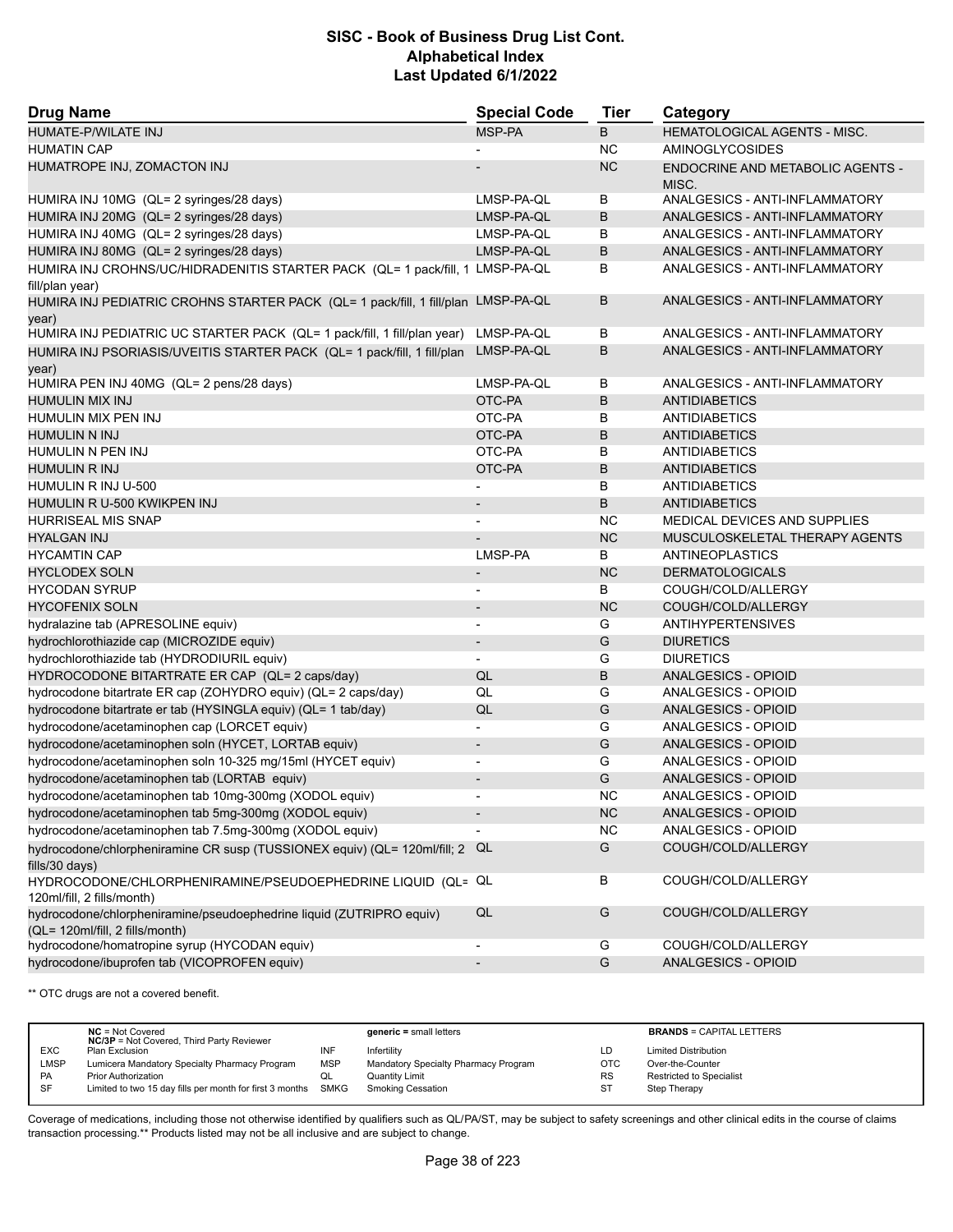| <b>Drug Name</b>                                                                                        | <b>Special Code</b>      | Tier      | Category                                         |
|---------------------------------------------------------------------------------------------------------|--------------------------|-----------|--------------------------------------------------|
| HUMATE-P/WILATE INJ                                                                                     | MSP-PA                   | B         | HEMATOLOGICAL AGENTS - MISC.                     |
| <b>HUMATIN CAP</b>                                                                                      |                          | <b>NC</b> | <b>AMINOGLYCOSIDES</b>                           |
| HUMATROPE INJ, ZOMACTON INJ                                                                             |                          | <b>NC</b> | <b>ENDOCRINE AND METABOLIC AGENTS -</b><br>MISC. |
| HUMIRA INJ 10MG (QL= 2 syringes/28 days)                                                                | LMSP-PA-QL               | В         | ANALGESICS - ANTI-INFLAMMATORY                   |
| HUMIRA INJ 20MG (QL= 2 syringes/28 days)                                                                | LMSP-PA-QL               | B         | ANALGESICS - ANTI-INFLAMMATORY                   |
| HUMIRA INJ 40MG (QL= 2 syringes/28 days)                                                                | LMSP-PA-QL               | В         | ANALGESICS - ANTI-INFLAMMATORY                   |
| HUMIRA INJ 80MG (QL= 2 syringes/28 days)                                                                | LMSP-PA-QL               | B         | ANALGESICS - ANTI-INFLAMMATORY                   |
| HUMIRA INJ CROHNS/UC/HIDRADENITIS STARTER PACK (QL= 1 pack/fill, 1 LMSP-PA-QL<br>fill/plan year)        |                          | В         | ANALGESICS - ANTI-INFLAMMATORY                   |
| HUMIRA INJ PEDIATRIC CROHNS STARTER PACK (QL= 1 pack/fill, 1 fill/plan LMSP-PA-QL<br>year)              |                          | В         | ANALGESICS - ANTI-INFLAMMATORY                   |
| HUMIRA INJ PEDIATRIC UC STARTER PACK (QL= 1 pack/fill, 1 fill/plan year)                                | LMSP-PA-QL               | В         | ANALGESICS - ANTI-INFLAMMATORY                   |
| HUMIRA INJ PSORIASIS/UVEITIS STARTER PACK (QL= 1 pack/fill, 1 fill/plan<br>year)                        | LMSP-PA-QL               | В         | ANALGESICS - ANTI-INFLAMMATORY                   |
| HUMIRA PEN INJ 40MG (QL= 2 pens/28 days)                                                                | LMSP-PA-QL               | B         | ANALGESICS - ANTI-INFLAMMATORY                   |
| HUMULIN MIX INJ                                                                                         | OTC-PA                   | B         | <b>ANTIDIABETICS</b>                             |
| HUMULIN MIX PEN INJ                                                                                     | OTC-PA                   | В         | <b>ANTIDIABETICS</b>                             |
| HUMULIN N INJ                                                                                           | OTC-PA                   | В         | <b>ANTIDIABETICS</b>                             |
| HUMULIN N PEN INJ                                                                                       | OTC-PA                   | В         | <b>ANTIDIABETICS</b>                             |
| <b>HUMULIN R INJ</b>                                                                                    | OTC-PA                   | B         | <b>ANTIDIABETICS</b>                             |
| HUMULIN R INJ U-500                                                                                     |                          | В         | ANTIDIABETICS                                    |
| HUMULIN R U-500 KWIKPEN INJ                                                                             |                          | B         | <b>ANTIDIABETICS</b>                             |
| <b>HURRISEAL MIS SNAP</b>                                                                               |                          | <b>NC</b> | MEDICAL DEVICES AND SUPPLIES                     |
| <b>HYALGAN INJ</b>                                                                                      |                          | <b>NC</b> | MUSCULOSKELETAL THERAPY AGENTS                   |
| <b>HYCAMTIN CAP</b>                                                                                     | LMSP-PA                  | В         | ANTINEOPLASTICS                                  |
| <b>HYCLODEX SOLN</b>                                                                                    |                          | <b>NC</b> | <b>DERMATOLOGICALS</b>                           |
| <b>HYCODAN SYRUP</b>                                                                                    |                          | B         | COUGH/COLD/ALLERGY                               |
| <b>HYCOFENIX SOLN</b>                                                                                   | $\overline{\phantom{a}}$ | <b>NC</b> | COUGH/COLD/ALLERGY                               |
| hydralazine tab (APRESOLINE equiv)                                                                      | $\overline{\phantom{a}}$ | G         | <b>ANTIHYPERTENSIVES</b>                         |
| hydrochlorothiazide cap (MICROZIDE equiv)                                                               |                          | G         | <b>DIURETICS</b>                                 |
| hydrochlorothiazide tab (HYDRODIURIL equiv)                                                             | $\blacksquare$           | G         | <b>DIURETICS</b>                                 |
| HYDROCODONE BITARTRATE ER CAP (QL= 2 caps/day)                                                          | QL                       | B         | ANALGESICS - OPIOID                              |
| hydrocodone bitartrate ER cap (ZOHYDRO equiv) (QL= 2 caps/day)                                          | QL                       | G         | ANALGESICS - OPIOID                              |
| hydrocodone bitartrate er tab (HYSINGLA equiv) (QL= 1 tab/day)                                          | QL                       | G         | ANALGESICS - OPIOID                              |
| hydrocodone/acetaminophen cap (LORCET equiv)                                                            |                          | G         | ANALGESICS - OPIOID                              |
| hydrocodone/acetaminophen soln (HYCET, LORTAB equiv)                                                    |                          | G         | ANALGESICS - OPIOID                              |
| hydrocodone/acetaminophen soln 10-325 mg/15ml (HYCET equiv)                                             | $\overline{\phantom{a}}$ | G         | ANALGESICS - OPIOID                              |
| hydrocodone/acetaminophen tab (LORTAB equiv)                                                            | $\overline{\phantom{a}}$ | G         | <b>ANALGESICS - OPIOID</b>                       |
| hydrocodone/acetaminophen tab 10mg-300mg (XODOL equiv)                                                  |                          | <b>NC</b> | <b>ANALGESICS - OPIOID</b>                       |
| hydrocodone/acetaminophen tab 5mg-300mg (XODOL equiv)                                                   | $\overline{\phantom{a}}$ | <b>NC</b> | ANALGESICS - OPIOID                              |
| hydrocodone/acetaminophen tab 7.5mg-300mg (XODOL equiv)                                                 |                          | <b>NC</b> | ANALGESICS - OPIOID                              |
| hydrocodone/chlorpheniramine CR susp (TUSSIONEX equiv) (QL= 120ml/fill; 2 QL<br>fills/30 days)          |                          | G         | COUGH/COLD/ALLERGY                               |
| HYDROCODONE/CHLORPHENIRAMINE/PSEUDOEPHEDRINE LIQUID (QL= QL<br>120ml/fill, 2 fills/month)               |                          | В         | COUGH/COLD/ALLERGY                               |
| hydrocodone/chlorpheniramine/pseudoephedrine liquid (ZUTRIPRO equiv)<br>(QL= 120ml/fill, 2 fills/month) | QL                       | G         | COUGH/COLD/ALLERGY                               |
| hydrocodone/homatropine syrup (HYCODAN equiv)                                                           |                          | G         | COUGH/COLD/ALLERGY                               |
| hydrocodone/ibuprofen tab (VICOPROFEN equiv)                                                            |                          | G         | ANALGESICS - OPIOID                              |

\*\* OTC drugs are not a covered benefit.

|            | $NC = Not Covered$<br><b>NC/3P</b> = Not Covered, Third Party Reviewer |            | $generic = small letters$            |            | <b>BRANDS = CAPITAL LETTERS</b> |
|------------|------------------------------------------------------------------------|------------|--------------------------------------|------------|---------------------------------|
| <b>EXC</b> | Plan Exclusion                                                         | INF        | Infertility                          | LD         | <b>Limited Distribution</b>     |
| LMSP       | Lumicera Mandatory Specialty Pharmacy Program                          | <b>MSP</b> | Mandatory Specialty Pharmacy Program | <b>OTC</b> | Over-the-Counter                |
| <b>PA</b>  | <b>Prior Authorization</b>                                             | QL         | <b>Quantity Limit</b>                | <b>RS</b>  | Restricted to Specialist        |
| -SF        | Limited to two 15 day fills per month for first 3 months SMKG          |            | <b>Smoking Cessation</b>             | <b>ST</b>  | Step Therapy                    |
|            |                                                                        |            |                                      |            |                                 |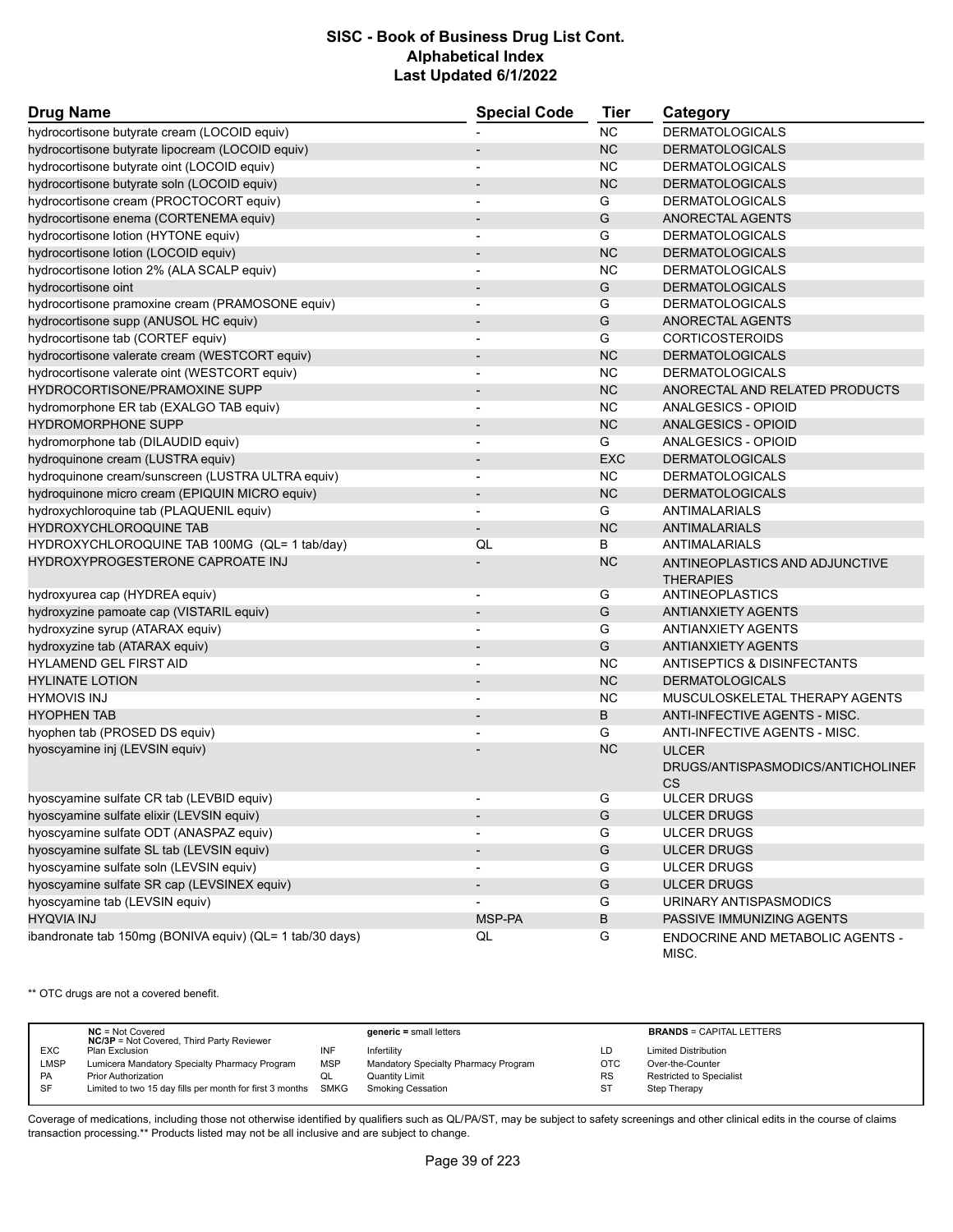| <b>Drug Name</b>                                         | <b>Special Code</b>      | Tier          | Category                                |
|----------------------------------------------------------|--------------------------|---------------|-----------------------------------------|
| hydrocortisone butyrate cream (LOCOID equiv)             |                          | <b>NC</b>     | <b>DERMATOLOGICALS</b>                  |
| hydrocortisone butyrate lipocream (LOCOID equiv)         |                          | <b>NC</b>     | <b>DERMATOLOGICALS</b>                  |
| hydrocortisone butyrate oint (LOCOID equiv)              |                          | <b>NC</b>     | <b>DERMATOLOGICALS</b>                  |
| hydrocortisone butyrate soln (LOCOID equiv)              |                          | <b>NC</b>     | <b>DERMATOLOGICALS</b>                  |
| hydrocortisone cream (PROCTOCORT equiv)                  | $\blacksquare$           | G             | <b>DERMATOLOGICALS</b>                  |
| hydrocortisone enema (CORTENEMA equiv)                   |                          | G             | ANORECTAL AGENTS                        |
| hydrocortisone lotion (HYTONE equiv)                     |                          | G             | <b>DERMATOLOGICALS</b>                  |
| hydrocortisone lotion (LOCOID equiv)                     |                          | <b>NC</b>     | <b>DERMATOLOGICALS</b>                  |
| hydrocortisone lotion 2% (ALA SCALP equiv)               | $\blacksquare$           | <b>NC</b>     | <b>DERMATOLOGICALS</b>                  |
| hydrocortisone oint                                      |                          | ${\mathsf G}$ | <b>DERMATOLOGICALS</b>                  |
| hydrocortisone pramoxine cream (PRAMOSONE equiv)         | $\blacksquare$           | G             | <b>DERMATOLOGICALS</b>                  |
| hydrocortisone supp (ANUSOL HC equiv)                    |                          | G             | ANORECTAL AGENTS                        |
| hydrocortisone tab (CORTEF equiv)                        |                          | G             | <b>CORTICOSTEROIDS</b>                  |
| hydrocortisone valerate cream (WESTCORT equiv)           |                          | <b>NC</b>     | <b>DERMATOLOGICALS</b>                  |
| hydrocortisone valerate oint (WESTCORT equiv)            | $\overline{a}$           | <b>NC</b>     | <b>DERMATOLOGICALS</b>                  |
| HYDROCORTISONE/PRAMOXINE SUPP                            |                          | <b>NC</b>     | ANORECTAL AND RELATED PRODUCTS          |
| hydromorphone ER tab (EXALGO TAB equiv)                  | $\blacksquare$           | <b>NC</b>     | ANALGESICS - OPIOID                     |
| <b>HYDROMORPHONE SUPP</b>                                |                          | <b>NC</b>     | <b>ANALGESICS - OPIOID</b>              |
| hydromorphone tab (DILAUDID equiv)                       |                          | G             | ANALGESICS - OPIOID                     |
| hydroquinone cream (LUSTRA equiv)                        |                          | <b>EXC</b>    | <b>DERMATOLOGICALS</b>                  |
| hydroquinone cream/sunscreen (LUSTRA ULTRA equiv)        | $\overline{a}$           | <b>NC</b>     | <b>DERMATOLOGICALS</b>                  |
| hydroquinone micro cream (EPIQUIN MICRO equiv)           |                          | <b>NC</b>     | <b>DERMATOLOGICALS</b>                  |
| hydroxychloroquine tab (PLAQUENIL equiv)                 | $\blacksquare$           | G             | <b>ANTIMALARIALS</b>                    |
| HYDROXYCHLOROQUINE TAB                                   |                          | <b>NC</b>     | <b>ANTIMALARIALS</b>                    |
| HYDROXYCHLOROQUINE TAB 100MG (QL= 1 tab/day)             | QL                       | B             | ANTIMALARIALS                           |
| <b>HYDROXYPROGESTERONE CAPROATE INJ</b>                  |                          | <b>NC</b>     | ANTINEOPLASTICS AND ADJUNCTIVE          |
|                                                          |                          |               | <b>THERAPIES</b>                        |
| hydroxyurea cap (HYDREA equiv)                           | $\overline{\phantom{a}}$ | G             | ANTINEOPLASTICS                         |
| hydroxyzine pamoate cap (VISTARIL equiv)                 | $\overline{a}$           | G             | <b>ANTIANXIETY AGENTS</b>               |
| hydroxyzine syrup (ATARAX equiv)                         |                          | G             | <b>ANTIANXIETY AGENTS</b>               |
| hydroxyzine tab (ATARAX equiv)                           |                          | G             | <b>ANTIANXIETY AGENTS</b>               |
| HYLAMEND GEL FIRST AID                                   | L,                       | <b>NC</b>     | ANTISEPTICS & DISINFECTANTS             |
| <b>HYLINATE LOTION</b>                                   |                          | <b>NC</b>     | <b>DERMATOLOGICALS</b>                  |
| <b>HYMOVIS INJ</b>                                       |                          | <b>NC</b>     | MUSCULOSKELETAL THERAPY AGENTS          |
| <b>HYOPHEN TAB</b>                                       |                          | B             | ANTI-INFECTIVE AGENTS - MISC.           |
| hyophen tab (PROSED DS equiv)                            |                          | G             | ANTI-INFECTIVE AGENTS - MISC.           |
| hyoscyamine inj (LEVSIN equiv)                           |                          | <b>NC</b>     | <b>ULCER</b>                            |
|                                                          |                          |               | DRUGS/ANTISPASMODICS/ANTICHOLINEF       |
|                                                          |                          |               | CS                                      |
| hyoscyamine sulfate CR tab (LEVBID equiv)                |                          | G             | <b>ULCER DRUGS</b>                      |
| hyoscyamine sulfate elixir (LEVSIN equiv)                |                          | G             | <b>ULCER DRUGS</b>                      |
| hyoscyamine sulfate ODT (ANASPAZ equiv)                  |                          | G             | <b>ULCER DRUGS</b>                      |
| hyoscyamine sulfate SL tab (LEVSIN equiv)                | $\overline{\phantom{a}}$ | ${\mathsf G}$ | <b>ULCER DRUGS</b>                      |
| hyoscyamine sulfate soln (LEVSIN equiv)                  | $\overline{\phantom{a}}$ | G             | <b>ULCER DRUGS</b>                      |
| hyoscyamine sulfate SR cap (LEVSINEX equiv)              |                          | G             | <b>ULCER DRUGS</b>                      |
| hyoscyamine tab (LEVSIN equiv)                           |                          | G             | URINARY ANTISPASMODICS                  |
| <b>HYQVIA INJ</b>                                        | MSP-PA                   | B             | PASSIVE IMMUNIZING AGENTS               |
| ibandronate tab 150mg (BONIVA equiv) (QL= 1 tab/30 days) | QL                       | G             | <b>ENDOCRINE AND METABOLIC AGENTS -</b> |
|                                                          |                          |               | MISC.                                   |

\*\* OTC drugs are not a covered benefit.

|            | $NC = Not Covered$<br><b>NC/3P</b> = Not Covered, Third Party Reviewer |            | $generic = small letters$            |            | <b>BRANDS = CAPITAL LETTERS</b> |
|------------|------------------------------------------------------------------------|------------|--------------------------------------|------------|---------------------------------|
| <b>EXC</b> | Plan Exclusion                                                         | INF        | Infertility                          | LD         | <b>Limited Distribution</b>     |
| LMSP       | Lumicera Mandatory Specialty Pharmacy Program                          | <b>MSP</b> | Mandatory Specialty Pharmacy Program | <b>OTC</b> | Over-the-Counter                |
| <b>PA</b>  | <b>Prior Authorization</b>                                             | QL         | Quantity Limit                       | <b>RS</b>  | <b>Restricted to Specialist</b> |
| SF         | Limited to two 15 day fills per month for first 3 months SMKG          |            | <b>Smoking Cessation</b>             | ST         | Step Therapy                    |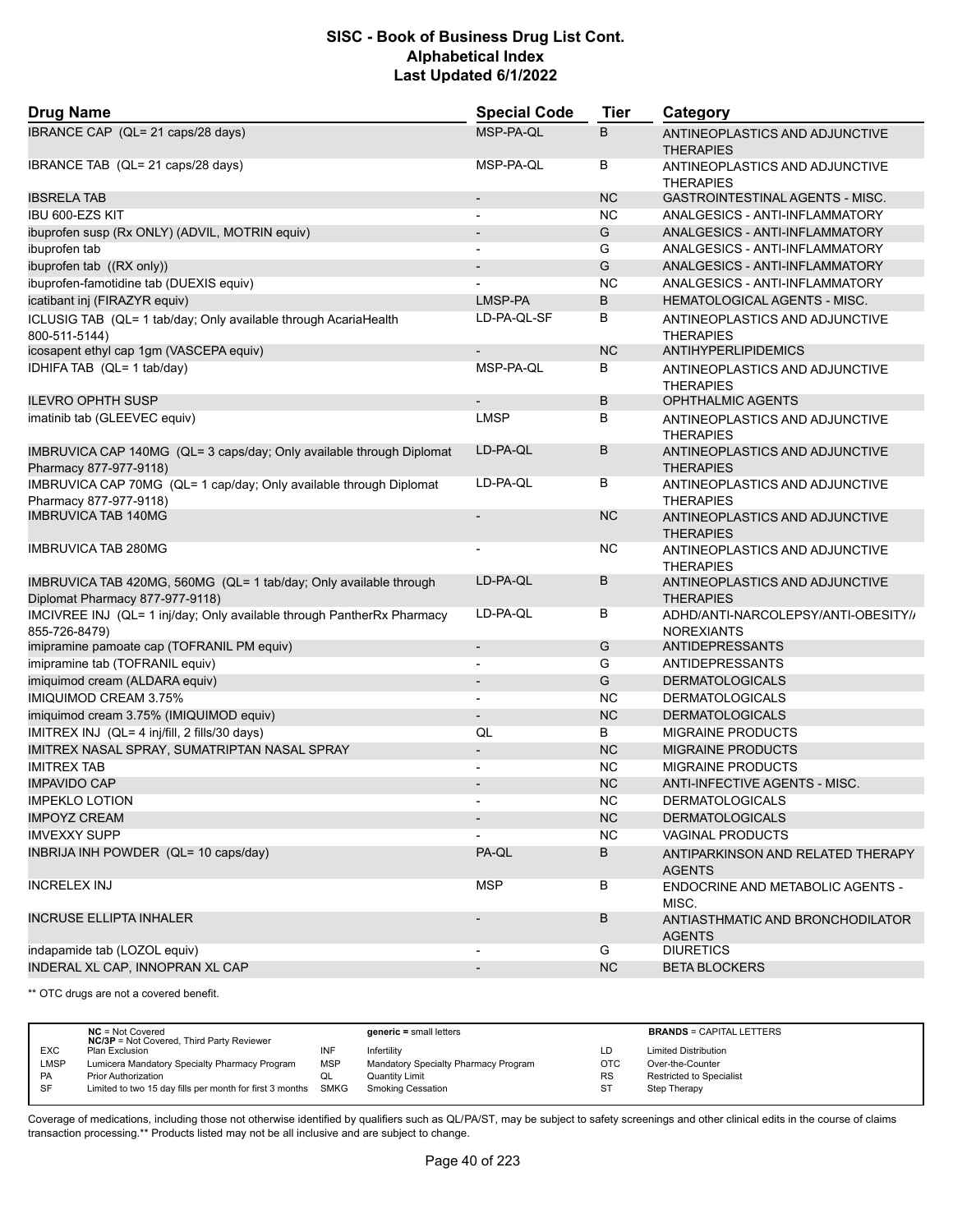| <b>Drug Name</b>                                                                                     | <b>Special Code</b>      | <b>Tier</b> | Category                                                 |
|------------------------------------------------------------------------------------------------------|--------------------------|-------------|----------------------------------------------------------|
| IBRANCE CAP (QL= 21 caps/28 days)                                                                    | MSP-PA-QL                | B           | ANTINEOPLASTICS AND ADJUNCTIVE<br><b>THERAPIES</b>       |
| IBRANCE TAB (QL= 21 caps/28 days)                                                                    | MSP-PA-QL                | В           | ANTINEOPLASTICS AND ADJUNCTIVE<br><b>THERAPIES</b>       |
| <b>IBSRELA TAB</b>                                                                                   | $\overline{\phantom{m}}$ | <b>NC</b>   | GASTROINTESTINAL AGENTS - MISC.                          |
| IBU 600-EZS KIT                                                                                      | $\overline{\phantom{a}}$ | <b>NC</b>   | ANALGESICS - ANTI-INFLAMMATORY                           |
| ibuprofen susp (Rx ONLY) (ADVIL, MOTRIN equiv)                                                       |                          | G           | ANALGESICS - ANTI-INFLAMMATORY                           |
| ibuprofen tab                                                                                        | $\blacksquare$           | G           | ANALGESICS - ANTI-INFLAMMATORY                           |
| ibuprofen tab ((RX only))                                                                            | $\overline{\phantom{m}}$ | G           | ANALGESICS - ANTI-INFLAMMATORY                           |
| ibuprofen-famotidine tab (DUEXIS equiv)                                                              |                          | <b>NC</b>   | ANALGESICS - ANTI-INFLAMMATORY                           |
| icatibant inj (FIRAZYR equiv)                                                                        | LMSP-PA                  | B           | HEMATOLOGICAL AGENTS - MISC.                             |
| ICLUSIG TAB (QL= 1 tab/day; Only available through AcariaHealth<br>800-511-5144)                     | LD-PA-QL-SF              | В           | ANTINEOPLASTICS AND ADJUNCTIVE<br>THERAPIES              |
| icosapent ethyl cap 1gm (VASCEPA equiv)                                                              | $\overline{a}$           | <b>NC</b>   | ANTIHYPERLIPIDEMICS                                      |
| IDHIFA TAB (QL= 1 tab/day)                                                                           | MSP-PA-QL                | В           | ANTINEOPLASTICS AND ADJUNCTIVE<br><b>THERAPIES</b>       |
| <b>ILEVRO OPHTH SUSP</b>                                                                             |                          | В           | <b>OPHTHALMIC AGENTS</b>                                 |
| imatinib tab (GLEEVEC equiv)                                                                         | <b>LMSP</b>              | В           | ANTINEOPLASTICS AND ADJUNCTIVE<br>THERAPIES              |
| IMBRUVICA CAP 140MG (QL= 3 caps/day; Only available through Diplomat<br>Pharmacy 877-977-9118)       | LD-PA-QL                 | B           | ANTINEOPLASTICS AND ADJUNCTIVE<br><b>THERAPIES</b>       |
| IMBRUVICA CAP 70MG (QL= 1 cap/day; Only available through Diplomat<br>Pharmacy 877-977-9118)         | LD-PA-QL                 | В           | ANTINEOPLASTICS AND ADJUNCTIVE<br><b>THERAPIES</b>       |
| <b>IMBRUVICA TAB 140MG</b>                                                                           | $\overline{\phantom{m}}$ | <b>NC</b>   | ANTINEOPLASTICS AND ADJUNCTIVE<br><b>THERAPIES</b>       |
| <b>IMBRUVICA TAB 280MG</b>                                                                           | $\overline{\phantom{a}}$ | ΝC          | ANTINEOPLASTICS AND ADJUNCTIVE<br><b>THERAPIES</b>       |
| IMBRUVICA TAB 420MG, 560MG (QL= 1 tab/day; Only available through<br>Diplomat Pharmacy 877-977-9118) | LD-PA-QL                 | В           | ANTINEOPLASTICS AND ADJUNCTIVE<br><b>THERAPIES</b>       |
| IMCIVREE INJ (QL= 1 inj/day; Only available through PantherRx Pharmacy<br>855-726-8479)              | LD-PA-QL                 | В           | ADHD/ANTI-NARCOLEPSY/ANTI-OBESITY//<br><b>NOREXIANTS</b> |
| imipramine pamoate cap (TOFRANIL PM equiv)                                                           | $\overline{\phantom{a}}$ | G           | ANTIDEPRESSANTS                                          |
| imipramine tab (TOFRANIL equiv)                                                                      | $\overline{\phantom{0}}$ | G           | ANTIDEPRESSANTS                                          |
| imiquimod cream (ALDARA equiv)                                                                       | $\overline{\phantom{0}}$ | G           | <b>DERMATOLOGICALS</b>                                   |
| IMIQUIMOD CREAM 3.75%                                                                                | $\blacksquare$           | ΝC          | <b>DERMATOLOGICALS</b>                                   |
| imiquimod cream 3.75% (IMIQUIMOD equiv)                                                              | $\overline{a}$           | <b>NC</b>   | <b>DERMATOLOGICALS</b>                                   |
| IMITREX INJ (QL= 4 inj/fill, 2 fills/30 days)                                                        | QL                       | В           | MIGRAINE PRODUCTS                                        |
| IMITREX NASAL SPRAY, SUMATRIPTAN NASAL SPRAY                                                         | $\overline{\phantom{a}}$ | <b>NC</b>   | <b>MIGRAINE PRODUCTS</b>                                 |
| <b>IMITREX TAB</b>                                                                                   | $\overline{\phantom{0}}$ | ΝC          | <b>MIGRAINE PRODUCTS</b>                                 |
| <b>IMPAVIDO CAP</b>                                                                                  |                          | <b>NC</b>   | ANTI-INFECTIVE AGENTS - MISC.                            |
| <b>IMPEKLO LOTION</b>                                                                                |                          | <b>NC</b>   | <b>DERMATOLOGICALS</b>                                   |
| <b>IMPOYZ CREAM</b>                                                                                  | $\overline{\phantom{a}}$ | NC          | <b>DERMATOLOGICALS</b>                                   |
| <b>IMVEXXY SUPP</b>                                                                                  |                          | <b>NC</b>   | <b>VAGINAL PRODUCTS</b>                                  |
| INBRIJA INH POWDER (QL= 10 caps/day)                                                                 | PA-QL                    | В           | ANTIPARKINSON AND RELATED THERAPY<br><b>AGENTS</b>       |
| <b>INCRELEX INJ</b>                                                                                  | <b>MSP</b>               | В           | ENDOCRINE AND METABOLIC AGENTS -<br>MISC.                |
| <b>INCRUSE ELLIPTA INHALER</b>                                                                       |                          | В           | ANTIASTHMATIC AND BRONCHODILATOR<br><b>AGENTS</b>        |
| indapamide tab (LOZOL equiv)                                                                         |                          | G           | <b>DIURETICS</b>                                         |
| INDERAL XL CAP, INNOPRAN XL CAP                                                                      | $\overline{\phantom{a}}$ | <b>NC</b>   | <b>BETA BLOCKERS</b>                                     |

\*\* OTC drugs are not a covered benefit.

|            | $NC = Not Covered$<br><b>NC/3P</b> = Not Covered, Third Party Reviewer |            | $generic = small letters$            |            | <b>BRANDS = CAPITAL LETTERS</b> |
|------------|------------------------------------------------------------------------|------------|--------------------------------------|------------|---------------------------------|
| <b>EXC</b> | Plan Exclusion                                                         | INF        | Infertility                          | LD         | <b>Limited Distribution</b>     |
| LMSP       | Lumicera Mandatory Specialty Pharmacy Program                          | <b>MSP</b> | Mandatory Specialty Pharmacy Program | <b>OTC</b> | Over-the-Counter                |
| PA         | <b>Prior Authorization</b>                                             | QL         | <b>Quantity Limit</b>                | <b>RS</b>  | Restricted to Specialist        |
| SF         | Limited to two 15 day fills per month for first 3 months SMKG          |            | <b>Smoking Cessation</b>             | ST         | Step Therapy                    |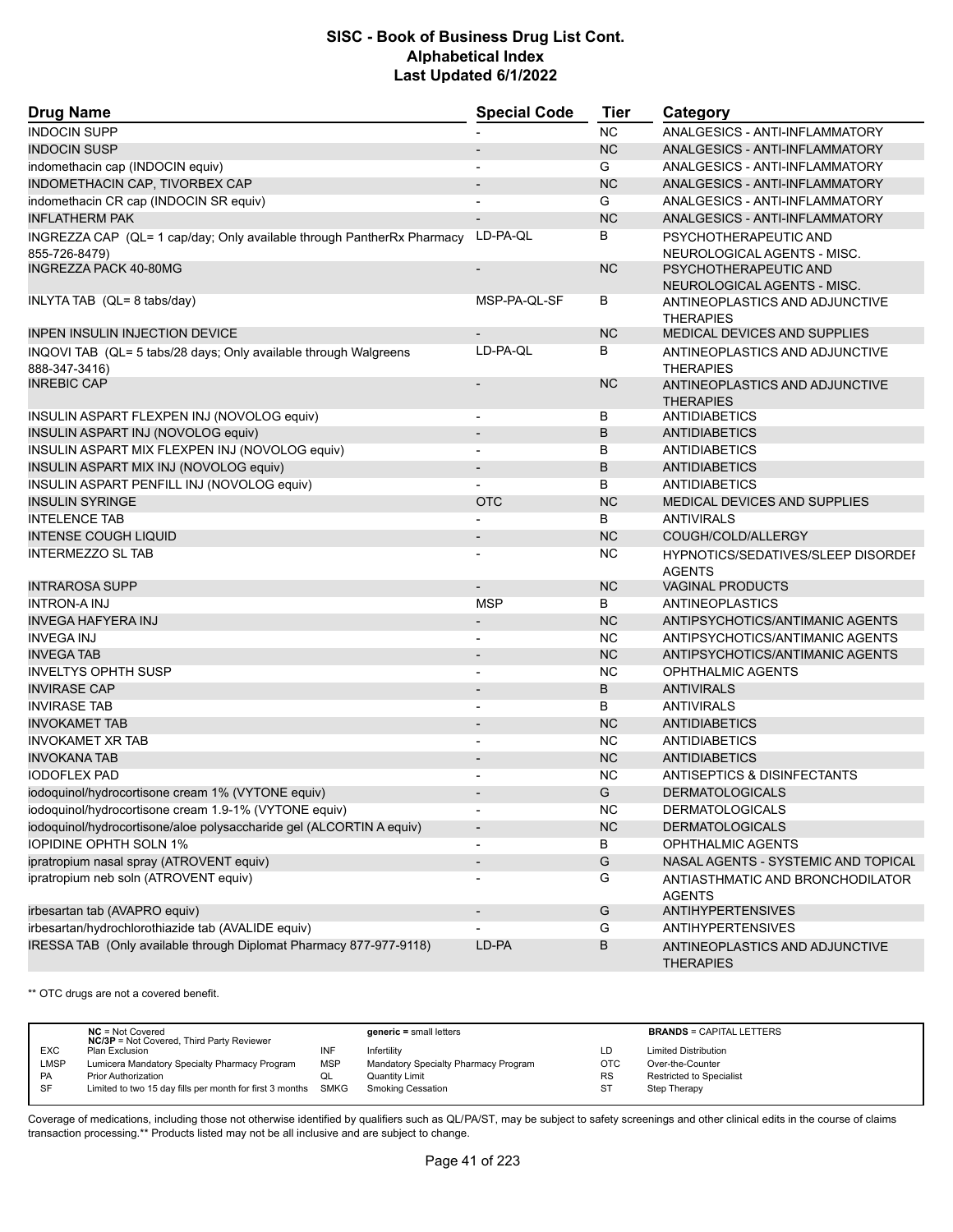| <b>Drug Name</b>                                                                        | <b>Special Code</b>      | <b>Tier</b>   | Category                                             |
|-----------------------------------------------------------------------------------------|--------------------------|---------------|------------------------------------------------------|
| <b>INDOCIN SUPP</b>                                                                     |                          | <b>NC</b>     | ANALGESICS - ANTI-INFLAMMATORY                       |
| <b>INDOCIN SUSP</b>                                                                     |                          | <b>NC</b>     | ANALGESICS - ANTI-INFLAMMATORY                       |
| indomethacin cap (INDOCIN equiv)                                                        | $\blacksquare$           | G             | ANALGESICS - ANTI-INFLAMMATORY                       |
| INDOMETHACIN CAP, TIVORBEX CAP                                                          | $\overline{\phantom{0}}$ | <b>NC</b>     | ANALGESICS - ANTI-INFLAMMATORY                       |
| indomethacin CR cap (INDOCIN SR equiv)                                                  | $\overline{\phantom{a}}$ | G             | ANALGESICS - ANTI-INFLAMMATORY                       |
| <b>INFLATHERM PAK</b>                                                                   | $\overline{a}$           | <b>NC</b>     | ANALGESICS - ANTI-INFLAMMATORY                       |
| INGREZZA CAP (QL= 1 cap/day; Only available through PantherRx Pharmacy<br>855-726-8479) | LD-PA-QL                 | В             | PSYCHOTHERAPEUTIC AND<br>NEUROLOGICAL AGENTS - MISC. |
| <b>INGREZZA PACK 40-80MG</b>                                                            | $\overline{\phantom{a}}$ | <b>NC</b>     | PSYCHOTHERAPEUTIC AND<br>NEUROLOGICAL AGENTS - MISC. |
| INLYTA TAB (QL= 8 tabs/day)                                                             | MSP-PA-QL-SF             | В             | ANTINEOPLASTICS AND ADJUNCTIVE<br><b>THERAPIES</b>   |
| <b>INPEN INSULIN INJECTION DEVICE</b>                                                   |                          | <b>NC</b>     | <b>MEDICAL DEVICES AND SUPPLIES</b>                  |
| INQOVI TAB (QL= 5 tabs/28 days; Only available through Walgreens                        | LD-PA-QL                 | В             | ANTINEOPLASTICS AND ADJUNCTIVE                       |
| 888-347-3416)                                                                           |                          |               | <b>THERAPIES</b>                                     |
| <b>INREBIC CAP</b>                                                                      | $\overline{a}$           | <b>NC</b>     | ANTINEOPLASTICS AND ADJUNCTIVE                       |
|                                                                                         |                          |               | <b>THERAPIES</b>                                     |
| INSULIN ASPART FLEXPEN INJ (NOVOLOG equiv)                                              | $\overline{\phantom{a}}$ | В             | <b>ANTIDIABETICS</b>                                 |
| INSULIN ASPART INJ (NOVOLOG equiv)                                                      | $\overline{\phantom{a}}$ | B             | <b>ANTIDIABETICS</b>                                 |
| INSULIN ASPART MIX FLEXPEN INJ (NOVOLOG equiv)                                          |                          | В             | ANTIDIABETICS                                        |
| INSULIN ASPART MIX INJ (NOVOLOG equiv)                                                  | $\overline{\phantom{a}}$ | B             | <b>ANTIDIABETICS</b>                                 |
| INSULIN ASPART PENFILL INJ (NOVOLOG equiv)                                              |                          | В             | <b>ANTIDIABETICS</b>                                 |
| <b>INSULIN SYRINGE</b>                                                                  | <b>OTC</b>               | <b>NC</b>     | MEDICAL DEVICES AND SUPPLIES                         |
| <b>INTELENCE TAB</b>                                                                    | $\overline{a}$           | B             | <b>ANTIVIRALS</b>                                    |
| <b>INTENSE COUGH LIQUID</b>                                                             | $\overline{\phantom{a}}$ | <b>NC</b>     | COUGH/COLD/ALLERGY                                   |
| <b>INTERMEZZO SL TAB</b>                                                                |                          | ΝC            | HYPNOTICS/SEDATIVES/SLEEP DISORDEI<br><b>AGENTS</b>  |
| <b>INTRAROSA SUPP</b>                                                                   |                          | <b>NC</b>     | <b>VAGINAL PRODUCTS</b>                              |
| <b>INTRON-A INJ</b>                                                                     | <b>MSP</b>               | В             | ANTINEOPLASTICS                                      |
| <b>INVEGA HAFYERA INJ</b>                                                               |                          | <b>NC</b>     | ANTIPSYCHOTICS/ANTIMANIC AGENTS                      |
| <b>INVEGA INJ</b>                                                                       |                          | <b>NC</b>     | ANTIPSYCHOTICS/ANTIMANIC AGENTS                      |
| <b>INVEGATAB</b>                                                                        | $\overline{\phantom{a}}$ | <b>NC</b>     | ANTIPSYCHOTICS/ANTIMANIC AGENTS                      |
| <b>INVELTYS OPHTH SUSP</b>                                                              | $\overline{a}$           | <b>NC</b>     | <b>OPHTHALMIC AGENTS</b>                             |
| <b>INVIRASE CAP</b>                                                                     |                          | B             | <b>ANTIVIRALS</b>                                    |
| <b>INVIRASE TAB</b>                                                                     | $\overline{\phantom{a}}$ | В             | <b>ANTIVIRALS</b>                                    |
| <b>INVOKAMET TAB</b>                                                                    |                          | <b>NC</b>     | <b>ANTIDIABETICS</b>                                 |
| <b>INVOKAMET XR TAB</b>                                                                 |                          | <b>NC</b>     | <b>ANTIDIABETICS</b>                                 |
| <b>INVOKANA TAB</b>                                                                     | $\overline{\phantom{m}}$ | <b>NC</b>     | <b>ANTIDIABETICS</b>                                 |
| <b>IODOFLEX PAD</b>                                                                     | ٠                        | <b>NC</b>     | <b>ANTISEPTICS &amp; DISINFECTANTS</b>               |
| iodoquinol/hydrocortisone cream 1% (VYTONE equiv)                                       |                          | G             | <b>DERMATOLOGICALS</b>                               |
| iodoquinol/hydrocortisone cream 1.9-1% (VYTONE equiv)                                   | $\overline{\phantom{a}}$ | <b>NC</b>     | <b>DERMATOLOGICALS</b>                               |
| iodoquinol/hydrocortisone/aloe polysaccharide gel (ALCORTIN A equiv)                    | $\overline{\phantom{a}}$ | <b>NC</b>     | <b>DERMATOLOGICALS</b>                               |
| <b>IOPIDINE OPHTH SOLN 1%</b>                                                           | $\overline{\phantom{a}}$ | В             | <b>OPHTHALMIC AGENTS</b>                             |
| ipratropium nasal spray (ATROVENT equiv)                                                | $\overline{\phantom{a}}$ | G             | NASAL AGENTS - SYSTEMIC AND TOPICAL                  |
| ipratropium neb soln (ATROVENT equiv)                                                   | $\overline{a}$           | G             | ANTIASTHMATIC AND BRONCHODILATOR<br><b>AGENTS</b>    |
| irbesartan tab (AVAPRO equiv)                                                           | $\overline{\phantom{a}}$ | ${\mathsf G}$ | <b>ANTIHYPERTENSIVES</b>                             |
| irbesartan/hydrochlorothiazide tab (AVALIDE equiv)                                      |                          | G             | <b>ANTIHYPERTENSIVES</b>                             |
| IRESSA TAB (Only available through Diplomat Pharmacy 877-977-9118)                      | LD-PA                    | В             | ANTINEOPLASTICS AND ADJUNCTIVE<br><b>THERAPIES</b>   |

\*\* OTC drugs are not a covered benefit.

|             | $NC = Not Covered$<br><b>NC/3P</b> = Not Covered, Third Party Reviewer |            | $generic = small letters$            |           | <b>BRANDS = CAPITAL LETTERS</b> |
|-------------|------------------------------------------------------------------------|------------|--------------------------------------|-----------|---------------------------------|
| <b>EXC</b>  | Plan Exclusion                                                         |            | Infertility                          | LD        | <b>Limited Distribution</b>     |
| <b>LMSP</b> | Lumicera Mandatory Specialty Pharmacy Program                          | <b>MSP</b> | Mandatory Specialty Pharmacy Program | OTC       | Over-the-Counter                |
| <b>PA</b>   | <b>Prior Authorization</b>                                             | QL         | <b>Quantity Limit</b>                | <b>RS</b> | <b>Restricted to Specialist</b> |
| -SF         | Limited to two 15 day fills per month for first 3 months SMKG          |            | <b>Smoking Cessation</b>             | <b>ST</b> | Step Therapy                    |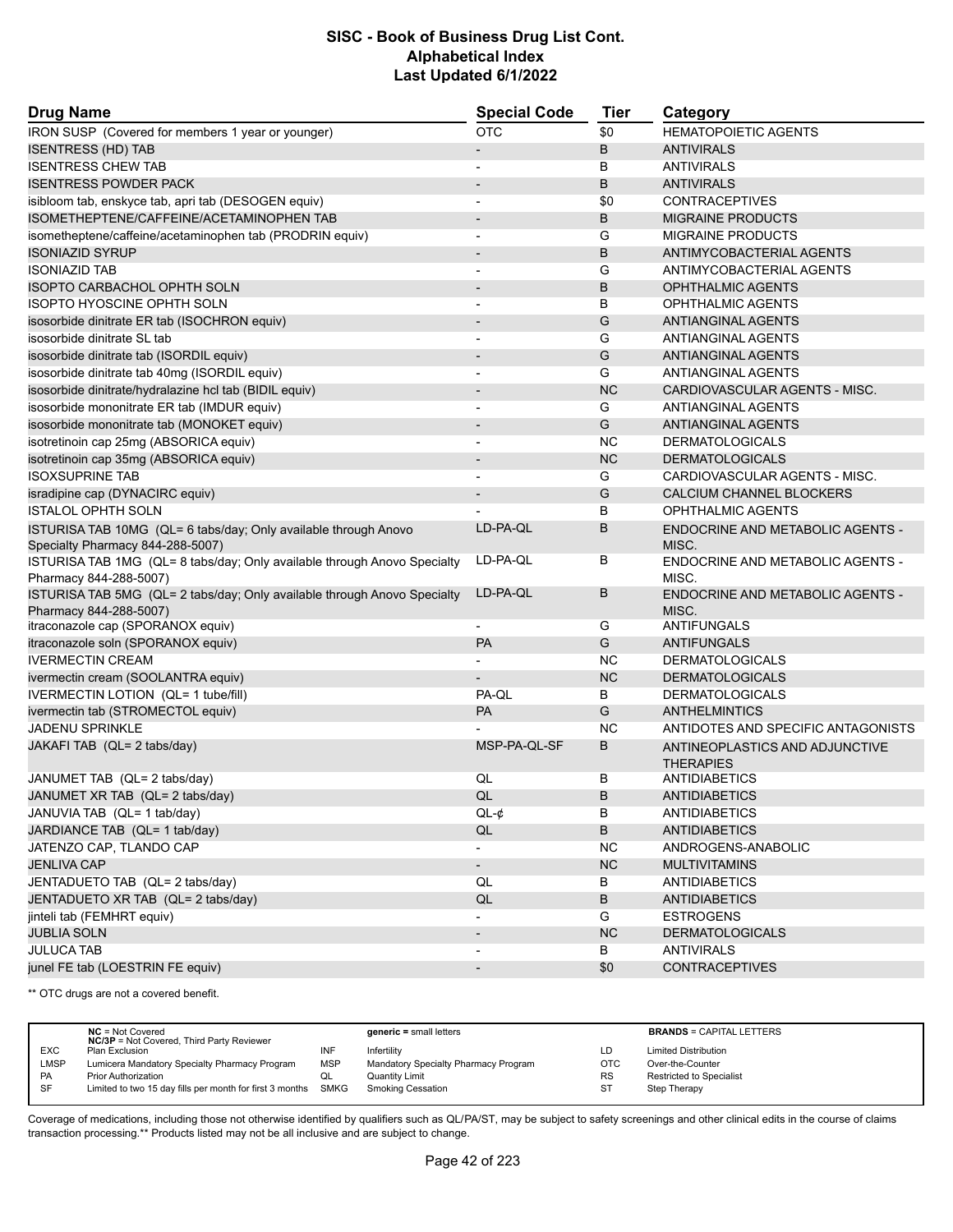| <b>Drug Name</b>                                                                                    | <b>Special Code</b>      | Tier      | Category                                           |
|-----------------------------------------------------------------------------------------------------|--------------------------|-----------|----------------------------------------------------|
| IRON SUSP (Covered for members 1 year or younger)                                                   | <b>OTC</b>               | \$0       | <b>HEMATOPOIETIC AGENTS</b>                        |
| <b>ISENTRESS (HD) TAB</b>                                                                           | $\overline{\phantom{a}}$ | B         | <b>ANTIVIRALS</b>                                  |
| <b>ISENTRESS CHEW TAB</b>                                                                           |                          | B         | <b>ANTIVIRALS</b>                                  |
| <b>ISENTRESS POWDER PACK</b>                                                                        |                          | B         | <b>ANTIVIRALS</b>                                  |
| isibloom tab, enskyce tab, apri tab (DESOGEN equiv)                                                 | $\blacksquare$           | \$0       | <b>CONTRACEPTIVES</b>                              |
| ISOMETHEPTENE/CAFFEINE/ACETAMINOPHEN TAB                                                            | $\overline{\phantom{a}}$ | В         | <b>MIGRAINE PRODUCTS</b>                           |
| isometheptene/caffeine/acetaminophen tab (PRODRIN equiv)                                            | $\overline{\phantom{a}}$ | G         | <b>MIGRAINE PRODUCTS</b>                           |
| ISONIAZID SYRUP                                                                                     | $\blacksquare$           | B         | ANTIMYCOBACTERIAL AGENTS                           |
| <b>ISONIAZID TAB</b>                                                                                | $\overline{\phantom{a}}$ | G         | ANTIMYCOBACTERIAL AGENTS                           |
| <b>ISOPTO CARBACHOL OPHTH SOLN</b>                                                                  |                          | B         | <b>OPHTHALMIC AGENTS</b>                           |
| ISOPTO HYOSCINE OPHTH SOLN                                                                          | $\blacksquare$           | B         | <b>OPHTHALMIC AGENTS</b>                           |
| isosorbide dinitrate ER tab (ISOCHRON equiv)                                                        | $\overline{\phantom{a}}$ | G         | <b>ANTIANGINAL AGENTS</b>                          |
| isosorbide dinitrate SL tab                                                                         |                          | G         | ANTIANGINAL AGENTS                                 |
| isosorbide dinitrate tab (ISORDIL equiv)                                                            | $\blacksquare$           | G         | <b>ANTIANGINAL AGENTS</b>                          |
| isosorbide dinitrate tab 40mg (ISORDIL equiv)                                                       |                          | G         | ANTIANGINAL AGENTS                                 |
| isosorbide dinitrate/hydralazine hcl tab (BIDIL equiv)                                              |                          | <b>NC</b> | CARDIOVASCULAR AGENTS - MISC.                      |
| isosorbide mononitrate ER tab (IMDUR equiv)                                                         | $\blacksquare$           | G         | ANTIANGINAL AGENTS                                 |
| isosorbide mononitrate tab (MONOKET equiv)                                                          |                          | G         | <b>ANTIANGINAL AGENTS</b>                          |
| isotretinoin cap 25mg (ABSORICA equiv)                                                              |                          | <b>NC</b> | <b>DERMATOLOGICALS</b>                             |
| isotretinoin cap 35mg (ABSORICA equiv)                                                              | $\overline{\phantom{a}}$ | <b>NC</b> | <b>DERMATOLOGICALS</b>                             |
| <b>ISOXSUPRINE TAB</b>                                                                              | $\overline{\phantom{a}}$ | G         | CARDIOVASCULAR AGENTS - MISC.                      |
| isradipine cap (DYNACIRC equiv)                                                                     |                          | G         | CALCIUM CHANNEL BLOCKERS                           |
| <b>ISTALOL OPHTH SOLN</b>                                                                           |                          | В         | OPHTHALMIC AGENTS                                  |
| ISTURISA TAB 10MG (QL= 6 tabs/day; Only available through Anovo<br>Specialty Pharmacy 844-288-5007) | LD-PA-QL                 | B         | <b>ENDOCRINE AND METABOLIC AGENTS -</b><br>MISC.   |
| ISTURISA TAB 1MG (QL= 8 tabs/day; Only available through Anovo Specialty<br>Pharmacy 844-288-5007)  | LD-PA-QL                 | В         | ENDOCRINE AND METABOLIC AGENTS -<br>MISC.          |
| ISTURISA TAB 5MG (QL= 2 tabs/day; Only available through Anovo Specialty<br>Pharmacy 844-288-5007)  | LD-PA-QL                 | B         | <b>ENDOCRINE AND METABOLIC AGENTS -</b><br>MISC.   |
| itraconazole cap (SPORANOX equiv)                                                                   | $\overline{\phantom{a}}$ | G         | <b>ANTIFUNGALS</b>                                 |
| itraconazole soln (SPORANOX equiv)                                                                  | PA                       | G         | <b>ANTIFUNGALS</b>                                 |
| <b>IVERMECTIN CREAM</b>                                                                             | $\overline{a}$           | NC.       | <b>DERMATOLOGICALS</b>                             |
| ivermectin cream (SOOLANTRA equiv)                                                                  |                          | <b>NC</b> | <b>DERMATOLOGICALS</b>                             |
| IVERMECTIN LOTION (QL= 1 tube/fill)                                                                 | PA-QL                    | В         | <b>DERMATOLOGICALS</b>                             |
| ivermectin tab (STROMECTOL equiv)                                                                   | <b>PA</b>                | G         | <b>ANTHELMINTICS</b>                               |
| <b>JADENU SPRINKLE</b>                                                                              |                          | <b>NC</b> | ANTIDOTES AND SPECIFIC ANTAGONISTS                 |
| JAKAFI TAB (QL= 2 tabs/day)                                                                         | MSP-PA-QL-SF             | B         | ANTINEOPLASTICS AND ADJUNCTIVE<br><b>THERAPIES</b> |
| JANUMET TAB (QL= 2 tabs/day)                                                                        | QL                       | В         | ANTIDIABETICS                                      |
| JANUMET XR TAB (QL= 2 tabs/day)                                                                     | QL                       | B         | ANTIDIABETICS                                      |
| JANUVIA TAB (QL= 1 tab/day)                                                                         | $QL-¢$                   | B         | ANTIDIABETICS                                      |
| JARDIANCE TAB (QL= 1 tab/day)                                                                       | QL                       | B         | <b>ANTIDIABETICS</b>                               |
| JATENZO CAP, TLANDO CAP                                                                             |                          | <b>NC</b> | ANDROGENS-ANABOLIC                                 |
| <b>JENLIVA CAP</b>                                                                                  | $\blacksquare$           | NC        | <b>MULTIVITAMINS</b>                               |
| JENTADUETO TAB (QL= 2 tabs/day)                                                                     | QL                       | B         | ANTIDIABETICS                                      |
| JENTADUETO XR TAB (QL= 2 tabs/day)                                                                  | $\mathsf{QL}$            | В         | <b>ANTIDIABETICS</b>                               |
| jinteli tab (FEMHRT equiv)                                                                          |                          | G         | <b>ESTROGENS</b>                                   |
| <b>JUBLIA SOLN</b>                                                                                  |                          | <b>NC</b> | <b>DERMATOLOGICALS</b>                             |
| JULUCA TAB                                                                                          |                          | B         | <b>ANTIVIRALS</b>                                  |
| junel FE tab (LOESTRIN FE equiv)                                                                    | $\overline{\phantom{a}}$ | \$0       | <b>CONTRACEPTIVES</b>                              |

\*\* OTC drugs are not a covered benefit.

|            | $NC = Not Covered$<br><b>NC/3P</b> = Not Covered, Third Party Reviewer |            | $generic = small letters$            |            | <b>BRANDS = CAPITAL LETTERS</b> |
|------------|------------------------------------------------------------------------|------------|--------------------------------------|------------|---------------------------------|
| <b>EXC</b> | Plan Exclusion                                                         | INF        | Infertility                          | LD         | <b>Limited Distribution</b>     |
| LMSP       | Lumicera Mandatory Specialty Pharmacy Program                          | <b>MSP</b> | Mandatory Specialty Pharmacy Program | <b>OTC</b> | Over-the-Counter                |
| PA         | <b>Prior Authorization</b>                                             | QL         | Quantity Limit                       | <b>RS</b>  | Restricted to Specialist        |
| <b>SF</b>  | Limited to two 15 day fills per month for first 3 months SMKG          |            | <b>Smoking Cessation</b>             | -ST        | Step Therapy                    |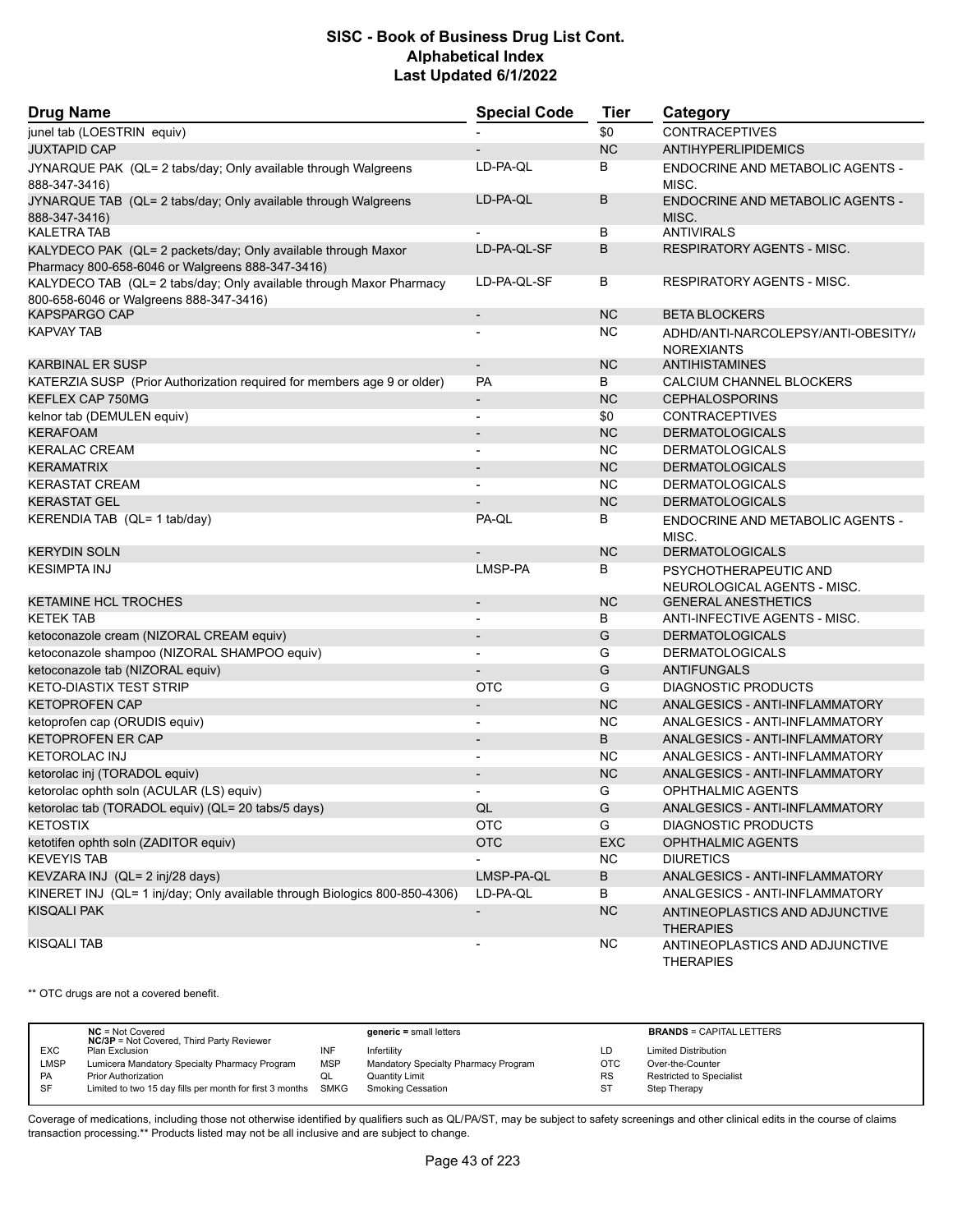| <b>Drug Name</b>                                                                                               | <b>Special Code</b>          | <b>Tier</b>            | Category                                             |
|----------------------------------------------------------------------------------------------------------------|------------------------------|------------------------|------------------------------------------------------|
| junel tab (LOESTRIN equiv)                                                                                     |                              | \$0                    | <b>CONTRACEPTIVES</b>                                |
| <b>JUXTAPID CAP</b>                                                                                            |                              | <b>NC</b>              | ANTIHYPERLIPIDEMICS                                  |
| JYNARQUE PAK (QL= 2 tabs/day; Only available through Walgreens                                                 | LD-PA-QL                     | B                      | ENDOCRINE AND METABOLIC AGENTS -                     |
| 888-347-3416)                                                                                                  |                              |                        | MISC.                                                |
| JYNARQUE TAB (QL= 2 tabs/day; Only available through Walgreens<br>888-347-3416)                                | LD-PA-QL                     | B                      | <b>ENDOCRINE AND METABOLIC AGENTS -</b><br>MISC.     |
| <b>KALETRA TAB</b>                                                                                             |                              | В                      | <b>ANTIVIRALS</b>                                    |
| KALYDECO PAK (QL= 2 packets/day; Only available through Maxor                                                  | LD-PA-QL-SF                  | B                      | <b>RESPIRATORY AGENTS - MISC.</b>                    |
| Pharmacy 800-658-6046 or Walgreens 888-347-3416)                                                               |                              |                        |                                                      |
| KALYDECO TAB (QL= 2 tabs/day; Only available through Maxor Pharmacy<br>800-658-6046 or Walgreens 888-347-3416) | LD-PA-QL-SF                  | В                      | <b>RESPIRATORY AGENTS - MISC.</b>                    |
| <b>KAPSPARGO CAP</b>                                                                                           | $\overline{\phantom{a}}$     | <b>NC</b>              | <b>BETA BLOCKERS</b>                                 |
| <b>KAPVAY TAB</b>                                                                                              |                              | <b>NC</b>              | ADHD/ANTI-NARCOLEPSY/ANTI-OBESITY//                  |
| <b>KARBINAL ER SUSP</b>                                                                                        | $\overline{\phantom{m}}$     | <b>NC</b>              | <b>NOREXIANTS</b><br><b>ANTIHISTAMINES</b>           |
| KATERZIA SUSP (Prior Authorization required for members age 9 or older)                                        | <b>PA</b>                    | B                      | CALCIUM CHANNEL BLOCKERS                             |
| KEFLEX CAP 750MG                                                                                               | $\overline{a}$               | <b>NC</b>              | <b>CEPHALOSPORINS</b>                                |
|                                                                                                                |                              |                        |                                                      |
| kelnor tab (DEMULEN equiv)<br><b>KERAFOAM</b>                                                                  |                              | \$0<br><b>NC</b>       | <b>CONTRACEPTIVES</b><br><b>DERMATOLOGICALS</b>      |
| <b>KERALAC CREAM</b>                                                                                           |                              | <b>NC</b>              |                                                      |
|                                                                                                                | $\overline{\phantom{a}}$     | <b>NC</b>              | <b>DERMATOLOGICALS</b>                               |
| <b>KERAMATRIX</b>                                                                                              | $\qquad \qquad \blacksquare$ |                        | <b>DERMATOLOGICALS</b>                               |
| <b>KERASTAT CREAM</b><br><b>KERASTAT GEL</b>                                                                   |                              | <b>NC</b><br><b>NC</b> | <b>DERMATOLOGICALS</b>                               |
|                                                                                                                | PA-QL                        |                        | <b>DERMATOLOGICALS</b>                               |
| KERENDIA TAB (QL= 1 tab/day)                                                                                   |                              | B                      | <b>ENDOCRINE AND METABOLIC AGENTS -</b><br>MISC.     |
| <b>KERYDIN SOLN</b>                                                                                            |                              | <b>NC</b>              | <b>DERMATOLOGICALS</b>                               |
| <b>KESIMPTA INJ</b>                                                                                            | LMSP-PA                      | B                      | PSYCHOTHERAPEUTIC AND<br>NEUROLOGICAL AGENTS - MISC. |
| <b>KETAMINE HCL TROCHES</b>                                                                                    |                              | <b>NC</b>              | <b>GENERAL ANESTHETICS</b>                           |
| <b>KETEK TAB</b>                                                                                               |                              | В                      | ANTI-INFECTIVE AGENTS - MISC.                        |
| ketoconazole cream (NIZORAL CREAM equiv)                                                                       |                              | G                      | <b>DERMATOLOGICALS</b>                               |
| ketoconazole shampoo (NIZORAL SHAMPOO equiv)                                                                   |                              | G                      | <b>DERMATOLOGICALS</b>                               |
| ketoconazole tab (NIZORAL equiv)                                                                               |                              | G                      | <b>ANTIFUNGALS</b>                                   |
| <b>KETO-DIASTIX TEST STRIP</b>                                                                                 | <b>OTC</b>                   | G                      | <b>DIAGNOSTIC PRODUCTS</b>                           |
| <b>KETOPROFEN CAP</b>                                                                                          |                              | <b>NC</b>              | ANALGESICS - ANTI-INFLAMMATORY                       |
| ketoprofen cap (ORUDIS equiv)                                                                                  | $\overline{a}$               | <b>NC</b>              | ANALGESICS - ANTI-INFLAMMATORY                       |
| <b>KETOPROFEN ER CAP</b>                                                                                       |                              | B                      | ANALGESICS - ANTI-INFLAMMATORY                       |
| <b>KETOROLAC INJ</b>                                                                                           | $\overline{\phantom{0}}$     | <b>NC</b>              | ANALGESICS - ANTI-INFLAMMATORY                       |
| ketorolac inj (TORADOL equiv)                                                                                  |                              | <b>NC</b>              | ANALGESICS - ANTI-INFLAMMATORY                       |
| ketorolac ophth soln (ACULAR (LS) equiv)                                                                       | $\overline{\phantom{a}}$     | G                      | <b>OPHTHALMIC AGENTS</b>                             |
| ketorolac tab (TORADOL equiv) (QL= 20 tabs/5 days)                                                             | QL                           | ${\mathsf G}$          | ANALGESICS - ANTI-INFLAMMATORY                       |
| <b>KETOSTIX</b>                                                                                                | <b>OTC</b>                   | G                      | <b>DIAGNOSTIC PRODUCTS</b>                           |
| ketotifen ophth soln (ZADITOR equiv)                                                                           | <b>OTC</b>                   | EXC                    | <b>OPHTHALMIC AGENTS</b>                             |
| <b>KEVEYIS TAB</b>                                                                                             |                              | NC.                    | <b>DIURETICS</b>                                     |
| KEVZARA INJ (QL= 2 inj/28 days)                                                                                | LMSP-PA-QL                   | $\sf B$                | ANALGESICS - ANTI-INFLAMMATORY                       |
| KINERET INJ (QL= 1 inj/day; Only available through Biologics 800-850-4306)                                     | LD-PA-QL                     | B                      | ANALGESICS - ANTI-INFLAMMATORY                       |
| <b>KISQALI PAK</b>                                                                                             | $\overline{\phantom{m}}$     | <b>NC</b>              | ANTINEOPLASTICS AND ADJUNCTIVE                       |
|                                                                                                                |                              |                        | <b>THERAPIES</b>                                     |
| <b>KISQALI TAB</b>                                                                                             |                              | NC.                    | ANTINEOPLASTICS AND ADJUNCTIVE<br><b>THERAPIES</b>   |

\*\* OTC drugs are not a covered benefit.

|            | $NC = Not Covered$<br><b>NC/3P</b> = Not Covered, Third Party Reviewer |            | $generic = small letters$            |           | <b>BRANDS = CAPITAL LETTERS</b> |
|------------|------------------------------------------------------------------------|------------|--------------------------------------|-----------|---------------------------------|
| <b>EXC</b> | Plan Exclusion                                                         | INF        | Infertility                          | LD        | <b>Limited Distribution</b>     |
| LMSP       | Lumicera Mandatory Specialty Pharmacy Program                          | <b>MSP</b> | Mandatory Specialty Pharmacy Program | OTC       | Over-the-Counter                |
| <b>PA</b>  | <b>Prior Authorization</b>                                             |            | Quantity Limit                       | <b>RS</b> | <b>Restricted to Specialist</b> |
| <b>SF</b>  | Limited to two 15 day fills per month for first 3 months SMKG          |            | Smoking Cessation                    | -ST       | Step Therapy                    |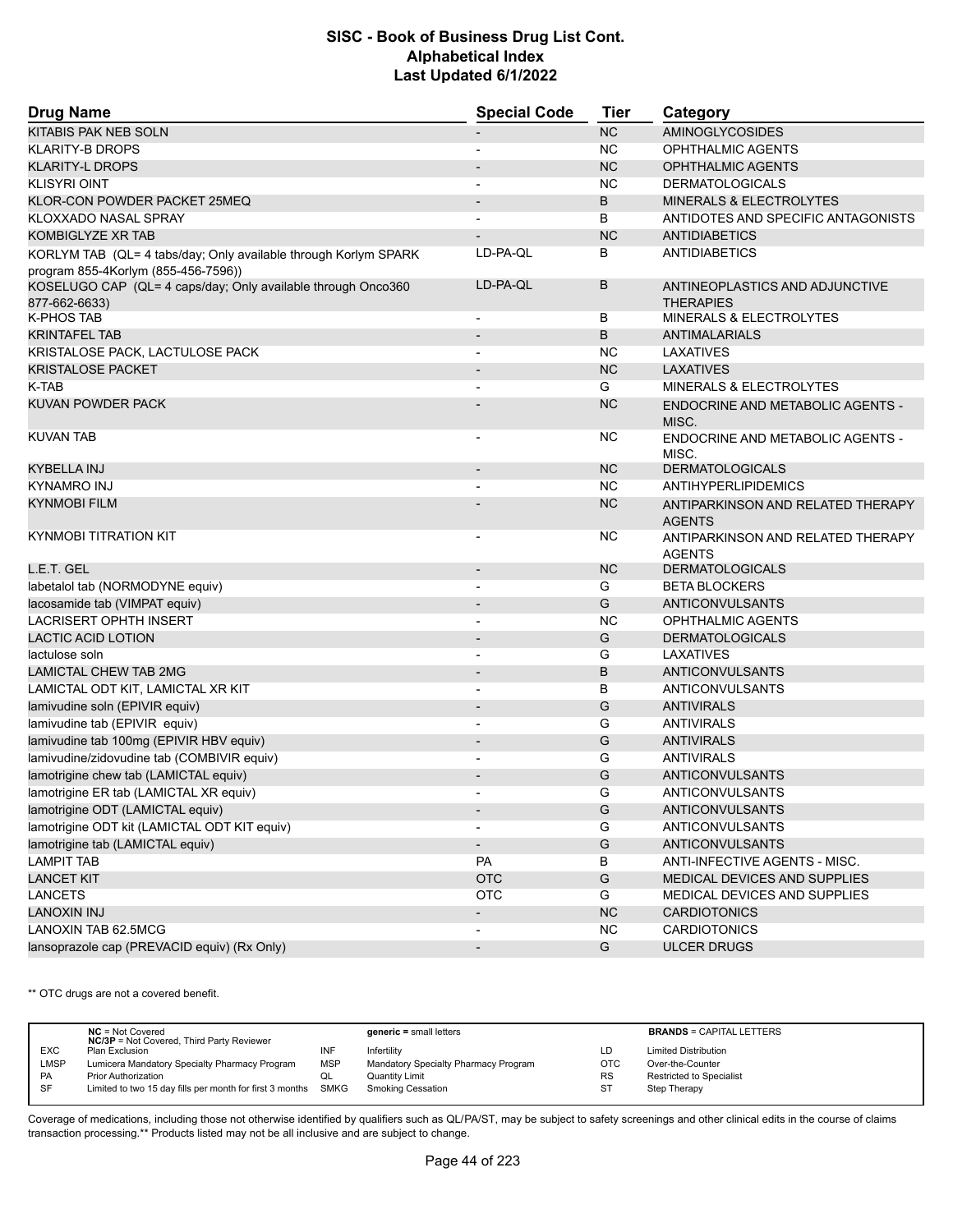| <b>Drug Name</b>                                                                                       | <b>Special Code</b>      | Tier          | Category                                           |  |
|--------------------------------------------------------------------------------------------------------|--------------------------|---------------|----------------------------------------------------|--|
| KITABIS PAK NEB SOLN                                                                                   |                          | NC            | <b>AMINOGLYCOSIDES</b>                             |  |
| <b>KLARITY-B DROPS</b>                                                                                 |                          | NC.           | <b>OPHTHALMIC AGENTS</b>                           |  |
| <b>KLARITY-L DROPS</b>                                                                                 |                          | <b>NC</b>     | <b>OPHTHALMIC AGENTS</b>                           |  |
| <b>KLISYRI OINT</b>                                                                                    |                          | <b>NC</b>     | <b>DERMATOLOGICALS</b>                             |  |
| KLOR-CON POWDER PACKET 25MEQ                                                                           |                          | B             | MINERALS & ELECTROLYTES                            |  |
| KLOXXADO NASAL SPRAY                                                                                   |                          | В             | ANTIDOTES AND SPECIFIC ANTAGONISTS                 |  |
| <b>KOMBIGLYZE XR TAB</b>                                                                               |                          | <b>NC</b>     | <b>ANTIDIABETICS</b>                               |  |
| KORLYM TAB (QL= 4 tabs/day; Only available through Korlym SPARK<br>program 855-4Korlym (855-456-7596)) | LD-PA-QL                 | В             | <b>ANTIDIABETICS</b>                               |  |
| KOSELUGO CAP (QL= 4 caps/day; Only available through Onco360<br>877-662-6633)                          | LD-PA-QL                 | B             | ANTINEOPLASTICS AND ADJUNCTIVE<br><b>THERAPIES</b> |  |
| K-PHOS TAB                                                                                             | $\overline{\phantom{a}}$ | В             | MINERALS & ELECTROLYTES                            |  |
| <b>KRINTAFEL TAB</b>                                                                                   |                          | B             | ANTIMALARIALS                                      |  |
| KRISTALOSE PACK, LACTULOSE PACK                                                                        |                          | NC.           | LAXATIVES                                          |  |
| <b>KRISTALOSE PACKET</b>                                                                               |                          | <b>NC</b>     | <b>LAXATIVES</b>                                   |  |
| K-TAB                                                                                                  |                          | G             | MINERALS & ELECTROLYTES                            |  |
| KUVAN POWDER PACK                                                                                      |                          | <b>NC</b>     | <b>ENDOCRINE AND METABOLIC AGENTS -</b>            |  |
| <b>KUVAN TAB</b>                                                                                       |                          | NC.           | MISC.<br>ENDOCRINE AND METABOLIC AGENTS -<br>MISC. |  |
| KYBELLA INJ                                                                                            |                          | <b>NC</b>     | <b>DERMATOLOGICALS</b>                             |  |
| <b>KYNAMRO INJ</b>                                                                                     |                          | <b>NC</b>     | <b>ANTIHYPERLIPIDEMICS</b>                         |  |
| <b>KYNMOBI FILM</b>                                                                                    |                          | <b>NC</b>     | ANTIPARKINSON AND RELATED THERAPY                  |  |
|                                                                                                        |                          |               | <b>AGENTS</b>                                      |  |
| <b>KYNMOBI TITRATION KIT</b>                                                                           |                          | <b>NC</b>     | ANTIPARKINSON AND RELATED THERAPY<br><b>AGENTS</b> |  |
| L.E.T. GEL                                                                                             | $\overline{\phantom{a}}$ | <b>NC</b>     | <b>DERMATOLOGICALS</b>                             |  |
| labetalol tab (NORMODYNE equiv)                                                                        |                          | G             | <b>BETA BLOCKERS</b>                               |  |
| lacosamide tab (VIMPAT equiv)                                                                          | $\blacksquare$           | G             | ANTICONVULSANTS                                    |  |
| <b>LACRISERT OPHTH INSERT</b>                                                                          |                          | <b>NC</b>     | <b>OPHTHALMIC AGENTS</b>                           |  |
| <b>LACTIC ACID LOTION</b>                                                                              |                          | G             | <b>DERMATOLOGICALS</b>                             |  |
| lactulose soln                                                                                         |                          | G             | LAXATIVES                                          |  |
| <b>LAMICTAL CHEW TAB 2MG</b>                                                                           |                          | B             | ANTICONVULSANTS                                    |  |
| LAMICTAL ODT KIT, LAMICTAL XR KIT                                                                      |                          | B             | ANTICONVULSANTS                                    |  |
| lamivudine soln (EPIVIR equiv)                                                                         | $\blacksquare$           | G             | <b>ANTIVIRALS</b>                                  |  |
| lamivudine tab (EPIVIR equiv)                                                                          |                          | G             | <b>ANTIVIRALS</b>                                  |  |
| lamivudine tab 100mg (EPIVIR HBV equiv)                                                                |                          | G             | <b>ANTIVIRALS</b>                                  |  |
| lamivudine/zidovudine tab (COMBIVIR equiv)                                                             |                          | G             | <b>ANTIVIRALS</b>                                  |  |
| lamotrigine chew tab (LAMICTAL equiv)                                                                  |                          | G             | <b>ANTICONVULSANTS</b>                             |  |
| lamotrigine ER tab (LAMICTAL XR equiv)                                                                 |                          | G             | ANTICONVULSANTS                                    |  |
| lamotrigine ODT (LAMICTAL equiv)                                                                       | $\overline{\phantom{a}}$ | ${\mathsf G}$ | ANTICONVULSANTS                                    |  |
| lamotrigine ODT kit (LAMICTAL ODT KIT equiv)                                                           |                          | G             | ANTICONVULSANTS                                    |  |
| lamotrigine tab (LAMICTAL equiv)                                                                       | $\overline{\phantom{a}}$ | G             | ANTICONVULSANTS                                    |  |
| <b>LAMPIT TAB</b>                                                                                      | PA                       | В             | ANTI-INFECTIVE AGENTS - MISC.                      |  |
| <b>LANCET KIT</b>                                                                                      | <b>OTC</b>               | ${\mathsf G}$ | MEDICAL DEVICES AND SUPPLIES                       |  |
| <b>LANCETS</b>                                                                                         | <b>OTC</b>               | G             | MEDICAL DEVICES AND SUPPLIES                       |  |
| <b>LANOXIN INJ</b>                                                                                     | $\overline{\phantom{a}}$ | NC            | <b>CARDIOTONICS</b>                                |  |
| LANOXIN TAB 62.5MCG                                                                                    | $\blacksquare$           | <b>NC</b>     | <b>CARDIOTONICS</b>                                |  |
| lansoprazole cap (PREVACID equiv) (Rx Only)                                                            | $\overline{\phantom{a}}$ | G             | <b>ULCER DRUGS</b>                                 |  |

\*\* OTC drugs are not a covered benefit.

|             | $NC = Not Covered$<br><b>NC/3P</b> = Not Covered, Third Party Reviewer |            | $generic = small letters$            |            | <b>BRANDS = CAPITAL LETTERS</b> |
|-------------|------------------------------------------------------------------------|------------|--------------------------------------|------------|---------------------------------|
| <b>EXC</b>  | Plan Exclusion                                                         | INF        | Infertility                          | LD         | <b>Limited Distribution</b>     |
| <b>LMSP</b> | Lumicera Mandatory Specialty Pharmacy Program                          | <b>MSP</b> | Mandatory Specialty Pharmacy Program | <b>OTC</b> | Over-the-Counter                |
| PA          | <b>Prior Authorization</b>                                             | QL         | Quantity Limit                       | <b>RS</b>  | Restricted to Specialist        |
| SF          | Limited to two 15 day fills per month for first 3 months SMKG          |            | <b>Smoking Cessation</b>             | <b>ST</b>  | Step Therapy                    |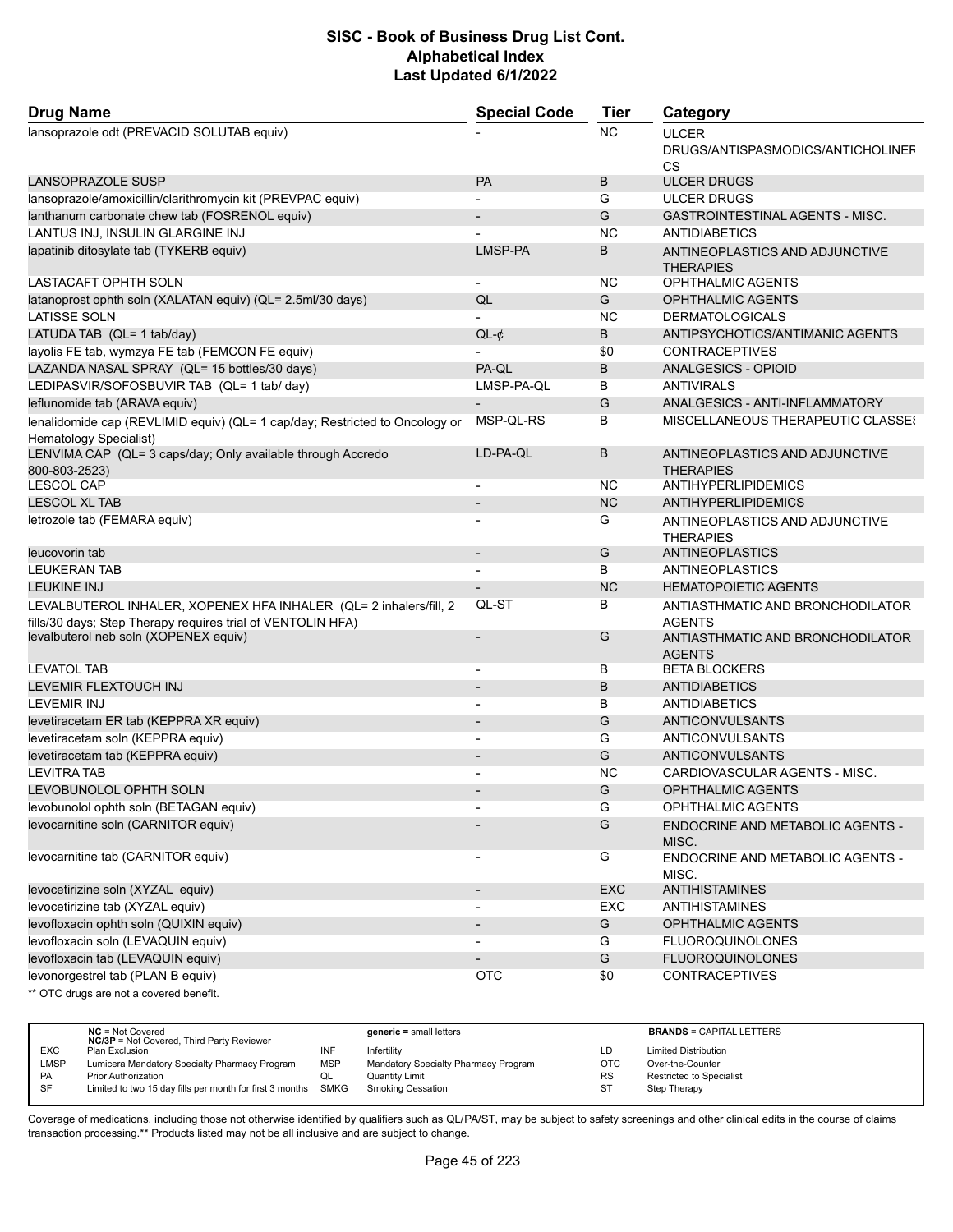| <b>Drug Name</b>                                                                                                                 | <b>Special Code</b>      | <b>Tier</b> | Category                                                       |  |
|----------------------------------------------------------------------------------------------------------------------------------|--------------------------|-------------|----------------------------------------------------------------|--|
| lansoprazole odt (PREVACID SOLUTAB equiv)                                                                                        |                          | <b>NC</b>   | <b>ULCER</b><br>DRUGS/ANTISPASMODICS/ANTICHOLINEF<br><b>CS</b> |  |
| <b>LANSOPRAZOLE SUSP</b>                                                                                                         | <b>PA</b>                | B           | <b>ULCER DRUGS</b>                                             |  |
| lansoprazole/amoxicillin/clarithromycin kit (PREVPAC equiv)                                                                      |                          | G           | <b>ULCER DRUGS</b>                                             |  |
| lanthanum carbonate chew tab (FOSRENOL equiv)                                                                                    |                          | G           | <b>GASTROINTESTINAL AGENTS - MISC.</b>                         |  |
| LANTUS INJ, INSULIN GLARGINE INJ                                                                                                 |                          | <b>NC</b>   | <b>ANTIDIABETICS</b>                                           |  |
| lapatinib ditosylate tab (TYKERB equiv)                                                                                          | LMSP-PA                  | B           | ANTINEOPLASTICS AND ADJUNCTIVE<br><b>THERAPIES</b>             |  |
| LASTACAFT OPHTH SOLN                                                                                                             |                          | <b>NC</b>   | <b>OPHTHALMIC AGENTS</b>                                       |  |
| latanoprost ophth soln (XALATAN equiv) (QL= 2.5ml/30 days)                                                                       | QL                       | G           | <b>OPHTHALMIC AGENTS</b>                                       |  |
| <b>LATISSE SOLN</b>                                                                                                              |                          | <b>NC</b>   | <b>DERMATOLOGICALS</b>                                         |  |
| LATUDA TAB (QL= 1 tab/day)                                                                                                       | $QL-¢$                   | B           | ANTIPSYCHOTICS/ANTIMANIC AGENTS                                |  |
| layolis FE tab, wymzya FE tab (FEMCON FE equiv)                                                                                  |                          | \$0         | <b>CONTRACEPTIVES</b>                                          |  |
| LAZANDA NASAL SPRAY (QL= 15 bottles/30 days)                                                                                     | PA-QL                    | B           | ANALGESICS - OPIOID                                            |  |
| LEDIPASVIR/SOFOSBUVIR TAB (QL= 1 tab/ day)                                                                                       | LMSP-PA-QL               | B           | <b>ANTIVIRALS</b>                                              |  |
| leflunomide tab (ARAVA equiv)                                                                                                    |                          | G           | ANALGESICS - ANTI-INFLAMMATORY                                 |  |
| lenalidomide cap (REVLIMID equiv) (QL= 1 cap/day; Restricted to Oncology or<br>Hematology Specialist)                            | MSP-QL-RS                | B           | <b>MISCELLANEOUS THERAPEUTIC CLASSES</b>                       |  |
| LENVIMA CAP (QL= 3 caps/day; Only available through Accredo<br>800-803-2523)                                                     | LD-PA-QL                 | B           | ANTINEOPLASTICS AND ADJUNCTIVE<br><b>THERAPIES</b>             |  |
| <b>LESCOL CAP</b>                                                                                                                |                          | <b>NC</b>   | <b>ANTIHYPERLIPIDEMICS</b>                                     |  |
| <b>LESCOL XL TAB</b>                                                                                                             | $\overline{\phantom{0}}$ | <b>NC</b>   | ANTIHYPERLIPIDEMICS                                            |  |
| letrozole tab (FEMARA equiv)                                                                                                     |                          | G           |                                                                |  |
|                                                                                                                                  |                          |             | ANTINEOPLASTICS AND ADJUNCTIVE<br><b>THERAPIES</b>             |  |
| leucovorin tab                                                                                                                   | $\overline{\phantom{a}}$ | G           | <b>ANTINEOPLASTICS</b>                                         |  |
| <b>LEUKERAN TAB</b>                                                                                                              |                          | B           | ANTINEOPLASTICS                                                |  |
| <b>LEUKINE INJ</b>                                                                                                               |                          | <b>NC</b>   | <b>HEMATOPOIETIC AGENTS</b>                                    |  |
| LEVALBUTEROL INHALER, XOPENEX HFA INHALER (QL= 2 inhalers/fill, 2<br>fills/30 days; Step Therapy requires trial of VENTOLIN HFA) | QL-ST                    | B           | ANTIASTHMATIC AND BRONCHODILATOR<br><b>AGENTS</b>              |  |
| levalbuterol neb soln (XOPENEX equiv)                                                                                            |                          | G           | ANTIASTHMATIC AND BRONCHODILATOR<br><b>AGENTS</b>              |  |
| <b>LEVATOL TAB</b>                                                                                                               |                          | В           | <b>BETA BLOCKERS</b>                                           |  |
| LEVEMIR FLEXTOUCH INJ                                                                                                            |                          | B           | <b>ANTIDIABETICS</b>                                           |  |
| <b>LEVEMIR INJ</b>                                                                                                               |                          | B           | <b>ANTIDIABETICS</b>                                           |  |
| levetiracetam ER tab (KEPPRA XR equiv)                                                                                           | $\overline{\phantom{a}}$ | G           | <b>ANTICONVULSANTS</b>                                         |  |
| levetiracetam soln (KEPPRA equiv)                                                                                                | $\blacksquare$           | G           | ANTICONVULSANTS                                                |  |
| levetiracetam tab (KEPPRA equiv)                                                                                                 |                          | G           | <b>ANTICONVULSANTS</b>                                         |  |
| <b>LEVITRA TAB</b>                                                                                                               | $\overline{\phantom{a}}$ | <b>NC</b>   | CARDIOVASCULAR AGENTS - MISC.                                  |  |
| <b>LEVOBUNOLOL OPHTH SOLN</b>                                                                                                    |                          | G           | <b>OPHTHALMIC AGENTS</b>                                       |  |
| levobunolol ophth soln (BETAGAN equiv)                                                                                           |                          | G           | OPHTHALMIC AGENTS                                              |  |
| levocarnitine soln (CARNITOR equiv)                                                                                              |                          | G           | ENDOCRINE AND METABOLIC AGENTS -<br>MISC.                      |  |
| levocarnitine tab (CARNITOR equiv)                                                                                               | $\overline{\phantom{a}}$ | G           | ENDOCRINE AND METABOLIC AGENTS -<br>MISC.                      |  |
| levocetirizine soln (XYZAL equiv)                                                                                                | $\overline{\phantom{a}}$ | EXC         | <b>ANTIHISTAMINES</b>                                          |  |
| levocetirizine tab (XYZAL equiv)                                                                                                 | $\overline{\phantom{a}}$ | EXC         | <b>ANTIHISTAMINES</b>                                          |  |
| levofloxacin ophth soln (QUIXIN equiv)                                                                                           |                          | G           | OPHTHALMIC AGENTS                                              |  |
| levofloxacin soln (LEVAQUIN equiv)                                                                                               | $\blacksquare$           | G           | <b>FLUOROQUINOLONES</b>                                        |  |
| levofloxacin tab (LEVAQUIN equiv)                                                                                                |                          | G           | <b>FLUOROQUINOLONES</b>                                        |  |
| levonorgestrel tab (PLAN B equiv)                                                                                                | <b>OTC</b>               | \$0         | <b>CONTRACEPTIVES</b>                                          |  |
| ** OTC drugs are not a covered benefit.                                                                                          |                          |             |                                                                |  |

|            | $NC = Not Covered$<br><b>NC/3P</b> = Not Covered, Third Party Reviewer |     | $generic = small letters$            |           | <b>BRANDS = CAPITAL LETTERS</b> |
|------------|------------------------------------------------------------------------|-----|--------------------------------------|-----------|---------------------------------|
| <b>EXC</b> | Plan Exclusion                                                         | INF | Infertility                          | LD        | <b>Limited Distribution</b>     |
| LMSP       | Lumicera Mandatory Specialty Pharmacy Program                          | MSP | Mandatory Specialty Pharmacy Program | OTC       | Over-the-Counter                |
| <b>PA</b>  | <b>Prior Authorization</b>                                             | QL  | <b>Quantity Limit</b>                | <b>RS</b> | <b>Restricted to Specialist</b> |
| <b>SF</b>  | Limited to two 15 day fills per month for first 3 months SMKG          |     | Smoking Cessation                    | -ST       | Step Therapy                    |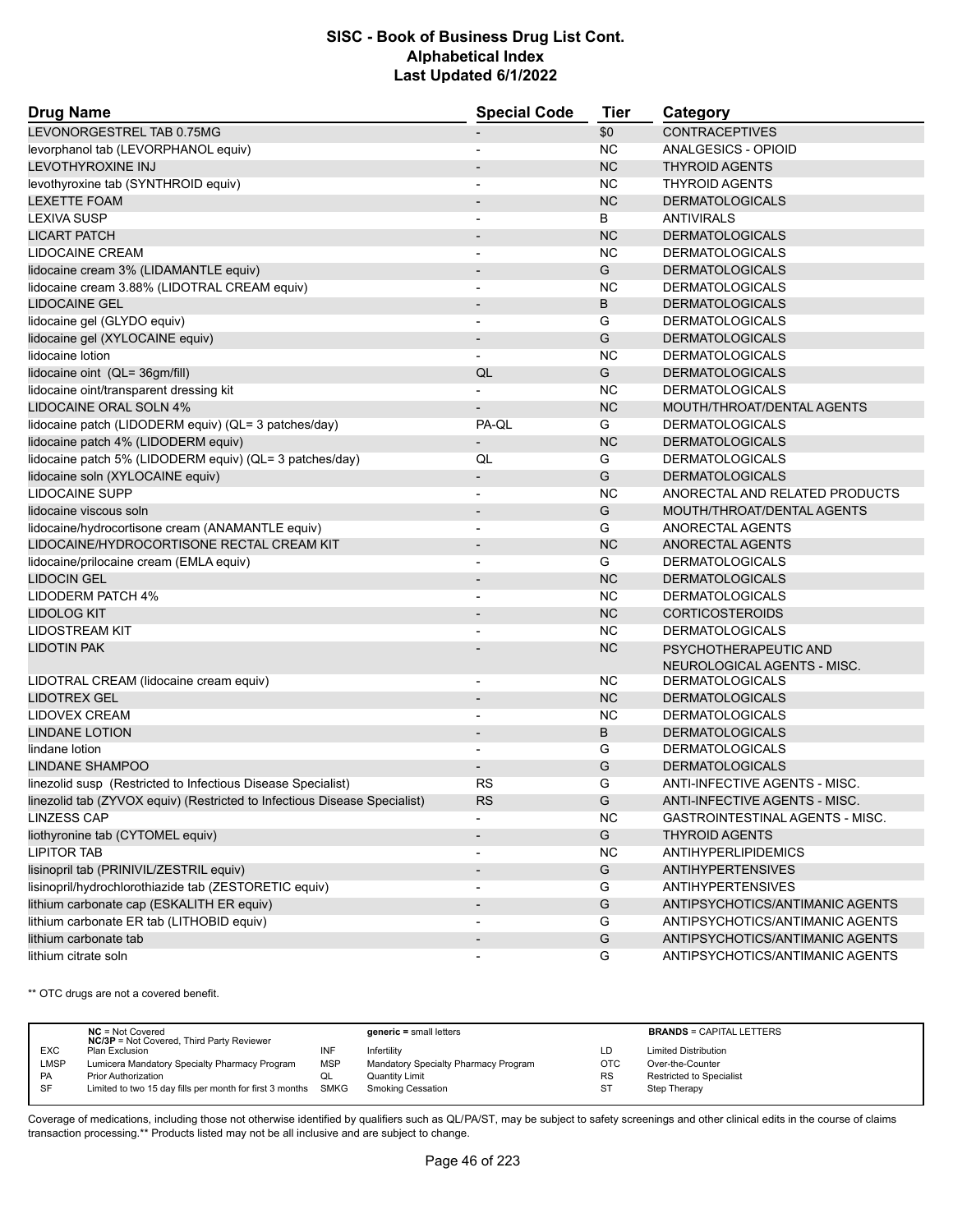| LEVONORGESTREL TAB 0.75MG<br>\$0<br><b>CONTRACEPTIVES</b><br><b>NC</b><br>levorphanol tab (LEVORPHANOL equiv)<br>ANALGESICS - OPIOID<br>$\overline{\phantom{a}}$<br><b>NC</b><br>LEVOTHYROXINE INJ<br><b>THYROID AGENTS</b><br><b>NC</b><br>levothyroxine tab (SYNTHROID equiv)<br><b>THYROID AGENTS</b><br><b>NC</b><br><b>LEXETTE FOAM</b><br><b>DERMATOLOGICALS</b><br>$\overline{\phantom{a}}$<br>B<br><b>LEXIVA SUSP</b><br><b>ANTIVIRALS</b><br>$\blacksquare$<br><b>NC</b><br><b>LICART PATCH</b><br><b>DERMATOLOGICALS</b><br><b>NC</b><br>LIDOCAINE CREAM<br><b>DERMATOLOGICALS</b><br>$\blacksquare$<br>G<br>lidocaine cream 3% (LIDAMANTLE equiv)<br><b>DERMATOLOGICALS</b><br>$\overline{\phantom{a}}$<br>lidocaine cream 3.88% (LIDOTRAL CREAM equiv)<br><b>NC</b><br><b>DERMATOLOGICALS</b><br>$\overline{\phantom{a}}$<br>B<br><b>LIDOCAINE GEL</b><br><b>DERMATOLOGICALS</b><br>$\overline{\phantom{a}}$<br>lidocaine gel (GLYDO equiv)<br>G<br><b>DERMATOLOGICALS</b><br>G<br>lidocaine gel (XYLOCAINE equiv)<br><b>DERMATOLOGICALS</b><br>$\overline{\phantom{a}}$<br>lidocaine lotion<br><b>NC</b><br><b>DERMATOLOGICALS</b><br>lidocaine oint (QL= 36gm/fill)<br>QL<br>G<br><b>DERMATOLOGICALS</b><br>lidocaine oint/transparent dressing kit<br><b>NC</b><br><b>DERMATOLOGICALS</b><br>LIDOCAINE ORAL SOLN 4%<br><b>NC</b><br>MOUTH/THROAT/DENTAL AGENTS<br>lidocaine patch (LIDODERM equiv) (QL= 3 patches/day)<br>PA-QL<br>G<br><b>DERMATOLOGICALS</b><br><b>NC</b><br>lidocaine patch 4% (LIDODERM equiv)<br><b>DERMATOLOGICALS</b><br>lidocaine patch 5% (LIDODERM equiv) (QL= 3 patches/day)<br>G<br>QL<br><b>DERMATOLOGICALS</b><br>lidocaine soln (XYLOCAINE equiv)<br>G<br><b>DERMATOLOGICALS</b><br>$\overline{\phantom{a}}$<br><b>LIDOCAINE SUPP</b><br><b>NC</b><br>ANORECTAL AND RELATED PRODUCTS<br>$\overline{\phantom{a}}$<br>G<br>MOUTH/THROAT/DENTAL AGENTS<br>lidocaine viscous soln<br>$\overline{\phantom{a}}$<br>lidocaine/hydrocortisone cream (ANAMANTLE equiv)<br>G<br>ANORECTAL AGENTS<br>$\blacksquare$<br>LIDOCAINE/HYDROCORTISONE RECTAL CREAM KIT<br><b>NC</b><br><b>ANORECTAL AGENTS</b><br>$\overline{\phantom{a}}$<br>lidocaine/prilocaine cream (EMLA equiv)<br>G<br><b>DERMATOLOGICALS</b><br><b>NC</b><br><b>LIDOCIN GEL</b><br><b>DERMATOLOGICALS</b><br>$\blacksquare$<br><b>NC</b><br>LIDODERM PATCH 4%<br><b>DERMATOLOGICALS</b><br><b>NC</b><br><b>LIDOLOG KIT</b><br><b>CORTICOSTEROIDS</b><br><b>NC</b><br>LIDOSTREAM KIT<br><b>DERMATOLOGICALS</b><br><b>NC</b><br><b>LIDOTIN PAK</b><br>PSYCHOTHERAPEUTIC AND<br>NEUROLOGICAL AGENTS - MISC.<br>LIDOTRAL CREAM (lidocaine cream equiv)<br><b>NC</b><br><b>DERMATOLOGICALS</b><br>$\overline{\phantom{a}}$<br><b>NC</b><br><b>LIDOTREX GEL</b><br><b>DERMATOLOGICALS</b><br><b>NC</b><br>LIDOVEX CREAM<br><b>DERMATOLOGICALS</b><br>$\blacksquare$<br><b>LINDANE LOTION</b><br>B<br><b>DERMATOLOGICALS</b><br>$\overline{\phantom{a}}$<br>G<br><b>DERMATOLOGICALS</b><br>lindane lotion<br>G<br>LINDANE SHAMPOO<br><b>DERMATOLOGICALS</b><br>linezolid susp (Restricted to Infectious Disease Specialist)<br>RS<br>G<br><b>ANTI-INFECTIVE AGENTS - MISC.</b><br>linezolid tab (ZYVOX equiv) (Restricted to Infectious Disease Specialist)<br>ANTI-INFECTIVE AGENTS - MISC.<br><b>RS</b><br>G<br><b>NC</b><br><b>LINZESS CAP</b><br>GASTROINTESTINAL AGENTS - MISC.<br>G<br>liothyronine tab (CYTOMEL equiv)<br><b>THYROID AGENTS</b><br>$\blacksquare$<br>NC<br><b>LIPITOR TAB</b><br><b>ANTIHYPERLIPIDEMICS</b><br>${\mathsf G}$<br>lisinopril tab (PRINIVIL/ZESTRIL equiv)<br><b>ANTIHYPERTENSIVES</b><br>lisinopril/hydrochlorothiazide tab (ZESTORETIC equiv)<br>G<br><b>ANTIHYPERTENSIVES</b><br>$\overline{\phantom{a}}$<br>lithium carbonate cap (ESKALITH ER equiv)<br>G<br>ANTIPSYCHOTICS/ANTIMANIC AGENTS<br>$\overline{\phantom{a}}$<br>lithium carbonate ER tab (LITHOBID equiv)<br>G<br>ANTIPSYCHOTICS/ANTIMANIC AGENTS<br>lithium carbonate tab<br>${\mathsf G}$<br>ANTIPSYCHOTICS/ANTIMANIC AGENTS<br>$\overline{\phantom{a}}$<br>lithium citrate soln<br>G<br>ANTIPSYCHOTICS/ANTIMANIC AGENTS | <b>Drug Name</b> | <b>Special Code</b> | <b>Tier</b> | Category |  |
|-------------------------------------------------------------------------------------------------------------------------------------------------------------------------------------------------------------------------------------------------------------------------------------------------------------------------------------------------------------------------------------------------------------------------------------------------------------------------------------------------------------------------------------------------------------------------------------------------------------------------------------------------------------------------------------------------------------------------------------------------------------------------------------------------------------------------------------------------------------------------------------------------------------------------------------------------------------------------------------------------------------------------------------------------------------------------------------------------------------------------------------------------------------------------------------------------------------------------------------------------------------------------------------------------------------------------------------------------------------------------------------------------------------------------------------------------------------------------------------------------------------------------------------------------------------------------------------------------------------------------------------------------------------------------------------------------------------------------------------------------------------------------------------------------------------------------------------------------------------------------------------------------------------------------------------------------------------------------------------------------------------------------------------------------------------------------------------------------------------------------------------------------------------------------------------------------------------------------------------------------------------------------------------------------------------------------------------------------------------------------------------------------------------------------------------------------------------------------------------------------------------------------------------------------------------------------------------------------------------------------------------------------------------------------------------------------------------------------------------------------------------------------------------------------------------------------------------------------------------------------------------------------------------------------------------------------------------------------------------------------------------------------------------------------------------------------------------------------------------------------------------------------------------------------------------------------------------------------------------------------------------------------------------------------------------------------------------------------------------------------------------------------------------------------------------------------------------------------------------------------------------------------------------------------------------------------------------------------------------------------------------------------------------------------------------------------------------------------------------------------------------------------------------------------------------------------------------------------------------------------------------------------------------------------------------------------------------------------------------------------------------------------------------------------------------------------------------------------------------------------------|------------------|---------------------|-------------|----------|--|
|                                                                                                                                                                                                                                                                                                                                                                                                                                                                                                                                                                                                                                                                                                                                                                                                                                                                                                                                                                                                                                                                                                                                                                                                                                                                                                                                                                                                                                                                                                                                                                                                                                                                                                                                                                                                                                                                                                                                                                                                                                                                                                                                                                                                                                                                                                                                                                                                                                                                                                                                                                                                                                                                                                                                                                                                                                                                                                                                                                                                                                                                                                                                                                                                                                                                                                                                                                                                                                                                                                                                                                                                                                                                                                                                                                                                                                                                                                                                                                                                                                                                                                                               |                  |                     |             |          |  |
|                                                                                                                                                                                                                                                                                                                                                                                                                                                                                                                                                                                                                                                                                                                                                                                                                                                                                                                                                                                                                                                                                                                                                                                                                                                                                                                                                                                                                                                                                                                                                                                                                                                                                                                                                                                                                                                                                                                                                                                                                                                                                                                                                                                                                                                                                                                                                                                                                                                                                                                                                                                                                                                                                                                                                                                                                                                                                                                                                                                                                                                                                                                                                                                                                                                                                                                                                                                                                                                                                                                                                                                                                                                                                                                                                                                                                                                                                                                                                                                                                                                                                                                               |                  |                     |             |          |  |
|                                                                                                                                                                                                                                                                                                                                                                                                                                                                                                                                                                                                                                                                                                                                                                                                                                                                                                                                                                                                                                                                                                                                                                                                                                                                                                                                                                                                                                                                                                                                                                                                                                                                                                                                                                                                                                                                                                                                                                                                                                                                                                                                                                                                                                                                                                                                                                                                                                                                                                                                                                                                                                                                                                                                                                                                                                                                                                                                                                                                                                                                                                                                                                                                                                                                                                                                                                                                                                                                                                                                                                                                                                                                                                                                                                                                                                                                                                                                                                                                                                                                                                                               |                  |                     |             |          |  |
|                                                                                                                                                                                                                                                                                                                                                                                                                                                                                                                                                                                                                                                                                                                                                                                                                                                                                                                                                                                                                                                                                                                                                                                                                                                                                                                                                                                                                                                                                                                                                                                                                                                                                                                                                                                                                                                                                                                                                                                                                                                                                                                                                                                                                                                                                                                                                                                                                                                                                                                                                                                                                                                                                                                                                                                                                                                                                                                                                                                                                                                                                                                                                                                                                                                                                                                                                                                                                                                                                                                                                                                                                                                                                                                                                                                                                                                                                                                                                                                                                                                                                                                               |                  |                     |             |          |  |
|                                                                                                                                                                                                                                                                                                                                                                                                                                                                                                                                                                                                                                                                                                                                                                                                                                                                                                                                                                                                                                                                                                                                                                                                                                                                                                                                                                                                                                                                                                                                                                                                                                                                                                                                                                                                                                                                                                                                                                                                                                                                                                                                                                                                                                                                                                                                                                                                                                                                                                                                                                                                                                                                                                                                                                                                                                                                                                                                                                                                                                                                                                                                                                                                                                                                                                                                                                                                                                                                                                                                                                                                                                                                                                                                                                                                                                                                                                                                                                                                                                                                                                                               |                  |                     |             |          |  |
|                                                                                                                                                                                                                                                                                                                                                                                                                                                                                                                                                                                                                                                                                                                                                                                                                                                                                                                                                                                                                                                                                                                                                                                                                                                                                                                                                                                                                                                                                                                                                                                                                                                                                                                                                                                                                                                                                                                                                                                                                                                                                                                                                                                                                                                                                                                                                                                                                                                                                                                                                                                                                                                                                                                                                                                                                                                                                                                                                                                                                                                                                                                                                                                                                                                                                                                                                                                                                                                                                                                                                                                                                                                                                                                                                                                                                                                                                                                                                                                                                                                                                                                               |                  |                     |             |          |  |
|                                                                                                                                                                                                                                                                                                                                                                                                                                                                                                                                                                                                                                                                                                                                                                                                                                                                                                                                                                                                                                                                                                                                                                                                                                                                                                                                                                                                                                                                                                                                                                                                                                                                                                                                                                                                                                                                                                                                                                                                                                                                                                                                                                                                                                                                                                                                                                                                                                                                                                                                                                                                                                                                                                                                                                                                                                                                                                                                                                                                                                                                                                                                                                                                                                                                                                                                                                                                                                                                                                                                                                                                                                                                                                                                                                                                                                                                                                                                                                                                                                                                                                                               |                  |                     |             |          |  |
|                                                                                                                                                                                                                                                                                                                                                                                                                                                                                                                                                                                                                                                                                                                                                                                                                                                                                                                                                                                                                                                                                                                                                                                                                                                                                                                                                                                                                                                                                                                                                                                                                                                                                                                                                                                                                                                                                                                                                                                                                                                                                                                                                                                                                                                                                                                                                                                                                                                                                                                                                                                                                                                                                                                                                                                                                                                                                                                                                                                                                                                                                                                                                                                                                                                                                                                                                                                                                                                                                                                                                                                                                                                                                                                                                                                                                                                                                                                                                                                                                                                                                                                               |                  |                     |             |          |  |
|                                                                                                                                                                                                                                                                                                                                                                                                                                                                                                                                                                                                                                                                                                                                                                                                                                                                                                                                                                                                                                                                                                                                                                                                                                                                                                                                                                                                                                                                                                                                                                                                                                                                                                                                                                                                                                                                                                                                                                                                                                                                                                                                                                                                                                                                                                                                                                                                                                                                                                                                                                                                                                                                                                                                                                                                                                                                                                                                                                                                                                                                                                                                                                                                                                                                                                                                                                                                                                                                                                                                                                                                                                                                                                                                                                                                                                                                                                                                                                                                                                                                                                                               |                  |                     |             |          |  |
|                                                                                                                                                                                                                                                                                                                                                                                                                                                                                                                                                                                                                                                                                                                                                                                                                                                                                                                                                                                                                                                                                                                                                                                                                                                                                                                                                                                                                                                                                                                                                                                                                                                                                                                                                                                                                                                                                                                                                                                                                                                                                                                                                                                                                                                                                                                                                                                                                                                                                                                                                                                                                                                                                                                                                                                                                                                                                                                                                                                                                                                                                                                                                                                                                                                                                                                                                                                                                                                                                                                                                                                                                                                                                                                                                                                                                                                                                                                                                                                                                                                                                                                               |                  |                     |             |          |  |
|                                                                                                                                                                                                                                                                                                                                                                                                                                                                                                                                                                                                                                                                                                                                                                                                                                                                                                                                                                                                                                                                                                                                                                                                                                                                                                                                                                                                                                                                                                                                                                                                                                                                                                                                                                                                                                                                                                                                                                                                                                                                                                                                                                                                                                                                                                                                                                                                                                                                                                                                                                                                                                                                                                                                                                                                                                                                                                                                                                                                                                                                                                                                                                                                                                                                                                                                                                                                                                                                                                                                                                                                                                                                                                                                                                                                                                                                                                                                                                                                                                                                                                                               |                  |                     |             |          |  |
|                                                                                                                                                                                                                                                                                                                                                                                                                                                                                                                                                                                                                                                                                                                                                                                                                                                                                                                                                                                                                                                                                                                                                                                                                                                                                                                                                                                                                                                                                                                                                                                                                                                                                                                                                                                                                                                                                                                                                                                                                                                                                                                                                                                                                                                                                                                                                                                                                                                                                                                                                                                                                                                                                                                                                                                                                                                                                                                                                                                                                                                                                                                                                                                                                                                                                                                                                                                                                                                                                                                                                                                                                                                                                                                                                                                                                                                                                                                                                                                                                                                                                                                               |                  |                     |             |          |  |
|                                                                                                                                                                                                                                                                                                                                                                                                                                                                                                                                                                                                                                                                                                                                                                                                                                                                                                                                                                                                                                                                                                                                                                                                                                                                                                                                                                                                                                                                                                                                                                                                                                                                                                                                                                                                                                                                                                                                                                                                                                                                                                                                                                                                                                                                                                                                                                                                                                                                                                                                                                                                                                                                                                                                                                                                                                                                                                                                                                                                                                                                                                                                                                                                                                                                                                                                                                                                                                                                                                                                                                                                                                                                                                                                                                                                                                                                                                                                                                                                                                                                                                                               |                  |                     |             |          |  |
|                                                                                                                                                                                                                                                                                                                                                                                                                                                                                                                                                                                                                                                                                                                                                                                                                                                                                                                                                                                                                                                                                                                                                                                                                                                                                                                                                                                                                                                                                                                                                                                                                                                                                                                                                                                                                                                                                                                                                                                                                                                                                                                                                                                                                                                                                                                                                                                                                                                                                                                                                                                                                                                                                                                                                                                                                                                                                                                                                                                                                                                                                                                                                                                                                                                                                                                                                                                                                                                                                                                                                                                                                                                                                                                                                                                                                                                                                                                                                                                                                                                                                                                               |                  |                     |             |          |  |
|                                                                                                                                                                                                                                                                                                                                                                                                                                                                                                                                                                                                                                                                                                                                                                                                                                                                                                                                                                                                                                                                                                                                                                                                                                                                                                                                                                                                                                                                                                                                                                                                                                                                                                                                                                                                                                                                                                                                                                                                                                                                                                                                                                                                                                                                                                                                                                                                                                                                                                                                                                                                                                                                                                                                                                                                                                                                                                                                                                                                                                                                                                                                                                                                                                                                                                                                                                                                                                                                                                                                                                                                                                                                                                                                                                                                                                                                                                                                                                                                                                                                                                                               |                  |                     |             |          |  |
|                                                                                                                                                                                                                                                                                                                                                                                                                                                                                                                                                                                                                                                                                                                                                                                                                                                                                                                                                                                                                                                                                                                                                                                                                                                                                                                                                                                                                                                                                                                                                                                                                                                                                                                                                                                                                                                                                                                                                                                                                                                                                                                                                                                                                                                                                                                                                                                                                                                                                                                                                                                                                                                                                                                                                                                                                                                                                                                                                                                                                                                                                                                                                                                                                                                                                                                                                                                                                                                                                                                                                                                                                                                                                                                                                                                                                                                                                                                                                                                                                                                                                                                               |                  |                     |             |          |  |
|                                                                                                                                                                                                                                                                                                                                                                                                                                                                                                                                                                                                                                                                                                                                                                                                                                                                                                                                                                                                                                                                                                                                                                                                                                                                                                                                                                                                                                                                                                                                                                                                                                                                                                                                                                                                                                                                                                                                                                                                                                                                                                                                                                                                                                                                                                                                                                                                                                                                                                                                                                                                                                                                                                                                                                                                                                                                                                                                                                                                                                                                                                                                                                                                                                                                                                                                                                                                                                                                                                                                                                                                                                                                                                                                                                                                                                                                                                                                                                                                                                                                                                                               |                  |                     |             |          |  |
|                                                                                                                                                                                                                                                                                                                                                                                                                                                                                                                                                                                                                                                                                                                                                                                                                                                                                                                                                                                                                                                                                                                                                                                                                                                                                                                                                                                                                                                                                                                                                                                                                                                                                                                                                                                                                                                                                                                                                                                                                                                                                                                                                                                                                                                                                                                                                                                                                                                                                                                                                                                                                                                                                                                                                                                                                                                                                                                                                                                                                                                                                                                                                                                                                                                                                                                                                                                                                                                                                                                                                                                                                                                                                                                                                                                                                                                                                                                                                                                                                                                                                                                               |                  |                     |             |          |  |
|                                                                                                                                                                                                                                                                                                                                                                                                                                                                                                                                                                                                                                                                                                                                                                                                                                                                                                                                                                                                                                                                                                                                                                                                                                                                                                                                                                                                                                                                                                                                                                                                                                                                                                                                                                                                                                                                                                                                                                                                                                                                                                                                                                                                                                                                                                                                                                                                                                                                                                                                                                                                                                                                                                                                                                                                                                                                                                                                                                                                                                                                                                                                                                                                                                                                                                                                                                                                                                                                                                                                                                                                                                                                                                                                                                                                                                                                                                                                                                                                                                                                                                                               |                  |                     |             |          |  |
|                                                                                                                                                                                                                                                                                                                                                                                                                                                                                                                                                                                                                                                                                                                                                                                                                                                                                                                                                                                                                                                                                                                                                                                                                                                                                                                                                                                                                                                                                                                                                                                                                                                                                                                                                                                                                                                                                                                                                                                                                                                                                                                                                                                                                                                                                                                                                                                                                                                                                                                                                                                                                                                                                                                                                                                                                                                                                                                                                                                                                                                                                                                                                                                                                                                                                                                                                                                                                                                                                                                                                                                                                                                                                                                                                                                                                                                                                                                                                                                                                                                                                                                               |                  |                     |             |          |  |
|                                                                                                                                                                                                                                                                                                                                                                                                                                                                                                                                                                                                                                                                                                                                                                                                                                                                                                                                                                                                                                                                                                                                                                                                                                                                                                                                                                                                                                                                                                                                                                                                                                                                                                                                                                                                                                                                                                                                                                                                                                                                                                                                                                                                                                                                                                                                                                                                                                                                                                                                                                                                                                                                                                                                                                                                                                                                                                                                                                                                                                                                                                                                                                                                                                                                                                                                                                                                                                                                                                                                                                                                                                                                                                                                                                                                                                                                                                                                                                                                                                                                                                                               |                  |                     |             |          |  |
|                                                                                                                                                                                                                                                                                                                                                                                                                                                                                                                                                                                                                                                                                                                                                                                                                                                                                                                                                                                                                                                                                                                                                                                                                                                                                                                                                                                                                                                                                                                                                                                                                                                                                                                                                                                                                                                                                                                                                                                                                                                                                                                                                                                                                                                                                                                                                                                                                                                                                                                                                                                                                                                                                                                                                                                                                                                                                                                                                                                                                                                                                                                                                                                                                                                                                                                                                                                                                                                                                                                                                                                                                                                                                                                                                                                                                                                                                                                                                                                                                                                                                                                               |                  |                     |             |          |  |
|                                                                                                                                                                                                                                                                                                                                                                                                                                                                                                                                                                                                                                                                                                                                                                                                                                                                                                                                                                                                                                                                                                                                                                                                                                                                                                                                                                                                                                                                                                                                                                                                                                                                                                                                                                                                                                                                                                                                                                                                                                                                                                                                                                                                                                                                                                                                                                                                                                                                                                                                                                                                                                                                                                                                                                                                                                                                                                                                                                                                                                                                                                                                                                                                                                                                                                                                                                                                                                                                                                                                                                                                                                                                                                                                                                                                                                                                                                                                                                                                                                                                                                                               |                  |                     |             |          |  |
|                                                                                                                                                                                                                                                                                                                                                                                                                                                                                                                                                                                                                                                                                                                                                                                                                                                                                                                                                                                                                                                                                                                                                                                                                                                                                                                                                                                                                                                                                                                                                                                                                                                                                                                                                                                                                                                                                                                                                                                                                                                                                                                                                                                                                                                                                                                                                                                                                                                                                                                                                                                                                                                                                                                                                                                                                                                                                                                                                                                                                                                                                                                                                                                                                                                                                                                                                                                                                                                                                                                                                                                                                                                                                                                                                                                                                                                                                                                                                                                                                                                                                                                               |                  |                     |             |          |  |
|                                                                                                                                                                                                                                                                                                                                                                                                                                                                                                                                                                                                                                                                                                                                                                                                                                                                                                                                                                                                                                                                                                                                                                                                                                                                                                                                                                                                                                                                                                                                                                                                                                                                                                                                                                                                                                                                                                                                                                                                                                                                                                                                                                                                                                                                                                                                                                                                                                                                                                                                                                                                                                                                                                                                                                                                                                                                                                                                                                                                                                                                                                                                                                                                                                                                                                                                                                                                                                                                                                                                                                                                                                                                                                                                                                                                                                                                                                                                                                                                                                                                                                                               |                  |                     |             |          |  |
|                                                                                                                                                                                                                                                                                                                                                                                                                                                                                                                                                                                                                                                                                                                                                                                                                                                                                                                                                                                                                                                                                                                                                                                                                                                                                                                                                                                                                                                                                                                                                                                                                                                                                                                                                                                                                                                                                                                                                                                                                                                                                                                                                                                                                                                                                                                                                                                                                                                                                                                                                                                                                                                                                                                                                                                                                                                                                                                                                                                                                                                                                                                                                                                                                                                                                                                                                                                                                                                                                                                                                                                                                                                                                                                                                                                                                                                                                                                                                                                                                                                                                                                               |                  |                     |             |          |  |
|                                                                                                                                                                                                                                                                                                                                                                                                                                                                                                                                                                                                                                                                                                                                                                                                                                                                                                                                                                                                                                                                                                                                                                                                                                                                                                                                                                                                                                                                                                                                                                                                                                                                                                                                                                                                                                                                                                                                                                                                                                                                                                                                                                                                                                                                                                                                                                                                                                                                                                                                                                                                                                                                                                                                                                                                                                                                                                                                                                                                                                                                                                                                                                                                                                                                                                                                                                                                                                                                                                                                                                                                                                                                                                                                                                                                                                                                                                                                                                                                                                                                                                                               |                  |                     |             |          |  |
|                                                                                                                                                                                                                                                                                                                                                                                                                                                                                                                                                                                                                                                                                                                                                                                                                                                                                                                                                                                                                                                                                                                                                                                                                                                                                                                                                                                                                                                                                                                                                                                                                                                                                                                                                                                                                                                                                                                                                                                                                                                                                                                                                                                                                                                                                                                                                                                                                                                                                                                                                                                                                                                                                                                                                                                                                                                                                                                                                                                                                                                                                                                                                                                                                                                                                                                                                                                                                                                                                                                                                                                                                                                                                                                                                                                                                                                                                                                                                                                                                                                                                                                               |                  |                     |             |          |  |
|                                                                                                                                                                                                                                                                                                                                                                                                                                                                                                                                                                                                                                                                                                                                                                                                                                                                                                                                                                                                                                                                                                                                                                                                                                                                                                                                                                                                                                                                                                                                                                                                                                                                                                                                                                                                                                                                                                                                                                                                                                                                                                                                                                                                                                                                                                                                                                                                                                                                                                                                                                                                                                                                                                                                                                                                                                                                                                                                                                                                                                                                                                                                                                                                                                                                                                                                                                                                                                                                                                                                                                                                                                                                                                                                                                                                                                                                                                                                                                                                                                                                                                                               |                  |                     |             |          |  |
|                                                                                                                                                                                                                                                                                                                                                                                                                                                                                                                                                                                                                                                                                                                                                                                                                                                                                                                                                                                                                                                                                                                                                                                                                                                                                                                                                                                                                                                                                                                                                                                                                                                                                                                                                                                                                                                                                                                                                                                                                                                                                                                                                                                                                                                                                                                                                                                                                                                                                                                                                                                                                                                                                                                                                                                                                                                                                                                                                                                                                                                                                                                                                                                                                                                                                                                                                                                                                                                                                                                                                                                                                                                                                                                                                                                                                                                                                                                                                                                                                                                                                                                               |                  |                     |             |          |  |
|                                                                                                                                                                                                                                                                                                                                                                                                                                                                                                                                                                                                                                                                                                                                                                                                                                                                                                                                                                                                                                                                                                                                                                                                                                                                                                                                                                                                                                                                                                                                                                                                                                                                                                                                                                                                                                                                                                                                                                                                                                                                                                                                                                                                                                                                                                                                                                                                                                                                                                                                                                                                                                                                                                                                                                                                                                                                                                                                                                                                                                                                                                                                                                                                                                                                                                                                                                                                                                                                                                                                                                                                                                                                                                                                                                                                                                                                                                                                                                                                                                                                                                                               |                  |                     |             |          |  |
|                                                                                                                                                                                                                                                                                                                                                                                                                                                                                                                                                                                                                                                                                                                                                                                                                                                                                                                                                                                                                                                                                                                                                                                                                                                                                                                                                                                                                                                                                                                                                                                                                                                                                                                                                                                                                                                                                                                                                                                                                                                                                                                                                                                                                                                                                                                                                                                                                                                                                                                                                                                                                                                                                                                                                                                                                                                                                                                                                                                                                                                                                                                                                                                                                                                                                                                                                                                                                                                                                                                                                                                                                                                                                                                                                                                                                                                                                                                                                                                                                                                                                                                               |                  |                     |             |          |  |
|                                                                                                                                                                                                                                                                                                                                                                                                                                                                                                                                                                                                                                                                                                                                                                                                                                                                                                                                                                                                                                                                                                                                                                                                                                                                                                                                                                                                                                                                                                                                                                                                                                                                                                                                                                                                                                                                                                                                                                                                                                                                                                                                                                                                                                                                                                                                                                                                                                                                                                                                                                                                                                                                                                                                                                                                                                                                                                                                                                                                                                                                                                                                                                                                                                                                                                                                                                                                                                                                                                                                                                                                                                                                                                                                                                                                                                                                                                                                                                                                                                                                                                                               |                  |                     |             |          |  |
|                                                                                                                                                                                                                                                                                                                                                                                                                                                                                                                                                                                                                                                                                                                                                                                                                                                                                                                                                                                                                                                                                                                                                                                                                                                                                                                                                                                                                                                                                                                                                                                                                                                                                                                                                                                                                                                                                                                                                                                                                                                                                                                                                                                                                                                                                                                                                                                                                                                                                                                                                                                                                                                                                                                                                                                                                                                                                                                                                                                                                                                                                                                                                                                                                                                                                                                                                                                                                                                                                                                                                                                                                                                                                                                                                                                                                                                                                                                                                                                                                                                                                                                               |                  |                     |             |          |  |
|                                                                                                                                                                                                                                                                                                                                                                                                                                                                                                                                                                                                                                                                                                                                                                                                                                                                                                                                                                                                                                                                                                                                                                                                                                                                                                                                                                                                                                                                                                                                                                                                                                                                                                                                                                                                                                                                                                                                                                                                                                                                                                                                                                                                                                                                                                                                                                                                                                                                                                                                                                                                                                                                                                                                                                                                                                                                                                                                                                                                                                                                                                                                                                                                                                                                                                                                                                                                                                                                                                                                                                                                                                                                                                                                                                                                                                                                                                                                                                                                                                                                                                                               |                  |                     |             |          |  |
|                                                                                                                                                                                                                                                                                                                                                                                                                                                                                                                                                                                                                                                                                                                                                                                                                                                                                                                                                                                                                                                                                                                                                                                                                                                                                                                                                                                                                                                                                                                                                                                                                                                                                                                                                                                                                                                                                                                                                                                                                                                                                                                                                                                                                                                                                                                                                                                                                                                                                                                                                                                                                                                                                                                                                                                                                                                                                                                                                                                                                                                                                                                                                                                                                                                                                                                                                                                                                                                                                                                                                                                                                                                                                                                                                                                                                                                                                                                                                                                                                                                                                                                               |                  |                     |             |          |  |
|                                                                                                                                                                                                                                                                                                                                                                                                                                                                                                                                                                                                                                                                                                                                                                                                                                                                                                                                                                                                                                                                                                                                                                                                                                                                                                                                                                                                                                                                                                                                                                                                                                                                                                                                                                                                                                                                                                                                                                                                                                                                                                                                                                                                                                                                                                                                                                                                                                                                                                                                                                                                                                                                                                                                                                                                                                                                                                                                                                                                                                                                                                                                                                                                                                                                                                                                                                                                                                                                                                                                                                                                                                                                                                                                                                                                                                                                                                                                                                                                                                                                                                                               |                  |                     |             |          |  |
|                                                                                                                                                                                                                                                                                                                                                                                                                                                                                                                                                                                                                                                                                                                                                                                                                                                                                                                                                                                                                                                                                                                                                                                                                                                                                                                                                                                                                                                                                                                                                                                                                                                                                                                                                                                                                                                                                                                                                                                                                                                                                                                                                                                                                                                                                                                                                                                                                                                                                                                                                                                                                                                                                                                                                                                                                                                                                                                                                                                                                                                                                                                                                                                                                                                                                                                                                                                                                                                                                                                                                                                                                                                                                                                                                                                                                                                                                                                                                                                                                                                                                                                               |                  |                     |             |          |  |
|                                                                                                                                                                                                                                                                                                                                                                                                                                                                                                                                                                                                                                                                                                                                                                                                                                                                                                                                                                                                                                                                                                                                                                                                                                                                                                                                                                                                                                                                                                                                                                                                                                                                                                                                                                                                                                                                                                                                                                                                                                                                                                                                                                                                                                                                                                                                                                                                                                                                                                                                                                                                                                                                                                                                                                                                                                                                                                                                                                                                                                                                                                                                                                                                                                                                                                                                                                                                                                                                                                                                                                                                                                                                                                                                                                                                                                                                                                                                                                                                                                                                                                                               |                  |                     |             |          |  |
|                                                                                                                                                                                                                                                                                                                                                                                                                                                                                                                                                                                                                                                                                                                                                                                                                                                                                                                                                                                                                                                                                                                                                                                                                                                                                                                                                                                                                                                                                                                                                                                                                                                                                                                                                                                                                                                                                                                                                                                                                                                                                                                                                                                                                                                                                                                                                                                                                                                                                                                                                                                                                                                                                                                                                                                                                                                                                                                                                                                                                                                                                                                                                                                                                                                                                                                                                                                                                                                                                                                                                                                                                                                                                                                                                                                                                                                                                                                                                                                                                                                                                                                               |                  |                     |             |          |  |
|                                                                                                                                                                                                                                                                                                                                                                                                                                                                                                                                                                                                                                                                                                                                                                                                                                                                                                                                                                                                                                                                                                                                                                                                                                                                                                                                                                                                                                                                                                                                                                                                                                                                                                                                                                                                                                                                                                                                                                                                                                                                                                                                                                                                                                                                                                                                                                                                                                                                                                                                                                                                                                                                                                                                                                                                                                                                                                                                                                                                                                                                                                                                                                                                                                                                                                                                                                                                                                                                                                                                                                                                                                                                                                                                                                                                                                                                                                                                                                                                                                                                                                                               |                  |                     |             |          |  |
|                                                                                                                                                                                                                                                                                                                                                                                                                                                                                                                                                                                                                                                                                                                                                                                                                                                                                                                                                                                                                                                                                                                                                                                                                                                                                                                                                                                                                                                                                                                                                                                                                                                                                                                                                                                                                                                                                                                                                                                                                                                                                                                                                                                                                                                                                                                                                                                                                                                                                                                                                                                                                                                                                                                                                                                                                                                                                                                                                                                                                                                                                                                                                                                                                                                                                                                                                                                                                                                                                                                                                                                                                                                                                                                                                                                                                                                                                                                                                                                                                                                                                                                               |                  |                     |             |          |  |
|                                                                                                                                                                                                                                                                                                                                                                                                                                                                                                                                                                                                                                                                                                                                                                                                                                                                                                                                                                                                                                                                                                                                                                                                                                                                                                                                                                                                                                                                                                                                                                                                                                                                                                                                                                                                                                                                                                                                                                                                                                                                                                                                                                                                                                                                                                                                                                                                                                                                                                                                                                                                                                                                                                                                                                                                                                                                                                                                                                                                                                                                                                                                                                                                                                                                                                                                                                                                                                                                                                                                                                                                                                                                                                                                                                                                                                                                                                                                                                                                                                                                                                                               |                  |                     |             |          |  |
|                                                                                                                                                                                                                                                                                                                                                                                                                                                                                                                                                                                                                                                                                                                                                                                                                                                                                                                                                                                                                                                                                                                                                                                                                                                                                                                                                                                                                                                                                                                                                                                                                                                                                                                                                                                                                                                                                                                                                                                                                                                                                                                                                                                                                                                                                                                                                                                                                                                                                                                                                                                                                                                                                                                                                                                                                                                                                                                                                                                                                                                                                                                                                                                                                                                                                                                                                                                                                                                                                                                                                                                                                                                                                                                                                                                                                                                                                                                                                                                                                                                                                                                               |                  |                     |             |          |  |
|                                                                                                                                                                                                                                                                                                                                                                                                                                                                                                                                                                                                                                                                                                                                                                                                                                                                                                                                                                                                                                                                                                                                                                                                                                                                                                                                                                                                                                                                                                                                                                                                                                                                                                                                                                                                                                                                                                                                                                                                                                                                                                                                                                                                                                                                                                                                                                                                                                                                                                                                                                                                                                                                                                                                                                                                                                                                                                                                                                                                                                                                                                                                                                                                                                                                                                                                                                                                                                                                                                                                                                                                                                                                                                                                                                                                                                                                                                                                                                                                                                                                                                                               |                  |                     |             |          |  |
|                                                                                                                                                                                                                                                                                                                                                                                                                                                                                                                                                                                                                                                                                                                                                                                                                                                                                                                                                                                                                                                                                                                                                                                                                                                                                                                                                                                                                                                                                                                                                                                                                                                                                                                                                                                                                                                                                                                                                                                                                                                                                                                                                                                                                                                                                                                                                                                                                                                                                                                                                                                                                                                                                                                                                                                                                                                                                                                                                                                                                                                                                                                                                                                                                                                                                                                                                                                                                                                                                                                                                                                                                                                                                                                                                                                                                                                                                                                                                                                                                                                                                                                               |                  |                     |             |          |  |
|                                                                                                                                                                                                                                                                                                                                                                                                                                                                                                                                                                                                                                                                                                                                                                                                                                                                                                                                                                                                                                                                                                                                                                                                                                                                                                                                                                                                                                                                                                                                                                                                                                                                                                                                                                                                                                                                                                                                                                                                                                                                                                                                                                                                                                                                                                                                                                                                                                                                                                                                                                                                                                                                                                                                                                                                                                                                                                                                                                                                                                                                                                                                                                                                                                                                                                                                                                                                                                                                                                                                                                                                                                                                                                                                                                                                                                                                                                                                                                                                                                                                                                                               |                  |                     |             |          |  |
|                                                                                                                                                                                                                                                                                                                                                                                                                                                                                                                                                                                                                                                                                                                                                                                                                                                                                                                                                                                                                                                                                                                                                                                                                                                                                                                                                                                                                                                                                                                                                                                                                                                                                                                                                                                                                                                                                                                                                                                                                                                                                                                                                                                                                                                                                                                                                                                                                                                                                                                                                                                                                                                                                                                                                                                                                                                                                                                                                                                                                                                                                                                                                                                                                                                                                                                                                                                                                                                                                                                                                                                                                                                                                                                                                                                                                                                                                                                                                                                                                                                                                                                               |                  |                     |             |          |  |
|                                                                                                                                                                                                                                                                                                                                                                                                                                                                                                                                                                                                                                                                                                                                                                                                                                                                                                                                                                                                                                                                                                                                                                                                                                                                                                                                                                                                                                                                                                                                                                                                                                                                                                                                                                                                                                                                                                                                                                                                                                                                                                                                                                                                                                                                                                                                                                                                                                                                                                                                                                                                                                                                                                                                                                                                                                                                                                                                                                                                                                                                                                                                                                                                                                                                                                                                                                                                                                                                                                                                                                                                                                                                                                                                                                                                                                                                                                                                                                                                                                                                                                                               |                  |                     |             |          |  |

\*\* OTC drugs are not a covered benefit.

|             | $NC = Not Covered$<br><b>NC/3P</b> = Not Covered, Third Party Reviewer |            | $generic = small letters$            |            | <b>BRANDS = CAPITAL LETTERS</b> |
|-------------|------------------------------------------------------------------------|------------|--------------------------------------|------------|---------------------------------|
| <b>EXC</b>  | Plan Exclusion                                                         | INF        | Infertility                          | LD         | <b>Limited Distribution</b>     |
| <b>LMSP</b> | Lumicera Mandatory Specialty Pharmacy Program                          | <b>MSP</b> | Mandatory Specialty Pharmacy Program | <b>OTC</b> | Over-the-Counter                |
| PA          | <b>Prior Authorization</b>                                             | QL         | Quantity Limit                       | <b>RS</b>  | <b>Restricted to Specialist</b> |
| SF          | Limited to two 15 day fills per month for first 3 months               | SMKG       | <b>Smoking Cessation</b>             | -ST        | Step Therapy                    |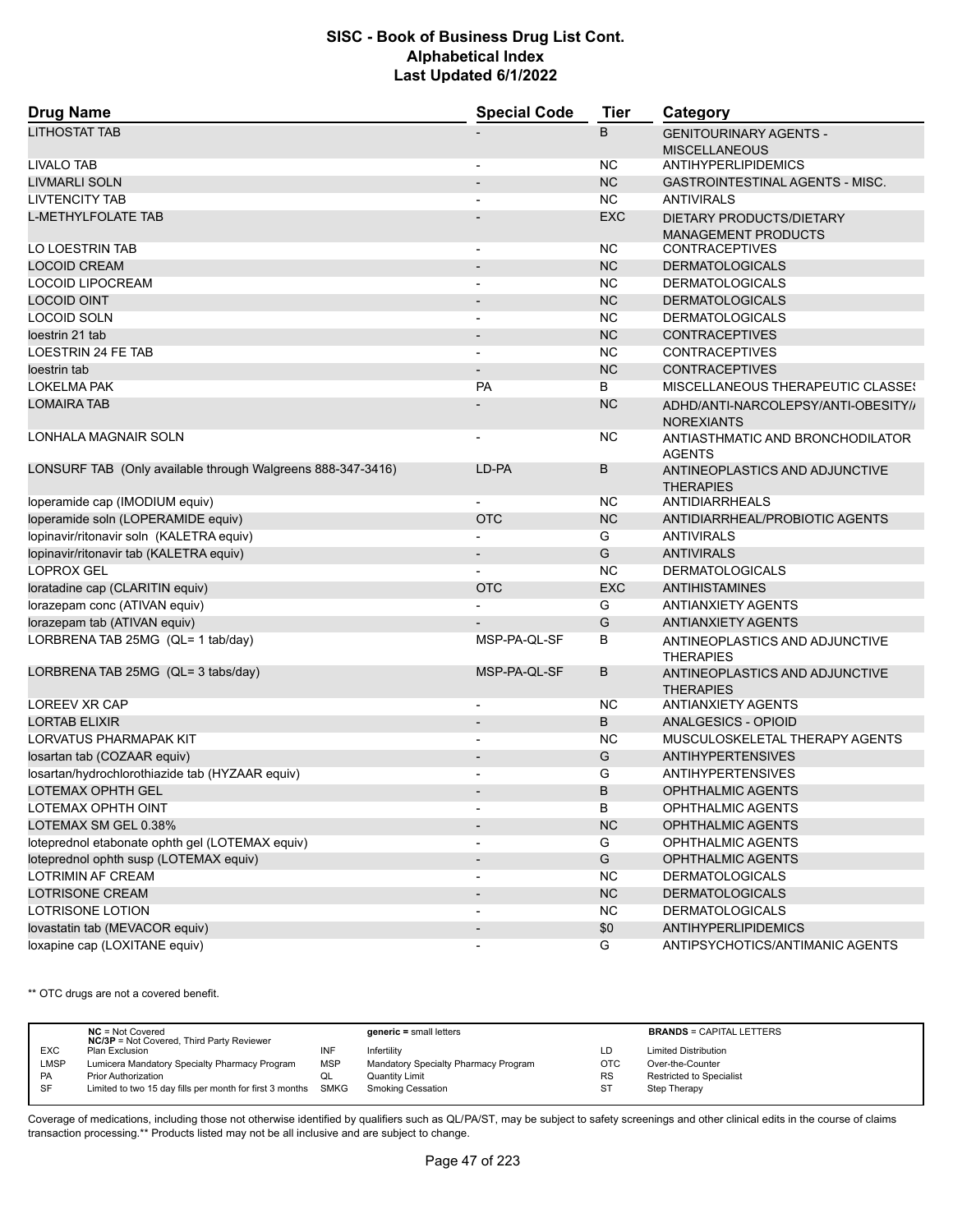| <b>Drug Name</b>                                            | <b>Special Code</b>      | <b>Tier</b> | Category                                                 |  |
|-------------------------------------------------------------|--------------------------|-------------|----------------------------------------------------------|--|
| <b>LITHOSTAT TAB</b>                                        |                          | B           | <b>GENITOURINARY AGENTS -</b><br><b>MISCELLANEOUS</b>    |  |
| <b>LIVALO TAB</b>                                           | $\overline{\phantom{a}}$ | NC.         | ANTIHYPERLIPIDEMICS                                      |  |
| <b>LIVMARLI SOLN</b>                                        |                          | <b>NC</b>   | <b>GASTROINTESTINAL AGENTS - MISC.</b>                   |  |
| <b>LIVTENCITY TAB</b>                                       |                          | <b>NC</b>   | <b>ANTIVIRALS</b>                                        |  |
| <b>L-METHYLFOLATE TAB</b>                                   |                          | <b>EXC</b>  | DIETARY PRODUCTS/DIETARY<br><b>MANAGEMENT PRODUCTS</b>   |  |
| LO LOESTRIN TAB                                             | $\overline{\phantom{a}}$ | NC.         | <b>CONTRACEPTIVES</b>                                    |  |
| <b>LOCOID CREAM</b>                                         | $\overline{\phantom{a}}$ | <b>NC</b>   | <b>DERMATOLOGICALS</b>                                   |  |
| <b>LOCOID LIPOCREAM</b>                                     |                          | <b>NC</b>   | <b>DERMATOLOGICALS</b>                                   |  |
| <b>LOCOID OINT</b>                                          | $\overline{\phantom{a}}$ | <b>NC</b>   | <b>DERMATOLOGICALS</b>                                   |  |
| LOCOID SOLN                                                 | $\overline{a}$           | <b>NC</b>   | <b>DERMATOLOGICALS</b>                                   |  |
| loestrin 21 tab                                             |                          | <b>NC</b>   | <b>CONTRACEPTIVES</b>                                    |  |
| LOESTRIN 24 FE TAB                                          |                          | <b>NC</b>   | <b>CONTRACEPTIVES</b>                                    |  |
| loestrin tab                                                | $\overline{\phantom{a}}$ | <b>NC</b>   | <b>CONTRACEPTIVES</b>                                    |  |
| LOKELMA PAK                                                 | <b>PA</b>                | B           | MISCELLANEOUS THERAPEUTIC CLASSES                        |  |
| <b>LOMAIRA TAB</b>                                          |                          | <b>NC</b>   | ADHD/ANTI-NARCOLEPSY/ANTI-OBESITY//<br><b>NOREXIANTS</b> |  |
| <b>LONHALA MAGNAIR SOLN</b>                                 |                          | NC.         | ANTIASTHMATIC AND BRONCHODILATOR<br><b>AGENTS</b>        |  |
| LONSURF TAB (Only available through Walgreens 888-347-3416) | LD-PA                    | B           | ANTINEOPLASTICS AND ADJUNCTIVE<br><b>THERAPIES</b>       |  |
| loperamide cap (IMODIUM equiv)                              | $\overline{a}$           | NC.         | ANTIDIARRHEALS                                           |  |
| loperamide soln (LOPERAMIDE equiv)                          | <b>OTC</b>               | <b>NC</b>   | ANTIDIARRHEAL/PROBIOTIC AGENTS                           |  |
| lopinavir/ritonavir soln (KALETRA equiv)                    |                          | G           | <b>ANTIVIRALS</b>                                        |  |
| lopinavir/ritonavir tab (KALETRA equiv)                     |                          | G           | <b>ANTIVIRALS</b>                                        |  |
| <b>LOPROX GEL</b>                                           |                          | <b>NC</b>   | <b>DERMATOLOGICALS</b>                                   |  |
| loratadine cap (CLARITIN equiv)                             | <b>OTC</b>               | <b>EXC</b>  | ANTIHISTAMINES                                           |  |
| lorazepam conc (ATIVAN equiv)                               |                          | G           | <b>ANTIANXIETY AGENTS</b>                                |  |
| lorazepam tab (ATIVAN equiv)                                |                          | G           | <b>ANTIANXIETY AGENTS</b>                                |  |
| LORBRENA TAB 25MG (QL= 1 tab/day)                           | MSP-PA-QL-SF             | В           |                                                          |  |
|                                                             |                          |             | ANTINEOPLASTICS AND ADJUNCTIVE<br><b>THERAPIES</b>       |  |
| LORBRENA TAB 25MG (QL= 3 tabs/day)                          | MSP-PA-QL-SF             | B           | ANTINEOPLASTICS AND ADJUNCTIVE<br><b>THERAPIES</b>       |  |
| LOREEV XR CAP                                               |                          | NC.         | <b>ANTIANXIETY AGENTS</b>                                |  |
| <b>LORTAB ELIXIR</b>                                        |                          | B           | ANALGESICS - OPIOID                                      |  |
| LORVATUS PHARMAPAK KIT                                      | $\overline{\phantom{a}}$ | <b>NC</b>   | MUSCULOSKELETAL THERAPY AGENTS                           |  |
| Iosartan tab (COZAAR equiv)                                 |                          | G           | <b>ANTIHYPERTENSIVES</b>                                 |  |
| losartan/hydrochlorothiazide tab (HYZAAR equiv)             |                          | G           | <b>ANTIHYPERTENSIVES</b>                                 |  |
| <b>LOTEMAX OPHTH GEL</b>                                    |                          | B           | <b>OPHTHALMIC AGENTS</b>                                 |  |
| LOTEMAX OPHTH OINT                                          | $\overline{\phantom{a}}$ | В           | <b>OPHTHALMIC AGENTS</b>                                 |  |
| LOTEMAX SM GEL 0.38%                                        |                          | NC          | OPHTHALMIC AGENTS                                        |  |
| loteprednol etabonate ophth gel (LOTEMAX equiv)             |                          | G           | OPHTHALMIC AGENTS                                        |  |
| loteprednol ophth susp (LOTEMAX equiv)                      | $\overline{\phantom{a}}$ | G           | OPHTHALMIC AGENTS                                        |  |
| LOTRIMIN AF CREAM                                           | $\overline{\phantom{a}}$ | <b>NC</b>   | <b>DERMATOLOGICALS</b>                                   |  |
| <b>LOTRISONE CREAM</b>                                      | $\overline{\phantom{a}}$ | NC          | <b>DERMATOLOGICALS</b>                                   |  |
| LOTRISONE LOTION                                            | $\overline{\phantom{a}}$ | <b>NC</b>   | <b>DERMATOLOGICALS</b>                                   |  |
| lovastatin tab (MEVACOR equiv)                              | $\overline{\phantom{a}}$ | \$0         | <b>ANTIHYPERLIPIDEMICS</b>                               |  |
| loxapine cap (LOXITANE equiv)                               | $\overline{a}$           | G           | ANTIPSYCHOTICS/ANTIMANIC AGENTS                          |  |

\*\* OTC drugs are not a covered benefit.

|             | $NC = Not Covered$<br><b>NC/3P</b> = Not Covered, Third Party Reviewer |            | $generic = small letters$            |           | <b>BRANDS = CAPITAL LETTERS</b> |
|-------------|------------------------------------------------------------------------|------------|--------------------------------------|-----------|---------------------------------|
| <b>EXC</b>  | Plan Exclusion                                                         | INF        | Infertility                          | LD        | <b>Limited Distribution</b>     |
| <b>LMSP</b> | Lumicera Mandatory Specialty Pharmacy Program                          | <b>MSP</b> | Mandatory Specialty Pharmacy Program | OTC       | Over-the-Counter                |
| <b>PA</b>   | <b>Prior Authorization</b>                                             | ◡          | Quantity Limit                       | <b>RS</b> | <b>Restricted to Specialist</b> |
| -SF         | Limited to two 15 day fills per month for first 3 months SMKG          |            | Smoking Cessation                    | <b>ST</b> | Step Therapy                    |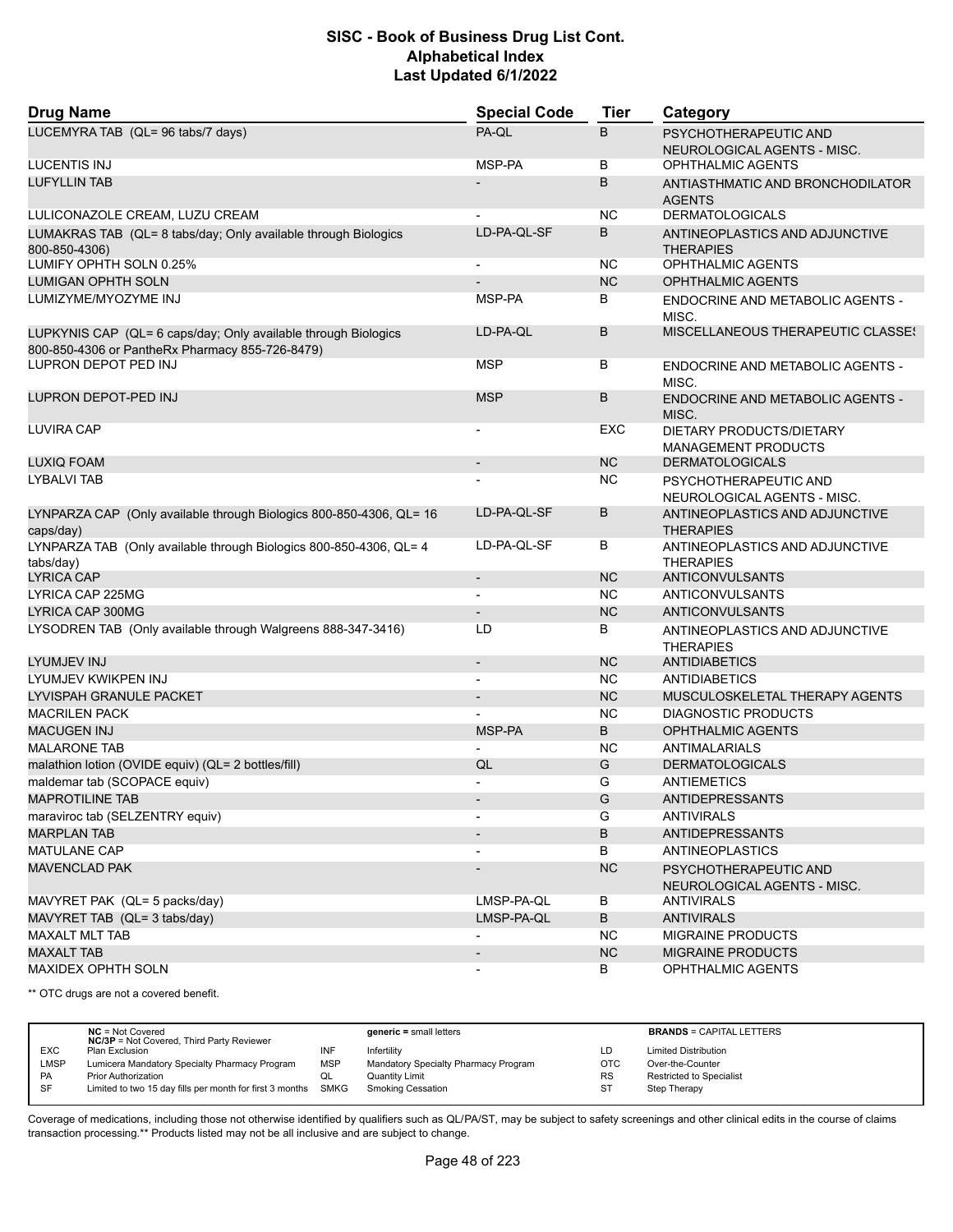| <b>Drug Name</b>                                                                                                  | <b>Special Code</b>      | <b>Tier</b> | Category                                               |
|-------------------------------------------------------------------------------------------------------------------|--------------------------|-------------|--------------------------------------------------------|
| LUCEMYRA TAB (QL= 96 tabs/7 days)                                                                                 | PA-QL                    | B           | PSYCHOTHERAPEUTIC AND<br>NEUROLOGICAL AGENTS - MISC.   |
| LUCENTIS INJ                                                                                                      | MSP-PA                   | В           | OPHTHALMIC AGENTS                                      |
| <b>LUFYLLIN TAB</b>                                                                                               |                          | B           | ANTIASTHMATIC AND BRONCHODILATOR<br><b>AGENTS</b>      |
| LULICONAZOLE CREAM, LUZU CREAM                                                                                    |                          | ΝC          | <b>DERMATOLOGICALS</b>                                 |
| LUMAKRAS TAB (QL= 8 tabs/day; Only available through Biologics<br>800-850-4306)                                   | LD-PA-QL-SF              | B           | ANTINEOPLASTICS AND ADJUNCTIVE<br><b>THERAPIES</b>     |
| LUMIFY OPHTH SOLN 0.25%                                                                                           |                          | ΝC          | <b>OPHTHALMIC AGENTS</b>                               |
| <b>LUMIGAN OPHTH SOLN</b>                                                                                         |                          | <b>NC</b>   | <b>OPHTHALMIC AGENTS</b>                               |
| LUMIZYME/MYOZYME INJ                                                                                              | MSP-PA                   | В           | ENDOCRINE AND METABOLIC AGENTS -<br>MISC.              |
| LUPKYNIS CAP (QL= 6 caps/day; Only available through Biologics<br>800-850-4306 or PantheRx Pharmacy 855-726-8479) | LD-PA-QL                 | В           | MISCELLANEOUS THERAPEUTIC CLASSES                      |
| LUPRON DEPOT PED INJ                                                                                              | <b>MSP</b>               | В           | <b>ENDOCRINE AND METABOLIC AGENTS -</b><br>MISC.       |
| LUPRON DEPOT-PED INJ                                                                                              | <b>MSP</b>               | B           | ENDOCRINE AND METABOLIC AGENTS -<br>MISC.              |
| LUVIRA CAP                                                                                                        |                          | EXC         | DIETARY PRODUCTS/DIETARY<br><b>MANAGEMENT PRODUCTS</b> |
| LUXIQ FOAM                                                                                                        | $\overline{\phantom{a}}$ | <b>NC</b>   | <b>DERMATOLOGICALS</b>                                 |
| <b>LYBALVI TAB</b>                                                                                                |                          | ΝC          | PSYCHOTHERAPEUTIC AND<br>NEUROLOGICAL AGENTS - MISC.   |
| LYNPARZA CAP (Only available through Biologics 800-850-4306, QL= 16<br>caps/day)                                  | LD-PA-QL-SF              | В           | ANTINEOPLASTICS AND ADJUNCTIVE<br><b>THERAPIES</b>     |
| LYNPARZA TAB (Only available through Biologics 800-850-4306, QL= 4<br>tabs/day)                                   | LD-PA-QL-SF              | В           | ANTINEOPLASTICS AND ADJUNCTIVE<br>THERAPIES            |
| LYRICA CAP                                                                                                        |                          | <b>NC</b>   | ANTICONVULSANTS                                        |
| LYRICA CAP 225MG                                                                                                  |                          | <b>NC</b>   | ANTICONVULSANTS                                        |
| LYRICA CAP 300MG                                                                                                  | $\overline{\phantom{0}}$ | <b>NC</b>   | ANTICONVULSANTS                                        |
| LYSODREN TAB (Only available through Walgreens 888-347-3416)                                                      | LD                       | В           | ANTINEOPLASTICS AND ADJUNCTIVE<br><b>THERAPIES</b>     |
| LYUMJEV INJ                                                                                                       | $\overline{\phantom{a}}$ | <b>NC</b>   | <b>ANTIDIABETICS</b>                                   |
| LYUMJEV KWIKPEN INJ                                                                                               | $\blacksquare$           | <b>NC</b>   | <b>ANTIDIABETICS</b>                                   |
| LYVISPAH GRANULE PACKET                                                                                           | $\overline{\phantom{a}}$ | <b>NC</b>   | MUSCULOSKELETAL THERAPY AGENTS                         |
| <b>MACRILEN PACK</b>                                                                                              |                          | ΝC          | DIAGNOSTIC PRODUCTS                                    |
| <b>MACUGEN INJ</b>                                                                                                | MSP-PA                   | B           | <b>OPHTHALMIC AGENTS</b>                               |
| <b>MALARONE TAB</b>                                                                                               |                          | ΝC          | ANTIMALARIALS                                          |
| malathion lotion (OVIDE equiv) (QL= 2 bottles/fill)                                                               | QL                       | G           | <b>DERMATOLOGICALS</b>                                 |
| maldemar tab (SCOPACE equiv)                                                                                      |                          | G           | ANTIEMETICS                                            |
| <b>MAPROTILINE TAB</b>                                                                                            |                          | G           | ANTIDEPRESSANTS                                        |
| maraviroc tab (SELZENTRY equiv)                                                                                   | $\overline{\phantom{a}}$ | G           | <b>ANTIVIRALS</b>                                      |
| <b>MARPLAN TAB</b>                                                                                                |                          | B           | ANTIDEPRESSANTS                                        |
| <b>MATULANE CAP</b>                                                                                               |                          | В           | <b>ANTINEOPLASTICS</b>                                 |
| <b>MAVENCLAD PAK</b>                                                                                              |                          | <b>NC</b>   | PSYCHOTHERAPEUTIC AND<br>NEUROLOGICAL AGENTS - MISC.   |
| MAVYRET PAK (QL= 5 packs/day)                                                                                     | LMSP-PA-QL               | В           | <b>ANTIVIRALS</b>                                      |
| MAVYRET TAB (QL= 3 tabs/day)                                                                                      | LMSP-PA-QL               | B           | <b>ANTIVIRALS</b>                                      |
| <b>MAXALT MLT TAB</b>                                                                                             |                          | <b>NC</b>   | MIGRAINE PRODUCTS                                      |
| <b>MAXALT TAB</b>                                                                                                 | $\overline{\phantom{a}}$ | NC          | MIGRAINE PRODUCTS                                      |
| MAXIDEX OPHTH SOLN                                                                                                |                          | В           | <b>OPHTHALMIC AGENTS</b>                               |

\*\* OTC drugs are not a covered benefit.

|            | $NC = Not Covered$<br><b>NC/3P</b> = Not Covered, Third Party Reviewer |            | $generic = small letters$            |            | <b>BRANDS = CAPITAL LETTERS</b> |
|------------|------------------------------------------------------------------------|------------|--------------------------------------|------------|---------------------------------|
| <b>EXC</b> | Plan Exclusion                                                         | INF        | Infertility                          | LD         | <b>Limited Distribution</b>     |
| LMSP       | Lumicera Mandatory Specialty Pharmacy Program                          | <b>MSP</b> | Mandatory Specialty Pharmacy Program | <b>OTC</b> | Over-the-Counter                |
| <b>PA</b>  | <b>Prior Authorization</b>                                             | QL         | Quantity Limit                       | <b>RS</b>  | <b>Restricted to Specialist</b> |
| SF         | Limited to two 15 day fills per month for first 3 months SMKG          |            | <b>Smoking Cessation</b>             | ST         | Step Therapy                    |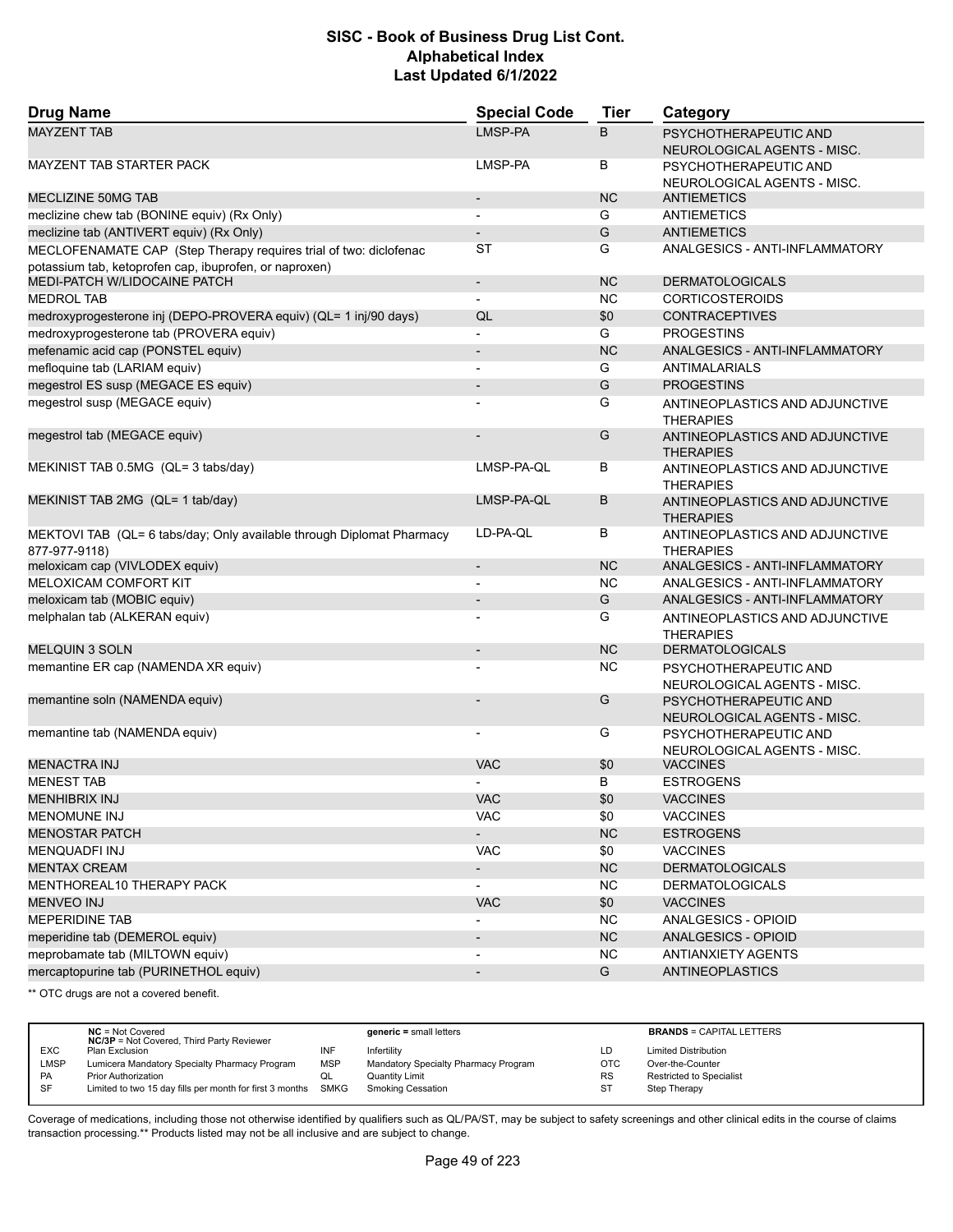| <b>Drug Name</b>                                                                                                            | <b>Special Code</b>          | <b>Tier</b> | Category                                             |
|-----------------------------------------------------------------------------------------------------------------------------|------------------------------|-------------|------------------------------------------------------|
| <b>MAYZENT TAB</b>                                                                                                          | LMSP-PA                      | B           | PSYCHOTHERAPEUTIC AND<br>NEUROLOGICAL AGENTS - MISC. |
| MAYZENT TAB STARTER PACK                                                                                                    | LMSP-PA                      | В           | PSYCHOTHERAPEUTIC AND<br>NEUROLOGICAL AGENTS - MISC. |
| <b>MECLIZINE 50MG TAB</b>                                                                                                   | $\overline{\phantom{a}}$     | <b>NC</b>   | <b>ANTIEMETICS</b>                                   |
| meclizine chew tab (BONINE equiv) (Rx Only)                                                                                 | $\blacksquare$               | G           | <b>ANTIEMETICS</b>                                   |
| meclizine tab (ANTIVERT equiv) (Rx Only)                                                                                    | $\overline{\phantom{a}}$     | G           | <b>ANTIEMETICS</b>                                   |
| MECLOFENAMATE CAP (Step Therapy requires trial of two: diclofenac<br>potassium tab, ketoprofen cap, ibuprofen, or naproxen) | ST                           | G           | ANALGESICS - ANTI-INFLAMMATORY                       |
| MEDI-PATCH W/LIDOCAINE PATCH                                                                                                | $\overline{\phantom{a}}$     | <b>NC</b>   | <b>DERMATOLOGICALS</b>                               |
| <b>MEDROL TAB</b>                                                                                                           | $\overline{\phantom{a}}$     | <b>NC</b>   | <b>CORTICOSTEROIDS</b>                               |
| medroxyprogesterone inj (DEPO-PROVERA equiv) (QL= 1 inj/90 days)                                                            | QL                           | \$0         | <b>CONTRACEPTIVES</b>                                |
| medroxyprogesterone tab (PROVERA equiv)                                                                                     | $\overline{a}$               | G           | <b>PROGESTINS</b>                                    |
| mefenamic acid cap (PONSTEL equiv)                                                                                          | $\overline{\phantom{a}}$     | <b>NC</b>   | ANALGESICS - ANTI-INFLAMMATORY                       |
| mefloquine tab (LARIAM equiv)                                                                                               |                              | G           | <b>ANTIMALARIALS</b>                                 |
| megestrol ES susp (MEGACE ES equiv)                                                                                         | $\overline{\phantom{a}}$     | G           | <b>PROGESTINS</b>                                    |
| megestrol susp (MEGACE equiv)                                                                                               |                              | G           | ANTINEOPLASTICS AND ADJUNCTIVE<br><b>THERAPIES</b>   |
| megestrol tab (MEGACE equiv)                                                                                                |                              | G           | ANTINEOPLASTICS AND ADJUNCTIVE<br><b>THERAPIES</b>   |
| MEKINIST TAB 0.5MG (QL= 3 tabs/day)                                                                                         | LMSP-PA-QL                   | В           | ANTINEOPLASTICS AND ADJUNCTIVE<br><b>THERAPIES</b>   |
| MEKINIST TAB 2MG (QL= 1 tab/day)                                                                                            | LMSP-PA-QL                   | B           | ANTINEOPLASTICS AND ADJUNCTIVE<br><b>THERAPIES</b>   |
| MEKTOVI TAB (QL= 6 tabs/day; Only available through Diplomat Pharmacy<br>877-977-9118)                                      | LD-PA-QL                     | В           | ANTINEOPLASTICS AND ADJUNCTIVE<br><b>THERAPIES</b>   |
| meloxicam cap (VIVLODEX equiv)                                                                                              | $\overline{\phantom{a}}$     | <b>NC</b>   | ANALGESICS - ANTI-INFLAMMATORY                       |
| <b>MELOXICAM COMFORT KIT</b>                                                                                                |                              | <b>NC</b>   | ANALGESICS - ANTI-INFLAMMATORY                       |
| meloxicam tab (MOBIC equiv)                                                                                                 | $\overline{\phantom{a}}$     | G           | ANALGESICS - ANTI-INFLAMMATORY                       |
| melphalan tab (ALKERAN equiv)                                                                                               |                              | G           | ANTINEOPLASTICS AND ADJUNCTIVE<br><b>THERAPIES</b>   |
| <b>MELQUIN 3 SOLN</b>                                                                                                       | $\overline{\phantom{a}}$     | <b>NC</b>   | <b>DERMATOLOGICALS</b>                               |
| memantine ER cap (NAMENDA XR equiv)                                                                                         |                              | <b>NC</b>   | PSYCHOTHERAPEUTIC AND<br>NEUROLOGICAL AGENTS - MISC. |
| memantine soln (NAMENDA equiv)                                                                                              |                              | G           | PSYCHOTHERAPEUTIC AND<br>NEUROLOGICAL AGENTS - MISC. |
| memantine tab (NAMENDA equiv)                                                                                               |                              | G           | PSYCHOTHERAPEUTIC AND<br>NEUROLOGICAL AGENTS - MISC. |
| <b>MENACTRA INJ</b>                                                                                                         | <b>VAC</b>                   | \$0         | <b>VACCINES</b>                                      |
| <b>MENEST TAB</b>                                                                                                           |                              | B           | <b>ESTROGENS</b>                                     |
| <b>MENHIBRIX INJ</b>                                                                                                        | VAC                          | \$0         | <b>VACCINES</b>                                      |
| <b>MENOMUNE INJ</b>                                                                                                         | VAC                          | \$0         | <b>VACCINES</b>                                      |
| <b>MENOSTAR PATCH</b>                                                                                                       | $\blacksquare$               | <b>NC</b>   | <b>ESTROGENS</b>                                     |
| MENQUADFI INJ                                                                                                               | VAC                          | \$0         | <b>VACCINES</b>                                      |
| <b>MENTAX CREAM</b>                                                                                                         | $\blacksquare$               | <b>NC</b>   | <b>DERMATOLOGICALS</b>                               |
| MENTHOREAL10 THERAPY PACK                                                                                                   |                              | NC.         | <b>DERMATOLOGICALS</b>                               |
| <b>MENVEO INJ</b>                                                                                                           | <b>VAC</b>                   | \$0         | <b>VACCINES</b>                                      |
| MEPERIDINE TAB                                                                                                              |                              | <b>NC</b>   | ANALGESICS - OPIOID                                  |
| meperidine tab (DEMEROL equiv)                                                                                              |                              | <b>NC</b>   | ANALGESICS - OPIOID                                  |
| meprobamate tab (MILTOWN equiv)                                                                                             | $\overline{\phantom{a}}$     | <b>NC</b>   | ANTIANXIETY AGENTS                                   |
| mercaptopurine tab (PURINETHOL equiv)                                                                                       | $\qquad \qquad \blacksquare$ | G           | ANTINEOPLASTICS                                      |

\*\* OTC drugs are not a covered benefit.

|             | $NC = Not Covered$<br><b>NC/3P</b> = Not Covered, Third Party Reviewer |            | $generic = small letters$            |            | <b>BRANDS = CAPITAL LETTERS</b> |
|-------------|------------------------------------------------------------------------|------------|--------------------------------------|------------|---------------------------------|
| <b>EXC</b>  | Plan Exclusion                                                         | INF        | Infertility                          | LD         | <b>Limited Distribution</b>     |
| <b>LMSP</b> | Lumicera Mandatory Specialty Pharmacy Program                          | <b>MSP</b> | Mandatory Specialty Pharmacy Program | <b>OTC</b> | Over-the-Counter                |
| <b>PA</b>   | <b>Prior Authorization</b>                                             | QL         | <b>Quantity Limit</b>                | <b>RS</b>  | <b>Restricted to Specialist</b> |
| <b>SF</b>   | Limited to two 15 day fills per month for first 3 months SMKG          |            | Smoking Cessation                    | -ST        | Step Therapy                    |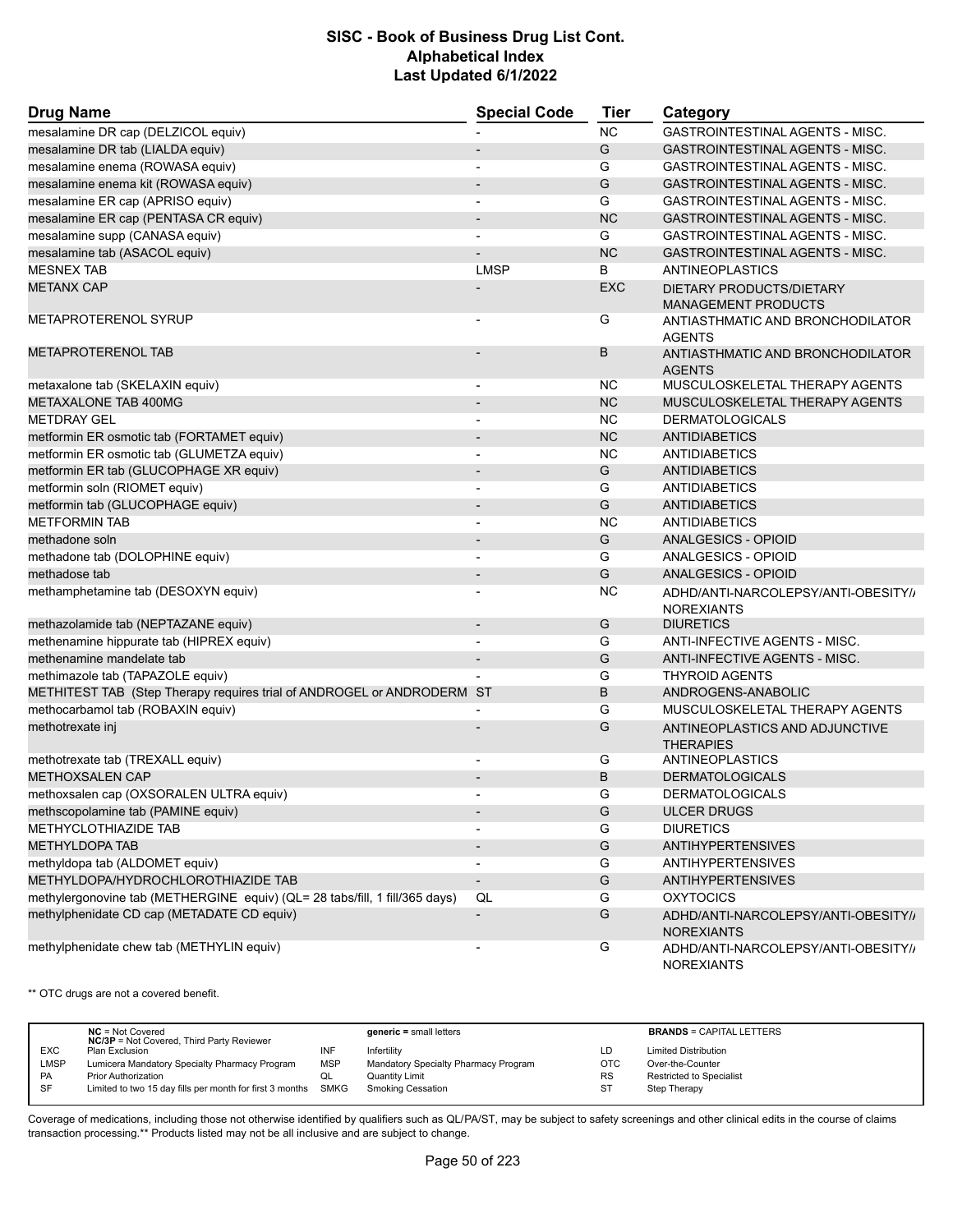| <b>Drug Name</b>                                                            | <b>Special Code</b>      | <b>Tier</b> | Category                                                 |  |
|-----------------------------------------------------------------------------|--------------------------|-------------|----------------------------------------------------------|--|
| mesalamine DR cap (DELZICOL equiv)                                          |                          | <b>NC</b>   | <b>GASTROINTESTINAL AGENTS - MISC.</b>                   |  |
| mesalamine DR tab (LIALDA equiv)                                            | $\overline{\phantom{a}}$ | G           | <b>GASTROINTESTINAL AGENTS - MISC.</b>                   |  |
| mesalamine enema (ROWASA equiv)                                             |                          | G           | GASTROINTESTINAL AGENTS - MISC.                          |  |
| mesalamine enema kit (ROWASA equiv)                                         | $\blacksquare$           | G           | <b>GASTROINTESTINAL AGENTS - MISC.</b>                   |  |
| mesalamine ER cap (APRISO equiv)                                            | $\overline{\phantom{0}}$ | G           | <b>GASTROINTESTINAL AGENTS - MISC.</b>                   |  |
| mesalamine ER cap (PENTASA CR equiv)                                        | $\overline{a}$           | <b>NC</b>   | <b>GASTROINTESTINAL AGENTS - MISC.</b>                   |  |
| mesalamine supp (CANASA equiv)                                              | $\overline{a}$           | G           | GASTROINTESTINAL AGENTS - MISC.                          |  |
| mesalamine tab (ASACOL equiv)                                               |                          | <b>NC</b>   | GASTROINTESTINAL AGENTS - MISC.                          |  |
| <b>MESNEX TAB</b>                                                           | <b>LMSP</b>              | B           | <b>ANTINEOPLASTICS</b>                                   |  |
| <b>METANX CAP</b>                                                           |                          | <b>EXC</b>  | DIETARY PRODUCTS/DIETARY<br><b>MANAGEMENT PRODUCTS</b>   |  |
| <b>METAPROTERENOL SYRUP</b>                                                 |                          | G           | ANTIASTHMATIC AND BRONCHODILATOR<br><b>AGENTS</b>        |  |
| <b>METAPROTERENOL TAB</b>                                                   |                          | В           | ANTIASTHMATIC AND BRONCHODILATOR<br><b>AGENTS</b>        |  |
| metaxalone tab (SKELAXIN equiv)                                             | $\blacksquare$           | <b>NC</b>   | MUSCULOSKELETAL THERAPY AGENTS                           |  |
| <b>METAXALONE TAB 400MG</b>                                                 |                          | <b>NC</b>   | MUSCULOSKELETAL THERAPY AGENTS                           |  |
| <b>METDRAY GEL</b>                                                          | $\overline{\phantom{a}}$ | <b>NC</b>   | <b>DERMATOLOGICALS</b>                                   |  |
| metformin ER osmotic tab (FORTAMET equiv)                                   | $\blacksquare$           | <b>NC</b>   | <b>ANTIDIABETICS</b>                                     |  |
| metformin ER osmotic tab (GLUMETZA equiv)                                   | $\blacksquare$           | <b>NC</b>   | ANTIDIABETICS                                            |  |
| metformin ER tab (GLUCOPHAGE XR equiv)                                      | $\overline{\phantom{a}}$ | G           | ANTIDIABETICS                                            |  |
| metformin soln (RIOMET equiv)                                               |                          | G           | ANTIDIABETICS                                            |  |
| metformin tab (GLUCOPHAGE equiv)                                            | $\overline{\phantom{m}}$ | G           | <b>ANTIDIABETICS</b>                                     |  |
| <b>METFORMIN TAB</b>                                                        |                          | <b>NC</b>   | <b>ANTIDIABETICS</b>                                     |  |
| methadone soln                                                              |                          | G           | <b>ANALGESICS - OPIOID</b>                               |  |
| methadone tab (DOLOPHINE equiv)                                             | $\blacksquare$           | G           | ANALGESICS - OPIOID                                      |  |
| methadose tab                                                               | $\overline{\phantom{a}}$ | G           | ANALGESICS - OPIOID                                      |  |
| methamphetamine tab (DESOXYN equiv)                                         |                          | NC          | ADHD/ANTI-NARCOLEPSY/ANTI-OBESITY//<br><b>NOREXIANTS</b> |  |
| methazolamide tab (NEPTAZANE equiv)                                         | $\overline{\phantom{m}}$ | G           | <b>DIURETICS</b>                                         |  |
| methenamine hippurate tab (HIPREX equiv)                                    | $\blacksquare$           | G           | ANTI-INFECTIVE AGENTS - MISC.                            |  |
| methenamine mandelate tab                                                   | $\overline{\phantom{a}}$ | G           | ANTI-INFECTIVE AGENTS - MISC.                            |  |
| methimazole tab (TAPAZOLE equiv)                                            |                          | G           | <b>THYROID AGENTS</b>                                    |  |
| METHITEST TAB (Step Therapy requires trial of ANDROGEL or ANDRODERM ST      |                          | B           | ANDROGENS-ANABOLIC                                       |  |
| methocarbamol tab (ROBAXIN equiv)                                           |                          | G           | MUSCULOSKELETAL THERAPY AGENTS                           |  |
| methotrexate inj                                                            |                          | G           | ANTINEOPLASTICS AND ADJUNCTIVE<br><b>THERAPIES</b>       |  |
| methotrexate tab (TREXALL equiv)                                            |                          | G           | <b>ANTINEOPLASTICS</b>                                   |  |
| <b>METHOXSALEN CAP</b>                                                      | $\overline{\phantom{a}}$ | B           | <b>DERMATOLOGICALS</b>                                   |  |
| methoxsalen cap (OXSORALEN ULTRA equiv)                                     |                          | G           | <b>DERMATOLOGICALS</b>                                   |  |
| methscopolamine tab (PAMINE equiv)                                          | $\overline{\phantom{a}}$ | G           | <b>ULCER DRUGS</b>                                       |  |
| METHYCLOTHIAZIDE TAB                                                        |                          | G           | <b>DIURETICS</b>                                         |  |
| <b>METHYLDOPA TAB</b>                                                       | $\overline{\phantom{a}}$ | G           | <b>ANTIHYPERTENSIVES</b>                                 |  |
| methyldopa tab (ALDOMET equiv)                                              |                          | G           | <b>ANTIHYPERTENSIVES</b>                                 |  |
| METHYLDOPA/HYDROCHLOROTHIAZIDE TAB                                          | $\overline{\phantom{a}}$ | G           | <b>ANTIHYPERTENSIVES</b>                                 |  |
| methylergonovine tab (METHERGINE equiv) (QL= 28 tabs/fill, 1 fill/365 days) | QL                       | G           | <b>OXYTOCICS</b>                                         |  |
| methylphenidate CD cap (METADATE CD equiv)                                  | $\overline{\phantom{0}}$ | G           | ADHD/ANTI-NARCOLEPSY/ANTI-OBESITY//<br><b>NOREXIANTS</b> |  |
| methylphenidate chew tab (METHYLIN equiv)                                   |                          | G           | ADHD/ANTI-NARCOLEPSY/ANTI-OBESITY//<br><b>NOREXIANTS</b> |  |

\*\* OTC drugs are not a covered benefit.

|             | $NC = Not Covered$<br><b>NC/3P</b> = Not Covered, Third Party Reviewer |            | $generic = small letters$            |           | <b>BRANDS = CAPITAL LETTERS</b> |
|-------------|------------------------------------------------------------------------|------------|--------------------------------------|-----------|---------------------------------|
| EXC.        | Plan Exclusion                                                         | INF        | Infertility                          | LD        | <b>Limited Distribution</b>     |
| <b>LMSP</b> | Lumicera Mandatory Specialty Pharmacy Program                          | <b>MSP</b> | Mandatory Specialty Pharmacy Program | OTC       | Over-the-Counter                |
| <b>PA</b>   | <b>Prior Authorization</b>                                             |            | <b>Quantity Limit</b>                | <b>RS</b> | Restricted to Specialist        |
| SF          | Limited to two 15 day fills per month for first 3 months SMKG          |            | <b>Smoking Cessation</b>             | <b>ST</b> | Step Therapy                    |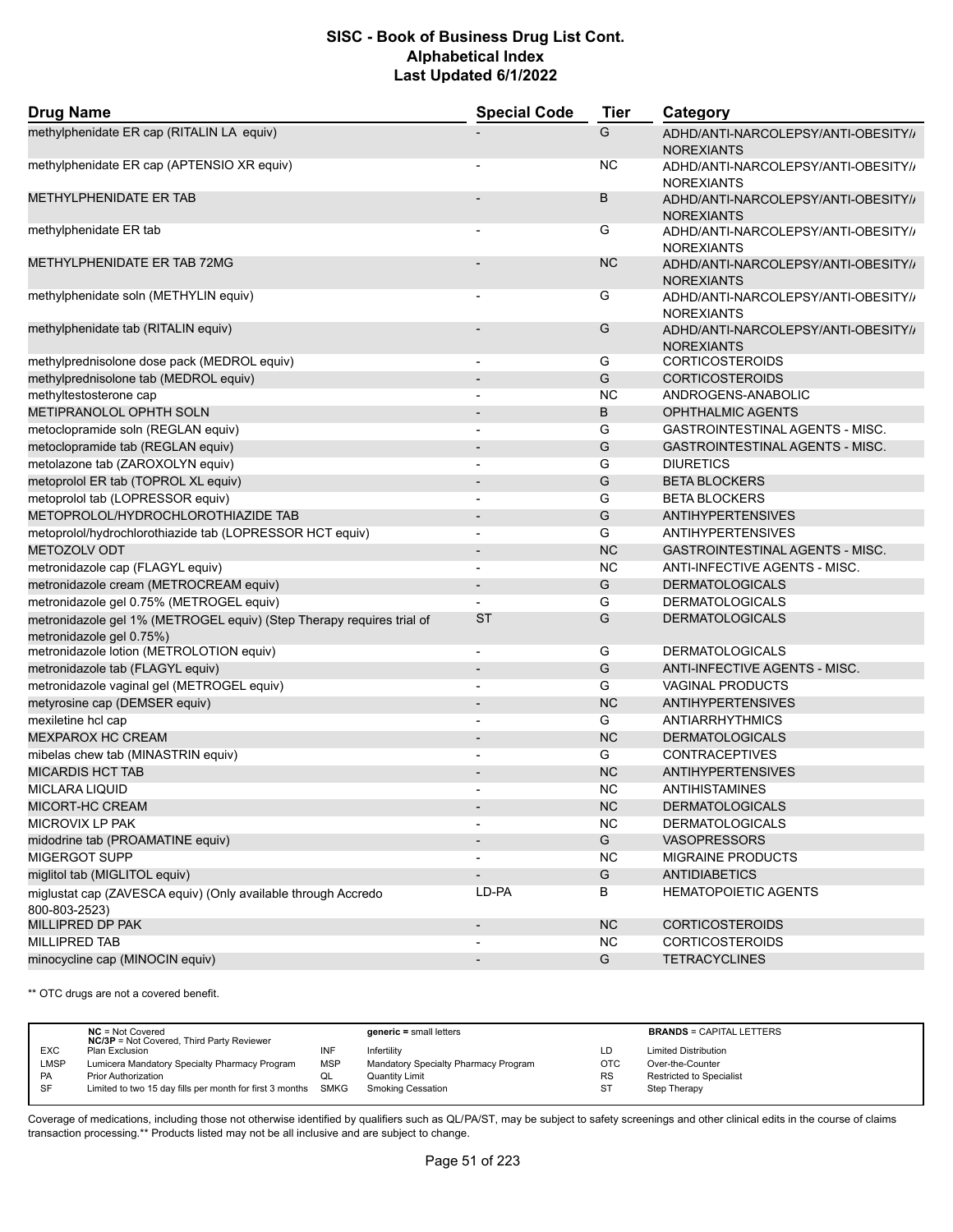| <b>Drug Name</b>                                                                                  | <b>Special Code</b>      | <b>Tier</b> | Category                                                 |
|---------------------------------------------------------------------------------------------------|--------------------------|-------------|----------------------------------------------------------|
| methylphenidate ER cap (RITALIN LA equiv)                                                         |                          | G           | ADHD/ANTI-NARCOLEPSY/ANTI-OBESITY//<br><b>NOREXIANTS</b> |
| methylphenidate ER cap (APTENSIO XR equiv)                                                        |                          | ΝC          | ADHD/ANTI-NARCOLEPSY/ANTI-OBESITY//<br><b>NOREXIANTS</b> |
| <b>METHYLPHENIDATE ER TAB</b>                                                                     |                          | B           | ADHD/ANTI-NARCOLEPSY/ANTI-OBESITY//<br><b>NOREXIANTS</b> |
| methylphenidate ER tab                                                                            |                          | G           | ADHD/ANTI-NARCOLEPSY/ANTI-OBESITY//<br><b>NOREXIANTS</b> |
| METHYLPHENIDATE ER TAB 72MG                                                                       |                          | <b>NC</b>   | ADHD/ANTI-NARCOLEPSY/ANTI-OBESITY//<br><b>NOREXIANTS</b> |
| methylphenidate soln (METHYLIN equiv)                                                             |                          | G           | ADHD/ANTI-NARCOLEPSY/ANTI-OBESITY//<br><b>NOREXIANTS</b> |
| methylphenidate tab (RITALIN equiv)                                                               |                          | G           | ADHD/ANTI-NARCOLEPSY/ANTI-OBESITY//<br><b>NOREXIANTS</b> |
| methylprednisolone dose pack (MEDROL equiv)                                                       | $\overline{\phantom{a}}$ | G           | <b>CORTICOSTEROIDS</b>                                   |
| methylprednisolone tab (MEDROL equiv)                                                             | $\overline{\phantom{a}}$ | G           | <b>CORTICOSTEROIDS</b>                                   |
| methyltestosterone cap                                                                            |                          | <b>NC</b>   | ANDROGENS-ANABOLIC                                       |
| METIPRANOLOL OPHTH SOLN                                                                           | $\overline{\phantom{a}}$ | B           | <b>OPHTHALMIC AGENTS</b>                                 |
| metoclopramide soln (REGLAN equiv)                                                                |                          | G           | <b>GASTROINTESTINAL AGENTS - MISC.</b>                   |
| metoclopramide tab (REGLAN equiv)                                                                 |                          | G           | <b>GASTROINTESTINAL AGENTS - MISC.</b>                   |
| metolazone tab (ZAROXOLYN equiv)                                                                  | $\overline{\phantom{a}}$ | G           | <b>DIURETICS</b>                                         |
| metoprolol ER tab (TOPROL XL equiv)                                                               |                          | G           | <b>BETA BLOCKERS</b>                                     |
| metoprolol tab (LOPRESSOR equiv)                                                                  |                          | G           | <b>BETA BLOCKERS</b>                                     |
| METOPROLOL/HYDROCHLOROTHIAZIDE TAB                                                                | $\overline{\phantom{a}}$ | G           | <b>ANTIHYPERTENSIVES</b>                                 |
| metoprolol/hydrochlorothiazide tab (LOPRESSOR HCT equiv)                                          | $\overline{\phantom{a}}$ | G           | <b>ANTIHYPERTENSIVES</b>                                 |
| METOZOLV ODT                                                                                      |                          | <b>NC</b>   | <b>GASTROINTESTINAL AGENTS - MISC.</b>                   |
| metronidazole cap (FLAGYL equiv)                                                                  | $\overline{\phantom{a}}$ | <b>NC</b>   | ANTI-INFECTIVE AGENTS - MISC.                            |
| metronidazole cream (METROCREAM equiv)                                                            | $\overline{\phantom{a}}$ | G           | <b>DERMATOLOGICALS</b>                                   |
| metronidazole gel 0.75% (METROGEL equiv)                                                          |                          | G           | <b>DERMATOLOGICALS</b>                                   |
|                                                                                                   | <b>ST</b>                | G           | <b>DERMATOLOGICALS</b>                                   |
| metronidazole gel 1% (METROGEL equiv) (Step Therapy requires trial of<br>metronidazole gel 0.75%) |                          |             |                                                          |
| metronidazole lotion (METROLOTION equiv)                                                          | $\overline{a}$           | G           | <b>DERMATOLOGICALS</b>                                   |
| metronidazole tab (FLAGYL equiv)                                                                  | $\overline{\phantom{a}}$ | G           | ANTI-INFECTIVE AGENTS - MISC.                            |
| metronidazole vaginal gel (METROGEL equiv)                                                        |                          | G           | <b>VAGINAL PRODUCTS</b>                                  |
| metyrosine cap (DEMSER equiv)                                                                     |                          | <b>NC</b>   | <b>ANTIHYPERTENSIVES</b>                                 |
| mexiletine hcl cap                                                                                | $\blacksquare$           | G           | ANTIARRHYTHMICS                                          |
| <b>MEXPAROX HC CREAM</b>                                                                          |                          | <b>NC</b>   | <b>DERMATOLOGICALS</b>                                   |
| mibelas chew tab (MINASTRIN equiv)                                                                |                          | G           | <b>CONTRACEPTIVES</b>                                    |
| <b>MICARDIS HCT TAB</b>                                                                           | $\overline{\phantom{a}}$ | <b>NC</b>   | <b>ANTIHYPERTENSIVES</b>                                 |
| <b>MICLARA LIQUID</b>                                                                             |                          | <b>NC</b>   | <b>ANTIHISTAMINES</b>                                    |
| MICORT-HC CREAM                                                                                   |                          | NC          | <b>DERMATOLOGICALS</b>                                   |
| MICROVIX LP PAK                                                                                   |                          | <b>NC</b>   | <b>DERMATOLOGICALS</b>                                   |
| midodrine tab (PROAMATINE equiv)                                                                  |                          | G           | <b>VASOPRESSORS</b>                                      |
| MIGERGOT SUPP                                                                                     |                          | <b>NC</b>   | MIGRAINE PRODUCTS                                        |
| miglitol tab (MIGLITOL equiv)                                                                     | $\overline{\phantom{a}}$ | G           | <b>ANTIDIABETICS</b>                                     |
| miglustat cap (ZAVESCA equiv) (Only available through Accredo<br>800-803-2523)                    | LD-PA                    | В           | <b>HEMATOPOIETIC AGENTS</b>                              |
| MILLIPRED DP PAK                                                                                  | $\overline{\phantom{a}}$ | <b>NC</b>   | <b>CORTICOSTEROIDS</b>                                   |
| <b>MILLIPRED TAB</b>                                                                              |                          | <b>NC</b>   | <b>CORTICOSTEROIDS</b>                                   |
| minocycline cap (MINOCIN equiv)                                                                   |                          | G           | <b>TETRACYCLINES</b>                                     |

\*\* OTC drugs are not a covered benefit.

|            | $NC = Not Covered$<br><b>NC/3P</b> = Not Covered, Third Party Reviewer |            | $generic = small letters$            |           | <b>BRANDS = CAPITAL LETTERS</b> |
|------------|------------------------------------------------------------------------|------------|--------------------------------------|-----------|---------------------------------|
| <b>EXC</b> | Plan Exclusion                                                         | INF        | Infertility                          | LD        | <b>Limited Distribution</b>     |
| LMSP       | Lumicera Mandatory Specialty Pharmacy Program                          | <b>MSP</b> | Mandatory Specialty Pharmacy Program | OTC       | Over-the-Counter                |
| <b>PA</b>  | <b>Prior Authorization</b>                                             | QL         | <b>Quantity Limit</b>                | <b>RS</b> | <b>Restricted to Specialist</b> |
| <b>SF</b>  | Limited to two 15 day fills per month for first 3 months SMKG          |            | <b>Smoking Cessation</b>             | ST        | Step Therapy                    |
|            |                                                                        |            |                                      |           |                                 |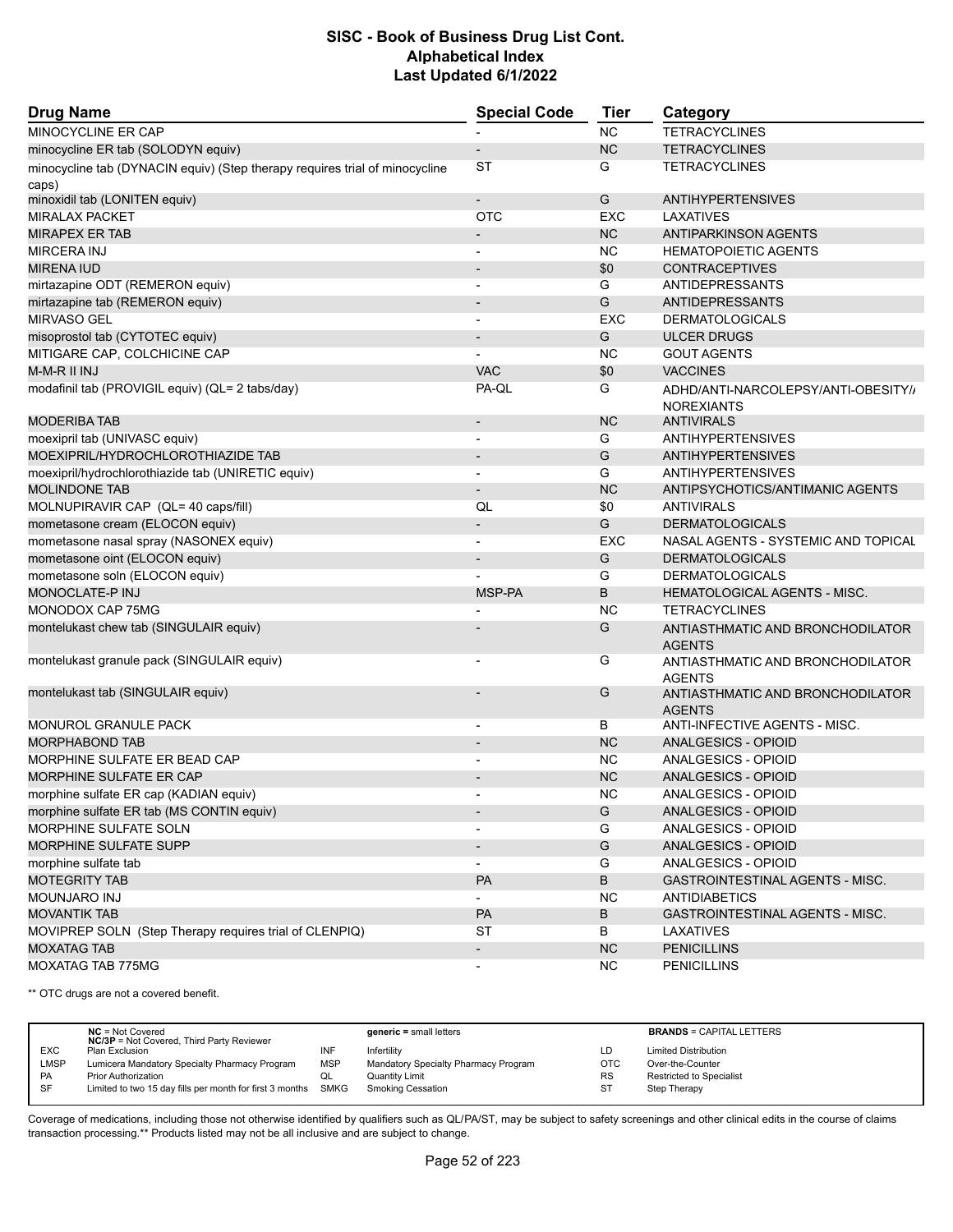| <b>Drug Name</b>                                                            | <b>Special Code</b>          | <b>Tier</b>   | Category                                          |
|-----------------------------------------------------------------------------|------------------------------|---------------|---------------------------------------------------|
| MINOCYCLINE ER CAP                                                          |                              | NC            | <b>TETRACYCLINES</b>                              |
| minocycline ER tab (SOLODYN equiv)                                          |                              | <b>NC</b>     | <b>TETRACYCLINES</b>                              |
| minocycline tab (DYNACIN equiv) (Step therapy requires trial of minocycline | <b>ST</b>                    | G             | <b>TETRACYCLINES</b>                              |
| caps)                                                                       |                              |               |                                                   |
| minoxidil tab (LONITEN equiv)                                               | $\overline{a}$               | G             | <b>ANTIHYPERTENSIVES</b>                          |
| <b>MIRALAX PACKET</b>                                                       | <b>OTC</b>                   | EXC           | LAXATIVES                                         |
| <b>MIRAPEX ER TAB</b>                                                       | $\overline{\phantom{a}}$     | <b>NC</b>     | <b>ANTIPARKINSON AGENTS</b>                       |
| <b>MIRCERA INJ</b>                                                          | $\overline{\phantom{a}}$     | <b>NC</b>     | <b>HEMATOPOIETIC AGENTS</b>                       |
| <b>MIRENA IUD</b>                                                           | $\overline{\phantom{a}}$     | \$0           | <b>CONTRACEPTIVES</b>                             |
| mirtazapine ODT (REMERON equiv)                                             | $\blacksquare$               | G             | ANTIDEPRESSANTS                                   |
| mirtazapine tab (REMERON equiv)                                             |                              | G             | <b>ANTIDEPRESSANTS</b>                            |
| <b>MIRVASO GEL</b>                                                          |                              | <b>EXC</b>    | <b>DERMATOLOGICALS</b>                            |
| misoprostol tab (CYTOTEC equiv)                                             | $\overline{\phantom{a}}$     | G             | <b>ULCER DRUGS</b>                                |
| MITIGARE CAP, COLCHICINE CAP                                                |                              | <b>NC</b>     | <b>GOUT AGENTS</b>                                |
| M-M-R II INJ                                                                | <b>VAC</b>                   | \$0           | <b>VACCINES</b>                                   |
| modafinil tab (PROVIGIL equiv) (QL= 2 tabs/day)                             | PA-QL                        | G             | ADHD/ANTI-NARCOLEPSY/ANTI-OBESITY//               |
|                                                                             |                              |               | <b>NOREXIANTS</b>                                 |
| <b>MODERIBA TAB</b>                                                         | $\qquad \qquad \blacksquare$ | <b>NC</b>     | <b>ANTIVIRALS</b>                                 |
| moexipril tab (UNIVASC equiv)                                               | $\overline{\phantom{a}}$     | G             | <b>ANTIHYPERTENSIVES</b>                          |
| MOEXIPRIL/HYDROCHLOROTHIAZIDE TAB                                           |                              | G             | <b>ANTIHYPERTENSIVES</b>                          |
| moexipril/hydrochlorothiazide tab (UNIRETIC equiv)                          | $\overline{a}$               | G             | <b>ANTIHYPERTENSIVES</b>                          |
| <b>MOLINDONE TAB</b>                                                        |                              | <b>NC</b>     | ANTIPSYCHOTICS/ANTIMANIC AGENTS                   |
| MOLNUPIRAVIR CAP (QL= 40 caps/fill)                                         | QL                           | \$0           | <b>ANTIVIRALS</b>                                 |
| mometasone cream (ELOCON equiv)                                             | $\overline{\phantom{a}}$     | G             | <b>DERMATOLOGICALS</b>                            |
| mometasone nasal spray (NASONEX equiv)                                      |                              | EXC           | NASAL AGENTS - SYSTEMIC AND TOPICAL               |
| mometasone oint (ELOCON equiv)                                              |                              | G             | <b>DERMATOLOGICALS</b>                            |
| mometasone soln (ELOCON equiv)                                              |                              | G             | <b>DERMATOLOGICALS</b>                            |
| <b>MONOCLATE-P INJ</b>                                                      | MSP-PA                       | B             | <b>HEMATOLOGICAL AGENTS - MISC.</b>               |
| MONODOX CAP 75MG                                                            |                              | <b>NC</b>     | <b>TETRACYCLINES</b>                              |
| montelukast chew tab (SINGULAIR equiv)                                      |                              | G             | ANTIASTHMATIC AND BRONCHODILATOR                  |
|                                                                             |                              |               | <b>AGENTS</b>                                     |
| montelukast granule pack (SINGULAIR equiv)                                  | $\overline{\phantom{a}}$     | G             | ANTIASTHMATIC AND BRONCHODILATOR<br><b>AGENTS</b> |
| montelukast tab (SINGULAIR equiv)                                           |                              | G             | ANTIASTHMATIC AND BRONCHODILATOR<br><b>AGENTS</b> |
| <b>MONUROL GRANULE PACK</b>                                                 | $\overline{\phantom{a}}$     | В             | ANTI-INFECTIVE AGENTS - MISC.                     |
| <b>MORPHABOND TAB</b>                                                       |                              | <b>NC</b>     | <b>ANALGESICS - OPIOID</b>                        |
| MORPHINE SULFATE ER BEAD CAP                                                |                              | NC.           | ANALGESICS - OPIOID                               |
| <b>MORPHINE SULFATE ER CAP</b>                                              |                              | <b>NC</b>     | ANALGESICS - OPIOID                               |
| morphine sulfate ER cap (KADIAN equiv)                                      |                              | <b>NC</b>     | ANALGESICS - OPIOID                               |
| morphine sulfate ER tab (MS CONTIN equiv)                                   | $\overline{\phantom{a}}$     | G             | ANALGESICS - OPIOID                               |
| <b>MORPHINE SULFATE SOLN</b>                                                |                              | G             | ANALGESICS - OPIOID                               |
| <b>MORPHINE SULFATE SUPP</b>                                                | $\overline{\phantom{a}}$     | ${\mathsf G}$ | ANALGESICS - OPIOID                               |
| morphine sulfate tab                                                        | $\overline{\phantom{a}}$     | G             | ANALGESICS - OPIOID                               |
| <b>MOTEGRITY TAB</b>                                                        | PA                           | В             | GASTROINTESTINAL AGENTS - MISC.                   |
| MOUNJARO INJ                                                                |                              | <b>NC</b>     | <b>ANTIDIABETICS</b>                              |
| <b>MOVANTIK TAB</b>                                                         | PA                           | B             | GASTROINTESTINAL AGENTS - MISC.                   |
| MOVIPREP SOLN (Step Therapy requires trial of CLENPIQ)                      | ST                           | В             | LAXATIVES                                         |
| <b>MOXATAG TAB</b>                                                          | $\blacksquare$               | NC            | <b>PENICILLINS</b>                                |
| MOXATAG TAB 775MG                                                           | $\overline{\phantom{a}}$     | NC            | <b>PENICILLINS</b>                                |
|                                                                             |                              |               |                                                   |

\*\* OTC drugs are not a covered benefit.

|            | $NC = Not Covered$<br><b>NC/3P</b> = Not Covered, Third Party Reviewer |            | $generic = small letters$            |            | <b>BRANDS = CAPITAL LETTERS</b> |
|------------|------------------------------------------------------------------------|------------|--------------------------------------|------------|---------------------------------|
| <b>EXC</b> | Plan Exclusion                                                         | INF        | Infertility                          | LD         | <b>Limited Distribution</b>     |
| LMSP       | Lumicera Mandatory Specialty Pharmacy Program                          | <b>MSP</b> | Mandatory Specialty Pharmacy Program | <b>OTC</b> | Over-the-Counter                |
| PA         | <b>Prior Authorization</b>                                             | QL         | <b>Quantity Limit</b>                | <b>RS</b>  | <b>Restricted to Specialist</b> |
| <b>SF</b>  | Limited to two 15 day fills per month for first 3 months SMKG          |            | <b>Smoking Cessation</b>             | <b>ST</b>  | Step Therapy                    |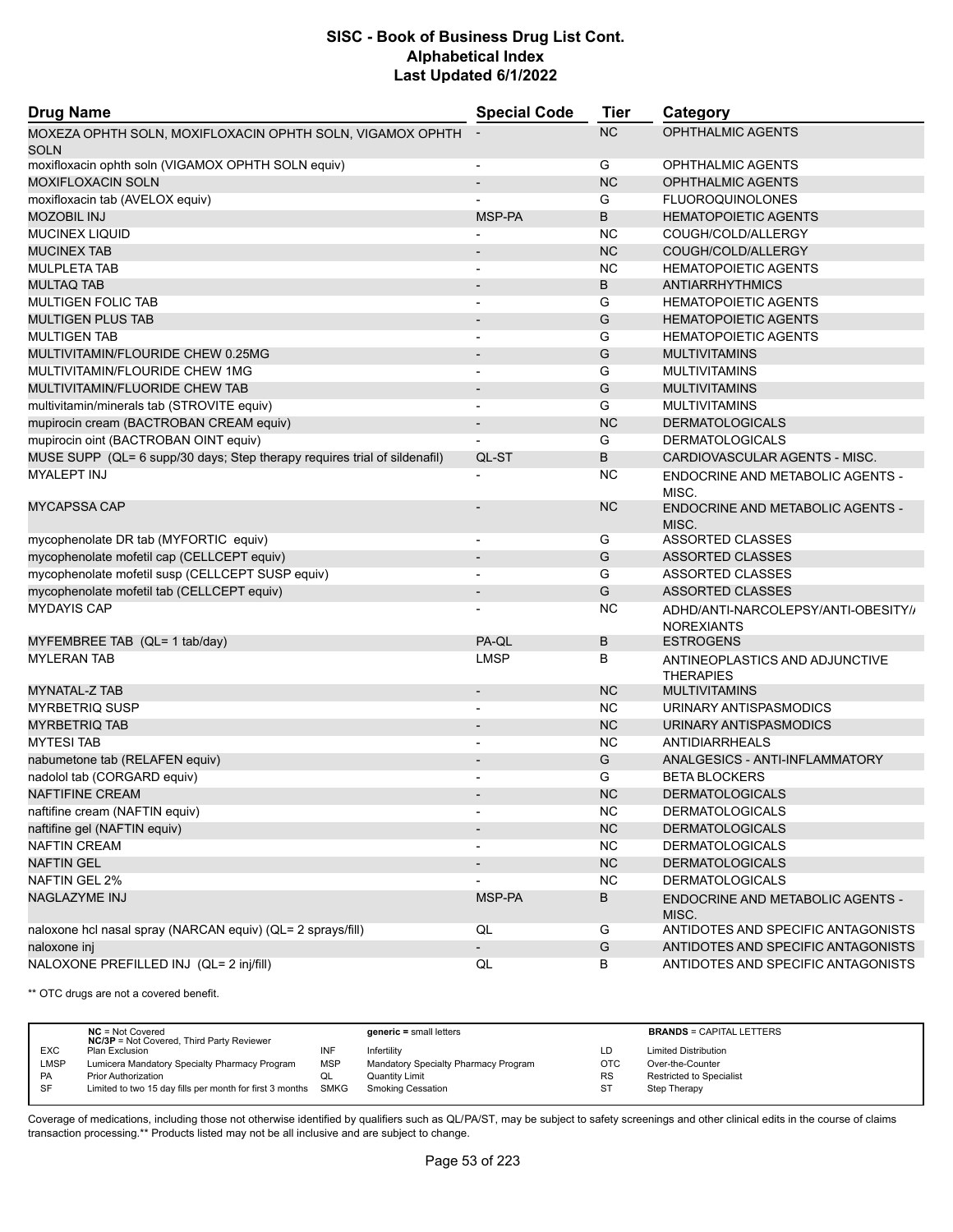| <b>Drug Name</b>                                                          | <b>Special Code</b>      | <b>Tier</b> | Category                                                 |
|---------------------------------------------------------------------------|--------------------------|-------------|----------------------------------------------------------|
| MOXEZA OPHTH SOLN, MOXIFLOXACIN OPHTH SOLN, VIGAMOX OPHTH<br><b>SOLN</b>  |                          | <b>NC</b>   | <b>OPHTHALMIC AGENTS</b>                                 |
| moxifloxacin ophth soln (VIGAMOX OPHTH SOLN equiv)                        | $\overline{a}$           | G           | OPHTHALMIC AGENTS                                        |
| <b>MOXIFLOXACIN SOLN</b>                                                  |                          | <b>NC</b>   | OPHTHALMIC AGENTS                                        |
| moxifloxacin tab (AVELOX equiv)                                           |                          | G           | <b>FLUOROQUINOLONES</b>                                  |
| <b>MOZOBIL INJ</b>                                                        | MSP-PA                   | B           | <b>HEMATOPOIETIC AGENTS</b>                              |
| <b>MUCINEX LIQUID</b>                                                     |                          | <b>NC</b>   | COUGH/COLD/ALLERGY                                       |
| <b>MUCINEX TAB</b>                                                        |                          | <b>NC</b>   | COUGH/COLD/ALLERGY                                       |
| <b>MULPLETA TAB</b>                                                       |                          | <b>NC</b>   | <b>HEMATOPOIETIC AGENTS</b>                              |
| <b>MULTAQ TAB</b>                                                         | $\blacksquare$           | B           | <b>ANTIARRHYTHMICS</b>                                   |
| <b>MULTIGEN FOLIC TAB</b>                                                 | $\overline{\phantom{a}}$ | G           | <b>HEMATOPOIETIC AGENTS</b>                              |
| <b>MULTIGEN PLUS TAB</b>                                                  |                          | G           | <b>HEMATOPOIETIC AGENTS</b>                              |
| <b>MULTIGEN TAB</b>                                                       | $\blacksquare$           | G           | <b>HEMATOPOIETIC AGENTS</b>                              |
| MULTIVITAMIN/FLOURIDE CHEW 0.25MG                                         |                          | G           | <b>MULTIVITAMINS</b>                                     |
| MULTIVITAMIN/FLOURIDE CHEW 1MG                                            |                          | G           | <b>MULTIVITAMINS</b>                                     |
| MULTIVITAMIN/FLUORIDE CHEW TAB                                            | $\overline{\phantom{a}}$ | G           | <b>MULTIVITAMINS</b>                                     |
| multivitamin/minerals tab (STROVITE equiv)                                | $\overline{a}$           | G           | <b>MULTIVITAMINS</b>                                     |
| mupirocin cream (BACTROBAN CREAM equiv)                                   | $\overline{\phantom{a}}$ | <b>NC</b>   | <b>DERMATOLOGICALS</b>                                   |
| mupirocin oint (BACTROBAN OINT equiv)                                     |                          | G           | <b>DERMATOLOGICALS</b>                                   |
| MUSE SUPP (QL= 6 supp/30 days; Step therapy requires trial of sildenafil) | QL-ST                    | B           | CARDIOVASCULAR AGENTS - MISC.                            |
| <b>MYALEPT INJ</b>                                                        |                          | <b>NC</b>   | ENDOCRINE AND METABOLIC AGENTS -<br>MISC.                |
| <b>MYCAPSSA CAP</b>                                                       |                          | <b>NC</b>   | ENDOCRINE AND METABOLIC AGENTS -<br>MISC.                |
| mycophenolate DR tab (MYFORTIC equiv)                                     | $\overline{a}$           | G           | ASSORTED CLASSES                                         |
| mycophenolate mofetil cap (CELLCEPT equiv)                                |                          | G           | ASSORTED CLASSES                                         |
| mycophenolate mofetil susp (CELLCEPT SUSP equiv)                          | $\blacksquare$           | G           | <b>ASSORTED CLASSES</b>                                  |
| mycophenolate mofetil tab (CELLCEPT equiv)                                |                          | G           | <b>ASSORTED CLASSES</b>                                  |
| <b>MYDAYIS CAP</b>                                                        |                          | <b>NC</b>   | ADHD/ANTI-NARCOLEPSY/ANTI-OBESITY//<br><b>NOREXIANTS</b> |
| MYFEMBREE TAB (QL= 1 tab/day)                                             | PA-QL                    | В           | <b>ESTROGENS</b>                                         |
| <b>MYLERAN TAB</b>                                                        | <b>LMSP</b>              | В           | ANTINEOPLASTICS AND ADJUNCTIVE<br><b>THERAPIES</b>       |
| MYNATAL-Z TAB                                                             |                          | <b>NC</b>   | <b>MULTIVITAMINS</b>                                     |
| <b>MYRBETRIQ SUSP</b>                                                     |                          | <b>NC</b>   | URINARY ANTISPASMODICS                                   |
| <b>MYRBETRIQ TAB</b>                                                      |                          | <b>NC</b>   | URINARY ANTISPASMODICS                                   |
| <b>MYTESI TAB</b>                                                         | $\blacksquare$           | <b>NC</b>   | ANTIDIARRHEALS                                           |
| nabumetone tab (RELAFEN equiv)                                            |                          | G           | ANALGESICS - ANTI-INFLAMMATORY                           |
| nadolol tab (CORGARD equiv)                                               |                          | G           | <b>BETA BLOCKERS</b>                                     |
| NAFTIFINE CREAM                                                           |                          | <b>NC</b>   | <b>DERMATOLOGICALS</b>                                   |
| naftifine cream (NAFTIN equiv)                                            |                          | <b>NC</b>   | <b>DERMATOLOGICALS</b>                                   |
| naftifine gel (NAFTIN equiv)                                              |                          | NC          | <b>DERMATOLOGICALS</b>                                   |
| <b>NAFTIN CREAM</b>                                                       | $\overline{\phantom{a}}$ | <b>NC</b>   | <b>DERMATOLOGICALS</b>                                   |
| <b>NAFTIN GEL</b>                                                         |                          | NC          | <b>DERMATOLOGICALS</b>                                   |
| <b>NAFTIN GEL 2%</b>                                                      |                          | <b>NC</b>   | <b>DERMATOLOGICALS</b>                                   |
| <b>NAGLAZYME INJ</b>                                                      | MSP-PA                   | В           | <b>ENDOCRINE AND METABOLIC AGENTS -</b><br>MISC.         |
| naloxone hcl nasal spray (NARCAN equiv) (QL= 2 sprays/fill)               | QL                       | G           | ANTIDOTES AND SPECIFIC ANTAGONISTS                       |
| naloxone inj                                                              |                          | G           | ANTIDOTES AND SPECIFIC ANTAGONISTS                       |
| NALOXONE PREFILLED INJ (QL= 2 inj/fill)                                   | QL                       | В           | ANTIDOTES AND SPECIFIC ANTAGONISTS                       |

\*\* OTC drugs are not a covered benefit.

|             | $NC = Not Covered$<br><b>NC/3P</b> = Not Covered, Third Party Reviewer |            | $generic = small letters$            |            | <b>BRANDS = CAPITAL LETTERS</b> |
|-------------|------------------------------------------------------------------------|------------|--------------------------------------|------------|---------------------------------|
| <b>EXC</b>  | Plan Exclusion                                                         | INF        | Infertility                          | LD         | <b>Limited Distribution</b>     |
| <b>LMSP</b> | Lumicera Mandatory Specialty Pharmacy Program                          | <b>MSP</b> | Mandatory Specialty Pharmacy Program | <b>OTC</b> | Over-the-Counter                |
| PA          | <b>Prior Authorization</b>                                             | QL         | Quantity Limit                       | <b>RS</b>  | <b>Restricted to Specialist</b> |
| SF          | Limited to two 15 day fills per month for first 3 months SMKG          |            | <b>Smoking Cessation</b>             | <b>ST</b>  | Step Therapy                    |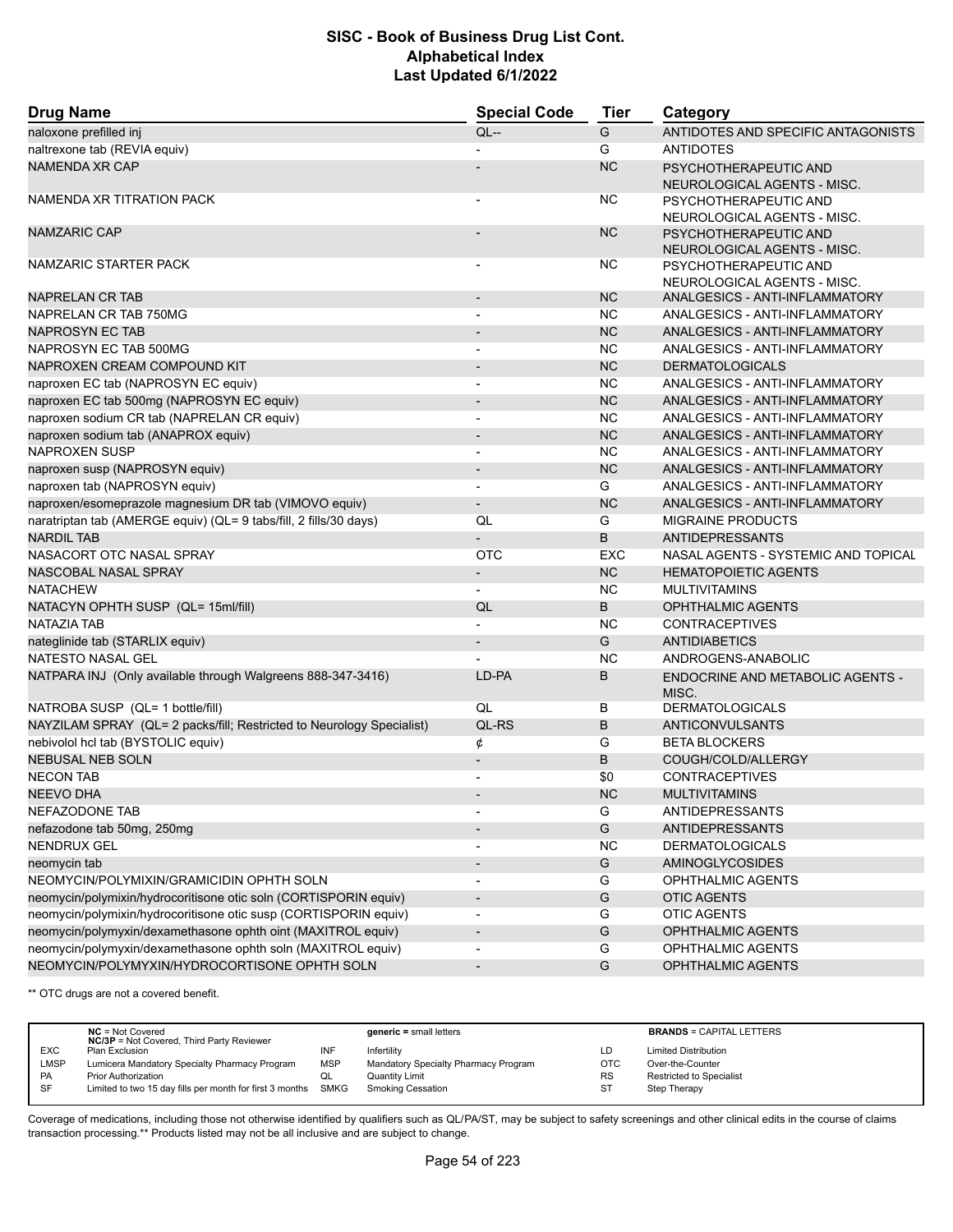| <b>Drug Name</b>                                                      | <b>Special Code</b>      | <b>Tier</b> | Category                                             |  |
|-----------------------------------------------------------------------|--------------------------|-------------|------------------------------------------------------|--|
| naloxone prefilled inj                                                | $QL -$                   | G           | ANTIDOTES AND SPECIFIC ANTAGONISTS                   |  |
| naltrexone tab (REVIA equiv)                                          |                          | G           | <b>ANTIDOTES</b>                                     |  |
| <b>NAMENDA XR CAP</b>                                                 |                          | <b>NC</b>   | PSYCHOTHERAPEUTIC AND<br>NEUROLOGICAL AGENTS - MISC. |  |
| NAMENDA XR TITRATION PACK                                             |                          | <b>NC</b>   | PSYCHOTHERAPEUTIC AND<br>NEUROLOGICAL AGENTS - MISC. |  |
| <b>NAMZARIC CAP</b>                                                   |                          | <b>NC</b>   | PSYCHOTHERAPEUTIC AND<br>NEUROLOGICAL AGENTS - MISC. |  |
| NAMZARIC STARTER PACK                                                 |                          | <b>NC</b>   | PSYCHOTHERAPEUTIC AND<br>NEUROLOGICAL AGENTS - MISC. |  |
| <b>NAPRELAN CR TAB</b>                                                |                          | <b>NC</b>   | ANALGESICS - ANTI-INFLAMMATORY                       |  |
| NAPRELAN CR TAB 750MG                                                 |                          | <b>NC</b>   | ANALGESICS - ANTI-INFLAMMATORY                       |  |
| NAPROSYN EC TAB                                                       | $\overline{\phantom{a}}$ | <b>NC</b>   | ANALGESICS - ANTI-INFLAMMATORY                       |  |
| NAPROSYN EC TAB 500MG                                                 |                          | <b>NC</b>   | ANALGESICS - ANTI-INFLAMMATORY                       |  |
| NAPROXEN CREAM COMPOUND KIT                                           | $\overline{a}$           | <b>NC</b>   | <b>DERMATOLOGICALS</b>                               |  |
| naproxen EC tab (NAPROSYN EC equiv)                                   | ٠                        | <b>NC</b>   | ANALGESICS - ANTI-INFLAMMATORY                       |  |
| naproxen EC tab 500mg (NAPROSYN EC equiv)                             | $\overline{\phantom{a}}$ | <b>NC</b>   | ANALGESICS - ANTI-INFLAMMATORY                       |  |
| naproxen sodium CR tab (NAPRELAN CR equiv)                            | $\blacksquare$           | <b>NC</b>   | ANALGESICS - ANTI-INFLAMMATORY                       |  |
| naproxen sodium tab (ANAPROX equiv)                                   | $\blacksquare$           | <b>NC</b>   | ANALGESICS - ANTI-INFLAMMATORY                       |  |
| <b>NAPROXEN SUSP</b>                                                  | $\overline{a}$           | <b>NC</b>   | ANALGESICS - ANTI-INFLAMMATORY                       |  |
| naproxen susp (NAPROSYN equiv)                                        | $\overline{\phantom{a}}$ | <b>NC</b>   | ANALGESICS - ANTI-INFLAMMATORY                       |  |
| naproxen tab (NAPROSYN equiv)                                         |                          | G           | ANALGESICS - ANTI-INFLAMMATORY                       |  |
| naproxen/esomeprazole magnesium DR tab (VIMOVO equiv)                 | $\overline{\phantom{0}}$ | <b>NC</b>   | ANALGESICS - ANTI-INFLAMMATORY                       |  |
| naratriptan tab (AMERGE equiv) (QL= 9 tabs/fill, 2 fills/30 days)     | QL                       | G           | <b>MIGRAINE PRODUCTS</b>                             |  |
| <b>NARDIL TAB</b>                                                     |                          | B           | <b>ANTIDEPRESSANTS</b>                               |  |
| NASACORT OTC NASAL SPRAY                                              | OTC                      | <b>EXC</b>  | NASAL AGENTS - SYSTEMIC AND TOPICAL                  |  |
| NASCOBAL NASAL SPRAY                                                  | $\overline{\phantom{0}}$ | <b>NC</b>   | <b>HEMATOPOIETIC AGENTS</b>                          |  |
| <b>NATACHEW</b>                                                       |                          | <b>NC</b>   | <b>MULTIVITAMINS</b>                                 |  |
| NATACYN OPHTH SUSP (QL= 15ml/fill)                                    | QL                       | B           | <b>OPHTHALMIC AGENTS</b>                             |  |
| NATAZIA TAB                                                           | $\overline{\phantom{a}}$ | <b>NC</b>   | <b>CONTRACEPTIVES</b>                                |  |
| nateglinide tab (STARLIX equiv)                                       | $\overline{\phantom{a}}$ | G           | <b>ANTIDIABETICS</b>                                 |  |
| NATESTO NASAL GEL                                                     |                          | <b>NC</b>   | ANDROGENS-ANABOLIC                                   |  |
| NATPARA INJ (Only available through Walgreens 888-347-3416)           | LD-PA                    | В           | <b>ENDOCRINE AND METABOLIC AGENTS -</b><br>MISC.     |  |
| NATROBA SUSP (QL= 1 bottle/fill)                                      | QL                       | В           | <b>DERMATOLOGICALS</b>                               |  |
| NAYZILAM SPRAY (QL= 2 packs/fill; Restricted to Neurology Specialist) | QL-RS                    | B           | ANTICONVULSANTS                                      |  |
| nebivolol hcl tab (BYSTOLIC equiv)                                    | ¢                        | G           | <b>BETA BLOCKERS</b>                                 |  |
| <b>NEBUSAL NEB SOLN</b>                                               | $\overline{a}$           | B           | COUGH/COLD/ALLERGY                                   |  |
| <b>NECON TAB</b>                                                      |                          | \$0         | <b>CONTRACEPTIVES</b>                                |  |
| NEEVO DHA                                                             |                          | <b>NC</b>   | <b>MULTIVITAMINS</b>                                 |  |
| NEFAZODONE TAB                                                        |                          | G           | <b>ANTIDEPRESSANTS</b>                               |  |
| nefazodone tab 50mg, 250mg                                            |                          | G           | ANTIDEPRESSANTS                                      |  |
| NENDRUX GEL                                                           |                          | <b>NC</b>   | <b>DERMATOLOGICALS</b>                               |  |
| neomycin tab                                                          | $\overline{\phantom{a}}$ | G           | AMINOGLYCOSIDES                                      |  |
| NEOMYCIN/POLYMIXIN/GRAMICIDIN OPHTH SOLN                              |                          | G           | <b>OPHTHALMIC AGENTS</b>                             |  |
| neomycin/polymixin/hydrocoritisone otic soln (CORTISPORIN equiv)      | $\overline{\phantom{a}}$ | G           | <b>OTIC AGENTS</b>                                   |  |
| neomycin/polymixin/hydrocoritisone otic susp (CORTISPORIN equiv)      | $\overline{\phantom{a}}$ | G           | <b>OTIC AGENTS</b>                                   |  |
| neomycin/polymyxin/dexamethasone ophth oint (MAXITROL equiv)          | $\overline{\phantom{a}}$ | G           | <b>OPHTHALMIC AGENTS</b>                             |  |
| neomycin/polymyxin/dexamethasone ophth soln (MAXITROL equiv)          |                          | G           | OPHTHALMIC AGENTS                                    |  |
| NEOMYCIN/POLYMYXIN/HYDROCORTISONE OPHTH SOLN                          | $\overline{\phantom{a}}$ | G           | OPHTHALMIC AGENTS                                    |  |

\*\* OTC drugs are not a covered benefit.

|             | $NC = Not Covered$<br><b>NC/3P</b> = Not Covered, Third Party Reviewer |            | $generic = small letters$            |            | <b>BRANDS = CAPITAL LETTERS</b> |
|-------------|------------------------------------------------------------------------|------------|--------------------------------------|------------|---------------------------------|
| <b>EXC</b>  | Plan Exclusion                                                         | INF        | Infertility                          | LD         | <b>Limited Distribution</b>     |
| <b>LMSP</b> | Lumicera Mandatory Specialty Pharmacy Program                          | <b>MSP</b> | Mandatory Specialty Pharmacy Program | <b>OTC</b> | Over-the-Counter                |
| PA          | <b>Prior Authorization</b>                                             | QL         | <b>Quantity Limit</b>                | <b>RS</b>  | <b>Restricted to Specialist</b> |
| SF          | Limited to two 15 day fills per month for first 3 months SMKG          |            | Smoking Cessation                    | -ST        | Step Therapy                    |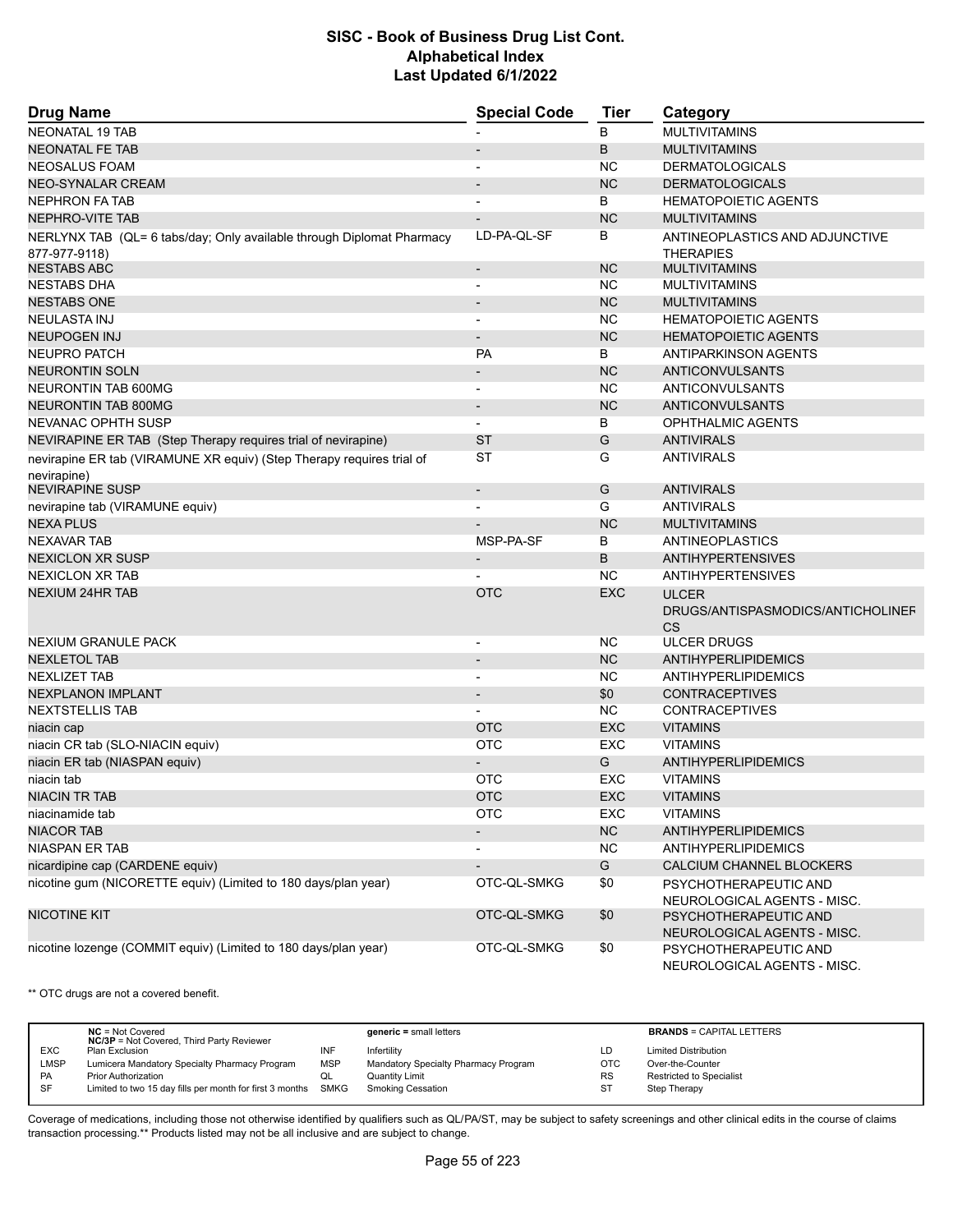| <b>Drug Name</b>                                                      | <b>Special Code</b>      | Tier       | Category                                             |
|-----------------------------------------------------------------------|--------------------------|------------|------------------------------------------------------|
| <b>NEONATAL 19 TAB</b>                                                |                          | B          | <b>MULTIVITAMINS</b>                                 |
| <b>NEONATAL FE TAB</b>                                                |                          | B          | <b>MULTIVITAMINS</b>                                 |
| NEOSALUS FOAM                                                         | $\overline{a}$           | <b>NC</b>  | <b>DERMATOLOGICALS</b>                               |
| <b>NEO-SYNALAR CREAM</b>                                              |                          | <b>NC</b>  | <b>DERMATOLOGICALS</b>                               |
| <b>NEPHRON FA TAB</b>                                                 |                          | B          | <b>HEMATOPOIETIC AGENTS</b>                          |
| NEPHRO-VITE TAB                                                       |                          | <b>NC</b>  | <b>MULTIVITAMINS</b>                                 |
| NERLYNX TAB (QL= 6 tabs/day; Only available through Diplomat Pharmacy | LD-PA-QL-SF              | В          | ANTINEOPLASTICS AND ADJUNCTIVE                       |
| 877-977-9118)                                                         |                          |            | <b>THERAPIES</b>                                     |
| <b>NESTABS ABC</b>                                                    | $\overline{\phantom{a}}$ | <b>NC</b>  | <b>MULTIVITAMINS</b>                                 |
| <b>NESTABS DHA</b>                                                    | $\overline{a}$           | <b>NC</b>  | <b>MULTIVITAMINS</b>                                 |
| <b>NESTABS ONE</b>                                                    |                          | <b>NC</b>  | <b>MULTIVITAMINS</b>                                 |
| <b>NEULASTA INJ</b>                                                   | $\overline{\phantom{a}}$ | <b>NC</b>  | <b>HEMATOPOIETIC AGENTS</b>                          |
| <b>NEUPOGEN INJ</b>                                                   |                          | <b>NC</b>  | <b>HEMATOPOIETIC AGENTS</b>                          |
| NEUPRO PATCH                                                          | PA                       | B          | ANTIPARKINSON AGENTS                                 |
| <b>NEURONTIN SOLN</b>                                                 | $\overline{\phantom{a}}$ | <b>NC</b>  | <b>ANTICONVULSANTS</b>                               |
| <b>NEURONTIN TAB 600MG</b>                                            |                          | <b>NC</b>  | ANTICONVULSANTS                                      |
| <b>NEURONTIN TAB 800MG</b>                                            | $\overline{\phantom{a}}$ | <b>NC</b>  | ANTICONVULSANTS                                      |
| NEVANAC OPHTH SUSP                                                    |                          | B          | <b>OPHTHALMIC AGENTS</b>                             |
| NEVIRAPINE ER TAB (Step Therapy requires trial of nevirapine)         | <b>ST</b>                | G          | <b>ANTIVIRALS</b>                                    |
| nevirapine ER tab (VIRAMUNE XR equiv) (Step Therapy requires trial of | <b>ST</b>                | G          | <b>ANTIVIRALS</b>                                    |
| nevirapine)                                                           |                          |            |                                                      |
| <b>NEVIRAPINE SUSP</b>                                                | $\overline{\phantom{a}}$ | G          | <b>ANTIVIRALS</b>                                    |
| nevirapine tab (VIRAMUNE equiv)                                       |                          | G          | <b>ANTIVIRALS</b>                                    |
| <b>NEXA PLUS</b>                                                      |                          | <b>NC</b>  | <b>MULTIVITAMINS</b>                                 |
| <b>NEXAVAR TAB</b>                                                    | MSP-PA-SF                | В          | ANTINEOPLASTICS                                      |
| <b>NEXICLON XR SUSP</b>                                               |                          | B          | <b>ANTIHYPERTENSIVES</b>                             |
| <b>NEXICLON XR TAB</b>                                                |                          | <b>NC</b>  | <b>ANTIHYPERTENSIVES</b>                             |
| <b>NEXIUM 24HR TAB</b>                                                | <b>OTC</b>               | <b>EXC</b> | <b>ULCER</b>                                         |
|                                                                       |                          |            | DRUGS/ANTISPASMODICS/ANTICHOLINEF<br><b>CS</b>       |
| NEXIUM GRANULE PACK                                                   | $\overline{\phantom{a}}$ | <b>NC</b>  | <b>ULCER DRUGS</b>                                   |
| <b>NEXLETOL TAB</b>                                                   |                          | <b>NC</b>  | ANTIHYPERLIPIDEMICS                                  |
| <b>NEXLIZET TAB</b>                                                   | $\blacksquare$           | <b>NC</b>  | <b>ANTIHYPERLIPIDEMICS</b>                           |
| <b>NEXPLANON IMPLANT</b>                                              |                          | \$0        | <b>CONTRACEPTIVES</b>                                |
| <b>NEXTSTELLIS TAB</b>                                                |                          | <b>NC</b>  | <b>CONTRACEPTIVES</b>                                |
| niacin cap                                                            | <b>OTC</b>               | <b>EXC</b> | <b>VITAMINS</b>                                      |
| niacin CR tab (SLO-NIACIN equiv)                                      | <b>OTC</b>               | EXC        | <b>VITAMINS</b>                                      |
| niacin ER tab (NIASPAN equiv)                                         |                          | G          | ANTIHYPERLIPIDEMICS                                  |
| niacin tab                                                            | <b>OTC</b>               | EXC        | <b>VITAMINS</b>                                      |
| <b>NIACIN TR TAB</b>                                                  | <b>OTC</b>               | EXC        | <b>VITAMINS</b>                                      |
| niacinamide tab                                                       | <b>OTC</b>               | EXC        | <b>VITAMINS</b>                                      |
| <b>NIACOR TAB</b>                                                     |                          | NC         | <b>ANTIHYPERLIPIDEMICS</b>                           |
| <b>NIASPAN ER TAB</b>                                                 | $\overline{a}$           | <b>NC</b>  | <b>ANTIHYPERLIPIDEMICS</b>                           |
| nicardipine cap (CARDENE equiv)                                       |                          | G          | CALCIUM CHANNEL BLOCKERS                             |
| nicotine gum (NICORETTE equiv) (Limited to 180 days/plan year)        | OTC-QL-SMKG              | \$0        | PSYCHOTHERAPEUTIC AND<br>NEUROLOGICAL AGENTS - MISC. |
| <b>NICOTINE KIT</b>                                                   | OTC-QL-SMKG              | \$0        | PSYCHOTHERAPEUTIC AND<br>NEUROLOGICAL AGENTS - MISC. |
| nicotine lozenge (COMMIT equiv) (Limited to 180 days/plan year)       | OTC-QL-SMKG              | \$0        | PSYCHOTHERAPEUTIC AND                                |
|                                                                       |                          |            | NEUROLOGICAL AGENTS - MISC.                          |

\*\* OTC drugs are not a covered benefit.

|             | $NC = Not Covered$<br><b>NC/3P</b> = Not Covered, Third Party Reviewer |            | $generic = small letters$            |            | <b>BRANDS = CAPITAL LETTERS</b> |
|-------------|------------------------------------------------------------------------|------------|--------------------------------------|------------|---------------------------------|
| <b>EXC</b>  | Plan Exclusion                                                         | INF        | Infertility                          | LD         | <b>Limited Distribution</b>     |
| <b>LMSP</b> | Lumicera Mandatory Specialty Pharmacy Program                          | <b>MSP</b> | Mandatory Specialty Pharmacy Program | <b>OTC</b> | Over-the-Counter                |
| PA          | <b>Prior Authorization</b>                                             | QL         | <b>Quantity Limit</b>                | <b>RS</b>  | <b>Restricted to Specialist</b> |
| SF          | Limited to two 15 day fills per month for first 3 months SMKG          |            | Smoking Cessation                    | -ST        | Step Therapy                    |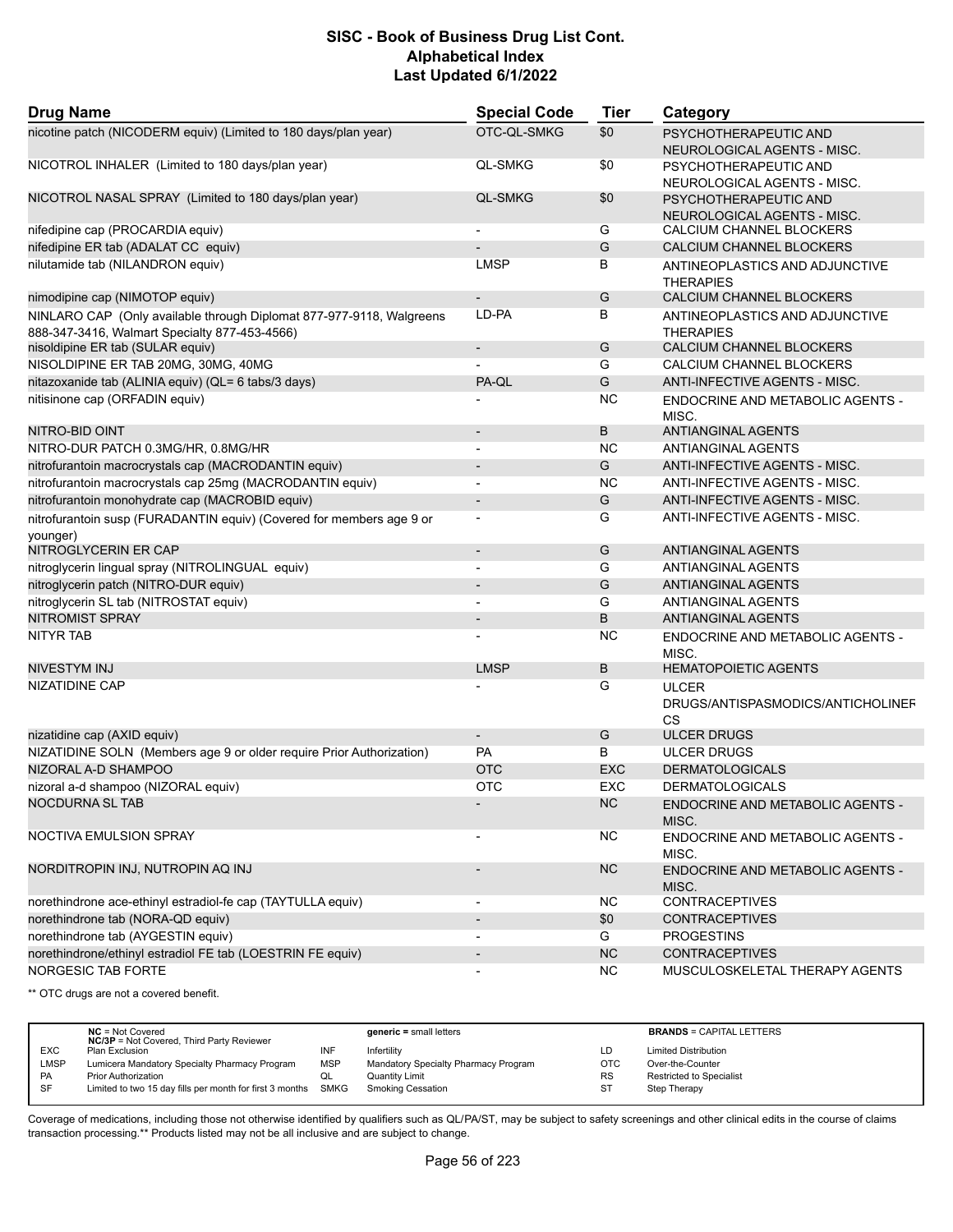| <b>Drug Name</b>                                                                 | <b>Special Code</b>      | <b>Tier</b> | Category                                                |
|----------------------------------------------------------------------------------|--------------------------|-------------|---------------------------------------------------------|
| nicotine patch (NICODERM equiv) (Limited to 180 days/plan year)                  | OTC-QL-SMKG              | \$0         | PSYCHOTHERAPEUTIC AND<br>NEUROLOGICAL AGENTS - MISC.    |
| NICOTROL INHALER (Limited to 180 days/plan year)                                 | <b>QL-SMKG</b>           | \$0         | PSYCHOTHERAPEUTIC AND                                   |
|                                                                                  |                          |             | NEUROLOGICAL AGENTS - MISC.                             |
| NICOTROL NASAL SPRAY (Limited to 180 days/plan year)                             | <b>QL-SMKG</b>           | \$0         | PSYCHOTHERAPEUTIC AND                                   |
|                                                                                  |                          |             | NEUROLOGICAL AGENTS - MISC.                             |
| nifedipine cap (PROCARDIA equiv)                                                 | $\blacksquare$           | G           | CALCIUM CHANNEL BLOCKERS                                |
| nifedipine ER tab (ADALAT CC equiv)                                              |                          | G           | CALCIUM CHANNEL BLOCKERS                                |
| nilutamide tab (NILANDRON equiv)                                                 | <b>LMSP</b>              | B           | ANTINEOPLASTICS AND ADJUNCTIVE<br><b>THERAPIES</b>      |
| nimodipine cap (NIMOTOP equiv)                                                   |                          | G           | CALCIUM CHANNEL BLOCKERS                                |
| NINLARO CAP (Only available through Diplomat 877-977-9118, Walgreens             | LD-PA                    | В           | ANTINEOPLASTICS AND ADJUNCTIVE                          |
| 888-347-3416, Walmart Specialty 877-453-4566)                                    |                          |             | <b>THERAPIES</b>                                        |
| nisoldipine ER tab (SULAR equiv)                                                 | $\overline{\phantom{a}}$ | G           | CALCIUM CHANNEL BLOCKERS                                |
| NISOLDIPINE ER TAB 20MG, 30MG, 40MG                                              |                          | G           | CALCIUM CHANNEL BLOCKERS                                |
| nitazoxanide tab (ALINIA equiv) (QL= 6 tabs/3 days)                              | PA-QL                    | G           | ANTI-INFECTIVE AGENTS - MISC.                           |
| nitisinone cap (ORFADIN equiv)                                                   |                          | <b>NC</b>   | ENDOCRINE AND METABOLIC AGENTS -<br>MISC.               |
| NITRO-BID OINT                                                                   |                          | B           | ANTIANGINAL AGENTS                                      |
| NITRO-DUR PATCH 0.3MG/HR, 0.8MG/HR                                               | $\overline{a}$           | NC          | <b>ANTIANGINAL AGENTS</b>                               |
| nitrofurantoin macrocrystals cap (MACRODANTIN equiv)                             |                          | G           | ANTI-INFECTIVE AGENTS - MISC.                           |
| nitrofurantoin macrocrystals cap 25mg (MACRODANTIN equiv)                        | $\blacksquare$           | <b>NC</b>   | ANTI-INFECTIVE AGENTS - MISC.                           |
| nitrofurantoin monohydrate cap (MACROBID equiv)                                  | $\overline{\phantom{a}}$ | G           | ANTI-INFECTIVE AGENTS - MISC.                           |
| nitrofurantoin susp (FURADANTIN equiv) (Covered for members age 9 or<br>younger) |                          | G           | ANTI-INFECTIVE AGENTS - MISC.                           |
| NITROGLYCERIN ER CAP                                                             | $\overline{\phantom{a}}$ | G           | <b>ANTIANGINAL AGENTS</b>                               |
| nitroglycerin lingual spray (NITROLINGUAL equiv)                                 |                          | G           | ANTIANGINAL AGENTS                                      |
| nitroglycerin patch (NITRO-DUR equiv)                                            | $\overline{\phantom{a}}$ | G           | ANTIANGINAL AGENTS                                      |
| nitroglycerin SL tab (NITROSTAT equiv)                                           |                          | G           | ANTIANGINAL AGENTS                                      |
| <b>NITROMIST SPRAY</b>                                                           |                          | B           | <b>ANTIANGINAL AGENTS</b>                               |
| <b>NITYR TAB</b>                                                                 |                          | NC          | ENDOCRINE AND METABOLIC AGENTS -<br>MISC.               |
| <b>NIVESTYM INJ</b>                                                              | <b>LMSP</b>              | B           | <b>HEMATOPOIETIC AGENTS</b>                             |
| NIZATIDINE CAP                                                                   |                          | G           | <b>ULCER</b><br>DRUGS/ANTISPASMODICS/ANTICHOLINEF<br>CS |
| nizatidine cap (AXID equiv)                                                      | $\overline{\phantom{a}}$ | G           | <b>ULCER DRUGS</b>                                      |
| NIZATIDINE SOLN (Members age 9 or older require Prior Authorization)             | <b>PA</b>                | В           | <b>ULCER DRUGS</b>                                      |
| NIZORAL A-D SHAMPOO                                                              | <b>OTC</b>               | <b>EXC</b>  | <b>DERMATOLOGICALS</b>                                  |
| nizoral a-d shampoo (NIZORAL equiv)                                              | <b>OTC</b>               | <b>EXC</b>  | <b>DERMATOLOGICALS</b>                                  |
| <b>NOCDURNA SL TAB</b>                                                           |                          | <b>NC</b>   | ENDOCRINE AND METABOLIC AGENTS -<br>MISC.               |
| NOCTIVA EMULSION SPRAY                                                           |                          | <b>NC</b>   | ENDOCRINE AND METABOLIC AGENTS -<br>MISC.               |
| NORDITROPIN INJ, NUTROPIN AQ INJ                                                 | $\overline{\phantom{a}}$ | <b>NC</b>   | <b>ENDOCRINE AND METABOLIC AGENTS -</b><br>MISC.        |
| norethindrone ace-ethinyl estradiol-fe cap (TAYTULLA equiv)                      | $\overline{\phantom{a}}$ | <b>NC</b>   | <b>CONTRACEPTIVES</b>                                   |
| norethindrone tab (NORA-QD equiv)                                                | $\overline{\phantom{a}}$ | \$0         | <b>CONTRACEPTIVES</b>                                   |
| norethindrone tab (AYGESTIN equiv)                                               | $\overline{a}$           | G           | <b>PROGESTINS</b>                                       |
| norethindrone/ethinyl estradiol FE tab (LOESTRIN FE equiv)                       | $\overline{\phantom{a}}$ | NC          | <b>CONTRACEPTIVES</b>                                   |
| NORGESIC TAB FORTE                                                               | $\overline{\phantom{a}}$ | <b>NC</b>   | MUSCULOSKELETAL THERAPY AGENTS                          |

\*\* OTC drugs are not a covered benefit.

|            | $NC = Not Covered$<br><b>NC/3P</b> = Not Covered, Third Party Reviewer |            | $generic = small letters$            |            | <b>BRANDS = CAPITAL LETTERS</b> |
|------------|------------------------------------------------------------------------|------------|--------------------------------------|------------|---------------------------------|
| <b>EXC</b> | Plan Exclusion                                                         | INF        | Infertility                          | LD         | <b>Limited Distribution</b>     |
| LMSP       | Lumicera Mandatory Specialty Pharmacy Program                          | <b>MSP</b> | Mandatory Specialty Pharmacy Program | <b>OTC</b> | Over-the-Counter                |
| <b>PA</b>  | <b>Prior Authorization</b>                                             | ◡          | Quantity Limit                       | <b>RS</b>  | Restricted to Specialist        |
| <b>SF</b>  | Limited to two 15 day fills per month for first 3 months SMKG          |            | <b>Smoking Cessation</b>             | ST         | Step Therapy                    |
|            |                                                                        |            |                                      |            |                                 |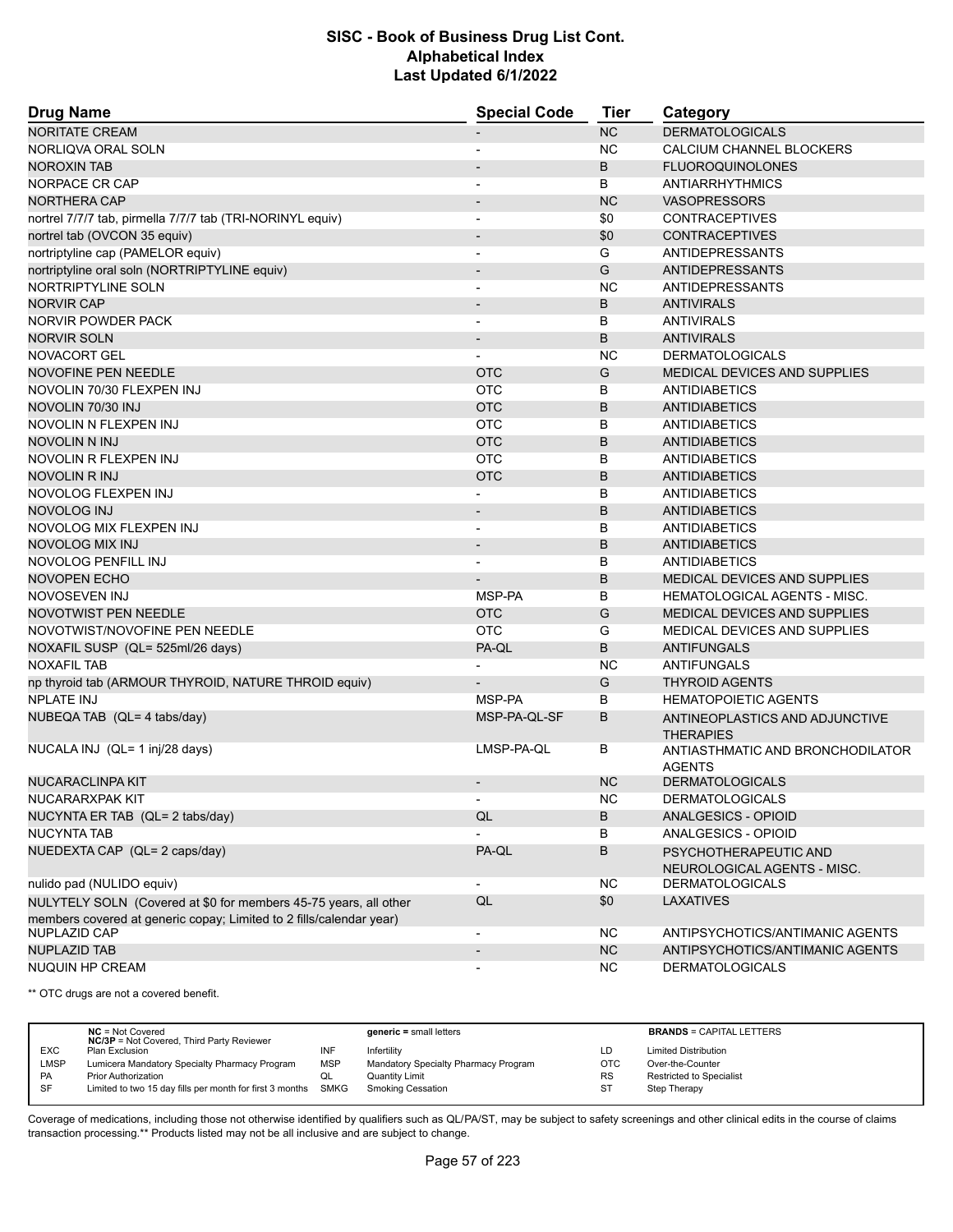| <b>Drug Name</b>                                                    | <b>Special Code</b>      | <b>Tier</b> | Category                                           |
|---------------------------------------------------------------------|--------------------------|-------------|----------------------------------------------------|
| <b>NORITATE CREAM</b>                                               |                          | <b>NC</b>   | <b>DERMATOLOGICALS</b>                             |
| NORLIQVA ORAL SOLN                                                  |                          | NC.         | CALCIUM CHANNEL BLOCKERS                           |
| <b>NOROXIN TAB</b>                                                  |                          | B           | <b>FLUOROQUINOLONES</b>                            |
| NORPACE CR CAP                                                      | $\blacksquare$           | B           | ANTIARRHYTHMICS                                    |
| <b>NORTHERA CAP</b>                                                 | $\overline{\phantom{a}}$ | <b>NC</b>   | <b>VASOPRESSORS</b>                                |
| nortrel 7/7/7 tab, pirmella 7/7/7 tab (TRI-NORINYL equiv)           |                          | \$0         | <b>CONTRACEPTIVES</b>                              |
| nortrel tab (OVCON 35 equiv)                                        | $\overline{\phantom{a}}$ | \$0         | <b>CONTRACEPTIVES</b>                              |
| nortriptyline cap (PAMELOR equiv)                                   | $\overline{\phantom{a}}$ | G           | <b>ANTIDEPRESSANTS</b>                             |
| nortriptyline oral soln (NORTRIPTYLINE equiv)                       |                          | G           | <b>ANTIDEPRESSANTS</b>                             |
| NORTRIPTYLINE SOLN                                                  | $\overline{\phantom{a}}$ | <b>NC</b>   | <b>ANTIDEPRESSANTS</b>                             |
| <b>NORVIR CAP</b>                                                   | $\overline{\phantom{a}}$ | B           | <b>ANTIVIRALS</b>                                  |
| NORVIR POWDER PACK                                                  |                          | В           | <b>ANTIVIRALS</b>                                  |
| <b>NORVIR SOLN</b>                                                  |                          | B           | <b>ANTIVIRALS</b>                                  |
| NOVACORT GEL                                                        |                          | NC.         | <b>DERMATOLOGICALS</b>                             |
| <b>NOVOFINE PEN NEEDLE</b>                                          | <b>OTC</b>               | G           | <b>MEDICAL DEVICES AND SUPPLIES</b>                |
| NOVOLIN 70/30 FLEXPEN INJ                                           | <b>OTC</b>               | В           | <b>ANTIDIABETICS</b>                               |
| NOVOLIN 70/30 INJ                                                   | <b>OTC</b>               | B           | <b>ANTIDIABETICS</b>                               |
| NOVOLIN N FLEXPEN INJ                                               | <b>OTC</b>               | B           | ANTIDIABETICS                                      |
| NOVOLIN N INJ                                                       | <b>OTC</b>               | B           | <b>ANTIDIABETICS</b>                               |
| NOVOLIN R FLEXPEN INJ                                               | <b>OTC</b>               | В           | <b>ANTIDIABETICS</b>                               |
| NOVOLIN R INJ                                                       | <b>OTC</b>               | B           | <b>ANTIDIABETICS</b>                               |
| NOVOLOG FLEXPEN INJ                                                 |                          | В           | ANTIDIABETICS                                      |
| <b>NOVOLOG INJ</b>                                                  | $\overline{\phantom{a}}$ | B           | <b>ANTIDIABETICS</b>                               |
| NOVOLOG MIX FLEXPEN INJ                                             |                          | В           | ANTIDIABETICS                                      |
| <b>NOVOLOG MIX INJ</b>                                              | $\blacksquare$           | B           | <b>ANTIDIABETICS</b>                               |
| NOVOLOG PENFILL INJ                                                 |                          | В           | ANTIDIABETICS                                      |
| <b>NOVOPEN ECHO</b>                                                 |                          | B           | <b>MEDICAL DEVICES AND SUPPLIES</b>                |
| NOVOSEVEN INJ                                                       | MSP-PA                   | В           | HEMATOLOGICAL AGENTS - MISC.                       |
| <b>NOVOTWIST PEN NEEDLE</b>                                         | <b>OTC</b>               | G           | <b>MEDICAL DEVICES AND SUPPLIES</b>                |
| NOVOTWIST/NOVOFINE PEN NEEDLE                                       | <b>OTC</b>               | G           | MEDICAL DEVICES AND SUPPLIES                       |
| NOXAFIL SUSP (QL= 525ml/26 days)                                    | PA-QL                    | B           | <b>ANTIFUNGALS</b>                                 |
| <b>NOXAFIL TAB</b>                                                  |                          | <b>NC</b>   | ANTIFUNGALS                                        |
| np thyroid tab (ARMOUR THYROID, NATURE THROID equiv)                |                          | G           | <b>THYROID AGENTS</b>                              |
| <b>NPLATE INJ</b>                                                   | MSP-PA                   | В           | <b>HEMATOPOIETIC AGENTS</b>                        |
| NUBEQA TAB (QL= 4 tabs/day)                                         | MSP-PA-QL-SF             | B           | ANTINEOPLASTICS AND ADJUNCTIVE<br><b>THERAPIES</b> |
| NUCALA INJ (QL= 1 inj/28 days)                                      | LMSP-PA-QL               | В           | ANTIASTHMATIC AND BRONCHODILATOR<br><b>AGENTS</b>  |
| NUCARACLINPA KIT                                                    |                          | <b>NC</b>   | <b>DERMATOLOGICALS</b>                             |
| NUCARARXPAK KIT                                                     |                          | NC          | <b>DERMATOLOGICALS</b>                             |
| NUCYNTA ER TAB (QL= 2 tabs/day)                                     | QL                       | В           | <b>ANALGESICS - OPIOID</b>                         |
| <b>NUCYNTA TAB</b>                                                  |                          | В           | ANALGESICS - OPIOID                                |
| NUEDEXTA CAP (QL= 2 caps/day)                                       | PA-QL                    | В           | PSYCHOTHERAPEUTIC AND                              |
|                                                                     |                          |             | NEUROLOGICAL AGENTS - MISC.                        |
| nulido pad (NULIDO equiv)                                           |                          | NC.         | <b>DERMATOLOGICALS</b>                             |
| NULYTELY SOLN (Covered at \$0 for members 45-75 years, all other    | QL                       | \$0         | <b>LAXATIVES</b>                                   |
| members covered at generic copay; Limited to 2 fills/calendar year) |                          |             |                                                    |
| NUPLAZID CAP                                                        | $\overline{\phantom{a}}$ | NC.         | ANTIPSYCHOTICS/ANTIMANIC AGENTS                    |
| <b>NUPLAZID TAB</b>                                                 |                          | NC          | ANTIPSYCHOTICS/ANTIMANIC AGENTS                    |
| <b>NUQUIN HP CREAM</b>                                              | $\overline{\phantom{a}}$ | <b>NC</b>   | <b>DERMATOLOGICALS</b>                             |

\*\* OTC drugs are not a covered benefit.

|            | $NC = Not Covered$<br><b>NC/3P</b> = Not Covered, Third Party Reviewer |            | $generic = small letters$            |            | <b>BRANDS = CAPITAL LETTERS</b> |
|------------|------------------------------------------------------------------------|------------|--------------------------------------|------------|---------------------------------|
| <b>EXC</b> | Plan Exclusion                                                         | INF        | Infertility                          | LD         | <b>Limited Distribution</b>     |
| LMSP       | Lumicera Mandatory Specialty Pharmacy Program                          | <b>MSP</b> | Mandatory Specialty Pharmacy Program | <b>OTC</b> | Over-the-Counter                |
| <b>PA</b>  | <b>Prior Authorization</b>                                             | w∟         | <b>Quantity Limit</b>                | <b>RS</b>  | <b>Restricted to Specialist</b> |
| SF         | Limited to two 15 day fills per month for first 3 months               | SMKG       | <b>Smoking Cessation</b>             | ST         | Step Therapy                    |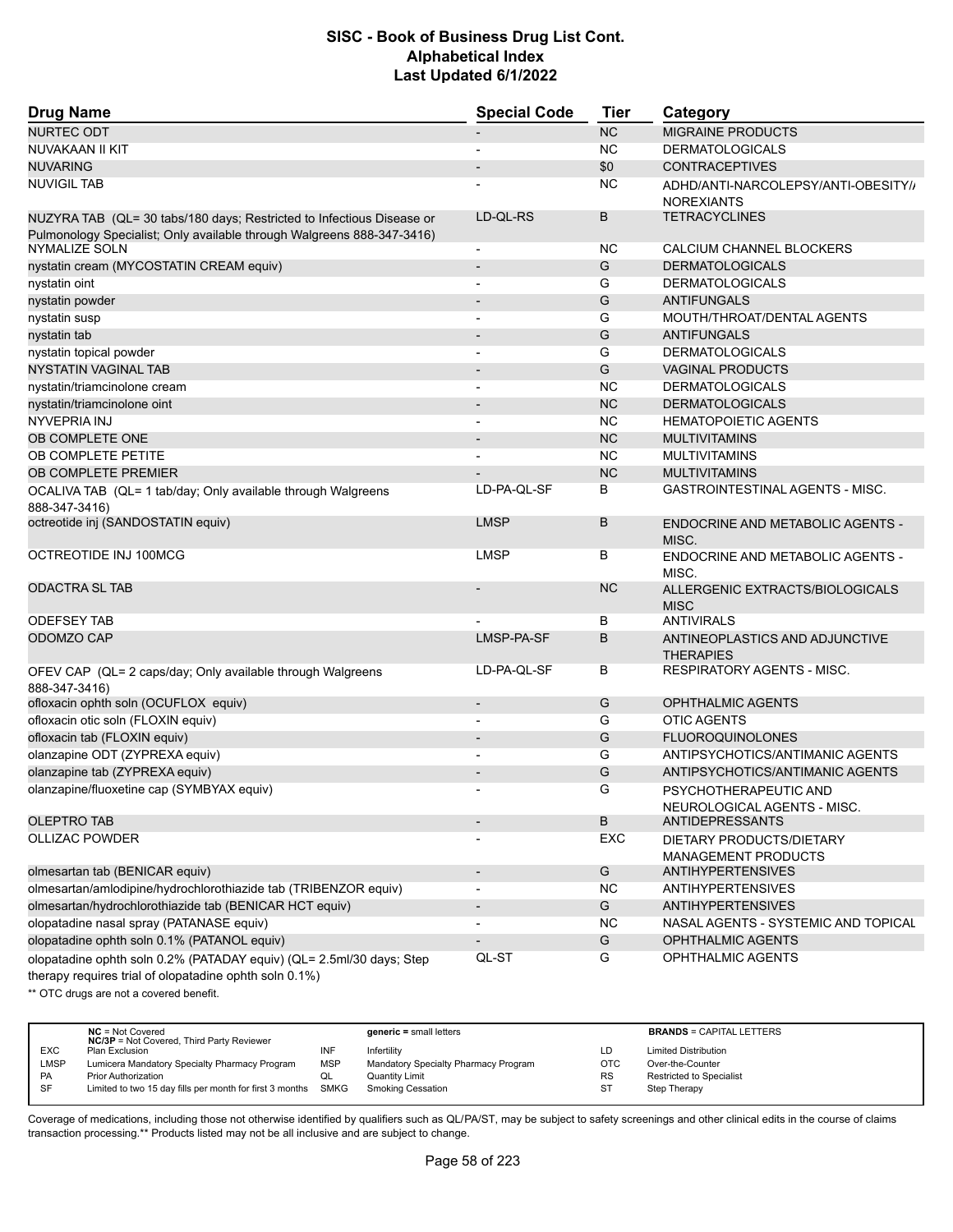| <b>Drug Name</b>                                                                                                               | <b>Special Code</b>      | <b>Tier</b> | Category                                                 |
|--------------------------------------------------------------------------------------------------------------------------------|--------------------------|-------------|----------------------------------------------------------|
| <b>NURTEC ODT</b>                                                                                                              |                          | NC          | <b>MIGRAINE PRODUCTS</b>                                 |
| NUVAKAAN II KIT                                                                                                                |                          | NC.         | <b>DERMATOLOGICALS</b>                                   |
| <b>NUVARING</b>                                                                                                                |                          | \$0         | <b>CONTRACEPTIVES</b>                                    |
| <b>NUVIGIL TAB</b>                                                                                                             |                          | NC.         | ADHD/ANTI-NARCOLEPSY/ANTI-OBESITY//<br><b>NOREXIANTS</b> |
| NUZYRA TAB (QL= 30 tabs/180 days; Restricted to Infectious Disease or                                                          | LD-QL-RS                 | B           | <b>TETRACYCLINES</b>                                     |
| Pulmonology Specialist; Only available through Walgreens 888-347-3416)<br>NYMALIZE SOLN                                        | $\overline{\phantom{a}}$ | NC.         | CALCIUM CHANNEL BLOCKERS                                 |
| nystatin cream (MYCOSTATIN CREAM equiv)                                                                                        | $\overline{\phantom{a}}$ | G           | <b>DERMATOLOGICALS</b>                                   |
| nystatin oint                                                                                                                  |                          | G           | <b>DERMATOLOGICALS</b>                                   |
| nystatin powder                                                                                                                | $\overline{\phantom{a}}$ | G           | <b>ANTIFUNGALS</b>                                       |
| nystatin susp                                                                                                                  | $\overline{\phantom{a}}$ | G           | MOUTH/THROAT/DENTAL AGENTS                               |
| nystatin tab                                                                                                                   |                          | G           | <b>ANTIFUNGALS</b>                                       |
| nystatin topical powder                                                                                                        |                          | G           | <b>DERMATOLOGICALS</b>                                   |
| <b>NYSTATIN VAGINAL TAB</b>                                                                                                    | $\overline{\phantom{a}}$ | G           | <b>VAGINAL PRODUCTS</b>                                  |
| nystatin/triamcinolone cream                                                                                                   | $\blacksquare$           | <b>NC</b>   | <b>DERMATOLOGICALS</b>                                   |
| nystatin/triamcinolone oint                                                                                                    |                          | <b>NC</b>   | <b>DERMATOLOGICALS</b>                                   |
| <b>NYVEPRIA INJ</b>                                                                                                            | $\blacksquare$           | <b>NC</b>   | <b>HEMATOPOIETIC AGENTS</b>                              |
| OB COMPLETE ONE                                                                                                                | $\overline{\phantom{a}}$ | <b>NC</b>   | <b>MULTIVITAMINS</b>                                     |
| OB COMPLETE PETITE                                                                                                             |                          | <b>NC</b>   | <b>MULTIVITAMINS</b>                                     |
| OB COMPLETE PREMIER                                                                                                            |                          | <b>NC</b>   | <b>MULTIVITAMINS</b>                                     |
|                                                                                                                                | LD-PA-QL-SF              | B           | GASTROINTESTINAL AGENTS - MISC.                          |
| OCALIVA TAB (QL= 1 tab/day; Only available through Walgreens<br>888-347-3416)                                                  |                          |             |                                                          |
| octreotide inj (SANDOSTATIN equiv)                                                                                             | <b>LMSP</b>              | B           | ENDOCRINE AND METABOLIC AGENTS -<br>MISC.                |
| OCTREOTIDE INJ 100MCG                                                                                                          | <b>LMSP</b>              | В           | ENDOCRINE AND METABOLIC AGENTS -<br>MISC.                |
| <b>ODACTRA SL TAB</b>                                                                                                          |                          | <b>NC</b>   | ALLERGENIC EXTRACTS/BIOLOGICALS<br><b>MISC</b>           |
| <b>ODEFSEY TAB</b>                                                                                                             |                          | B           | <b>ANTIVIRALS</b>                                        |
| ODOMZO CAP                                                                                                                     | LMSP-PA-SF               | B           | ANTINEOPLASTICS AND ADJUNCTIVE<br><b>THERAPIES</b>       |
| OFEV CAP (QL= 2 caps/day; Only available through Walgreens<br>888-347-3416)                                                    | LD-PA-QL-SF              | В           | RESPIRATORY AGENTS - MISC.                               |
| ofloxacin ophth soln (OCUFLOX equiv)                                                                                           | $\overline{\phantom{a}}$ | G           | <b>OPHTHALMIC AGENTS</b>                                 |
| ofloxacin otic soln (FLOXIN equiv)                                                                                             | $\overline{a}$           | G           | <b>OTIC AGENTS</b>                                       |
| ofloxacin tab (FLOXIN equiv)                                                                                                   |                          | G           | <b>FLUOROQUINOLONES</b>                                  |
| olanzapine ODT (ZYPREXA equiv)                                                                                                 |                          | G           | ANTIPSYCHOTICS/ANTIMANIC AGENTS                          |
| olanzapine tab (ZYPREXA equiv)                                                                                                 | $\overline{\phantom{a}}$ | G           | ANTIPSYCHOTICS/ANTIMANIC AGENTS                          |
| olanzapine/fluoxetine cap (SYMBYAX equiv)                                                                                      |                          | G           | PSYCHOTHERAPEUTIC AND                                    |
|                                                                                                                                |                          |             | NEUROLOGICAL AGENTS - MISC.                              |
| <b>OLEPTRO TAB</b>                                                                                                             |                          | B           | <b>ANTIDEPRESSANTS</b>                                   |
| <b>OLLIZAC POWDER</b>                                                                                                          |                          | EXC         | DIETARY PRODUCTS/DIETARY<br><b>MANAGEMENT PRODUCTS</b>   |
| olmesartan tab (BENICAR equiv)                                                                                                 | $\overline{\phantom{a}}$ | G           | <b>ANTIHYPERTENSIVES</b>                                 |
| olmesartan/amlodipine/hydrochlorothiazide tab (TRIBENZOR equiv)                                                                | $\overline{\phantom{a}}$ | NC.         | <b>ANTIHYPERTENSIVES</b>                                 |
| olmesartan/hydrochlorothiazide tab (BENICAR HCT equiv)                                                                         | $\overline{\phantom{a}}$ | G           | <b>ANTIHYPERTENSIVES</b>                                 |
| olopatadine nasal spray (PATANASE equiv)                                                                                       |                          | <b>NC</b>   | NASAL AGENTS - SYSTEMIC AND TOPICAL                      |
| olopatadine ophth soln 0.1% (PATANOL equiv)                                                                                    |                          | G           | <b>OPHTHALMIC AGENTS</b>                                 |
| olopatadine ophth soln 0.2% (PATADAY equiv) (QL= 2.5ml/30 days; Step<br>therapy requires trial of olopatadine ophth soln 0.1%) | QL-ST                    | G           | OPHTHALMIC AGENTS                                        |

\*\* OTC drugs are not a covered benefit.

|            | $NC = Not Covered$<br><b>NC/3P</b> = Not Covered, Third Party Reviewer |            | $generic = small letters$            |            | <b>BRANDS = CAPITAL LETTERS</b> |
|------------|------------------------------------------------------------------------|------------|--------------------------------------|------------|---------------------------------|
| <b>EXC</b> | Plan Exclusion                                                         | INF        | Infertility                          | LD         | <b>Limited Distribution</b>     |
| LMSP       | Lumicera Mandatory Specialty Pharmacy Program                          | <b>MSP</b> | Mandatory Specialty Pharmacy Program | <b>OTC</b> | Over-the-Counter                |
| <b>PA</b>  | <b>Prior Authorization</b>                                             | QL         | Quantity Limit                       | <b>RS</b>  | Restricted to Specialist        |
| -SF        | Limited to two 15 day fills per month for first 3 months SMKG          |            | <b>Smoking Cessation</b>             | <b>ST</b>  | Step Therapy                    |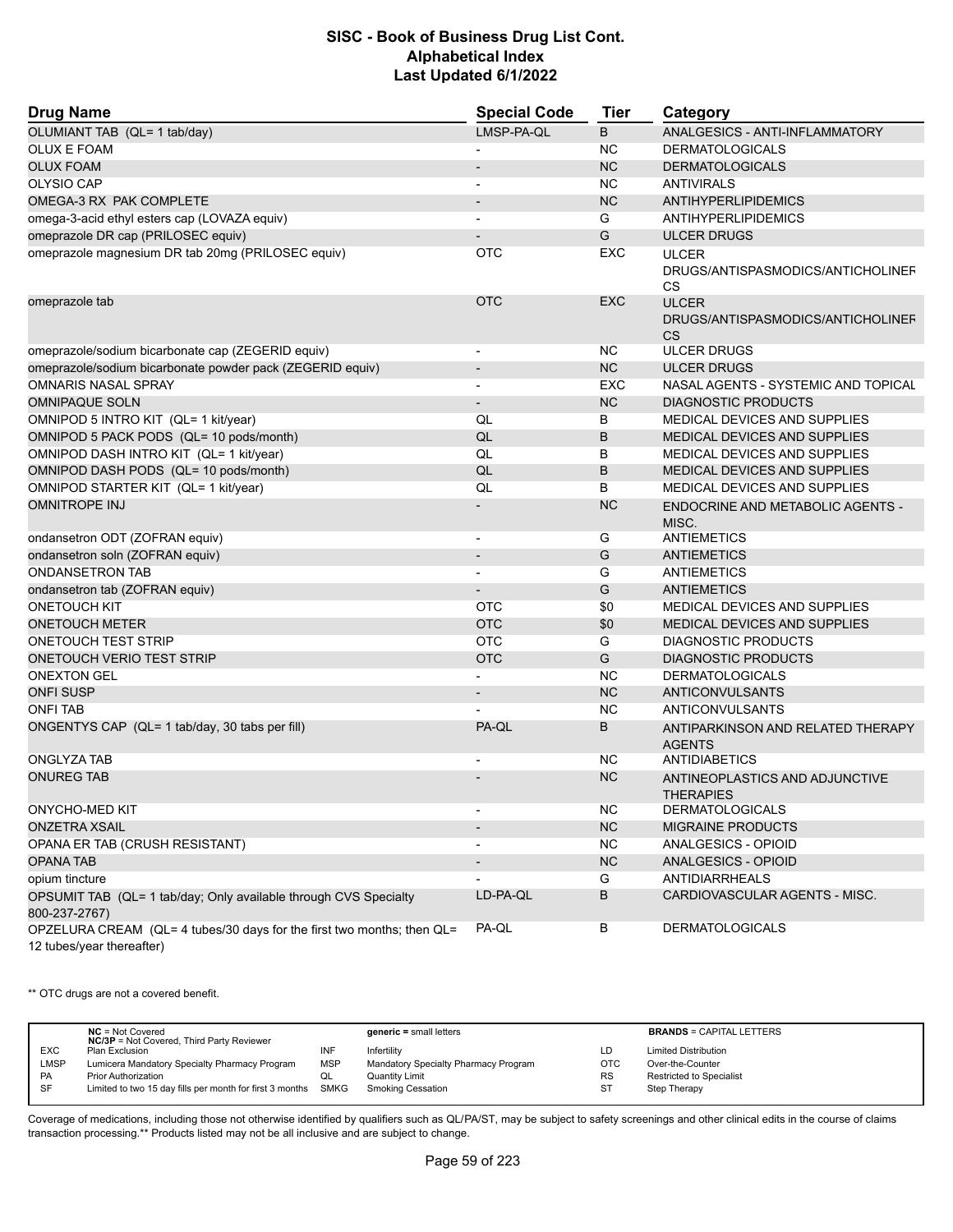| <b>Drug Name</b>                                                                                    | <b>Special Code</b>      | <b>Tier</b> | Category                                                |
|-----------------------------------------------------------------------------------------------------|--------------------------|-------------|---------------------------------------------------------|
| OLUMIANT TAB (QL= 1 tab/day)                                                                        | LMSP-PA-QL               | B           | ANALGESICS - ANTI-INFLAMMATORY                          |
| <b>OLUX E FOAM</b>                                                                                  |                          | ΝC          | <b>DERMATOLOGICALS</b>                                  |
| <b>OLUX FOAM</b>                                                                                    |                          | <b>NC</b>   | <b>DERMATOLOGICALS</b>                                  |
| OLYSIO CAP                                                                                          | ÷                        | <b>NC</b>   | <b>ANTIVIRALS</b>                                       |
| OMEGA-3 RX PAK COMPLETE                                                                             | $\overline{\phantom{0}}$ | <b>NC</b>   | <b>ANTIHYPERLIPIDEMICS</b>                              |
| omega-3-acid ethyl esters cap (LOVAZA equiv)                                                        |                          | G           | <b>ANTIHYPERLIPIDEMICS</b>                              |
| omeprazole DR cap (PRILOSEC equiv)                                                                  |                          | G           | <b>ULCER DRUGS</b>                                      |
| omeprazole magnesium DR tab 20mg (PRILOSEC equiv)                                                   | <b>OTC</b>               | EXC         | <b>ULCER</b>                                            |
|                                                                                                     |                          |             | DRUGS/ANTISPASMODICS/ANTICHOLINEF<br>CS                 |
| omeprazole tab                                                                                      | <b>OTC</b>               | <b>EXC</b>  | <b>ULCER</b><br>DRUGS/ANTISPASMODICS/ANTICHOLINEF<br>CS |
| omeprazole/sodium bicarbonate cap (ZEGERID equiv)                                                   | $\overline{\phantom{a}}$ | NC.         | <b>ULCER DRUGS</b>                                      |
| omeprazole/sodium bicarbonate powder pack (ZEGERID equiv)                                           | $\overline{\phantom{a}}$ | <b>NC</b>   | <b>ULCER DRUGS</b>                                      |
| <b>OMNARIS NASAL SPRAY</b>                                                                          |                          | <b>EXC</b>  | NASAL AGENTS - SYSTEMIC AND TOPICAL                     |
| <b>OMNIPAQUE SOLN</b>                                                                               | $\overline{\phantom{m}}$ | <b>NC</b>   | <b>DIAGNOSTIC PRODUCTS</b>                              |
| OMNIPOD 5 INTRO KIT (QL= 1 kit/year)                                                                | QL                       | B           | MEDICAL DEVICES AND SUPPLIES                            |
| OMNIPOD 5 PACK PODS (QL= 10 pods/month)                                                             | QL                       | B           | MEDICAL DEVICES AND SUPPLIES                            |
| OMNIPOD DASH INTRO KIT (QL= 1 kit/year)                                                             | QL                       | B           | MEDICAL DEVICES AND SUPPLIES                            |
| OMNIPOD DASH PODS (QL= 10 pods/month)                                                               | QL                       | B           | MEDICAL DEVICES AND SUPPLIES                            |
| OMNIPOD STARTER KIT (QL= 1 kit/year)                                                                | QL                       | B           | MEDICAL DEVICES AND SUPPLIES                            |
| <b>OMNITROPE INJ</b>                                                                                |                          | <b>NC</b>   | ENDOCRINE AND METABOLIC AGENTS -<br>MISC.               |
| ondansetron ODT (ZOFRAN equiv)                                                                      | $\overline{\phantom{a}}$ | G           | <b>ANTIEMETICS</b>                                      |
| ondansetron soln (ZOFRAN equiv)                                                                     | $\overline{a}$           | G           | <b>ANTIEMETICS</b>                                      |
| <b>ONDANSETRON TAB</b>                                                                              |                          | G           | ANTIEMETICS                                             |
| ondansetron tab (ZOFRAN equiv)                                                                      |                          | G           | <b>ANTIEMETICS</b>                                      |
| <b>ONETOUCH KIT</b>                                                                                 | <b>OTC</b>               | \$0         | MEDICAL DEVICES AND SUPPLIES                            |
| <b>ONETOUCH METER</b>                                                                               | <b>OTC</b>               | \$0         | MEDICAL DEVICES AND SUPPLIES                            |
| ONETOUCH TEST STRIP                                                                                 | <b>OTC</b>               | G           | DIAGNOSTIC PRODUCTS                                     |
| ONETOUCH VERIO TEST STRIP                                                                           | <b>OTC</b>               | G           | <b>DIAGNOSTIC PRODUCTS</b>                              |
| <b>ONEXTON GEL</b>                                                                                  |                          | <b>NC</b>   | <b>DERMATOLOGICALS</b>                                  |
| <b>ONFI SUSP</b>                                                                                    | $\overline{\phantom{m}}$ | <b>NC</b>   | ANTICONVULSANTS                                         |
| <b>ONFI TAB</b>                                                                                     |                          | <b>NC</b>   | <b>ANTICONVULSANTS</b>                                  |
| ONGENTYS CAP (QL= 1 tab/day, 30 tabs per fill)                                                      | PA-QL                    | B           | ANTIPARKINSON AND RELATED THERAPY<br><b>AGENTS</b>      |
| <b>ONGLYZA TAB</b>                                                                                  |                          | ΝC          | <b>ANTIDIABETICS</b>                                    |
| <b>ONUREG TAB</b>                                                                                   |                          | <b>NC</b>   | ANTINEOPLASTICS AND ADJUNCTIVE<br><b>THERAPIES</b>      |
| <b>ONYCHO-MED KIT</b>                                                                               |                          | <b>NC</b>   | <b>DERMATOLOGICALS</b>                                  |
| <b>ONZETRA XSAIL</b>                                                                                |                          | NC          | <b>MIGRAINE PRODUCTS</b>                                |
| OPANA ER TAB (CRUSH RESISTANT)                                                                      |                          | NC.         | ANALGESICS - OPIOID                                     |
| <b>OPANA TAB</b>                                                                                    |                          | <b>NC</b>   | ANALGESICS - OPIOID                                     |
| opium tincture                                                                                      |                          | G           | ANTIDIARRHEALS                                          |
| OPSUMIT TAB (QL= 1 tab/day; Only available through CVS Specialty<br>800-237-2767)                   | LD-PA-QL                 | В           | CARDIOVASCULAR AGENTS - MISC.                           |
| OPZELURA CREAM (QL= 4 tubes/30 days for the first two months; then QL=<br>12 tubes/year thereafter) | PA-QL                    | В           | <b>DERMATOLOGICALS</b>                                  |

\*\* OTC drugs are not a covered benefit.

|             | $NC = Not Covered$<br><b>NC/3P</b> = Not Covered, Third Party Reviewer |            | $generic = small letters$            |            | <b>BRANDS = CAPITAL LETTERS</b> |
|-------------|------------------------------------------------------------------------|------------|--------------------------------------|------------|---------------------------------|
| <b>EXC</b>  | Plan Exclusion                                                         | INF        | Infertility                          | LD         | <b>Limited Distribution</b>     |
| <b>LMSP</b> | Lumicera Mandatory Specialty Pharmacy Program                          | <b>MSP</b> | Mandatory Specialty Pharmacy Program | <b>OTC</b> | Over-the-Counter                |
| <b>PA</b>   | <b>Prior Authorization</b>                                             | QL         | Quantity Limit                       | <b>RS</b>  | Restricted to Specialist        |
| -SF         | Limited to two 15 day fills per month for first 3 months SMKG          |            | <b>Smoking Cessation</b>             | SТ         | Step Therapy                    |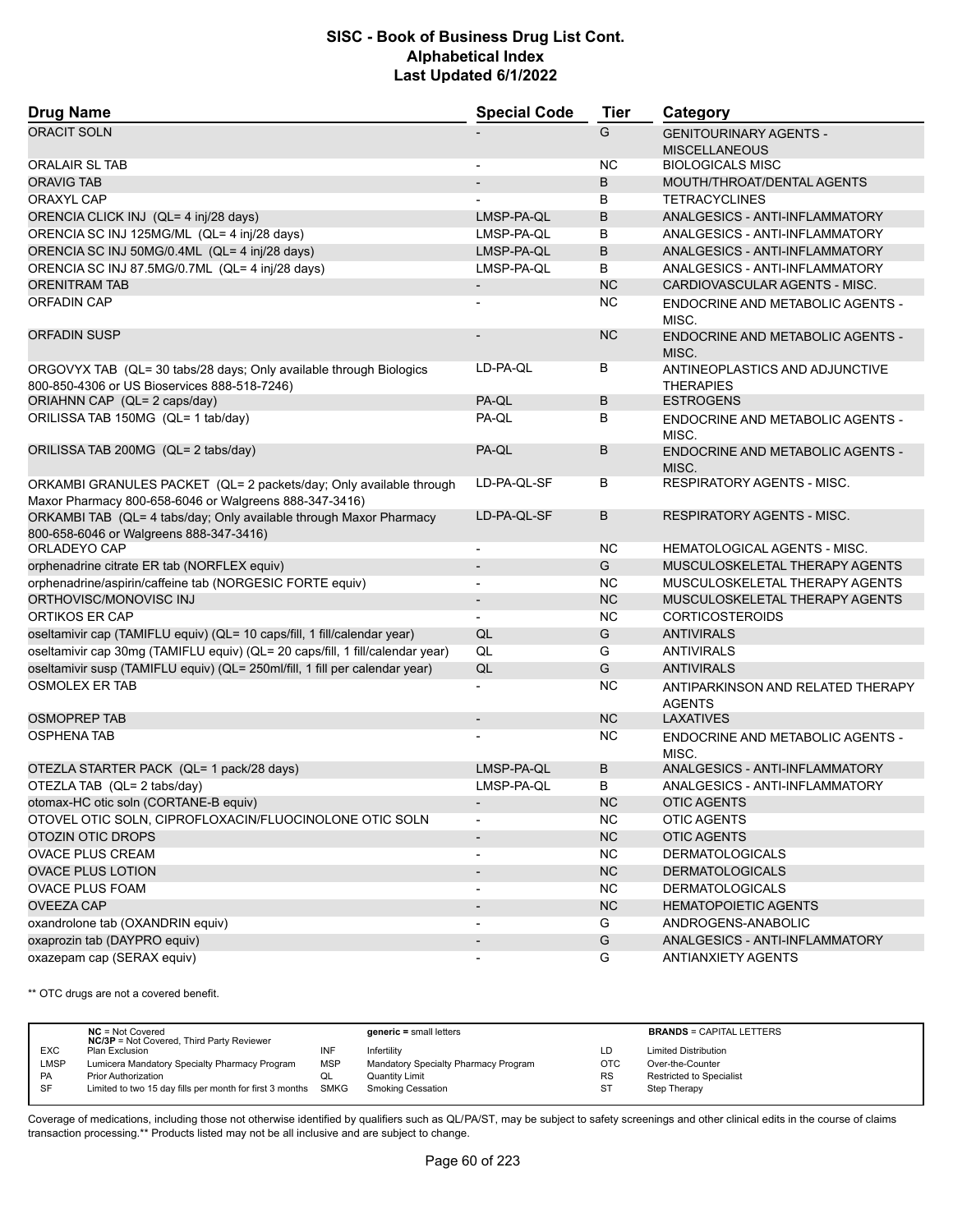| <b>Drug Name</b>                                                                                                             | <b>Special Code</b>      | <b>Tier</b> | Category                                              |
|------------------------------------------------------------------------------------------------------------------------------|--------------------------|-------------|-------------------------------------------------------|
| <b>ORACIT SOLN</b>                                                                                                           |                          | G           | <b>GENITOURINARY AGENTS -</b><br><b>MISCELLANEOUS</b> |
| <b>ORALAIR SL TAB</b>                                                                                                        |                          | <b>NC</b>   | <b>BIOLOGICALS MISC</b>                               |
| <b>ORAVIG TAB</b>                                                                                                            |                          | B           | MOUTH/THROAT/DENTAL AGENTS                            |
| <b>ORAXYL CAP</b>                                                                                                            |                          | В           | <b>TETRACYCLINES</b>                                  |
| ORENCIA CLICK INJ (QL= 4 inj/28 days)                                                                                        | LMSP-PA-QL               | B           | ANALGESICS - ANTI-INFLAMMATORY                        |
| ORENCIA SC INJ 125MG/ML (QL= 4 inj/28 days)                                                                                  | LMSP-PA-QL               | B           | ANALGESICS - ANTI-INFLAMMATORY                        |
| ORENCIA SC INJ 50MG/0.4ML (QL= 4 inj/28 days)                                                                                | LMSP-PA-QL               | B           | ANALGESICS - ANTI-INFLAMMATORY                        |
| ORENCIA SC INJ 87.5MG/0.7ML (QL= 4 inj/28 days)                                                                              | LMSP-PA-QL               | В           | <b>ANALGESICS - ANTI-INFLAMMATORY</b>                 |
| <b>ORENITRAM TAB</b>                                                                                                         | $\overline{\phantom{a}}$ | <b>NC</b>   | CARDIOVASCULAR AGENTS - MISC.                         |
| <b>ORFADIN CAP</b>                                                                                                           |                          | NC          | ENDOCRINE AND METABOLIC AGENTS -                      |
|                                                                                                                              |                          |             | MISC.                                                 |
| <b>ORFADIN SUSP</b>                                                                                                          |                          | <b>NC</b>   | <b>ENDOCRINE AND METABOLIC AGENTS -</b><br>MISC.      |
| ORGOVYX TAB (QL= 30 tabs/28 days; Only available through Biologics<br>800-850-4306 or US Bioservices 888-518-7246)           | LD-PA-QL                 | В           | ANTINEOPLASTICS AND ADJUNCTIVE<br><b>THERAPIES</b>    |
| ORIAHNN CAP (QL= 2 caps/day)                                                                                                 | PA-QL                    | B           | <b>ESTROGENS</b>                                      |
| ORILISSA TAB 150MG (QL= 1 tab/day)                                                                                           | PA-QL                    | B           | <b>ENDOCRINE AND METABOLIC AGENTS -</b><br>MISC.      |
| ORILISSA TAB 200MG (QL= 2 tabs/day)                                                                                          | PA-QL                    | B           | <b>ENDOCRINE AND METABOLIC AGENTS -</b><br>MISC.      |
| ORKAMBI GRANULES PACKET (QL= 2 packets/day; Only available through<br>Maxor Pharmacy 800-658-6046 or Walgreens 888-347-3416) | LD-PA-QL-SF              | В           | <b>RESPIRATORY AGENTS - MISC.</b>                     |
| ORKAMBI TAB (QL= 4 tabs/day; Only available through Maxor Pharmacy<br>800-658-6046 or Walgreens 888-347-3416)                | LD-PA-QL-SF              | B           | <b>RESPIRATORY AGENTS - MISC.</b>                     |
| ORLADEYO CAP                                                                                                                 | $\overline{\phantom{a}}$ | <b>NC</b>   | <b>HEMATOLOGICAL AGENTS - MISC.</b>                   |
| orphenadrine citrate ER tab (NORFLEX equiv)                                                                                  | $\overline{a}$           | G           | MUSCULOSKELETAL THERAPY AGENTS                        |
| orphenadrine/aspirin/caffeine tab (NORGESIC FORTE equiv)                                                                     |                          | <b>NC</b>   | MUSCULOSKELETAL THERAPY AGENTS                        |
| ORTHOVISC/MONOVISC INJ                                                                                                       | $\overline{\phantom{a}}$ | <b>NC</b>   | MUSCULOSKELETAL THERAPY AGENTS                        |
| ORTIKOS ER CAP                                                                                                               |                          | <b>NC</b>   | <b>CORTICOSTEROIDS</b>                                |
| oseltamivir cap (TAMIFLU equiv) (QL= 10 caps/fill, 1 fill/calendar year)                                                     | QL                       | G           | <b>ANTIVIRALS</b>                                     |
| oseltamivir cap 30mg (TAMIFLU equiv) (QL= 20 caps/fill, 1 fill/calendar year)                                                | QL                       | G           | <b>ANTIVIRALS</b>                                     |
| oseltamivir susp (TAMIFLU equiv) (QL= 250ml/fill, 1 fill per calendar year)                                                  | QL                       | G           | <b>ANTIVIRALS</b>                                     |
| <b>OSMOLEX ER TAB</b>                                                                                                        |                          | <b>NC</b>   | ANTIPARKINSON AND RELATED THERAPY<br><b>AGENTS</b>    |
| <b>OSMOPREP TAB</b>                                                                                                          | $\overline{\phantom{a}}$ | <b>NC</b>   | <b>LAXATIVES</b>                                      |
| <b>OSPHENA TAB</b>                                                                                                           |                          | <b>NC</b>   | ENDOCRINE AND METABOLIC AGENTS -<br>MISC.             |
| OTEZLA STARTER PACK (QL= 1 pack/28 days)                                                                                     | LMSP-PA-QL               | B           | <b>ANALGESICS - ANTI-INFLAMMATORY</b>                 |
| OTEZLA TAB (QL= 2 tabs/day)                                                                                                  | LMSP-PA-OL               | B           | ANALGESICS - ANTI-INFLAMMATORY                        |
| otomax-HC otic soln (CORTANE-B equiv)                                                                                        |                          | NC.         | <b>OTIC AGENTS</b>                                    |
| OTOVEL OTIC SOLN, CIPROFLOXACIN/FLUOCINOLONE OTIC SOLN                                                                       |                          | <b>NC</b>   | <b>OTIC AGENTS</b>                                    |
| OTOZIN OTIC DROPS                                                                                                            | $\overline{\phantom{a}}$ | <b>NC</b>   | <b>OTIC AGENTS</b>                                    |
| OVACE PLUS CREAM                                                                                                             |                          | NC          | <b>DERMATOLOGICALS</b>                                |
| <b>OVACE PLUS LOTION</b>                                                                                                     | $\overline{\phantom{a}}$ | NC          | <b>DERMATOLOGICALS</b>                                |
| <b>OVACE PLUS FOAM</b>                                                                                                       | $\overline{\phantom{a}}$ | NC.         | <b>DERMATOLOGICALS</b>                                |
| <b>OVEEZA CAP</b>                                                                                                            | $\overline{\phantom{a}}$ | NC          | <b>HEMATOPOIETIC AGENTS</b>                           |
| oxandrolone tab (OXANDRIN equiv)                                                                                             | $\overline{\phantom{a}}$ | G           | ANDROGENS-ANABOLIC                                    |
| oxaprozin tab (DAYPRO equiv)                                                                                                 | $\overline{\phantom{a}}$ | G           | <b>ANALGESICS - ANTI-INFLAMMATORY</b>                 |
| oxazepam cap (SERAX equiv)                                                                                                   | $\overline{\phantom{0}}$ | G           | <b>ANTIANXIETY AGENTS</b>                             |
|                                                                                                                              |                          |             |                                                       |

\*\* OTC drugs are not a covered benefit.

|             | $NC = Not Covered$<br><b>NC/3P</b> = Not Covered, Third Party Reviewer |            | $generic = small letters$            |            | <b>BRANDS = CAPITAL LETTERS</b> |
|-------------|------------------------------------------------------------------------|------------|--------------------------------------|------------|---------------------------------|
| <b>EXC</b>  | Plan Exclusion                                                         | INF        | Infertility                          | LD         | <b>Limited Distribution</b>     |
| <b>LMSP</b> | Lumicera Mandatory Specialty Pharmacy Program                          | <b>MSP</b> | Mandatory Specialty Pharmacy Program | <b>OTC</b> | Over-the-Counter                |
| PA          | <b>Prior Authorization</b>                                             | QL         | Quantity Limit                       | <b>RS</b>  | <b>Restricted to Specialist</b> |
| SF          | Limited to two 15 day fills per month for first 3 months SMKG          |            | <b>Smoking Cessation</b>             | <b>ST</b>  | Step Therapy                    |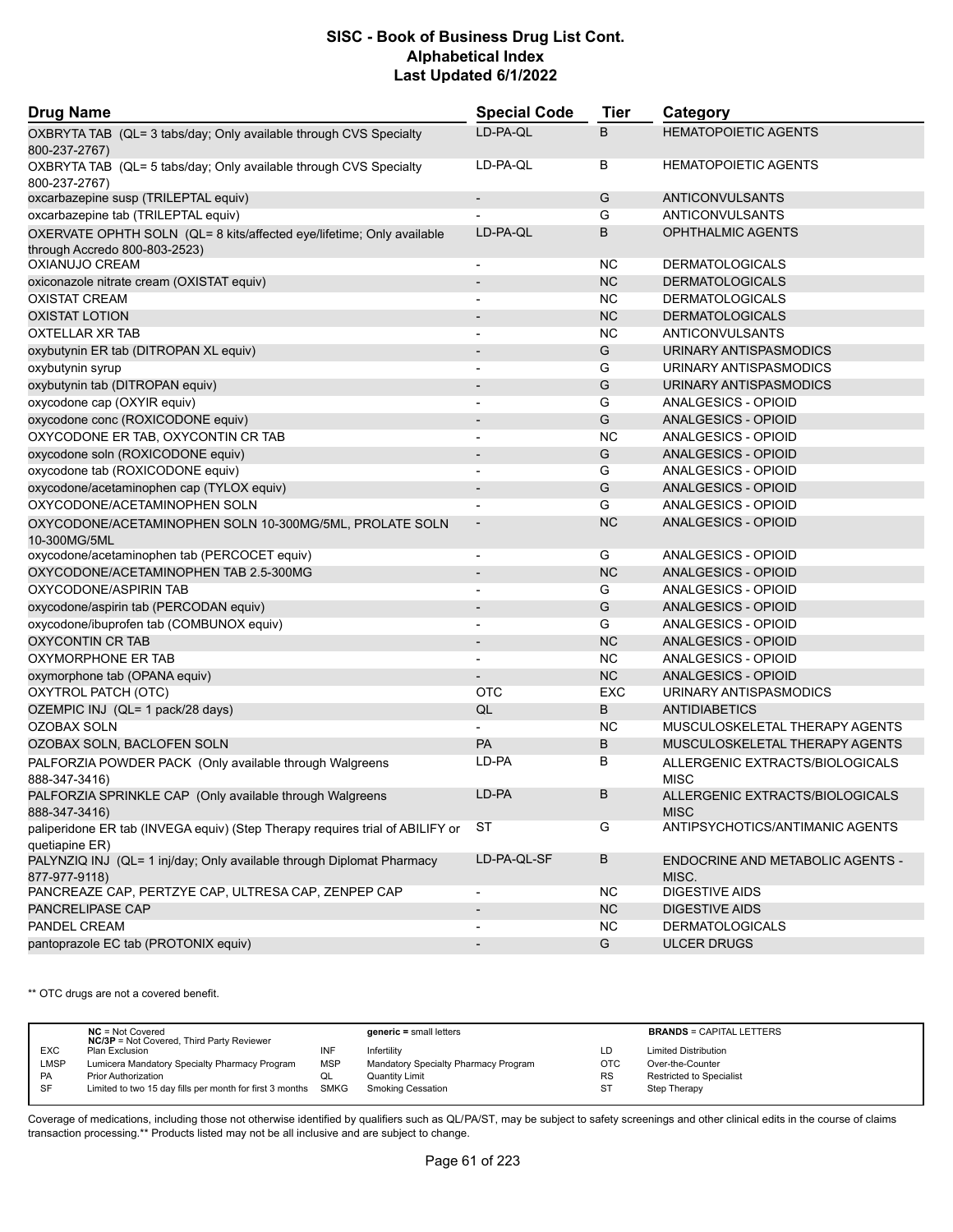| <b>Drug Name</b>                                                                                | <b>Special Code</b>      | <b>Tier</b> | Category                                       |
|-------------------------------------------------------------------------------------------------|--------------------------|-------------|------------------------------------------------|
| OXBRYTA TAB (QL= 3 tabs/day; Only available through CVS Specialty<br>800-237-2767)              | LD-PA-QL                 | B           | <b>HEMATOPOIETIC AGENTS</b>                    |
| OXBRYTA TAB (QL= 5 tabs/day; Only available through CVS Specialty<br>800-237-2767)              | LD-PA-QL                 | В           | <b>HEMATOPOIETIC AGENTS</b>                    |
| oxcarbazepine susp (TRILEPTAL equiv)                                                            |                          | G           | <b>ANTICONVULSANTS</b>                         |
| oxcarbazepine tab (TRILEPTAL equiv)                                                             |                          | G           | ANTICONVULSANTS                                |
| OXERVATE OPHTH SOLN (QL= 8 kits/affected eye/lifetime; Only available                           | LD-PA-QL                 | B           | <b>OPHTHALMIC AGENTS</b>                       |
| through Accredo 800-803-2523)                                                                   |                          |             |                                                |
| OXIANUJO CREAM                                                                                  |                          | ΝC          | <b>DERMATOLOGICALS</b>                         |
| oxiconazole nitrate cream (OXISTAT equiv)                                                       |                          | <b>NC</b>   | <b>DERMATOLOGICALS</b>                         |
| <b>OXISTAT CREAM</b>                                                                            |                          | <b>NC</b>   | <b>DERMATOLOGICALS</b>                         |
| <b>OXISTAT LOTION</b>                                                                           |                          | <b>NC</b>   | <b>DERMATOLOGICALS</b>                         |
| OXTELLAR XR TAB                                                                                 |                          | <b>NC</b>   | ANTICONVULSANTS                                |
| oxybutynin ER tab (DITROPAN XL equiv)                                                           | $\overline{\phantom{a}}$ | G           | URINARY ANTISPASMODICS                         |
| oxybutynin syrup                                                                                | $\overline{\phantom{a}}$ | G           | URINARY ANTISPASMODICS                         |
| oxybutynin tab (DITROPAN equiv)                                                                 | $\blacksquare$           | G           | URINARY ANTISPASMODICS                         |
| oxycodone cap (OXYIR equiv)                                                                     | $\blacksquare$           | G           | ANALGESICS - OPIOID                            |
| oxycodone conc (ROXICODONE equiv)                                                               |                          | G           | <b>ANALGESICS - OPIOID</b>                     |
| OXYCODONE ER TAB, OXYCONTIN CR TAB                                                              | $\blacksquare$           | <b>NC</b>   | ANALGESICS - OPIOID                            |
| oxycodone soln (ROXICODONE equiv)                                                               | $\overline{\phantom{a}}$ | G           | <b>ANALGESICS - OPIOID</b>                     |
| oxycodone tab (ROXICODONE equiv)                                                                | $\overline{\phantom{a}}$ | G           | ANALGESICS - OPIOID                            |
| oxycodone/acetaminophen cap (TYLOX equiv)                                                       | $\overline{\phantom{a}}$ | G           | <b>ANALGESICS - OPIOID</b>                     |
| OXYCODONE/ACETAMINOPHEN SOLN                                                                    |                          | G           | ANALGESICS - OPIOID                            |
| OXYCODONE/ACETAMINOPHEN SOLN 10-300MG/5ML, PROLATE SOLN<br>10-300MG/5ML                         | $\overline{\phantom{a}}$ | <b>NC</b>   | ANALGESICS - OPIOID                            |
| oxycodone/acetaminophen tab (PERCOCET equiv)                                                    | $\blacksquare$           | G           | ANALGESICS - OPIOID                            |
| OXYCODONE/ACETAMINOPHEN TAB 2.5-300MG                                                           | $\blacksquare$           | <b>NC</b>   | ANALGESICS - OPIOID                            |
| OXYCODONE/ASPIRIN TAB                                                                           |                          | G           | ANALGESICS - OPIOID                            |
| oxycodone/aspirin tab (PERCODAN equiv)                                                          | $\overline{\phantom{a}}$ | G           | <b>ANALGESICS - OPIOID</b>                     |
| oxycodone/ibuprofen tab (COMBUNOX equiv)                                                        | $\overline{\phantom{a}}$ | G           | ANALGESICS - OPIOID                            |
| <b>OXYCONTIN CR TAB</b>                                                                         |                          | <b>NC</b>   | ANALGESICS - OPIOID                            |
| OXYMORPHONE ER TAB                                                                              | $\blacksquare$           | <b>NC</b>   | ANALGESICS - OPIOID                            |
| oxymorphone tab (OPANA equiv)                                                                   |                          | <b>NC</b>   | ANALGESICS - OPIOID                            |
| OXYTROL PATCH (OTC)                                                                             | <b>OTC</b>               | <b>EXC</b>  | URINARY ANTISPASMODICS                         |
| OZEMPIC INJ (QL= 1 pack/28 days)                                                                | QL                       | B           | <b>ANTIDIABETICS</b>                           |
| OZOBAX SOLN                                                                                     |                          | <b>NC</b>   | MUSCULOSKELETAL THERAPY AGENTS                 |
| OZOBAX SOLN, BACLOFEN SOLN                                                                      | PA                       | B           | MUSCULOSKELETAL THERAPY AGENTS                 |
| PALFORZIA POWDER PACK (Only available through Walgreens<br>888-347-3416)                        | LD-PA                    | В           | ALLERGENIC EXTRACTS/BIOLOGICALS<br><b>MISC</b> |
| PALFORZIA SPRINKLE CAP (Only available through Walgreens<br>888-347-3416)                       | LD-PA                    | в           | ALLERGENIC EXTRACTS/BIOLOGICALS<br><b>MISC</b> |
| paliperidone ER tab (INVEGA equiv) (Step Therapy requires trial of ABILIFY or<br>quetiapine ER) | ST                       | G           | ANTIPSYCHOTICS/ANTIMANIC AGENTS                |
| PALYNZIQ INJ (QL= 1 inj/day; Only available through Diplomat Pharmacy<br>877-977-9118)          | LD-PA-QL-SF              | В           | ENDOCRINE AND METABOLIC AGENTS -<br>MISC.      |
| PANCREAZE CAP, PERTZYE CAP, ULTRESA CAP, ZENPEP CAP                                             | $\overline{\phantom{a}}$ | NC.         | <b>DIGESTIVE AIDS</b>                          |
| PANCRELIPASE CAP                                                                                | $\overline{\phantom{a}}$ | <b>NC</b>   | <b>DIGESTIVE AIDS</b>                          |
| PANDEL CREAM                                                                                    |                          | ΝC          | <b>DERMATOLOGICALS</b>                         |
| pantoprazole EC tab (PROTONIX equiv)                                                            |                          | G           | <b>ULCER DRUGS</b>                             |

\*\* OTC drugs are not a covered benefit.

|             | $NC = Not Covered$<br><b>NC/3P</b> = Not Covered, Third Party Reviewer |            | $generic = small letters$            |           | <b>BRANDS = CAPITAL LETTERS</b> |
|-------------|------------------------------------------------------------------------|------------|--------------------------------------|-----------|---------------------------------|
| <b>EXC</b>  | Plan Exclusion                                                         | INF        | Infertility                          | LD        | <b>Limited Distribution</b>     |
| <b>LMSP</b> | Lumicera Mandatory Specialty Pharmacy Program                          | <b>MSP</b> | Mandatory Specialty Pharmacy Program | OTC       | Over-the-Counter                |
| PA          | <b>Prior Authorization</b>                                             | QL         | <b>Quantity Limit</b>                | <b>RS</b> | <b>Restricted to Specialist</b> |
| SF          | Limited to two 15 day fills per month for first 3 months SMKG          |            | <b>Smoking Cessation</b>             | ST        | Step Therapy                    |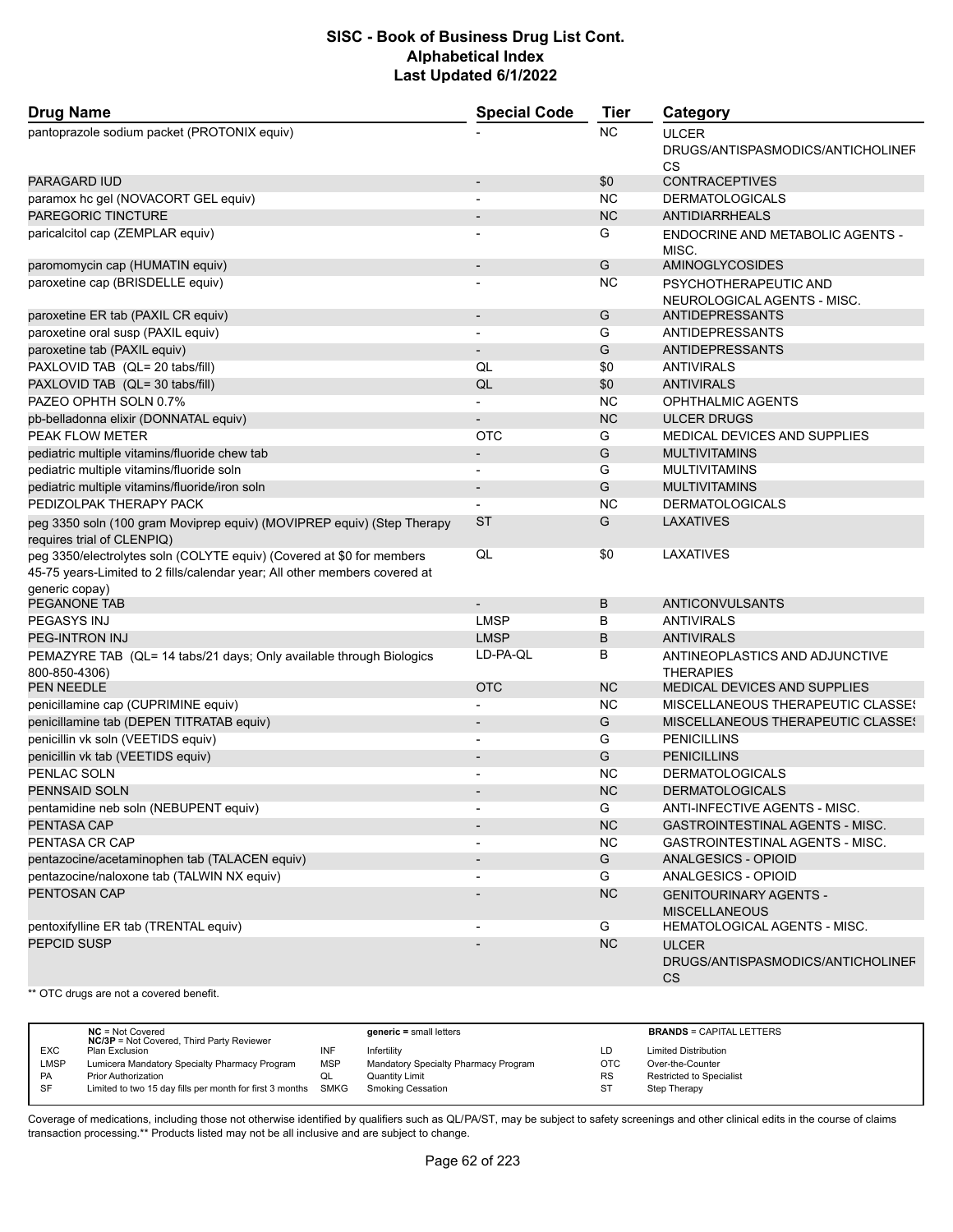| <b>Drug Name</b>                                                                                                                                    | <b>Special Code</b>      | <b>Tier</b> | Category                                                       |  |
|-----------------------------------------------------------------------------------------------------------------------------------------------------|--------------------------|-------------|----------------------------------------------------------------|--|
| pantoprazole sodium packet (PROTONIX equiv)                                                                                                         |                          | NC          | <b>ULCER</b><br>DRUGS/ANTISPASMODICS/ANTICHOLINEF<br>CS        |  |
| <b>PARAGARD IUD</b>                                                                                                                                 | $\overline{\phantom{0}}$ | \$0         | <b>CONTRACEPTIVES</b>                                          |  |
| paramox hc gel (NOVACORT GEL equiv)                                                                                                                 | $\overline{\phantom{a}}$ | <b>NC</b>   | <b>DERMATOLOGICALS</b>                                         |  |
| PAREGORIC TINCTURE                                                                                                                                  |                          | <b>NC</b>   | <b>ANTIDIARRHEALS</b>                                          |  |
| paricalcitol cap (ZEMPLAR equiv)                                                                                                                    | $\overline{\phantom{a}}$ | G           | ENDOCRINE AND METABOLIC AGENTS -<br>MISC.                      |  |
| paromomycin cap (HUMATIN equiv)                                                                                                                     | $\overline{a}$           | G           | <b>AMINOGLYCOSIDES</b>                                         |  |
| paroxetine cap (BRISDELLE equiv)                                                                                                                    |                          | <b>NC</b>   | PSYCHOTHERAPEUTIC AND<br>NEUROLOGICAL AGENTS - MISC.           |  |
| paroxetine ER tab (PAXIL CR equiv)                                                                                                                  | $\overline{\phantom{a}}$ | G           | <b>ANTIDEPRESSANTS</b>                                         |  |
| paroxetine oral susp (PAXIL equiv)                                                                                                                  |                          | G           | <b>ANTIDEPRESSANTS</b>                                         |  |
| paroxetine tab (PAXIL equiv)                                                                                                                        |                          | G           | <b>ANTIDEPRESSANTS</b>                                         |  |
| PAXLOVID TAB (QL= 20 tabs/fill)                                                                                                                     | QL                       | \$0         | <b>ANTIVIRALS</b>                                              |  |
| PAXLOVID TAB (QL= 30 tabs/fill)                                                                                                                     | QL                       | \$0         | <b>ANTIVIRALS</b>                                              |  |
| PAZEO OPHTH SOLN 0.7%                                                                                                                               | $\overline{a}$           | <b>NC</b>   | <b>OPHTHALMIC AGENTS</b>                                       |  |
| pb-belladonna elixir (DONNATAL equiv)                                                                                                               |                          | <b>NC</b>   | <b>ULCER DRUGS</b>                                             |  |
| PEAK FLOW METER                                                                                                                                     | <b>OTC</b>               | G           | MEDICAL DEVICES AND SUPPLIES                                   |  |
| pediatric multiple vitamins/fluoride chew tab                                                                                                       |                          | G           | <b>MULTIVITAMINS</b>                                           |  |
| pediatric multiple vitamins/fluoride soln                                                                                                           | ÷                        | G           | <b>MULTIVITAMINS</b>                                           |  |
| pediatric multiple vitamins/fluoride/iron soln                                                                                                      | $\overline{\phantom{a}}$ | G           | <b>MULTIVITAMINS</b>                                           |  |
| PEDIZOLPAK THERAPY PACK                                                                                                                             | $\blacksquare$           | <b>NC</b>   | <b>DERMATOLOGICALS</b>                                         |  |
| peg 3350 soln (100 gram Moviprep equiv) (MOVIPREP equiv) (Step Therapy<br>requires trial of CLENPIQ)                                                | <b>ST</b>                | G           | <b>LAXATIVES</b>                                               |  |
| peg 3350/electrolytes soln (COLYTE equiv) (Covered at \$0 for members<br>45-75 years-Limited to 2 fills/calendar year; All other members covered at | QL                       | \$0         | LAXATIVES                                                      |  |
| generic copay)<br>PEGANONE TAB                                                                                                                      |                          | B           | ANTICONVULSANTS                                                |  |
| PEGASYS INJ                                                                                                                                         | <b>LMSP</b>              | B           | <b>ANTIVIRALS</b>                                              |  |
| <b>PEG-INTRON INJ</b>                                                                                                                               | <b>LMSP</b>              | B           | <b>ANTIVIRALS</b>                                              |  |
|                                                                                                                                                     | LD-PA-QL                 | в           | ANTINEOPLASTICS AND ADJUNCTIVE                                 |  |
| PEMAZYRE TAB (QL= 14 tabs/21 days; Only available through Biologics<br>800-850-4306)<br>PEN NEEDLE                                                  | <b>OTC</b>               | <b>NC</b>   | <b>THERAPIES</b><br>MEDICAL DEVICES AND SUPPLIES               |  |
|                                                                                                                                                     |                          | <b>NC</b>   | <b>MISCELLANEOUS THERAPEUTIC CLASSES</b>                       |  |
| penicillamine cap (CUPRIMINE equiv)<br>penicillamine tab (DEPEN TITRATAB equiv)                                                                     |                          | G           | MISCELLANEOUS THERAPEUTIC CLASSES                              |  |
| penicillin vk soln (VEETIDS equiv)                                                                                                                  |                          | G           | <b>PENICILLINS</b>                                             |  |
|                                                                                                                                                     | $\overline{a}$           | G           | <b>PENICILLINS</b>                                             |  |
| penicillin vk tab (VEETIDS equiv)<br>PENLAC SOLN                                                                                                    |                          | <b>NC</b>   | <b>DERMATOLOGICALS</b>                                         |  |
| <b>PENNSAID SOLN</b>                                                                                                                                |                          | <b>NC</b>   | <b>DERMATOLOGICALS</b>                                         |  |
|                                                                                                                                                     |                          |             | ANTI-INFECTIVE AGENTS - MISC.                                  |  |
| pentamidine neb soln (NEBUPENT equiv)<br><b>PENTASA CAP</b>                                                                                         |                          | G<br>NC     | <b>GASTROINTESTINAL AGENTS - MISC.</b>                         |  |
| PENTASA CR CAP                                                                                                                                      |                          |             |                                                                |  |
|                                                                                                                                                     |                          | <b>NC</b>   | GASTROINTESTINAL AGENTS - MISC.                                |  |
| pentazocine/acetaminophen tab (TALACEN equiv)                                                                                                       |                          | G<br>G      | ANALGESICS - OPIOID                                            |  |
| pentazocine/naloxone tab (TALWIN NX equiv)<br>PENTOSAN CAP                                                                                          | $\overline{\phantom{a}}$ | <b>NC</b>   | ANALGESICS - OPIOID                                            |  |
|                                                                                                                                                     | $\overline{\phantom{a}}$ |             | <b>GENITOURINARY AGENTS -</b><br><b>MISCELLANEOUS</b>          |  |
| pentoxifylline ER tab (TRENTAL equiv)                                                                                                               |                          | G           | HEMATOLOGICAL AGENTS - MISC.                                   |  |
| PEPCID SUSP                                                                                                                                         |                          | NC          | <b>ULCER</b><br>DRUGS/ANTISPASMODICS/ANTICHOLINEF<br><b>CS</b> |  |

\*\* OTC drugs are not a covered benefit.

|             | $NC = Not Covered$<br><b>NC/3P</b> = Not Covered, Third Party Reviewer |            | $generic = small letters$            |            | <b>BRANDS = CAPITAL LETTERS</b> |
|-------------|------------------------------------------------------------------------|------------|--------------------------------------|------------|---------------------------------|
| <b>EXC</b>  | Plan Exclusion                                                         | INF        | Infertility                          | LD         | <b>Limited Distribution</b>     |
| <b>LMSP</b> | Lumicera Mandatory Specialty Pharmacy Program                          | <b>MSP</b> | Mandatory Specialty Pharmacy Program | <b>OTC</b> | Over-the-Counter                |
| PA          | <b>Prior Authorization</b>                                             | QL         | Quantity Limit                       | <b>RS</b>  | <b>Restricted to Specialist</b> |
| SF          | Limited to two 15 day fills per month for first 3 months SMKG          |            | <b>Smoking Cessation</b>             | -ST        | Step Therapy                    |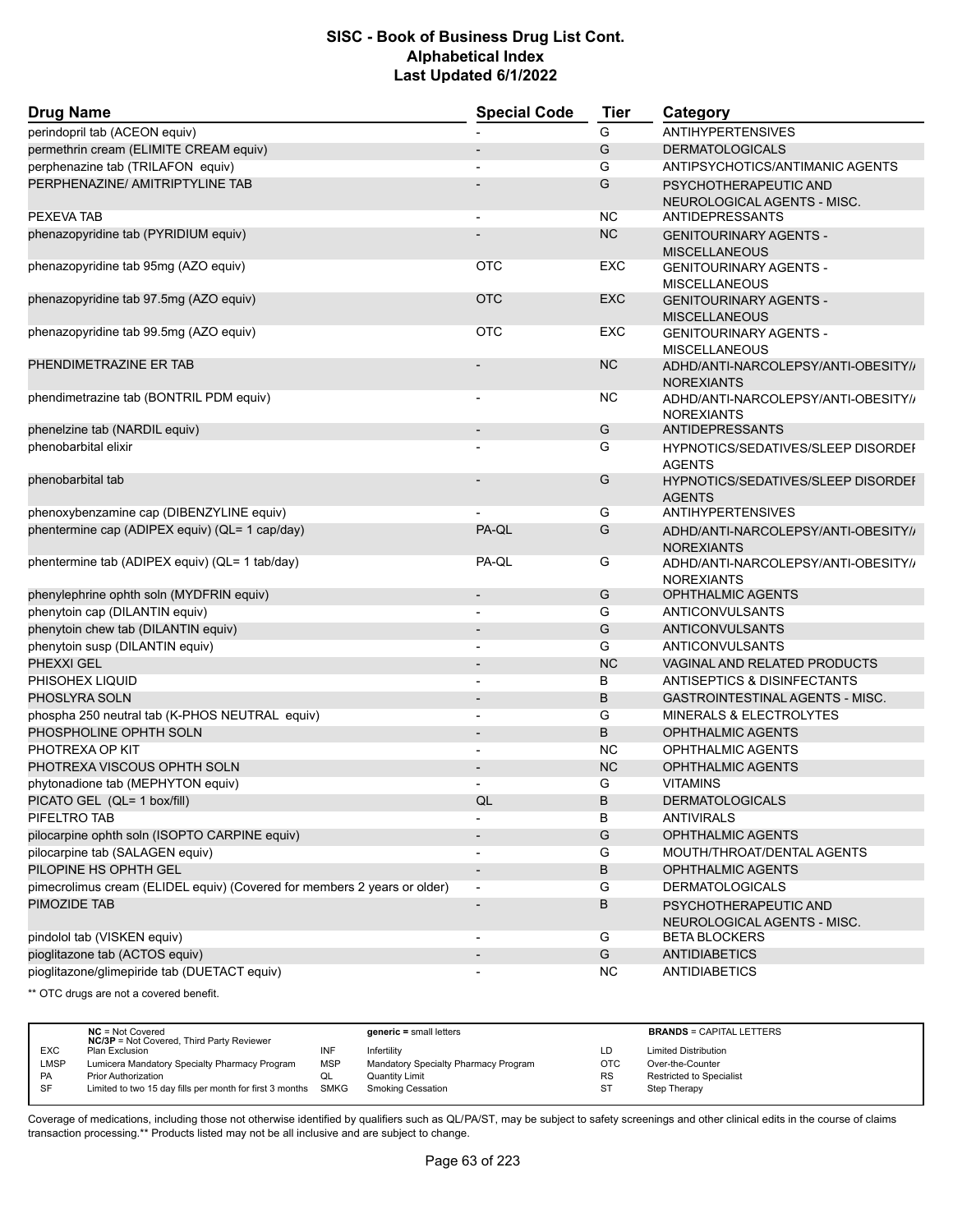| <b>Drug Name</b>                                                         | <b>Special Code</b>      | <b>Tier</b> | Category                                                   |  |
|--------------------------------------------------------------------------|--------------------------|-------------|------------------------------------------------------------|--|
| perindopril tab (ACEON equiv)                                            |                          | G           | <b>ANTIHYPERTENSIVES</b>                                   |  |
| permethrin cream (ELIMITE CREAM equiv)                                   |                          | G           | <b>DERMATOLOGICALS</b>                                     |  |
| perphenazine tab (TRILAFON equiv)                                        |                          | G           | ANTIPSYCHOTICS/ANTIMANIC AGENTS                            |  |
| PERPHENAZINE/ AMITRIPTYLINE TAB                                          |                          | G           | PSYCHOTHERAPEUTIC AND<br>NEUROLOGICAL AGENTS - MISC.       |  |
| PEXEVA TAB                                                               | $\blacksquare$           | NC.         | <b>ANTIDEPRESSANTS</b>                                     |  |
| phenazopyridine tab (PYRIDIUM equiv)                                     |                          | <b>NC</b>   | <b>GENITOURINARY AGENTS -</b><br><b>MISCELLANEOUS</b>      |  |
| phenazopyridine tab 95mg (AZO equiv)                                     | <b>OTC</b>               | EXC         | <b>GENITOURINARY AGENTS -</b><br><b>MISCELLANEOUS</b>      |  |
| phenazopyridine tab 97.5mg (AZO equiv)                                   | <b>OTC</b>               | <b>EXC</b>  | <b>GENITOURINARY AGENTS -</b><br><b>MISCELLANEOUS</b>      |  |
| phenazopyridine tab 99.5mg (AZO equiv)                                   | <b>OTC</b>               | EXC         | <b>GENITOURINARY AGENTS -</b><br><b>MISCELLANEOUS</b>      |  |
| PHENDIMETRAZINE ER TAB                                                   |                          | <b>NC</b>   | ADHD/ANTI-NARCOLEPSY/ANTI-OBESITY//<br><b>NOREXIANTS</b>   |  |
| phendimetrazine tab (BONTRIL PDM equiv)                                  |                          | NC.         | ADHD/ANTI-NARCOLEPSY/ANTI-OBESITY//<br><b>NOREXIANTS</b>   |  |
| phenelzine tab (NARDIL equiv)                                            |                          | G           | <b>ANTIDEPRESSANTS</b>                                     |  |
| phenobarbital elixir                                                     |                          | G           | <b>HYPNOTICS/SEDATIVES/SLEEP DISORDEF</b><br><b>AGENTS</b> |  |
| phenobarbital tab                                                        |                          | G           | HYPNOTICS/SEDATIVES/SLEEP DISORDEI<br><b>AGENTS</b>        |  |
| phenoxybenzamine cap (DIBENZYLINE equiv)                                 |                          | G           | <b>ANTIHYPERTENSIVES</b>                                   |  |
| phentermine cap (ADIPEX equiv) (QL= 1 cap/day)                           | PA-QL                    | G           | ADHD/ANTI-NARCOLEPSY/ANTI-OBESITY//<br><b>NOREXIANTS</b>   |  |
| phentermine tab (ADIPEX equiv) (QL= 1 tab/day)                           | PA-QL                    | G           | ADHD/ANTI-NARCOLEPSY/ANTI-OBESITY//<br><b>NOREXIANTS</b>   |  |
| phenylephrine ophth soln (MYDFRIN equiv)                                 | $\overline{\phantom{a}}$ | G           | OPHTHALMIC AGENTS                                          |  |
| phenytoin cap (DILANTIN equiv)                                           |                          | G           | ANTICONVULSANTS                                            |  |
| phenytoin chew tab (DILANTIN equiv)                                      |                          | G           | <b>ANTICONVULSANTS</b>                                     |  |
| phenytoin susp (DILANTIN equiv)                                          |                          | G           | ANTICONVULSANTS                                            |  |
| PHEXXI GEL                                                               |                          | <b>NC</b>   | <b>VAGINAL AND RELATED PRODUCTS</b>                        |  |
| PHISOHEX LIQUID                                                          | $\overline{\phantom{a}}$ | В           | ANTISEPTICS & DISINFECTANTS                                |  |
| PHOSLYRA SOLN                                                            |                          | B           | <b>GASTROINTESTINAL AGENTS - MISC.</b>                     |  |
| phospha 250 neutral tab (K-PHOS NEUTRAL equiv)                           | $\overline{\phantom{a}}$ | G           | <b>MINERALS &amp; ELECTROLYTES</b>                         |  |
| PHOSPHOLINE OPHTH SOLN                                                   |                          | B           | <b>OPHTHALMIC AGENTS</b>                                   |  |
| PHOTREXA OP KIT                                                          |                          | <b>NC</b>   | <b>OPHTHALMIC AGENTS</b>                                   |  |
| PHOTREXA VISCOUS OPHTH SOLN                                              |                          | <b>NC</b>   | <b>OPHTHALMIC AGENTS</b>                                   |  |
| phytonadione tab (MEPHYTON equiv)                                        |                          | G           | <b>VITAMINS</b>                                            |  |
| PICATO GEL (QL= 1 box/fill)                                              | QL                       | B           | <b>DERMATOLOGICALS</b>                                     |  |
| PIFELTRO TAB                                                             |                          | В           | <b>ANTIVIRALS</b>                                          |  |
| pilocarpine ophth soln (ISOPTO CARPINE equiv)                            |                          | G           | <b>OPHTHALMIC AGENTS</b>                                   |  |
| pilocarpine tab (SALAGEN equiv)                                          |                          | G           | MOUTH/THROAT/DENTAL AGENTS                                 |  |
| PILOPINE HS OPHTH GEL                                                    | $\overline{\phantom{a}}$ | B           | <b>OPHTHALMIC AGENTS</b>                                   |  |
| pimecrolimus cream (ELIDEL equiv) (Covered for members 2 years or older) | $\overline{a}$           | G           | <b>DERMATOLOGICALS</b>                                     |  |
| PIMOZIDE TAB                                                             |                          | B           | PSYCHOTHERAPEUTIC AND<br>NEUROLOGICAL AGENTS - MISC.       |  |
| pindolol tab (VISKEN equiv)                                              |                          | G           | <b>BETA BLOCKERS</b>                                       |  |
| pioglitazone tab (ACTOS equiv)                                           |                          | G           | <b>ANTIDIABETICS</b>                                       |  |
| pioglitazone/glimepiride tab (DUETACT equiv)                             |                          | <b>NC</b>   | <b>ANTIDIABETICS</b>                                       |  |

\*\* OTC drugs are not a covered benefit.

|             | $NC = Not Covered$<br><b>NC/3P</b> = Not Covered, Third Party Reviewer |            | $generic = small letters$            |            | <b>BRANDS = CAPITAL LETTERS</b> |
|-------------|------------------------------------------------------------------------|------------|--------------------------------------|------------|---------------------------------|
| <b>EXC</b>  | Plan Exclusion                                                         | INF        | Infertility                          | LD         | <b>Limited Distribution</b>     |
| <b>LMSP</b> | Lumicera Mandatory Specialty Pharmacy Program                          | <b>MSP</b> | Mandatory Specialty Pharmacy Program | <b>OTC</b> | Over-the-Counter                |
| PA          | <b>Prior Authorization</b>                                             | QL         | <b>Quantity Limit</b>                | <b>RS</b>  | Restricted to Specialist        |
| SF          | Limited to two 15 day fills per month for first 3 months SMKG          |            | <b>Smoking Cessation</b>             | <b>ST</b>  | Step Therapy                    |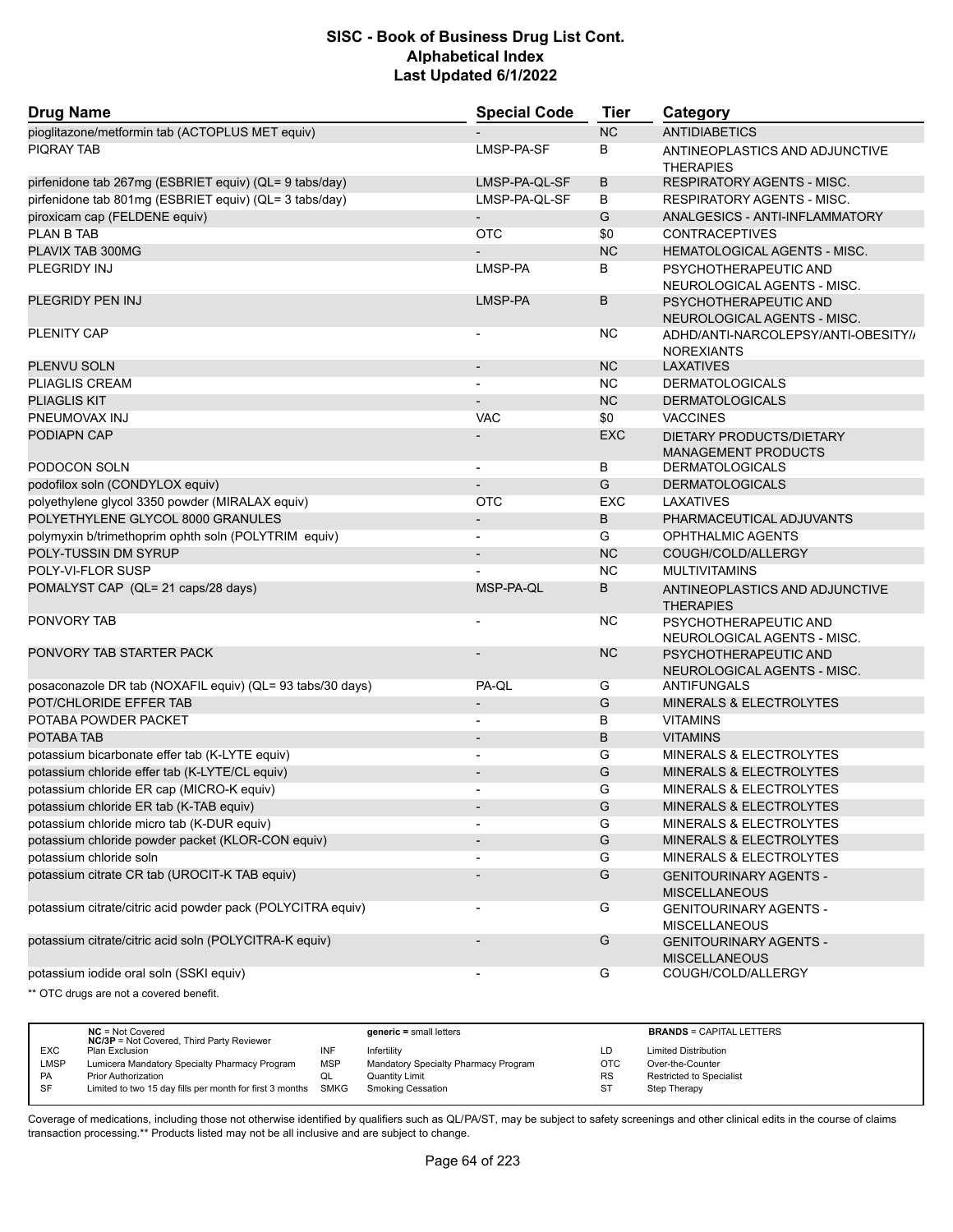| <b>Drug Name</b>                                            | <b>Special Code</b>      | Tier       | Category                                                 |
|-------------------------------------------------------------|--------------------------|------------|----------------------------------------------------------|
| pioglitazone/metformin tab (ACTOPLUS MET equiv)             |                          | <b>NC</b>  | <b>ANTIDIABETICS</b>                                     |
| <b>PIQRAY TAB</b>                                           | LMSP-PA-SF               | В          | ANTINEOPLASTICS AND ADJUNCTIVE<br>THERAPIES              |
| pirfenidone tab 267mg (ESBRIET equiv) (QL= 9 tabs/day)      | LMSP-PA-QL-SF            | B          | RESPIRATORY AGENTS - MISC.                               |
| pirfenidone tab 801mg (ESBRIET equiv) (QL= 3 tabs/day)      | LMSP-PA-QL-SF            | В          | <b>RESPIRATORY AGENTS - MISC.</b>                        |
| piroxicam cap (FELDENE equiv)                               | $\overline{\phantom{a}}$ | G          | ANALGESICS - ANTI-INFLAMMATORY                           |
| <b>PLAN B TAB</b>                                           | <b>OTC</b>               | \$0        | <b>CONTRACEPTIVES</b>                                    |
| PLAVIX TAB 300MG                                            |                          | <b>NC</b>  | <b>HEMATOLOGICAL AGENTS - MISC.</b>                      |
| PLEGRIDY INJ                                                | LMSP-PA                  | В          | PSYCHOTHERAPEUTIC AND<br>NEUROLOGICAL AGENTS - MISC.     |
| PLEGRIDY PEN INJ                                            | LMSP-PA                  | B          | PSYCHOTHERAPEUTIC AND<br>NEUROLOGICAL AGENTS - MISC.     |
| PLENITY CAP                                                 |                          | ΝC         | ADHD/ANTI-NARCOLEPSY/ANTI-OBESITY//<br><b>NOREXIANTS</b> |
| PLENVU SOLN                                                 | $\overline{\phantom{m}}$ | <b>NC</b>  | LAXATIVES                                                |
| <b>PLIAGLIS CREAM</b>                                       | $\overline{\phantom{0}}$ | ΝC         | <b>DERMATOLOGICALS</b>                                   |
| <b>PLIAGLIS KIT</b>                                         |                          | <b>NC</b>  | <b>DERMATOLOGICALS</b>                                   |
| PNEUMOVAX INJ                                               | <b>VAC</b>               | \$0        | <b>VACCINES</b>                                          |
| PODIAPN CAP                                                 |                          | <b>EXC</b> | DIETARY PRODUCTS/DIETARY<br><b>MANAGEMENT PRODUCTS</b>   |
| PODOCON SOLN                                                | $\overline{\phantom{0}}$ | В          | <b>DERMATOLOGICALS</b>                                   |
| podofilox soln (CONDYLOX equiv)                             |                          | G          | <b>DERMATOLOGICALS</b>                                   |
| polyethylene glycol 3350 powder (MIRALAX equiv)             | <b>OTC</b>               | <b>EXC</b> | LAXATIVES                                                |
| POLYETHYLENE GLYCOL 8000 GRANULES                           | $\overline{\phantom{a}}$ | B          | PHARMACEUTICAL ADJUVANTS                                 |
| polymyxin b/trimethoprim ophth soln (POLYTRIM equiv)        |                          | G          | <b>OPHTHALMIC AGENTS</b>                                 |
| POLY-TUSSIN DM SYRUP                                        |                          | <b>NC</b>  | COUGH/COLD/ALLERGY                                       |
| POLY-VI-FLOR SUSP                                           |                          | ΝC         | <b>MULTIVITAMINS</b>                                     |
| POMALYST CAP (QL= 21 caps/28 days)                          | MSP-PA-QL                | B          | ANTINEOPLASTICS AND ADJUNCTIVE<br><b>THERAPIES</b>       |
| PONVORY TAB                                                 |                          | ΝC         | PSYCHOTHERAPEUTIC AND<br>NEUROLOGICAL AGENTS - MISC.     |
| PONVORY TAB STARTER PACK                                    |                          | <b>NC</b>  | PSYCHOTHERAPEUTIC AND<br>NEUROLOGICAL AGENTS - MISC.     |
| posaconazole DR tab (NOXAFIL equiv) (QL= 93 tabs/30 days)   | PA-QL                    | G          | ANTIFUNGALS                                              |
| POT/CHLORIDE EFFER TAB                                      |                          | G          | MINERALS & ELECTROLYTES                                  |
| POTABA POWDER PACKET                                        | $\overline{\phantom{0}}$ | В          | <b>VITAMINS</b>                                          |
| POTABA TAB                                                  |                          | В          | <b>VITAMINS</b>                                          |
| potassium bicarbonate effer tab (K-LYTE equiv)              | $\overline{\phantom{a}}$ | G          | MINERALS & ELECTROLYTES                                  |
| potassium chloride effer tab (K-LYTE/CL equiv)              | $\blacksquare$           | G          | <b>MINERALS &amp; ELECTROLYTES</b>                       |
| potassium chloride ER cap (MICRO-K equiv)                   | $\overline{\phantom{0}}$ | G          | <b>MINERALS &amp; ELECTROLYTES</b>                       |
| potassium chloride ER tab (K-TAB equiv)                     |                          | G          | MINERALS & ELECTROLYTES                                  |
| potassium chloride micro tab (K-DUR equiv)                  | $\blacksquare$           | G          | MINERALS & ELECTROLYTES                                  |
| potassium chloride powder packet (KLOR-CON equiv)           | $\overline{\phantom{a}}$ | G          | MINERALS & ELECTROLYTES                                  |
| potassium chloride soln                                     |                          | G          | MINERALS & ELECTROLYTES                                  |
| potassium citrate CR tab (UROCIT-K TAB equiv)               |                          | G          | <b>GENITOURINARY AGENTS -</b><br><b>MISCELLANEOUS</b>    |
| potassium citrate/citric acid powder pack (POLYCITRA equiv) |                          | G          | <b>GENITOURINARY AGENTS -</b><br><b>MISCELLANEOUS</b>    |
| potassium citrate/citric acid soln (POLYCITRA-K equiv)      |                          | G          | <b>GENITOURINARY AGENTS -</b><br><b>MISCELLANEOUS</b>    |
| potassium iodide oral soln (SSKI equiv)                     |                          | G          | COUGH/COLD/ALLERGY                                       |
| ** OTC drugs are not a covered benefit.                     |                          |            |                                                          |

|            | $NC = Not Covered$<br><b>NC/3P</b> = Not Covered, Third Party Reviewer |            | $generic = small letters$            |           | <b>BRANDS = CAPITAL LETTERS</b> |
|------------|------------------------------------------------------------------------|------------|--------------------------------------|-----------|---------------------------------|
| <b>EXC</b> | Plan Exclusion                                                         | INF        | Infertility                          | LD.       | <b>Limited Distribution</b>     |
| LMSP       | Lumicera Mandatory Specialty Pharmacy Program                          | <b>MSP</b> | Mandatory Specialty Pharmacy Program | OTC       | Over-the-Counter                |
| <b>PA</b>  | <b>Prior Authorization</b>                                             | QL         | <b>Quantity Limit</b>                | <b>RS</b> | <b>Restricted to Specialist</b> |
| <b>SF</b>  | Limited to two 15 day fills per month for first 3 months SMKG          |            | <b>Smoking Cessation</b>             | ST        | Step Therapy                    |
|            |                                                                        |            |                                      |           |                                 |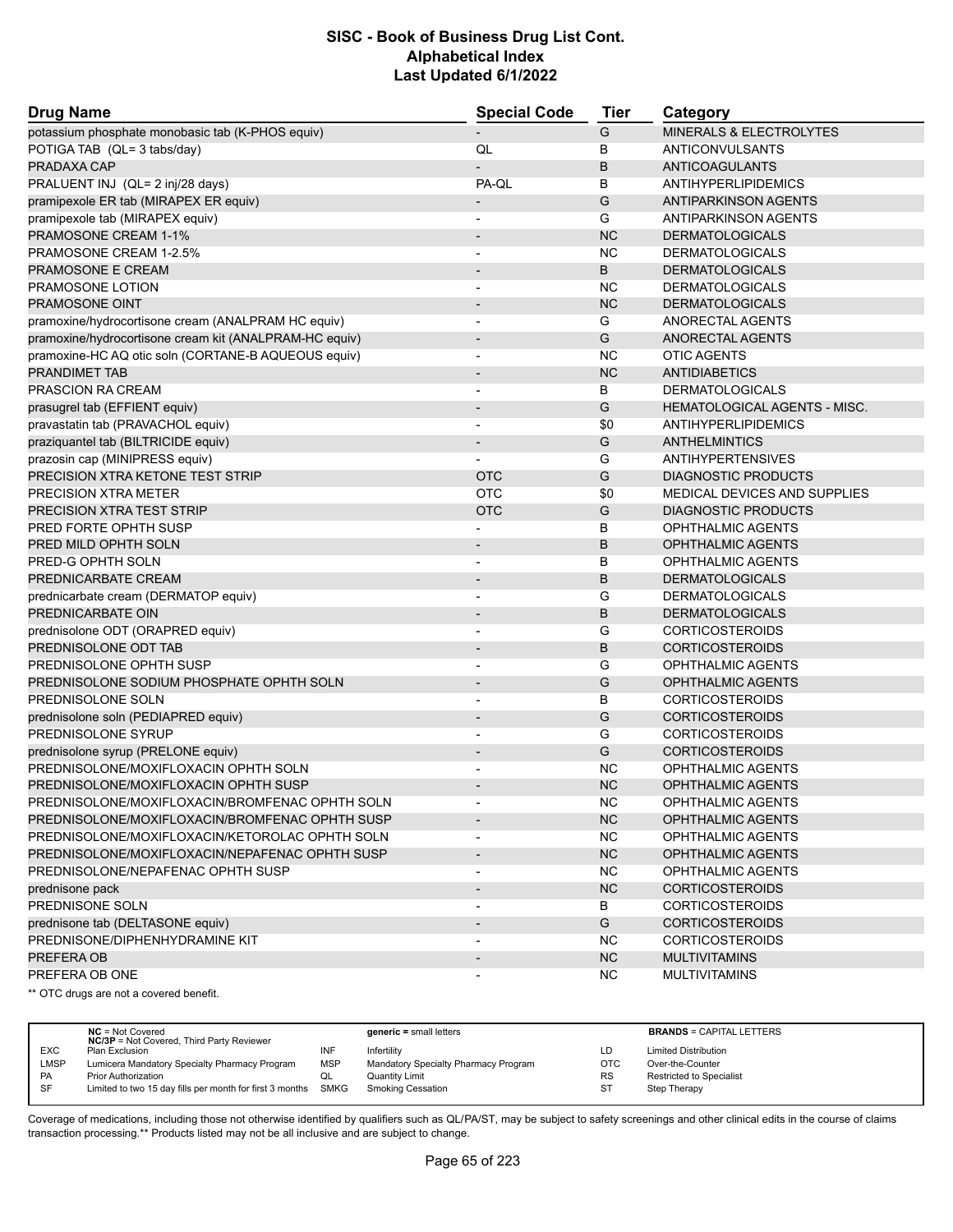| <b>Drug Name</b>                                       | <b>Special Code</b>                                  | Tier      | Category                            |  |
|--------------------------------------------------------|------------------------------------------------------|-----------|-------------------------------------|--|
| potassium phosphate monobasic tab (K-PHOS equiv)       |                                                      | G         | MINERALS & ELECTROLYTES             |  |
| POTIGA TAB (QL= 3 tabs/day)                            | QL                                                   | B         | <b>ANTICONVULSANTS</b>              |  |
| PRADAXA CAP                                            |                                                      | B         | <b>ANTICOAGULANTS</b>               |  |
| PRALUENT INJ (QL= 2 inj/28 days)                       | PA-QL                                                | В         | ANTIHYPERLIPIDEMICS                 |  |
| pramipexole ER tab (MIRAPEX ER equiv)                  |                                                      | G         | <b>ANTIPARKINSON AGENTS</b>         |  |
| pramipexole tab (MIRAPEX equiv)                        |                                                      | G         | ANTIPARKINSON AGENTS                |  |
| PRAMOSONE CREAM 1-1%                                   | $\overline{\phantom{0}}$                             | <b>NC</b> | <b>DERMATOLOGICALS</b>              |  |
| PRAMOSONE CREAM 1-2.5%                                 | $\overline{\phantom{0}}$                             | <b>NC</b> | <b>DERMATOLOGICALS</b>              |  |
| PRAMOSONE E CREAM                                      | $\overline{\phantom{0}}$                             | B         | <b>DERMATOLOGICALS</b>              |  |
| PRAMOSONE LOTION                                       |                                                      | <b>NC</b> | <b>DERMATOLOGICALS</b>              |  |
| PRAMOSONE OINT                                         | $\overline{\phantom{a}}$                             | <b>NC</b> | <b>DERMATOLOGICALS</b>              |  |
| pramoxine/hydrocortisone cream (ANALPRAM HC equiv)     |                                                      | G         | ANORECTAL AGENTS                    |  |
| pramoxine/hydrocortisone cream kit (ANALPRAM-HC equiv) | $\overline{\phantom{m}}$                             | G         | ANORECTAL AGENTS                    |  |
| pramoxine-HC AQ otic soln (CORTANE-B AQUEOUS equiv)    | $\overline{\phantom{0}}$                             | <b>NC</b> | <b>OTIC AGENTS</b>                  |  |
| PRANDIMET TAB                                          | $\overline{\phantom{m}}$                             | <b>NC</b> | <b>ANTIDIABETICS</b>                |  |
| <b>PRASCION RA CREAM</b>                               | $\overline{a}$                                       | B         | <b>DERMATOLOGICALS</b>              |  |
| prasugrel tab (EFFIENT equiv)                          | $\overline{\phantom{a}}$                             | G         | <b>HEMATOLOGICAL AGENTS - MISC.</b> |  |
| pravastatin tab (PRAVACHOL equiv)                      |                                                      | \$0       | ANTIHYPERLIPIDEMICS                 |  |
| praziquantel tab (BILTRICIDE equiv)                    |                                                      | G         | <b>ANTHELMINTICS</b>                |  |
| prazosin cap (MINIPRESS equiv)                         |                                                      | G         | <b>ANTIHYPERTENSIVES</b>            |  |
| PRECISION XTRA KETONE TEST STRIP                       | <b>OTC</b>                                           | G         | <b>DIAGNOSTIC PRODUCTS</b>          |  |
| PRECISION XTRA METER                                   | <b>OTC</b>                                           | \$0       | MEDICAL DEVICES AND SUPPLIES        |  |
| PRECISION XTRA TEST STRIP                              | <b>OTC</b>                                           | G         | <b>DIAGNOSTIC PRODUCTS</b>          |  |
| PRED FORTE OPHTH SUSP                                  |                                                      | B         | <b>OPHTHALMIC AGENTS</b>            |  |
| PRED MILD OPHTH SOLN                                   | $\overline{\phantom{m}}$                             | B         | <b>OPHTHALMIC AGENTS</b>            |  |
| PRED-G OPHTH SOLN                                      | $\overline{a}$                                       | В         | OPHTHALMIC AGENTS                   |  |
| PREDNICARBATE CREAM                                    | $\overline{\phantom{0}}$                             | B         | <b>DERMATOLOGICALS</b>              |  |
| prednicarbate cream (DERMATOP equiv)                   | $\overline{a}$                                       | G         | <b>DERMATOLOGICALS</b>              |  |
| PREDNICARBATE OIN                                      | $\overline{\phantom{0}}$                             | B         | <b>DERMATOLOGICALS</b>              |  |
| prednisolone ODT (ORAPRED equiv)                       | $\overline{\phantom{a}}$                             | G         | <b>CORTICOSTEROIDS</b>              |  |
| PREDNISOLONE ODT TAB                                   | $\overline{\phantom{a}}$                             | B         | <b>CORTICOSTEROIDS</b>              |  |
| PREDNISOLONE OPHTH SUSP                                |                                                      | G         | <b>OPHTHALMIC AGENTS</b>            |  |
| PREDNISOLONE SODIUM PHOSPHATE OPHTH SOLN               | $\overline{\phantom{a}}$                             | G         | <b>OPHTHALMIC AGENTS</b>            |  |
| PREDNISOLONE SOLN                                      | $\overline{\phantom{a}}$                             | В         | <b>CORTICOSTEROIDS</b>              |  |
| prednisolone soln (PEDIAPRED equiv)                    | $\overline{a}$                                       | G         | <b>CORTICOSTEROIDS</b>              |  |
| PREDNISOLONE SYRUP                                     | $\blacksquare$                                       | G         | <b>CORTICOSTEROIDS</b>              |  |
| prednisolone syrup (PRELONE equiv)                     | $\overline{\phantom{a}}$                             | G         | <b>CORTICOSTEROIDS</b>              |  |
| PREDNISOLONE/MOXIFLOXACIN OPHTH SOLN                   |                                                      | NC        | <b>OPHTHALMIC AGENTS</b>            |  |
| PREDNISOLONE/MOXIFLOXACIN OPHTH SUSP                   |                                                      | <b>NC</b> | <b>OPHTHALMIC AGENTS</b>            |  |
| PREDNISOLONE/MOXIFLOXACIN/BROMFENAC OPHTH SOLN         |                                                      | NС        | OPHTHALMIC AGENTS                   |  |
| PREDNISOLONE/MOXIFLOXACIN/BROMFENAC OPHTH SUSP         | ۰                                                    | NC        | OPHTHALMIC AGENTS                   |  |
| PREDNISOLONE/MOXIFLOXACIN/KETOROLAC OPHTH SOLN         |                                                      | <b>NC</b> | OPHTHALMIC AGENTS                   |  |
| PREDNISOLONE/MOXIFLOXACIN/NEPAFENAC OPHTH SUSP         | $\overline{\phantom{a}}$<br>$\overline{\phantom{a}}$ | NC        | <b>OPHTHALMIC AGENTS</b>            |  |
| PREDNISOLONE/NEPAFENAC OPHTH SUSP                      |                                                      | <b>NC</b> | OPHTHALMIC AGENTS                   |  |
|                                                        |                                                      | <b>NC</b> | <b>CORTICOSTEROIDS</b>              |  |
| prednisone pack                                        | $\overline{\phantom{a}}$                             |           |                                     |  |
| PREDNISONE SOLN                                        | $\overline{\phantom{0}}$                             | В<br>G    | <b>CORTICOSTEROIDS</b>              |  |
| prednisone tab (DELTASONE equiv)                       | $\overline{\phantom{a}}$                             |           | <b>CORTICOSTEROIDS</b>              |  |
| PREDNISONE/DIPHENHYDRAMINE KIT                         | $\overline{\phantom{a}}$                             | NC.       | <b>CORTICOSTEROIDS</b>              |  |
| PREFERA OB                                             | $\overline{\phantom{a}}$                             | NC        | <b>MULTIVITAMINS</b>                |  |
| PREFERA OB ONE                                         |                                                      | <b>NC</b> | <b>MULTIVITAMINS</b>                |  |

\*\* OTC drugs are not a covered benefit.

|             | $NC = Not Covered$<br><b>NC/3P</b> = Not Covered, Third Party Reviewer |            | $generic = small letters$            |           | <b>BRANDS = CAPITAL LETTERS</b> |
|-------------|------------------------------------------------------------------------|------------|--------------------------------------|-----------|---------------------------------|
| <b>EXC</b>  | Plan Exclusion                                                         | INF        | Infertility                          | LD        | <b>Limited Distribution</b>     |
| <b>LMSP</b> | Lumicera Mandatory Specialty Pharmacy Program                          | <b>MSP</b> | Mandatory Specialty Pharmacy Program | OTC       | Over-the-Counter                |
| <b>PA</b>   | <b>Prior Authorization</b>                                             | QL         | <b>Quantity Limit</b>                | <b>RS</b> | <b>Restricted to Specialist</b> |
| -SF         | Limited to two 15 day fills per month for first 3 months               | SMKG       | <b>Smoking Cessation</b>             | S.        | Step Therapy                    |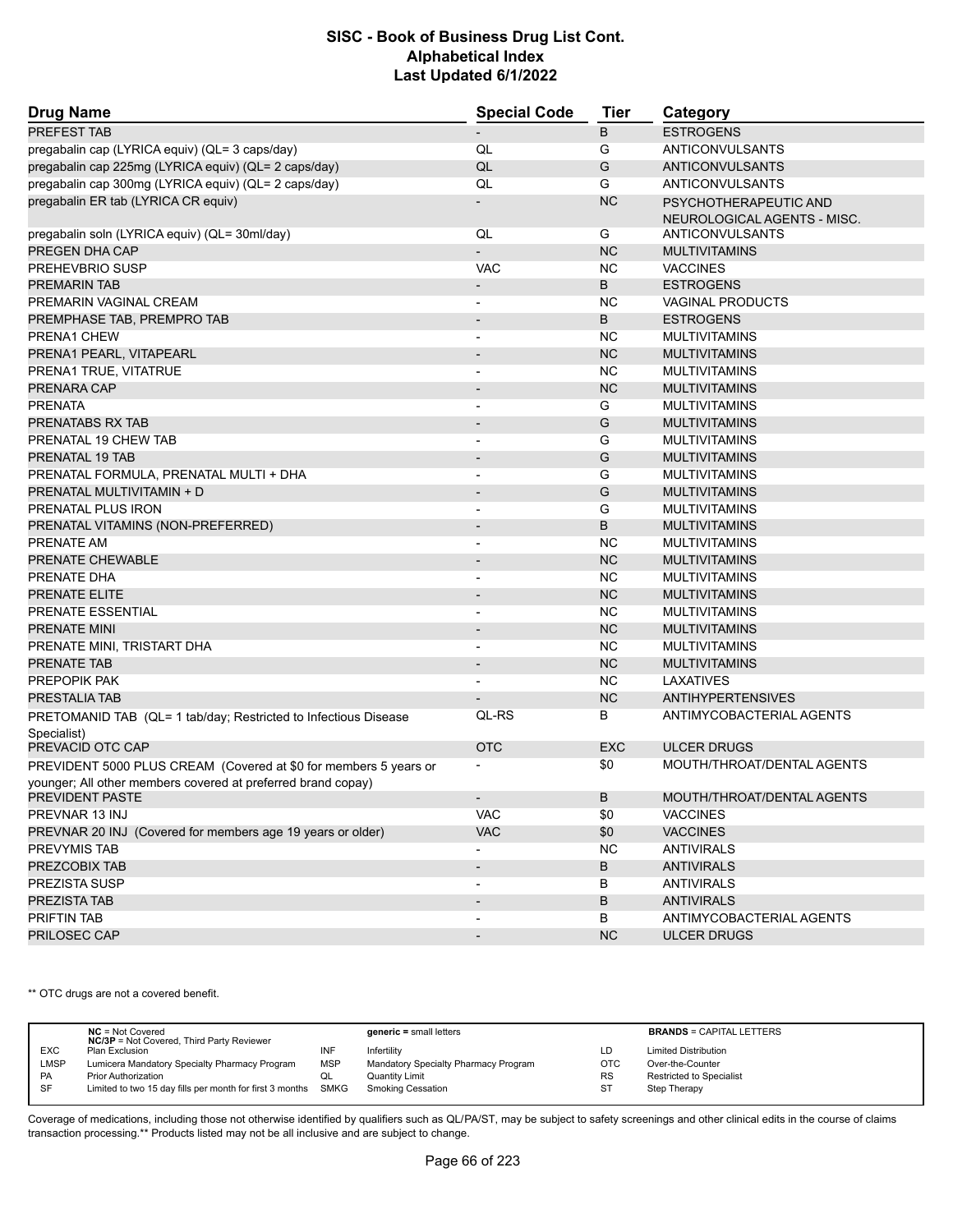| <b>Drug Name</b>                                                                | <b>Special Code</b>      | Tier       | Category                                             |  |
|---------------------------------------------------------------------------------|--------------------------|------------|------------------------------------------------------|--|
| PREFEST TAB                                                                     |                          | B          | <b>ESTROGENS</b>                                     |  |
| pregabalin cap (LYRICA equiv) (QL= 3 caps/day)                                  | QL                       | G          | ANTICONVULSANTS                                      |  |
| pregabalin cap 225mg (LYRICA equiv) (QL= 2 caps/day)                            | QL                       | G          | ANTICONVULSANTS                                      |  |
| pregabalin cap 300mg (LYRICA equiv) (QL= 2 caps/day)                            | QL                       | G          | ANTICONVULSANTS                                      |  |
| pregabalin ER tab (LYRICA CR equiv)                                             |                          | <b>NC</b>  | PSYCHOTHERAPEUTIC AND<br>NEUROLOGICAL AGENTS - MISC. |  |
| pregabalin soln (LYRICA equiv) (QL= 30ml/day)                                   | QL                       | G          | ANTICONVULSANTS                                      |  |
| PREGEN DHA CAP                                                                  |                          | <b>NC</b>  | <b>MULTIVITAMINS</b>                                 |  |
| PREHEVBRIO SUSP                                                                 | <b>VAC</b>               | <b>NC</b>  | <b>VACCINES</b>                                      |  |
| <b>PREMARIN TAB</b>                                                             | $\overline{\phantom{a}}$ | B          | <b>ESTROGENS</b>                                     |  |
| PREMARIN VAGINAL CREAM                                                          |                          | <b>NC</b>  | <b>VAGINAL PRODUCTS</b>                              |  |
| PREMPHASE TAB, PREMPRO TAB                                                      | $\overline{\phantom{a}}$ | B          | <b>ESTROGENS</b>                                     |  |
| PRENA1 CHEW                                                                     |                          | <b>NC</b>  | <b>MULTIVITAMINS</b>                                 |  |
| PRENA1 PEARL, VITAPEARL                                                         |                          | <b>NC</b>  | <b>MULTIVITAMINS</b>                                 |  |
| PRENA1 TRUE, VITATRUE                                                           |                          | <b>NC</b>  | <b>MULTIVITAMINS</b>                                 |  |
| PRENARA CAP                                                                     |                          | <b>NC</b>  | <b>MULTIVITAMINS</b>                                 |  |
| <b>PRENATA</b>                                                                  | $\overline{a}$           | G          | <b>MULTIVITAMINS</b>                                 |  |
| PRENATABS RX TAB                                                                | $\overline{\phantom{a}}$ | G          | <b>MULTIVITAMINS</b>                                 |  |
| PRENATAL 19 CHEW TAB                                                            |                          | G          | <b>MULTIVITAMINS</b>                                 |  |
| PRENATAL 19 TAB                                                                 | $\overline{\phantom{0}}$ | G          | <b>MULTIVITAMINS</b>                                 |  |
| PRENATAL FORMULA, PRENATAL MULTI + DHA                                          | $\overline{\phantom{a}}$ | G          | <b>MULTIVITAMINS</b>                                 |  |
| PRENATAL MULTIVITAMIN + D                                                       |                          | G          | <b>MULTIVITAMINS</b>                                 |  |
| PRENATAL PLUS IRON                                                              | $\blacksquare$           | G          | <b>MULTIVITAMINS</b>                                 |  |
| PRENATAL VITAMINS (NON-PREFERRED)                                               | $\overline{\phantom{a}}$ | B          | <b>MULTIVITAMINS</b>                                 |  |
| PRENATE AM                                                                      |                          | <b>NC</b>  | <b>MULTIVITAMINS</b>                                 |  |
| PRENATE CHEWABLE                                                                | $\blacksquare$           | <b>NC</b>  | <b>MULTIVITAMINS</b>                                 |  |
| PRENATE DHA                                                                     |                          | <b>NC</b>  | <b>MULTIVITAMINS</b>                                 |  |
| PRENATE ELITE                                                                   |                          | <b>NC</b>  | <b>MULTIVITAMINS</b>                                 |  |
| PRENATE ESSENTIAL                                                               | $\overline{\phantom{a}}$ | <b>NC</b>  | <b>MULTIVITAMINS</b>                                 |  |
| PRENATE MINI                                                                    |                          | <b>NC</b>  | <b>MULTIVITAMINS</b>                                 |  |
| PRENATE MINI, TRISTART DHA                                                      |                          | <b>NC</b>  | <b>MULTIVITAMINS</b>                                 |  |
| <b>PRENATE TAB</b>                                                              | $\overline{\phantom{a}}$ | <b>NC</b>  | <b>MULTIVITAMINS</b>                                 |  |
| PREPOPIK PAK                                                                    | $\overline{a}$           | <b>NC</b>  | <b>LAXATIVES</b>                                     |  |
| <b>PRESTALIA TAB</b>                                                            |                          | <b>NC</b>  | <b>ANTIHYPERTENSIVES</b>                             |  |
| PRETOMANID TAB (QL= 1 tab/day; Restricted to Infectious Disease                 | QL-RS                    | В          | ANTIMYCOBACTERIAL AGENTS                             |  |
| Specialist)                                                                     |                          |            |                                                      |  |
| PREVACID OTC CAP                                                                | <b>OTC</b>               | <b>EXC</b> | <b>ULCER DRUGS</b>                                   |  |
| PREVIDENT 5000 PLUS CREAM (Covered at \$0 for members 5 years or                |                          | \$0        | MOUTH/THROAT/DENTAL AGENTS                           |  |
| younger; All other members covered at preferred brand copay)<br>PREVIDENT PASTE |                          | B          | MOUTH/THROAT/DENTAL AGENTS                           |  |
| PREVNAR 13 INJ                                                                  | <b>VAC</b>               | \$0        | <b>VACCINES</b>                                      |  |
| PREVNAR 20 INJ (Covered for members age 19 years or older)                      | <b>VAC</b>               | \$0        | <b>VACCINES</b>                                      |  |
| PREVYMIS TAB                                                                    |                          | <b>NC</b>  | <b>ANTIVIRALS</b>                                    |  |
| PREZCOBIX TAB                                                                   |                          | В          | <b>ANTIVIRALS</b>                                    |  |
| PREZISTA SUSP                                                                   |                          | В          | <b>ANTIVIRALS</b>                                    |  |
| PREZISTA TAB                                                                    | $\overline{\phantom{a}}$ | B          | <b>ANTIVIRALS</b>                                    |  |
| PRIFTIN TAB                                                                     |                          | В          | ANTIMYCOBACTERIAL AGENTS                             |  |
| PRILOSEC CAP                                                                    |                          | <b>NC</b>  | <b>ULCER DRUGS</b>                                   |  |

\*\* OTC drugs are not a covered benefit.

|             | $NC = Not Covered$<br><b>NC/3P</b> = Not Covered, Third Party Reviewer |            | $generic = small letters$            |            | <b>BRANDS = CAPITAL LETTERS</b> |
|-------------|------------------------------------------------------------------------|------------|--------------------------------------|------------|---------------------------------|
| <b>EXC</b>  | Plan Exclusion                                                         | INF        | Infertility                          | LD         | <b>Limited Distribution</b>     |
| <b>LMSP</b> | Lumicera Mandatory Specialty Pharmacy Program                          | <b>MSP</b> | Mandatory Specialty Pharmacy Program | <b>OTC</b> | Over-the-Counter                |
| PA          | <b>Prior Authorization</b>                                             | QL         | <b>Quantity Limit</b>                | <b>RS</b>  | <b>Restricted to Specialist</b> |
| SF          | Limited to two 15 day fills per month for first 3 months SMKG          |            | <b>Smoking Cessation</b>             | <b>ST</b>  | Step Therapy                    |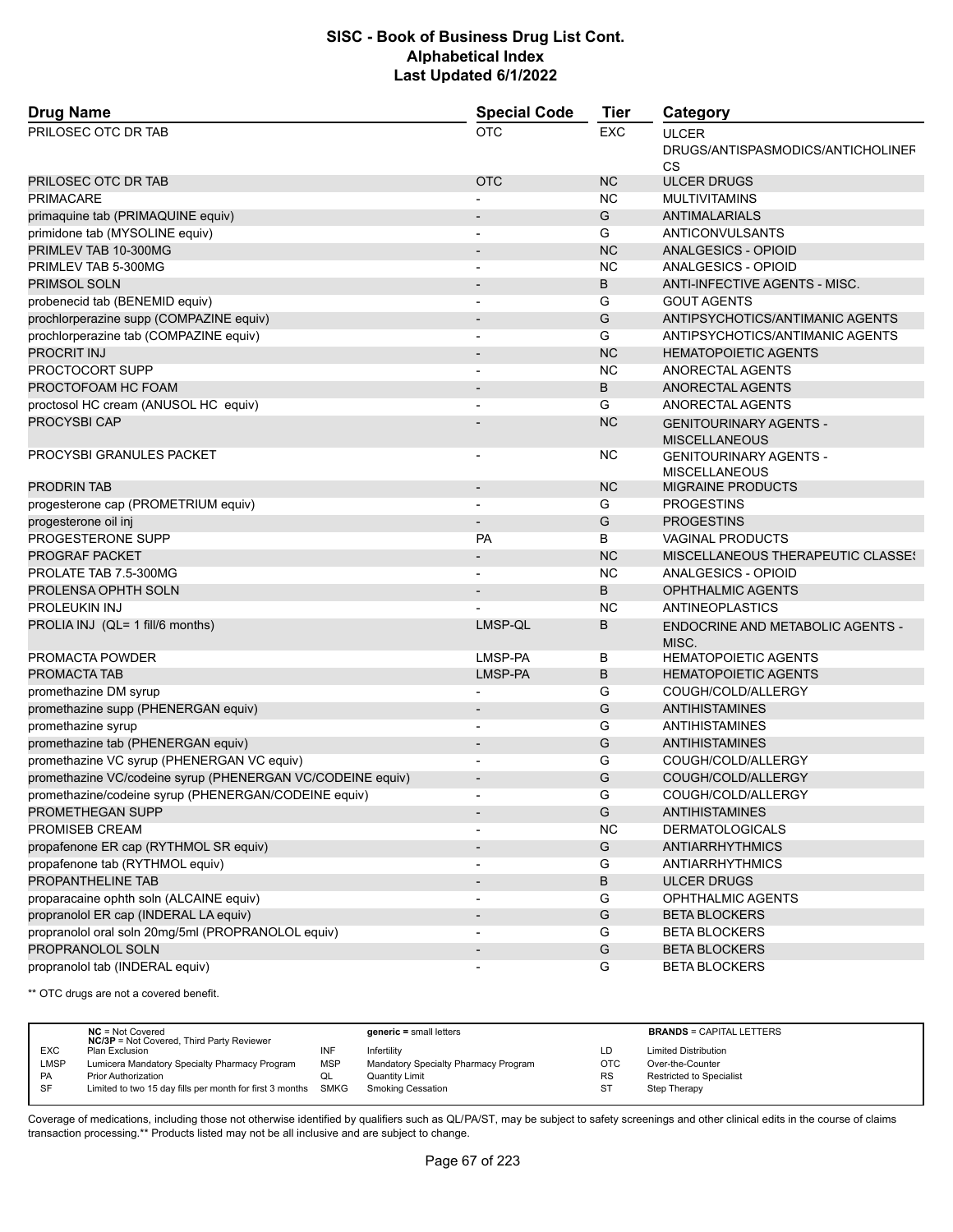| <b>Drug Name</b>                                           | <b>Special Code</b>      | <b>Tier</b>   | Category                                                       |
|------------------------------------------------------------|--------------------------|---------------|----------------------------------------------------------------|
| PRILOSEC OTC DR TAB                                        | <b>OTC</b>               | <b>EXC</b>    | <b>ULCER</b><br>DRUGS/ANTISPASMODICS/ANTICHOLINEF<br><b>CS</b> |
| PRILOSEC OTC DR TAB                                        | <b>OTC</b>               | <b>NC</b>     | <b>ULCER DRUGS</b>                                             |
| <b>PRIMACARE</b>                                           |                          | <b>NC</b>     | <b>MULTIVITAMINS</b>                                           |
| primaquine tab (PRIMAQUINE equiv)                          |                          | G             | <b>ANTIMALARIALS</b>                                           |
| primidone tab (MYSOLINE equiv)                             |                          | G             | ANTICONVULSANTS                                                |
| PRIMLEV TAB 10-300MG                                       |                          | <b>NC</b>     | ANALGESICS - OPIOID                                            |
| PRIMLEV TAB 5-300MG                                        |                          | NC.           | ANALGESICS - OPIOID                                            |
| PRIMSOL SOLN                                               |                          | B             | ANTI-INFECTIVE AGENTS - MISC.                                  |
| probenecid tab (BENEMID equiv)                             |                          | G             | <b>GOUT AGENTS</b>                                             |
| prochlorperazine supp (COMPAZINE equiv)                    |                          | G             | ANTIPSYCHOTICS/ANTIMANIC AGENTS                                |
| prochlorperazine tab (COMPAZINE equiv)                     |                          | G             | ANTIPSYCHOTICS/ANTIMANIC AGENTS                                |
| PROCRIT INJ                                                |                          | <b>NC</b>     | <b>HEMATOPOIETIC AGENTS</b>                                    |
| PROCTOCORT SUPP                                            | $\overline{\phantom{a}}$ | <b>NC</b>     | ANORECTAL AGENTS                                               |
| PROCTOFOAM HC FOAM                                         |                          | B             | ANORECTAL AGENTS                                               |
| proctosol HC cream (ANUSOL HC equiv)                       |                          | G             | ANORECTAL AGENTS                                               |
| <b>PROCYSBI CAP</b>                                        |                          | <b>NC</b>     | <b>GENITOURINARY AGENTS -</b><br><b>MISCELLANEOUS</b>          |
| PROCYSBI GRANULES PACKET                                   | $\overline{\phantom{a}}$ | NC            | <b>GENITOURINARY AGENTS -</b><br><b>MISCELLANEOUS</b>          |
| <b>PRODRIN TAB</b>                                         |                          | <b>NC</b>     | <b>MIGRAINE PRODUCTS</b>                                       |
| progesterone cap (PROMETRIUM equiv)                        |                          | G             | <b>PROGESTINS</b>                                              |
| progesterone oil inj                                       |                          | G             | <b>PROGESTINS</b>                                              |
| PROGESTERONE SUPP                                          | <b>PA</b>                | B             | <b>VAGINAL PRODUCTS</b>                                        |
| <b>PROGRAF PACKET</b>                                      |                          | <b>NC</b>     | MISCELLANEOUS THERAPEUTIC CLASSES                              |
| PROLATE TAB 7.5-300MG                                      |                          | <b>NC</b>     | <b>ANALGESICS - OPIOID</b>                                     |
| PROLENSA OPHTH SOLN                                        |                          | B             | <b>OPHTHALMIC AGENTS</b>                                       |
| PROLEUKIN INJ                                              |                          | NC            | ANTINEOPLASTICS                                                |
| PROLIA INJ (QL= 1 fill/6 months)                           | LMSP-QL                  | B             | <b>ENDOCRINE AND METABOLIC AGENTS -</b><br>MISC.               |
| PROMACTA POWDER                                            | LMSP-PA                  | B             | <b>HEMATOPOIETIC AGENTS</b>                                    |
| PROMACTA TAB                                               | LMSP-PA                  | B             | <b>HEMATOPOIETIC AGENTS</b>                                    |
| promethazine DM syrup                                      |                          | G             | COUGH/COLD/ALLERGY                                             |
| promethazine supp (PHENERGAN equiv)                        |                          | G             | <b>ANTIHISTAMINES</b>                                          |
| promethazine syrup                                         | $\overline{\phantom{a}}$ | G             | <b>ANTIHISTAMINES</b>                                          |
| promethazine tab (PHENERGAN equiv)                         |                          | G             | <b>ANTIHISTAMINES</b>                                          |
| promethazine VC syrup (PHENERGAN VC equiv)                 |                          | G             | COUGH/COLD/ALLERGY                                             |
| promethazine VC/codeine syrup (PHENERGAN VC/CODEINE equiv) | $\overline{\phantom{a}}$ | G             | COUGH/COLD/ALLERGY                                             |
| promethazine/codeine syrup (PHENERGAN/CODEINE equiv)       |                          | G             | COUGH/COLD/ALLERGY                                             |
| PROMETHEGAN SUPP                                           |                          | G             | ANTIHISTAMINES                                                 |
| PROMISEB CREAM                                             |                          | <b>NC</b>     | <b>DERMATOLOGICALS</b>                                         |
| propafenone ER cap (RYTHMOL SR equiv)                      | $\overline{\phantom{a}}$ | G             | <b>ANTIARRHYTHMICS</b>                                         |
| propafenone tab (RYTHMOL equiv)                            | $\overline{\phantom{a}}$ | G             | <b>ANTIARRHYTHMICS</b>                                         |
| PROPANTHELINE TAB                                          |                          | B             | <b>ULCER DRUGS</b>                                             |
| proparacaine ophth soln (ALCAINE equiv)                    | $\overline{\phantom{a}}$ | G             | OPHTHALMIC AGENTS                                              |
| propranolol ER cap (INDERAL LA equiv)                      |                          | G             | <b>BETA BLOCKERS</b>                                           |
| propranolol oral soln 20mg/5ml (PROPRANOLOL equiv)         |                          | G             | <b>BETA BLOCKERS</b>                                           |
| PROPRANOLOL SOLN                                           | $\blacksquare$           | ${\mathsf G}$ | <b>BETA BLOCKERS</b>                                           |
| propranolol tab (INDERAL equiv)                            | $\overline{\phantom{a}}$ | G             | <b>BETA BLOCKERS</b>                                           |

\*\* OTC drugs are not a covered benefit.

|             | $NC = Not Covered$<br><b>NC/3P</b> = Not Covered, Third Party Reviewer |            | $generic = small letters$            |            | <b>BRANDS = CAPITAL LETTERS</b> |
|-------------|------------------------------------------------------------------------|------------|--------------------------------------|------------|---------------------------------|
| <b>EXC</b>  | Plan Exclusion                                                         | INF        | Infertility                          | LD         | <b>Limited Distribution</b>     |
| <b>LMSP</b> | Lumicera Mandatory Specialty Pharmacy Program                          | <b>MSP</b> | Mandatory Specialty Pharmacy Program | <b>OTC</b> | Over-the-Counter                |
| PA          | <b>Prior Authorization</b>                                             | QL         | <b>Quantity Limit</b>                | <b>RS</b>  | Restricted to Specialist        |
| SF          | Limited to two 15 day fills per month for first 3 months SMKG          |            | <b>Smoking Cessation</b>             | <b>ST</b>  | Step Therapy                    |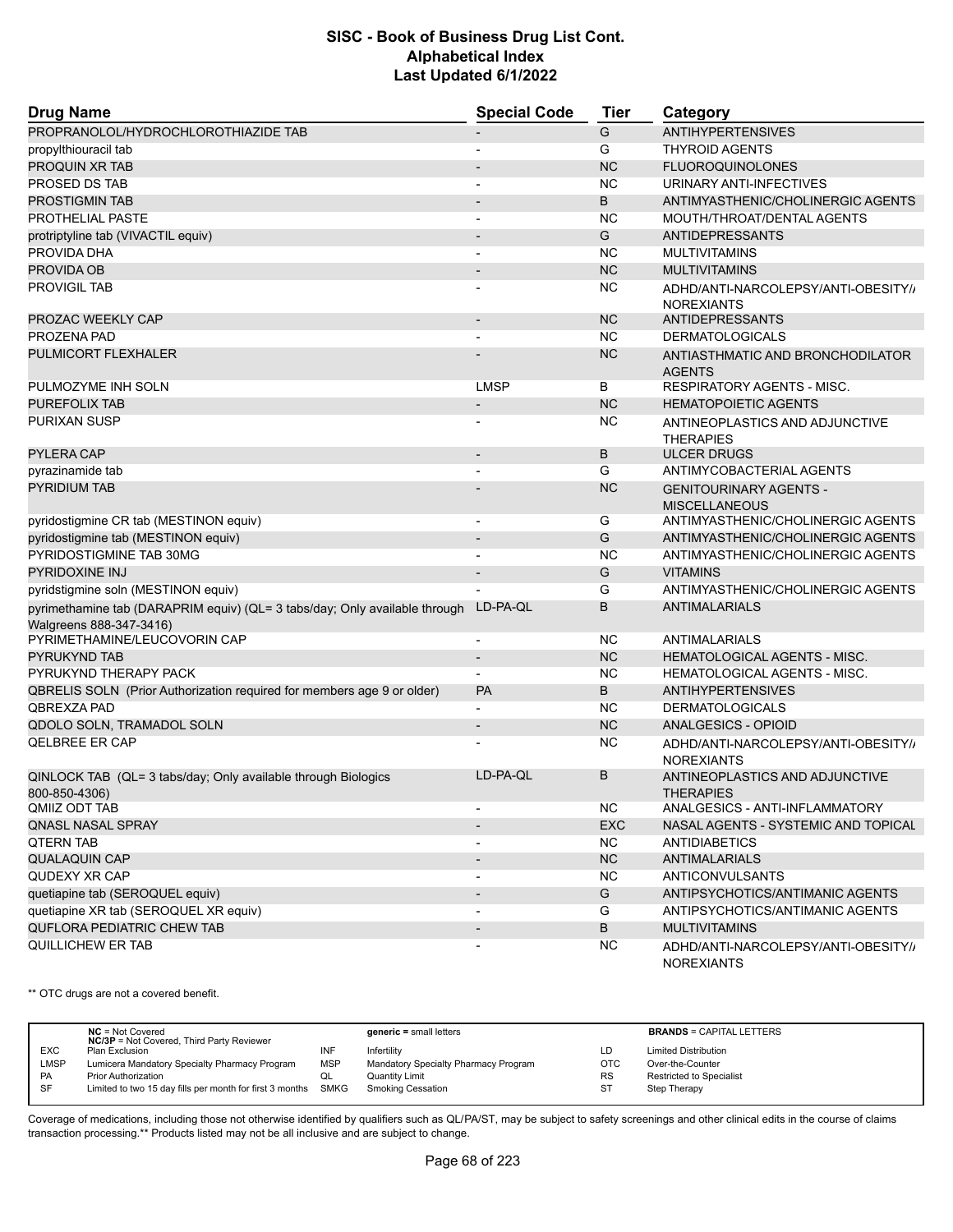| <b>Drug Name</b>                                                                                      | <b>Special Code</b>      | Tier      | Category                                                 |
|-------------------------------------------------------------------------------------------------------|--------------------------|-----------|----------------------------------------------------------|
| PROPRANOLOL/HYDROCHLOROTHIAZIDE TAB                                                                   |                          | G         | <b>ANTIHYPERTENSIVES</b>                                 |
| propylthiouracil tab                                                                                  |                          | G         | <b>THYROID AGENTS</b>                                    |
| PROQUIN XR TAB                                                                                        |                          | <b>NC</b> | <b>FLUOROQUINOLONES</b>                                  |
| PROSED DS TAB                                                                                         | $\blacksquare$           | <b>NC</b> | URINARY ANTI-INFECTIVES                                  |
| <b>PROSTIGMIN TAB</b>                                                                                 |                          | B         | ANTIMYASTHENIC/CHOLINERGIC AGENTS                        |
| PROTHELIAL PASTE                                                                                      |                          | <b>NC</b> | MOUTH/THROAT/DENTAL AGENTS                               |
| protriptyline tab (VIVACTIL equiv)                                                                    |                          | G         | ANTIDEPRESSANTS                                          |
| PROVIDA DHA                                                                                           |                          | <b>NC</b> | <b>MULTIVITAMINS</b>                                     |
| PROVIDA OB                                                                                            |                          | <b>NC</b> | <b>MULTIVITAMINS</b>                                     |
| <b>PROVIGIL TAB</b>                                                                                   |                          | <b>NC</b> | ADHD/ANTI-NARCOLEPSY/ANTI-OBESITY//<br><b>NOREXIANTS</b> |
| PROZAC WEEKLY CAP                                                                                     |                          | <b>NC</b> | <b>ANTIDEPRESSANTS</b>                                   |
| PROZENA PAD                                                                                           |                          | <b>NC</b> | <b>DERMATOLOGICALS</b>                                   |
| PULMICORT FLEXHALER                                                                                   |                          | <b>NC</b> | ANTIASTHMATIC AND BRONCHODILATOR<br><b>AGENTS</b>        |
| PULMOZYME INH SOLN                                                                                    | <b>LMSP</b>              | В         | <b>RESPIRATORY AGENTS - MISC.</b>                        |
| PUREFOLIX TAB                                                                                         |                          | <b>NC</b> | <b>HEMATOPOIETIC AGENTS</b>                              |
| PURIXAN SUSP                                                                                          |                          | <b>NC</b> | ANTINEOPLASTICS AND ADJUNCTIVE<br><b>THERAPIES</b>       |
| <b>PYLERA CAP</b>                                                                                     | $\blacksquare$           | B         | <b>ULCER DRUGS</b>                                       |
| pyrazinamide tab                                                                                      |                          | G         | ANTIMYCOBACTERIAL AGENTS                                 |
| <b>PYRIDIUM TAB</b>                                                                                   |                          | <b>NC</b> | <b>GENITOURINARY AGENTS -</b><br><b>MISCELLANEOUS</b>    |
| pyridostigmine CR tab (MESTINON equiv)                                                                | $\overline{\phantom{a}}$ | G         | ANTIMYASTHENIC/CHOLINERGIC AGENTS                        |
| pyridostigmine tab (MESTINON equiv)                                                                   | $\overline{\phantom{a}}$ | G         | ANTIMYASTHENIC/CHOLINERGIC AGENTS                        |
| PYRIDOSTIGMINE TAB 30MG                                                                               |                          | <b>NC</b> | ANTIMYASTHENIC/CHOLINERGIC AGENTS                        |
| <b>PYRIDOXINE INJ</b>                                                                                 |                          | G         | <b>VITAMINS</b>                                          |
| pyridstigmine soln (MESTINON equiv)                                                                   |                          | G         | ANTIMYASTHENIC/CHOLINERGIC AGENTS                        |
| pyrimethamine tab (DARAPRIM equiv) (QL= 3 tabs/day; Only available through<br>Walgreens 888-347-3416) | LD-PA-QL                 | B         | <b>ANTIMALARIALS</b>                                     |
| PYRIMETHAMINE/LEUCOVORIN CAP                                                                          |                          | <b>NC</b> | ANTIMALARIALS                                            |
| <b>PYRUKYND TAB</b>                                                                                   |                          | <b>NC</b> | HEMATOLOGICAL AGENTS - MISC.                             |
| PYRUKYND THERAPY PACK                                                                                 |                          | <b>NC</b> | <b>HEMATOLOGICAL AGENTS - MISC.</b>                      |
| QBRELIS SOLN (Prior Authorization required for members age 9 or older)                                | <b>PA</b>                | B         | <b>ANTIHYPERTENSIVES</b>                                 |
| QBREXZA PAD                                                                                           |                          | <b>NC</b> | <b>DERMATOLOGICALS</b>                                   |
| QDOLO SOLN, TRAMADOL SOLN                                                                             | $\overline{\phantom{a}}$ | <b>NC</b> | ANALGESICS - OPIOID                                      |
| <b>QELBREE ER CAP</b>                                                                                 |                          | <b>NC</b> | ADHD/ANTI-NARCOLEPSY/ANTI-OBESITY//<br><b>NOREXIANTS</b> |
| QINLOCK TAB (QL= 3 tabs/day; Only available through Biologics<br>800-850-4306)                        | LD-PA-QL                 | B         | ANTINEOPLASTICS AND ADJUNCTIVE<br><b>THERAPIES</b>       |
| QMIIZ ODT TAB                                                                                         | $\overline{\phantom{a}}$ | <b>NC</b> | ANALGESICS - ANTI-INFLAMMATORY                           |
| <b>QNASL NASAL SPRAY</b>                                                                              |                          | EXC       | NASAL AGENTS - SYSTEMIC AND TOPICAL                      |
| <b>QTERN TAB</b>                                                                                      |                          | <b>NC</b> | <b>ANTIDIABETICS</b>                                     |
| <b>QUALAQUIN CAP</b>                                                                                  | $\overline{\phantom{a}}$ | NC        | <b>ANTIMALARIALS</b>                                     |
| QUDEXY XR CAP                                                                                         |                          | NC.       | <b>ANTICONVULSANTS</b>                                   |
| quetiapine tab (SEROQUEL equiv)                                                                       | $\overline{\phantom{a}}$ | G         | ANTIPSYCHOTICS/ANTIMANIC AGENTS                          |
| quetiapine XR tab (SEROQUEL XR equiv)                                                                 | $\overline{\phantom{a}}$ | G         | ANTIPSYCHOTICS/ANTIMANIC AGENTS                          |
| QUFLORA PEDIATRIC CHEW TAB                                                                            | $\overline{\phantom{a}}$ | B         | <b>MULTIVITAMINS</b>                                     |
| QUILLICHEW ER TAB                                                                                     |                          | NC.       | ADHD/ANTI-NARCOLEPSY/ANTI-OBESITY//<br><b>NOREXIANTS</b> |

\*\* OTC drugs are not a covered benefit.

|             | $NC = Not Covered$<br><b>NC/3P</b> = Not Covered, Third Party Reviewer |            | $generic = small letters$            |            | <b>BRANDS = CAPITAL LETTERS</b> |
|-------------|------------------------------------------------------------------------|------------|--------------------------------------|------------|---------------------------------|
| <b>EXC</b>  | Plan Exclusion                                                         | INF        | Infertility                          | LD         | <b>Limited Distribution</b>     |
| <b>LMSP</b> | Lumicera Mandatory Specialty Pharmacy Program                          | <b>MSP</b> | Mandatory Specialty Pharmacy Program | <b>OTC</b> | Over-the-Counter                |
| <b>PA</b>   | <b>Prior Authorization</b>                                             |            | Quantity Limit                       | <b>RS</b>  | Restricted to Specialist        |
| -SF         | Limited to two 15 day fills per month for first 3 months SMKG          |            | Smoking Cessation                    | <b>ST</b>  | Step Therapy                    |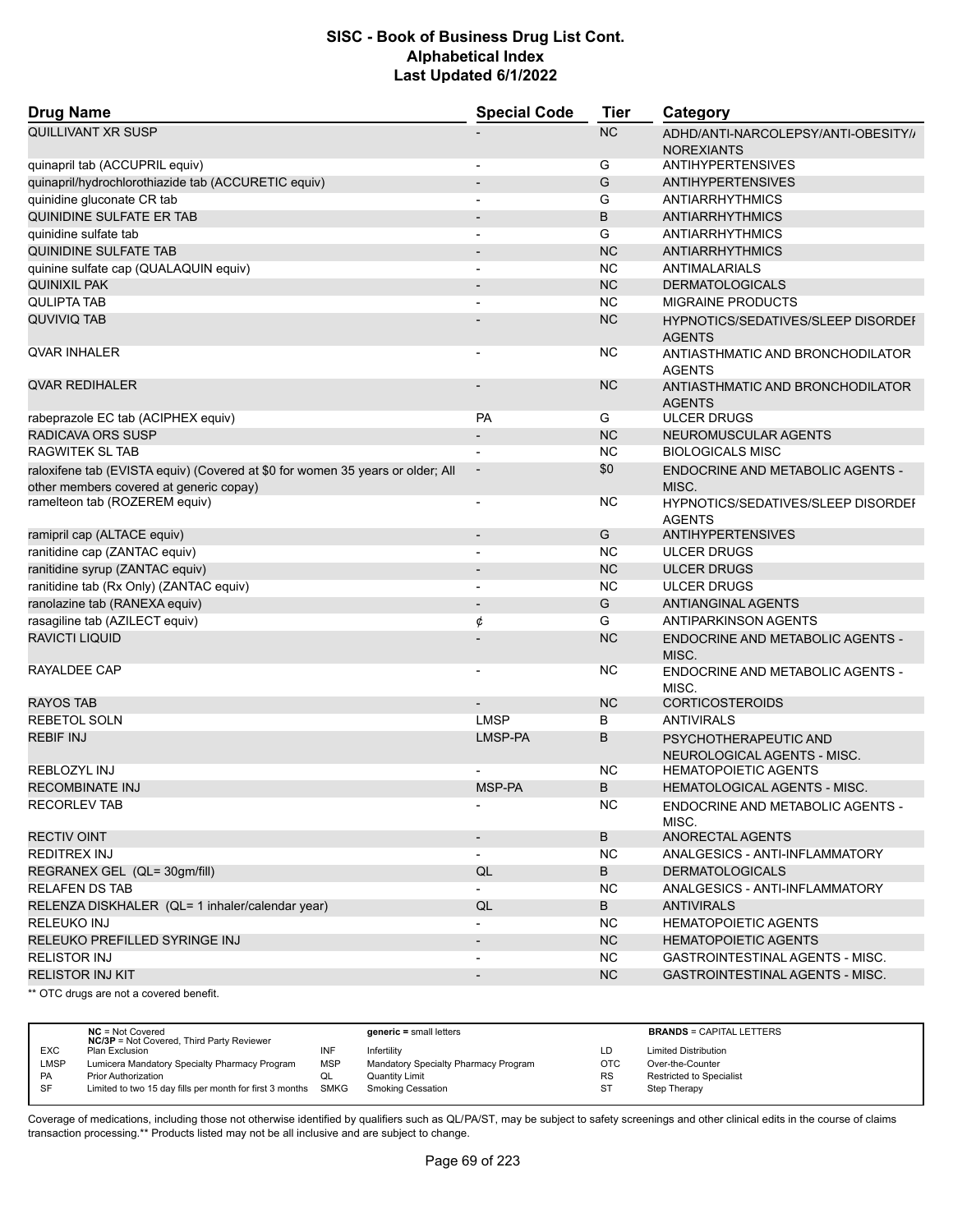| <b>Drug Name</b>                                                                                                          | <b>Special Code</b>      | <b>Tier</b> | Category                                                 |
|---------------------------------------------------------------------------------------------------------------------------|--------------------------|-------------|----------------------------------------------------------|
| QUILLIVANT XR SUSP                                                                                                        |                          | <b>NC</b>   | ADHD/ANTI-NARCOLEPSY/ANTI-OBESITY//<br><b>NOREXIANTS</b> |
| quinapril tab (ACCUPRIL equiv)                                                                                            | $\overline{\phantom{a}}$ | G           | <b>ANTIHYPERTENSIVES</b>                                 |
| quinapril/hydrochlorothiazide tab (ACCURETIC equiv)                                                                       | $\overline{\phantom{a}}$ | G           | <b>ANTIHYPERTENSIVES</b>                                 |
| quinidine gluconate CR tab                                                                                                |                          | G           | <b>ANTIARRHYTHMICS</b>                                   |
| QUINIDINE SULFATE ER TAB                                                                                                  | $\overline{\phantom{a}}$ | B           | <b>ANTIARRHYTHMICS</b>                                   |
| quinidine sulfate tab                                                                                                     | $\overline{a}$           | G           | <b>ANTIARRHYTHMICS</b>                                   |
| <b>QUINIDINE SULFATE TAB</b>                                                                                              |                          | <b>NC</b>   | <b>ANTIARRHYTHMICS</b>                                   |
| quinine sulfate cap (QUALAQUIN equiv)                                                                                     | $\overline{\phantom{a}}$ | <b>NC</b>   | ANTIMALARIALS                                            |
| QUINIXIL PAK                                                                                                              |                          | <b>NC</b>   | <b>DERMATOLOGICALS</b>                                   |
| <b>QULIPTA TAB</b>                                                                                                        |                          | <b>NC</b>   | <b>MIGRAINE PRODUCTS</b>                                 |
| QUVIVIQ TAB                                                                                                               |                          | <b>NC</b>   | HYPNOTICS/SEDATIVES/SLEEP DISORDEF<br><b>AGENTS</b>      |
| QVAR INHALER                                                                                                              | $\overline{\phantom{a}}$ | NC.         | ANTIASTHMATIC AND BRONCHODILATOR<br><b>AGENTS</b>        |
| <b>QVAR REDIHALER</b>                                                                                                     |                          | <b>NC</b>   | ANTIASTHMATIC AND BRONCHODILATOR<br><b>AGENTS</b>        |
| rabeprazole EC tab (ACIPHEX equiv)                                                                                        | <b>PA</b>                | G           | <b>ULCER DRUGS</b>                                       |
| RADICAVA ORS SUSP                                                                                                         |                          | <b>NC</b>   | NEUROMUSCULAR AGENTS                                     |
| <b>RAGWITEK SL TAB</b>                                                                                                    |                          | <b>NC</b>   | <b>BIOLOGICALS MISC</b>                                  |
| raloxifene tab (EVISTA equiv) (Covered at \$0 for women 35 years or older; All<br>other members covered at generic copay) | $\overline{\phantom{a}}$ | \$0         | ENDOCRINE AND METABOLIC AGENTS -<br>MISC.                |
| ramelteon tab (ROZEREM equiv)                                                                                             | $\overline{\phantom{a}}$ | NC.         | HYPNOTICS/SEDATIVES/SLEEP DISORDEF<br><b>AGENTS</b>      |
| ramipril cap (ALTACE equiv)                                                                                               | $\overline{a}$           | G           | <b>ANTIHYPERTENSIVES</b>                                 |
| ranitidine cap (ZANTAC equiv)                                                                                             | ÷                        | NC.         | <b>ULCER DRUGS</b>                                       |
| ranitidine syrup (ZANTAC equiv)                                                                                           |                          | <b>NC</b>   | <b>ULCER DRUGS</b>                                       |
| ranitidine tab (Rx Only) (ZANTAC equiv)                                                                                   | $\overline{\phantom{a}}$ | <b>NC</b>   | <b>ULCER DRUGS</b>                                       |
| ranolazine tab (RANEXA equiv)                                                                                             | $\overline{\phantom{a}}$ | G           | <b>ANTIANGINAL AGENTS</b>                                |
| rasagiline tab (AZILECT equiv)                                                                                            | ¢                        | G           | ANTIPARKINSON AGENTS                                     |
| <b>RAVICTI LIQUID</b>                                                                                                     |                          | <b>NC</b>   | ENDOCRINE AND METABOLIC AGENTS -<br>MISC.                |
| RAYALDEE CAP                                                                                                              | $\overline{a}$           | NC          | ENDOCRINE AND METABOLIC AGENTS -<br>MISC.                |
| <b>RAYOS TAB</b>                                                                                                          |                          | <b>NC</b>   | <b>CORTICOSTEROIDS</b>                                   |
| <b>REBETOL SOLN</b>                                                                                                       | <b>LMSP</b>              | В           | <b>ANTIVIRALS</b>                                        |
| <b>REBIF INJ</b>                                                                                                          | LMSP-PA                  | B           | PSYCHOTHERAPEUTIC AND<br>NEUROLOGICAL AGENTS - MISC.     |
| <b>REBLOZYL INJ</b>                                                                                                       |                          | NC          | <b>HEMATOPOIETIC AGENTS</b>                              |
| <b>RECOMBINATE INJ</b>                                                                                                    | MSP-PA                   | B           | <b>HEMATOLOGICAL AGENTS - MISC.</b>                      |
| <b>RECORLEV TAB</b>                                                                                                       | $\overline{\phantom{a}}$ | <b>NC</b>   | ENDOCRINE AND METABOLIC AGENTS -<br>MISC.                |
| <b>RECTIV OINT</b>                                                                                                        | $\overline{\phantom{a}}$ | B           | ANORECTAL AGENTS                                         |
| REDITREX INJ                                                                                                              | $\overline{\phantom{a}}$ | <b>NC</b>   | ANALGESICS - ANTI-INFLAMMATORY                           |
| REGRANEX GEL (QL= 30gm/fill)                                                                                              | QL                       | B           | <b>DERMATOLOGICALS</b>                                   |
| <b>RELAFEN DS TAB</b>                                                                                                     | $\overline{\phantom{0}}$ | NC.         | ANALGESICS - ANTI-INFLAMMATORY                           |
| RELENZA DISKHALER (QL= 1 inhaler/calendar year)                                                                           | QL                       | B           | <b>ANTIVIRALS</b>                                        |
| RELEUKO INJ                                                                                                               |                          | <b>NC</b>   | <b>HEMATOPOIETIC AGENTS</b>                              |
| RELEUKO PREFILLED SYRINGE INJ                                                                                             | $\overline{\phantom{a}}$ | <b>NC</b>   | <b>HEMATOPOIETIC AGENTS</b>                              |
| <b>RELISTOR INJ</b>                                                                                                       |                          | NC.         | GASTROINTESTINAL AGENTS - MISC.                          |
| <b>RELISTOR INJ KIT</b>                                                                                                   | $\overline{\phantom{a}}$ | NC          | <b>GASTROINTESTINAL AGENTS - MISC.</b>                   |
| ** OTC drugs are not a covered benefit.                                                                                   |                          |             |                                                          |

**NC** = Not Covered **generic =** small letters **BRANDS** = CAPITAL LETTERS **NC/3P** = Not Covered, Third Party Reviewer EXC Plan Exclusion INF Infertility LD Limited Distribution LMSP Lumicera Mandatory Specialty Pharmacy Program MSP Mandatory Specialty Pharmacy Program OTC Over-the-Counter PA Prior Authorization **COL** Quantity Limit Collection RS Restricted to Specialist<br>
SF Limited to two 15 day fills per month for first 3 months SMKG Smoking Cessation ST Step Therapy Limited to two 15 day fills per month for first 3 months SMKG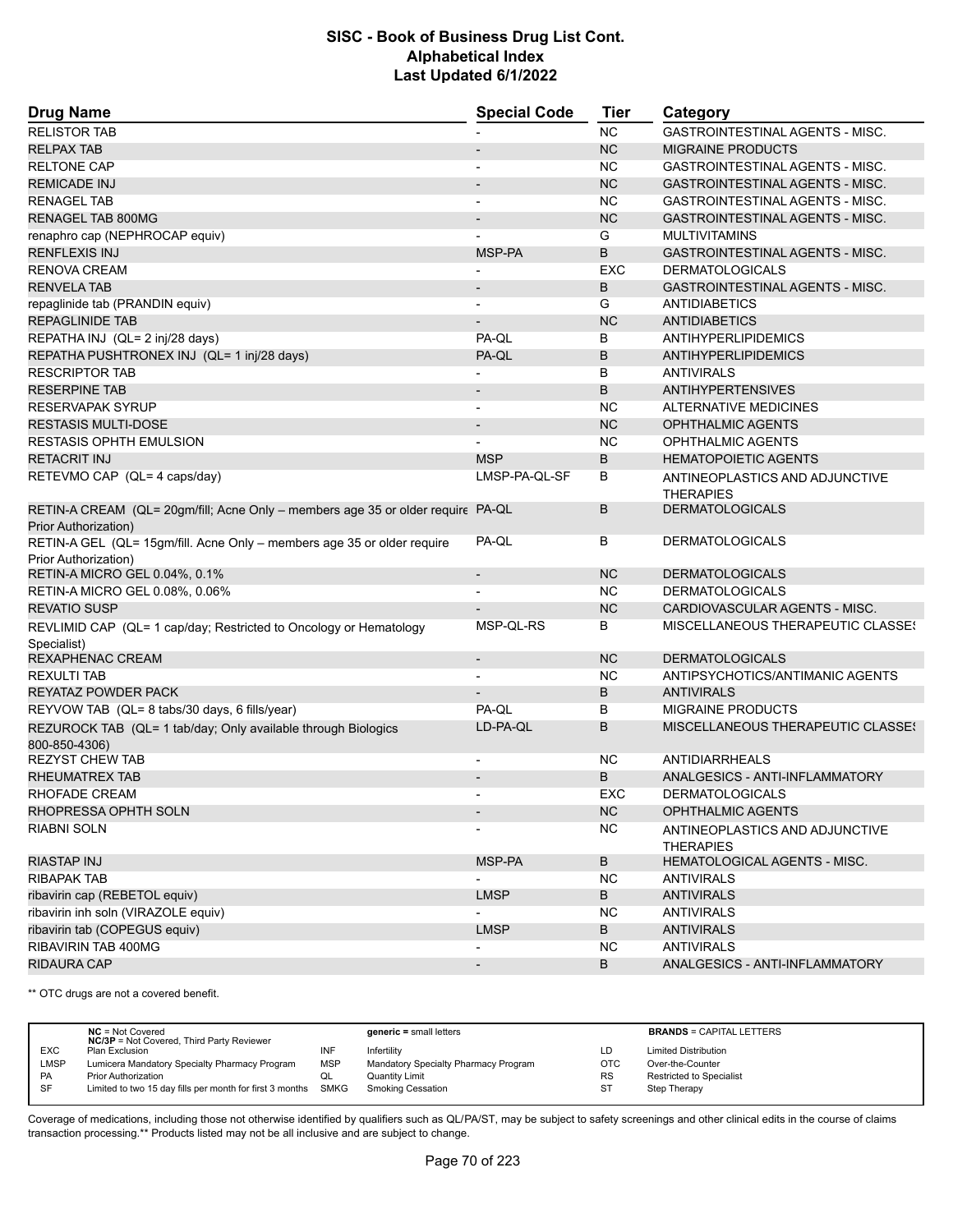| <b>Drug Name</b>                                                                                        | <b>Special Code</b>      | Tier       | Category                                           |  |
|---------------------------------------------------------------------------------------------------------|--------------------------|------------|----------------------------------------------------|--|
| <b>RELISTOR TAB</b>                                                                                     |                          | <b>NC</b>  | <b>GASTROINTESTINAL AGENTS - MISC.</b>             |  |
| <b>RELPAX TAB</b>                                                                                       |                          | <b>NC</b>  | <b>MIGRAINE PRODUCTS</b>                           |  |
| <b>RELTONE CAP</b>                                                                                      |                          | <b>NC</b>  | GASTROINTESTINAL AGENTS - MISC.                    |  |
| <b>REMICADE INJ</b>                                                                                     |                          | <b>NC</b>  | <b>GASTROINTESTINAL AGENTS - MISC.</b>             |  |
| <b>RENAGEL TAB</b>                                                                                      | $\blacksquare$           | <b>NC</b>  | GASTROINTESTINAL AGENTS - MISC.                    |  |
| <b>RENAGEL TAB 800MG</b>                                                                                |                          | <b>NC</b>  | <b>GASTROINTESTINAL AGENTS - MISC.</b>             |  |
| renaphro cap (NEPHROCAP equiv)                                                                          |                          | G          | <b>MULTIVITAMINS</b>                               |  |
| <b>RENFLEXIS INJ</b>                                                                                    | MSP-PA                   | B          | <b>GASTROINTESTINAL AGENTS - MISC.</b>             |  |
| <b>RENOVA CREAM</b>                                                                                     |                          | <b>EXC</b> | <b>DERMATOLOGICALS</b>                             |  |
| <b>RENVELA TAB</b>                                                                                      |                          | B          | GASTROINTESTINAL AGENTS - MISC.                    |  |
| repaglinide tab (PRANDIN equiv)                                                                         | $\blacksquare$           | G          | <b>ANTIDIABETICS</b>                               |  |
| <b>REPAGLINIDE TAB</b>                                                                                  |                          | <b>NC</b>  | <b>ANTIDIABETICS</b>                               |  |
| REPATHA INJ (QL= 2 inj/28 days)                                                                         | PA-QL                    | B          | ANTIHYPERLIPIDEMICS                                |  |
| REPATHA PUSHTRONEX INJ (QL= 1 inj/28 days)                                                              | PA-QL                    | B          | <b>ANTIHYPERLIPIDEMICS</b>                         |  |
| <b>RESCRIPTOR TAB</b>                                                                                   |                          | B          | <b>ANTIVIRALS</b>                                  |  |
| <b>RESERPINE TAB</b>                                                                                    |                          | B          | <b>ANTIHYPERTENSIVES</b>                           |  |
| RESERVAPAK SYRUP                                                                                        | $\blacksquare$           | <b>NC</b>  | <b>ALTERNATIVE MEDICINES</b>                       |  |
| <b>RESTASIS MULTI-DOSE</b>                                                                              |                          | <b>NC</b>  | <b>OPHTHALMIC AGENTS</b>                           |  |
| <b>RESTASIS OPHTH EMULSION</b>                                                                          |                          | <b>NC</b>  | <b>OPHTHALMIC AGENTS</b>                           |  |
| <b>RETACRIT INJ</b>                                                                                     | <b>MSP</b>               | B          | <b>HEMATOPOIETIC AGENTS</b>                        |  |
| RETEVMO CAP (QL= 4 caps/day)                                                                            | LMSP-PA-QL-SF            | B          | ANTINEOPLASTICS AND ADJUNCTIVE<br><b>THERAPIES</b> |  |
| RETIN-A CREAM (QL= 20gm/fill; Acne Only - members age 35 or older require PA-QL<br>Prior Authorization) |                          | B          | <b>DERMATOLOGICALS</b>                             |  |
| RETIN-A GEL (QL= 15gm/fill. Acne Only - members age 35 or older require<br>Prior Authorization)         | PA-QL                    | B          | <b>DERMATOLOGICALS</b>                             |  |
| RETIN-A MICRO GEL 0.04%, 0.1%                                                                           | $\overline{\phantom{a}}$ | <b>NC</b>  | <b>DERMATOLOGICALS</b>                             |  |
| RETIN-A MICRO GEL 0.08%, 0.06%                                                                          |                          | NC         | <b>DERMATOLOGICALS</b>                             |  |
| <b>REVATIO SUSP</b>                                                                                     |                          | <b>NC</b>  | CARDIOVASCULAR AGENTS - MISC.                      |  |
| REVLIMID CAP (QL= 1 cap/day; Restricted to Oncology or Hematology<br>Specialist)                        | MSP-QL-RS                | B          | MISCELLANEOUS THERAPEUTIC CLASSE!                  |  |
| REXAPHENAC CREAM                                                                                        | $\overline{\phantom{a}}$ | <b>NC</b>  | <b>DERMATOLOGICALS</b>                             |  |
| <b>REXULTI TAB</b>                                                                                      |                          | <b>NC</b>  | ANTIPSYCHOTICS/ANTIMANIC AGENTS                    |  |
| REYATAZ POWDER PACK                                                                                     |                          | B          | <b>ANTIVIRALS</b>                                  |  |
| REYVOW TAB (QL= 8 tabs/30 days, 6 fills/year)                                                           | PA-QL                    | B          | <b>MIGRAINE PRODUCTS</b>                           |  |
| REZUROCK TAB (QL= 1 tab/day; Only available through Biologics<br>800-850-4306)                          | LD-PA-QL                 | B          | MISCELLANEOUS THERAPEUTIC CLASSES                  |  |
| <b>REZYST CHEW TAB</b>                                                                                  |                          | NC         | <b>ANTIDIARRHEALS</b>                              |  |
| RHEUMATREX TAB                                                                                          |                          | B          | ANALGESICS - ANTI-INFLAMMATORY                     |  |
| RHOFADE CREAM                                                                                           |                          | EXC        | <b>DERMATOLOGICALS</b>                             |  |
| RHOPRESSA OPHTH SOLN                                                                                    | $\overline{\phantom{a}}$ | <b>NC</b>  | <b>OPHTHALMIC AGENTS</b>                           |  |
| RIABNI SOLN                                                                                             |                          | <b>NC</b>  | ANTINEOPLASTICS AND ADJUNCTIVE<br><b>THERAPIES</b> |  |
| RIASTAP INJ                                                                                             | MSP-PA                   | B          | HEMATOLOGICAL AGENTS - MISC.                       |  |
| <b>RIBAPAK TAB</b>                                                                                      |                          | <b>NC</b>  | <b>ANTIVIRALS</b>                                  |  |
| ribavirin cap (REBETOL equiv)                                                                           | <b>LMSP</b>              | B          | <b>ANTIVIRALS</b>                                  |  |
| ribavirin inh soln (VIRAZOLE equiv)                                                                     |                          | <b>NC</b>  | <b>ANTIVIRALS</b>                                  |  |
| ribavirin tab (COPEGUS equiv)                                                                           | <b>LMSP</b>              | B          | <b>ANTIVIRALS</b>                                  |  |
| RIBAVIRIN TAB 400MG                                                                                     |                          | NC         | <b>ANTIVIRALS</b>                                  |  |
| <b>RIDAURA CAP</b>                                                                                      | $\overline{\phantom{a}}$ | B          | ANALGESICS - ANTI-INFLAMMATORY                     |  |

\*\* OTC drugs are not a covered benefit.

|             | $NC = Not Covered$<br><b>NC/3P</b> = Not Covered, Third Party Reviewer |            | $generic = small letters$            |            | <b>BRANDS = CAPITAL LETTERS</b> |
|-------------|------------------------------------------------------------------------|------------|--------------------------------------|------------|---------------------------------|
| <b>EXC</b>  | Plan Exclusion                                                         | INF        | Infertility                          | LD         | <b>Limited Distribution</b>     |
| <b>LMSP</b> | Lumicera Mandatory Specialty Pharmacy Program                          | <b>MSP</b> | Mandatory Specialty Pharmacy Program | <b>OTC</b> | Over-the-Counter                |
| <b>PA</b>   | <b>Prior Authorization</b>                                             | QL         | <b>Quantity Limit</b>                | <b>RS</b>  | Restricted to Specialist        |
| -SF         | Limited to two 15 day fills per month for first 3 months SMKG          |            | Smoking Cessation                    | <b>ST</b>  | Step Therapy                    |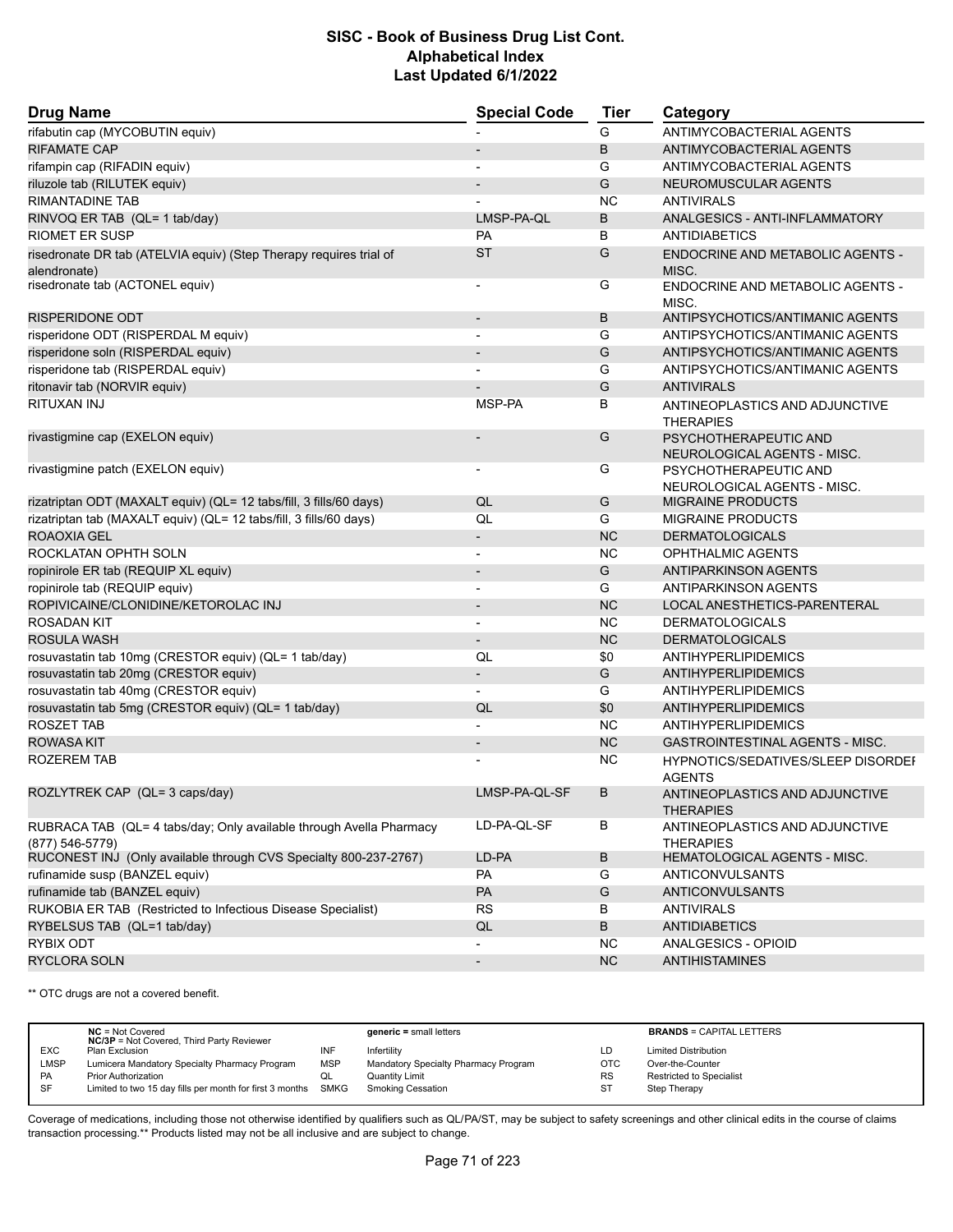| <b>Drug Name</b>                                                                          | <b>Special Code</b>          | <b>Tier</b> | Category                                             |  |
|-------------------------------------------------------------------------------------------|------------------------------|-------------|------------------------------------------------------|--|
| rifabutin cap (MYCOBUTIN equiv)                                                           |                              | G           | ANTIMYCOBACTERIAL AGENTS                             |  |
| <b>RIFAMATE CAP</b>                                                                       | $\overline{\phantom{a}}$     | B           | ANTIMYCOBACTERIAL AGENTS                             |  |
| rifampin cap (RIFADIN equiv)                                                              |                              | G           | ANTIMYCOBACTERIAL AGENTS                             |  |
| riluzole tab (RILUTEK equiv)                                                              |                              | G           | NEUROMUSCULAR AGENTS                                 |  |
| <b>RIMANTADINE TAB</b>                                                                    |                              | <b>NC</b>   | <b>ANTIVIRALS</b>                                    |  |
| RINVOQ ER TAB (QL= 1 tab/day)                                                             | LMSP-PA-QL                   | B           | ANALGESICS - ANTI-INFLAMMATORY                       |  |
| <b>RIOMET ER SUSP</b>                                                                     | <b>PA</b>                    | В           | <b>ANTIDIABETICS</b>                                 |  |
| risedronate DR tab (ATELVIA equiv) (Step Therapy requires trial of                        | <b>ST</b>                    | G           | <b>ENDOCRINE AND METABOLIC AGENTS -</b>              |  |
| alendronate)                                                                              |                              |             | MISC.                                                |  |
| risedronate tab (ACTONEL equiv)                                                           | $\overline{\phantom{a}}$     | G           | ENDOCRINE AND METABOLIC AGENTS -<br>MISC.            |  |
| <b>RISPERIDONE ODT</b>                                                                    | $\overline{\phantom{a}}$     | В           | ANTIPSYCHOTICS/ANTIMANIC AGENTS                      |  |
| risperidone ODT (RISPERDAL M equiv)                                                       | $\overline{\phantom{a}}$     | G           | ANTIPSYCHOTICS/ANTIMANIC AGENTS                      |  |
| risperidone soln (RISPERDAL equiv)                                                        |                              | G           | ANTIPSYCHOTICS/ANTIMANIC AGENTS                      |  |
| risperidone tab (RISPERDAL equiv)                                                         | $\overline{a}$               | G           | ANTIPSYCHOTICS/ANTIMANIC AGENTS                      |  |
| ritonavir tab (NORVIR equiv)                                                              |                              | G           | <b>ANTIVIRALS</b>                                    |  |
| RITUXAN INJ                                                                               | MSP-PA                       | В           | ANTINEOPLASTICS AND ADJUNCTIVE<br><b>THERAPIES</b>   |  |
| rivastigmine cap (EXELON equiv)                                                           |                              | G           | PSYCHOTHERAPEUTIC AND<br>NEUROLOGICAL AGENTS - MISC. |  |
| rivastigmine patch (EXELON equiv)                                                         |                              | G           | PSYCHOTHERAPEUTIC AND<br>NEUROLOGICAL AGENTS - MISC. |  |
| rizatriptan ODT (MAXALT equiv) (QL= 12 tabs/fill, 3 fills/60 days)                        | QL                           | G           | MIGRAINE PRODUCTS                                    |  |
| rizatriptan tab (MAXALT equiv) (QL= 12 tabs/fill, 3 fills/60 days)                        | QL                           | G           | <b>MIGRAINE PRODUCTS</b>                             |  |
| <b>ROAOXIA GEL</b>                                                                        |                              | <b>NC</b>   | <b>DERMATOLOGICALS</b>                               |  |
| ROCKLATAN OPHTH SOLN                                                                      | $\overline{\phantom{0}}$     | <b>NC</b>   | OPHTHALMIC AGENTS                                    |  |
| ropinirole ER tab (REQUIP XL equiv)                                                       | $\overline{\phantom{a}}$     | G           | <b>ANTIPARKINSON AGENTS</b>                          |  |
| ropinirole tab (REQUIP equiv)                                                             | $\overline{\phantom{a}}$     | G           | <b>ANTIPARKINSON AGENTS</b>                          |  |
| ROPIVICAINE/CLONIDINE/KETOROLAC INJ                                                       | $\overline{\phantom{a}}$     | <b>NC</b>   | LOCAL ANESTHETICS-PARENTERAL                         |  |
| <b>ROSADAN KIT</b>                                                                        | $\overline{\phantom{a}}$     | <b>NC</b>   | <b>DERMATOLOGICALS</b>                               |  |
| ROSULA WASH                                                                               | $\overline{\phantom{0}}$     | <b>NC</b>   | <b>DERMATOLOGICALS</b>                               |  |
| rosuvastatin tab 10mg (CRESTOR equiv) (QL= 1 tab/day)                                     | QL                           | \$0         | ANTIHYPERLIPIDEMICS                                  |  |
| rosuvastatin tab 20mg (CRESTOR equiv)                                                     | $\overline{\phantom{a}}$     | G           | ANTIHYPERLIPIDEMICS                                  |  |
| rosuvastatin tab 40mg (CRESTOR equiv)                                                     | $\overline{\phantom{0}}$     | G           | ANTIHYPERLIPIDEMICS                                  |  |
| rosuvastatin tab 5mg (CRESTOR equiv) (QL= 1 tab/day)                                      | QL                           | \$0         | <b>ANTIHYPERLIPIDEMICS</b>                           |  |
| ROSZET TAB                                                                                |                              | <b>NC</b>   | ANTIHYPERLIPIDEMICS                                  |  |
| <b>ROWASA KIT</b>                                                                         | $\overline{\phantom{a}}$     | <b>NC</b>   | <b>GASTROINTESTINAL AGENTS - MISC.</b>               |  |
| ROZEREM TAB                                                                               |                              | ΝC          | HYPNOTICS/SEDATIVES/SLEEP DISORDEF<br><b>AGENTS</b>  |  |
| ROZLYTREK CAP (QL= 3 caps/day)                                                            | LMSP-PA-QL-SF                | B           | ANTINEOPLASTICS AND ADJUNCTIVE<br><b>THERAPIES</b>   |  |
| RUBRACA TAB (QL= 4 tabs/day; Only available through Avella Pharmacy<br>$(877) 546 - 5779$ | LD-PA-QL-SF                  | В           | ANTINEOPLASTICS AND ADJUNCTIVE<br><b>THERAPIES</b>   |  |
| RUCONEST INJ (Only available through CVS Specialty 800-237-2767)                          | LD-PA                        | В           | <b>HEMATOLOGICAL AGENTS - MISC.</b>                  |  |
| rufinamide susp (BANZEL equiv)                                                            | PA                           | G           | ANTICONVULSANTS                                      |  |
| rufinamide tab (BANZEL equiv)                                                             | PA                           | G           | <b>ANTICONVULSANTS</b>                               |  |
| RUKOBIA ER TAB (Restricted to Infectious Disease Specialist)                              | <b>RS</b>                    | В           | <b>ANTIVIRALS</b>                                    |  |
| RYBELSUS TAB (QL=1 tab/day)                                                               | QL                           | В           | <b>ANTIDIABETICS</b>                                 |  |
| RYBIX ODT                                                                                 |                              | <b>NC</b>   | ANALGESICS - OPIOID                                  |  |
| <b>RYCLORA SOLN</b>                                                                       | $\qquad \qquad \blacksquare$ | <b>NC</b>   | <b>ANTIHISTAMINES</b>                                |  |

\*\* OTC drugs are not a covered benefit.

|            | $NC = Not Covered$<br><b>NC/3P</b> = Not Covered, Third Party Reviewer |            | $generic = small letters$            |            | <b>BRANDS = CAPITAL LETTERS</b> |
|------------|------------------------------------------------------------------------|------------|--------------------------------------|------------|---------------------------------|
| <b>EXC</b> | Plan Exclusion                                                         | INF        | Infertility                          | LD         | <b>Limited Distribution</b>     |
| LMSP       | Lumicera Mandatory Specialty Pharmacy Program                          | <b>MSP</b> | Mandatory Specialty Pharmacy Program | <b>OTC</b> | Over-the-Counter                |
| <b>PA</b>  | <b>Prior Authorization</b>                                             | ◡          | Quantity Limit                       | <b>RS</b>  | Restricted to Specialist        |
| <b>SF</b>  | Limited to two 15 day fills per month for first 3 months               | SMKG       | Smoking Cessation                    | ST         | Step Therapy                    |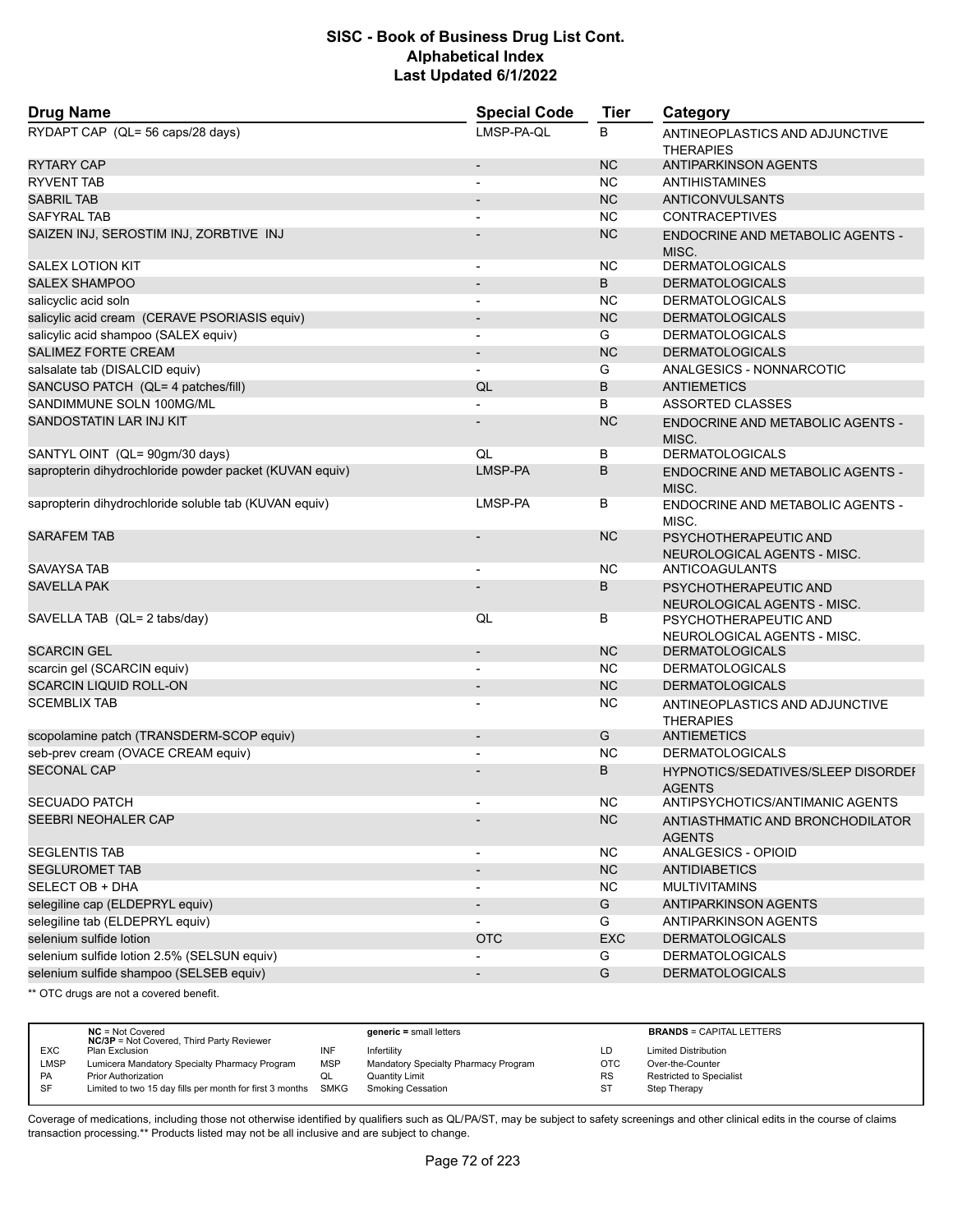| <b>Drug Name</b>                                        | <b>Special Code</b>      | <b>Tier</b> | Category                                             |
|---------------------------------------------------------|--------------------------|-------------|------------------------------------------------------|
| RYDAPT CAP (QL= 56 caps/28 days)                        | LMSP-PA-QL               | B           | ANTINEOPLASTICS AND ADJUNCTIVE<br><b>THERAPIES</b>   |
| <b>RYTARY CAP</b>                                       | $\overline{\phantom{a}}$ | <b>NC</b>   | <b>ANTIPARKINSON AGENTS</b>                          |
| <b>RYVENT TAB</b>                                       |                          | <b>NC</b>   | <b>ANTIHISTAMINES</b>                                |
| <b>SABRIL TAB</b>                                       |                          | <b>NC</b>   | <b>ANTICONVULSANTS</b>                               |
| <b>SAFYRAL TAB</b>                                      |                          | <b>NC</b>   | <b>CONTRACEPTIVES</b>                                |
| SAIZEN INJ, SEROSTIM INJ, ZORBTIVE INJ                  |                          | <b>NC</b>   | ENDOCRINE AND METABOLIC AGENTS -<br>MISC.            |
| <b>SALEX LOTION KIT</b>                                 |                          | <b>NC</b>   | <b>DERMATOLOGICALS</b>                               |
| <b>SALEX SHAMPOO</b>                                    |                          | B           | <b>DERMATOLOGICALS</b>                               |
| salicyclic acid soln                                    | $\blacksquare$           | <b>NC</b>   | <b>DERMATOLOGICALS</b>                               |
| salicylic acid cream (CERAVE PSORIASIS equiv)           |                          | <b>NC</b>   | <b>DERMATOLOGICALS</b>                               |
| salicylic acid shampoo (SALEX equiv)                    | $\overline{\phantom{a}}$ | G           | <b>DERMATOLOGICALS</b>                               |
| <b>SALIMEZ FORTE CREAM</b>                              | $\blacksquare$           | <b>NC</b>   | <b>DERMATOLOGICALS</b>                               |
| salsalate tab (DISALCID equiv)                          | $\overline{\phantom{a}}$ | G           | ANALGESICS - NONNARCOTIC                             |
| SANCUSO PATCH (QL= 4 patches/fill)                      | QL                       | B           | <b>ANTIEMETICS</b>                                   |
| SANDIMMUNE SOLN 100MG/ML                                |                          | B           | ASSORTED CLASSES                                     |
| <b>SANDOSTATIN LAR INJ KIT</b>                          |                          | <b>NC</b>   | ENDOCRINE AND METABOLIC AGENTS -                     |
|                                                         | QL                       |             | MISC.<br><b>DERMATOLOGICALS</b>                      |
| SANTYL OINT (QL= 90gm/30 days)                          |                          | B           |                                                      |
| sapropterin dihydrochloride powder packet (KUVAN equiv) | LMSP-PA                  | B           | ENDOCRINE AND METABOLIC AGENTS -<br>MISC.            |
| sapropterin dihydrochloride soluble tab (KUVAN equiv)   | LMSP-PA                  | В           | ENDOCRINE AND METABOLIC AGENTS -<br>MISC.            |
| <b>SARAFEM TAB</b>                                      |                          | <b>NC</b>   | PSYCHOTHERAPEUTIC AND<br>NEUROLOGICAL AGENTS - MISC. |
| SAVAYSA TAB                                             | $\overline{\phantom{a}}$ | <b>NC</b>   | ANTICOAGULANTS                                       |
| <b>SAVELLA PAK</b>                                      |                          | B           | PSYCHOTHERAPEUTIC AND<br>NEUROLOGICAL AGENTS - MISC. |
| SAVELLA TAB (QL= 2 tabs/day)                            | QL                       | В           | PSYCHOTHERAPEUTIC AND<br>NEUROLOGICAL AGENTS - MISC. |
| <b>SCARCIN GEL</b>                                      | $\overline{\phantom{a}}$ | <b>NC</b>   | <b>DERMATOLOGICALS</b>                               |
| scarcin gel (SCARCIN equiv)                             |                          | <b>NC</b>   | <b>DERMATOLOGICALS</b>                               |
| <b>SCARCIN LIQUID ROLL-ON</b>                           | $\overline{\phantom{a}}$ | <b>NC</b>   | <b>DERMATOLOGICALS</b>                               |
| <b>SCEMBLIX TAB</b>                                     |                          | <b>NC</b>   | ANTINEOPLASTICS AND ADJUNCTIVE<br><b>THERAPIES</b>   |
| scopolamine patch (TRANSDERM-SCOP equiv)                | $\overline{\phantom{a}}$ | G           | <b>ANTIEMETICS</b>                                   |
| seb-prev cream (OVACE CREAM equiv)                      |                          | <b>NC</b>   | <b>DERMATOLOGICALS</b>                               |
| <b>SECONAL CAP</b>                                      |                          | B           | HYPNOTICS/SEDATIVES/SLEEP DISORDEF<br><b>AGENTS</b>  |
| <b>SECUADO PATCH</b>                                    |                          | <b>NC</b>   | ANTIPSYCHOTICS/ANTIMANIC AGENTS                      |
| SEEBRI NEOHALER CAP                                     |                          | <b>NC</b>   | ANTIASTHMATIC AND BRONCHODILATOR<br><b>AGENTS</b>    |
| <b>SEGLENTIS TAB</b>                                    |                          | <b>NC</b>   | ANALGESICS - OPIOID                                  |
| <b>SEGLUROMET TAB</b>                                   | $\overline{\phantom{a}}$ | <b>NC</b>   | <b>ANTIDIABETICS</b>                                 |
| SELECT OB + DHA                                         | $\blacksquare$           | <b>NC</b>   | <b>MULTIVITAMINS</b>                                 |
| selegiline cap (ELDEPRYL equiv)                         | $\overline{\phantom{a}}$ | G           | ANTIPARKINSON AGENTS                                 |
| selegiline tab (ELDEPRYL equiv)                         |                          | G           | ANTIPARKINSON AGENTS                                 |
| selenium sulfide lotion                                 | <b>OTC</b>               | <b>EXC</b>  | <b>DERMATOLOGICALS</b>                               |
| selenium sulfide lotion 2.5% (SELSUN equiv)             |                          | G           | <b>DERMATOLOGICALS</b>                               |
| selenium sulfide shampoo (SELSEB equiv)                 | $\overline{a}$           | G           | <b>DERMATOLOGICALS</b>                               |
|                                                         |                          |             |                                                      |

\*\* OTC drugs are not a covered benefit.

|            | $NC = Not Covered$<br><b>NC/3P</b> = Not Covered, Third Party Reviewer |            | $generic = small letters$            |           | <b>BRANDS = CAPITAL LETTERS</b> |
|------------|------------------------------------------------------------------------|------------|--------------------------------------|-----------|---------------------------------|
| <b>EXC</b> | Plan Exclusion                                                         | INF        | Infertility                          | LD        | <b>Limited Distribution</b>     |
| LMSP       | Lumicera Mandatory Specialty Pharmacy Program                          | <b>MSP</b> | Mandatory Specialty Pharmacy Program | OTC       | Over-the-Counter                |
| <b>PA</b>  | <b>Prior Authorization</b>                                             | QL         | Quantity Limit                       | <b>RS</b> | <b>Restricted to Specialist</b> |
| <b>SF</b>  | Limited to two 15 day fills per month for first 3 months SMKG          |            | <b>Smoking Cessation</b>             | -ST       | Step Therapy                    |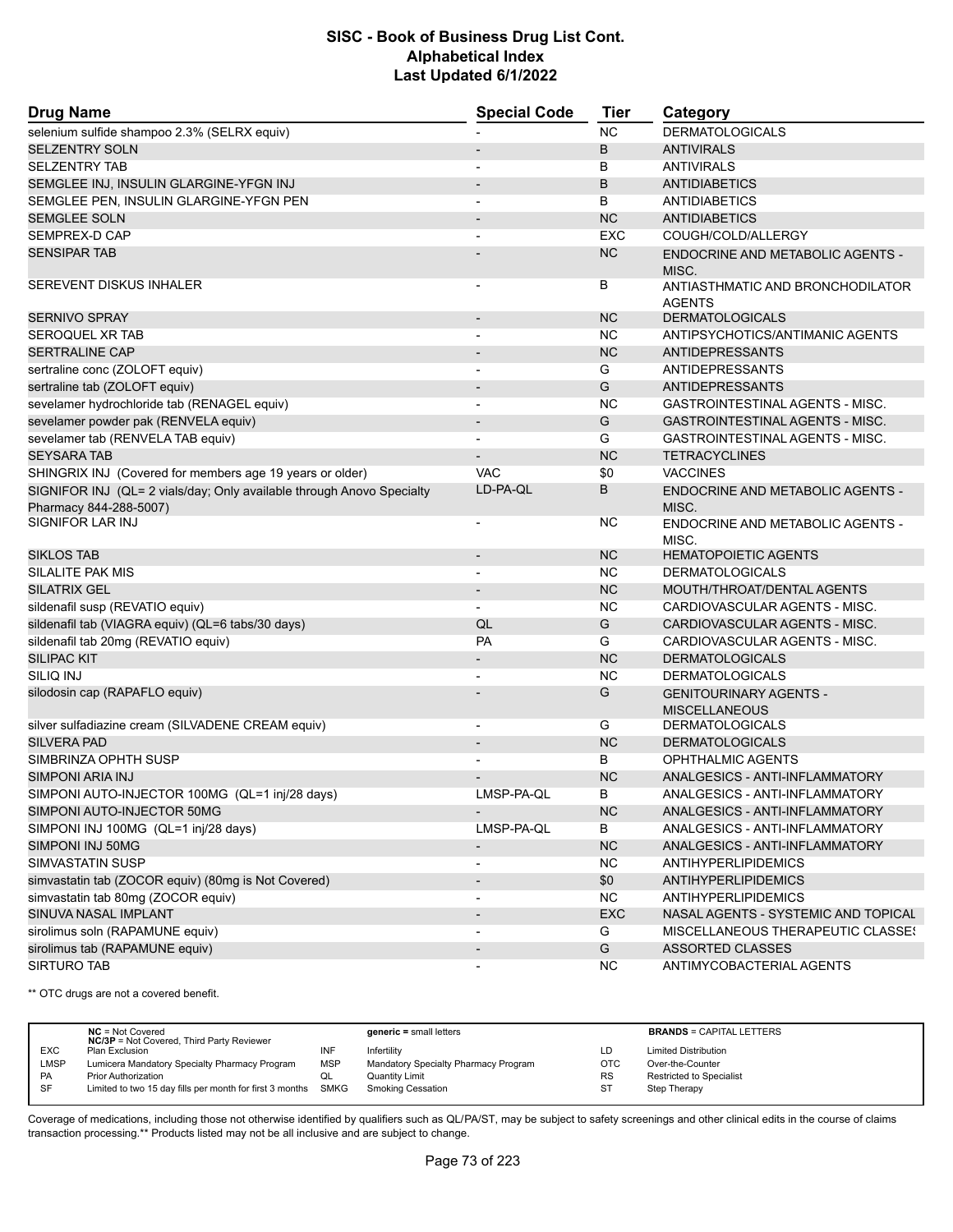| <b>Drug Name</b>                                                                                | <b>Special Code</b>      | <b>Tier</b> | Category                                              |
|-------------------------------------------------------------------------------------------------|--------------------------|-------------|-------------------------------------------------------|
| selenium sulfide shampoo 2.3% (SELRX equiv)                                                     |                          | <b>NC</b>   | <b>DERMATOLOGICALS</b>                                |
| <b>SELZENTRY SOLN</b>                                                                           |                          | B           | <b>ANTIVIRALS</b>                                     |
| <b>SELZENTRY TAB</b>                                                                            |                          | В           | <b>ANTIVIRALS</b>                                     |
| SEMGLEE INJ, INSULIN GLARGINE-YFGN INJ                                                          | $\blacksquare$           | B           | <b>ANTIDIABETICS</b>                                  |
| SEMGLEE PEN, INSULIN GLARGINE-YFGN PEN                                                          | $\blacksquare$           | B           | ANTIDIABETICS                                         |
| <b>SEMGLEE SOLN</b>                                                                             |                          | <b>NC</b>   | <b>ANTIDIABETICS</b>                                  |
| <b>SEMPREX-D CAP</b>                                                                            | $\blacksquare$           | <b>EXC</b>  | COUGH/COLD/ALLERGY                                    |
| <b>SENSIPAR TAB</b>                                                                             |                          | NC          | ENDOCRINE AND METABOLIC AGENTS -<br>MISC.             |
| SEREVENT DISKUS INHALER                                                                         |                          | В           | ANTIASTHMATIC AND BRONCHODILATOR<br><b>AGENTS</b>     |
| <b>SERNIVO SPRAY</b>                                                                            |                          | <b>NC</b>   | <b>DERMATOLOGICALS</b>                                |
| SEROQUEL XR TAB                                                                                 |                          | NC.         | ANTIPSYCHOTICS/ANTIMANIC AGENTS                       |
| <b>SERTRALINE CAP</b>                                                                           | $\blacksquare$           | <b>NC</b>   | <b>ANTIDEPRESSANTS</b>                                |
| sertraline conc (ZOLOFT equiv)                                                                  |                          | G           | ANTIDEPRESSANTS                                       |
| sertraline tab (ZOLOFT equiv)                                                                   |                          | G           | <b>ANTIDEPRESSANTS</b>                                |
| sevelamer hydrochloride tab (RENAGEL equiv)                                                     | $\blacksquare$           | <b>NC</b>   | GASTROINTESTINAL AGENTS - MISC.                       |
| sevelamer powder pak (RENVELA equiv)                                                            |                          | G           | GASTROINTESTINAL AGENTS - MISC.                       |
| sevelamer tab (RENVELA TAB equiv)                                                               |                          | G           | <b>GASTROINTESTINAL AGENTS - MISC.</b>                |
| <b>SEYSARA TAB</b>                                                                              | $\overline{\phantom{a}}$ | <b>NC</b>   | <b>TETRACYCLINES</b>                                  |
| SHINGRIX INJ (Covered for members age 19 years or older)                                        | <b>VAC</b>               | \$0         | <b>VACCINES</b>                                       |
| SIGNIFOR INJ (QL= 2 vials/day; Only available through Anovo Specialty<br>Pharmacy 844-288-5007) | LD-PA-QL                 | B           | <b>ENDOCRINE AND METABOLIC AGENTS -</b><br>MISC.      |
| <b>SIGNIFOR LAR INJ</b>                                                                         | $\overline{\phantom{a}}$ | NC.         | ENDOCRINE AND METABOLIC AGENTS -<br>MISC.             |
| <b>SIKLOS TAB</b>                                                                               | $\blacksquare$           | <b>NC</b>   | <b>HEMATOPOIETIC AGENTS</b>                           |
| SILALITE PAK MIS                                                                                |                          | NC.         | <b>DERMATOLOGICALS</b>                                |
| <b>SILATRIX GEL</b>                                                                             | $\overline{\phantom{a}}$ | <b>NC</b>   | MOUTH/THROAT/DENTAL AGENTS                            |
| sildenafil susp (REVATIO equiv)                                                                 |                          | <b>NC</b>   | CARDIOVASCULAR AGENTS - MISC.                         |
| sildenafil tab (VIAGRA equiv) (QL=6 tabs/30 days)                                               | QL                       | G           | CARDIOVASCULAR AGENTS - MISC.                         |
| sildenafil tab 20mg (REVATIO equiv)                                                             | <b>PA</b>                | G           | CARDIOVASCULAR AGENTS - MISC.                         |
| <b>SILIPAC KIT</b>                                                                              |                          | <b>NC</b>   | <b>DERMATOLOGICALS</b>                                |
| SILIQ INJ                                                                                       |                          | NC.         | <b>DERMATOLOGICALS</b>                                |
| silodosin cap (RAPAFLO equiv)                                                                   |                          | G           | <b>GENITOURINARY AGENTS -</b><br><b>MISCELLANEOUS</b> |
| silver sulfadiazine cream (SILVADENE CREAM equiv)                                               | $\overline{\phantom{a}}$ | G           | <b>DERMATOLOGICALS</b>                                |
| <b>SILVERA PAD</b>                                                                              |                          | <b>NC</b>   | <b>DERMATOLOGICALS</b>                                |
| SIMBRINZA OPHTH SUSP                                                                            |                          | В           | <b>OPHTHALMIC AGENTS</b>                              |
| <b>SIMPONI ARIA INJ</b>                                                                         |                          | <b>NC</b>   | ANALGESICS - ANTI-INFLAMMATORY                        |
| SIMPONI AUTO-INJECTOR 100MG (QL=1 inj/28 days)                                                  | LMSP-PA-QL               | В           | ANALGESICS - ANTI-INFLAMMATORY                        |
| SIMPONI AUTO-INJECTOR 50MG                                                                      |                          | NC          | ANALGESICS - ANTI-INFLAMMATORY                        |
| SIMPONI INJ 100MG (QL=1 inj/28 days)                                                            | LMSP-PA-QL               | В           | ANALGESICS - ANTI-INFLAMMATORY                        |
| SIMPONI INJ 50MG                                                                                |                          | <b>NC</b>   | ANALGESICS - ANTI-INFLAMMATORY                        |
| SIMVASTATIN SUSP                                                                                |                          | <b>NC</b>   | <b>ANTIHYPERLIPIDEMICS</b>                            |
| simvastatin tab (ZOCOR equiv) (80mg is Not Covered)                                             | $\overline{\phantom{a}}$ | \$0         | <b>ANTIHYPERLIPIDEMICS</b>                            |
| simvastatin tab 80mg (ZOCOR equiv)                                                              |                          | NC.         | <b>ANTIHYPERLIPIDEMICS</b>                            |
| SINUVA NASAL IMPLANT                                                                            |                          | EXC         | NASAL AGENTS - SYSTEMIC AND TOPICAL                   |
| sirolimus soln (RAPAMUNE equiv)                                                                 | $\overline{\phantom{a}}$ | G           | <b>MISCELLANEOUS THERAPEUTIC CLASSES</b>              |
| sirolimus tab (RAPAMUNE equiv)                                                                  |                          | G           | <b>ASSORTED CLASSES</b>                               |
| <b>SIRTURO TAB</b>                                                                              |                          | <b>NC</b>   | ANTIMYCOBACTERIAL AGENTS                              |

\*\* OTC drugs are not a covered benefit.

|             | $NC = Not Covered$<br><b>NC/3P</b> = Not Covered, Third Party Reviewer |            | $generic = small letters$            |            | <b>BRANDS = CAPITAL LETTERS</b> |
|-------------|------------------------------------------------------------------------|------------|--------------------------------------|------------|---------------------------------|
| <b>EXC</b>  | Plan Exclusion                                                         | INF        | Infertility                          | LD         | <b>Limited Distribution</b>     |
| <b>LMSP</b> | Lumicera Mandatory Specialty Pharmacy Program                          | <b>MSP</b> | Mandatory Specialty Pharmacy Program | <b>OTC</b> | Over-the-Counter                |
| PA          | <b>Prior Authorization</b>                                             | QL         | <b>Quantity Limit</b>                | <b>RS</b>  | <b>Restricted to Specialist</b> |
| SF          | Limited to two 15 day fills per month for first 3 months SMKG          |            | <b>Smoking Cessation</b>             | <b>ST</b>  | Step Therapy                    |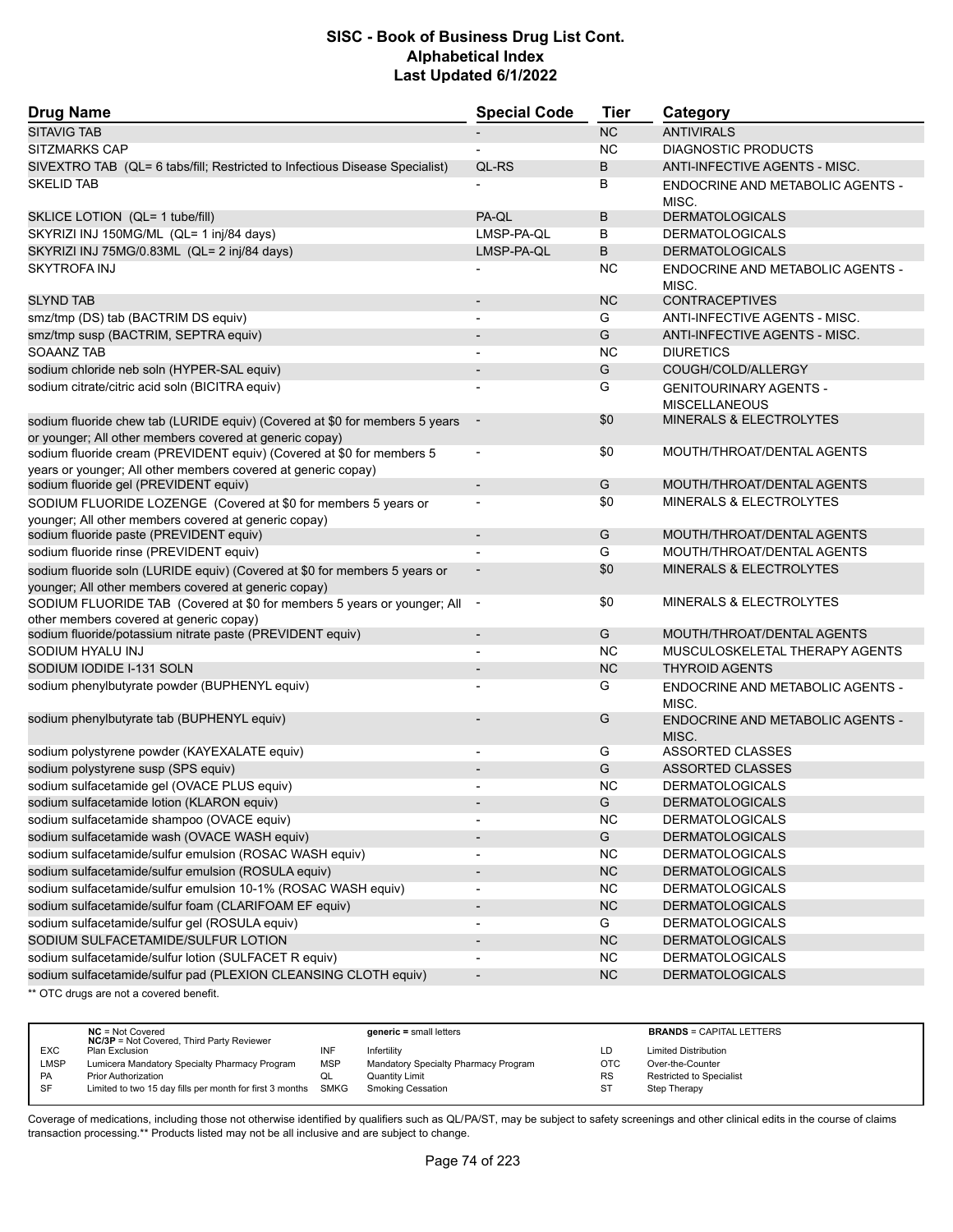| <b>Drug Name</b>                                                                                                                       | <b>Special Code</b>      | <b>Tier</b> | Category                                              |
|----------------------------------------------------------------------------------------------------------------------------------------|--------------------------|-------------|-------------------------------------------------------|
| <b>SITAVIG TAB</b>                                                                                                                     |                          | <b>NC</b>   | <b>ANTIVIRALS</b>                                     |
| SITZMARKS CAP                                                                                                                          |                          | <b>NC</b>   | <b>DIAGNOSTIC PRODUCTS</b>                            |
| SIVEXTRO TAB (QL= 6 tabs/fill; Restricted to Infectious Disease Specialist)                                                            | QL-RS                    | B           | ANTI-INFECTIVE AGENTS - MISC.                         |
| <b>SKELID TAB</b>                                                                                                                      |                          | В           | <b>ENDOCRINE AND METABOLIC AGENTS -</b><br>MISC.      |
| SKLICE LOTION (QL= 1 tube/fill)                                                                                                        | PA-QL                    | B           | <b>DERMATOLOGICALS</b>                                |
| SKYRIZI INJ 150MG/ML (QL= 1 inj/84 days)                                                                                               | LMSP-PA-QL               | B           | <b>DERMATOLOGICALS</b>                                |
| SKYRIZI INJ 75MG/0.83ML (QL= 2 inj/84 days)                                                                                            | LMSP-PA-QL               | B           | <b>DERMATOLOGICALS</b>                                |
| <b>SKYTROFA INJ</b>                                                                                                                    |                          | <b>NC</b>   | ENDOCRINE AND METABOLIC AGENTS -<br>MISC.             |
| <b>SLYND TAB</b>                                                                                                                       |                          | <b>NC</b>   | <b>CONTRACEPTIVES</b>                                 |
| smz/tmp (DS) tab (BACTRIM DS equiv)                                                                                                    |                          | G           | ANTI-INFECTIVE AGENTS - MISC.                         |
| smz/tmp susp (BACTRIM, SEPTRA equiv)                                                                                                   |                          | G           | ANTI-INFECTIVE AGENTS - MISC.                         |
| <b>SOAANZ TAB</b>                                                                                                                      |                          | <b>NC</b>   | <b>DIURETICS</b>                                      |
| sodium chloride neb soln (HYPER-SAL equiv)                                                                                             | $\overline{\phantom{a}}$ | G           | COUGH/COLD/ALLERGY                                    |
| sodium citrate/citric acid soln (BICITRA equiv)                                                                                        |                          | G           | <b>GENITOURINARY AGENTS -</b><br><b>MISCELLANEOUS</b> |
| sodium fluoride chew tab (LURIDE equiv) (Covered at \$0 for members 5 years<br>or younger; All other members covered at generic copay) |                          | \$0         | <b>MINERALS &amp; ELECTROLYTES</b>                    |
| sodium fluoride cream (PREVIDENT equiv) (Covered at \$0 for members 5<br>years or younger; All other members covered at generic copay) |                          | \$0         | MOUTH/THROAT/DENTAL AGENTS                            |
| sodium fluoride gel (PREVIDENT equiv)                                                                                                  | $\overline{\phantom{a}}$ | G           | MOUTH/THROAT/DENTAL AGENTS                            |
| SODIUM FLUORIDE LOZENGE (Covered at \$0 for members 5 years or                                                                         |                          | \$0         | <b>MINERALS &amp; ELECTROLYTES</b>                    |
| younger; All other members covered at generic copay)                                                                                   |                          |             |                                                       |
| sodium fluoride paste (PREVIDENT equiv)                                                                                                | $\overline{\phantom{a}}$ | G           | MOUTH/THROAT/DENTAL AGENTS                            |
| sodium fluoride rinse (PREVIDENT equiv)                                                                                                | $\overline{a}$           | G           | MOUTH/THROAT/DENTAL AGENTS                            |
| sodium fluoride soln (LURIDE equiv) (Covered at \$0 for members 5 years or                                                             |                          | \$0         | MINERALS & ELECTROLYTES                               |
| younger; All other members covered at generic copay)                                                                                   |                          |             |                                                       |
| SODIUM FLUORIDE TAB (Covered at \$0 for members 5 years or younger; All<br>other members covered at generic copay)                     |                          | \$0         | <b>MINERALS &amp; ELECTROLYTES</b>                    |
| sodium fluoride/potassium nitrate paste (PREVIDENT equiv)                                                                              | $\overline{\phantom{a}}$ | G           | MOUTH/THROAT/DENTAL AGENTS                            |
| SODIUM HYALU INJ                                                                                                                       |                          | <b>NC</b>   | MUSCULOSKELETAL THERAPY AGENTS                        |
| SODIUM IODIDE I-131 SOLN                                                                                                               | $\overline{\phantom{a}}$ | <b>NC</b>   | <b>THYROID AGENTS</b>                                 |
| sodium phenylbutyrate powder (BUPHENYL equiv)                                                                                          |                          | G           | ENDOCRINE AND METABOLIC AGENTS -<br>MISC.             |
| sodium phenylbutyrate tab (BUPHENYL equiv)                                                                                             |                          | G           | ENDOCRINE AND METABOLIC AGENTS -<br>MISC.             |
| sodium polystyrene powder (KAYEXALATE equiv)                                                                                           |                          | G           | <b>ASSORTED CLASSES</b>                               |
| sodium polystyrene susp (SPS equiv)                                                                                                    |                          | G           | <b>ASSORTED CLASSES</b>                               |
| sodium sulfacetamide gel (OVACE PLUS equiv)                                                                                            |                          | <b>NC</b>   | <b>DERMATOLOGICALS</b>                                |
| sodium sulfacetamide lotion (KLARON equiv)                                                                                             |                          | G           | <b>DERMATOLOGICALS</b>                                |
| sodium sulfacetamide shampoo (OVACE equiv)                                                                                             |                          | <b>NC</b>   | <b>DERMATOLOGICALS</b>                                |
| sodium sulfacetamide wash (OVACE WASH equiv)                                                                                           | $\overline{\phantom{a}}$ | G           | <b>DERMATOLOGICALS</b>                                |
| sodium sulfacetamide/sulfur emulsion (ROSAC WASH equiv)                                                                                |                          | <b>NC</b>   | <b>DERMATOLOGICALS</b>                                |
| sodium sulfacetamide/sulfur emulsion (ROSULA equiv)                                                                                    | $\overline{\phantom{a}}$ | NC          | <b>DERMATOLOGICALS</b>                                |
| sodium sulfacetamide/sulfur emulsion 10-1% (ROSAC WASH equiv)                                                                          | $\overline{\phantom{a}}$ | NC.         | <b>DERMATOLOGICALS</b>                                |
| sodium sulfacetamide/sulfur foam (CLARIFOAM EF equiv)                                                                                  | $\overline{\phantom{a}}$ | NC          | <b>DERMATOLOGICALS</b>                                |
| sodium sulfacetamide/sulfur gel (ROSULA equiv)                                                                                         | $\overline{\phantom{a}}$ | G           | <b>DERMATOLOGICALS</b>                                |
| SODIUM SULFACETAMIDE/SULFUR LOTION                                                                                                     | $\overline{\phantom{a}}$ | <b>NC</b>   | <b>DERMATOLOGICALS</b>                                |
| sodium sulfacetamide/sulfur lotion (SULFACET R equiv)                                                                                  | $\overline{a}$           | <b>NC</b>   | <b>DERMATOLOGICALS</b>                                |
| sodium sulfacetamide/sulfur pad (PLEXION CLEANSING CLOTH equiv)                                                                        | $\overline{\phantom{a}}$ | <b>NC</b>   | <b>DERMATOLOGICALS</b>                                |
| ** OTC drugs are not a covered benefit.                                                                                                |                          |             |                                                       |

**NC** = Not Covered **generic =** small letters **BRANDS** = CAPITAL LETTERS **NC/3P** = Not Covered, Third Party Reviewer EXC Plan Exclusion INF Infertility LD Limited Distribution LMSP Lumicera Mandatory Specialty Pharmacy Program MSP Mandatory Specialty Pharmacy Program OTC Over-the-Counter PA Prior Authorization **COL** Quantity Limit Collection Control RS Restricted to Specialist<br>
SF Limited to two 15 day fills per month for first 3 months SMKG Smoking Cessation ST Step Therapy Limited to two 15 day fills per month for first 3 months SMKG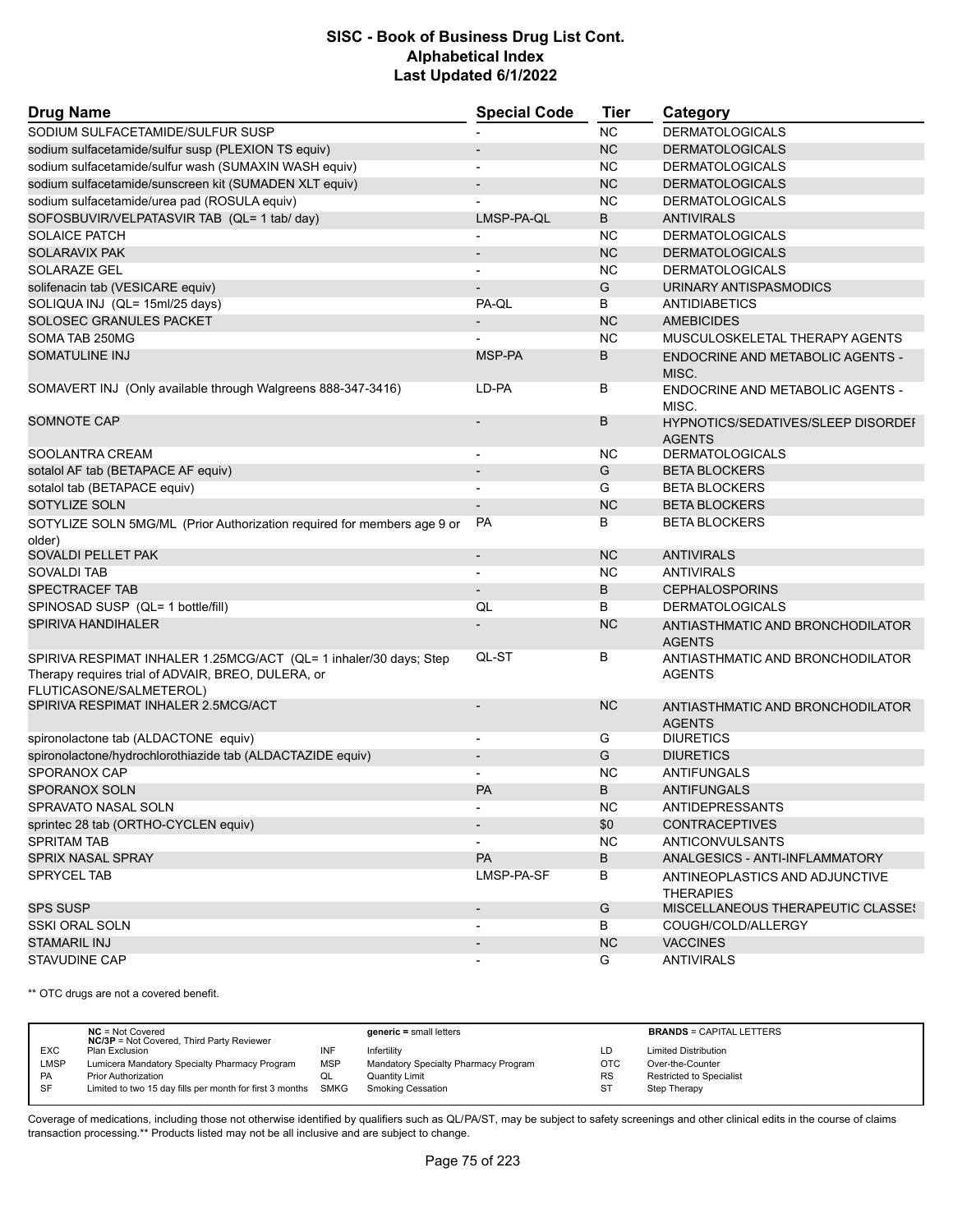| <b>Drug Name</b>                                                                                                                                   | <b>Special Code</b>      | Tier      | Category                                            |
|----------------------------------------------------------------------------------------------------------------------------------------------------|--------------------------|-----------|-----------------------------------------------------|
| SODIUM SULFACETAMIDE/SULFUR SUSP                                                                                                                   |                          | <b>NC</b> | <b>DERMATOLOGICALS</b>                              |
| sodium sulfacetamide/sulfur susp (PLEXION TS equiv)                                                                                                | $\overline{\phantom{a}}$ | <b>NC</b> | <b>DERMATOLOGICALS</b>                              |
| sodium sulfacetamide/sulfur wash (SUMAXIN WASH equiv)                                                                                              |                          | NC.       | <b>DERMATOLOGICALS</b>                              |
| sodium sulfacetamide/sunscreen kit (SUMADEN XLT equiv)                                                                                             |                          | NC        | <b>DERMATOLOGICALS</b>                              |
| sodium sulfacetamide/urea pad (ROSULA equiv)                                                                                                       |                          | <b>NC</b> | <b>DERMATOLOGICALS</b>                              |
| SOFOSBUVIR/VELPATASVIR TAB (QL= 1 tab/ day)                                                                                                        | LMSP-PA-QL               | B         | <b>ANTIVIRALS</b>                                   |
| <b>SOLAICE PATCH</b>                                                                                                                               |                          | NC        | <b>DERMATOLOGICALS</b>                              |
| <b>SOLARAVIX PAK</b>                                                                                                                               | $\overline{\phantom{a}}$ | <b>NC</b> | <b>DERMATOLOGICALS</b>                              |
| SOLARAZE GEL                                                                                                                                       | $\overline{\phantom{a}}$ | NC.       | <b>DERMATOLOGICALS</b>                              |
| solifenacin tab (VESICARE equiv)                                                                                                                   |                          | G         | URINARY ANTISPASMODICS                              |
| SOLIQUA INJ (QL= 15ml/25 days)                                                                                                                     | PA-QL                    | B         | <b>ANTIDIABETICS</b>                                |
| SOLOSEC GRANULES PACKET                                                                                                                            |                          | <b>NC</b> | <b>AMEBICIDES</b>                                   |
| SOMA TAB 250MG                                                                                                                                     |                          | <b>NC</b> | MUSCULOSKELETAL THERAPY AGENTS                      |
| SOMATULINE INJ                                                                                                                                     | MSP-PA                   | B         | <b>ENDOCRINE AND METABOLIC AGENTS -</b><br>MISC.    |
| SOMAVERT INJ (Only available through Walgreens 888-347-3416)                                                                                       | LD-PA                    | В         | ENDOCRINE AND METABOLIC AGENTS -<br>MISC.           |
| <b>SOMNOTE CAP</b>                                                                                                                                 |                          | B         | HYPNOTICS/SEDATIVES/SLEEP DISORDEI<br><b>AGENTS</b> |
| SOOLANTRA CREAM                                                                                                                                    | $\overline{\phantom{a}}$ | NC.       | <b>DERMATOLOGICALS</b>                              |
| sotalol AF tab (BETAPACE AF equiv)                                                                                                                 | $\overline{\phantom{a}}$ | G         | <b>BETA BLOCKERS</b>                                |
| sotalol tab (BETAPACE equiv)                                                                                                                       |                          | G         | <b>BETA BLOCKERS</b>                                |
| SOTYLIZE SOLN                                                                                                                                      |                          | <b>NC</b> | <b>BETA BLOCKERS</b>                                |
| SOTYLIZE SOLN 5MG/ML (Prior Authorization required for members age 9 or<br>older)                                                                  | <b>PA</b>                | В         | <b>BETA BLOCKERS</b>                                |
| SOVALDI PELLET PAK                                                                                                                                 | $\overline{\phantom{a}}$ | <b>NC</b> | <b>ANTIVIRALS</b>                                   |
| SOVALDI TAB                                                                                                                                        |                          | <b>NC</b> | <b>ANTIVIRALS</b>                                   |
| SPECTRACEF TAB                                                                                                                                     | $\overline{\phantom{a}}$ | В         | <b>CEPHALOSPORINS</b>                               |
| SPINOSAD SUSP (QL= 1 bottle/fill)                                                                                                                  | QL                       | B         | <b>DERMATOLOGICALS</b>                              |
| SPIRIVA HANDIHALER                                                                                                                                 |                          | <b>NC</b> | ANTIASTHMATIC AND BRONCHODILATOR<br><b>AGENTS</b>   |
| SPIRIVA RESPIMAT INHALER 1.25MCG/ACT (QL= 1 inhaler/30 days; Step<br>Therapy requires trial of ADVAIR, BREO, DULERA, or<br>FLUTICASONE/SALMETEROL) | QL-ST                    | В         | ANTIASTHMATIC AND BRONCHODILATOR<br><b>AGENTS</b>   |
| SPIRIVA RESPIMAT INHALER 2.5MCG/ACT                                                                                                                |                          | <b>NC</b> | ANTIASTHMATIC AND BRONCHODILATOR<br><b>AGENTS</b>   |
| spironolactone tab (ALDACTONE equiv)                                                                                                               | $\blacksquare$           | G         | <b>DIURETICS</b>                                    |
| spironolactone/hydrochlorothiazide tab (ALDACTAZIDE equiv)                                                                                         | $\blacksquare$           | G         | <b>DIURETICS</b>                                    |
| SPORANOX CAP                                                                                                                                       |                          | <b>NC</b> | ANTIFUNGALS                                         |
| <b>SPORANOX SOLN</b>                                                                                                                               | PA                       | B         | <b>ANTIFUNGALS</b>                                  |
| SPRAVATO NASAL SOLN                                                                                                                                | $\overline{\phantom{a}}$ | <b>NC</b> | <b>ANTIDEPRESSANTS</b>                              |
| sprintec 28 tab (ORTHO-CYCLEN equiv)                                                                                                               |                          | \$0       | <b>CONTRACEPTIVES</b>                               |
| <b>SPRITAM TAB</b>                                                                                                                                 |                          | <b>NC</b> | ANTICONVULSANTS                                     |
| SPRIX NASAL SPRAY                                                                                                                                  | <b>PA</b>                | В         | ANALGESICS - ANTI-INFLAMMATORY                      |
| SPRYCEL TAB                                                                                                                                        | LMSP-PA-SF               | B         | ANTINEOPLASTICS AND ADJUNCTIVE<br><b>THERAPIES</b>  |
| <b>SPS SUSP</b>                                                                                                                                    | $\overline{\phantom{a}}$ | G         | MISCELLANEOUS THERAPEUTIC CLASSES                   |
| <b>SSKI ORAL SOLN</b>                                                                                                                              |                          | В         | COUGH/COLD/ALLERGY                                  |
| STAMARIL INJ                                                                                                                                       | $\overline{\phantom{a}}$ | NC        | <b>VACCINES</b>                                     |
| STAVUDINE CAP                                                                                                                                      | $\overline{\phantom{a}}$ | G         | <b>ANTIVIRALS</b>                                   |

\*\* OTC drugs are not a covered benefit.

|             | $NC = Not Covered$                                       |            | $generic = small letters$            |            | <b>BRANDS = CAPITAL LETTERS</b> |
|-------------|----------------------------------------------------------|------------|--------------------------------------|------------|---------------------------------|
|             | <b>NC/3P</b> = Not Covered, Third Party Reviewer         |            |                                      |            |                                 |
| <b>EXC</b>  | Plan Exclusion                                           | INF        | Infertility                          | LD         | <b>Limited Distribution</b>     |
| <b>LMSP</b> | Lumicera Mandatory Specialty Pharmacy Program            | <b>MSP</b> | Mandatory Specialty Pharmacy Program | <b>OTC</b> | Over-the-Counter                |
| PA          | <b>Prior Authorization</b>                               | QL         | Quantity Limit                       | <b>RS</b>  | <b>Restricted to Specialist</b> |
| SF          | Limited to two 15 day fills per month for first 3 months | SMKG       | <b>Smoking Cessation</b>             | <b>ST</b>  | Step Therapy                    |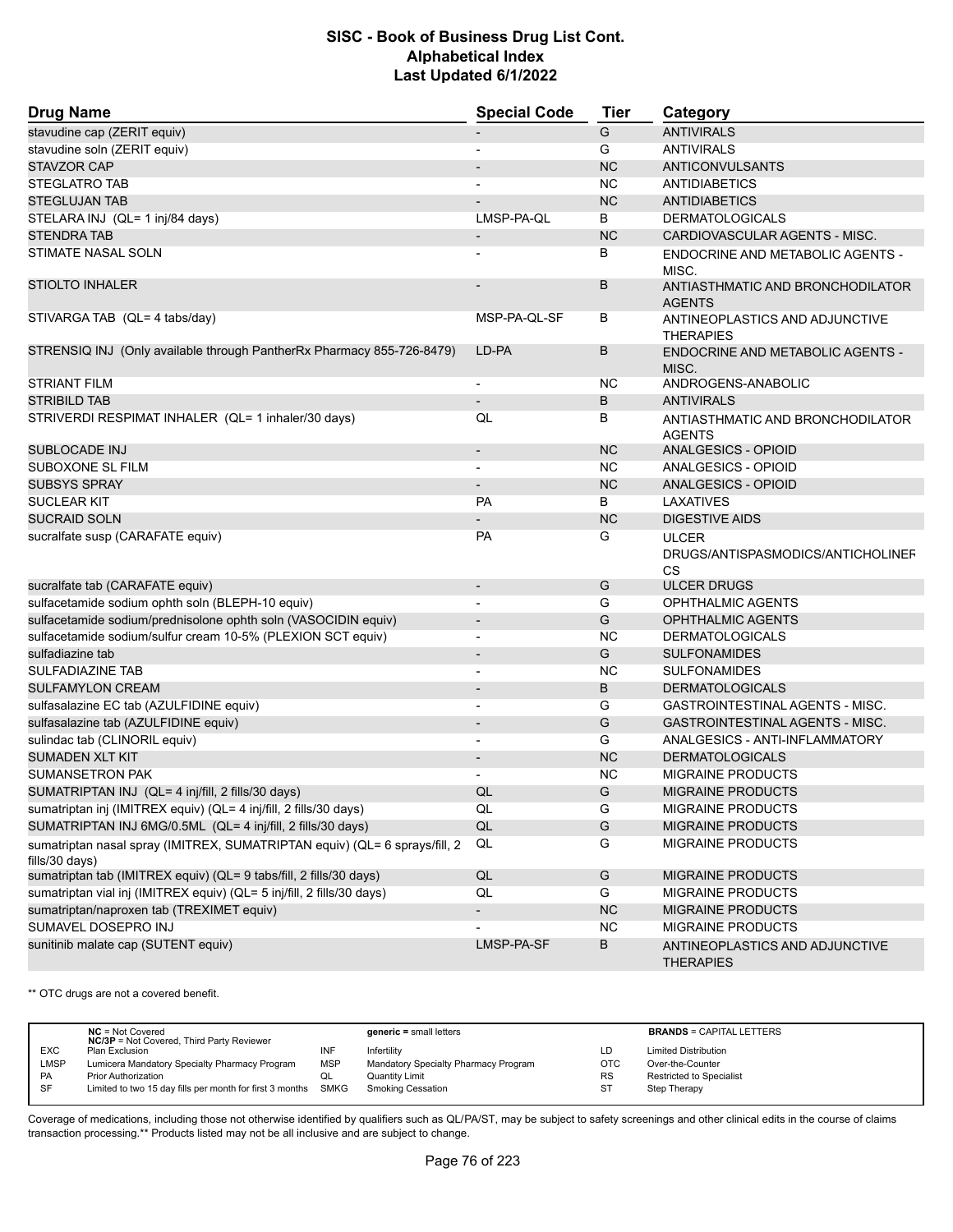| <b>Drug Name</b>                                                                             | <b>Special Code</b>      | <b>Tier</b>   | Category                                                       |
|----------------------------------------------------------------------------------------------|--------------------------|---------------|----------------------------------------------------------------|
| stavudine cap (ZERIT equiv)                                                                  |                          | G             | <b>ANTIVIRALS</b>                                              |
| stavudine soln (ZERIT equiv)                                                                 | $\overline{\phantom{a}}$ | G             | <b>ANTIVIRALS</b>                                              |
| <b>STAVZOR CAP</b>                                                                           |                          | <b>NC</b>     | <b>ANTICONVULSANTS</b>                                         |
| <b>STEGLATRO TAB</b>                                                                         |                          | <b>NC</b>     | <b>ANTIDIABETICS</b>                                           |
| <b>STEGLUJAN TAB</b>                                                                         |                          | <b>NC</b>     | <b>ANTIDIABETICS</b>                                           |
| STELARA INJ (QL= 1 inj/84 days)                                                              | LMSP-PA-QL               | B             | <b>DERMATOLOGICALS</b>                                         |
| <b>STENDRA TAB</b>                                                                           |                          | <b>NC</b>     | CARDIOVASCULAR AGENTS - MISC.                                  |
| STIMATE NASAL SOLN                                                                           |                          | В             | ENDOCRINE AND METABOLIC AGENTS -<br>MISC.                      |
| <b>STIOLTO INHALER</b>                                                                       |                          | B             | ANTIASTHMATIC AND BRONCHODILATOR<br><b>AGENTS</b>              |
| STIVARGA TAB (QL= 4 tabs/day)                                                                | MSP-PA-QL-SF             | В             | ANTINEOPLASTICS AND ADJUNCTIVE<br><b>THERAPIES</b>             |
| STRENSIQ INJ (Only available through PantherRx Pharmacy 855-726-8479)                        | LD-PA                    | B             | <b>ENDOCRINE AND METABOLIC AGENTS -</b><br>MISC.               |
| <b>STRIANT FILM</b>                                                                          | $\overline{\phantom{a}}$ | NC.           | ANDROGENS-ANABOLIC                                             |
| <b>STRIBILD TAB</b>                                                                          |                          | B             | <b>ANTIVIRALS</b>                                              |
| STRIVERDI RESPIMAT INHALER (QL= 1 inhaler/30 days)                                           | QL                       | В             | ANTIASTHMATIC AND BRONCHODILATOR<br><b>AGENTS</b>              |
| SUBLOCADE INJ                                                                                |                          | <b>NC</b>     | <b>ANALGESICS - OPIOID</b>                                     |
| SUBOXONE SL FILM                                                                             | $\blacksquare$           | <b>NC</b>     | ANALGESICS - OPIOID                                            |
| <b>SUBSYS SPRAY</b>                                                                          |                          | <b>NC</b>     | ANALGESICS - OPIOID                                            |
| <b>SUCLEAR KIT</b>                                                                           | <b>PA</b>                | B             | LAXATIVES                                                      |
| <b>SUCRAID SOLN</b>                                                                          |                          | <b>NC</b>     | <b>DIGESTIVE AIDS</b>                                          |
| sucralfate susp (CARAFATE equiv)                                                             | <b>PA</b>                | G             | <b>ULCER</b><br>DRUGS/ANTISPASMODICS/ANTICHOLINEF<br><b>CS</b> |
| sucralfate tab (CARAFATE equiv)                                                              | $\blacksquare$           | G             | <b>ULCER DRUGS</b>                                             |
| sulfacetamide sodium ophth soln (BLEPH-10 equiv)                                             | $\blacksquare$           | G             | <b>OPHTHALMIC AGENTS</b>                                       |
| sulfacetamide sodium/prednisolone ophth soln (VASOCIDIN equiv)                               | $\overline{\phantom{a}}$ | G             | <b>OPHTHALMIC AGENTS</b>                                       |
| sulfacetamide sodium/sulfur cream 10-5% (PLEXION SCT equiv)                                  |                          | <b>NC</b>     | <b>DERMATOLOGICALS</b>                                         |
| sulfadiazine tab                                                                             | $\overline{\phantom{0}}$ | G             | <b>SULFONAMIDES</b>                                            |
| <b>SULFADIAZINE TAB</b>                                                                      |                          | <b>NC</b>     | <b>SULFONAMIDES</b>                                            |
| <b>SULFAMYLON CREAM</b>                                                                      |                          | B             | <b>DERMATOLOGICALS</b>                                         |
| sulfasalazine EC tab (AZULFIDINE equiv)                                                      | $\overline{\phantom{a}}$ | G             | <b>GASTROINTESTINAL AGENTS - MISC.</b>                         |
| sulfasalazine tab (AZULFIDINE equiv)                                                         |                          | G             | <b>GASTROINTESTINAL AGENTS - MISC.</b>                         |
| sulindac tab (CLINORIL equiv)                                                                |                          | G             | ANALGESICS - ANTI-INFLAMMATORY                                 |
| <b>SUMADEN XLT KIT</b>                                                                       |                          | <b>NC</b>     | <b>DERMATOLOGICALS</b>                                         |
| <b>SUMANSETRON PAK</b>                                                                       |                          | <b>NC</b>     | <b>MIGRAINE PRODUCTS</b>                                       |
| SUMATRIPTAN INJ (QL= 4 inj/fill, 2 fills/30 days)                                            | QL                       | G             | <b>MIGRAINE PRODUCTS</b>                                       |
| sumatriptan inj (IMITREX equiv) (QL= 4 inj/fill, 2 fills/30 days)                            | QL                       | G             | MIGRAINE PRODUCTS                                              |
| SUMATRIPTAN INJ 6MG/0.5ML (QL= 4 inj/fill, 2 fills/30 days)                                  | $\mathsf{QL}$            | ${\mathsf G}$ | MIGRAINE PRODUCTS                                              |
| sumatriptan nasal spray (IMITREX, SUMATRIPTAN equiv) (QL= 6 sprays/fill, 2<br>fills/30 days) | QL                       | G             | MIGRAINE PRODUCTS                                              |
| sumatriptan tab (IMITREX equiv) (QL= 9 tabs/fill, 2 fills/30 days)                           | $\mathsf{QL}$            | G             | MIGRAINE PRODUCTS                                              |
| sumatriptan vial inj (IMITREX equiv) (QL= 5 inj/fill, 2 fills/30 days)                       | QL                       | G             | <b>MIGRAINE PRODUCTS</b>                                       |
| sumatriptan/naproxen tab (TREXIMET equiv)                                                    | $\overline{\phantom{a}}$ | NC            | MIGRAINE PRODUCTS                                              |
| SUMAVEL DOSEPRO INJ                                                                          |                          | <b>NC</b>     | MIGRAINE PRODUCTS                                              |
| sunitinib malate cap (SUTENT equiv)                                                          | LMSP-PA-SF               | B             |                                                                |
|                                                                                              |                          |               | ANTINEOPLASTICS AND ADJUNCTIVE<br><b>THERAPIES</b>             |

\*\* OTC drugs are not a covered benefit.

|             | $NC = Not Covered$<br><b>NC/3P</b> = Not Covered, Third Party Reviewer |            | $generic = small letters$            |            | <b>BRANDS = CAPITAL LETTERS</b> |
|-------------|------------------------------------------------------------------------|------------|--------------------------------------|------------|---------------------------------|
| <b>EXC</b>  | Plan Exclusion                                                         | INF        | Infertility                          | LD         | <b>Limited Distribution</b>     |
| <b>LMSP</b> | Lumicera Mandatory Specialty Pharmacy Program                          | <b>MSP</b> | Mandatory Specialty Pharmacy Program | <b>OTC</b> | Over-the-Counter                |
| PA          | <b>Prior Authorization</b>                                             | QL         | <b>Quantity Limit</b>                | <b>RS</b>  | <b>Restricted to Specialist</b> |
| SF          | Limited to two 15 day fills per month for first 3 months SMKG          |            | Smoking Cessation                    | -ST        | Step Therapy                    |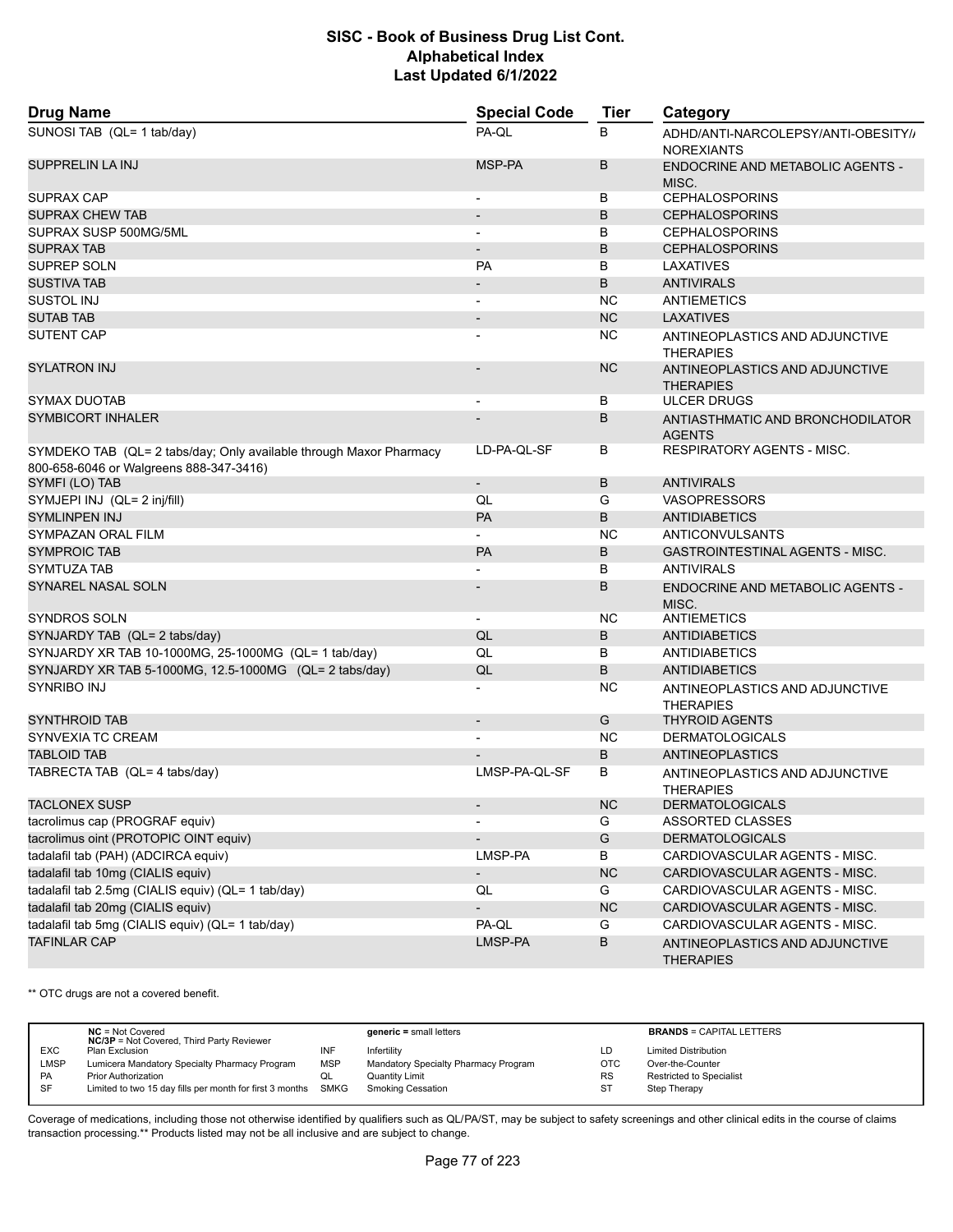| <b>Drug Name</b>                                                                                              | <b>Special Code</b>          | <b>Tier</b> | Category                                                 |
|---------------------------------------------------------------------------------------------------------------|------------------------------|-------------|----------------------------------------------------------|
| SUNOSI TAB (QL= 1 tab/day)                                                                                    | PA-QL                        | B           | ADHD/ANTI-NARCOLEPSY/ANTI-OBESITY/,<br><b>NOREXIANTS</b> |
| <b>SUPPRELIN LA INJ</b>                                                                                       | MSP-PA                       | B           | <b>ENDOCRINE AND METABOLIC AGENTS -</b><br>MISC.         |
| SUPRAX CAP                                                                                                    | $\overline{\phantom{a}}$     | В           | <b>CEPHALOSPORINS</b>                                    |
| <b>SUPRAX CHEW TAB</b>                                                                                        | $\qquad \qquad \blacksquare$ | B           | <b>CEPHALOSPORINS</b>                                    |
| SUPRAX SUSP 500MG/5ML                                                                                         |                              | B           | <b>CEPHALOSPORINS</b>                                    |
| <b>SUPRAX TAB</b>                                                                                             | $\overline{a}$               | B           | <b>CEPHALOSPORINS</b>                                    |
| SUPREP SOLN                                                                                                   | PA                           | B           | LAXATIVES                                                |
| <b>SUSTIVA TAB</b>                                                                                            |                              | B           | <b>ANTIVIRALS</b>                                        |
| SUSTOL INJ                                                                                                    | $\overline{\phantom{a}}$     | <b>NC</b>   | <b>ANTIEMETICS</b>                                       |
| <b>SUTAB TAB</b>                                                                                              |                              | <b>NC</b>   | <b>LAXATIVES</b>                                         |
| <b>SUTENT CAP</b>                                                                                             |                              | <b>NC</b>   | ANTINEOPLASTICS AND ADJUNCTIVE<br><b>THERAPIES</b>       |
| <b>SYLATRON INJ</b>                                                                                           |                              | <b>NC</b>   | ANTINEOPLASTICS AND ADJUNCTIVE<br><b>THERAPIES</b>       |
| SYMAX DUOTAB                                                                                                  |                              | В           | <b>ULCER DRUGS</b>                                       |
| <b>SYMBICORT INHALER</b>                                                                                      |                              | B           | ANTIASTHMATIC AND BRONCHODILATOR<br><b>AGENTS</b>        |
| SYMDEKO TAB (QL= 2 tabs/day; Only available through Maxor Pharmacy<br>800-658-6046 or Walgreens 888-347-3416) | LD-PA-QL-SF                  | В           | <b>RESPIRATORY AGENTS - MISC.</b>                        |
| SYMFI (LO) TAB                                                                                                | $\overline{\phantom{a}}$     | B           | <b>ANTIVIRALS</b>                                        |
| SYMJEPI INJ (QL= 2 inj/fill)                                                                                  | QL                           | G           | <b>VASOPRESSORS</b>                                      |
| <b>SYMLINPEN INJ</b>                                                                                          | PA                           | B           | <b>ANTIDIABETICS</b>                                     |
| SYMPAZAN ORAL FILM                                                                                            |                              | <b>NC</b>   | <b>ANTICONVULSANTS</b>                                   |
| <b>SYMPROIC TAB</b>                                                                                           | PA                           | B           | <b>GASTROINTESTINAL AGENTS - MISC.</b>                   |
| SYMTUZA TAB                                                                                                   |                              | B           | <b>ANTIVIRALS</b>                                        |
| SYNAREL NASAL SOLN                                                                                            |                              | B           | <b>ENDOCRINE AND METABOLIC AGENTS -</b><br>MISC.         |
| <b>SYNDROS SOLN</b>                                                                                           |                              | <b>NC</b>   | ANTIEMETICS                                              |
| SYNJARDY TAB (QL= 2 tabs/day)                                                                                 | QL                           | B           | <b>ANTIDIABETICS</b>                                     |
| SYNJARDY XR TAB 10-1000MG, 25-1000MG (QL= 1 tab/day)                                                          | QL                           | B           | <b>ANTIDIABETICS</b>                                     |
| SYNJARDY XR TAB 5-1000MG, 12.5-1000MG (QL= 2 tabs/day)                                                        | QL                           | B           | <b>ANTIDIABETICS</b>                                     |
| SYNRIBO INJ                                                                                                   |                              | <b>NC</b>   | ANTINEOPLASTICS AND ADJUNCTIVE<br><b>THERAPIES</b>       |
| <b>SYNTHROID TAB</b>                                                                                          | $\overline{\phantom{a}}$     | G           | <b>THYROID AGENTS</b>                                    |
| SYNVEXIA TC CREAM                                                                                             |                              | <b>NC</b>   | <b>DERMATOLOGICALS</b>                                   |
| <b>TABLOID TAB</b>                                                                                            |                              | B           | ANTINEOPLASTICS                                          |
| TABRECTA TAB (QL= 4 tabs/day)                                                                                 | LMSP-PA-QL-SF                | B           | ANTINEOPLASTICS AND ADJUNCTIVE<br><b>THERAPIES</b>       |
| <b>TACLONEX SUSP</b>                                                                                          |                              | NC          | <b>DERMATOLOGICALS</b>                                   |
| tacrolimus cap (PROGRAF equiv)                                                                                |                              | G           | ASSORTED CLASSES                                         |
| tacrolimus oint (PROTOPIC OINT equiv)                                                                         |                              | G           | <b>DERMATOLOGICALS</b>                                   |
| tadalafil tab (PAH) (ADCIRCA equiv)                                                                           | LMSP-PA                      | B           | CARDIOVASCULAR AGENTS - MISC.                            |
| tadalafil tab 10mg (CIALIS equiv)                                                                             | $\overline{\phantom{a}}$     | <b>NC</b>   | CARDIOVASCULAR AGENTS - MISC.                            |
| tadalafil tab 2.5mg (CIALIS equiv) (QL= 1 tab/day)                                                            | QL                           | G           | CARDIOVASCULAR AGENTS - MISC.                            |
| tadalafil tab 20mg (CIALIS equiv)                                                                             | $\qquad \qquad \blacksquare$ | NC          | CARDIOVASCULAR AGENTS - MISC.                            |
| tadalafil tab 5mg (CIALIS equiv) (QL= 1 tab/day)                                                              | PA-QL                        | G           | CARDIOVASCULAR AGENTS - MISC.                            |
| <b>TAFINLAR CAP</b>                                                                                           | LMSP-PA                      | B           | ANTINEOPLASTICS AND ADJUNCTIVE<br><b>THERAPIES</b>       |

\*\* OTC drugs are not a covered benefit.

|            | $NC = Not Covered$<br><b>NC/3P</b> = Not Covered, Third Party Reviewer |            | $generic = small letters$            |            | <b>BRANDS = CAPITAL LETTERS</b> |
|------------|------------------------------------------------------------------------|------------|--------------------------------------|------------|---------------------------------|
| <b>EXC</b> | Plan Exclusion                                                         | INF        | Infertility                          | LD         | <b>Limited Distribution</b>     |
| LMSP       | Lumicera Mandatory Specialty Pharmacy Program                          | <b>MSP</b> | Mandatory Specialty Pharmacy Program | <b>OTC</b> | Over-the-Counter                |
| <b>PA</b>  | <b>Prior Authorization</b>                                             |            | Quantity Limit                       | <b>RS</b>  | Restricted to Specialist        |
| <b>SF</b>  | Limited to two 15 day fills per month for first 3 months SMKG          |            | <b>Smoking Cessation</b>             | <b>ST</b>  | Step Therapy                    |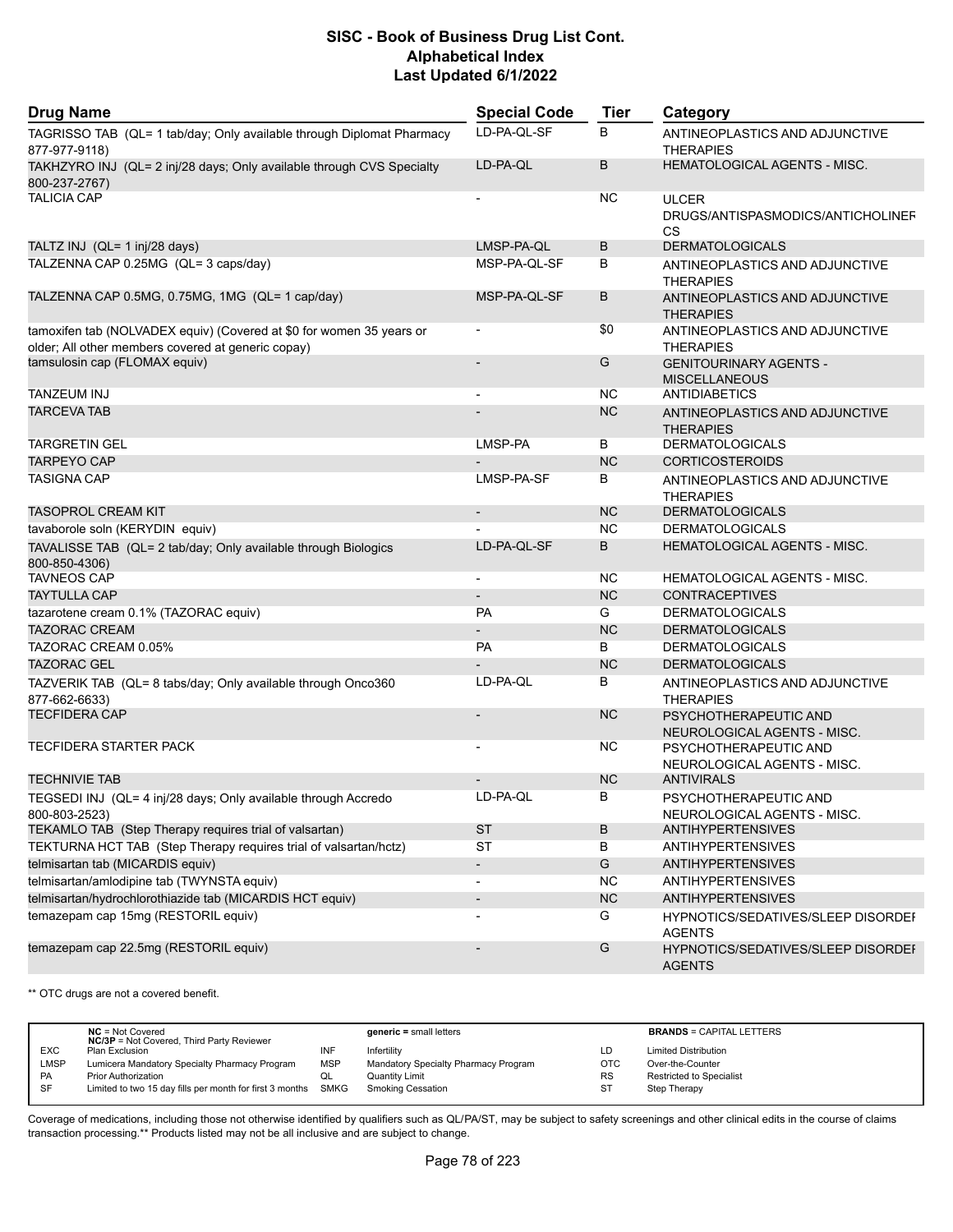| <b>Drug Name</b>                                                                                                           | <b>Special Code</b>      | <b>Tier</b> | Category                                                |
|----------------------------------------------------------------------------------------------------------------------------|--------------------------|-------------|---------------------------------------------------------|
| TAGRISSO TAB (QL= 1 tab/day; Only available through Diplomat Pharmacy<br>877-977-9118)                                     | LD-PA-QL-SF              | B           | ANTINEOPLASTICS AND ADJUNCTIVE<br><b>THERAPIES</b>      |
| TAKHZYRO INJ (QL= 2 inj/28 days; Only available through CVS Specialty<br>800-237-2767)                                     | LD-PA-QL                 | B           | HEMATOLOGICAL AGENTS - MISC.                            |
| <b>TALICIA CAP</b>                                                                                                         |                          | NC.         | <b>ULCER</b><br>DRUGS/ANTISPASMODICS/ANTICHOLINEF<br>CS |
| TALTZ INJ (QL= 1 inj/28 days)                                                                                              | LMSP-PA-QL               | B           | <b>DERMATOLOGICALS</b>                                  |
| TALZENNA CAP 0.25MG (QL= 3 caps/day)                                                                                       | MSP-PA-QL-SF             | B           | ANTINEOPLASTICS AND ADJUNCTIVE<br><b>THERAPIES</b>      |
| TALZENNA CAP 0.5MG, 0.75MG, 1MG (QL= 1 cap/day)                                                                            | MSP-PA-QL-SF             | B           | ANTINEOPLASTICS AND ADJUNCTIVE<br><b>THERAPIES</b>      |
| tamoxifen tab (NOLVADEX equiv) (Covered at \$0 for women 35 years or<br>older; All other members covered at generic copay) | $\overline{\phantom{a}}$ | \$0         | ANTINEOPLASTICS AND ADJUNCTIVE<br><b>THERAPIES</b>      |
| tamsulosin cap (FLOMAX equiv)                                                                                              |                          | G           | <b>GENITOURINARY AGENTS -</b><br><b>MISCELLANEOUS</b>   |
| <b>TANZEUM INJ</b>                                                                                                         |                          | <b>NC</b>   | ANTIDIABETICS                                           |
| <b>TARCEVA TAB</b>                                                                                                         |                          | <b>NC</b>   | ANTINEOPLASTICS AND ADJUNCTIVE<br><b>THERAPIES</b>      |
| <b>TARGRETIN GEL</b>                                                                                                       | LMSP-PA                  | В           | <b>DERMATOLOGICALS</b>                                  |
| <b>TARPEYO CAP</b>                                                                                                         |                          | <b>NC</b>   | <b>CORTICOSTEROIDS</b>                                  |
| <b>TASIGNA CAP</b>                                                                                                         | LMSP-PA-SF               | B           | ANTINEOPLASTICS AND ADJUNCTIVE<br><b>THERAPIES</b>      |
| <b>TASOPROL CREAM KIT</b>                                                                                                  |                          | <b>NC</b>   | <b>DERMATOLOGICALS</b>                                  |
| tavaborole soln (KERYDIN equiv)                                                                                            |                          | <b>NC</b>   | <b>DERMATOLOGICALS</b>                                  |
| TAVALISSE TAB (QL= 2 tab/day; Only available through Biologics<br>800-850-4306)                                            | LD-PA-QL-SF              | B           | HEMATOLOGICAL AGENTS - MISC.                            |
| <b>TAVNEOS CAP</b>                                                                                                         |                          | <b>NC</b>   | HEMATOLOGICAL AGENTS - MISC.                            |
| <b>TAYTULLA CAP</b>                                                                                                        |                          | <b>NC</b>   | <b>CONTRACEPTIVES</b>                                   |
| tazarotene cream 0.1% (TAZORAC equiv)                                                                                      | <b>PA</b>                | G           | <b>DERMATOLOGICALS</b>                                  |
| <b>TAZORAC CREAM</b>                                                                                                       | $\overline{\phantom{a}}$ | <b>NC</b>   | <b>DERMATOLOGICALS</b>                                  |
| TAZORAC CREAM 0.05%                                                                                                        | <b>PA</b>                | B           | <b>DERMATOLOGICALS</b>                                  |
| <b>TAZORAC GEL</b>                                                                                                         |                          | <b>NC</b>   | <b>DERMATOLOGICALS</b>                                  |
| TAZVERIK TAB (QL= 8 tabs/day; Only available through Onco360<br>877-662-6633)                                              | LD-PA-QL                 | B           | ANTINEOPLASTICS AND ADJUNCTIVE<br><b>THERAPIES</b>      |
| <b>TECFIDERA CAP</b>                                                                                                       |                          | <b>NC</b>   | PSYCHOTHERAPEUTIC AND<br>NEUROLOGICAL AGENTS - MISC.    |
| <b>TECFIDERA STARTER PACK</b>                                                                                              |                          | <b>NC</b>   | PSYCHOTHERAPEUTIC AND<br>NEUROLOGICAL AGENTS - MISC.    |
| <b>TECHNIVIE TAB</b>                                                                                                       |                          | <b>NC</b>   | <b>ANTIVIRALS</b>                                       |
| TEGSEDI INJ (QL= 4 inj/28 days; Only available through Accredo<br>800-803-2523)                                            | LD-PA-QL                 | В           | PSYCHOTHERAPEUTIC AND<br>NEUROLOGICAL AGENTS - MISC.    |
| TEKAMLO TAB (Step Therapy requires trial of valsartan)                                                                     | <b>ST</b>                | B           | <b>ANTIHYPERTENSIVES</b>                                |
| TEKTURNA HCT TAB (Step Therapy requires trial of valsartan/hctz)                                                           | <b>ST</b>                | B           | <b>ANTIHYPERTENSIVES</b>                                |
| telmisartan tab (MICARDIS equiv)                                                                                           | $\overline{\phantom{a}}$ | G           | <b>ANTIHYPERTENSIVES</b>                                |
| telmisartan/amlodipine tab (TWYNSTA equiv)                                                                                 |                          | <b>NC</b>   | <b>ANTIHYPERTENSIVES</b>                                |
| telmisartan/hydrochlorothiazide tab (MICARDIS HCT equiv)                                                                   | $\overline{\phantom{a}}$ | NC          | <b>ANTIHYPERTENSIVES</b>                                |
| temazepam cap 15mg (RESTORIL equiv)                                                                                        |                          | G           | HYPNOTICS/SEDATIVES/SLEEP DISORDEI<br><b>AGENTS</b>     |
| temazepam cap 22.5mg (RESTORIL equiv)                                                                                      |                          | G           | HYPNOTICS/SEDATIVES/SLEEP DISORDEI<br><b>AGENTS</b>     |

\*\* OTC drugs are not a covered benefit.

|             | $NC = Not Covered$<br><b>NC/3P</b> = Not Covered, Third Party Reviewer |            | $generic = small letters$            |            | <b>BRANDS = CAPITAL LETTERS</b> |
|-------------|------------------------------------------------------------------------|------------|--------------------------------------|------------|---------------------------------|
| <b>EXC</b>  | Plan Exclusion                                                         | INF        | Infertility                          | LD         | <b>Limited Distribution</b>     |
| <b>LMSP</b> | Lumicera Mandatory Specialty Pharmacy Program                          | <b>MSP</b> | Mandatory Specialty Pharmacy Program | <b>OTC</b> | Over-the-Counter                |
| <b>PA</b>   | <b>Prior Authorization</b>                                             |            | <b>Quantity Limit</b>                | <b>RS</b>  | Restricted to Specialist        |
| SF          | Limited to two 15 day fills per month for first 3 months SMKG          |            | Smoking Cessation                    | ST         | Step Therapy                    |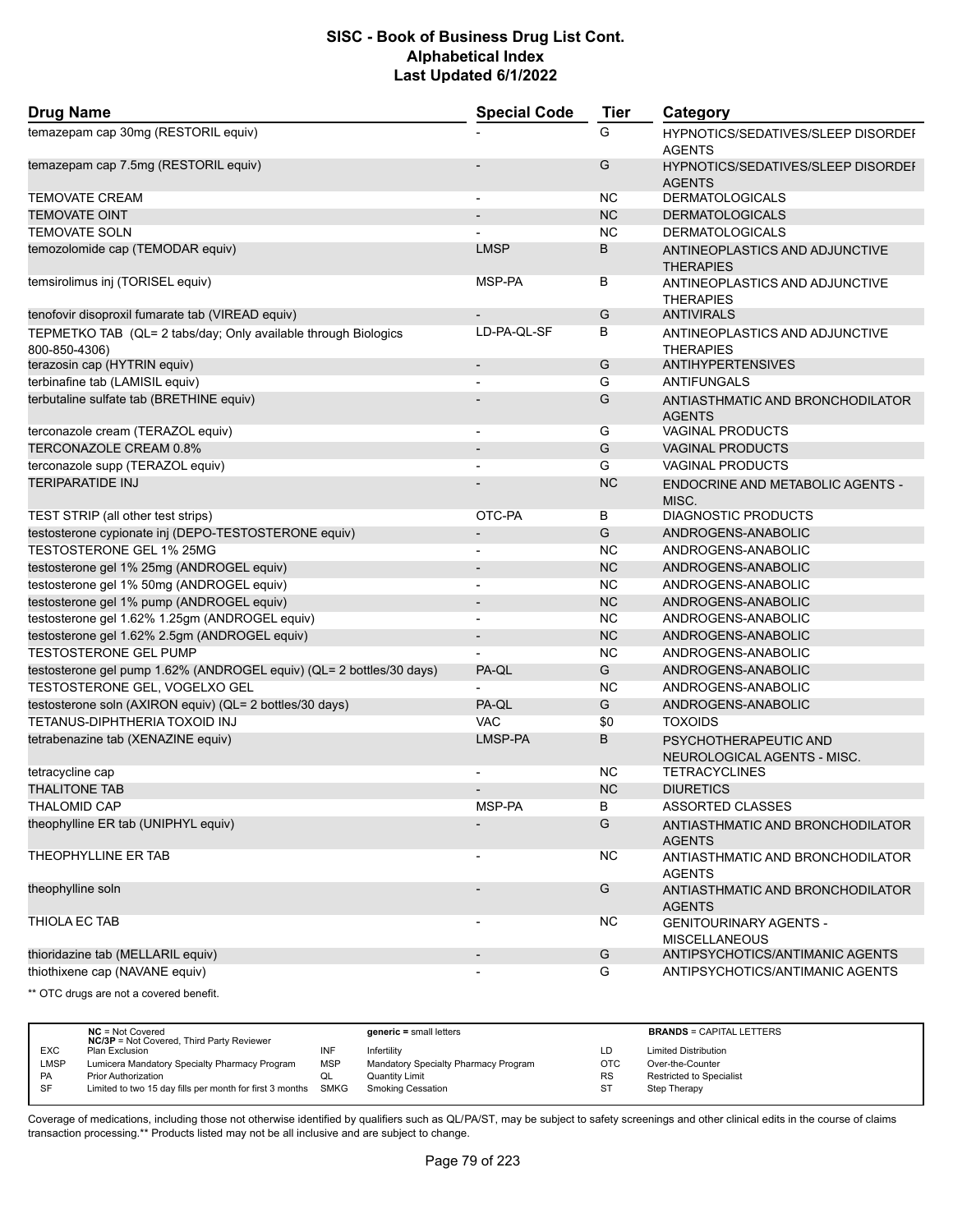| <b>Drug Name</b>                                                                | <b>Special Code</b>      | <b>Tier</b> | Category                                                   |
|---------------------------------------------------------------------------------|--------------------------|-------------|------------------------------------------------------------|
| temazepam cap 30mg (RESTORIL equiv)                                             |                          | G           | <b>HYPNOTICS/SEDATIVES/SLEEP DISORDEF</b><br><b>AGENTS</b> |
| temazepam cap 7.5mg (RESTORIL equiv)                                            |                          | G           | HYPNOTICS/SEDATIVES/SLEEP DISORDEF<br><b>AGENTS</b>        |
| <b>TEMOVATE CREAM</b>                                                           | $\blacksquare$           | NC          | <b>DERMATOLOGICALS</b>                                     |
| <b>TEMOVATE OINT</b>                                                            | $\overline{\phantom{a}}$ | <b>NC</b>   | <b>DERMATOLOGICALS</b>                                     |
| <b>TEMOVATE SOLN</b>                                                            |                          | <b>NC</b>   | <b>DERMATOLOGICALS</b>                                     |
| temozolomide cap (TEMODAR equiv)                                                | <b>LMSP</b>              | B           | ANTINEOPLASTICS AND ADJUNCTIVE<br><b>THERAPIES</b>         |
| temsirolimus inj (TORISEL equiv)                                                | MSP-PA                   | В           | ANTINEOPLASTICS AND ADJUNCTIVE<br><b>THERAPIES</b>         |
| tenofovir disoproxil fumarate tab (VIREAD equiv)                                |                          | G           | <b>ANTIVIRALS</b>                                          |
| TEPMETKO TAB (QL= 2 tabs/day; Only available through Biologics<br>800-850-4306) | LD-PA-QL-SF              | B           | ANTINEOPLASTICS AND ADJUNCTIVE<br><b>THERAPIES</b>         |
| terazosin cap (HYTRIN equiv)                                                    | $\overline{\phantom{m}}$ | G           | <b>ANTIHYPERTENSIVES</b>                                   |
| terbinafine tab (LAMISIL equiv)                                                 |                          | G           | ANTIFUNGALS                                                |
| terbutaline sulfate tab (BRETHINE equiv)                                        |                          | G           | ANTIASTHMATIC AND BRONCHODILATOR<br><b>AGENTS</b>          |
| terconazole cream (TERAZOL equiv)                                               | $\overline{\phantom{a}}$ | G           | <b>VAGINAL PRODUCTS</b>                                    |
| TERCONAZOLE CREAM 0.8%                                                          |                          | G           | <b>VAGINAL PRODUCTS</b>                                    |
| terconazole supp (TERAZOL equiv)                                                |                          | G           | <b>VAGINAL PRODUCTS</b>                                    |
| <b>TERIPARATIDE INJ</b>                                                         |                          | <b>NC</b>   | ENDOCRINE AND METABOLIC AGENTS -<br>MISC.                  |
| TEST STRIP (all other test strips)                                              | OTC-PA                   | В           | <b>DIAGNOSTIC PRODUCTS</b>                                 |
| testosterone cypionate inj (DEPO-TESTOSTERONE equiv)                            | $\overline{\phantom{m}}$ | G           | ANDROGENS-ANABOLIC                                         |
| TESTOSTERONE GEL 1% 25MG                                                        | $\overline{a}$           | <b>NC</b>   | ANDROGENS-ANABOLIC                                         |
| testosterone gel 1% 25mg (ANDROGEL equiv)                                       | $\overline{\phantom{a}}$ | <b>NC</b>   | ANDROGENS-ANABOLIC                                         |
| testosterone gel 1% 50mg (ANDROGEL equiv)                                       | $\overline{\phantom{a}}$ | <b>NC</b>   | ANDROGENS-ANABOLIC                                         |
| testosterone gel 1% pump (ANDROGEL equiv)                                       | $\overline{\phantom{a}}$ | <b>NC</b>   | ANDROGENS-ANABOLIC                                         |
| testosterone gel 1.62% 1.25gm (ANDROGEL equiv)                                  |                          | <b>NC</b>   | ANDROGENS-ANABOLIC                                         |
| testosterone gel 1.62% 2.5gm (ANDROGEL equiv)                                   | $\overline{\phantom{a}}$ | <b>NC</b>   | ANDROGENS-ANABOLIC                                         |
| <b>TESTOSTERONE GEL PUMP</b>                                                    |                          | <b>NC</b>   | ANDROGENS-ANABOLIC                                         |
| testosterone gel pump 1.62% (ANDROGEL equiv) (QL= 2 bottles/30 days)            | PA-QL                    | G           | ANDROGENS-ANABOLIC                                         |
| TESTOSTERONE GEL, VOGELXO GEL                                                   |                          | <b>NC</b>   | ANDROGENS-ANABOLIC                                         |
| testosterone soln (AXIRON equiv) (QL= 2 bottles/30 days)                        | PA-QL                    | G           | ANDROGENS-ANABOLIC                                         |
| TETANUS-DIPHTHERIA TOXOID INJ                                                   | <b>VAC</b>               | \$0         | <b>TOXOIDS</b>                                             |
| tetrabenazine tab (XENAZINE equiv)                                              | LMSP-PA                  | B           | PSYCHOTHERAPEUTIC AND<br>NEUROLOGICAL AGENTS - MISC.       |
| tetracycline cap                                                                |                          | NC.         | <b>TETRACYCLINES</b>                                       |
| <b>THALITONE TAB</b>                                                            |                          | <b>NC</b>   | <b>DIURETICS</b>                                           |
| <b>THALOMID CAP</b>                                                             | MSP-PA                   | В           | ASSORTED CLASSES                                           |
| theophylline ER tab (UNIPHYL equiv)                                             |                          | G           | ANTIASTHMATIC AND BRONCHODILATOR<br><b>AGENTS</b>          |
| THEOPHYLLINE ER TAB                                                             | -                        | NC.         | ANTIASTHMATIC AND BRONCHODILATOR<br><b>AGENTS</b>          |
| theophylline soln                                                               |                          | G           | ANTIASTHMATIC AND BRONCHODILATOR<br><b>AGENTS</b>          |
| THIOLA EC TAB                                                                   | $\overline{\phantom{a}}$ | NC.         | <b>GENITOURINARY AGENTS -</b><br><b>MISCELLANEOUS</b>      |
| thioridazine tab (MELLARIL equiv)                                               | $\overline{\phantom{a}}$ | G           | ANTIPSYCHOTICS/ANTIMANIC AGENTS                            |
| thiothixene cap (NAVANE equiv)                                                  | $\overline{\phantom{0}}$ | G           | ANTIPSYCHOTICS/ANTIMANIC AGENTS                            |

\*\* OTC drugs are not a covered benefit.

|             | $NC = Not Covered$<br><b>NC/3P</b> = Not Covered, Third Party Reviewer |            | $generic = small letters$            |           | <b>BRANDS = CAPITAL LETTERS</b> |
|-------------|------------------------------------------------------------------------|------------|--------------------------------------|-----------|---------------------------------|
| <b>EXC</b>  | Plan Exclusion                                                         | INF        | Infertility                          | LD        | <b>Limited Distribution</b>     |
| <b>LMSP</b> | Lumicera Mandatory Specialty Pharmacy Program                          | <b>MSP</b> | Mandatory Specialty Pharmacy Program | OTC       | Over-the-Counter                |
| PA          | <b>Prior Authorization</b>                                             |            | <b>Quantity Limit</b>                | <b>RS</b> | Restricted to Specialist        |
| <b>SF</b>   | Limited to two 15 day fills per month for first 3 months               | SMKG       | <b>Smoking Cessation</b>             | <b>ST</b> | Step Therapy                    |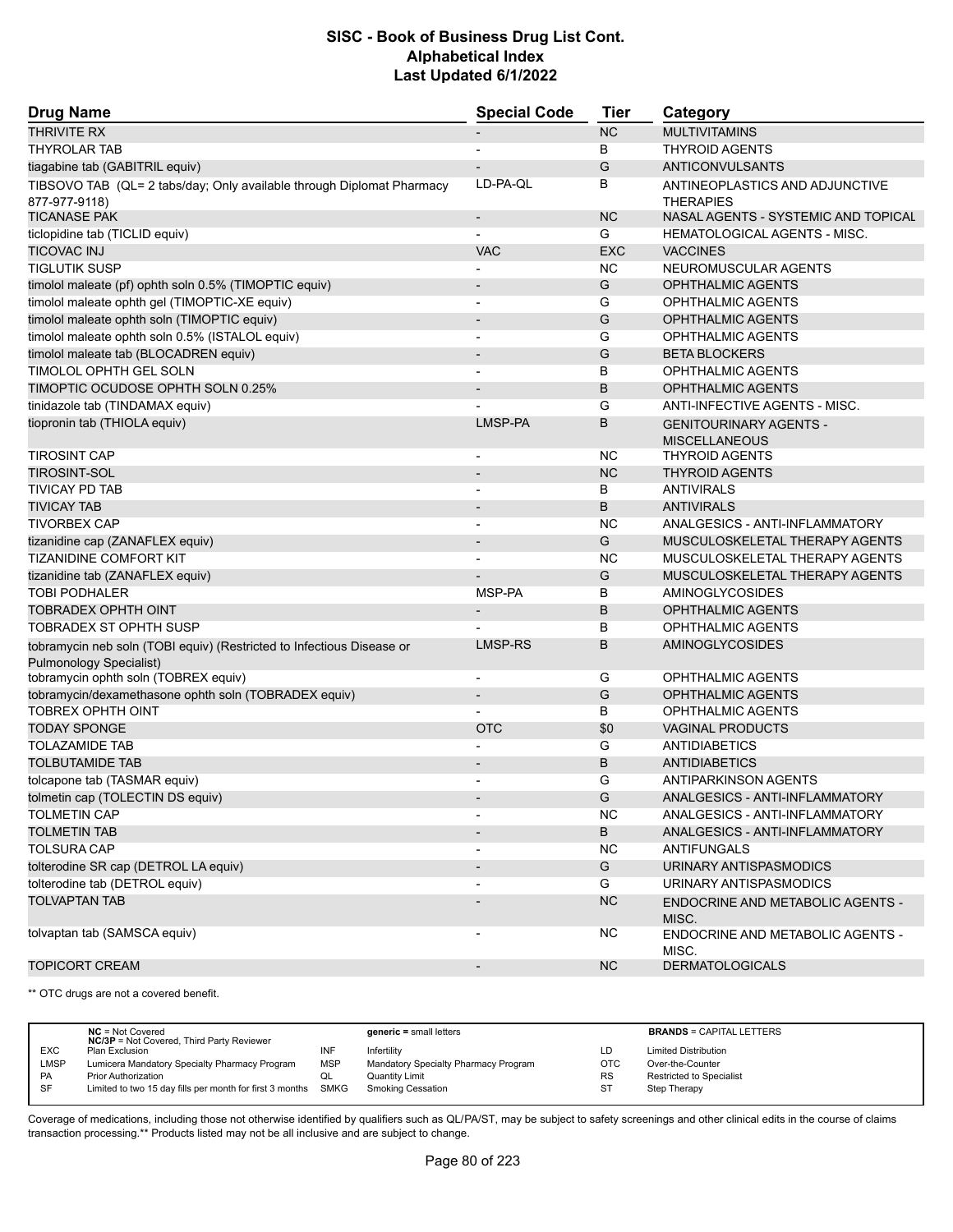| <b>Drug Name</b>                                                                                        | <b>Special Code</b>          | Tier       | Category                                           |
|---------------------------------------------------------------------------------------------------------|------------------------------|------------|----------------------------------------------------|
| <b>THRIVITE RX</b>                                                                                      |                              | NC         | <b>MULTIVITAMINS</b>                               |
| <b>THYROLAR TAB</b>                                                                                     |                              | B          | <b>THYROID AGENTS</b>                              |
| tiagabine tab (GABITRIL equiv)                                                                          |                              | G          | <b>ANTICONVULSANTS</b>                             |
| TIBSOVO TAB (QL= 2 tabs/day; Only available through Diplomat Pharmacy<br>877-977-9118)                  | LD-PA-QL                     | B          | ANTINEOPLASTICS AND ADJUNCTIVE<br><b>THERAPIES</b> |
| <b>TICANASE PAK</b>                                                                                     | $\centerdot$                 | <b>NC</b>  | NASAL AGENTS - SYSTEMIC AND TOPICAL                |
| ticlopidine tab (TICLID equiv)                                                                          |                              | G          | <b>HEMATOLOGICAL AGENTS - MISC.</b>                |
| <b>TICOVAC INJ</b>                                                                                      | <b>VAC</b>                   | <b>EXC</b> | <b>VACCINES</b>                                    |
| <b>TIGLUTIK SUSP</b>                                                                                    |                              | NC         | NEUROMUSCULAR AGENTS                               |
| timolol maleate (pf) ophth soln 0.5% (TIMOPTIC equiv)                                                   | $\blacksquare$               | G          | <b>OPHTHALMIC AGENTS</b>                           |
| timolol maleate ophth gel (TIMOPTIC-XE equiv)                                                           | $\overline{\phantom{a}}$     | G          | <b>OPHTHALMIC AGENTS</b>                           |
| timolol maleate ophth soln (TIMOPTIC equiv)                                                             | $\overline{\phantom{a}}$     | G          | <b>OPHTHALMIC AGENTS</b>                           |
| timolol maleate ophth soln 0.5% (ISTALOL equiv)                                                         | $\overline{a}$               | G          | <b>OPHTHALMIC AGENTS</b>                           |
| timolol maleate tab (BLOCADREN equiv)                                                                   | $\qquad \qquad \blacksquare$ | G          | <b>BETA BLOCKERS</b>                               |
| TIMOLOL OPHTH GEL SOLN                                                                                  |                              | B          | <b>OPHTHALMIC AGENTS</b>                           |
| TIMOPTIC OCUDOSE OPHTH SOLN 0.25%                                                                       |                              | B          | <b>OPHTHALMIC AGENTS</b>                           |
| tinidazole tab (TINDAMAX equiv)                                                                         |                              | G          | <b>ANTI-INFECTIVE AGENTS - MISC.</b>               |
| tiopronin tab (THIOLA equiv)                                                                            | LMSP-PA                      | B          | <b>GENITOURINARY AGENTS -</b>                      |
|                                                                                                         |                              |            | <b>MISCELLANEOUS</b>                               |
| <b>TIROSINT CAP</b>                                                                                     | $\qquad \qquad \blacksquare$ | NC         | <b>THYROID AGENTS</b>                              |
| <b>TIROSINT-SOL</b>                                                                                     |                              | <b>NC</b>  | <b>THYROID AGENTS</b>                              |
| <b>TIVICAY PD TAB</b>                                                                                   | $\blacksquare$               | В          | <b>ANTIVIRALS</b>                                  |
| <b>TIVICAY TAB</b>                                                                                      | $\overline{\phantom{a}}$     | B          | <b>ANTIVIRALS</b>                                  |
| <b>TIVORBEX CAP</b>                                                                                     |                              | NC         | ANALGESICS - ANTI-INFLAMMATORY                     |
| tizanidine cap (ZANAFLEX equiv)                                                                         | $\overline{\phantom{a}}$     | G          | MUSCULOSKELETAL THERAPY AGENTS                     |
| TIZANIDINE COMFORT KIT                                                                                  |                              | NC         | MUSCULOSKELETAL THERAPY AGENTS                     |
| tizanidine tab (ZANAFLEX equiv)                                                                         |                              | G          | MUSCULOSKELETAL THERAPY AGENTS                     |
| <b>TOBI PODHALER</b>                                                                                    | MSP-PA                       | В          | AMINOGLYCOSIDES                                    |
| <b>TOBRADEX OPHTH OINT</b>                                                                              |                              | B          | <b>OPHTHALMIC AGENTS</b>                           |
| <b>TOBRADEX ST OPHTH SUSP</b>                                                                           |                              | B          | <b>OPHTHALMIC AGENTS</b>                           |
| tobramycin neb soln (TOBI equiv) (Restricted to Infectious Disease or<br><b>Pulmonology Specialist)</b> | LMSP-RS                      | B          | <b>AMINOGLYCOSIDES</b>                             |
| tobramycin ophth soln (TOBREX equiv)                                                                    | $\overline{\phantom{a}}$     | G          | OPHTHALMIC AGENTS                                  |
| tobramycin/dexamethasone ophth soln (TOBRADEX equiv)                                                    | $\overline{\phantom{0}}$     | G          | <b>OPHTHALMIC AGENTS</b>                           |
| <b>TOBREX OPHTH OINT</b>                                                                                |                              | В          | <b>OPHTHALMIC AGENTS</b>                           |
| <b>TODAY SPONGE</b>                                                                                     | <b>OTC</b>                   | \$0        | <b>VAGINAL PRODUCTS</b>                            |
| <b>TOLAZAMIDE TAB</b>                                                                                   |                              | G          | <b>ANTIDIABETICS</b>                               |
| <b>TOLBUTAMIDE TAB</b>                                                                                  |                              | B          | <b>ANTIDIABETICS</b>                               |
| tolcapone tab (TASMAR equiv)                                                                            |                              | G          | <b>ANTIPARKINSON AGENTS</b>                        |
| tolmetin cap (TOLECTIN DS equiv)                                                                        |                              | G          | ANALGESICS - ANTI-INFLAMMATORY                     |
| <b>TOLMETIN CAP</b>                                                                                     |                              | <b>NC</b>  | ANALGESICS - ANTI-INFLAMMATORY                     |
| <b>TOLMETIN TAB</b>                                                                                     |                              | B          | ANALGESICS - ANTI-INFLAMMATORY                     |
| <b>TOLSURA CAP</b>                                                                                      |                              | <b>NC</b>  | <b>ANTIFUNGALS</b>                                 |
| tolterodine SR cap (DETROL LA equiv)                                                                    |                              | G          | URINARY ANTISPASMODICS                             |
| tolterodine tab (DETROL equiv)                                                                          |                              | G          | URINARY ANTISPASMODICS                             |
| <b>TOLVAPTAN TAB</b>                                                                                    |                              | NC         | <b>ENDOCRINE AND METABOLIC AGENTS -</b><br>MISC.   |
| tolvaptan tab (SAMSCA equiv)                                                                            | $\overline{\phantom{0}}$     | <b>NC</b>  | ENDOCRINE AND METABOLIC AGENTS -<br>MISC.          |
| <b>TOPICORT CREAM</b>                                                                                   | $\overline{\phantom{a}}$     | <b>NC</b>  | <b>DERMATOLOGICALS</b>                             |

\*\* OTC drugs are not a covered benefit.

|            | $NC = Not Covered$                                            |            | $generic = small letters$            |           | <b>BRANDS = CAPITAL LETTERS</b> |
|------------|---------------------------------------------------------------|------------|--------------------------------------|-----------|---------------------------------|
|            | <b>NC/3P</b> = Not Covered, Third Party Reviewer              |            |                                      |           |                                 |
| <b>EXC</b> | Plan Exclusion                                                | INF        | Infertility                          | LD        | <b>Limited Distribution</b>     |
| LMSP       | Lumicera Mandatory Specialty Pharmacy Program                 | <b>MSP</b> | Mandatory Specialty Pharmacy Program | OTC       | Over-the-Counter                |
| <b>PA</b>  | <b>Prior Authorization</b>                                    | QL         | <b>Quantity Limit</b>                | <b>RS</b> | Restricted to Specialist        |
| SF         | Limited to two 15 day fills per month for first 3 months SMKG |            | <b>Smoking Cessation</b>             | <b>ST</b> | Step Therapy                    |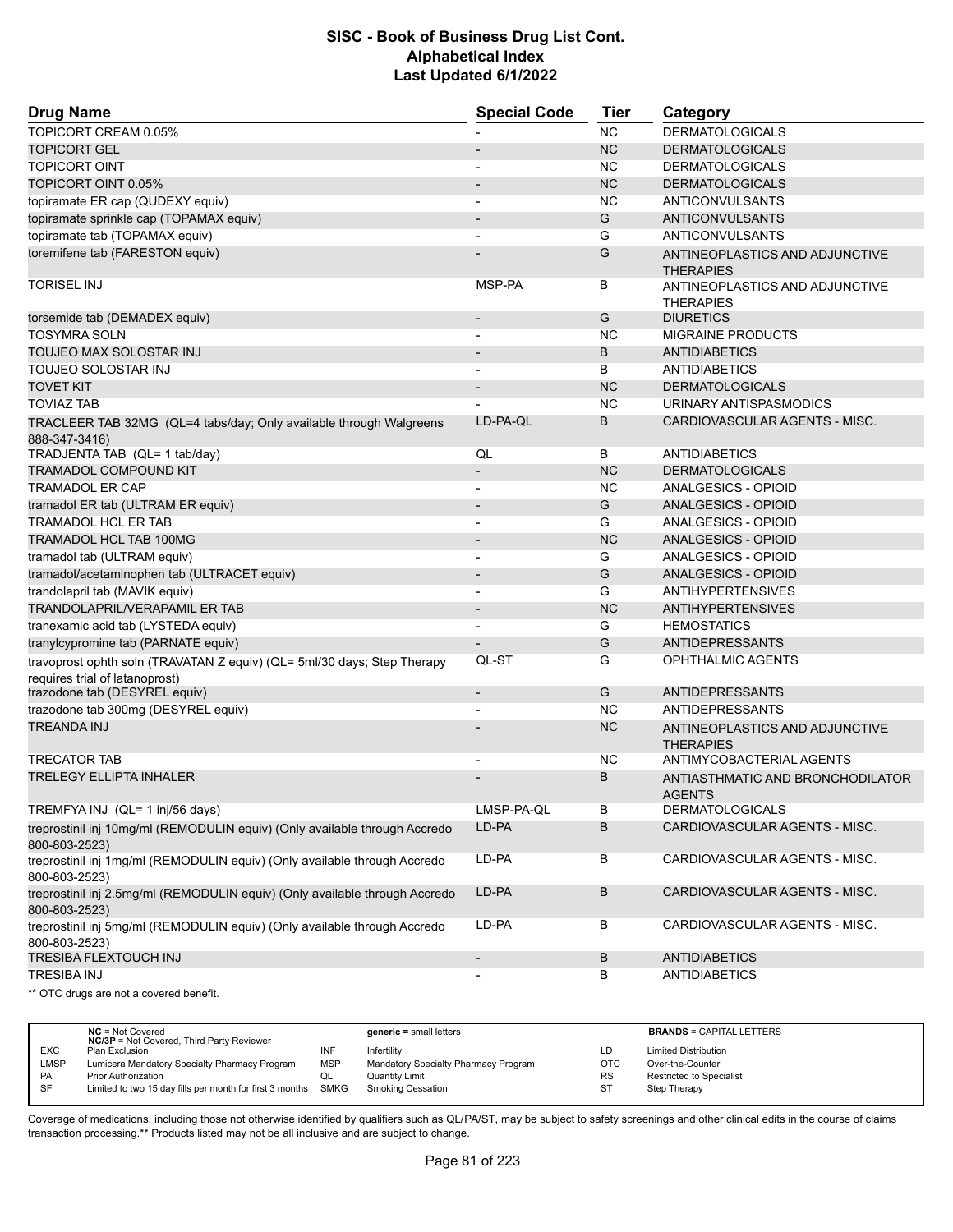| <b>Drug Name</b>                                                                             | <b>Special Code</b>      | <b>Tier</b> | Category                                           |
|----------------------------------------------------------------------------------------------|--------------------------|-------------|----------------------------------------------------|
| TOPICORT CREAM 0.05%                                                                         |                          | <b>NC</b>   | <b>DERMATOLOGICALS</b>                             |
| <b>TOPICORT GEL</b>                                                                          |                          | <b>NC</b>   | <b>DERMATOLOGICALS</b>                             |
| <b>TOPICORT OINT</b>                                                                         |                          | <b>NC</b>   | <b>DERMATOLOGICALS</b>                             |
| TOPICORT OINT 0.05%                                                                          | $\overline{\phantom{a}}$ | <b>NC</b>   | <b>DERMATOLOGICALS</b>                             |
| topiramate ER cap (QUDEXY equiv)                                                             |                          | <b>NC</b>   | ANTICONVULSANTS                                    |
| topiramate sprinkle cap (TOPAMAX equiv)                                                      |                          | G           | ANTICONVULSANTS                                    |
| topiramate tab (TOPAMAX equiv)                                                               | $\blacksquare$           | G           | ANTICONVULSANTS                                    |
| toremifene tab (FARESTON equiv)                                                              |                          | G           | ANTINEOPLASTICS AND ADJUNCTIVE<br><b>THERAPIES</b> |
| <b>TORISEL INJ</b>                                                                           | MSP-PA                   | В           | ANTINEOPLASTICS AND ADJUNCTIVE<br><b>THERAPIES</b> |
| torsemide tab (DEMADEX equiv)                                                                |                          | G           | <b>DIURETICS</b>                                   |
| <b>TOSYMRA SOLN</b>                                                                          |                          | <b>NC</b>   | <b>MIGRAINE PRODUCTS</b>                           |
| TOUJEO MAX SOLOSTAR INJ                                                                      | $\overline{\phantom{a}}$ | B           | <b>ANTIDIABETICS</b>                               |
| TOUJEO SOLOSTAR INJ                                                                          |                          | B           | ANTIDIABETICS                                      |
| <b>TOVET KIT</b>                                                                             |                          | <b>NC</b>   | <b>DERMATOLOGICALS</b>                             |
| <b>TOVIAZ TAB</b>                                                                            |                          | <b>NC</b>   | URINARY ANTISPASMODICS                             |
| TRACLEER TAB 32MG (QL=4 tabs/day; Only available through Walgreens<br>888-347-3416)          | LD-PA-OL                 | B           | CARDIOVASCULAR AGENTS - MISC.                      |
| TRADJENTA TAB (QL= 1 tab/day)                                                                | QL                       | В           | <b>ANTIDIABETICS</b>                               |
| <b>TRAMADOL COMPOUND KIT</b>                                                                 | $\overline{\phantom{a}}$ | <b>NC</b>   | <b>DERMATOLOGICALS</b>                             |
| <b>TRAMADOL ER CAP</b>                                                                       |                          | <b>NC</b>   | ANALGESICS - OPIOID                                |
| tramadol ER tab (ULTRAM ER equiv)                                                            | $\overline{\phantom{a}}$ | G           | <b>ANALGESICS - OPIOID</b>                         |
| <b>TRAMADOL HCL ER TAB</b>                                                                   | $\overline{\phantom{a}}$ | G           | <b>ANALGESICS - OPIOID</b>                         |
| TRAMADOL HCL TAB 100MG                                                                       |                          | <b>NC</b>   | ANALGESICS - OPIOID                                |
| tramadol tab (ULTRAM equiv)                                                                  | $\blacksquare$           | G           | ANALGESICS - OPIOID                                |
| tramadol/acetaminophen tab (ULTRACET equiv)                                                  | $\overline{\phantom{a}}$ | G           | <b>ANALGESICS - OPIOID</b>                         |
| trandolapril tab (MAVIK equiv)                                                               |                          | G           | <b>ANTIHYPERTENSIVES</b>                           |
| TRANDOLAPRIL/VERAPAMIL ER TAB                                                                | $\overline{\phantom{a}}$ | <b>NC</b>   | <b>ANTIHYPERTENSIVES</b>                           |
| tranexamic acid tab (LYSTEDA equiv)                                                          | $\overline{a}$           | G           | <b>HEMOSTATICS</b>                                 |
| tranylcypromine tab (PARNATE equiv)                                                          |                          | G           | <b>ANTIDEPRESSANTS</b>                             |
| travoprost ophth soln (TRAVATAN Z equiv) (QL= 5ml/30 days; Step Therapy                      | QL-ST                    | G           | <b>OPHTHALMIC AGENTS</b>                           |
| requires trial of latanoprost)                                                               |                          |             |                                                    |
| trazodone tab (DESYREL equiv)                                                                | $\overline{\phantom{a}}$ | G           | <b>ANTIDEPRESSANTS</b>                             |
| trazodone tab 300mg (DESYREL equiv)                                                          |                          | <b>NC</b>   | <b>ANTIDEPRESSANTS</b>                             |
| <b>TREANDA INJ</b>                                                                           |                          | <b>NC</b>   | ANTINEOPLASTICS AND ADJUNCTIVE<br><b>THERAPIES</b> |
| <b>TRECATOR TAB</b>                                                                          |                          | <b>NC</b>   | ANTIMYCOBACTERIAL AGENTS                           |
| <b>TRELEGY ELLIPTA INHALER</b>                                                               |                          | B           | ANTIASTHMATIC AND BRONCHODILATOR<br><b>AGENTS</b>  |
| TREMFYA INJ (QL= 1 inj/56 days)                                                              | LMSP-PA-QL               | В           | <b>DERMATOLOGICALS</b>                             |
| treprostinil inj 10mg/ml (REMODULIN equiv) (Only available through Accredo<br>800-803-2523)  | LD-PA                    | B           | CARDIOVASCULAR AGENTS - MISC.                      |
| treprostinil inj 1mg/ml (REMODULIN equiv) (Only available through Accredo<br>800-803-2523)   | LD-PA                    | В           | CARDIOVASCULAR AGENTS - MISC.                      |
| treprostinil inj 2.5mg/ml (REMODULIN equiv) (Only available through Accredo<br>800-803-2523) | LD-PA                    | B           | CARDIOVASCULAR AGENTS - MISC.                      |
| treprostinil inj 5mg/ml (REMODULIN equiv) (Only available through Accredo<br>800-803-2523)   | LD-PA                    | В           | CARDIOVASCULAR AGENTS - MISC.                      |
| TRESIBA FLEXTOUCH INJ                                                                        | $\overline{\phantom{a}}$ | B           | <b>ANTIDIABETICS</b>                               |
| <b>TRESIBA INJ</b>                                                                           |                          | В           | <b>ANTIDIABETICS</b>                               |
| ** OTC drugs are not a covered benefit.                                                      |                          |             |                                                    |

|            | $NC = Not Covered$<br><b>NC/3P</b> = Not Covered, Third Party Reviewer |            | $generic = small letters$            |           | <b>BRANDS = CAPITAL LETTERS</b> |
|------------|------------------------------------------------------------------------|------------|--------------------------------------|-----------|---------------------------------|
| <b>EXC</b> | Plan Exclusion                                                         | INF        | Infertility                          | LD.       | <b>Limited Distribution</b>     |
| LMSP       | Lumicera Mandatory Specialty Pharmacy Program                          | <b>MSP</b> | Mandatory Specialty Pharmacy Program | OTC       | Over-the-Counter                |
| <b>PA</b>  | <b>Prior Authorization</b>                                             | QL         | <b>Quantity Limit</b>                | <b>RS</b> | Restricted to Specialist        |
| SF         | Limited to two 15 day fills per month for first 3 months SMKG          |            | <b>Smoking Cessation</b>             | <b>ST</b> | Step Therapy                    |
|            |                                                                        |            |                                      |           |                                 |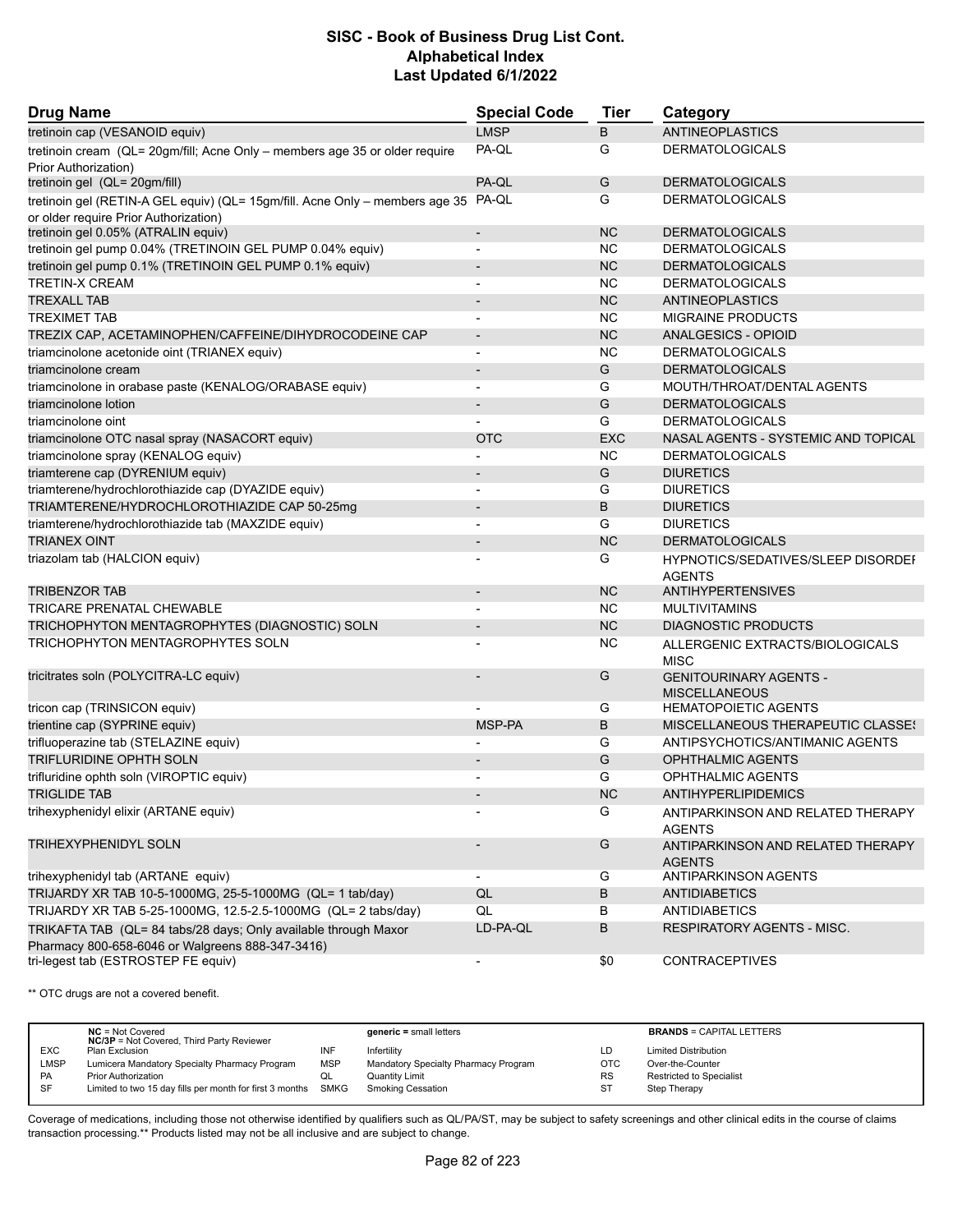| <b>Drug Name</b>                                                                                                    | <b>Special Code</b>      | <b>Tier</b> | Category                                                   |
|---------------------------------------------------------------------------------------------------------------------|--------------------------|-------------|------------------------------------------------------------|
| tretinoin cap (VESANOID equiv)                                                                                      | <b>LMSP</b>              | B           | <b>ANTINEOPLASTICS</b>                                     |
| tretinoin cream (QL= 20gm/fill; Acne Only - members age 35 or older require<br>Prior Authorization)                 | PA-QL                    | G           | <b>DERMATOLOGICALS</b>                                     |
| tretinoin gel (QL= 20gm/fill)                                                                                       | PA-QL                    | G           | <b>DERMATOLOGICALS</b>                                     |
| tretinoin gel (RETIN-A GEL equiv) (QL= 15gm/fill. Acne Only - members age 35 PA-QL                                  |                          | G           | <b>DERMATOLOGICALS</b>                                     |
| or older require Prior Authorization)<br>tretinoin gel 0.05% (ATRALIN equiv)                                        | $\overline{\phantom{a}}$ | <b>NC</b>   | <b>DERMATOLOGICALS</b>                                     |
| tretinoin gel pump 0.04% (TRETINOIN GEL PUMP 0.04% equiv)                                                           | $\overline{\phantom{a}}$ | <b>NC</b>   | <b>DERMATOLOGICALS</b>                                     |
| tretinoin gel pump 0.1% (TRETINOIN GEL PUMP 0.1% equiv)                                                             |                          | <b>NC</b>   | <b>DERMATOLOGICALS</b>                                     |
| <b>TRETIN-X CREAM</b>                                                                                               |                          | <b>NC</b>   | <b>DERMATOLOGICALS</b>                                     |
| <b>TREXALL TAB</b>                                                                                                  |                          | <b>NC</b>   | ANTINEOPLASTICS                                            |
| <b>TREXIMET TAB</b>                                                                                                 |                          | <b>NC</b>   | <b>MIGRAINE PRODUCTS</b>                                   |
| TREZIX CAP, ACETAMINOPHEN/CAFFEINE/DIHYDROCODEINE CAP                                                               | $\overline{\phantom{a}}$ | <b>NC</b>   | ANALGESICS - OPIOID                                        |
| triamcinolone acetonide oint (TRIANEX equiv)                                                                        | $\blacksquare$           | <b>NC</b>   | <b>DERMATOLOGICALS</b>                                     |
| triamcinolone cream                                                                                                 |                          | G           | <b>DERMATOLOGICALS</b>                                     |
| triamcinolone in orabase paste (KENALOG/ORABASE equiv)                                                              | $\blacksquare$           | G           | MOUTH/THROAT/DENTAL AGENTS                                 |
| triamcinolone lotion                                                                                                | $\overline{\phantom{a}}$ | G           | <b>DERMATOLOGICALS</b>                                     |
| triamcinolone oint                                                                                                  |                          | G           | <b>DERMATOLOGICALS</b>                                     |
| triamcinolone OTC nasal spray (NASACORT equiv)                                                                      | <b>OTC</b>               | <b>EXC</b>  | NASAL AGENTS - SYSTEMIC AND TOPICAL                        |
| triamcinolone spray (KENALOG equiv)                                                                                 |                          | <b>NC</b>   | <b>DERMATOLOGICALS</b>                                     |
| triamterene cap (DYRENIUM equiv)                                                                                    |                          | G           | <b>DIURETICS</b>                                           |
| triamterene/hydrochlorothiazide cap (DYAZIDE equiv)                                                                 | $\overline{\phantom{a}}$ | G           | <b>DIURETICS</b>                                           |
| TRIAMTERENE/HYDROCHLOROTHIAZIDE CAP 50-25mg                                                                         |                          | B           | <b>DIURETICS</b>                                           |
| triamterene/hydrochlorothiazide tab (MAXZIDE equiv)                                                                 |                          | G           | <b>DIURETICS</b>                                           |
| <b>TRIANEX OINT</b>                                                                                                 | $\overline{\phantom{a}}$ | <b>NC</b>   | <b>DERMATOLOGICALS</b>                                     |
| triazolam tab (HALCION equiv)                                                                                       |                          | G           | <b>HYPNOTICS/SEDATIVES/SLEEP DISORDEF</b><br><b>AGENTS</b> |
| <b>TRIBENZOR TAB</b>                                                                                                |                          | <b>NC</b>   | <b>ANTIHYPERTENSIVES</b>                                   |
| TRICARE PRENATAL CHEWABLE                                                                                           |                          | <b>NC</b>   | <b>MULTIVITAMINS</b>                                       |
| TRICHOPHYTON MENTAGROPHYTES (DIAGNOSTIC) SOLN                                                                       | $\overline{\phantom{a}}$ | <b>NC</b>   | <b>DIAGNOSTIC PRODUCTS</b>                                 |
| TRICHOPHYTON MENTAGROPHYTES SOLN                                                                                    |                          | <b>NC</b>   | ALLERGENIC EXTRACTS/BIOLOGICALS<br><b>MISC</b>             |
| tricitrates soln (POLYCITRA-LC equiv)                                                                               |                          | G           | <b>GENITOURINARY AGENTS -</b><br><b>MISCELLANEOUS</b>      |
| tricon cap (TRINSICON equiv)                                                                                        |                          | G           | <b>HEMATOPOIETIC AGENTS</b>                                |
| trientine cap (SYPRINE equiv)                                                                                       | MSP-PA                   | B           | MISCELLANEOUS THERAPEUTIC CLASSES                          |
| trifluoperazine tab (STELAZINE equiv)                                                                               |                          | G           | ANTIPSYCHOTICS/ANTIMANIC AGENTS                            |
| TRIFLURIDINE OPHTH SOLN                                                                                             |                          | G           | <b>OPHTHALMIC AGENTS</b>                                   |
| trifluridine ophth soln (VIROPTIC equiv)                                                                            |                          | G           | <b>OPHTHALMIC AGENTS</b>                                   |
| <b>TRIGLIDE TAB</b>                                                                                                 |                          | <b>NC</b>   | ANTIHYPERLIPIDEMICS                                        |
| trihexyphenidyl elixir (ARTANE equiv)                                                                               |                          | G           | ANTIPARKINSON AND RELATED THERAPY<br><b>AGENTS</b>         |
| TRIHEXYPHENIDYL SOLN                                                                                                |                          | G           | ANTIPARKINSON AND RELATED THERAPY<br><b>AGENTS</b>         |
| trihexyphenidyl tab (ARTANE equiv)                                                                                  |                          | G           | ANTIPARKINSON AGENTS                                       |
| TRIJARDY XR TAB 10-5-1000MG, 25-5-1000MG (QL= 1 tab/day)                                                            | QL                       | B           | ANTIDIABETICS                                              |
| TRIJARDY XR TAB 5-25-1000MG, 12.5-2.5-1000MG (QL= 2 tabs/day)                                                       | QL                       | В           | <b>ANTIDIABETICS</b>                                       |
| TRIKAFTA TAB (QL= 84 tabs/28 days; Only available through Maxor<br>Pharmacy 800-658-6046 or Walgreens 888-347-3416) | LD-PA-QL                 | B           | <b>RESPIRATORY AGENTS - MISC.</b>                          |
| tri-legest tab (ESTROSTEP FE equiv)                                                                                 | $\overline{\phantom{a}}$ | \$0         | <b>CONTRACEPTIVES</b>                                      |

\*\* OTC drugs are not a covered benefit.

|            | $NC = Not Covered$<br><b>NC/3P</b> = Not Covered, Third Party Reviewer |            | $generic = small letters$            |            | <b>BRANDS = CAPITAL LETTERS</b> |
|------------|------------------------------------------------------------------------|------------|--------------------------------------|------------|---------------------------------|
| <b>EXC</b> | Plan Exclusion                                                         | INF        | Infertility                          | LD         | <b>Limited Distribution</b>     |
| LMSP       | Lumicera Mandatory Specialty Pharmacy Program                          | <b>MSP</b> | Mandatory Specialty Pharmacy Program | <b>OTC</b> | Over-the-Counter                |
| <b>PA</b>  | <b>Prior Authorization</b>                                             | QL         | Quantity Limit                       | <b>RS</b>  | <b>Restricted to Specialist</b> |
| SF         | Limited to two 15 day fills per month for first 3 months SMKG          |            | <b>Smoking Cessation</b>             | ST         | Step Therapy                    |
|            |                                                                        |            |                                      |            |                                 |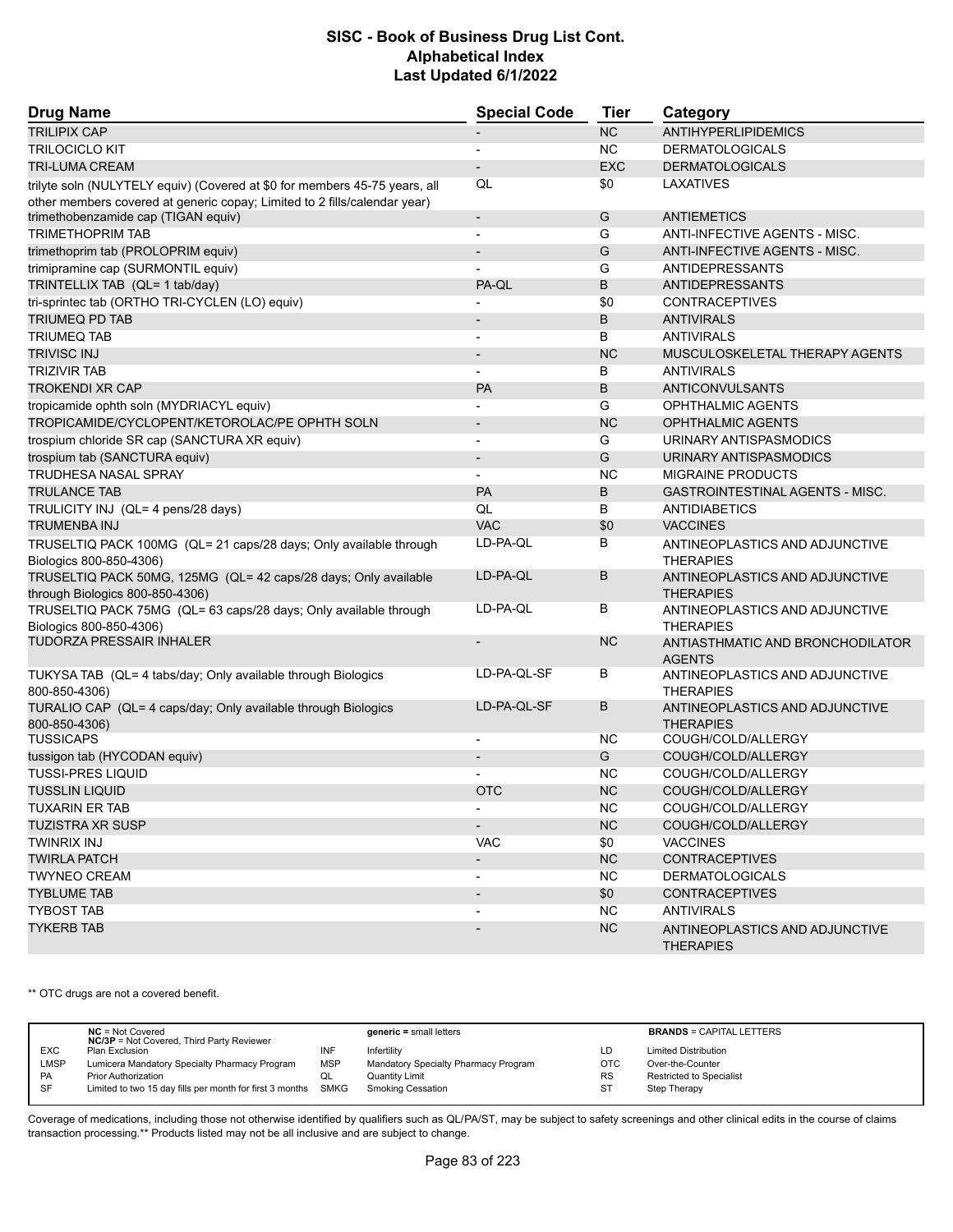| <b>Drug Name</b>                                                                                                 | <b>Special Code</b>          | Tier       | Category                                           |
|------------------------------------------------------------------------------------------------------------------|------------------------------|------------|----------------------------------------------------|
| <b>TRILIPIX CAP</b>                                                                                              |                              | NC         | <b>ANTIHYPERLIPIDEMICS</b>                         |
| <b>TRILOCICLO KIT</b>                                                                                            | $\overline{\phantom{a}}$     | NC.        | <b>DERMATOLOGICALS</b>                             |
| <b>TRI-LUMA CREAM</b>                                                                                            |                              | <b>EXC</b> | <b>DERMATOLOGICALS</b>                             |
| trilyte soln (NULYTELY equiv) (Covered at \$0 for members 45-75 years, all                                       | QL                           | \$0        | LAXATIVES                                          |
| other members covered at generic copay; Limited to 2 fills/calendar year)<br>trimethobenzamide cap (TIGAN equiv) | $\overline{\phantom{a}}$     | G          | <b>ANTIEMETICS</b>                                 |
| <b>TRIMETHOPRIM TAB</b>                                                                                          | $\overline{\phantom{0}}$     | G          | ANTI-INFECTIVE AGENTS - MISC.                      |
| trimethoprim tab (PROLOPRIM equiv)                                                                               | $\qquad \qquad \blacksquare$ | G          | ANTI-INFECTIVE AGENTS - MISC.                      |
| trimipramine cap (SURMONTIL equiv)                                                                               | $\blacksquare$               | G          | <b>ANTIDEPRESSANTS</b>                             |
| TRINTELLIX TAB (QL= 1 tab/day)                                                                                   | PA-QL                        | B          | <b>ANTIDEPRESSANTS</b>                             |
| tri-sprintec tab (ORTHO TRI-CYCLEN (LO) equiv)                                                                   |                              | \$0        | <b>CONTRACEPTIVES</b>                              |
| <b>TRIUMEQ PD TAB</b>                                                                                            | $\overline{\phantom{a}}$     | B          | <b>ANTIVIRALS</b>                                  |
| <b>TRIUMEQ TAB</b>                                                                                               | $\overline{\phantom{0}}$     | B          | <b>ANTIVIRALS</b>                                  |
| <b>TRIVISC INJ</b>                                                                                               | $\overline{\phantom{a}}$     | <b>NC</b>  | MUSCULOSKELETAL THERAPY AGENTS                     |
| <b>TRIZIVIR TAB</b>                                                                                              | $\overline{\phantom{0}}$     | B          | <b>ANTIVIRALS</b>                                  |
| <b>TROKENDI XR CAP</b>                                                                                           | <b>PA</b>                    | B          | ANTICONVULSANTS                                    |
| tropicamide ophth soln (MYDRIACYL equiv)                                                                         |                              | G          | OPHTHALMIC AGENTS                                  |
| TROPICAMIDE/CYCLOPENT/KETOROLAC/PE OPHTH SOLN                                                                    | $\overline{\phantom{m}}$     | <b>NC</b>  | <b>OPHTHALMIC AGENTS</b>                           |
| trospium chloride SR cap (SANCTURA XR equiv)                                                                     | $\blacksquare$               | G          | URINARY ANTISPASMODICS                             |
| trospium tab (SANCTURA equiv)                                                                                    | $\overline{\phantom{m}}$     | G          | URINARY ANTISPASMODICS                             |
| <b>TRUDHESA NASAL SPRAY</b>                                                                                      | $\overline{\phantom{0}}$     | <b>NC</b>  | <b>MIGRAINE PRODUCTS</b>                           |
| <b>TRULANCE TAB</b>                                                                                              | PA                           | B          | GASTROINTESTINAL AGENTS - MISC.                    |
| TRULICITY INJ (QL= 4 pens/28 days)                                                                               | QL                           | B          | ANTIDIABETICS                                      |
| <b>TRUMENBA INJ</b>                                                                                              | <b>VAC</b>                   | \$0        | <b>VACCINES</b>                                    |
| TRUSELTIQ PACK 100MG (QL= 21 caps/28 days; Only available through<br>Biologics 800-850-4306)                     | LD-PA-QL                     | В          | ANTINEOPLASTICS AND ADJUNCTIVE<br><b>THERAPIES</b> |
| TRUSELTIQ PACK 50MG, 125MG (QL= 42 caps/28 days; Only available<br>through Biologics 800-850-4306)               | LD-PA-QL                     | B          | ANTINEOPLASTICS AND ADJUNCTIVE<br><b>THERAPIES</b> |
| TRUSELTIQ PACK 75MG (QL= 63 caps/28 days; Only available through<br>Biologics 800-850-4306)                      | LD-PA-QL                     | В          | ANTINEOPLASTICS AND ADJUNCTIVE<br><b>THERAPIES</b> |
| <b>TUDORZA PRESSAIR INHALER</b>                                                                                  | $\overline{\phantom{a}}$     | <b>NC</b>  | ANTIASTHMATIC AND BRONCHODILATOR<br><b>AGENTS</b>  |
| TUKYSA TAB (QL= 4 tabs/day; Only available through Biologics<br>800-850-4306)                                    | LD-PA-QL-SF                  | В          | ANTINEOPLASTICS AND ADJUNCTIVE<br><b>THERAPIES</b> |
| TURALIO CAP (QL= 4 caps/day; Only available through Biologics<br>800-850-4306)                                   | LD-PA-QL-SF                  | В          | ANTINEOPLASTICS AND ADJUNCTIVE<br><b>THERAPIES</b> |
| <b>TUSSICAPS</b>                                                                                                 | $\blacksquare$               | <b>NC</b>  | COUGH/COLD/ALLERGY                                 |
| tussigon tab (HYCODAN equiv)                                                                                     |                              | G          | COUGH/COLD/ALLERGY                                 |
| <b>TUSSI-PRES LIQUID</b>                                                                                         |                              | <b>NC</b>  | COUGH/COLD/ALLERGY                                 |
| <b>TUSSLIN LIQUID</b>                                                                                            | <b>OTC</b>                   | <b>NC</b>  | COUGH/COLD/ALLERGY                                 |
| <b>TUXARIN ER TAB</b>                                                                                            | $\overline{\phantom{a}}$     | NC.        | COUGH/COLD/ALLERGY                                 |
| TUZISTRA XR SUSP                                                                                                 | $\overline{\phantom{0}}$     | NC         | COUGH/COLD/ALLERGY                                 |
| <b>TWINRIX INJ</b>                                                                                               | <b>VAC</b>                   | \$0        | <b>VACCINES</b>                                    |
| <b>TWIRLA PATCH</b>                                                                                              | $\overline{\phantom{a}}$     | <b>NC</b>  | <b>CONTRACEPTIVES</b>                              |
| <b>TWYNEO CREAM</b>                                                                                              | $\overline{\phantom{a}}$     | NC.        | <b>DERMATOLOGICALS</b>                             |
| <b>TYBLUME TAB</b>                                                                                               | $\overline{\phantom{m}}$     | \$0        | <b>CONTRACEPTIVES</b>                              |
| <b>TYBOST TAB</b>                                                                                                | $\overline{\phantom{a}}$     | NC.        | <b>ANTIVIRALS</b>                                  |
| <b>TYKERB TAB</b>                                                                                                |                              | <b>NC</b>  | ANTINEOPLASTICS AND ADJUNCTIVE<br><b>THERAPIES</b> |

\*\* OTC drugs are not a covered benefit.

|             | $NC = Not Covered$<br><b>NC/3P</b> = Not Covered, Third Party Reviewer |            | $generic = small letters$            |            | <b>BRANDS = CAPITAL LETTERS</b> |
|-------------|------------------------------------------------------------------------|------------|--------------------------------------|------------|---------------------------------|
| <b>EXC</b>  | Plan Exclusion                                                         | INF        | Infertility                          | LD         | <b>Limited Distribution</b>     |
| <b>LMSP</b> | Lumicera Mandatory Specialty Pharmacy Program                          | <b>MSP</b> | Mandatory Specialty Pharmacy Program | <b>OTC</b> | Over-the-Counter                |
| PA          | <b>Prior Authorization</b>                                             | QL         | Quantity Limit                       | <b>RS</b>  | <b>Restricted to Specialist</b> |
| SF          | Limited to two 15 day fills per month for first 3 months SMKG          |            | Smoking Cessation                    | <b>ST</b>  | Step Therapy                    |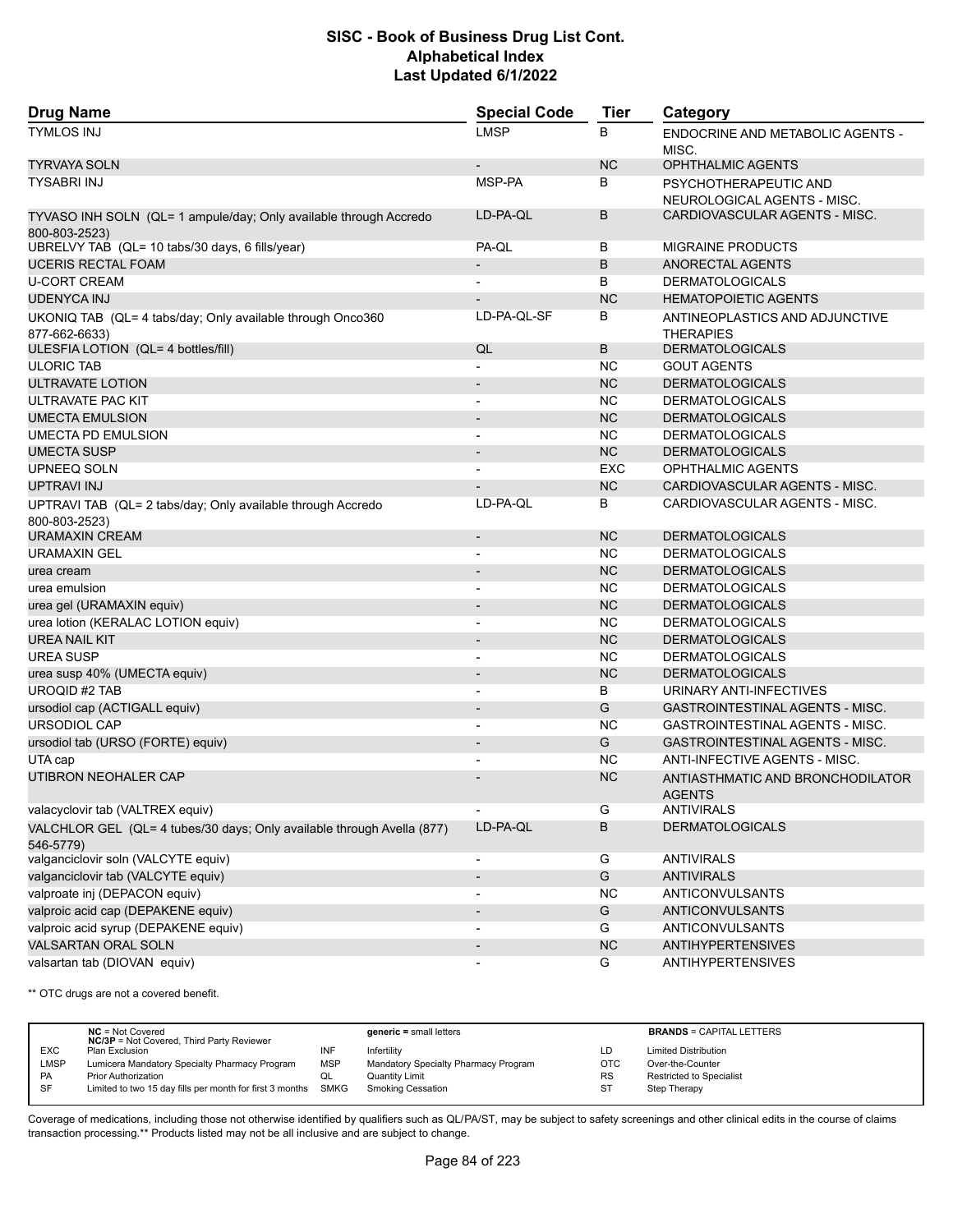| <b>Drug Name</b>                                                                    | <b>Special Code</b>          | <b>Tier</b> | Category                                             |
|-------------------------------------------------------------------------------------|------------------------------|-------------|------------------------------------------------------|
| <b>TYMLOS INJ</b>                                                                   | <b>LMSP</b>                  | B           | <b>ENDOCRINE AND METABOLIC AGENTS -</b><br>MISC.     |
| TYRVAYA SOLN                                                                        | $\overline{\phantom{a}}$     | NC          | OPHTHALMIC AGENTS                                    |
| TYSABRI INJ                                                                         | MSP-PA                       | B           | PSYCHOTHERAPEUTIC AND<br>NEUROLOGICAL AGENTS - MISC. |
| TYVASO INH SOLN (QL= 1 ampule/day; Only available through Accredo<br>800-803-2523)  | LD-PA-QL                     | B           | CARDIOVASCULAR AGENTS - MISC.                        |
| UBRELVY TAB (QL= 10 tabs/30 days, 6 fills/year)                                     | PA-QL                        | В           | <b>MIGRAINE PRODUCTS</b>                             |
| <b>UCERIS RECTAL FOAM</b>                                                           | $\overline{\phantom{a}}$     | B           | ANORECTAL AGENTS                                     |
| <b>U-CORT CREAM</b>                                                                 | $\overline{\phantom{0}}$     | B           | <b>DERMATOLOGICALS</b>                               |
| <b>UDENYCA INJ</b>                                                                  |                              | <b>NC</b>   | <b>HEMATOPOIETIC AGENTS</b>                          |
| UKONIQ TAB (QL= 4 tabs/day; Only available through Onco360<br>877-662-6633)         | LD-PA-QL-SF                  | В           | ANTINEOPLASTICS AND ADJUNCTIVE<br><b>THERAPIES</b>   |
| ULESFIA LOTION (QL= 4 bottles/fill)                                                 | QL                           | B           | <b>DERMATOLOGICALS</b>                               |
| <b>ULORIC TAB</b>                                                                   |                              | <b>NC</b>   | <b>GOUT AGENTS</b>                                   |
| ULTRAVATE LOTION                                                                    | $\overline{\phantom{0}}$     | <b>NC</b>   | <b>DERMATOLOGICALS</b>                               |
| ULTRAVATE PAC KIT                                                                   | L,                           | <b>NC</b>   | <b>DERMATOLOGICALS</b>                               |
| <b>UMECTA EMULSION</b>                                                              | $\overline{\phantom{0}}$     | <b>NC</b>   | <b>DERMATOLOGICALS</b>                               |
| <b>UMECTA PD EMULSION</b>                                                           | $\blacksquare$               | <b>NC</b>   | <b>DERMATOLOGICALS</b>                               |
| <b>UMECTA SUSP</b>                                                                  | $\overline{\phantom{0}}$     | NC          | <b>DERMATOLOGICALS</b>                               |
| UPNEEQ SOLN                                                                         |                              | <b>EXC</b>  | <b>OPHTHALMIC AGENTS</b>                             |
| UPTRAVI INJ                                                                         |                              | <b>NC</b>   | CARDIOVASCULAR AGENTS - MISC.                        |
| UPTRAVI TAB (QL= 2 tabs/day; Only available through Accredo<br>800-803-2523)        | LD-PA-QL                     | В           | CARDIOVASCULAR AGENTS - MISC.                        |
| URAMAXIN CREAM                                                                      | $\overline{\phantom{a}}$     | <b>NC</b>   | <b>DERMATOLOGICALS</b>                               |
| <b>URAMAXIN GEL</b>                                                                 |                              | <b>NC</b>   | <b>DERMATOLOGICALS</b>                               |
| urea cream                                                                          | $\overline{\phantom{0}}$     | <b>NC</b>   | <b>DERMATOLOGICALS</b>                               |
| urea emulsion                                                                       | $\overline{a}$               | <b>NC</b>   | <b>DERMATOLOGICALS</b>                               |
| urea gel (URAMAXIN equiv)                                                           |                              | <b>NC</b>   | <b>DERMATOLOGICALS</b>                               |
| urea lotion (KERALAC LOTION equiv)                                                  | $\overline{\phantom{0}}$     | <b>NC</b>   | <b>DERMATOLOGICALS</b>                               |
| UREA NAIL KIT                                                                       | $\overline{\phantom{0}}$     | <b>NC</b>   | <b>DERMATOLOGICALS</b>                               |
| <b>UREA SUSP</b>                                                                    | -                            | NC          | <b>DERMATOLOGICALS</b>                               |
| urea susp 40% (UMECTA equiv)                                                        | $\overline{\phantom{0}}$     | <b>NC</b>   | <b>DERMATOLOGICALS</b>                               |
| <b>UROQID #2 TAB</b>                                                                | $\overline{a}$               | B           | URINARY ANTI-INFECTIVES                              |
| ursodiol cap (ACTIGALL equiv)                                                       |                              | G           | GASTROINTESTINAL AGENTS - MISC.                      |
| <b>URSODIOL CAP</b>                                                                 | $\blacksquare$               | <b>NC</b>   | <b>GASTROINTESTINAL AGENTS - MISC.</b>               |
| ursodiol tab (URSO (FORTE) equiv)                                                   | $\overline{\phantom{0}}$     | G           | <b>GASTROINTESTINAL AGENTS - MISC.</b>               |
| UTA cap                                                                             |                              | <b>NC</b>   | ANTI-INFECTIVE AGENTS - MISC.                        |
| UTIBRON NEOHALER CAP                                                                |                              | <b>NC</b>   | ANTIASTHMATIC AND BRONCHODILATOR<br><b>AGENTS</b>    |
| valacyclovir tab (VALTREX equiv)                                                    |                              | G           | <b>ANTIVIRALS</b>                                    |
| VALCHLOR GEL (QL= 4 tubes/30 days; Only available through Avella (877)<br>546-5779) | LD-PA-QL                     | B           | <b>DERMATOLOGICALS</b>                               |
| valganciclovir soln (VALCYTE equiv)                                                 | $\overline{\phantom{a}}$     | G           | <b>ANTIVIRALS</b>                                    |
| valganciclovir tab (VALCYTE equiv)                                                  | $\qquad \qquad \blacksquare$ | G           | <b>ANTIVIRALS</b>                                    |
| valproate inj (DEPACON equiv)                                                       |                              | <b>NC</b>   | ANTICONVULSANTS                                      |
| valproic acid cap (DEPAKENE equiv)                                                  | $\qquad \qquad \blacksquare$ | G           | ANTICONVULSANTS                                      |
| valproic acid syrup (DEPAKENE equiv)                                                |                              | G           | ANTICONVULSANTS                                      |
| VALSARTAN ORAL SOLN                                                                 | $\overline{\phantom{0}}$     | NC          | <b>ANTIHYPERTENSIVES</b>                             |
| valsartan tab (DIOVAN equiv)                                                        | -                            | G           | <b>ANTIHYPERTENSIVES</b>                             |

\*\* OTC drugs are not a covered benefit.

|             | $NC = Not Covered$<br><b>NC/3P</b> = Not Covered, Third Party Reviewer |            | $generic = small letters$            |            | <b>BRANDS = CAPITAL LETTERS</b> |
|-------------|------------------------------------------------------------------------|------------|--------------------------------------|------------|---------------------------------|
| <b>EXC</b>  | Plan Exclusion                                                         | INF        | Infertility                          | LD         | <b>Limited Distribution</b>     |
| <b>LMSP</b> | Lumicera Mandatory Specialty Pharmacy Program                          | <b>MSP</b> | Mandatory Specialty Pharmacy Program | <b>OTC</b> | Over-the-Counter                |
| PA          | Prior Authorization                                                    | QL         | Quantity Limit                       | <b>RS</b>  | Restricted to Specialist        |
| SF          | Limited to two 15 day fills per month for first 3 months SMKG          |            | <b>Smoking Cessation</b>             | ST         | Step Therapy                    |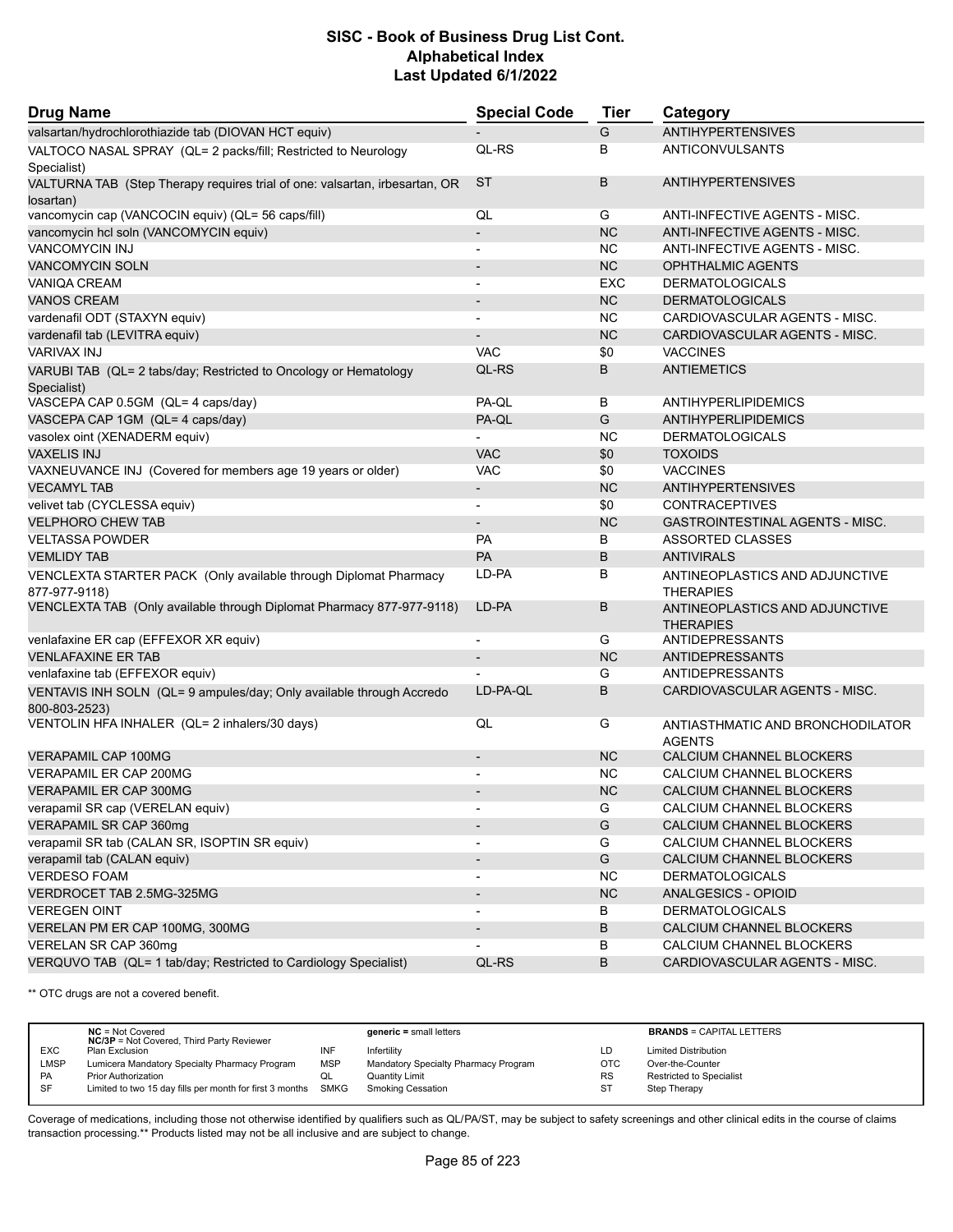| <b>Drug Name</b>                                                                         | <b>Special Code</b>      | <b>Tier</b> | Category                                           |
|------------------------------------------------------------------------------------------|--------------------------|-------------|----------------------------------------------------|
| valsartan/hydrochlorothiazide tab (DIOVAN HCT equiv)                                     |                          | G           | <b>ANTIHYPERTENSIVES</b>                           |
| VALTOCO NASAL SPRAY (QL= 2 packs/fill; Restricted to Neurology<br>Specialist)            | QL-RS                    | В           | ANTICONVULSANTS                                    |
| VALTURNA TAB (Step Therapy requires trial of one: valsartan, irbesartan, OR<br>losartan) | <b>ST</b>                | B           | <b>ANTIHYPERTENSIVES</b>                           |
| vancomycin cap (VANCOCIN equiv) (QL= 56 caps/fill)                                       | QL                       | G           | ANTI-INFECTIVE AGENTS - MISC.                      |
| vancomycin hcl soln (VANCOMYCIN equiv)                                                   | $\overline{\phantom{a}}$ | <b>NC</b>   | ANTI-INFECTIVE AGENTS - MISC.                      |
| <b>VANCOMYCIN INJ</b>                                                                    |                          | <b>NC</b>   | ANTI-INFECTIVE AGENTS - MISC.                      |
| <b>VANCOMYCIN SOLN</b>                                                                   | $\overline{\phantom{a}}$ | <b>NC</b>   | <b>OPHTHALMIC AGENTS</b>                           |
| <b>VANIQA CREAM</b>                                                                      |                          | EXC         | <b>DERMATOLOGICALS</b>                             |
| <b>VANOS CREAM</b>                                                                       |                          | <b>NC</b>   | <b>DERMATOLOGICALS</b>                             |
| vardenafil ODT (STAXYN equiv)                                                            | $\blacksquare$           | <b>NC</b>   | CARDIOVASCULAR AGENTS - MISC.                      |
| vardenafil tab (LEVITRA equiv)                                                           |                          | <b>NC</b>   | CARDIOVASCULAR AGENTS - MISC.                      |
| <b>VARIVAX INJ</b>                                                                       | <b>VAC</b>               | \$0         | <b>VACCINES</b>                                    |
| VARUBI TAB (QL= 2 tabs/day; Restricted to Oncology or Hematology<br>Specialist)          | QL-RS                    | B           | <b>ANTIEMETICS</b>                                 |
| VASCEPA CAP 0.5GM (QL= 4 caps/day)                                                       | PA-QL                    | B           | <b>ANTIHYPERLIPIDEMICS</b>                         |
| VASCEPA CAP 1GM (QL= 4 caps/day)                                                         | PA-QL                    | G           | <b>ANTIHYPERLIPIDEMICS</b>                         |
| vasolex oint (XENADERM equiv)                                                            |                          | <b>NC</b>   | <b>DERMATOLOGICALS</b>                             |
| <b>VAXELIS INJ</b>                                                                       | <b>VAC</b>               | \$0         | <b>TOXOIDS</b>                                     |
| VAXNEUVANCE INJ (Covered for members age 19 years or older)                              | <b>VAC</b>               | \$0         | <b>VACCINES</b>                                    |
| <b>VECAMYL TAB</b>                                                                       | $\overline{\phantom{a}}$ | <b>NC</b>   | <b>ANTIHYPERTENSIVES</b>                           |
| velivet tab (CYCLESSA equiv)                                                             | $\blacksquare$           | \$0         | <b>CONTRACEPTIVES</b>                              |
| <b>VELPHORO CHEW TAB</b>                                                                 |                          | <b>NC</b>   | GASTROINTESTINAL AGENTS - MISC.                    |
| <b>VELTASSA POWDER</b>                                                                   | PA                       | B           | <b>ASSORTED CLASSES</b>                            |
| <b>VEMLIDY TAB</b>                                                                       | PA                       | B           | <b>ANTIVIRALS</b>                                  |
| VENCLEXTA STARTER PACK (Only available through Diplomat Pharmacy                         | LD-PA                    | B           | ANTINEOPLASTICS AND ADJUNCTIVE                     |
| 877-977-9118)                                                                            |                          |             | <b>THERAPIES</b>                                   |
| VENCLEXTA TAB (Only available through Diplomat Pharmacy 877-977-9118)                    | LD-PA                    | B           | ANTINEOPLASTICS AND ADJUNCTIVE<br><b>THERAPIES</b> |
| venlafaxine ER cap (EFFEXOR XR equiv)                                                    | $\blacksquare$           | G           | ANTIDEPRESSANTS                                    |
| <b>VENLAFAXINE ER TAB</b>                                                                | $\overline{\phantom{a}}$ | <b>NC</b>   | <b>ANTIDEPRESSANTS</b>                             |
| venlafaxine tab (EFFEXOR equiv)                                                          |                          | G           | <b>ANTIDEPRESSANTS</b>                             |
| VENTAVIS INH SOLN (QL= 9 ampules/day; Only available through Accredo<br>800-803-2523)    | LD-PA-QL                 | B           | CARDIOVASCULAR AGENTS - MISC.                      |
| VENTOLIN HFA INHALER (QL= 2 inhalers/30 days)                                            | QL                       | G           | ANTIASTHMATIC AND BRONCHODILATOR<br><b>AGENTS</b>  |
| <b>VERAPAMIL CAP 100MG</b>                                                               | $\overline{\phantom{a}}$ | <b>NC</b>   | CALCIUM CHANNEL BLOCKERS                           |
| VERAPAMIL ER CAP 200MG                                                                   |                          | <b>NC</b>   | CALCIUM CHANNEL BLOCKERS                           |
| <b>VERAPAMIL ER CAP 300MG</b>                                                            |                          | <b>NC</b>   | CALCIUM CHANNEL BLOCKERS                           |
| verapamil SR cap (VERELAN equiv)                                                         | $\overline{\phantom{a}}$ | G           | CALCIUM CHANNEL BLOCKERS                           |
| VERAPAMIL SR CAP 360mg                                                                   |                          | G           | CALCIUM CHANNEL BLOCKERS                           |
| verapamil SR tab (CALAN SR, ISOPTIN SR equiv)                                            | $\overline{\phantom{a}}$ | G           | CALCIUM CHANNEL BLOCKERS                           |
| verapamil tab (CALAN equiv)                                                              | $\overline{\phantom{a}}$ | G           | CALCIUM CHANNEL BLOCKERS                           |
| <b>VERDESO FOAM</b>                                                                      | $\overline{\phantom{a}}$ | NC.         | <b>DERMATOLOGICALS</b>                             |
| VERDROCET TAB 2.5MG-325MG                                                                | $\overline{\phantom{a}}$ | NC          | ANALGESICS - OPIOID                                |
| <b>VEREGEN OINT</b>                                                                      | $\overline{\phantom{a}}$ | B           | <b>DERMATOLOGICALS</b>                             |
| VERELAN PM ER CAP 100MG, 300MG                                                           | $\overline{\phantom{a}}$ | B           | CALCIUM CHANNEL BLOCKERS                           |
| VERELAN SR CAP 360mg                                                                     |                          | В           | CALCIUM CHANNEL BLOCKERS                           |
| VERQUVO TAB (QL= 1 tab/day; Restricted to Cardiology Specialist)                         | QL-RS                    | В           | CARDIOVASCULAR AGENTS - MISC.                      |

\*\* OTC drugs are not a covered benefit.

|             | $NC = Not Covered$<br><b>NC/3P</b> = Not Covered, Third Party Reviewer |            | $generic = small letters$            |            | <b>BRANDS = CAPITAL LETTERS</b> |
|-------------|------------------------------------------------------------------------|------------|--------------------------------------|------------|---------------------------------|
| <b>EXC</b>  | Plan Exclusion                                                         | INF        | Infertility                          | LD         | <b>Limited Distribution</b>     |
| <b>LMSP</b> | Lumicera Mandatory Specialty Pharmacy Program                          | <b>MSP</b> | Mandatory Specialty Pharmacy Program | <b>OTC</b> | Over-the-Counter                |
| <b>PA</b>   | <b>Prior Authorization</b>                                             | QL         | <b>Quantity Limit</b>                | <b>RS</b>  | <b>Restricted to Specialist</b> |
| <b>SF</b>   | Limited to two 15 day fills per month for first 3 months SMKG          |            | Smoking Cessation                    | -ST        | Step Therapy                    |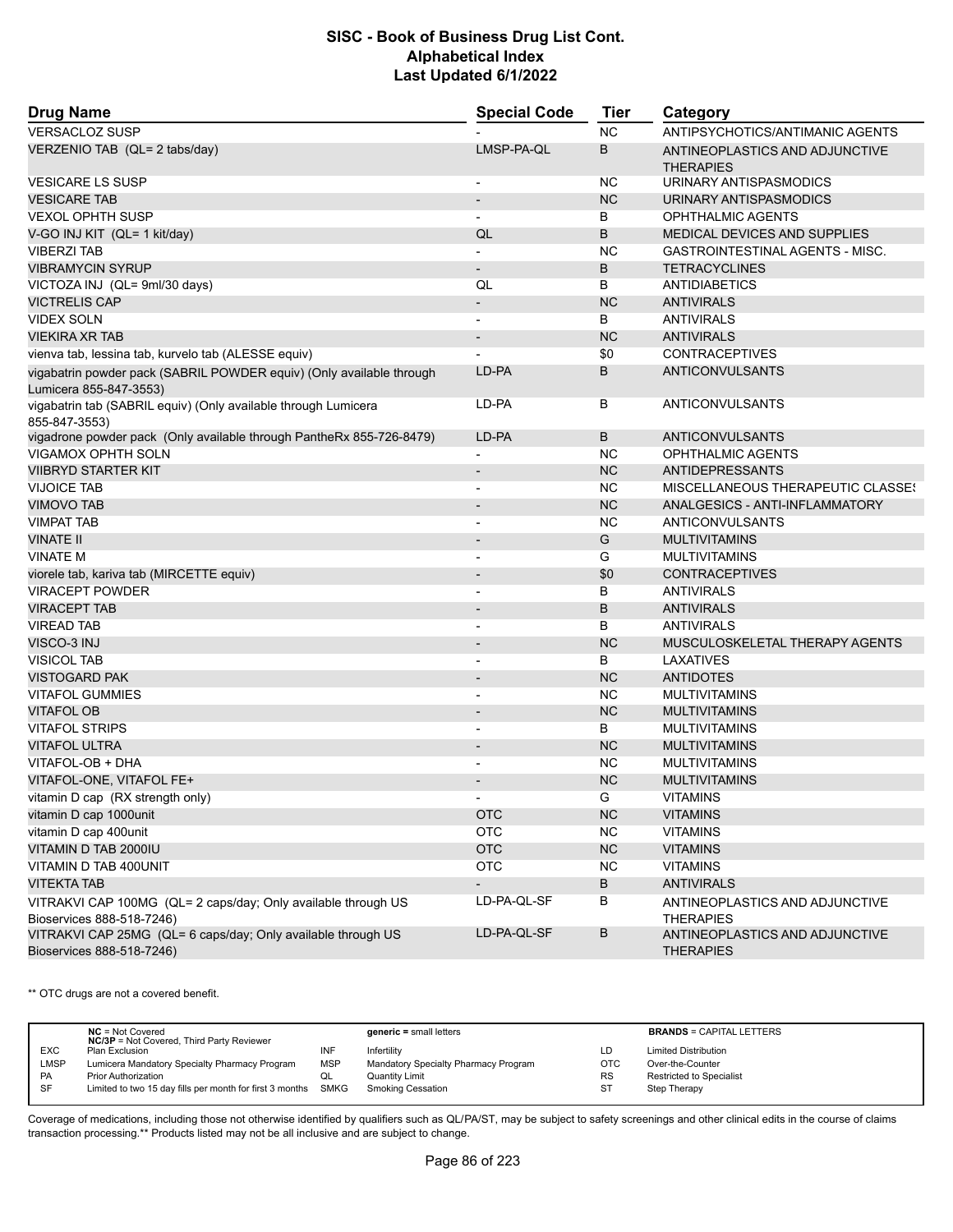| <b>Drug Name</b>                                                                               | <b>Special Code</b>      | <b>Tier</b> | Category                                           |
|------------------------------------------------------------------------------------------------|--------------------------|-------------|----------------------------------------------------|
| <b>VERSACLOZ SUSP</b>                                                                          |                          | <b>NC</b>   | ANTIPSYCHOTICS/ANTIMANIC AGENTS                    |
| VERZENIO TAB (QL= 2 tabs/day)                                                                  | LMSP-PA-QL               | B           | ANTINEOPLASTICS AND ADJUNCTIVE<br><b>THERAPIES</b> |
| <b>VESICARE LS SUSP</b>                                                                        | $\overline{a}$           | <b>NC</b>   | URINARY ANTISPASMODICS                             |
| <b>VESICARE TAB</b>                                                                            | $\overline{\phantom{a}}$ | <b>NC</b>   | URINARY ANTISPASMODICS                             |
| <b>VEXOL OPHTH SUSP</b>                                                                        | $\overline{\phantom{a}}$ | B           | <b>OPHTHALMIC AGENTS</b>                           |
| V-GO INJ KIT (QL= 1 kit/day)                                                                   | QL                       | B           | <b>MEDICAL DEVICES AND SUPPLIES</b>                |
| <b>VIBERZI TAB</b>                                                                             |                          | <b>NC</b>   | GASTROINTESTINAL AGENTS - MISC.                    |
| <b>VIBRAMYCIN SYRUP</b>                                                                        | $\overline{\phantom{0}}$ | B           | <b>TETRACYCLINES</b>                               |
| VICTOZA INJ (QL= 9ml/30 days)                                                                  | QL                       | В           | <b>ANTIDIABETICS</b>                               |
| <b>VICTRELIS CAP</b>                                                                           | $\overline{\phantom{a}}$ | <b>NC</b>   | <b>ANTIVIRALS</b>                                  |
| <b>VIDEX SOLN</b>                                                                              | $\overline{a}$           | B           | <b>ANTIVIRALS</b>                                  |
| <b>VIEKIRA XR TAB</b>                                                                          | $\overline{\phantom{a}}$ | <b>NC</b>   | <b>ANTIVIRALS</b>                                  |
| vienva tab, lessina tab, kurvelo tab (ALESSE equiv)                                            |                          | \$0         | <b>CONTRACEPTIVES</b>                              |
| vigabatrin powder pack (SABRIL POWDER equiv) (Only available through<br>Lumicera 855-847-3553) | LD-PA                    | B           | <b>ANTICONVULSANTS</b>                             |
| vigabatrin tab (SABRIL equiv) (Only available through Lumicera<br>855-847-3553)                | LD-PA                    | В           | <b>ANTICONVULSANTS</b>                             |
| vigadrone powder pack (Only available through PantheRx 855-726-8479)                           | LD-PA                    | B           | ANTICONVULSANTS                                    |
| <b>VIGAMOX OPHTH SOLN</b>                                                                      |                          | <b>NC</b>   | <b>OPHTHALMIC AGENTS</b>                           |
| <b>VIIBRYD STARTER KIT</b>                                                                     | $\overline{\phantom{a}}$ | <b>NC</b>   | <b>ANTIDEPRESSANTS</b>                             |
| <b>VIJOICE TAB</b>                                                                             |                          | <b>NC</b>   | <b>MISCELLANEOUS THERAPEUTIC CLASSES</b>           |
| <b>VIMOVO TAB</b>                                                                              |                          | <b>NC</b>   | ANALGESICS - ANTI-INFLAMMATORY                     |
| <b>VIMPAT TAB</b>                                                                              | $\overline{a}$           | <b>NC</b>   | ANTICONVULSANTS                                    |
| <b>VINATE II</b>                                                                               | $\blacksquare$           | G           | <b>MULTIVITAMINS</b>                               |
| <b>VINATE M</b>                                                                                | $\overline{a}$           | G           | <b>MULTIVITAMINS</b>                               |
| viorele tab, kariva tab (MIRCETTE equiv)                                                       | $\overline{\phantom{a}}$ | \$0         | <b>CONTRACEPTIVES</b>                              |
| <b>VIRACEPT POWDER</b>                                                                         | ٠                        | В           | <b>ANTIVIRALS</b>                                  |
| <b>VIRACEPT TAB</b>                                                                            | $\overline{a}$           | B           | <b>ANTIVIRALS</b>                                  |
| <b>VIREAD TAB</b>                                                                              | $\overline{a}$           | B           | <b>ANTIVIRALS</b>                                  |
| VISCO-3 INJ                                                                                    | $\overline{\phantom{a}}$ | <b>NC</b>   | MUSCULOSKELETAL THERAPY AGENTS                     |
| <b>VISICOL TAB</b>                                                                             | $\overline{a}$           | В           | LAXATIVES                                          |
| <b>VISTOGARD PAK</b>                                                                           | $\overline{\phantom{a}}$ | <b>NC</b>   | <b>ANTIDOTES</b>                                   |
| <b>VITAFOL GUMMIES</b>                                                                         |                          | <b>NC</b>   | <b>MULTIVITAMINS</b>                               |
| <b>VITAFOL OB</b>                                                                              | $\overline{\phantom{a}}$ | <b>NC</b>   | <b>MULTIVITAMINS</b>                               |
| <b>VITAFOL STRIPS</b>                                                                          |                          | B           | <b>MULTIVITAMINS</b>                               |
| <b>VITAFOL ULTRA</b>                                                                           |                          | <b>NC</b>   | <b>MULTIVITAMINS</b>                               |
| VITAFOL-OB + DHA                                                                               | $\overline{a}$           | <b>NC</b>   | <b>MULTIVITAMINS</b>                               |
| VITAFOL-ONE, VITAFOL FE+                                                                       |                          | <b>NC</b>   | <b>MULTIVITAMINS</b>                               |
| vitamin D cap (RX strength only)                                                               |                          | G.          | <b>VITAMINS</b>                                    |
| vitamin D cap 1000unit                                                                         | <b>OTC</b>               | <b>NC</b>   | <b>VITAMINS</b>                                    |
| vitamin D cap 400unit                                                                          | <b>OTC</b>               | NC.         | <b>VITAMINS</b>                                    |
| VITAMIN D TAB 2000IU                                                                           | <b>OTC</b>               | <b>NC</b>   | <b>VITAMINS</b>                                    |
| VITAMIN D TAB 400UNIT                                                                          | <b>OTC</b>               | <b>NC</b>   | <b>VITAMINS</b>                                    |
| <b>VITEKTA TAB</b>                                                                             |                          | В           | <b>ANTIVIRALS</b>                                  |
| VITRAKVI CAP 100MG (QL= 2 caps/day; Only available through US<br>Bioservices 888-518-7246)     | LD-PA-QL-SF              | В           | ANTINEOPLASTICS AND ADJUNCTIVE<br><b>THERAPIES</b> |
| VITRAKVI CAP 25MG (QL= 6 caps/day; Only available through US<br>Bioservices 888-518-7246)      | LD-PA-QL-SF              | В           | ANTINEOPLASTICS AND ADJUNCTIVE<br><b>THERAPIES</b> |

\*\* OTC drugs are not a covered benefit.

|            | $NC = Not Covered$<br><b>NC/3P</b> = Not Covered, Third Party Reviewer |            | $generic = small letters$            |            | <b>BRANDS = CAPITAL LETTERS</b> |
|------------|------------------------------------------------------------------------|------------|--------------------------------------|------------|---------------------------------|
| <b>EXC</b> | Plan Exclusion                                                         | INF        | Infertilitv                          | LD         | <b>Limited Distribution</b>     |
| LMSP       | Lumicera Mandatory Specialty Pharmacy Program                          | <b>MSP</b> | Mandatory Specialty Pharmacy Program | <b>OTC</b> | Over-the-Counter                |
| <b>PA</b>  | <b>Prior Authorization</b>                                             | w∟         | Quantity Limit                       | <b>RS</b>  | Restricted to Specialist        |
| SF         | Limited to two 15 day fills per month for first 3 months SMKG          |            | Smoking Cessation                    | ST         | Step Therapy                    |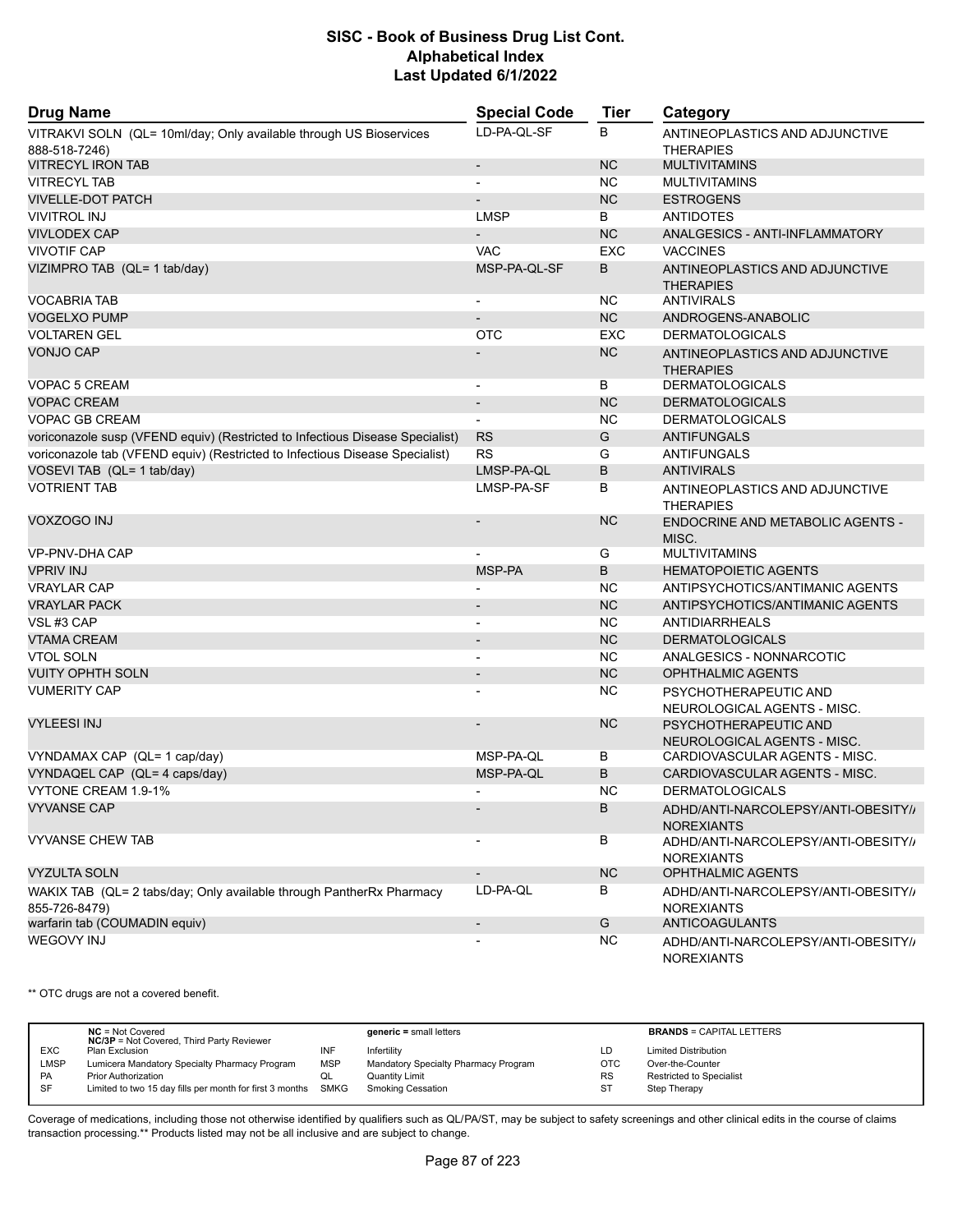| <b>Drug Name</b>                                                                      | <b>Special Code</b>      | Tier       | Category                                                 |
|---------------------------------------------------------------------------------------|--------------------------|------------|----------------------------------------------------------|
| VITRAKVI SOLN (QL= 10ml/day; Only available through US Bioservices<br>888-518-7246)   | LD-PA-QL-SF              | B          | ANTINEOPLASTICS AND ADJUNCTIVE<br><b>THERAPIES</b>       |
| <b>VITRECYL IRON TAB</b>                                                              | $\overline{\phantom{a}}$ | <b>NC</b>  | <b>MULTIVITAMINS</b>                                     |
| <b>VITRECYL TAB</b>                                                                   | $\blacksquare$           | <b>NC</b>  | <b>MULTIVITAMINS</b>                                     |
| <b>VIVELLE-DOT PATCH</b>                                                              |                          | <b>NC</b>  | <b>ESTROGENS</b>                                         |
| <b>VIVITROL INJ</b>                                                                   | <b>LMSP</b>              | В          | <b>ANTIDOTES</b>                                         |
| <b>VIVLODEX CAP</b>                                                                   |                          | <b>NC</b>  | ANALGESICS - ANTI-INFLAMMATORY                           |
| <b>VIVOTIF CAP</b>                                                                    | <b>VAC</b>               | <b>EXC</b> | <b>VACCINES</b>                                          |
| VIZIMPRO TAB (QL= 1 tab/day)                                                          | MSP-PA-QL-SF             | B          | ANTINEOPLASTICS AND ADJUNCTIVE<br><b>THERAPIES</b>       |
| <b>VOCABRIA TAB</b>                                                                   |                          | <b>NC</b>  | <b>ANTIVIRALS</b>                                        |
| <b>VOGELXO PUMP</b>                                                                   | $\overline{\phantom{a}}$ | <b>NC</b>  | ANDROGENS-ANABOLIC                                       |
| <b>VOLTAREN GEL</b>                                                                   | <b>OTC</b>               | <b>EXC</b> | <b>DERMATOLOGICALS</b>                                   |
| <b>VONJO CAP</b>                                                                      |                          | <b>NC</b>  | ANTINEOPLASTICS AND ADJUNCTIVE<br><b>THERAPIES</b>       |
| VOPAC 5 CREAM                                                                         | $\overline{a}$           | B          | <b>DERMATOLOGICALS</b>                                   |
| <b>VOPAC CREAM</b>                                                                    | $\overline{\phantom{a}}$ | <b>NC</b>  | <b>DERMATOLOGICALS</b>                                   |
| <b>VOPAC GB CREAM</b>                                                                 | $\blacksquare$           | <b>NC</b>  | <b>DERMATOLOGICALS</b>                                   |
| voriconazole susp (VFEND equiv) (Restricted to Infectious Disease Specialist)         | <b>RS</b>                | G          | <b>ANTIFUNGALS</b>                                       |
| voriconazole tab (VFEND equiv) (Restricted to Infectious Disease Specialist)          | <b>RS</b>                | G          | <b>ANTIFUNGALS</b>                                       |
| VOSEVI TAB (QL= 1 tab/day)                                                            | LMSP-PA-QL               | B          | <b>ANTIVIRALS</b>                                        |
| <b>VOTRIENT TAB</b>                                                                   | LMSP-PA-SF               | В          | ANTINEOPLASTICS AND ADJUNCTIVE<br><b>THERAPIES</b>       |
| VOXZOGO INJ                                                                           |                          | <b>NC</b>  | <b>ENDOCRINE AND METABOLIC AGENTS -</b><br>MISC.         |
| VP-PNV-DHA CAP                                                                        |                          | G          | <b>MULTIVITAMINS</b>                                     |
| <b>VPRIV INJ</b>                                                                      | MSP-PA                   | B          | <b>HEMATOPOIETIC AGENTS</b>                              |
| <b>VRAYLAR CAP</b>                                                                    |                          | <b>NC</b>  | ANTIPSYCHOTICS/ANTIMANIC AGENTS                          |
| <b>VRAYLAR PACK</b>                                                                   | $\overline{\phantom{a}}$ | <b>NC</b>  | ANTIPSYCHOTICS/ANTIMANIC AGENTS                          |
| VSL#3 CAP                                                                             | $\overline{a}$           | <b>NC</b>  | ANTIDIARRHEALS                                           |
| <b>VTAMA CREAM</b>                                                                    | $\overline{\phantom{a}}$ | <b>NC</b>  | <b>DERMATOLOGICALS</b>                                   |
| <b>VTOL SOLN</b>                                                                      |                          | <b>NC</b>  | ANALGESICS - NONNARCOTIC                                 |
| <b>VUITY OPHTH SOLN</b>                                                               | $\overline{\phantom{a}}$ | <b>NC</b>  | OPHTHALMIC AGENTS                                        |
| <b>VUMERITY CAP</b>                                                                   |                          | <b>NC</b>  | PSYCHOTHERAPEUTIC AND<br>NEUROLOGICAL AGENTS - MISC.     |
| <b>VYLEESI INJ</b>                                                                    |                          | <b>NC</b>  | PSYCHOTHERAPEUTIC AND<br>NEUROLOGICAL AGENTS - MISC.     |
| VYNDAMAX CAP (QL= 1 cap/day)                                                          | MSP-PA-QL                | В          | CARDIOVASCULAR AGENTS - MISC.                            |
| VYNDAQEL CAP (QL= 4 caps/day)                                                         | MSP-PA-QL                | B          | CARDIOVASCULAR AGENTS - MISC.                            |
| VYTONE CREAM 1.9-1%                                                                   | $\blacksquare$           | <b>NC</b>  | <b>DERMATOLOGICALS</b>                                   |
| <b>VYVANSE CAP</b>                                                                    |                          | B          | ADHD/ANTI-NARCOLEPSY/ANTI-OBESITY//<br><b>NOREXIANTS</b> |
| <b>VYVANSE CHEW TAB</b>                                                               |                          | В          | ADHD/ANTI-NARCOLEPSY/ANTI-OBESITY/<br><b>NOREXIANTS</b>  |
| <b>VYZULTA SOLN</b>                                                                   | $\overline{\phantom{a}}$ | <b>NC</b>  | <b>OPHTHALMIC AGENTS</b>                                 |
| WAKIX TAB (QL= 2 tabs/day; Only available through PantherRx Pharmacy<br>855-726-8479) | LD-PA-QL                 | B          | ADHD/ANTI-NARCOLEPSY/ANTI-OBESITY//<br><b>NOREXIANTS</b> |
| warfarin tab (COUMADIN equiv)                                                         | $\overline{\phantom{a}}$ | G          | <b>ANTICOAGULANTS</b>                                    |
| <b>WEGOVY INJ</b>                                                                     |                          | <b>NC</b>  | ADHD/ANTI-NARCOLEPSY/ANTI-OBESITY//<br><b>NOREXIANTS</b> |

\*\* OTC drugs are not a covered benefit.

|            | $NC = Not Covered$<br><b>NC/3P</b> = Not Covered, Third Party Reviewer |            | $generic = small letters$            |            | <b>BRANDS = CAPITAL LETTERS</b> |
|------------|------------------------------------------------------------------------|------------|--------------------------------------|------------|---------------------------------|
| <b>EXC</b> | Plan Exclusion                                                         |            | Infertility                          | LD         | <b>Limited Distribution</b>     |
| LMSP       | Lumicera Mandatory Specialty Pharmacy Program                          | <b>MSP</b> | Mandatory Specialty Pharmacy Program | <b>OTC</b> | Over-the-Counter                |
| <b>PA</b>  | Prior Authorization                                                    | QL         | Quantity Limit                       | <b>RS</b>  | <b>Restricted to Specialist</b> |
| SF         | Limited to two 15 day fills per month for first 3 months SMKG          |            | <b>Smoking Cessation</b>             | <b>ST</b>  | Step Therapy                    |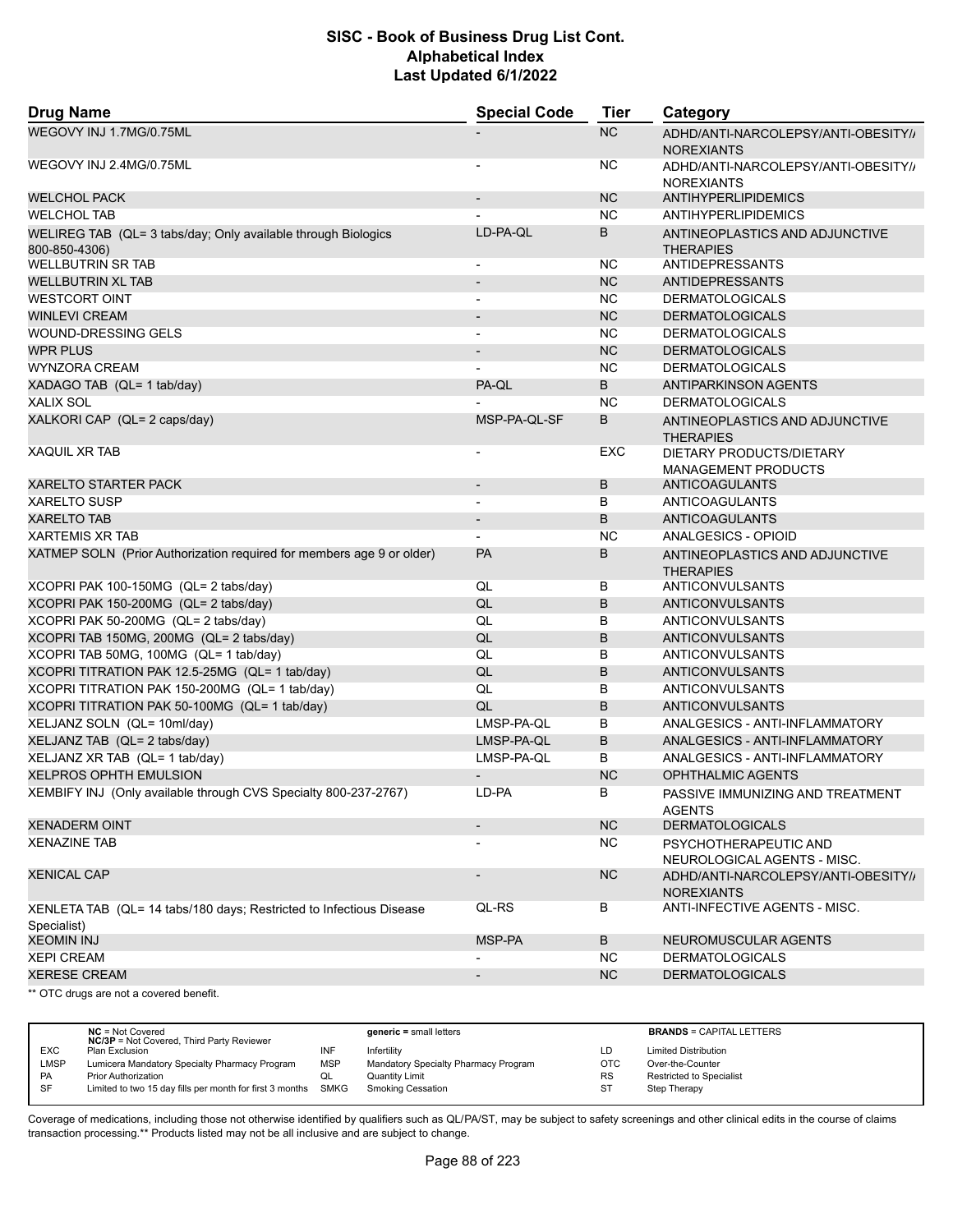| <b>Drug Name</b>                                                                   | <b>Special Code</b>      | <b>Tier</b> | Category                                                 |
|------------------------------------------------------------------------------------|--------------------------|-------------|----------------------------------------------------------|
| WEGOVY INJ 1.7MG/0.75ML                                                            |                          | NC          | ADHD/ANTI-NARCOLEPSY/ANTI-OBESITY//<br><b>NOREXIANTS</b> |
| WEGOVY INJ 2.4MG/0.75ML                                                            |                          | <b>NC</b>   | ADHD/ANTI-NARCOLEPSY/ANTI-OBESITY//<br><b>NOREXIANTS</b> |
| <b>WELCHOL PACK</b>                                                                |                          | <b>NC</b>   | ANTIHYPERLIPIDEMICS                                      |
| <b>WELCHOL TAB</b>                                                                 |                          | <b>NC</b>   | ANTIHYPERLIPIDEMICS                                      |
| WELIREG TAB (QL= 3 tabs/day; Only available through Biologics<br>800-850-4306)     | LD-PA-QL                 | B           | ANTINEOPLASTICS AND ADJUNCTIVE<br><b>THERAPIES</b>       |
| <b>WELLBUTRIN SR TAB</b>                                                           |                          | <b>NC</b>   | <b>ANTIDEPRESSANTS</b>                                   |
| <b>WELLBUTRIN XL TAB</b>                                                           |                          | <b>NC</b>   | <b>ANTIDEPRESSANTS</b>                                   |
| <b>WESTCORT OINT</b>                                                               |                          | <b>NC</b>   | <b>DERMATOLOGICALS</b>                                   |
| <b>WINLEVI CREAM</b>                                                               | $\overline{\phantom{a}}$ | <b>NC</b>   | <b>DERMATOLOGICALS</b>                                   |
| WOUND-DRESSING GELS                                                                |                          | NC          | <b>DERMATOLOGICALS</b>                                   |
| <b>WPR PLUS</b>                                                                    |                          | <b>NC</b>   | <b>DERMATOLOGICALS</b>                                   |
| <b>WYNZORA CREAM</b>                                                               |                          | <b>NC</b>   | <b>DERMATOLOGICALS</b>                                   |
| XADAGO TAB (QL= 1 tab/day)                                                         | PA-QL                    | B           | <b>ANTIPARKINSON AGENTS</b>                              |
| <b>XALIX SOL</b>                                                                   |                          | <b>NC</b>   | <b>DERMATOLOGICALS</b>                                   |
| XALKORI CAP (QL= 2 caps/day)                                                       | MSP-PA-QL-SF             | B           | ANTINEOPLASTICS AND ADJUNCTIVE<br><b>THERAPIES</b>       |
| <b>XAQUIL XR TAB</b>                                                               |                          | EXC         | DIETARY PRODUCTS/DIETARY<br><b>MANAGEMENT PRODUCTS</b>   |
| <b>XARELTO STARTER PACK</b>                                                        | $\overline{\phantom{a}}$ | B           | <b>ANTICOAGULANTS</b>                                    |
| <b>XARELTO SUSP</b>                                                                |                          | В           | ANTICOAGULANTS                                           |
| <b>XARELTO TAB</b>                                                                 |                          | B           | <b>ANTICOAGULANTS</b>                                    |
| <b>XARTEMIS XR TAB</b>                                                             |                          | <b>NC</b>   | ANALGESICS - OPIOID                                      |
| XATMEP SOLN (Prior Authorization required for members age 9 or older)              | <b>PA</b>                | В           | ANTINEOPLASTICS AND ADJUNCTIVE<br><b>THERAPIES</b>       |
| XCOPRI PAK 100-150MG (QL= 2 tabs/day)                                              | QL                       | B           | ANTICONVULSANTS                                          |
| XCOPRI PAK 150-200MG (QL= 2 tabs/day)                                              | QL                       | B           | ANTICONVULSANTS                                          |
| XCOPRI PAK 50-200MG (QL= 2 tabs/day)                                               | QL                       | В           | ANTICONVULSANTS                                          |
| XCOPRI TAB 150MG, 200MG (QL= 2 tabs/day)                                           | QL                       | B           | <b>ANTICONVULSANTS</b>                                   |
| XCOPRI TAB 50MG, 100MG (QL= 1 tab/day)                                             | QL                       | B           | ANTICONVULSANTS                                          |
| XCOPRI TITRATION PAK 12.5-25MG (QL= 1 tab/day)                                     | QL                       | B           | <b>ANTICONVULSANTS</b>                                   |
| XCOPRI TITRATION PAK 150-200MG (QL= 1 tab/day)                                     | QL                       | B           | ANTICONVULSANTS                                          |
| XCOPRI TITRATION PAK 50-100MG (QL= 1 tab/day)                                      | QL                       | B           | <b>ANTICONVULSANTS</b>                                   |
| XELJANZ SOLN (QL= 10ml/day)                                                        | LMSP-PA-QL               | В           | ANALGESICS - ANTI-INFLAMMATORY                           |
| XELJANZ TAB (QL= 2 tabs/day)                                                       | LMSP-PA-QL               | B           | ANALGESICS - ANTI-INFLAMMATORY                           |
| XELJANZ XR TAB (QL= 1 tab/day)                                                     | LMSP-PA-QL               | B           | ANALGESICS - ANTI-INFLAMMATORY                           |
| XELPROS OPHTH EMULSION                                                             | $\overline{\phantom{a}}$ | <b>NC</b>   | <b>OPHTHALMIC AGENTS</b>                                 |
| XEMBIFY INJ (Only available through CVS Specialty 800-237-2767)                    | LD-PA                    | В           | PASSIVE IMMUNIZING AND TREATMENT<br><b>AGENTS</b>        |
| <b>XENADERM OINT</b>                                                               | $\overline{\phantom{a}}$ | NC          | <b>DERMATOLOGICALS</b>                                   |
| <b>XENAZINE TAB</b>                                                                |                          | NC.         | PSYCHOTHERAPEUTIC AND                                    |
| <b>XENICAL CAP</b>                                                                 | $\blacksquare$           | <b>NC</b>   | NEUROLOGICAL AGENTS - MISC.                              |
|                                                                                    | QL-RS                    |             | ADHD/ANTI-NARCOLEPSY/ANTI-OBESITY//<br><b>NOREXIANTS</b> |
| XENLETA TAB (QL= 14 tabs/180 days; Restricted to Infectious Disease<br>Specialist) |                          | B           | ANTI-INFECTIVE AGENTS - MISC.                            |
| <b>XEOMIN INJ</b>                                                                  | MSP-PA                   | B           | NEUROMUSCULAR AGENTS                                     |
| <b>XEPI CREAM</b>                                                                  |                          | NC.         | <b>DERMATOLOGICALS</b>                                   |
| <b>XERESE CREAM</b>                                                                | $\overline{\phantom{a}}$ | <b>NC</b>   | <b>DERMATOLOGICALS</b>                                   |
| ** OTC drugs are not a covered benefit                                             |                          |             |                                                          |

OTC drugs are not a covered benefit.

|            | $NC = Not Covered$<br><b>NC/3P</b> = Not Covered, Third Party Reviewer |            | $generic = small letters$            |            | <b>BRANDS = CAPITAL LETTERS</b> |
|------------|------------------------------------------------------------------------|------------|--------------------------------------|------------|---------------------------------|
| <b>EXC</b> | Plan Exclusion                                                         | INF        | Infertility                          | LD         | <b>Limited Distribution</b>     |
| LMSP       | Lumicera Mandatory Specialty Pharmacy Program                          | <b>MSP</b> | Mandatory Specialty Pharmacy Program | <b>OTC</b> | Over-the-Counter                |
| PA         | <b>Prior Authorization</b>                                             | QL         | Quantity Limit                       | <b>RS</b>  | Restricted to Specialist        |
| SF         | Limited to two 15 day fills per month for first 3 months SMKG          |            | Smoking Cessation                    | ST         | Step Therapy                    |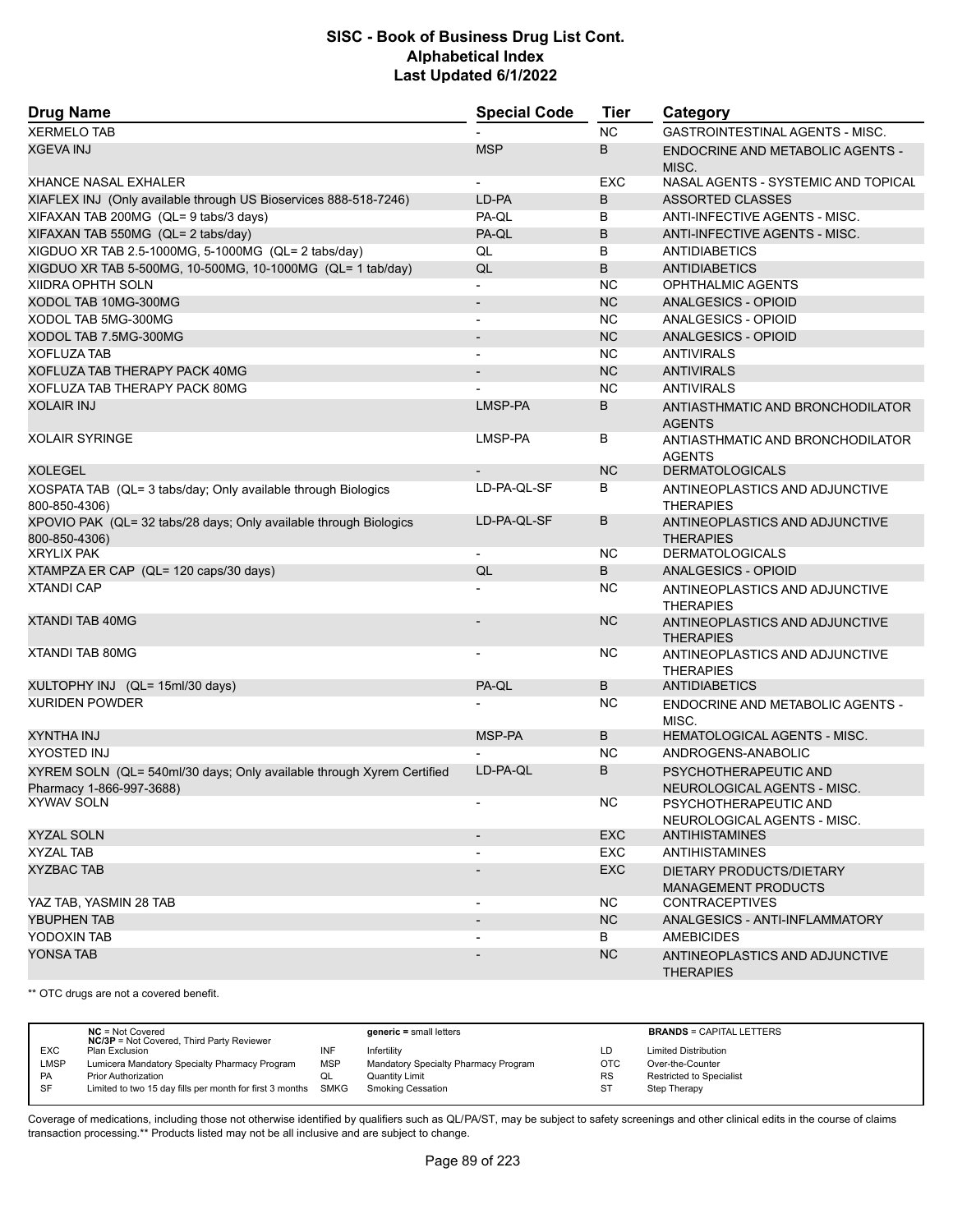| <b>Drug Name</b>                                                                                  | <b>Special Code</b>      | Tier       | Category                                               |
|---------------------------------------------------------------------------------------------------|--------------------------|------------|--------------------------------------------------------|
| <b>XERMELO TAB</b>                                                                                |                          | <b>NC</b>  | GASTROINTESTINAL AGENTS - MISC.                        |
| <b>XGEVA INJ</b>                                                                                  | <b>MSP</b>               | B          | ENDOCRINE AND METABOLIC AGENTS -<br>MISC.              |
| <b>XHANCE NASAL EXHALER</b>                                                                       |                          | <b>EXC</b> | NASAL AGENTS - SYSTEMIC AND TOPICAL                    |
| XIAFLEX INJ (Only available through US Bioservices 888-518-7246)                                  | LD-PA                    | B          | <b>ASSORTED CLASSES</b>                                |
| XIFAXAN TAB 200MG (QL= 9 tabs/3 days)                                                             | PA-QL                    | в          | ANTI-INFECTIVE AGENTS - MISC.                          |
| XIFAXAN TAB 550MG (QL= 2 tabs/day)                                                                | PA-QL                    | B          | ANTI-INFECTIVE AGENTS - MISC.                          |
| XIGDUO XR TAB 2.5-1000MG, 5-1000MG (QL= 2 tabs/day)                                               | QL                       | B          | <b>ANTIDIABETICS</b>                                   |
| XIGDUO XR TAB 5-500MG, 10-500MG, 10-1000MG (QL= 1 tab/day)                                        | QL                       | B          | <b>ANTIDIABETICS</b>                                   |
| <b>XIIDRA OPHTH SOLN</b>                                                                          | $\blacksquare$           | <b>NC</b>  | <b>OPHTHALMIC AGENTS</b>                               |
| XODOL TAB 10MG-300MG                                                                              | $\overline{\phantom{a}}$ | <b>NC</b>  | <b>ANALGESICS - OPIOID</b>                             |
| XODOL TAB 5MG-300MG                                                                               | $\overline{\phantom{a}}$ | <b>NC</b>  | ANALGESICS - OPIOID                                    |
| XODOL TAB 7.5MG-300MG                                                                             |                          | <b>NC</b>  | ANALGESICS - OPIOID                                    |
| <b>XOFLUZA TAB</b>                                                                                | $\overline{\phantom{a}}$ | <b>NC</b>  | <b>ANTIVIRALS</b>                                      |
| XOFLUZA TAB THERAPY PACK 40MG                                                                     |                          | <b>NC</b>  | <b>ANTIVIRALS</b>                                      |
| XOFLUZA TAB THERAPY PACK 80MG                                                                     |                          | <b>NC</b>  | <b>ANTIVIRALS</b>                                      |
| <b>XOLAIR INJ</b>                                                                                 | LMSP-PA                  | B          | ANTIASTHMATIC AND BRONCHODILATOR<br><b>AGENTS</b>      |
| <b>XOLAIR SYRINGE</b>                                                                             | LMSP-PA                  | В          | ANTIASTHMATIC AND BRONCHODILATOR<br><b>AGENTS</b>      |
| <b>XOLEGEL</b>                                                                                    |                          | <b>NC</b>  | <b>DERMATOLOGICALS</b>                                 |
| XOSPATA TAB (QL= 3 tabs/day; Only available through Biologics<br>800-850-4306)                    | LD-PA-QL-SF              | B          | ANTINEOPLASTICS AND ADJUNCTIVE<br><b>THERAPIES</b>     |
| XPOVIO PAK (QL= 32 tabs/28 days; Only available through Biologics<br>800-850-4306)                | LD-PA-QL-SF              | B          | ANTINEOPLASTICS AND ADJUNCTIVE<br><b>THERAPIES</b>     |
| <b>XRYLIX PAK</b>                                                                                 | $\overline{\phantom{a}}$ | <b>NC</b>  | <b>DERMATOLOGICALS</b>                                 |
| XTAMPZA ER CAP (QL= 120 caps/30 days)                                                             | QL                       | B          | <b>ANALGESICS - OPIOID</b>                             |
| <b>XTANDI CAP</b>                                                                                 |                          | <b>NC</b>  | ANTINEOPLASTICS AND ADJUNCTIVE<br><b>THERAPIES</b>     |
| <b>XTANDI TAB 40MG</b>                                                                            |                          | <b>NC</b>  | ANTINEOPLASTICS AND ADJUNCTIVE<br><b>THERAPIES</b>     |
| <b>XTANDI TAB 80MG</b>                                                                            |                          | NC.        | ANTINEOPLASTICS AND ADJUNCTIVE<br><b>THERAPIES</b>     |
| XULTOPHY INJ (QL= 15ml/30 days)                                                                   | PA-QL                    | B          | ANTIDIABETICS                                          |
| <b>XURIDEN POWDER</b>                                                                             |                          | <b>NC</b>  | ENDOCRINE AND METABOLIC AGENTS -<br>MISC.              |
| <b>XYNTHA INJ</b>                                                                                 | MSP-PA                   | B          | <b>HEMATOLOGICAL AGENTS - MISC.</b>                    |
| <b>XYOSTED INJ</b>                                                                                |                          | <b>NC</b>  | ANDROGENS-ANABOLIC                                     |
| XYREM SOLN (QL= 540ml/30 days; Only available through Xyrem Certified<br>Pharmacy 1-866-997-3688) | LD-PA-QL                 | B          | PSYCHOTHERAPEUTIC AND<br>NEUROLOGICAL AGENTS - MISC.   |
| XYWAV SOLN                                                                                        | $\overline{\phantom{a}}$ | NC.        | PSYCHOTHERAPEUTIC AND<br>NEUROLOGICAL AGENTS - MISC.   |
| XYZAL SOLN                                                                                        | $\overline{\phantom{a}}$ | <b>EXC</b> | <b>ANTIHISTAMINES</b>                                  |
| XYZAL TAB                                                                                         |                          | EXC.       | ANTIHISTAMINES                                         |
| <b>XYZBAC TAB</b>                                                                                 |                          | <b>EXC</b> | DIETARY PRODUCTS/DIETARY<br><b>MANAGEMENT PRODUCTS</b> |
| YAZ TAB, YASMIN 28 TAB                                                                            | $\overline{\phantom{a}}$ | NC.        | <b>CONTRACEPTIVES</b>                                  |
| YBUPHEN TAB                                                                                       | $\overline{\phantom{a}}$ | <b>NC</b>  | ANALGESICS - ANTI-INFLAMMATORY                         |
| YODOXIN TAB                                                                                       |                          | B          | <b>AMEBICIDES</b>                                      |
| YONSA TAB                                                                                         |                          | <b>NC</b>  | ANTINEOPLASTICS AND ADJUNCTIVE<br><b>THERAPIES</b>     |

\*\* OTC drugs are not a covered benefit.

|            | $NC = Not Covered$<br><b>NC/3P</b> = Not Covered, Third Party Reviewer |            | $generic = small letters$            |            | <b>BRANDS = CAPITAL LETTERS</b> |
|------------|------------------------------------------------------------------------|------------|--------------------------------------|------------|---------------------------------|
| <b>EXC</b> | Plan Exclusion                                                         | INF        | Infertility                          | LD         | <b>Limited Distribution</b>     |
| LMSP       | Lumicera Mandatory Specialty Pharmacy Program                          | <b>MSP</b> | Mandatory Specialty Pharmacy Program | <b>OTC</b> | Over-the-Counter                |
| <b>PA</b>  | <b>Prior Authorization</b>                                             |            | <b>Quantity Limit</b>                | RS         | Restricted to Specialist        |
| SF         | Limited to two 15 day fills per month for first 3 months SMKG          |            | Smoking Cessation                    | -ST        | Step Therapy                    |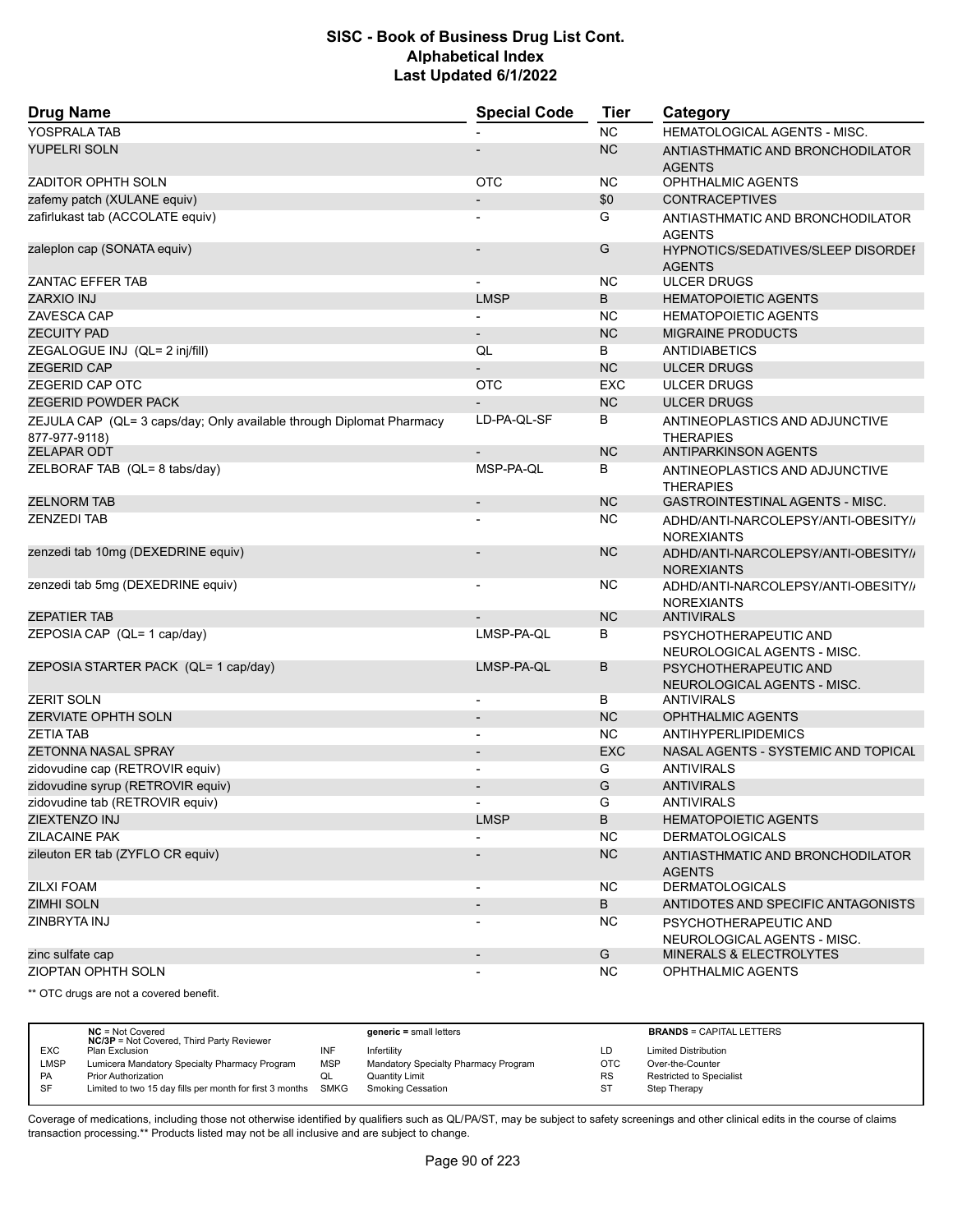| <b>Drug Name</b>                                                                      | <b>Special Code</b>      | <b>Tier</b> | Category                                                   |
|---------------------------------------------------------------------------------------|--------------------------|-------------|------------------------------------------------------------|
| YOSPRALA TAB                                                                          |                          | <b>NC</b>   | <b>HEMATOLOGICAL AGENTS - MISC.</b>                        |
| YUPELRI SOLN                                                                          |                          | <b>NC</b>   | ANTIASTHMATIC AND BRONCHODILATOR<br><b>AGENTS</b>          |
| ZADITOR OPHTH SOLN                                                                    | <b>OTC</b>               | <b>NC</b>   | OPHTHALMIC AGENTS                                          |
| zafemy patch (XULANE equiv)                                                           |                          | \$0         | <b>CONTRACEPTIVES</b>                                      |
| zafirlukast tab (ACCOLATE equiv)                                                      |                          | G           | ANTIASTHMATIC AND BRONCHODILATOR<br><b>AGENTS</b>          |
| zaleplon cap (SONATA equiv)                                                           |                          | G           | <b>HYPNOTICS/SEDATIVES/SLEEP DISORDEF</b><br><b>AGENTS</b> |
| <b>ZANTAC EFFER TAB</b>                                                               |                          | NC.         | <b>ULCER DRUGS</b>                                         |
| <b>ZARXIO INJ</b>                                                                     | <b>LMSP</b>              | B           | <b>HEMATOPOIETIC AGENTS</b>                                |
| ZAVESCA CAP                                                                           |                          | <b>NC</b>   | <b>HEMATOPOIETIC AGENTS</b>                                |
| <b>ZECUITY PAD</b>                                                                    | $\overline{\phantom{a}}$ | <b>NC</b>   | <b>MIGRAINE PRODUCTS</b>                                   |
| ZEGALOGUE INJ (QL= 2 inj/fill)                                                        | QL                       | B           | <b>ANTIDIABETICS</b>                                       |
| <b>ZEGERID CAP</b>                                                                    |                          | <b>NC</b>   | <b>ULCER DRUGS</b>                                         |
| ZEGERID CAP OTC                                                                       | <b>OTC</b>               | <b>EXC</b>  | <b>ULCER DRUGS</b>                                         |
| <b>ZEGERID POWDER PACK</b>                                                            |                          | <b>NC</b>   | <b>ULCER DRUGS</b>                                         |
| ZEJULA CAP (QL= 3 caps/day; Only available through Diplomat Pharmacy<br>877-977-9118) | LD-PA-QL-SF              | В           | ANTINEOPLASTICS AND ADJUNCTIVE<br><b>THERAPIES</b>         |
| <b>ZELAPAR ODT</b>                                                                    |                          | <b>NC</b>   | <b>ANTIPARKINSON AGENTS</b>                                |
| ZELBORAF TAB (QL= 8 tabs/day)                                                         | MSP-PA-QL                | В           | ANTINEOPLASTICS AND ADJUNCTIVE<br><b>THERAPIES</b>         |
| <b>ZELNORM TAB</b>                                                                    | $\overline{\phantom{a}}$ | <b>NC</b>   | <b>GASTROINTESTINAL AGENTS - MISC.</b>                     |
| <b>ZENZEDI TAB</b>                                                                    |                          | <b>NC</b>   | ADHD/ANTI-NARCOLEPSY/ANTI-OBESITY//<br><b>NOREXIANTS</b>   |
| zenzedi tab 10mg (DEXEDRINE equiv)                                                    |                          | <b>NC</b>   | ADHD/ANTI-NARCOLEPSY/ANTI-OBESITY//<br><b>NOREXIANTS</b>   |
| zenzedi tab 5mg (DEXEDRINE equiv)                                                     |                          | NC.         | ADHD/ANTI-NARCOLEPSY/ANTI-OBESITY//<br><b>NOREXIANTS</b>   |
| <b>ZEPATIER TAB</b>                                                                   |                          | <b>NC</b>   | <b>ANTIVIRALS</b>                                          |
| ZEPOSIA CAP (QL= 1 cap/day)                                                           | LMSP-PA-QL               | В           | PSYCHOTHERAPEUTIC AND<br>NEUROLOGICAL AGENTS - MISC.       |
| ZEPOSIA STARTER PACK (QL= 1 cap/day)                                                  | LMSP-PA-QL               | B           | PSYCHOTHERAPEUTIC AND<br>NEUROLOGICAL AGENTS - MISC.       |
| <b>ZERIT SOLN</b>                                                                     | $\overline{\phantom{a}}$ | В           | <b>ANTIVIRALS</b>                                          |
| <b>ZERVIATE OPHTH SOLN</b>                                                            |                          | <b>NC</b>   | <b>OPHTHALMIC AGENTS</b>                                   |
| <b>ZETIA TAB</b>                                                                      | $\overline{\phantom{a}}$ | NC.         | ANTIHYPERLIPIDEMICS                                        |
| <b>ZETONNA NASAL SPRAY</b>                                                            | $\overline{\phantom{a}}$ | <b>EXC</b>  | NASAL AGENTS - SYSTEMIC AND TOPICAL                        |
| zidovudine cap (RETROVIR equiv)                                                       |                          | G           | <b>ANTIVIRALS</b>                                          |
| zidovudine syrup (RETROVIR equiv)                                                     |                          | G           | <b>ANTIVIRALS</b>                                          |
| zidovudine tab (RETROVIR equiv)                                                       | $\overline{\phantom{a}}$ | G           | ANTIVIRALS                                                 |
| ZIEXTENZO INJ                                                                         | <b>LMSP</b>              | B           | <b>HEMATOPOIETIC AGENTS</b>                                |
| <b>ZILACAINE PAK</b>                                                                  |                          | <b>NC</b>   | <b>DERMATOLOGICALS</b>                                     |
| zileuton ER tab (ZYFLO CR equiv)                                                      |                          | <b>NC</b>   | ANTIASTHMATIC AND BRONCHODILATOR<br><b>AGENTS</b>          |
| <b>ZILXI FOAM</b>                                                                     | $\overline{\phantom{a}}$ | <b>NC</b>   | <b>DERMATOLOGICALS</b>                                     |
| <b>ZIMHI SOLN</b>                                                                     |                          | B           | ANTIDOTES AND SPECIFIC ANTAGONISTS                         |
| ZINBRYTA INJ                                                                          |                          | <b>NC</b>   | PSYCHOTHERAPEUTIC AND<br>NEUROLOGICAL AGENTS - MISC.       |
| zinc sulfate cap                                                                      | $\overline{\phantom{a}}$ | G           | MINERALS & ELECTROLYTES                                    |
| ZIOPTAN OPHTH SOLN                                                                    | $\overline{\phantom{a}}$ | NC.         | <b>OPHTHALMIC AGENTS</b>                                   |

\*\* OTC drugs are not a covered benefit.

|             | $NC = Not Covered$<br><b>NC/3P</b> = Not Covered, Third Party Reviewer |            | $generic = small letters$            |            | <b>BRANDS = CAPITAL LETTERS</b> |
|-------------|------------------------------------------------------------------------|------------|--------------------------------------|------------|---------------------------------|
| <b>EXC</b>  | Plan Exclusion                                                         | INF        | Infertility                          | LD         | <b>Limited Distribution</b>     |
| <b>LMSP</b> | Lumicera Mandatory Specialty Pharmacy Program                          | <b>MSP</b> | Mandatory Specialty Pharmacy Program | <b>OTC</b> | Over-the-Counter                |
| PA          | <b>Prior Authorization</b>                                             | QL         | Quantity Limit                       | <b>RS</b>  | Restricted to Specialist        |
| SF          | Limited to two 15 day fills per month for first 3 months SMKG          |            | <b>Smoking Cessation</b>             | <b>ST</b>  | Step Therapy                    |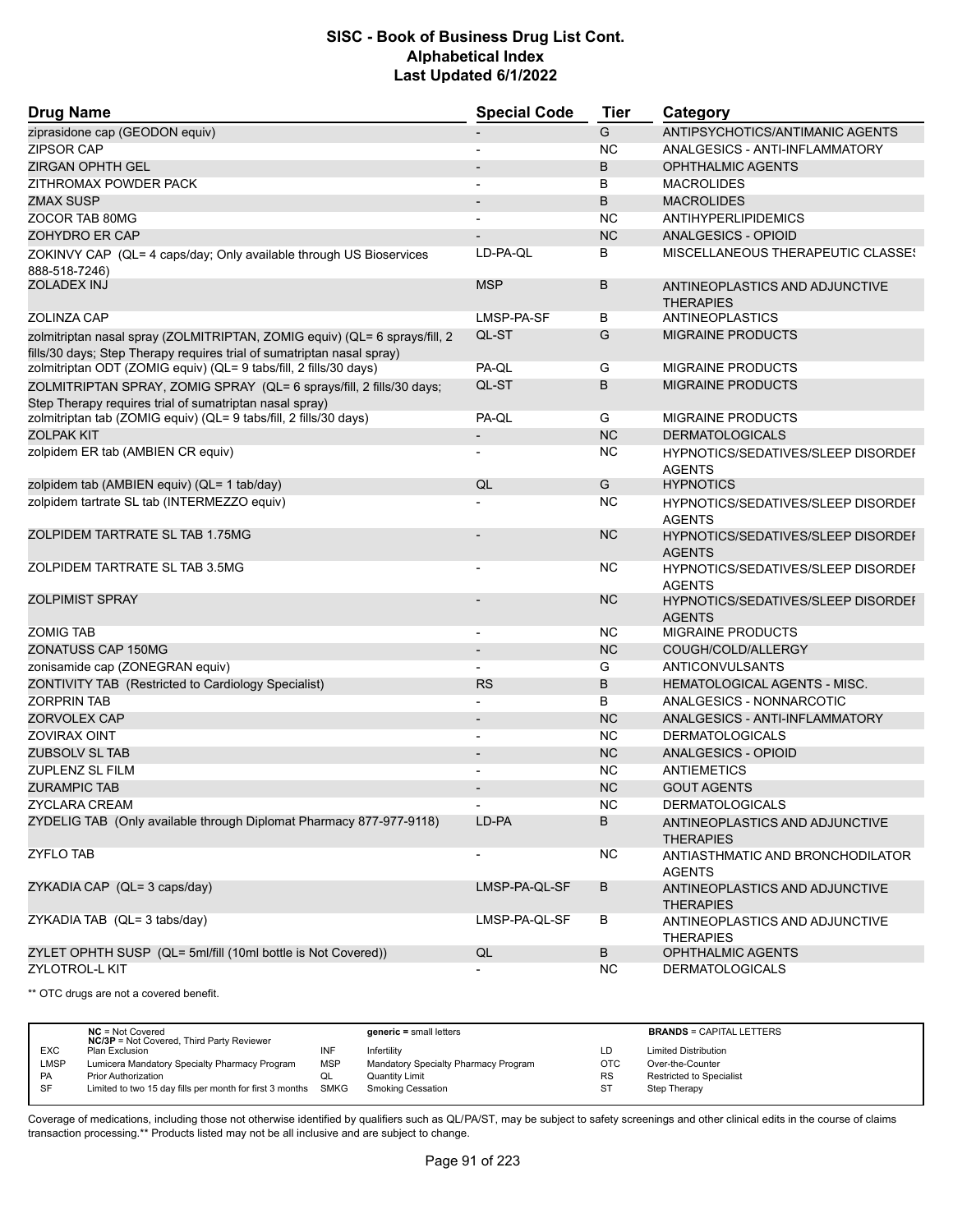| <b>Drug Name</b>                                                                                                                            | <b>Special Code</b>               | <b>Tier</b> | Category                                                   |
|---------------------------------------------------------------------------------------------------------------------------------------------|-----------------------------------|-------------|------------------------------------------------------------|
| ziprasidone cap (GEODON equiv)                                                                                                              |                                   | G           | ANTIPSYCHOTICS/ANTIMANIC AGENTS                            |
| <b>ZIPSOR CAP</b>                                                                                                                           |                                   | <b>NC</b>   | ANALGESICS - ANTI-INFLAMMATORY                             |
| <b>ZIRGAN OPHTH GEL</b>                                                                                                                     |                                   | B           | <b>OPHTHALMIC AGENTS</b>                                   |
| ZITHROMAX POWDER PACK                                                                                                                       |                                   | B           | <b>MACROLIDES</b>                                          |
| <b>ZMAX SUSP</b>                                                                                                                            |                                   | B           | <b>MACROLIDES</b>                                          |
| ZOCOR TAB 80MG                                                                                                                              |                                   | <b>NC</b>   | <b>ANTIHYPERLIPIDEMICS</b>                                 |
| ZOHYDRO ER CAP                                                                                                                              |                                   | <b>NC</b>   | ANALGESICS - OPIOID                                        |
| ZOKINVY CAP (QL= 4 caps/day; Only available through US Bioservices<br>888-518-7246)                                                         | LD-PA-QL                          | В           | MISCELLANEOUS THERAPEUTIC CLASSES                          |
| <b>ZOLADEX INJ</b>                                                                                                                          | <b>MSP</b>                        | B           | ANTINEOPLASTICS AND ADJUNCTIVE<br><b>THERAPIES</b>         |
| ZOLINZA CAP                                                                                                                                 | LMSP-PA-SF                        | В           | ANTINEOPLASTICS                                            |
| zolmitriptan nasal spray (ZOLMITRIPTAN, ZOMIG equiv) (QL= 6 sprays/fill, 2                                                                  | QL-ST                             | G           | <b>MIGRAINE PRODUCTS</b>                                   |
| fills/30 days; Step Therapy requires trial of sumatriptan nasal spray)<br>zolmitriptan ODT (ZOMIG equiv) (QL= 9 tabs/fill, 2 fills/30 days) | PA-QL                             | G           | <b>MIGRAINE PRODUCTS</b>                                   |
|                                                                                                                                             |                                   |             |                                                            |
| ZOLMITRIPTAN SPRAY, ZOMIG SPRAY (QL= 6 sprays/fill, 2 fills/30 days;<br>Step Therapy requires trial of sumatriptan nasal spray)             | QL-ST                             | B           | <b>MIGRAINE PRODUCTS</b>                                   |
| zolmitriptan tab (ZOMIG equiv) (QL= 9 tabs/fill, 2 fills/30 days)                                                                           | PA-QL                             | G           | <b>MIGRAINE PRODUCTS</b>                                   |
| <b>ZOLPAK KIT</b>                                                                                                                           | $\overline{\phantom{a}}$          | <b>NC</b>   | <b>DERMATOLOGICALS</b>                                     |
| zolpidem ER tab (AMBIEN CR equiv)                                                                                                           |                                   | <b>NC</b>   | <b>HYPNOTICS/SEDATIVES/SLEEP DISORDEF</b><br><b>AGENTS</b> |
| zolpidem tab (AMBIEN equiv) (QL= 1 tab/day)                                                                                                 | QL                                | G           | <b>HYPNOTICS</b>                                           |
| zolpidem tartrate SL tab (INTERMEZZO equiv)                                                                                                 |                                   | <b>NC</b>   | <b>HYPNOTICS/SEDATIVES/SLEEP DISORDEF</b><br><b>AGENTS</b> |
| ZOLPIDEM TARTRATE SL TAB 1.75MG                                                                                                             |                                   | <b>NC</b>   | <b>HYPNOTICS/SEDATIVES/SLEEP DISORDEI</b><br><b>AGENTS</b> |
| ZOLPIDEM TARTRATE SL TAB 3.5MG                                                                                                              | $\overline{\phantom{a}}$          | <b>NC</b>   | <b>HYPNOTICS/SEDATIVES/SLEEP DISORDEF</b><br><b>AGENTS</b> |
| <b>ZOLPIMIST SPRAY</b>                                                                                                                      |                                   | <b>NC</b>   | <b>HYPNOTICS/SEDATIVES/SLEEP DISORDEI</b>                  |
| <b>ZOMIG TAB</b>                                                                                                                            | $\overline{\phantom{a}}$          | <b>NC</b>   | <b>AGENTS</b><br><b>MIGRAINE PRODUCTS</b>                  |
| ZONATUSS CAP 150MG                                                                                                                          | $\blacksquare$                    | <b>NC</b>   | COUGH/COLD/ALLERGY                                         |
| zonisamide cap (ZONEGRAN equiv)                                                                                                             |                                   | G           | ANTICONVULSANTS                                            |
| ZONTIVITY TAB (Restricted to Cardiology Specialist)                                                                                         | <b>RS</b>                         | B           | HEMATOLOGICAL AGENTS - MISC.                               |
| <b>ZORPRIN TAB</b>                                                                                                                          |                                   | B           | ANALGESICS - NONNARCOTIC                                   |
| ZORVOLEX CAP                                                                                                                                |                                   | <b>NC</b>   | ANALGESICS - ANTI-INFLAMMATORY                             |
| <b>ZOVIRAX OINT</b>                                                                                                                         | $\overline{\phantom{a}}$          | <b>NC</b>   | <b>DERMATOLOGICALS</b>                                     |
| <b>ZUBSOLV SL TAB</b>                                                                                                                       | $\blacksquare$                    | <b>NC</b>   | ANALGESICS - OPIOID                                        |
| <b>ZUPLENZ SL FILM</b>                                                                                                                      |                                   | <b>NC</b>   | <b>ANTIEMETICS</b>                                         |
| <b>ZURAMPIC TAB</b>                                                                                                                         |                                   | <b>NC</b>   | <b>GOUT AGENTS</b>                                         |
| <b>ZYCLARA CREAM</b>                                                                                                                        |                                   | <b>NC</b>   | <b>DERMATOLOGICALS</b>                                     |
| ZYDELIG TAB (Only available through Diplomat Pharmacy 877-977-9118)                                                                         | $\overline{\phantom{a}}$<br>LD-PA | В           |                                                            |
|                                                                                                                                             |                                   |             | ANTINEOPLASTICS AND ADJUNCTIVE<br><b>THERAPIES</b>         |
| <b>ZYFLO TAB</b>                                                                                                                            |                                   | <b>NC</b>   | ANTIASTHMATIC AND BRONCHODILATOR<br><b>AGENTS</b>          |
| ZYKADIA CAP (QL= 3 caps/day)                                                                                                                | LMSP-PA-QL-SF                     | B           | ANTINEOPLASTICS AND ADJUNCTIVE<br><b>THERAPIES</b>         |
| ZYKADIA TAB (QL= 3 tabs/day)                                                                                                                | LMSP-PA-QL-SF                     | В           | ANTINEOPLASTICS AND ADJUNCTIVE<br><b>THERAPIES</b>         |
| ZYLET OPHTH SUSP (QL= 5ml/fill (10ml bottle is Not Covered))                                                                                | QL                                | В           | OPHTHALMIC AGENTS                                          |
| <b>ZYLOTROL-L KIT</b>                                                                                                                       |                                   | NC.         | <b>DERMATOLOGICALS</b>                                     |

\*\* OTC drugs are not a covered benefit.

|             | $NC = Not Covered$<br><b>NC/3P</b> = Not Covered, Third Party Reviewer |            | $generic = small letters$            |            | <b>BRANDS = CAPITAL LETTERS</b> |
|-------------|------------------------------------------------------------------------|------------|--------------------------------------|------------|---------------------------------|
| <b>EXC</b>  | Plan Exclusion                                                         |            | Infertility                          | LD         | <b>Limited Distribution</b>     |
| <b>LMSP</b> | Lumicera Mandatory Specialty Pharmacy Program                          | <b>MSP</b> | Mandatory Specialty Pharmacy Program | <b>OTC</b> | Over-the-Counter                |
| PA          | <b>Prior Authorization</b>                                             | QL         | Quantity Limit                       | <b>RS</b>  | <b>Restricted to Specialist</b> |
| SF          | Limited to two 15 day fills per month for first 3 months               | SMKG       | <b>Smoking Cessation</b>             | ST         | Step Therapy                    |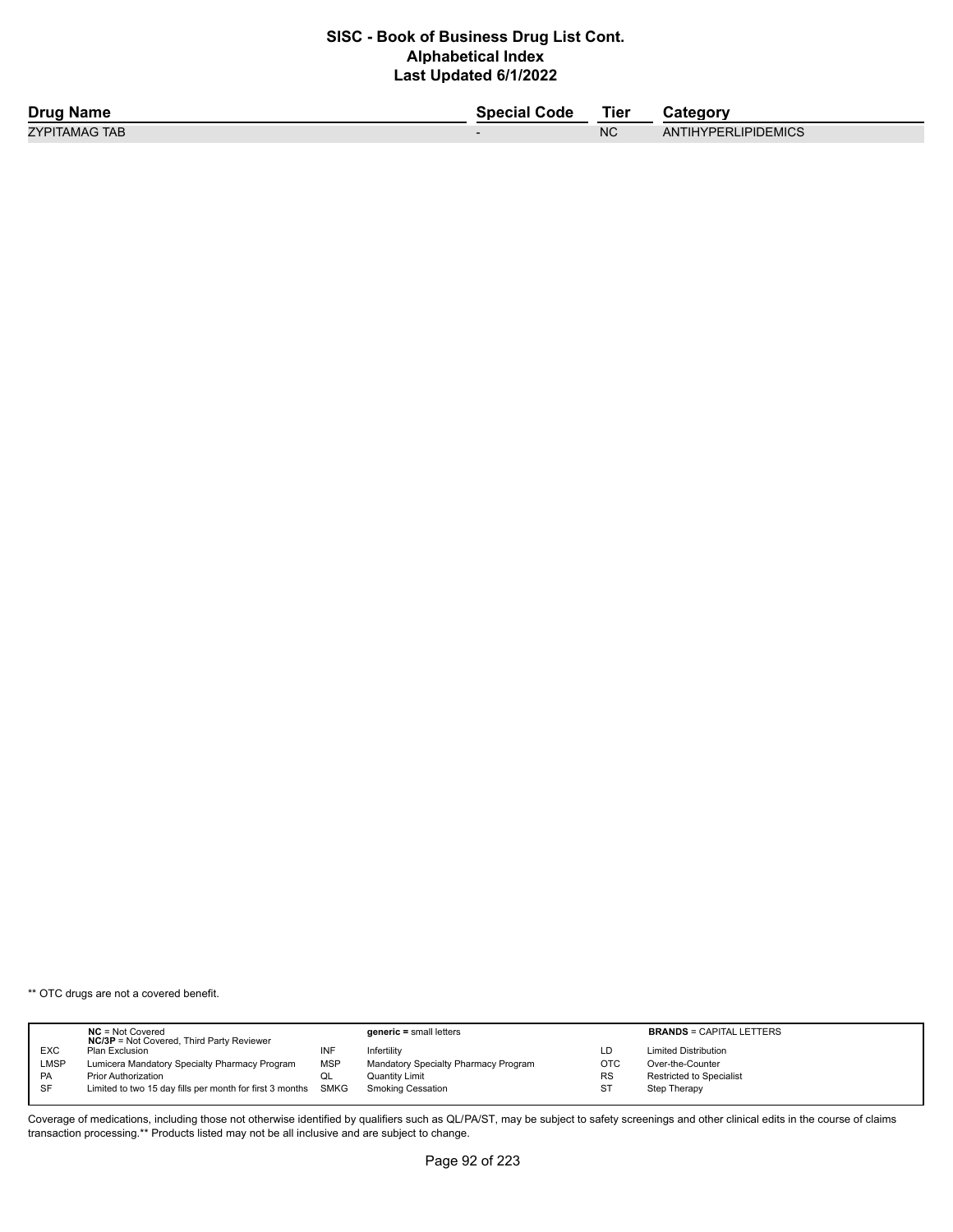| <b>Drug Name</b> | Special Code | <b>Tier</b> | Category            |
|------------------|--------------|-------------|---------------------|
| ZYPITAMAG TAB    |              | <b>NC</b>   | ANTIHYPERLIPIDEMICS |

\*\* OTC drugs are not a covered benefit.

|           | $NC = Not Covered$<br><b>NC/3P</b> = Not Covered, Third Party Reviewer |             | $generic = small letters$            |           | <b>BRANDS = CAPITAL LETTERS</b> |
|-----------|------------------------------------------------------------------------|-------------|--------------------------------------|-----------|---------------------------------|
| EXC       | Plan Exclusion                                                         | ΝF          | Infertility                          | LD        | <b>Limited Distribution</b>     |
| LMSP      | Lumicera Mandatory Specialty Pharmacy Program                          | MSP         | Mandatory Specialty Pharmacy Program | OTC       | Over-the-Counter                |
| <b>PA</b> | <b>Prior Authorization</b>                                             | QL          | Quantity Limit                       | <b>RS</b> | Restricted to Specialist        |
| <b>SF</b> | Limited to two 15 day fills per month for first 3 months               | <b>SMKG</b> | <b>Smoking Cessation</b>             | <b>ST</b> | Step Therapy                    |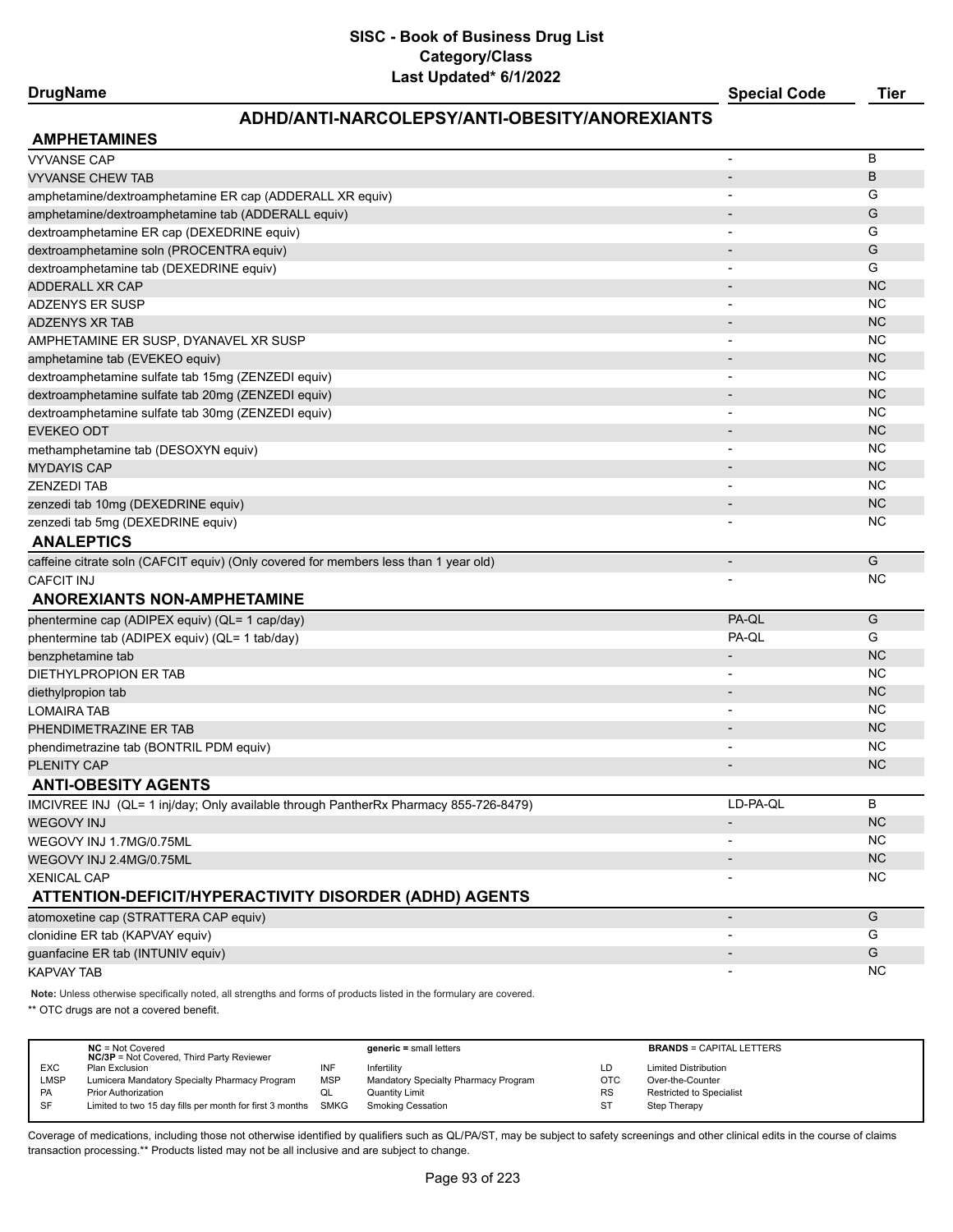## **DrugName Special Code Tier**

### **ADHD/ANTI-NARCOLEPSY/ANTI-OBESITY/ANOREXIANTS**

| <b>AMPHETAMINES</b>                                                                  |                          |           |
|--------------------------------------------------------------------------------------|--------------------------|-----------|
| <b>VYVANSE CAP</b>                                                                   | $\overline{\phantom{a}}$ | в         |
| <b>VYVANSE CHEW TAB</b>                                                              |                          | B         |
| amphetamine/dextroamphetamine ER cap (ADDERALL XR equiv)                             |                          | G         |
| amphetamine/dextroamphetamine tab (ADDERALL equiv)                                   |                          | G         |
| dextroamphetamine ER cap (DEXEDRINE equiv)                                           |                          | G         |
| dextroamphetamine soln (PROCENTRA equiv)                                             |                          | G         |
| dextroamphetamine tab (DEXEDRINE equiv)                                              |                          | G         |
| <b>ADDERALL XR CAP</b>                                                               |                          | <b>NC</b> |
| <b>ADZENYS ER SUSP</b>                                                               | $\blacksquare$           | NC        |
| <b>ADZENYS XR TAB</b>                                                                |                          | <b>NC</b> |
| AMPHETAMINE ER SUSP, DYANAVEL XR SUSP                                                |                          | NC        |
| amphetamine tab (EVEKEO equiv)                                                       | $\overline{\phantom{a}}$ | <b>NC</b> |
| dextroamphetamine sulfate tab 15mg (ZENZEDI equiv)                                   |                          | <b>NC</b> |
| dextroamphetamine sulfate tab 20mg (ZENZEDI equiv)                                   |                          | <b>NC</b> |
| dextroamphetamine sulfate tab 30mg (ZENZEDI equiv)                                   | $\overline{\phantom{a}}$ | NC        |
| <b>EVEKEO ODT</b>                                                                    | $\overline{\phantom{a}}$ | <b>NC</b> |
| methamphetamine tab (DESOXYN equiv)                                                  | $\overline{\phantom{a}}$ | NC        |
| <b>MYDAYIS CAP</b>                                                                   |                          | <b>NC</b> |
| <b>ZENZEDI TAB</b>                                                                   | $\overline{\phantom{a}}$ | NC        |
| zenzedi tab 10mg (DEXEDRINE equiv)                                                   | $\overline{\phantom{a}}$ | <b>NC</b> |
| zenzedi tab 5mg (DEXEDRINE equiv)                                                    |                          | NC        |
| <b>ANALEPTICS</b>                                                                    |                          |           |
| caffeine citrate soln (CAFCIT equiv) (Only covered for members less than 1 year old) | $\overline{\phantom{a}}$ | G         |
| <b>CAFCIT INJ</b>                                                                    |                          | NC        |
| <b>ANOREXIANTS NON-AMPHETAMINE</b>                                                   |                          |           |
| phentermine cap (ADIPEX equiv) (QL= 1 cap/day)                                       | PA-QL                    | G         |
| phentermine tab (ADIPEX equiv) (QL= 1 tab/day)                                       | PA-QL                    | G         |
| benzphetamine tab                                                                    |                          | <b>NC</b> |
| DIETHYLPROPION ER TAB                                                                | $\overline{\phantom{a}}$ | NC        |
| diethylpropion tab                                                                   | $\overline{\phantom{a}}$ | <b>NC</b> |
| <b>LOMAIRA TAB</b>                                                                   | $\overline{\phantom{a}}$ | NC        |
| PHENDIMETRAZINE ER TAB                                                               |                          | <b>NC</b> |
| phendimetrazine tab (BONTRIL PDM equiv)                                              | $\overline{\phantom{a}}$ | <b>NC</b> |
| <b>PLENITY CAP</b>                                                                   |                          | <b>NC</b> |
| <b>ANTI-OBESITY AGENTS</b>                                                           |                          |           |
| IMCIVREE INJ (QL= 1 inj/day; Only available through PantherRx Pharmacy 855-726-8479) | LD-PA-QL                 | B         |
| <b>WEGOVY INJ</b>                                                                    | $\overline{\phantom{a}}$ | <b>NC</b> |
| WEGOVY INJ 1.7MG/0.75ML                                                              |                          | ΝC        |
| WEGOVY INJ 2.4MG/0.75ML                                                              |                          | <b>NC</b> |
| <b>XENICAL CAP</b>                                                                   |                          | ΝC        |
| ATTENTION-DEFICIT/HYPERACTIVITY DISORDER (ADHD) AGENTS                               |                          |           |
| atomoxetine cap (STRATTERA CAP equiv)                                                | $\overline{\phantom{a}}$ | G         |
| clonidine ER tab (KAPVAY equiv)                                                      |                          | G         |
| guanfacine ER tab (INTUNIV equiv)                                                    |                          | G         |
| <b>KAPVAY TAB</b>                                                                    | $\overline{\phantom{a}}$ | <b>NC</b> |

**Note:** Unless otherwise specifically noted, all strengths and forms of products listed in the formulary are covered.

\*\* OTC drugs are not a covered benefit.

|            | $NC = Not Covered$<br><b>NC/3P</b> = Not Covered, Third Party Reviewer |            | generic = small letters              |            | <b>BRANDS = CAPITAL LETTERS</b> |
|------------|------------------------------------------------------------------------|------------|--------------------------------------|------------|---------------------------------|
| <b>EXC</b> | Plan Exclusion                                                         | INF        | Infertility                          | LD         | <b>Limited Distribution</b>     |
| LMSP       | Lumicera Mandatory Specialty Pharmacy Program                          | <b>MSP</b> | Mandatory Specialty Pharmacy Program | <b>OTC</b> | Over-the-Counter                |
| <b>PA</b>  | <b>Prior Authorization</b>                                             | QL         | Quantity Limit                       | <b>RS</b>  | <b>Restricted to Specialist</b> |
| SF         | Limited to two 15 day fills per month for first 3 months               | SMKG       | Smoking Cessation                    | ST         | Step Therapy                    |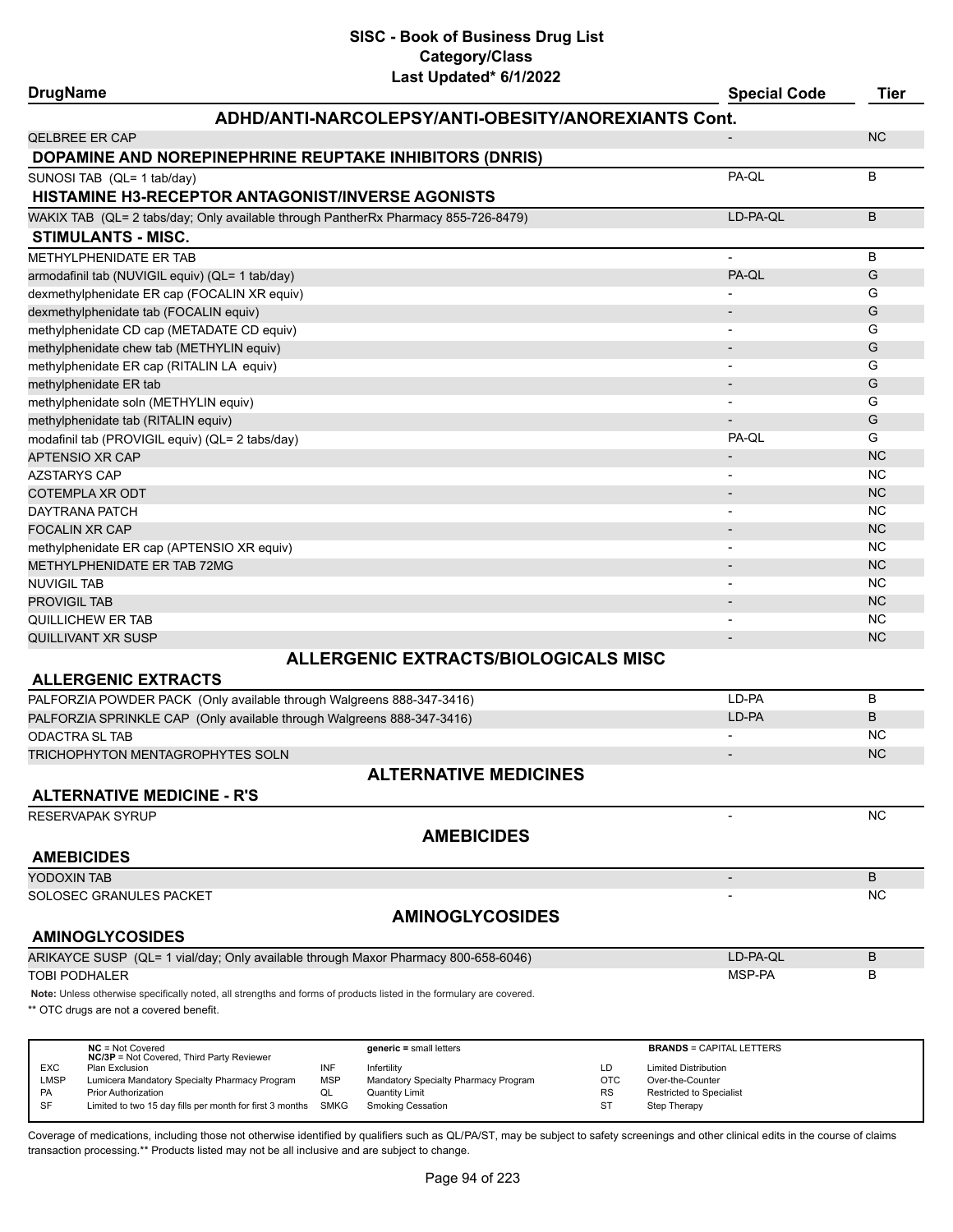# **SISC - Book of Business Drug List Category/Class**

| Last Updated* 6/1/2022<br><b>DrugName</b>                                                                                                                                                    | <b>Special Code</b>                             | <b>Tier</b> |
|----------------------------------------------------------------------------------------------------------------------------------------------------------------------------------------------|-------------------------------------------------|-------------|
| ADHD/ANTI-NARCOLEPSY/ANTI-OBESITY/ANOREXIANTS Cont.                                                                                                                                          |                                                 |             |
| <b>QELBREE ER CAP</b>                                                                                                                                                                        |                                                 | <b>NC</b>   |
| DOPAMINE AND NOREPINEPHRINE REUPTAKE INHIBITORS (DNRIS)                                                                                                                                      |                                                 |             |
| SUNOSI TAB (QL= 1 tab/day)                                                                                                                                                                   | PA-QL                                           | B           |
| <b>HISTAMINE H3-RECEPTOR ANTAGONIST/INVERSE AGONISTS</b>                                                                                                                                     |                                                 |             |
| WAKIX TAB (QL= 2 tabs/day; Only available through PantherRx Pharmacy 855-726-8479)                                                                                                           | LD-PA-QL                                        | B           |
| <b>STIMULANTS - MISC.</b>                                                                                                                                                                    |                                                 |             |
| METHYLPHENIDATE ER TAB                                                                                                                                                                       |                                                 | В           |
| armodafinil tab (NUVIGIL equiv) (QL= 1 tab/day)                                                                                                                                              | PA-QL                                           | G           |
| dexmethylphenidate ER cap (FOCALIN XR equiv)                                                                                                                                                 |                                                 | G           |
| dexmethylphenidate tab (FOCALIN equiv)                                                                                                                                                       | $\overline{\phantom{a}}$                        | G           |
| methylphenidate CD cap (METADATE CD equiv)                                                                                                                                                   |                                                 | G           |
| methylphenidate chew tab (METHYLIN equiv)                                                                                                                                                    | $\overline{\phantom{a}}$                        | G           |
|                                                                                                                                                                                              |                                                 | G           |
| methylphenidate ER cap (RITALIN LA equiv)                                                                                                                                                    |                                                 |             |
| methylphenidate ER tab                                                                                                                                                                       |                                                 | G           |
| methylphenidate soln (METHYLIN equiv)                                                                                                                                                        |                                                 | G           |
| methylphenidate tab (RITALIN equiv)                                                                                                                                                          |                                                 | G           |
| modafinil tab (PROVIGIL equiv) (QL= 2 tabs/day)                                                                                                                                              | PA-QL                                           | G           |
| APTENSIO XR CAP                                                                                                                                                                              |                                                 | <b>NC</b>   |
| <b>AZSTARYS CAP</b>                                                                                                                                                                          |                                                 | <b>NC</b>   |
| COTEMPLA XR ODT                                                                                                                                                                              |                                                 | <b>NC</b>   |
| DAYTRANA PATCH                                                                                                                                                                               |                                                 | <b>NC</b>   |
| <b>FOCALIN XR CAP</b>                                                                                                                                                                        |                                                 | <b>NC</b>   |
| methylphenidate ER cap (APTENSIO XR equiv)                                                                                                                                                   |                                                 | <b>NC</b>   |
| METHYLPHENIDATE ER TAB 72MG                                                                                                                                                                  |                                                 | <b>NC</b>   |
| <b>NUVIGIL TAB</b>                                                                                                                                                                           |                                                 | <b>NC</b>   |
| <b>PROVIGIL TAB</b>                                                                                                                                                                          |                                                 | <b>NC</b>   |
| QUILLICHEW ER TAB                                                                                                                                                                            |                                                 | <b>NC</b>   |
| QUILLIVANT XR SUSP                                                                                                                                                                           |                                                 | <b>NC</b>   |
| <b>ALLERGENIC EXTRACTS/BIOLOGICALS MISC</b>                                                                                                                                                  |                                                 |             |
| <b>ALLERGENIC EXTRACTS</b>                                                                                                                                                                   |                                                 |             |
| PALFORZIA POWDER PACK (Only available through Walgreens 888-347-3416)                                                                                                                        | LD-PA                                           | В           |
| PALFORZIA SPRINKLE CAP (Only available through Walgreens 888-347-3416)                                                                                                                       | LD-PA                                           | B           |
| <b>ODACTRA SL TAB</b>                                                                                                                                                                        |                                                 | ΝC          |
| TRICHOPHYTON MENTAGROPHYTES SOLN                                                                                                                                                             |                                                 | <b>NC</b>   |
| <b>ALTERNATIVE MEDICINES</b>                                                                                                                                                                 |                                                 |             |
|                                                                                                                                                                                              |                                                 |             |
| <b>ALTERNATIVE MEDICINE - R'S</b>                                                                                                                                                            |                                                 |             |
| RESERVAPAK SYRUP                                                                                                                                                                             |                                                 | <b>NC</b>   |
| <b>AMEBICIDES</b>                                                                                                                                                                            |                                                 |             |
| <b>AMEBICIDES</b>                                                                                                                                                                            |                                                 |             |
| YODOXIN TAB                                                                                                                                                                                  | $\overline{\phantom{a}}$                        | B           |
| SOLOSEC GRANULES PACKET                                                                                                                                                                      |                                                 | <b>NC</b>   |
| <b>AMINOGLYCOSIDES</b>                                                                                                                                                                       |                                                 |             |
| <b>AMINOGLYCOSIDES</b>                                                                                                                                                                       |                                                 |             |
| ARIKAYCE SUSP (QL= 1 vial/day; Only available through Maxor Pharmacy 800-658-6046)                                                                                                           | LD-PA-QL                                        | B           |
| TOBI PODHALER                                                                                                                                                                                | MSP-PA                                          | В           |
| Note: Unless otherwise specifically noted, all strengths and forms of products listed in the formulary are covered.                                                                          |                                                 |             |
| ** OTC drugs are not a covered benefit.                                                                                                                                                      |                                                 |             |
|                                                                                                                                                                                              |                                                 |             |
|                                                                                                                                                                                              |                                                 |             |
| $NC = Not Covered$<br>$generic = small letters$<br>NC/3P = Not Covered, Third Party Reviewer                                                                                                 | <b>BRANDS = CAPITAL LETTERS</b>                 |             |
| EXC<br>INF<br>LD<br><b>Plan Exclusion</b><br>Infertility<br><b>LMSP</b><br>Mandatory Specialty Pharmacy Program<br><b>OTC</b><br>Lumicera Mandatory Specialty Pharmacy Program<br><b>MSP</b> | <b>Limited Distribution</b><br>Over-the-Counter |             |
| <b>Prior Authorization</b><br><b>Quantity Limit</b><br>PA<br>QL<br>RS                                                                                                                        | <b>Restricted to Specialist</b>                 |             |
| SF<br>ST<br>Limited to two 15 day fills per month for first 3 months<br><b>Smoking Cessation</b><br><b>SMKG</b>                                                                              | Step Therapy                                    |             |

Coverage of medications, including those not otherwise identified by qualifiers such as QL/PA/ST, may be subject to safety screenings and other clinical edits in the course of claims transaction processing.\*\* Products listed may not be all inclusive and are subject to change.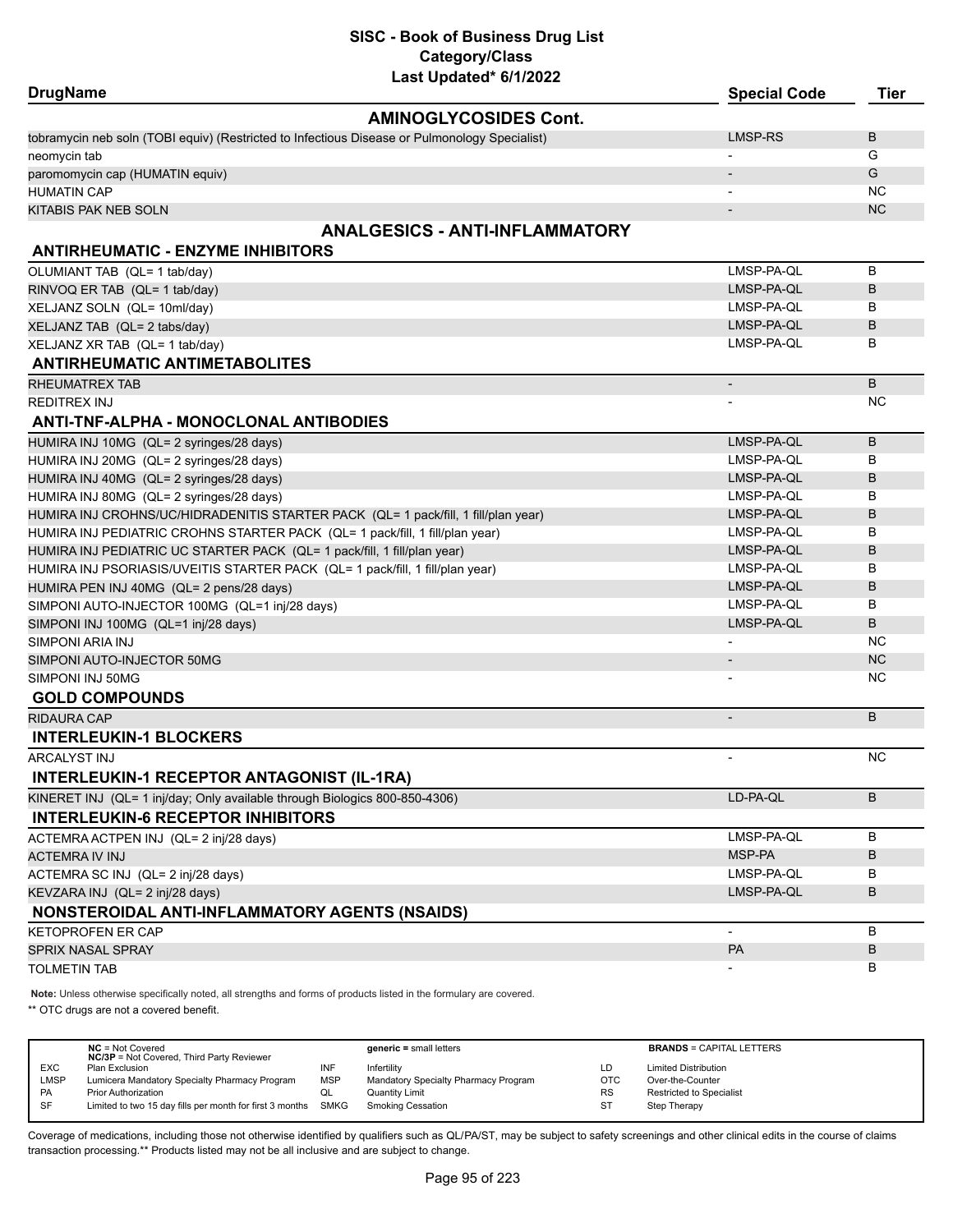# **SISC - Book of Business Drug List Category/Class**

| Last Updated* 6/1/2022                                                                        |                          |             |
|-----------------------------------------------------------------------------------------------|--------------------------|-------------|
| <b>DrugName</b>                                                                               | <b>Special Code</b>      | <b>Tier</b> |
| <b>AMINOGLYCOSIDES Cont.</b>                                                                  |                          |             |
| tobramycin neb soln (TOBI equiv) (Restricted to Infectious Disease or Pulmonology Specialist) | <b>LMSP-RS</b>           | B           |
| neomycin tab                                                                                  |                          | G           |
| paromomycin cap (HUMATIN equiv)                                                               |                          | G           |
| <b>HUMATIN CAP</b>                                                                            |                          | <b>NC</b>   |
| KITABIS PAK NEB SOLN                                                                          |                          | <b>NC</b>   |
| <b>ANALGESICS - ANTI-INFLAMMATORY</b><br><b>ANTIRHEUMATIC - ENZYME INHIBITORS</b>             |                          |             |
| OLUMIANT TAB (QL= 1 tab/day)                                                                  | LMSP-PA-QL               | B           |
| RINVOQ ER TAB (QL= 1 tab/day)                                                                 | LMSP-PA-QL               | B           |
| XELJANZ SOLN (QL= 10ml/day)                                                                   | LMSP-PA-QL               | в           |
| XELJANZ TAB (QL= 2 tabs/day)                                                                  | LMSP-PA-QL               | B           |
| XELJANZ XR TAB (QL= 1 tab/day)                                                                | LMSP-PA-QL               | в           |
| <b>ANTIRHEUMATIC ANTIMETABOLITES</b>                                                          |                          |             |
| RHEUMATREX TAB                                                                                | $\overline{\phantom{a}}$ | B           |
| <b>REDITREX INJ</b>                                                                           |                          | ΝC          |
| ANTI-TNF-ALPHA - MONOCLONAL ANTIBODIES                                                        |                          |             |
| HUMIRA INJ 10MG (QL= 2 syringes/28 days)                                                      | LMSP-PA-QL               | B           |
| HUMIRA INJ 20MG (QL= 2 syringes/28 days)                                                      | LMSP-PA-QL               | в           |
| HUMIRA INJ 40MG (QL= 2 syringes/28 days)                                                      | LMSP-PA-QL               | B           |
| HUMIRA INJ 80MG (QL= 2 syringes/28 days)                                                      | LMSP-PA-QL               | в           |
| HUMIRA INJ CROHNS/UC/HIDRADENITIS STARTER PACK (QL= 1 pack/fill, 1 fill/plan year)            | LMSP-PA-QL               | B           |
| HUMIRA INJ PEDIATRIC CROHNS STARTER PACK (QL= 1 pack/fill, 1 fill/plan year)                  | LMSP-PA-QL               | B           |
| HUMIRA INJ PEDIATRIC UC STARTER PACK (QL= 1 pack/fill, 1 fill/plan year)                      | LMSP-PA-QL               | B           |
| HUMIRA INJ PSORIASIS/UVEITIS STARTER PACK (QL= 1 pack/fill, 1 fill/plan year)                 | LMSP-PA-QL               | в           |
| HUMIRA PEN INJ 40MG (QL= 2 pens/28 days)                                                      | LMSP-PA-QL               | B           |
| SIMPONI AUTO-INJECTOR 100MG (QL=1 inj/28 days)                                                | LMSP-PA-QL               | в           |
| SIMPONI INJ 100MG (QL=1 inj/28 days)                                                          | LMSP-PA-QL               | B           |
| SIMPONI ARIA INJ                                                                              |                          | <b>NC</b>   |
| SIMPONI AUTO-INJECTOR 50MG                                                                    |                          | <b>NC</b>   |
| SIMPONI INJ 50MG                                                                              |                          | ΝC          |
| <b>GOLD COMPOUNDS</b>                                                                         |                          |             |
| <b>RIDAURA CAP</b>                                                                            | $\overline{\phantom{a}}$ | B           |
| <b>INTERLEUKIN-1 BLOCKERS</b>                                                                 |                          |             |
| ARCALYST INJ                                                                                  | $\overline{\phantom{0}}$ | <b>NC</b>   |
| <b>INTERLEUKIN-1 RECEPTOR ANTAGONIST (IL-1RA)</b>                                             |                          |             |
| KINERET INJ (QL= 1 inj/day; Only available through Biologics 800-850-4306)                    | LD-PA-QL                 | B           |
| <b>INTERLEUKIN-6 RECEPTOR INHIBITORS</b>                                                      |                          |             |
| ACTEMRA ACTPEN INJ (QL= 2 inj/28 days)                                                        | LMSP-PA-QL               | В           |
| <b>ACTEMRA IV INJ</b>                                                                         | MSP-PA                   | В           |
| ACTEMRA SC INJ (QL= 2 inj/28 days)                                                            | LMSP-PA-QL               | В           |
| KEVZARA INJ (QL= 2 inj/28 days)                                                               | LMSP-PA-QL               | В           |
| NONSTEROIDAL ANTI-INFLAMMATORY AGENTS (NSAIDS)                                                |                          |             |
| <b>KETOPROFEN ER CAP</b>                                                                      | $\blacksquare$           | В           |
| SPRIX NASAL SPRAY                                                                             | PA                       | В           |
| <b>TOLMETIN TAB</b>                                                                           |                          | В           |

**Note:** Unless otherwise specifically noted, all strengths and forms of products listed in the formulary are covered.

\*\* OTC drugs are not a covered benefit.

|             | $NC = Not Covered$<br><b>NC/3P</b> = Not Covered, Third Party Reviewer |             | $generic = small letters$            |            | <b>BRANDS = CAPITAL LETTERS</b> |
|-------------|------------------------------------------------------------------------|-------------|--------------------------------------|------------|---------------------------------|
| <b>EXC</b>  | Plan Exclusion                                                         | INF         | Infertility                          | LD         | <b>Limited Distribution</b>     |
| <b>LMSP</b> | Lumicera Mandatory Specialty Pharmacy Program                          | <b>MSP</b>  | Mandatory Specialty Pharmacy Program | <b>OTC</b> | Over-the-Counter                |
| PA          | <b>Prior Authorization</b>                                             | QL          | Quantity Limit                       | <b>RS</b>  | <b>Restricted to Specialist</b> |
| SF          | Limited to two 15 day fills per month for first 3 months               | <b>SMKG</b> | Smoking Cessation                    | <b>ST</b>  | Step Therapy                    |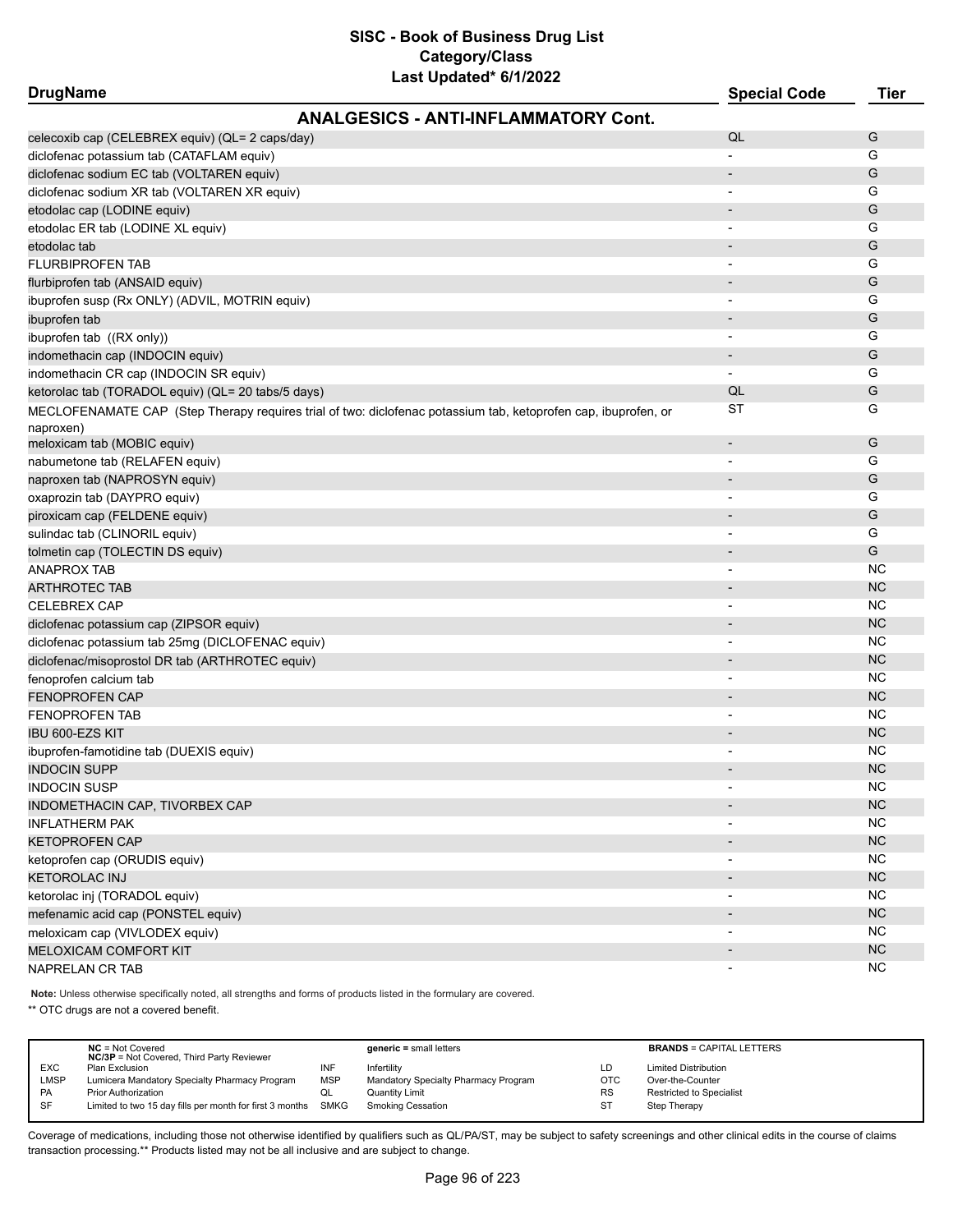| <b>DrugName</b>                                                                                                | <b>Special Code</b>      | <b>Tier</b> |
|----------------------------------------------------------------------------------------------------------------|--------------------------|-------------|
| <b>ANALGESICS - ANTI-INFLAMMATORY Cont.</b>                                                                    |                          |             |
| celecoxib cap (CELEBREX equiv) (QL= 2 caps/day)                                                                | QL                       | G           |
| diclofenac potassium tab (CATAFLAM equiv)                                                                      |                          | G           |
| diclofenac sodium EC tab (VOLTAREN equiv)                                                                      | $\overline{\phantom{a}}$ | G           |
| diclofenac sodium XR tab (VOLTAREN XR equiv)                                                                   |                          | G           |
| etodolac cap (LODINE equiv)                                                                                    | $\overline{\phantom{a}}$ | G           |
| etodolac ER tab (LODINE XL equiv)                                                                              | $\overline{\phantom{a}}$ | G           |
| etodolac tab                                                                                                   | $\overline{\phantom{a}}$ | G           |
| <b>FLURBIPROFEN TAB</b>                                                                                        |                          | G           |
| flurbiprofen tab (ANSAID equiv)                                                                                |                          | G           |
| ibuprofen susp (Rx ONLY) (ADVIL, MOTRIN equiv)                                                                 |                          | G           |
| ibuprofen tab                                                                                                  |                          | G           |
| ibuprofen tab ((RX only))                                                                                      |                          | G           |
| indomethacin cap (INDOCIN equiv)                                                                               |                          | G           |
| indomethacin CR cap (INDOCIN SR equiv)                                                                         |                          | G           |
| ketorolac tab (TORADOL equiv) (QL= 20 tabs/5 days)                                                             | QL                       | G           |
| MECLOFENAMATE CAP (Step Therapy requires trial of two: diclofenac potassium tab, ketoprofen cap, ibuprofen, or | ST                       | G           |
| naproxen)                                                                                                      |                          |             |
| meloxicam tab (MOBIC equiv)                                                                                    | $\overline{\phantom{a}}$ | G           |
| nabumetone tab (RELAFEN equiv)                                                                                 | $\overline{\phantom{a}}$ | G           |
| naproxen tab (NAPROSYN equiv)                                                                                  | $\overline{\phantom{a}}$ | G           |
| oxaprozin tab (DAYPRO equiv)                                                                                   | $\overline{\phantom{a}}$ | G           |
| piroxicam cap (FELDENE equiv)                                                                                  | $\overline{\phantom{a}}$ | G           |
| sulindac tab (CLINORIL equiv)                                                                                  | $\overline{\phantom{a}}$ | G           |
| tolmetin cap (TOLECTIN DS equiv)                                                                               | $\overline{\phantom{a}}$ | G           |
| ANAPROX TAB                                                                                                    | $\overline{\phantom{a}}$ | <b>NC</b>   |
| ARTHROTEC TAB                                                                                                  |                          | <b>NC</b>   |
| <b>CELEBREX CAP</b>                                                                                            | $\overline{\phantom{a}}$ | <b>NC</b>   |
| diclofenac potassium cap (ZIPSOR equiv)                                                                        | $\overline{\phantom{a}}$ | <b>NC</b>   |
| diclofenac potassium tab 25mg (DICLOFENAC equiv)                                                               | $\overline{\phantom{a}}$ | <b>NC</b>   |
| diclofenac/misoprostol DR tab (ARTHROTEC equiv)                                                                | $\overline{\phantom{a}}$ | <b>NC</b>   |
| fenoprofen calcium tab                                                                                         | $\overline{\phantom{a}}$ | <b>NC</b>   |
| <b>FENOPROFEN CAP</b>                                                                                          | $\overline{\phantom{a}}$ | <b>NC</b>   |
| <b>FENOPROFEN TAB</b>                                                                                          |                          | <b>NC</b>   |
| IBU 600-EZS KIT                                                                                                |                          | <b>NC</b>   |
| ibuprofen-famotidine tab (DUEXIS equiv)                                                                        |                          | <b>NC</b>   |
| <b>INDOCIN SUPP</b>                                                                                            |                          | <b>NC</b>   |
| <b>INDOCIN SUSP</b>                                                                                            |                          | NС          |
| INDOMETHACIN CAP, TIVORBEX CAP                                                                                 |                          | NC          |
| <b>INFLATHERM PAK</b>                                                                                          | $\overline{\phantom{a}}$ | <b>NC</b>   |
| <b>KETOPROFEN CAP</b>                                                                                          |                          | NC          |
| ketoprofen cap (ORUDIS equiv)                                                                                  | $\overline{\phantom{a}}$ | <b>NC</b>   |
| <b>KETOROLAC INJ</b>                                                                                           |                          | NC          |
| ketorolac inj (TORADOL equiv)                                                                                  | $\overline{\phantom{a}}$ | <b>NC</b>   |
| mefenamic acid cap (PONSTEL equiv)                                                                             | $\overline{\phantom{a}}$ | NC          |
| meloxicam cap (VIVLODEX equiv)                                                                                 | $\overline{\phantom{a}}$ | <b>NC</b>   |
| MELOXICAM COMFORT KIT                                                                                          |                          | <b>NC</b>   |
| NAPRELAN CR TAB                                                                                                | $\overline{\phantom{a}}$ | <b>NC</b>   |

**Note:** Unless otherwise specifically noted, all strengths and forms of products listed in the formulary are covered.

\*\* OTC drugs are not a covered benefit.

|            | $NC = Not Covered$<br><b>NC/3P</b> = Not Covered, Third Party Reviewer |            | $generic = small letters$            |           | <b>BRANDS = CAPITAL LETTERS</b> |
|------------|------------------------------------------------------------------------|------------|--------------------------------------|-----------|---------------------------------|
| <b>EXC</b> | Plan Exclusion                                                         | INF        | Infertility                          | LD        | <b>Limited Distribution</b>     |
| LMSP       | Lumicera Mandatory Specialty Pharmacy Program                          | <b>MSP</b> | Mandatory Specialty Pharmacy Program | OTC       | Over-the-Counter                |
| PA         | <b>Prior Authorization</b>                                             | QL         | <b>Quantity Limit</b>                | <b>RS</b> | Restricted to Specialist        |
| SF         | Limited to two 15 day fills per month for first 3 months SMKG          |            | <b>Smoking Cessation</b>             | ST        | Step Therapy                    |
|            |                                                                        |            |                                      |           |                                 |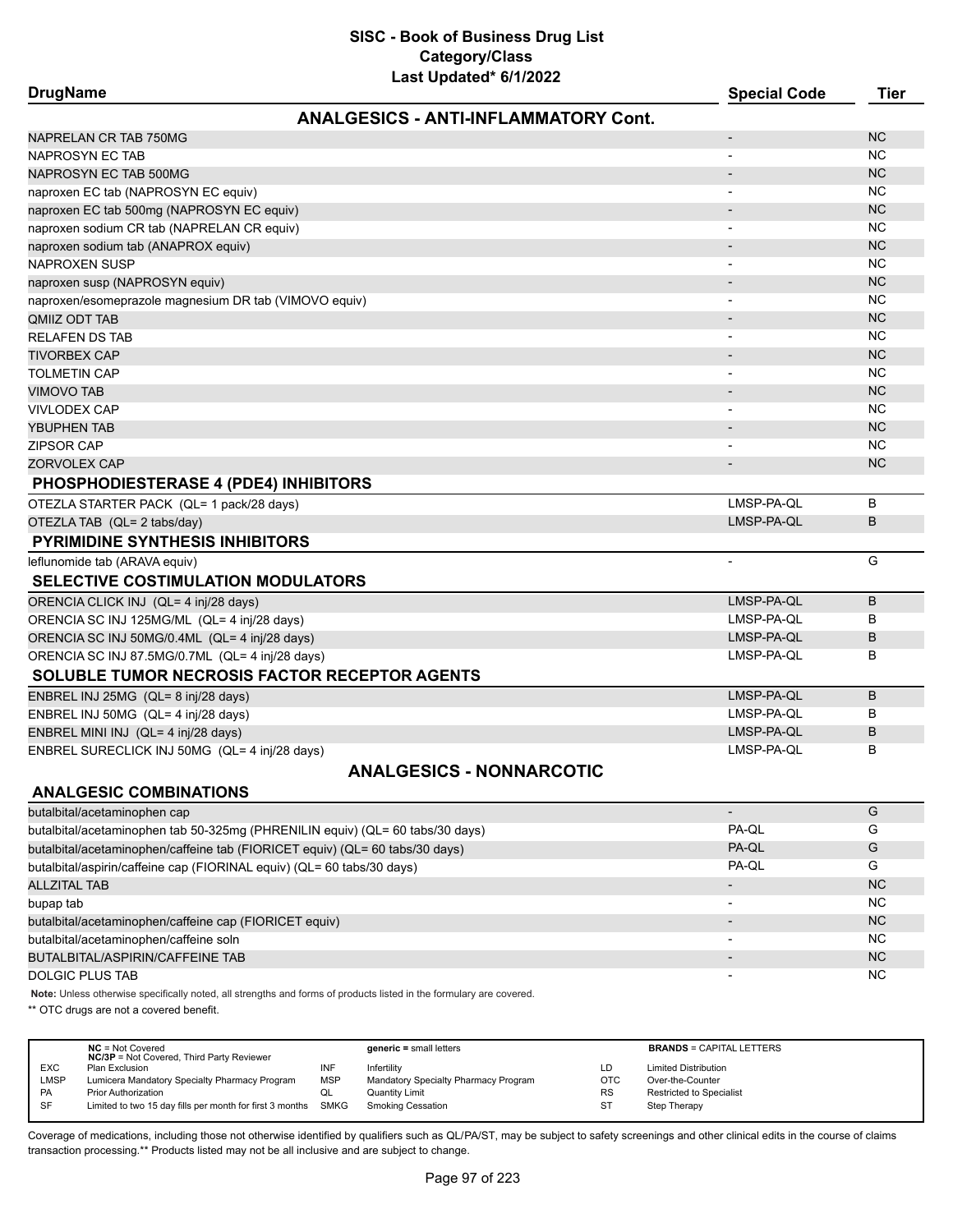# **SISC - Book of Business Drug List Category/Class**

| Last Updated* 6/1/2022                                |                          |             |
|-------------------------------------------------------|--------------------------|-------------|
| <b>DrugName</b>                                       | <b>Special Code</b>      | <b>Tier</b> |
| <b>ANALGESICS - ANTI-INFLAMMATORY Cont.</b>           |                          |             |
| NAPRELAN CR TAB 750MG                                 |                          | <b>NC</b>   |
| <b>NAPROSYN EC TAB</b>                                | $\blacksquare$           | <b>NC</b>   |
| NAPROSYN EC TAB 500MG                                 |                          | <b>NC</b>   |
| naproxen EC tab (NAPROSYN EC equiv)                   | $\overline{\phantom{a}}$ | <b>NC</b>   |
| naproxen EC tab 500mg (NAPROSYN EC equiv)             |                          | <b>NC</b>   |
| naproxen sodium CR tab (NAPRELAN CR equiv)            | $\overline{\phantom{a}}$ | <b>NC</b>   |
| naproxen sodium tab (ANAPROX equiv)                   |                          | <b>NC</b>   |
| <b>NAPROXEN SUSP</b>                                  |                          | <b>NC</b>   |
| naproxen susp (NAPROSYN equiv)                        |                          | <b>NC</b>   |
| naproxen/esomeprazole magnesium DR tab (VIMOVO equiv) |                          | <b>NC</b>   |
| <b>QMIIZ ODT TAB</b>                                  |                          | <b>NC</b>   |
| <b>RELAFEN DS TAB</b>                                 | $\overline{\phantom{a}}$ | <b>NC</b>   |
| <b>TIVORBEX CAP</b>                                   |                          | <b>NC</b>   |
| <b>TOLMETIN CAP</b>                                   | $\blacksquare$           | <b>NC</b>   |
| <b>VIMOVO TAB</b>                                     |                          | <b>NC</b>   |
| <b>VIVLODEX CAP</b>                                   | $\blacksquare$           | <b>NC</b>   |
| YBUPHEN TAB                                           |                          | <b>NC</b>   |
| <b>ZIPSOR CAP</b>                                     |                          | <b>NC</b>   |
| ZORVOLEX CAP                                          |                          | <b>NC</b>   |
| <b>PHOSPHODIESTERASE 4 (PDE4) INHIBITORS</b>          |                          |             |
| OTEZLA STARTER PACK (QL= 1 pack/28 days)              | LMSP-PA-QL               | B           |
| OTEZLA TAB (QL= 2 tabs/day)                           | LMSP-PA-QL               | B           |
| <b>PYRIMIDINE SYNTHESIS INHIBITORS</b>                |                          |             |
| leflunomide tab (ARAVA equiv)                         | $\blacksquare$           | G           |
| <b>SELECTIVE COSTIMULATION MODULATORS</b>             |                          |             |
| ORENCIA CLICK INJ (QL= 4 inj/28 days)                 | LMSP-PA-QL               | B           |
| ORENCIA SC INJ 125MG/ML (QL= 4 inj/28 days)           | LMSP-PA-QL               | в           |
| ORENCIA SC INJ 50MG/0.4ML (QL= 4 inj/28 days)         | LMSP-PA-QL               | B           |
| ORENCIA SC INJ 87.5MG/0.7ML (QL= 4 inj/28 days)       | LMSP-PA-QL               | B           |
| <b>SOLUBLE TUMOR NECROSIS FACTOR RECEPTOR AGENTS</b>  |                          |             |
| ENBREL INJ 25MG (QL= 8 inj/28 days)                   | LMSP-PA-QL               | B           |
| ENBREL INJ 50MG (QL= 4 inj/28 days)                   | LMSP-PA-QL               | в           |
| ENBREL MINI INJ (QL= 4 inj/28 days)                   | LMSP-PA-QL               | B           |
| ENBREL SURECLICK INJ 50MG (QL= 4 inj/28 days)         | LMSP-PA-QL               | в           |
| <b>ANALGESICS - NONNARCOTIC</b>                       |                          |             |
| <b>ANALGESIC COMBINATIONS</b>                         |                          |             |
| butalbital/acetaminophen cap                          |                          | G           |
|                                                       |                          |             |

| butalbital/acetaminophen tab 50-325mg (PHRENILIN equiv) (QL= 60 tabs/30 days) | PA-QL                    | G         |
|-------------------------------------------------------------------------------|--------------------------|-----------|
| butalbital/acetaminophen/caffeine tab (FIORICET equiv) (QL= 60 tabs/30 days)  | PA-QL                    | G         |
| butalbital/aspirin/caffeine cap (FIORINAL equiv) (QL= 60 tabs/30 days)        | PA-QL                    | G         |
| <b>ALLZITAL TAB</b>                                                           |                          | <b>NC</b> |
| bupap tab                                                                     |                          | <b>NC</b> |
| butalbital/acetaminophen/caffeine cap (FIORICET equiv)                        | $\blacksquare$           | <b>NC</b> |
| butalbital/acetaminophen/caffeine soln                                        | $\overline{\phantom{a}}$ | <b>NC</b> |
| BUTALBITAL/ASPIRIN/CAFFEINE TAB                                               | $\overline{\phantom{0}}$ | <b>NC</b> |
| DOLGIC PLUS TAB                                                               | $\overline{\phantom{a}}$ | <b>NC</b> |

**Note:** Unless otherwise specifically noted, all strengths and forms of products listed in the formulary are covered.

\*\* OTC drugs are not a covered benefit.

|            | $NC = Not Covered$<br><b>NC/3P</b> = Not Covered, Third Party Reviewer |            | $generic = small letters$            |            | <b>BRANDS = CAPITAL LETTERS</b> |
|------------|------------------------------------------------------------------------|------------|--------------------------------------|------------|---------------------------------|
| <b>EXC</b> | Plan Exclusion                                                         | INF        | Infertilitv                          | LD         | <b>Limited Distribution</b>     |
| LMSP       | Lumicera Mandatory Specialty Pharmacy Program                          | <b>MSP</b> | Mandatory Specialty Pharmacy Program | <b>OTC</b> | Over-the-Counter                |
| PA         | <b>Prior Authorization</b>                                             | ◡          | Quantity Limit                       | <b>RS</b>  | <b>Restricted to Specialist</b> |
| SF         | Limited to two 15 day fills per month for first 3 months               | SMKG       | Smoking Cessation                    | ST         | Step Therapy                    |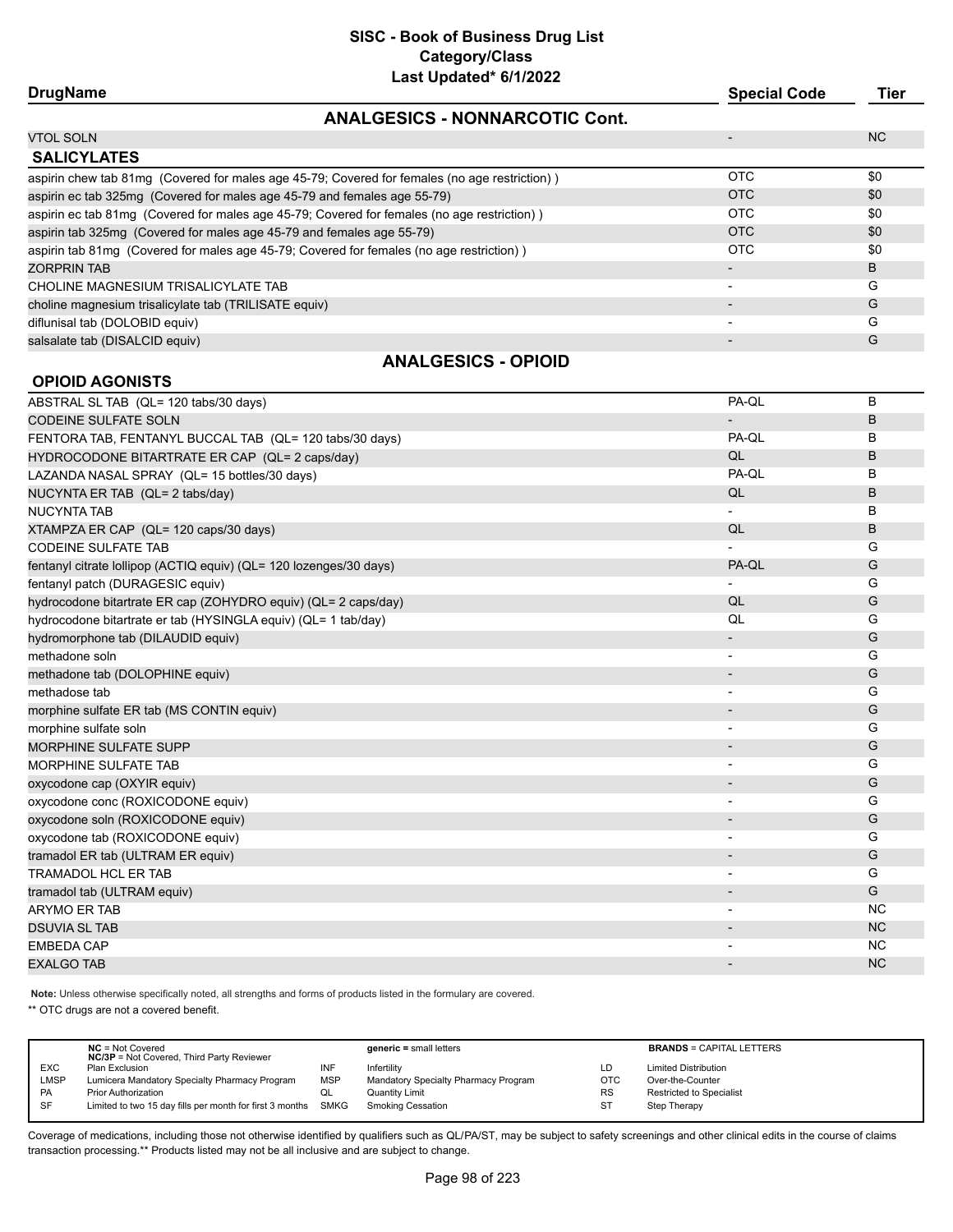| <b>DrugName</b>                                                                               | <b>Special Code</b> | Tier |
|-----------------------------------------------------------------------------------------------|---------------------|------|
| <b>ANALGESICS - NONNARCOTIC Cont.</b>                                                         |                     |      |
| <b>VTOL SOLN</b>                                                                              |                     | NC.  |
| <b>SALICYLATES</b>                                                                            |                     |      |
| aspirin chew tab 81mg (Covered for males age 45-79; Covered for females (no age restriction)) | <b>OTC</b>          | \$0  |
| aspirin ec tab 325mg (Covered for males age 45-79 and females age 55-79)                      | <b>OTC</b>          | \$0  |
| aspirin ec tab 81mg (Covered for males age 45-79; Covered for females (no age restriction))   | OTC                 | \$0  |
| aspirin tab 325mg (Covered for males age 45-79 and females age 55-79)                         | <b>OTC</b>          | \$0  |
| aspirin tab 81mg (Covered for males age 45-79; Covered for females (no age restriction))      | OTC                 | \$0  |
| <b>ZORPRIN TAB</b>                                                                            |                     | B    |
| CHOLINE MAGNESIUM TRISALICYLATE TAB                                                           |                     | G    |
| choline magnesium trisalicylate tab (TRILISATE equiv)                                         |                     | G    |
| diflunisal tab (DOLOBID equiv)                                                                |                     | G    |
| salsalate tab (DISALCID equiv)                                                                |                     | G    |
| ANIAI OFOIOO<br>$\bigcap$                                                                     |                     |      |

#### **ANALGESICS - OPIOID**

| <b>OPIOID AGONISTS</b>                                             |                          |           |
|--------------------------------------------------------------------|--------------------------|-----------|
| ABSTRAL SL TAB (QL= 120 tabs/30 days)                              | PA-QL                    | B         |
| <b>CODEINE SULFATE SOLN</b>                                        |                          | B         |
| FENTORA TAB, FENTANYL BUCCAL TAB (QL= 120 tabs/30 days)            | PA-QL                    | в         |
| HYDROCODONE BITARTRATE ER CAP (QL= 2 caps/day)                     | QL                       | B         |
| LAZANDA NASAL SPRAY (QL= 15 bottles/30 days)                       | PA-QL                    | в         |
| NUCYNTA ER TAB (QL= 2 tabs/day)                                    | QL                       | B         |
| <b>NUCYNTA TAB</b>                                                 |                          | B         |
| XTAMPZA ER CAP (QL= 120 caps/30 days)                              | QL                       | B         |
| <b>CODEINE SULFATE TAB</b>                                         |                          | G         |
| fentanyl citrate lollipop (ACTIQ equiv) (QL= 120 lozenges/30 days) | PA-QL                    | G         |
| fentanyl patch (DURAGESIC equiv)                                   |                          | G         |
| hydrocodone bitartrate ER cap (ZOHYDRO equiv) (QL= 2 caps/day)     | QL                       | G         |
| hydrocodone bitartrate er tab (HYSINGLA equiv) (QL= 1 tab/day)     | QL                       | G         |
| hydromorphone tab (DILAUDID equiv)                                 |                          | G         |
| methadone soln                                                     |                          | G         |
| methadone tab (DOLOPHINE equiv)                                    |                          | G         |
| methadose tab                                                      |                          | G         |
| morphine sulfate ER tab (MS CONTIN equiv)                          |                          | G         |
| morphine sulfate soln                                              | $\overline{\phantom{a}}$ | G         |
| <b>MORPHINE SULFATE SUPP</b>                                       |                          | G         |
| MORPHINE SULFATE TAB                                               | $\overline{\phantom{a}}$ | G         |
| oxycodone cap (OXYIR equiv)                                        |                          | G         |
| oxycodone conc (ROXICODONE equiv)                                  |                          | G         |
| oxycodone soln (ROXICODONE equiv)                                  |                          | G         |
| oxycodone tab (ROXICODONE equiv)                                   |                          | G         |
| tramadol ER tab (ULTRAM ER equiv)                                  |                          | G         |
| <b>TRAMADOL HCL ER TAB</b>                                         | $\overline{\phantom{a}}$ | G         |
| tramadol tab (ULTRAM equiv)                                        | $\overline{\phantom{m}}$ | G         |
| <b>ARYMO ER TAB</b>                                                |                          | <b>NC</b> |
| <b>DSUVIA SL TAB</b>                                               |                          | <b>NC</b> |
| <b>EMBEDA CAP</b>                                                  | $\overline{a}$           | <b>NC</b> |
| <b>EXALGO TAB</b>                                                  |                          | <b>NC</b> |

**Note:** Unless otherwise specifically noted, all strengths and forms of products listed in the formulary are covered.

\*\* OTC drugs are not a covered benefit.

|             | $NC = Not Covered$<br><b>NC/3P</b> = Not Covered, Third Party Reviewer |            | $generic = small letters$            |            | <b>BRANDS = CAPITAL LETTERS</b> |
|-------------|------------------------------------------------------------------------|------------|--------------------------------------|------------|---------------------------------|
| <b>EXC</b>  | Plan Exclusion                                                         | INF        | Infertility                          | LD         | <b>Limited Distribution</b>     |
| <b>LMSP</b> | Lumicera Mandatory Specialty Pharmacy Program                          | <b>MSP</b> | Mandatory Specialty Pharmacy Program | <b>OTC</b> | Over-the-Counter                |
| PA          | Prior Authorization                                                    | QL         | Quantity Limit                       | <b>RS</b>  | <b>Restricted to Specialist</b> |
| SF          | Limited to two 15 day fills per month for first 3 months SMKG          |            | <b>Smoking Cessation</b>             | ST         | Step Therapy                    |
|             |                                                                        |            |                                      |            |                                 |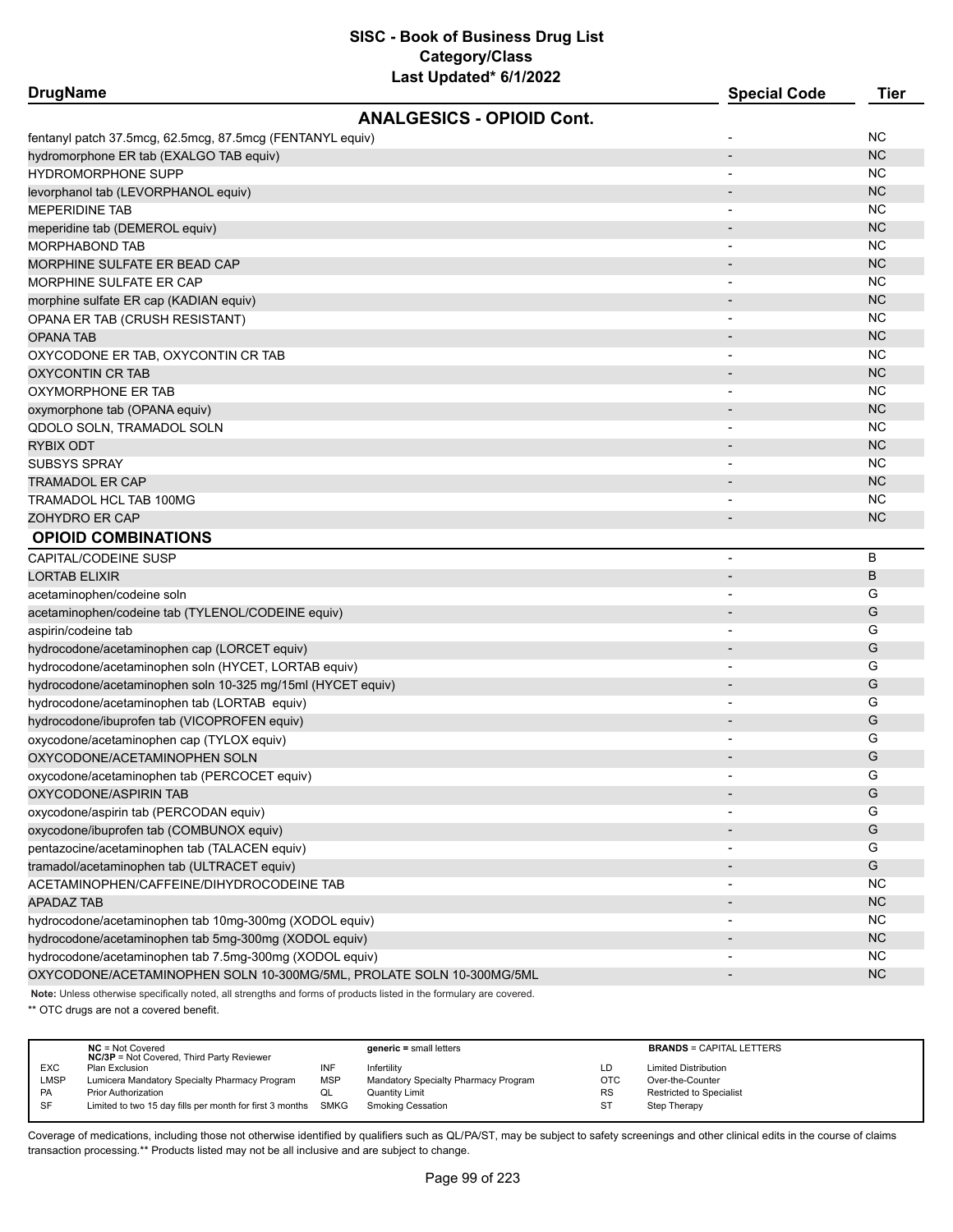| <b>DrugName</b>                                                      | <b>Special Code</b>      | <b>Tier</b> |
|----------------------------------------------------------------------|--------------------------|-------------|
| <b>ANALGESICS - OPIOID Cont.</b>                                     |                          |             |
| fentanyl patch 37.5mcg, 62.5mcg, 87.5mcg (FENTANYL equiv)            |                          | ΝC          |
| hydromorphone ER tab (EXALGO TAB equiv)                              |                          | <b>NC</b>   |
| <b>HYDROMORPHONE SUPP</b>                                            |                          | ΝC          |
| levorphanol tab (LEVORPHANOL equiv)                                  |                          | <b>NC</b>   |
| MEPERIDINE TAB                                                       |                          | ΝC          |
| meperidine tab (DEMEROL equiv)                                       |                          | <b>NC</b>   |
| <b>MORPHABOND TAB</b>                                                |                          | <b>NC</b>   |
| MORPHINE SULFATE ER BEAD CAP                                         |                          | <b>NC</b>   |
| MORPHINE SULFATE ER CAP                                              |                          | <b>NC</b>   |
| morphine sulfate ER cap (KADIAN equiv)                               |                          | <b>NC</b>   |
| OPANA ER TAB (CRUSH RESISTANT)                                       |                          | <b>NC</b>   |
| <b>OPANA TAB</b>                                                     |                          | <b>NC</b>   |
| OXYCODONE ER TAB, OXYCONTIN CR TAB                                   |                          | <b>NC</b>   |
| OXYCONTIN CR TAB                                                     |                          | <b>NC</b>   |
| OXYMORPHONE ER TAB                                                   |                          | <b>NC</b>   |
| oxymorphone tab (OPANA equiv)                                        |                          | <b>NC</b>   |
| QDOLO SOLN, TRAMADOL SOLN                                            | $\overline{\phantom{a}}$ | NC.         |
| RYBIX ODT                                                            |                          | <b>NC</b>   |
| SUBSYS SPRAY                                                         |                          | NC.         |
| <b>TRAMADOL ER CAP</b>                                               |                          | <b>NC</b>   |
| TRAMADOL HCL TAB 100MG                                               |                          | NC.         |
| ZOHYDRO ER CAP                                                       |                          | <b>NC</b>   |
| <b>OPIOID COMBINATIONS</b>                                           |                          |             |
| CAPITAL/CODEINE SUSP                                                 | $\overline{\phantom{a}}$ | B           |
| <b>LORTAB ELIXIR</b>                                                 | $\overline{\phantom{a}}$ | B           |
| acetaminophen/codeine soln                                           |                          | G           |
| acetaminophen/codeine tab (TYLENOL/CODEINE equiv)                    |                          | G           |
| aspirin/codeine tab                                                  | $\overline{\phantom{a}}$ | G           |
| hydrocodone/acetaminophen cap (LORCET equiv)                         |                          | G           |
| hydrocodone/acetaminophen soln (HYCET, LORTAB equiv)                 | -                        | G           |
| hydrocodone/acetaminophen soln 10-325 mg/15ml (HYCET equiv)          |                          | G           |
| hydrocodone/acetaminophen tab (LORTAB equiv)                         | $\blacksquare$           | G           |
| hydrocodone/ibuprofen tab (VICOPROFEN equiv)                         |                          | G           |
| oxycodone/acetaminophen cap (TYLOX equiv)                            |                          | G           |
| OXYCODONE/ACETAMINOPHEN SOLN                                         |                          | G           |
| oxycodone/acetaminophen tab (PERCOCET equiv)                         |                          | G           |
| OXYCODONE/ASPIRIN TAB                                                |                          | G           |
| oxycodone/aspirin tab (PERCODAN equiv)                               |                          | G           |
| oxycodone/ibuprofen tab (COMBUNOX equiv)                             |                          | G           |
| pentazocine/acetaminophen tab (TALACEN equiv)                        |                          | G           |
| tramadol/acetaminophen tab (ULTRACET equiv)                          |                          | G           |
| ACETAMINOPHEN/CAFFEINE/DIHYDROCODEINE TAB                            |                          | <b>NC</b>   |
| <b>APADAZ TAB</b>                                                    |                          | <b>NC</b>   |
|                                                                      |                          | NC.         |
| hydrocodone/acetaminophen tab 10mg-300mg (XODOL equiv)               |                          |             |
| hydrocodone/acetaminophen tab 5mg-300mg (XODOL equiv)                |                          | <b>NC</b>   |
| hydrocodone/acetaminophen tab 7.5mg-300mg (XODOL equiv)              | $\blacksquare$           | <b>NC</b>   |
| OXYCODONE/ACETAMINOPHEN SOLN 10-300MG/5ML, PROLATE SOLN 10-300MG/5ML |                          | <b>NC</b>   |

**Note:** Unless otherwise specifically noted, all strengths and forms of products listed in the formulary are covered.

\*\* OTC drugs are not a covered benefit.

|             | $NC = Not Covered$<br><b>NC/3P</b> = Not Covered, Third Party Reviewer |            | $generic = small letters$            |            | <b>BRANDS = CAPITAL LETTERS</b> |
|-------------|------------------------------------------------------------------------|------------|--------------------------------------|------------|---------------------------------|
| <b>EXC</b>  | Plan Exclusion                                                         | INF        | Infertility                          | LD         | <b>Limited Distribution</b>     |
| <b>LMSP</b> | Lumicera Mandatory Specialty Pharmacy Program                          | <b>MSP</b> | Mandatory Specialty Pharmacy Program | <b>OTC</b> | Over-the-Counter                |
| <b>PA</b>   | Prior Authorization                                                    | QL         | <b>Quantity Limit</b>                | <b>RS</b>  | <b>Restricted to Specialist</b> |
| <b>SF</b>   | Limited to two 15 day fills per month for first 3 months SMKG          |            | <b>Smoking Cessation</b>             |            | Step Therapy                    |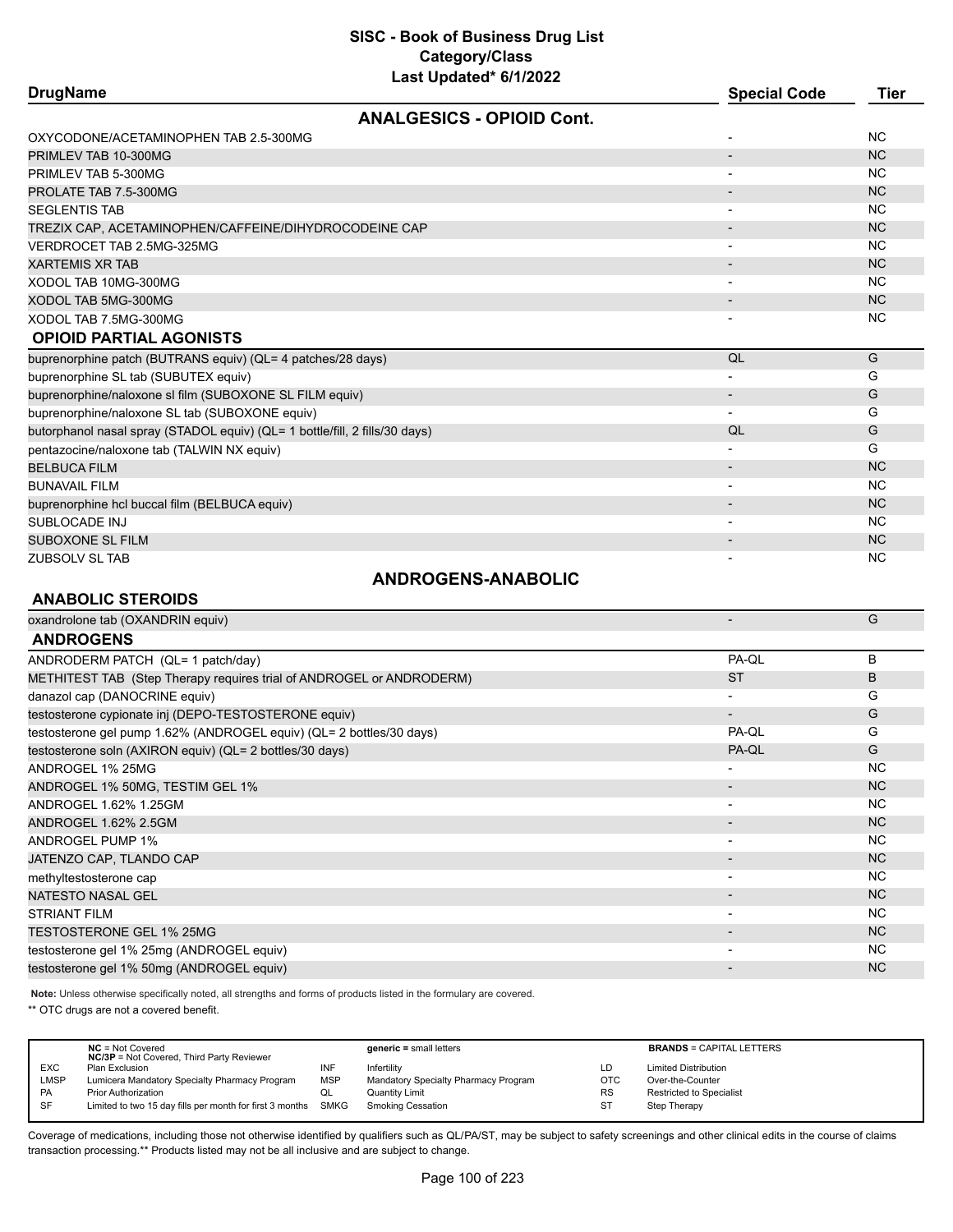| <b>DrugName</b>                                                             |                                  | <b>Special Code</b> | <b>Tier</b> |
|-----------------------------------------------------------------------------|----------------------------------|---------------------|-------------|
|                                                                             | <b>ANALGESICS - OPIOID Cont.</b> |                     |             |
| OXYCODONE/ACETAMINOPHEN TAB 2.5-300MG                                       |                                  |                     | <b>NC</b>   |
| PRIMLEV TAB 10-300MG                                                        |                                  |                     | <b>NC</b>   |
| PRIMLEV TAB 5-300MG                                                         |                                  |                     | <b>NC</b>   |
| PROLATE TAB 7.5-300MG                                                       |                                  |                     | <b>NC</b>   |
| <b>SEGLENTIS TAB</b>                                                        |                                  |                     | <b>NC</b>   |
| TREZIX CAP, ACETAMINOPHEN/CAFFEINE/DIHYDROCODEINE CAP                       |                                  |                     | <b>NC</b>   |
| VERDROCET TAB 2.5MG-325MG                                                   |                                  | $\blacksquare$      | <b>NC</b>   |
| <b>XARTEMIS XR TAB</b>                                                      |                                  |                     | <b>NC</b>   |
| XODOL TAB 10MG-300MG                                                        |                                  |                     | <b>NC</b>   |
| XODOL TAB 5MG-300MG                                                         |                                  |                     | <b>NC</b>   |
| XODOL TAB 7.5MG-300MG                                                       |                                  |                     | <b>NC</b>   |
| <b>OPIOID PARTIAL AGONISTS</b>                                              |                                  |                     |             |
| buprenorphine patch (BUTRANS equiv) (QL= 4 patches/28 days)                 |                                  | QL                  | G           |
| buprenorphine SL tab (SUBUTEX equiv)                                        |                                  |                     | G           |
| buprenorphine/naloxone sl film (SUBOXONE SL FILM equiv)                     |                                  | $\blacksquare$      | G           |
| buprenorphine/naloxone SL tab (SUBOXONE equiv)                              |                                  |                     | G           |
| butorphanol nasal spray (STADOL equiv) (QL= 1 bottle/fill, 2 fills/30 days) |                                  | QL                  | G           |
| pentazocine/naloxone tab (TALWIN NX equiv)                                  |                                  |                     | G           |
| <b>BELBUCA FILM</b>                                                         |                                  |                     | <b>NC</b>   |
| <b>BUNAVAIL FILM</b>                                                        |                                  |                     | <b>NC</b>   |
| buprenorphine hcl buccal film (BELBUCA equiv)                               |                                  |                     | <b>NC</b>   |
| SUBLOCADE INJ                                                               |                                  |                     | <b>NC</b>   |
| SUBOXONE SL FILM                                                            |                                  |                     | <b>NC</b>   |
| ZUBSOLV SL TAB                                                              |                                  |                     | <b>NC</b>   |
|                                                                             | <b>ANDROGENS-ANABOLIC</b>        |                     |             |

#### **ANABOLIC STEROIDS**

| oxandrolone tab (OXANDRIN equiv)                                     |                          | G              |
|----------------------------------------------------------------------|--------------------------|----------------|
| <b>ANDROGENS</b>                                                     |                          |                |
| ANDRODERM PATCH (QL= 1 patch/day)                                    | PA-QL                    | B              |
| METHITEST TAB (Step Therapy requires trial of ANDROGEL or ANDRODERM) | <b>ST</b>                | B              |
| danazol cap (DANOCRINE equiv)                                        |                          | G              |
| testosterone cypionate inj (DEPO-TESTOSTERONE equiv)                 | $\overline{\phantom{a}}$ | G              |
| testosterone gel pump 1.62% (ANDROGEL equiv) (QL= 2 bottles/30 days) | PA-QL                    | G              |
| testosterone soln (AXIRON equiv) (QL= 2 bottles/30 days)             | PA-QL                    | G              |
| ANDROGEL 1% 25MG                                                     |                          | <b>NC</b>      |
| ANDROGEL 1% 50MG, TESTIM GEL 1%                                      |                          | <b>NC</b>      |
| ANDROGEL 1.62% 1.25GM                                                |                          | NC.            |
| ANDROGEL 1.62% 2.5GM                                                 | $\overline{\phantom{a}}$ | N <sub>C</sub> |
| <b>ANDROGEL PUMP 1%</b>                                              | $\overline{\phantom{a}}$ | NC.            |
| JATENZO CAP, TLANDO CAP                                              |                          | N <sub>C</sub> |
| methyltestosterone cap                                               | $\overline{\phantom{a}}$ | NC.            |
| <b>NATESTO NASAL GEL</b>                                             |                          | N <sub>C</sub> |
| <b>STRIANT FILM</b>                                                  |                          | NC.            |
| <b>TESTOSTERONE GEL 1% 25MG</b>                                      | $\overline{\phantom{a}}$ | N <sub>C</sub> |
| testosterone gel 1% 25mg (ANDROGEL equiv)                            | $\overline{\phantom{a}}$ | NC.            |
| testosterone gel 1% 50mg (ANDROGEL equiv)                            |                          | NC.            |

**Note:** Unless otherwise specifically noted, all strengths and forms of products listed in the formulary are covered.

\*\* OTC drugs are not a covered benefit.

|             | $NC = Not Covered$<br><b>NC/3P</b> = Not Covered, Third Party Reviewer |            | $generic = small letters$            |            | <b>BRANDS = CAPITAL LETTERS</b> |
|-------------|------------------------------------------------------------------------|------------|--------------------------------------|------------|---------------------------------|
| <b>EXC</b>  | Plan Exclusion                                                         | INF        | Infertility                          | LD         | <b>Limited Distribution</b>     |
| <b>LMSP</b> | Lumicera Mandatory Specialty Pharmacy Program                          | <b>MSP</b> | Mandatory Specialty Pharmacy Program | <b>OTC</b> | Over-the-Counter                |
| <b>PA</b>   | <b>Prior Authorization</b>                                             | QL         | <b>Quantity Limit</b>                | <b>RS</b>  | <b>Restricted to Specialist</b> |
| <b>SF</b>   | Limited to two 15 day fills per month for first 3 months SMKG          |            | Smoking Cessation                    | ST         | Step Therapy                    |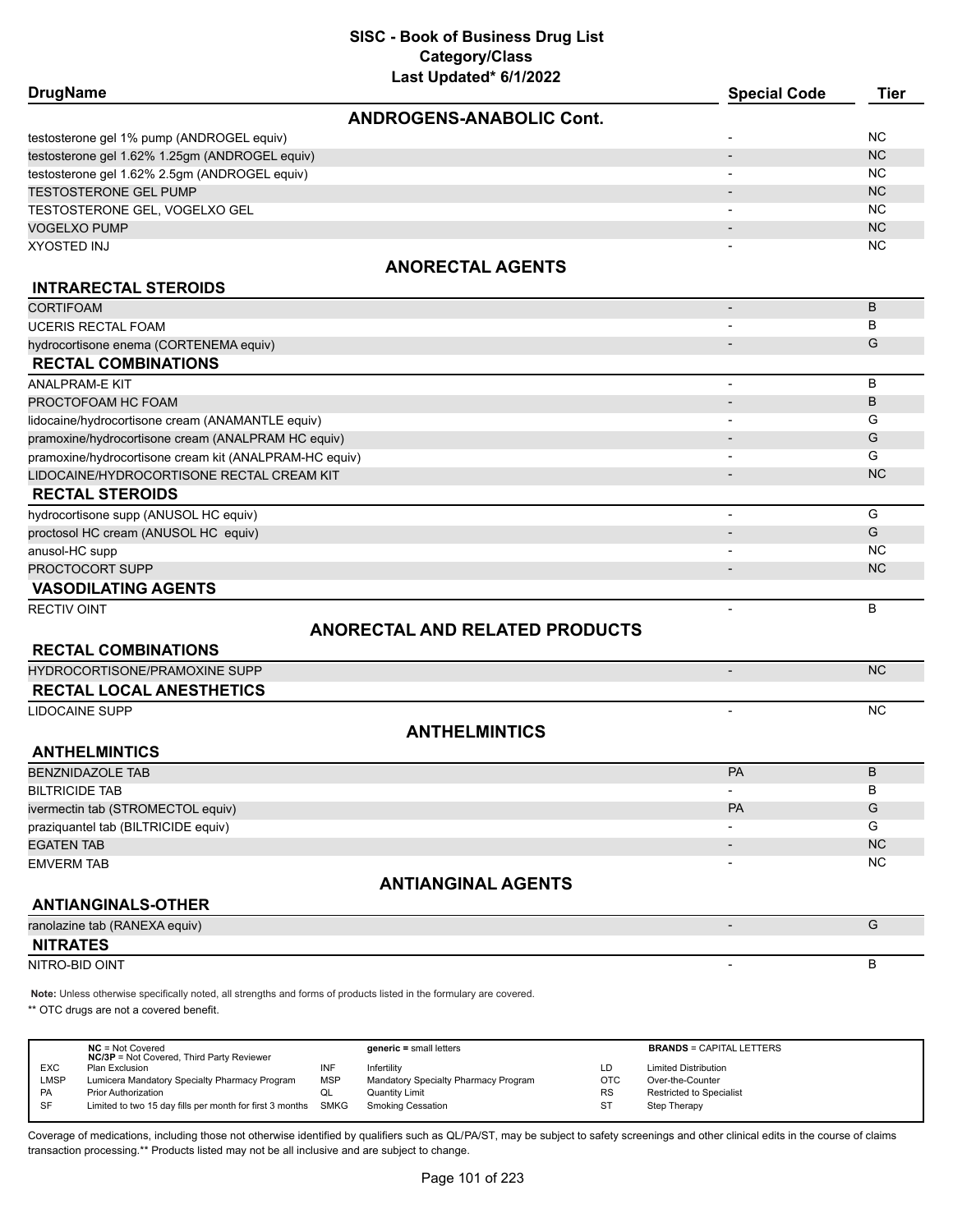| <b>DrugName</b>                                        |                                       | <b>Special Code</b>      | <b>Tier</b> |
|--------------------------------------------------------|---------------------------------------|--------------------------|-------------|
|                                                        | <b>ANDROGENS-ANABOLIC Cont.</b>       |                          |             |
| testosterone gel 1% pump (ANDROGEL equiv)              |                                       |                          | <b>NC</b>   |
| testosterone gel 1.62% 1.25gm (ANDROGEL equiv)         |                                       |                          | NC          |
| testosterone gel 1.62% 2.5gm (ANDROGEL equiv)          |                                       |                          | <b>NC</b>   |
| <b>TESTOSTERONE GEL PUMP</b>                           |                                       |                          | NC          |
| TESTOSTERONE GEL, VOGELXO GEL                          |                                       |                          | <b>NC</b>   |
| <b>VOGELXO PUMP</b>                                    |                                       |                          | NC          |
| <b>XYOSTED INJ</b>                                     |                                       |                          | <b>NC</b>   |
|                                                        | <b>ANORECTAL AGENTS</b>               |                          |             |
| <b>INTRARECTAL STEROIDS</b>                            |                                       |                          |             |
| <b>CORTIFOAM</b>                                       |                                       | $\overline{\phantom{a}}$ | B           |
| <b>UCERIS RECTAL FOAM</b>                              |                                       |                          | B           |
| hydrocortisone enema (CORTENEMA equiv)                 |                                       |                          | G           |
| <b>RECTAL COMBINATIONS</b>                             |                                       |                          |             |
| <b>ANALPRAM-E KIT</b>                                  |                                       | $\overline{\phantom{a}}$ | B           |
| PROCTOFOAM HC FOAM                                     |                                       |                          | B           |
| lidocaine/hydrocortisone cream (ANAMANTLE equiv)       |                                       | $\overline{\phantom{a}}$ | G           |
| pramoxine/hydrocortisone cream (ANALPRAM HC equiv)     |                                       |                          | G           |
| pramoxine/hydrocortisone cream kit (ANALPRAM-HC equiv) |                                       | $\overline{\phantom{a}}$ | G           |
| LIDOCAINE/HYDROCORTISONE RECTAL CREAM KIT              |                                       |                          | <b>NC</b>   |
| <b>RECTAL STEROIDS</b>                                 |                                       |                          |             |
| hydrocortisone supp (ANUSOL HC equiv)                  |                                       | $\overline{\phantom{a}}$ | G           |
| proctosol HC cream (ANUSOL HC equiv)                   |                                       |                          | G           |
| anusol-HC supp                                         |                                       | $\overline{\phantom{a}}$ | <b>NC</b>   |
| PROCTOCORT SUPP                                        |                                       |                          | NC.         |
| <b>VASODILATING AGENTS</b>                             |                                       |                          |             |
| <b>RECTIV OINT</b>                                     |                                       | $\overline{a}$           | B           |
|                                                        | <b>ANORECTAL AND RELATED PRODUCTS</b> |                          |             |
| <b>RECTAL COMBINATIONS</b>                             |                                       |                          |             |
| <b>HYDROCORTISONE/PRAMOXINE SUPP</b>                   |                                       | $\overline{\phantom{a}}$ | NC          |
| <b>RECTAL LOCAL ANESTHETICS</b>                        |                                       |                          |             |
| <b>LIDOCAINE SUPP</b>                                  |                                       | $\overline{\phantom{a}}$ | <b>NC</b>   |
|                                                        | <b>ANTHELMINTICS</b>                  |                          |             |
| <b>ANTHELMINTICS</b>                                   |                                       |                          |             |
| <b>BENZNIDAZOLE TAB</b>                                |                                       | <b>PA</b>                | B           |
| <b>BILTRICIDE TAB</b>                                  |                                       | $\overline{\phantom{a}}$ | В           |
| ivermectin tab (STROMECTOL equiv)                      |                                       | <b>PA</b>                | G           |
| praziquantel tab (BILTRICIDE equiv)                    |                                       |                          | G           |
| <b>EGATEN TAB</b>                                      |                                       |                          | NC          |
| <b>EMVERM TAB</b>                                      |                                       |                          | <b>NC</b>   |
|                                                        | <b>ANTIANGINAL AGENTS</b>             |                          |             |
| <b>ANTIANGINALS-OTHER</b>                              |                                       |                          |             |
| ranolazine tab (RANEXA equiv)                          |                                       | $\overline{\phantom{a}}$ | G           |
| <b>NITRATES</b>                                        |                                       |                          |             |
| NITRO-BID OINT                                         |                                       | $\blacksquare$           | B           |

**Note:** Unless otherwise specifically noted, all strengths and forms of products listed in the formulary are covered.

\*\* OTC drugs are not a covered benefit.

| $NC = Not Covered$                            |                                                  | $generic = small letters$                                     |           | <b>BRANDS = CAPITAL LETTERS</b> |
|-----------------------------------------------|--------------------------------------------------|---------------------------------------------------------------|-----------|---------------------------------|
| Plan Exclusion                                |                                                  | Infertility                                                   | LD        | <b>Limited Distribution</b>     |
| Lumicera Mandatory Specialty Pharmacy Program | <b>MSP</b>                                       | Mandatory Specialty Pharmacy Program                          | OTC       | Over-the-Counter                |
| <b>Prior Authorization</b>                    | QL                                               | Quantity Limit                                                | <b>RS</b> | Restricted to Specialist        |
|                                               |                                                  | Smoking Cessation                                             | <b>ST</b> | Step Therapy                    |
|                                               | <b>NC/3P</b> = Not Covered, Third Party Reviewer | Limited to two 15 day fills per month for first 3 months SMKG |           |                                 |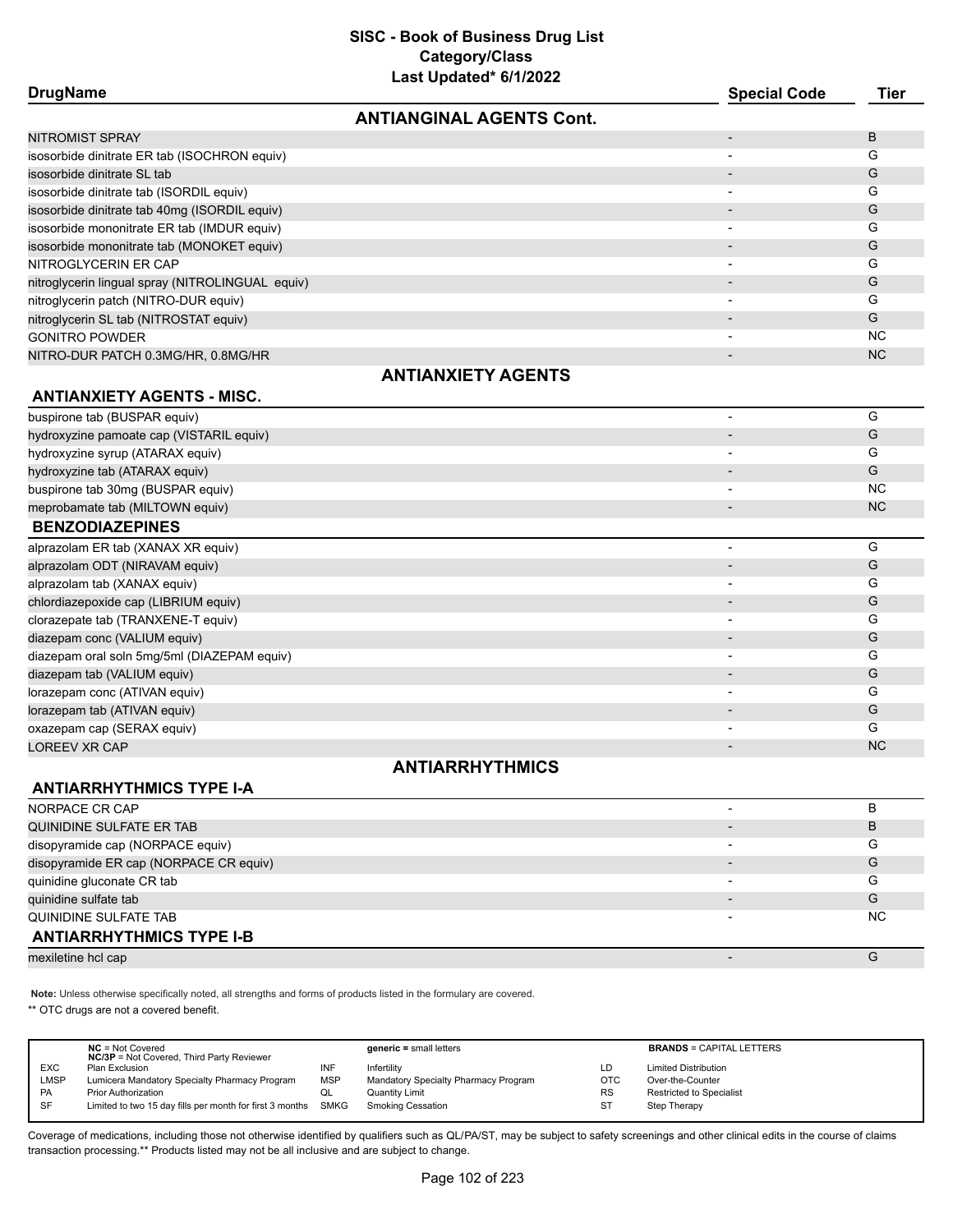| Last Updated" 6/1/2022                           |                     |           |
|--------------------------------------------------|---------------------|-----------|
| <b>DrugName</b>                                  | <b>Special Code</b> | Tier      |
| <b>ANTIANGINAL AGENTS Cont.</b>                  |                     |           |
| <b>NITROMIST SPRAY</b>                           |                     | B         |
| isosorbide dinitrate ER tab (ISOCHRON equiv)     |                     | G         |
| isosorbide dinitrate SL tab                      |                     | G         |
| isosorbide dinitrate tab (ISORDIL equiv)         |                     | G         |
| isosorbide dinitrate tab 40mg (ISORDIL equiv)    |                     | G         |
| isosorbide mononitrate ER tab (IMDUR equiv)      |                     | G         |
| isosorbide mononitrate tab (MONOKET equiv)       |                     | G         |
| NITROGLYCERIN ER CAP                             | $\blacksquare$      | G         |
| nitroglycerin lingual spray (NITROLINGUAL equiv) |                     | G         |
| nitroglycerin patch (NITRO-DUR equiv)            | -                   | G         |
| nitroglycerin SL tab (NITROSTAT equiv)           |                     | G         |
| <b>GONITRO POWDER</b>                            | $\blacksquare$      | <b>NC</b> |
| NITRO-DUR PATCH 0.3MG/HR, 0.8MG/HR               |                     | <b>NC</b> |
| <b>ANTIANXIETY AGENTS</b>                        |                     |           |
| <b>ANTIANXIETY AGENTS - MISC.</b>                |                     |           |
| buspirone tab (BUSPAR equiv)                     |                     | G         |
| hydroxyzine pamoate cap (VISTARIL equiv)         |                     | G         |
| hydroxyzine syrup (ATARAX equiv)                 |                     | G         |
| hydroxyzine tab (ATARAX equiv)                   |                     | G         |
| buspirone tab 30mg (BUSPAR equiv)                |                     | <b>NC</b> |

#### **BENZODIAZEPINES**

|   | G         |
|---|-----------|
|   | G         |
|   | G         |
|   | G         |
| ۰ | G         |
|   | G         |
| ۰ | G         |
|   | G         |
|   | G         |
|   | G         |
|   | G         |
|   | <b>NC</b> |
|   |           |

meprobamate tab (MILTOWN equiv) and the contract of the contract of the contract of the contract of the contract of the contract of the contract of the contract of the contract of the contract of the contract of the contra

### **ANTIARRHYTHMICS**

#### **ANTIARRHYTHMICS TYPE I-A**

| NORPACE CR CAP                         |    |
|----------------------------------------|----|
| QUINIDINE SULFATE ER TAB               | В  |
| disopyramide cap (NORPACE equiv)       | G  |
| disopyramide ER cap (NORPACE CR equiv) | G  |
| quinidine gluconate CR tab             | G  |
| quinidine sulfate tab                  | G  |
| QUINIDINE SULFATE TAB                  | ΝC |
| <b>ANTIARRHYTHMICS TYPE I-B</b>        |    |
| mexiletine hcl cap                     |    |

**Note:** Unless otherwise specifically noted, all strengths and forms of products listed in the formulary are covered.

\*\* OTC drugs are not a covered benefit.

|            | $NC = Not Covered$<br><b>NC/3P</b> = Not Covered, Third Party Reviewer |            | $generic = small letters$            |            | <b>BRANDS = CAPITAL LETTERS</b> |
|------------|------------------------------------------------------------------------|------------|--------------------------------------|------------|---------------------------------|
| <b>EXC</b> | Plan Exclusion                                                         | INF        | Infertility                          | LD         | <b>Limited Distribution</b>     |
| LMSP       | Lumicera Mandatory Specialty Pharmacy Program                          | <b>MSP</b> | Mandatory Specialty Pharmacy Program | <b>OTC</b> | Over-the-Counter                |
| <b>PA</b>  | <b>Prior Authorization</b>                                             | ◡          | Quantity Limit                       | <b>RS</b>  | <b>Restricted to Specialist</b> |
| <b>SF</b>  | Limited to two 15 day fills per month for first 3 months               | SMKG       | <b>Smoking Cessation</b>             | <b>ST</b>  | Step Therapy                    |
|            |                                                                        |            |                                      |            |                                 |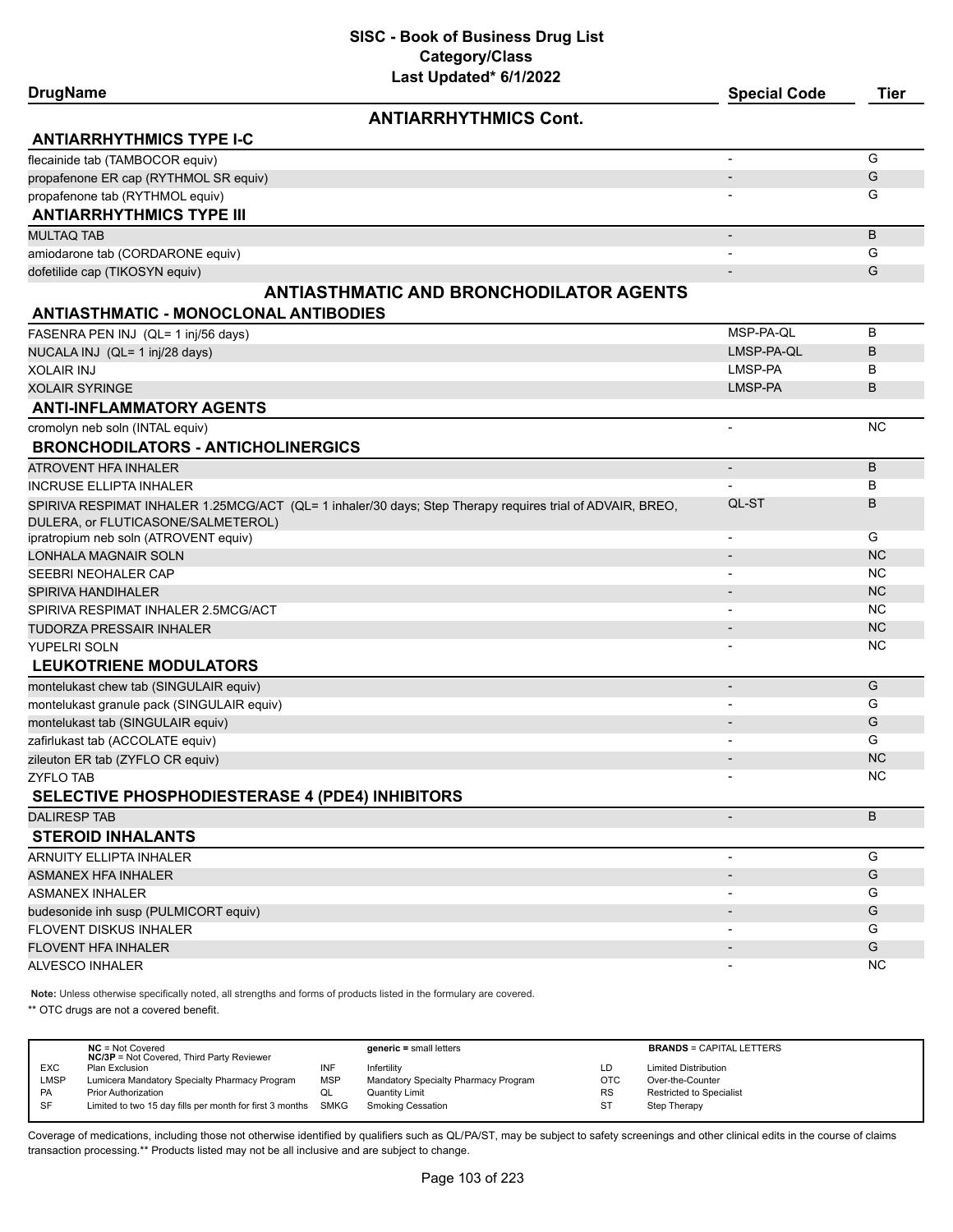| <b>DrugName</b>                                                                                           | <b>Special Code</b>      | <b>Tier</b> |
|-----------------------------------------------------------------------------------------------------------|--------------------------|-------------|
| <b>ANTIARRHYTHMICS Cont.</b>                                                                              |                          |             |
| <b>ANTIARRHYTHMICS TYPE I-C</b>                                                                           |                          |             |
| flecainide tab (TAMBOCOR equiv)                                                                           |                          | G           |
| propafenone ER cap (RYTHMOL SR equiv)                                                                     |                          | G           |
| propafenone tab (RYTHMOL equiv)                                                                           |                          | G           |
| <b>ANTIARRHYTHMICS TYPE III</b>                                                                           |                          |             |
| <b>MULTAQ TAB</b>                                                                                         | $\overline{\phantom{a}}$ | B           |
| amiodarone tab (CORDARONE equiv)                                                                          |                          | G           |
| dofetilide cap (TIKOSYN equiv)                                                                            |                          | G           |
| <b>ANTIASTHMATIC AND BRONCHODILATOR AGENTS</b>                                                            |                          |             |
| <b>ANTIASTHMATIC - MONOCLONAL ANTIBODIES</b>                                                              |                          |             |
| FASENRA PEN INJ (QL= 1 inj/56 days)                                                                       | MSP-PA-QL                | В           |
| NUCALA INJ (QL= 1 inj/28 days)                                                                            | LMSP-PA-QL               | В           |
| <b>XOLAIR INJ</b>                                                                                         | LMSP-PA                  | В           |
| <b>XOLAIR SYRINGE</b>                                                                                     | LMSP-PA                  | B           |
| <b>ANTI-INFLAMMATORY AGENTS</b>                                                                           |                          |             |
| cromolyn neb soln (INTAL equiv)                                                                           | $\overline{\phantom{a}}$ | <b>NC</b>   |
| <b>BRONCHODILATORS - ANTICHOLINERGICS</b>                                                                 |                          |             |
| ATROVENT HFA INHALER                                                                                      |                          | B           |
| INCRUSE ELLIPTA INHALER                                                                                   |                          | В           |
| SPIRIVA RESPIMAT INHALER 1.25MCG/ACT (QL= 1 inhaler/30 days; Step Therapy requires trial of ADVAIR, BREO, | QL-ST                    | В           |
| DULERA, or FLUTICASONE/SALMETEROL)                                                                        |                          |             |
| ipratropium neb soln (ATROVENT equiv)                                                                     | $\overline{\phantom{a}}$ | G           |
| LONHALA MAGNAIR SOLN                                                                                      |                          | <b>NC</b>   |
| SEEBRI NEOHALER CAP                                                                                       |                          | NC.         |
| SPIRIVA HANDIHALER                                                                                        |                          | <b>NC</b>   |
| SPIRIVA RESPIMAT INHALER 2.5MCG/ACT                                                                       |                          | NC.         |
| TUDORZA PRESSAIR INHALER                                                                                  |                          | <b>NC</b>   |
| YUPELRI SOLN                                                                                              |                          | NC.         |
| <b>LEUKOTRIENE MODULATORS</b>                                                                             |                          |             |
| montelukast chew tab (SINGULAIR equiv)                                                                    | $\overline{\phantom{a}}$ | G           |
| montelukast granule pack (SINGULAIR equiv)                                                                | $\overline{\phantom{0}}$ | G           |
| montelukast tab (SINGULAIR equiv)                                                                         |                          | G           |
| zafirlukast tab (ACCOLATE equiv)                                                                          |                          | G           |
| zileuton ER tab (ZYFLO CR equiv)                                                                          |                          | <b>NC</b>   |
| ZYFLO TAB                                                                                                 |                          | NC.         |
| SELECTIVE PHOSPHODIESTERASE 4 (PDE4) INHIBITORS                                                           |                          |             |
| <b>DALIRESP TAB</b>                                                                                       | $\overline{\phantom{a}}$ | B           |
| <b>STEROID INHALANTS</b>                                                                                  |                          |             |
| <b>ARNUITY ELLIPTA INHALER</b>                                                                            |                          | G           |
| ASMANEX HFA INHALER                                                                                       |                          | G           |
| <b>ASMANEX INHALER</b>                                                                                    | $\overline{\phantom{a}}$ | G           |
| budesonide inh susp (PULMICORT equiv)                                                                     |                          | G           |
| FLOVENT DISKUS INHALER                                                                                    |                          | G           |
| <b>FLOVENT HFA INHALER</b>                                                                                |                          | G           |
| ALVESCO INHALER                                                                                           |                          | <b>NC</b>   |

**Note:** Unless otherwise specifically noted, all strengths and forms of products listed in the formulary are covered.

\*\* OTC drugs are not a covered benefit.

|            | $NC = Not Covered$<br><b>NC/3P</b> = Not Covered, Third Party Reviewer |            | $generic = small letters$            |            | <b>BRANDS = CAPITAL LETTERS</b> |
|------------|------------------------------------------------------------------------|------------|--------------------------------------|------------|---------------------------------|
| <b>EXC</b> | Plan Exclusion                                                         | INF        | Infertilitv                          | LD         | <b>Limited Distribution</b>     |
| LMSP       | Lumicera Mandatory Specialty Pharmacy Program                          | <b>MSP</b> | Mandatory Specialty Pharmacy Program | <b>OTC</b> | Over-the-Counter                |
| PA         | <b>Prior Authorization</b>                                             | QL         | Quantity Limit                       | <b>RS</b>  | <b>Restricted to Specialist</b> |
| <b>SF</b>  | Limited to two 15 day fills per month for first 3 months SMKG          |            | Smoking Cessation                    | ST         | Step Therapy                    |
|            |                                                                        |            |                                      |            |                                 |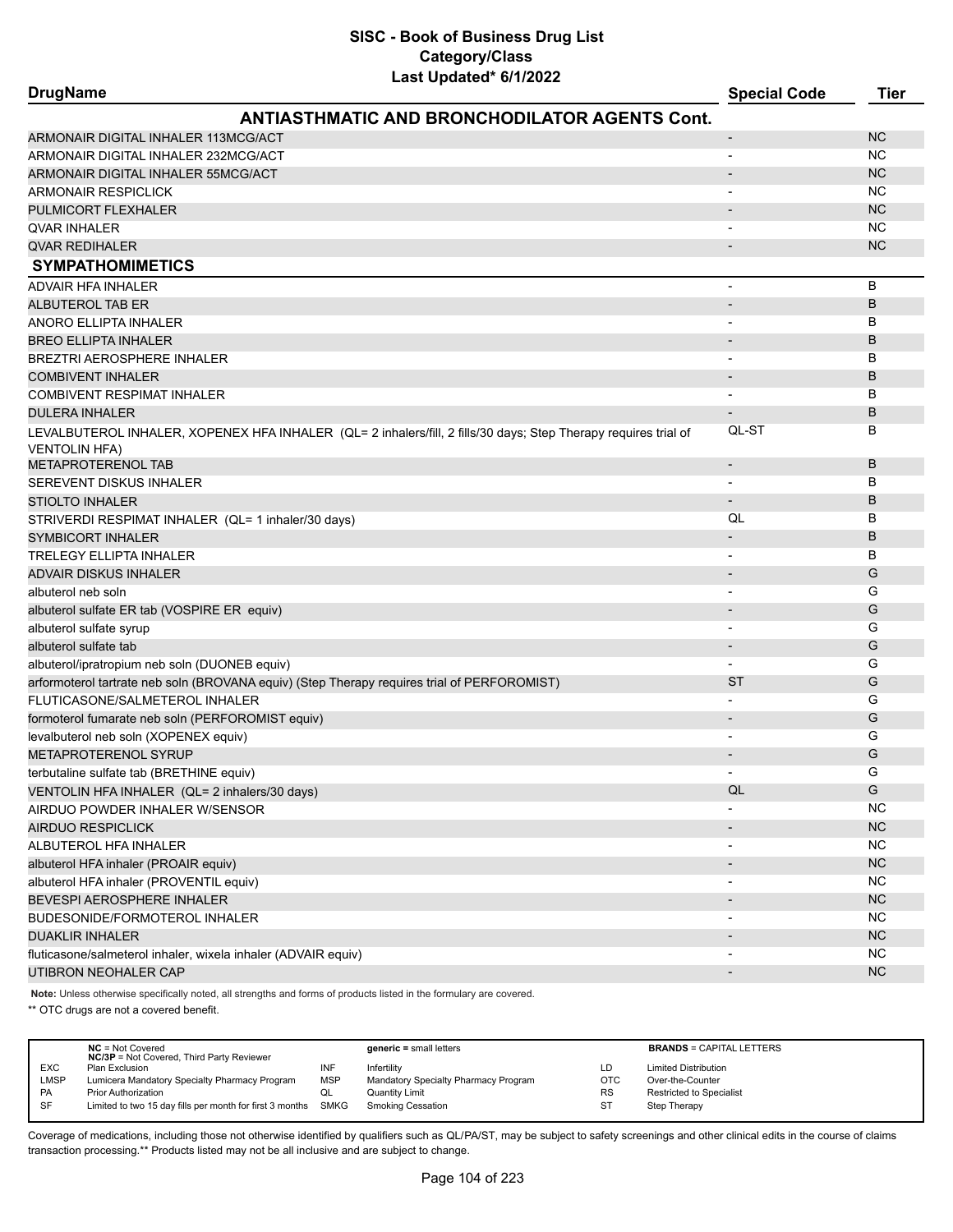| <b>DrugName</b>                                               | Lasi upualeu lo 172022                                                                                          | <b>Special Code</b>          | <b>Tier</b> |
|---------------------------------------------------------------|-----------------------------------------------------------------------------------------------------------------|------------------------------|-------------|
|                                                               | <b>ANTIASTHMATIC AND BRONCHODILATOR AGENTS Cont.</b>                                                            |                              |             |
| ARMONAIR DIGITAL INHALER 113MCG/ACT                           |                                                                                                                 | $\qquad \qquad \blacksquare$ | <b>NC</b>   |
| ARMONAIR DIGITAL INHALER 232MCG/ACT                           |                                                                                                                 | $\blacksquare$               | <b>NC</b>   |
| ARMONAIR DIGITAL INHALER 55MCG/ACT                            |                                                                                                                 |                              | <b>NC</b>   |
| <b>ARMONAIR RESPICLICK</b>                                    |                                                                                                                 |                              | <b>NC</b>   |
| PULMICORT FLEXHALER                                           |                                                                                                                 |                              | <b>NC</b>   |
| <b>QVAR INHALER</b>                                           |                                                                                                                 |                              | <b>NC</b>   |
| <b>QVAR REDIHALER</b>                                         |                                                                                                                 |                              | <b>NC</b>   |
| <b>SYMPATHOMIMETICS</b>                                       |                                                                                                                 |                              |             |
| <b>ADVAIR HFA INHALER</b>                                     |                                                                                                                 | $\overline{a}$               | B           |
| ALBUTEROL TAB ER                                              |                                                                                                                 |                              | B           |
| ANORO ELLIPTA INHALER                                         |                                                                                                                 |                              | B           |
| <b>BREO ELLIPTA INHALER</b>                                   |                                                                                                                 |                              | B           |
| <b>BREZTRI AEROSPHERE INHALER</b>                             |                                                                                                                 |                              | В           |
| <b>COMBIVENT INHALER</b>                                      |                                                                                                                 |                              | B           |
| <b>COMBIVENT RESPIMAT INHALER</b>                             |                                                                                                                 | -                            | В           |
| <b>DULERA INHALER</b>                                         |                                                                                                                 |                              | B           |
|                                                               | LEVALBUTEROL INHALER, XOPENEX HFA INHALER (QL= 2 inhalers/fill, 2 fills/30 days; Step Therapy requires trial of | QL-ST                        | в           |
| <b>VENTOLIN HFA)</b><br><b>METAPROTERENOL TAB</b>             |                                                                                                                 | $\overline{\phantom{m}}$     | B           |
| SEREVENT DISKUS INHALER                                       |                                                                                                                 |                              | В           |
| <b>STIOLTO INHALER</b>                                        |                                                                                                                 |                              | B           |
| STRIVERDI RESPIMAT INHALER (QL= 1 inhaler/30 days)            |                                                                                                                 | QL                           | в           |
| <b>SYMBICORT INHALER</b>                                      |                                                                                                                 |                              | B           |
| <b>TRELEGY ELLIPTA INHALER</b>                                |                                                                                                                 |                              | B           |
| ADVAIR DISKUS INHALER                                         |                                                                                                                 |                              | G           |
| albuterol neb soln                                            |                                                                                                                 | $\overline{\phantom{0}}$     | G           |
| albuterol sulfate ER tab (VOSPIRE ER equiv)                   |                                                                                                                 |                              | G           |
| albuterol sulfate syrup                                       |                                                                                                                 |                              | G           |
| albuterol sulfate tab                                         |                                                                                                                 | $\blacksquare$               | G           |
| albuterol/ipratropium neb soln (DUONEB equiv)                 |                                                                                                                 | $\overline{\phantom{0}}$     | G           |
|                                                               | arformoterol tartrate neb soln (BROVANA equiv) (Step Therapy requires trial of PERFOROMIST)                     | ST                           | G           |
| FLUTICASONE/SALMETEROL INHALER                                |                                                                                                                 |                              | G           |
| formoterol fumarate neb soln (PERFOROMIST equiv)              |                                                                                                                 |                              | G           |
| levalbuterol neb soln (XOPENEX equiv)                         |                                                                                                                 |                              | G           |
| <b>METAPROTERENOL SYRUP</b>                                   |                                                                                                                 |                              | G           |
| terbutaline sulfate tab (BRETHINE equiv)                      |                                                                                                                 |                              | G           |
| VENTOLIN HFA INHALER (QL= 2 inhalers/30 days)                 |                                                                                                                 | QL                           | G           |
| AIRDUO POWDER INHALER W/SENSOR                                |                                                                                                                 |                              | <b>NC</b>   |
| <b>AIRDUO RESPICLICK</b>                                      |                                                                                                                 |                              | NC          |
| ALBUTEROL HFA INHALER                                         |                                                                                                                 |                              | <b>NC</b>   |
| albuterol HFA inhaler (PROAIR equiv)                          |                                                                                                                 |                              | NC          |
| albuterol HFA inhaler (PROVENTIL equiv)                       |                                                                                                                 |                              | <b>NC</b>   |
| BEVESPI AEROSPHERE INHALER                                    |                                                                                                                 |                              | NC          |
| BUDESONIDE/FORMOTEROL INHALER                                 |                                                                                                                 |                              | <b>NC</b>   |
| <b>DUAKLIR INHALER</b>                                        |                                                                                                                 |                              | NC          |
| fluticasone/salmeterol inhaler, wixela inhaler (ADVAIR equiv) |                                                                                                                 |                              | NC.         |
| UTIBRON NEOHALER CAP                                          |                                                                                                                 |                              | <b>NC</b>   |
|                                                               |                                                                                                                 |                              |             |

**Note:** Unless otherwise specifically noted, all strengths and forms of products listed in the formulary are covered.

\*\* OTC drugs are not a covered benefit.

|             | $NC = Not Covered$<br><b>NC/3P</b> = Not Covered, Third Party Reviewer |            | $generic = small letters$            |            | <b>BRANDS = CAPITAL LETTERS</b> |
|-------------|------------------------------------------------------------------------|------------|--------------------------------------|------------|---------------------------------|
| <b>EXC</b>  | Plan Exclusion                                                         | INF        | Infertility                          | LD         | <b>Limited Distribution</b>     |
| <b>LMSP</b> | Lumicera Mandatory Specialty Pharmacy Program                          | <b>MSP</b> | Mandatory Specialty Pharmacy Program | <b>OTC</b> | Over-the-Counter                |
| <b>PA</b>   | <b>Prior Authorization</b>                                             | QL         | Quantity Limit                       | <b>RS</b>  | <b>Restricted to Specialist</b> |
| SF          | Limited to two 15 day fills per month for first 3 months               | SMKG       | <b>Smoking Cessation</b>             | ST         | Step Therapy                    |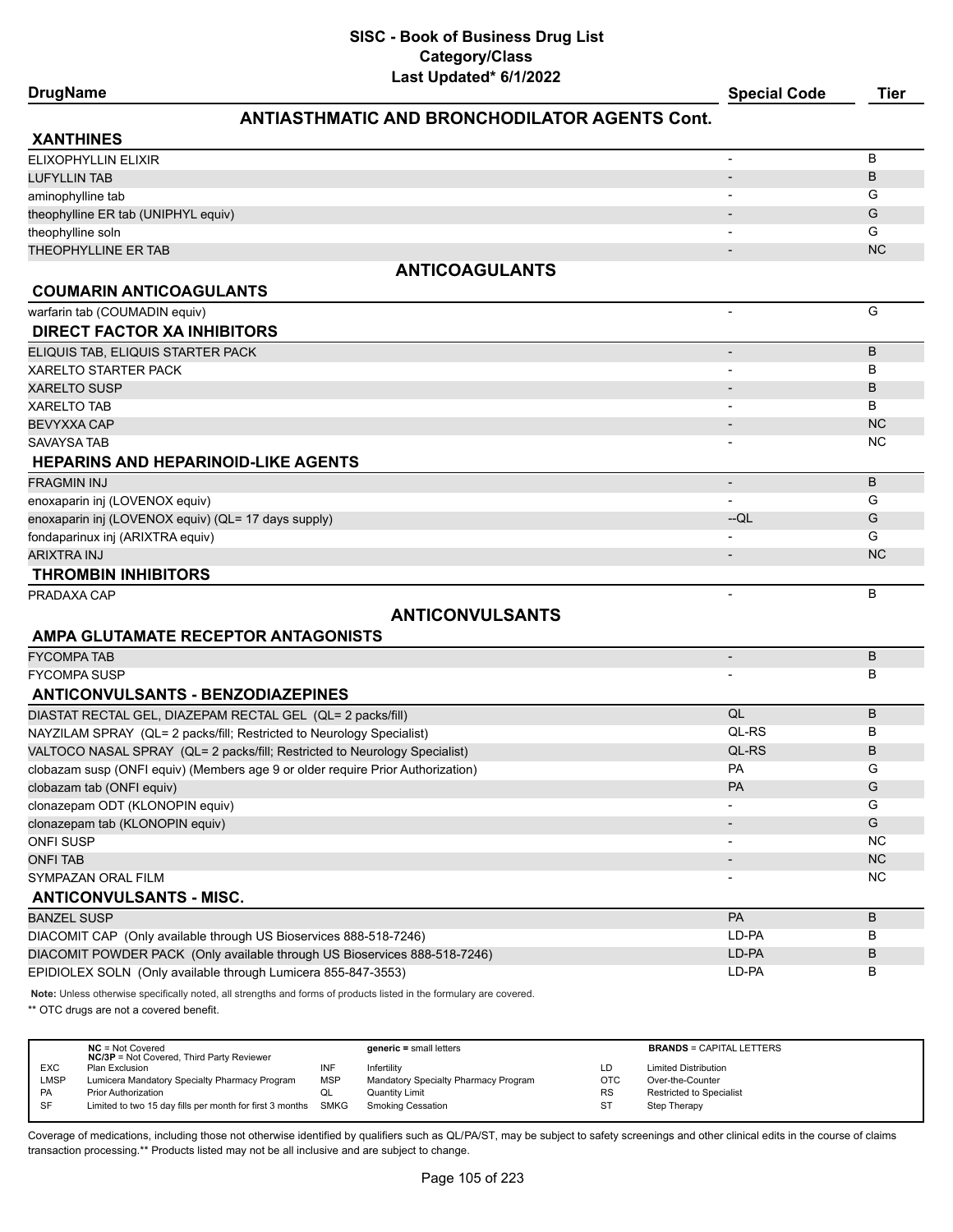|                 | .                   |      |
|-----------------|---------------------|------|
| <b>DrugName</b> | <b>Special Code</b> | Tier |

## **ANTIASTHMATIC AND BRONCHODILATOR AGENTS Cont.**

| <b>XANTHINES</b>                                                                                                    |                          |           |
|---------------------------------------------------------------------------------------------------------------------|--------------------------|-----------|
| <b>ELIXOPHYLLIN ELIXIR</b>                                                                                          |                          | В         |
| <b>LUFYLLIN TAB</b>                                                                                                 | $\overline{\phantom{a}}$ | B         |
| aminophylline tab                                                                                                   |                          | G         |
| theophylline ER tab (UNIPHYL equiv)                                                                                 |                          | G         |
| theophylline soln                                                                                                   |                          | G         |
| <b>THEOPHYLLINE ER TAB</b>                                                                                          |                          | <b>NC</b> |
| <b>ANTICOAGULANTS</b>                                                                                               |                          |           |
| <b>COUMARIN ANTICOAGULANTS</b>                                                                                      |                          |           |
| warfarin tab (COUMADIN equiv)                                                                                       | $\overline{\phantom{a}}$ | G         |
| <b>DIRECT FACTOR XA INHIBITORS</b>                                                                                  |                          |           |
| ELIQUIS TAB, ELIQUIS STARTER PACK                                                                                   | $\overline{\phantom{a}}$ | B         |
| <b>XARELTO STARTER PACK</b>                                                                                         |                          | B         |
| <b>XARELTO SUSP</b>                                                                                                 |                          | B         |
| <b>XARELTO TAB</b>                                                                                                  | $\overline{\phantom{a}}$ | В         |
| <b>BEVYXXA CAP</b>                                                                                                  | $\overline{\phantom{a}}$ | <b>NC</b> |
| <b>SAVAYSA TAB</b>                                                                                                  |                          | <b>NC</b> |
| <b>HEPARINS AND HEPARINOID-LIKE AGENTS</b>                                                                          |                          |           |
| <b>FRAGMIN INJ</b>                                                                                                  | $\overline{\phantom{a}}$ | B         |
| enoxaparin inj (LOVENOX equiv)                                                                                      |                          | G         |
| enoxaparin inj (LOVENOX equiv) (QL= 17 days supply)                                                                 | $-QL$                    | G         |
| fondaparinux inj (ARIXTRA equiv)                                                                                    |                          | G         |
| <b>ARIXTRA INJ</b>                                                                                                  |                          | <b>NC</b> |
| <b>THROMBIN INHIBITORS</b>                                                                                          |                          |           |
| PRADAXA CAP                                                                                                         | $\blacksquare$           | B         |
| <b>ANTICONVULSANTS</b>                                                                                              |                          |           |
| AMPA GLUTAMATE RECEPTOR ANTAGONISTS                                                                                 |                          |           |
| <b>FYCOMPA TAB</b>                                                                                                  | $\centerdot$             | B         |
| <b>FYCOMPA SUSP</b>                                                                                                 |                          | B         |
| <b>ANTICONVULSANTS - BENZODIAZEPINES</b>                                                                            |                          |           |
| DIASTAT RECTAL GEL, DIAZEPAM RECTAL GEL (QL= 2 packs/fill)                                                          | QL                       | B         |
| NAYZILAM SPRAY (QL= 2 packs/fill; Restricted to Neurology Specialist)                                               | QL-RS                    | В         |
| VALTOCO NASAL SPRAY (QL= 2 packs/fill; Restricted to Neurology Specialist)                                          | QL-RS                    | B         |
| clobazam susp (ONFI equiv) (Members age 9 or older require Prior Authorization)                                     | <b>PA</b>                | G         |
| clobazam tab (ONFI equiv)                                                                                           | <b>PA</b>                | G         |
| clonazepam ODT (KLONOPIN equiv)                                                                                     |                          | G         |
| clonazepam tab (KLONOPIN equiv)                                                                                     |                          | G         |
| <b>ONFI SUSP</b>                                                                                                    |                          | NC.       |
| <b>ONFI TAB</b>                                                                                                     |                          | <b>NC</b> |
| SYMPAZAN ORAL FILM                                                                                                  |                          | NC        |
| <b>ANTICONVULSANTS - MISC.</b>                                                                                      |                          |           |
| <b>BANZEL SUSP</b>                                                                                                  | PA                       | B         |
| DIACOMIT CAP (Only available through US Bioservices 888-518-7246)                                                   | LD-PA                    | В         |
| DIACOMIT POWDER PACK (Only available through US Bioservices 888-518-7246)                                           | LD-PA                    | В         |
| EPIDIOLEX SOLN (Only available through Lumicera 855-847-3553)                                                       | LD-PA                    | В         |
| Note: Unless otherwise specifically noted, all strengths and forms of products listed in the formulary are covered. |                          |           |

\*\* OTC drugs are not a covered benefit.

|            | $NC = Not Covered$<br><b>NC/3P</b> = Not Covered, Third Party Reviewer |            | $generic = small letters$            |           | <b>BRANDS = CAPITAL LETTERS</b> |
|------------|------------------------------------------------------------------------|------------|--------------------------------------|-----------|---------------------------------|
| <b>EXC</b> | Plan Exclusion                                                         | INF        | Infertility                          | LD.       | <b>Limited Distribution</b>     |
|            |                                                                        |            |                                      |           |                                 |
| LMSP       | Lumicera Mandatory Specialty Pharmacy Program                          | <b>MSP</b> | Mandatory Specialty Pharmacy Program | OTC       | Over-the-Counter                |
| <b>PA</b>  | <b>Prior Authorization</b>                                             | QL         | <b>Quantity Limit</b>                | <b>RS</b> | <b>Restricted to Specialist</b> |
| <b>SF</b>  | Limited to two 15 day fills per month for first 3 months SMKG          |            | <b>Smoking Cessation</b>             | ST        | Step Therapy                    |
|            |                                                                        |            |                                      |           |                                 |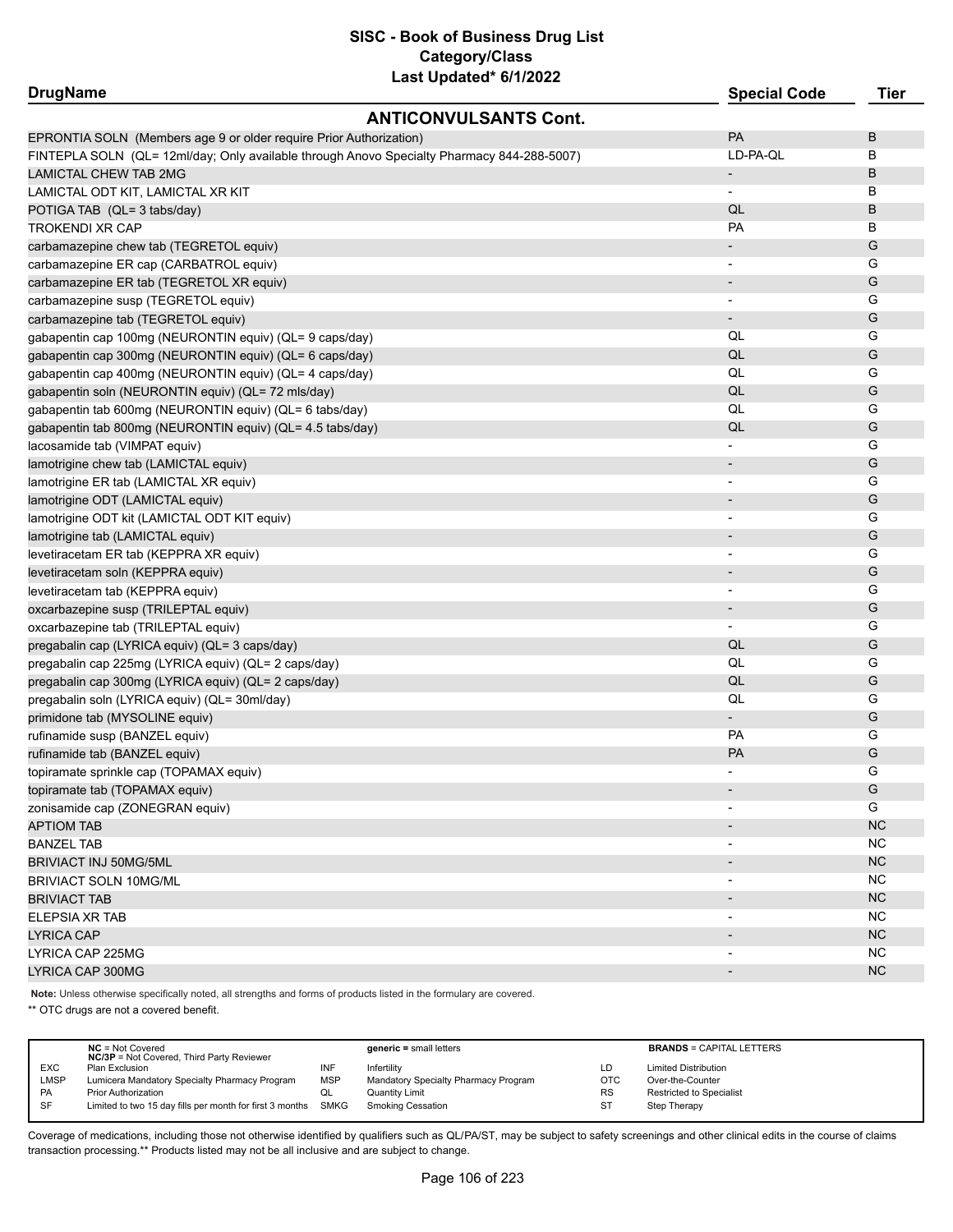| <b>DrugName</b>                                                                            | <b>Special Code</b>      | <b>Tier</b> |
|--------------------------------------------------------------------------------------------|--------------------------|-------------|
| <b>ANTICONVULSANTS Cont.</b>                                                               |                          |             |
| EPRONTIA SOLN (Members age 9 or older require Prior Authorization)                         | PA                       | В           |
| FINTEPLA SOLN (QL= 12ml/day; Only available through Anovo Specialty Pharmacy 844-288-5007) | LD-PA-QL                 | в           |
| <b>LAMICTAL CHEW TAB 2MG</b>                                                               | $\overline{\phantom{a}}$ | B           |
| LAMICTAL ODT KIT, LAMICTAL XR KIT                                                          | $\overline{\phantom{a}}$ | В           |
| POTIGA TAB (QL= 3 tabs/day)                                                                | QL                       | B           |
| <b>TROKENDI XR CAP</b>                                                                     | PA                       | в           |
| carbamazepine chew tab (TEGRETOL equiv)                                                    |                          | G           |
| carbamazepine ER cap (CARBATROL equiv)                                                     |                          | G           |
| carbamazepine ER tab (TEGRETOL XR equiv)                                                   |                          | G           |
| carbamazepine susp (TEGRETOL equiv)                                                        |                          | G           |
| carbamazepine tab (TEGRETOL equiv)                                                         |                          | G           |
| gabapentin cap 100mg (NEURONTIN equiv) (QL= 9 caps/day)                                    | QL                       | G           |
| gabapentin cap 300mg (NEURONTIN equiv) (QL= 6 caps/day)                                    | QL                       | G           |
| gabapentin cap 400mg (NEURONTIN equiv) (QL= 4 caps/day)                                    | QL                       | G           |
| gabapentin soln (NEURONTIN equiv) (QL= 72 mls/day)                                         | QL                       | G           |
| gabapentin tab 600mg (NEURONTIN equiv) (QL= 6 tabs/day)                                    | QL                       | G           |
| gabapentin tab 800mg (NEURONTIN equiv) (QL= 4.5 tabs/day)                                  | QL                       | G           |
| lacosamide tab (VIMPAT equiv)                                                              |                          | G           |
| lamotrigine chew tab (LAMICTAL equiv)                                                      | $\overline{\phantom{a}}$ | G           |
| lamotrigine ER tab (LAMICTAL XR equiv)                                                     | $\overline{\phantom{a}}$ | G           |
| lamotrigine ODT (LAMICTAL equiv)                                                           |                          | G           |
| lamotrigine ODT kit (LAMICTAL ODT KIT equiv)                                               | $\overline{\phantom{a}}$ | G           |
| lamotrigine tab (LAMICTAL equiv)                                                           |                          | G           |
| levetiracetam ER tab (KEPPRA XR equiv)                                                     |                          | G           |
| levetiracetam soln (KEPPRA equiv)                                                          |                          | G           |
| levetiracetam tab (KEPPRA equiv)                                                           |                          | G           |
| oxcarbazepine susp (TRILEPTAL equiv)                                                       |                          | G           |
| oxcarbazepine tab (TRILEPTAL equiv)                                                        | $\overline{\phantom{a}}$ | G           |
| pregabalin cap (LYRICA equiv) (QL= 3 caps/day)                                             | QL                       | G           |
| pregabalin cap 225mg (LYRICA equiv) (QL= 2 caps/day)                                       | QL                       | G           |
| pregabalin cap 300mg (LYRICA equiv) (QL= 2 caps/day)                                       | QL                       | G           |
| pregabalin soln (LYRICA equiv) (QL= 30ml/day)                                              | QL                       | G           |
| primidone tab (MYSOLINE equiv)                                                             | $\blacksquare$           | G           |
| rufinamide susp (BANZEL equiv)                                                             | <b>PA</b>                | G           |
| rufinamide tab (BANZEL equiv)                                                              | PA                       | G           |
| topiramate sprinkle cap (TOPAMAX equiv)                                                    |                          | G           |
| topiramate tab (TOPAMAX equiv)                                                             |                          | G           |
| zonisamide cap (ZONEGRAN equiv)                                                            |                          | G           |
| <b>APTIOM TAB</b>                                                                          |                          | NC          |
| <b>BANZEL TAB</b>                                                                          |                          | <b>NC</b>   |
| BRIVIACT INJ 50MG/5ML                                                                      |                          | <b>NC</b>   |
| <b>BRIVIACT SOLN 10MG/ML</b>                                                               |                          | NC          |
| <b>BRIVIACT TAB</b>                                                                        |                          | NC          |
| ELEPSIA XR TAB                                                                             |                          | NC          |
| <b>LYRICA CAP</b>                                                                          |                          | <b>NC</b>   |
| LYRICA CAP 225MG                                                                           |                          | NC          |
| LYRICA CAP 300MG                                                                           |                          | <b>NC</b>   |

**Note:** Unless otherwise specifically noted, all strengths and forms of products listed in the formulary are covered.

\*\* OTC drugs are not a covered benefit.

|             | $NC = Not Covered$<br><b>NC/3P</b> = Not Covered, Third Party Reviewer |            | <b>generic</b> = small letters       |            | <b>BRANDS = CAPITAL LETTERS</b> |
|-------------|------------------------------------------------------------------------|------------|--------------------------------------|------------|---------------------------------|
| <b>EXC</b>  | Plan Exclusion                                                         | INF        | Infertility                          | LD         | <b>Limited Distribution</b>     |
| <b>LMSP</b> | Lumicera Mandatory Specialty Pharmacy Program                          | <b>MSP</b> | Mandatory Specialty Pharmacy Program | <b>OTC</b> | Over-the-Counter                |
| <b>PA</b>   | <b>Prior Authorization</b>                                             | QL         | Quantity Limit                       | <b>RS</b>  | <b>Restricted to Specialist</b> |
| SF          | Limited to two 15 day fills per month for first 3 months SMKG          |            | Smoking Cessation                    | ST         | Step Therapy                    |
|             |                                                                        |            |                                      |            |                                 |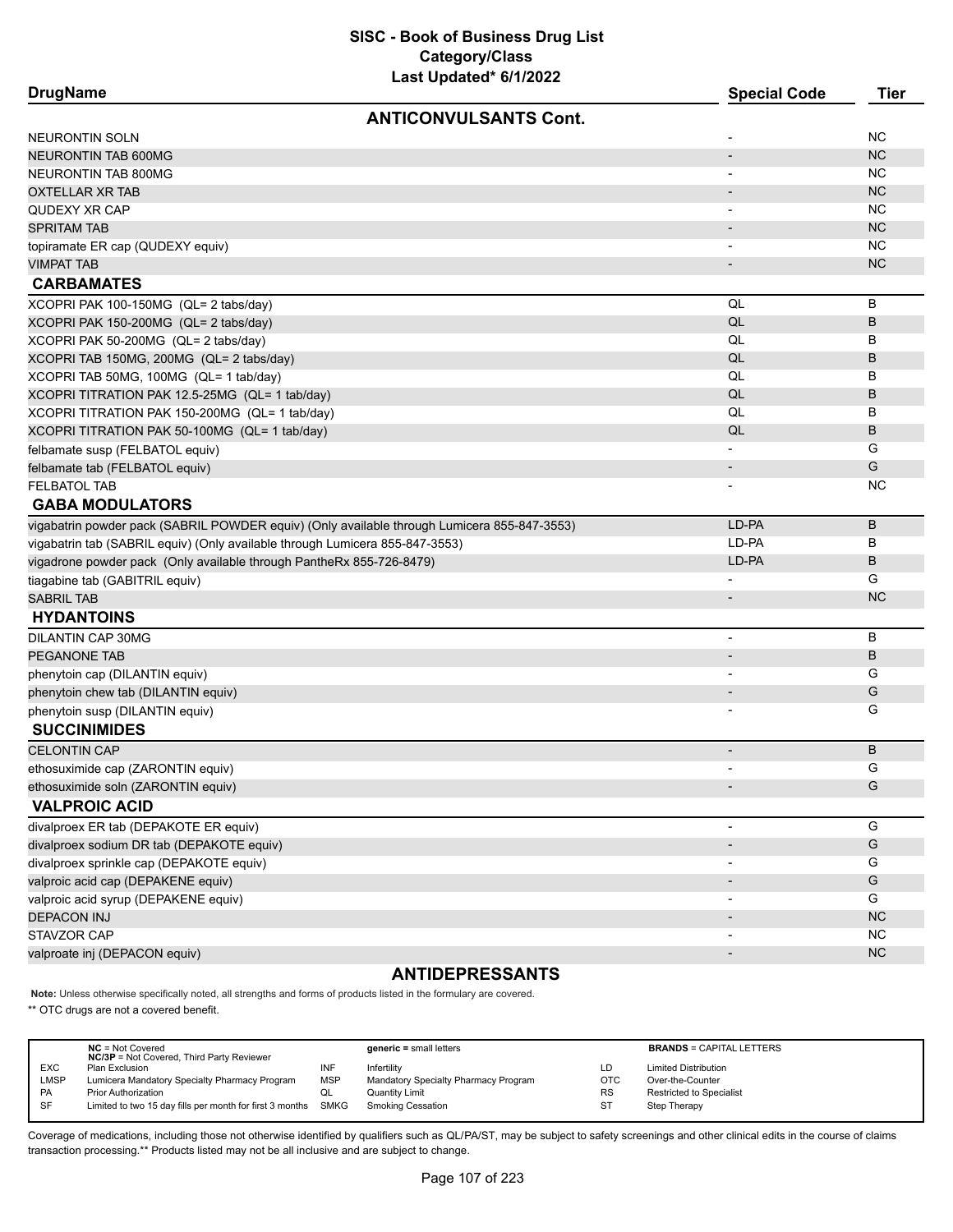| <b>DrugName</b> |
|-----------------|
|-----------------|

| <b>DrugName</b>                                                                             | <b>Special Code</b>      | Tier          |
|---------------------------------------------------------------------------------------------|--------------------------|---------------|
| <b>ANTICONVULSANTS Cont.</b>                                                                |                          |               |
| NEURONTIN SOLN                                                                              |                          | <b>NC</b>     |
| <b>NEURONTIN TAB 600MG</b>                                                                  |                          | NC            |
| NEURONTIN TAB 800MG                                                                         |                          | NC.           |
| OXTELLAR XR TAB                                                                             |                          | <b>NC</b>     |
| QUDEXY XR CAP                                                                               |                          | <b>NC</b>     |
| <b>SPRITAM TAB</b>                                                                          |                          | <b>NC</b>     |
| topiramate ER cap (QUDEXY equiv)                                                            |                          | <b>NC</b>     |
| <b>VIMPAT TAB</b>                                                                           |                          | <b>NC</b>     |
| <b>CARBAMATES</b>                                                                           |                          |               |
| XCOPRI PAK 100-150MG (QL= 2 tabs/day)                                                       | QL                       | B             |
| XCOPRI PAK 150-200MG (QL= 2 tabs/day)                                                       | QL                       | B             |
| XCOPRI PAK 50-200MG (QL= 2 tabs/day)                                                        | QL                       | B             |
| XCOPRI TAB 150MG, 200MG (QL= 2 tabs/day)                                                    | QL                       | B             |
| XCOPRI TAB 50MG, 100MG (QL= 1 tab/day)                                                      | QL                       | B             |
| XCOPRI TITRATION PAK 12.5-25MG (QL= 1 tab/day)                                              | QL                       | B             |
| XCOPRI TITRATION PAK 150-200MG (QL= 1 tab/day)                                              | QL                       | B             |
| XCOPRI TITRATION PAK 50-100MG (QL= 1 tab/day)                                               | QL                       | B             |
| felbamate susp (FELBATOL equiv)                                                             |                          | G             |
| felbamate tab (FELBATOL equiv)                                                              | $\overline{\phantom{a}}$ | G             |
| <b>FELBATOL TAB</b>                                                                         |                          | NC.           |
| <b>GABA MODULATORS</b>                                                                      |                          |               |
| vigabatrin powder pack (SABRIL POWDER equiv) (Only available through Lumicera 855-847-3553) | LD-PA                    | B             |
| vigabatrin tab (SABRIL equiv) (Only available through Lumicera 855-847-3553)                | LD-PA                    | в             |
| vigadrone powder pack (Only available through PantheRx 855-726-8479)                        | LD-PA                    | B             |
| tiagabine tab (GABITRIL equiv)                                                              |                          | G             |
| <b>SABRIL TAB</b>                                                                           |                          | <b>NC</b>     |
| <b>HYDANTOINS</b>                                                                           |                          |               |
| <b>DILANTIN CAP 30MG</b>                                                                    |                          | B             |
| PEGANONE TAB                                                                                |                          | B             |
| phenytoin cap (DILANTIN equiv)                                                              |                          | G             |
| phenytoin chew tab (DILANTIN equiv)                                                         |                          | G             |
| phenytoin susp (DILANTIN equiv)                                                             |                          | G             |
| <b>SUCCINIMIDES</b>                                                                         |                          |               |
| <b>CELONTIN CAP</b>                                                                         |                          | B             |
| ethosuximide cap (ZARONTIN equiv)                                                           |                          | G             |
| ethosuximide soln (ZARONTIN equiv)                                                          |                          | G             |
| <b>VALPROIC ACID</b>                                                                        |                          |               |
| divalproex ER tab (DEPAKOTE ER equiv)                                                       | $\overline{\phantom{a}}$ | G             |
| divalproex sodium DR tab (DEPAKOTE equiv)                                                   | $\overline{\phantom{a}}$ | ${\mathsf G}$ |
| divalproex sprinkle cap (DEPAKOTE equiv)                                                    |                          | G             |
| valproic acid cap (DEPAKENE equiv)                                                          |                          | G             |
| valproic acid syrup (DEPAKENE equiv)                                                        |                          | G             |
| <b>DEPACON INJ</b>                                                                          |                          | <b>NC</b>     |
| STAVZOR CAP                                                                                 |                          | <b>NC</b>     |
| valproate inj (DEPACON equiv)                                                               |                          | <b>NC</b>     |
| <b>ANTIDEPRESSANTS</b>                                                                      |                          |               |

**Note:** Unless otherwise specifically noted, all strengths and forms of products listed in the formulary are covered.

\*\* OTC drugs are not a covered benefit.

|             | $NC = Not Covered$<br><b>NC/3P</b> = Not Covered, Third Party Reviewer |            | $generic = small letters$            |            | <b>BRANDS = CAPITAL LETTERS</b> |
|-------------|------------------------------------------------------------------------|------------|--------------------------------------|------------|---------------------------------|
| <b>EXC</b>  | Plan Exclusion                                                         | INF        | Infertility                          | LD         | <b>Limited Distribution</b>     |
| <b>LMSP</b> | Lumicera Mandatory Specialty Pharmacy Program                          | <b>MSP</b> | Mandatory Specialty Pharmacy Program | <b>OTC</b> | Over-the-Counter                |
| PA          | <b>Prior Authorization</b>                                             | QL         | Quantity Limit                       | <b>RS</b>  | <b>Restricted to Specialist</b> |
| <b>SF</b>   | Limited to two 15 day fills per month for first 3 months SMKG          |            | Smoking Cessation                    | ST         | Step Therapy                    |
|             |                                                                        |            |                                      |            |                                 |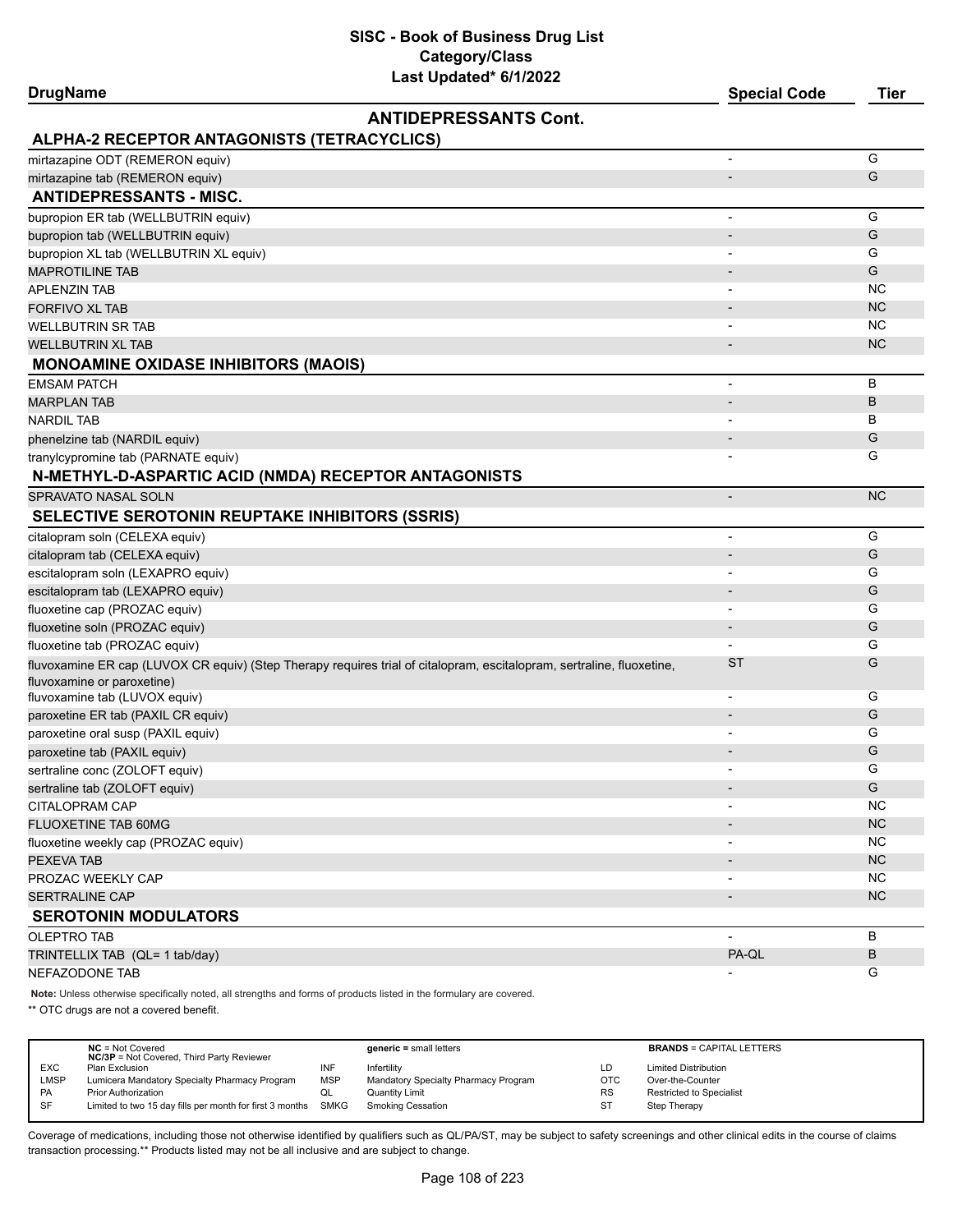**SISC - Book of Business Drug List Category/Class**

| Last Updated* 6/1/2022<br><b>DrugName</b>                                                                             | <b>Special Code</b>      | <b>Tier</b> |
|-----------------------------------------------------------------------------------------------------------------------|--------------------------|-------------|
| <b>ANTIDEPRESSANTS Cont.</b>                                                                                          |                          |             |
| ALPHA-2 RECEPTOR ANTAGONISTS (TETRACYCLICS)                                                                           |                          |             |
| mirtazapine ODT (REMERON equiv)                                                                                       | L,                       | G           |
| mirtazapine tab (REMERON equiv)                                                                                       |                          | G           |
| <b>ANTIDEPRESSANTS - MISC.</b>                                                                                        |                          |             |
| bupropion ER tab (WELLBUTRIN equiv)                                                                                   | $\overline{\phantom{a}}$ | G           |
| bupropion tab (WELLBUTRIN equiv)                                                                                      |                          | G           |
| bupropion XL tab (WELLBUTRIN XL equiv)                                                                                |                          | G           |
| <b>MAPROTILINE TAB</b>                                                                                                | $\overline{\phantom{a}}$ | G           |
| <b>APLENZIN TAB</b>                                                                                                   | $\overline{\phantom{0}}$ | NC          |
| <b>FORFIVO XL TAB</b>                                                                                                 | $\overline{\phantom{a}}$ | <b>NC</b>   |
| <b>WELLBUTRIN SR TAB</b>                                                                                              |                          | <b>NC</b>   |
| WELLBUTRIN XL TAB                                                                                                     | $\overline{\phantom{a}}$ | <b>NC</b>   |
| <b>MONOAMINE OXIDASE INHIBITORS (MAOIS)</b>                                                                           |                          |             |
| <b>EMSAM PATCH</b>                                                                                                    | $\overline{\phantom{0}}$ | в           |
| <b>MARPLAN TAB</b>                                                                                                    | $\overline{\phantom{a}}$ | В           |
| <b>NARDIL TAB</b>                                                                                                     | $\overline{a}$           | в           |
| phenelzine tab (NARDIL equiv)                                                                                         | $\overline{\phantom{m}}$ | G           |
| tranylcypromine tab (PARNATE equiv)                                                                                   |                          | G           |
| N-METHYL-D-ASPARTIC ACID (NMDA) RECEPTOR ANTAGONISTS                                                                  |                          |             |
| SPRAVATO NASAL SOLN                                                                                                   | $\overline{\phantom{0}}$ | <b>NC</b>   |
| <b>SELECTIVE SEROTONIN REUPTAKE INHIBITORS (SSRIS)</b>                                                                |                          |             |
| citalopram soln (CELEXA equiv)                                                                                        |                          | G           |
| citalopram tab (CELEXA equiv)                                                                                         |                          | G           |
| escitalopram soln (LEXAPRO equiv)                                                                                     |                          | G           |
| escitalopram tab (LEXAPRO equiv)                                                                                      | $\overline{\phantom{a}}$ | G           |
| fluoxetine cap (PROZAC equiv)                                                                                         |                          | G           |
| fluoxetine soln (PROZAC equiv)                                                                                        | $\overline{\phantom{0}}$ | G           |
| fluoxetine tab (PROZAC equiv)                                                                                         | -                        | G           |
| fluvoxamine ER cap (LUVOX CR equiv) (Step Therapy requires trial of citalopram, escitalopram, sertraline, fluoxetine, | <b>ST</b>                | G           |
| fluvoxamine or paroxetine)                                                                                            |                          |             |
| fluvoxamine tab (LUVOX equiv)                                                                                         | $\overline{\phantom{a}}$ | G           |
| paroxetine ER tab (PAXIL CR equiv)                                                                                    | $\overline{\phantom{a}}$ | G           |
| paroxetine oral susp (PAXIL equiv)                                                                                    |                          | G           |
| paroxetine tab (PAXIL equiv)                                                                                          |                          | G           |
| sertraline conc (ZOLOFT equiv)                                                                                        |                          | G           |
| sertraline tab (ZOLOFT equiv)                                                                                         |                          | G           |
| CITALOPRAM CAP                                                                                                        |                          | NC          |
| FLUOXETINE TAB 60MG                                                                                                   |                          | <b>NC</b>   |
| fluoxetine weekly cap (PROZAC equiv)                                                                                  |                          | <b>NC</b>   |
| PEXEVA TAB                                                                                                            |                          | <b>NC</b>   |
| PROZAC WEEKLY CAP                                                                                                     |                          | <b>NC</b>   |
| <b>SERTRALINE CAP</b>                                                                                                 | $\overline{\phantom{a}}$ | NC          |
| <b>SEROTONIN MODULATORS</b>                                                                                           |                          |             |
| <b>OLEPTRO TAB</b>                                                                                                    | a.                       | B           |
| TRINTELLIX TAB (QL= 1 tab/day)                                                                                        | PA-QL                    | B           |
| NEFAZODONE TAB                                                                                                        |                          | G           |

**Note:** Unless otherwise specifically noted, all strengths and forms of products listed in the formulary are covered.

\*\* OTC drugs are not a covered benefit.

|            | $NC = Not Covered$<br><b>NC/3P</b> = Not Covered, Third Party Reviewer |            | $generic = small letters$            |            | <b>BRANDS = CAPITAL LETTERS</b> |
|------------|------------------------------------------------------------------------|------------|--------------------------------------|------------|---------------------------------|
| <b>EXC</b> | Plan Exclusion                                                         | INF        | Infertility                          | LD         | <b>Limited Distribution</b>     |
| LMSP       | Lumicera Mandatory Specialty Pharmacy Program                          | <b>MSP</b> | Mandatory Specialty Pharmacy Program | <b>OTC</b> | Over-the-Counter                |
| <b>PA</b>  | <b>Prior Authorization</b>                                             | QL         | Quantity Limit                       | RS         | Restricted to Specialist        |
| SF         | Limited to two 15 day fills per month for first 3 months SMKG          |            | Smoking Cessation                    | ST         | Step Therapy                    |
|            |                                                                        |            |                                      |            |                                 |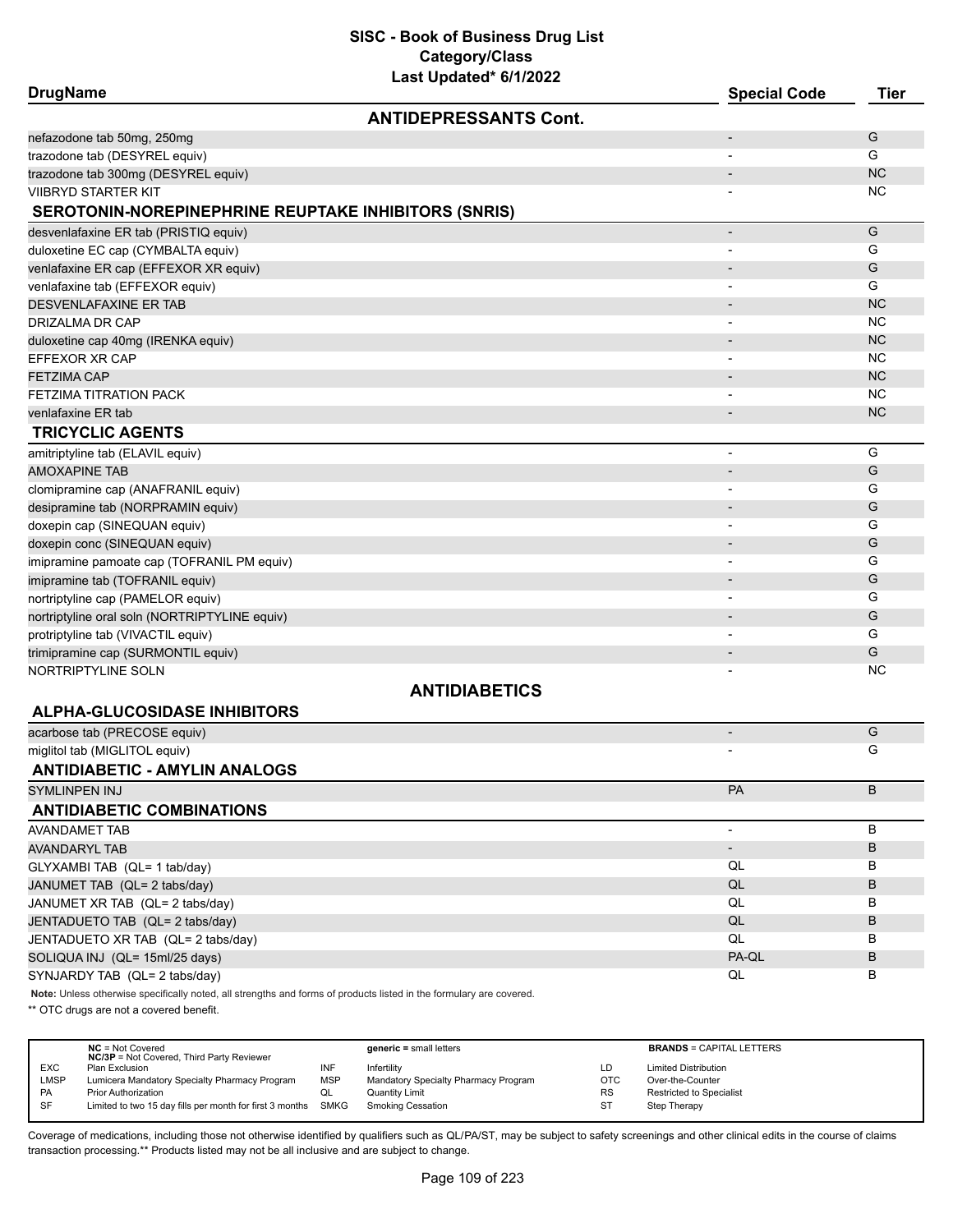| <b>DrugName</b> |  |
|-----------------|--|
|-----------------|--|

| <b>DrugName</b>                                                                                                     | <b>Special Code</b>      | <b>Tier</b> |
|---------------------------------------------------------------------------------------------------------------------|--------------------------|-------------|
| <b>ANTIDEPRESSANTS Cont.</b>                                                                                        |                          |             |
| nefazodone tab 50mg, 250mg                                                                                          | $\overline{\phantom{a}}$ | G           |
| trazodone tab (DESYREL equiv)                                                                                       |                          | G           |
| trazodone tab 300mg (DESYREL equiv)                                                                                 | $\overline{\phantom{a}}$ | <b>NC</b>   |
| <b>VIIBRYD STARTER KIT</b>                                                                                          |                          | <b>NC</b>   |
| SEROTONIN-NOREPINEPHRINE REUPTAKE INHIBITORS (SNRIS)                                                                |                          |             |
| desvenlafaxine ER tab (PRISTIQ equiv)                                                                               | $\overline{\phantom{a}}$ | G           |
| duloxetine EC cap (CYMBALTA equiv)                                                                                  |                          | G           |
| venlafaxine ER cap (EFFEXOR XR equiv)                                                                               | $\overline{\phantom{a}}$ | G           |
| venlafaxine tab (EFFEXOR equiv)                                                                                     | $\overline{\phantom{a}}$ | G           |
| DESVENLAFAXINE ER TAB                                                                                               | $\overline{\phantom{a}}$ | <b>NC</b>   |
| DRIZALMA DR CAP                                                                                                     |                          | <b>NC</b>   |
| duloxetine cap 40mg (IRENKA equiv)                                                                                  |                          | <b>NC</b>   |
| EFFEXOR XR CAP                                                                                                      |                          | <b>NC</b>   |
| <b>FETZIMA CAP</b>                                                                                                  |                          | <b>NC</b>   |
| <b>FETZIMA TITRATION PACK</b>                                                                                       |                          | NC          |
| venlafaxine ER tab                                                                                                  |                          | <b>NC</b>   |
| <b>TRICYCLIC AGENTS</b>                                                                                             |                          |             |
| amitriptyline tab (ELAVIL equiv)                                                                                    | $\blacksquare$           | G           |
| <b>AMOXAPINE TAB</b>                                                                                                | $\overline{\phantom{a}}$ | G           |
| clomipramine cap (ANAFRANIL equiv)                                                                                  |                          | G           |
| desipramine tab (NORPRAMIN equiv)                                                                                   |                          | G           |
| doxepin cap (SINEQUAN equiv)                                                                                        |                          | G           |
| doxepin conc (SINEQUAN equiv)                                                                                       |                          | G           |
| imipramine pamoate cap (TOFRANIL PM equiv)                                                                          | $\blacksquare$           | G           |
| imipramine tab (TOFRANIL equiv)                                                                                     |                          | G           |
| nortriptyline cap (PAMELOR equiv)                                                                                   |                          | G           |
| nortriptyline oral soln (NORTRIPTYLINE equiv)                                                                       | $\overline{\phantom{a}}$ | G           |
| protriptyline tab (VIVACTIL equiv)                                                                                  |                          | G           |
| trimipramine cap (SURMONTIL equiv)                                                                                  |                          | G           |
| NORTRIPTYLINE SOLN                                                                                                  |                          | ΝC          |
| <b>ANTIDIABETICS</b>                                                                                                |                          |             |
| <b>ALPHA-GLUCOSIDASE INHIBITORS</b>                                                                                 |                          |             |
| acarbose tab (PRECOSE equiv)                                                                                        | $\overline{\phantom{a}}$ | G           |
| miglitol tab (MIGLITOL equiv)                                                                                       |                          | G           |
| <b>ANTIDIABETIC - AMYLIN ANALOGS</b>                                                                                |                          |             |
| SYMLINPEN INJ                                                                                                       | PA                       | B           |
| <b>ANTIDIABETIC COMBINATIONS</b>                                                                                    |                          |             |
| <b>AVANDAMET TAB</b>                                                                                                | $\overline{\phantom{a}}$ | B           |
| <b>AVANDARYL TAB</b>                                                                                                | $\overline{\phantom{a}}$ | В           |
| GLYXAMBI TAB (QL= 1 tab/day)                                                                                        | QL                       | В           |
| JANUMET TAB (QL= 2 tabs/day)                                                                                        | QL                       | B           |
| JANUMET XR TAB (QL= 2 tabs/day)                                                                                     | QL                       | В           |
| JENTADUETO TAB (QL= 2 tabs/day)                                                                                     | QL                       | B           |
| JENTADUETO XR TAB (QL= 2 tabs/day)                                                                                  | QL                       | В           |
| SOLIQUA INJ (QL= 15ml/25 days)                                                                                      | PA-QL                    | В           |
| SYNJARDY TAB (QL= 2 tabs/day)                                                                                       | QL                       | В           |
| Note: Unless otherwise specifically noted, all strengths and forms of products listed in the formulary are covered. |                          |             |

\*\* OTC drugs are not a covered benefit.

|            | $NC = Not Covered$<br><b>NC/3P</b> = Not Covered, Third Party Reviewer |            | $generic = small letters$            |           | <b>BRANDS = CAPITAL LETTERS</b> |
|------------|------------------------------------------------------------------------|------------|--------------------------------------|-----------|---------------------------------|
| <b>EXC</b> | Plan Exclusion                                                         | INF        | Infertility                          | LD        | <b>Limited Distribution</b>     |
| LMSP       | Lumicera Mandatory Specialty Pharmacy Program                          | <b>MSP</b> | Mandatory Specialty Pharmacy Program | OTC       | Over-the-Counter                |
| PA         | <b>Prior Authorization</b>                                             | ◡          | <b>Quantity Limit</b>                | <b>RS</b> | Restricted to Specialist        |
| <b>SF</b>  | Limited to two 15 day fills per month for first 3 months SMKG          |            | <b>Smoking Cessation</b>             | ST        | Step Therapy                    |
|            |                                                                        |            |                                      |           |                                 |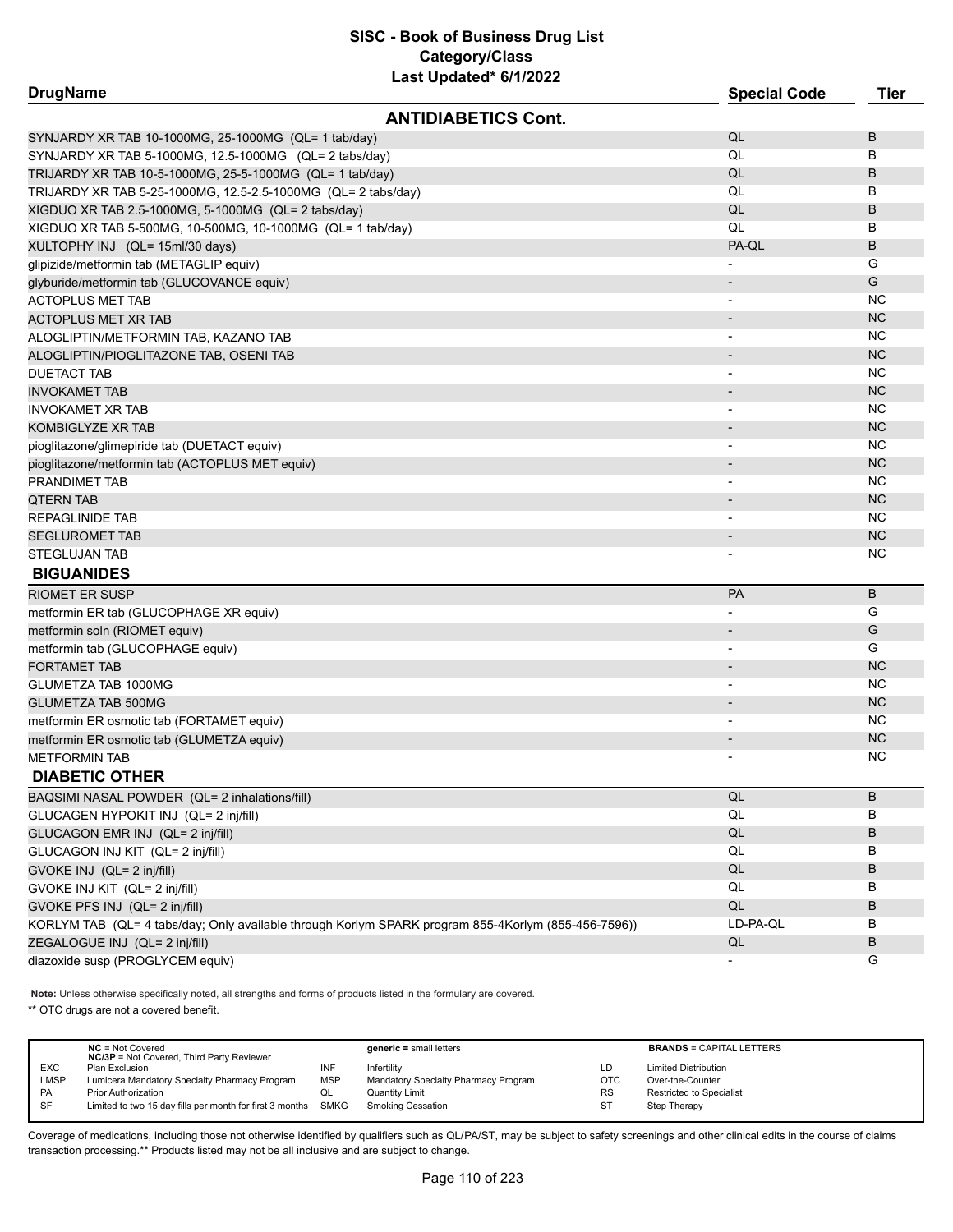| <b>DrugName</b>                                                                                     | <b>Special Code</b>      | Tier      |
|-----------------------------------------------------------------------------------------------------|--------------------------|-----------|
| <b>ANTIDIABETICS Cont.</b>                                                                          |                          |           |
| SYNJARDY XR TAB 10-1000MG, 25-1000MG (QL= 1 tab/day)                                                | QL                       | B         |
| SYNJARDY XR TAB 5-1000MG, 12.5-1000MG (QL= 2 tabs/day)                                              | QL                       | В         |
| TRIJARDY XR TAB 10-5-1000MG, 25-5-1000MG (QL= 1 tab/day)                                            | QL                       | B         |
| TRIJARDY XR TAB 5-25-1000MG, 12.5-2.5-1000MG (QL= 2 tabs/day)                                       | QL                       | В         |
| XIGDUO XR TAB 2.5-1000MG, 5-1000MG (QL= 2 tabs/day)                                                 | QL                       | B         |
| XIGDUO XR TAB 5-500MG, 10-500MG, 10-1000MG (QL= 1 tab/day)                                          | QL                       | B         |
| XULTOPHY INJ (QL= 15ml/30 days)                                                                     | PA-QL                    | B         |
| glipizide/metformin tab (METAGLIP equiv)                                                            |                          | G         |
| glyburide/metformin tab (GLUCOVANCE equiv)                                                          |                          | G         |
| <b>ACTOPLUS MET TAB</b>                                                                             |                          | <b>NC</b> |
| <b>ACTOPLUS MET XR TAB</b>                                                                          |                          | <b>NC</b> |
| ALOGLIPTIN/METFORMIN TAB, KAZANO TAB                                                                |                          | NC.       |
| ALOGLIPTIN/PIOGLITAZONE TAB, OSENI TAB                                                              |                          | <b>NC</b> |
| <b>DUETACT TAB</b>                                                                                  |                          | NC        |
| <b>INVOKAMET TAB</b>                                                                                |                          | <b>NC</b> |
| <b>INVOKAMET XR TAB</b>                                                                             |                          | <b>NC</b> |
| KOMBIGLYZE XR TAB                                                                                   |                          | <b>NC</b> |
| pioglitazone/glimepiride tab (DUETACT equiv)                                                        |                          | ΝC        |
| pioglitazone/metformin tab (ACTOPLUS MET equiv)                                                     |                          | <b>NC</b> |
| <b>PRANDIMET TAB</b>                                                                                | $\overline{\phantom{a}}$ | ΝC        |
| <b>QTERN TAB</b>                                                                                    |                          | <b>NC</b> |
| REPAGLINIDE TAB                                                                                     | $\overline{\phantom{a}}$ | ΝC        |
| <b>SEGLUROMET TAB</b>                                                                               |                          | <b>NC</b> |
| STEGLUJAN TAB                                                                                       |                          | <b>NC</b> |
| <b>BIGUANIDES</b>                                                                                   |                          |           |
| <b>RIOMET ER SUSP</b>                                                                               | <b>PA</b>                | B         |
| metformin ER tab (GLUCOPHAGE XR equiv)                                                              | $\overline{\phantom{a}}$ | G         |
| metformin soln (RIOMET equiv)                                                                       |                          | G         |
| metformin tab (GLUCOPHAGE equiv)                                                                    | $\overline{\phantom{a}}$ | G         |
| <b>FORTAMET TAB</b>                                                                                 |                          | <b>NC</b> |
| GLUMETZA TAB 1000MG                                                                                 |                          | <b>NC</b> |
| GLUMETZA TAB 500MG                                                                                  |                          | <b>NC</b> |
| metformin ER osmotic tab (FORTAMET equiv)                                                           | $\overline{\phantom{a}}$ | ΝC        |
| metformin ER osmotic tab (GLUMETZA equiv)                                                           | $\overline{\phantom{a}}$ | <b>NC</b> |
| METFORMIN TAB                                                                                       |                          | ΝC        |
| <b>DIABETIC OTHER</b>                                                                               |                          |           |
| BAQSIMI NASAL POWDER (QL= 2 inhalations/fill)                                                       | QL                       | B         |
| GLUCAGEN HYPOKIT INJ (QL= 2 inj/fill)                                                               | QL                       | В         |
| GLUCAGON EMR INJ (QL= 2 inj/fill)                                                                   | $\mathsf{QL}$            | B         |
| GLUCAGON INJ KIT (QL= 2 inj/fill)                                                                   | QL                       | В         |
| GVOKE INJ (QL= 2 inj/fill)                                                                          | QL                       | B         |
| GVOKE INJ KIT (QL= 2 inj/fill)                                                                      | QL                       | В         |
| GVOKE PFS INJ (QL= 2 inj/fill)                                                                      | QL                       | B         |
| KORLYM TAB (QL= 4 tabs/day; Only available through Korlym SPARK program 855-4Korlym (855-456-7596)) | LD-PA-QL                 | в         |
| ZEGALOGUE INJ (QL= 2 inj/fill)                                                                      | QL                       | B         |
| diazoxide susp (PROGLYCEM equiv)                                                                    |                          | G         |
|                                                                                                     |                          |           |

**Note:** Unless otherwise specifically noted, all strengths and forms of products listed in the formulary are covered.

\*\* OTC drugs are not a covered benefit.

|             | $NC = Not Covered$<br><b>NC/3P</b> = Not Covered, Third Party Reviewer |            | $generic = small letters$            |     | <b>BRANDS = CAPITAL LETTERS</b> |
|-------------|------------------------------------------------------------------------|------------|--------------------------------------|-----|---------------------------------|
| <b>EXC</b>  | Plan Exclusion                                                         | INF        | Infertility                          | LD  | <b>Limited Distribution</b>     |
| <b>LMSP</b> | Lumicera Mandatory Specialty Pharmacy Program                          | <b>MSP</b> | Mandatory Specialty Pharmacy Program | OTC | Over-the-Counter                |
| <b>PA</b>   | <b>Prior Authorization</b>                                             | QL         | <b>Quantity Limit</b>                | RS  | Restricted to Specialist        |
| SF          | Limited to two 15 day fills per month for first 3 months               | SMKG       | <b>Smoking Cessation</b>             | ST  | Step Therapy                    |
|             |                                                                        |            |                                      |     |                                 |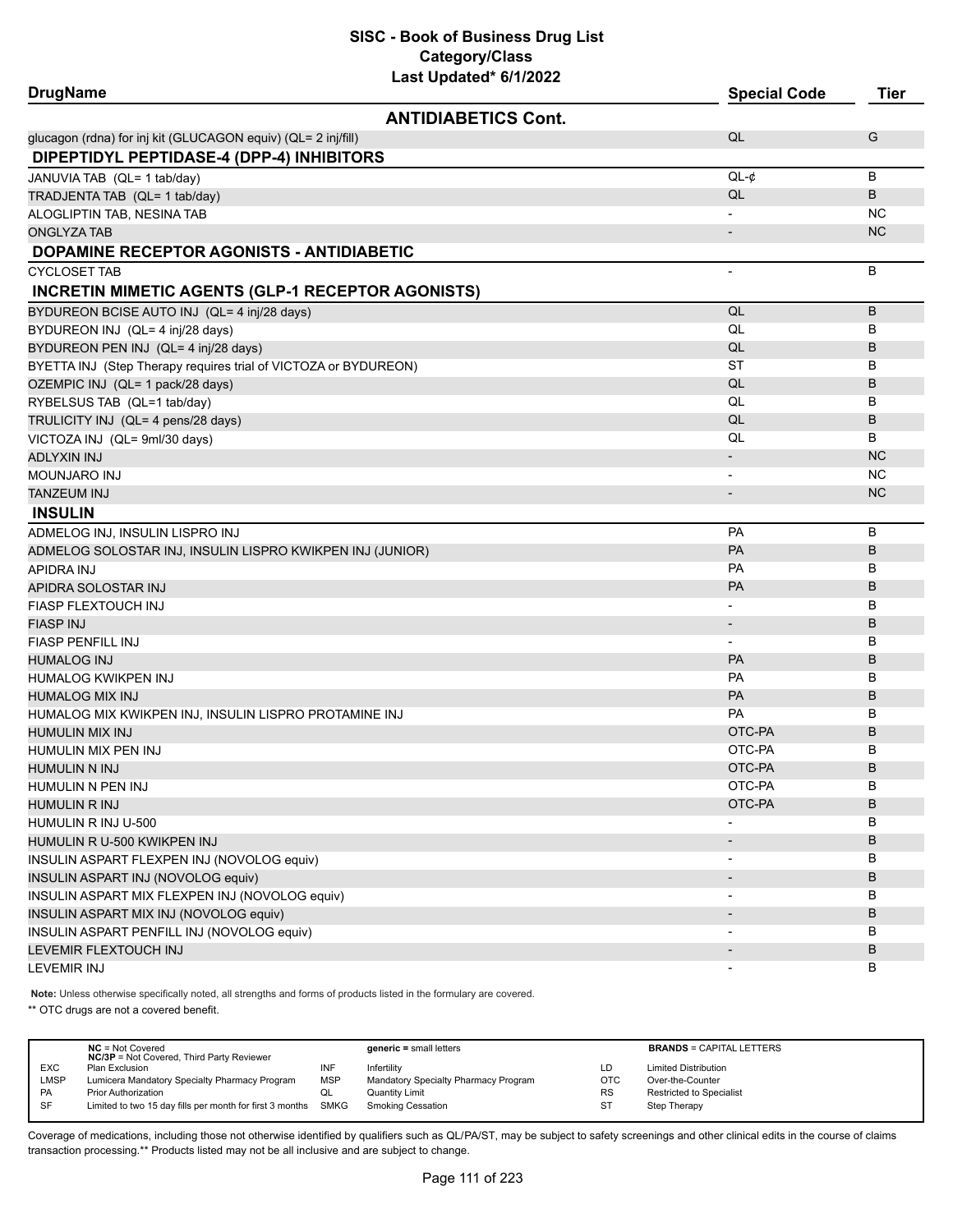| <b>DrugName</b>                                                 | Last opuateu vrijzviz      | <b>Special Code</b>          | <b>Tier</b> |
|-----------------------------------------------------------------|----------------------------|------------------------------|-------------|
|                                                                 | <b>ANTIDIABETICS Cont.</b> |                              |             |
| glucagon (rdna) for inj kit (GLUCAGON equiv) (QL= 2 inj/fill)   |                            | QL                           | G           |
| DIPEPTIDYL PEPTIDASE-4 (DPP-4) INHIBITORS                       |                            |                              |             |
| JANUVIA TAB (QL= 1 tab/day)                                     |                            | $QL-¢$                       | B           |
| TRADJENTA TAB (QL= 1 tab/day)                                   |                            | QL                           | B           |
| ALOGLIPTIN TAB, NESINA TAB                                      |                            | $\overline{\phantom{0}}$     | <b>NC</b>   |
| <b>ONGLYZA TAB</b>                                              |                            | $\overline{\phantom{m}}$     | <b>NC</b>   |
| DOPAMINE RECEPTOR AGONISTS - ANTIDIABETIC                       |                            |                              |             |
| <b>CYCLOSET TAB</b>                                             |                            | $\overline{\phantom{0}}$     | B           |
| <b>INCRETIN MIMETIC AGENTS (GLP-1 RECEPTOR AGONISTS)</b>        |                            |                              |             |
| BYDUREON BCISE AUTO INJ (QL= 4 inj/28 days)                     |                            | QL                           | B           |
| BYDUREON INJ (QL= 4 inj/28 days)                                |                            | QL                           | В           |
| BYDUREON PEN INJ (QL= 4 inj/28 days)                            |                            | QL                           | В           |
| BYETTA INJ (Step Therapy requires trial of VICTOZA or BYDUREON) |                            | <b>ST</b>                    | В           |
| OZEMPIC INJ (QL= 1 pack/28 days)                                |                            | QL                           | В           |
| RYBELSUS TAB (QL=1 tab/day)                                     |                            | QL                           | B           |
| TRULICITY INJ (QL= 4 pens/28 days)                              |                            | QL                           | В           |
| VICTOZA INJ (QL= 9ml/30 days)                                   |                            | QL                           | В           |
| ADLYXIN INJ                                                     |                            | $\overline{\phantom{m}}$     | <b>NC</b>   |
| MOUNJARO INJ                                                    |                            | $\qquad \qquad \blacksquare$ | <b>NC</b>   |
| <b>TANZEUM INJ</b>                                              |                            | $\overline{\phantom{m}}$     | <b>NC</b>   |
| <b>INSULIN</b>                                                  |                            |                              |             |
| ADMELOG INJ, INSULIN LISPRO INJ                                 |                            | PA                           | B           |
| ADMELOG SOLOSTAR INJ, INSULIN LISPRO KWIKPEN INJ (JUNIOR)       |                            | PA                           | B           |
| APIDRA INJ                                                      |                            | PA                           | В           |
| APIDRA SOLOSTAR INJ                                             |                            | <b>PA</b>                    | В           |
| FIASP FLEXTOUCH INJ                                             |                            | $\qquad \qquad \blacksquare$ | В           |
| FIASP INJ                                                       |                            | $\qquad \qquad \blacksquare$ | В           |
| FIASP PENFILL INJ                                               |                            | $\overline{\phantom{a}}$     | В           |
| HUMALOG INJ                                                     |                            | PA                           | B           |
| HUMALOG KWIKPEN INJ                                             |                            | <b>PA</b>                    | В           |
| <b>HUMALOG MIX INJ</b>                                          |                            | PA                           | В           |
| HUMALOG MIX KWIKPEN INJ, INSULIN LISPRO PROTAMINE INJ           |                            | PA                           | В           |
| <b>HUMULIN MIX INJ</b>                                          |                            | OTC-PA                       | B           |
| HUMULIN MIX PEN INJ                                             |                            | OTC-PA                       | В           |
| HUMULIN N INJ                                                   |                            | OTC-PA                       | В           |
| HUMULIN N PEN INJ                                               |                            | OTC-PA                       | В           |
| <b>HUMULIN R INJ</b>                                            |                            | OTC-PA                       | B           |
| HUMULIN R INJ U-500                                             |                            |                              | В           |
| HUMULIN R U-500 KWIKPEN INJ                                     |                            |                              | B           |
| INSULIN ASPART FLEXPEN INJ (NOVOLOG equiv)                      |                            | $\overline{a}$               | В           |
| INSULIN ASPART INJ (NOVOLOG equiv)                              |                            | $\overline{\phantom{a}}$     | В           |
| INSULIN ASPART MIX FLEXPEN INJ (NOVOLOG equiv)                  |                            | $\overline{\phantom{a}}$     | В           |
| INSULIN ASPART MIX INJ (NOVOLOG equiv)                          |                            |                              | В           |
| INSULIN ASPART PENFILL INJ (NOVOLOG equiv)                      |                            |                              | В           |
| LEVEMIR FLEXTOUCH INJ                                           |                            |                              | B           |
| LEVEMIR INJ                                                     |                            | $\overline{\phantom{0}}$     | В           |

**Note:** Unless otherwise specifically noted, all strengths and forms of products listed in the formulary are covered.

\*\* OTC drugs are not a covered benefit.

|            | $NC = Not Covered$<br><b>NC/3P</b> = Not Covered, Third Party Reviewer |            | $generic = small letters$            |            | <b>BRANDS = CAPITAL LETTERS</b> |
|------------|------------------------------------------------------------------------|------------|--------------------------------------|------------|---------------------------------|
| <b>EXC</b> | Plan Exclusion                                                         | INF        | Infertility                          | LD         | <b>Limited Distribution</b>     |
| LMSP       | Lumicera Mandatory Specialty Pharmacy Program                          | <b>MSP</b> | Mandatory Specialty Pharmacy Program | <b>OTC</b> | Over-the-Counter                |
| <b>PA</b>  | <b>Prior Authorization</b>                                             | ◡          | Quantity Limit                       | <b>RS</b>  | <b>Restricted to Specialist</b> |
| <b>SF</b>  | Limited to two 15 day fills per month for first 3 months SMKG          |            | <b>Smoking Cessation</b>             | ST         | Step Therapy                    |
|            |                                                                        |            |                                      |            |                                 |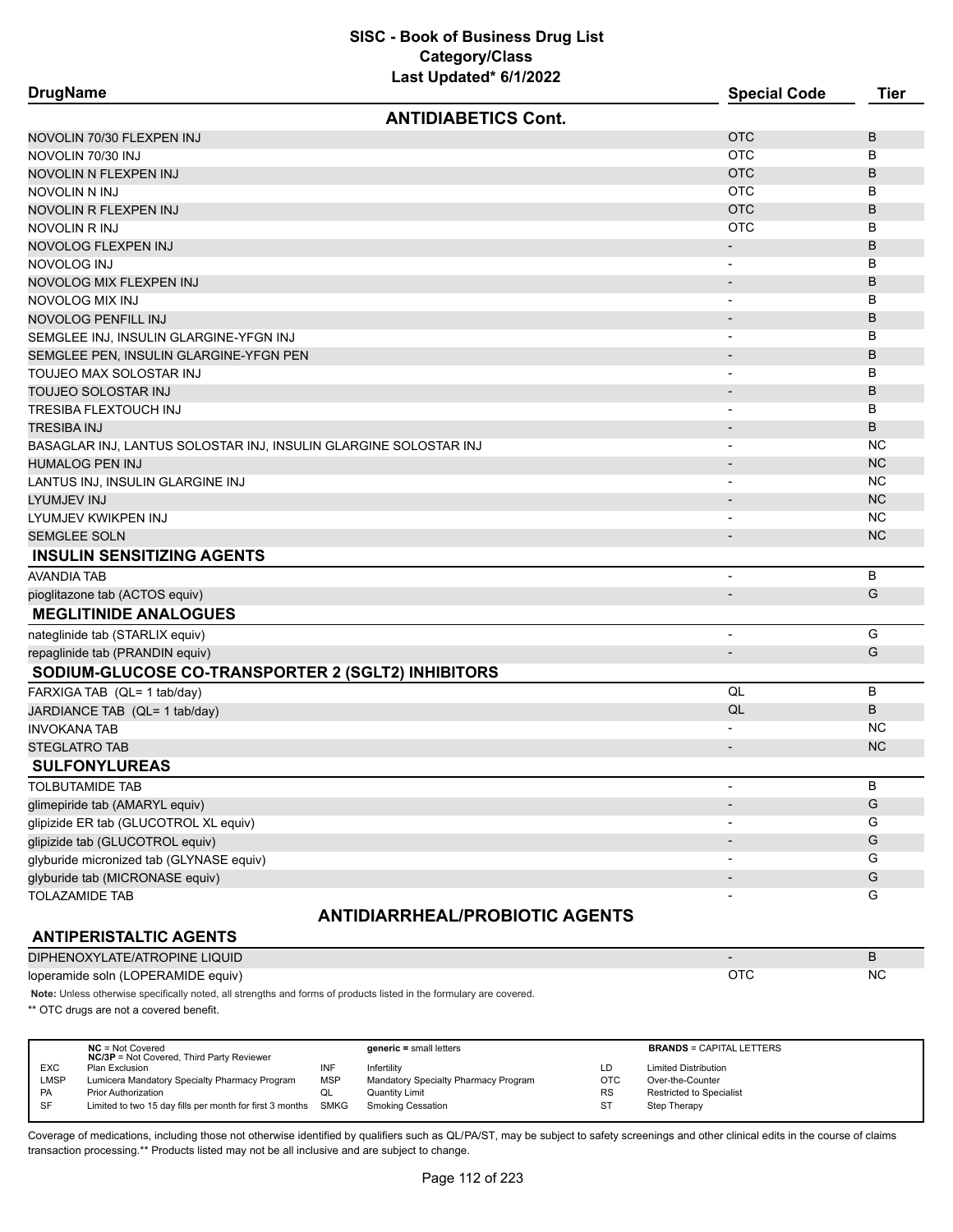| <b>DrugName</b>                                                  | Last opuated on the US     | <b>Special Code</b>          | <b>Tier</b> |
|------------------------------------------------------------------|----------------------------|------------------------------|-------------|
|                                                                  | <b>ANTIDIABETICS Cont.</b> |                              |             |
| NOVOLIN 70/30 FLEXPEN INJ                                        |                            | <b>OTC</b>                   | B           |
| NOVOLIN 70/30 INJ                                                |                            | <b>OTC</b>                   | B           |
| NOVOLIN N FLEXPEN INJ                                            |                            | <b>OTC</b>                   | B           |
| NOVOLIN N INJ                                                    |                            | <b>OTC</b>                   | B           |
| NOVOLIN R FLEXPEN INJ                                            |                            | <b>OTC</b>                   | B           |
| NOVOLIN R INJ                                                    |                            | <b>OTC</b>                   | в           |
| NOVOLOG FLEXPEN INJ                                              |                            | $\overline{\phantom{a}}$     | B           |
| NOVOLOG INJ                                                      |                            | $\overline{\phantom{a}}$     | В           |
| NOVOLOG MIX FLEXPEN INJ                                          |                            | $\overline{\phantom{a}}$     | B           |
| NOVOLOG MIX INJ                                                  |                            | $\overline{a}$               | в           |
| NOVOLOG PENFILL INJ                                              |                            |                              | B           |
| SEMGLEE INJ, INSULIN GLARGINE-YFGN INJ                           |                            |                              | В           |
| SEMGLEE PEN, INSULIN GLARGINE-YFGN PEN                           |                            | $\overline{\phantom{a}}$     | B           |
| TOUJEO MAX SOLOSTAR INJ                                          |                            | -                            | в           |
| TOUJEO SOLOSTAR INJ                                              |                            |                              | B           |
| TRESIBA FLEXTOUCH INJ                                            |                            |                              | B           |
| <b>TRESIBA INJ</b>                                               |                            | -                            | B           |
| BASAGLAR INJ, LANTUS SOLOSTAR INJ, INSULIN GLARGINE SOLOSTAR INJ |                            |                              | <b>NC</b>   |
| <b>HUMALOG PEN INJ</b>                                           |                            |                              | <b>NC</b>   |
| LANTUS INJ, INSULIN GLARGINE INJ                                 |                            |                              | <b>NC</b>   |
| LYUMJEV INJ                                                      |                            |                              | <b>NC</b>   |
| LYUMJEV KWIKPEN INJ                                              |                            | $\blacksquare$               | <b>NC</b>   |
| <b>SEMGLEE SOLN</b>                                              |                            |                              | <b>NC</b>   |
| <b>INSULIN SENSITIZING AGENTS</b>                                |                            |                              |             |
| AVANDIA TAB                                                      |                            | $\overline{\phantom{a}}$     | B           |
| pioglitazone tab (ACTOS equiv)                                   |                            |                              | G           |
| <b>MEGLITINIDE ANALOGUES</b>                                     |                            |                              |             |
| nateglinide tab (STARLIX equiv)                                  |                            | $\overline{\phantom{0}}$     | G           |
| repaglinide tab (PRANDIN equiv)                                  |                            | $\overline{\phantom{m}}$     | G           |
| SODIUM-GLUCOSE CO-TRANSPORTER 2 (SGLT2) INHIBITORS               |                            |                              |             |
| FARXIGA TAB (QL= 1 tab/day)                                      |                            | QL                           | B           |
| JARDIANCE TAB (QL= 1 tab/day)                                    |                            | QL                           | B           |
| <b>INVOKANA TAB</b>                                              |                            | $\overline{\phantom{0}}$     | NС          |
| <b>STEGLATRO TAB</b>                                             |                            | $\qquad \qquad \blacksquare$ | <b>NC</b>   |
| <b>SULFONYLUREAS</b>                                             |                            |                              |             |
| <b>TOLBUTAMIDE TAB</b>                                           |                            |                              | В           |
| glimepiride tab (AMARYL equiv)                                   |                            |                              | G           |
| glipizide ER tab (GLUCOTROL XL equiv)                            |                            |                              | G           |
| glipizide tab (GLUCOTROL equiv)                                  |                            |                              | G           |
| glyburide micronized tab (GLYNASE equiv)                         |                            |                              | G           |
| glyburide tab (MICRONASE equiv)                                  |                            |                              | G           |
| <b>TOLAZAMIDE TAB</b>                                            |                            |                              | G           |
|                                                                  |                            |                              |             |

# **ANTIDIARRHEAL/PROBIOTIC AGENTS**

# **ANTIPERISTALTIC AGENTS**

| DIPHENOXYLATE/ATROPINE LIQUID      |    |
|------------------------------------|----|
| loperamide soln (LOPERAMIDE equiv) | NC |

**Note:** Unless otherwise specifically noted, all strengths and forms of products listed in the formulary are covered.

\*\* OTC drugs are not a covered benefit.

|            | $NC = Not Covered$<br><b>NC/3P</b> = Not Covered, Third Party Reviewer |            | $generic = small letters$            |            | <b>BRANDS = CAPITAL LETTERS</b> |
|------------|------------------------------------------------------------------------|------------|--------------------------------------|------------|---------------------------------|
| <b>EXC</b> | Plan Exclusion                                                         | INF        | Infertilitv                          | LD         | <b>Limited Distribution</b>     |
| LMSP       | Lumicera Mandatory Specialty Pharmacy Program                          | <b>MSP</b> | Mandatory Specialty Pharmacy Program | <b>OTC</b> | Over-the-Counter                |
| PA         | <b>Prior Authorization</b>                                             | QL         | Quantity Limit                       | <b>RS</b>  | <b>Restricted to Specialist</b> |
| <b>SF</b>  | Limited to two 15 day fills per month for first 3 months SMKG          |            | Smoking Cessation                    | ST         | Step Therapy                    |
|            |                                                                        |            |                                      |            |                                 |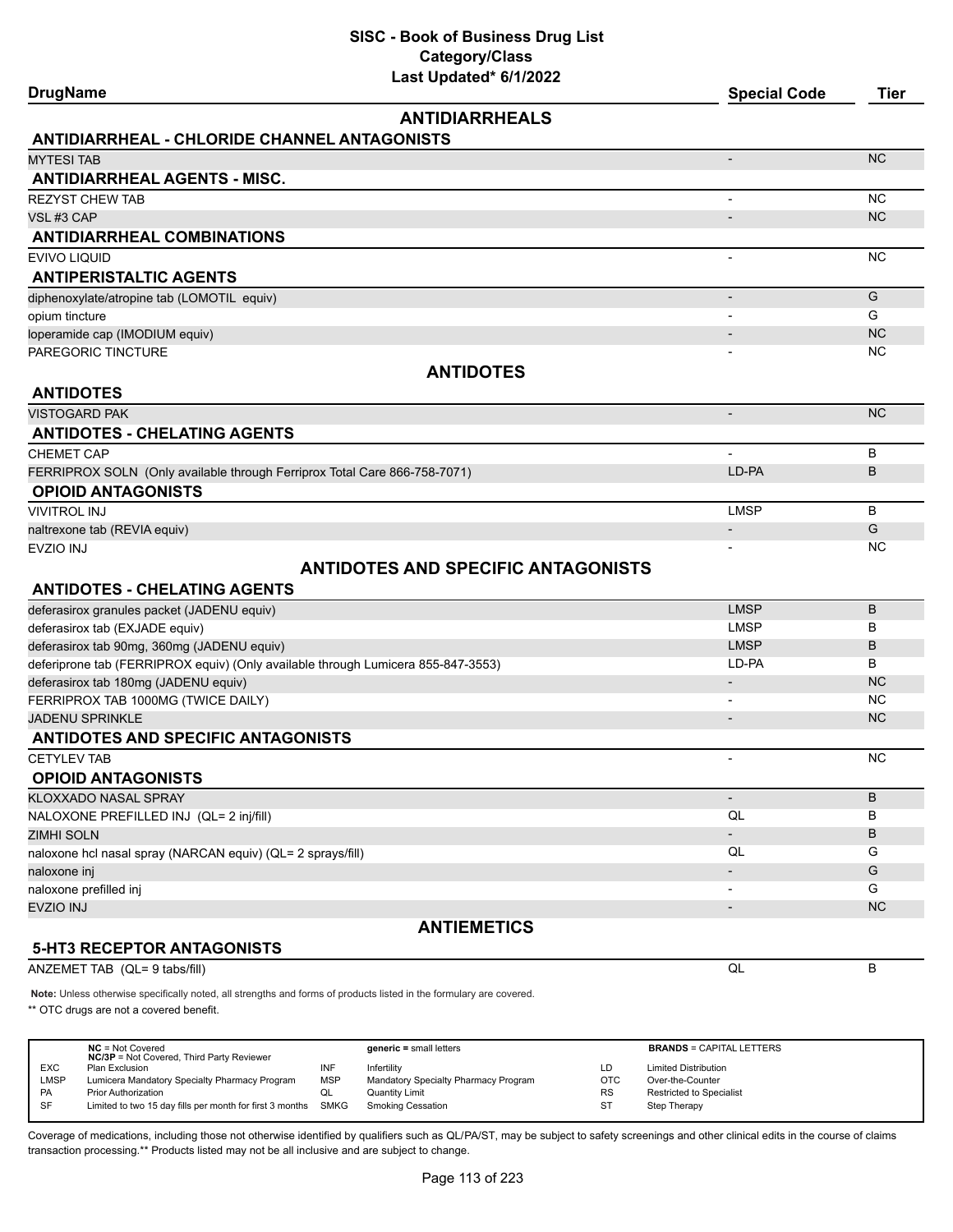| <b>DrugName</b>                                                           | Last updated" 6/1/2022                                                           | <b>Special Code</b>      | <b>Tier</b> |
|---------------------------------------------------------------------------|----------------------------------------------------------------------------------|--------------------------|-------------|
|                                                                           | <b>ANTIDIARRHEALS</b>                                                            |                          |             |
| <b>ANTIDIARRHEAL - CHLORIDE CHANNEL ANTAGONISTS</b>                       |                                                                                  |                          |             |
| <b>MYTESI TAB</b>                                                         |                                                                                  |                          | <b>NC</b>   |
| <b>ANTIDIARRHEAL AGENTS - MISC.</b>                                       |                                                                                  |                          |             |
| <b>REZYST CHEW TAB</b>                                                    |                                                                                  |                          | <b>NC</b>   |
| VSL#3 CAP                                                                 |                                                                                  |                          | <b>NC</b>   |
| <b>ANTIDIARRHEAL COMBINATIONS</b>                                         |                                                                                  |                          |             |
| EVIVO LIQUID                                                              |                                                                                  | ٠                        | <b>NC</b>   |
| <b>ANTIPERISTALTIC AGENTS</b>                                             |                                                                                  |                          |             |
| diphenoxylate/atropine tab (LOMOTIL equiv)                                |                                                                                  | $\overline{a}$           | G           |
| opium tincture                                                            |                                                                                  |                          | G           |
| loperamide cap (IMODIUM equiv)                                            |                                                                                  |                          | <b>NC</b>   |
| PAREGORIC TINCTURE                                                        |                                                                                  |                          | <b>NC</b>   |
|                                                                           | <b>ANTIDOTES</b>                                                                 |                          |             |
| <b>ANTIDOTES</b>                                                          |                                                                                  |                          |             |
| VISTOGARD PAK                                                             |                                                                                  | $\overline{\phantom{m}}$ | <b>NC</b>   |
| <b>ANTIDOTES - CHELATING AGENTS</b>                                       |                                                                                  |                          |             |
| CHEMET CAP                                                                |                                                                                  | $\overline{\phantom{a}}$ | B           |
| FERRIPROX SOLN (Only available through Ferriprox Total Care 866-758-7071) |                                                                                  | LD-PA                    | В           |
| <b>OPIOID ANTAGONISTS</b>                                                 |                                                                                  |                          |             |
| <b>VIVITROL INJ</b>                                                       |                                                                                  | <b>LMSP</b>              | B           |
| naltrexone tab (REVIA equiv)                                              |                                                                                  | -                        | G           |
| EVZIO INJ                                                                 |                                                                                  | $\overline{\phantom{0}}$ | <b>NC</b>   |
|                                                                           | <b>ANTIDOTES AND SPECIFIC ANTAGONISTS</b>                                        |                          |             |
| <b>ANTIDOTES - CHELATING AGENTS</b>                                       |                                                                                  |                          |             |
| deferasirox granules packet (JADENU equiv)                                |                                                                                  | <b>LMSP</b>              | B           |
| deferasirox tab (EXJADE equiv)                                            |                                                                                  | <b>LMSP</b>              | В           |
| deferasirox tab 90mg, 360mg (JADENU equiv)                                |                                                                                  | <b>LMSP</b>              | B           |
|                                                                           | deferiprone tab (FERRIPROX equiv) (Only available through Lumicera 855-847-3553) | LD-PA                    | B           |
| deferasirox tab 180mg (JADENU equiv)                                      |                                                                                  |                          | <b>NC</b>   |
| FERRIPROX TAB 1000MG (TWICE DAILY)                                        |                                                                                  |                          | <b>NC</b>   |
| <b>JADENU SPRINKLE</b>                                                    |                                                                                  | $\overline{\phantom{a}}$ | <b>NC</b>   |
| <b>ANTIDOTES AND SPECIFIC ANTAGONISTS</b>                                 |                                                                                  |                          |             |
| <b>CETYLEV TAB</b>                                                        |                                                                                  |                          | <b>NC</b>   |
| <b>OPIOID ANTAGONISTS</b>                                                 |                                                                                  |                          |             |
| KLOXXADO NASAL SPRAY                                                      |                                                                                  | $\overline{\phantom{m}}$ | B           |
| NALOXONE PREFILLED INJ (QL= 2 inj/fill)                                   |                                                                                  | QL                       | В           |
| ZIMHI SOLN                                                                |                                                                                  |                          | В           |
| naloxone hcl nasal spray (NARCAN equiv) (QL= 2 sprays/fill)               |                                                                                  | QL                       | G           |
| naloxone inj                                                              |                                                                                  |                          | G           |
| naloxone prefilled inj                                                    |                                                                                  |                          | G           |
| EVZIO INJ                                                                 |                                                                                  |                          | <b>NC</b>   |
| <b>5-HT3 RECEPTOR ANTAGONISTS</b>                                         | <b>ANTIEMETICS</b>                                                               |                          |             |
| ANZEMET TAB (QL= 9 tabs/fill)                                             |                                                                                  | QL                       | B           |

**Note:** Unless otherwise specifically noted, all strengths and forms of products listed in the formulary are covered.

\*\* OTC drugs are not a covered benefit.

|            | $NC = Not Covered$<br><b>NC/3P</b> = Not Covered, Third Party Reviewer |            | $generic = small letters$            |            | <b>BRANDS = CAPITAL LETTERS</b> |
|------------|------------------------------------------------------------------------|------------|--------------------------------------|------------|---------------------------------|
| <b>EXC</b> | Plan Exclusion                                                         | INF        | Infertility                          | LD         | <b>Limited Distribution</b>     |
| LMSP       | Lumicera Mandatory Specialty Pharmacy Program                          | <b>MSP</b> | Mandatory Specialty Pharmacy Program | <b>OTC</b> | Over-the-Counter                |
| PA         | <b>Prior Authorization</b>                                             | QL         | Quantity Limit                       | <b>RS</b>  | <b>Restricted to Specialist</b> |
| SF         | Limited to two 15 day fills per month for first 3 months               | SMKG       | <b>Smoking Cessation</b>             | <b>ST</b>  | Step Therapy                    |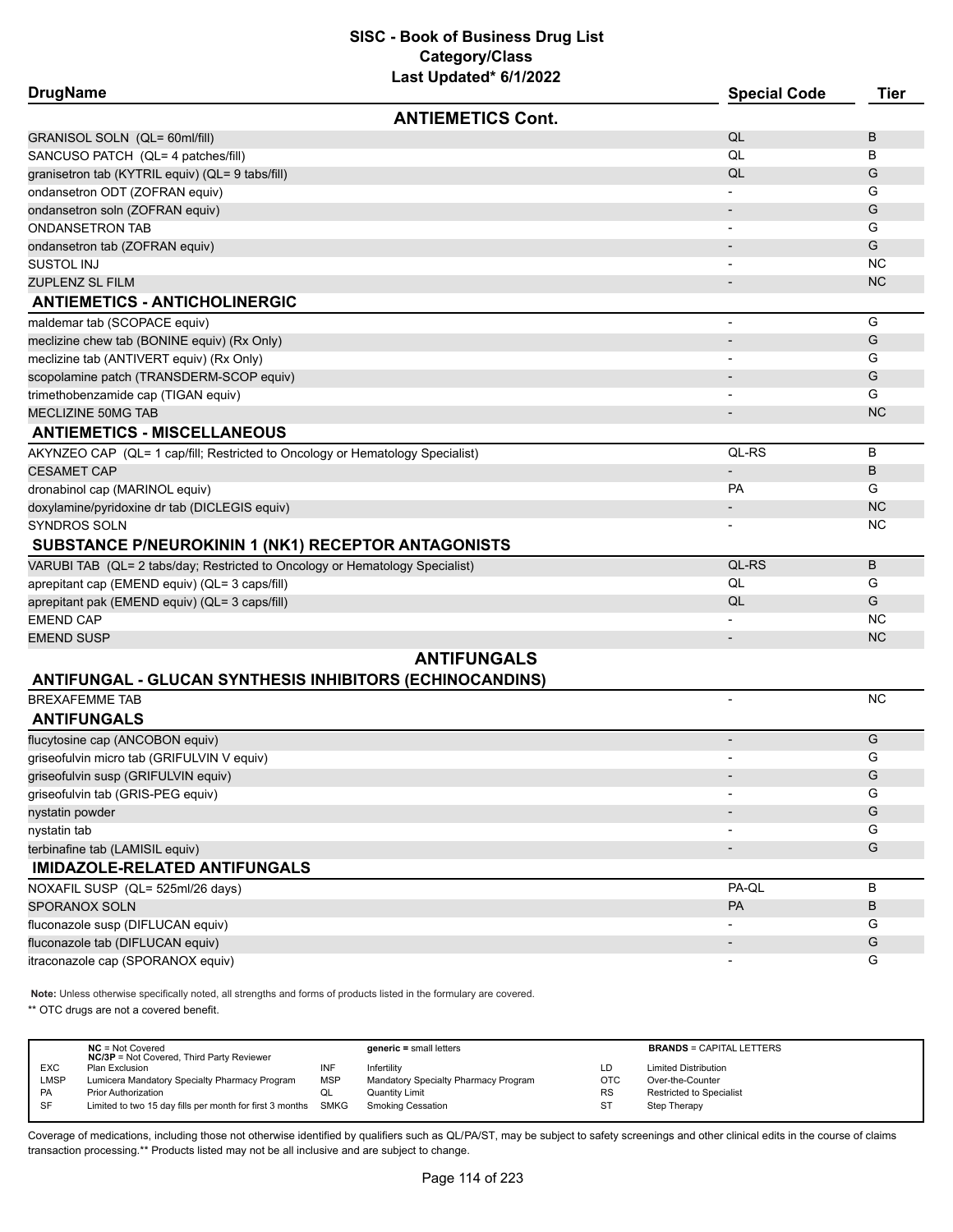| <b>DrugName</b>                                                               | <b>Special Code</b>      | <b>Tier</b> |
|-------------------------------------------------------------------------------|--------------------------|-------------|
| <b>ANTIEMETICS Cont.</b>                                                      |                          |             |
| GRANISOL SOLN (QL= 60ml/fill)                                                 | QL                       | B           |
| SANCUSO PATCH (QL= 4 patches/fill)                                            | QL                       | В           |
| granisetron tab (KYTRIL equiv) (QL= 9 tabs/fill)                              | QL                       | G           |
| ondansetron ODT (ZOFRAN equiv)                                                |                          | G           |
| ondansetron soln (ZOFRAN equiv)                                               | $\overline{\phantom{a}}$ | G           |
| <b>ONDANSETRON TAB</b>                                                        |                          | G           |
| ondansetron tab (ZOFRAN equiv)                                                |                          | G           |
| <b>SUSTOL INJ</b>                                                             |                          | <b>NC</b>   |
| <b>ZUPLENZ SL FILM</b>                                                        |                          | <b>NC</b>   |
| <b>ANTIEMETICS - ANTICHOLINERGIC</b>                                          |                          |             |
| maldemar tab (SCOPACE equiv)                                                  | ٠                        | G           |
| meclizine chew tab (BONINE equiv) (Rx Only)                                   | $\overline{\phantom{a}}$ | G           |
| meclizine tab (ANTIVERT equiv) (Rx Only)                                      |                          | G           |
| scopolamine patch (TRANSDERM-SCOP equiv)                                      |                          | G           |
| trimethobenzamide cap (TIGAN equiv)                                           |                          | G           |
| MECLIZINE 50MG TAB                                                            |                          | <b>NC</b>   |
| <b>ANTIEMETICS - MISCELLANEOUS</b>                                            |                          |             |
| AKYNZEO CAP (QL= 1 cap/fill; Restricted to Oncology or Hematology Specialist) | QL-RS                    | B           |
| <b>CESAMET CAP</b>                                                            | $\overline{\phantom{a}}$ | B           |
| dronabinol cap (MARINOL equiv)                                                | PA                       | G           |
| doxylamine/pyridoxine dr tab (DICLEGIS equiv)                                 |                          | <b>NC</b>   |
| SYNDROS SOLN                                                                  |                          | <b>NC</b>   |
| SUBSTANCE P/NEUROKININ 1 (NK1) RECEPTOR ANTAGONISTS                           |                          |             |
| VARUBI TAB (QL= 2 tabs/day; Restricted to Oncology or Hematology Specialist)  | QL-RS                    | B           |
| aprepitant cap (EMEND equiv) (QL= 3 caps/fill)                                | QL                       | G           |
| aprepitant pak (EMEND equiv) (QL= 3 caps/fill)                                | QL                       | G           |
| <b>EMEND CAP</b>                                                              |                          | <b>NC</b>   |
| <b>EMEND SUSP</b>                                                             |                          | <b>NC</b>   |
| <b>ANTIFUNGALS</b>                                                            |                          |             |
| ANTIFUNGAL - GLUCAN SYNTHESIS INHIBITORS (ECHINOCANDINS)                      |                          |             |
| <b>BREXAFEMME TAB</b>                                                         | $\overline{\phantom{a}}$ | <b>NC</b>   |
| <b>ANTIFUNGALS</b>                                                            |                          |             |
| flucytosine cap (ANCOBON equiv)                                               | $\overline{\phantom{m}}$ | G           |
| griseofulvin micro tab (GRIFULVIN V equiv)                                    |                          | G           |
| griseofulvin susp (GRIFULVIN equiv)                                           |                          | G           |
| griseofulvin tab (GRIS-PEG equiv)                                             |                          | G           |
| nystatin powder                                                               |                          | G           |
| nystatin tab                                                                  |                          | G           |
| terbinafine tab (LAMISIL equiv)                                               | $\overline{\phantom{a}}$ | G           |
| <b>IMIDAZOLE-RELATED ANTIFUNGALS</b>                                          |                          |             |
| NOXAFIL SUSP (QL= 525ml/26 days)                                              | PA-QL                    | В           |
| <b>SPORANOX SOLN</b>                                                          | <b>PA</b>                | B           |
| fluconazole susp (DIFLUCAN equiv)                                             |                          | G           |
| fluconazole tab (DIFLUCAN equiv)                                              | $\overline{\phantom{a}}$ | G           |
| itraconazole cap (SPORANOX equiv)                                             |                          | G           |

**Note:** Unless otherwise specifically noted, all strengths and forms of products listed in the formulary are covered.

\*\* OTC drugs are not a covered benefit.

|             | $NC = Not Covered$<br><b>NC/3P</b> = Not Covered, Third Party Reviewer |            | $generic = small letters$            |     | <b>BRANDS = CAPITAL LETTERS</b> |
|-------------|------------------------------------------------------------------------|------------|--------------------------------------|-----|---------------------------------|
| <b>EXC</b>  | Plan Exclusion                                                         | INF        | Infertility                          | LD  | <b>Limited Distribution</b>     |
| <b>LMSP</b> | Lumicera Mandatory Specialty Pharmacy Program                          | <b>MSP</b> | Mandatory Specialty Pharmacy Program | OTC | Over-the-Counter                |
| <b>PA</b>   | <b>Prior Authorization</b>                                             | QL         | <b>Quantity Limit</b>                | RS  | Restricted to Specialist        |
| SF          | Limited to two 15 day fills per month for first 3 months SMKG          |            | Smoking Cessation                    | ST  | Step Therapy                    |
|             |                                                                        |            |                                      |     |                                 |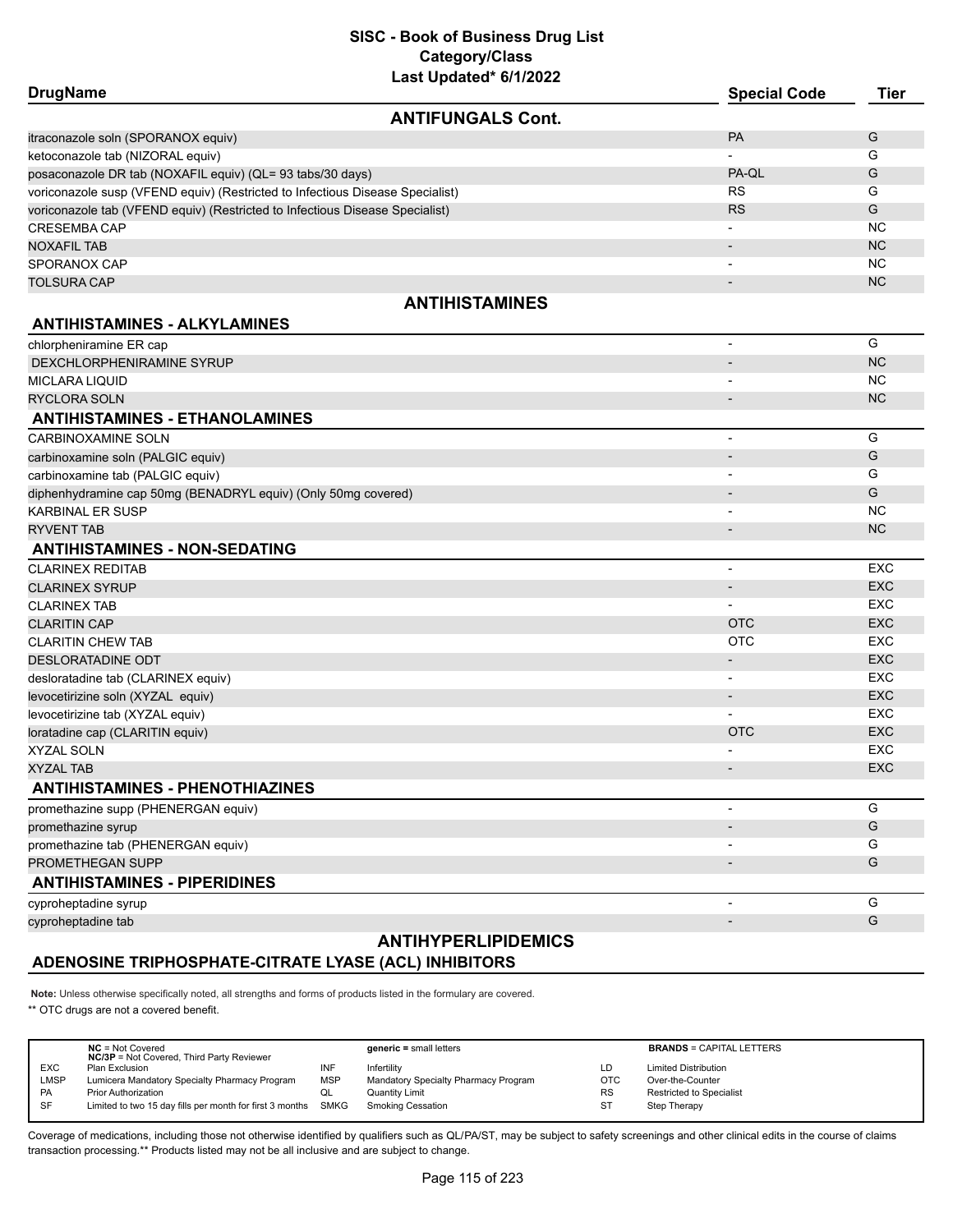| <b>DrugName</b>                                                               |                            | <b>Special Code</b>      | <b>Tier</b> |
|-------------------------------------------------------------------------------|----------------------------|--------------------------|-------------|
|                                                                               | <b>ANTIFUNGALS Cont.</b>   |                          |             |
| itraconazole soln (SPORANOX equiv)                                            |                            | PA                       | G           |
| ketoconazole tab (NIZORAL equiv)                                              |                            |                          | G           |
| posaconazole DR tab (NOXAFIL equiv) (QL= 93 tabs/30 days)                     |                            | PA-QL                    | G           |
| voriconazole susp (VFEND equiv) (Restricted to Infectious Disease Specialist) |                            | <b>RS</b>                | G           |
| voriconazole tab (VFEND equiv) (Restricted to Infectious Disease Specialist)  |                            | <b>RS</b>                | G           |
| <b>CRESEMBA CAP</b>                                                           |                            |                          | NC          |
| <b>NOXAFIL TAB</b>                                                            |                            | $\overline{\phantom{a}}$ | <b>NC</b>   |
| SPORANOX CAP                                                                  |                            | $\overline{\phantom{a}}$ | <b>NC</b>   |
| <b>TOLSURA CAP</b>                                                            |                            | $\overline{\phantom{a}}$ | <b>NC</b>   |
|                                                                               | <b>ANTIHISTAMINES</b>      |                          |             |
| <b>ANTIHISTAMINES - ALKYLAMINES</b>                                           |                            |                          |             |
| chlorpheniramine ER cap                                                       |                            |                          | G           |
| DEXCHLORPHENIRAMINE SYRUP                                                     |                            |                          | <b>NC</b>   |
| <b>MICLARA LIQUID</b>                                                         |                            |                          | <b>NC</b>   |
| <b>RYCLORA SOLN</b>                                                           |                            |                          | <b>NC</b>   |
| <b>ANTIHISTAMINES - ETHANOLAMINES</b>                                         |                            |                          |             |
| CARBINOXAMINE SOLN                                                            |                            | $\overline{a}$           | G           |
| carbinoxamine soln (PALGIC equiv)                                             |                            | -                        | G           |
| carbinoxamine tab (PALGIC equiv)                                              |                            |                          | G           |
| diphenhydramine cap 50mg (BENADRYL equiv) (Only 50mg covered)                 |                            |                          | G           |
| <b>KARBINAL ER SUSP</b>                                                       |                            | $\overline{\phantom{a}}$ | <b>NC</b>   |
| <b>RYVENT TAB</b>                                                             |                            |                          | <b>NC</b>   |
| <b>ANTIHISTAMINES - NON-SEDATING</b>                                          |                            |                          |             |
| <b>CLARINEX REDITAB</b>                                                       |                            | $\overline{\phantom{a}}$ | <b>EXC</b>  |
| <b>CLARINEX SYRUP</b>                                                         |                            | $\overline{\phantom{a}}$ | <b>EXC</b>  |
| <b>CLARINEX TAB</b>                                                           |                            | $\overline{\phantom{a}}$ | EXC         |
| <b>CLARITIN CAP</b>                                                           |                            | <b>OTC</b>               | <b>EXC</b>  |
| <b>CLARITIN CHEW TAB</b>                                                      |                            | <b>OTC</b>               | <b>EXC</b>  |
| <b>DESLORATADINE ODT</b>                                                      |                            | $\overline{\phantom{a}}$ | <b>EXC</b>  |
| desloratadine tab (CLARINEX equiv)                                            |                            | $\overline{\phantom{a}}$ | EXC         |
| levocetirizine soln (XYZAL equiv)                                             |                            | $\overline{\phantom{a}}$ | <b>EXC</b>  |
| levocetirizine tab (XYZAL equiv)                                              |                            |                          | <b>EXC</b>  |
| loratadine cap (CLARITIN equiv)                                               |                            | <b>OTC</b>               | <b>EXC</b>  |
| <b>XYZAL SOLN</b>                                                             |                            |                          | EXC         |
| <b>XYZAL TAB</b>                                                              |                            | $\overline{\phantom{a}}$ | <b>EXC</b>  |
| <b>ANTIHISTAMINES - PHENOTHIAZINES</b>                                        |                            |                          |             |
| promethazine supp (PHENERGAN equiv)                                           |                            | $\overline{\phantom{a}}$ | G           |
| promethazine syrup                                                            |                            |                          | G           |
| promethazine tab (PHENERGAN equiv)                                            |                            |                          | G           |
| PROMETHEGAN SUPP                                                              |                            |                          | G           |
| <b>ANTIHISTAMINES - PIPERIDINES</b>                                           |                            |                          |             |
| cyproheptadine syrup                                                          |                            | -                        | G           |
| cyproheptadine tab                                                            |                            |                          | G           |
|                                                                               | <b>ANTIHYPERLIPIDEMICS</b> |                          |             |

# **ADENOSINE TRIPHOSPHATE-CITRATE LYASE (ACL) INHIBITORS**

**Note:** Unless otherwise specifically noted, all strengths and forms of products listed in the formulary are covered.

\*\* OTC drugs are not a covered benefit.

|             | $NC = Not Covered$<br><b>NC/3P</b> = Not Covered, Third Party Reviewer |            | $generic = small letters$            |            | <b>BRANDS = CAPITAL LETTERS</b> |
|-------------|------------------------------------------------------------------------|------------|--------------------------------------|------------|---------------------------------|
| <b>EXC</b>  | Plan Exclusion                                                         | INF        | Infertility                          | LD         | <b>Limited Distribution</b>     |
| <b>LMSP</b> | Lumicera Mandatory Specialty Pharmacy Program                          | <b>MSP</b> | Mandatory Specialty Pharmacy Program | <b>OTC</b> | Over-the-Counter                |
| <b>PA</b>   | <b>Prior Authorization</b>                                             | ◡          | Quantity Limit                       | <b>RS</b>  | <b>Restricted to Specialist</b> |
| SF          | Limited to two 15 day fills per month for first 3 months SMKG          |            | <b>Smoking Cessation</b>             | ST         | Step Therapy                    |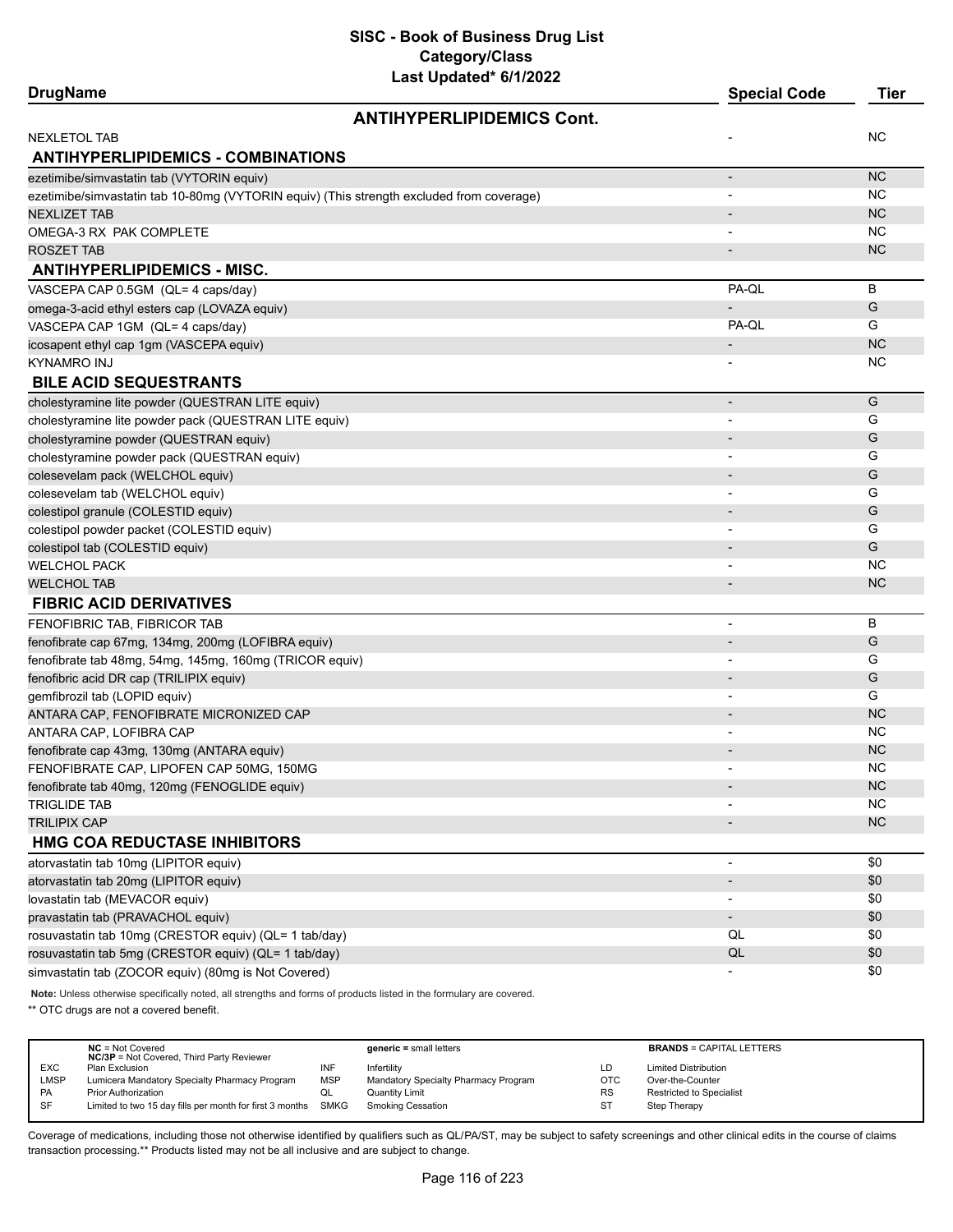| <b>DrugName</b>                                                                          | <b>Special Code</b>      | <b>Tier</b> |
|------------------------------------------------------------------------------------------|--------------------------|-------------|
| <b>ANTIHYPERLIPIDEMICS Cont.</b>                                                         |                          |             |
| <b>NEXLETOL TAB</b>                                                                      |                          | ΝC          |
| <b>ANTIHYPERLIPIDEMICS - COMBINATIONS</b>                                                |                          |             |
| ezetimibe/simvastatin tab (VYTORIN equiv)                                                | $\overline{\phantom{a}}$ | <b>NC</b>   |
| ezetimibe/simvastatin tab 10-80mg (VYTORIN equiv) (This strength excluded from coverage) |                          | NC          |
| <b>NEXLIZET TAB</b>                                                                      |                          | <b>NC</b>   |
| OMEGA-3 RX PAK COMPLETE                                                                  |                          | NC.         |
| <b>ROSZET TAB</b>                                                                        | $\overline{\phantom{a}}$ | <b>NC</b>   |
| <b>ANTIHYPERLIPIDEMICS - MISC.</b>                                                       |                          |             |
| VASCEPA CAP 0.5GM (QL= 4 caps/day)                                                       | PA-QL                    | B           |
| omega-3-acid ethyl esters cap (LOVAZA equiv)                                             |                          | G           |
| VASCEPA CAP 1GM (QL= 4 caps/day)                                                         | PA-QL                    | G           |
| icosapent ethyl cap 1gm (VASCEPA equiv)                                                  |                          | <b>NC</b>   |
| KYNAMRO INJ                                                                              |                          | NC          |
| <b>BILE ACID SEQUESTRANTS</b>                                                            |                          |             |
| cholestyramine lite powder (QUESTRAN LITE equiv)                                         | $\overline{\phantom{m}}$ | G           |
| cholestyramine lite powder pack (QUESTRAN LITE equiv)                                    |                          | G           |
| cholestyramine powder (QUESTRAN equiv)                                                   |                          | G           |
| cholestyramine powder pack (QUESTRAN equiv)                                              | $\overline{\phantom{a}}$ | G           |
| colesevelam pack (WELCHOL equiv)                                                         |                          | G           |
| colesevelam tab (WELCHOL equiv)                                                          |                          | G           |
| colestipol granule (COLESTID equiv)                                                      | $\overline{\phantom{a}}$ | G           |
| colestipol powder packet (COLESTID equiv)                                                |                          | G           |
| colestipol tab (COLESTID equiv)                                                          |                          | G           |
| <b>WELCHOL PACK</b>                                                                      |                          | <b>NC</b>   |
| <b>WELCHOL TAB</b>                                                                       | $\overline{\phantom{a}}$ | <b>NC</b>   |
| <b>FIBRIC ACID DERIVATIVES</b>                                                           |                          |             |
| FENOFIBRIC TAB, FIBRICOR TAB                                                             |                          | В           |
| fenofibrate cap 67mg, 134mg, 200mg (LOFIBRA equiv)                                       | $\overline{\phantom{a}}$ | G           |
| fenofibrate tab 48mg, 54mg, 145mg, 160mg (TRICOR equiv)                                  |                          | G           |
| fenofibric acid DR cap (TRILIPIX equiv)                                                  |                          | G           |
| gemfibrozil tab (LOPID equiv)                                                            |                          | G           |
| ANTARA CAP, FENOFIBRATE MICRONIZED CAP                                                   | $\overline{\phantom{0}}$ | <b>NC</b>   |
| ANTARA CAP, LOFIBRA CAP                                                                  | $\blacksquare$           | <b>NC</b>   |
| fenofibrate cap 43mg, 130mg (ANTARA equiv)                                               |                          | <b>NC</b>   |
| FENOFIBRATE CAP, LIPOFEN CAP 50MG, 150MG                                                 |                          | NC          |
| fenofibrate tab 40mg, 120mg (FENOGLIDE equiv)                                            |                          | NC.         |
| <b>TRIGLIDE TAB</b>                                                                      |                          | <b>NC</b>   |
| <b>TRILIPIX CAP</b>                                                                      |                          | NC          |
| <b>HMG COA REDUCTASE INHIBITORS</b>                                                      |                          |             |
| atorvastatin tab 10mg (LIPITOR equiv)                                                    | $\overline{\phantom{m}}$ | \$0         |
| atorvastatin tab 20mg (LIPITOR equiv)                                                    | $\overline{\phantom{a}}$ | \$0         |
| lovastatin tab (MEVACOR equiv)                                                           | $\overline{\phantom{a}}$ | \$0         |
| pravastatin tab (PRAVACHOL equiv)                                                        | $\overline{\phantom{a}}$ | \$0         |
| rosuvastatin tab 10mg (CRESTOR equiv) (QL= 1 tab/day)                                    | QL                       | \$0         |
| rosuvastatin tab 5mg (CRESTOR equiv) (QL= 1 tab/day)                                     | QL                       | \$0         |
| simvastatin tab (ZOCOR equiv) (80mg is Not Covered)                                      | $\overline{\phantom{a}}$ | \$0         |
|                                                                                          |                          |             |

**Note:** Unless otherwise specifically noted, all strengths and forms of products listed in the formulary are covered.

\*\* OTC drugs are not a covered benefit.

|             | $NC = Not Covered$<br><b>NC/3P</b> = Not Covered, Third Party Reviewer |            | $generic = small letters$            |            | <b>BRANDS = CAPITAL LETTERS</b> |
|-------------|------------------------------------------------------------------------|------------|--------------------------------------|------------|---------------------------------|
| <b>EXC</b>  | Plan Exclusion                                                         | INF        | Infertility                          | LD         | <b>Limited Distribution</b>     |
| <b>LMSP</b> | Lumicera Mandatory Specialty Pharmacy Program                          | <b>MSP</b> | Mandatory Specialty Pharmacy Program | <b>OTC</b> | Over-the-Counter                |
| <b>PA</b>   | <b>Prior Authorization</b>                                             | QL         | <b>Quantity Limit</b>                | <b>RS</b>  | <b>Restricted to Specialist</b> |
| SF          | Limited to two 15 day fills per month for first 3 months SMKG          |            | Smoking Cessation                    | ST         | Step Therapy                    |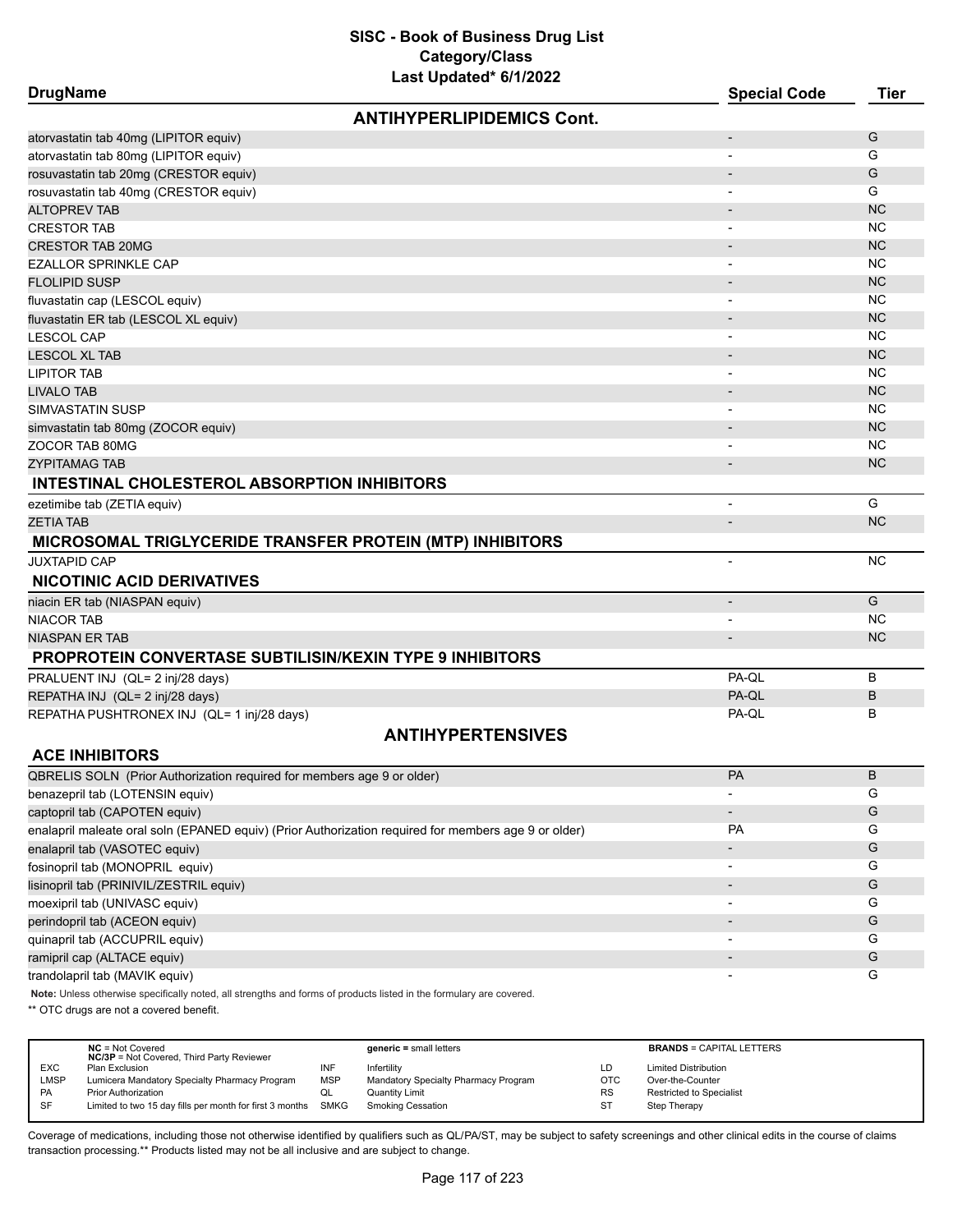| <b>DrugName</b>                                                                                      |                                  | <b>Special Code</b>      | <b>Tier</b>   |
|------------------------------------------------------------------------------------------------------|----------------------------------|--------------------------|---------------|
|                                                                                                      | <b>ANTIHYPERLIPIDEMICS Cont.</b> |                          |               |
| atorvastatin tab 40mg (LIPITOR equiv)                                                                |                                  | $\overline{\phantom{a}}$ | G             |
| atorvastatin tab 80mg (LIPITOR equiv)                                                                |                                  | $\blacksquare$           | G             |
| rosuvastatin tab 20mg (CRESTOR equiv)                                                                |                                  | $\overline{\phantom{a}}$ | G             |
| rosuvastatin tab 40mg (CRESTOR equiv)                                                                |                                  |                          | G             |
| <b>ALTOPREV TAB</b>                                                                                  |                                  |                          | <b>NC</b>     |
| <b>CRESTOR TAB</b>                                                                                   |                                  |                          | <b>NC</b>     |
| <b>CRESTOR TAB 20MG</b>                                                                              |                                  |                          | <b>NC</b>     |
| <b>EZALLOR SPRINKLE CAP</b>                                                                          |                                  |                          | <b>NC</b>     |
| <b>FLOLIPID SUSP</b>                                                                                 |                                  |                          | <b>NC</b>     |
| fluvastatin cap (LESCOL equiv)                                                                       |                                  | $\overline{\phantom{a}}$ | <b>NC</b>     |
| fluvastatin ER tab (LESCOL XL equiv)                                                                 |                                  | $\overline{\phantom{a}}$ | <b>NC</b>     |
| <b>LESCOL CAP</b>                                                                                    |                                  |                          | <b>NC</b>     |
| <b>LESCOL XL TAB</b>                                                                                 |                                  |                          | <b>NC</b>     |
| <b>LIPITOR TAB</b>                                                                                   |                                  |                          | <b>NC</b>     |
| <b>LIVALO TAB</b>                                                                                    |                                  |                          | <b>NC</b>     |
| <b>SIMVASTATIN SUSP</b>                                                                              |                                  |                          | <b>NC</b>     |
| simvastatin tab 80mg (ZOCOR equiv)                                                                   |                                  |                          | <b>NC</b>     |
| ZOCOR TAB 80MG                                                                                       |                                  |                          | <b>NC</b>     |
| <b>ZYPITAMAG TAB</b>                                                                                 |                                  |                          | <b>NC</b>     |
| INTESTINAL CHOLESTEROL ABSORPTION INHIBITORS                                                         |                                  |                          |               |
| ezetimibe tab (ZETIA equiv)                                                                          |                                  | $\overline{\phantom{a}}$ | G             |
| <b>ZETIA TAB</b>                                                                                     |                                  |                          | <b>NC</b>     |
| MICROSOMAL TRIGLYCERIDE TRANSFER PROTEIN (MTP) INHIBITORS                                            |                                  |                          |               |
| <b>JUXTAPID CAP</b>                                                                                  |                                  |                          | <b>NC</b>     |
| <b>NICOTINIC ACID DERIVATIVES</b>                                                                    |                                  |                          |               |
| niacin ER tab (NIASPAN equiv)                                                                        |                                  | $\overline{\phantom{a}}$ | G             |
| <b>NIACOR TAB</b>                                                                                    |                                  |                          | <b>NC</b>     |
| <b>NIASPAN ER TAB</b>                                                                                |                                  | $\overline{\phantom{a}}$ | <b>NC</b>     |
| <b>PROPROTEIN CONVERTASE SUBTILISIN/KEXIN TYPE 9 INHIBITORS</b>                                      |                                  |                          |               |
| PRALUENT INJ (QL= 2 inj/28 days)                                                                     |                                  | PA-QL                    | B             |
|                                                                                                      |                                  | PA-QL                    | B             |
| REPATHA INJ (QL= 2 inj/28 days)                                                                      |                                  | PA-QL                    | в             |
| REPATHA PUSHTRONEX INJ (QL= 1 inj/28 days)                                                           |                                  |                          |               |
| <b>ACE INHIBITORS</b>                                                                                | <b>ANTIHYPERTENSIVES</b>         |                          |               |
| QBRELIS SOLN (Prior Authorization required for members age 9 or older)                               |                                  | PA                       | В             |
| benazepril tab (LOTENSIN equiv)                                                                      |                                  |                          | G             |
| captopril tab (CAPOTEN equiv)                                                                        |                                  |                          | G             |
| enalapril maleate oral soln (EPANED equiv) (Prior Authorization required for members age 9 or older) |                                  | <b>PA</b>                | G             |
| enalapril tab (VASOTEC equiv)                                                                        |                                  |                          | G             |
| fosinopril tab (MONOPRIL equiv)                                                                      |                                  |                          | G             |
| lisinopril tab (PRINIVIL/ZESTRIL equiv)                                                              |                                  |                          | G             |
| moexipril tab (UNIVASC equiv)                                                                        |                                  |                          | G             |
|                                                                                                      |                                  | $\overline{\phantom{a}}$ |               |
| perindopril tab (ACEON equiv)                                                                        |                                  | $\overline{\phantom{a}}$ | ${\mathsf G}$ |
| quinapril tab (ACCUPRIL equiv)                                                                       |                                  | $\overline{\phantom{a}}$ | G             |
| ramipril cap (ALTACE equiv)                                                                          |                                  | $\overline{\phantom{a}}$ | G             |

trandolapril tab (MAVIK equiv) G

**Note:** Unless otherwise specifically noted, all strengths and forms of products listed in the formulary are covered.

\*\* OTC drugs are not a covered benefit.

|            | $NC = Not Covered$<br><b>NC/3P</b> = Not Covered, Third Party Reviewer |            | $generic = small letters$            |           | <b>BRANDS = CAPITAL LETTERS</b> |
|------------|------------------------------------------------------------------------|------------|--------------------------------------|-----------|---------------------------------|
| <b>EXC</b> | Plan Exclusion                                                         | INF        | Infertility                          | LD        | <b>Limited Distribution</b>     |
| LMSP       | Lumicera Mandatory Specialty Pharmacy Program                          | <b>MSP</b> | Mandatory Specialty Pharmacy Program | OTC       | Over-the-Counter                |
| PA         | <b>Prior Authorization</b>                                             | QL         | <b>Quantity Limit</b>                | <b>RS</b> | Restricted to Specialist        |
| <b>SF</b>  | Limited to two 15 day fills per month for first 3 months SMKG          |            | <b>Smoking Cessation</b>             | ST        | Step Therapy                    |
|            |                                                                        |            |                                      |           |                                 |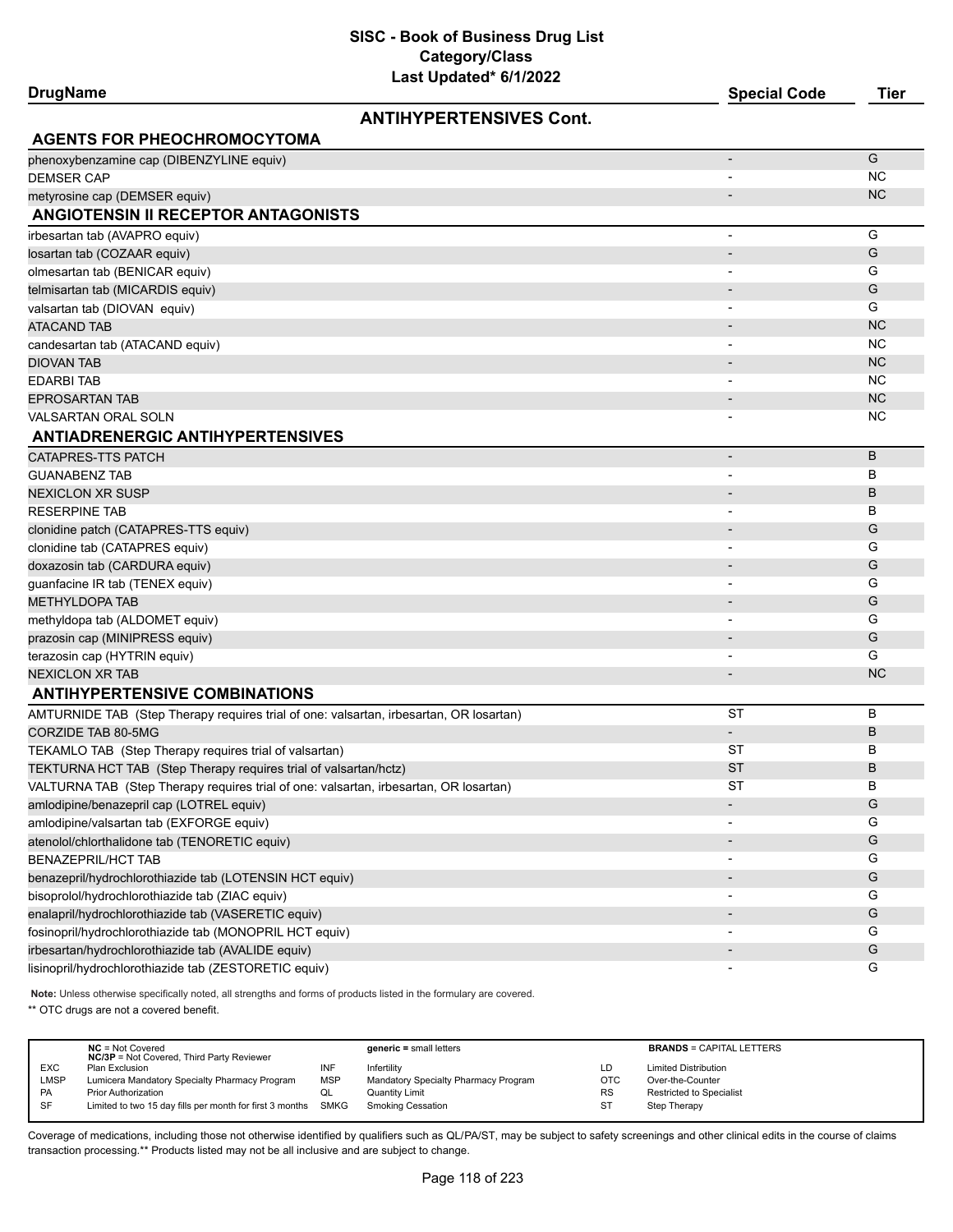| DrugName |  |  |  |  |
|----------|--|--|--|--|
|----------|--|--|--|--|

# **ANTIHYPERTENSIVES Cont.**

**DrugName Special Code Tier**

| <b>AGENTS FOR PHEOCHROMOCYTOMA</b>                                                     |                | G         |
|----------------------------------------------------------------------------------------|----------------|-----------|
| phenoxybenzamine cap (DIBENZYLINE equiv)<br><b>DEMSER CAP</b>                          |                | <b>NC</b> |
|                                                                                        |                | <b>NC</b> |
| metyrosine cap (DEMSER equiv)<br><b>ANGIOTENSIN II RECEPTOR ANTAGONISTS</b>            |                |           |
|                                                                                        |                |           |
| irbesartan tab (AVAPRO equiv)                                                          | $\overline{a}$ | G         |
| losartan tab (COZAAR equiv)                                                            |                | G         |
| olmesartan tab (BENICAR equiv)                                                         |                | G         |
| telmisartan tab (MICARDIS equiv)                                                       |                | G         |
| valsartan tab (DIOVAN equiv)                                                           |                | G         |
| ATACAND TAB                                                                            |                | <b>NC</b> |
| candesartan tab (ATACAND equiv)                                                        |                | ΝC        |
| <b>DIOVAN TAB</b>                                                                      |                | <b>NC</b> |
| <b>EDARBI TAB</b>                                                                      |                | ΝC        |
| <b>EPROSARTAN TAB</b>                                                                  |                | <b>NC</b> |
| <b>VALSARTAN ORAL SOLN</b>                                                             |                | ΝC        |
| <b>ANTIADRENERGIC ANTIHYPERTENSIVES</b>                                                |                |           |
| <b>CATAPRES-TTS PATCH</b>                                                              |                | B         |
| <b>GUANABENZ TAB</b>                                                                   |                | в         |
| <b>NEXICLON XR SUSP</b>                                                                |                | B         |
| <b>RESERPINE TAB</b>                                                                   |                | в         |
| clonidine patch (CATAPRES-TTS equiv)                                                   |                | G         |
| clonidine tab (CATAPRES equiv)                                                         |                | G         |
| doxazosin tab (CARDURA equiv)                                                          |                | G         |
| guanfacine IR tab (TENEX equiv)                                                        |                | G         |
| <b>METHYLDOPA TAB</b>                                                                  |                | G         |
| methyldopa tab (ALDOMET equiv)                                                         |                | G         |
| prazosin cap (MINIPRESS equiv)                                                         |                | G         |
| terazosin cap (HYTRIN equiv)                                                           |                | G         |
| <b>NEXICLON XR TAB</b>                                                                 |                | <b>NC</b> |
| <b>ANTIHYPERTENSIVE COMBINATIONS</b>                                                   |                |           |
| AMTURNIDE TAB (Step Therapy requires trial of one: valsartan, irbesartan, OR losartan) | <b>ST</b>      | в         |
| <b>CORZIDE TAB 80-5MG</b>                                                              |                | В         |
| TEKAMLO TAB (Step Therapy requires trial of valsartan)                                 | ST             | в         |
| TEKTURNA HCT TAB (Step Therapy requires trial of valsartan/hctz)                       | ST             | B         |
| VALTURNA TAB (Step Therapy requires trial of one: valsartan, irbesartan, OR losartan)  | ST             | в         |
| amlodipine/benazepril cap (LOTREL equiv)                                               |                | G         |
| amlodipine/valsartan tab (EXFORGE equiv)                                               |                | G         |
| atenolol/chlorthalidone tab (TENORETIC equiv)                                          |                | G         |
| <b>BENAZEPRIL/HCT TAB</b>                                                              |                | G         |
| benazepril/hydrochlorothiazide tab (LOTENSIN HCT equiv)                                |                | G         |
| bisoprolol/hydrochlorothiazide tab (ZIAC equiv)                                        |                | G         |
| enalapril/hydrochlorothiazide tab (VASERETIC equiv)                                    |                | G         |
| fosinopril/hydrochlorothiazide tab (MONOPRIL HCT equiv)                                |                | G         |
| irbesartan/hydrochlorothiazide tab (AVALIDE equiv)                                     |                | G         |
| lisinopril/hydrochlorothiazide tab (ZESTORETIC equiv)                                  |                | G         |
|                                                                                        |                |           |

**Note:** Unless otherwise specifically noted, all strengths and forms of products listed in the formulary are covered.

\*\* OTC drugs are not a covered benefit.

|             | $NC = Not Covered$<br><b>NC/3P</b> = Not Covered, Third Party Reviewer |            | $generic = small letters$            |            | <b>BRANDS = CAPITAL LETTERS</b> |
|-------------|------------------------------------------------------------------------|------------|--------------------------------------|------------|---------------------------------|
| <b>EXC</b>  | Plan Exclusion                                                         | INF        | Infertility                          | LD         | <b>Limited Distribution</b>     |
| <b>LMSP</b> | Lumicera Mandatory Specialty Pharmacy Program                          | <b>MSP</b> | Mandatory Specialty Pharmacy Program | <b>OTC</b> | Over-the-Counter                |
| <b>PA</b>   | Prior Authorization                                                    | QL         | Quantity Limit                       | <b>RS</b>  | <b>Restricted to Specialist</b> |
| SF          | Limited to two 15 day fills per month for first 3 months SMKG          |            | Smoking Cessation                    | ST         | Step Therapy                    |
|             |                                                                        |            |                                      |            |                                 |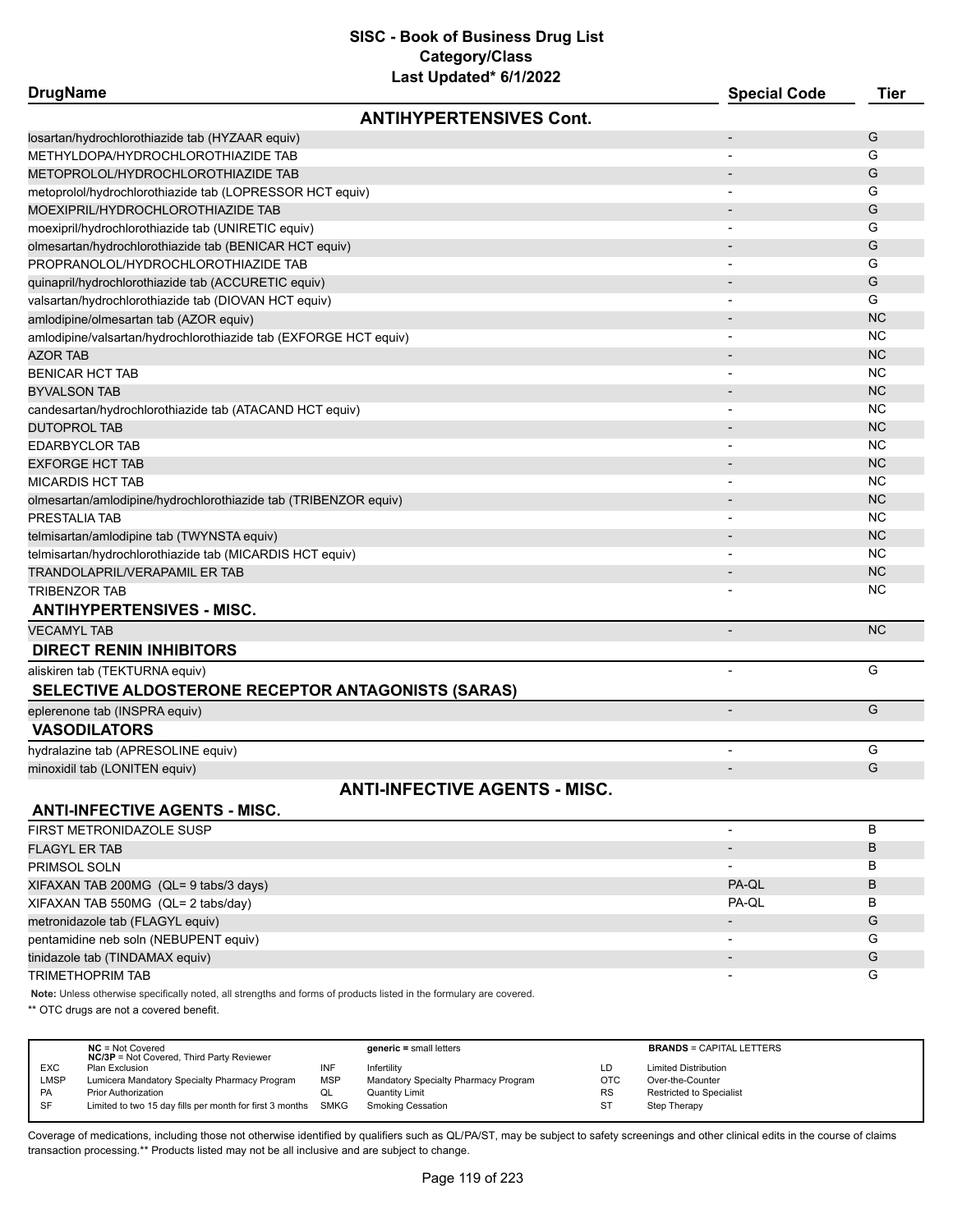| <b>DrugName</b>                                                  | Last Updated" or 172022              | <b>Special Code</b>      | <b>Tier</b> |
|------------------------------------------------------------------|--------------------------------------|--------------------------|-------------|
|                                                                  | <b>ANTIHYPERTENSIVES Cont.</b>       |                          |             |
| losartan/hydrochlorothiazide tab (HYZAAR equiv)                  |                                      | $\overline{\phantom{a}}$ | G           |
| METHYLDOPA/HYDROCHLOROTHIAZIDE TAB                               |                                      | $\overline{a}$           | G           |
| METOPROLOL/HYDROCHLOROTHIAZIDE TAB                               |                                      |                          | G           |
| metoprolol/hydrochlorothiazide tab (LOPRESSOR HCT equiv)         |                                      |                          | G           |
| MOEXIPRIL/HYDROCHLOROTHIAZIDE TAB                                |                                      |                          | G           |
| moexipril/hydrochlorothiazide tab (UNIRETIC equiv)               |                                      |                          | G           |
| olmesartan/hydrochlorothiazide tab (BENICAR HCT equiv)           |                                      |                          | G           |
| PROPRANOLOL/HYDROCHLOROTHIAZIDE TAB                              |                                      |                          | G           |
| quinapril/hydrochlorothiazide tab (ACCURETIC equiv)              |                                      |                          | G           |
| valsartan/hydrochlorothiazide tab (DIOVAN HCT equiv)             |                                      | $\overline{\phantom{0}}$ | G           |
| amlodipine/olmesartan tab (AZOR equiv)                           |                                      |                          | <b>NC</b>   |
| amlodipine/valsartan/hydrochlorothiazide tab (EXFORGE HCT equiv) |                                      |                          | <b>NC</b>   |
| <b>AZOR TAB</b>                                                  |                                      |                          | <b>NC</b>   |
| <b>BENICAR HCT TAB</b>                                           |                                      |                          | ΝC          |
| <b>BYVALSON TAB</b>                                              |                                      |                          | <b>NC</b>   |
| candesartan/hydrochlorothiazide tab (ATACAND HCT equiv)          |                                      |                          | <b>NC</b>   |
| <b>DUTOPROL TAB</b>                                              |                                      |                          | <b>NC</b>   |
| <b>EDARBYCLOR TAB</b>                                            |                                      |                          | ΝC          |
| <b>EXFORGE HCT TAB</b>                                           |                                      |                          | <b>NC</b>   |
| MICARDIS HCT TAB                                                 |                                      |                          | <b>NC</b>   |
| olmesartan/amlodipine/hydrochlorothiazide tab (TRIBENZOR equiv)  |                                      |                          | <b>NC</b>   |
| PRESTALIA TAB                                                    |                                      |                          | <b>NC</b>   |
| telmisartan/amlodipine tab (TWYNSTA equiv)                       |                                      |                          | <b>NC</b>   |
| telmisartan/hydrochlorothiazide tab (MICARDIS HCT equiv)         |                                      |                          | <b>NC</b>   |
| TRANDOLAPRIL/VERAPAMIL ER TAB                                    |                                      |                          | <b>NC</b>   |
| <b>TRIBENZOR TAB</b>                                             |                                      |                          | ΝC          |
| <b>ANTIHYPERTENSIVES - MISC.</b>                                 |                                      |                          |             |
| <b>VECAMYL TAB</b>                                               |                                      | $\overline{\phantom{a}}$ | <b>NC</b>   |
| <b>DIRECT RENIN INHIBITORS</b>                                   |                                      |                          |             |
| aliskiren tab (TEKTURNA equiv)                                   |                                      | L,                       | G           |
| SELECTIVE ALDOSTERONE RECEPTOR ANTAGONISTS (SARAS)               |                                      |                          |             |
| eplerenone tab (INSPRA equiv)                                    |                                      |                          | G           |
| <b>VASODILATORS</b>                                              |                                      |                          |             |
| hydralazine tab (APRESOLINE equiv)                               |                                      |                          | G           |
| minoxidil tab (LONITEN equiv)                                    |                                      | $\overline{\phantom{a}}$ | G           |
|                                                                  | <b>ANTI-INFECTIVE AGENTS - MISC.</b> |                          |             |
| <b>ANTI-INFECTIVE AGENTS - MISC.</b>                             |                                      |                          |             |
| FIRST METRONIDAZOLE SUSP                                         |                                      | -                        | B           |
| <b>FLAGYL ER TAB</b>                                             |                                      |                          | B           |
| PRIMSOL SOLN                                                     |                                      |                          | В           |
| XIFAXAN TAB 200MG (QL= 9 tabs/3 days)                            |                                      | PA-QL                    | B           |
| XIFAXAN TAB 550MG (QL= 2 tabs/day)                               |                                      | PA-QL                    | В           |
| metronidazole tab (FLAGYL equiv)                                 |                                      | $\overline{\phantom{a}}$ | G           |

tinidazole tab (TINDAMAX equiv) - G TRIMETHOPRIM TAB GOVERNMENT AND CONTROL CONTROL CONTROL CONTROL CONTROL CONTROL CONTROL CONTROL CONTROL CONTROL CONTROL CONTROL CONTROL CONTROL CONTROL CONTROL CONTROL CONTROL CONTROL CONTROL CONTROL CONTROL CONTROL CONTRO

**Note:** Unless otherwise specifically noted, all strengths and forms of products listed in the formulary are covered.

\*\* OTC drugs are not a covered benefit.

|            | $NC = Not Covered$<br><b>NC/3P</b> = Not Covered, Third Party Reviewer |            | $generic = small letters$            |            | <b>BRANDS = CAPITAL LETTERS</b> |
|------------|------------------------------------------------------------------------|------------|--------------------------------------|------------|---------------------------------|
| <b>EXC</b> | Plan Exclusion                                                         | INF        | Infertility                          | LD         | <b>Limited Distribution</b>     |
| LMSP       | Lumicera Mandatory Specialty Pharmacy Program                          | <b>MSP</b> | Mandatory Specialty Pharmacy Program | <b>OTC</b> | Over-the-Counter                |
| PA         | <b>Prior Authorization</b>                                             | QL         | Quantity Limit                       | <b>RS</b>  | <b>Restricted to Specialist</b> |
| SF         | Limited to two 15 day fills per month for first 3 months SMKG          |            | <b>Smoking Cessation</b>             | ST         | Step Therapy                    |

Coverage of medications, including those not otherwise identified by qualifiers such as QL/PA/ST, may be subject to safety screenings and other clinical edits in the course of claims transaction processing.\*\* Products listed may not be all inclusive and are subject to change.

pentamidine neb soln (NEBUPENT equiv) and the control of the control of the control of the control of the control of the control of the control of the control of the control of the control of the control of the control of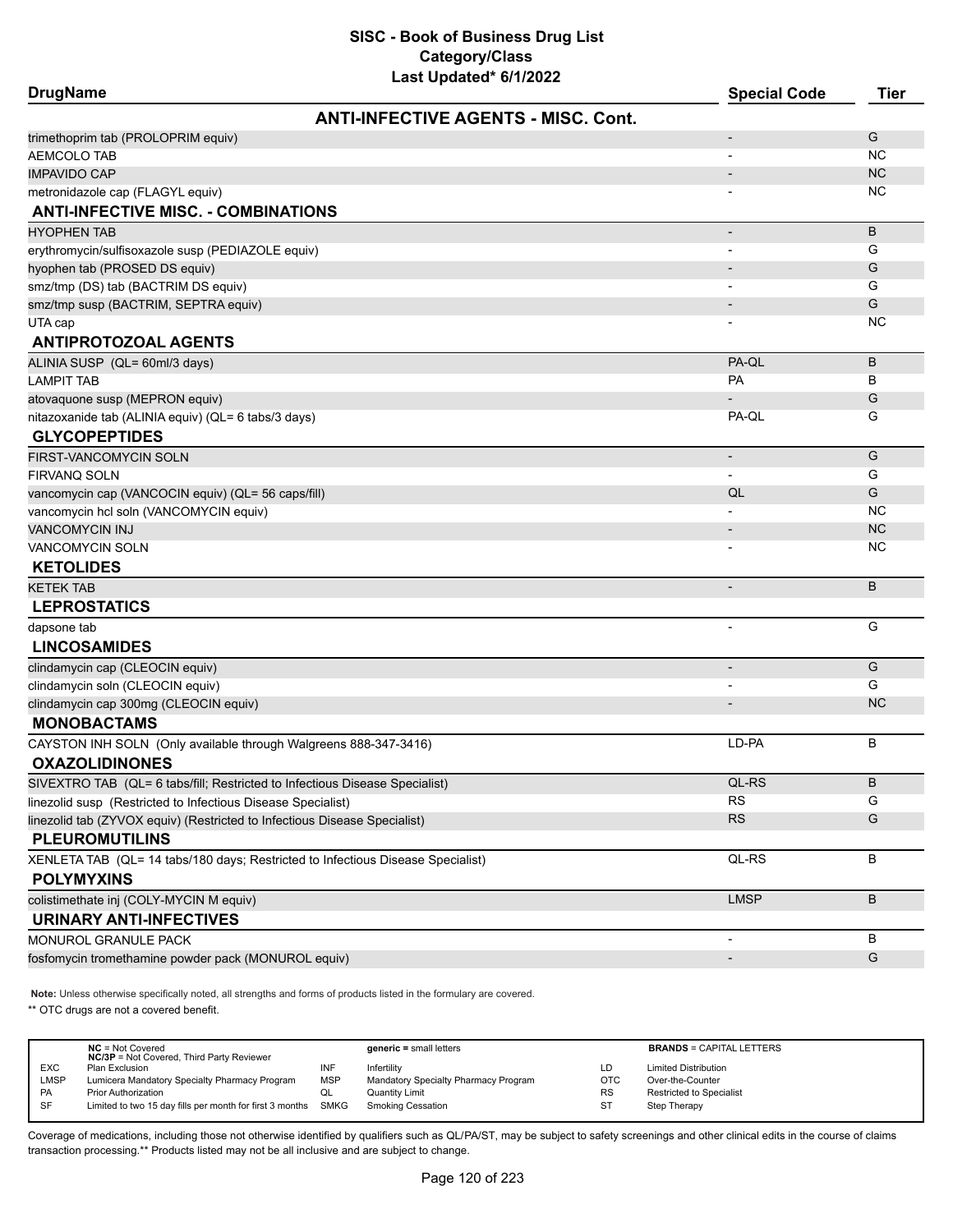| Last Updated" 6/1/2022<br><b>DrugName</b>                                       | <b>Special Code</b>      | <b>Tier</b> |
|---------------------------------------------------------------------------------|--------------------------|-------------|
| <b>ANTI-INFECTIVE AGENTS - MISC. Cont.</b>                                      |                          |             |
| trimethoprim tab (PROLOPRIM equiv)                                              |                          | G           |
| <b>AEMCOLO TAB</b>                                                              |                          | <b>NC</b>   |
| <b>IMPAVIDO CAP</b>                                                             |                          | <b>NC</b>   |
| metronidazole cap (FLAGYL equiv)                                                |                          | ΝC          |
| <b>ANTI-INFECTIVE MISC. - COMBINATIONS</b>                                      |                          |             |
| <b>HYOPHEN TAB</b>                                                              | $\overline{\phantom{a}}$ | B           |
| erythromycin/sulfisoxazole susp (PEDIAZOLE equiv)                               |                          | G           |
| hyophen tab (PROSED DS equiv)                                                   |                          | G           |
| smz/tmp (DS) tab (BACTRIM DS equiv)                                             |                          | G           |
| smz/tmp susp (BACTRIM, SEPTRA equiv)                                            | $\overline{\phantom{a}}$ | G           |
| UTA cap                                                                         |                          | NC          |
| <b>ANTIPROTOZOAL AGENTS</b>                                                     |                          |             |
| ALINIA SUSP (QL= 60ml/3 days)                                                   | PA-QL                    | B           |
| <b>LAMPIT TAB</b>                                                               | <b>PA</b>                | В           |
| atovaquone susp (MEPRON equiv)                                                  |                          | G           |
| nitazoxanide tab (ALINIA equiv) (QL= 6 tabs/3 days)                             | PA-QL                    | G           |
| <b>GLYCOPEPTIDES</b>                                                            |                          |             |
| FIRST-VANCOMYCIN SOLN                                                           | $\overline{\phantom{a}}$ | G           |
| <b>FIRVANQ SOLN</b>                                                             |                          | G           |
| vancomycin cap (VANCOCIN equiv) (QL= 56 caps/fill)                              | QL                       | G           |
| vancomycin hcl soln (VANCOMYCIN equiv)                                          |                          | <b>NC</b>   |
| VANCOMYCIN INJ                                                                  | $\overline{\phantom{a}}$ | <b>NC</b>   |
| <b>VANCOMYCIN SOLN</b>                                                          |                          | <b>NC</b>   |
| <b>KETOLIDES</b>                                                                |                          |             |
| <b>KETEK TAB</b>                                                                | $\overline{\phantom{a}}$ | B           |
| <b>LEPROSTATICS</b>                                                             |                          |             |
| dapsone tab                                                                     |                          | G           |
| <b>LINCOSAMIDES</b>                                                             |                          |             |
| clindamycin cap (CLEOCIN equiv)                                                 | $\overline{\phantom{a}}$ | G           |
| clindamycin soln (CLEOCIN equiv)                                                |                          | G           |
| clindamycin cap 300mg (CLEOCIN equiv)                                           |                          | <b>NC</b>   |
| <b>MONOBACTAMS</b>                                                              |                          |             |
| CAYSTON INH SOLN (Only available through Walgreens 888-347-3416)                | LD-PA                    | В           |
| <b>OXAZOLIDINONES</b>                                                           |                          |             |
| SIVEXTRO TAB (QL= 6 tabs/fill; Restricted to Infectious Disease Specialist)     | QL-RS                    | В           |
| linezolid susp (Restricted to Infectious Disease Specialist)                    | <b>RS</b>                | G           |
| linezolid tab (ZYVOX equiv) (Restricted to Infectious Disease Specialist)       | <b>RS</b>                | G           |
| <b>PLEUROMUTILINS</b>                                                           |                          |             |
| XENLETA TAB (QL= 14 tabs/180 days; Restricted to Infectious Disease Specialist) | QL-RS                    | В           |
| <b>POLYMYXINS</b>                                                               |                          |             |
| colistimethate inj (COLY-MYCIN M equiv)                                         | <b>LMSP</b>              | B           |
| <b>URINARY ANTI-INFECTIVES</b>                                                  |                          |             |
| MONUROL GRANULE PACK                                                            | $\overline{\phantom{a}}$ | в           |
| fosfomycin tromethamine powder pack (MONUROL equiv)                             | $\overline{\phantom{a}}$ | G           |

**Note:** Unless otherwise specifically noted, all strengths and forms of products listed in the formulary are covered.

\*\* OTC drugs are not a covered benefit.

|            | $NC = Not Covered$<br><b>NC/3P</b> = Not Covered, Third Party Reviewer |     | $generic = small letters$            |            | <b>BRANDS = CAPITAL LETTERS</b> |
|------------|------------------------------------------------------------------------|-----|--------------------------------------|------------|---------------------------------|
| <b>EXC</b> | Plan Exclusion                                                         | INF | Infertility                          | LD         | <b>Limited Distribution</b>     |
| LMSP       | Lumicera Mandatory Specialty Pharmacy Program                          | MSP | Mandatory Specialty Pharmacy Program | <b>OTC</b> | Over-the-Counter                |
| PA         | <b>Prior Authorization</b>                                             | QL  | Quantity Limit                       | <b>RS</b>  | Restricted to Specialist        |
| SF         | Limited to two 15 day fills per month for first 3 months SMKG          |     | <b>Smoking Cessation</b>             | ST         | Step Therapy                    |
|            |                                                                        |     |                                      |            |                                 |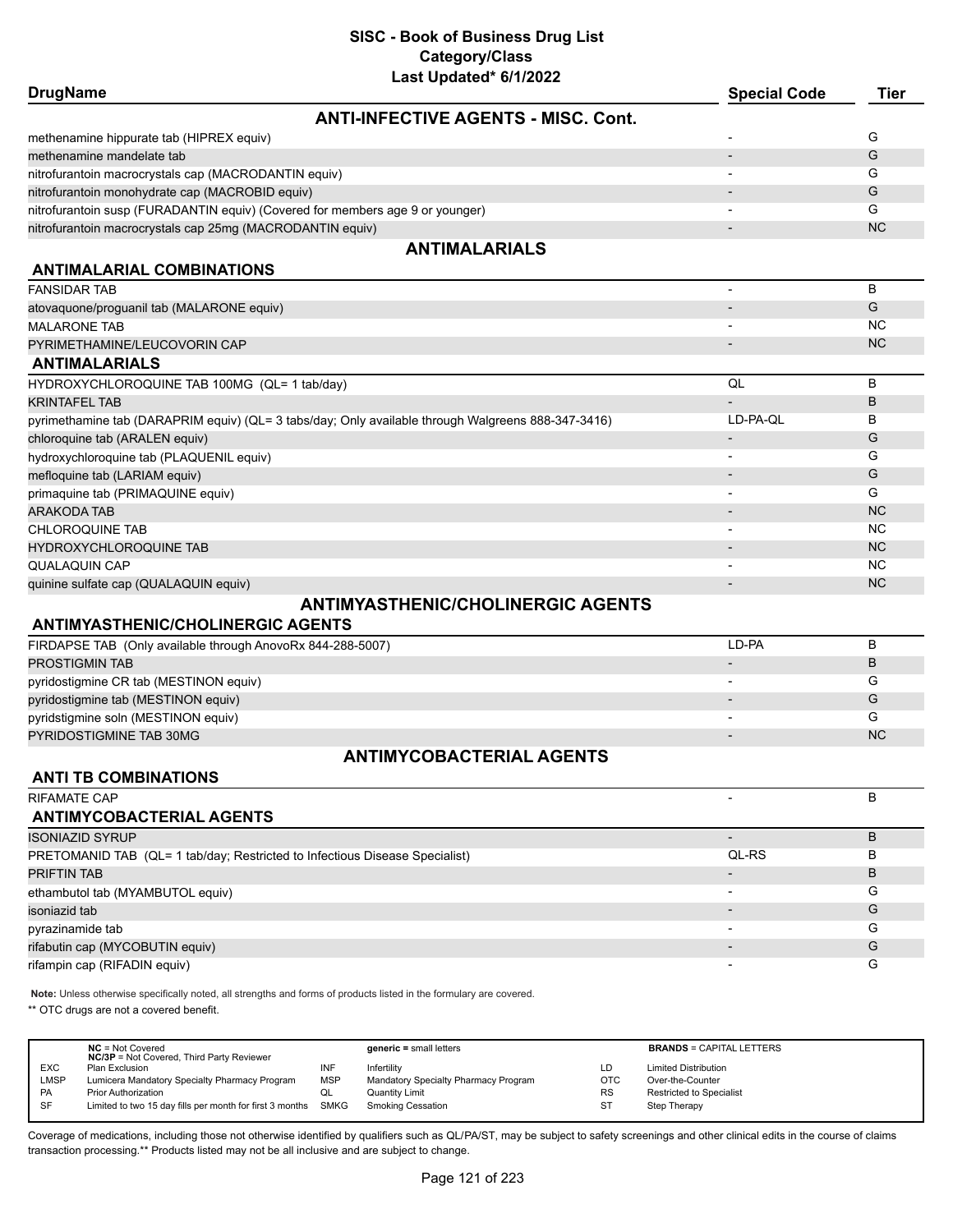| Last Updated 6/1/2022                                                                              |                              |                |
|----------------------------------------------------------------------------------------------------|------------------------------|----------------|
| <b>DrugName</b>                                                                                    | <b>Special Code</b>          | <b>Tier</b>    |
| <b>ANTI-INFECTIVE AGENTS - MISC. Cont.</b>                                                         |                              |                |
| methenamine hippurate tab (HIPREX equiv)                                                           |                              | G              |
| methenamine mandelate tab                                                                          |                              | G              |
| nitrofurantoin macrocrystals cap (MACRODANTIN equiv)                                               |                              | G              |
| nitrofurantoin monohydrate cap (MACROBID equiv)                                                    |                              | G              |
| nitrofurantoin susp (FURADANTIN equiv) (Covered for members age 9 or younger)                      |                              | G              |
| nitrofurantoin macrocrystals cap 25mg (MACRODANTIN equiv)                                          |                              | <b>NC</b>      |
| <b>ANTIMALARIALS</b>                                                                               |                              |                |
| <b>ANTIMALARIAL COMBINATIONS</b>                                                                   |                              |                |
| <b>FANSIDAR TAB</b>                                                                                | $\overline{\phantom{a}}$     | B              |
| atovaquone/proguanil tab (MALARONE equiv)                                                          |                              | G              |
| <b>MALARONE TAB</b>                                                                                |                              | N <sub>C</sub> |
| PYRIMETHAMINE/LEUCOVORIN CAP                                                                       |                              | <b>NC</b>      |
| <b>ANTIMALARIALS</b>                                                                               |                              |                |
| HYDROXYCHLOROQUINE TAB 100MG (QL= 1 tab/day)                                                       | QL                           | B              |
| <b>KRINTAFEL TAB</b>                                                                               |                              | B              |
| pyrimethamine tab (DARAPRIM equiv) (QL= 3 tabs/day; Only available through Walgreens 888-347-3416) | LD-PA-QL                     | В              |
| chloroquine tab (ARALEN equiv)                                                                     | $\overline{\phantom{a}}$     | G              |
| hydroxychloroquine tab (PLAQUENIL equiv)                                                           | ٠                            | G              |
| mefloquine tab (LARIAM equiv)                                                                      |                              | G              |
| primaquine tab (PRIMAQUINE equiv)                                                                  | $\overline{a}$               | G              |
| <b>ARAKODA TAB</b>                                                                                 |                              | <b>NC</b>      |
| <b>CHLOROQUINE TAB</b>                                                                             | $\overline{\phantom{0}}$     | <b>NC</b>      |
| <b>HYDROXYCHLOROQUINE TAB</b>                                                                      | $\qquad \qquad \blacksquare$ | <b>NC</b>      |
| <b>QUALAQUIN CAP</b>                                                                               | $\overline{\phantom{a}}$     | <b>NC</b>      |
| quinine sulfate cap (QUALAQUIN equiv)                                                              | $\overline{\phantom{a}}$     | <b>NC</b>      |
| <b>ANTIMYASTHENIC/CHOLINERGIC AGENTS</b>                                                           |                              |                |
| <b>ANTIMYASTHENIC/CHOLINERGIC AGENTS</b>                                                           |                              |                |
| FIRDAPSE TAB (Only available through AnovoRx 844-288-5007)                                         | LD-PA                        | B              |
| PROSTIGMIN TAB                                                                                     | $\overline{\phantom{a}}$     | B              |
| pyridostigmine CR tab (MESTINON equiv)                                                             |                              | G              |
| pyridostigmine tab (MESTINON equiv)                                                                |                              | G              |
| pyridstigmine soln (MESTINON equiv)                                                                |                              | G              |
| PYRIDOSTIGMINE TAB 30MG                                                                            |                              | <b>NC</b>      |
|                                                                                                    |                              |                |

# **ANTIMYCOBACTERIAL AGENTS**

# **ANTI TB COMBINATIONS**

| <b>RIFAMATE CAP</b>                                                         |                          | в |
|-----------------------------------------------------------------------------|--------------------------|---|
| <b>ANTIMYCOBACTERIAL AGENTS</b>                                             |                          |   |
| <b>ISONIAZID SYRUP</b>                                                      | $\overline{\phantom{0}}$ | B |
| PRETOMANID TAB (QL= 1 tab/day; Restricted to Infectious Disease Specialist) | QL-RS                    | в |
| <b>PRIFTIN TAB</b>                                                          |                          | B |
| ethambutol tab (MYAMBUTOL equiv)                                            | $\overline{\phantom{0}}$ | G |
| isoniazid tab                                                               | $\overline{\phantom{0}}$ | G |
| pyrazinamide tab                                                            | $\overline{\phantom{0}}$ | G |
| rifabutin cap (MYCOBUTIN equiv)                                             |                          | G |
| rifampin cap (RIFADIN equiv)                                                |                          | G |

**Note:** Unless otherwise specifically noted, all strengths and forms of products listed in the formulary are covered.

\*\* OTC drugs are not a covered benefit.

|            | $NC = Not Covered$<br><b>NC/3P</b> = Not Covered, Third Party Reviewer |            | $generic = small letters$            |            | <b>BRANDS = CAPITAL LETTERS</b> |
|------------|------------------------------------------------------------------------|------------|--------------------------------------|------------|---------------------------------|
| <b>EXC</b> | Plan Exclusion                                                         | INF        | Infertilitv                          | LD         | <b>Limited Distribution</b>     |
| LMSP       | Lumicera Mandatory Specialty Pharmacy Program                          | <b>MSP</b> | Mandatory Specialty Pharmacy Program | <b>OTC</b> | Over-the-Counter                |
| <b>PA</b>  | <b>Prior Authorization</b>                                             | QL         | <b>Quantity Limit</b>                | <b>RS</b>  | Restricted to Specialist        |
| <b>SF</b>  | Limited to two 15 day fills per month for first 3 months SMKG          |            | Smoking Cessation                    | ST         | Step Therapy                    |
|            |                                                                        |            |                                      |            |                                 |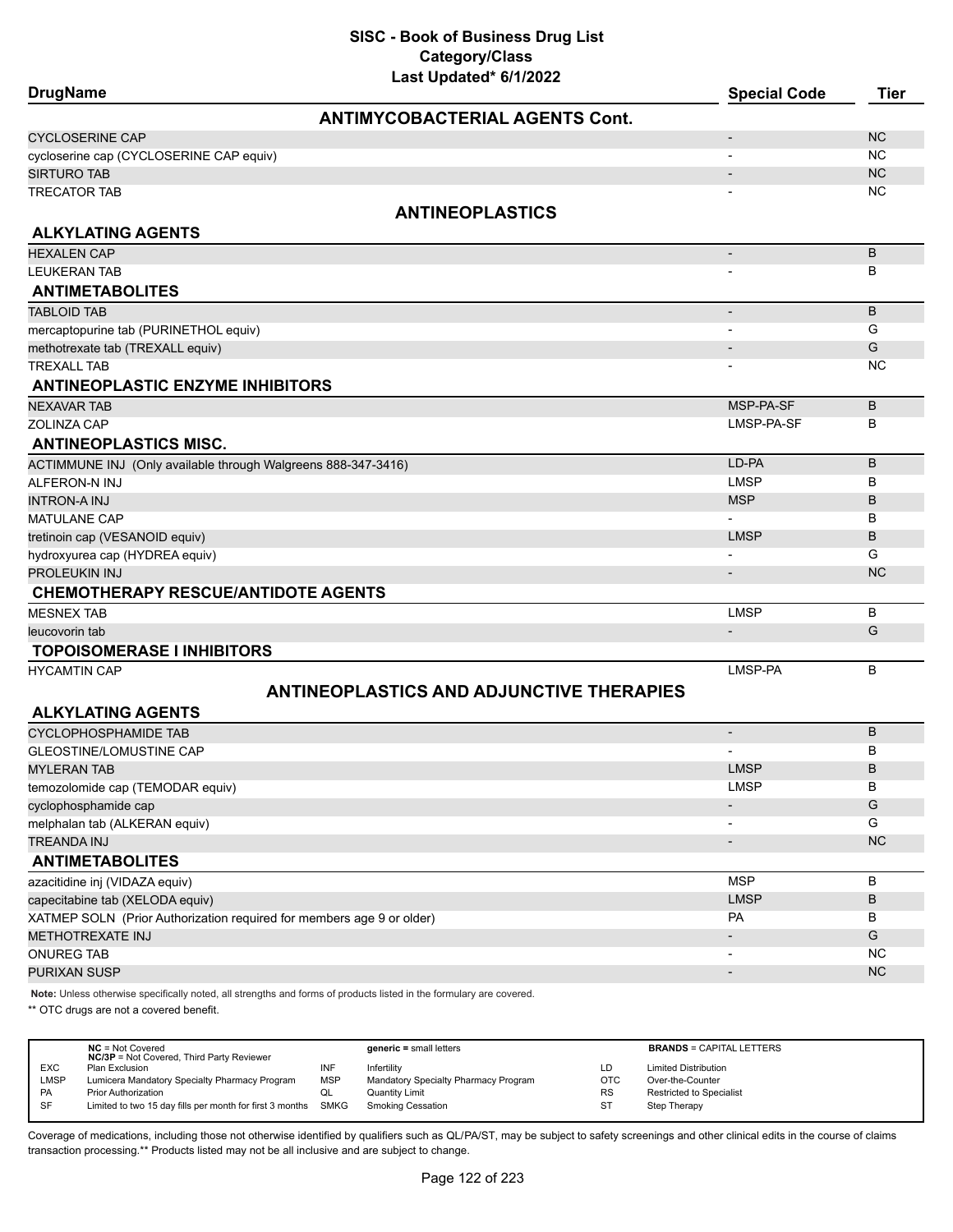| Last updated 6/1/2022<br><b>DrugName</b>                                                                            | <b>Special Code</b>      | <b>Tier</b> |
|---------------------------------------------------------------------------------------------------------------------|--------------------------|-------------|
| <b>ANTIMYCOBACTERIAL AGENTS Cont.</b>                                                                               |                          |             |
| <b>CYCLOSERINE CAP</b>                                                                                              | $\overline{\phantom{a}}$ | <b>NC</b>   |
| cycloserine cap (CYCLOSERINE CAP equiv)                                                                             |                          | <b>NC</b>   |
| <b>SIRTURO TAB</b>                                                                                                  |                          | <b>NC</b>   |
| <b>TRECATOR TAB</b>                                                                                                 |                          | <b>NC</b>   |
| <b>ANTINEOPLASTICS</b>                                                                                              |                          |             |
| <b>ALKYLATING AGENTS</b>                                                                                            |                          |             |
| <b>HEXALEN CAP</b>                                                                                                  | $\overline{\phantom{a}}$ | В           |
| <b>LEUKERAN TAB</b>                                                                                                 |                          | В           |
| <b>ANTIMETABOLITES</b>                                                                                              |                          |             |
| <b>TABLOID TAB</b>                                                                                                  | $\overline{\phantom{a}}$ | B           |
| mercaptopurine tab (PURINETHOL equiv)                                                                               |                          | G           |
| methotrexate tab (TREXALL equiv)                                                                                    |                          | G           |
| <b>TREXALL TAB</b>                                                                                                  |                          | <b>NC</b>   |
| <b>ANTINEOPLASTIC ENZYME INHIBITORS</b>                                                                             |                          |             |
| <b>NEXAVAR TAB</b>                                                                                                  | MSP-PA-SF                | В           |
| ZOLINZA CAP                                                                                                         | LMSP-PA-SF               | В           |
| <b>ANTINEOPLASTICS MISC.</b>                                                                                        |                          |             |
| ACTIMMUNE INJ (Only available through Walgreens 888-347-3416)                                                       | LD-PA                    | B           |
| ALFERON-N INJ                                                                                                       | <b>LMSP</b>              | в           |
| <b>INTRON-A INJ</b>                                                                                                 | <b>MSP</b>               | B           |
| MATULANE CAP                                                                                                        |                          | В           |
| tretinoin cap (VESANOID equiv)                                                                                      | <b>LMSP</b>              | B           |
| hydroxyurea cap (HYDREA equiv)                                                                                      |                          | G           |
| PROLEUKIN INJ                                                                                                       | $\overline{\phantom{a}}$ | <b>NC</b>   |
| <b>CHEMOTHERAPY RESCUE/ANTIDOTE AGENTS</b>                                                                          |                          |             |
| <b>MESNEX TAB</b>                                                                                                   | <b>LMSP</b>              | В           |
| leucovorin tab                                                                                                      | $\overline{\phantom{a}}$ | G           |
| <b>TOPOISOMERASE I INHIBITORS</b>                                                                                   |                          |             |
| <b>HYCAMTIN CAP</b>                                                                                                 | LMSP-PA                  | B           |
| <b>ANTINEOPLASTICS AND ADJUNCTIVE THERAPIES</b>                                                                     |                          |             |
|                                                                                                                     |                          |             |
| <b>ALKYLATING AGENTS</b>                                                                                            |                          |             |
| <b>CYCLOPHOSPHAMIDE TAB</b>                                                                                         | $\overline{\phantom{a}}$ | В           |
| <b>GLEOSTINE/LOMUSTINE CAP</b>                                                                                      |                          | в           |
| <b>MYLERAN TAB</b>                                                                                                  | <b>LMSP</b>              | B           |
| temozolomide cap (TEMODAR equiv)                                                                                    | <b>LMSP</b>              | В           |
| cyclophosphamide cap                                                                                                |                          | G           |
| melphalan tab (ALKERAN equiv)                                                                                       |                          | G           |
| <b>TREANDA INJ</b>                                                                                                  | $\overline{\phantom{a}}$ | <b>NC</b>   |
| <b>ANTIMETABOLITES</b>                                                                                              | <b>MSP</b>               | В           |
| azacitidine inj (VIDAZA equiv)                                                                                      | <b>LMSP</b>              | В           |
| capecitabine tab (XELODA equiv)<br>XATMEP SOLN (Prior Authorization required for members age 9 or older)            | PA                       | В           |
| <b>METHOTREXATE INJ</b>                                                                                             | $\overline{\phantom{a}}$ | G           |
| <b>ONUREG TAB</b>                                                                                                   | $\overline{\phantom{a}}$ | NC          |
| PURIXAN SUSP                                                                                                        | $\blacksquare$           | <b>NC</b>   |
|                                                                                                                     |                          |             |
| Note: Unless otherwise specifically noted, all strengths and forms of products listed in the formulary are covered. |                          |             |

\*\* OTC drugs are not a covered benefit.

|            | $NC = Not Covered$<br><b>NC/3P</b> = Not Covered, Third Party Reviewer |            | $generic = small letters$            |            | <b>BRANDS = CAPITAL LETTERS</b> |
|------------|------------------------------------------------------------------------|------------|--------------------------------------|------------|---------------------------------|
| <b>EXC</b> | Plan Exclusion                                                         | INF        | Infertilitv                          | LD         | <b>Limited Distribution</b>     |
| LMSP       | Lumicera Mandatory Specialty Pharmacy Program                          | <b>MSP</b> | Mandatory Specialty Pharmacy Program | <b>OTC</b> | Over-the-Counter                |
| PA         | <b>Prior Authorization</b>                                             | ◡          | <b>Quantity Limit</b>                | <b>RS</b>  | <b>Restricted to Specialist</b> |
| SF         | Limited to two 15 day fills per month for first 3 months SMKG          |            | Smoking Cessation                    | ST         | Step Therapy                    |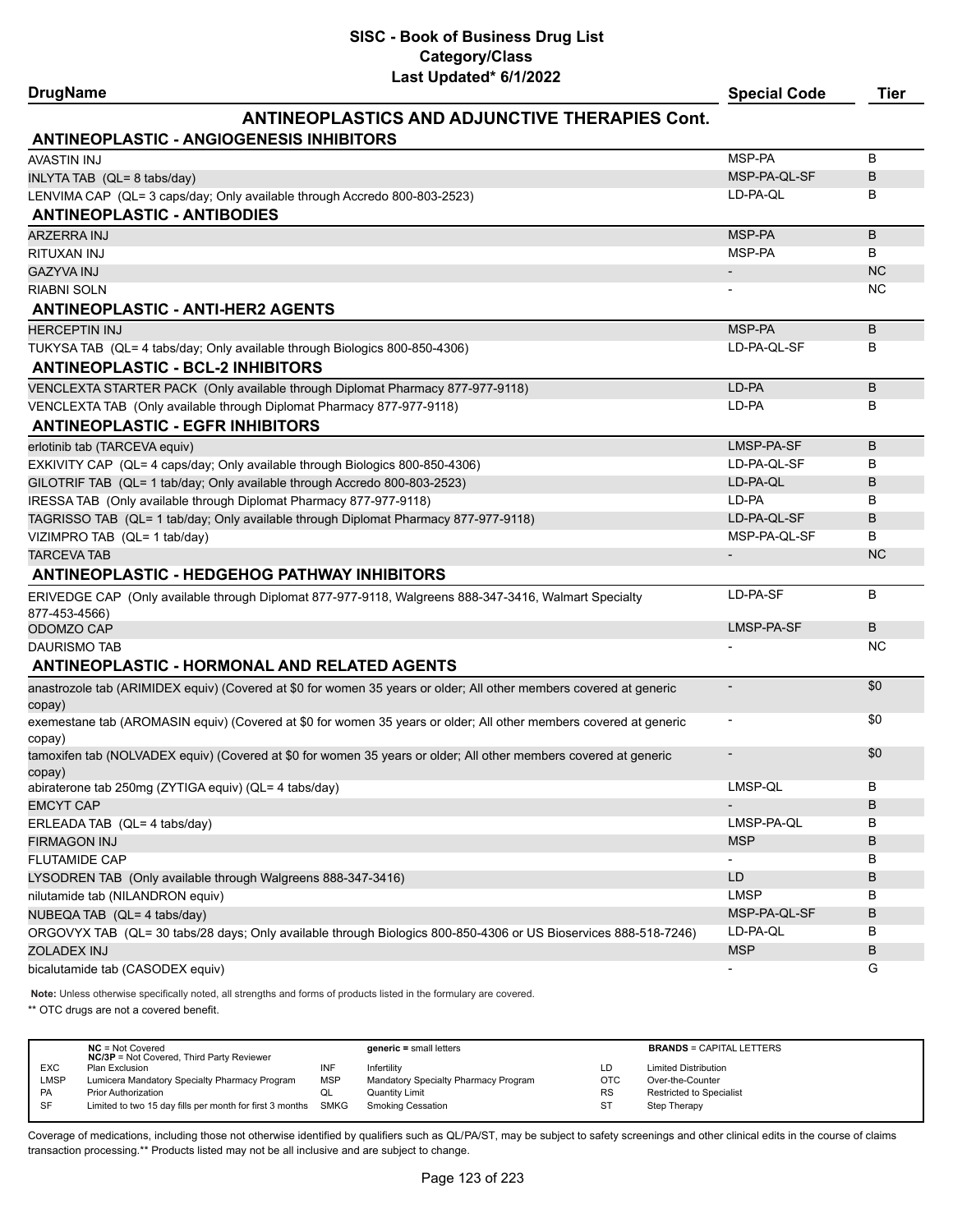# **DrugName Special Code Tier**

# **ANTINEOPLASTICS AND ADJUNCTIVE THERAPIES Cont.**

| <b>ANTINEOPLASTIC - ANGIOGENESIS INHIBITORS</b>                                                                              |                          |           |
|------------------------------------------------------------------------------------------------------------------------------|--------------------------|-----------|
| <b>AVASTIN INJ</b>                                                                                                           | MSP-PA                   | B         |
| INLYTA TAB (QL= 8 tabs/day)                                                                                                  | MSP-PA-QL-SF             | B         |
| LENVIMA CAP (QL= 3 caps/day; Only available through Accredo 800-803-2523)                                                    | LD-PA-QL                 | в         |
| <b>ANTINEOPLASTIC - ANTIBODIES</b>                                                                                           |                          |           |
| <b>ARZERRA INJ</b>                                                                                                           | MSP-PA                   | B         |
| RITUXAN INJ                                                                                                                  | MSP-PA                   | B         |
| <b>GAZYVA INJ</b>                                                                                                            | $\overline{\phantom{a}}$ | <b>NC</b> |
| <b>RIABNI SOLN</b>                                                                                                           |                          | <b>NC</b> |
| <b>ANTINEOPLASTIC - ANTI-HER2 AGENTS</b>                                                                                     |                          |           |
| <b>HERCEPTIN INJ</b>                                                                                                         | MSP-PA                   | B         |
| TUKYSA TAB (QL= 4 tabs/day; Only available through Biologics 800-850-4306)                                                   | LD-PA-QL-SF              | в         |
| <b>ANTINEOPLASTIC - BCL-2 INHIBITORS</b>                                                                                     |                          |           |
| VENCLEXTA STARTER PACK (Only available through Diplomat Pharmacy 877-977-9118)                                               | LD-PA                    | B         |
| VENCLEXTA TAB (Only available through Diplomat Pharmacy 877-977-9118)                                                        | LD-PA                    | В         |
| <b>ANTINEOPLASTIC - EGFR INHIBITORS</b>                                                                                      |                          |           |
| erlotinib tab (TARCEVA equiv)                                                                                                | LMSP-PA-SF               | B         |
| EXKIVITY CAP (QL= 4 caps/day; Only available through Biologics 800-850-4306)                                                 | LD-PA-QL-SF              | в         |
| GILOTRIF TAB (QL= 1 tab/day; Only available through Accredo 800-803-2523)                                                    | LD-PA-QL                 | B         |
| IRESSA TAB (Only available through Diplomat Pharmacy 877-977-9118)                                                           | LD-PA                    | В         |
| TAGRISSO TAB (QL= 1 tab/day; Only available through Diplomat Pharmacy 877-977-9118)                                          | LD-PA-QL-SF              | B         |
| VIZIMPRO TAB (QL= 1 tab/day)                                                                                                 | MSP-PA-QL-SF             | в         |
| <b>TARCEVA TAB</b>                                                                                                           | $\overline{\phantom{a}}$ | <b>NC</b> |
| <b>ANTINEOPLASTIC - HEDGEHOG PATHWAY INHIBITORS</b>                                                                          |                          |           |
| ERIVEDGE CAP (Only available through Diplomat 877-977-9118, Walgreens 888-347-3416, Walmart Specialty                        | LD-PA-SF                 | B         |
| 877-453-4566)                                                                                                                |                          |           |
| ODOMZO CAP                                                                                                                   | LMSP-PA-SF               | B         |
| <b>DAURISMO TAB</b>                                                                                                          |                          | NC        |
| <b>ANTINEOPLASTIC - HORMONAL AND RELATED AGENTS</b>                                                                          |                          |           |
| anastrozole tab (ARIMIDEX equiv) (Covered at \$0 for women 35 years or older; All other members covered at generic<br>copay) |                          | \$0       |
| exemestane tab (AROMASIN equiv) (Covered at \$0 for women 35 years or older; All other members covered at generic<br>copay)  |                          | \$0       |
| tamoxifen tab (NOLVADEX equiv) (Covered at \$0 for women 35 years or older; All other members covered at generic             |                          | \$0       |
| copay)                                                                                                                       |                          |           |
| abiraterone tab 250mg (ZYTIGA equiv) (QL= 4 tabs/day)                                                                        | LMSP-QL                  | В         |
| <b>EMCYT CAP</b>                                                                                                             |                          | B         |
| ERLEADA TAB (QL= 4 tabs/day)                                                                                                 | LMSP-PA-QL               | в         |
| FIRMAGON INJ                                                                                                                 | <b>MSP</b>               | В         |
| <b>FLUTAMIDE CAP</b>                                                                                                         |                          | в         |
| LYSODREN TAB (Only available through Walgreens 888-347-3416)                                                                 | LD                       | В         |
| nilutamide tab (NILANDRON equiv)                                                                                             | <b>LMSP</b>              | в         |
| NUBEQA TAB (QL= 4 tabs/day)                                                                                                  | MSP-PA-QL-SF             | В         |
| ORGOVYX TAB (QL= 30 tabs/28 days; Only available through Biologics 800-850-4306 or US Bioservices 888-518-7246)              | LD-PA-QL<br><b>MSP</b>   | В         |
| <b>ZOLADEX INJ</b>                                                                                                           |                          | B         |
| bicalutamide tab (CASODEX equiv)                                                                                             | $\overline{\phantom{a}}$ | G         |

**Note:** Unless otherwise specifically noted, all strengths and forms of products listed in the formulary are covered.

\*\* OTC drugs are not a covered benefit.

|            | $NC = Not Covered$<br><b>NC/3P</b> = Not Covered, Third Party Reviewer |            | $generic = small letters$            |            | <b>BRANDS = CAPITAL LETTERS</b> |
|------------|------------------------------------------------------------------------|------------|--------------------------------------|------------|---------------------------------|
| <b>EXC</b> | Plan Exclusion                                                         | INF        | Infertilitv                          | LD         | <b>Limited Distribution</b>     |
| LMSP       | Lumicera Mandatory Specialty Pharmacy Program                          | <b>MSP</b> | Mandatory Specialty Pharmacy Program | <b>OTC</b> | Over-the-Counter                |
| PA         | <b>Prior Authorization</b>                                             | ◡          | Quantity Limit                       | <b>RS</b>  | <b>Restricted to Specialist</b> |
| SF         | Limited to two 15 day fills per month for first 3 months               | SMKG       | Smoking Cessation                    | ST         | Step Therapy                    |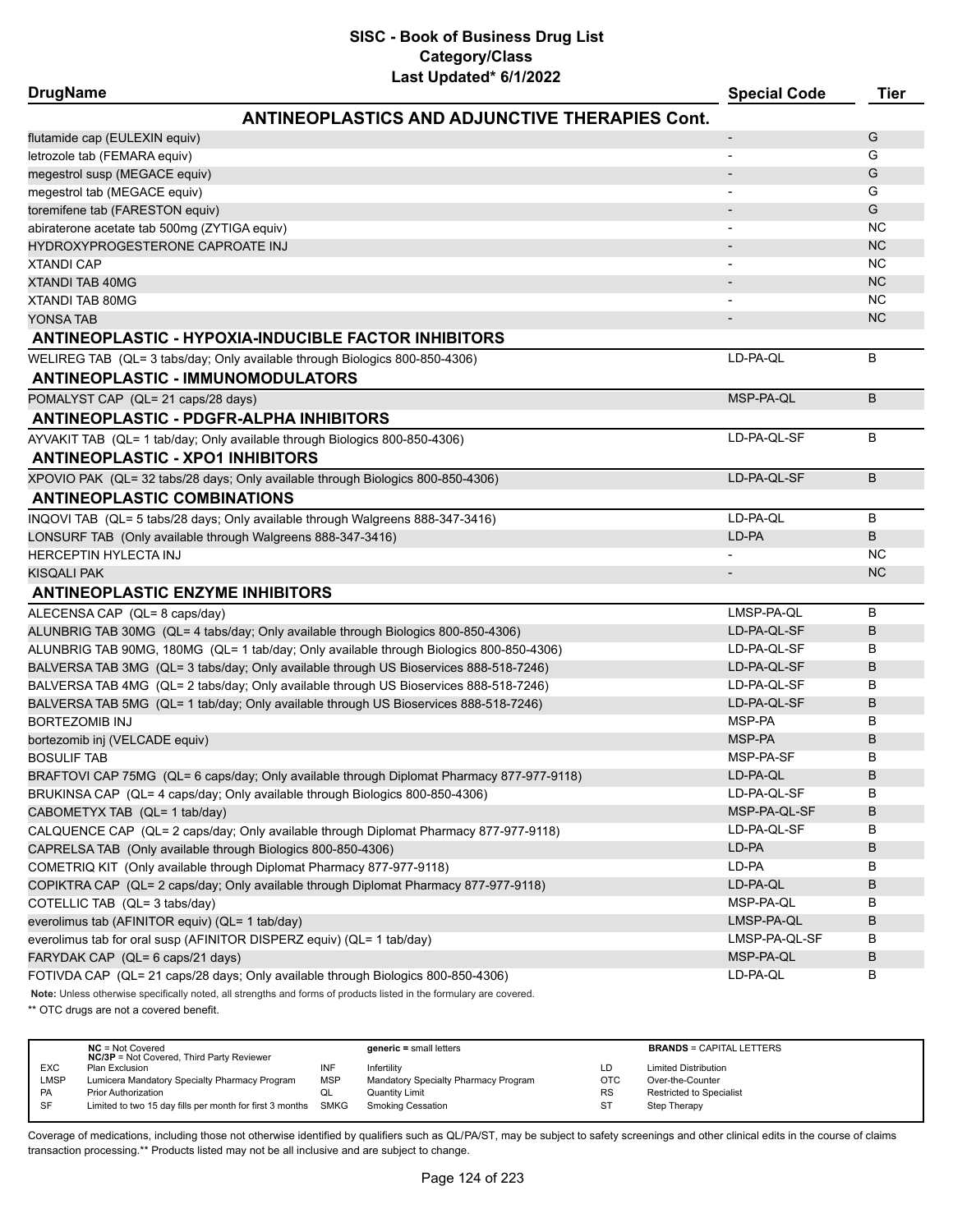| <b>DrugName</b>                                                                                                     | <b>Special Code</b> | Tier      |
|---------------------------------------------------------------------------------------------------------------------|---------------------|-----------|
| <b>ANTINEOPLASTICS AND ADJUNCTIVE THERAPIES Cont.</b>                                                               |                     |           |
| flutamide cap (EULEXIN equiv)                                                                                       |                     | G         |
| letrozole tab (FEMARA equiv)                                                                                        |                     | G         |
| megestrol susp (MEGACE equiv)                                                                                       |                     | G         |
| megestrol tab (MEGACE equiv)                                                                                        |                     | G         |
| toremifene tab (FARESTON equiv)                                                                                     |                     | G         |
| abiraterone acetate tab 500mg (ZYTIGA equiv)                                                                        |                     | <b>NC</b> |
| HYDROXYPROGESTERONE CAPROATE INJ                                                                                    |                     | <b>NC</b> |
| <b>XTANDI CAP</b>                                                                                                   |                     | <b>NC</b> |
| <b>XTANDI TAB 40MG</b>                                                                                              |                     | <b>NC</b> |
| <b>XTANDI TAB 80MG</b>                                                                                              |                     | <b>NC</b> |
| YONSA TAB                                                                                                           |                     | <b>NC</b> |
| <b>ANTINEOPLASTIC - HYPOXIA-INDUCIBLE FACTOR INHIBITORS</b>                                                         |                     |           |
| WELIREG TAB (QL= 3 tabs/day; Only available through Biologics 800-850-4306)                                         | LD-PA-QL            | В         |
| <b>ANTINEOPLASTIC - IMMUNOMODULATORS</b>                                                                            |                     |           |
| POMALYST CAP (QL= 21 caps/28 days)                                                                                  | MSP-PA-QL           | B         |
| <b>ANTINEOPLASTIC - PDGFR-ALPHA INHIBITORS</b>                                                                      |                     |           |
| AYVAKIT TAB (QL= 1 tab/day; Only available through Biologics 800-850-4306)                                          | LD-PA-QL-SF         | B         |
| <b>ANTINEOPLASTIC - XPO1 INHIBITORS</b>                                                                             |                     |           |
| XPOVIO PAK (QL= 32 tabs/28 days; Only available through Biologics 800-850-4306)                                     | LD-PA-QL-SF         | B         |
| <b>ANTINEOPLASTIC COMBINATIONS</b>                                                                                  |                     |           |
| INQOVI TAB (QL= 5 tabs/28 days; Only available through Walgreens 888-347-3416)                                      | LD-PA-OL            | В         |
| LONSURF TAB (Only available through Walgreens 888-347-3416)                                                         | LD-PA               | В         |
| <b>HERCEPTIN HYLECTA INJ</b>                                                                                        |                     | NC        |
| KISQALI PAK                                                                                                         |                     | <b>NC</b> |
| <b>ANTINEOPLASTIC ENZYME INHIBITORS</b>                                                                             |                     |           |
| ALECENSA CAP (QL= 8 caps/day)                                                                                       | LMSP-PA-QL          | B         |
| ALUNBRIG TAB 30MG (QL= 4 tabs/day; Only available through Biologics 800-850-4306)                                   | LD-PA-QL-SF         | B         |
| ALUNBRIG TAB 90MG, 180MG (QL= 1 tab/day; Only available through Biologics 800-850-4306)                             | LD-PA-QL-SF         | В         |
| BALVERSA TAB 3MG (QL= 3 tabs/day; Only available through US Bioservices 888-518-7246)                               | LD-PA-QL-SF         | B         |
| BALVERSA TAB 4MG (QL= 2 tabs/day; Only available through US Bioservices 888-518-7246)                               | LD-PA-QL-SF         | В         |
| BALVERSA TAB 5MG (QL= 1 tab/day; Only available through US Bioservices 888-518-7246)                                | LD-PA-QL-SF         | В         |
| <b>BORTEZOMIB INJ</b>                                                                                               | MSP-PA              | В         |
| bortezomib inj (VELCADE equiv)                                                                                      | MSP-PA              | В         |
| <b>BOSULIF TAB</b>                                                                                                  | MSP-PA-SF           | В         |
| BRAFTOVI CAP 75MG (QL= 6 caps/day; Only available through Diplomat Pharmacy 877-977-9118)                           | LD-PA-QL            | B         |
| BRUKINSA CAP (QL= 4 caps/day; Only available through Biologics 800-850-4306)                                        | LD-PA-QL-SF         | В         |
| CABOMETYX TAB (QL= 1 tab/day)                                                                                       | MSP-PA-QL-SF        | В         |
| CALQUENCE CAP (QL= 2 caps/day; Only available through Diplomat Pharmacy 877-977-9118)                               | LD-PA-QL-SF         | В         |
| CAPRELSA TAB (Only available through Biologics 800-850-4306)                                                        | LD-PA               | В         |
| COMETRIQ KIT (Only available through Diplomat Pharmacy 877-977-9118)                                                | LD-PA               | В         |
| COPIKTRA CAP (QL= 2 caps/day; Only available through Diplomat Pharmacy 877-977-9118)                                | LD-PA-QL            | В         |
| COTELLIC TAB (QL= 3 tabs/day)                                                                                       | MSP-PA-QL           | В         |
| everolimus tab (AFINITOR equiv) (QL= 1 tab/day)                                                                     | LMSP-PA-QL          | В         |
| everolimus tab for oral susp (AFINITOR DISPERZ equiv) (QL= 1 tab/day)                                               | LMSP-PA-QL-SF       | В         |
| FARYDAK CAP (QL= 6 caps/21 days)                                                                                    | MSP-PA-QL           | В         |
| FOTIVDA CAP (QL= 21 caps/28 days; Only available through Biologics 800-850-4306)                                    | LD-PA-QL            | В         |
| Note: Unless otherwise specifically noted, all strengths and forms of products listed in the formulary are covered. |                     |           |

\*\* OTC drugs are not a covered benefit.

|             | $NC = Not Covered$<br><b>NC/3P</b> = Not Covered, Third Party Reviewer |     | $generic = small letters$            |            | <b>BRANDS = CAPITAL LETTERS</b> |
|-------------|------------------------------------------------------------------------|-----|--------------------------------------|------------|---------------------------------|
| <b>EXC</b>  | Plan Exclusion                                                         | INF | Infertility                          | ٢D.        | <b>Limited Distribution</b>     |
| <b>LMSP</b> | Lumicera Mandatory Specialty Pharmacy Program                          | MSP | Mandatory Specialty Pharmacy Program | <b>OTC</b> | Over-the-Counter                |
| <b>PA</b>   | <b>Prior Authorization</b>                                             | QL  | <b>Quantity Limit</b>                | <b>RS</b>  | Restricted to Specialist        |
| SF          | Limited to two 15 day fills per month for first 3 months SMKG          |     | Smoking Cessation                    | ST         | Step Therapy                    |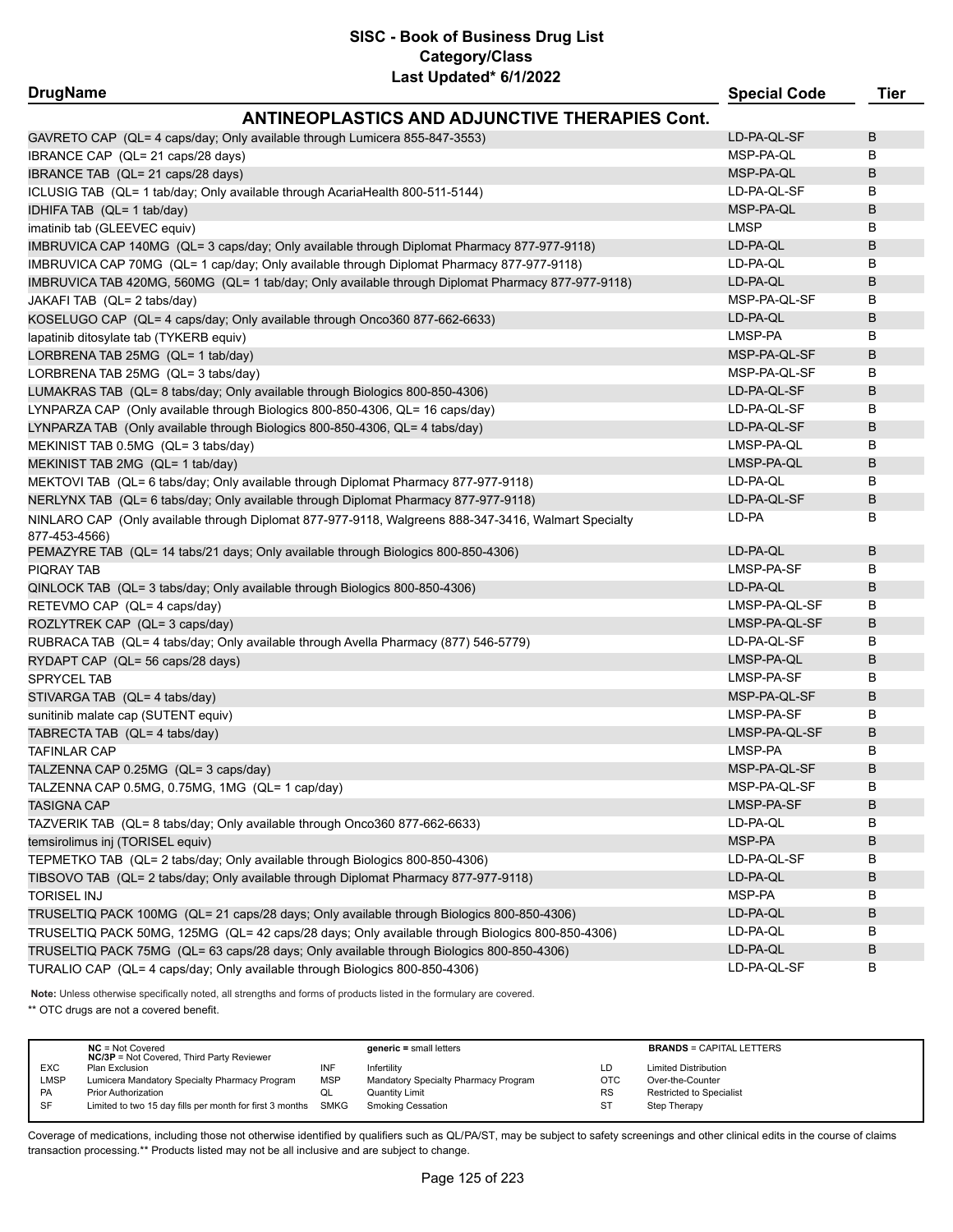| <b>DrugName</b>                                                                                                       | <b>Special Code</b> | Tier |
|-----------------------------------------------------------------------------------------------------------------------|---------------------|------|
| <b>ANTINEOPLASTICS AND ADJUNCTIVE THERAPIES Cont.</b>                                                                 |                     |      |
| GAVRETO CAP (QL= 4 caps/day; Only available through Lumicera 855-847-3553)                                            | LD-PA-QL-SF         | B    |
| IBRANCE CAP (QL= 21 caps/28 days)                                                                                     | MSP-PA-QL           | В    |
| IBRANCE TAB (QL= 21 caps/28 days)                                                                                     | MSP-PA-QL           | B    |
| ICLUSIG TAB (QL= 1 tab/day; Only available through AcariaHealth 800-511-5144)                                         | LD-PA-QL-SF         | в    |
| IDHIFA TAB (QL= 1 tab/day)                                                                                            | MSP-PA-QL           | B    |
| imatinib tab (GLEEVEC equiv)                                                                                          | <b>LMSP</b>         | B    |
| IMBRUVICA CAP 140MG (QL= 3 caps/day; Only available through Diplomat Pharmacy 877-977-9118)                           | LD-PA-QL            | B    |
| IMBRUVICA CAP 70MG (QL= 1 cap/day; Only available through Diplomat Pharmacy 877-977-9118)                             | LD-PA-QL            | В    |
| IMBRUVICA TAB 420MG, 560MG (QL= 1 tab/day; Only available through Diplomat Pharmacy 877-977-9118)                     | LD-PA-QL            | B    |
| JAKAFI TAB (QL= 2 tabs/day)                                                                                           | MSP-PA-QL-SF        | В    |
| KOSELUGO CAP (QL= 4 caps/day; Only available through Onco360 877-662-6633)                                            | LD-PA-QL            | B    |
| lapatinib ditosylate tab (TYKERB equiv)                                                                               | LMSP-PA             | в    |
| LORBRENA TAB 25MG (QL= 1 tab/day)                                                                                     | MSP-PA-QL-SF        | B    |
| LORBRENA TAB 25MG (QL= 3 tabs/day)                                                                                    | MSP-PA-QL-SF        | в    |
| LUMAKRAS TAB (QL= 8 tabs/day; Only available through Biologics 800-850-4306)                                          | LD-PA-QL-SF         | B    |
| LYNPARZA CAP (Only available through Biologics 800-850-4306, QL= 16 caps/day)                                         | LD-PA-QL-SF         | В    |
| LYNPARZA TAB (Only available through Biologics 800-850-4306, QL= 4 tabs/day)                                          | LD-PA-QL-SF         | B    |
| MEKINIST TAB 0.5MG (QL= 3 tabs/day)                                                                                   | LMSP-PA-QL          | В    |
| MEKINIST TAB 2MG (QL= 1 tab/day)                                                                                      | LMSP-PA-QL          | В    |
| MEKTOVI TAB (QL= 6 tabs/day; Only available through Diplomat Pharmacy 877-977-9118)                                   | LD-PA-QL            | В    |
| NERLYNX TAB (QL= 6 tabs/day; Only available through Diplomat Pharmacy 877-977-9118)                                   | LD-PA-QL-SF         | B    |
| NINLARO CAP (Only available through Diplomat 877-977-9118, Walgreens 888-347-3416, Walmart Specialty<br>877-453-4566) | LD-PA               | В    |
| PEMAZYRE TAB (QL= 14 tabs/21 days; Only available through Biologics 800-850-4306)                                     | LD-PA-QL            | B    |
| PIQRAY TAB                                                                                                            | LMSP-PA-SF          | в    |
| QINLOCK TAB (QL= 3 tabs/day; Only available through Biologics 800-850-4306)                                           | LD-PA-QL            | В    |
| RETEVMO CAP (QL= 4 caps/day)                                                                                          | LMSP-PA-QL-SF       | в    |
| ROZLYTREK CAP (QL= 3 caps/day)                                                                                        | LMSP-PA-QL-SF       | B    |
| RUBRACA TAB (QL= 4 tabs/day; Only available through Avella Pharmacy (877) 546-5779)                                   | LD-PA-QL-SF         | В    |
| RYDAPT CAP (QL= 56 caps/28 days)                                                                                      | LMSP-PA-QL          | B    |
| <b>SPRYCEL TAB</b>                                                                                                    | LMSP-PA-SF          | В    |
| STIVARGA TAB (QL= 4 tabs/day)                                                                                         | MSP-PA-QL-SF        | B    |
| sunitinib malate cap (SUTENT equiv)                                                                                   | LMSP-PA-SF          | В    |
| TABRECTA TAB (QL= 4 tabs/day)                                                                                         | LMSP-PA-QL-SF       | B    |
| <b>TAFINLAR CAP</b>                                                                                                   | LMSP-PA             | В    |
| TALZENNA CAP 0.25MG (QL= 3 caps/day)                                                                                  | MSP-PA-QL-SF        | В    |
| TALZENNA CAP 0.5MG, 0.75MG, 1MG(QL= 1 cap/day)                                                                        | MSP-PA-QL-SF        | в    |
| <b>TASIGNA CAP</b>                                                                                                    | LMSP-PA-SF          | В    |
| TAZVERIK TAB (QL= 8 tabs/day; Only available through Onco360 877-662-6633)                                            | LD-PA-QL            | В    |
| temsirolimus inj (TORISEL equiv)                                                                                      | MSP-PA              | В    |
| TEPMETKO TAB (QL= 2 tabs/day; Only available through Biologics 800-850-4306)                                          | LD-PA-QL-SF         | В    |
| TIBSOVO TAB (QL= 2 tabs/day; Only available through Diplomat Pharmacy 877-977-9118)                                   | LD-PA-QL            | B    |
| <b>TORISEL INJ</b>                                                                                                    | MSP-PA              | В    |
| TRUSELTIQ PACK 100MG (QL= 21 caps/28 days; Only available through Biologics 800-850-4306)                             | LD-PA-QL            | B    |
| TRUSELTIQ PACK 50MG, 125MG (QL= 42 caps/28 days; Only available through Biologics 800-850-4306)                       | LD-PA-QL            | В    |
| TRUSELTIQ PACK 75MG (QL= 63 caps/28 days; Only available through Biologics 800-850-4306)                              | LD-PA-QL            | B    |
| TURALIO CAP (QL= 4 caps/day; Only available through Biologics 800-850-4306)                                           | LD-PA-QL-SF         | В    |
|                                                                                                                       |                     |      |

**Note:** Unless otherwise specifically noted, all strengths and forms of products listed in the formulary are covered. \*\* OTC drugs are not a covered benefit.

|            | $NC = Not Covered$<br><b>NC/3P</b> = Not Covered, Third Party Reviewer |            | $generic = small letters$            |            | <b>BRANDS = CAPITAL LETTERS</b> |
|------------|------------------------------------------------------------------------|------------|--------------------------------------|------------|---------------------------------|
| <b>EXC</b> | Plan Exclusion                                                         | INF        | Infertility                          | LD.        | <b>Limited Distribution</b>     |
| LMSP       | Lumicera Mandatory Specialty Pharmacy Program                          | <b>MSP</b> | Mandatory Specialty Pharmacy Program | <b>OTC</b> | Over-the-Counter                |
| <b>PA</b>  | <b>Prior Authorization</b>                                             | QL         | Quantity Limit                       | <b>RS</b>  | Restricted to Specialist        |
| <b>SF</b>  | Limited to two 15 day fills per month for first 3 months SMKG          |            | Smoking Cessation                    |            | Step Therapy                    |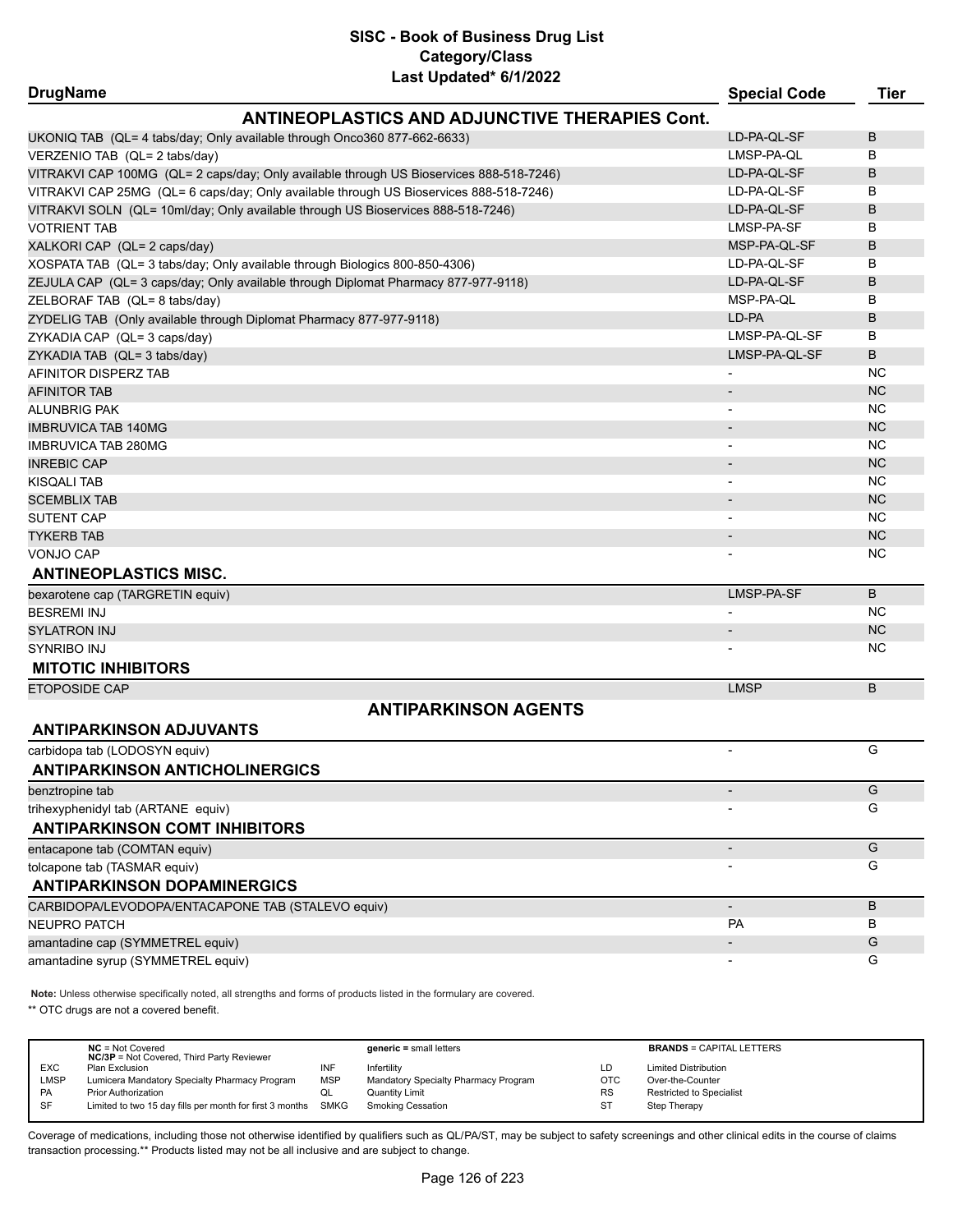| <b>DrugName</b>                                                                         | <b>Special Code</b>      | <b>Tier</b> |
|-----------------------------------------------------------------------------------------|--------------------------|-------------|
| <b>ANTINEOPLASTICS AND ADJUNCTIVE THERAPIES Cont.</b>                                   |                          |             |
| UKONIQ TAB (QL= 4 tabs/day; Only available through Onco360 877-662-6633)                | LD-PA-QL-SF              | B           |
| VERZENIO TAB (QL= 2 tabs/day)                                                           | LMSP-PA-QL               | B           |
| VITRAKVI CAP 100MG (QL= 2 caps/day; Only available through US Bioservices 888-518-7246) | LD-PA-QL-SF              | B           |
| VITRAKVI CAP 25MG (QL= 6 caps/day; Only available through US Bioservices 888-518-7246)  | LD-PA-QL-SF              | B           |
| VITRAKVI SOLN (QL= 10ml/day; Only available through US Bioservices 888-518-7246)        | LD-PA-QL-SF              | B           |
| <b>VOTRIENT TAB</b>                                                                     | LMSP-PA-SF               | B           |
| XALKORI CAP (QL= 2 caps/day)                                                            | MSP-PA-QL-SF             | B           |
| XOSPATA TAB (QL= 3 tabs/day; Only available through Biologics 800-850-4306)             | LD-PA-QL-SF              | B           |
| ZEJULA CAP (QL= 3 caps/day; Only available through Diplomat Pharmacy 877-977-9118)      | LD-PA-QL-SF              | B           |
| ZELBORAF TAB (QL= 8 tabs/day)                                                           | MSP-PA-QL                | В           |
| ZYDELIG TAB (Only available through Diplomat Pharmacy 877-977-9118)                     | LD-PA                    | B           |
| ZYKADIA CAP (QL= 3 caps/day)                                                            | LMSP-PA-QL-SF            | B           |
| ZYKADIA TAB (QL= 3 tabs/day)                                                            | LMSP-PA-QL-SF            | B           |
| AFINITOR DISPERZ TAB                                                                    |                          | NC          |
| <b>AFINITOR TAB</b>                                                                     | $\overline{\phantom{a}}$ | <b>NC</b>   |
| <b>ALUNBRIG PAK</b>                                                                     |                          | <b>NC</b>   |
| <b>IMBRUVICA TAB 140MG</b>                                                              |                          | <b>NC</b>   |
| <b>IMBRUVICA TAB 280MG</b>                                                              |                          | <b>NC</b>   |
| <b>INREBIC CAP</b>                                                                      | $\overline{\phantom{a}}$ | <b>NC</b>   |
| <b>KISQALI TAB</b>                                                                      | $\blacksquare$           | <b>NC</b>   |
| <b>SCEMBLIX TAB</b>                                                                     |                          | <b>NC</b>   |
| <b>SUTENT CAP</b>                                                                       |                          | <b>NC</b>   |
| <b>TYKERB TAB</b>                                                                       | $\overline{\phantom{a}}$ | <b>NC</b>   |
| VONJO CAP                                                                               |                          | <b>NC</b>   |
| <b>ANTINEOPLASTICS MISC.</b>                                                            |                          |             |
| bexarotene cap (TARGRETIN equiv)                                                        | LMSP-PA-SF               | B           |
| <b>BESREMI INJ</b>                                                                      | $\overline{\phantom{a}}$ | <b>NC</b>   |
| <b>SYLATRON INJ</b>                                                                     | $\overline{\phantom{a}}$ | <b>NC</b>   |
| <b>SYNRIBO INJ</b>                                                                      |                          | <b>NC</b>   |
| <b>MITOTIC INHIBITORS</b>                                                               |                          |             |
| ETOPOSIDE CAP                                                                           | <b>LMSP</b>              | B           |
| <b>ANTIPARKINSON AGENTS</b>                                                             |                          |             |
| <b>ANTIPARKINSON ADJUVANTS</b>                                                          |                          |             |
| carbidopa tab (LODOSYN equiv)                                                           |                          | G           |
| <b>ANTIPARKINSON ANTICHOLINERGICS</b>                                                   |                          |             |
| benztropine tab                                                                         |                          | G           |
| trihexyphenidyl tab (ARTANE equiv)                                                      |                          | G           |
| <b>ANTIPARKINSON COMT INHIBITORS</b>                                                    |                          |             |
| entacapone tab (COMTAN equiv)                                                           |                          | G           |
| tolcapone tab (TASMAR equiv)                                                            |                          | G           |
| <b>ANTIPARKINSON DOPAMINERGICS</b>                                                      |                          |             |
| CARBIDOPA/LEVODOPA/ENTACAPONE TAB (STALEVO equiv)                                       |                          | B           |
| <b>NEUPRO PATCH</b>                                                                     | <b>PA</b>                | В           |
| amantadine cap (SYMMETREL equiv)                                                        |                          | G           |
| amantadine syrup (SYMMETREL equiv)                                                      |                          | G           |
|                                                                                         |                          |             |

**Note:** Unless otherwise specifically noted, all strengths and forms of products listed in the formulary are covered.

\*\* OTC drugs are not a covered benefit.

|            | $NC = Not Covered$<br><b>NC/3P</b> = Not Covered, Third Party Reviewer |            | $generic = small letters$            |            | <b>BRANDS = CAPITAL LETTERS</b> |
|------------|------------------------------------------------------------------------|------------|--------------------------------------|------------|---------------------------------|
| <b>EXC</b> | Plan Exclusion                                                         | INF        | Infertilitv                          | LD         | <b>Limited Distribution</b>     |
| LMSP       | Lumicera Mandatory Specialty Pharmacy Program                          | <b>MSP</b> | Mandatory Specialty Pharmacy Program | <b>OTC</b> | Over-the-Counter                |
| PA         | <b>Prior Authorization</b>                                             | ◡          | Quantity Limit                       | <b>RS</b>  | <b>Restricted to Specialist</b> |
| SF         | Limited to two 15 day fills per month for first 3 months               | SMKG       | Smoking Cessation                    | ST         | Step Therapy                    |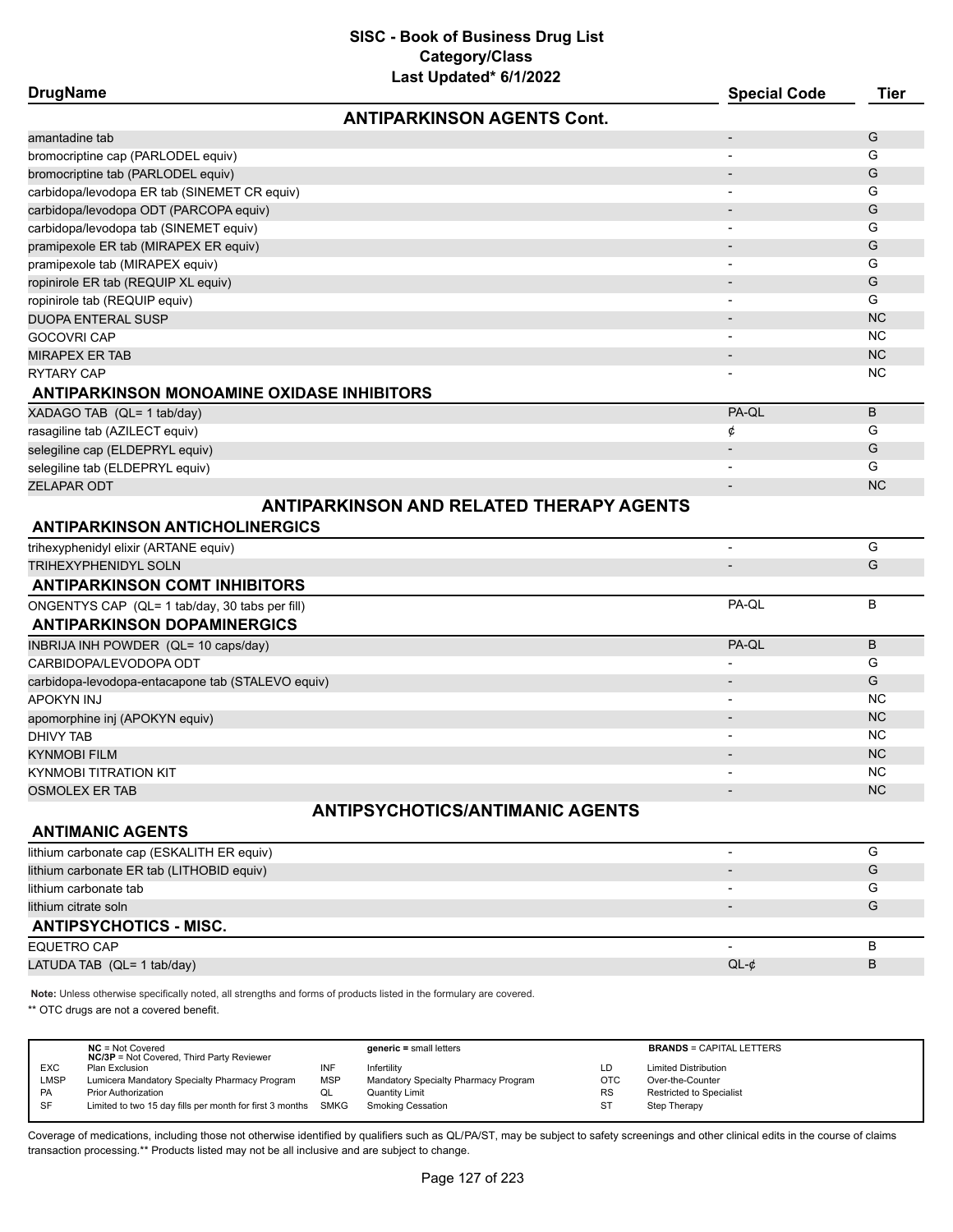| <b>DrugName</b>                                   | Last Upualtu VIIILULL                           | <b>Special Code</b>      | <b>Tier</b> |
|---------------------------------------------------|-------------------------------------------------|--------------------------|-------------|
|                                                   | <b>ANTIPARKINSON AGENTS Cont.</b>               |                          |             |
| amantadine tab                                    |                                                 | $\overline{\phantom{a}}$ | G           |
| bromocriptine cap (PARLODEL equiv)                |                                                 |                          | G           |
| bromocriptine tab (PARLODEL equiv)                |                                                 |                          | G           |
| carbidopa/levodopa ER tab (SINEMET CR equiv)      |                                                 |                          | G           |
| carbidopa/levodopa ODT (PARCOPA equiv)            |                                                 |                          | G           |
| carbidopa/levodopa tab (SINEMET equiv)            |                                                 |                          | G           |
| pramipexole ER tab (MIRAPEX ER equiv)             |                                                 |                          | G           |
| pramipexole tab (MIRAPEX equiv)                   |                                                 |                          | G           |
| ropinirole ER tab (REQUIP XL equiv)               |                                                 |                          | G           |
| ropinirole tab (REQUIP equiv)                     |                                                 |                          | G           |
| <b>DUOPA ENTERAL SUSP</b>                         |                                                 |                          | <b>NC</b>   |
| <b>GOCOVRI CAP</b>                                |                                                 | $\overline{\phantom{0}}$ | NC          |
| <b>MIRAPEX ER TAB</b>                             |                                                 |                          | <b>NC</b>   |
| <b>RYTARY CAP</b>                                 |                                                 |                          | <b>NC</b>   |
| <b>ANTIPARKINSON MONOAMINE OXIDASE INHIBITORS</b> |                                                 |                          |             |
| XADAGO TAB (QL= 1 tab/day)                        |                                                 | PA-QL                    | B           |
| rasagiline tab (AZILECT equiv)                    |                                                 | ¢                        | G           |
| selegiline cap (ELDEPRYL equiv)                   |                                                 |                          | G           |
| selegiline tab (ELDEPRYL equiv)                   |                                                 |                          | G           |
| <b>ZELAPAR ODT</b>                                |                                                 | $\overline{\phantom{a}}$ | <b>NC</b>   |
|                                                   | <b>ANTIPARKINSON AND RELATED THERAPY AGENTS</b> |                          |             |
| <b>ANTIPARKINSON ANTICHOLINERGICS</b>             |                                                 |                          |             |
| trihexyphenidyl elixir (ARTANE equiv)             |                                                 | $\blacksquare$           | G           |
| TRIHEXYPHENIDYL SOLN                              |                                                 |                          | G           |
| <b>ANTIPARKINSON COMT INHIBITORS</b>              |                                                 |                          |             |
| ONGENTYS CAP (QL= 1 tab/day, 30 tabs per fill)    |                                                 | PA-QL                    | B           |
| <b>ANTIPARKINSON DOPAMINERGICS</b>                |                                                 |                          |             |
| INBRIJA INH POWDER (QL= 10 caps/day)              |                                                 | PA-QL                    | B           |
| CARBIDOPA/LEVODOPA ODT                            |                                                 |                          | G           |
| carbidopa-levodopa-entacapone tab (STALEVO equiv) |                                                 |                          | G           |
| <b>APOKYN INJ</b>                                 |                                                 |                          | <b>NC</b>   |
| apomorphine inj (APOKYN equiv)                    |                                                 |                          | <b>NC</b>   |
| <b>DHIVY TAB</b>                                  |                                                 | $\blacksquare$           | <b>NC</b>   |
| <b>KYNMOBI FILM</b>                               |                                                 |                          | <b>NC</b>   |
| KYNMOBI TITRATION KIT                             |                                                 |                          | <b>NC</b>   |
| <b>OSMOLEX ER TAB</b>                             |                                                 | $\overline{\phantom{a}}$ | <b>NC</b>   |
|                                                   | <b>ANTIPSYCHOTICS/ANTIMANIC AGENTS</b>          |                          |             |

# **ANTIMANIC AGENTS**

| AN LIMANG AVEN IV                         |                          |   |
|-------------------------------------------|--------------------------|---|
| lithium carbonate cap (ESKALITH ER equiv) |                          | G |
| lithium carbonate ER tab (LITHOBID equiv) | $\overline{\phantom{a}}$ | G |
| lithium carbonate tab                     |                          | G |
| lithium citrate soln                      |                          | G |
| <b>ANTIPSYCHOTICS - MISC.</b>             |                          |   |
| EQUETRO CAP                               |                          | В |
| LATUDA TAB (QL= 1 tab/day)                | $QL - d$                 | В |
|                                           |                          |   |

**Note:** Unless otherwise specifically noted, all strengths and forms of products listed in the formulary are covered.

\*\* OTC drugs are not a covered benefit.

|            | $NC = Not Covered$<br><b>NC/3P</b> = Not Covered, Third Party Reviewer |            | $generic = small letters$            |            | <b>BRANDS = CAPITAL LETTERS</b> |
|------------|------------------------------------------------------------------------|------------|--------------------------------------|------------|---------------------------------|
| <b>EXC</b> | Plan Exclusion                                                         | INF        | Infertilitv                          | LD         | <b>Limited Distribution</b>     |
|            |                                                                        |            |                                      |            |                                 |
| LMSP       | Lumicera Mandatory Specialty Pharmacy Program                          | <b>MSP</b> | Mandatory Specialty Pharmacy Program | <b>OTC</b> | Over-the-Counter                |
| <b>PA</b>  | <b>Prior Authorization</b>                                             | QL         | <b>Quantity Limit</b>                | <b>RS</b>  | Restricted to Specialist        |
| <b>SF</b>  | Limited to two 15 day fills per month for first 3 months SMKG          |            | <b>Smoking Cessation</b>             | ST         | Step Therapy                    |
|            |                                                                        |            |                                      |            |                                 |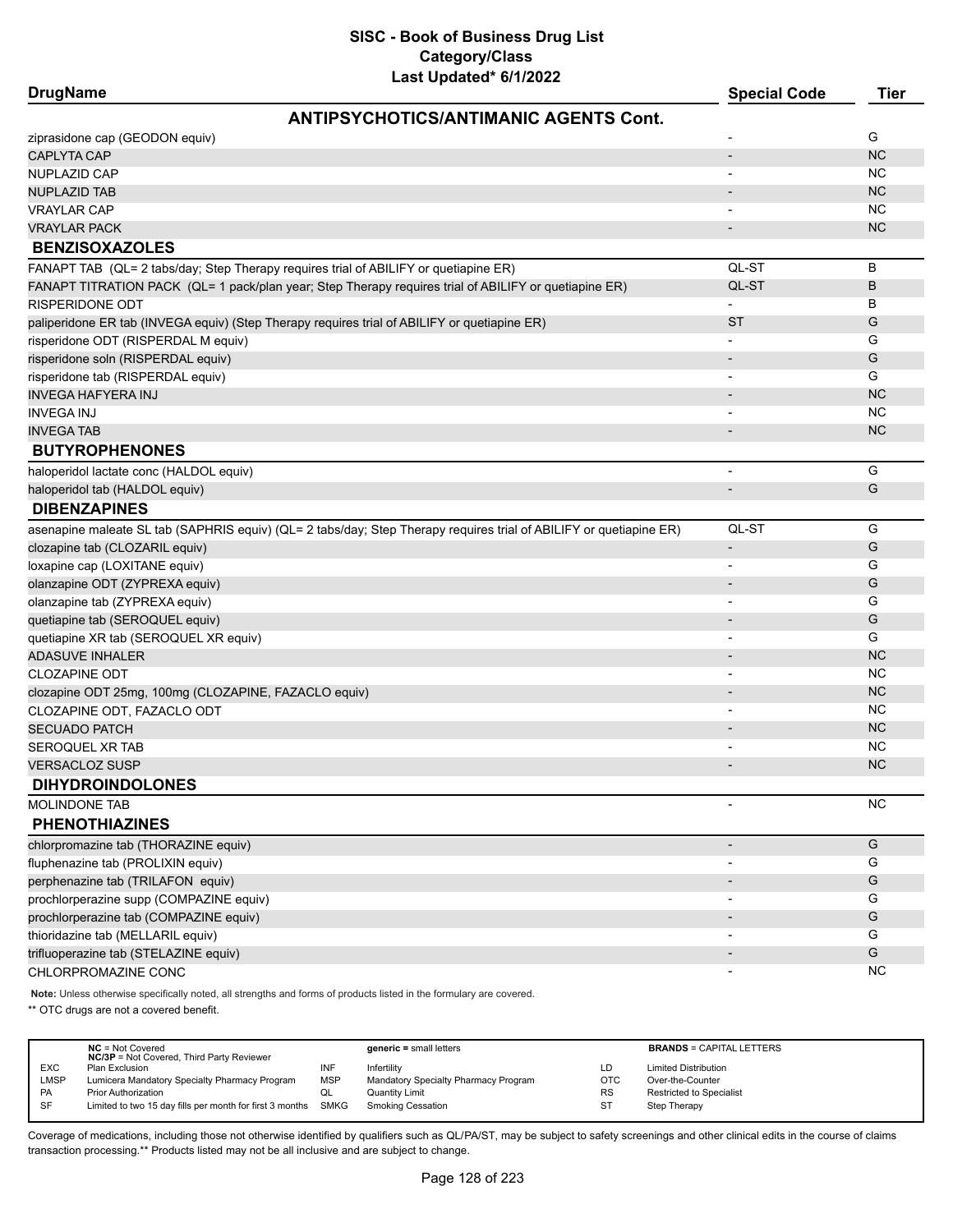| <b>DrugName</b>                                                                                                     | <b>Special Code</b>      | Tier      |
|---------------------------------------------------------------------------------------------------------------------|--------------------------|-----------|
| <b>ANTIPSYCHOTICS/ANTIMANIC AGENTS Cont.</b>                                                                        |                          |           |
| ziprasidone cap (GEODON equiv)                                                                                      |                          | G         |
| <b>CAPLYTA CAP</b>                                                                                                  | $\overline{a}$           | <b>NC</b> |
| NUPLAZID CAP                                                                                                        |                          | ΝC        |
| <b>NUPLAZID TAB</b>                                                                                                 |                          | <b>NC</b> |
| <b>VRAYLAR CAP</b>                                                                                                  |                          | <b>NC</b> |
| <b>VRAYLAR PACK</b>                                                                                                 |                          | <b>NC</b> |
| <b>BENZISOXAZOLES</b>                                                                                               |                          |           |
| FANAPT TAB (QL= 2 tabs/day; Step Therapy requires trial of ABILIFY or quetiapine ER)                                | QL-ST                    | В         |
| FANAPT TITRATION PACK (QL= 1 pack/plan year; Step Therapy requires trial of ABILIFY or quetiapine ER)               | QL-ST                    | B         |
| <b>RISPERIDONE ODT</b>                                                                                              |                          | B         |
| paliperidone ER tab (INVEGA equiv) (Step Therapy requires trial of ABILIFY or quetiapine ER)                        | <b>ST</b>                | G         |
| risperidone ODT (RISPERDAL M equiv)                                                                                 |                          | G         |
| risperidone soln (RISPERDAL equiv)                                                                                  |                          | G         |
| risperidone tab (RISPERDAL equiv)                                                                                   |                          | G         |
| <b>INVEGA HAFYERA INJ</b>                                                                                           |                          | <b>NC</b> |
| <b>INVEGA INJ</b>                                                                                                   |                          | <b>NC</b> |
| <b>INVEGA TAB</b>                                                                                                   |                          | <b>NC</b> |
| <b>BUTYROPHENONES</b>                                                                                               |                          |           |
| haloperidol lactate conc (HALDOL equiv)                                                                             | $\overline{\phantom{a}}$ | G         |
| haloperidol tab (HALDOL equiv)                                                                                      |                          | G         |
| <b>DIBENZAPINES</b>                                                                                                 |                          |           |
| asenapine maleate SL tab (SAPHRIS equiv) (QL= 2 tabs/day; Step Therapy requires trial of ABILIFY or quetiapine ER)  | QL-ST                    | G         |
| clozapine tab (CLOZARIL equiv)                                                                                      | $\overline{\phantom{a}}$ | G         |
| loxapine cap (LOXITANE equiv)                                                                                       |                          | G         |
| olanzapine ODT (ZYPREXA equiv)                                                                                      |                          | G         |
| olanzapine tab (ZYPREXA equiv)                                                                                      |                          | G         |
| quetiapine tab (SEROQUEL equiv)                                                                                     |                          | G         |
| quetiapine XR tab (SEROQUEL XR equiv)                                                                               |                          | G         |
| <b>ADASUVE INHALER</b>                                                                                              |                          | <b>NC</b> |
| <b>CLOZAPINE ODT</b>                                                                                                |                          | <b>NC</b> |
| clozapine ODT 25mg, 100mg (CLOZAPINE, FAZACLO equiv)                                                                |                          | NC        |
| CLOZAPINE ODT, FAZACLO ODT                                                                                          |                          | <b>NC</b> |
| <b>SECUADO PATCH</b>                                                                                                |                          | NC        |
| SEROQUEL XR TAB                                                                                                     |                          | ΝC        |
| <b>VERSACLOZ SUSP</b>                                                                                               |                          | NC        |
| <b>DIHYDROINDOLONES</b>                                                                                             |                          |           |
| <b>MOLINDONE TAB</b>                                                                                                |                          | NC        |
| <b>PHENOTHIAZINES</b>                                                                                               |                          |           |
| chlorpromazine tab (THORAZINE equiv)                                                                                | $\overline{\phantom{a}}$ | G         |
| fluphenazine tab (PROLIXIN equiv)                                                                                   |                          | G         |
| perphenazine tab (TRILAFON equiv)                                                                                   |                          | G         |
| prochlorperazine supp (COMPAZINE equiv)                                                                             |                          | G         |
| prochlorperazine tab (COMPAZINE equiv)                                                                              |                          | G         |
| thioridazine tab (MELLARIL equiv)                                                                                   |                          | G         |
| trifluoperazine tab (STELAZINE equiv)                                                                               |                          | G         |
| CHLORPROMAZINE CONC                                                                                                 |                          | <b>NC</b> |
|                                                                                                                     |                          |           |
| Note: Unless otherwise specifically noted, all strengths and forms of products listed in the formulary are covered. |                          |           |

\*\* OTC drugs are not a covered benefit.

|            | $NC = Not Covered$<br><b>NC/3P</b> = Not Covered, Third Party Reviewer |            | $generic = small letters$            |            | <b>BRANDS = CAPITAL LETTERS</b> |
|------------|------------------------------------------------------------------------|------------|--------------------------------------|------------|---------------------------------|
| <b>EXC</b> | Plan Exclusion                                                         | INF        | Infertility                          | LD         | <b>Limited Distribution</b>     |
| LMSP       | Lumicera Mandatory Specialty Pharmacy Program                          | <b>MSP</b> | Mandatory Specialty Pharmacy Program | <b>OTC</b> | Over-the-Counter                |
| <b>PA</b>  | <b>Prior Authorization</b>                                             | QL         | <b>Quantity Limit</b>                | <b>RS</b>  | <b>Restricted to Specialist</b> |
| <b>SF</b>  | Limited to two 15 day fills per month for first 3 months SMKG          |            | <b>Smoking Cessation</b>             | ST         | Step Therapy                    |
|            |                                                                        |            |                                      |            |                                 |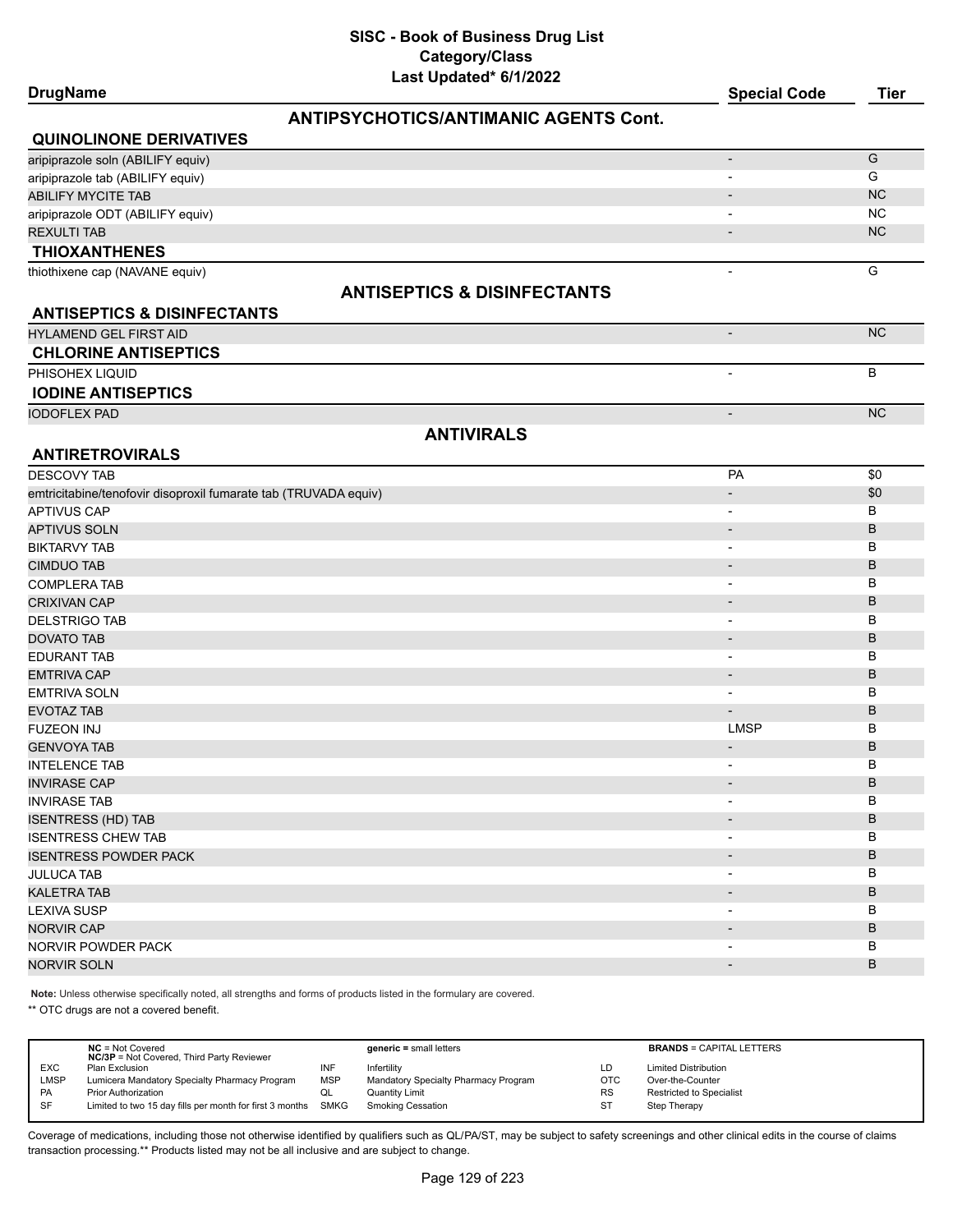**DrugName Special Code Tier**

# **ANTIPSYCHOTICS/ANTIMANIC AGENTS Cont.**

| <b>QUINOLINONE DERIVATIVES</b>    |                                        |                          |           |
|-----------------------------------|----------------------------------------|--------------------------|-----------|
| aripiprazole soln (ABILIFY equiv) |                                        |                          | G         |
| aripiprazole tab (ABILIFY equiv)  |                                        | $\overline{\phantom{0}}$ | G         |
| ABILIFY MYCITE TAB                |                                        | $\overline{\phantom{a}}$ | <b>NC</b> |
| aripiprazole ODT (ABILIFY equiv)  |                                        |                          | <b>NC</b> |
| <b>REXULTI TAB</b>                |                                        | $\overline{\phantom{0}}$ | <b>NC</b> |
| <b>THIOXANTHENES</b>              |                                        |                          |           |
| thiothixene cap (NAVANE equiv)    |                                        |                          | G         |
|                                   | <b>ANTISEPTICS &amp; DISINFECTANTS</b> |                          |           |

# **ANTISEPTICS & DISINFECTANTS**

| <b>HYLAMEND GEL FIRST AID</b> | <b>NC</b> |
|-------------------------------|-----------|
| <b>CHLORINE ANTISEPTICS</b>   |           |
| PHISOHEX LIQUID               |           |
| <b>IODINE ANTISEPTICS</b>     |           |
| <b>IODOFLEX PAD</b>           | <b>NC</b> |

# **ANTIVIRALS**

| <b>ANTIRETROVIRALS</b>                                          |                          |     |
|-----------------------------------------------------------------|--------------------------|-----|
| <b>DESCOVY TAB</b>                                              | PA                       | \$0 |
| emtricitabine/tenofovir disoproxil fumarate tab (TRUVADA equiv) | $\overline{\phantom{a}}$ | \$0 |
| <b>APTIVUS CAP</b>                                              | $\overline{\phantom{a}}$ | B   |
| <b>APTIVUS SOLN</b>                                             | $\blacksquare$           | B   |
| <b>BIKTARVY TAB</b>                                             | $\overline{\phantom{a}}$ | в   |
| <b>CIMDUO TAB</b>                                               | $\blacksquare$           | B   |
| <b>COMPLERA TAB</b>                                             | $\overline{\phantom{a}}$ | в   |
| <b>CRIXIVAN CAP</b>                                             | $\overline{\phantom{a}}$ | B   |
| <b>DELSTRIGO TAB</b>                                            |                          | B   |
| <b>DOVATO TAB</b>                                               | $\blacksquare$           | B   |
| <b>EDURANT TAB</b>                                              | $\overline{\phantom{a}}$ | B   |
| <b>EMTRIVA CAP</b>                                              | $\overline{\phantom{a}}$ | B   |
| <b>EMTRIVA SOLN</b>                                             | $\overline{\phantom{0}}$ | B   |
| <b>EVOTAZ TAB</b>                                               | $\overline{\phantom{a}}$ | B   |
| <b>FUZEON INJ</b>                                               | <b>LMSP</b>              | B   |
| <b>GENVOYA TAB</b>                                              | $\overline{\phantom{a}}$ | B   |
| <b>INTELENCE TAB</b>                                            | $\overline{\phantom{a}}$ | B   |
| <b>INVIRASE CAP</b>                                             | $\overline{\phantom{a}}$ | B   |
| <b>INVIRASE TAB</b>                                             | $\overline{\phantom{a}}$ | B   |
| <b>ISENTRESS (HD) TAB</b>                                       | $\overline{\phantom{a}}$ | B   |
| <b>ISENTRESS CHEW TAB</b>                                       | $\overline{\phantom{a}}$ | в   |
| <b>ISENTRESS POWDER PACK</b>                                    | $\overline{\phantom{a}}$ | B   |
| <b>JULUCA TAB</b>                                               | $\blacksquare$           | в   |
| <b>KALETRA TAB</b>                                              | $\overline{\phantom{a}}$ | B   |
| <b>LEXIVA SUSP</b>                                              | $\blacksquare$           | в   |
| <b>NORVIR CAP</b>                                               | $\blacksquare$           | B   |
| <b>NORVIR POWDER PACK</b>                                       |                          | B   |
| <b>NORVIR SOLN</b>                                              |                          | B   |

**Note:** Unless otherwise specifically noted, all strengths and forms of products listed in the formulary are covered.

\*\* OTC drugs are not a covered benefit.

|             | $NC = Not Covered$<br><b>NC/3P</b> = Not Covered, Third Party Reviewer |            | $generic = small letters$            |           | <b>BRANDS = CAPITAL LETTERS</b> |
|-------------|------------------------------------------------------------------------|------------|--------------------------------------|-----------|---------------------------------|
| <b>EXC</b>  | Plan Exclusion                                                         | INF        | Infertility                          | LD        | <b>Limited Distribution</b>     |
| <b>LMSP</b> | Lumicera Mandatory Specialty Pharmacy Program                          | <b>MSP</b> | Mandatory Specialty Pharmacy Program | OTC       | Over-the-Counter                |
| PA          | <b>Prior Authorization</b>                                             | QL         | Quantity Limit                       | <b>RS</b> | <b>Restricted to Specialist</b> |
| <b>SF</b>   | Limited to two 15 day fills per month for first 3 months SMKG          |            | <b>Smoking Cessation</b>             | ST        | Step Therapy                    |
|             |                                                                        |            |                                      |           |                                 |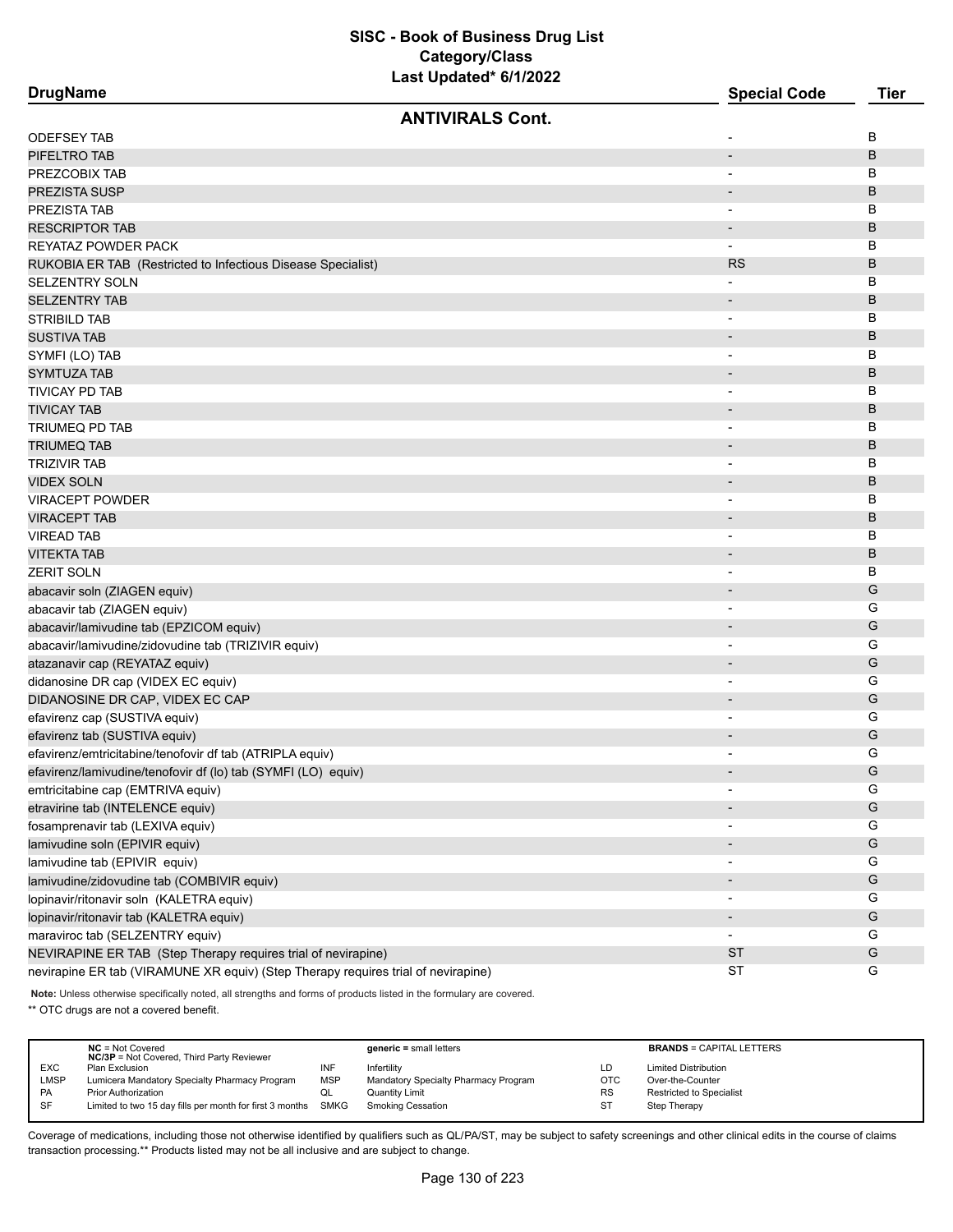| <b>DrugName</b>                                                                   | <b>Special Code</b>      | <b>Tier</b>   |
|-----------------------------------------------------------------------------------|--------------------------|---------------|
| <b>ANTIVIRALS Cont.</b>                                                           |                          |               |
| ODEFSEY TAB                                                                       |                          | В             |
| PIFELTRO TAB                                                                      | $\overline{\phantom{a}}$ | B             |
| PREZCOBIX TAB                                                                     | $\overline{\phantom{a}}$ | В             |
| PREZISTA SUSP                                                                     |                          | B             |
| PREZISTA TAB                                                                      |                          | В             |
| <b>RESCRIPTOR TAB</b>                                                             |                          | B             |
| REYATAZ POWDER PACK                                                               | $\overline{\phantom{a}}$ | В             |
| RUKOBIA ER TAB (Restricted to Infectious Disease Specialist)                      | <b>RS</b>                | B             |
| <b>SELZENTRY SOLN</b>                                                             |                          | в             |
| <b>SELZENTRY TAB</b>                                                              | $\overline{\phantom{a}}$ | B             |
| STRIBILD TAB                                                                      | $\overline{\phantom{a}}$ | в             |
| <b>SUSTIVA TAB</b>                                                                |                          | B             |
| SYMFI (LO) TAB                                                                    | $\overline{\phantom{a}}$ | В             |
| SYMTUZA TAB                                                                       | $\overline{\phantom{a}}$ | B             |
| TIVICAY PD TAB                                                                    | $\overline{\phantom{a}}$ | в             |
| <b>TIVICAY TAB</b>                                                                | $\overline{\phantom{a}}$ | B             |
| TRIUMEQ PD TAB                                                                    |                          | в             |
| TRIUMEQ TAB                                                                       |                          | B             |
| <b>TRIZIVIR TAB</b>                                                               | $\overline{\phantom{a}}$ | в             |
| <b>VIDEX SOLN</b>                                                                 | $\overline{\phantom{a}}$ | B             |
| <b>VIRACEPT POWDER</b>                                                            | $\overline{\phantom{a}}$ | В             |
| <b>VIRACEPT TAB</b>                                                               | $\overline{\phantom{a}}$ | B             |
| <b>VIREAD TAB</b>                                                                 | $\overline{\phantom{a}}$ | в             |
| VITEKTA TAB                                                                       |                          | B             |
| <b>ZERIT SOLN</b>                                                                 |                          | B             |
| abacavir soln (ZIAGEN equiv)                                                      |                          | G             |
| abacavir tab (ZIAGEN equiv)                                                       | $\overline{\phantom{a}}$ | G             |
| abacavir/lamivudine tab (EPZICOM equiv)                                           | $\overline{\phantom{a}}$ | G             |
| abacavir/lamivudine/zidovudine tab (TRIZIVIR equiv)                               | $\overline{\phantom{a}}$ | G             |
| atazanavir cap (REYATAZ equiv)                                                    | $\overline{\phantom{a}}$ | G             |
| didanosine DR cap (VIDEX EC equiv)                                                | $\overline{\phantom{a}}$ | G             |
| DIDANOSINE DR CAP, VIDEX EC CAP                                                   | $\overline{\phantom{a}}$ | G             |
| efavirenz cap (SUSTIVA equiv)                                                     |                          | G             |
| efavirenz tab (SUSTIVA equiv)                                                     |                          | G             |
| efavirenz/emtricitabine/tenofovir df tab (ATRIPLA equiv)                          |                          | G             |
| efavirenz/lamivudine/tenofovir df (lo) tab (SYMFI (LO) equiv)                     |                          | G             |
| emtricitabine cap (EMTRIVA equiv)                                                 | $\overline{\phantom{a}}$ | G             |
| etravirine tab (INTELENCE equiv)                                                  |                          | G             |
| fosamprenavir tab (LEXIVA equiv)                                                  |                          | G             |
| lamivudine soln (EPIVIR equiv)                                                    |                          | G             |
| lamivudine tab (EPIVIR equiv)                                                     |                          | G             |
| lamivudine/zidovudine tab (COMBIVIR equiv)                                        |                          | G             |
| lopinavir/ritonavir soln (KALETRA equiv)                                          |                          | G             |
| lopinavir/ritonavir tab (KALETRA equiv)                                           | $\overline{\phantom{a}}$ | ${\mathsf G}$ |
| maraviroc tab (SELZENTRY equiv)                                                   | $\overline{\phantom{a}}$ | G             |
| NEVIRAPINE ER TAB (Step Therapy requires trial of nevirapine)                     | <b>ST</b>                | G             |
| nevirapine ER tab (VIRAMUNE XR equiv) (Step Therapy requires trial of nevirapine) | <b>ST</b>                | G             |
|                                                                                   |                          |               |

**Note:** Unless otherwise specifically noted, all strengths and forms of products listed in the formulary are covered.

\*\* OTC drugs are not a covered benefit.

|             | $NC = Not Covered$<br><b>NC/3P</b> = Not Covered, Third Party Reviewer |            | $generic = small letters$            |            | <b>BRANDS = CAPITAL LETTERS</b> |
|-------------|------------------------------------------------------------------------|------------|--------------------------------------|------------|---------------------------------|
| <b>EXC</b>  | Plan Exclusion                                                         | INF        | Infertility                          | LD         | <b>Limited Distribution</b>     |
| <b>LMSP</b> | Lumicera Mandatory Specialty Pharmacy Program                          | <b>MSP</b> | Mandatory Specialty Pharmacy Program | <b>OTC</b> | Over-the-Counter                |
| <b>PA</b>   | Prior Authorization                                                    | QL         | <b>Quantity Limit</b>                | <b>RS</b>  | <b>Restricted to Specialist</b> |
| <b>SF</b>   | Limited to two 15 day fills per month for first 3 months SMKG          |            | <b>Smoking Cessation</b>             |            | Step Therapy                    |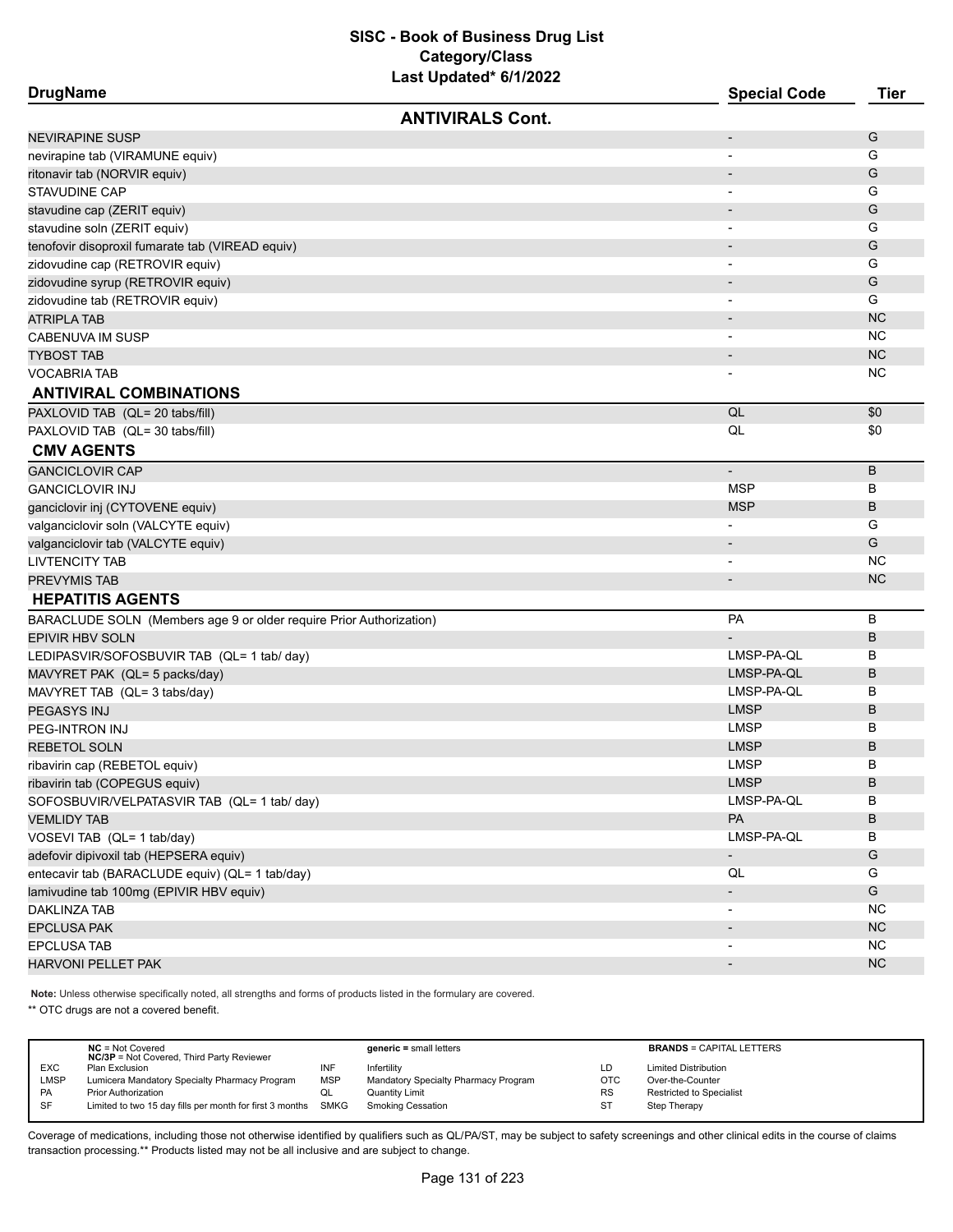| <b>DrugName</b>                                                     | <b>Special Code</b>          | <b>Tier</b>  |
|---------------------------------------------------------------------|------------------------------|--------------|
| <b>ANTIVIRALS Cont.</b>                                             |                              |              |
| NEVIRAPINE SUSP                                                     | $\overline{\phantom{0}}$     | G            |
| nevirapine tab (VIRAMUNE equiv)                                     |                              | G            |
| ritonavir tab (NORVIR equiv)                                        | $\qquad \qquad \blacksquare$ | G            |
| STAVUDINE CAP                                                       |                              | G            |
| stavudine cap (ZERIT equiv)                                         |                              | G            |
| stavudine soln (ZERIT equiv)                                        |                              | G            |
| tenofovir disoproxil fumarate tab (VIREAD equiv)                    |                              | G            |
| zidovudine cap (RETROVIR equiv)                                     |                              | G            |
| zidovudine syrup (RETROVIR equiv)                                   |                              | G            |
| zidovudine tab (RETROVIR equiv)                                     |                              | G            |
| ATRIPLA TAB                                                         |                              | <b>NC</b>    |
| CABENUVA IM SUSP                                                    |                              | <b>NC</b>    |
| TYBOST TAB                                                          | $\overline{\phantom{m}}$     | <b>NC</b>    |
| <b>VOCABRIA TAB</b>                                                 |                              | <b>NC</b>    |
| <b>ANTIVIRAL COMBINATIONS</b>                                       |                              |              |
| PAXLOVID TAB (QL= 20 tabs/fill)                                     | QL                           | \$0          |
| PAXLOVID TAB (QL= 30 tabs/fill)                                     | QL                           | \$0          |
| <b>CMV AGENTS</b>                                                   |                              |              |
| <b>GANCICLOVIR CAP</b>                                              | $\overline{\phantom{a}}$     | B            |
| <b>GANCICLOVIR INJ</b>                                              | <b>MSP</b>                   | B            |
| ganciclovir inj (CYTOVENE equiv)                                    | <b>MSP</b>                   | В            |
| valganciclovir soln (VALCYTE equiv)                                 |                              | G            |
| valganciclovir tab (VALCYTE equiv)                                  | $\overline{\phantom{m}}$     | G            |
| LIVTENCITY TAB                                                      |                              | <b>NC</b>    |
| PREVYMIS TAB                                                        |                              | <b>NC</b>    |
| <b>HEPATITIS AGENTS</b>                                             |                              |              |
| BARACLUDE SOLN (Members age 9 or older require Prior Authorization) | PA                           | В            |
| <b>EPIVIR HBV SOLN</b>                                              |                              | В            |
| LEDIPASVIR/SOFOSBUVIR TAB (QL= 1 tab/ day)                          | LMSP-PA-QL                   | B            |
| MAVYRET PAK (QL= 5 packs/day)                                       | LMSP-PA-QL                   | В            |
| MAVYRET TAB (QL= 3 tabs/day)                                        | LMSP-PA-QL                   | В            |
| PEGASYS INJ                                                         | <b>LMSP</b>                  | В            |
| PEG-INTRON INJ                                                      | <b>LMSP</b>                  | В            |
| REBETOL SOLN                                                        | <b>LMSP</b>                  | В            |
| ribavirin cap (REBETOL equiv)                                       | <b>LMSP</b>                  | В            |
| ribavirin tab (COPEGUS equiv)                                       | <b>LMSP</b>                  | <sub>B</sub> |
| SOFOSBUVIR/VELPATASVIR TAB (QL= 1 tab/ day)                         | LMSP-PA-QL                   | В            |
| <b>VEMLIDY TAB</b>                                                  | PA                           | В            |
| VOSEVI TAB (QL= 1 tab/day)                                          | LMSP-PA-QL                   | В            |
| adefovir dipivoxil tab (HEPSERA equiv)                              | $\overline{\phantom{a}}$     | G            |
| entecavir tab (BARACLUDE equiv) (QL= 1 tab/day)                     | QL                           | G            |
| lamivudine tab 100mg (EPIVIR HBV equiv)                             | $\overline{\phantom{a}}$     | G            |
| DAKLINZA TAB                                                        |                              | <b>NC</b>    |
| EPCLUSA PAK                                                         |                              | <b>NC</b>    |
| EPCLUSA TAB                                                         |                              | <b>NC</b>    |
| HARVONI PELLET PAK                                                  |                              | <b>NC</b>    |
|                                                                     |                              |              |

**Note:** Unless otherwise specifically noted, all strengths and forms of products listed in the formulary are covered.

\*\* OTC drugs are not a covered benefit.

|             | $NC = Not Covered$<br><b>NC/3P</b> = Not Covered, Third Party Reviewer |            | $generic = small letters$            |     | <b>BRANDS = CAPITAL LETTERS</b> |
|-------------|------------------------------------------------------------------------|------------|--------------------------------------|-----|---------------------------------|
| <b>EXC</b>  | Plan Exclusion                                                         | INF        | Infertility                          | LD  | <b>Limited Distribution</b>     |
| <b>LMSP</b> | Lumicera Mandatory Specialty Pharmacy Program                          | <b>MSP</b> | Mandatory Specialty Pharmacy Program | OTC | Over-the-Counter                |
| <b>PA</b>   | <b>Prior Authorization</b>                                             | QL         | <b>Quantity Limit</b>                | RS  | Restricted to Specialist        |
| SF          | Limited to two 15 day fills per month for first 3 months SMKG          |            | Smoking Cessation                    | ST  | Step Therapy                    |
|             |                                                                        |            |                                      |     |                                 |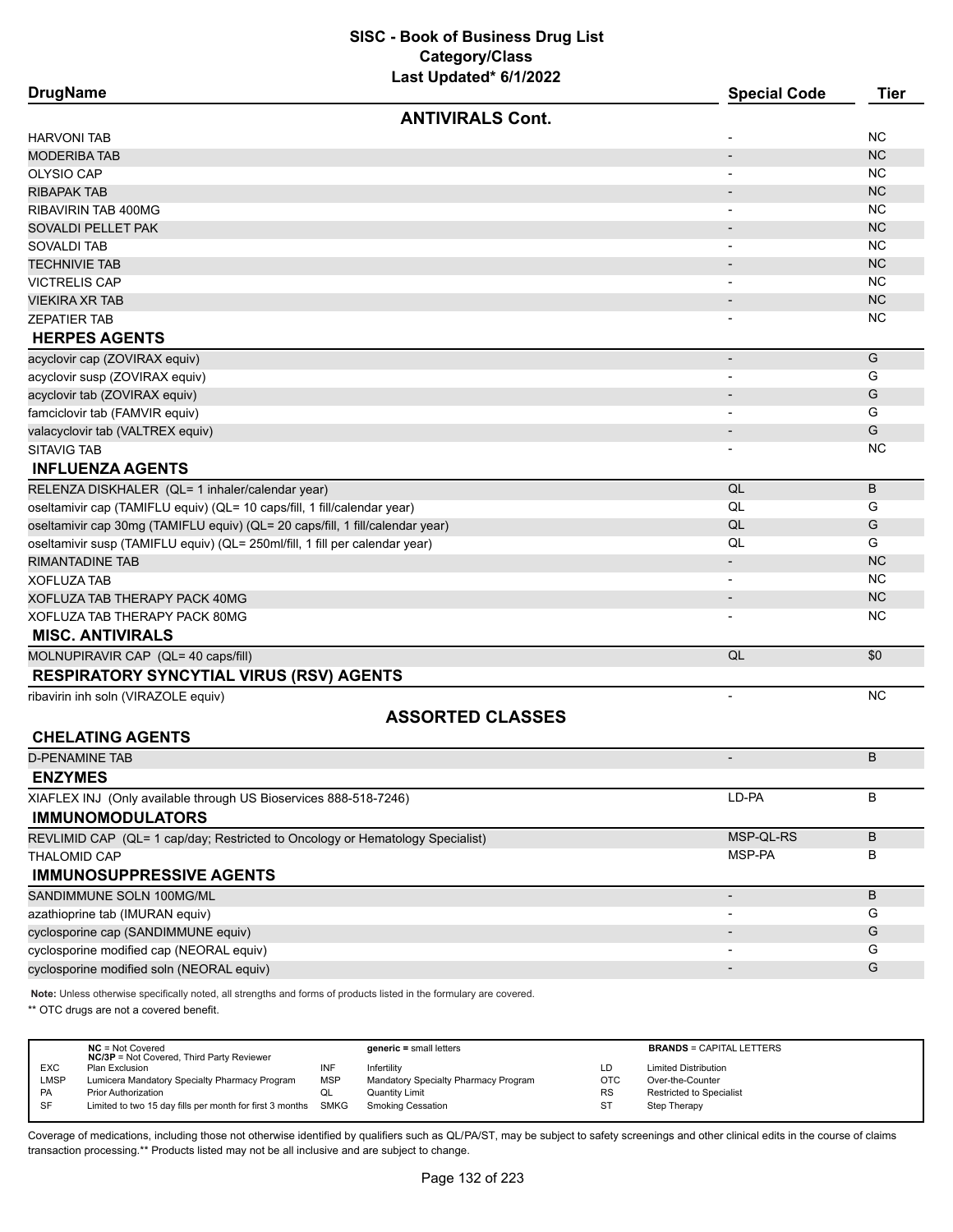| <b>DrugName</b>                                                               | <b>Special Code</b>      | <b>Tier</b> |
|-------------------------------------------------------------------------------|--------------------------|-------------|
| <b>ANTIVIRALS Cont.</b>                                                       |                          |             |
| <b>HARVONI TAB</b>                                                            |                          | <b>NC</b>   |
| <b>MODERIBA TAB</b>                                                           | $\overline{\phantom{a}}$ | <b>NC</b>   |
| <b>OLYSIO CAP</b>                                                             |                          | <b>NC</b>   |
| RIBAPAK TAB                                                                   |                          | <b>NC</b>   |
| RIBAVIRIN TAB 400MG                                                           |                          | <b>NC</b>   |
| SOVALDI PELLET PAK                                                            |                          | <b>NC</b>   |
| SOVALDI TAB                                                                   |                          | <b>NC</b>   |
| <b>TECHNIVIE TAB</b>                                                          |                          | <b>NC</b>   |
| <b>VICTRELIS CAP</b>                                                          |                          | <b>NC</b>   |
| VIEKIRA XR TAB                                                                |                          | <b>NC</b>   |
| ZEPATIER TAB                                                                  |                          | <b>NC</b>   |
| <b>HERPES AGENTS</b>                                                          |                          |             |
| acyclovir cap (ZOVIRAX equiv)                                                 | $\overline{\phantom{a}}$ | G           |
| acyclovir susp (ZOVIRAX equiv)                                                |                          | G           |
| acyclovir tab (ZOVIRAX equiv)                                                 |                          | G           |
| famciclovir tab (FAMVIR equiv)                                                |                          | G           |
| valacyclovir tab (VALTREX equiv)                                              |                          | G           |
| <b>SITAVIG TAB</b>                                                            |                          | <b>NC</b>   |
| <b>INFLUENZA AGENTS</b>                                                       |                          |             |
| RELENZA DISKHALER (QL= 1 inhaler/calendar year)                               | QL                       | B           |
| oseltamivir cap (TAMIFLU equiv) (QL= 10 caps/fill, 1 fill/calendar year)      | QL                       | G           |
| oseltamivir cap 30mg (TAMIFLU equiv) (QL= 20 caps/fill, 1 fill/calendar year) | QL                       | G           |
| oseltamivir susp (TAMIFLU equiv) (QL= 250ml/fill, 1 fill per calendar year)   | QL                       | G           |
| RIMANTADINE TAB                                                               |                          | <b>NC</b>   |
| XOFLUZA TAB                                                                   |                          | <b>NC</b>   |
| XOFLUZA TAB THERAPY PACK 40MG                                                 |                          | <b>NC</b>   |
| XOFLUZA TAB THERAPY PACK 80MG                                                 |                          | <b>NC</b>   |
| <b>MISC. ANTIVIRALS</b>                                                       |                          |             |
| MOLNUPIRAVIR CAP (QL= 40 caps/fill)                                           | QL                       | \$0         |
| <b>RESPIRATORY SYNCYTIAL VIRUS (RSV) AGENTS</b>                               |                          |             |
| ribavirin inh soln (VIRAZOLE equiv)                                           | $\overline{\phantom{m}}$ | <b>NC</b>   |
| <b>ASSORTED CLASSES</b>                                                       |                          |             |
| <b>CHELATING AGENTS</b>                                                       |                          |             |
| <b>D-PENAMINE TAB</b>                                                         |                          | B           |
| <b>ENZYMES</b>                                                                |                          |             |
| XIAFLEX INJ (Only available through US Bioservices 888-518-7246)              | LD-PA                    | B           |
| <b>IMMUNOMODULATORS</b>                                                       |                          |             |
| REVLIMID CAP (QL= 1 cap/day; Restricted to Oncology or Hematology Specialist) | MSP-QL-RS                | B           |
| THALOMID CAP                                                                  | MSP-PA                   | в           |
| <b>IMMUNOSUPPRESSIVE AGENTS</b>                                               |                          |             |
| SANDIMMUNE SOLN 100MG/ML                                                      | $\overline{\phantom{0}}$ | B           |
| azathioprine tab (IMURAN equiv)                                               |                          | G           |
| cyclosporine cap (SANDIMMUNE equiv)                                           |                          | G           |
| cyclosporine modified cap (NEORAL equiv)                                      |                          | G           |
| cyclosporine modified soln (NEORAL equiv)                                     |                          | G           |
|                                                                               |                          |             |

**Note:** Unless otherwise specifically noted, all strengths and forms of products listed in the formulary are covered.

\*\* OTC drugs are not a covered benefit.

|            | $NC = Not Covered$<br><b>NC/3P</b> = Not Covered, Third Party Reviewer |            | $generic = small letters$            |            | <b>BRANDS = CAPITAL LETTERS</b> |
|------------|------------------------------------------------------------------------|------------|--------------------------------------|------------|---------------------------------|
| <b>EXC</b> | Plan Exclusion                                                         | INF        | Infertilitv                          | LD         | <b>Limited Distribution</b>     |
| LMSP       | Lumicera Mandatory Specialty Pharmacy Program                          | <b>MSP</b> | Mandatory Specialty Pharmacy Program | <b>OTC</b> | Over-the-Counter                |
| PA         | <b>Prior Authorization</b>                                             | QL         | Quantity Limit                       | <b>RS</b>  | <b>Restricted to Specialist</b> |
| <b>SF</b>  | Limited to two 15 day fills per month for first 3 months SMKG          |            | Smoking Cessation                    | ST         | Step Therapy                    |
|            |                                                                        |            |                                      |            |                                 |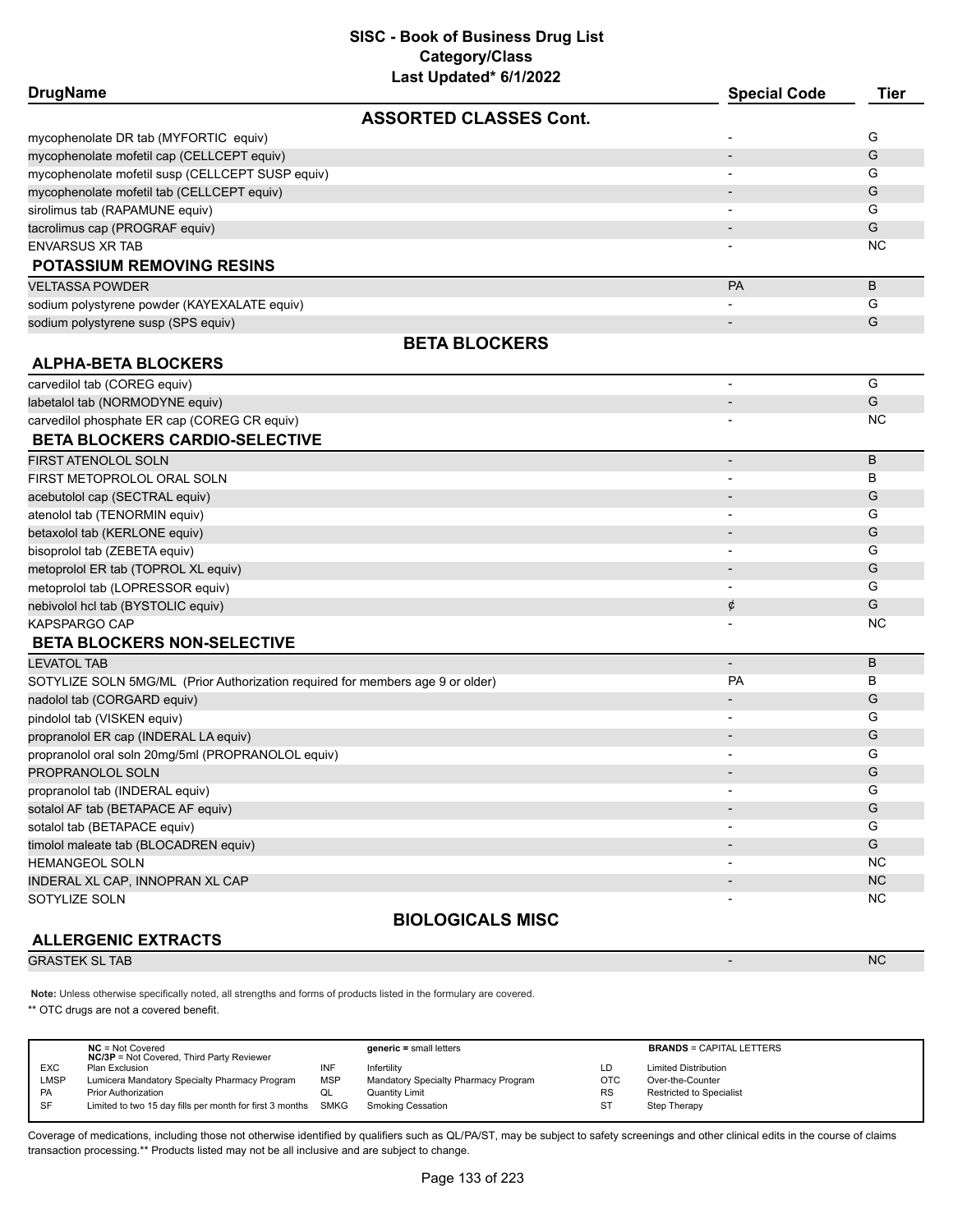| <b>DrugName</b>                                                                |                               | <b>Special Code</b>      | <b>Tier</b>   |
|--------------------------------------------------------------------------------|-------------------------------|--------------------------|---------------|
|                                                                                | <b>ASSORTED CLASSES Cont.</b> |                          |               |
| mycophenolate DR tab (MYFORTIC equiv)                                          |                               |                          | G             |
| mycophenolate mofetil cap (CELLCEPT equiv)                                     |                               |                          | G             |
| mycophenolate mofetil susp (CELLCEPT SUSP equiv)                               |                               |                          | G             |
| mycophenolate mofetil tab (CELLCEPT equiv)                                     |                               |                          | G             |
| sirolimus tab (RAPAMUNE equiv)                                                 |                               |                          | G             |
| tacrolimus cap (PROGRAF equiv)                                                 |                               |                          | G             |
| <b>ENVARSUS XR TAB</b>                                                         |                               |                          | NC            |
| <b>POTASSIUM REMOVING RESINS</b>                                               |                               |                          |               |
| <b>VELTASSA POWDER</b>                                                         |                               | PA                       | B             |
| sodium polystyrene powder (KAYEXALATE equiv)                                   |                               |                          | G             |
| sodium polystyrene susp (SPS equiv)                                            |                               |                          | G             |
|                                                                                | <b>BETA BLOCKERS</b>          |                          |               |
| <b>ALPHA-BETA BLOCKERS</b>                                                     |                               |                          |               |
| carvedilol tab (COREG equiv)                                                   |                               | $\overline{\phantom{a}}$ | G             |
| labetalol tab (NORMODYNE equiv)                                                |                               |                          | G             |
| carvedilol phosphate ER cap (COREG CR equiv)                                   |                               |                          | <b>NC</b>     |
| <b>BETA BLOCKERS CARDIO-SELECTIVE</b>                                          |                               |                          |               |
| FIRST ATENOLOL SOLN                                                            |                               | $\overline{\phantom{a}}$ | B             |
| FIRST METOPROLOL ORAL SOLN                                                     |                               |                          | в             |
| acebutolol cap (SECTRAL equiv)                                                 |                               | $\overline{\phantom{a}}$ | G             |
| atenolol tab (TENORMIN equiv)                                                  |                               | $\overline{\phantom{a}}$ | G             |
| betaxolol tab (KERLONE equiv)                                                  |                               |                          | G             |
| bisoprolol tab (ZEBETA equiv)                                                  |                               | $\overline{\phantom{a}}$ | G             |
| metoprolol ER tab (TOPROL XL equiv)                                            |                               |                          | G             |
| metoprolol tab (LOPRESSOR equiv)                                               |                               |                          | G             |
| nebivolol hcl tab (BYSTOLIC equiv)                                             |                               | ¢                        | G             |
| KAPSPARGO CAP                                                                  |                               |                          | ΝC            |
| <b>BETA BLOCKERS NON-SELECTIVE</b>                                             |                               |                          |               |
| <b>LEVATOL TAB</b>                                                             |                               | $\overline{\phantom{a}}$ | B             |
| SOTYLIZE SOLN 5MG/ML (Prior Authorization required for members age 9 or older) |                               | <b>PA</b>                | B             |
| nadolol tab (CORGARD equiv)                                                    |                               |                          | G             |
| pindolol tab (VISKEN equiv)                                                    |                               |                          | G             |
| propranolol ER cap (INDERAL LA equiv)                                          |                               |                          | G             |
| propranolol oral soln 20mg/5ml (PROPRANOLOL equiv)                             |                               |                          | G             |
| PROPRANOLOL SOLN                                                               |                               |                          | G             |
| propranolol tab (INDERAL equiv)                                                |                               | $\overline{\phantom{a}}$ | G             |
| sotalol AF tab (BETAPACE AF equiv)                                             |                               |                          | ${\mathsf G}$ |
| sotalol tab (BETAPACE equiv)                                                   |                               |                          | G             |
| timolol maleate tab (BLOCADREN equiv)                                          |                               |                          | G             |
| HEMANGEOL SOLN                                                                 |                               |                          | <b>NC</b>     |
| INDERAL XL CAP, INNOPRAN XL CAP                                                |                               |                          | ${\sf NC}$    |
| SOTYLIZE SOLN                                                                  |                               |                          | <b>NC</b>     |

# **ALLERGENIC EXTRACTS**

**BIOLOGICALS MISC**

GRASTEK SL TAB - NC NORTH AND THE SERIES OF THE SERIES OF THE SERIES OF THE SERIES OF THE SERIES OF THE SERIES

**Note:** Unless otherwise specifically noted, all strengths and forms of products listed in the formulary are covered.

\*\* OTC drugs are not a covered benefit.

|             | $NC = Not Covered$<br><b>NC/3P</b> = Not Covered, Third Party Reviewer |            | $generic = small letters$            |            | <b>BRANDS = CAPITAL LETTERS</b> |
|-------------|------------------------------------------------------------------------|------------|--------------------------------------|------------|---------------------------------|
| EXC         | Plan Exclusion                                                         | INF        | Infertility                          | LD         | <b>Limited Distribution</b>     |
| <b>LMSP</b> | Lumicera Mandatory Specialty Pharmacy Program                          | <b>MSP</b> | Mandatory Specialty Pharmacy Program | <b>OTC</b> | Over-the-Counter                |
| PA          | <b>Prior Authorization</b>                                             | QL         | Quantity Limit                       | <b>RS</b>  | <b>Restricted to Specialist</b> |
| SF          | Limited to two 15 day fills per month for first 3 months SMKG          |            | Smoking Cessation                    | ST         | Step Therapy                    |
|             |                                                                        |            |                                      |            |                                 |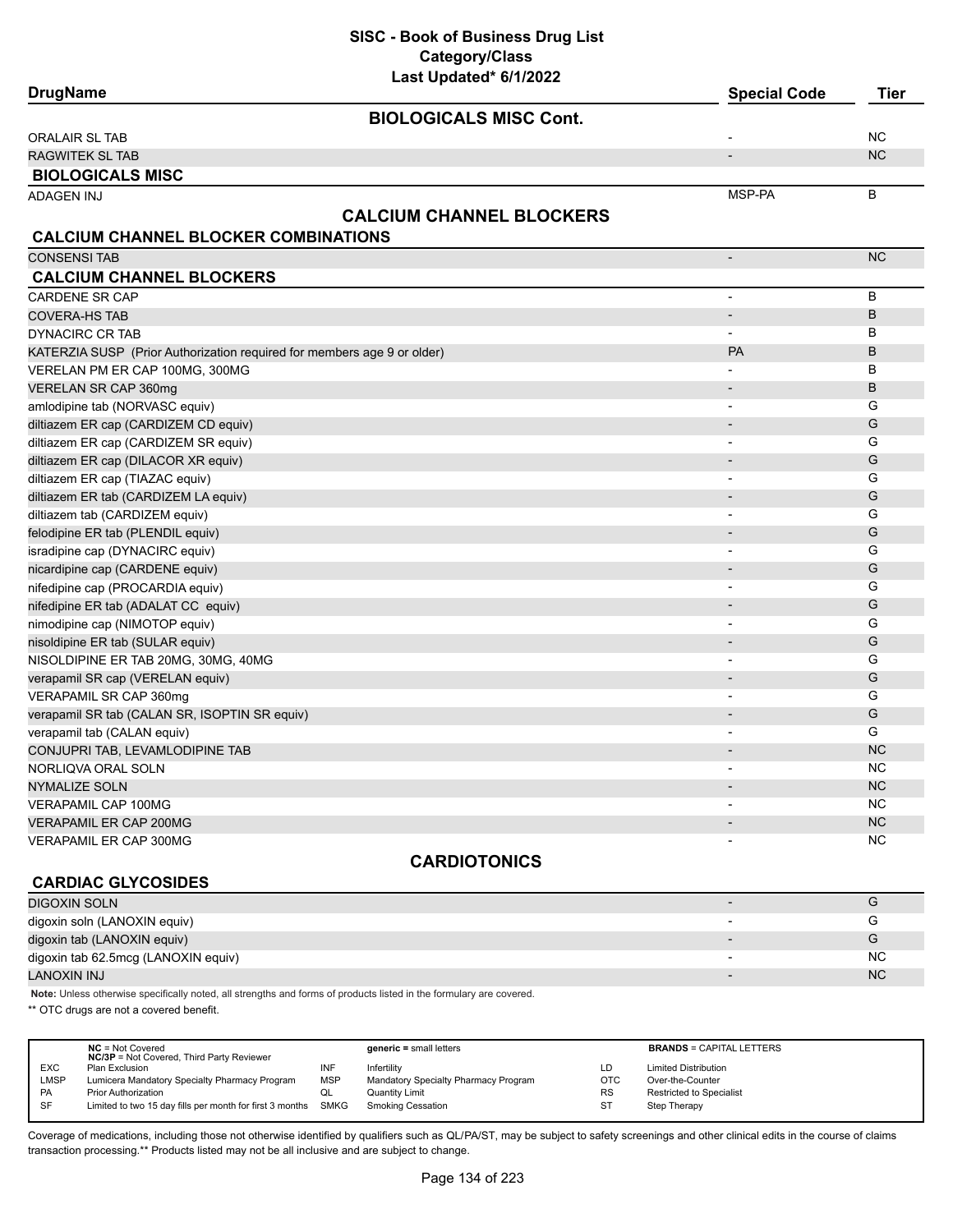| <b>DrugName</b>                                                         | Lasi Upualeu o IIZUZZ           | <b>Special Code</b>      | <b>Tier</b>    |
|-------------------------------------------------------------------------|---------------------------------|--------------------------|----------------|
|                                                                         | <b>BIOLOGICALS MISC Cont.</b>   |                          |                |
| ORALAIR SL TAB                                                          |                                 |                          | <b>NC</b>      |
| <b>RAGWITEK SL TAB</b>                                                  |                                 |                          | <b>NC</b>      |
| <b>BIOLOGICALS MISC</b>                                                 |                                 |                          |                |
| <b>ADAGEN INJ</b>                                                       |                                 | MSP-PA                   | B              |
|                                                                         | <b>CALCIUM CHANNEL BLOCKERS</b> |                          |                |
| <b>CALCIUM CHANNEL BLOCKER COMBINATIONS</b>                             |                                 |                          |                |
| <b>CONSENSI TAB</b>                                                     |                                 |                          | N <sub>C</sub> |
| <b>CALCIUM CHANNEL BLOCKERS</b>                                         |                                 |                          |                |
| <b>CARDENE SR CAP</b>                                                   |                                 | $\blacksquare$           | B              |
| <b>COVERA-HS TAB</b>                                                    |                                 | $\blacksquare$           | B              |
| <b>DYNACIRC CR TAB</b>                                                  |                                 | $\overline{a}$           | B              |
| KATERZIA SUSP (Prior Authorization required for members age 9 or older) |                                 | PA                       | B              |
| VERELAN PM ER CAP 100MG, 300MG                                          |                                 |                          | B              |
| VERELAN SR CAP 360mg                                                    |                                 |                          | B              |
| amlodipine tab (NORVASC equiv)                                          |                                 | $\overline{\phantom{a}}$ | G              |
| diltiazem ER cap (CARDIZEM CD equiv)                                    |                                 |                          | G              |
| diltiazem ER cap (CARDIZEM SR equiv)                                    |                                 | $\blacksquare$           | G              |
| diltiazem ER cap (DILACOR XR equiv)                                     |                                 |                          | G              |
| diltiazem ER cap (TIAZAC equiv)                                         |                                 | $\blacksquare$           | G              |
| diltiazem ER tab (CARDIZEM LA equiv)                                    |                                 |                          | G              |
| diltiazem tab (CARDIZEM equiv)                                          |                                 | ٠                        | G              |
| felodipine ER tab (PLENDIL equiv)                                       |                                 |                          | G              |
| isradipine cap (DYNACIRC equiv)                                         |                                 | $\overline{\phantom{a}}$ | G              |
| nicardipine cap (CARDENE equiv)                                         |                                 |                          | G              |
| nifedipine cap (PROCARDIA equiv)                                        |                                 | $\overline{\phantom{a}}$ | G              |
| nifedipine ER tab (ADALAT CC equiv)                                     |                                 |                          | G              |
| nimodipine cap (NIMOTOP equiv)                                          |                                 | $\overline{\phantom{a}}$ | G              |
| nisoldipine ER tab (SULAR equiv)                                        |                                 |                          | G              |
| NISOLDIPINE ER TAB 20MG, 30MG, 40MG                                     |                                 | $\overline{a}$           | G              |
| verapamil SR cap (VERELAN equiv)                                        |                                 |                          | G              |
| VERAPAMIL SR CAP 360mg                                                  |                                 | $\overline{a}$           | G              |
| verapamil SR tab (CALAN SR, ISOPTIN SR equiv)                           |                                 |                          | G              |
| verapamil tab (CALAN equiv)                                             |                                 | $\overline{\phantom{a}}$ | G              |
| CONJUPRI TAB, LEVAMLODIPINE TAB                                         |                                 |                          | <b>NC</b>      |
| NORLIQVA ORAL SOLN                                                      |                                 | $\overline{\phantom{0}}$ | <b>NC</b>      |
| <b>NYMALIZE SOLN</b>                                                    |                                 |                          | <b>NC</b>      |
| VERAPAMIL CAP 100MG                                                     |                                 |                          | ΝC             |
| <b>VERAPAMIL ER CAP 200MG</b>                                           |                                 |                          | <b>NC</b>      |
| VERAPAMIL ER CAP 300MG                                                  |                                 |                          | NC             |
|                                                                         | <b>CARDIOTONICS</b>             |                          |                |

# **CARDIAC GLYCOSIDES**

# **DIGOXIN SOLN GOVERNMENT CONTINUES.** THE CONTINUES OF THE CONTINUES OF THE CONTINUES OF THE CONTINUES OF THE CONTINUES OF THE CONTINUES OF THE CONTINUES OF THE CONTINUES OF THE CONTINUES OF THE CONTINUES OF THE CONTINUES digoxin soln (LANOXIN equiv) and the contract of the contract of the contract of the contract of the contract of G digoxin tab (LANOXIN equiv) and the contract of the contract of the contract of the contract of the contract of the contract of the contract of the contract of the contract of the contract of the contract of the contract o digoxin tab 62.5mcg (LANOXIN equiv) and the control of the control of the control of the control of the control of the control of the control of the control of the control of the control of the control of the control of th LANOXIN INJ NASA NA MARANJI NA MARANJI NA MARANJI NA MARANJI NA MARANJI NA MARANJI NA MARANJI NA MARANJI NA MC

**Note:** Unless otherwise specifically noted, all strengths and forms of products listed in the formulary are covered.

\*\* OTC drugs are not a covered benefit.

|             | $NC = Not Covered$<br><b>NC/3P</b> = Not Covered, Third Party Reviewer |            | $generic = small letters$            |            | <b>BRANDS = CAPITAL LETTERS</b> |
|-------------|------------------------------------------------------------------------|------------|--------------------------------------|------------|---------------------------------|
| <b>EXC</b>  | Plan Exclusion                                                         | INF        | Infertilitv                          | LD         | <b>Limited Distribution</b>     |
| <b>LMSP</b> | Lumicera Mandatory Specialty Pharmacy Program                          | <b>MSP</b> | Mandatory Specialty Pharmacy Program | <b>OTC</b> | Over-the-Counter                |
| PA          | <b>Prior Authorization</b>                                             | ◡          | <b>Quantity Limit</b>                | <b>RS</b>  | Restricted to Specialist        |
| SF          | Limited to two 15 day fills per month for first 3 months SMKG          |            | <b>Smoking Cessation</b>             | ST         | Step Therapy                    |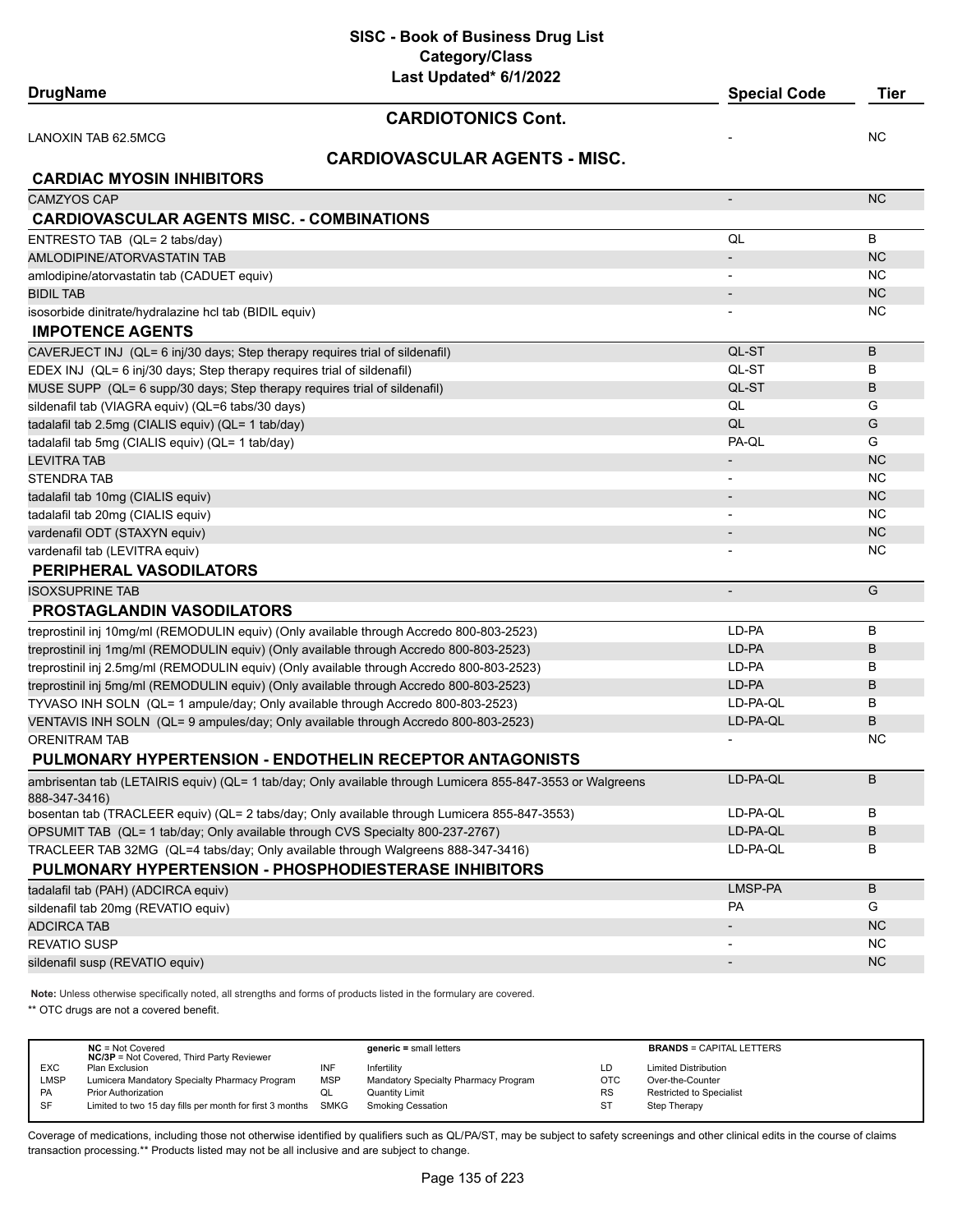**SISC - Book of Business Drug List Category/Class**

| Last Updated* 6/1/2022<br><b>DrugName</b>                                                                  | <b>Special Code</b>      | Tier      |
|------------------------------------------------------------------------------------------------------------|--------------------------|-----------|
|                                                                                                            |                          |           |
| <b>CARDIOTONICS Cont.</b>                                                                                  |                          |           |
| LANOXIN TAB 62.5MCG                                                                                        |                          | <b>NC</b> |
| <b>CARDIOVASCULAR AGENTS - MISC.</b>                                                                       |                          |           |
| <b>CARDIAC MYOSIN INHIBITORS</b>                                                                           |                          |           |
| <b>CAMZYOS CAP</b>                                                                                         | $\overline{\phantom{a}}$ | <b>NC</b> |
| <b>CARDIOVASCULAR AGENTS MISC. - COMBINATIONS</b>                                                          |                          |           |
| ENTRESTO TAB (QL= 2 tabs/day)                                                                              | QL                       | B         |
| AMLODIPINE/ATORVASTATIN TAB                                                                                | $\overline{\phantom{a}}$ | NC        |
| amlodipine/atorvastatin tab (CADUET equiv)                                                                 |                          | NC.       |
| <b>BIDIL TAB</b>                                                                                           |                          | NC        |
| isosorbide dinitrate/hydralazine hcl tab (BIDIL equiv)                                                     |                          | NC.       |
| <b>IMPOTENCE AGENTS</b>                                                                                    |                          |           |
| CAVERJECT INJ (QL= 6 inj/30 days; Step therapy requires trial of sildenafil)                               | QL-ST                    | B         |
| EDEX INJ (QL= 6 inj/30 days; Step therapy requires trial of sildenafil)                                    | QL-ST                    | В         |
| MUSE SUPP (QL= 6 supp/30 days; Step therapy requires trial of sildenafil)                                  | QL-ST                    | B         |
| sildenafil tab (VIAGRA equiv) (QL=6 tabs/30 days)                                                          | QL                       | G         |
| tadalafil tab 2.5mg (CIALIS equiv) (QL= 1 tab/day)                                                         | QL                       | G         |
| tadalafil tab 5mg (CIALIS equiv) (QL= 1 tab/day)                                                           | PA-QL                    | G         |
| <b>LEVITRA TAB</b>                                                                                         | $\overline{\phantom{a}}$ | <b>NC</b> |
| <b>STENDRA TAB</b>                                                                                         |                          | <b>NC</b> |
| tadalafil tab 10mg (CIALIS equiv)                                                                          |                          | <b>NC</b> |
| tadalafil tab 20mg (CIALIS equiv)                                                                          |                          | ΝC        |
| vardenafil ODT (STAXYN equiv)                                                                              | $\overline{\phantom{a}}$ | NC        |
| vardenafil tab (LEVITRA equiv)                                                                             |                          | ΝC        |
| <b>PERIPHERAL VASODILATORS</b>                                                                             |                          |           |
| <b>ISOXSUPRINE TAB</b>                                                                                     | $\overline{\phantom{a}}$ | G         |
| <b>PROSTAGLANDIN VASODILATORS</b>                                                                          |                          |           |
| treprostinil inj 10mg/ml (REMODULIN equiv) (Only available through Accredo 800-803-2523)                   | LD-PA                    | В         |
| treprostinil inj 1mg/ml (REMODULIN equiv) (Only available through Accredo 800-803-2523)                    | LD-PA                    | B         |
| treprostinil inj 2.5mg/ml (REMODULIN equiv) (Only available through Accredo 800-803-2523)                  | LD-PA                    | в         |
| treprostinil inj 5mg/ml (REMODULIN equiv) (Only available through Accredo 800-803-2523)                    | LD-PA                    | B         |
| TYVASO INH SOLN (QL= 1 ampule/day; Only available through Accredo 800-803-2523)                            | LD-PA-QL                 | в         |
| VENTAVIS INH SOLN (QL= 9 ampules/day; Only available through Accredo 800-803-2523)                         | LD-PA-QL                 | B         |
| <b>ORENITRAM TAB</b>                                                                                       |                          | <b>NC</b> |
| PULMONARY HYPERTENSION - ENDOTHELIN RECEPTOR ANTAGONISTS                                                   |                          |           |
| ambrisentan tab (LETAIRIS equiv) (QL= 1 tab/day; Only available through Lumicera 855-847-3553 or Walgreens | LD-PA-QL                 | B         |
| 888-347-3416)                                                                                              |                          |           |
| bosentan tab (TRACLEER equiv) (QL= 2 tabs/day; Only available through Lumicera 855-847-3553)               | LD-PA-QL                 | В         |
| OPSUMIT TAB (QL= 1 tab/day; Only available through CVS Specialty 800-237-2767)                             | LD-PA-QL                 | B         |
| TRACLEER TAB 32MG (QL=4 tabs/day; Only available through Walgreens 888-347-3416)                           | LD-PA-QL                 | В         |
| PULMONARY HYPERTENSION - PHOSPHODIESTERASE INHIBITORS                                                      |                          |           |
| tadalafil tab (PAH) (ADCIRCA equiv)                                                                        | LMSP-PA                  | B         |
| sildenafil tab 20mg (REVATIO equiv)                                                                        | <b>PA</b>                | G         |
| <b>ADCIRCA TAB</b>                                                                                         |                          | <b>NC</b> |
| REVATIO SUSP                                                                                               |                          | NC.       |
| sildenafil susp (REVATIO equiv)                                                                            | $\overline{\phantom{a}}$ | NC        |
|                                                                                                            |                          |           |

**Note:** Unless otherwise specifically noted, all strengths and forms of products listed in the formulary are covered.

\*\* OTC drugs are not a covered benefit.

|            | $NC = Not Covered$<br><b>NC/3P</b> = Not Covered, Third Party Reviewer |            | $generic = small letters$            |           | <b>BRANDS = CAPITAL LETTERS</b> |
|------------|------------------------------------------------------------------------|------------|--------------------------------------|-----------|---------------------------------|
| <b>EXC</b> | Plan Exclusion                                                         | INF        | Infertility                          | LD        | <b>Limited Distribution</b>     |
| LMSP       | Lumicera Mandatory Specialty Pharmacy Program                          | <b>MSP</b> | Mandatory Specialty Pharmacy Program | OTC       | Over-the-Counter                |
| PA         | <b>Prior Authorization</b>                                             | ◡          | Quantity Limit                       | <b>RS</b> | Restricted to Specialist        |
| SF         | Limited to two 15 day fills per month for first 3 months SMKG          |            | <b>Smoking Cessation</b>             | <b>ST</b> | Step Therapy                    |
|            |                                                                        |            |                                      |           |                                 |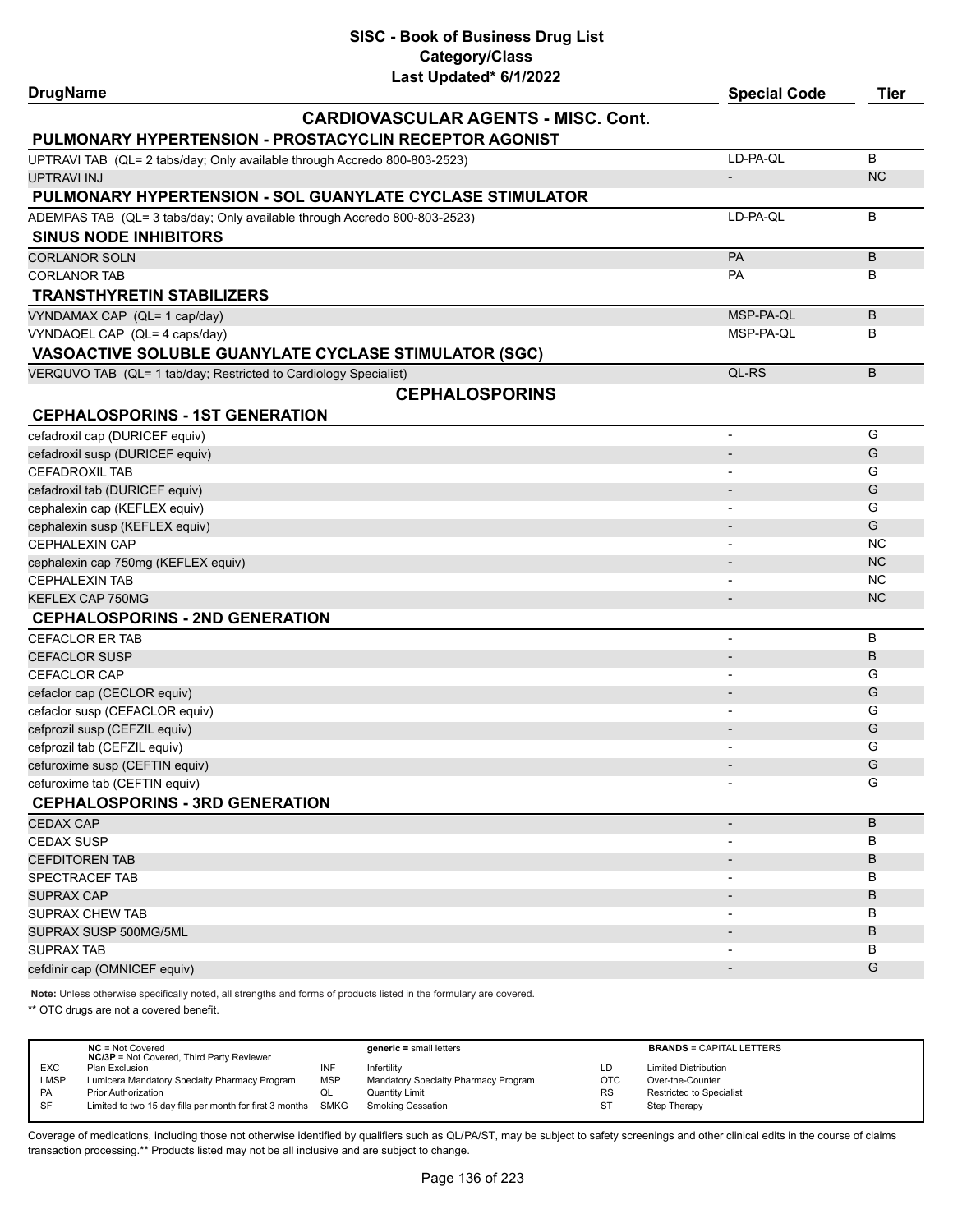| <b>DrugName</b>                                                                                                     | Last Updated" 6/1/2022                     | <b>Special Code</b>      | Tier           |
|---------------------------------------------------------------------------------------------------------------------|--------------------------------------------|--------------------------|----------------|
|                                                                                                                     | <b>CARDIOVASCULAR AGENTS - MISC. Cont.</b> |                          |                |
| PULMONARY HYPERTENSION - PROSTACYCLIN RECEPTOR AGONIST                                                              |                                            |                          |                |
| UPTRAVI TAB (QL= 2 tabs/day; Only available through Accredo 800-803-2523)                                           |                                            | LD-PA-QL                 | B              |
| <b>UPTRAVI INJ</b>                                                                                                  |                                            | $\overline{\phantom{a}}$ | N <sub>C</sub> |
| PULMONARY HYPERTENSION - SOL GUANYLATE CYCLASE STIMULATOR                                                           |                                            |                          |                |
| ADEMPAS TAB (QL= 3 tabs/day; Only available through Accredo 800-803-2523)                                           |                                            | LD-PA-QL                 | B              |
| <b>SINUS NODE INHIBITORS</b>                                                                                        |                                            |                          |                |
| <b>CORLANOR SOLN</b>                                                                                                |                                            | <b>PA</b>                | B              |
| <b>CORLANOR TAB</b>                                                                                                 |                                            | <b>PA</b>                | B              |
| <b>TRANSTHYRETIN STABILIZERS</b>                                                                                    |                                            |                          |                |
| VYNDAMAX CAP (QL= 1 cap/day)                                                                                        |                                            | MSP-PA-QL                | B              |
| VYNDAQEL CAP (QL= 4 caps/day)                                                                                       |                                            | MSP-PA-QL                | B              |
| VASOACTIVE SOLUBLE GUANYLATE CYCLASE STIMULATOR (SGC)                                                               |                                            |                          |                |
| VERQUVO TAB (QL= 1 tab/day; Restricted to Cardiology Specialist)                                                    |                                            | QL-RS                    | B              |
|                                                                                                                     | <b>CEPHALOSPORINS</b>                      |                          |                |
| <b>CEPHALOSPORINS - 1ST GENERATION</b>                                                                              |                                            |                          |                |
| cefadroxil cap (DURICEF equiv)                                                                                      |                                            | $\overline{\phantom{a}}$ | G              |
| cefadroxil susp (DURICEF equiv)                                                                                     |                                            |                          | G              |
| <b>CEFADROXIL TAB</b>                                                                                               |                                            |                          | G              |
| cefadroxil tab (DURICEF equiv)                                                                                      |                                            |                          | G              |
| cephalexin cap (KEFLEX equiv)                                                                                       |                                            | $\overline{\phantom{0}}$ | G              |
| cephalexin susp (KEFLEX equiv)                                                                                      |                                            |                          | G              |
| <b>CEPHALEXIN CAP</b>                                                                                               |                                            |                          | <b>NC</b>      |
| cephalexin cap 750mg (KEFLEX equiv)                                                                                 |                                            |                          | NC             |
| <b>CEPHALEXIN TAB</b>                                                                                               |                                            |                          | NC             |
| KEFLEX CAP 750MG                                                                                                    |                                            |                          | NC             |
| <b>CEPHALOSPORINS - 2ND GENERATION</b>                                                                              |                                            |                          |                |
| <b>CEFACLOR ER TAB</b>                                                                                              |                                            | $\overline{\phantom{a}}$ | B              |
| <b>CEFACLOR SUSP</b>                                                                                                |                                            |                          | B              |
| CEFACLOR CAP                                                                                                        |                                            |                          | G              |
| cefaclor cap (CECLOR equiv)                                                                                         |                                            |                          | G              |
| cefaclor susp (CEFACLOR equiv)                                                                                      |                                            | $\overline{\phantom{a}}$ | G              |
| cefprozil susp (CEFZIL equiv)                                                                                       |                                            |                          | G              |
| cefprozil tab (CEFZIL equiv)                                                                                        |                                            |                          | G              |
| cefuroxime susp (CEFTIN equiv)                                                                                      |                                            |                          | G              |
| cefuroxime tab (CEFTIN equiv)                                                                                       |                                            |                          | G              |
| <b>CEPHALOSPORINS - 3RD GENERATION</b>                                                                              |                                            |                          |                |
| <b>CEDAX CAP</b>                                                                                                    |                                            | $\overline{\phantom{0}}$ | B              |
| <b>CEDAX SUSP</b>                                                                                                   |                                            |                          | в              |
| <b>CEFDITOREN TAB</b>                                                                                               |                                            |                          | B              |
| SPECTRACEF TAB                                                                                                      |                                            | $\overline{\phantom{a}}$ | В              |
| <b>SUPRAX CAP</b>                                                                                                   |                                            |                          | B              |
| <b>SUPRAX CHEW TAB</b>                                                                                              |                                            |                          | В              |
| SUPRAX SUSP 500MG/5ML                                                                                               |                                            |                          | B              |
| <b>SUPRAX TAB</b>                                                                                                   |                                            |                          | в              |
| cefdinir cap (OMNICEF equiv)                                                                                        |                                            |                          | G              |
| Note: Unless otherwise specifically noted, all strengths and forms of products listed in the formulary are covered. |                                            |                          |                |

\*\* OTC drugs are not a covered benefit.

|            | $NC = Not Covered$<br><b>NC/3P</b> = Not Covered, Third Party Reviewer |            | $generic = small letters$            |            | <b>BRANDS = CAPITAL LETTERS</b> |
|------------|------------------------------------------------------------------------|------------|--------------------------------------|------------|---------------------------------|
| <b>EXC</b> | Plan Exclusion                                                         | INF        | Infertility                          | LD         | <b>Limited Distribution</b>     |
| LMSP       | Lumicera Mandatory Specialty Pharmacy Program                          | <b>MSP</b> | Mandatory Specialty Pharmacy Program | <b>OTC</b> | Over-the-Counter                |
| <b>PA</b>  | <b>Prior Authorization</b>                                             | QL         | <b>Quantity Limit</b>                | <b>RS</b>  | Restricted to Specialist        |
| <b>SF</b>  | Limited to two 15 day fills per month for first 3 months SMKG          |            | <b>Smoking Cessation</b>             | ST         | Step Therapy                    |
|            |                                                                        |            |                                      |            |                                 |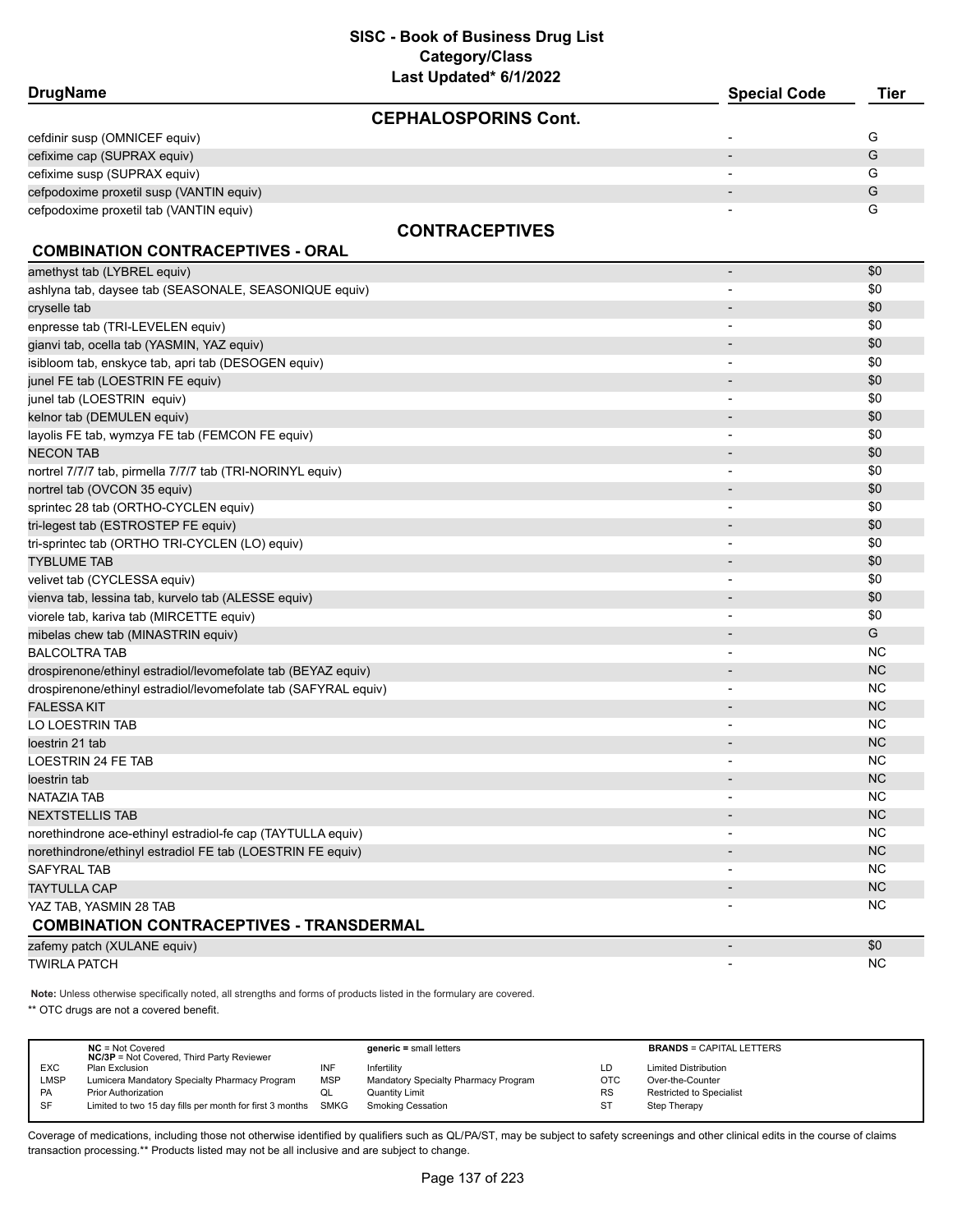# **SISC - Book of Business Drug List Category/Class**

| Last Updated* 6/1/2022                                          |                          |             |
|-----------------------------------------------------------------|--------------------------|-------------|
| <b>DrugName</b>                                                 | <b>Special Code</b>      | <b>Tier</b> |
| <b>CEPHALOSPORINS Cont.</b>                                     |                          |             |
| cefdinir susp (OMNICEF equiv)                                   |                          | G           |
| cefixime cap (SUPRAX equiv)                                     |                          | G           |
| cefixime susp (SUPRAX equiv)                                    |                          | G           |
| cefpodoxime proxetil susp (VANTIN equiv)                        |                          | G           |
| cefpodoxime proxetil tab (VANTIN equiv)                         |                          | G           |
| <b>CONTRACEPTIVES</b>                                           |                          |             |
| <b>COMBINATION CONTRACEPTIVES - ORAL</b>                        |                          |             |
| amethyst tab (LYBREL equiv)                                     | $\overline{\phantom{a}}$ | \$0         |
| ashlyna tab, daysee tab (SEASONALE, SEASONIQUE equiv)           |                          | \$0         |
| cryselle tab                                                    |                          | \$0         |
| enpresse tab (TRI-LEVELEN equiv)                                |                          | \$0         |
| gianvi tab, ocella tab (YASMIN, YAZ equiv)                      |                          | \$0         |
| isibloom tab, enskyce tab, apri tab (DESOGEN equiv)             |                          | \$0         |
| junel FE tab (LOESTRIN FE equiv)                                |                          | \$0         |
| junel tab (LOESTRIN equiv)                                      |                          | \$0         |
| kelnor tab (DEMULEN equiv)                                      |                          | \$0         |
| layolis FE tab, wymzya FE tab (FEMCON FE equiv)                 |                          | \$0         |
| NECON TAB                                                       |                          | \$0         |
| nortrel 7/7/7 tab, pirmella 7/7/7 tab (TRI-NORINYL equiv)       |                          | \$0         |
| nortrel tab (OVCON 35 equiv)                                    |                          | \$0         |
| sprintec 28 tab (ORTHO-CYCLEN equiv)                            |                          | \$0         |
| tri-legest tab (ESTROSTEP FE equiv)                             |                          | \$0         |
| tri-sprintec tab (ORTHO TRI-CYCLEN (LO) equiv)                  |                          | \$0         |
| <b>TYBLUME TAB</b>                                              |                          | \$0         |
| velivet tab (CYCLESSA equiv)                                    |                          | \$0         |
| vienva tab, lessina tab, kurvelo tab (ALESSE equiv)             |                          | \$0         |
| viorele tab, kariva tab (MIRCETTE equiv)                        | $\overline{\phantom{a}}$ | \$0         |
| mibelas chew tab (MINASTRIN equiv)                              |                          | G           |
| <b>BALCOLTRA TAB</b>                                            | $\blacksquare$           | <b>NC</b>   |
| drospirenone/ethinyl estradiol/levomefolate tab (BEYAZ equiv)   |                          | <b>NC</b>   |
| drospirenone/ethinyl estradiol/levomefolate tab (SAFYRAL equiv) |                          | <b>NC</b>   |
| <b>FALESSA KIT</b>                                              |                          | <b>NC</b>   |
| LO LOESTRIN TAB                                                 |                          | <b>NC</b>   |
| loestrin 21 tab                                                 |                          | <b>NC</b>   |
| LOESTRIN 24 FE TAB                                              |                          | <b>NC</b>   |
| loestrin tab                                                    |                          | <b>NC</b>   |
| NATAZIA TAB                                                     |                          | <b>NC</b>   |
| <b>NEXTSTELLIS TAB</b>                                          |                          | NC          |
| norethindrone ace-ethinyl estradiol-fe cap (TAYTULLA equiv)     |                          | <b>NC</b>   |
| norethindrone/ethinyl estradiol FE tab (LOESTRIN FE equiv)      |                          | NC          |
| <b>SAFYRAL TAB</b>                                              |                          | <b>NC</b>   |
| <b>TAYTULLA CAP</b>                                             |                          | NC          |
| YAZ TAB, YASMIN 28 TAB                                          |                          | <b>NC</b>   |
| <b>COMBINATION CONTRACEPTIVES - TRANSDERMAL</b>                 |                          |             |
| zafemy patch (XULANE equiv)                                     | $\overline{\phantom{a}}$ | \$0         |
| <b>TWIRLA PATCH</b>                                             |                          | <b>NC</b>   |

**Note:** Unless otherwise specifically noted, all strengths and forms of products listed in the formulary are covered.

\*\* OTC drugs are not a covered benefit.

|            | $NC = Not Covered$<br><b>NC/3P</b> = Not Covered, Third Party Reviewer |            | $generic = small letters$            |            | <b>BRANDS = CAPITAL LETTERS</b> |
|------------|------------------------------------------------------------------------|------------|--------------------------------------|------------|---------------------------------|
| <b>EXC</b> | Plan Exclusion                                                         | INF        | Infertility                          | LD         | <b>Limited Distribution</b>     |
| LMSP       | Lumicera Mandatory Specialty Pharmacy Program                          | <b>MSP</b> | Mandatory Specialty Pharmacy Program | <b>OTC</b> | Over-the-Counter                |
| <b>PA</b>  | <b>Prior Authorization</b>                                             | QL         | Quantity Limit                       | <b>RS</b>  | <b>Restricted to Specialist</b> |
| SF         | Limited to two 15 day fills per month for first 3 months SMKG          |            | Smoking Cessation                    | ST         | Step Therapy                    |
|            |                                                                        |            |                                      |            |                                 |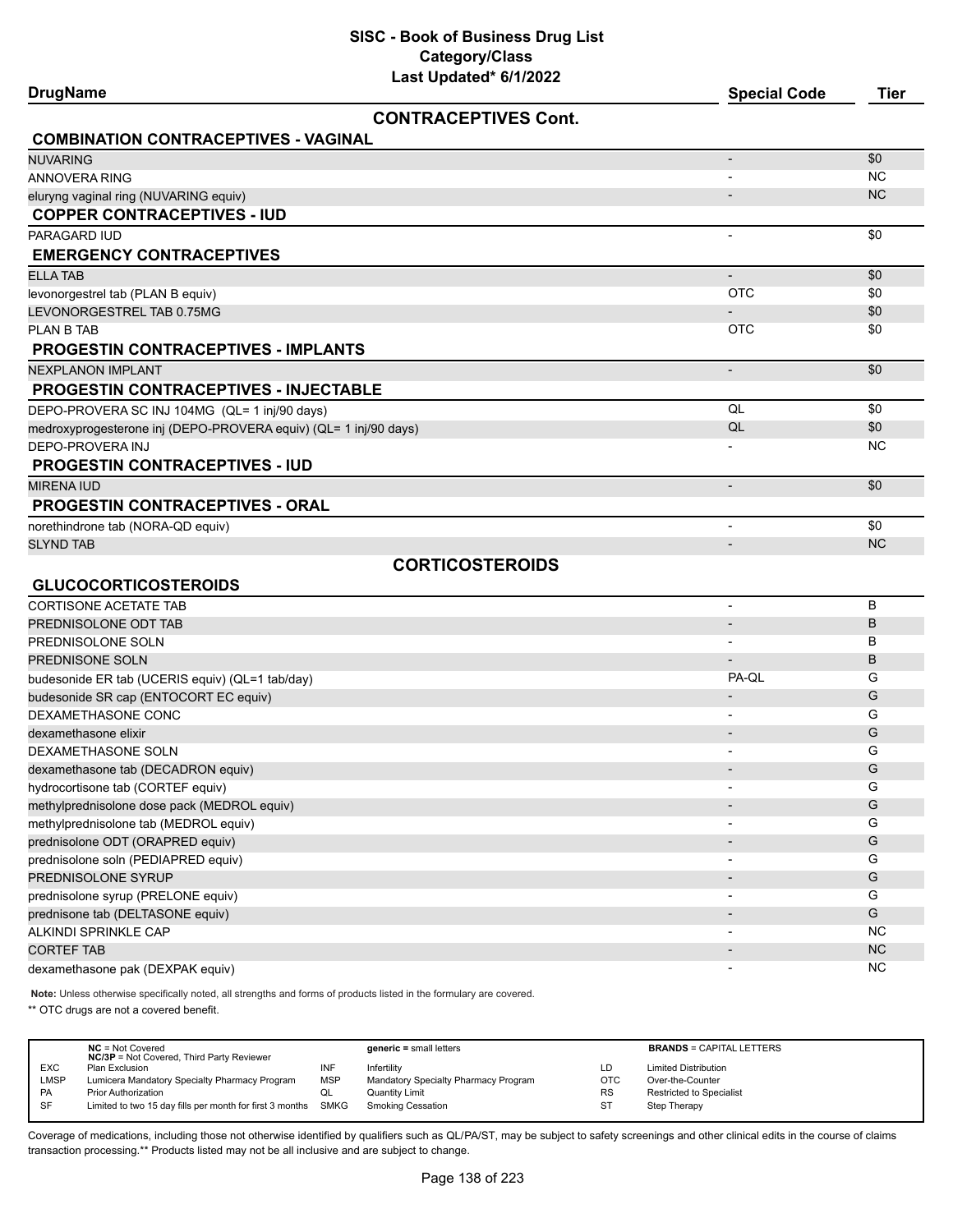**DrugName Special Code Tier**

# **CONTRACEPTIVES Cont.**

| CONTRACEPTIVES CONT.                                             |                          |           |
|------------------------------------------------------------------|--------------------------|-----------|
| <b>COMBINATION CONTRACEPTIVES - VAGINAL</b>                      |                          |           |
| <b>NUVARING</b>                                                  | $\overline{\phantom{a}}$ | \$0       |
| <b>ANNOVERA RING</b>                                             | $\overline{\phantom{a}}$ | NC.       |
| eluryng vaginal ring (NUVARING equiv)                            | $\overline{\phantom{a}}$ | <b>NC</b> |
| <b>COPPER CONTRACEPTIVES - IUD</b>                               |                          |           |
| PARAGARD IUD                                                     | $\overline{\phantom{a}}$ | \$0       |
| <b>EMERGENCY CONTRACEPTIVES</b>                                  |                          |           |
| <b>ELLA TAB</b>                                                  | $\overline{\phantom{a}}$ | \$0       |
| levonorgestrel tab (PLAN B equiv)                                | <b>OTC</b>               | \$0       |
| LEVONORGESTREL TAB 0.75MG                                        |                          | \$0       |
| <b>PLAN B TAB</b>                                                | <b>OTC</b>               | \$0       |
| <b>PROGESTIN CONTRACEPTIVES - IMPLANTS</b>                       |                          |           |
| <b>NEXPLANON IMPLANT</b>                                         | $\overline{a}$           | \$0       |
| <b>PROGESTIN CONTRACEPTIVES - INJECTABLE</b>                     |                          |           |
| DEPO-PROVERA SC INJ 104MG (QL= 1 inj/90 days)                    | QL                       | \$0       |
| medroxyprogesterone inj (DEPO-PROVERA equiv) (QL= 1 inj/90 days) | QL                       | \$0       |
| DEPO-PROVERA INJ                                                 |                          | <b>NC</b> |
| <b>PROGESTIN CONTRACEPTIVES - IUD</b>                            |                          |           |
| <b>MIRENA IUD</b>                                                | $\blacksquare$           | \$0       |
| <b>PROGESTIN CONTRACEPTIVES - ORAL</b>                           |                          |           |
| norethindrone tab (NORA-QD equiv)                                | $\overline{a}$           | \$0       |
| <b>SLYND TAB</b>                                                 | $\overline{\phantom{a}}$ | <b>NC</b> |
| <b>CORTICOSTEROIDS</b>                                           |                          |           |
| <b>GLUCOCORTICOSTEROIDS</b>                                      |                          |           |
| <b>CORTISONE ACETATE TAB</b>                                     | $\overline{\phantom{a}}$ | B         |
| PREDNISOLONE ODT TAB                                             | $\overline{\phantom{a}}$ | B         |
| PREDNISOLONE SOLN                                                |                          | B         |
| PREDNISONE SOLN                                                  |                          | B         |
| budesonide ER tab (UCERIS equiv) (QL=1 tab/day)                  | PA-QL                    | G         |
| budesonide SR cap (ENTOCORT EC equiv)                            | $\overline{a}$           | G         |
| DEXAMETHASONE CONC                                               |                          | G         |
| dexamethasone elixir                                             |                          | G         |
| DEXAMETHASONE SOLN                                               | $\blacksquare$           | G         |
| dexamethasone tab (DECADRON equiv)                               |                          | G         |
| hydrocortisone tab (CORTEF equiv)                                | $\overline{\phantom{a}}$ | G         |
| methylprednisolone dose pack (MEDROL equiv)                      |                          | G         |
| methylprednisolone tab (MEDROL equiv)                            |                          | G         |
| prednisolone ODT (ORAPRED equiv)                                 |                          | G         |
| prednisolone soln (PEDIAPRED equiv)                              |                          | G         |
| PREDNISOLONE SYRUP                                               |                          | G         |

dexamethasone pak (DEXPAK equiv) and the control of the control of the control of the control of the control of the control of the control of the control of the control of the control of the control of the control of the c **Note:** Unless otherwise specifically noted, all strengths and forms of products listed in the formulary are covered.

\*\* OTC drugs are not a covered benefit.

|             | $NC = Not Covered$<br><b>NC/3P</b> = Not Covered, Third Party Reviewer |            | $generic = small letters$            |           | <b>BRANDS = CAPITAL LETTERS</b> |
|-------------|------------------------------------------------------------------------|------------|--------------------------------------|-----------|---------------------------------|
| <b>EXC</b>  | Plan Exclusion                                                         | INF        | Infertility                          | LD        | <b>Limited Distribution</b>     |
| <b>LMSP</b> | Lumicera Mandatory Specialty Pharmacy Program                          | <b>MSP</b> | Mandatory Specialty Pharmacy Program | OTC       | Over-the-Counter                |
| <b>PA</b>   | Prior Authorization                                                    | QL         | Quantity Limit                       | <b>RS</b> | <b>Restricted to Specialist</b> |
| SF          | Limited to two 15 day fills per month for first 3 months SMKG          |            | <b>Smoking Cessation</b>             | ST        | Step Therapy                    |
|             |                                                                        |            |                                      |           |                                 |

Coverage of medications, including those not otherwise identified by qualifiers such as QL/PA/ST, may be subject to safety screenings and other clinical edits in the course of claims transaction processing.\*\* Products listed may not be all inclusive and are subject to change.

prednisolone syrup (PRELONE equiv) and the contract of the contract of the contract of the contract of the contract of the contract of the contract of the contract of the contract of the contract of the contract of the con prednisone tab (DELTASONE equiv) - G ALKINDI SPRINKLE CAP - NC  $\blacksquare$ CORTEF TAB $\blacksquare$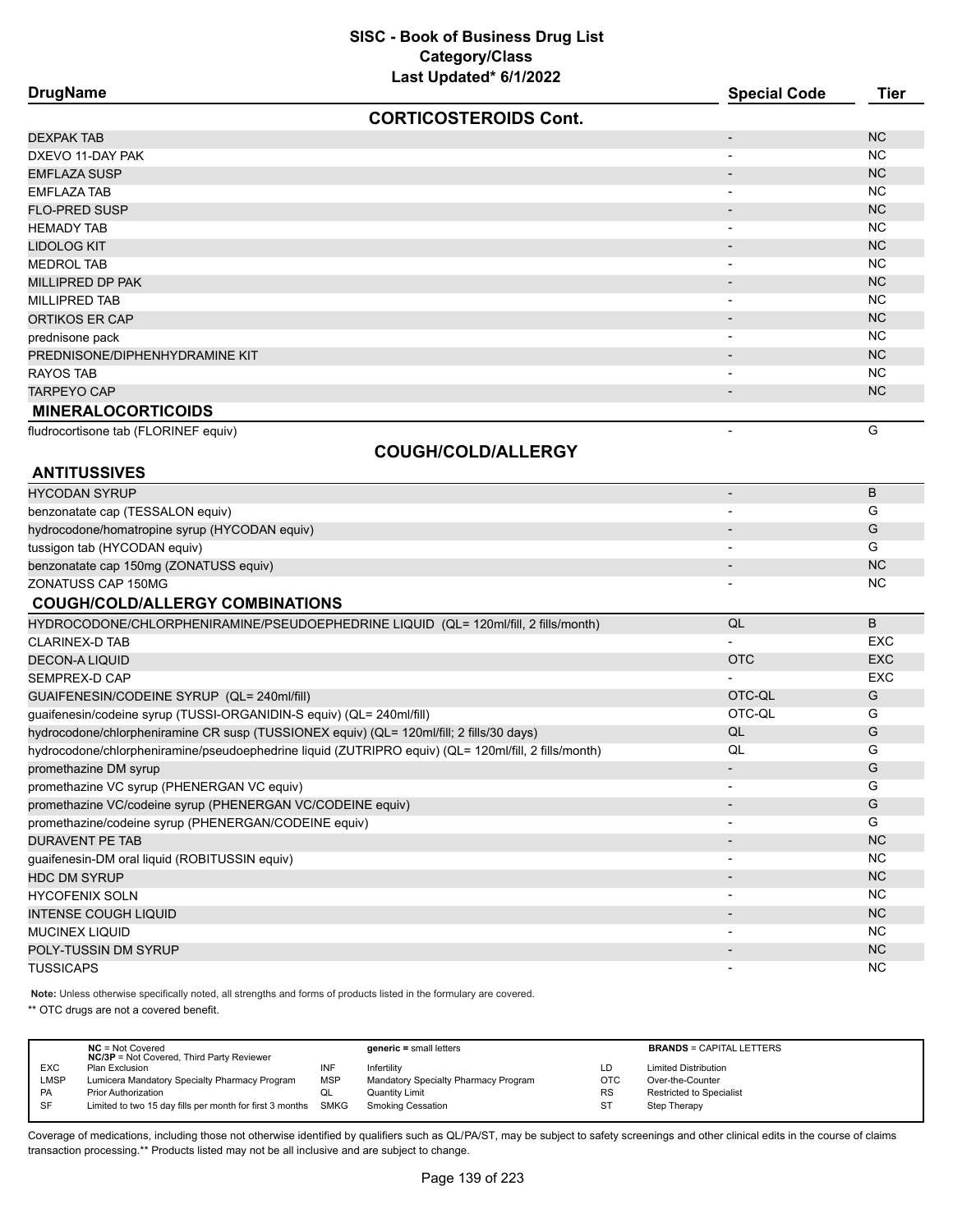| <b>DrugName</b>                | <b>Special Code</b>      | <b>Tier</b>    |
|--------------------------------|--------------------------|----------------|
| <b>CORTICOSTEROIDS Cont.</b>   |                          |                |
| <b>DEXPAK TAB</b>              | ۰.                       | N <sub>C</sub> |
| DXEVO 11-DAY PAK               | ۰.                       | NC.            |
| <b>EMFLAZA SUSP</b>            | ۰.                       | NC             |
| <b>EMFLAZA TAB</b>             | $\blacksquare$           | NC.            |
| <b>FLO-PRED SUSP</b>           | $\overline{\phantom{a}}$ | NC             |
| <b>HEMADY TAB</b>              | $\blacksquare$           | NC.            |
| <b>LIDOLOG KIT</b>             | -                        | N <sub>C</sub> |
| <b>MEDROL TAB</b>              | $\overline{\phantom{0}}$ | NC.            |
| MILLIPRED DP PAK               | -                        | N <sub>C</sub> |
| <b>MILLIPRED TAB</b>           | -                        | NC.            |
| <b>ORTIKOS ER CAP</b>          | -                        | NC             |
| prednisone pack                |                          | NC.            |
| PREDNISONE/DIPHENHYDRAMINE KIT | -                        | N <sub>C</sub> |
| RAYOS TAB                      |                          | NC.            |
| <b>TARPEYO CAP</b>             | $\overline{\phantom{a}}$ | NC.            |
| <b>MINERALOCORTICOIDS</b>      |                          |                |

fludrocortisone tab (FLORINEF equiv) 6 and 5 and 5 and 5 and 5 and 5 and 5 and 5 and 5 and 6 and 6 and 6 and 6 and 6 and 6 and 6 and 6 and 6 and 6 and 6 and 6 and 6 and 6 and 6 and 6 and 6 and 6 and 6 and 6 and 6 and 6 and

**ANTITUSSIVES**

# **COUGH/COLD/ALLERGY**

| <b>HYCODAN SYRUP</b>                          | $\overline{\phantom{0}}$ |                |
|-----------------------------------------------|--------------------------|----------------|
| benzonatate cap (TESSALON equiv)              |                          |                |
| hydrocodone/homatropine syrup (HYCODAN equiv) |                          | G              |
| tussigon tab (HYCODAN equiv)                  |                          |                |
| benzonatate cap 150mg (ZONATUSS equiv)        | $\blacksquare$           | N <sub>C</sub> |
| ZONATUSS CAP 150MG                            |                          | <b>NC</b>      |

# **COUGH/COLD/ALLERGY COMBINATIONS**

| B                        |
|--------------------------|
| EXC.                     |
| <b>OTC</b><br><b>EXC</b> |
| <b>EXC</b>               |
| OTC-QL<br>G              |
| OTC-QL<br>G              |
| G                        |
| G                        |
| G                        |
| G                        |
| G                        |
| G                        |
| <b>NC</b>                |
| NC.                      |
| <b>NC</b>                |
| NC.                      |
| N <sub>C</sub>           |
| NC.                      |
| N <sub>C</sub>           |
| N <sub>C</sub>           |
|                          |

**Note:** Unless otherwise specifically noted, all strengths and forms of products listed in the formulary are covered.

\*\* OTC drugs are not a covered benefit.

|            | $NC = Not Covered$<br><b>NC/3P</b> = Not Covered, Third Party Reviewer |            | $generic = small letters$            |           | <b>BRANDS = CAPITAL LETTERS</b> |
|------------|------------------------------------------------------------------------|------------|--------------------------------------|-----------|---------------------------------|
| <b>EXC</b> | Plan Exclusion                                                         | INF        | Infertility                          | LD        | <b>Limited Distribution</b>     |
| LMSP       | Lumicera Mandatory Specialty Pharmacy Program                          | <b>MSP</b> | Mandatory Specialty Pharmacy Program | OTC       | Over-the-Counter                |
| <b>PA</b>  | <b>Prior Authorization</b>                                             | ◡          | Quantity Limit                       | <b>RS</b> | <b>Restricted to Specialist</b> |
| <b>SF</b>  | Limited to two 15 day fills per month for first 3 months SMKG          |            | Smoking Cessation                    | ST        | Step Therapy                    |
|            |                                                                        |            |                                      |           |                                 |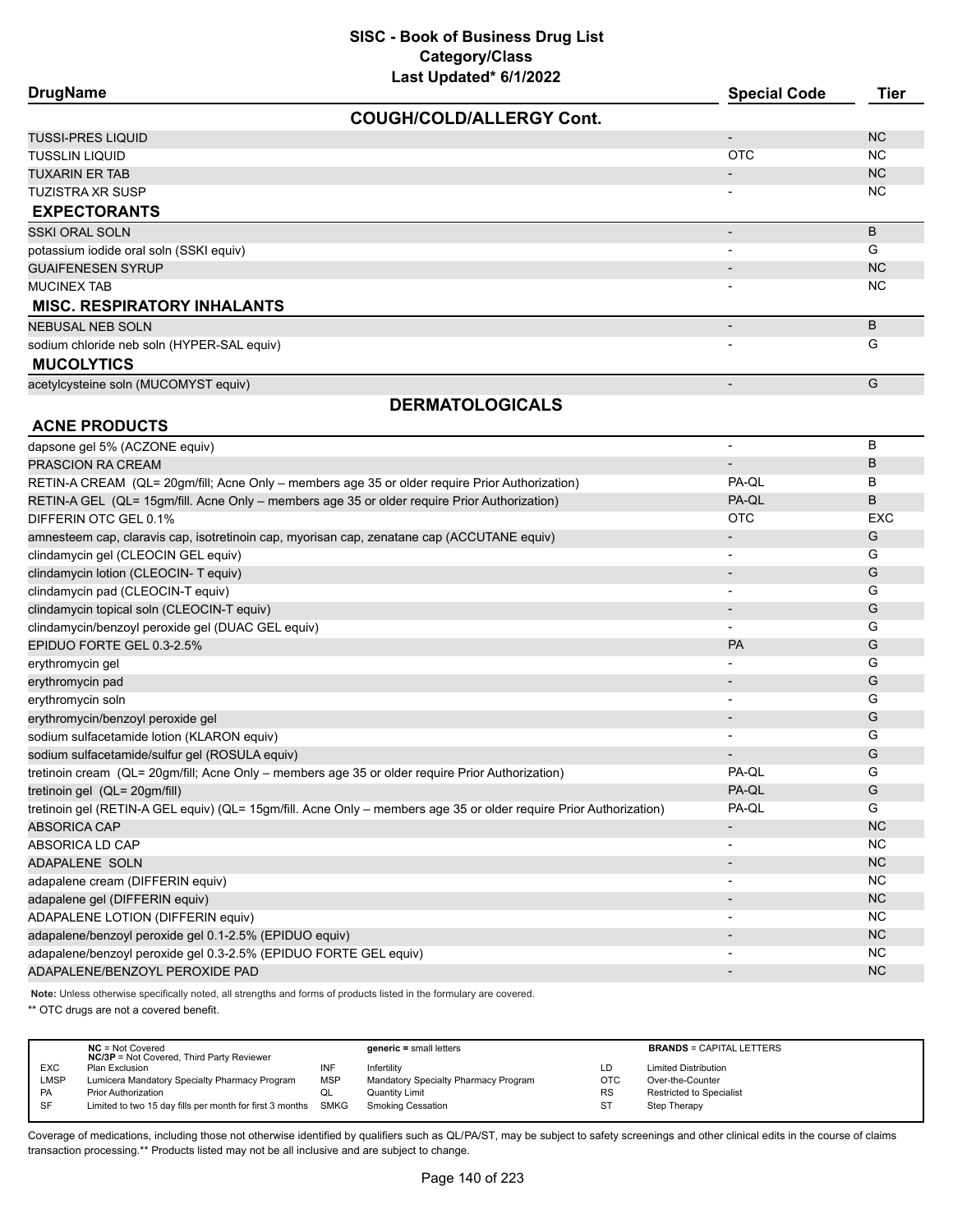| <b>DrugName</b>                            | <b>Special Code</b>      | <b>Tier</b> |
|--------------------------------------------|--------------------------|-------------|
| <b>COUGH/COLD/ALLERGY Cont.</b>            |                          |             |
| <b>TUSSI-PRES LIQUID</b>                   | $\overline{\phantom{a}}$ | <b>NC</b>   |
| <b>TUSSLIN LIQUID</b>                      | <b>OTC</b>               | NC.         |
| <b>TUXARIN ER TAB</b>                      | $\overline{\phantom{a}}$ | <b>NC</b>   |
| <b>TUZISTRA XR SUSP</b>                    | $\overline{\phantom{a}}$ | <b>NC</b>   |
| <b>EXPECTORANTS</b>                        |                          |             |
| <b>SSKI ORAL SOLN</b>                      | $\overline{\phantom{a}}$ | B           |
| potassium iodide oral soln (SSKI equiv)    | $\overline{\phantom{0}}$ | G           |
| <b>GUAIFENESEN SYRUP</b>                   |                          | <b>NC</b>   |
| <b>MUCINEX TAB</b>                         | $\overline{\phantom{a}}$ | NC.         |
| <b>MISC. RESPIRATORY INHALANTS</b>         |                          |             |
| <b>NEBUSAL NEB SOLN</b>                    | $\overline{\phantom{a}}$ | B           |
| sodium chloride neb soln (HYPER-SAL equiv) | $\overline{\phantom{0}}$ | G           |
| <b>MUCOLYTICS</b>                          |                          |             |
| acetylcysteine soln (MUCOMYST equiv)       | $\overline{\phantom{0}}$ | G           |
| <b>DERMATOLOGICALS</b>                     |                          |             |
| <b>ACNE PRODUCTS</b>                       |                          |             |
| dapsone gel 5% (ACZONE equiv)              |                          | B           |
| <b>PRASCION RA CREAM</b>                   |                          | B           |

| PRASCION RA CREAM                                                                                                  | $\blacksquare$           | B          |
|--------------------------------------------------------------------------------------------------------------------|--------------------------|------------|
| RETIN-A CREAM (QL= 20gm/fill; Acne Only – members age 35 or older require Prior Authorization)                     | PA-QL                    | в          |
| RETIN-A GEL (QL= 15qm/fill. Acne Only – members age 35 or older require Prior Authorization)                       | PA-QL                    | B          |
| DIFFERIN OTC GEL 0.1%                                                                                              | <b>OTC</b>               | <b>EXC</b> |
| amnesteem cap, claravis cap, isotretinoin cap, myorisan cap, zenatane cap (ACCUTANE equiv)                         |                          | G          |
| clindamycin gel (CLEOCIN GEL equiv)                                                                                |                          | G          |
| clindamycin lotion (CLEOCIN- T equiv)                                                                              |                          | G          |
| clindamycin pad (CLEOCIN-T equiv)                                                                                  |                          | G          |
| clindamycin topical soln (CLEOCIN-T equiv)                                                                         | $\overline{\phantom{a}}$ | G          |
| clindamycin/benzoyl peroxide gel (DUAC GEL equiv)                                                                  | $\overline{\phantom{a}}$ | G          |
| EPIDUO FORTE GEL 0.3-2.5%                                                                                          | PA                       | G          |
| erythromycin gel                                                                                                   |                          | G          |
| erythromycin pad                                                                                                   | $\blacksquare$           | G          |
| erythromycin soln                                                                                                  | $\overline{\phantom{a}}$ | G          |
| erythromycin/benzoyl peroxide gel                                                                                  |                          | G          |
| sodium sulfacetamide lotion (KLARON equiv)                                                                         |                          | G          |
| sodium sulfacetamide/sulfur gel (ROSULA equiv)                                                                     |                          | G          |
| tretinoin cream (QL= 20gm/fill; Acne Only - members age 35 or older require Prior Authorization)                   | PA-QL                    | G          |
| tretinoin gel (QL= 20gm/fill)                                                                                      | PA-QL                    | G          |
| tretinoin gel (RETIN-A GEL equiv) (QL= 15gm/fill. Acne Only - members age 35 or older require Prior Authorization) | PA-QL                    | G          |
| <b>ABSORICA CAP</b>                                                                                                | $\overline{\phantom{a}}$ | <b>NC</b>  |
| ABSORICA LD CAP                                                                                                    |                          | <b>NC</b>  |
| ADAPALENE SOLN                                                                                                     | $\overline{\phantom{a}}$ | <b>NC</b>  |
| adapalene cream (DIFFERIN equiv)                                                                                   |                          | <b>NC</b>  |
| adapalene gel (DIFFERIN equiv)                                                                                     |                          | <b>NC</b>  |
| ADAPALENE LOTION (DIFFERIN equiv)                                                                                  |                          | <b>NC</b>  |
| adapalene/benzoyl peroxide gel 0.1-2.5% (EPIDUO equiv)                                                             |                          | <b>NC</b>  |
| adapalene/benzoyl peroxide gel 0.3-2.5% (EPIDUO FORTE GEL equiv)                                                   |                          | <b>NC</b>  |
| ADAPALENE/BENZOYL PEROXIDE PAD                                                                                     |                          | <b>NC</b>  |
|                                                                                                                    |                          |            |

**Note:** Unless otherwise specifically noted, all strengths and forms of products listed in the formulary are covered.

\*\* OTC drugs are not a covered benefit.

|             | $NC = Not Covered$<br><b>NC/3P</b> = Not Covered, Third Party Reviewer |            | $generic = small letters$            |     | <b>BRANDS = CAPITAL LETTERS</b> |
|-------------|------------------------------------------------------------------------|------------|--------------------------------------|-----|---------------------------------|
| <b>EXC</b>  | Plan Exclusion                                                         | INF        | Infertility                          | LD  | <b>Limited Distribution</b>     |
| <b>LMSP</b> | Lumicera Mandatory Specialty Pharmacy Program                          | <b>MSP</b> | Mandatory Specialty Pharmacy Program | OTC | Over-the-Counter                |
| <b>PA</b>   | <b>Prior Authorization</b>                                             | QL         | <b>Quantity Limit</b>                | RS  | Restricted to Specialist        |
| SF          | Limited to two 15 day fills per month for first 3 months               | SMKG       | <b>Smoking Cessation</b>             | ST  | Step Therapy                    |
|             |                                                                        |            |                                      |     |                                 |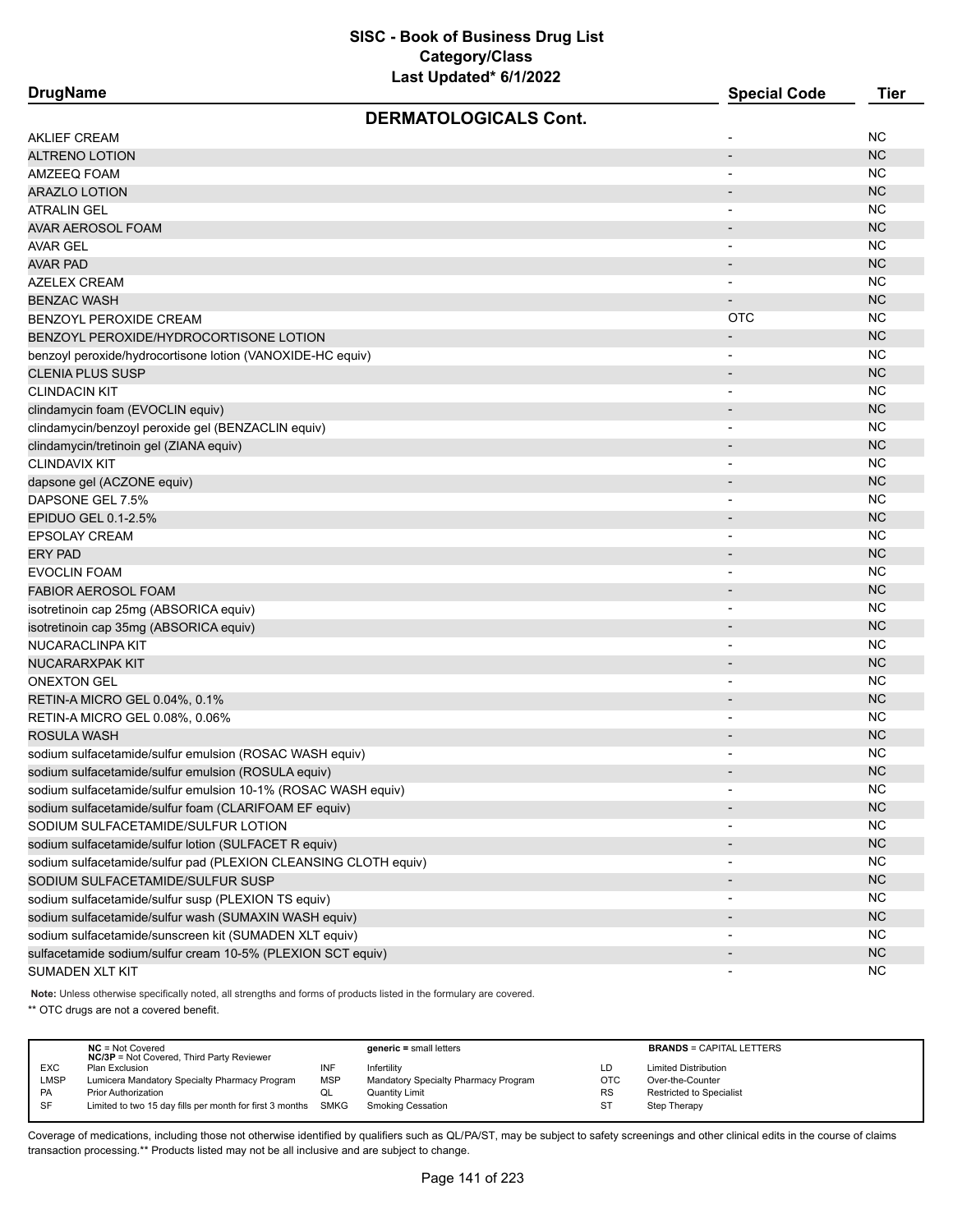|  | DrugName |
|--|----------|
|--|----------|

| <b>DrugName</b>                                                 | <b>Special Code</b>      | Tier      |
|-----------------------------------------------------------------|--------------------------|-----------|
| <b>DERMATOLOGICALS Cont.</b>                                    |                          |           |
| <b>AKLIEF CREAM</b>                                             |                          | <b>NC</b> |
| <b>ALTRENO LOTION</b>                                           |                          | <b>NC</b> |
| AMZEEQ FOAM                                                     |                          | <b>NC</b> |
| <b>ARAZLO LOTION</b>                                            |                          | <b>NC</b> |
| <b>ATRALIN GEL</b>                                              |                          | <b>NC</b> |
| AVAR AEROSOL FOAM                                               |                          | <b>NC</b> |
| <b>AVAR GEL</b>                                                 |                          | <b>NC</b> |
| <b>AVAR PAD</b>                                                 |                          | <b>NC</b> |
| <b>AZELEX CREAM</b>                                             |                          | <b>NC</b> |
| <b>BENZAC WASH</b>                                              |                          | <b>NC</b> |
| BENZOYL PEROXIDE CREAM                                          | <b>OTC</b>               | <b>NC</b> |
| BENZOYL PEROXIDE/HYDROCORTISONE LOTION                          |                          | <b>NC</b> |
| benzoyl peroxide/hydrocortisone lotion (VANOXIDE-HC equiv)      |                          | <b>NC</b> |
| <b>CLENIA PLUS SUSP</b>                                         | $\overline{\phantom{a}}$ | <b>NC</b> |
| <b>CLINDACIN KIT</b>                                            |                          | <b>NC</b> |
| clindamycin foam (EVOCLIN equiv)                                |                          | <b>NC</b> |
| clindamycin/benzoyl peroxide gel (BENZACLIN equiv)              |                          | <b>NC</b> |
| clindamycin/tretinoin gel (ZIANA equiv)                         |                          | <b>NC</b> |
| <b>CLINDAVIX KIT</b>                                            | $\blacksquare$           | <b>NC</b> |
| dapsone gel (ACZONE equiv)                                      |                          | <b>NC</b> |
| DAPSONE GEL 7.5%                                                | $\overline{\phantom{a}}$ | <b>NC</b> |
| EPIDUO GEL 0.1-2.5%                                             | $\overline{\phantom{a}}$ | <b>NC</b> |
| <b>EPSOLAY CREAM</b>                                            |                          | <b>NC</b> |
| <b>ERY PAD</b>                                                  |                          | <b>NC</b> |
| <b>EVOCLIN FOAM</b>                                             |                          | <b>NC</b> |
| <b>FABIOR AEROSOL FOAM</b>                                      |                          | <b>NC</b> |
| isotretinoin cap 25mg (ABSORICA equiv)                          | $\overline{\phantom{a}}$ | <b>NC</b> |
| isotretinoin cap 35mg (ABSORICA equiv)                          |                          | <b>NC</b> |
| NUCARACLINPA KIT                                                |                          | <b>NC</b> |
| <b>NUCARARXPAK KIT</b>                                          | $\overline{\phantom{a}}$ | <b>NC</b> |
| <b>ONEXTON GEL</b>                                              | $\overline{\phantom{a}}$ | <b>NC</b> |
| RETIN-A MICRO GEL 0.04%, 0.1%                                   | $\overline{\phantom{a}}$ | <b>NC</b> |
| RETIN-A MICRO GEL 0.08%, 0.06%                                  |                          | <b>NC</b> |
| <b>ROSULA WASH</b>                                              |                          | <b>NC</b> |
| sodium sulfacetamide/sulfur emulsion (ROSAC WASH equiv)         |                          | <b>NC</b> |
| sodium sulfacetamide/sulfur emulsion (ROSULA equiv)             |                          | <b>NC</b> |
| sodium sulfacetamide/sulfur emulsion 10-1% (ROSAC WASH equiv)   |                          | <b>NC</b> |
| sodium sulfacetamide/sulfur foam (CLARIFOAM EF equiv)           |                          | <b>NC</b> |
| SODIUM SULFACETAMIDE/SULFUR LOTION                              |                          | <b>NC</b> |
| sodium sulfacetamide/sulfur lotion (SULFACET R equiv)           |                          | NC        |
| sodium sulfacetamide/sulfur pad (PLEXION CLEANSING CLOTH equiv) |                          | <b>NC</b> |
| SODIUM SULFACETAMIDE/SULFUR SUSP                                |                          | <b>NC</b> |
| sodium sulfacetamide/sulfur susp (PLEXION TS equiv)             |                          | NC.       |
| sodium sulfacetamide/sulfur wash (SUMAXIN WASH equiv)           |                          | NC        |
| sodium sulfacetamide/sunscreen kit (SUMADEN XLT equiv)          | $\overline{\phantom{a}}$ | <b>NC</b> |
| sulfacetamide sodium/sulfur cream 10-5% (PLEXION SCT equiv)     |                          | NC        |
|                                                                 |                          | <b>NC</b> |
| SUMADEN XLT KIT                                                 |                          |           |

**Note:** Unless otherwise specifically noted, all strengths and forms of products listed in the formulary are covered.

\*\* OTC drugs are not a covered benefit.

|             | $NC = Not Covered$<br><b>NC/3P</b> = Not Covered, Third Party Reviewer |            | $generic = small letters$            |           | <b>BRANDS = CAPITAL LETTERS</b> |
|-------------|------------------------------------------------------------------------|------------|--------------------------------------|-----------|---------------------------------|
| <b>EXC</b>  | Plan Exclusion                                                         | INF        | Infertility                          | LD        | <b>Limited Distribution</b>     |
| <b>LMSP</b> | Lumicera Mandatory Specialty Pharmacy Program                          | <b>MSP</b> | Mandatory Specialty Pharmacy Program | OTC       | Over-the-Counter                |
| <b>PA</b>   | <b>Prior Authorization</b>                                             | QL         | Quantity Limit                       | <b>RS</b> | Restricted to Specialist        |
| <b>SF</b>   | Limited to two 15 day fills per month for first 3 months SMKG          |            | <b>Smoking Cessation</b>             | ST        | Step Therapy                    |
|             |                                                                        |            |                                      |           |                                 |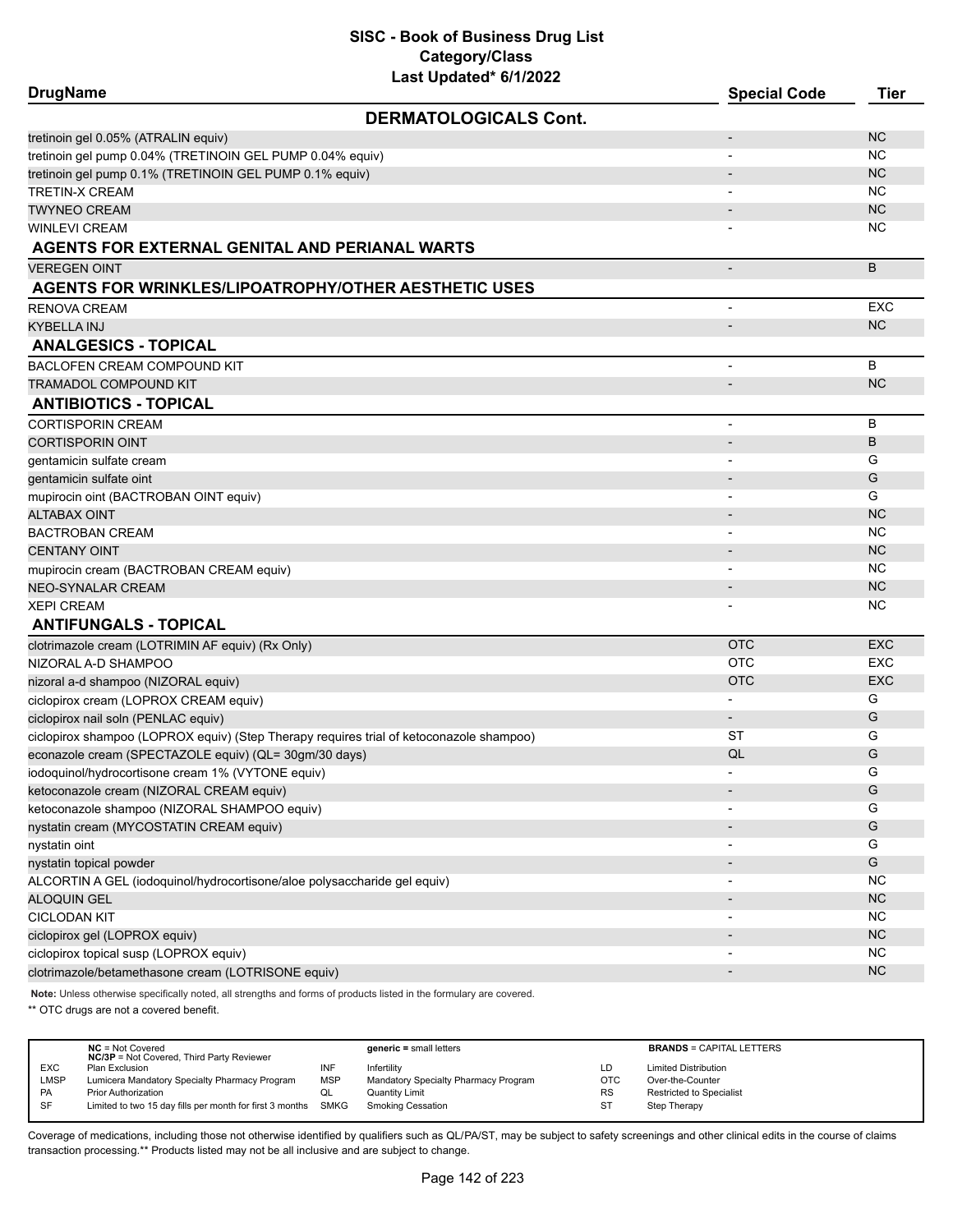| <b>DrugName</b>                                                                         | Lasi Upualeu Toriizuzz       | <b>Special Code</b>      | <b>Tier</b> |
|-----------------------------------------------------------------------------------------|------------------------------|--------------------------|-------------|
|                                                                                         | <b>DERMATOLOGICALS Cont.</b> |                          |             |
| tretinoin gel 0.05% (ATRALIN equiv)                                                     |                              |                          | <b>NC</b>   |
| tretinoin gel pump 0.04% (TRETINOIN GEL PUMP 0.04% equiv)                               |                              |                          | <b>NC</b>   |
| tretinoin gel pump 0.1% (TRETINOIN GEL PUMP 0.1% equiv)                                 |                              |                          | <b>NC</b>   |
| TRETIN-X CREAM                                                                          |                              |                          | <b>NC</b>   |
| <b>TWYNEO CREAM</b>                                                                     |                              |                          | <b>NC</b>   |
| WINLEVI CREAM                                                                           |                              |                          | <b>NC</b>   |
| AGENTS FOR EXTERNAL GENITAL AND PERIANAL WARTS                                          |                              |                          |             |
| <b>VEREGEN OINT</b>                                                                     |                              | $\overline{\phantom{a}}$ | B           |
| <b>AGENTS FOR WRINKLES/LIPOATROPHY/OTHER AESTHETIC USES</b>                             |                              |                          |             |
| RENOVA CREAM                                                                            |                              | $\overline{\phantom{a}}$ | <b>EXC</b>  |
| KYBELLA INJ                                                                             |                              |                          | <b>NC</b>   |
| <b>ANALGESICS - TOPICAL</b>                                                             |                              |                          |             |
| BACLOFEN CREAM COMPOUND KIT                                                             |                              |                          | B           |
| TRAMADOL COMPOUND KIT                                                                   |                              |                          | <b>NC</b>   |
| <b>ANTIBIOTICS - TOPICAL</b>                                                            |                              |                          |             |
| <b>CORTISPORIN CREAM</b>                                                                |                              |                          | B           |
| <b>CORTISPORIN OINT</b>                                                                 |                              |                          | B           |
| gentamicin sulfate cream                                                                |                              |                          | G           |
| gentamicin sulfate oint                                                                 |                              |                          | G           |
| mupirocin oint (BACTROBAN OINT equiv)                                                   |                              |                          | G           |
| <b>ALTABAX OINT</b>                                                                     |                              |                          | <b>NC</b>   |
| <b>BACTROBAN CREAM</b>                                                                  |                              |                          | <b>NC</b>   |
| <b>CENTANY OINT</b>                                                                     |                              |                          | <b>NC</b>   |
| mupirocin cream (BACTROBAN CREAM equiv)                                                 |                              |                          | <b>NC</b>   |
| <b>NEO-SYNALAR CREAM</b>                                                                |                              |                          | NC          |
| <b>XEPI CREAM</b>                                                                       |                              |                          | NC.         |
| <b>ANTIFUNGALS - TOPICAL</b>                                                            |                              |                          |             |
| clotrimazole cream (LOTRIMIN AF equiv) (Rx Only)                                        |                              | <b>OTC</b>               | <b>EXC</b>  |
| NIZORAL A-D SHAMPOO                                                                     |                              | <b>OTC</b>               | <b>EXC</b>  |
| nizoral a-d shampoo (NIZORAL equiv)                                                     |                              | <b>OTC</b>               | <b>EXC</b>  |
| ciclopirox cream (LOPROX CREAM equiv)                                                   |                              |                          | G           |
| ciclopirox nail soln (PENLAC equiv)                                                     |                              | $\overline{\phantom{a}}$ | G           |
| ciclopirox shampoo (LOPROX equiv) (Step Therapy requires trial of ketoconazole shampoo) |                              | ST                       | G           |
| econazole cream (SPECTAZOLE equiv) (QL= 30gm/30 days)                                   |                              | QL                       | G           |
| iodoquinol/hydrocortisone cream 1% (VYTONE equiv)                                       |                              |                          | G           |
| ketoconazole cream (NIZORAL CREAM equiv)                                                |                              |                          | G           |
| ketoconazole shampoo (NIZORAL SHAMPOO equiv)                                            |                              |                          | G           |
| nystatin cream (MYCOSTATIN CREAM equiv)                                                 |                              |                          | G           |
| nystatin oint                                                                           |                              |                          | G           |
| nystatin topical powder                                                                 |                              |                          | G           |
| ALCORTIN A GEL (iodoquinol/hydrocortisone/aloe polysaccharide gel equiv)                |                              |                          | <b>NC</b>   |
| ALOQUIN GEL                                                                             |                              |                          | NC          |
| <b>CICLODAN KIT</b>                                                                     |                              |                          | <b>NC</b>   |
| ciclopirox gel (LOPROX equiv)                                                           |                              |                          | NC          |
| ciclopirox topical susp (LOPROX equiv)                                                  |                              |                          | <b>NC</b>   |
| clotrimazole/betamethasone cream (LOTRISONE equiv)                                      |                              |                          | <b>NC</b>   |
|                                                                                         |                              |                          |             |

**Note:** Unless otherwise specifically noted, all strengths and forms of products listed in the formulary are covered.

\*\* OTC drugs are not a covered benefit.

| $NC = Not Covered$                            |                                                  | $generic = small letters$                                     |            | <b>BRANDS = CAPITAL LETTERS</b> |
|-----------------------------------------------|--------------------------------------------------|---------------------------------------------------------------|------------|---------------------------------|
| Plan Exclusion                                | INF                                              | Infertility                                                   | LD         | <b>Limited Distribution</b>     |
| Lumicera Mandatory Specialty Pharmacy Program | <b>MSP</b>                                       | Mandatory Specialty Pharmacy Program                          | <b>OTC</b> | Over-the-Counter                |
| Prior Authorization                           | QL                                               | Quantity Limit                                                | <b>RS</b>  | <b>Restricted to Specialist</b> |
|                                               |                                                  | Smoking Cessation                                             | ST         | Step Therapy                    |
|                                               | <b>NC/3P</b> = Not Covered, Third Party Reviewer | Limited to two 15 day fills per month for first 3 months SMKG |            |                                 |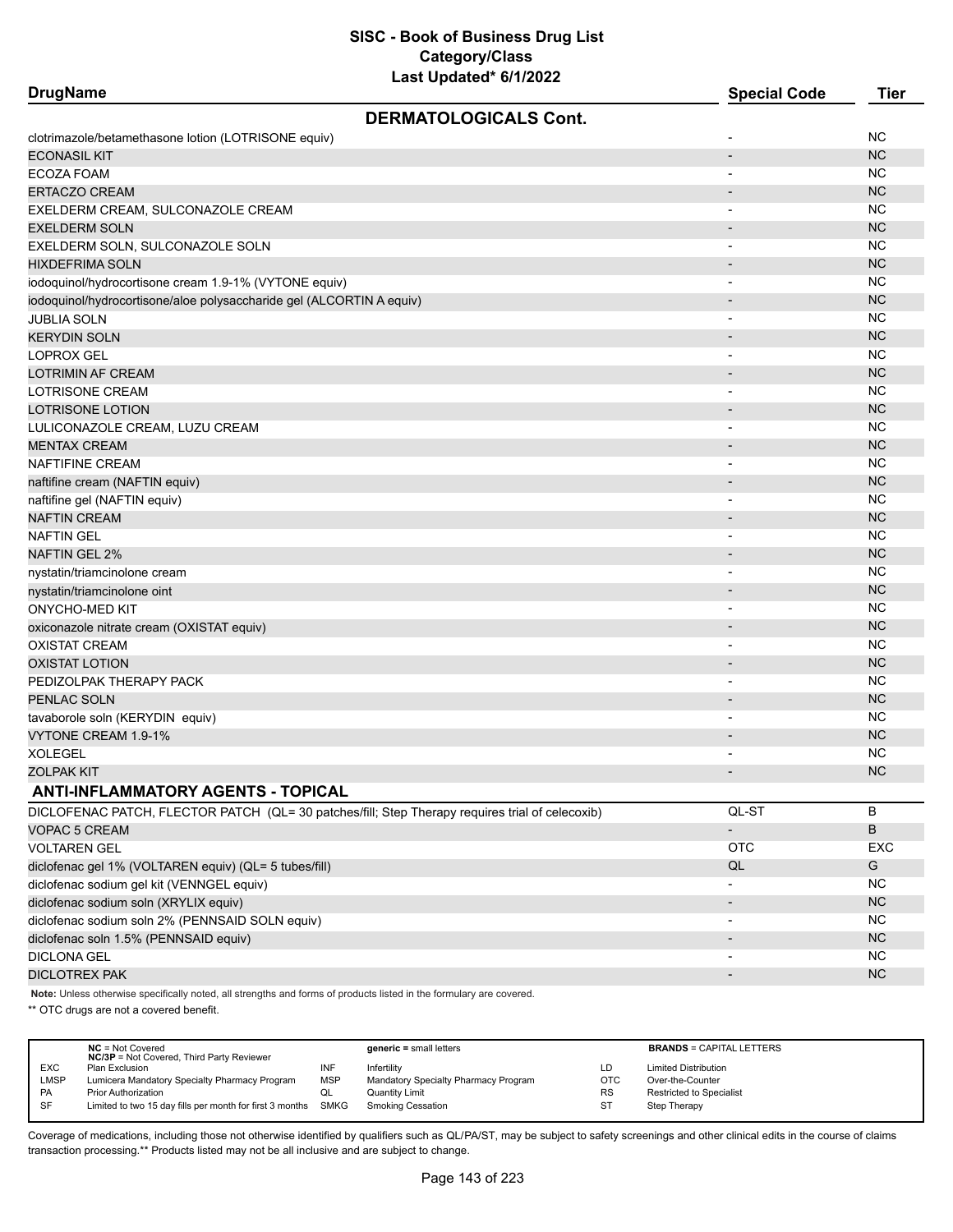| <b>DrugName</b>                                                                                 | <b>Special Code</b>          | <b>Tier</b>   |
|-------------------------------------------------------------------------------------------------|------------------------------|---------------|
| <b>DERMATOLOGICALS Cont.</b>                                                                    |                              |               |
| clotrimazole/betamethasone lotion (LOTRISONE equiv)                                             |                              | <b>NC</b>     |
| <b>ECONASIL KIT</b>                                                                             | $\overline{\phantom{a}}$     | <b>NC</b>     |
| ECOZA FOAM                                                                                      | $\blacksquare$               | <b>NC</b>     |
| <b>ERTACZO CREAM</b>                                                                            |                              | <b>NC</b>     |
| EXELDERM CREAM, SULCONAZOLE CREAM                                                               |                              | <b>NC</b>     |
| <b>EXELDERM SOLN</b>                                                                            |                              | <b>NC</b>     |
| EXELDERM SOLN, SULCONAZOLE SOLN                                                                 |                              | <b>NC</b>     |
| HIXDEFRIMA SOLN                                                                                 |                              | <b>NC</b>     |
| iodoquinol/hydrocortisone cream 1.9-1% (VYTONE equiv)                                           |                              | <b>NC</b>     |
| iodoquinol/hydrocortisone/aloe polysaccharide gel (ALCORTIN A equiv)                            |                              | <b>NC</b>     |
| <b>JUBLIA SOLN</b>                                                                              |                              | <b>NC</b>     |
| <b>KERYDIN SOLN</b>                                                                             |                              | <b>NC</b>     |
| LOPROX GEL                                                                                      |                              | <b>NC</b>     |
| LOTRIMIN AF CREAM                                                                               |                              | <b>NC</b>     |
| LOTRISONE CREAM                                                                                 |                              | <b>NC</b>     |
| <b>LOTRISONE LOTION</b>                                                                         |                              | <b>NC</b>     |
| LULICONAZOLE CREAM, LUZU CREAM                                                                  |                              | <b>NC</b>     |
| <b>MENTAX CREAM</b>                                                                             |                              | <b>NC</b>     |
| NAFTIFINE CREAM                                                                                 | $\overline{\phantom{a}}$     | <b>NC</b>     |
| naftifine cream (NAFTIN equiv)                                                                  |                              | <b>NC</b>     |
| naftifine gel (NAFTIN equiv)                                                                    | $\overline{\phantom{a}}$     | <b>NC</b>     |
| <b>NAFTIN CREAM</b>                                                                             |                              | <b>NC</b>     |
| NAFTIN GEL                                                                                      | $\overline{\phantom{0}}$     | <b>NC</b>     |
| NAFTIN GEL 2%                                                                                   |                              | <b>NC</b>     |
| nystatin/triamcinolone cream                                                                    |                              | <b>NC</b>     |
| nystatin/triamcinolone oint                                                                     |                              | <b>NC</b>     |
| <b>ONYCHO-MED KIT</b>                                                                           | $\overline{\phantom{0}}$     | <b>NC</b>     |
| oxiconazole nitrate cream (OXISTAT equiv)                                                       |                              | <b>NC</b>     |
| OXISTAT CREAM                                                                                   | $\overline{\phantom{a}}$     | <b>NC</b>     |
| <b>OXISTAT LOTION</b>                                                                           |                              | <b>NC</b>     |
| PEDIZOLPAK THERAPY PACK                                                                         |                              | <b>NC</b>     |
| PENLAC SOLN                                                                                     | $\overline{\phantom{a}}$     | <b>NC</b>     |
| tavaborole soln (KERYDIN equiv)                                                                 |                              | <b>NC</b>     |
| VYTONE CREAM 1.9-1%                                                                             |                              | <b>NC</b>     |
| XOLEGEL                                                                                         |                              | <b>NC</b>     |
| ZOLPAK KIT                                                                                      |                              | <b>NC</b>     |
| <b>ANTI-INFLAMMATORY AGENTS - TOPICAL</b>                                                       |                              |               |
| DICLOFENAC PATCH, FLECTOR PATCH (QL= 30 patches/fill; Step Therapy requires trial of celecoxib) | QL-ST                        | B             |
| <b>VOPAC 5 CREAM</b>                                                                            | $\overline{\phantom{a}}$     | $\sf B$       |
| <b>VOLTAREN GEL</b>                                                                             | <b>OTC</b>                   | EXC           |
| diclofenac gel 1% (VOLTAREN equiv) (QL= 5 tubes/fill)                                           | $\mathsf{QL}$                | ${\mathsf G}$ |
| diclofenac sodium gel kit (VENNGEL equiv)                                                       |                              | NC.           |
| diclofenac sodium soln (XRYLIX equiv)                                                           | $\qquad \qquad \blacksquare$ | NC            |
| diclofenac sodium soln 2% (PENNSAID SOLN equiv)                                                 | $\overline{\phantom{a}}$     | <b>NC</b>     |
| diclofenac soln 1.5% (PENNSAID equiv)                                                           |                              | NC            |
| DICLONA GEL                                                                                     |                              | NC.           |
| <b>DICLOTREX PAK</b>                                                                            | $\overline{\phantom{a}}$     | <b>NC</b>     |
|                                                                                                 |                              |               |

**Note:** Unless otherwise specifically noted, all strengths and forms of products listed in the formulary are covered.

\*\* OTC drugs are not a covered benefit.

|            | $NC = Not Covered$<br><b>NC/3P</b> = Not Covered, Third Party Reviewer |            | $generic = small letters$            |            | <b>BRANDS = CAPITAL LETTERS</b> |
|------------|------------------------------------------------------------------------|------------|--------------------------------------|------------|---------------------------------|
| <b>EXC</b> | Plan Exclusion                                                         | INF        | Infertility                          | LD.        | <b>Limited Distribution</b>     |
|            |                                                                        |            |                                      |            |                                 |
| LMSP       | Lumicera Mandatory Specialty Pharmacy Program                          | <b>MSP</b> | Mandatory Specialty Pharmacy Program | <b>OTC</b> | Over-the-Counter                |
| <b>PA</b>  | <b>Prior Authorization</b>                                             | QL         | Quantity Limit                       | <b>RS</b>  | <b>Restricted to Specialist</b> |
| <b>SF</b>  | Limited to two 15 day fills per month for first 3 months SMKG          |            | Smoking Cessation                    | ST         | Step Therapy                    |
|            |                                                                        |            |                                      |            |                                 |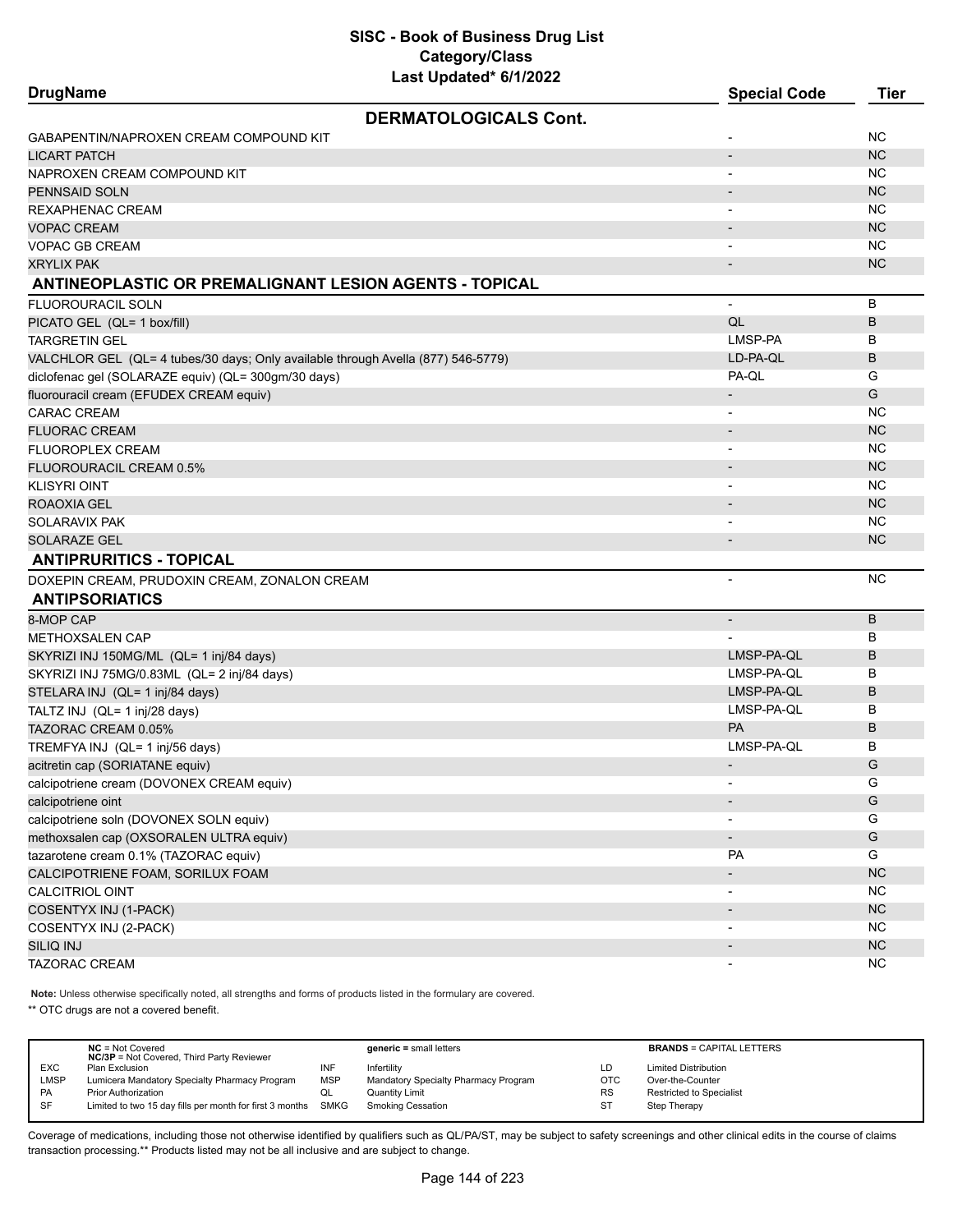| <b>DrugName</b>                                                                  | <b>Special Code</b>      | <b>Tier</b> |
|----------------------------------------------------------------------------------|--------------------------|-------------|
| <b>DERMATOLOGICALS Cont.</b>                                                     |                          |             |
| GABAPENTIN/NAPROXEN CREAM COMPOUND KIT                                           |                          | ΝC          |
| <b>LICART PATCH</b>                                                              |                          | <b>NC</b>   |
| NAPROXEN CREAM COMPOUND KIT                                                      |                          | <b>NC</b>   |
| PENNSAID SOLN                                                                    |                          | <b>NC</b>   |
| REXAPHENAC CREAM                                                                 |                          | <b>NC</b>   |
| <b>VOPAC CREAM</b>                                                               |                          | <b>NC</b>   |
| VOPAC GB CREAM                                                                   |                          | <b>NC</b>   |
| <b>XRYLIX PAK</b>                                                                |                          | <b>NC</b>   |
| <b>ANTINEOPLASTIC OR PREMALIGNANT LESION AGENTS - TOPICAL</b>                    |                          |             |
| <b>FLUOROURACIL SOLN</b>                                                         | $\overline{\phantom{0}}$ | B           |
| PICATO GEL (QL= 1 box/fill)                                                      | QL                       | B           |
| TARGRETIN GEL                                                                    | LMSP-PA                  | В           |
| VALCHLOR GEL (QL= 4 tubes/30 days; Only available through Avella (877) 546-5779) | LD-PA-QL                 | B           |
| diclofenac gel (SOLARAZE equiv) (QL= 300gm/30 days)                              | PA-QL                    | G           |
| fluorouracil cream (EFUDEX CREAM equiv)                                          |                          | G           |
| <b>CARAC CREAM</b>                                                               |                          | <b>NC</b>   |
| <b>FLUORAC CREAM</b>                                                             |                          | <b>NC</b>   |
| FLUOROPLEX CREAM                                                                 |                          | <b>NC</b>   |
| FLUOROURACIL CREAM 0.5%                                                          |                          | NC          |
| KLISYRI OINT                                                                     |                          | NC          |
| ROAOXIA GEL                                                                      |                          | NC          |
| SOLARAVIX PAK                                                                    |                          | <b>NC</b>   |
| SOLARAZE GEL                                                                     |                          | NC          |
| <b>ANTIPRURITICS - TOPICAL</b>                                                   |                          |             |
| DOXEPIN CREAM, PRUDOXIN CREAM, ZONALON CREAM                                     |                          | <b>NC</b>   |
| <b>ANTIPSORIATICS</b>                                                            |                          |             |
| 8-MOP CAP                                                                        | $\overline{\phantom{a}}$ | B           |
| METHOXSALEN CAP                                                                  |                          | B           |
| SKYRIZI INJ 150MG/ML (QL= 1 inj/84 days)                                         | LMSP-PA-QL               | B           |
| SKYRIZI INJ 75MG/0.83ML (QL= 2 inj/84 days)                                      | LMSP-PA-QL               | в           |
| STELARA INJ (QL= 1 inj/84 days)                                                  | LMSP-PA-QL               | B           |
| TALTZ INJ (QL= 1 inj/28 days)                                                    | LMSP-PA-QL               | B           |
| TAZORAC CREAM 0.05%                                                              | PA                       | B           |
| TREMFYA INJ (QL= 1 inj/56 days)                                                  | LMSP-PA-QL               | B           |
| acitretin cap (SORIATANE equiv)                                                  |                          | G           |
| calcipotriene cream (DOVONEX CREAM equiv)                                        |                          | G           |
| calcipotriene oint                                                               |                          | G           |
| calcipotriene soln (DOVONEX SOLN equiv)                                          |                          | G           |
| methoxsalen cap (OXSORALEN ULTRA equiv)                                          | $\overline{\phantom{a}}$ | G           |
| tazarotene cream 0.1% (TAZORAC equiv)                                            | PA                       | G           |
| CALCIPOTRIENE FOAM, SORILUX FOAM                                                 |                          | NC          |
| <b>CALCITRIOL OINT</b>                                                           |                          | <b>NC</b>   |
| COSENTYX INJ (1-PACK)                                                            | $\overline{\phantom{a}}$ | <b>NC</b>   |
| COSENTYX INJ (2-PACK)                                                            |                          | <b>NC</b>   |
| SILIQ INJ                                                                        |                          | <b>NC</b>   |
| TAZORAC CREAM                                                                    | ۰.                       | <b>NC</b>   |

**Note:** Unless otherwise specifically noted, all strengths and forms of products listed in the formulary are covered.

\*\* OTC drugs are not a covered benefit.

|             | $NC = Not Covered$<br><b>NC/3P</b> = Not Covered, Third Party Reviewer |            | $generic = small letters$            |            | <b>BRANDS = CAPITAL LETTERS</b> |
|-------------|------------------------------------------------------------------------|------------|--------------------------------------|------------|---------------------------------|
| <b>EXC</b>  | <b>Plan Exclusion</b>                                                  | INF        | Infertility                          | LD         | <b>Limited Distribution</b>     |
| <b>LMSP</b> | Lumicera Mandatory Specialty Pharmacy Program                          | <b>MSP</b> | Mandatory Specialty Pharmacy Program | <b>OTC</b> | Over-the-Counter                |
| PA          | <b>Prior Authorization</b>                                             | QL         | <b>Quantity Limit</b>                | <b>RS</b>  | Restricted to Specialist        |
| SF          | Limited to two 15 day fills per month for first 3 months SMKG          |            | <b>Smoking Cessation</b>             | ST         | Step Therapy                    |
|             |                                                                        |            |                                      |            |                                 |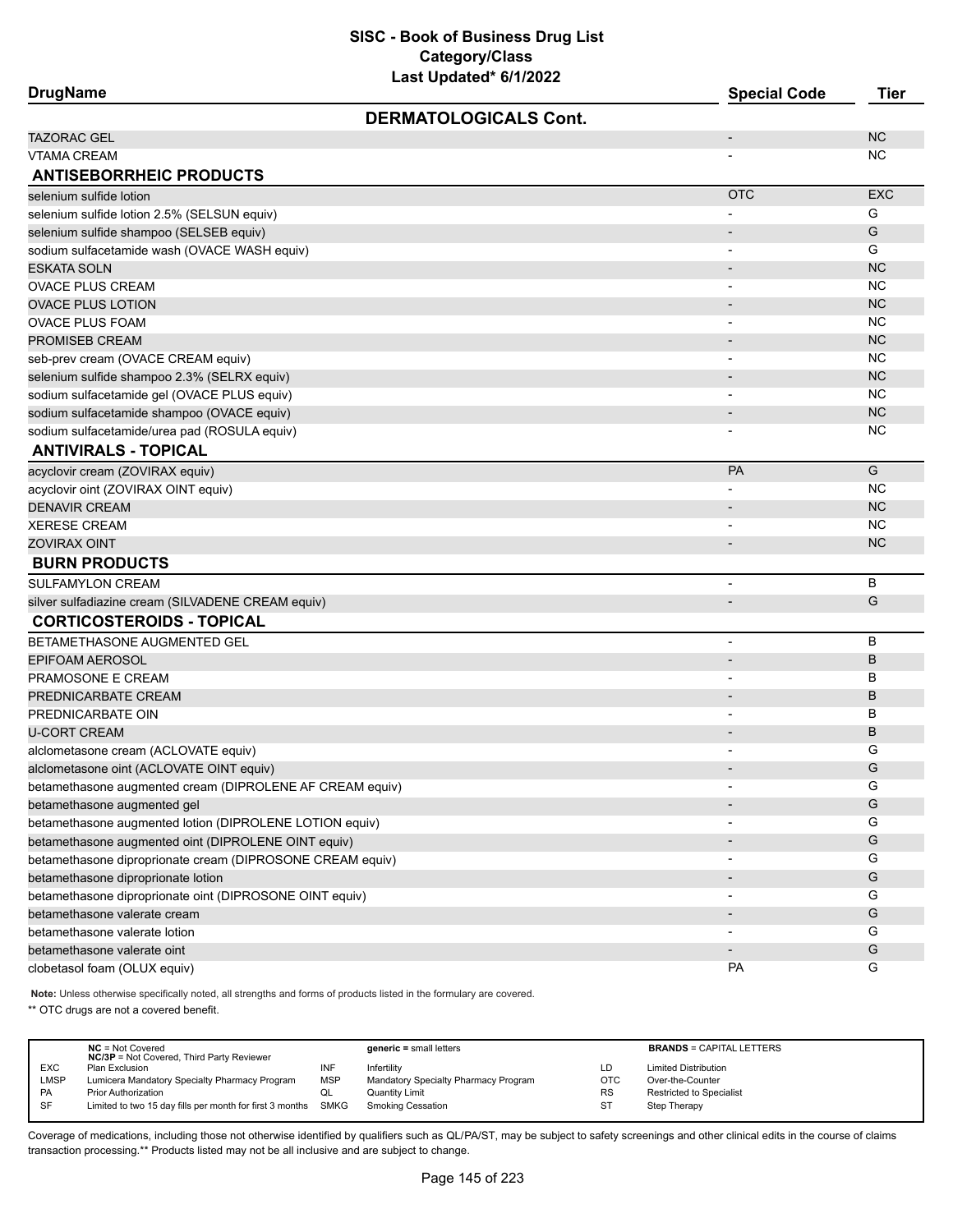| <b>DrugName</b>                                           | $=$ ast opaatoa o $\overline{a}$ | <b>Special Code</b>          | <b>Tier</b> |
|-----------------------------------------------------------|----------------------------------|------------------------------|-------------|
|                                                           | <b>DERMATOLOGICALS Cont.</b>     |                              |             |
| <b>TAZORAC GEL</b>                                        |                                  | $\overline{\phantom{a}}$     | <b>NC</b>   |
| VTAMA CREAM                                               |                                  |                              | ΝC          |
| <b>ANTISEBORRHEIC PRODUCTS</b>                            |                                  |                              |             |
| selenium sulfide lotion                                   |                                  | <b>OTC</b>                   | <b>EXC</b>  |
| selenium sulfide lotion 2.5% (SELSUN equiv)               |                                  | $\overline{a}$               | G           |
| selenium sulfide shampoo (SELSEB equiv)                   |                                  |                              | G           |
| sodium sulfacetamide wash (OVACE WASH equiv)              |                                  |                              | G           |
| <b>ESKATA SOLN</b>                                        |                                  | $\overline{\phantom{0}}$     | <b>NC</b>   |
| <b>OVACE PLUS CREAM</b>                                   |                                  | $\overline{\phantom{a}}$     | NC          |
| <b>OVACE PLUS LOTION</b>                                  |                                  |                              | <b>NC</b>   |
| <b>OVACE PLUS FOAM</b>                                    |                                  | $\overline{\phantom{a}}$     | <b>NC</b>   |
| PROMISEB CREAM                                            |                                  |                              | <b>NC</b>   |
| seb-prev cream (OVACE CREAM equiv)                        |                                  | $\overline{\phantom{a}}$     | NC          |
| selenium sulfide shampoo 2.3% (SELRX equiv)               |                                  | $\overline{\phantom{0}}$     | <b>NC</b>   |
| sodium sulfacetamide gel (OVACE PLUS equiv)               |                                  |                              | <b>NC</b>   |
| sodium sulfacetamide shampoo (OVACE equiv)                |                                  |                              | <b>NC</b>   |
| sodium sulfacetamide/urea pad (ROSULA equiv)              |                                  |                              | ΝC          |
| <b>ANTIVIRALS - TOPICAL</b>                               |                                  |                              |             |
| acyclovir cream (ZOVIRAX equiv)                           |                                  | <b>PA</b>                    | G           |
| acyclovir oint (ZOVIRAX OINT equiv)                       |                                  |                              | NC          |
| <b>DENAVIR CREAM</b>                                      |                                  |                              | <b>NC</b>   |
| <b>XERESE CREAM</b>                                       |                                  |                              | <b>NC</b>   |
| <b>ZOVIRAX OINT</b>                                       |                                  | $\overline{a}$               | <b>NC</b>   |
| <b>BURN PRODUCTS</b>                                      |                                  |                              |             |
| <b>SULFAMYLON CREAM</b>                                   |                                  | $\overline{\phantom{0}}$     | B           |
| silver sulfadiazine cream (SILVADENE CREAM equiv)         |                                  | $\overline{\phantom{a}}$     | G           |
| <b>CORTICOSTEROIDS - TOPICAL</b>                          |                                  |                              |             |
| BETAMETHASONE AUGMENTED GEL                               |                                  | ÷                            | B           |
| <b>EPIFOAM AEROSOL</b>                                    |                                  |                              | B           |
| PRAMOSONE E CREAM                                         |                                  | $\overline{\phantom{a}}$     | В           |
| PREDNICARBATE CREAM                                       |                                  | $\overline{\phantom{a}}$     | B           |
| PREDNICARBATE OIN                                         |                                  |                              | B           |
| <b>U-CORT CREAM</b>                                       |                                  | $\overline{\phantom{a}}$     | B           |
| alclometasone cream (ACLOVATE equiv)                      |                                  |                              | G           |
| alclometasone oint (ACLOVATE OINT equiv)                  |                                  |                              | G           |
| betamethasone augmented cream (DIPROLENE AF CREAM equiv)  |                                  |                              | G           |
| betamethasone augmented gel                               |                                  |                              | G           |
| betamethasone augmented lotion (DIPROLENE LOTION equiv)   |                                  | $\blacksquare$               | G           |
| betamethasone augmented oint (DIPROLENE OINT equiv)       |                                  | $\qquad \qquad \blacksquare$ | G           |
| betamethasone diproprionate cream (DIPROSONE CREAM equiv) |                                  | $\overline{\phantom{a}}$     | G           |
| betamethasone diproprionate lotion                        |                                  |                              | G           |
| betamethasone diproprionate oint (DIPROSONE OINT equiv)   |                                  | $\blacksquare$               | G           |
| betamethasone valerate cream                              |                                  |                              | G           |
| betamethasone valerate lotion                             |                                  | -                            | G           |
| betamethasone valerate oint                               |                                  |                              | G           |
| clobetasol foam (OLUX equiv)                              |                                  | <b>PA</b>                    | G           |
|                                                           |                                  |                              |             |

**Note:** Unless otherwise specifically noted, all strengths and forms of products listed in the formulary are covered.

\*\* OTC drugs are not a covered benefit.

|             | $NC = Not Covered$<br><b>NC/3P</b> = Not Covered, Third Party Reviewer |            | $generic = small letters$            |            | <b>BRANDS = CAPITAL LETTERS</b> |
|-------------|------------------------------------------------------------------------|------------|--------------------------------------|------------|---------------------------------|
| <b>EXC</b>  | Plan Exclusion                                                         | INF        | Infertility                          | LD         | <b>Limited Distribution</b>     |
| <b>LMSP</b> | Lumicera Mandatory Specialty Pharmacy Program                          | <b>MSP</b> | Mandatory Specialty Pharmacy Program | <b>OTC</b> | Over-the-Counter                |
| <b>PA</b>   | <b>Prior Authorization</b>                                             | QL         | Quantity Limit                       | <b>RS</b>  | <b>Restricted to Specialist</b> |
| SF          | Limited to two 15 day fills per month for first 3 months SMKG          |            | Smoking Cessation                    | ST         | Step Therapy                    |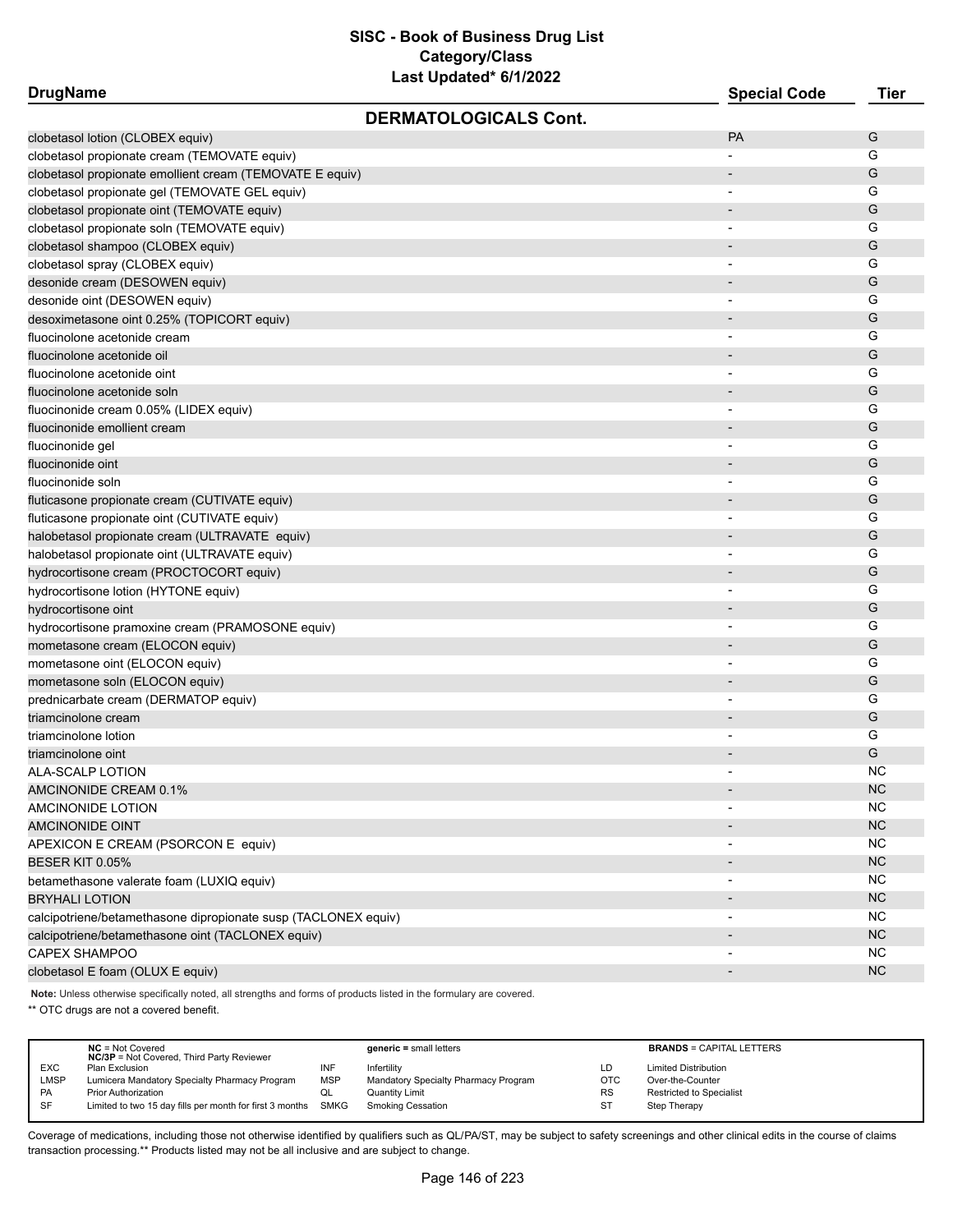| <b>DrugName</b>                                                |                              | <b>Special Code</b>      | <b>Tier</b> |
|----------------------------------------------------------------|------------------------------|--------------------------|-------------|
|                                                                | <b>DERMATOLOGICALS Cont.</b> |                          |             |
| clobetasol lotion (CLOBEX equiv)                               |                              | <b>PA</b>                | G           |
| clobetasol propionate cream (TEMOVATE equiv)                   |                              |                          | G           |
| clobetasol propionate emollient cream (TEMOVATE E equiv)       |                              |                          | G           |
| clobetasol propionate gel (TEMOVATE GEL equiv)                 |                              |                          | G           |
| clobetasol propionate oint (TEMOVATE equiv)                    |                              |                          | G           |
| clobetasol propionate soln (TEMOVATE equiv)                    |                              |                          | G           |
| clobetasol shampoo (CLOBEX equiv)                              |                              | $\overline{\phantom{0}}$ | G           |
| clobetasol spray (CLOBEX equiv)                                |                              | $\overline{\phantom{a}}$ | G           |
| desonide cream (DESOWEN equiv)                                 |                              |                          | G           |
| desonide oint (DESOWEN equiv)                                  |                              |                          | G           |
| desoximetasone oint 0.25% (TOPICORT equiv)                     |                              |                          | G           |
| fluocinolone acetonide cream                                   |                              |                          | G           |
| fluocinolone acetonide oil                                     |                              |                          | G           |
| fluocinolone acetonide oint                                    |                              |                          | G           |
| fluocinolone acetonide soln                                    |                              |                          | G           |
| fluocinonide cream 0.05% (LIDEX equiv)                         |                              |                          | G           |
| fluocinonide emollient cream                                   |                              |                          | G           |
| fluocinonide gel                                               |                              |                          | G           |
| fluocinonide oint                                              |                              |                          | G           |
| fluocinonide soln                                              |                              |                          | G           |
| fluticasone propionate cream (CUTIVATE equiv)                  |                              |                          | G           |
| fluticasone propionate oint (CUTIVATE equiv)                   |                              |                          | G           |
| halobetasol propionate cream (ULTRAVATE equiv)                 |                              |                          | G           |
| halobetasol propionate oint (ULTRAVATE equiv)                  |                              | $\blacksquare$           | G           |
| hydrocortisone cream (PROCTOCORT equiv)                        |                              |                          | G           |
| hydrocortisone lotion (HYTONE equiv)                           |                              |                          | G           |
| hydrocortisone oint                                            |                              |                          | G           |
| hydrocortisone pramoxine cream (PRAMOSONE equiv)               |                              |                          | G           |
| mometasone cream (ELOCON equiv)                                |                              |                          | G           |
| mometasone oint (ELOCON equiv)                                 |                              |                          | G           |
| mometasone soln (ELOCON equiv)                                 |                              |                          | G           |
| prednicarbate cream (DERMATOP equiv)                           |                              | $\overline{\phantom{a}}$ | G           |
| triamcinolone cream                                            |                              |                          | G           |
| triamcinolone lotion                                           |                              | $\overline{\phantom{a}}$ | G           |
| triamcinolone oint                                             |                              |                          | G           |
| ALA-SCALP LOTION                                               |                              |                          | NC.         |
| AMCINONIDE CREAM 0.1%                                          |                              |                          | <b>NC</b>   |
| AMCINONIDE LOTION                                              |                              |                          | <b>NC</b>   |
| <b>AMCINONIDE OINT</b>                                         |                              |                          | NC          |
| APEXICON E CREAM (PSORCON E equiv)                             |                              |                          | <b>NC</b>   |
| <b>BESER KIT 0.05%</b>                                         |                              |                          | NC          |
| betamethasone valerate foam (LUXIQ equiv)                      |                              | $\overline{\phantom{a}}$ | <b>NC</b>   |
| <b>BRYHALI LOTION</b>                                          |                              |                          | <b>NC</b>   |
| calcipotriene/betamethasone dipropionate susp (TACLONEX equiv) |                              |                          | NC.         |
| calcipotriene/betamethasone oint (TACLONEX equiv)              |                              |                          | NC          |
| <b>CAPEX SHAMPOO</b>                                           |                              |                          | <b>NC</b>   |
| clobetasol E foam (OLUX E equiv)                               |                              |                          | NC          |

**Note:** Unless otherwise specifically noted, all strengths and forms of products listed in the formulary are covered.

\*\* OTC drugs are not a covered benefit.

|             | $NC = Not Covered$<br><b>NC/3P</b> = Not Covered, Third Party Reviewer |            | $generic = small letters$            |            | <b>BRANDS = CAPITAL LETTERS</b> |
|-------------|------------------------------------------------------------------------|------------|--------------------------------------|------------|---------------------------------|
| <b>EXC</b>  | Plan Exclusion                                                         | INF        | Infertility                          | LD         | <b>Limited Distribution</b>     |
| <b>LMSP</b> | Lumicera Mandatory Specialty Pharmacy Program                          | <b>MSP</b> | Mandatory Specialty Pharmacy Program | <b>OTC</b> | Over-the-Counter                |
| <b>PA</b>   | <b>Prior Authorization</b>                                             | QL         | Quantity Limit                       | <b>RS</b>  | <b>Restricted to Specialist</b> |
| SF          | Limited to two 15 day fills per month for first 3 months SMKG          |            | <b>Smoking Cessation</b>             | ST         | Step Therapy                    |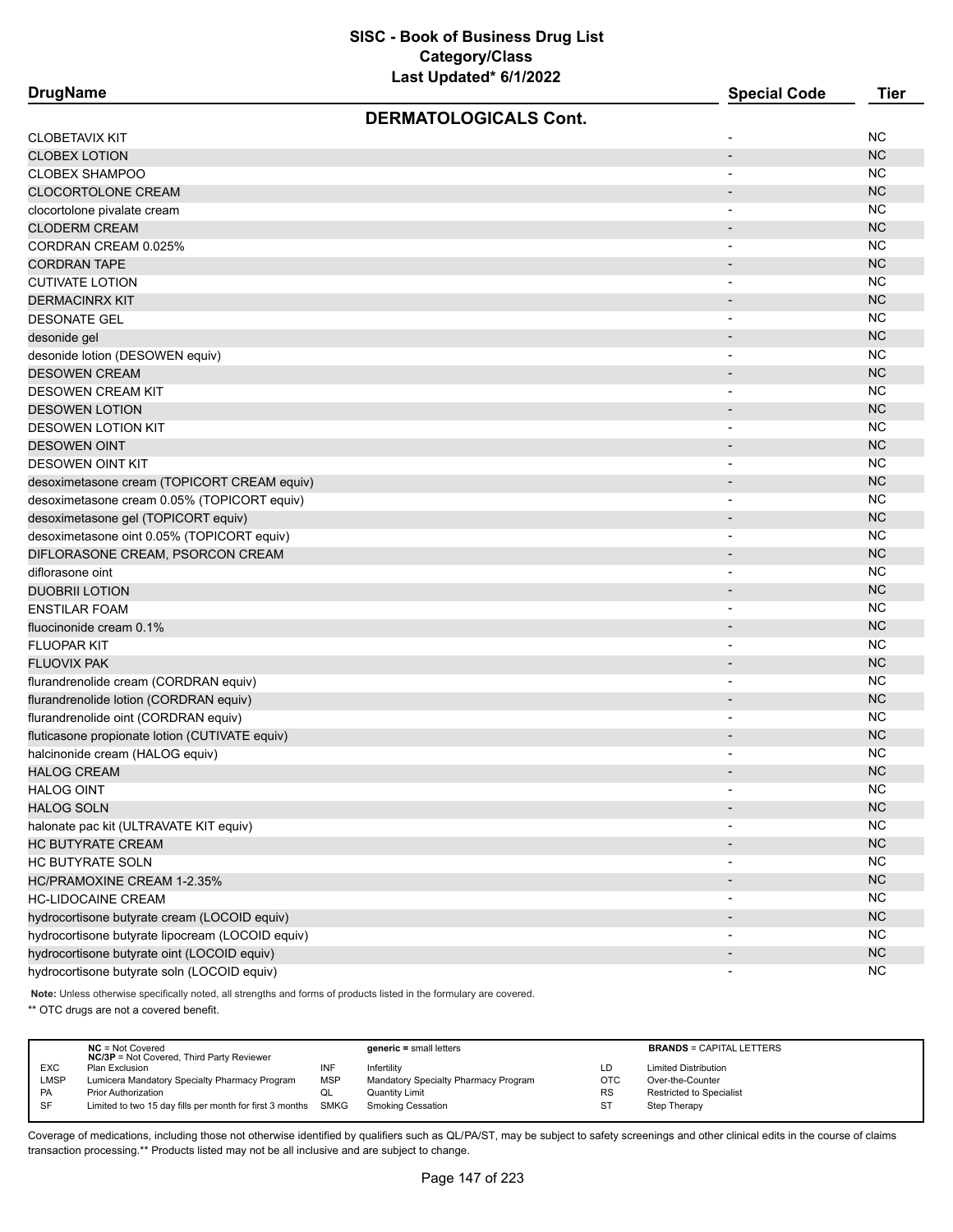**DrugName Special Code Tier** 

| <b>DERMATOLOGICALS Cont.</b>                     |                              |               |
|--------------------------------------------------|------------------------------|---------------|
| CLOBETAVIX KIT                                   |                              | <b>NC</b>     |
| <b>CLOBEX LOTION</b>                             | $\overline{a}$               | <b>NC</b>     |
| <b>CLOBEX SHAMPOO</b>                            | $\qquad \qquad \blacksquare$ | <b>NC</b>     |
| CLOCORTOLONE CREAM                               | $\overline{\phantom{a}}$     | <b>NC</b>     |
| clocortolone pivalate cream                      | $\overline{a}$               | <b>NC</b>     |
| <b>CLODERM CREAM</b>                             |                              | <b>NC</b>     |
| CORDRAN CREAM 0.025%                             | $\overline{\phantom{0}}$     | <b>NC</b>     |
| <b>CORDRAN TAPE</b>                              | $\qquad \qquad \blacksquare$ | <b>NC</b>     |
| <b>CUTIVATE LOTION</b>                           | $\blacksquare$               | <b>NC</b>     |
| <b>DERMACINRX KIT</b>                            | $\overline{\phantom{a}}$     | <b>NC</b>     |
| <b>DESONATE GEL</b>                              | $\overline{a}$               | <b>NC</b>     |
| desonide gel                                     | $\overline{\phantom{a}}$     | <b>NC</b>     |
| desonide lotion (DESOWEN equiv)                  | $\overline{\phantom{0}}$     | <b>NC</b>     |
| <b>DESOWEN CREAM</b>                             | $\overline{\phantom{0}}$     | <b>NC</b>     |
| DESOWEN CREAM KIT                                | $\overline{a}$               | <b>NC</b>     |
| <b>DESOWEN LOTION</b>                            | $\overline{a}$               | <b>NC</b>     |
| DESOWEN LOTION KIT                               | $\overline{\phantom{0}}$     | <b>NC</b>     |
| <b>DESOWEN OINT</b>                              | $\overline{\phantom{a}}$     | <b>NC</b>     |
| DESOWEN OINT KIT                                 | $\overline{\phantom{a}}$     | <b>NC</b>     |
| desoximetasone cream (TOPICORT CREAM equiv)      | $\overline{\phantom{0}}$     | <b>NC</b>     |
| desoximetasone cream 0.05% (TOPICORT equiv)      | $\overline{\phantom{0}}$     | <b>NC</b>     |
| desoximetasone gel (TOPICORT equiv)              | $\overline{\phantom{a}}$     | <b>NC</b>     |
| desoximetasone oint 0.05% (TOPICORT equiv)       | $\overline{a}$               | <b>NC</b>     |
| DIFLORASONE CREAM, PSORCON CREAM                 | $\overline{\phantom{0}}$     | <b>NC</b>     |
| diflorasone oint                                 | $\overline{a}$               | <b>NC</b>     |
| <b>DUOBRII LOTION</b>                            | $\overline{\phantom{a}}$     | <b>NC</b>     |
| ENSTILAR FOAM                                    | $\overline{\phantom{a}}$     | <b>NC</b>     |
| fluocinonide cream 0.1%                          | $\overline{\phantom{a}}$     | <b>NC</b>     |
| <b>FLUOPAR KIT</b>                               | $\qquad \qquad \blacksquare$ | <b>NC</b>     |
| FLUOVIX PAK                                      | $\blacksquare$               | <b>NC</b>     |
| flurandrenolide cream (CORDRAN equiv)            | $\overline{\phantom{0}}$     | <b>NC</b>     |
| flurandrenolide lotion (CORDRAN equiv)           | $\overline{\phantom{m}}$     | <b>NC</b>     |
| flurandrenolide oint (CORDRAN equiv)             |                              | <b>NC</b>     |
| fluticasone propionate lotion (CUTIVATE equiv)   | $\overline{\phantom{m}}$     | <b>NC</b>     |
| halcinonide cream (HALOG equiv)                  | $\overline{\phantom{0}}$     | <b>NC</b>     |
| <b>HALOG CREAM</b>                               | $\overline{\phantom{m}}$     | <b>NC</b>     |
| <b>HALOG OINT</b>                                | $\qquad \qquad \blacksquare$ | <b>NC</b>     |
| HALOG SOLN                                       | $\overline{\phantom{0}}$     | <sub>NC</sub> |
| halonate pac kit (ULTRAVATE KIT equiv)           | $\overline{\phantom{0}}$     | <b>NC</b>     |
| HC BUTYRATE CREAM                                | $\overline{\phantom{a}}$     | NC            |
| HC BUTYRATE SOLN                                 |                              | <b>NC</b>     |
| HC/PRAMOXINE CREAM 1-2.35%                       | $\overline{\phantom{a}}$     | NC            |
| <b>HC-LIDOCAINE CREAM</b>                        | $\overline{\phantom{a}}$     | <b>NC</b>     |
| hydrocortisone butyrate cream (LOCOID equiv)     | $\overline{\phantom{a}}$     | NC            |
| hydrocortisone butyrate lipocream (LOCOID equiv) | $\overline{\phantom{a}}$     | NC            |
| hydrocortisone butyrate oint (LOCOID equiv)      | $\overline{\phantom{a}}$     | NC            |
| hydrocortisone butyrate soln (LOCOID equiv)      | $\overline{\phantom{a}}$     | <b>NC</b>     |

**Note:** Unless otherwise specifically noted, all strengths and forms of products listed in the formulary are covered.

\*\* OTC drugs are not a covered benefit.

|             | $NC = Not Covered$<br><b>NC/3P</b> = Not Covered, Third Party Reviewer |            | $generic = small letters$            |            | <b>BRANDS = CAPITAL LETTERS</b> |
|-------------|------------------------------------------------------------------------|------------|--------------------------------------|------------|---------------------------------|
| <b>EXC</b>  | Plan Exclusion                                                         | INF        | Infertility                          | LD         | <b>Limited Distribution</b>     |
| <b>LMSP</b> | Lumicera Mandatory Specialty Pharmacy Program                          | <b>MSP</b> | Mandatory Specialty Pharmacy Program | <b>OTC</b> | Over-the-Counter                |
| <b>PA</b>   | <b>Prior Authorization</b>                                             | ◡          | Quantity Limit                       | <b>RS</b>  | Restricted to Specialist        |
| SF          | Limited to two 15 day fills per month for first 3 months SMKG          |            | Smoking Cessation                    | S1         | Step Therapy                    |
|             |                                                                        |            |                                      |            |                                 |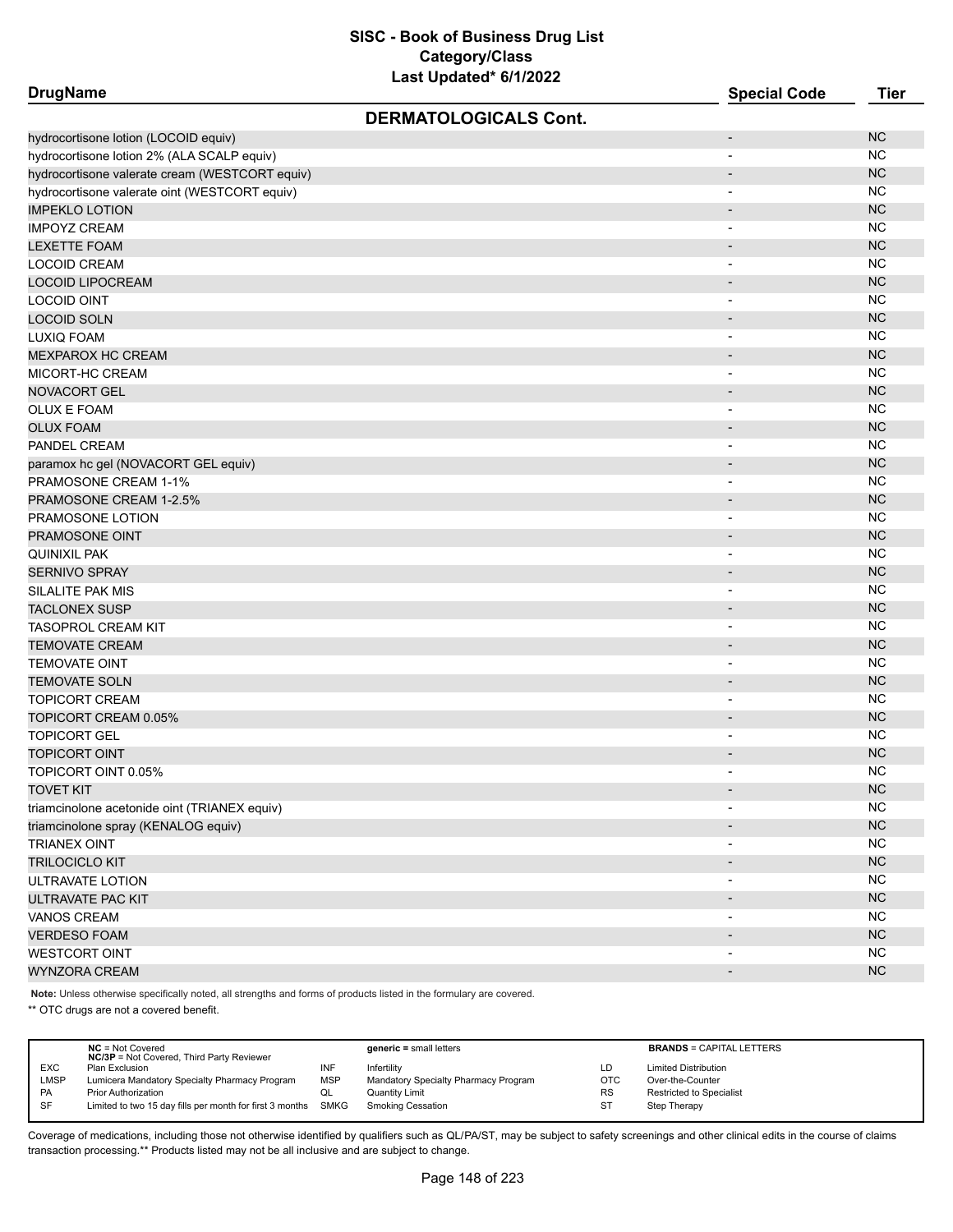| <b>DrugName</b>                                |                              | <b>Special Code</b>      | <b>Tier</b> |
|------------------------------------------------|------------------------------|--------------------------|-------------|
|                                                | <b>DERMATOLOGICALS Cont.</b> |                          |             |
| hydrocortisone lotion (LOCOID equiv)           |                              | $\overline{\phantom{a}}$ | <b>NC</b>   |
| hydrocortisone lotion 2% (ALA SCALP equiv)     |                              | $\overline{\phantom{a}}$ | <b>NC</b>   |
| hydrocortisone valerate cream (WESTCORT equiv) |                              | $\overline{\phantom{a}}$ | <b>NC</b>   |
| hydrocortisone valerate oint (WESTCORT equiv)  |                              |                          | <b>NC</b>   |
| <b>IMPEKLO LOTION</b>                          |                              |                          | <b>NC</b>   |
| <b>IMPOYZ CREAM</b>                            |                              | $\overline{\phantom{0}}$ | <b>NC</b>   |
| <b>LEXETTE FOAM</b>                            |                              | $\overline{\phantom{a}}$ | NC          |
| <b>LOCOID CREAM</b>                            |                              | $\overline{\phantom{a}}$ | <b>NC</b>   |
| <b>LOCOID LIPOCREAM</b>                        |                              |                          | <b>NC</b>   |
| LOCOID OINT                                    |                              | $\overline{\phantom{0}}$ | <b>NC</b>   |
| <b>LOCOID SOLN</b>                             |                              |                          | <b>NC</b>   |
| LUXIQ FOAM                                     |                              |                          | <b>NC</b>   |
| <b>MEXPAROX HC CREAM</b>                       |                              |                          | <b>NC</b>   |
| MICORT-HC CREAM                                |                              |                          | <b>NC</b>   |
| <b>NOVACORT GEL</b>                            |                              | $\overline{\phantom{a}}$ | <b>NC</b>   |
| <b>OLUX E FOAM</b>                             |                              | $\blacksquare$           | NC          |
| <b>OLUX FOAM</b>                               |                              | $\blacksquare$           | <b>NC</b>   |
| PANDEL CREAM                                   |                              |                          | NC          |
| paramox hc gel (NOVACORT GEL equiv)            |                              | $\overline{\phantom{a}}$ | <b>NC</b>   |
| PRAMOSONE CREAM 1-1%                           |                              | $\overline{\phantom{a}}$ | <b>NC</b>   |
| PRAMOSONE CREAM 1-2.5%                         |                              |                          | <b>NC</b>   |
| PRAMOSONE LOTION                               |                              |                          | <b>NC</b>   |
| PRAMOSONE OINT                                 |                              | $\overline{\phantom{a}}$ | <b>NC</b>   |
| <b>QUINIXIL PAK</b>                            |                              | $\blacksquare$           | <b>NC</b>   |
| <b>SERNIVO SPRAY</b>                           |                              | $\overline{\phantom{a}}$ | <b>NC</b>   |
| SILALITE PAK MIS                               |                              | $\overline{\phantom{a}}$ | <b>NC</b>   |
| <b>TACLONEX SUSP</b>                           |                              | $\overline{\phantom{a}}$ | <b>NC</b>   |
| <b>TASOPROL CREAM KIT</b>                      |                              | $\overline{\phantom{a}}$ | <b>NC</b>   |
| <b>TEMOVATE CREAM</b>                          |                              |                          | <b>NC</b>   |
| <b>TEMOVATE OINT</b>                           |                              |                          | <b>NC</b>   |
| <b>TEMOVATE SOLN</b>                           |                              |                          | <b>NC</b>   |
| <b>TOPICORT CREAM</b>                          |                              | $\blacksquare$           | <b>NC</b>   |
| TOPICORT CREAM 0.05%                           |                              | $\overline{\phantom{a}}$ | NC          |
| <b>TOPICORT GEL</b>                            |                              | $\overline{\phantom{a}}$ | <b>NC</b>   |
| <b>TOPICORT OINT</b>                           |                              |                          | <b>NC</b>   |
| TOPICORT OINT 0.05%                            |                              | $\blacksquare$           | <b>NC</b>   |
| <b>TOVET KIT</b>                               |                              |                          | NC          |
| triamcinolone acetonide oint (TRIANEX equiv)   |                              |                          | <b>NC</b>   |
| triamcinolone spray (KENALOG equiv)            |                              |                          | NC          |
| <b>TRIANEX OINT</b>                            |                              | $\overline{\phantom{a}}$ | <b>NC</b>   |
| <b>TRILOCICLO KIT</b>                          |                              | $\overline{\phantom{a}}$ | NC          |
| ULTRAVATE LOTION                               |                              | $\overline{\phantom{a}}$ | <b>NC</b>   |
| ULTRAVATE PAC KIT                              |                              |                          | NC          |
| <b>VANOS CREAM</b>                             |                              | $\overline{\phantom{a}}$ | <b>NC</b>   |
| <b>VERDESO FOAM</b>                            |                              |                          | NC          |
| <b>WESTCORT OINT</b>                           |                              | $\overline{\phantom{a}}$ | NC          |
| <b>WYNZORA CREAM</b>                           |                              |                          | NC          |

**Note:** Unless otherwise specifically noted, all strengths and forms of products listed in the formulary are covered.

\*\* OTC drugs are not a covered benefit.

|             | $NC = Not Covered$<br><b>NC/3P</b> = Not Covered, Third Party Reviewer |            | $generic = small letters$            |            | <b>BRANDS = CAPITAL LETTERS</b> |
|-------------|------------------------------------------------------------------------|------------|--------------------------------------|------------|---------------------------------|
| <b>EXC</b>  | Plan Exclusion                                                         | INF        | Infertility                          | LD         | <b>Limited Distribution</b>     |
| <b>LMSP</b> | Lumicera Mandatory Specialty Pharmacy Program                          | <b>MSP</b> | Mandatory Specialty Pharmacy Program | <b>OTC</b> | Over-the-Counter                |
| <b>PA</b>   | Prior Authorization                                                    | QL         | <b>Quantity Limit</b>                | <b>RS</b>  | <b>Restricted to Specialist</b> |
| <b>SF</b>   | Limited to two 15 day fills per month for first 3 months SMKG          |            | <b>Smoking Cessation</b>             |            | Step Therapy                    |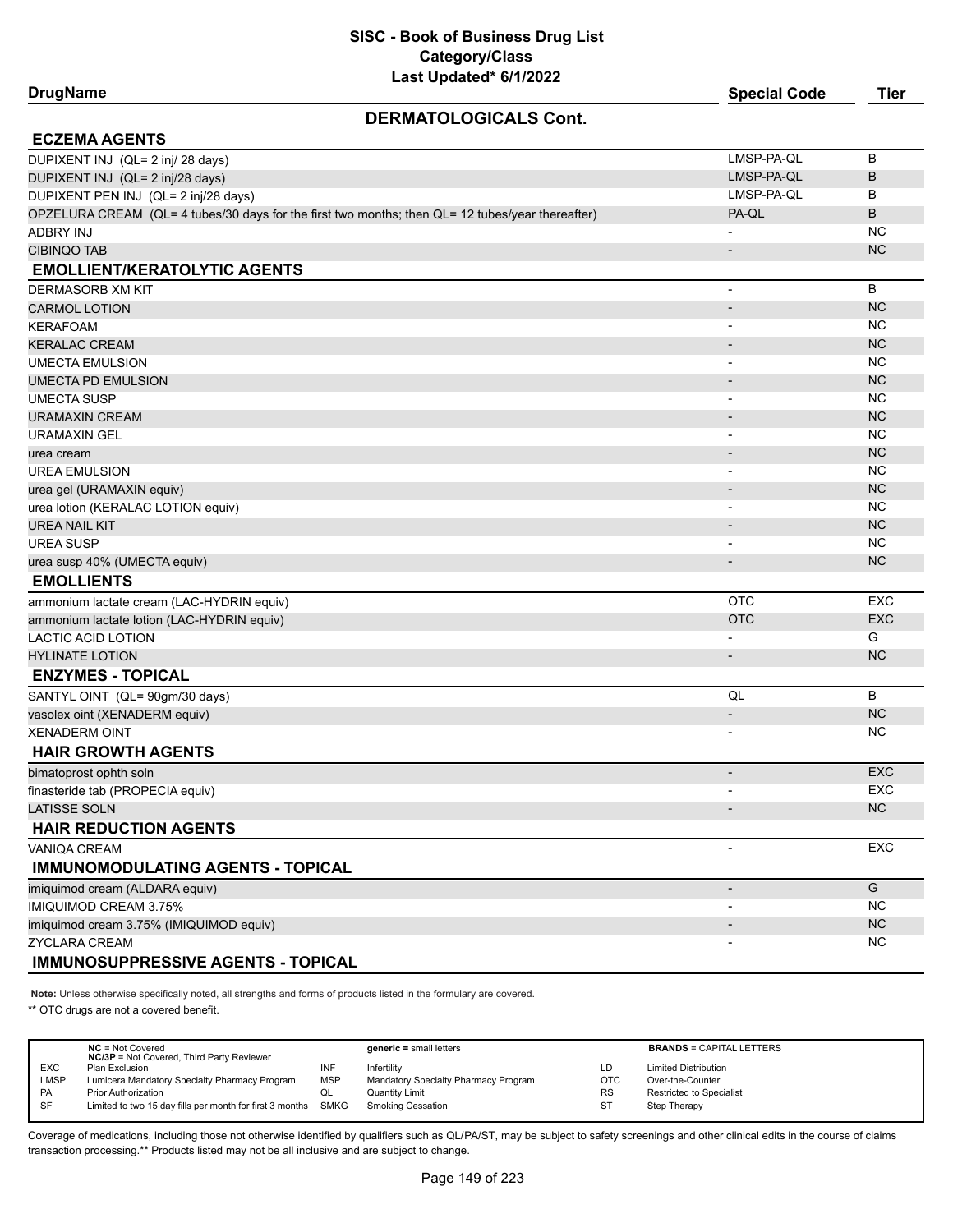#### **DERMATOLOGICALS Cont.**

| JENIIIAI ULUUIUALO UUIII.                                                                        |                              |            |
|--------------------------------------------------------------------------------------------------|------------------------------|------------|
| <b>ECZEMA AGENTS</b>                                                                             |                              |            |
| DUPIXENT INJ (QL= 2 inj/ 28 days)                                                                | LMSP-PA-QL                   | B          |
| DUPIXENT INJ (QL= 2 inj/28 days)                                                                 | LMSP-PA-QL                   | B          |
| DUPIXENT PEN INJ (QL= 2 inj/28 days)                                                             | LMSP-PA-QL                   | B          |
| OPZELURA CREAM (QL= 4 tubes/30 days for the first two months; then QL= 12 tubes/year thereafter) | PA-QL                        | B          |
| <b>ADBRY INJ</b>                                                                                 | $\overline{\phantom{0}}$     | <b>NC</b>  |
| <b>CIBINQO TAB</b>                                                                               | $\overline{\phantom{a}}$     | <b>NC</b>  |
| <b>EMOLLIENT/KERATOLYTIC AGENTS</b>                                                              |                              |            |
| <b>DERMASORB XM KIT</b>                                                                          | $\overline{a}$               | B          |
| <b>CARMOL LOTION</b>                                                                             | $\overline{a}$               | <b>NC</b>  |
| <b>KERAFOAM</b>                                                                                  | $\overline{\phantom{a}}$     | <b>NC</b>  |
| <b>KERALAC CREAM</b>                                                                             |                              | <b>NC</b>  |
| <b>UMECTA EMULSION</b>                                                                           | $\overline{\phantom{0}}$     | <b>NC</b>  |
| UMECTA PD EMULSION                                                                               |                              | <b>NC</b>  |
| <b>UMECTA SUSP</b>                                                                               | $\overline{\phantom{0}}$     | <b>NC</b>  |
| <b>URAMAXIN CREAM</b>                                                                            | $\overline{a}$               | <b>NC</b>  |
| <b>URAMAXIN GEL</b>                                                                              | $\overline{a}$               | NC.        |
| urea cream                                                                                       | $\qquad \qquad \blacksquare$ | <b>NC</b>  |
| <b>UREA EMULSION</b>                                                                             | $\overline{\phantom{0}}$     | <b>NC</b>  |
| urea gel (URAMAXIN equiv)                                                                        |                              | <b>NC</b>  |
| urea lotion (KERALAC LOTION equiv)                                                               | $\overline{a}$               | <b>NC</b>  |
| <b>UREA NAIL KIT</b>                                                                             |                              | <b>NC</b>  |
| <b>UREA SUSP</b>                                                                                 | $\overline{a}$               | <b>NC</b>  |
| urea susp 40% (UMECTA equiv)                                                                     | $\overline{\phantom{m}}$     | <b>NC</b>  |
| <b>EMOLLIENTS</b>                                                                                |                              |            |
| ammonium lactate cream (LAC-HYDRIN equiv)                                                        | <b>OTC</b>                   | <b>EXC</b> |
| ammonium lactate lotion (LAC-HYDRIN equiv)                                                       | <b>OTC</b>                   | <b>EXC</b> |
| <b>LACTIC ACID LOTION</b>                                                                        | $\overline{a}$               | G          |
| <b>HYLINATE LOTION</b>                                                                           | $\overline{a}$               | NC         |
| <b>ENZYMES - TOPICAL</b>                                                                         |                              |            |
| SANTYL OINT (QL= 90gm/30 days)                                                                   | QL                           | B          |
| vasolex oint (XENADERM equiv)                                                                    | $\overline{\phantom{a}}$     | <b>NC</b>  |
| <b>XENADERM OINT</b>                                                                             | $\overline{\phantom{0}}$     | <b>NC</b>  |
| <b>HAIR GROWTH AGENTS</b>                                                                        |                              |            |
| bimatoprost ophth soln                                                                           | ÷.                           | <b>EXC</b> |
| finasteride tab (PROPECIA equiv)                                                                 | $\overline{\phantom{0}}$     | <b>EXC</b> |
| <b>LATISSE SOLN</b>                                                                              | $\overline{a}$               | <b>NC</b>  |
| <b>HAIR REDUCTION AGENTS</b>                                                                     |                              |            |
| <b>VANIQA CREAM</b>                                                                              | L,                           | <b>EXC</b> |
| <b>IMMUNOMODULATING AGENTS - TOPICAL</b>                                                         |                              |            |
| imiquimod cream (ALDARA equiv)                                                                   | $\overline{\phantom{a}}$     | G          |
| <b>IMIQUIMOD CREAM 3.75%</b>                                                                     | $\overline{\phantom{0}}$     | <b>NC</b>  |

#### $ZYCLARA CREAM$  NC **IMMUNOSUPPRESSIVE AGENTS - TOPICAL**

**Note:** Unless otherwise specifically noted, all strengths and forms of products listed in the formulary are covered.

\*\* OTC drugs are not a covered benefit.

|            | $NC = Not Covered$                                       |            | $generic = small letters$            |            | <b>BRANDS = CAPITAL LETTERS</b> |
|------------|----------------------------------------------------------|------------|--------------------------------------|------------|---------------------------------|
|            | <b>NC/3P</b> = Not Covered, Third Party Reviewer         |            |                                      |            |                                 |
| <b>EXC</b> | Plan Exclusion                                           | INF        | Infertility                          | LD         | <b>Limited Distribution</b>     |
| LMSP       | Lumicera Mandatory Specialty Pharmacy Program            | <b>MSP</b> | Mandatory Specialty Pharmacy Program | <b>OTC</b> | Over-the-Counter                |
| PA         | <b>Prior Authorization</b>                               | w∟         | Quantity Limit                       | <b>RS</b>  | <b>Restricted to Specialist</b> |
| SF         | Limited to two 15 day fills per month for first 3 months | SMKG       | Smoking Cessation                    | <b>ST</b>  | Step Therapy                    |
|            |                                                          |            |                                      |            |                                 |

Coverage of medications, including those not otherwise identified by qualifiers such as QL/PA/ST, may be subject to safety screenings and other clinical edits in the course of claims transaction processing.\*\* Products listed may not be all inclusive and are subject to change.

imiquimod cream 3.75% (IMIQUIMOD equiv) - NC Creative Contract of Creative Contract of Creative Contract of Cre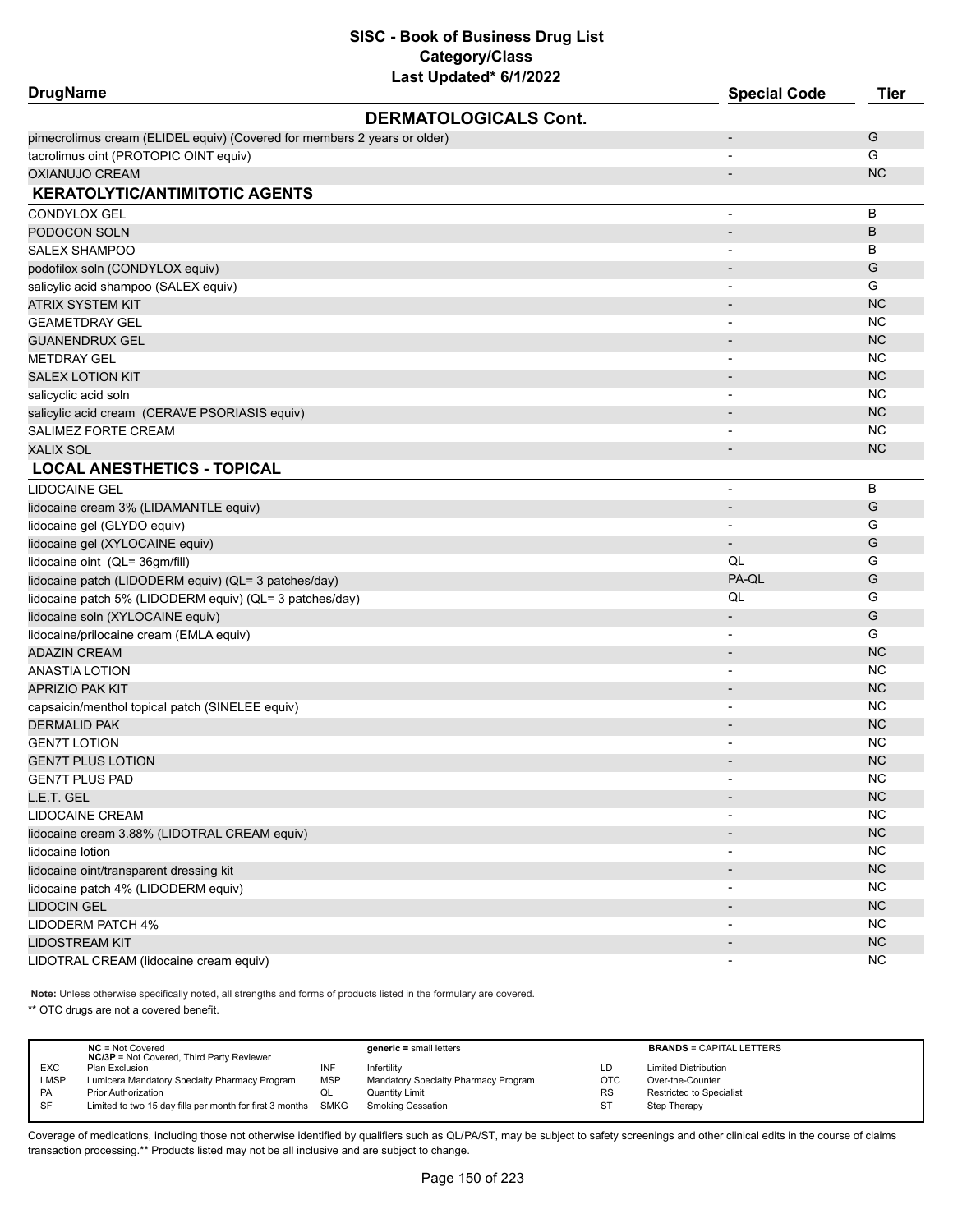| <b>DrugName</b>                                                          |                              | <b>Special Code</b>      | <b>Tier</b> |
|--------------------------------------------------------------------------|------------------------------|--------------------------|-------------|
|                                                                          | <b>DERMATOLOGICALS Cont.</b> |                          |             |
| pimecrolimus cream (ELIDEL equiv) (Covered for members 2 years or older) |                              |                          | G           |
| tacrolimus oint (PROTOPIC OINT equiv)                                    |                              |                          | G           |
| OXIANUJO CREAM                                                           |                              |                          | <b>NC</b>   |
| <b>KERATOLYTIC/ANTIMITOTIC AGENTS</b>                                    |                              |                          |             |
| CONDYLOX GEL                                                             |                              | $\overline{a}$           | В           |
| PODOCON SOLN                                                             |                              |                          | B           |
| SALEX SHAMPOO                                                            |                              |                          | В           |
| podofilox soln (CONDYLOX equiv)                                          |                              |                          | G           |
| salicylic acid shampoo (SALEX equiv)                                     |                              | $\overline{\phantom{a}}$ | G           |
| ATRIX SYSTEM KIT                                                         |                              | $\overline{\phantom{a}}$ | <b>NC</b>   |
| <b>GEAMETDRAY GEL</b>                                                    |                              |                          | <b>NC</b>   |
| GUANENDRUX GEL                                                           |                              | $\overline{\phantom{a}}$ | <b>NC</b>   |
| <b>METDRAY GEL</b>                                                       |                              | $\overline{\phantom{a}}$ | NC          |
| <b>SALEX LOTION KIT</b>                                                  |                              |                          | <b>NC</b>   |
| salicyclic acid soln                                                     |                              |                          | NC          |
| salicylic acid cream (CERAVE PSORIASIS equiv)                            |                              |                          | <b>NC</b>   |
| SALIMEZ FORTE CREAM                                                      |                              | $\overline{\phantom{0}}$ | NC          |
| XALIX SOL                                                                |                              | $\overline{\phantom{a}}$ | <b>NC</b>   |
| <b>LOCAL ANESTHETICS - TOPICAL</b>                                       |                              |                          |             |
| LIDOCAINE GEL                                                            |                              | ٠                        | B           |
| lidocaine cream 3% (LIDAMANTLE equiv)                                    |                              | $\overline{\phantom{m}}$ | G           |
| lidocaine gel (GLYDO equiv)                                              |                              |                          | G           |
| lidocaine gel (XYLOCAINE equiv)                                          |                              | $\overline{\phantom{a}}$ | G           |
| lidocaine oint (QL= 36gm/fill)                                           |                              | QL                       | G           |
| lidocaine patch (LIDODERM equiv) (QL= 3 patches/day)                     |                              | PA-QL                    | G           |
| lidocaine patch 5% (LIDODERM equiv) (QL= 3 patches/day)                  |                              | QL                       | G           |
| lidocaine soln (XYLOCAINE equiv)                                         |                              | $\overline{\phantom{a}}$ | G           |
| lidocaine/prilocaine cream (EMLA equiv)                                  |                              |                          | G           |
| ADAZIN CREAM                                                             |                              |                          | <b>NC</b>   |
| ANASTIA LOTION                                                           |                              |                          | NC          |
| <b>APRIZIO PAK KIT</b>                                                   |                              |                          | <b>NC</b>   |
| capsaicin/menthol topical patch (SINELEE equiv)                          |                              | $\blacksquare$           | NC          |
| DERMALID PAK                                                             |                              |                          | <b>NC</b>   |
| GEN7T LOTION                                                             |                              | $\overline{\phantom{0}}$ | NC          |
| <b>GEN7T PLUS LOTION</b>                                                 |                              |                          | <b>NC</b>   |
| <b>GEN7T PLUS PAD</b>                                                    |                              |                          | <b>NC</b>   |
| L.E.T. GEL                                                               |                              | $\overline{\phantom{a}}$ | NC          |
| LIDOCAINE CREAM                                                          |                              |                          | <b>NC</b>   |
| lidocaine cream 3.88% (LIDOTRAL CREAM equiv)                             |                              |                          | NC          |
| lidocaine lotion                                                         |                              |                          | <b>NC</b>   |
| lidocaine oint/transparent dressing kit                                  |                              | $\overline{\phantom{a}}$ | NC          |
| lidocaine patch 4% (LIDODERM equiv)                                      |                              | $\overline{\phantom{a}}$ | <b>NC</b>   |
| <b>LIDOCIN GEL</b>                                                       |                              |                          | NC          |
| LIDODERM PATCH 4%                                                        |                              |                          | <b>NC</b>   |
| LIDOSTREAM KIT                                                           |                              |                          | NC          |
| LIDOTRAL CREAM (lidocaine cream equiv)                                   |                              | $\overline{\phantom{0}}$ | <b>NC</b>   |

**Note:** Unless otherwise specifically noted, all strengths and forms of products listed in the formulary are covered.

\*\* OTC drugs are not a covered benefit.

|             | $NC = Not Covered$<br><b>NC/3P</b> = Not Covered, Third Party Reviewer |            | $generic = small letters$            |            | <b>BRANDS = CAPITAL LETTERS</b> |
|-------------|------------------------------------------------------------------------|------------|--------------------------------------|------------|---------------------------------|
| <b>EXC</b>  | Plan Exclusion                                                         | INF        | Infertility                          | LD         | <b>Limited Distribution</b>     |
| <b>LMSP</b> | Lumicera Mandatory Specialty Pharmacy Program                          | <b>MSP</b> | Mandatory Specialty Pharmacy Program | <b>OTC</b> | Over-the-Counter                |
| PA          | <b>Prior Authorization</b>                                             | QL         | Quantity Limit                       | <b>RS</b>  | Restricted to Specialist        |
| SF          | Limited to two 15 day fills per month for first 3 months SMKG          |            | <b>Smoking Cessation</b>             | ST         | Step Therapy                    |
|             |                                                                        |            |                                      |            |                                 |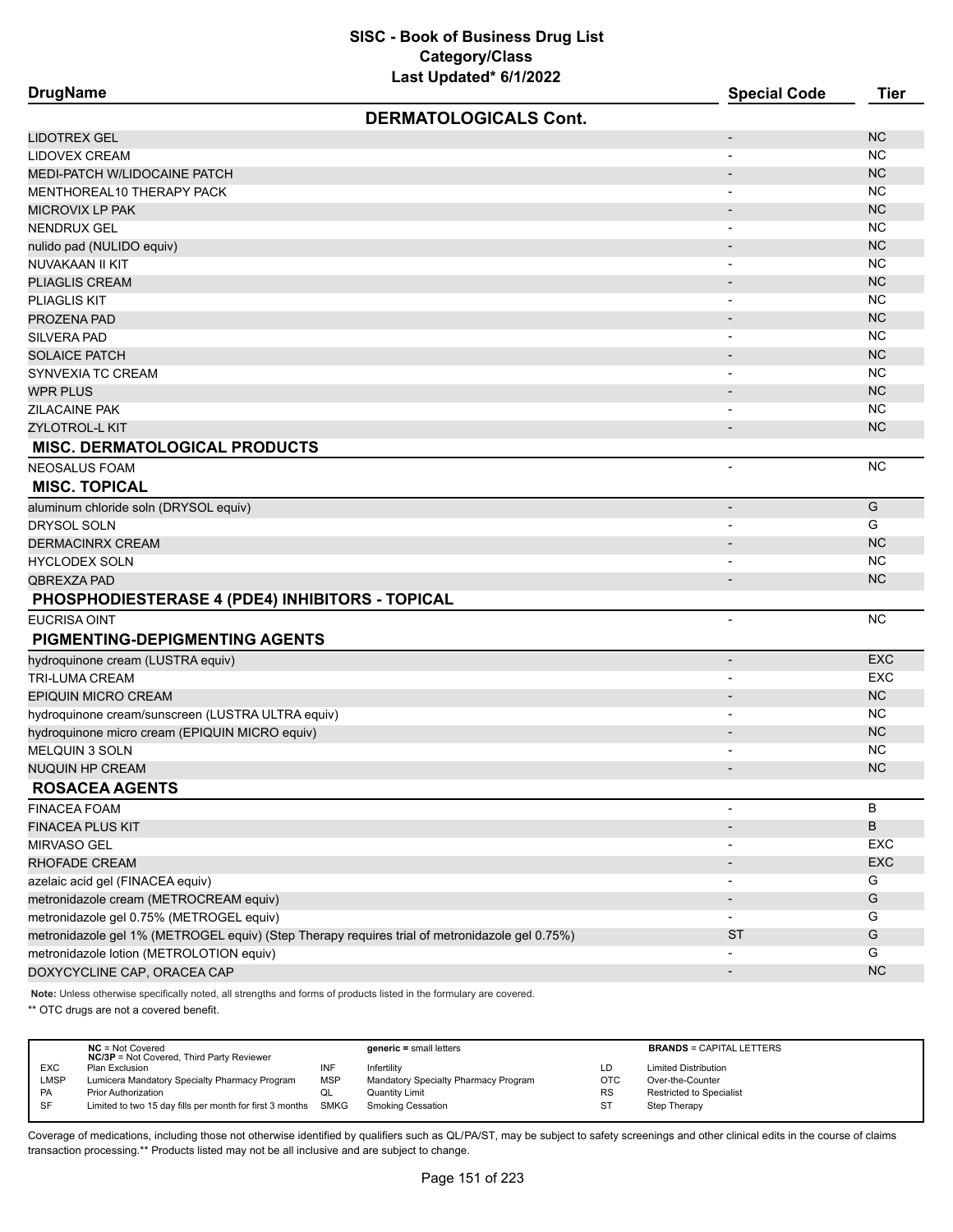**DrugName Special Code Tier DERMATOLOGICALS Cont.** LIDOTREX GEL - NC LIDOVEX CREAM NO ANNOUNCED A CHARGE AND A CHARGE AND A CHARGE AND A CHARGE AND A CHARGE AND A CHARGE AND A CHA MEDI-PATCH W/LIDOCAINE PATCH - NC NORTH - NC NORTH - NC NORTH - NC NORTH - NC NORTH - NC NORTH - NC NORTH - NC MENTHOREAL10 THERAPY PACK DESCRIPTION OF A SERIES AND THE RESERVE THAT A SERIES OF A SERIES OF A SERIES OF A SERIES OF A SERIES OF A SERIES OF A SERIES OF A SERIES OF A SERIES OF A SERIES OF A SERIES OF A SERIES OF A SERIE MICROVIX LP PAK - NC NENDRUX GEL - NC nulido pad (NULIDO equiv) and the contract of the contract of the contract of the contract of the contract of the contract of the contract of the contract of the contract of the contract of the contract of the contract of NUVAKAAN II KIT - NC PLIAGLIS CREAM - NORTH AND THE RESERVE OF THE RESERVE OF THE RESERVE OF THE RESERVE OF THE RESERVE OF THE RESERVE OF THE RESERVE OF THE RESERVE OF THE RESERVE OF THE RESERVE OF THE RESERVE OF THE RESERVE OF THE RESERVE OF PLIAGLIS KIT - NC PROZENA PAD - NCHOR - NCHOR - NCHOR - NCHOR - NCHOR - NCHOR - NCHOR - NCHOR - NCHOR - NCHOR - NCHOR - NCHOR - NC silvera pada tahun 1980. Sebagai pengerbang pada tahun 1980 sepanjang pada tahun 1980. Sebagai pada tahun 1980<br>Silvera pada tahun 1980 sepanjang pada tahun 1980 sepanjang pada tahun 1980 sepanjang pada tahun 1980 sepanjan SOLAICE PATCH - NO ONE CHANNEL CHANNEL CHANNEL CHANNEL CHANNEL CHANNEL CHANNEL CHANNEL CHANNEL CHANNEL CHANNEL SYNVEXIA TC CREAM AND THE RELEASE OF THE RELEASE OF THE RELEASE OF THE RELEASE OF THE RELEASE OF THE RELEASE OF THE RELEASE OF THE RELEASE OF THE RELEASE OF THE RELEASE OF THE RELEASE OF THE RELEASE OF THE RELEASE OF THE R WPR PLUS  $\blacksquare$ ZILACAINE PAK - NC ZYLOTROL-L KIT AND DESIGNER OP DE GENERALISME DE GENERALISME DE GENERALISME DE GENERALISME DE GENERALISME DE G **MISC. DERMATOLOGICAL PRODUCTS** NEOSALUS FOAM - NC **MISC. TOPICAL** aluminum chloride soln (DRYSOL equiv) and contact the contact of the contact of the contact of the contact of the contact of G DRYSOL SOLN - G of the contractivity of the contraction of the contraction of the contraction of the contraction of the contraction of the contraction of the contraction of the contraction of the contraction of the contraction of the cont HYCLODEX SOLN - NC QBREXZA PAD - NC **PHOSPHODIESTERASE 4 (PDE4) INHIBITORS - TOPICAL** EUCRISA OINT ANNOUNCE A CHRISTIAN ANN AN CHRISTIAN ANN AN CHRISTIAN ANN AN CHRISTIAN ANN AN CHRISTIAN ANN AN C **PIGMENTING-DEPIGMENTING AGENTS** hydroquinone cream (LUSTRA equiv) - EXC TRI-LUMA CREAM - EXC EPIQUIN MICRO CREAM - NORTH AND THE RELEASED OF THE RELEASED OF THE RELEASED OF THE RELEASED OF THE RELEASED OF THE RELEASED OF THE RELEASED OF THE RELEASED OF THE RELEASED OF THE RELEASED OF THE RELEASED OF THE RELEASED O hydroquinone cream/sunscreen (LUSTRA ULTRA equiv) and the control of the control of the control of the control of the control of the control of the control of the control of the control of the control of the control of the hydroquinone micro cream (EPIQUIN MICRO equiv) and the control of the control of the control of the control of the control of the control of the control of the control of the control of the control of the control of the co MELQUIN 3 SOLN - NC NUQUIN HP CREAM AND RESIDENCE IN A RELATION OF THE CHARGE IN A RELATION OF THE CHARGE INC. **ROSACEA AGENTS** FINACEA FOAM - B FINACEA PLUS KIT AND BELOW THE RELEASE OF THE RELEASE OF THE RELEASE OF THE RELEASE OF THE BELOW THAT BE BELOW MIRVASO GEL - EXC RHOFADE CREAM  $\blacksquare$ azelaic acid gel (FINACEA equiv) - G metronidazole cream (METROCREAM equiv) - G metronidazole gel 0.75% (METROGEL equiv) - G metronidazole gel 1% (METROGEL equiv) (Step Therapy requires trial of metronidazole gel 0.75%) ST ST ST ST ST G metronidazole lotion (METROLOTION equiv) - G DOXYCYCLINE CAP, ORACEA CAP - NC

**Note:** Unless otherwise specifically noted, all strengths and forms of products listed in the formulary are covered.

\*\* OTC drugs are not a covered benefit.

|            | $NC = Not Covered$<br><b>NC/3P</b> = Not Covered, Third Party Reviewer |            | $generic = small letters$            |           | <b>BRANDS = CAPITAL LETTERS</b> |
|------------|------------------------------------------------------------------------|------------|--------------------------------------|-----------|---------------------------------|
| <b>EXC</b> | Plan Exclusion                                                         | INF        | Infertility                          | LD        | <b>Limited Distribution</b>     |
| LMSP       | Lumicera Mandatory Specialty Pharmacy Program                          | <b>MSP</b> | Mandatory Specialty Pharmacy Program | OTC       | Over-the-Counter                |
| PA         | <b>Prior Authorization</b>                                             | ◡          | Quantity Limit                       | <b>RS</b> | <b>Restricted to Specialist</b> |
| SF         | Limited to two 15 day fills per month for first 3 months SMKG          |            | <b>Smoking Cessation</b>             | ST        | Step Therapy                    |
|            |                                                                        |            |                                      |           |                                 |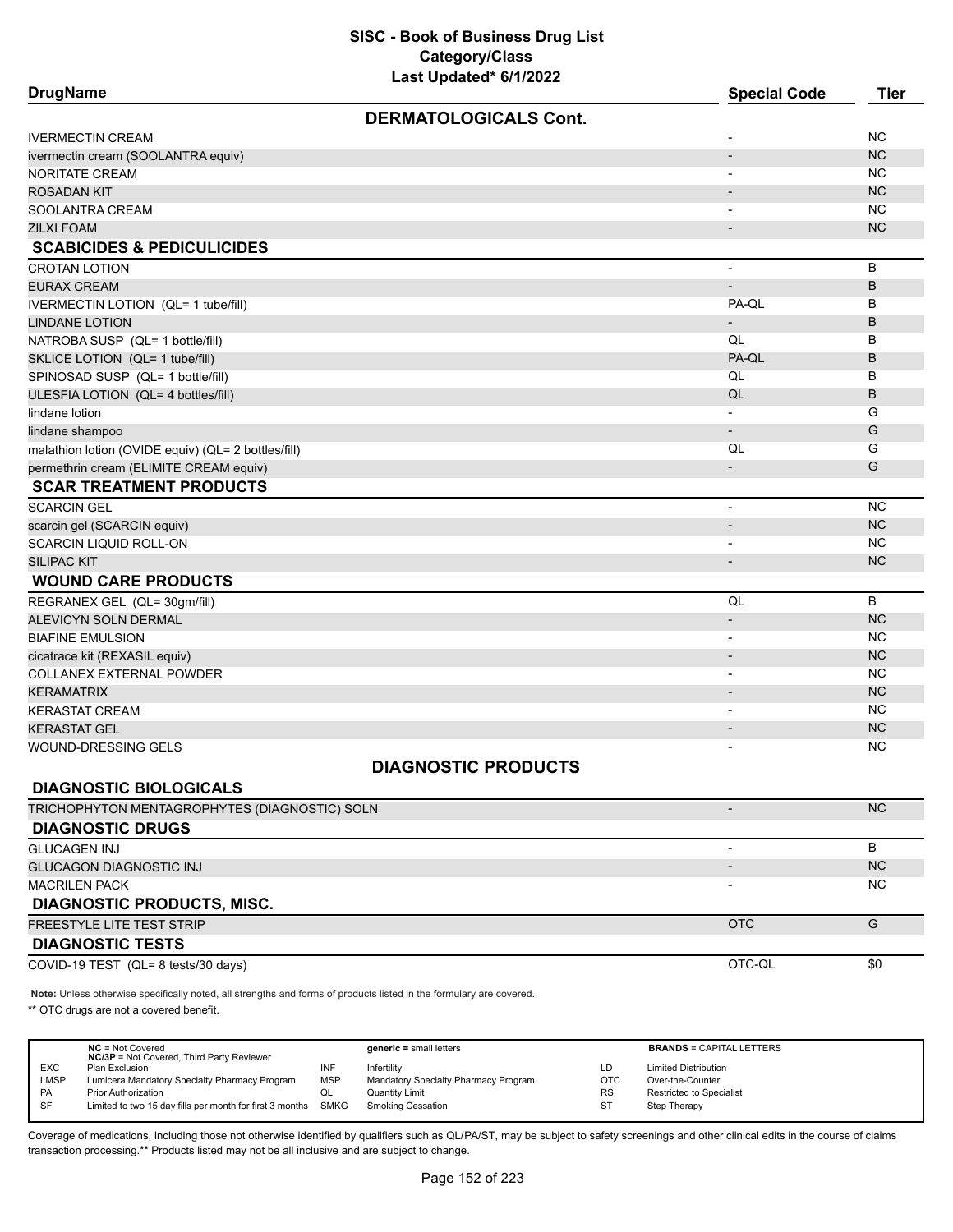| <b>DrugName</b>                                                                                                     | <b>Special Code</b>          | <b>Tier</b> |
|---------------------------------------------------------------------------------------------------------------------|------------------------------|-------------|
| <b>DERMATOLOGICALS Cont.</b>                                                                                        |                              |             |
| <b>IVERMECTIN CREAM</b>                                                                                             |                              | <b>NC</b>   |
| ivermectin cream (SOOLANTRA equiv)                                                                                  | $\qquad \qquad \blacksquare$ | <b>NC</b>   |
| <b>NORITATE CREAM</b>                                                                                               |                              | ΝC          |
| <b>ROSADAN KIT</b>                                                                                                  |                              | <b>NC</b>   |
| SOOLANTRA CREAM                                                                                                     |                              | <b>NC</b>   |
| <b>ZILXI FOAM</b>                                                                                                   |                              | <b>NC</b>   |
| <b>SCABICIDES &amp; PEDICULICIDES</b>                                                                               |                              |             |
| <b>CROTAN LOTION</b>                                                                                                | $\overline{a}$               | В           |
| <b>EURAX CREAM</b>                                                                                                  |                              | B           |
| IVERMECTIN LOTION (QL= 1 tube/fill)                                                                                 | PA-QL                        | в           |
| <b>LINDANE LOTION</b>                                                                                               |                              | B           |
| NATROBA SUSP (QL= 1 bottle/fill)                                                                                    | QL                           | в           |
| SKLICE LOTION (QL= 1 tube/fill)                                                                                     | PA-QL                        | B           |
| SPINOSAD SUSP (QL= 1 bottle/fill)                                                                                   | QL                           | B           |
| ULESFIA LOTION (QL= 4 bottles/fill)                                                                                 | QL                           | B           |
| lindane lotion                                                                                                      |                              | G           |
| lindane shampoo                                                                                                     | $\overline{\phantom{a}}$     | G           |
| malathion lotion (OVIDE equiv) (QL= 2 bottles/fill)                                                                 | QL                           | G           |
| permethrin cream (ELIMITE CREAM equiv)                                                                              |                              | G           |
| <b>SCAR TREATMENT PRODUCTS</b>                                                                                      |                              |             |
| <b>SCARCIN GEL</b>                                                                                                  |                              | <b>NC</b>   |
| scarcin gel (SCARCIN equiv)                                                                                         |                              | <b>NC</b>   |
| <b>SCARCIN LIQUID ROLL-ON</b>                                                                                       |                              | <b>NC</b>   |
| <b>SILIPAC KIT</b>                                                                                                  |                              | <b>NC</b>   |
| <b>WOUND CARE PRODUCTS</b>                                                                                          |                              |             |
| REGRANEX GEL (QL= 30gm/fill)                                                                                        | QL                           | B           |
| <b>ALEVICYN SOLN DERMAL</b>                                                                                         |                              | <b>NC</b>   |
| <b>BIAFINE EMULSION</b>                                                                                             |                              | <b>NC</b>   |
| cicatrace kit (REXASIL equiv)                                                                                       |                              | <b>NC</b>   |
| COLLANEX EXTERNAL POWDER                                                                                            |                              | <b>NC</b>   |
| <b>KERAMATRIX</b>                                                                                                   |                              | <b>NC</b>   |
| <b>KERASTAT CREAM</b>                                                                                               | $\blacksquare$               | <b>NC</b>   |
| <b>KERASTAT GEL</b>                                                                                                 |                              | <b>NC</b>   |
| <b>WOUND-DRESSING GELS</b>                                                                                          |                              | ΝC          |
| <b>DIAGNOSTIC PRODUCTS</b>                                                                                          |                              |             |
| <b>DIAGNOSTIC BIOLOGICALS</b>                                                                                       |                              |             |
| TRICHOPHYTON MENTAGROPHYTES (DIAGNOSTIC) SOLN                                                                       | $\overline{\phantom{m}}$     | <b>NC</b>   |
| <b>DIAGNOSTIC DRUGS</b>                                                                                             |                              |             |
| <b>GLUCAGEN INJ</b>                                                                                                 | $\overline{\phantom{0}}$     | B           |
| <b>GLUCAGON DIAGNOSTIC INJ</b>                                                                                      |                              | NC          |
| <b>MACRILEN PACK</b>                                                                                                |                              | <b>NC</b>   |
| <b>DIAGNOSTIC PRODUCTS, MISC.</b>                                                                                   |                              |             |
| FREESTYLE LITE TEST STRIP                                                                                           | <b>OTC</b>                   | G           |
| <b>DIAGNOSTIC TESTS</b>                                                                                             |                              |             |
| COVID-19 TEST (QL= 8 tests/30 days)                                                                                 | OTC-QL                       | \$0         |
| Note: Unless otherwise specifically noted, all strengths and forms of products listed in the formulary are covered. |                              |             |
|                                                                                                                     |                              |             |

\*\* OTC drugs are not a covered benefit.

|             | $NC = Not Covered$<br><b>NC/3P</b> = Not Covered, Third Party Reviewer |            | $generic = small letters$            |            | <b>BRANDS = CAPITAL LETTERS</b> |
|-------------|------------------------------------------------------------------------|------------|--------------------------------------|------------|---------------------------------|
| <b>EXC</b>  | Plan Exclusion                                                         | INF        | Infertility                          | LD         | <b>Limited Distribution</b>     |
| <b>LMSP</b> | Lumicera Mandatory Specialty Pharmacy Program                          | <b>MSP</b> | Mandatory Specialty Pharmacy Program | <b>OTC</b> | Over-the-Counter                |
| <b>PA</b>   | <b>Prior Authorization</b>                                             | QL         | Quantity Limit                       | <b>RS</b>  | <b>Restricted to Specialist</b> |
| SF          | Limited to two 15 day fills per month for first 3 months               | SMKG       | Smoking Cessation                    | ST         | Step Therapy                    |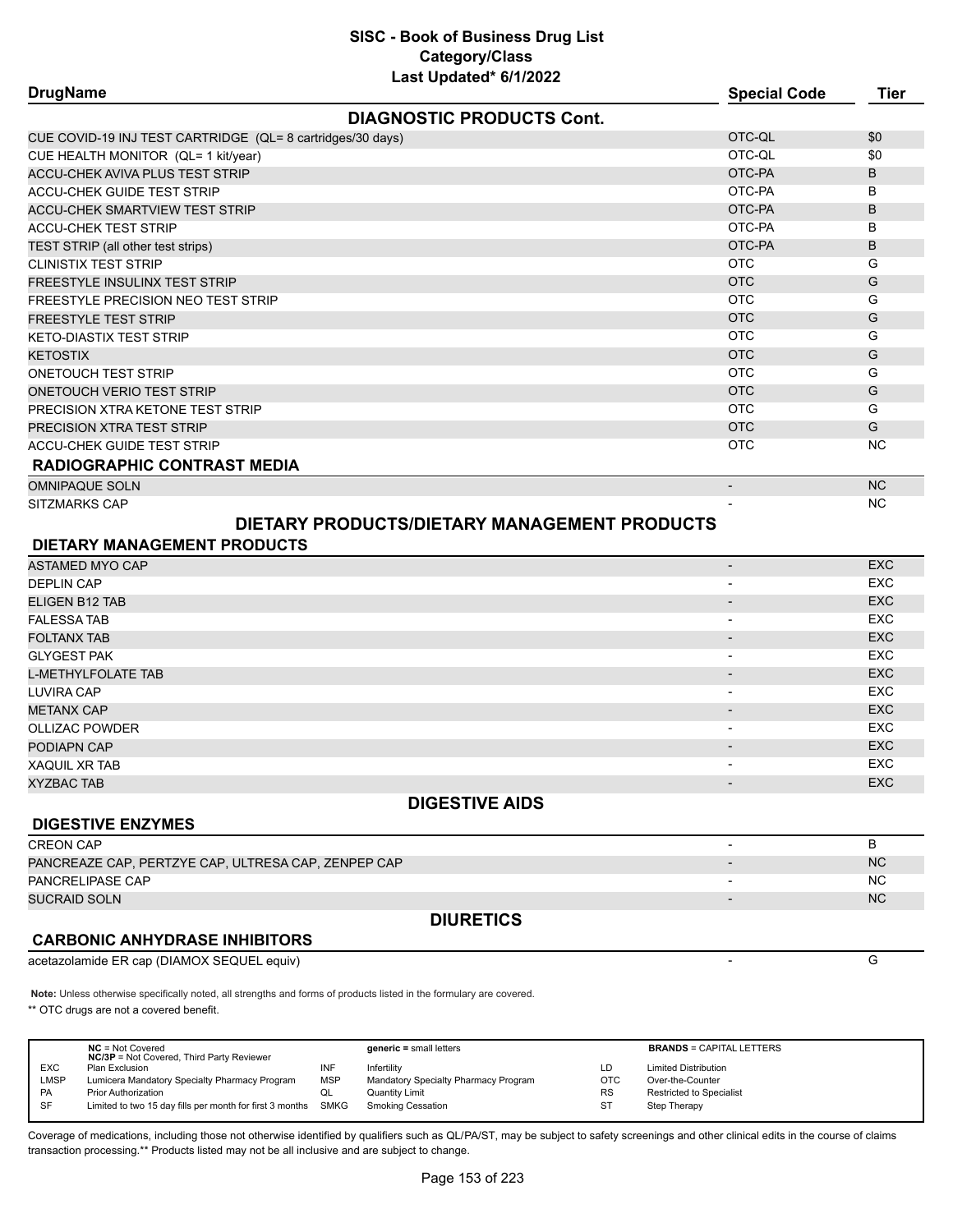| <b>DrugName</b>                                            | <b>Special Code</b>      | <b>Tier</b> |
|------------------------------------------------------------|--------------------------|-------------|
| <b>DIAGNOSTIC PRODUCTS Cont.</b>                           |                          |             |
| CUE COVID-19 INJ TEST CARTRIDGE (QL= 8 cartridges/30 days) | OTC-QL                   | \$0         |
| CUE HEALTH MONITOR (QL= 1 kit/year)                        | OTC-QL                   | \$0         |
| ACCU-CHEK AVIVA PLUS TEST STRIP                            | OTC-PA                   | B           |
| <b>ACCU-CHEK GUIDE TEST STRIP</b>                          | OTC-PA                   | B           |
| <b>ACCU-CHEK SMARTVIEW TEST STRIP</b>                      | OTC-PA                   | B           |
| <b>ACCU-CHEK TEST STRIP</b>                                | OTC-PA                   | B           |
| TEST STRIP (all other test strips)                         | OTC-PA                   | B           |
| <b>CLINISTIX TEST STRIP</b>                                | <b>OTC</b>               | G           |
| <b>FREESTYLE INSULINX TEST STRIP</b>                       | <b>OTC</b>               | G           |
| <b>FREESTYLE PRECISION NEO TEST STRIP</b>                  | <b>OTC</b>               | G           |
| <b>FREESTYLE TEST STRIP</b>                                | <b>OTC</b>               | G           |
| <b>KETO-DIASTIX TEST STRIP</b>                             | <b>OTC</b>               | G           |
| <b>KETOSTIX</b>                                            | <b>OTC</b>               | G           |
| <b>ONETOUCH TEST STRIP</b>                                 | <b>OTC</b>               | G           |
| ONETOUCH VERIO TEST STRIP                                  | <b>OTC</b>               | G           |
| PRECISION XTRA KETONE TEST STRIP                           | <b>OTC</b>               | G           |
| PRECISION XTRA TEST STRIP                                  | <b>OTC</b>               | G           |
| <b>ACCU-CHEK GUIDE TEST STRIP</b>                          | <b>OTC</b>               | <b>NC</b>   |
| <b>RADIOGRAPHIC CONTRAST MEDIA</b>                         |                          |             |
| <b>OMNIPAQUE SOLN</b>                                      | $\overline{\phantom{a}}$ | <b>NC</b>   |
| SITZMARKS CAP                                              |                          | NC          |
| DIETARY PRODUCTS/DIETARY MANAGEMENT PRODUCTS               |                          |             |
| <b>DIETARY MANAGEMENT PRODUCTS</b>                         |                          |             |
| ASTAMED MYO CAP                                            | $\overline{\phantom{a}}$ | <b>EXC</b>  |
| <b>DEPLIN CAP</b>                                          | $\blacksquare$           | <b>EXC</b>  |
| <b>ELIGEN B12 TAB</b>                                      | $\overline{\phantom{a}}$ | <b>EXC</b>  |
| <b>FALESSA TAB</b>                                         | $\overline{\phantom{a}}$ | <b>EXC</b>  |
| <b>FOLTANX TAB</b>                                         | $\overline{\phantom{a}}$ | <b>EXC</b>  |
| <b>GLYGEST PAK</b>                                         | $\overline{\phantom{a}}$ | <b>EXC</b>  |
| <b>L-METHYLFOLATE TAB</b>                                  | $\overline{\phantom{a}}$ | <b>EXC</b>  |
| <b>LUVIRA CAP</b>                                          | $\overline{\phantom{a}}$ | <b>EXC</b>  |
| <b>METANX CAP</b>                                          |                          | <b>EXC</b>  |
| <b>OLLIZAC POWDER</b>                                      |                          | <b>EXC</b>  |
| PODIAPN CAP                                                |                          | FXC.        |

| PODIAPN CAP          | $\Gamma$<br>ᅜ  |
|----------------------|----------------|
| <b>XAQUIL XR TAB</b> | $\neg$<br>ᆳᄾ   |
| XYZBAC TAB           | $\neg$<br>ZXU. |

# **DIGESTIVE AIDS**

#### **DIGESTIVE ENZYMES**

| <b>DIURETICS</b>                                    |           |
|-----------------------------------------------------|-----------|
| <b>SUCRAID SOLN</b>                                 | <b>NC</b> |
| PANCRELIPASE CAP                                    | <b>NC</b> |
| PANCREAZE CAP, PERTZYE CAP, ULTRESA CAP, ZENPEP CAP | <b>NC</b> |
| <b>CREON CAP</b>                                    |           |

# **CARBONIC ANHYDRASE INHIBITORS**

acetazolamide ER cap (DIAMOX SEQUEL equiv) - G

**Note:** Unless otherwise specifically noted, all strengths and forms of products listed in the formulary are covered. \*\* OTC drugs are not a covered benefit.

|             | $NC = Not Covered$<br><b>NC/3P</b> = Not Covered, Third Party Reviewer |            | $generic = small letters$            |            | <b>BRANDS = CAPITAL LETTERS</b> |
|-------------|------------------------------------------------------------------------|------------|--------------------------------------|------------|---------------------------------|
| <b>EXC</b>  | Plan Exclusion                                                         | INF        | Infertility                          | LD         | <b>Limited Distribution</b>     |
| <b>LMSP</b> | Lumicera Mandatory Specialty Pharmacy Program                          | <b>MSP</b> | Mandatory Specialty Pharmacy Program | <b>OTC</b> | Over-the-Counter                |
| <b>PA</b>   | <b>Prior Authorization</b>                                             |            | Quantity Limit                       | <b>RS</b>  | Restricted to Specialist        |
| -SF         | Limited to two 15 day fills per month for first 3 months SMKG          |            | <b>Smoking Cessation</b>             | <b>ST</b>  | Step Therapy                    |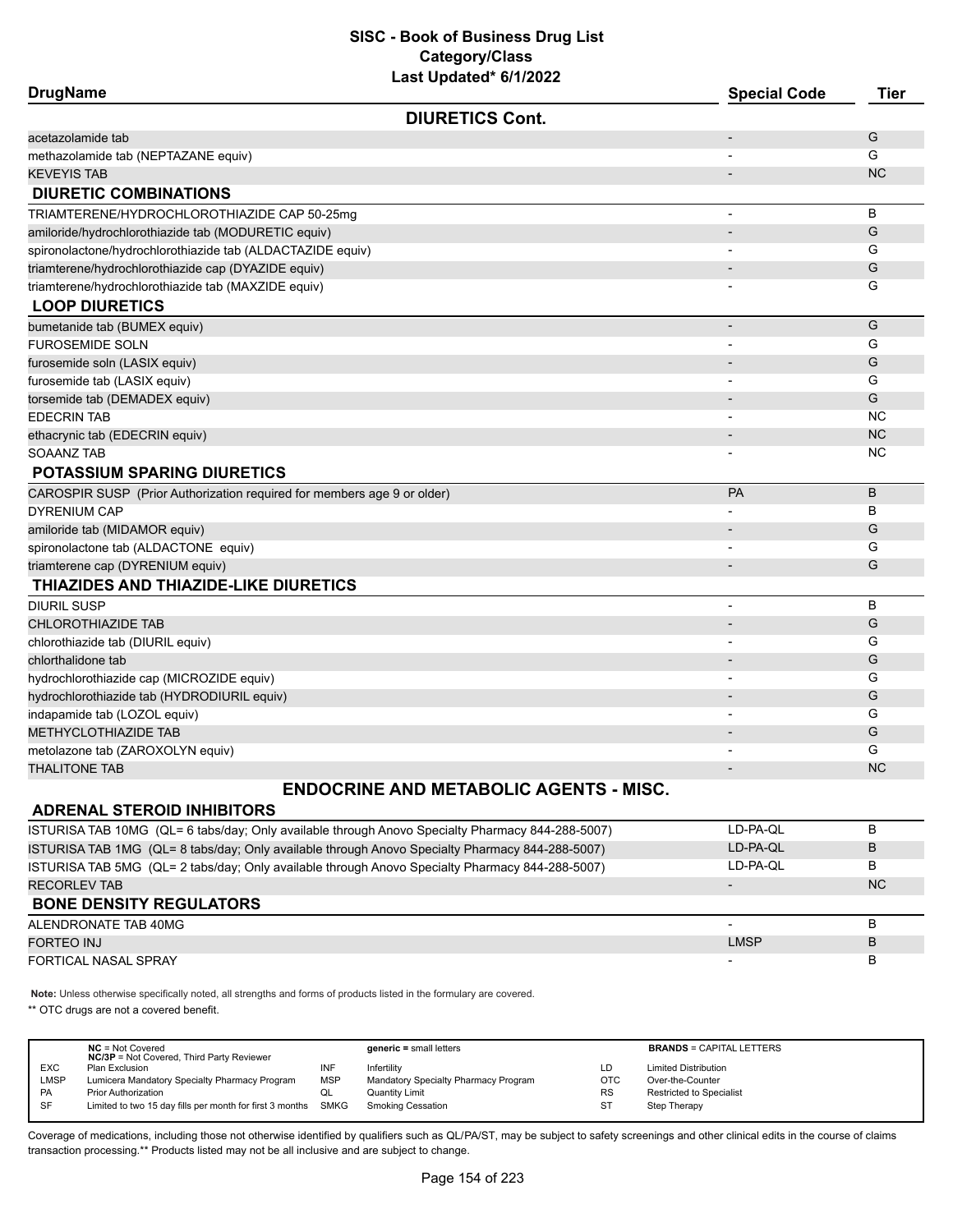| <b>DrugName</b>                                                         | <b>Special Code</b>      | <b>Tier</b> |
|-------------------------------------------------------------------------|--------------------------|-------------|
| <b>DIURETICS Cont.</b>                                                  |                          |             |
| acetazolamide tab                                                       | $\overline{a}$           | G           |
| methazolamide tab (NEPTAZANE equiv)                                     |                          | G           |
| <b>KEVEYIS TAB</b>                                                      |                          | <b>NC</b>   |
| <b>DIURETIC COMBINATIONS</b>                                            |                          |             |
| TRIAMTERENE/HYDROCHLOROTHIAZIDE CAP 50-25mg                             |                          | B           |
| amiloride/hydrochlorothiazide tab (MODURETIC equiv)                     |                          | G           |
| spironolactone/hydrochlorothiazide tab (ALDACTAZIDE equiv)              |                          | G           |
| triamterene/hydrochlorothiazide cap (DYAZIDE equiv)                     |                          | G           |
| triamterene/hydrochlorothiazide tab (MAXZIDE equiv)                     |                          | G           |
| <b>LOOP DIURETICS</b>                                                   |                          |             |
| bumetanide tab (BUMEX equiv)                                            | $\overline{a}$           | G           |
| <b>FUROSEMIDE SOLN</b>                                                  |                          | G           |
| furosemide soln (LASIX equiv)                                           |                          | G           |
| furosemide tab (LASIX equiv)                                            |                          | G           |
| torsemide tab (DEMADEX equiv)                                           |                          | G           |
| <b>EDECRIN TAB</b>                                                      |                          | <b>NC</b>   |
| ethacrynic tab (EDECRIN equiv)                                          |                          | <b>NC</b>   |
| SOAANZ TAB                                                              |                          | <b>NC</b>   |
| <b>POTASSIUM SPARING DIURETICS</b>                                      |                          |             |
| CAROSPIR SUSP (Prior Authorization required for members age 9 or older) | PA                       | B           |
| <b>DYRENIUM CAP</b>                                                     |                          | В           |
| amiloride tab (MIDAMOR equiv)                                           |                          | G           |
| spironolactone tab (ALDACTONE equiv)                                    |                          | G           |
| triamterene cap (DYRENIUM equiv)                                        |                          | G           |
| THIAZIDES AND THIAZIDE-LIKE DIURETICS                                   |                          |             |
| DIURIL SUSP                                                             |                          | B           |
| <b>CHLOROTHIAZIDE TAB</b>                                               |                          | G           |
| chlorothiazide tab (DIURIL equiv)                                       |                          | G           |
| chlorthalidone tab                                                      |                          | G           |
| hydrochlorothiazide cap (MICROZIDE equiv)                               |                          | G           |
| hydrochlorothiazide tab (HYDRODIURIL equiv)                             |                          | G           |
| indapamide tab (LOZOL equiv)                                            | $\blacksquare$           | G           |
| <b>METHYCLOTHIAZIDE TAB</b>                                             |                          | G           |
| metolazone tab (ZAROXOLYN equiv)                                        |                          | G           |
| <b>THALITONE TAB</b>                                                    | $\overline{\phantom{a}}$ | <b>NC</b>   |
| <b>ENDOCRINE AND METABOLIC AGENTS - MISC.</b>                           |                          |             |
| <b>ADRENAL STEROID INHIBITORS</b>                                       |                          |             |

| ISTURISA TAB 10MG (QL= 6 tabs/day; Only available through Anovo Specialty Pharmacy 844-288-5007) | LD-PA-OL                 | B         |
|--------------------------------------------------------------------------------------------------|--------------------------|-----------|
| ISTURISA TAB 1MG (QL= 8 tabs/day; Only available through Anovo Specialty Pharmacy 844-288-5007)  | LD-PA-QL                 | B         |
| ISTURISA TAB 5MG (QL= 2 tabs/day; Only available through Anovo Specialty Pharmacy 844-288-5007)  | LD-PA-OL                 | В         |
| <b>RECORLEV TAB</b>                                                                              | $\overline{\phantom{a}}$ | <b>NC</b> |
| <b>BONE DENSITY REGULATORS</b>                                                                   |                          |           |
|                                                                                                  |                          | в         |
| ALENDRONATE TAB 40MG                                                                             |                          |           |
| <b>FORTEO INJ</b>                                                                                | <b>LMSP</b>              | B         |

**Note:** Unless otherwise specifically noted, all strengths and forms of products listed in the formulary are covered. \*\* OTC drugs are not a covered benefit.

**NC** = Not Covered **generic =** small letters **BRANDS** = CAPITAL LETTERS **NC/3P** = Not Covered, Third Party Reviewer EXC Plan Exclusion INF Infertility LD Limited Distribution LMSP Lumicera Mandatory Specialty Pharmacy Program MSP Mandatory Specialty Pharmacy Program OTC Over-the-Counter PA Prior Authorization CL Quantity Limit CL Quantity Limit CL RS Restricted to Specialist<br>SF Limited to two 15 day fills per month for first 3 months SMKG Smoking Cessation ST Step Therapy Limited to two 15 day fills per month for first 3 months SMKG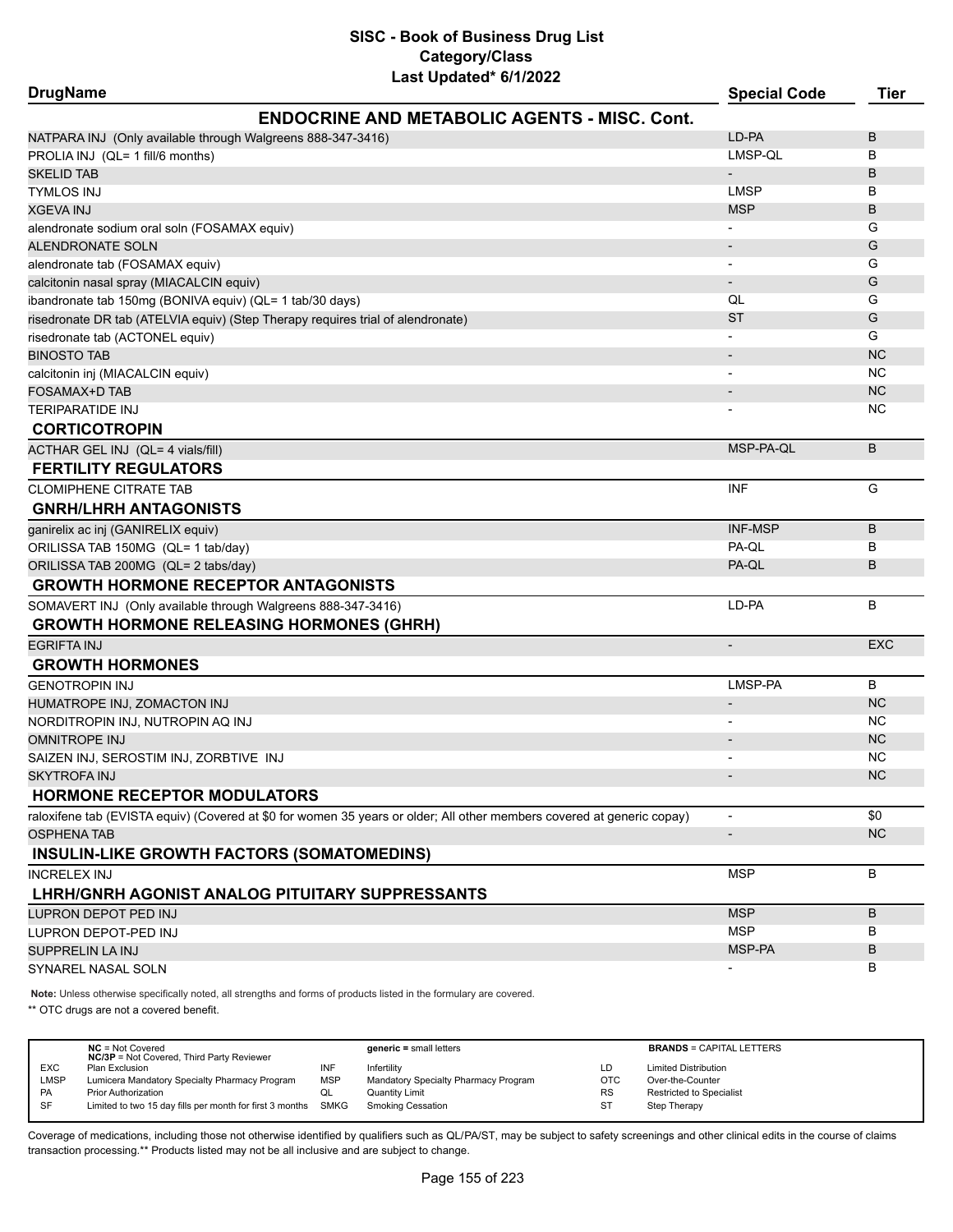| <b>DrugName</b>                                                                 |                                                                                                                        | <b>Special Code</b>      | <b>Tier</b> |
|---------------------------------------------------------------------------------|------------------------------------------------------------------------------------------------------------------------|--------------------------|-------------|
|                                                                                 | <b>ENDOCRINE AND METABOLIC AGENTS - MISC. Cont.</b>                                                                    |                          |             |
| NATPARA INJ (Only available through Walgreens 888-347-3416)                     |                                                                                                                        | LD-PA                    | B           |
| PROLIA INJ (QL= 1 fill/6 months)                                                |                                                                                                                        | LMSP-QL                  | В           |
| SKELID TAB                                                                      |                                                                                                                        |                          | B           |
| <b>TYMLOS INJ</b>                                                               |                                                                                                                        | <b>LMSP</b>              | В           |
| XGEVA INJ                                                                       |                                                                                                                        | <b>MSP</b>               | B           |
| alendronate sodium oral soln (FOSAMAX equiv)                                    |                                                                                                                        |                          | G           |
| <b>ALENDRONATE SOLN</b>                                                         |                                                                                                                        |                          | G           |
| alendronate tab (FOSAMAX equiv)                                                 |                                                                                                                        |                          | G           |
| calcitonin nasal spray (MIACALCIN equiv)                                        |                                                                                                                        | $\overline{\phantom{a}}$ | G           |
| ibandronate tab 150mg (BONIVA equiv) (QL= 1 tab/30 days)                        |                                                                                                                        | QL                       | G           |
| risedronate DR tab (ATELVIA equiv) (Step Therapy requires trial of alendronate) |                                                                                                                        | <b>ST</b>                | G           |
| risedronate tab (ACTONEL equiv)                                                 |                                                                                                                        |                          | G           |
| BINOSTO TAB                                                                     |                                                                                                                        |                          | <b>NC</b>   |
| calcitonin inj (MIACALCIN equiv)                                                |                                                                                                                        |                          | ΝC          |
| FOSAMAX+D TAB                                                                   |                                                                                                                        |                          | <b>NC</b>   |
| TERIPARATIDE INJ                                                                |                                                                                                                        |                          | ΝC          |
| <b>CORTICOTROPIN</b>                                                            |                                                                                                                        |                          |             |
| ACTHAR GEL INJ (QL= 4 vials/fill)                                               |                                                                                                                        | MSP-PA-QL                | B           |
| <b>FERTILITY REGULATORS</b>                                                     |                                                                                                                        |                          |             |
| <b>CLOMIPHENE CITRATE TAB</b>                                                   |                                                                                                                        | <b>INF</b>               | G           |
| <b>GNRH/LHRH ANTAGONISTS</b>                                                    |                                                                                                                        |                          |             |
| ganirelix ac inj (GANIRELIX equiv)                                              |                                                                                                                        | <b>INF-MSP</b>           | B           |
| ORILISSA TAB 150MG (QL= 1 tab/day)                                              |                                                                                                                        | PA-QL                    | В           |
| ORILISSA TAB 200MG (QL= 2 tabs/day)                                             |                                                                                                                        | PA-QL                    | B           |
| <b>GROWTH HORMONE RECEPTOR ANTAGONISTS</b>                                      |                                                                                                                        |                          |             |
| SOMAVERT INJ (Only available through Walgreens 888-347-3416)                    |                                                                                                                        | LD-PA                    | B           |
| <b>GROWTH HORMONE RELEASING HORMONES (GHRH)</b>                                 |                                                                                                                        |                          |             |
| <b>EGRIFTA INJ</b>                                                              |                                                                                                                        | $\overline{\phantom{a}}$ | <b>EXC</b>  |
| <b>GROWTH HORMONES</b>                                                          |                                                                                                                        |                          |             |
| <b>GENOTROPIN INJ</b>                                                           |                                                                                                                        | LMSP-PA                  | B           |
| HUMATROPE INJ, ZOMACTON INJ                                                     |                                                                                                                        |                          | <b>NC</b>   |
| NORDITROPIN INJ, NUTROPIN AQ INJ                                                |                                                                                                                        |                          | ΝC          |
| <b>OMNITROPE INJ</b>                                                            |                                                                                                                        |                          | <b>NC</b>   |
| SAIZEN INJ, SEROSTIM INJ, ZORBTIVE INJ                                          |                                                                                                                        |                          | NC          |
| SKYTROFA INJ                                                                    |                                                                                                                        |                          | <b>NC</b>   |
| <b>HORMONE RECEPTOR MODULATORS</b>                                              |                                                                                                                        |                          |             |
|                                                                                 | raloxifene tab (EVISTA equiv) (Covered at \$0 for women 35 years or older; All other members covered at generic copay) | $\overline{\phantom{a}}$ | \$0         |
| <b>OSPHENA TAB</b>                                                              |                                                                                                                        | $\overline{\phantom{a}}$ | NC          |
| <b>INSULIN-LIKE GROWTH FACTORS (SOMATOMEDINS)</b>                               |                                                                                                                        |                          |             |
| INCRELEX INJ                                                                    |                                                                                                                        | <b>MSP</b>               | B           |
| LHRH/GNRH AGONIST ANALOG PITUITARY SUPPRESSANTS                                 |                                                                                                                        |                          |             |
| LUPRON DEPOT PED INJ                                                            |                                                                                                                        | <b>MSP</b>               | B           |
| LUPRON DEPOT-PED INJ                                                            |                                                                                                                        | <b>MSP</b>               | В           |
| SUPPRELIN LA INJ                                                                |                                                                                                                        | MSP-PA                   | B           |
| SYNAREL NASAL SOLN                                                              |                                                                                                                        |                          | в           |

**Note:** Unless otherwise specifically noted, all strengths and forms of products listed in the formulary are covered.

\*\* OTC drugs are not a covered benefit.

|             | $NC = Not Covered$<br><b>NC/3P</b> = Not Covered, Third Party Reviewer |            | $generic = small letters$            |            | <b>BRANDS = CAPITAL LETTERS</b> |
|-------------|------------------------------------------------------------------------|------------|--------------------------------------|------------|---------------------------------|
| <b>EXC</b>  | Plan Exclusion                                                         | INF        | Infertilitv                          | LD         | <b>Limited Distribution</b>     |
| <b>LMSP</b> | Lumicera Mandatory Specialty Pharmacy Program                          | <b>MSP</b> | Mandatory Specialty Pharmacy Program | <b>OTC</b> | Over-the-Counter                |
| <b>PA</b>   | <b>Prior Authorization</b>                                             | w∟         | <b>Quantity Limit</b>                | <b>RS</b>  | <b>Restricted to Specialist</b> |
| SF          | Limited to two 15 day fills per month for first 3 months SMKG          |            | Smoking Cessation                    | ST         | Step Therapy                    |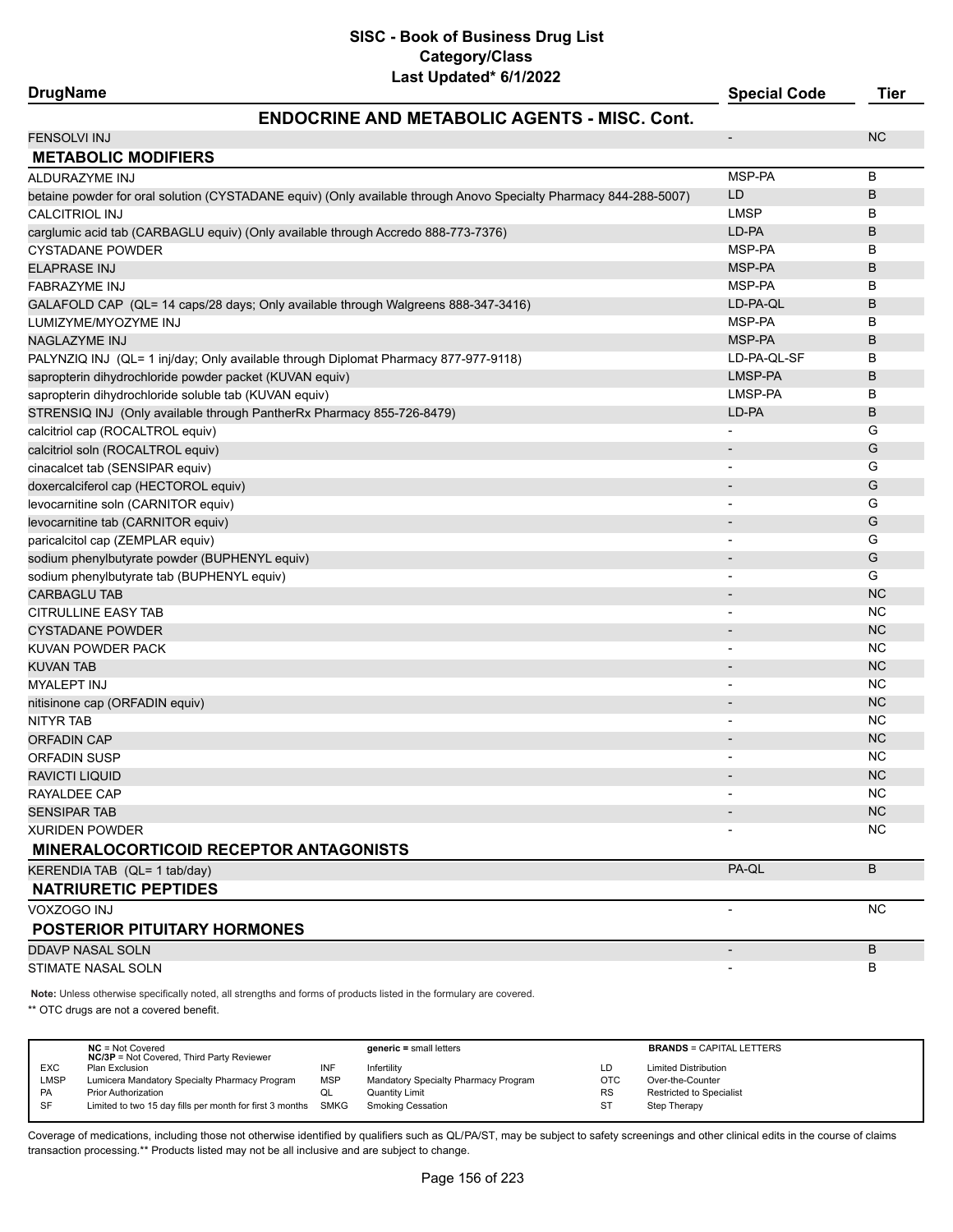# **ENDOCRINE AND METABOLIC AGENTS - MISC. Cont.**

ī

| <b>FENSOLVI INJ</b>                                                                                               |                              | <b>NC</b> |
|-------------------------------------------------------------------------------------------------------------------|------------------------------|-----------|
| <b>METABOLIC MODIFIERS</b>                                                                                        |                              |           |
| ALDURAZYME INJ                                                                                                    | MSP-PA                       | B         |
| betaine powder for oral solution (CYSTADANE equiv) (Only available through Anovo Specialty Pharmacy 844-288-5007) | LD                           | B         |
| <b>CALCITRIOL INJ</b>                                                                                             | <b>LMSP</b>                  | В         |
| carglumic acid tab (CARBAGLU equiv) (Only available through Accredo 888-773-7376)                                 | LD-PA                        | B         |
| <b>CYSTADANE POWDER</b>                                                                                           | MSP-PA                       | В         |
| <b>ELAPRASE INJ</b>                                                                                               | MSP-PA                       | B         |
| <b>FABRAZYME INJ</b>                                                                                              | MSP-PA                       | В         |
| GALAFOLD CAP (QL= 14 caps/28 days; Only available through Walgreens 888-347-3416)                                 | LD-PA-QL                     | B         |
| LUMIZYME/MYOZYME INJ                                                                                              | MSP-PA                       | В         |
| NAGLAZYME INJ                                                                                                     | MSP-PA                       | В         |
| PALYNZIQ INJ (QL= 1 inj/day; Only available through Diplomat Pharmacy 877-977-9118)                               | LD-PA-QL-SF                  | В         |
| sapropterin dihydrochloride powder packet (KUVAN equiv)                                                           | LMSP-PA                      | B         |
| sapropterin dihydrochloride soluble tab (KUVAN equiv)                                                             | LMSP-PA                      | В         |
| STRENSIQ INJ (Only available through PantherRx Pharmacy 855-726-8479)                                             | LD-PA                        | B         |
| calcitriol cap (ROCALTROL equiv)                                                                                  | $\overline{a}$               | G         |
| calcitriol soln (ROCALTROL equiv)                                                                                 | $\qquad \qquad \blacksquare$ | G         |
| cinacalcet tab (SENSIPAR equiv)                                                                                   | $\qquad \qquad \blacksquare$ | G         |
| doxercalciferol cap (HECTOROL equiv)                                                                              | $\overline{a}$               | G         |
| levocarnitine soln (CARNITOR equiv)                                                                               | $\overline{\phantom{0}}$     | G         |
| levocarnitine tab (CARNITOR equiv)                                                                                | $\overline{\phantom{a}}$     | G         |
| paricalcitol cap (ZEMPLAR equiv)                                                                                  | $\overline{\phantom{0}}$     | G         |
| sodium phenylbutyrate powder (BUPHENYL equiv)                                                                     |                              | G         |
| sodium phenylbutyrate tab (BUPHENYL equiv)                                                                        |                              | G         |
| <b>CARBAGLU TAB</b>                                                                                               | $\overline{\phantom{m}}$     | <b>NC</b> |
| <b>CITRULLINE EASY TAB</b>                                                                                        | $\overline{a}$               | <b>NC</b> |
| <b>CYSTADANE POWDER</b>                                                                                           | $\overline{\phantom{m}}$     | <b>NC</b> |
| KUVAN POWDER PACK                                                                                                 | $\overline{a}$               | <b>NC</b> |
| <b>KUVAN TAB</b>                                                                                                  | $\qquad \qquad \blacksquare$ | <b>NC</b> |
| <b>MYALEPT INJ</b>                                                                                                |                              | <b>NC</b> |
| nitisinone cap (ORFADIN equiv)                                                                                    |                              | <b>NC</b> |
| <b>NITYR TAB</b>                                                                                                  |                              | <b>NC</b> |
| <b>ORFADIN CAP</b>                                                                                                | $\qquad \qquad \blacksquare$ | <b>NC</b> |
| <b>ORFADIN SUSP</b>                                                                                               | $\overline{\phantom{0}}$     | <b>NC</b> |
| <b>RAVICTI LIQUID</b>                                                                                             | $\overline{\phantom{0}}$     | <b>NC</b> |
| <b>RAYALDEE CAP</b>                                                                                               |                              | NC        |
| <b>SENSIPAR TAB</b>                                                                                               | $\overline{\phantom{m}}$     | <b>NC</b> |
| XURIDEN POWDER                                                                                                    |                              | <b>NC</b> |
| <b>MINERALOCORTICOID RECEPTOR ANTAGONISTS</b>                                                                     |                              |           |
| KERENDIA TAB (QL= 1 tab/day)                                                                                      | PA-QL                        | B         |
| <b>NATRIURETIC PEPTIDES</b>                                                                                       |                              |           |
| VOXZOGO INJ                                                                                                       | $\overline{\phantom{a}}$     | <b>NC</b> |
| <b>POSTERIOR PITUITARY HORMONES</b>                                                                               |                              |           |
| <b>DDAVP NASAL SOLN</b>                                                                                           | $\overline{\phantom{a}}$     | B         |
| STIMATE NASAL SOLN                                                                                                |                              | В         |
|                                                                                                                   |                              |           |

**Note:** Unless otherwise specifically noted, all strengths and forms of products listed in the formulary are covered.

\*\* OTC drugs are not a covered benefit.

|            | $NC = Not Covered$<br><b>NC/3P</b> = Not Covered, Third Party Reviewer |     | $generic = small letters$            |            | <b>BRANDS = CAPITAL LETTERS</b> |
|------------|------------------------------------------------------------------------|-----|--------------------------------------|------------|---------------------------------|
| <b>EXC</b> | Plan Exclusion                                                         |     | Infertility                          | LD         | <b>Limited Distribution</b>     |
| LMSP       | Lumicera Mandatory Specialty Pharmacy Program                          | MSP | Mandatory Specialty Pharmacy Program | <b>OTC</b> | Over-the-Counter                |
| <b>PA</b>  | <b>Prior Authorization</b>                                             | QL  | Quantity Limit                       | <b>RS</b>  | <b>Restricted to Specialist</b> |
| SF         | Limited to two 15 day fills per month for first 3 months SMKG          |     | Smoking Cessation                    | <b>ST</b>  | Step Therapy                    |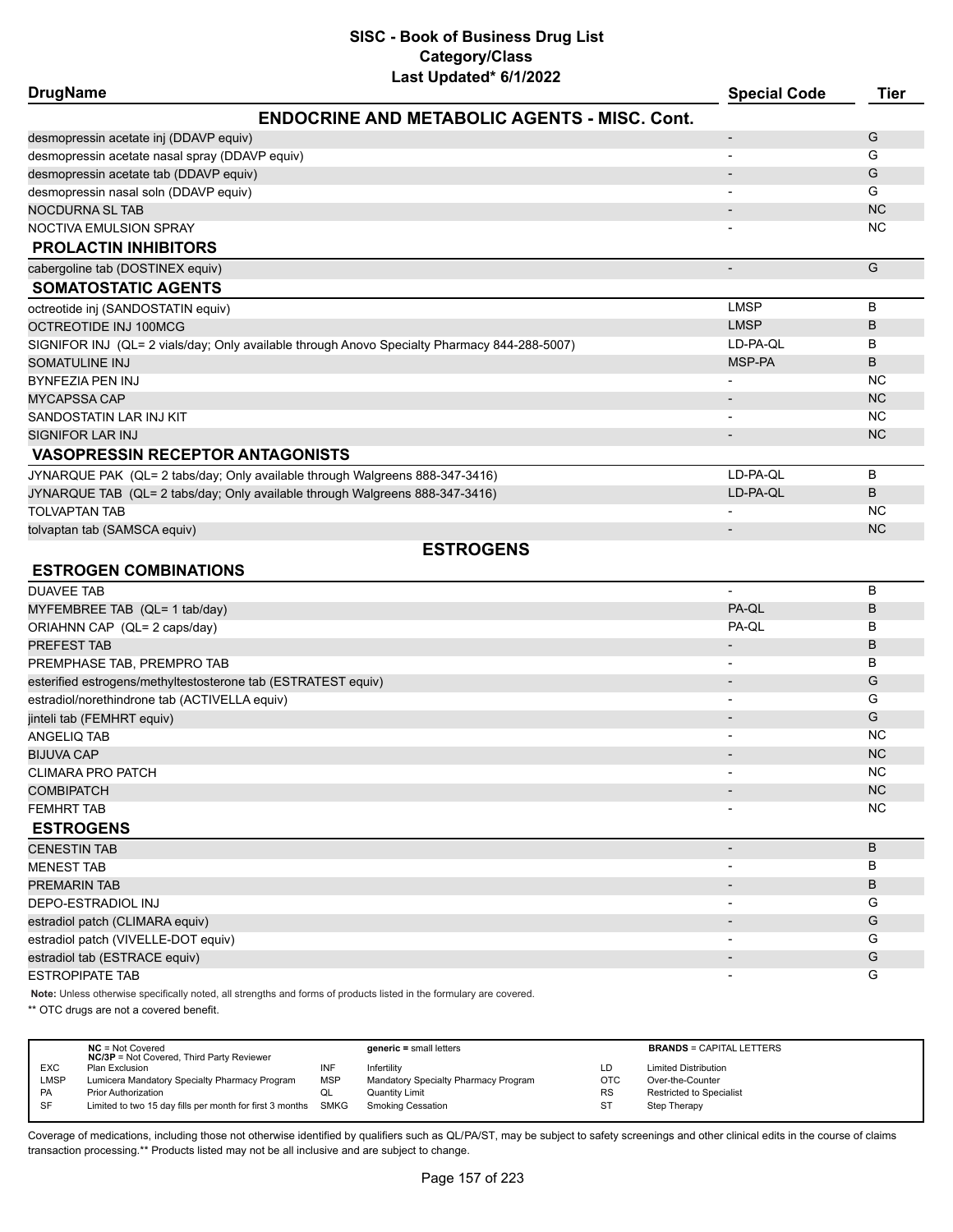# **SISC - Book of Business Drug List Category/Class**

| Last Updated* 6/1/2022                                                                       |                          |             |
|----------------------------------------------------------------------------------------------|--------------------------|-------------|
| <b>DrugName</b>                                                                              | <b>Special Code</b>      | <b>Tier</b> |
| <b>ENDOCRINE AND METABOLIC AGENTS - MISC. Cont.</b>                                          |                          |             |
| desmopressin acetate inj (DDAVP equiv)                                                       |                          | G           |
| desmopressin acetate nasal spray (DDAVP equiv)                                               |                          | G           |
| desmopressin acetate tab (DDAVP equiv)                                                       |                          | G           |
| desmopressin nasal soln (DDAVP equiv)                                                        |                          | G           |
| NOCDURNA SL TAB                                                                              | $\overline{\phantom{a}}$ | <b>NC</b>   |
| NOCTIVA EMULSION SPRAY                                                                       |                          | <b>NC</b>   |
| <b>PROLACTIN INHIBITORS</b>                                                                  |                          |             |
| cabergoline tab (DOSTINEX equiv)                                                             | $\overline{\phantom{a}}$ | G           |
| <b>SOMATOSTATIC AGENTS</b>                                                                   |                          |             |
| octreotide inj (SANDOSTATIN equiv)                                                           | <b>LMSP</b>              | B           |
| OCTREOTIDE INJ 100MCG                                                                        | <b>LMSP</b>              | В           |
| SIGNIFOR INJ (QL= 2 vials/day; Only available through Anovo Specialty Pharmacy 844-288-5007) | LD-PA-QL                 | в           |
| SOMATULINE INJ                                                                               | MSP-PA                   | B           |
| BYNFEZIA PEN INJ                                                                             |                          | <b>NC</b>   |
| <b>MYCAPSSA CAP</b>                                                                          | $\overline{\phantom{a}}$ | <b>NC</b>   |
| SANDOSTATIN LAR INJ KIT                                                                      |                          | <b>NC</b>   |
| SIGNIFOR LAR INJ                                                                             |                          | <b>NC</b>   |
| <b>VASOPRESSIN RECEPTOR ANTAGONISTS</b>                                                      |                          |             |
| JYNARQUE PAK (QL= 2 tabs/day; Only available through Walgreens 888-347-3416)                 | LD-PA-OL                 | B           |
| JYNARQUE TAB (QL= 2 tabs/day; Only available through Walgreens 888-347-3416)                 | LD-PA-QL                 | B           |
| <b>TOLVAPTAN TAB</b>                                                                         |                          | <b>NC</b>   |
| tolvaptan tab (SAMSCA equiv)                                                                 |                          | <b>NC</b>   |
| <b>ESTROGENS</b>                                                                             |                          |             |
| <b>ESTROGEN COMBINATIONS</b>                                                                 |                          |             |
| <b>DUAVEE TAB</b>                                                                            |                          | в           |
| MYFEMBREE TAB (QL= 1 tab/day)                                                                | PA-QL                    | В           |
| ORIAHNN CAP (QL= 2 caps/day)                                                                 | PA-QL                    | в           |
| PRFFFST TAR                                                                                  |                          | B           |

| PREFEST TAB                                                   |                          | B         |
|---------------------------------------------------------------|--------------------------|-----------|
| PREMPHASE TAB, PREMPRO TAB                                    |                          | B         |
| esterified estrogens/methyltestosterone tab (ESTRATEST equiv) |                          | G         |
| estradiol/norethindrone tab (ACTIVELLA equiv)                 |                          | G         |
| jinteli tab (FEMHRT equiv)                                    |                          | G         |
| ANGELIQ TAB                                                   |                          | <b>NC</b> |
| <b>BIJUVA CAP</b>                                             |                          | <b>NC</b> |
| <b>CLIMARA PRO PATCH</b>                                      |                          | <b>NC</b> |
| <b>COMBIPATCH</b>                                             | $\overline{\phantom{a}}$ | <b>NC</b> |
| <b>FEMHRT TAB</b>                                             | $\overline{\phantom{a}}$ | <b>NC</b> |
| <b>ESTROGENS</b>                                              |                          |           |
|                                                               |                          |           |
| <b>CENESTIN TAB</b>                                           | $\overline{a}$           | B         |
| <b>MENEST TAB</b>                                             |                          | B         |
| <b>PREMARIN TAB</b>                                           |                          | B         |
| DEPO-ESTRADIOL INJ                                            |                          | G         |
| estradiol patch (CLIMARA equiv)                               |                          | G         |
| estradiol patch (VIVELLE-DOT equiv)                           |                          | G         |
| estradiol tab (ESTRACE equiv)                                 |                          | G         |

**Note:** Unless otherwise specifically noted, all strengths and forms of products listed in the formulary are covered.

\*\* OTC drugs are not a covered benefit.

|            | $NC = Not Covered$<br><b>NC/3P</b> = Not Covered, Third Party Reviewer |            | $generic = small letters$            |            | <b>BRANDS = CAPITAL LETTERS</b> |
|------------|------------------------------------------------------------------------|------------|--------------------------------------|------------|---------------------------------|
| <b>EXC</b> | Plan Exclusion                                                         | INF        | Infertilitv                          | LD         | <b>Limited Distribution</b>     |
| LMSP       | Lumicera Mandatory Specialty Pharmacy Program                          | <b>MSP</b> | Mandatory Specialty Pharmacy Program | <b>OTC</b> | Over-the-Counter                |
| PA         | <b>Prior Authorization</b>                                             | ◡          | <b>Quantity Limit</b>                | <b>RS</b>  | <b>Restricted to Specialist</b> |
| SF         | Limited to two 15 day fills per month for first 3 months SMKG          |            | Smoking Cessation                    | ST         | Step Therapy                    |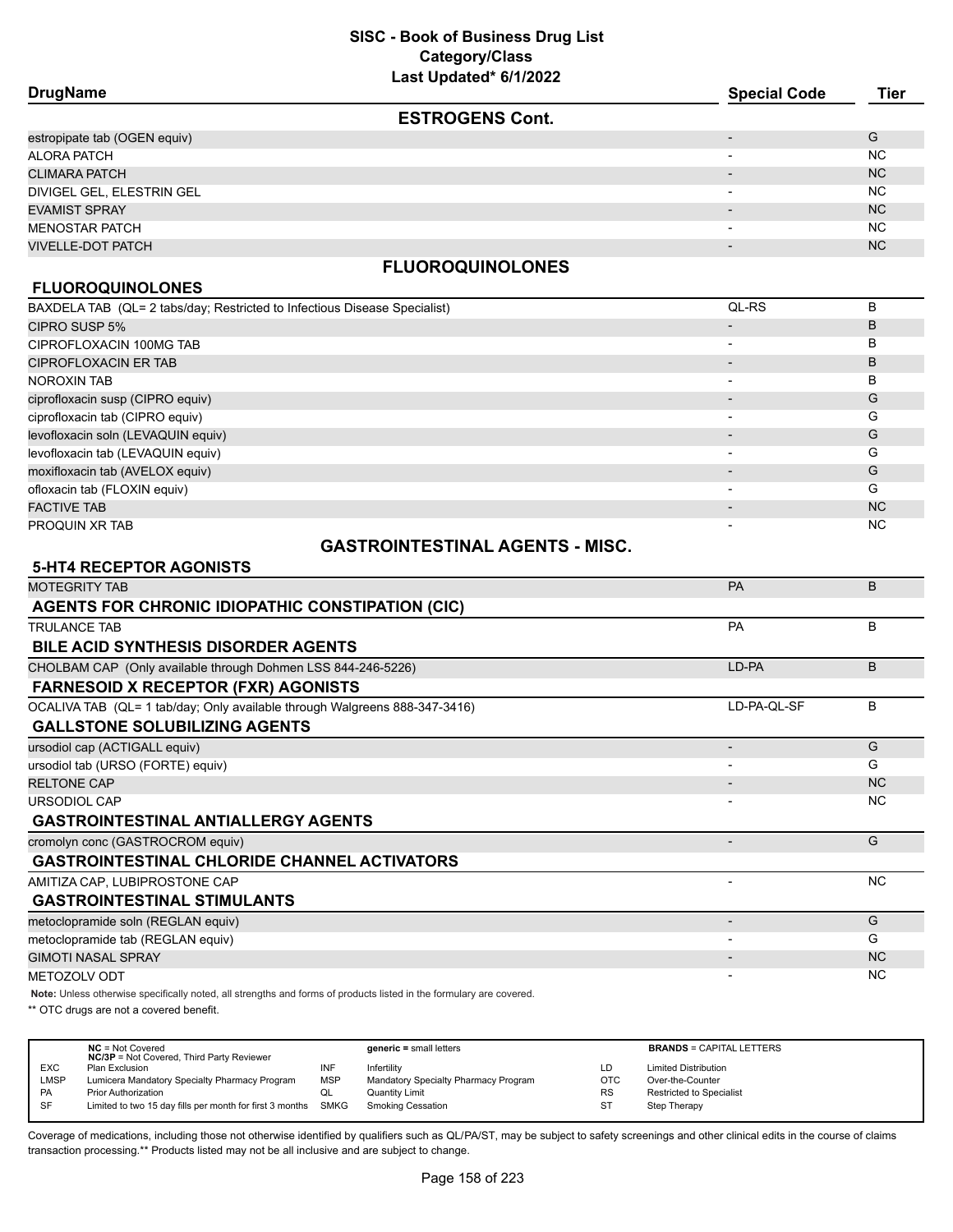| <b>DrugName</b>              | <b>Special Code</b>      | <b>Tier</b>    |
|------------------------------|--------------------------|----------------|
| <b>ESTROGENS Cont.</b>       |                          |                |
| estropipate tab (OGEN equiv) |                          | G              |
| ALORA PATCH                  |                          | NC.            |
| <b>CLIMARA PATCH</b>         | $\overline{\phantom{0}}$ | N <sub>C</sub> |
| DIVIGEL GEL, ELESTRIN GEL    | $\overline{\phantom{0}}$ | NC.            |
| <b>EVAMIST SPRAY</b>         | $\overline{\phantom{0}}$ | N <sub>C</sub> |
| <b>MENOSTAR PATCH</b>        | $\overline{\phantom{0}}$ | NC.            |
| <b>VIVELLE-DOT PATCH</b>     | $\overline{\phantom{0}}$ | N <sub>C</sub> |
|                              |                          |                |

# **FLUOROQUINOLONES**

# **FLUOROQUINOLONES**

| BAXDELA TAB (QL= 2 tabs/day; Restricted to Infectious Disease Specialist) | QL-RS | в         |
|---------------------------------------------------------------------------|-------|-----------|
| CIPRO SUSP 5%                                                             |       | в         |
| CIPROFLOXACIN 100MG TAB                                                   |       | B         |
| <b>CIPROFLOXACIN ER TAB</b>                                               |       | B         |
| <b>NOROXIN TAB</b>                                                        |       | B         |
| ciprofloxacin susp (CIPRO equiv)                                          |       | G         |
| ciprofloxacin tab (CIPRO equiv)                                           |       | G         |
| levofloxacin soln (LEVAQUIN equiv)                                        |       | G         |
| levofloxacin tab (LEVAQUIN equiv)                                         |       | G         |
| moxifloxacin tab (AVELOX equiv)                                           |       | G         |
| ofloxacin tab (FLOXIN equiv)                                              |       | G         |
| <b>FACTIVE TAB</b>                                                        |       | <b>NC</b> |
| PROQUIN XR TAB                                                            |       | <b>NC</b> |
|                                                                           |       |           |

# **GASTROINTESTINAL AGENTS - MISC.**

# **5-HT4 RECEPTOR AGONISTS** MOTEGRITY TAB PARTICLE IN THE CONTROL OF THE CONTROL OF THE CONTROL OF THE CONTROL OF THE CONTROL OF THE CONTROL OF THE CONTROL OF THE CONTROL OF THE CONTROL OF THE CONTROL OF THE CONTROL OF THE CONTROL OF THE CONTROL OF T **AGENTS FOR CHRONIC IDIOPATHIC CONSTIPATION (CIC)** TRULANCE TAB PA B **BILE ACID SYNTHESIS DISORDER AGENTS** CHOLBAM CAP (Only available through Dohmen LSS 844-246-5226) LD-PA B **FARNESOID X RECEPTOR (FXR) AGONISTS** OCALIVA TAB (QL= 1 tab/day; Only available through Walgreens 888-347-3416) LO-PA-QL-SF LD-PA-QL-SF B **GALLSTONE SOLUBILIZING AGENTS** ursodiol cap (ACTIGALL equiv) - G ursodiol tab (URSO (FORTE) equiv) - G RELTONE CAP - NC URSODIOL CAP - NC **GASTROINTESTINAL ANTIALLERGY AGENTS** cromolyn conc (GASTROCROM equiv) - George Castle Concern concern concern concern concern concern concern concern concern concern concern concern concern concern concern concern concern concern concern concern concern conce **GASTROINTESTINAL CHLORIDE CHANNEL ACTIVATORS** AMITIZA CAP, LUBIPROSTONE CAP AND A CONSTRUCTION OF A CONSTRUCTION OF A CONSTRUCTION OF A CONSTRUCTION OF A CONSTRUCTION OF A CONSTRUCTION OF A CONSTRUCTION OF A CONSTRUCTION OF A CONSTRUCTION OF A CONSTRUCTION OF A CONSTR **GASTROINTESTINAL STIMULANTS** metoclopramide soln (REGLAN equiv) - G metoclopramide tab (REGLAN equiv) - G GIMOTI NASAL SPRAY AND A CHARGE OF THE CHARGE OF THE CHARGE OF THE CHARGE OF THE CHARGE OF THE CHARGE OF THE CH METOZOLV ODT - NC

**Note:** Unless otherwise specifically noted, all strengths and forms of products listed in the formulary are covered.

\*\* OTC drugs are not a covered benefit.

|             | $NC = Not Covered$<br><b>NC/3P</b> = Not Covered, Third Party Reviewer |            | $generic = small letters$            |            | <b>BRANDS = CAPITAL LETTERS</b> |
|-------------|------------------------------------------------------------------------|------------|--------------------------------------|------------|---------------------------------|
| <b>EXC</b>  | Plan Exclusion                                                         | INF        | Infertility                          | LD         | <b>Limited Distribution</b>     |
| <b>LMSP</b> | Lumicera Mandatory Specialty Pharmacy Program                          | <b>MSP</b> | Mandatory Specialty Pharmacy Program | <b>OTC</b> | Over-the-Counter                |
| PA          | <b>Prior Authorization</b>                                             | QL         | Quantity Limit                       | <b>RS</b>  | <b>Restricted to Specialist</b> |
| SF          | Limited to two 15 day fills per month for first 3 months               | SMKG       | Smoking Cessation                    | <b>ST</b>  | Step Therapy                    |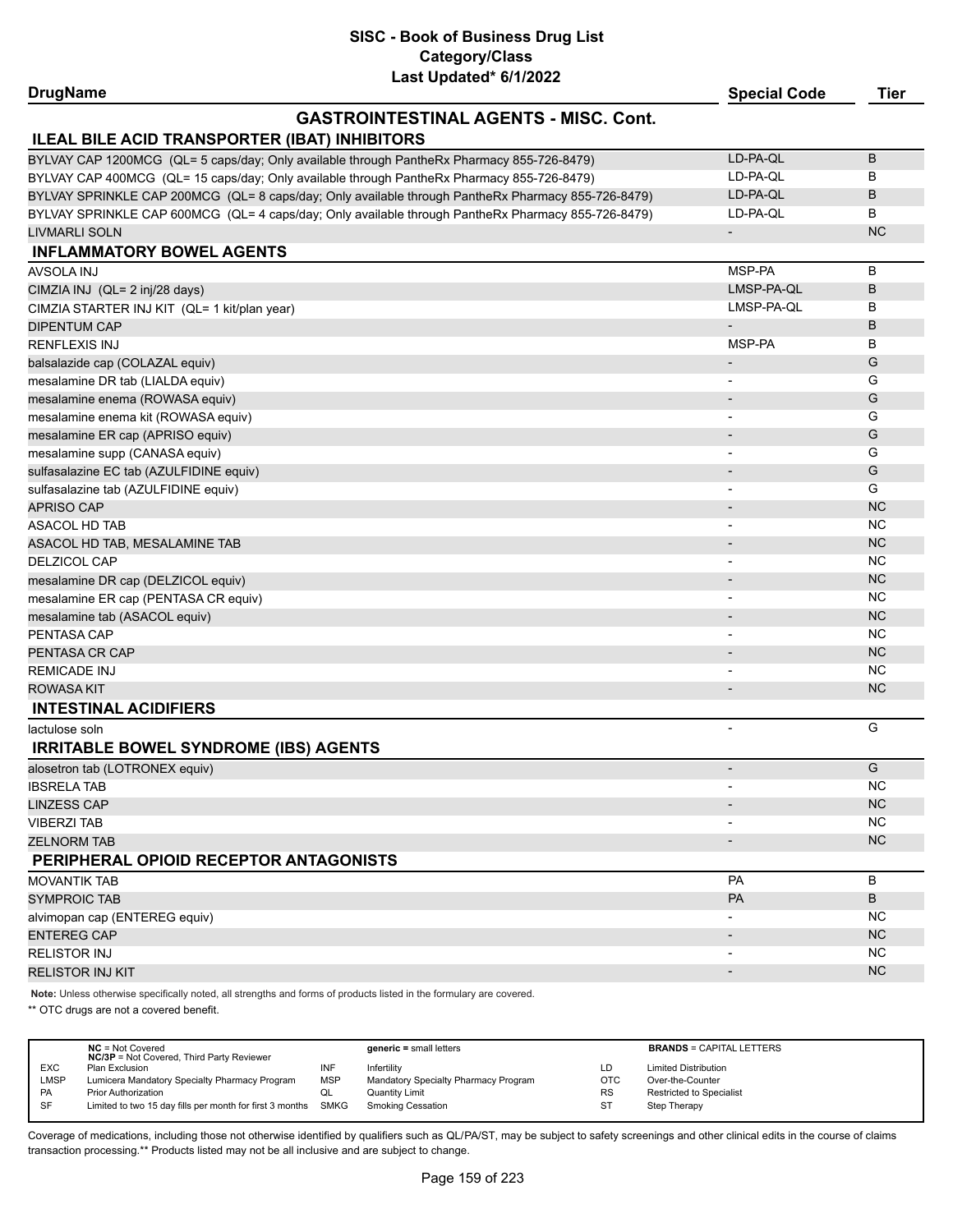# **SISC - Book of Business Drug List Category/Class**

| Last Updated* 6/1/2022                                                                               |                          |             |
|------------------------------------------------------------------------------------------------------|--------------------------|-------------|
| <b>DrugName</b>                                                                                      | <b>Special Code</b>      | <b>Tier</b> |
| <b>GASTROINTESTINAL AGENTS - MISC, Cont.</b><br><b>ILEAL BILE ACID TRANSPORTER (IBAT) INHIBITORS</b> |                          |             |
| BYLVAY CAP 1200MCG (QL= 5 caps/day; Only available through PantheRx Pharmacy 855-726-8479)           | LD-PA-QL                 | B           |
| BYLVAY CAP 400MCG (QL= 15 caps/day; Only available through PantheRx Pharmacy 855-726-8479)           | LD-PA-QL                 | В           |
| BYLVAY SPRINKLE CAP 200MCG (QL= 8 caps/day; Only available through PantheRx Pharmacy 855-726-8479)   | LD-PA-QL                 | В           |
| BYLVAY SPRINKLE CAP 600MCG (QL= 4 caps/day; Only available through PantheRx Pharmacy 855-726-8479)   | LD-PA-QL                 | В           |
| <b>LIVMARLI SOLN</b>                                                                                 | $\blacksquare$           | <b>NC</b>   |
| <b>INFLAMMATORY BOWEL AGENTS</b>                                                                     |                          |             |
| AVSOLA INJ                                                                                           | MSP-PA                   | B           |
| CIMZIA INJ (QL= 2 inj/28 days)                                                                       | LMSP-PA-QL               | B           |
| CIMZIA STARTER INJ KIT (QL= 1 kit/plan year)                                                         | LMSP-PA-QL               | в           |
| <b>DIPENTUM CAP</b>                                                                                  | $\overline{\phantom{a}}$ | B           |
| <b>RENFLEXIS INJ</b>                                                                                 | MSP-PA                   | В           |
|                                                                                                      |                          | G           |
| balsalazide cap (COLAZAL equiv)                                                                      |                          | G           |
| mesalamine DR tab (LIALDA equiv)                                                                     |                          | G           |
| mesalamine enema (ROWASA equiv)                                                                      |                          | G           |
| mesalamine enema kit (ROWASA equiv)                                                                  |                          | G           |
| mesalamine ER cap (APRISO equiv)                                                                     |                          |             |
| mesalamine supp (CANASA equiv)                                                                       |                          | G           |
| sulfasalazine EC tab (AZULFIDINE equiv)                                                              |                          | G           |
| sulfasalazine tab (AZULFIDINE equiv)                                                                 |                          | G           |
| <b>APRISO CAP</b>                                                                                    | $\overline{\phantom{a}}$ | <b>NC</b>   |
| <b>ASACOL HD TAB</b>                                                                                 |                          | <b>NC</b>   |
| ASACOL HD TAB, MESALAMINE TAB                                                                        |                          | <b>NC</b>   |
| <b>DELZICOL CAP</b>                                                                                  |                          | <b>NC</b>   |
| mesalamine DR cap (DELZICOL equiv)                                                                   |                          | <b>NC</b>   |
| mesalamine ER cap (PENTASA CR equiv)                                                                 | $\overline{\phantom{a}}$ | <b>NC</b>   |
| mesalamine tab (ASACOL equiv)                                                                        | $\overline{\phantom{a}}$ | <b>NC</b>   |
| PENTASA CAP                                                                                          | $\overline{\phantom{a}}$ | NC          |
| PENTASA CR CAP                                                                                       |                          | <b>NC</b>   |
| <b>REMICADE INJ</b>                                                                                  | $\blacksquare$           | <b>NC</b>   |
| ROWASA KIT                                                                                           |                          | <b>NC</b>   |
| <b>INTESTINAL ACIDIFIERS</b>                                                                         |                          |             |
| lactulose soln                                                                                       | ÷,                       | G           |
| <b>IRRITABLE BOWEL SYNDROME (IBS) AGENTS</b>                                                         |                          |             |
| alosetron tab (LOTRONEX equiv)                                                                       |                          | G           |
| <b>IBSRELA TAB</b>                                                                                   |                          | NC          |
| <b>LINZESS CAP</b>                                                                                   |                          | <b>NC</b>   |
| <b>VIBERZI TAB</b>                                                                                   |                          | <b>NC</b>   |
| <b>ZELNORM TAB</b>                                                                                   |                          | <b>NC</b>   |
| PERIPHERAL OPIOID RECEPTOR ANTAGONISTS                                                               |                          |             |
| <b>MOVANTIK TAB</b>                                                                                  | PA                       | В           |
| <b>SYMPROIC TAB</b>                                                                                  | PA                       | B           |
| alvimopan cap (ENTEREG equiv)                                                                        |                          | NC          |
| <b>ENTEREG CAP</b>                                                                                   |                          | <b>NC</b>   |
| <b>RELISTOR INJ</b>                                                                                  |                          | NC.         |
| RELISTOR INJ KIT                                                                                     | $\overline{\phantom{a}}$ | <b>NC</b>   |
|                                                                                                      |                          |             |

**Note:** Unless otherwise specifically noted, all strengths and forms of products listed in the formulary are covered.

\*\* OTC drugs are not a covered benefit.

|            | $NC = Not Covered$<br><b>NC/3P</b> = Not Covered, Third Party Reviewer |            | $generic = small letters$            |            | <b>BRANDS = CAPITAL LETTERS</b> |
|------------|------------------------------------------------------------------------|------------|--------------------------------------|------------|---------------------------------|
| <b>EXC</b> | Plan Exclusion                                                         | INF        | Infertilitv                          | LD         | <b>Limited Distribution</b>     |
| LMSP       | Lumicera Mandatory Specialty Pharmacy Program                          | <b>MSP</b> | Mandatory Specialty Pharmacy Program | <b>OTC</b> | Over-the-Counter                |
| PA         | <b>Prior Authorization</b>                                             | QL         | Quantity Limit                       | <b>RS</b>  | <b>Restricted to Specialist</b> |
| <b>SF</b>  | Limited to two 15 day fills per month for first 3 months SMKG          |            | Smoking Cessation                    | ST         | Step Therapy                    |
|            |                                                                        |            |                                      |            |                                 |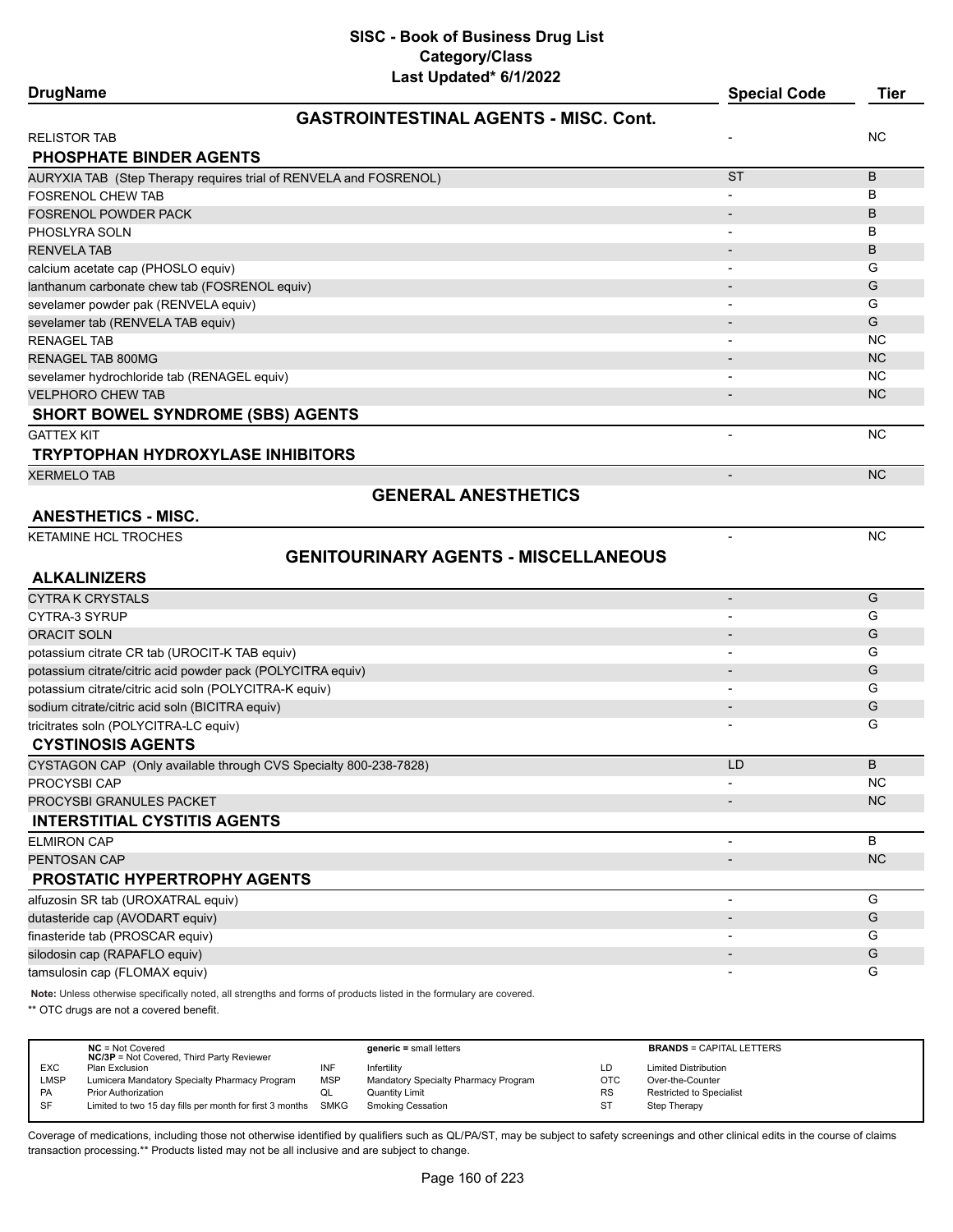| <b>DrugName</b>                                                   | Last Upualtu VIIILULL                        | <b>Special Code</b>      | <b>Tier</b> |
|-------------------------------------------------------------------|----------------------------------------------|--------------------------|-------------|
|                                                                   | <b>GASTROINTESTINAL AGENTS - MISC, Cont.</b> |                          |             |
| <b>RELISTOR TAB</b>                                               |                                              |                          | ΝC          |
| <b>PHOSPHATE BINDER AGENTS</b>                                    |                                              |                          |             |
| AURYXIA TAB (Step Therapy requires trial of RENVELA and FOSRENOL) |                                              | <b>ST</b>                | B           |
| <b>FOSRENOL CHEW TAB</b>                                          |                                              |                          | B           |
| FOSRENOL POWDER PACK                                              |                                              |                          | B           |
| PHOSLYRA SOLN                                                     |                                              |                          | В           |
| <b>RENVELA TAB</b>                                                |                                              |                          | B           |
| calcium acetate cap (PHOSLO equiv)                                |                                              |                          | G           |
| lanthanum carbonate chew tab (FOSRENOL equiv)                     |                                              |                          | G           |
| sevelamer powder pak (RENVELA equiv)                              |                                              |                          | G           |
| sevelamer tab (RENVELA TAB equiv)                                 |                                              |                          | G           |
| RENAGEL TAB                                                       |                                              |                          | <b>NC</b>   |
| <b>RENAGEL TAB 800MG</b>                                          |                                              |                          | <b>NC</b>   |
| sevelamer hydrochloride tab (RENAGEL equiv)                       |                                              |                          | <b>NC</b>   |
| <b>VELPHORO CHEW TAB</b>                                          |                                              |                          | <b>NC</b>   |
| <b>SHORT BOWEL SYNDROME (SBS) AGENTS</b>                          |                                              |                          |             |
| <b>GATTEX KIT</b>                                                 |                                              |                          | <b>NC</b>   |
| <b>TRYPTOPHAN HYDROXYLASE INHIBITORS</b>                          |                                              |                          |             |
| <b>XERMELO TAB</b>                                                |                                              | $\overline{\phantom{a}}$ | NC.         |
|                                                                   | <b>GENERAL ANESTHETICS</b>                   |                          |             |
| <b>ANESTHETICS - MISC.</b>                                        |                                              |                          |             |
| KETAMINE HCL TROCHES                                              |                                              |                          | <b>NC</b>   |
|                                                                   | <b>GENITOURINARY AGENTS - MISCELLANEOUS</b>  |                          |             |
| <b>ALKALINIZERS</b>                                               |                                              |                          |             |
| <b>CYTRA K CRYSTALS</b>                                           |                                              |                          | G           |
| CYTRA-3 SYRUP                                                     |                                              |                          | G           |
| <b>ORACIT SOLN</b>                                                |                                              |                          | G           |
| potassium citrate CR tab (UROCIT-K TAB equiv)                     |                                              |                          | G           |
| potassium citrate/citric acid powder pack (POLYCITRA equiv)       |                                              |                          | G           |
| potassium citrate/citric acid soln (POLYCITRA-K equiv)            |                                              |                          | G           |
| sodium citrate/citric acid soln (BICITRA equiv)                   |                                              |                          | G           |
| tricitrates soln (POLYCITRA-LC equiv)                             |                                              |                          | G           |
| <b>CYSTINOSIS AGENTS</b>                                          |                                              |                          |             |
| CYSTAGON CAP (Only available through CVS Specialty 800-238-7828)  |                                              | LD                       | B           |
| PROCYSBI CAP                                                      |                                              | -                        | <b>NC</b>   |
| PROCYSBI GRANULES PACKET                                          |                                              |                          | NC          |
| <b>INTERSTITIAL CYSTITIS AGENTS</b>                               |                                              |                          |             |
| <b>ELMIRON CAP</b>                                                |                                              |                          | B           |
| PENTOSAN CAP                                                      |                                              |                          | <b>NC</b>   |
| PROSTATIC HYPERTROPHY AGENTS                                      |                                              |                          |             |
| alfuzosin SR tab (UROXATRAL equiv)                                |                                              |                          | G           |
| dutasteride cap (AVODART equiv)                                   |                                              |                          | G           |
| finasteride tab (PROSCAR equiv)                                   |                                              |                          | G           |
| silodosin cap (RAPAFLO equiv)                                     |                                              |                          | G           |
| tamsulosin cap (FLOMAX equiv)                                     |                                              |                          | G           |

**Note:** Unless otherwise specifically noted, all strengths and forms of products listed in the formulary are covered.

\*\* OTC drugs are not a covered benefit.

|            | $NC = Not Covered$<br><b>NC/3P</b> = Not Covered, Third Party Reviewer |            | $generic = small letters$            |            | <b>BRANDS = CAPITAL LETTERS</b> |
|------------|------------------------------------------------------------------------|------------|--------------------------------------|------------|---------------------------------|
| <b>EXC</b> | Plan Exclusion                                                         | INF        | Infertility                          | LD         | <b>Limited Distribution</b>     |
| LMSP       | Lumicera Mandatory Specialty Pharmacy Program                          | <b>MSP</b> | Mandatory Specialty Pharmacy Program | <b>OTC</b> | Over-the-Counter                |
| PA         | <b>Prior Authorization</b>                                             | ◡          | Quantity Limit                       | <b>RS</b>  | <b>Restricted to Specialist</b> |
| SF         | Limited to two 15 day fills per month for first 3 months               | SMKG       | Smoking Cessation                    | ST         | Step Therapy                    |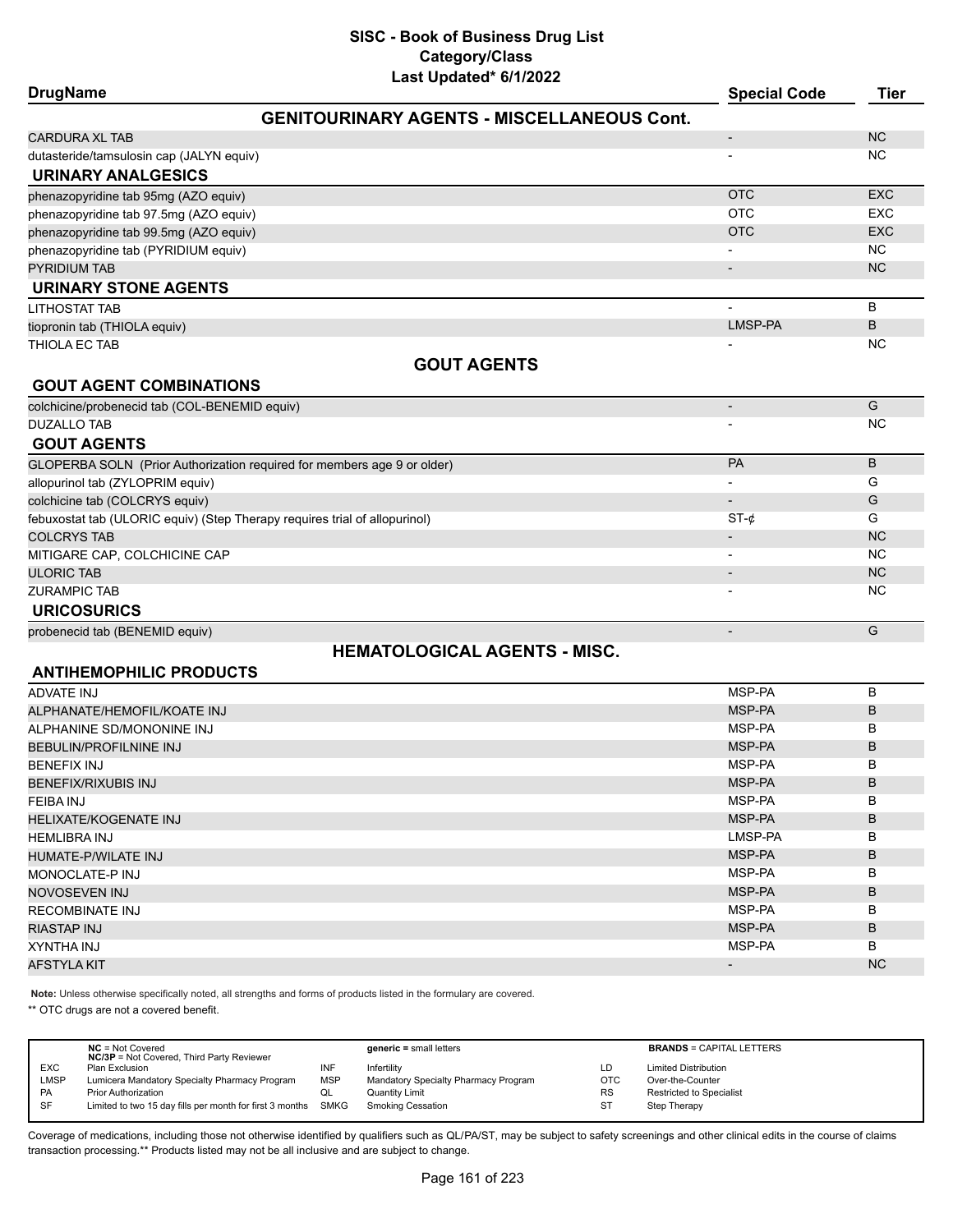| Last Updated" or 172022<br><b>DrugName</b>                                 | <b>Special Code</b>      | <b>Tier</b> |
|----------------------------------------------------------------------------|--------------------------|-------------|
| <b>GENITOURINARY AGENTS - MISCELLANEOUS Cont.</b>                          |                          |             |
| <b>CARDURA XL TAB</b>                                                      | $\overline{\phantom{a}}$ | <b>NC</b>   |
| dutasteride/tamsulosin cap (JALYN equiv)                                   |                          | NC.         |
| <b>URINARY ANALGESICS</b>                                                  |                          |             |
| phenazopyridine tab 95mg (AZO equiv)                                       | <b>OTC</b>               | <b>EXC</b>  |
| phenazopyridine tab 97.5mg (AZO equiv)                                     | <b>OTC</b>               | <b>EXC</b>  |
| phenazopyridine tab 99.5mg (AZO equiv)                                     | <b>OTC</b>               | <b>EXC</b>  |
| phenazopyridine tab (PYRIDIUM equiv)                                       |                          | NC.         |
| <b>PYRIDIUM TAB</b>                                                        |                          | <b>NC</b>   |
| URINARY STONE AGENTS                                                       |                          |             |
| <b>LITHOSTAT TAB</b>                                                       |                          | B           |
| tiopronin tab (THIOLA equiv)                                               | LMSP-PA                  | B           |
| THIOLA EC TAB                                                              |                          | <b>NC</b>   |
| <b>GOUT AGENTS</b>                                                         |                          |             |
| <b>GOUT AGENT COMBINATIONS</b>                                             |                          |             |
| colchicine/probenecid tab (COL-BENEMID equiv)                              | $\blacksquare$           | G           |
| <b>DUZALLO TAB</b>                                                         |                          | <b>NC</b>   |
| <b>GOUT AGENTS</b>                                                         |                          |             |
| GLOPERBA SOLN (Prior Authorization required for members age 9 or older)    | PA                       | B           |
| allopurinol tab (ZYLOPRIM equiv)                                           |                          | G           |
| colchicine tab (COLCRYS equiv)                                             |                          | G           |
| febuxostat tab (ULORIC equiv) (Step Therapy requires trial of allopurinol) | $ST-c$                   | G           |
| <b>COLCRYS TAB</b>                                                         |                          | <b>NC</b>   |
| MITIGARE CAP, COLCHICINE CAP                                               |                          | <b>NC</b>   |
| <b>ULORIC TAB</b>                                                          |                          | <b>NC</b>   |
| <b>ZURAMPIC TAB</b>                                                        |                          | <b>NC</b>   |
| <b>URICOSURICS</b>                                                         |                          |             |
| probenecid tab (BENEMID equiv)                                             |                          | G           |

# **HEMATOLOGICAL AGENTS - MISC.**

# **ANTIHEMOPHILIC PRODUCTS**

| ADVATE INJ                   | MSP-PA  | B              |
|------------------------------|---------|----------------|
| ALPHANATE/HEMOFIL/KOATE INJ  | MSP-PA  | B              |
| ALPHANINE SD/MONONINE INJ    | MSP-PA  | B              |
| BEBULIN/PROFILNINE INJ       | MSP-PA  | B              |
| <b>BENEFIX INJ</b>           | MSP-PA  | B              |
| BENEFIX/RIXUBIS INJ          | MSP-PA  | B              |
| FEIBA INJ                    | MSP-PA  | B              |
| <b>HELIXATE/KOGENATE INJ</b> | MSP-PA  | B              |
| <b>HEMLIBRA INJ</b>          | LMSP-PA | B              |
| HUMATE-P/WILATE INJ          | MSP-PA  | B              |
| MONOCLATE-P INJ              | MSP-PA  | B              |
| NOVOSEVEN INJ                | MSP-PA  | B              |
| RECOMBINATE INJ              | MSP-PA  | B              |
| RIASTAP INJ                  | MSP-PA  | B              |
| XYNTHA INJ                   | MSP-PA  | B              |
| AFSTYLA KIT                  |         | N <sub>C</sub> |

**Note:** Unless otherwise specifically noted, all strengths and forms of products listed in the formulary are covered.

\*\* OTC drugs are not a covered benefit.

|             | $NC = Not Covered$<br><b>NC/3P</b> = Not Covered, Third Party Reviewer |            | $generic = small letters$            |            | <b>BRANDS = CAPITAL LETTERS</b> |
|-------------|------------------------------------------------------------------------|------------|--------------------------------------|------------|---------------------------------|
| <b>EXC</b>  | Plan Exclusion                                                         | INF        | Infertility                          | LD         | <b>Limited Distribution</b>     |
| <b>LMSP</b> | Lumicera Mandatory Specialty Pharmacy Program                          | <b>MSP</b> | Mandatory Specialty Pharmacy Program | <b>OTC</b> | Over-the-Counter                |
| <b>PA</b>   | <b>Prior Authorization</b>                                             | QL         | Quantity Limit                       | <b>RS</b>  | <b>Restricted to Specialist</b> |
| <b>SF</b>   | Limited to two 15 day fills per month for first 3 months SMKG          |            | <b>Smoking Cessation</b>             | ST         | Step Therapy                    |
|             |                                                                        |            |                                      |            |                                 |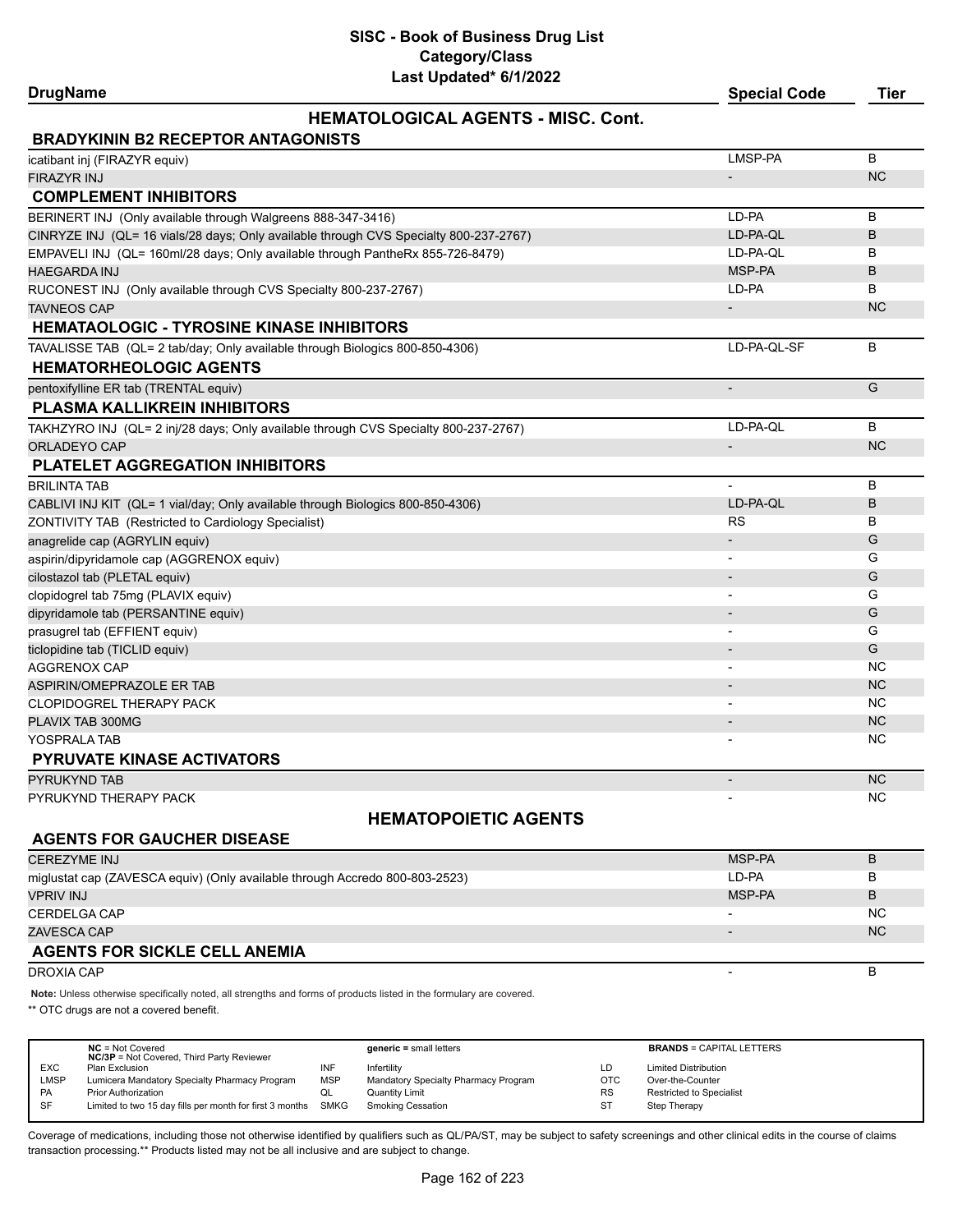**DrugName Special Code Tier**

# **HEMATOLOGICAL AGENTS - MISC. Cont.**

| <b>BRADYKININ B2 RECEPTOR ANTAGONISTS</b>                                             |                          |           |
|---------------------------------------------------------------------------------------|--------------------------|-----------|
| icatibant inj (FIRAZYR equiv)                                                         | LMSP-PA                  | B         |
| <b>FIRAZYR INJ</b>                                                                    |                          | <b>NC</b> |
| <b>COMPLEMENT INHIBITORS</b>                                                          |                          |           |
| BERINERT INJ (Only available through Walgreens 888-347-3416)                          | LD-PA                    | B         |
| CINRYZE INJ (QL= 16 vials/28 days; Only available through CVS Specialty 800-237-2767) | LD-PA-QL                 | B         |
| EMPAVELI INJ (QL= 160ml/28 days; Only available through PantheRx 855-726-8479)        | LD-PA-QL                 | B         |
| <b>HAEGARDA INJ</b>                                                                   | MSP-PA                   | B         |
| RUCONEST INJ (Only available through CVS Specialty 800-237-2767)                      | LD-PA                    | B         |
| <b>TAVNEOS CAP</b>                                                                    |                          | <b>NC</b> |
| <b>HEMATAOLOGIC - TYROSINE KINASE INHIBITORS</b>                                      |                          |           |
| TAVALISSE TAB (QL= 2 tab/day; Only available through Biologics 800-850-4306)          | LD-PA-QL-SF              | B         |
| <b>HEMATORHEOLOGIC AGENTS</b>                                                         |                          |           |
| pentoxifylline ER tab (TRENTAL equiv)                                                 |                          | G         |
| <b>PLASMA KALLIKREIN INHIBITORS</b>                                                   |                          |           |
| TAKHZYRO INJ (QL= 2 inj/28 days; Only available through CVS Specialty 800-237-2767)   | LD-PA-QL                 | B         |
| ORLADEYO CAP                                                                          | $\overline{\phantom{a}}$ | <b>NC</b> |
| <b>PLATELET AGGREGATION INHIBITORS</b>                                                |                          |           |
| <b>BRILINTA TAB</b>                                                                   |                          | B         |
| CABLIVI INJ KIT (QL= 1 vial/day; Only available through Biologics 800-850-4306)       | LD-PA-QL                 | B         |
| ZONTIVITY TAB (Restricted to Cardiology Specialist)                                   | <b>RS</b>                | B         |
| anagrelide cap (AGRYLIN equiv)                                                        |                          | G         |
| aspirin/dipyridamole cap (AGGRENOX equiv)                                             |                          | G         |
| cilostazol tab (PLETAL equiv)                                                         |                          | G         |
| clopidogrel tab 75mg (PLAVIX equiv)                                                   | $\overline{\phantom{0}}$ | G         |
| dipyridamole tab (PERSANTINE equiv)                                                   |                          | G         |
| prasugrel tab (EFFIENT equiv)                                                         |                          | G         |
| ticlopidine tab (TICLID equiv)                                                        |                          | G         |
| <b>AGGRENOX CAP</b>                                                                   |                          | <b>NC</b> |
| ASPIRIN/OMEPRAZOLE ER TAB                                                             | $\blacksquare$           | <b>NC</b> |
| <b>CLOPIDOGREL THERAPY PACK</b>                                                       |                          | <b>NC</b> |
| PLAVIX TAB 300MG                                                                      | $\blacksquare$           | <b>NC</b> |
| YOSPRALA TAB                                                                          |                          | <b>NC</b> |
| <b>PYRUVATE KINASE ACTIVATORS</b>                                                     |                          |           |
| PYRUKYND TAB                                                                          |                          | <b>NC</b> |

PYRUKYND THERAPY PACK AND THERAPY PACK AND THE RESERVE THE RESERVE THAT IS A RESERVE THAT IS A RESERVE THAT IS A RESERVE THAT IS A RESERVE THAT IS A RESERVE THAT IS A RESERVE THAT IS A RESERVE THAT IS A RESERVE THAT IS A R

# **HEMATOPOIETIC AGENTS**

# **AGENTS FOR GAUCHER DISEASE**

| <b>CEREZYME INJ</b>                                                         | MSP-PA | В         |
|-----------------------------------------------------------------------------|--------|-----------|
| miglustat cap (ZAVESCA equiv) (Only available through Accredo 800-803-2523) | LD-PA  | В         |
| <b>VPRIV INJ</b>                                                            | MSP-PA | в         |
| <b>CERDELGA CAP</b>                                                         |        | <b>NC</b> |
| ZAVESCA CAP                                                                 |        | <b>NC</b> |
| <b>AGENTS FOR SICKLE CELL ANEMIA</b>                                        |        |           |
| DROXIA CAP                                                                  |        | D         |

**Note:** Unless otherwise specifically noted, all strengths and forms of products listed in the formulary are covered.

\*\* OTC drugs are not a covered benefit.

|            | $NC = Not Covered$<br><b>NC/3P</b> = Not Covered, Third Party Reviewer |            | $generic = small letters$            |            | <b>BRANDS = CAPITAL LETTERS</b> |
|------------|------------------------------------------------------------------------|------------|--------------------------------------|------------|---------------------------------|
| <b>EXC</b> | Plan Exclusion                                                         | INF        | Infertility                          | LD         | <b>Limited Distribution</b>     |
| LMSP       | Lumicera Mandatory Specialty Pharmacy Program                          | <b>MSP</b> | Mandatory Specialty Pharmacy Program | <b>OTC</b> | Over-the-Counter                |
| <b>PA</b>  | <b>Prior Authorization</b>                                             | QL         | Quantity Limit                       | <b>RS</b>  | <b>Restricted to Specialist</b> |
| SF         | Limited to two 15 day fills per month for first 3 months               | SMKG       | Smoking Cessation                    | <b>ST</b>  | Step Therapy                    |
|            |                                                                        |            |                                      |            |                                 |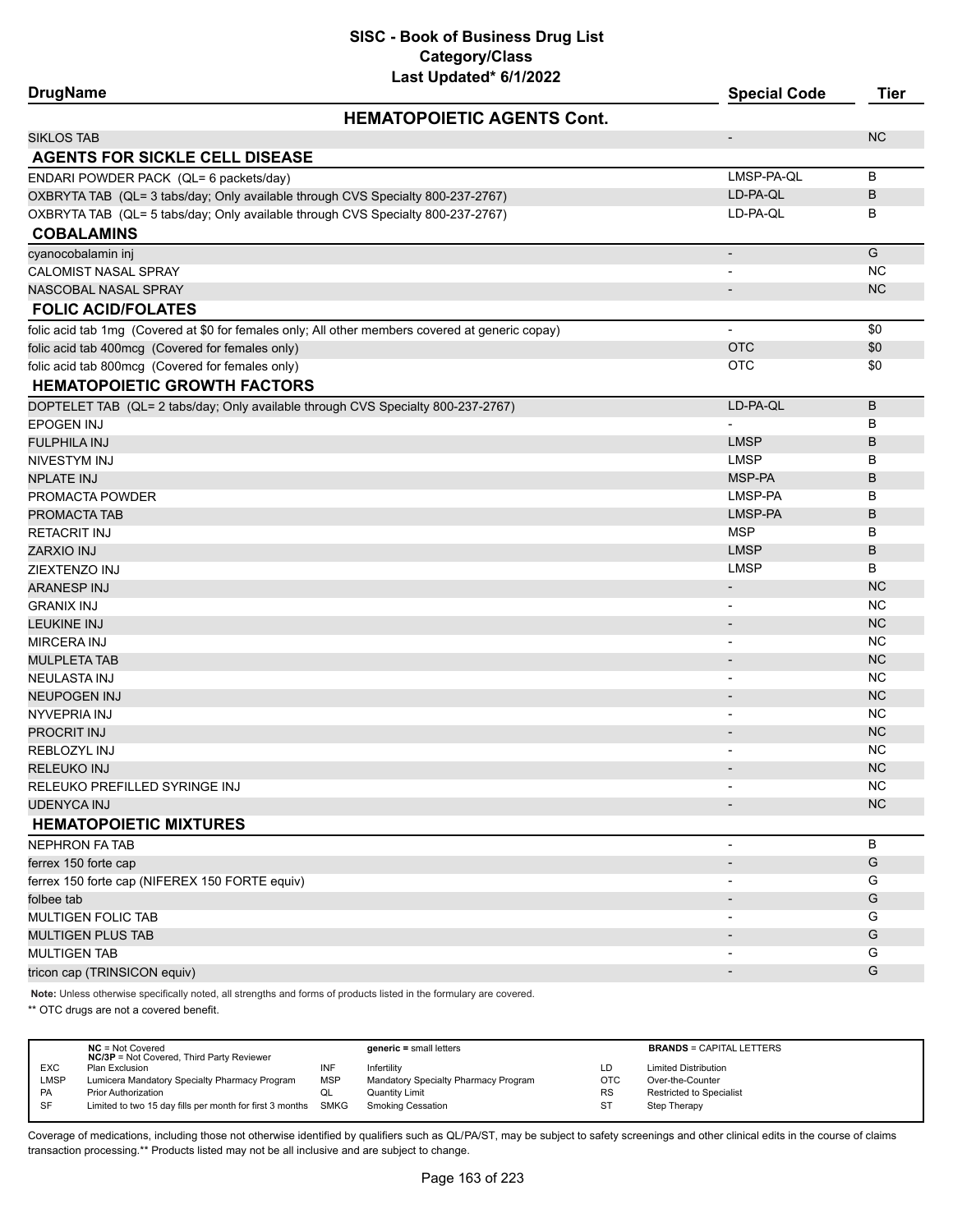| <b>DrugName</b>                                                                                  | <b>Special Code</b>      | <b>Tier</b> |
|--------------------------------------------------------------------------------------------------|--------------------------|-------------|
| <b>HEMATOPOIETIC AGENTS Cont.</b>                                                                |                          |             |
| <b>SIKLOS TAB</b>                                                                                | $\overline{\phantom{a}}$ | <b>NC</b>   |
| <b>AGENTS FOR SICKLE CELL DISEASE</b>                                                            |                          |             |
| ENDARI POWDER PACK (QL= 6 packets/day)                                                           | LMSP-PA-QL               | B           |
| OXBRYTA TAB (QL= 3 tabs/day; Only available through CVS Specialty 800-237-2767)                  | LD-PA-QL                 | B           |
| OXBRYTA TAB (QL= 5 tabs/day; Only available through CVS Specialty 800-237-2767)                  | LD-PA-QL                 | В           |
| <b>COBALAMINS</b>                                                                                |                          |             |
| cyanocobalamin inj                                                                               |                          | G           |
| <b>CALOMIST NASAL SPRAY</b>                                                                      | $\overline{\phantom{a}}$ | <b>NC</b>   |
| NASCOBAL NASAL SPRAY                                                                             |                          | <b>NC</b>   |
| <b>FOLIC ACID/FOLATES</b>                                                                        |                          |             |
| folic acid tab 1mg (Covered at \$0 for females only; All other members covered at generic copay) | $\overline{\phantom{a}}$ | \$0         |
| folic acid tab 400mcg (Covered for females only)                                                 | <b>OTC</b>               | \$0         |
| folic acid tab 800mcg (Covered for females only)                                                 | <b>OTC</b>               | \$0         |
| <b>HEMATOPOIETIC GROWTH FACTORS</b>                                                              |                          |             |
| DOPTELET TAB (QL= 2 tabs/day; Only available through CVS Specialty 800-237-2767)                 | LD-PA-QL                 | B           |
| <b>EPOGEN INJ</b>                                                                                | $\blacksquare$           | В           |
| <b>FULPHILA INJ</b>                                                                              | <b>LMSP</b>              | B           |
| NIVESTYM INJ                                                                                     | <b>LMSP</b>              | B           |
| <b>NPLATE INJ</b>                                                                                | MSP-PA                   | B           |
| PROMACTA POWDER                                                                                  | LMSP-PA                  | В           |
| PROMACTA TAB                                                                                     | LMSP-PA                  | B           |
| <b>RETACRIT INJ</b>                                                                              | <b>MSP</b>               | B           |
| <b>ZARXIO INJ</b>                                                                                | <b>LMSP</b>              | B           |
| <b>ZIEXTENZO INJ</b>                                                                             | <b>LMSP</b>              | в           |
| <b>ARANESP INJ</b>                                                                               | $\overline{\phantom{a}}$ | <b>NC</b>   |
| <b>GRANIX INJ</b>                                                                                |                          | <b>NC</b>   |
| <b>LEUKINE INJ</b>                                                                               | $\overline{\phantom{a}}$ | <b>NC</b>   |
| <b>MIRCERA INJ</b>                                                                               |                          | <b>NC</b>   |
| <b>MULPLETA TAB</b>                                                                              | $\overline{\phantom{a}}$ | <b>NC</b>   |
| <b>NEULASTA INJ</b>                                                                              | $\overline{\phantom{a}}$ | <b>NC</b>   |
| <b>NEUPOGEN INJ</b>                                                                              |                          | <b>NC</b>   |
| NYVEPRIA INJ                                                                                     | $\blacksquare$           | <b>NC</b>   |
| <b>PROCRIT INJ</b>                                                                               |                          | <b>NC</b>   |
| <b>REBLOZYL INJ</b>                                                                              |                          | <b>NC</b>   |
| <b>RELEUKO INJ</b>                                                                               |                          | <b>NC</b>   |
| RELEUKO PREFILLED SYRINGE INJ                                                                    |                          | <b>NC</b>   |
| <b>UDENYCA INJ</b>                                                                               |                          | NC          |
| <b>HEMATOPOIETIC MIXTURES</b>                                                                    |                          |             |
| <b>NEPHRON FA TAB</b>                                                                            | $\overline{\phantom{a}}$ | B           |
| ferrex 150 forte cap                                                                             |                          | G           |
| ferrex 150 forte cap (NIFEREX 150 FORTE equiv)                                                   |                          | G           |
| folbee tab                                                                                       |                          | G           |
| MULTIGEN FOLIC TAB                                                                               |                          | G           |
| <b>MULTIGEN PLUS TAB</b>                                                                         |                          | G           |
| <b>MULTIGEN TAB</b>                                                                              | $\overline{\phantom{a}}$ | G           |
| tricon cap (TRINSICON equiv)                                                                     | $\overline{\phantom{a}}$ | G           |

**Note:** Unless otherwise specifically noted, all strengths and forms of products listed in the formulary are covered.

\*\* OTC drugs are not a covered benefit.

|            | $NC = Not Covered$<br><b>NC/3P</b> = Not Covered, Third Party Reviewer |            | $generic = small letters$            |           | <b>BRANDS = CAPITAL LETTERS</b> |
|------------|------------------------------------------------------------------------|------------|--------------------------------------|-----------|---------------------------------|
| <b>EXC</b> | Plan Exclusion                                                         | INF        | Infertility                          | LD        | <b>Limited Distribution</b>     |
| LMSP       | Lumicera Mandatory Specialty Pharmacy Program                          | <b>MSP</b> | Mandatory Specialty Pharmacy Program | OTC       | Over-the-Counter                |
| <b>PA</b>  | <b>Prior Authorization</b>                                             | QL         | <b>Quantity Limit</b>                | <b>RS</b> | <b>Restricted to Specialist</b> |
| SF         | Limited to two 15 day fills per month for first 3 months SMKG          |            | <b>Smoking Cessation</b>             | ST        | Step Therapy                    |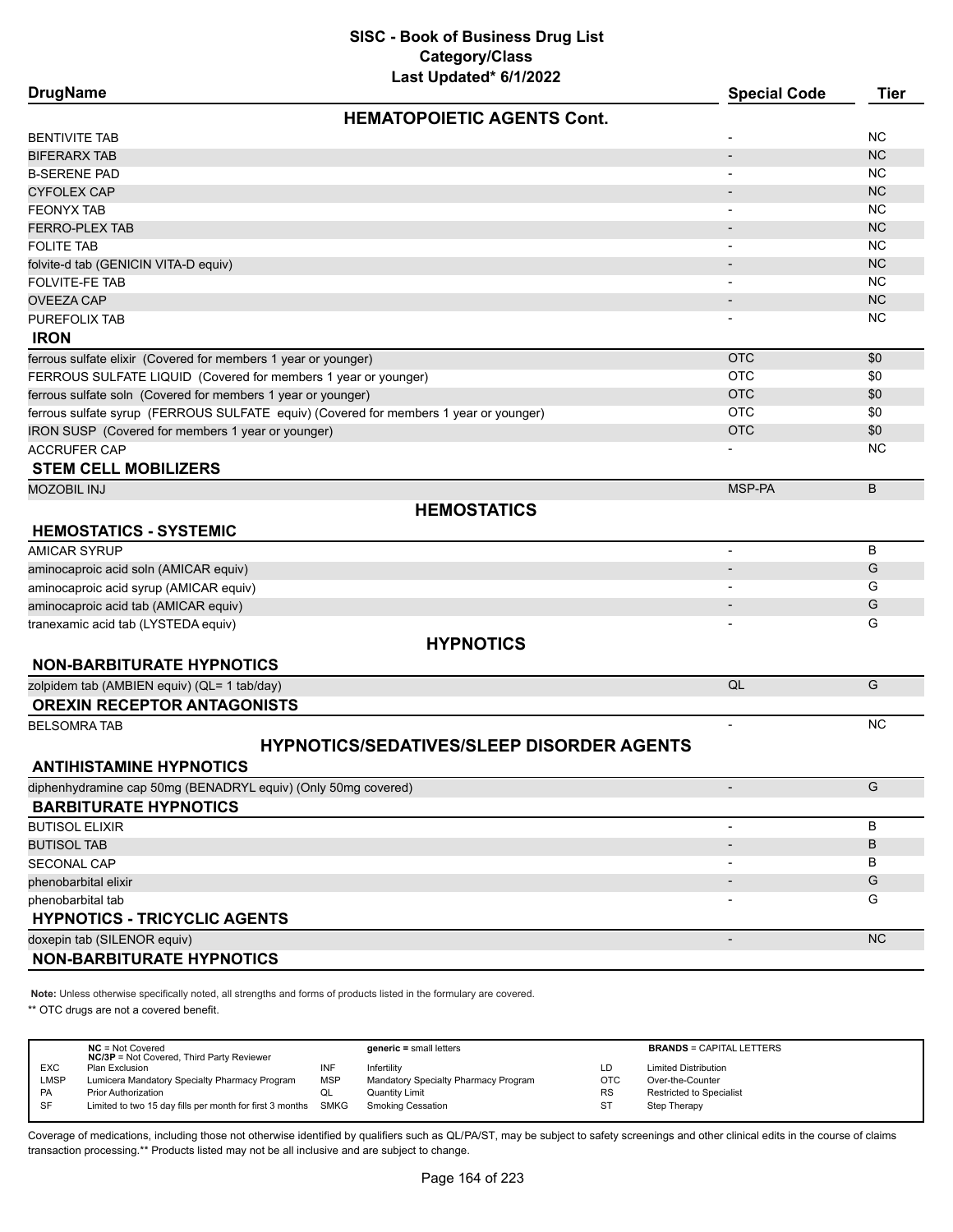| <b>HEMATOPOIETIC AGENTS Cont.</b><br><b>NC</b><br>BENTIVITE TAB<br><b>NC</b><br>BIFERARX TAB<br>NC.<br>B-SERENE PAD<br><b>CYFOLEX CAP</b><br><b>NC</b><br><b>NC</b><br>FEONYX TAB<br><b>FERRO-PLEX TAB</b><br><b>NC</b><br><b>NC</b><br><b>FOLITE TAB</b><br><b>NC</b><br>folvite-d tab (GENICIN VITA-D equiv)<br><b>NC</b><br>FOLVITE-FE TAB<br><b>NC</b><br><b>OVEEZA CAP</b><br>ΝC<br>PUREFOLIX TAB<br><b>IRON</b><br><b>OTC</b><br>ferrous sulfate elixir (Covered for members 1 year or younger)<br>\$0<br><b>OTC</b><br>FERROUS SULFATE LIQUID (Covered for members 1 year or younger)<br>\$0<br><b>OTC</b><br>ferrous sulfate soln (Covered for members 1 year or younger)<br>\$0<br>ferrous sulfate syrup (FERROUS SULFATE equiv) (Covered for members 1 year or younger)<br><b>OTC</b><br>\$0<br><b>OTC</b><br>\$0<br>IRON SUSP (Covered for members 1 year or younger)<br>ΝC<br><b>ACCRUFER CAP</b><br><b>STEM CELL MOBILIZERS</b><br>MSP-PA<br>B<br>MOZOBIL INJ<br><b>HEMOSTATICS</b><br><b>HEMOSTATICS - SYSTEMIC</b><br>B<br>AMICAR SYRUP<br>$\overline{\phantom{0}}$<br>G<br>aminocaproic acid soln (AMICAR equiv)<br>aminocaproic acid syrup (AMICAR equiv)<br>G<br>G<br>aminocaproic acid tab (AMICAR equiv)<br>G<br>tranexamic acid tab (LYSTEDA equiv)<br><b>HYPNOTICS</b><br><b>NON-BARBITURATE HYPNOTICS</b><br>G<br>QL<br>zolpidem tab (AMBIEN equiv) (QL= 1 tab/day)<br><b>OREXIN RECEPTOR ANTAGONISTS</b><br><b>NC</b><br><b>BELSOMRA TAB</b><br><b>HYPNOTICS/SEDATIVES/SLEEP DISORDER AGENTS</b><br><b>ANTIHISTAMINE HYPNOTICS</b><br>G<br>diphenhydramine cap 50mg (BENADRYL equiv) (Only 50mg covered)<br><b>BARBITURATE HYPNOTICS</b><br>B<br><b>BUTISOL ELIXIR</b><br>B<br><b>BUTISOL TAB</b><br><b>SECONAL CAP</b><br>В<br>G<br>phenobarbital elixir<br>G<br>phenobarbital tab<br><b>HYPNOTICS - TRICYCLIC AGENTS</b><br><b>NC</b><br>doxepin tab (SILENOR equiv) | <b>DrugName</b>                  | $1001$ production of $11$ for $1$ | <b>Special Code</b> | <b>Tier</b> |
|------------------------------------------------------------------------------------------------------------------------------------------------------------------------------------------------------------------------------------------------------------------------------------------------------------------------------------------------------------------------------------------------------------------------------------------------------------------------------------------------------------------------------------------------------------------------------------------------------------------------------------------------------------------------------------------------------------------------------------------------------------------------------------------------------------------------------------------------------------------------------------------------------------------------------------------------------------------------------------------------------------------------------------------------------------------------------------------------------------------------------------------------------------------------------------------------------------------------------------------------------------------------------------------------------------------------------------------------------------------------------------------------------------------------------------------------------------------------------------------------------------------------------------------------------------------------------------------------------------------------------------------------------------------------------------------------------------------------------------------------------------------------------------------------------------------------------------------------------------------------------------------------|----------------------------------|-----------------------------------|---------------------|-------------|
|                                                                                                                                                                                                                                                                                                                                                                                                                                                                                                                                                                                                                                                                                                                                                                                                                                                                                                                                                                                                                                                                                                                                                                                                                                                                                                                                                                                                                                                                                                                                                                                                                                                                                                                                                                                                                                                                                                |                                  |                                   |                     |             |
|                                                                                                                                                                                                                                                                                                                                                                                                                                                                                                                                                                                                                                                                                                                                                                                                                                                                                                                                                                                                                                                                                                                                                                                                                                                                                                                                                                                                                                                                                                                                                                                                                                                                                                                                                                                                                                                                                                |                                  |                                   |                     |             |
|                                                                                                                                                                                                                                                                                                                                                                                                                                                                                                                                                                                                                                                                                                                                                                                                                                                                                                                                                                                                                                                                                                                                                                                                                                                                                                                                                                                                                                                                                                                                                                                                                                                                                                                                                                                                                                                                                                |                                  |                                   |                     |             |
|                                                                                                                                                                                                                                                                                                                                                                                                                                                                                                                                                                                                                                                                                                                                                                                                                                                                                                                                                                                                                                                                                                                                                                                                                                                                                                                                                                                                                                                                                                                                                                                                                                                                                                                                                                                                                                                                                                |                                  |                                   |                     |             |
|                                                                                                                                                                                                                                                                                                                                                                                                                                                                                                                                                                                                                                                                                                                                                                                                                                                                                                                                                                                                                                                                                                                                                                                                                                                                                                                                                                                                                                                                                                                                                                                                                                                                                                                                                                                                                                                                                                |                                  |                                   |                     |             |
|                                                                                                                                                                                                                                                                                                                                                                                                                                                                                                                                                                                                                                                                                                                                                                                                                                                                                                                                                                                                                                                                                                                                                                                                                                                                                                                                                                                                                                                                                                                                                                                                                                                                                                                                                                                                                                                                                                |                                  |                                   |                     |             |
|                                                                                                                                                                                                                                                                                                                                                                                                                                                                                                                                                                                                                                                                                                                                                                                                                                                                                                                                                                                                                                                                                                                                                                                                                                                                                                                                                                                                                                                                                                                                                                                                                                                                                                                                                                                                                                                                                                |                                  |                                   |                     |             |
|                                                                                                                                                                                                                                                                                                                                                                                                                                                                                                                                                                                                                                                                                                                                                                                                                                                                                                                                                                                                                                                                                                                                                                                                                                                                                                                                                                                                                                                                                                                                                                                                                                                                                                                                                                                                                                                                                                |                                  |                                   |                     |             |
|                                                                                                                                                                                                                                                                                                                                                                                                                                                                                                                                                                                                                                                                                                                                                                                                                                                                                                                                                                                                                                                                                                                                                                                                                                                                                                                                                                                                                                                                                                                                                                                                                                                                                                                                                                                                                                                                                                |                                  |                                   |                     |             |
|                                                                                                                                                                                                                                                                                                                                                                                                                                                                                                                                                                                                                                                                                                                                                                                                                                                                                                                                                                                                                                                                                                                                                                                                                                                                                                                                                                                                                                                                                                                                                                                                                                                                                                                                                                                                                                                                                                |                                  |                                   |                     |             |
|                                                                                                                                                                                                                                                                                                                                                                                                                                                                                                                                                                                                                                                                                                                                                                                                                                                                                                                                                                                                                                                                                                                                                                                                                                                                                                                                                                                                                                                                                                                                                                                                                                                                                                                                                                                                                                                                                                |                                  |                                   |                     |             |
|                                                                                                                                                                                                                                                                                                                                                                                                                                                                                                                                                                                                                                                                                                                                                                                                                                                                                                                                                                                                                                                                                                                                                                                                                                                                                                                                                                                                                                                                                                                                                                                                                                                                                                                                                                                                                                                                                                |                                  |                                   |                     |             |
|                                                                                                                                                                                                                                                                                                                                                                                                                                                                                                                                                                                                                                                                                                                                                                                                                                                                                                                                                                                                                                                                                                                                                                                                                                                                                                                                                                                                                                                                                                                                                                                                                                                                                                                                                                                                                                                                                                |                                  |                                   |                     |             |
|                                                                                                                                                                                                                                                                                                                                                                                                                                                                                                                                                                                                                                                                                                                                                                                                                                                                                                                                                                                                                                                                                                                                                                                                                                                                                                                                                                                                                                                                                                                                                                                                                                                                                                                                                                                                                                                                                                |                                  |                                   |                     |             |
|                                                                                                                                                                                                                                                                                                                                                                                                                                                                                                                                                                                                                                                                                                                                                                                                                                                                                                                                                                                                                                                                                                                                                                                                                                                                                                                                                                                                                                                                                                                                                                                                                                                                                                                                                                                                                                                                                                |                                  |                                   |                     |             |
|                                                                                                                                                                                                                                                                                                                                                                                                                                                                                                                                                                                                                                                                                                                                                                                                                                                                                                                                                                                                                                                                                                                                                                                                                                                                                                                                                                                                                                                                                                                                                                                                                                                                                                                                                                                                                                                                                                |                                  |                                   |                     |             |
|                                                                                                                                                                                                                                                                                                                                                                                                                                                                                                                                                                                                                                                                                                                                                                                                                                                                                                                                                                                                                                                                                                                                                                                                                                                                                                                                                                                                                                                                                                                                                                                                                                                                                                                                                                                                                                                                                                |                                  |                                   |                     |             |
|                                                                                                                                                                                                                                                                                                                                                                                                                                                                                                                                                                                                                                                                                                                                                                                                                                                                                                                                                                                                                                                                                                                                                                                                                                                                                                                                                                                                                                                                                                                                                                                                                                                                                                                                                                                                                                                                                                |                                  |                                   |                     |             |
|                                                                                                                                                                                                                                                                                                                                                                                                                                                                                                                                                                                                                                                                                                                                                                                                                                                                                                                                                                                                                                                                                                                                                                                                                                                                                                                                                                                                                                                                                                                                                                                                                                                                                                                                                                                                                                                                                                |                                  |                                   |                     |             |
|                                                                                                                                                                                                                                                                                                                                                                                                                                                                                                                                                                                                                                                                                                                                                                                                                                                                                                                                                                                                                                                                                                                                                                                                                                                                                                                                                                                                                                                                                                                                                                                                                                                                                                                                                                                                                                                                                                |                                  |                                   |                     |             |
|                                                                                                                                                                                                                                                                                                                                                                                                                                                                                                                                                                                                                                                                                                                                                                                                                                                                                                                                                                                                                                                                                                                                                                                                                                                                                                                                                                                                                                                                                                                                                                                                                                                                                                                                                                                                                                                                                                |                                  |                                   |                     |             |
|                                                                                                                                                                                                                                                                                                                                                                                                                                                                                                                                                                                                                                                                                                                                                                                                                                                                                                                                                                                                                                                                                                                                                                                                                                                                                                                                                                                                                                                                                                                                                                                                                                                                                                                                                                                                                                                                                                |                                  |                                   |                     |             |
|                                                                                                                                                                                                                                                                                                                                                                                                                                                                                                                                                                                                                                                                                                                                                                                                                                                                                                                                                                                                                                                                                                                                                                                                                                                                                                                                                                                                                                                                                                                                                                                                                                                                                                                                                                                                                                                                                                |                                  |                                   |                     |             |
|                                                                                                                                                                                                                                                                                                                                                                                                                                                                                                                                                                                                                                                                                                                                                                                                                                                                                                                                                                                                                                                                                                                                                                                                                                                                                                                                                                                                                                                                                                                                                                                                                                                                                                                                                                                                                                                                                                |                                  |                                   |                     |             |
|                                                                                                                                                                                                                                                                                                                                                                                                                                                                                                                                                                                                                                                                                                                                                                                                                                                                                                                                                                                                                                                                                                                                                                                                                                                                                                                                                                                                                                                                                                                                                                                                                                                                                                                                                                                                                                                                                                |                                  |                                   |                     |             |
|                                                                                                                                                                                                                                                                                                                                                                                                                                                                                                                                                                                                                                                                                                                                                                                                                                                                                                                                                                                                                                                                                                                                                                                                                                                                                                                                                                                                                                                                                                                                                                                                                                                                                                                                                                                                                                                                                                |                                  |                                   |                     |             |
|                                                                                                                                                                                                                                                                                                                                                                                                                                                                                                                                                                                                                                                                                                                                                                                                                                                                                                                                                                                                                                                                                                                                                                                                                                                                                                                                                                                                                                                                                                                                                                                                                                                                                                                                                                                                                                                                                                |                                  |                                   |                     |             |
|                                                                                                                                                                                                                                                                                                                                                                                                                                                                                                                                                                                                                                                                                                                                                                                                                                                                                                                                                                                                                                                                                                                                                                                                                                                                                                                                                                                                                                                                                                                                                                                                                                                                                                                                                                                                                                                                                                |                                  |                                   |                     |             |
|                                                                                                                                                                                                                                                                                                                                                                                                                                                                                                                                                                                                                                                                                                                                                                                                                                                                                                                                                                                                                                                                                                                                                                                                                                                                                                                                                                                                                                                                                                                                                                                                                                                                                                                                                                                                                                                                                                |                                  |                                   |                     |             |
|                                                                                                                                                                                                                                                                                                                                                                                                                                                                                                                                                                                                                                                                                                                                                                                                                                                                                                                                                                                                                                                                                                                                                                                                                                                                                                                                                                                                                                                                                                                                                                                                                                                                                                                                                                                                                                                                                                |                                  |                                   |                     |             |
|                                                                                                                                                                                                                                                                                                                                                                                                                                                                                                                                                                                                                                                                                                                                                                                                                                                                                                                                                                                                                                                                                                                                                                                                                                                                                                                                                                                                                                                                                                                                                                                                                                                                                                                                                                                                                                                                                                |                                  |                                   |                     |             |
|                                                                                                                                                                                                                                                                                                                                                                                                                                                                                                                                                                                                                                                                                                                                                                                                                                                                                                                                                                                                                                                                                                                                                                                                                                                                                                                                                                                                                                                                                                                                                                                                                                                                                                                                                                                                                                                                                                |                                  |                                   |                     |             |
|                                                                                                                                                                                                                                                                                                                                                                                                                                                                                                                                                                                                                                                                                                                                                                                                                                                                                                                                                                                                                                                                                                                                                                                                                                                                                                                                                                                                                                                                                                                                                                                                                                                                                                                                                                                                                                                                                                |                                  |                                   |                     |             |
|                                                                                                                                                                                                                                                                                                                                                                                                                                                                                                                                                                                                                                                                                                                                                                                                                                                                                                                                                                                                                                                                                                                                                                                                                                                                                                                                                                                                                                                                                                                                                                                                                                                                                                                                                                                                                                                                                                |                                  |                                   |                     |             |
|                                                                                                                                                                                                                                                                                                                                                                                                                                                                                                                                                                                                                                                                                                                                                                                                                                                                                                                                                                                                                                                                                                                                                                                                                                                                                                                                                                                                                                                                                                                                                                                                                                                                                                                                                                                                                                                                                                |                                  |                                   |                     |             |
|                                                                                                                                                                                                                                                                                                                                                                                                                                                                                                                                                                                                                                                                                                                                                                                                                                                                                                                                                                                                                                                                                                                                                                                                                                                                                                                                                                                                                                                                                                                                                                                                                                                                                                                                                                                                                                                                                                |                                  |                                   |                     |             |
|                                                                                                                                                                                                                                                                                                                                                                                                                                                                                                                                                                                                                                                                                                                                                                                                                                                                                                                                                                                                                                                                                                                                                                                                                                                                                                                                                                                                                                                                                                                                                                                                                                                                                                                                                                                                                                                                                                |                                  |                                   |                     |             |
|                                                                                                                                                                                                                                                                                                                                                                                                                                                                                                                                                                                                                                                                                                                                                                                                                                                                                                                                                                                                                                                                                                                                                                                                                                                                                                                                                                                                                                                                                                                                                                                                                                                                                                                                                                                                                                                                                                |                                  |                                   |                     |             |
|                                                                                                                                                                                                                                                                                                                                                                                                                                                                                                                                                                                                                                                                                                                                                                                                                                                                                                                                                                                                                                                                                                                                                                                                                                                                                                                                                                                                                                                                                                                                                                                                                                                                                                                                                                                                                                                                                                |                                  |                                   |                     |             |
|                                                                                                                                                                                                                                                                                                                                                                                                                                                                                                                                                                                                                                                                                                                                                                                                                                                                                                                                                                                                                                                                                                                                                                                                                                                                                                                                                                                                                                                                                                                                                                                                                                                                                                                                                                                                                                                                                                |                                  |                                   |                     |             |
|                                                                                                                                                                                                                                                                                                                                                                                                                                                                                                                                                                                                                                                                                                                                                                                                                                                                                                                                                                                                                                                                                                                                                                                                                                                                                                                                                                                                                                                                                                                                                                                                                                                                                                                                                                                                                                                                                                |                                  |                                   |                     |             |
|                                                                                                                                                                                                                                                                                                                                                                                                                                                                                                                                                                                                                                                                                                                                                                                                                                                                                                                                                                                                                                                                                                                                                                                                                                                                                                                                                                                                                                                                                                                                                                                                                                                                                                                                                                                                                                                                                                |                                  |                                   |                     |             |
|                                                                                                                                                                                                                                                                                                                                                                                                                                                                                                                                                                                                                                                                                                                                                                                                                                                                                                                                                                                                                                                                                                                                                                                                                                                                                                                                                                                                                                                                                                                                                                                                                                                                                                                                                                                                                                                                                                |                                  |                                   |                     |             |
|                                                                                                                                                                                                                                                                                                                                                                                                                                                                                                                                                                                                                                                                                                                                                                                                                                                                                                                                                                                                                                                                                                                                                                                                                                                                                                                                                                                                                                                                                                                                                                                                                                                                                                                                                                                                                                                                                                |                                  |                                   |                     |             |
|                                                                                                                                                                                                                                                                                                                                                                                                                                                                                                                                                                                                                                                                                                                                                                                                                                                                                                                                                                                                                                                                                                                                                                                                                                                                                                                                                                                                                                                                                                                                                                                                                                                                                                                                                                                                                                                                                                | <b>NON-BARBITURATE HYPNOTICS</b> |                                   |                     |             |

**Note:** Unless otherwise specifically noted, all strengths and forms of products listed in the formulary are covered.

\*\* OTC drugs are not a covered benefit.

|            | $NC = Not Covered$<br><b>NC/3P</b> = Not Covered, Third Party Reviewer |            | $generic = small letters$            |            | <b>BRANDS = CAPITAL LETTERS</b> |
|------------|------------------------------------------------------------------------|------------|--------------------------------------|------------|---------------------------------|
| <b>EXC</b> | Plan Exclusion                                                         | INF        | Infertility                          | LD         | <b>Limited Distribution</b>     |
|            |                                                                        |            |                                      |            |                                 |
| LMSP       | Lumicera Mandatory Specialty Pharmacy Program                          | <b>MSP</b> | Mandatory Specialty Pharmacy Program | <b>OTC</b> | Over-the-Counter                |
| <b>PA</b>  | <b>Prior Authorization</b>                                             | QL         | Quantity Limit                       | RS         | <b>Restricted to Specialist</b> |
| SF         | Limited to two 15 day fills per month for first 3 months SMKG          |            | <b>Smoking Cessation</b>             | ST         | Step Therapy                    |
|            |                                                                        |            |                                      |            |                                 |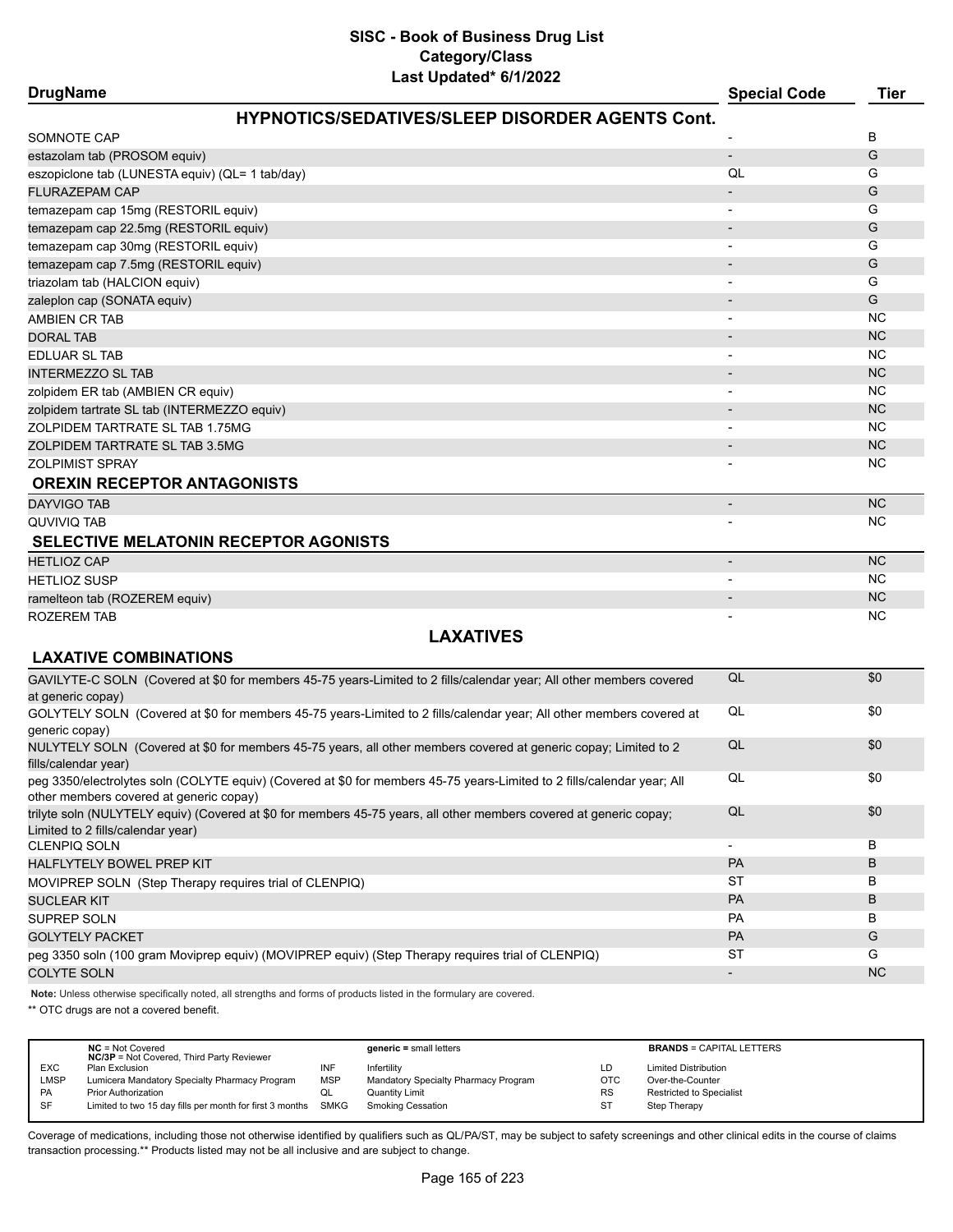| <b>DrugName</b>                                                                                                                                                    | <b>Special Code</b>      | <b>Tier</b> |
|--------------------------------------------------------------------------------------------------------------------------------------------------------------------|--------------------------|-------------|
| <b>HYPNOTICS/SEDATIVES/SLEEP DISORDER AGENTS Cont.</b>                                                                                                             |                          |             |
| SOMNOTE CAP                                                                                                                                                        |                          | В           |
| estazolam tab (PROSOM equiv)                                                                                                                                       | $\overline{\phantom{0}}$ | G           |
| eszopiclone tab (LUNESTA equiv) (QL= 1 tab/day)                                                                                                                    | QL                       | G           |
| <b>FLURAZEPAM CAP</b>                                                                                                                                              |                          | G           |
| temazepam cap 15mg (RESTORIL equiv)                                                                                                                                |                          | G           |
| temazepam cap 22.5mg (RESTORIL equiv)                                                                                                                              | $\overline{\phantom{a}}$ | G           |
| temazepam cap 30mg (RESTORIL equiv)                                                                                                                                | $\blacksquare$           | G           |
| temazepam cap 7.5mg (RESTORIL equiv)                                                                                                                               |                          | G           |
| triazolam tab (HALCION equiv)                                                                                                                                      |                          | G           |
| zaleplon cap (SONATA equiv)                                                                                                                                        |                          | G           |
| <b>AMBIEN CR TAB</b>                                                                                                                                               |                          | <b>NC</b>   |
| <b>DORAL TAB</b>                                                                                                                                                   |                          | <b>NC</b>   |
| EDLUAR SL TAB                                                                                                                                                      |                          | <b>NC</b>   |
| <b>INTERMEZZO SL TAB</b>                                                                                                                                           |                          | <b>NC</b>   |
| zolpidem ER tab (AMBIEN CR equiv)                                                                                                                                  |                          | <b>NC</b>   |
| zolpidem tartrate SL tab (INTERMEZZO equiv)                                                                                                                        |                          | <b>NC</b>   |
| ZOLPIDEM TARTRATE SL TAB 1.75MG                                                                                                                                    |                          | <b>NC</b>   |
| ZOLPIDEM TARTRATE SL TAB 3.5MG                                                                                                                                     |                          | <b>NC</b>   |
| <b>ZOLPIMIST SPRAY</b>                                                                                                                                             |                          | <b>NC</b>   |
| <b>OREXIN RECEPTOR ANTAGONISTS</b>                                                                                                                                 |                          |             |
| <b>DAYVIGO TAB</b>                                                                                                                                                 |                          | <b>NC</b>   |
| QUVIVIQ TAB                                                                                                                                                        |                          | <b>NC</b>   |
| <b>SELECTIVE MELATONIN RECEPTOR AGONISTS</b>                                                                                                                       |                          |             |
| <b>HETLIOZ CAP</b>                                                                                                                                                 | $\overline{\phantom{a}}$ | <b>NC</b>   |
| <b>HETLIOZ SUSP</b>                                                                                                                                                |                          | <b>NC</b>   |
| ramelteon tab (ROZEREM equiv)                                                                                                                                      |                          | <b>NC</b>   |
| <b>ROZEREM TAB</b>                                                                                                                                                 |                          | <b>NC</b>   |
| <b>LAXATIVES</b>                                                                                                                                                   |                          |             |
| <b>LAXATIVE COMBINATIONS</b>                                                                                                                                       |                          |             |
| GAVILYTE-C SOLN (Covered at \$0 for members 45-75 years-Limited to 2 fills/calendar year; All other members covered                                                | QL                       | \$0         |
| at generic copay)                                                                                                                                                  |                          |             |
| GOLYTELY SOLN (Covered at \$0 for members 45-75 years-Limited to 2 fills/calendar year; All other members covered at                                               | QL                       | \$0         |
| generic copay)                                                                                                                                                     |                          |             |
| NULYTELY SOLN (Covered at \$0 for members 45-75 years, all other members covered at generic copay; Limited to 2<br>fills/calendar year)                            | QL                       | \$0         |
| peg 3350/electrolytes soln (COLYTE equiv) (Covered at \$0 for members 45-75 years-Limited to 2 fills/calendar year; All<br>other members covered at generic copay) | QL                       | \$0         |
| trilyte soln (NULYTELY equiv) (Covered at \$0 for members 45-75 years, all other members covered at generic copay;<br>Limited to 2 fills/calendar year)            | QL                       | \$0         |
| <b>CLENPIQ SOLN</b>                                                                                                                                                | $\overline{\phantom{a}}$ | В           |
| HALFLYTELY BOWEL PREP KIT                                                                                                                                          | <b>PA</b>                | B           |
| MOVIPREP SOLN (Step Therapy requires trial of CLENPIQ)                                                                                                             | ST                       | В           |
| <b>SUCLEAR KIT</b>                                                                                                                                                 | PA                       | B           |
| <b>SUPREP SOLN</b>                                                                                                                                                 | PA                       | В           |
| <b>GOLYTELY PACKET</b>                                                                                                                                             | PA                       | G           |
| peg 3350 soln (100 gram Moviprep equiv) (MOVIPREP equiv) (Step Therapy requires trial of CLENPIQ)                                                                  | ST                       | G           |
| <b>COLYTE SOLN</b>                                                                                                                                                 | $\overline{\phantom{a}}$ | <b>NC</b>   |
|                                                                                                                                                                    |                          |             |

**Note:** Unless otherwise specifically noted, all strengths and forms of products listed in the formulary are covered.

\*\* OTC drugs are not a covered benefit.

|            | $NC = Not Covered$<br><b>NC/3P</b> = Not Covered, Third Party Reviewer |            | $generic = small letters$            |           | <b>BRANDS = CAPITAL LETTERS</b> |
|------------|------------------------------------------------------------------------|------------|--------------------------------------|-----------|---------------------------------|
| <b>EXC</b> | Plan Exclusion                                                         | INF        | Infertility                          | LD.       | <b>Limited Distribution</b>     |
|            |                                                                        |            |                                      |           |                                 |
| LMSP       | Lumicera Mandatory Specialty Pharmacy Program                          | <b>MSP</b> | Mandatory Specialty Pharmacy Program | OTC       | Over-the-Counter                |
| <b>PA</b>  | <b>Prior Authorization</b>                                             | QL         | <b>Quantity Limit</b>                | <b>RS</b> | <b>Restricted to Specialist</b> |
| <b>SF</b>  | Limited to two 15 day fills per month for first 3 months SMKG          |            | <b>Smoking Cessation</b>             | ST        | Step Therapy                    |
|            |                                                                        |            |                                      |           |                                 |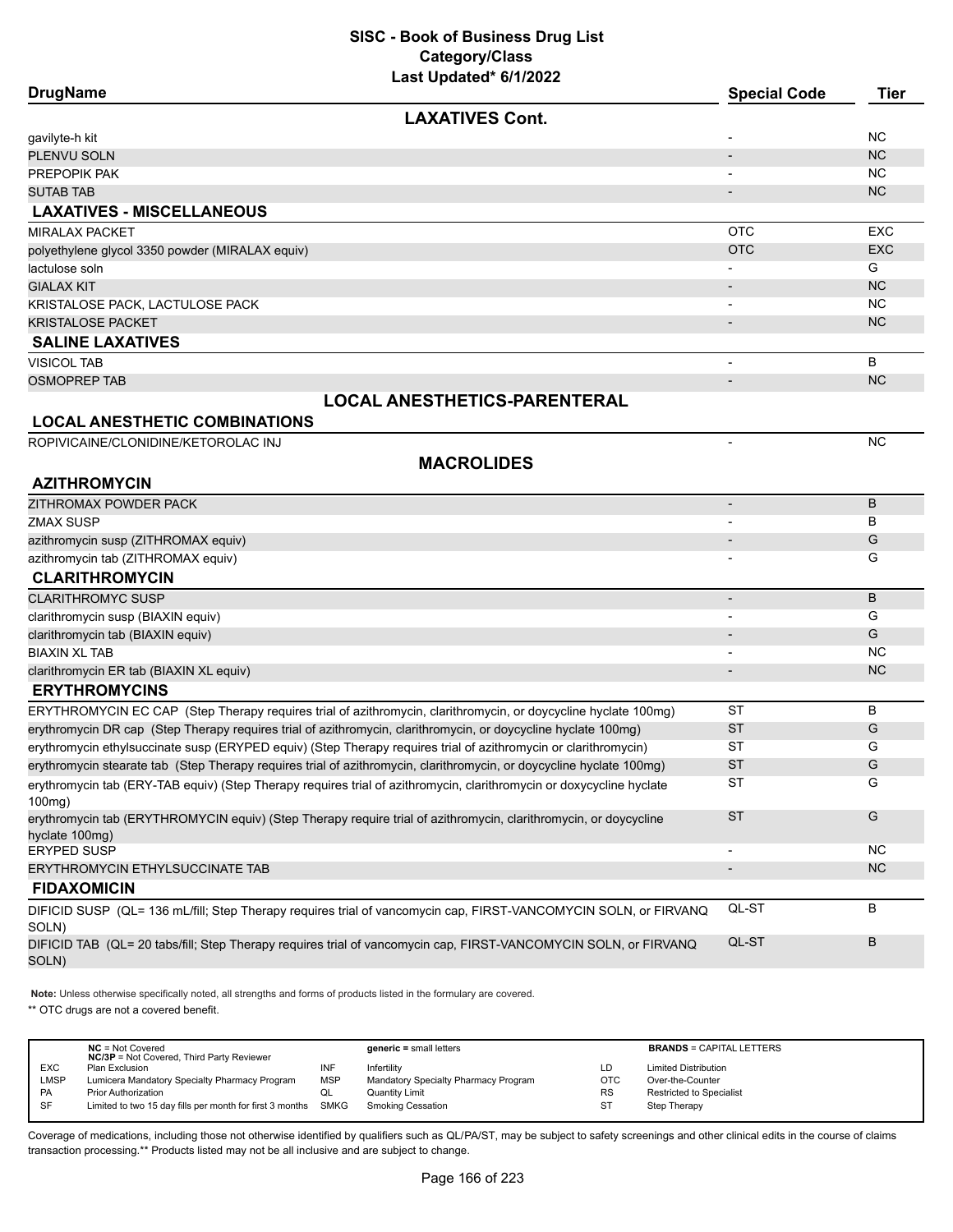| <b>DrugName</b>                                                                                                                |                                     | <b>Special Code</b>      | <b>Tier</b>     |
|--------------------------------------------------------------------------------------------------------------------------------|-------------------------------------|--------------------------|-----------------|
|                                                                                                                                | <b>LAXATIVES Cont.</b>              |                          |                 |
| gavilyte-h kit                                                                                                                 |                                     |                          | <b>NC</b>       |
| PLENVU SOLN                                                                                                                    |                                     |                          | NC              |
| PREPOPIK PAK                                                                                                                   |                                     |                          | ΝC              |
| <b>SUTAB TAB</b>                                                                                                               |                                     |                          | NC              |
| <b>LAXATIVES - MISCELLANEOUS</b>                                                                                               |                                     |                          |                 |
| MIRALAX PACKET                                                                                                                 |                                     | <b>OTC</b>               | <b>EXC</b>      |
| polyethylene glycol 3350 powder (MIRALAX equiv)                                                                                |                                     | <b>OTC</b>               | <b>EXC</b>      |
| lactulose soln                                                                                                                 |                                     |                          | G               |
| <b>GIALAX KIT</b>                                                                                                              |                                     |                          | <b>NC</b>       |
| KRISTALOSE PACK, LACTULOSE PACK                                                                                                |                                     |                          | ΝC              |
| KRISTALOSE PACKET                                                                                                              |                                     |                          | NC              |
| <b>SALINE LAXATIVES</b>                                                                                                        |                                     |                          |                 |
| <b>VISICOL TAB</b>                                                                                                             |                                     |                          | B               |
| <b>OSMOPREP TAB</b>                                                                                                            |                                     |                          | NC              |
|                                                                                                                                | <b>LOCAL ANESTHETICS-PARENTERAL</b> |                          |                 |
| <b>LOCAL ANESTHETIC COMBINATIONS</b>                                                                                           |                                     |                          |                 |
| ROPIVICAINE/CLONIDINE/KETOROLAC INJ                                                                                            |                                     | $\overline{\phantom{0}}$ | <b>NC</b>       |
|                                                                                                                                | <b>MACROLIDES</b>                   |                          |                 |
| <b>AZITHROMYCIN</b>                                                                                                            |                                     |                          |                 |
| ZITHROMAX POWDER PACK                                                                                                          |                                     |                          | B               |
| ZMAX SUSP                                                                                                                      |                                     |                          | B               |
| azithromycin susp (ZITHROMAX equiv)                                                                                            |                                     |                          | G               |
| azithromycin tab (ZITHROMAX equiv)                                                                                             |                                     |                          | G               |
| <b>CLARITHROMYCIN</b>                                                                                                          |                                     |                          |                 |
| <b>CLARITHROMYC SUSP</b>                                                                                                       |                                     |                          | B               |
| clarithromycin susp (BIAXIN equiv)                                                                                             |                                     |                          | G               |
| clarithromycin tab (BIAXIN equiv)                                                                                              |                                     |                          | G               |
| BIAXIN XL TAB                                                                                                                  |                                     |                          | NC.             |
|                                                                                                                                |                                     |                          | <b>NC</b>       |
| clarithromycin ER tab (BIAXIN XL equiv)<br><b>ERYTHROMYCINS</b>                                                                |                                     |                          |                 |
|                                                                                                                                |                                     | <b>ST</b>                | B               |
| ERYTHROMYCIN EC CAP (Step Therapy requires trial of azithromycin, clarithromycin, or doycycline hyclate 100mg)                 |                                     |                          |                 |
| erythromycin DR cap (Step Therapy requires trial of azithromycin, clarithromycin, or doycycline hyclate 100mg)                 |                                     | <b>ST</b>                | G               |
| erythromycin ethylsuccinate susp (ERYPED equiv) (Step Therapy requires trial of azithromycin or clarithromycin)                |                                     | ST                       | G               |
| erythromycin stearate tab (Step Therapy requires trial of azithromycin, clarithromycin, or doycycline hyclate 100mg)           |                                     | <b>ST</b>                | G               |
| erythromycin tab (ERY-TAB equiv) (Step Therapy requires trial of azithromycin, clarithromycin or doxycycline hyclate<br>100mg) |                                     | <b>ST</b>                |                 |
| erythromycin tab (ERYTHROMYCIN equiv) (Step Therapy require trial of azithromycin, clarithromycin, or doycycline               |                                     | <b>ST</b>                | G               |
| hyclate 100mg)                                                                                                                 |                                     |                          |                 |
| <b>ERYPED SUSP</b>                                                                                                             |                                     | $\overline{\phantom{a}}$ | ΝC<br><b>NC</b> |
| ERYTHROMYCIN ETHYLSUCCINATE TAB                                                                                                |                                     |                          |                 |
| <b>FIDAXOMICIN</b>                                                                                                             |                                     |                          |                 |
| DIFICID SUSP (QL= 136 mL/fill; Step Therapy requires trial of vancomycin cap, FIRST-VANCOMYCIN SOLN, or FIRVANQ<br>SOLN)       |                                     | QL-ST                    | В               |
| DIFICID TAB (QL= 20 tabs/fill; Step Therapy requires trial of vancomycin cap, FIRST-VANCOMYCIN SOLN, or FIRVANQ<br>SOLN)       |                                     | QL-ST                    | B               |

**Note:** Unless otherwise specifically noted, all strengths and forms of products listed in the formulary are covered.

\*\* OTC drugs are not a covered benefit.

|             | $NC = Not Covered$<br><b>NC/3P</b> = Not Covered, Third Party Reviewer |            | $generic = small letters$            |            | <b>BRANDS = CAPITAL LETTERS</b> |
|-------------|------------------------------------------------------------------------|------------|--------------------------------------|------------|---------------------------------|
| <b>EXC</b>  | Plan Exclusion                                                         | INF        | Infertility                          | LD         | <b>Limited Distribution</b>     |
| <b>LMSP</b> | Lumicera Mandatory Specialty Pharmacy Program                          | <b>MSP</b> | Mandatory Specialty Pharmacy Program | <b>OTC</b> | Over-the-Counter                |
| PA          | <b>Prior Authorization</b>                                             | QL         | Quantity Limit                       | <b>RS</b>  | Restricted to Specialist        |
| <b>SF</b>   | Limited to two 15 day fills per month for first 3 months SMKG          |            | Smoking Cessation                    | ST         | Step Therapy                    |
|             |                                                                        |            |                                      |            |                                 |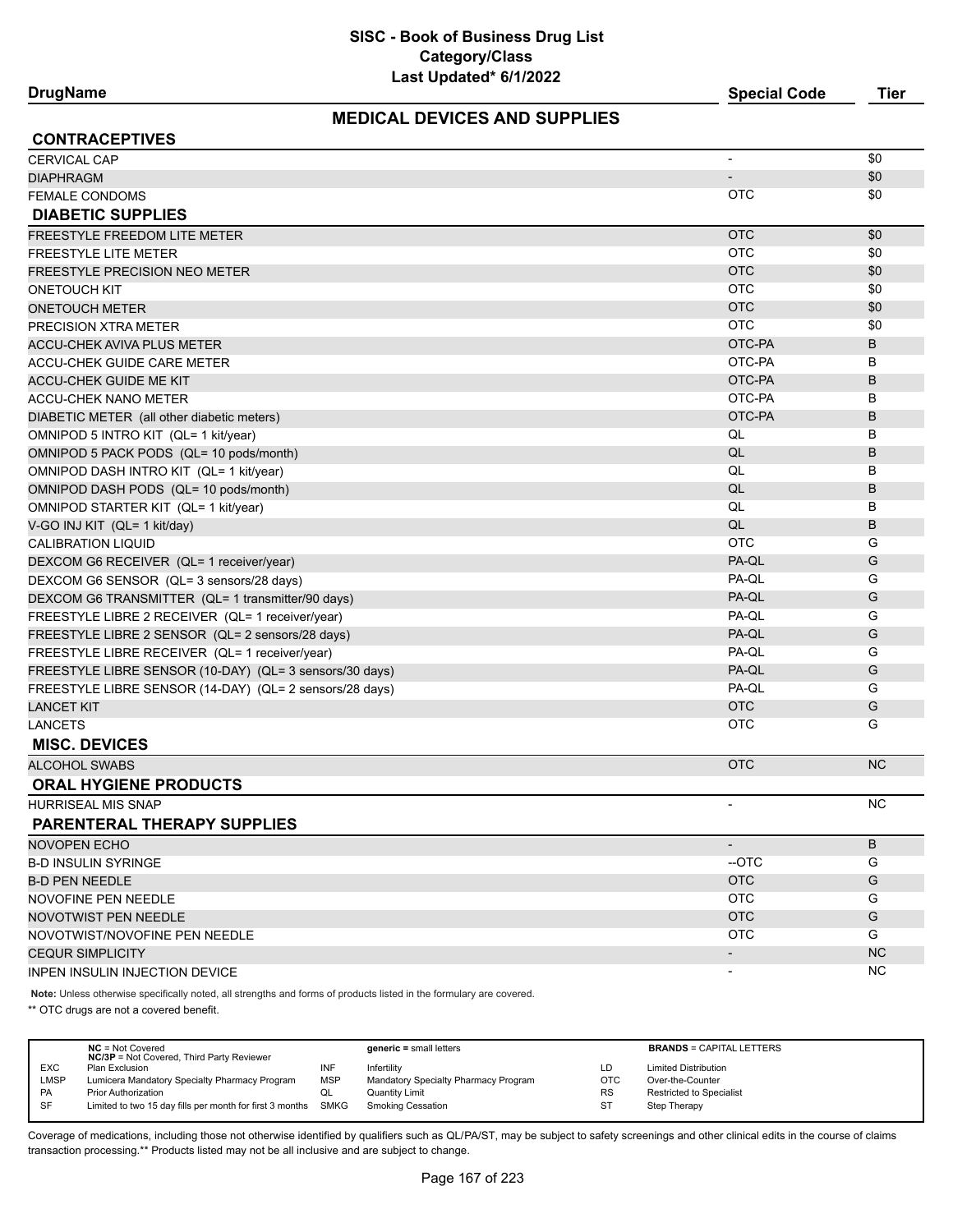# **MEDICAL DEVICES AND SUPPLIES**

**DrugName Special Code Tier**

| <b>CONTRACEPTIVES</b>                                   |                          |           |
|---------------------------------------------------------|--------------------------|-----------|
| <b>CERVICAL CAP</b>                                     | $\overline{\phantom{a}}$ | \$0       |
| <b>DIAPHRAGM</b>                                        |                          | \$0       |
| <b>FEMALE CONDOMS</b>                                   | <b>OTC</b>               | \$0       |
| <b>DIABETIC SUPPLIES</b>                                |                          |           |
| <b>FREESTYLE FREEDOM LITE METER</b>                     | <b>OTC</b>               | \$0       |
| <b>FREESTYLE LITE METER</b>                             | <b>OTC</b>               | \$0       |
| <b>FREESTYLE PRECISION NEO METER</b>                    | <b>OTC</b>               | \$0       |
| <b>ONETOUCH KIT</b>                                     | <b>OTC</b>               | \$0       |
| <b>ONETOUCH METER</b>                                   | <b>OTC</b>               | \$0       |
| PRECISION XTRA METER                                    | <b>OTC</b>               | \$0       |
| <b>ACCU-CHEK AVIVA PLUS METER</b>                       | OTC-PA                   | B         |
| ACCU-CHEK GUIDE CARE METER                              | OTC-PA                   | в         |
| <b>ACCU-CHEK GUIDE ME KIT</b>                           | OTC-PA                   | B         |
| <b>ACCU-CHEK NANO METER</b>                             | OTC-PA                   | В         |
| DIABETIC METER (all other diabetic meters)              | OTC-PA                   | B         |
| OMNIPOD 5 INTRO KIT (QL= 1 kit/year)                    | QL                       | в         |
| OMNIPOD 5 PACK PODS (QL= 10 pods/month)                 | QL                       | B         |
| OMNIPOD DASH INTRO KIT (QL= 1 kit/year)                 | QL                       | в         |
| OMNIPOD DASH PODS (QL= 10 pods/month)                   | QL                       | B         |
| OMNIPOD STARTER KIT (QL= 1 kit/year)                    | QL                       | B         |
| V-GO INJ KIT (QL= 1 kit/day)                            | QL                       | B         |
| <b>CALIBRATION LIQUID</b>                               | <b>OTC</b>               | G         |
| DEXCOM G6 RECEIVER (QL= 1 receiver/year)                | PA-QL                    | G         |
| DEXCOM G6 SENSOR (QL= 3 sensors/28 days)                | PA-QL                    | G         |
| DEXCOM G6 TRANSMITTER (QL= 1 transmitter/90 days)       | PA-QL                    | G         |
| FREESTYLE LIBRE 2 RECEIVER (QL= 1 receiver/year)        | PA-QL                    | G         |
| FREESTYLE LIBRE 2 SENSOR (QL= 2 sensors/28 days)        | PA-QL                    | G         |
| FREESTYLE LIBRE RECEIVER (QL= 1 receiver/year)          | PA-QL                    | G         |
| FREESTYLE LIBRE SENSOR (10-DAY) (QL= 3 sensors/30 days) | PA-QL                    | G         |
| FREESTYLE LIBRE SENSOR (14-DAY) (QL= 2 sensors/28 days) | PA-QL                    | G         |
| <b>LANCET KIT</b>                                       | <b>OTC</b>               | G         |
| <b>LANCETS</b>                                          | <b>OTC</b>               | G         |
| <b>MISC. DEVICES</b>                                    |                          |           |
| <b>ALCOHOL SWABS</b>                                    | <b>OTC</b>               | <b>NC</b> |
| <b>ORAL HYGIENE PRODUCTS</b>                            |                          |           |
| <b>HURRISEAL MIS SNAP</b>                               |                          | <b>NC</b> |
| PARENTERAL THERAPY SUPPLIES                             |                          |           |
| NOVOPEN ECHO                                            | $\overline{\phantom{a}}$ | B         |
| <b>B-D INSULIN SYRINGE</b>                              | -OTC                     | G         |
| <b>B-D PEN NEEDLE</b>                                   | <b>OTC</b>               | G         |
| NOVOFINE PEN NEEDLE                                     | <b>OTC</b>               | G         |
| <b>NOVOTWIST PEN NEEDLE</b>                             | <b>OTC</b>               | G         |
| NOVOTWIST/NOVOFINE PEN NEEDLE                           | <b>OTC</b>               | G         |
| <b>CEQUR SIMPLICITY</b>                                 | $\overline{\phantom{a}}$ | <b>NC</b> |
| INPEN INSULIN INJECTION DEVICE                          |                          | NC.       |

**Note:** Unless otherwise specifically noted, all strengths and forms of products listed in the formulary are covered.

\*\* OTC drugs are not a covered benefit.

| <b>BRANDS = CAPITAL LETTERS</b> |
|---------------------------------|
|                                 |
|                                 |
|                                 |
|                                 |
|                                 |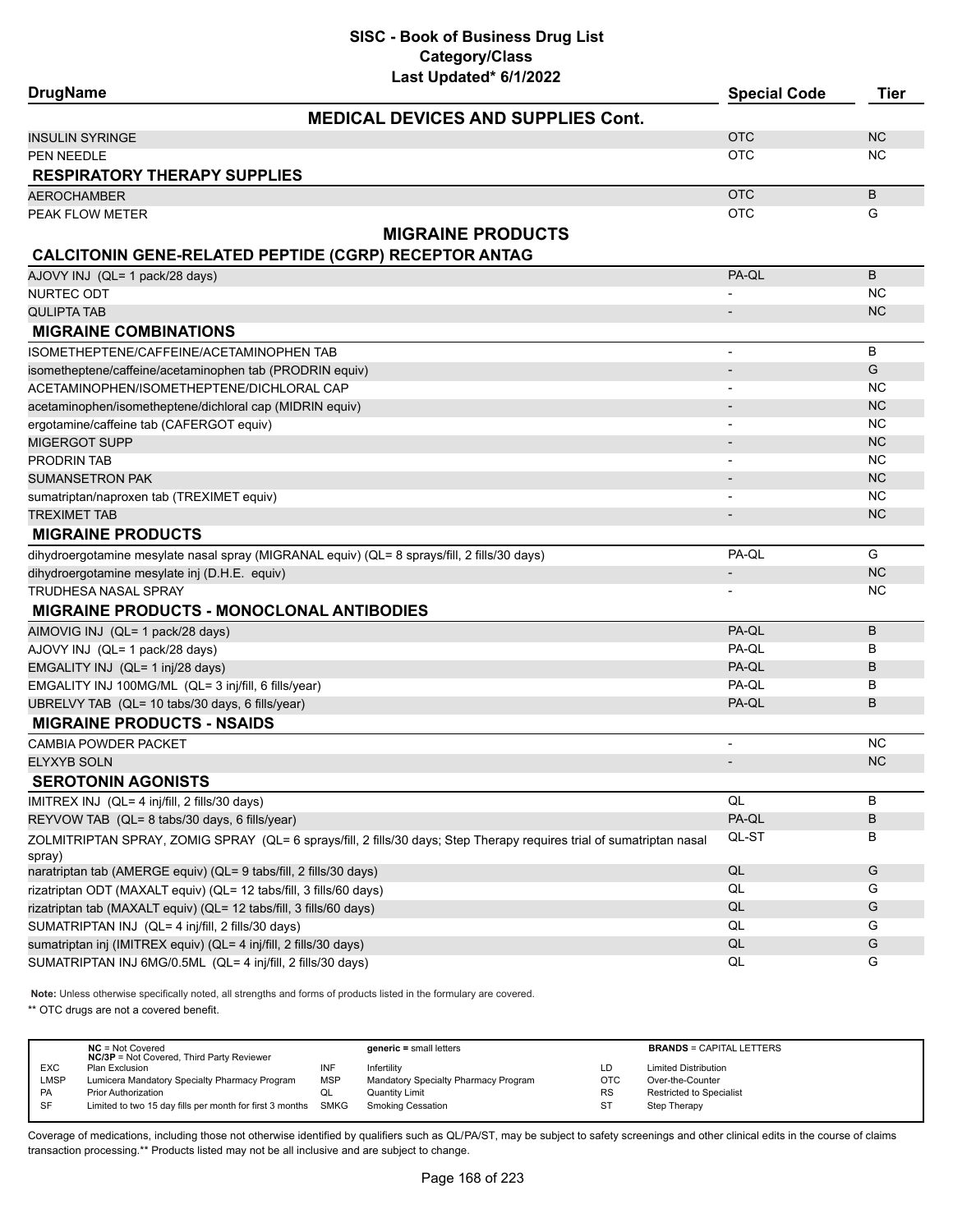| <b>DrugName</b>                                                    | Last Upualtu VIIILULL                                                                                                 | <b>Special Code</b>      | <b>Tier</b> |
|--------------------------------------------------------------------|-----------------------------------------------------------------------------------------------------------------------|--------------------------|-------------|
|                                                                    | <b>MEDICAL DEVICES AND SUPPLIES Cont.</b>                                                                             |                          |             |
| INSULIN SYRINGE                                                    |                                                                                                                       | <b>OTC</b>               | <b>NC</b>   |
| PEN NEEDLE                                                         |                                                                                                                       | <b>OTC</b>               | NC          |
| <b>RESPIRATORY THERAPY SUPPLIES</b>                                |                                                                                                                       |                          |             |
| AEROCHAMBER                                                        |                                                                                                                       | <b>OTC</b>               | B           |
| PEAK FLOW METER                                                    |                                                                                                                       | <b>OTC</b>               | G           |
|                                                                    | <b>MIGRAINE PRODUCTS</b>                                                                                              |                          |             |
| <b>CALCITONIN GENE-RELATED PEPTIDE (CGRP) RECEPTOR ANTAG</b>       |                                                                                                                       |                          |             |
| AJOVY INJ (QL= 1 pack/28 days)                                     |                                                                                                                       | PA-QL                    | B           |
| NURTEC ODT                                                         |                                                                                                                       |                          | NC          |
| <b>QULIPTA TAB</b>                                                 |                                                                                                                       |                          | NC.         |
| <b>MIGRAINE COMBINATIONS</b>                                       |                                                                                                                       |                          |             |
| ISOMETHEPTENE/CAFFEINE/ACETAMINOPHEN TAB                           |                                                                                                                       |                          | B           |
| isometheptene/caffeine/acetaminophen tab (PRODRIN equiv)           |                                                                                                                       |                          | G           |
| ACETAMINOPHEN/ISOMETHEPTENE/DICHLORAL CAP                          |                                                                                                                       |                          | ΝC          |
| acetaminophen/isometheptene/dichloral cap (MIDRIN equiv)           |                                                                                                                       |                          | <b>NC</b>   |
| ergotamine/caffeine tab (CAFERGOT equiv)                           |                                                                                                                       |                          | NC          |
| MIGERGOT SUPP                                                      |                                                                                                                       |                          | <b>NC</b>   |
| PRODRIN TAB                                                        |                                                                                                                       |                          | ΝC          |
| <b>SUMANSETRON PAK</b>                                             |                                                                                                                       |                          | NC          |
| sumatriptan/naproxen tab (TREXIMET equiv)                          |                                                                                                                       |                          | <b>NC</b>   |
| <b>TREXIMET TAB</b>                                                |                                                                                                                       |                          | NC          |
| <b>MIGRAINE PRODUCTS</b>                                           |                                                                                                                       |                          |             |
|                                                                    | dihydroergotamine mesylate nasal spray (MIGRANAL equiv) (QL= 8 sprays/fill, 2 fills/30 days)                          | PA-QL                    | G           |
| dihydroergotamine mesylate inj (D.H.E. equiv)                      |                                                                                                                       |                          | <b>NC</b>   |
| TRUDHESA NASAL SPRAY                                               |                                                                                                                       |                          | ΝC          |
| <b>MIGRAINE PRODUCTS - MONOCLONAL ANTIBODIES</b>                   |                                                                                                                       |                          |             |
| AIMOVIG INJ (QL= 1 pack/28 days)                                   |                                                                                                                       | PA-QL                    | B           |
| AJOVY INJ (QL= 1 pack/28 days)                                     |                                                                                                                       | PA-QL                    | В           |
| EMGALITY INJ (QL= 1 inj/28 days)                                   |                                                                                                                       | PA-QL                    | B           |
| EMGALITY INJ 100MG/ML (QL= 3 inj/fill, 6 fills/year)               |                                                                                                                       | PA-QL                    | в           |
| UBRELVY TAB (QL= 10 tabs/30 days, 6 fills/year)                    |                                                                                                                       | PA-QL                    | B           |
| <b>MIGRAINE PRODUCTS - NSAIDS</b>                                  |                                                                                                                       |                          |             |
| <b>CAMBIA POWDER PACKET</b>                                        |                                                                                                                       |                          | <b>NC</b>   |
| ELYXYB SOLN                                                        |                                                                                                                       | $\overline{\phantom{a}}$ | <b>NC</b>   |
| <b>SEROTONIN AGONISTS</b>                                          |                                                                                                                       |                          |             |
| IMITREX INJ (QL= 4 inj/fill, 2 fills/30 days)                      |                                                                                                                       | QL                       | в           |
| REYVOW TAB (QL= 8 tabs/30 days, 6 fills/year)                      |                                                                                                                       | PA-QL                    | В           |
| spray)                                                             | ZOLMITRIPTAN SPRAY, ZOMIG SPRAY (QL= 6 sprays/fill, 2 fills/30 days; Step Therapy requires trial of sumatriptan nasal | QL-ST                    | в           |
| naratriptan tab (AMERGE equiv) (QL= 9 tabs/fill, 2 fills/30 days)  |                                                                                                                       | $\mathsf{QL}$            | G           |
| rizatriptan ODT (MAXALT equiv) (QL= 12 tabs/fill, 3 fills/60 days) |                                                                                                                       | QL                       | G           |
| rizatriptan tab (MAXALT equiv) (QL= 12 tabs/fill, 3 fills/60 days) |                                                                                                                       | QL                       | G           |
| SUMATRIPTAN INJ (QL= 4 inj/fill, 2 fills/30 days)                  |                                                                                                                       | QL                       | G           |
| sumatriptan inj (IMITREX equiv) (QL= 4 inj/fill, 2 fills/30 days)  |                                                                                                                       | QL                       | G           |
| SUMATRIPTAN INJ 6MG/0.5ML (QL= 4 inj/fill, 2 fills/30 days)        |                                                                                                                       | QL                       | G           |

**Note:** Unless otherwise specifically noted, all strengths and forms of products listed in the formulary are covered.

\*\* OTC drugs are not a covered benefit.

|             | $NC = Not Covered$<br><b>NC/3P</b> = Not Covered, Third Party Reviewer |            | $generic = small letters$            |            | <b>BRANDS = CAPITAL LETTERS</b> |
|-------------|------------------------------------------------------------------------|------------|--------------------------------------|------------|---------------------------------|
| <b>EXC</b>  | Plan Exclusion                                                         | INF        | Infertility                          | LD         | <b>Limited Distribution</b>     |
| <b>LMSP</b> | Lumicera Mandatory Specialty Pharmacy Program                          | <b>MSP</b> | Mandatory Specialty Pharmacy Program | <b>OTC</b> | Over-the-Counter                |
| <b>PA</b>   | Prior Authorization                                                    | QL         | <b>Quantity Limit</b>                | <b>RS</b>  | <b>Restricted to Specialist</b> |
| SF          | Limited to two 15 day fills per month for first 3 months SMKG          |            | <b>Smoking Cessation</b>             | ST         | Step Therapy                    |
|             |                                                                        |            |                                      |            |                                 |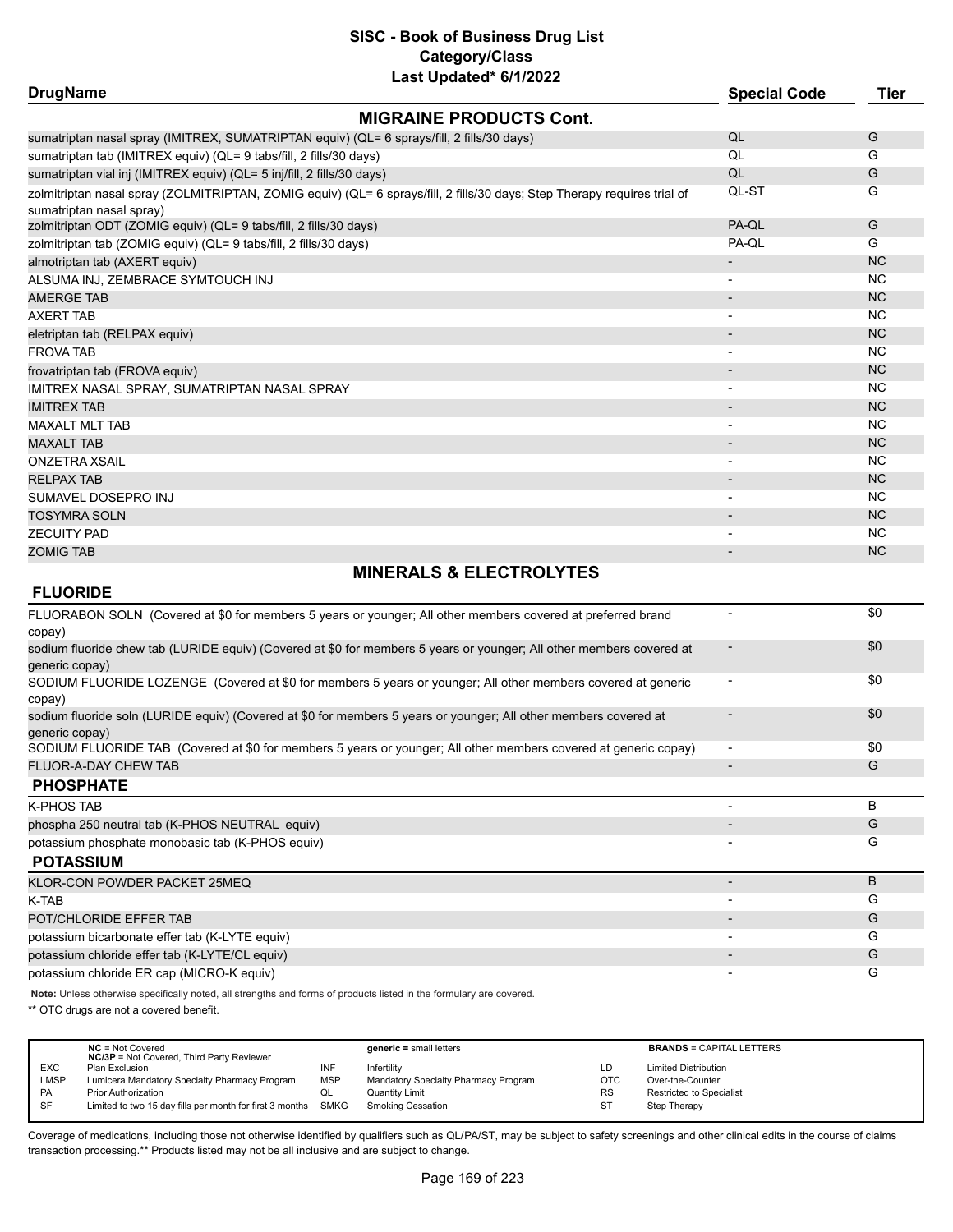# **SISC - Book of Business Drug List Category/Class**

| Last Updated* 6/1/2022                                                                                                                               |                          |           |
|------------------------------------------------------------------------------------------------------------------------------------------------------|--------------------------|-----------|
| <b>DrugName</b>                                                                                                                                      | <b>Special Code</b>      | Tier      |
| <b>MIGRAINE PRODUCTS Cont.</b>                                                                                                                       |                          |           |
| sumatriptan nasal spray (IMITREX, SUMATRIPTAN equiv) (QL= 6 sprays/fill, 2 fills/30 days)                                                            | QL                       | G         |
| sumatriptan tab (IMITREX equiv) (QL= 9 tabs/fill, 2 fills/30 days)                                                                                   | QL                       | G         |
| sumatriptan vial inj (IMITREX equiv) (QL= 5 inj/fill, 2 fills/30 days)                                                                               | QL                       | G         |
| zolmitriptan nasal spray (ZOLMITRIPTAN, ZOMIG equiv) (QL= 6 sprays/fill, 2 fills/30 days; Step Therapy requires trial of<br>sumatriptan nasal spray) | QL-ST                    | G         |
| zolmitriptan ODT (ZOMIG equiv) (QL= 9 tabs/fill, 2 fills/30 days)                                                                                    | PA-QL                    | G         |
| zolmitriptan tab (ZOMIG equiv) (QL= 9 tabs/fill, 2 fills/30 days)                                                                                    | PA-QL                    | G         |
| almotriptan tab (AXERT equiv)                                                                                                                        |                          | <b>NC</b> |
| ALSUMA INJ, ZEMBRACE SYMTOUCH INJ                                                                                                                    |                          | <b>NC</b> |
| <b>AMERGE TAB</b>                                                                                                                                    |                          | <b>NC</b> |
| AXERT TAB                                                                                                                                            | $\overline{\phantom{a}}$ | <b>NC</b> |
| eletriptan tab (RELPAX equiv)                                                                                                                        |                          | <b>NC</b> |
| <b>FROVA TAB</b>                                                                                                                                     |                          | <b>NC</b> |
| frovatriptan tab (FROVA equiv)                                                                                                                       |                          | <b>NC</b> |
| IMITREX NASAL SPRAY, SUMATRIPTAN NASAL SPRAY                                                                                                         | $\overline{\phantom{a}}$ | <b>NC</b> |
| <b>IMITREX TAB</b>                                                                                                                                   |                          | <b>NC</b> |
| <b>MAXALT MLT TAB</b>                                                                                                                                |                          | <b>NC</b> |
| <b>MAXALT TAB</b>                                                                                                                                    |                          | <b>NC</b> |
| ONZETRA XSAIL                                                                                                                                        |                          | <b>NC</b> |
| <b>RELPAX TAB</b>                                                                                                                                    |                          | <b>NC</b> |
| SUMAVEL DOSEPRO INJ                                                                                                                                  |                          | <b>NC</b> |
| TOSYMRA SOLN                                                                                                                                         |                          | <b>NC</b> |
| <b>ZECUITY PAD</b>                                                                                                                                   | $\overline{\phantom{a}}$ | <b>NC</b> |
| <b>ZOMIG TAB</b>                                                                                                                                     |                          | <b>NC</b> |
|                                                                                                                                                      |                          |           |

# **MINERALS & ELECTROLYTES**

# **FLUORIDE**

|                          | \$0 |
|--------------------------|-----|
|                          | \$0 |
|                          | \$0 |
|                          | \$0 |
|                          | \$0 |
| $\overline{\phantom{0}}$ | G   |
|                          |     |
|                          | B   |
|                          | G   |
|                          | G   |
|                          |     |
|                          | B   |
|                          | G   |
|                          | G   |
|                          | G   |
|                          | G   |
|                          | G   |
|                          |     |

**Note:** Unless otherwise specifically noted, all strengths and forms of products listed in the formulary are covered.

\*\* OTC drugs are not a covered benefit.

|            | $NC = Not Covered$<br><b>NC/3P</b> = Not Covered, Third Party Reviewer |            | $generic = small letters$            |            | <b>BRANDS = CAPITAL LETTERS</b> |
|------------|------------------------------------------------------------------------|------------|--------------------------------------|------------|---------------------------------|
| <b>EXC</b> | Plan Exclusion                                                         | INF        | Infertilitv                          | LD         | <b>Limited Distribution</b>     |
| LMSP       | Lumicera Mandatory Specialty Pharmacy Program                          | <b>MSP</b> | Mandatory Specialty Pharmacy Program | <b>OTC</b> | Over-the-Counter                |
| <b>PA</b>  | <b>Prior Authorization</b>                                             | QL         | <b>Quantity Limit</b>                | <b>RS</b>  | Restricted to Specialist        |
| <b>SF</b>  | Limited to two 15 day fills per month for first 3 months SMKG          |            | Smoking Cessation                    | ST         | Step Therapy                    |
|            |                                                                        |            |                                      |            |                                 |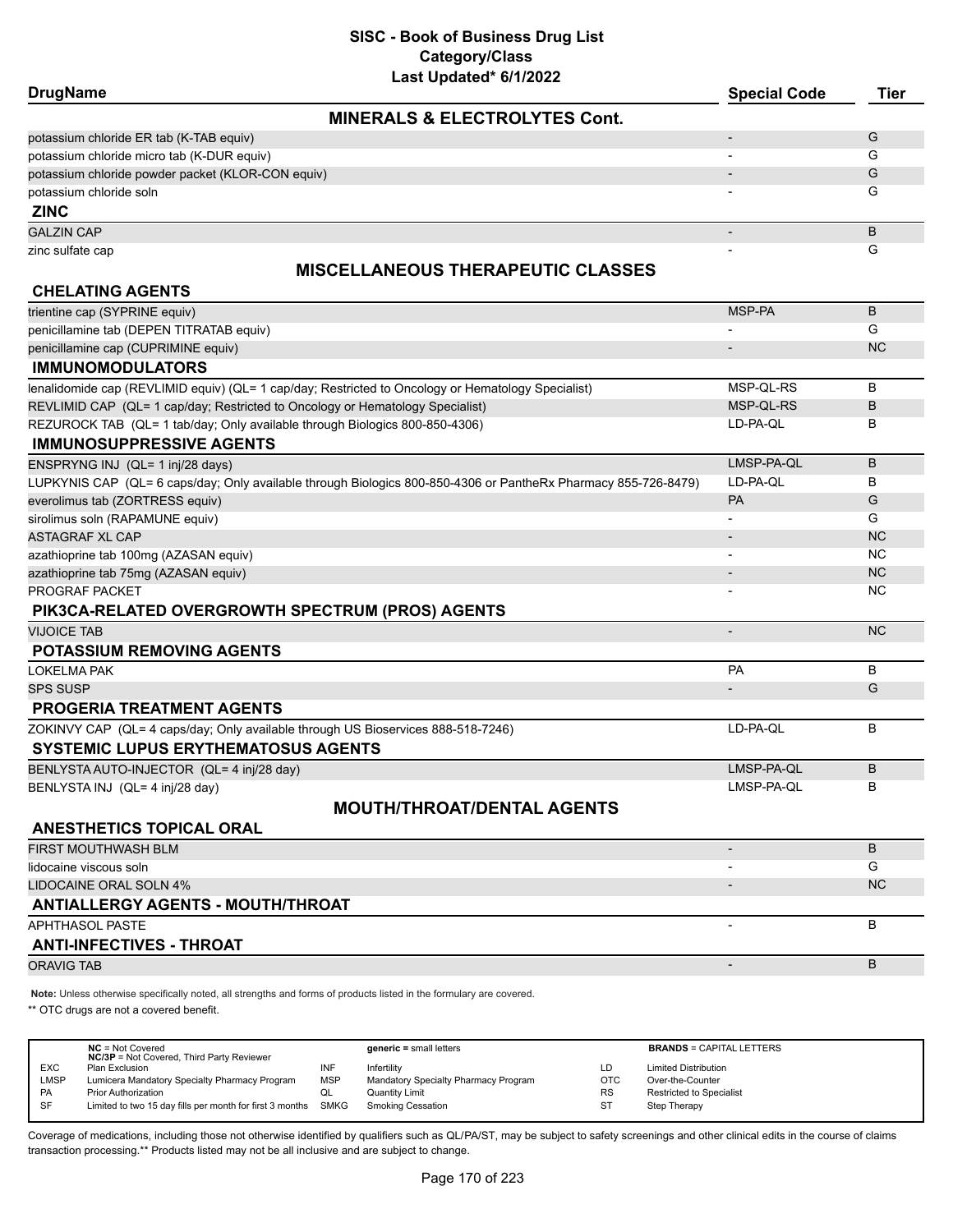| <b>DrugName</b>                                                                  | Last updated" britzuzz                                                                                         | <b>Special Code</b>      | <b>Tier</b> |
|----------------------------------------------------------------------------------|----------------------------------------------------------------------------------------------------------------|--------------------------|-------------|
|                                                                                  | <b>MINERALS &amp; ELECTROLYTES Cont.</b>                                                                       |                          |             |
| potassium chloride ER tab (K-TAB equiv)                                          |                                                                                                                | $\overline{\phantom{0}}$ | G           |
| potassium chloride micro tab (K-DUR equiv)                                       |                                                                                                                | $\overline{\phantom{a}}$ | G           |
| potassium chloride powder packet (KLOR-CON equiv)                                |                                                                                                                |                          | G           |
| potassium chloride soln                                                          |                                                                                                                |                          | G           |
| <b>ZINC</b>                                                                      |                                                                                                                |                          |             |
| <b>GALZIN CAP</b>                                                                |                                                                                                                | $\overline{\phantom{a}}$ | B           |
| zinc sulfate cap                                                                 |                                                                                                                |                          | G           |
|                                                                                  | <b>MISCELLANEOUS THERAPEUTIC CLASSES</b>                                                                       |                          |             |
| <b>CHELATING AGENTS</b>                                                          |                                                                                                                |                          |             |
| trientine cap (SYPRINE equiv)                                                    |                                                                                                                | MSP-PA                   | B           |
| penicillamine tab (DEPEN TITRATAB equiv)                                         |                                                                                                                |                          | G           |
| penicillamine cap (CUPRIMINE equiv)                                              |                                                                                                                |                          | <b>NC</b>   |
| <b>IMMUNOMODULATORS</b>                                                          |                                                                                                                |                          |             |
|                                                                                  | lenalidomide cap (REVLIMID equiv) (QL= 1 cap/day; Restricted to Oncology or Hematology Specialist)             | MSP-QL-RS                | B           |
| REVLIMID CAP (QL= 1 cap/day; Restricted to Oncology or Hematology Specialist)    |                                                                                                                | MSP-QL-RS                | B           |
| REZUROCK TAB (QL= 1 tab/day; Only available through Biologics 800-850-4306)      |                                                                                                                | LD-PA-QL                 | B           |
| <b>IMMUNOSUPPRESSIVE AGENTS</b>                                                  |                                                                                                                |                          |             |
| ENSPRYNG INJ (QL= 1 inj/28 days)                                                 |                                                                                                                | LMSP-PA-QL               | B           |
|                                                                                  | LUPKYNIS CAP (QL= 6 caps/day; Only available through Biologics 800-850-4306 or PantheRx Pharmacy 855-726-8479) | LD-PA-QL                 | B           |
| everolimus tab (ZORTRESS equiv)                                                  |                                                                                                                | <b>PA</b>                | G           |
| sirolimus soln (RAPAMUNE equiv)                                                  |                                                                                                                |                          | G           |
| <b>ASTAGRAF XL CAP</b>                                                           |                                                                                                                |                          | <b>NC</b>   |
| azathioprine tab 100mg (AZASAN equiv)                                            |                                                                                                                |                          | <b>NC</b>   |
| azathioprine tab 75mg (AZASAN equiv)                                             |                                                                                                                |                          | <b>NC</b>   |
| PROGRAF PACKET                                                                   |                                                                                                                |                          | NC.         |
| PIK3CA-RELATED OVERGROWTH SPECTRUM (PROS) AGENTS                                 |                                                                                                                |                          |             |
| <b>VIJOICE TAB</b>                                                               |                                                                                                                | $\overline{\phantom{a}}$ | <b>NC</b>   |
| <b>POTASSIUM REMOVING AGENTS</b>                                                 |                                                                                                                |                          |             |
| <b>LOKELMA PAK</b>                                                               |                                                                                                                | PA                       | B           |
| <b>SPS SUSP</b>                                                                  |                                                                                                                |                          | G           |
| <b>PROGERIA TREATMENT AGENTS</b>                                                 |                                                                                                                |                          |             |
| ZOKINVY CAP (QL= 4 caps/day; Only available through US Bioservices 888-518-7246) |                                                                                                                | LD-PA-QL                 | B           |
| <b>SYSTEMIC LUPUS ERYTHEMATOSUS AGENTS</b>                                       |                                                                                                                |                          |             |
| BENLYSTA AUTO-INJECTOR (QL= 4 inj/28 day)                                        |                                                                                                                | LMSP-PA-QL               | B           |
| BENLYSTA INJ (QL= 4 inj/28 day)                                                  |                                                                                                                | LMSP-PA-QL               | B           |
|                                                                                  | <b>MOUTH/THROAT/DENTAL AGENTS</b>                                                                              |                          |             |
| <b>ANESTHETICS TOPICAL ORAL</b>                                                  |                                                                                                                |                          |             |
| <b>FIRST MOUTHWASH BLM</b>                                                       |                                                                                                                | $\overline{\phantom{a}}$ | B           |
| lidocaine viscous soln                                                           |                                                                                                                |                          | G           |
| <b>LIDOCAINE ORAL SOLN 4%</b>                                                    |                                                                                                                |                          | <b>NC</b>   |
| <b>ANTIALLERGY AGENTS - MOUTH/THROAT</b>                                         |                                                                                                                |                          |             |
| APHTHASOL PASTE                                                                  |                                                                                                                |                          | B           |
| <b>ANTI-INFECTIVES - THROAT</b>                                                  |                                                                                                                |                          |             |
| <b>ORAVIG TAB</b>                                                                |                                                                                                                | $\overline{a}$           | B           |
|                                                                                  |                                                                                                                |                          |             |

**Note:** Unless otherwise specifically noted, all strengths and forms of products listed in the formulary are covered.

\*\* OTC drugs are not a covered benefit.

|            | $NC = Not Covered$<br><b>NC/3P</b> = Not Covered, Third Party Reviewer |             | $generic = small letters$            |            | <b>BRANDS = CAPITAL LETTERS</b> |
|------------|------------------------------------------------------------------------|-------------|--------------------------------------|------------|---------------------------------|
| <b>EXC</b> | Plan Exclusion                                                         |             | Infertility                          | LD         | <b>Limited Distribution</b>     |
| LMSP       | Lumicera Mandatory Specialty Pharmacy Program                          | <b>MSP</b>  | Mandatory Specialty Pharmacy Program | <b>OTC</b> | Over-the-Counter                |
| <b>PA</b>  | <b>Prior Authorization</b>                                             | QL          | Quantity Limit                       | <b>RS</b>  | <b>Restricted to Specialist</b> |
| SF         | Limited to two 15 day fills per month for first 3 months               | <b>SMKG</b> | Smoking Cessation                    | ST         | Step Therapy                    |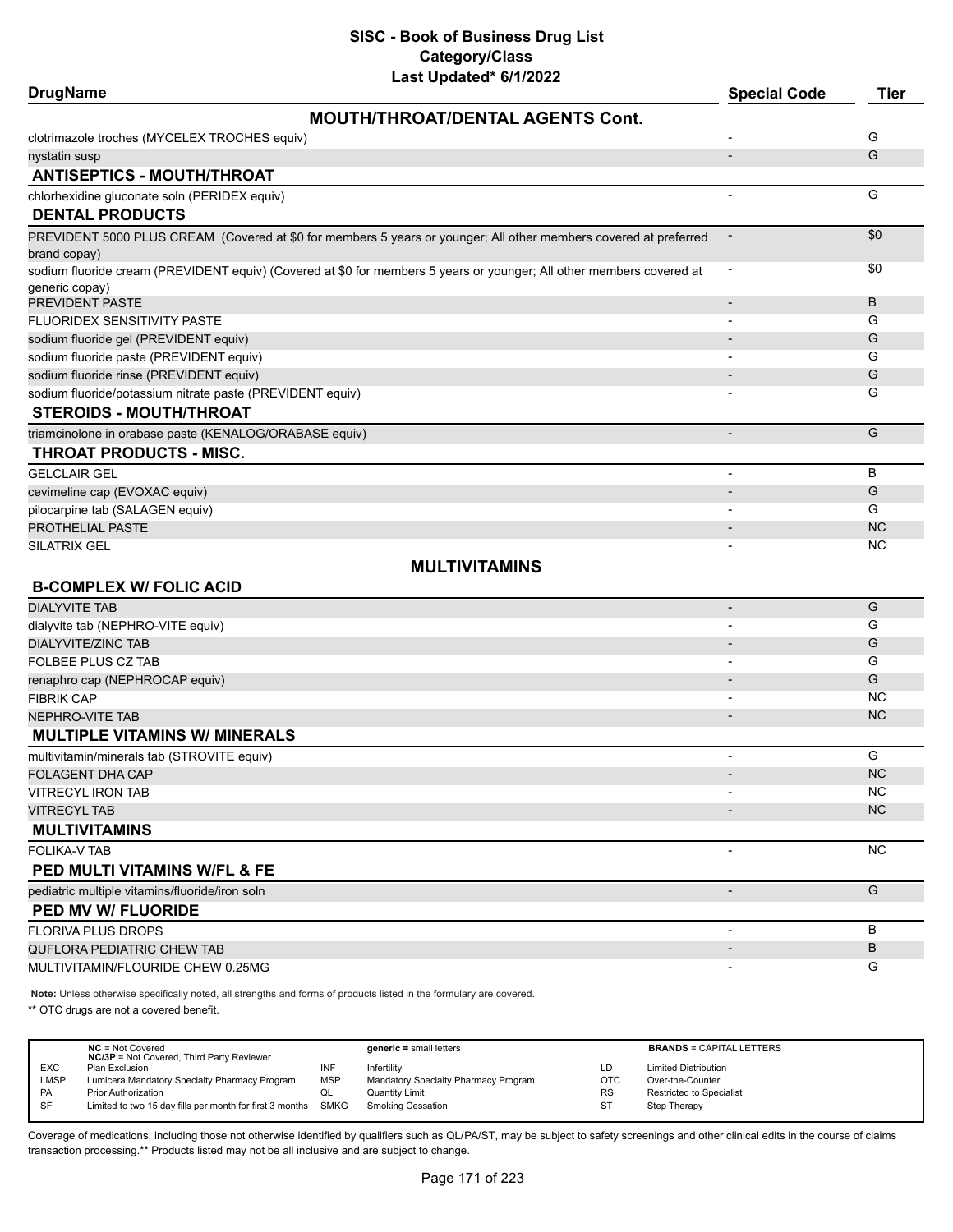| <b>DrugName</b>                                           | Last Upualeu (1112022                                                                                                | <b>Special Code</b>      | <b>Tier</b> |
|-----------------------------------------------------------|----------------------------------------------------------------------------------------------------------------------|--------------------------|-------------|
|                                                           | <b>MOUTH/THROAT/DENTAL AGENTS Cont.</b>                                                                              |                          |             |
| clotrimazole troches (MYCELEX TROCHES equiv)              |                                                                                                                      |                          | G           |
| nystatin susp                                             |                                                                                                                      |                          | G           |
| <b>ANTISEPTICS - MOUTH/THROAT</b>                         |                                                                                                                      |                          |             |
| chlorhexidine gluconate soln (PERIDEX equiv)              |                                                                                                                      | $\overline{\phantom{a}}$ | G           |
| <b>DENTAL PRODUCTS</b>                                    |                                                                                                                      |                          |             |
|                                                           | PREVIDENT 5000 PLUS CREAM (Covered at \$0 for members 5 years or younger; All other members covered at preferred     |                          | \$0         |
| brand copay)                                              | sodium fluoride cream (PREVIDENT equiv) (Covered at \$0 for members 5 years or younger; All other members covered at |                          | \$0         |
| generic copay)                                            |                                                                                                                      |                          |             |
| PREVIDENT PASTE                                           |                                                                                                                      |                          | B           |
| FLUORIDEX SENSITIVITY PASTE                               |                                                                                                                      | $\overline{\phantom{a}}$ | G           |
| sodium fluoride gel (PREVIDENT equiv)                     |                                                                                                                      |                          | G           |
| sodium fluoride paste (PREVIDENT equiv)                   |                                                                                                                      |                          | G           |
| sodium fluoride rinse (PREVIDENT equiv)                   |                                                                                                                      |                          | G           |
| sodium fluoride/potassium nitrate paste (PREVIDENT equiv) |                                                                                                                      |                          | G           |
| <b>STEROIDS - MOUTH/THROAT</b>                            |                                                                                                                      |                          |             |
| triamcinolone in orabase paste (KENALOG/ORABASE equiv)    |                                                                                                                      |                          | G           |
| THROAT PRODUCTS - MISC.                                   |                                                                                                                      |                          |             |
| <b>GELCLAIR GEL</b>                                       |                                                                                                                      | $\overline{\phantom{a}}$ | В           |
| cevimeline cap (EVOXAC equiv)                             |                                                                                                                      |                          | G           |
| pilocarpine tab (SALAGEN equiv)                           |                                                                                                                      |                          | G           |
| PROTHELIAL PASTE                                          |                                                                                                                      |                          | <b>NC</b>   |
| SILATRIX GEL                                              |                                                                                                                      |                          | <b>NC</b>   |
|                                                           | <b>MULTIVITAMINS</b>                                                                                                 |                          |             |
| <b>B-COMPLEX W/ FOLIC ACID</b>                            |                                                                                                                      |                          |             |
| <b>DIALYVITE TAB</b>                                      |                                                                                                                      | $\overline{\phantom{a}}$ | G           |
| dialyvite tab (NEPHRO-VITE equiv)                         |                                                                                                                      |                          | G           |
| DIALYVITE/ZINC TAB<br><b>FOLBEE PLUS CZ TAB</b>           |                                                                                                                      |                          | G<br>G      |
| renaphro cap (NEPHROCAP equiv)                            |                                                                                                                      |                          | G           |
| <b>FIBRIK CAP</b>                                         |                                                                                                                      | $\overline{\phantom{a}}$ | <b>NC</b>   |
| <b>NEPHRO-VITE TAB</b>                                    |                                                                                                                      |                          | <b>NC</b>   |
| <b>MULTIPLE VITAMINS W/ MINERALS</b>                      |                                                                                                                      |                          |             |
| multivitamin/minerals tab (STROVITE equiv)                |                                                                                                                      | $\overline{a}$           | G           |
| FOLAGENT DHA CAP                                          |                                                                                                                      |                          | <b>NC</b>   |
| VITRECYL IRON TAB                                         |                                                                                                                      |                          | <b>NC</b>   |
| <b>VITRECYL TAB</b>                                       |                                                                                                                      |                          | <b>NC</b>   |
| <b>MULTIVITAMINS</b>                                      |                                                                                                                      |                          |             |
| FOLIKA-V TAB                                              |                                                                                                                      | $\overline{\phantom{a}}$ | <b>NC</b>   |
| PED MULTI VITAMINS W/FL & FE                              |                                                                                                                      |                          |             |
| pediatric multiple vitamins/fluoride/iron soln            |                                                                                                                      |                          | G           |
| PED MV W/ FLUORIDE                                        |                                                                                                                      |                          |             |
| <b>FLORIVA PLUS DROPS</b>                                 |                                                                                                                      | $\blacksquare$           | В           |
| QUFLORA PEDIATRIC CHEW TAB                                |                                                                                                                      |                          | B           |
| MULTIVITAMIN/FLOURIDE CHEW 0.25MG                         |                                                                                                                      |                          | G           |
|                                                           |                                                                                                                      |                          |             |

**Note:** Unless otherwise specifically noted, all strengths and forms of products listed in the formulary are covered.

\*\* OTC drugs are not a covered benefit.

|            | $NC = Not Covered$<br><b>NC/3P</b> = Not Covered, Third Party Reviewer |            | $generic = small letters$            |            | <b>BRANDS = CAPITAL LETTERS</b> |
|------------|------------------------------------------------------------------------|------------|--------------------------------------|------------|---------------------------------|
| <b>EXC</b> | Plan Exclusion                                                         | INF        | Infertility                          | LD         | <b>Limited Distribution</b>     |
| LMSP       | Lumicera Mandatory Specialty Pharmacy Program                          | <b>MSP</b> | Mandatory Specialty Pharmacy Program | <b>OTC</b> | Over-the-Counter                |
| PA         | <b>Prior Authorization</b>                                             | ◡          | Quantity Limit                       | <b>RS</b>  | <b>Restricted to Specialist</b> |
| SF         | Limited to two 15 day fills per month for first 3 months               | SMKG       | Smoking Cessation                    | ST         | Step Therapy                    |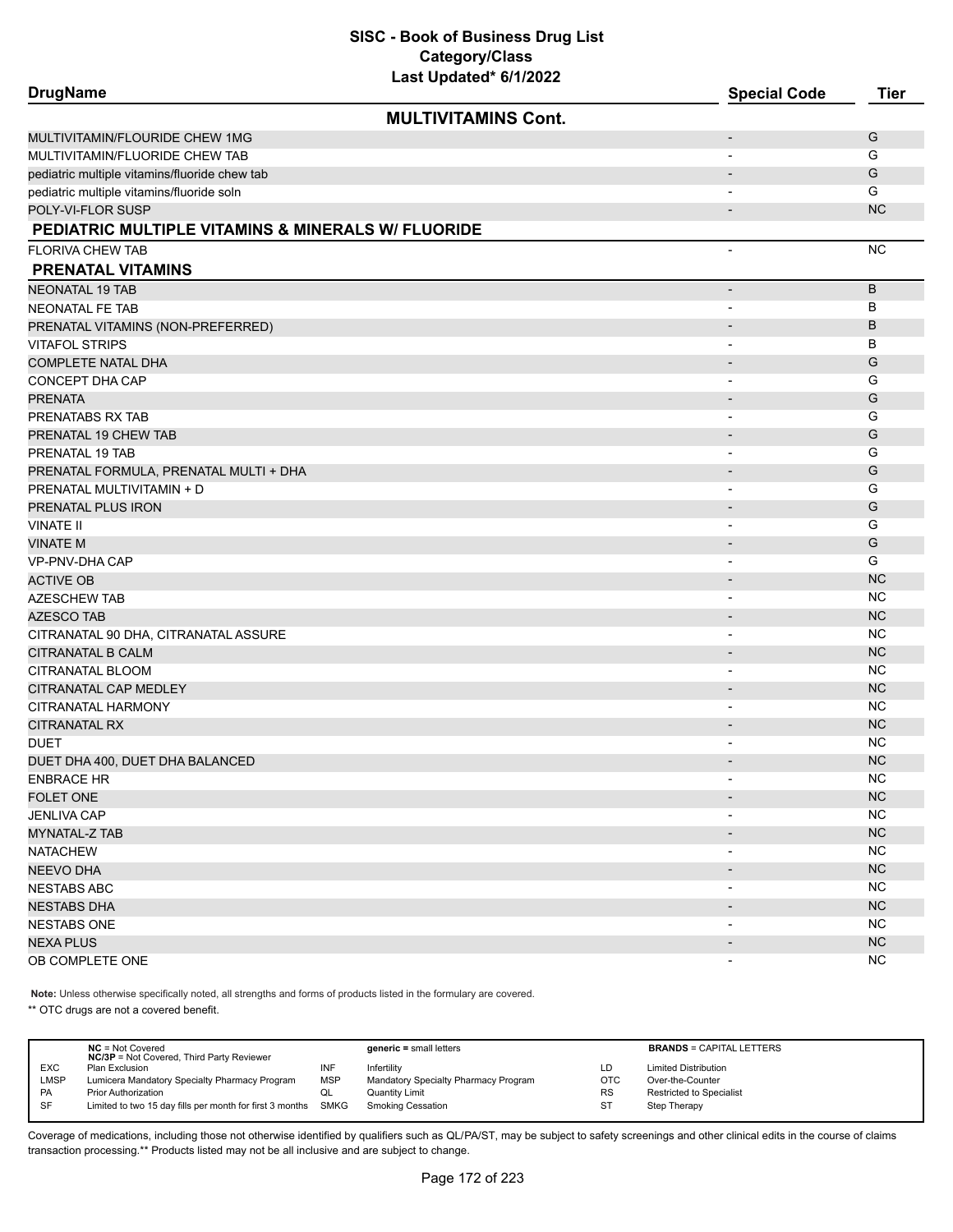| <b>DrugName</b>                                    | Last Upualtu - VIIIZUZZ    | <b>Special Code</b>          | <b>Tier</b> |
|----------------------------------------------------|----------------------------|------------------------------|-------------|
|                                                    | <b>MULTIVITAMINS Cont.</b> |                              |             |
| MULTIVITAMIN/FLOURIDE CHEW 1MG                     |                            | $\qquad \qquad \blacksquare$ | G           |
| MULTIVITAMIN/FLUORIDE CHEW TAB                     |                            | $\overline{\phantom{a}}$     | G           |
| pediatric multiple vitamins/fluoride chew tab      |                            |                              | G           |
| pediatric multiple vitamins/fluoride soln          |                            |                              | G           |
| POLY-VI-FLOR SUSP                                  |                            | $\qquad \qquad \blacksquare$ | <b>NC</b>   |
| PEDIATRIC MULTIPLE VITAMINS & MINERALS W/ FLUORIDE |                            |                              |             |
| <b>FLORIVA CHEW TAB</b>                            |                            | $\overline{\phantom{a}}$     | <b>NC</b>   |
| <b>PRENATAL VITAMINS</b>                           |                            |                              |             |
| <b>NEONATAL 19 TAB</b>                             |                            | $\overline{\phantom{a}}$     | B           |
| <b>NEONATAL FE TAB</b>                             |                            | $\overline{\phantom{a}}$     | В           |
| PRENATAL VITAMINS (NON-PREFERRED)                  |                            | $\overline{\phantom{a}}$     | B           |
| <b>VITAFOL STRIPS</b>                              |                            | $\overline{\phantom{a}}$     | B           |
| <b>COMPLETE NATAL DHA</b>                          |                            |                              | G           |
| CONCEPT DHA CAP                                    |                            | $\overline{\phantom{a}}$     | G           |
| <b>PRENATA</b>                                     |                            | $\overline{\phantom{a}}$     | G           |
| PRENATABS RX TAB                                   |                            | $\overline{\phantom{a}}$     | G           |
| PRENATAL 19 CHEW TAB                               |                            | $\overline{\phantom{0}}$     | G           |
| PRENATAL 19 TAB                                    |                            | $\overline{\phantom{a}}$     | G           |
| PRENATAL FORMULA, PRENATAL MULTI + DHA             |                            | $\qquad \qquad \blacksquare$ | G           |
| PRENATAL MULTIVITAMIN + D                          |                            | $\overline{\phantom{a}}$     | G           |
| PRENATAL PLUS IRON                                 |                            | $\overline{\phantom{a}}$     | G           |
| VINATE II                                          |                            | $\overline{\phantom{a}}$     | G           |
| VINATE M                                           |                            | $\overline{\phantom{a}}$     | G           |
| VP-PNV-DHA CAP                                     |                            | $\overline{\phantom{a}}$     | G           |
| <b>ACTIVE OB</b>                                   |                            | $\overline{\phantom{a}}$     | <b>NC</b>   |
| AZESCHEW TAB                                       |                            |                              | NC          |
| <b>AZESCO TAB</b>                                  |                            | $\overline{\phantom{a}}$     | <b>NC</b>   |
| CITRANATAL 90 DHA, CITRANATAL ASSURE               |                            | $\blacksquare$               | <b>NC</b>   |
| CITRANATAL B CALM                                  |                            | $\overline{\phantom{a}}$     | <b>NC</b>   |
| CITRANATAL BLOOM                                   |                            | $\overline{\phantom{a}}$     | <b>NC</b>   |
| CITRANATAL CAP MEDLEY                              |                            | $\qquad \qquad \blacksquare$ | <b>NC</b>   |
| CITRANATAL HARMONY                                 |                            | $\overline{\phantom{a}}$     | <b>NC</b>   |
| CITRANATAL RX                                      |                            |                              | <b>NC</b>   |
| DUET                                               |                            | $\overline{\phantom{a}}$     | <b>NC</b>   |
| DUET DHA 400, DUET DHA BALANCED                    |                            |                              | <b>NC</b>   |
| <b>ENBRACE HR</b>                                  |                            |                              | <b>NC</b>   |
| FOLET ONE                                          |                            | $\overline{\phantom{a}}$     | NC          |
| <b>JENLIVA CAP</b>                                 |                            | $\overline{\phantom{a}}$     | <b>NC</b>   |
| MYNATAL-Z TAB                                      |                            | $\overline{\phantom{a}}$     | <b>NC</b>   |
| NATACHEW                                           |                            | $\overline{\phantom{a}}$     | NC.         |
| <b>NEEVO DHA</b>                                   |                            | $\overline{\phantom{a}}$     | NC          |
| NESTABS ABC                                        |                            | $\qquad \qquad \blacksquare$ | <b>NC</b>   |
| NESTABS DHA                                        |                            |                              | <b>NC</b>   |
| <b>NESTABS ONE</b>                                 |                            |                              | NC.         |
| NEXA PLUS                                          |                            | $\overline{\phantom{a}}$     | NC          |
| OB COMPLETE ONE                                    |                            | $\overline{\phantom{a}}$     | <b>NC</b>   |
|                                                    |                            |                              |             |

**Note:** Unless otherwise specifically noted, all strengths and forms of products listed in the formulary are covered.

\*\* OTC drugs are not a covered benefit.

|             | $NC = Not Covered$<br><b>NC/3P</b> = Not Covered, Third Party Reviewer |            | $generic = small letters$            |     | <b>BRANDS = CAPITAL LETTERS</b> |
|-------------|------------------------------------------------------------------------|------------|--------------------------------------|-----|---------------------------------|
| <b>EXC</b>  | Plan Exclusion                                                         | INF        | Infertility                          | LD  | <b>Limited Distribution</b>     |
| <b>LMSP</b> | Lumicera Mandatory Specialty Pharmacy Program                          | <b>MSP</b> | Mandatory Specialty Pharmacy Program | OTC | Over-the-Counter                |
| <b>PA</b>   | <b>Prior Authorization</b>                                             | QL         | <b>Quantity Limit</b>                | RS  | Restricted to Specialist        |
| SF          | Limited to two 15 day fills per month for first 3 months SMKG          |            | Smoking Cessation                    | ST  | Step Therapy                    |
|             |                                                                        |            |                                      |     |                                 |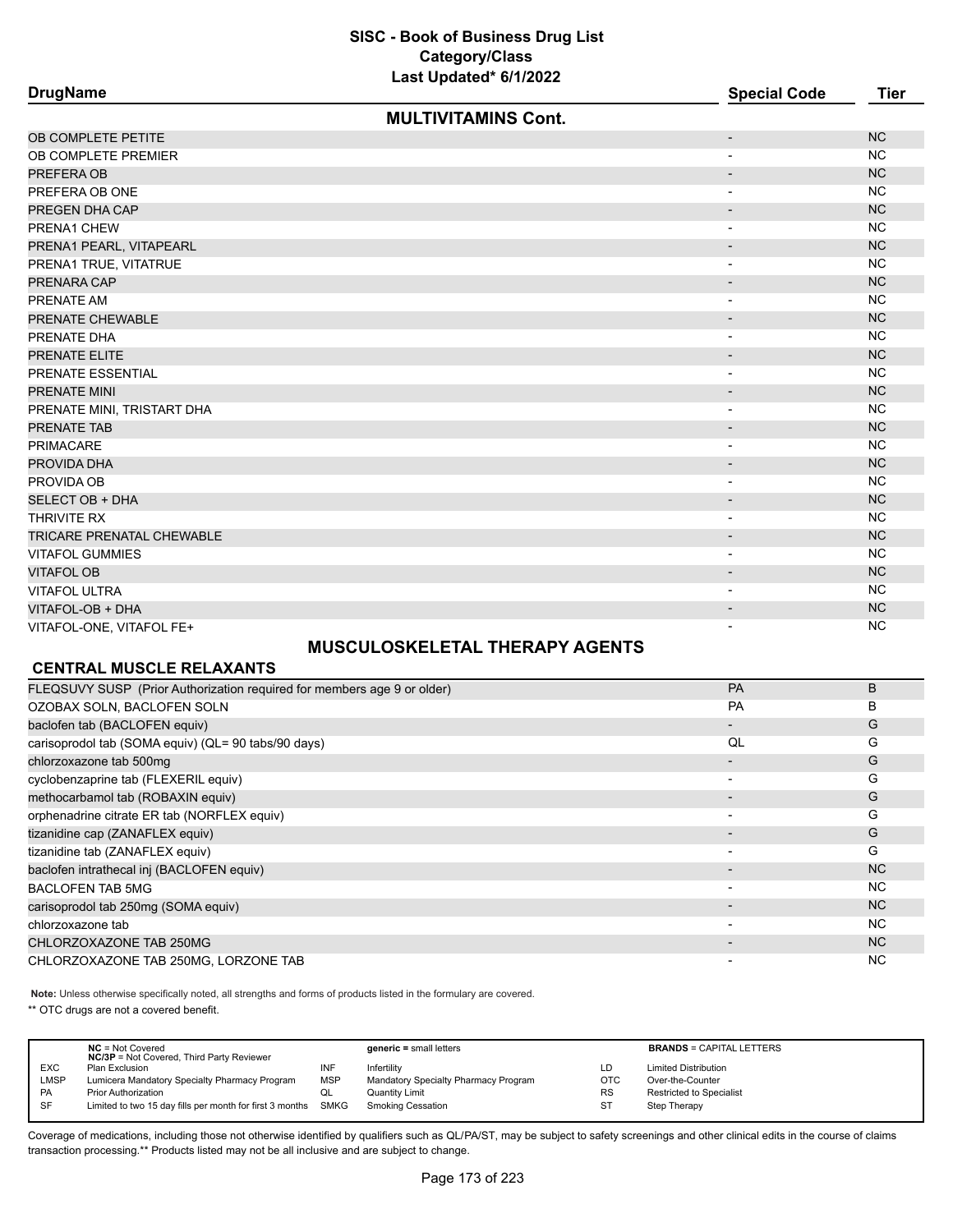| <b>DrugName</b>                  | Last opdated on the SEE    | <b>Special Code</b>      | <b>Tier</b> |
|----------------------------------|----------------------------|--------------------------|-------------|
|                                  | <b>MULTIVITAMINS Cont.</b> |                          |             |
| OB COMPLETE PETITE               |                            | $\overline{\phantom{a}}$ | <b>NC</b>   |
| OB COMPLETE PREMIER              |                            | $\overline{\phantom{a}}$ | <b>NC</b>   |
| PREFERA OB                       |                            | $\overline{\phantom{a}}$ | <b>NC</b>   |
| PREFERA OB ONE                   |                            | $\overline{\phantom{a}}$ | <b>NC</b>   |
| PREGEN DHA CAP                   |                            | $\overline{\phantom{a}}$ | <b>NC</b>   |
| PRENA1 CHEW                      |                            | $\overline{\phantom{a}}$ | <b>NC</b>   |
| PRENA1 PEARL, VITAPEARL          |                            | $\overline{\phantom{a}}$ | <b>NC</b>   |
| PRENA1 TRUE, VITATRUE            |                            | $\overline{\phantom{a}}$ | <b>NC</b>   |
| PRENARA CAP                      |                            | $\overline{\phantom{a}}$ | <b>NC</b>   |
| PRENATE AM                       |                            | $\overline{a}$           | <b>NC</b>   |
| PRENATE CHEWABLE                 |                            | $\overline{\phantom{a}}$ | <b>NC</b>   |
| PRENATE DHA                      |                            | $\overline{\phantom{a}}$ | <b>NC</b>   |
| PRENATE ELITE                    |                            | $\overline{\phantom{a}}$ | <b>NC</b>   |
| PRENATE ESSENTIAL                |                            | $\overline{\phantom{a}}$ | <b>NC</b>   |
| PRENATE MINI                     |                            | $\overline{\phantom{a}}$ | <b>NC</b>   |
| PRENATE MINI, TRISTART DHA       |                            | $\overline{\phantom{a}}$ | <b>NC</b>   |
| PRENATE TAB                      |                            | $\overline{\phantom{a}}$ | <b>NC</b>   |
| <b>PRIMACARE</b>                 |                            | $\overline{\phantom{a}}$ | <b>NC</b>   |
| PROVIDA DHA                      |                            | $\overline{\phantom{a}}$ | <b>NC</b>   |
| PROVIDA OB                       |                            | $\overline{\phantom{a}}$ | <b>NC</b>   |
| <b>SELECT OB + DHA</b>           |                            | $\overline{\phantom{a}}$ | <b>NC</b>   |
| THRIVITE RX                      |                            | $\overline{\phantom{a}}$ | <b>NC</b>   |
| <b>TRICARE PRENATAL CHEWABLE</b> |                            | $\overline{\phantom{a}}$ | <b>NC</b>   |
| <b>VITAFOL GUMMIES</b>           |                            | $\overline{\phantom{a}}$ | <b>NC</b>   |
| <b>VITAFOL OB</b>                |                            | $\overline{\phantom{a}}$ | <b>NC</b>   |
| VITAFOL ULTRA                    |                            | $\overline{\phantom{a}}$ | <b>NC</b>   |
| VITAFOL-OB + DHA                 |                            | $\overline{\phantom{a}}$ | <b>NC</b>   |
| VITAFOL-ONE, VITAFOL FE+         |                            | $\blacksquare$           | <b>NC</b>   |

# **MUSCULOSKELETAL THERAPY AGENTS**

# **CENTRAL MUSCLE RELAXANTS**

| PA                       | B              |
|--------------------------|----------------|
| <b>PA</b>                | B              |
|                          | G              |
| QL                       | G              |
|                          | G              |
| $\overline{\phantom{0}}$ | G              |
| $\overline{\phantom{0}}$ | G              |
|                          | G              |
|                          | G              |
| $\overline{\phantom{a}}$ | G              |
|                          | <b>NC</b>      |
| $\overline{\phantom{0}}$ | NC.            |
| -                        | N <sub>C</sub> |
| $\overline{\phantom{0}}$ | NC.            |
|                          | N <sub>C</sub> |
|                          | <b>NC</b>      |
|                          |                |

**Note:** Unless otherwise specifically noted, all strengths and forms of products listed in the formulary are covered.

\*\* OTC drugs are not a covered benefit.

|             | $NC = Not Covered$<br><b>NC/3P</b> = Not Covered, Third Party Reviewer |            | $generic = small letters$            |           | <b>BRANDS = CAPITAL LETTERS</b> |
|-------------|------------------------------------------------------------------------|------------|--------------------------------------|-----------|---------------------------------|
| <b>EXC</b>  | Plan Exclusion                                                         | INF        | Infertility                          | LD        | <b>Limited Distribution</b>     |
| <b>LMSP</b> | Lumicera Mandatory Specialty Pharmacy Program                          | <b>MSP</b> | Mandatory Specialty Pharmacy Program | OTC       | Over-the-Counter                |
| <b>PA</b>   | <b>Prior Authorization</b>                                             | QL         | Quantity Limit                       | <b>RS</b> | <b>Restricted to Specialist</b> |
| SF          | Limited to two 15 day fills per month for first 3 months SMKG          |            | Smoking Cessation                    | ST        | Step Therapy                    |
|             |                                                                        |            |                                      |           |                                 |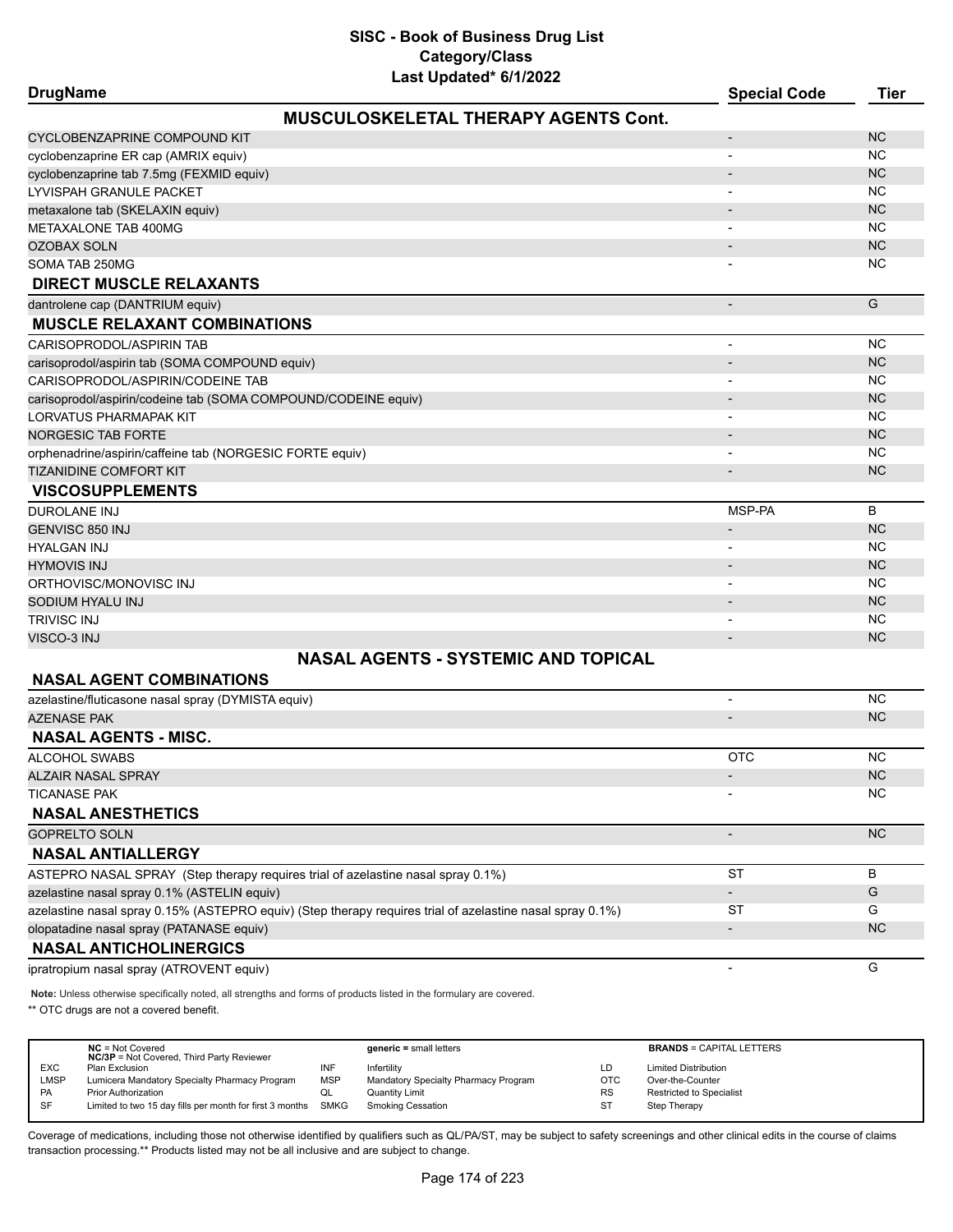| <b>DrugName</b>                                                | Last Upual <del>c</del> u - UNIZUZZ         | <b>Special Code</b>      | <b>Tier</b> |
|----------------------------------------------------------------|---------------------------------------------|--------------------------|-------------|
|                                                                | <b>MUSCULOSKELETAL THERAPY AGENTS Cont.</b> |                          |             |
| CYCLOBENZAPRINE COMPOUND KIT                                   |                                             | $\overline{a}$           | <b>NC</b>   |
| cyclobenzaprine ER cap (AMRIX equiv)                           |                                             |                          | <b>NC</b>   |
| cyclobenzaprine tab 7.5mg (FEXMID equiv)                       |                                             |                          | <b>NC</b>   |
| LYVISPAH GRANULE PACKET                                        |                                             |                          | <b>NC</b>   |
| metaxalone tab (SKELAXIN equiv)                                |                                             | $\overline{a}$           | <b>NC</b>   |
| METAXALONE TAB 400MG                                           |                                             |                          | <b>NC</b>   |
| <b>OZOBAX SOLN</b>                                             |                                             |                          | <b>NC</b>   |
| SOMA TAB 250MG                                                 |                                             |                          | <b>NC</b>   |
| <b>DIRECT MUSCLE RELAXANTS</b>                                 |                                             |                          |             |
| dantrolene cap (DANTRIUM equiv)                                |                                             | $\overline{\phantom{a}}$ | G           |
| <b>MUSCLE RELAXANT COMBINATIONS</b>                            |                                             |                          |             |
| CARISOPRODOL/ASPIRIN TAB                                       |                                             |                          | <b>NC</b>   |
| carisoprodol/aspirin tab (SOMA COMPOUND equiv)                 |                                             |                          | <b>NC</b>   |
| CARISOPRODOL/ASPIRIN/CODEINE TAB                               |                                             |                          | <b>NC</b>   |
| carisoprodol/aspirin/codeine tab (SOMA COMPOUND/CODEINE equiv) |                                             |                          | <b>NC</b>   |
| LORVATUS PHARMAPAK KIT                                         |                                             |                          | <b>NC</b>   |
| <b>NORGESIC TAB FORTE</b>                                      |                                             |                          | <b>NC</b>   |
| orphenadrine/aspirin/caffeine tab (NORGESIC FORTE equiv)       |                                             | $\overline{\phantom{a}}$ | <b>NC</b>   |
| <b>TIZANIDINE COMFORT KIT</b>                                  |                                             |                          | <b>NC</b>   |
| <b>VISCOSUPPLEMENTS</b>                                        |                                             |                          |             |
| DUROLANE INJ                                                   |                                             | MSP-PA                   | B           |
| GENVISC 850 INJ                                                |                                             | $\overline{\phantom{a}}$ | <b>NC</b>   |
| HYALGAN INJ                                                    |                                             |                          | <b>NC</b>   |
| <b>HYMOVIS INJ</b>                                             |                                             |                          | <b>NC</b>   |
| ORTHOVISC/MONOVISC INJ                                         |                                             |                          | <b>NC</b>   |
| SODIUM HYALU INJ                                               |                                             |                          | <b>NC</b>   |
| TRIVISC INJ                                                    |                                             |                          | <b>NC</b>   |
| VISCO-3 INJ                                                    |                                             |                          | <b>NC</b>   |
|                                                                | <b>NASAL AGENTS - SYSTEMIC AND TOPICAL</b>  |                          |             |
| <b>NASAL AGENT COMBINATIONS</b>                                |                                             |                          |             |
| azelastine/fluticasone nasal spray (DYMISTA equiv)             |                                             |                          | <b>NC</b>   |
| <b>AZENASE PAK</b>                                             |                                             |                          | <b>NC</b>   |
| <b>NASAL AGENTS - MISC.</b>                                    |                                             |                          |             |

| <b>NASAL AGENTS - MISC.</b>                                                                               |            |           |
|-----------------------------------------------------------------------------------------------------------|------------|-----------|
| ALCOHOL SWABS                                                                                             | <b>OTC</b> | NC.       |
| <b>ALZAIR NASAL SPRAY</b>                                                                                 |            | NC.       |
| <b>TICANASE PAK</b>                                                                                       |            | NC.       |
| <b>NASAL ANESTHETICS</b>                                                                                  |            |           |
| <b>GOPRELTO SOLN</b>                                                                                      |            | NC.       |
| <b>NASAL ANTIALLERGY</b>                                                                                  |            |           |
| ASTEPRO NASAL SPRAY (Step therapy requires trial of azelastine nasal spray 0.1%)                          | <b>ST</b>  | B         |
| azelastine nasal spray 0.1% (ASTELIN equiv)                                                               |            | G         |
| azelastine nasal spray 0.15% (ASTEPRO equiv) (Step therapy requires trial of azelastine nasal spray 0.1%) | ST         | G         |
| olopatadine nasal spray (PATANASE equiv)                                                                  |            | <b>NC</b> |
| <b>NASAL ANTICHOLINERGICS</b>                                                                             |            |           |
| ipratropium nasal spray (ATROVENT equiv)                                                                  |            | G         |

**Note:** Unless otherwise specifically noted, all strengths and forms of products listed in the formulary are covered.

\*\* OTC drugs are not a covered benefit.

|            | $NC = Not Covered$<br><b>NC/3P</b> = Not Covered, Third Party Reviewer |            | $generic = small letters$            |            | <b>BRANDS = CAPITAL LETTERS</b> |
|------------|------------------------------------------------------------------------|------------|--------------------------------------|------------|---------------------------------|
| <b>EXC</b> | Plan Exclusion                                                         | INF        | Infertility                          | LD         | <b>Limited Distribution</b>     |
| LMSP       | Lumicera Mandatory Specialty Pharmacy Program                          | <b>MSP</b> | Mandatory Specialty Pharmacy Program | <b>OTC</b> | Over-the-Counter                |
| PA         | <b>Prior Authorization</b>                                             | ◡          | <b>Quantity Limit</b>                | <b>RS</b>  | Restricted to Specialist        |
| <b>SF</b>  | Limited to two 15 day fills per month for first 3 months               | SMKG       | Smoking Cessation                    | <b>ST</b>  | Step Therapy                    |
|            |                                                                        |            |                                      |            |                                 |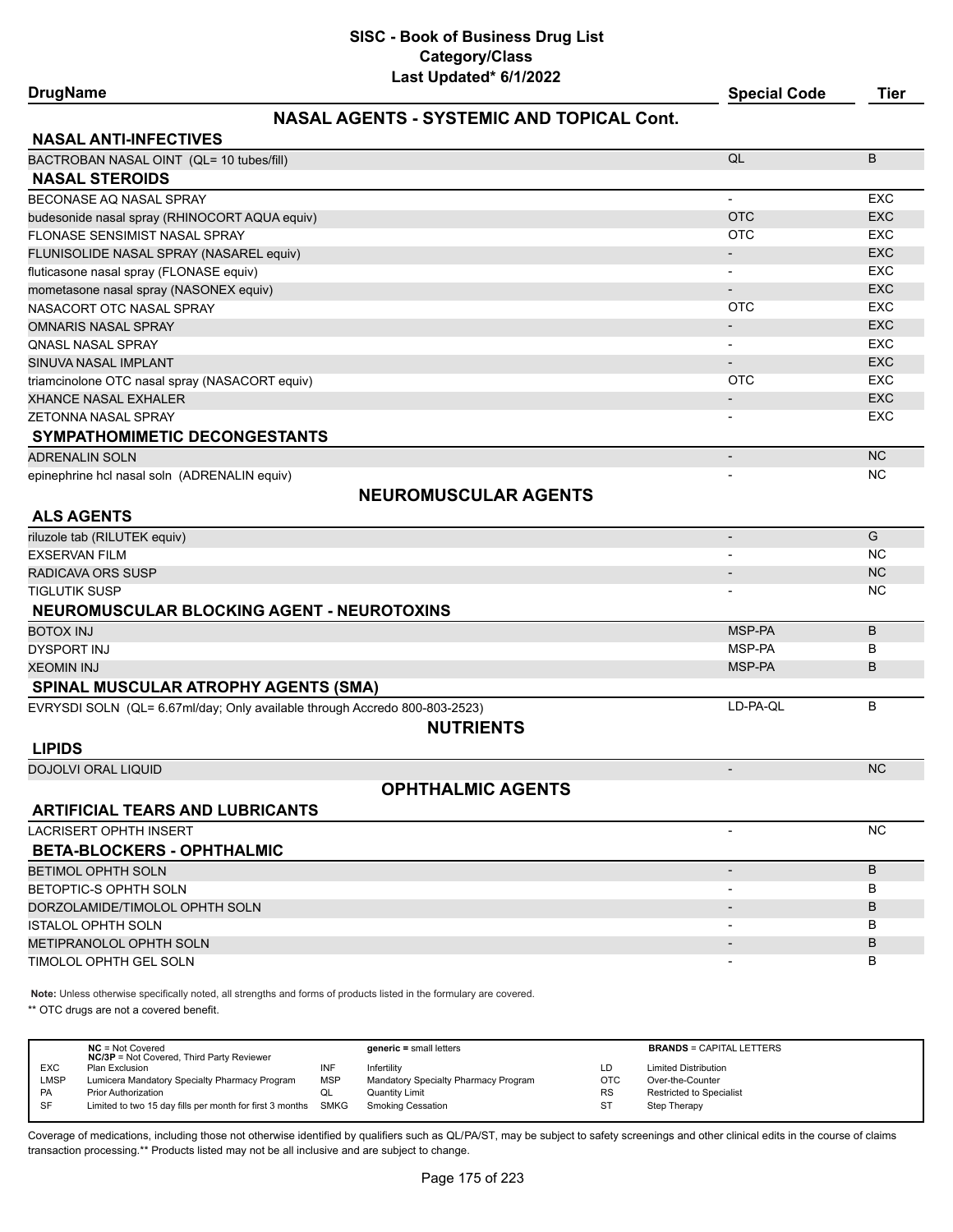# **DrugName Special Code Tier**

# **NASAL AGENTS - SYSTEMIC AND TOPICAL Cont.**

| <b>NASAL ANTI-INFECTIVES</b>                                                                                        |                          |            |
|---------------------------------------------------------------------------------------------------------------------|--------------------------|------------|
| BACTROBAN NASAL OINT (QL= 10 tubes/fill)                                                                            | QL                       | B          |
| <b>NASAL STEROIDS</b>                                                                                               |                          |            |
| BECONASE AQ NASAL SPRAY                                                                                             | $\overline{\phantom{a}}$ | EXC        |
| budesonide nasal spray (RHINOCORT AQUA equiv)                                                                       | <b>OTC</b>               | <b>EXC</b> |
| FLONASE SENSIMIST NASAL SPRAY                                                                                       | <b>OTC</b>               | <b>EXC</b> |
| FLUNISOLIDE NASAL SPRAY (NASAREL equiv)                                                                             |                          | <b>EXC</b> |
| fluticasone nasal spray (FLONASE equiv)                                                                             |                          | <b>EXC</b> |
| mometasone nasal spray (NASONEX equiv)                                                                              | $\blacksquare$           | <b>EXC</b> |
| NASACORT OTC NASAL SPRAY                                                                                            | <b>OTC</b>               | <b>EXC</b> |
| <b>OMNARIS NASAL SPRAY</b>                                                                                          |                          | <b>EXC</b> |
| <b>QNASL NASAL SPRAY</b>                                                                                            |                          | EXC        |
| SINUVA NASAL IMPLANT                                                                                                | $\overline{\phantom{a}}$ | <b>EXC</b> |
| triamcinolone OTC nasal spray (NASACORT equiv)                                                                      | <b>OTC</b>               | <b>EXC</b> |
| <b>XHANCE NASAL EXHALER</b>                                                                                         |                          | <b>EXC</b> |
| ZETONNA NASAL SPRAY                                                                                                 |                          | EXC        |
| SYMPATHOMIMETIC DECONGESTANTS                                                                                       |                          |            |
| <b>ADRENALIN SOLN</b>                                                                                               | $\overline{\phantom{a}}$ | <b>NC</b>  |
| epinephrine hcl nasal soln (ADRENALIN equiv)                                                                        |                          | <b>NC</b>  |
| <b>NEUROMUSCULAR AGENTS</b>                                                                                         |                          |            |
| <b>ALS AGENTS</b>                                                                                                   |                          |            |
| riluzole tab (RILUTEK equiv)                                                                                        | $\overline{\phantom{a}}$ | G          |
| <b>EXSERVAN FILM</b>                                                                                                | $\overline{\phantom{a}}$ | <b>NC</b>  |
| <b>RADICAVA ORS SUSP</b>                                                                                            | $\overline{\phantom{a}}$ | <b>NC</b>  |
| <b>TIGLUTIK SUSP</b>                                                                                                |                          | <b>NC</b>  |
| NEUROMUSCULAR BLOCKING AGENT - NEUROTOXINS                                                                          |                          |            |
| <b>BOTOX INJ</b>                                                                                                    | MSP-PA                   | B          |
| <b>DYSPORT INJ</b>                                                                                                  | MSP-PA                   | в          |
|                                                                                                                     | MSP-PA                   | B          |
| <b>XEOMIN INJ</b>                                                                                                   |                          |            |
| <b>SPINAL MUSCULAR ATROPHY AGENTS (SMA)</b>                                                                         |                          |            |
| EVRYSDI SOLN (QL= 6.67ml/day; Only available through Accredo 800-803-2523)                                          | LD-PA-QL                 | B          |
| <b>NUTRIENTS</b>                                                                                                    |                          |            |
| <b>LIPIDS</b>                                                                                                       |                          |            |
| <b>DOJOLVI ORAL LIQUID</b>                                                                                          | $\overline{\phantom{a}}$ | <b>NC</b>  |
| <b>OPHTHALMIC AGENTS</b>                                                                                            |                          |            |
| <b>ARTIFICIAL TEARS AND LUBRICANTS</b>                                                                              |                          |            |
| <b>LACRISERT OPHTH INSERT</b>                                                                                       |                          | <b>NC</b>  |
| <b>BETA-BLOCKERS - OPHTHALMIC</b>                                                                                   |                          |            |
| <b>BETIMOL OPHTH SOLN</b>                                                                                           | $\overline{\phantom{a}}$ | B          |
| BETOPTIC-S OPHTH SOLN                                                                                               | $\overline{\phantom{a}}$ | B          |
| DORZOLAMIDE/TIMOLOL OPHTH SOLN                                                                                      | -                        | B          |
| <b>ISTALOL OPHTH SOLN</b>                                                                                           | $\overline{\phantom{a}}$ | B          |
| METIPRANOLOL OPHTH SOLN                                                                                             | $\overline{\phantom{a}}$ | B          |
| TIMOLOL OPHTH GEL SOLN                                                                                              |                          | B          |
|                                                                                                                     |                          |            |
| Note: Unless otherwise specifically noted, all strengths and forms of products listed in the formulary are covered. |                          |            |

\*\* OTC drugs are not a covered benefit.

|            | $NC = Not Covered$<br><b>NC/3P</b> = Not Covered, Third Party Reviewer |             | $generic = small letters$            |            | <b>BRANDS = CAPITAL LETTERS</b> |
|------------|------------------------------------------------------------------------|-------------|--------------------------------------|------------|---------------------------------|
| <b>EXC</b> | Plan Exclusion                                                         |             | Infertility                          | LD         | <b>Limited Distribution</b>     |
| LMSP       | Lumicera Mandatory Specialty Pharmacy Program                          | <b>MSP</b>  | Mandatory Specialty Pharmacy Program | <b>OTC</b> | Over-the-Counter                |
| <b>PA</b>  | <b>Prior Authorization</b>                                             | QL          | <b>Quantity Limit</b>                | <b>RS</b>  | <b>Restricted to Specialist</b> |
| SF         | Limited to two 15 day fills per month for first 3 months               | <b>SMKG</b> | Smoking Cessation                    | ST         | Step Therapy                    |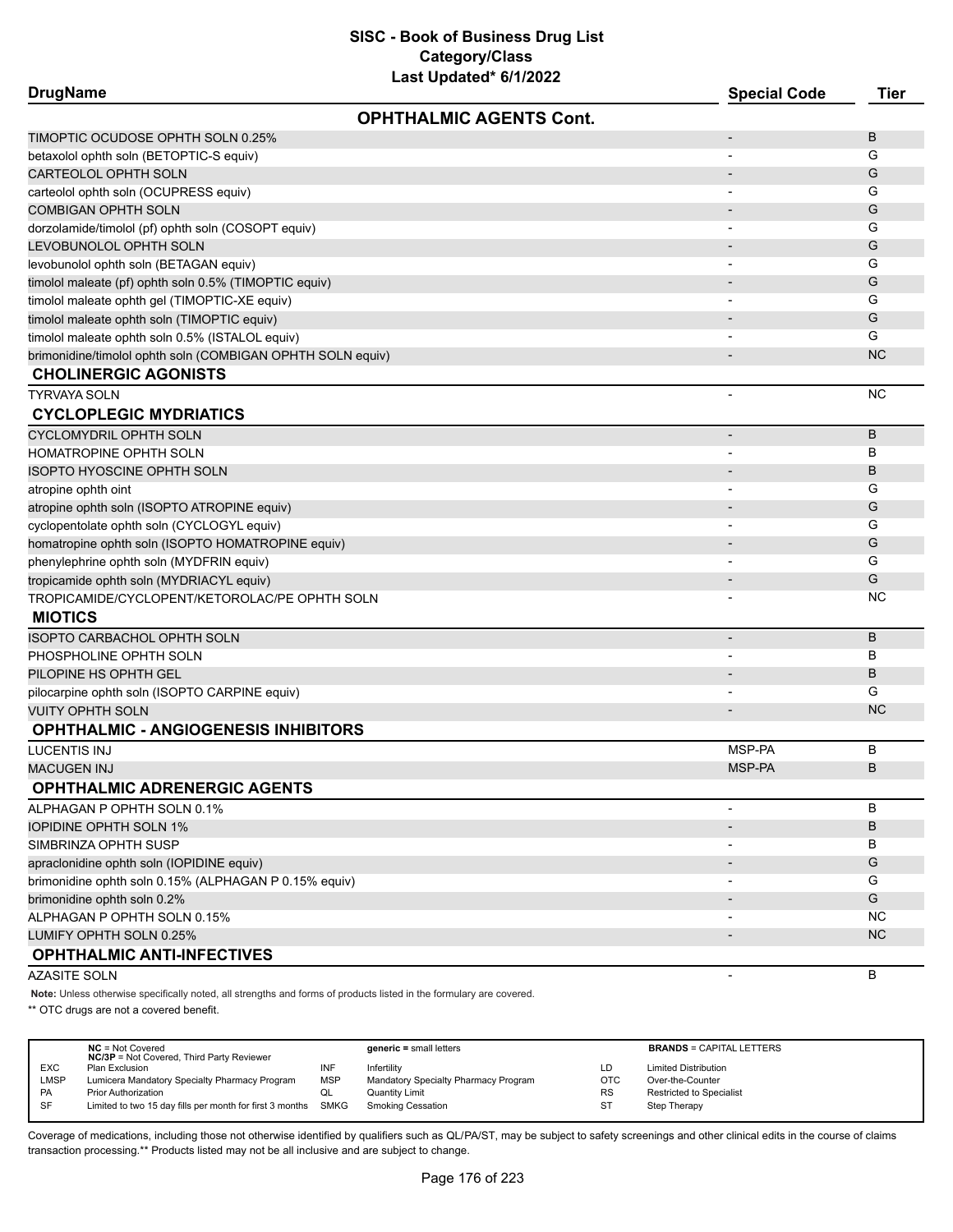| <b>DrugName</b>                                            | Last updated" britzuzz         | <b>Special Code</b>          | <b>Tier</b> |
|------------------------------------------------------------|--------------------------------|------------------------------|-------------|
|                                                            | <b>OPHTHALMIC AGENTS Cont.</b> |                              |             |
| TIMOPTIC OCUDOSE OPHTH SOLN 0.25%                          |                                |                              | B           |
| betaxolol ophth soln (BETOPTIC-S equiv)                    |                                | $\blacksquare$               | G           |
| CARTEOLOL OPHTH SOLN                                       |                                |                              | G           |
| carteolol ophth soln (OCUPRESS equiv)                      |                                |                              | G           |
| COMBIGAN OPHTH SOLN                                        |                                |                              | G           |
| dorzolamide/timolol (pf) ophth soln (COSOPT equiv)         |                                |                              | G           |
| LEVOBUNOLOL OPHTH SOLN                                     |                                |                              | G           |
| levobunolol ophth soln (BETAGAN equiv)                     |                                |                              | G           |
| timolol maleate (pf) ophth soln 0.5% (TIMOPTIC equiv)      |                                |                              | G           |
| timolol maleate ophth gel (TIMOPTIC-XE equiv)              |                                |                              | G           |
| timolol maleate ophth soln (TIMOPTIC equiv)                |                                |                              | G           |
| timolol maleate ophth soln 0.5% (ISTALOL equiv)            |                                |                              | G           |
| brimonidine/timolol ophth soln (COMBIGAN OPHTH SOLN equiv) |                                |                              | <b>NC</b>   |
| <b>CHOLINERGIC AGONISTS</b>                                |                                |                              |             |
| <b>TYRVAYA SOLN</b>                                        |                                |                              | <b>NC</b>   |
| <b>CYCLOPLEGIC MYDRIATICS</b>                              |                                |                              |             |
| CYCLOMYDRIL OPHTH SOLN                                     |                                | $\qquad \qquad \blacksquare$ | B           |
| HOMATROPINE OPHTH SOLN                                     |                                | $\blacksquare$               | B           |
| <b>ISOPTO HYOSCINE OPHTH SOLN</b>                          |                                |                              | B           |
| atropine ophth oint                                        |                                |                              | G           |
| atropine ophth soln (ISOPTO ATROPINE equiv)                |                                |                              | G           |
| cyclopentolate ophth soln (CYCLOGYL equiv)                 |                                |                              | G           |
| homatropine ophth soln (ISOPTO HOMATROPINE equiv)          |                                |                              | G           |
| phenylephrine ophth soln (MYDFRIN equiv)                   |                                |                              | G           |
| tropicamide ophth soln (MYDRIACYL equiv)                   |                                |                              | G           |
| TROPICAMIDE/CYCLOPENT/KETOROLAC/PE OPHTH SOLN              |                                |                              | <b>NC</b>   |
| <b>MIOTICS</b>                                             |                                |                              |             |
| <b>ISOPTO CARBACHOL OPHTH SOLN</b>                         |                                |                              | B           |
| PHOSPHOLINE OPHTH SOLN                                     |                                |                              | B           |
| PILOPINE HS OPHTH GEL                                      |                                |                              | B           |
| pilocarpine ophth soln (ISOPTO CARPINE equiv)              |                                |                              | G           |
| <b>VUITY OPHTH SOLN</b>                                    |                                |                              | <b>NC</b>   |
| <b>OPHTHALMIC - ANGIOGENESIS INHIBITORS</b>                |                                |                              |             |
| LUCENTIS INJ                                               |                                | MSP-PA                       | B           |
| MACUGEN INJ                                                |                                | MSP-PA                       | B           |
| <b>OPHTHALMIC ADRENERGIC AGENTS</b>                        |                                |                              |             |
| ALPHAGAN P OPHTH SOLN 0.1%                                 |                                |                              | B           |
| <b>IOPIDINE OPHTH SOLN 1%</b>                              |                                |                              | B           |
| SIMBRINZA OPHTH SUSP                                       |                                |                              | В           |
| apraclonidine ophth soln (IOPIDINE equiv)                  |                                |                              | G           |
| brimonidine ophth soln 0.15% (ALPHAGAN P 0.15% equiv)      |                                |                              | G           |
| brimonidine ophth soln 0.2%                                |                                |                              | G           |
| ALPHAGAN P OPHTH SOLN 0.15%                                |                                |                              | NC.         |
| LUMIFY OPHTH SOLN 0.25%                                    |                                |                              | <b>NC</b>   |
| <b>OPHTHALMIC ANTI-INFECTIVES</b>                          |                                |                              |             |
| AZASITE SOLN                                               |                                | -                            | B           |
|                                                            |                                |                              |             |

**Note:** Unless otherwise specifically noted, all strengths and forms of products listed in the formulary are covered.

\*\* OTC drugs are not a covered benefit.

|             | $NC = Not Covered$<br><b>NC/3P</b> = Not Covered, Third Party Reviewer |            | $generic = small letters$            |            | <b>BRANDS = CAPITAL LETTERS</b> |
|-------------|------------------------------------------------------------------------|------------|--------------------------------------|------------|---------------------------------|
| <b>EXC</b>  | Plan Exclusion                                                         | INF        | Infertility                          | LD         | <b>Limited Distribution</b>     |
| <b>LMSP</b> | Lumicera Mandatory Specialty Pharmacy Program                          | <b>MSP</b> | Mandatory Specialty Pharmacy Program | <b>OTC</b> | Over-the-Counter                |
| PA          | <b>Prior Authorization</b>                                             | QL         | <b>Quantity Limit</b>                | <b>RS</b>  | <b>Restricted to Specialist</b> |
| SF          | Limited to two 15 day fills per month for first 3 months SMKG          |            | <b>Smoking Cessation</b>             | -ST        | Step Therapy                    |
|             |                                                                        |            |                                      |            |                                 |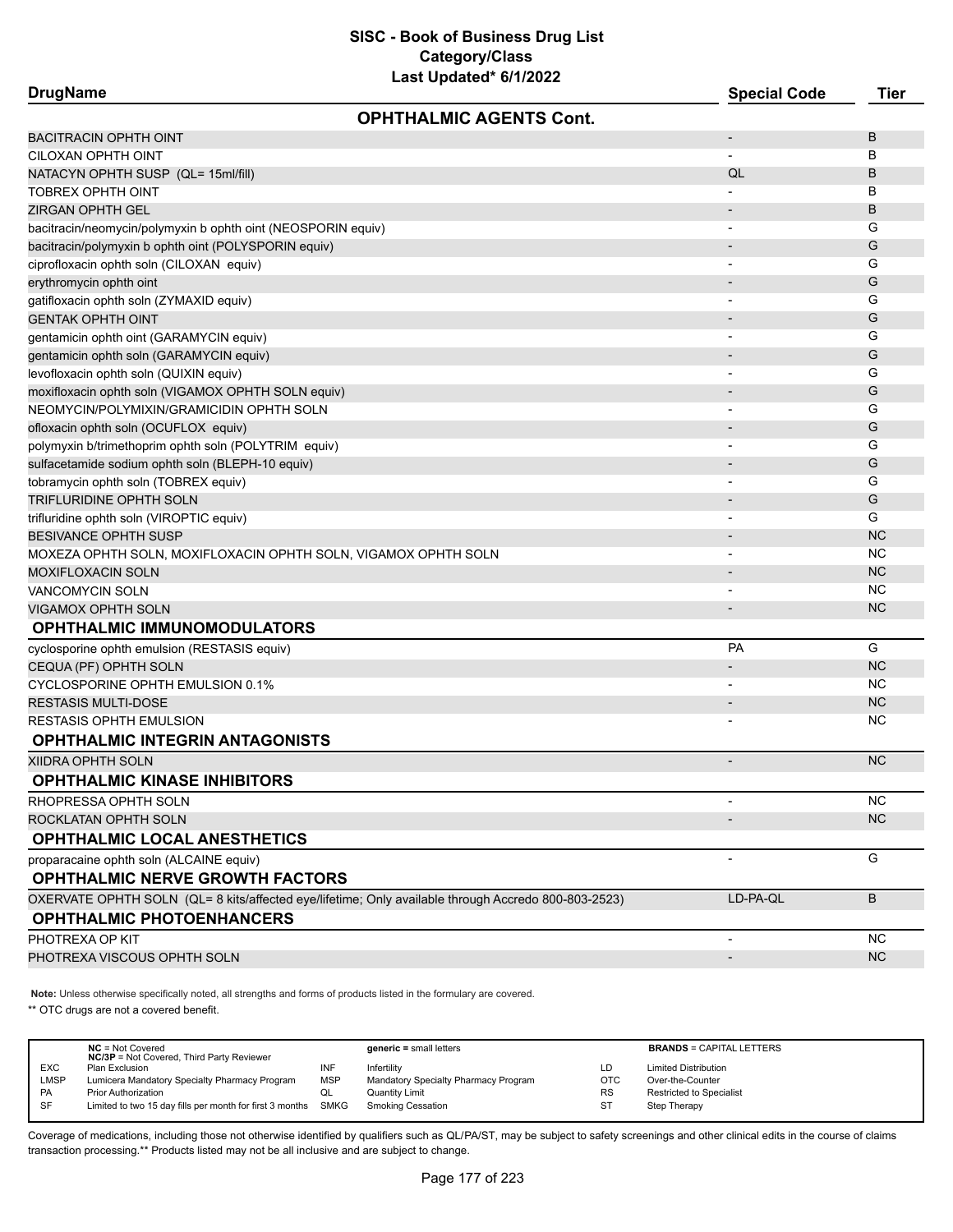**DrugName Special Code Tier OPHTHALMIC AGENTS Cont.**

| <b>BACITRACIN OPHTH OINT</b>                                                                        |                          | В         |
|-----------------------------------------------------------------------------------------------------|--------------------------|-----------|
| CILOXAN OPHTH OINT                                                                                  |                          | в         |
| NATACYN OPHTH SUSP (QL= 15ml/fill)                                                                  | QL                       | B         |
| TOBREX OPHTH OINT                                                                                   |                          | В         |
| ZIRGAN OPHTH GEL                                                                                    |                          | B         |
| bacitracin/neomycin/polymyxin b ophth oint (NEOSPORIN equiv)                                        |                          | G         |
| bacitracin/polymyxin b ophth oint (POLYSPORIN equiv)                                                |                          | G         |
| ciprofloxacin ophth soln (CILOXAN equiv)                                                            |                          | G         |
| erythromycin ophth oint                                                                             |                          | G         |
| gatifloxacin ophth soln (ZYMAXID equiv)                                                             |                          | G         |
| <b>GENTAK OPHTH OINT</b>                                                                            |                          | G         |
| gentamicin ophth oint (GARAMYCIN equiv)                                                             |                          | G         |
| gentamicin ophth soln (GARAMYCIN equiv)                                                             |                          | G         |
| levofloxacin ophth soln (QUIXIN equiv)                                                              |                          | G         |
| moxifloxacin ophth soln (VIGAMOX OPHTH SOLN equiv)                                                  |                          | G         |
| NEOMYCIN/POLYMIXIN/GRAMICIDIN OPHTH SOLN                                                            |                          | G         |
| ofloxacin ophth soln (OCUFLOX equiv)                                                                |                          | G         |
| polymyxin b/trimethoprim ophth soln (POLYTRIM equiv)                                                |                          | G         |
| sulfacetamide sodium ophth soln (BLEPH-10 equiv)                                                    |                          | G         |
| tobramycin ophth soln (TOBREX equiv)                                                                |                          | G         |
| TRIFLURIDINE OPHTH SOLN                                                                             |                          | G         |
| trifluridine ophth soln (VIROPTIC equiv)                                                            |                          | G         |
| BESIVANCE OPHTH SUSP                                                                                |                          | <b>NC</b> |
| MOXEZA OPHTH SOLN, MOXIFLOXACIN OPHTH SOLN, VIGAMOX OPHTH SOLN                                      |                          | <b>NC</b> |
| MOXIFLOXACIN SOLN                                                                                   |                          | <b>NC</b> |
| <b>VANCOMYCIN SOLN</b>                                                                              |                          | <b>NC</b> |
| VIGAMOX OPHTH SOLN                                                                                  |                          | <b>NC</b> |
| <b>OPHTHALMIC IMMUNOMODULATORS</b>                                                                  |                          |           |
| cyclosporine ophth emulsion (RESTASIS equiv)                                                        | PA                       | G         |
| CEQUA (PF) OPHTH SOLN                                                                               |                          | <b>NC</b> |
| CYCLOSPORINE OPHTH EMULSION 0.1%                                                                    |                          | <b>NC</b> |
| <b>RESTASIS MULTI-DOSE</b>                                                                          |                          | <b>NC</b> |
| RESTASIS OPHTH EMULSION                                                                             |                          | ΝC        |
| <b>OPHTHALMIC INTEGRIN ANTAGONISTS</b>                                                              |                          |           |
| XIIDRA OPHTH SOLN                                                                                   | $\overline{\phantom{a}}$ | <b>NC</b> |
| <b>OPHTHALMIC KINASE INHIBITORS</b>                                                                 |                          |           |
| RHOPRESSA OPHTH SOLN                                                                                |                          | <b>NC</b> |
| ROCKLATAN OPHTH SOLN                                                                                |                          | <b>NC</b> |
| OPHTHALMIC LOCAL ANESTHETICS                                                                        |                          |           |
| proparacaine ophth soln (ALCAINE equiv)                                                             |                          | G         |
| <b>OPHTHALMIC NERVE GROWTH FACTORS</b>                                                              |                          |           |
| OXERVATE OPHTH SOLN (QL= 8 kits/affected eye/lifetime; Only available through Accredo 800-803-2523) | LD-PA-QL                 | B         |
| <b>OPHTHALMIC PHOTOENHANCERS</b>                                                                    |                          |           |
| PHOTREXA OP KIT                                                                                     | $\overline{\phantom{a}}$ | NC.       |
| PHOTREXA VISCOUS OPHTH SOLN                                                                         | $\overline{\phantom{a}}$ | <b>NC</b> |
|                                                                                                     |                          |           |

**Note:** Unless otherwise specifically noted, all strengths and forms of products listed in the formulary are covered.

\*\* OTC drugs are not a covered benefit.

|            | $NC = Not Covered$<br><b>NC/3P</b> = Not Covered, Third Party Reviewer |            | $generic = small letters$            |            | <b>BRANDS = CAPITAL LETTERS</b> |
|------------|------------------------------------------------------------------------|------------|--------------------------------------|------------|---------------------------------|
| <b>EXC</b> | Plan Exclusion                                                         | INF        | Infertility                          | LD         | <b>Limited Distribution</b>     |
| LMSP       | Lumicera Mandatory Specialty Pharmacy Program                          | <b>MSP</b> | Mandatory Specialty Pharmacy Program | <b>OTC</b> | Over-the-Counter                |
| <b>PA</b>  | <b>Prior Authorization</b>                                             | ◡          | Quantity Limit                       | <b>RS</b>  | <b>Restricted to Specialist</b> |
| SF         | Limited to two 15 day fills per month for first 3 months SMKG          |            | Smoking Cessation                    | ST         | Step Therapy                    |
|            |                                                                        |            |                                      |            |                                 |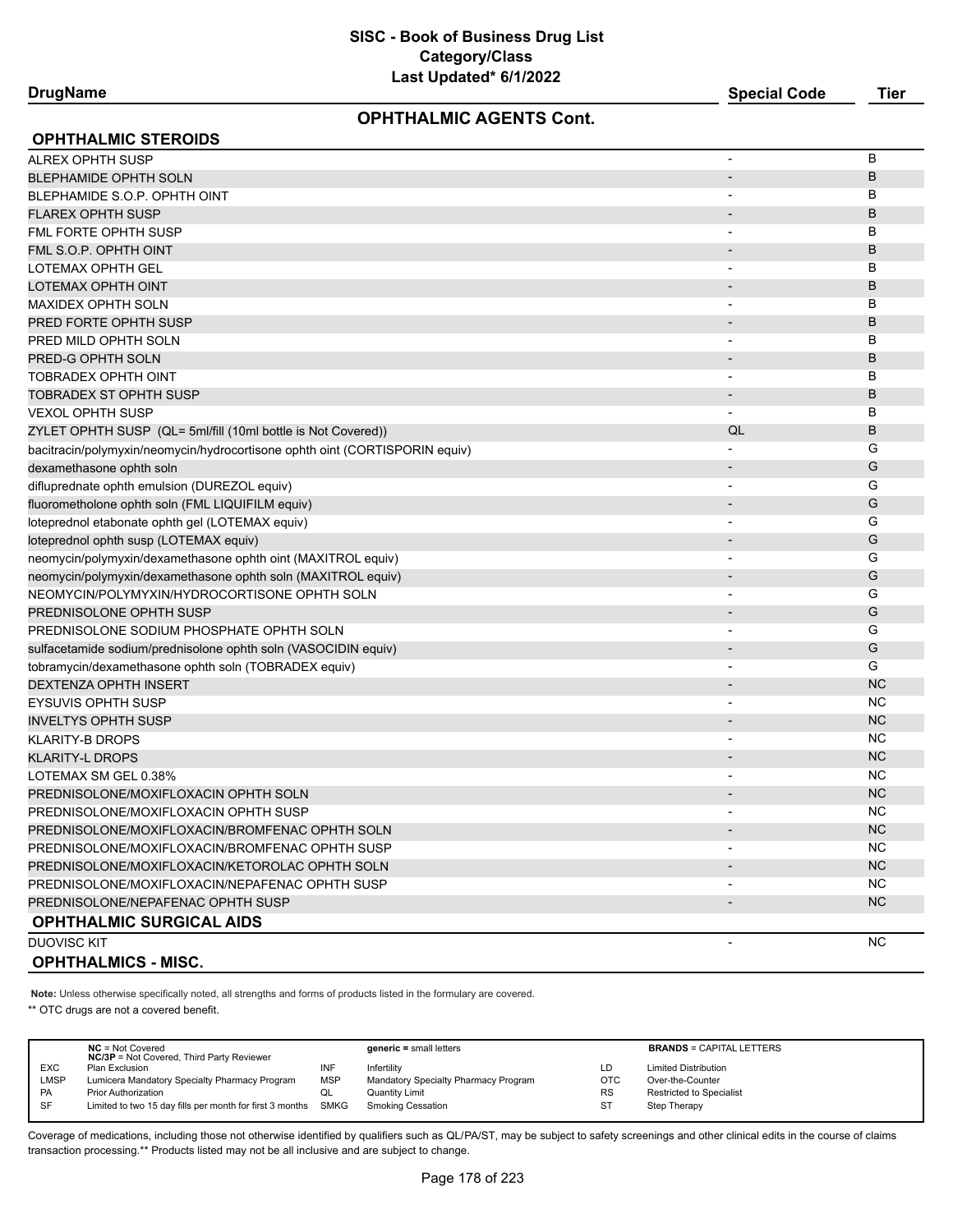**DrugName Special Code Tier**

# **OPHTHALMIC AGENTS Cont.**

| <b>OPHTHALMIC STEROIDS</b>                                                  |                          |           |
|-----------------------------------------------------------------------------|--------------------------|-----------|
| <b>ALREX OPHTH SUSP</b>                                                     |                          | B         |
| <b>BLEPHAMIDE OPHTH SOLN</b>                                                |                          | B         |
| BLEPHAMIDE S.O.P. OPHTH OINT                                                |                          | B         |
| <b>FLAREX OPHTH SUSP</b>                                                    |                          | B         |
| FML FORTE OPHTH SUSP                                                        |                          | B         |
| FML S.O.P. OPHTH OINT                                                       |                          | B         |
| LOTEMAX OPHTH GEL                                                           |                          | B         |
| LOTEMAX OPHTH OINT                                                          | $\overline{\phantom{a}}$ | B         |
| MAXIDEX OPHTH SOLN                                                          |                          | B         |
| PRED FORTE OPHTH SUSP                                                       |                          | B         |
| PRED MILD OPHTH SOLN                                                        |                          | B         |
| PRED-G OPHTH SOLN                                                           |                          | B         |
| <b>TOBRADEX OPHTH OINT</b>                                                  |                          | B         |
| <b>TOBRADEX ST OPHTH SUSP</b>                                               |                          | B         |
| <b>VEXOL OPHTH SUSP</b>                                                     | $\blacksquare$           | B         |
| ZYLET OPHTH SUSP (QL= 5ml/fill (10ml bottle is Not Covered))                | QL                       | B         |
| bacitracin/polymyxin/neomycin/hydrocortisone ophth oint (CORTISPORIN equiv) | $\overline{\phantom{a}}$ | G         |
| dexamethasone ophth soln                                                    |                          | G         |
| difluprednate ophth emulsion (DUREZOL equiv)                                | $\overline{\phantom{a}}$ | G         |
| fluorometholone ophth soln (FML LIQUIFILM equiv)                            |                          | G         |
| loteprednol etabonate ophth gel (LOTEMAX equiv)                             |                          | G         |
| loteprednol ophth susp (LOTEMAX equiv)                                      |                          | G         |
| neomycin/polymyxin/dexamethasone ophth oint (MAXITROL equiv)                |                          | G         |
| neomycin/polymyxin/dexamethasone ophth soln (MAXITROL equiv)                | $\overline{\phantom{a}}$ | G         |
| NEOMYCIN/POLYMYXIN/HYDROCORTISONE OPHTH SOLN                                |                          | G         |
| PREDNISOLONE OPHTH SUSP                                                     | $\blacksquare$           | G         |
| PREDNISOLONE SODIUM PHOSPHATE OPHTH SOLN                                    |                          | G         |
| sulfacetamide sodium/prednisolone ophth soln (VASOCIDIN equiv)              | $\overline{\phantom{a}}$ | G         |
| tobramycin/dexamethasone ophth soln (TOBRADEX equiv)                        |                          | G         |
| <b>DEXTENZA OPHTH INSERT</b>                                                |                          | <b>NC</b> |
| <b>EYSUVIS OPHTH SUSP</b>                                                   |                          | <b>NC</b> |
| <b>INVELTYS OPHTH SUSP</b>                                                  | $\overline{\phantom{a}}$ | <b>NC</b> |
| <b>KLARITY-B DROPS</b>                                                      | $\blacksquare$           | <b>NC</b> |
| <b>KLARITY-L DROPS</b>                                                      | $\overline{\phantom{a}}$ | <b>NC</b> |
| LOTEMAX SM GEL 0.38%                                                        |                          | <b>NC</b> |
| PREDNISOLONE/MOXIFLOXACIN OPHTH SOLN                                        |                          | <b>NC</b> |
| PREDNISOLONE/MOXIFLOXACIN OPHTH SUSP                                        |                          | <b>NC</b> |
| PREDNISOLONE/MOXIFLOXACIN/BROMFENAC OPHTH SOLN                              |                          | <b>NC</b> |
| PREDNISOLONE/MOXIFLOXACIN/BROMFENAC OPHTH SUSP                              |                          | NC.       |
| PREDNISOLONE/MOXIFLOXACIN/KETOROLAC OPHTH SOLN                              |                          | NC.       |
| PREDNISOLONE/MOXIFLOXACIN/NEPAFENAC OPHTH SUSP                              |                          | NC.       |
| PREDNISOLONE/NEPAFENAC OPHTH SUSP                                           |                          | <b>NC</b> |
| <b>OPHTHALMIC SURGICAL AIDS</b>                                             |                          |           |
| <b>DUOVISC KIT</b>                                                          |                          | <b>NC</b> |
| <b>OPHTHALMICS - MISC.</b>                                                  |                          |           |

**Note:** Unless otherwise specifically noted, all strengths and forms of products listed in the formulary are covered.

\*\* OTC drugs are not a covered benefit.

|             | $NC = Not Covered$<br><b>NC/3P</b> = Not Covered, Third Party Reviewer |            | $generic = small letters$            |            | <b>BRANDS = CAPITAL LETTERS</b> |
|-------------|------------------------------------------------------------------------|------------|--------------------------------------|------------|---------------------------------|
| <b>EXC</b>  | Plan Exclusion                                                         | INF        | Infertility                          | LD         | <b>Limited Distribution</b>     |
| <b>LMSP</b> | Lumicera Mandatory Specialty Pharmacy Program                          | <b>MSP</b> | Mandatory Specialty Pharmacy Program | <b>OTC</b> | Over-the-Counter                |
| <b>PA</b>   | <b>Prior Authorization</b>                                             | QL         | Quantity Limit                       | <b>RS</b>  | <b>Restricted to Specialist</b> |
| SF          | Limited to two 15 day fills per month for first 3 months SMKG          |            | Smoking Cessation                    | ST         | Step Therapy                    |
|             |                                                                        |            |                                      |            |                                 |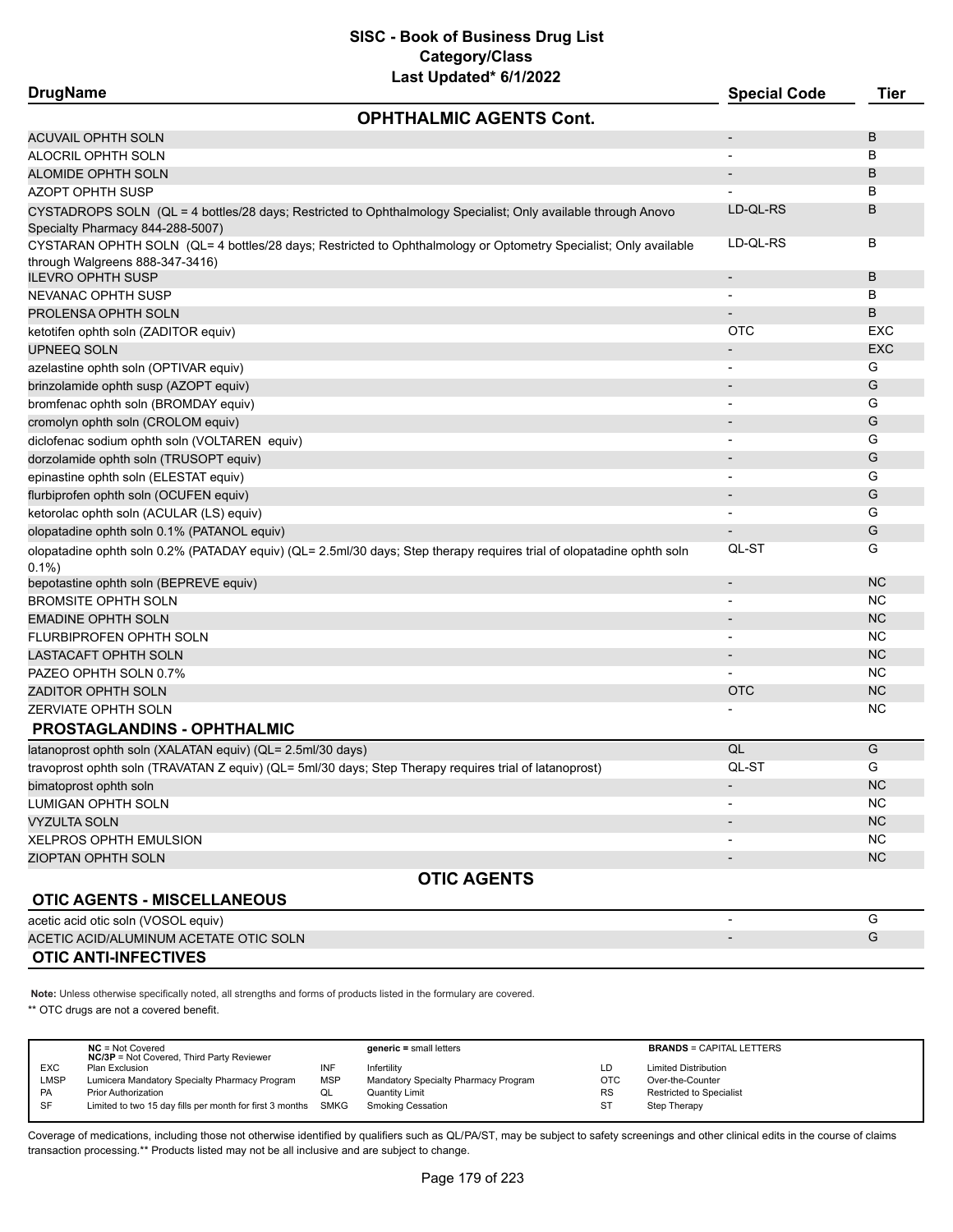| <b>DrugName</b>                                                                                        | Last upuateu van Zulle                                                                                                | <b>Special Code</b>      | <b>Tier</b> |
|--------------------------------------------------------------------------------------------------------|-----------------------------------------------------------------------------------------------------------------------|--------------------------|-------------|
|                                                                                                        | <b>OPHTHALMIC AGENTS Cont.</b>                                                                                        |                          |             |
| <b>ACUVAIL OPHTH SOLN</b>                                                                              |                                                                                                                       | $\overline{\phantom{a}}$ | B           |
| ALOCRIL OPHTH SOLN                                                                                     |                                                                                                                       |                          | B           |
| ALOMIDE OPHTH SOLN                                                                                     |                                                                                                                       |                          | B           |
| <b>AZOPT OPHTH SUSP</b>                                                                                |                                                                                                                       |                          | в           |
| Specialty Pharmacy 844-288-5007)                                                                       | CYSTADROPS SOLN (QL = 4 bottles/28 days; Restricted to Ophthalmology Specialist; Only available through Anovo         | LD-QL-RS                 | B           |
| through Walgreens 888-347-3416)                                                                        | CYSTARAN OPHTH SOLN (QL= 4 bottles/28 days; Restricted to Ophthalmology or Optometry Specialist; Only available       | LD-QL-RS                 | в           |
| <b>ILEVRO OPHTH SUSP</b>                                                                               |                                                                                                                       |                          | B           |
| <b>NEVANAC OPHTH SUSP</b>                                                                              |                                                                                                                       |                          | B           |
| PROLENSA OPHTH SOLN                                                                                    |                                                                                                                       |                          | B           |
| ketotifen ophth soln (ZADITOR equiv)                                                                   |                                                                                                                       | <b>OTC</b>               | EXC         |
| <b>UPNEEQ SOLN</b>                                                                                     |                                                                                                                       |                          | <b>EXC</b>  |
| azelastine ophth soln (OPTIVAR equiv)                                                                  |                                                                                                                       |                          | G           |
| brinzolamide ophth susp (AZOPT equiv)                                                                  |                                                                                                                       | $\overline{\phantom{a}}$ | G           |
| bromfenac ophth soln (BROMDAY equiv)                                                                   |                                                                                                                       | $\overline{\phantom{a}}$ | G           |
| cromolyn ophth soln (CROLOM equiv)                                                                     |                                                                                                                       | $\overline{\phantom{a}}$ | G           |
| diclofenac sodium ophth soln (VOLTAREN equiv)                                                          |                                                                                                                       |                          | G           |
| dorzolamide ophth soln (TRUSOPT equiv)                                                                 |                                                                                                                       |                          | G           |
| epinastine ophth soln (ELESTAT equiv)                                                                  |                                                                                                                       | $\blacksquare$           | G           |
| flurbiprofen ophth soln (OCUFEN equiv)                                                                 |                                                                                                                       | $\overline{\phantom{a}}$ | G           |
| ketorolac ophth soln (ACULAR (LS) equiv)                                                               |                                                                                                                       | $\overline{\phantom{a}}$ | G           |
| olopatadine ophth soln 0.1% (PATANOL equiv)                                                            |                                                                                                                       |                          | G           |
| $0.1\%$                                                                                                | olopatadine ophth soln 0.2% (PATADAY equiv) (QL= 2.5ml/30 days; Step therapy requires trial of olopatadine ophth soln | QL-ST                    | G           |
| bepotastine ophth soln (BEPREVE equiv)                                                                 |                                                                                                                       | $\overline{\phantom{a}}$ | <b>NC</b>   |
| <b>BROMSITE OPHTH SOLN</b>                                                                             |                                                                                                                       |                          | <b>NC</b>   |
| <b>EMADINE OPHTH SOLN</b>                                                                              |                                                                                                                       | $\overline{\phantom{a}}$ | <b>NC</b>   |
| FLURBIPROFEN OPHTH SOLN                                                                                |                                                                                                                       | $\blacksquare$           | <b>NC</b>   |
| LASTACAFT OPHTH SOLN                                                                                   |                                                                                                                       | $\overline{\phantom{a}}$ | <b>NC</b>   |
| PAZEO OPHTH SOLN 0.7%                                                                                  |                                                                                                                       |                          | ΝC          |
| <b>ZADITOR OPHTH SOLN</b>                                                                              |                                                                                                                       | <b>OTC</b>               | <b>NC</b>   |
| <b>ZERVIATE OPHTH SOLN</b>                                                                             |                                                                                                                       |                          | ΝC          |
| <b>PROSTAGLANDINS - OPHTHALMIC</b>                                                                     |                                                                                                                       |                          |             |
| latanoprost ophth soln (XALATAN equiv) (QL= 2.5ml/30 days)                                             |                                                                                                                       | QL                       | G           |
| travoprost ophth soln (TRAVATAN Z equiv) (QL= 5ml/30 days; Step Therapy requires trial of latanoprost) |                                                                                                                       | QL-ST                    | G           |
| bimatoprost ophth soln                                                                                 |                                                                                                                       |                          | <b>NC</b>   |
| LUMIGAN OPHTH SOLN                                                                                     |                                                                                                                       |                          | <b>NC</b>   |
| <b>VYZULTA SOLN</b>                                                                                    |                                                                                                                       |                          | <b>NC</b>   |
| <b>XELPROS OPHTH EMULSION</b>                                                                          |                                                                                                                       | $\overline{\phantom{a}}$ | <b>NC</b>   |
| <b>ZIOPTAN OPHTH SOLN</b>                                                                              |                                                                                                                       |                          | <b>NC</b>   |
|                                                                                                        | <b>OTIC AGENTS</b>                                                                                                    |                          |             |
| <b>OTIC AGENTS - MISCELLANEOUS</b>                                                                     |                                                                                                                       |                          |             |
| acetic acid otic soln (VOSOL equiv)                                                                    |                                                                                                                       |                          | G           |
| ACETIC ACID/ALUMINUM ACETATE OTIC SOLN                                                                 |                                                                                                                       |                          | G           |
| <b>OTIC ANTI-INFECTIVES</b>                                                                            |                                                                                                                       |                          |             |

**Note:** Unless otherwise specifically noted, all strengths and forms of products listed in the formulary are covered.

\*\* OTC drugs are not a covered benefit.

|            | $NC = Not Covered$<br><b>NC/3P</b> = Not Covered, Third Party Reviewer |            | $generic = small letters$            |            | <b>BRANDS = CAPITAL LETTERS</b> |
|------------|------------------------------------------------------------------------|------------|--------------------------------------|------------|---------------------------------|
| <b>EXC</b> | Plan Exclusion                                                         | INF        | Infertility                          | LD         | <b>Limited Distribution</b>     |
| LMSP       | Lumicera Mandatory Specialty Pharmacy Program                          | <b>MSP</b> | Mandatory Specialty Pharmacy Program | <b>OTC</b> | Over-the-Counter                |
| <b>PA</b>  | <b>Prior Authorization</b>                                             | QL         | Quantity Limit                       | RS         | Restricted to Specialist        |
| SF         | Limited to two 15 day fills per month for first 3 months SMKG          |            | Smoking Cessation                    | ST         | Step Therapy                    |
|            |                                                                        |            |                                      |            |                                 |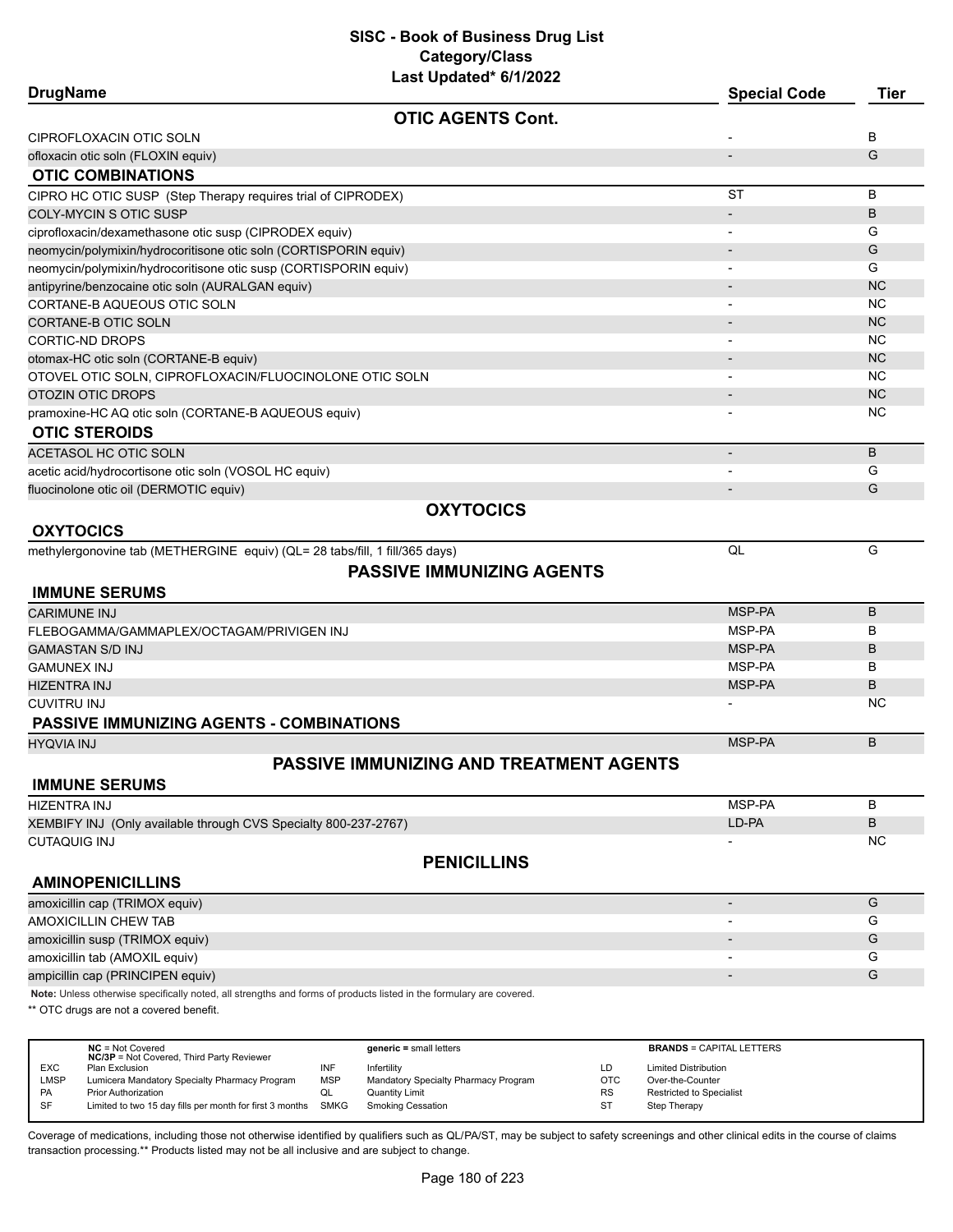| <b>DrugName</b>                                                                                  |                                                                                                                     | <b>Special Code</b>                          | <b>Tier</b> |
|--------------------------------------------------------------------------------------------------|---------------------------------------------------------------------------------------------------------------------|----------------------------------------------|-------------|
|                                                                                                  | <b>OTIC AGENTS Cont.</b>                                                                                            |                                              |             |
| CIPROFLOXACIN OTIC SOLN                                                                          |                                                                                                                     |                                              | в           |
| ofloxacin otic soln (FLOXIN equiv)                                                               |                                                                                                                     |                                              | G           |
| <b>OTIC COMBINATIONS</b>                                                                         |                                                                                                                     |                                              |             |
| CIPRO HC OTIC SUSP (Step Therapy requires trial of CIPRODEX)                                     |                                                                                                                     | <b>ST</b>                                    | B           |
| COLY-MYCIN S OTIC SUSP                                                                           |                                                                                                                     |                                              | B           |
| ciprofloxacin/dexamethasone otic susp (CIPRODEX equiv)                                           |                                                                                                                     |                                              | G           |
| neomycin/polymixin/hydrocoritisone otic soln (CORTISPORIN equiv)                                 |                                                                                                                     |                                              | G           |
| neomycin/polymixin/hydrocoritisone otic susp (CORTISPORIN equiv)                                 |                                                                                                                     |                                              | G           |
| antipyrine/benzocaine otic soln (AURALGAN equiv)                                                 |                                                                                                                     |                                              | <b>NC</b>   |
| CORTANE-B AQUEOUS OTIC SOLN                                                                      |                                                                                                                     |                                              | NC          |
| CORTANE-B OTIC SOLN                                                                              |                                                                                                                     |                                              | <b>NC</b>   |
| <b>CORTIC-ND DROPS</b>                                                                           |                                                                                                                     |                                              | <b>NC</b>   |
| otomax-HC otic soln (CORTANE-B equiv)                                                            |                                                                                                                     |                                              | <b>NC</b>   |
| OTOVEL OTIC SOLN, CIPROFLOXACIN/FLUOCINOLONE OTIC SOLN                                           |                                                                                                                     |                                              | NC          |
| OTOZIN OTIC DROPS                                                                                |                                                                                                                     |                                              | <b>NC</b>   |
| pramoxine-HC AQ otic soln (CORTANE-B AQUEOUS equiv)                                              |                                                                                                                     |                                              | <b>NC</b>   |
| <b>OTIC STEROIDS</b>                                                                             |                                                                                                                     |                                              |             |
| ACETASOL HC OTIC SOLN                                                                            |                                                                                                                     | $\overline{\phantom{a}}$                     | B           |
| acetic acid/hydrocortisone otic soln (VOSOL HC equiv)                                            |                                                                                                                     |                                              | G           |
| fluocinolone otic oil (DERMOTIC equiv)                                                           |                                                                                                                     |                                              | G           |
|                                                                                                  | <b>OXYTOCICS</b>                                                                                                    |                                              |             |
| <b>OXYTOCICS</b>                                                                                 |                                                                                                                     |                                              |             |
| methylergonovine tab (METHERGINE equiv) (QL= 28 tabs/fill, 1 fill/365 days)                      |                                                                                                                     | QL                                           | G           |
|                                                                                                  | <b>PASSIVE IMMUNIZING AGENTS</b>                                                                                    |                                              |             |
| <b>IMMUNE SERUMS</b>                                                                             |                                                                                                                     |                                              |             |
| <b>CARIMUNE INJ</b>                                                                              |                                                                                                                     | MSP-PA                                       | B           |
| FLEBOGAMMA/GAMMAPLEX/OCTAGAM/PRIVIGEN INJ                                                        |                                                                                                                     | MSP-PA                                       | в           |
| <b>GAMASTAN S/D INJ</b>                                                                          |                                                                                                                     | MSP-PA                                       | В           |
| <b>GAMUNEX INJ</b>                                                                               |                                                                                                                     | MSP-PA                                       | в           |
| HIZENTRA INJ                                                                                     |                                                                                                                     | MSP-PA                                       | B           |
| CUVITRU INJ                                                                                      |                                                                                                                     |                                              | NС          |
| <b>PASSIVE IMMUNIZING AGENTS - COMBINATIONS</b>                                                  |                                                                                                                     |                                              |             |
|                                                                                                  |                                                                                                                     |                                              |             |
| <b>HYQVIA INJ</b>                                                                                |                                                                                                                     | MSP-PA                                       | B           |
|                                                                                                  | <b>PASSIVE IMMUNIZING AND TREATMENT AGENTS</b>                                                                      |                                              |             |
| <b>IMMUNE SERUMS</b>                                                                             |                                                                                                                     |                                              |             |
| HIZENTRA INJ                                                                                     |                                                                                                                     | MSP-PA                                       | В           |
| XEMBIFY INJ (Only available through CVS Specialty 800-237-2767)                                  |                                                                                                                     | LD-PA                                        | B           |
| CUTAQUIG INJ                                                                                     |                                                                                                                     |                                              | NC          |
|                                                                                                  | <b>PENICILLINS</b>                                                                                                  |                                              |             |
| <b>AMINOPENICILLINS</b>                                                                          |                                                                                                                     |                                              |             |
| amoxicillin cap (TRIMOX equiv)                                                                   |                                                                                                                     | $\overline{a}$                               | G           |
| <b>AMOXICILLIN CHEW TAB</b>                                                                      |                                                                                                                     |                                              | G           |
| amoxicillin susp (TRIMOX equiv)                                                                  |                                                                                                                     |                                              | G           |
| amoxicillin tab (AMOXIL equiv)                                                                   |                                                                                                                     |                                              | G           |
| ampicillin cap (PRINCIPEN equiv)                                                                 |                                                                                                                     |                                              | G           |
|                                                                                                  | Note: Unless otherwise specifically noted, all strengths and forms of products listed in the formulary are covered. |                                              |             |
| ** OTC drugs are not a covered benefit.                                                          |                                                                                                                     |                                              |             |
|                                                                                                  |                                                                                                                     |                                              |             |
| $NC = Not Covered$                                                                               | $generic = small letters$                                                                                           | <b>BRANDS = CAPITAL LETTERS</b>              |             |
| NC/3P = Not Covered, Third Party Reviewer<br>EXC<br>Plan Exclusion                               | INF<br>LD<br>Infertility                                                                                            | <b>Limited Distribution</b>                  |             |
| <b>LMSP</b><br>Lumicera Mandatory Specialty Pharmacy Program<br>PA<br><b>Prior Authorization</b> | <b>MSP</b><br>Mandatory Specialty Pharmacy Program<br><b>OTC</b><br><b>Quantity Limit</b><br>QL<br>RS               | Over-the-Counter<br>Restricted to Specialist |             |
| SF<br>Limited to two 15 day fills per month for first 3 months                                   | <b>SMKG</b><br><b>Smoking Cessation</b><br>ST                                                                       | Step Therapy                                 |             |

Coverage of medications, including those not otherwise identified by qualifiers such as QL/PA/ST, may be subject to safety screenings and other clinical edits in the course of claims transaction processing.\*\* Products listed may not be all inclusive and are subject to change.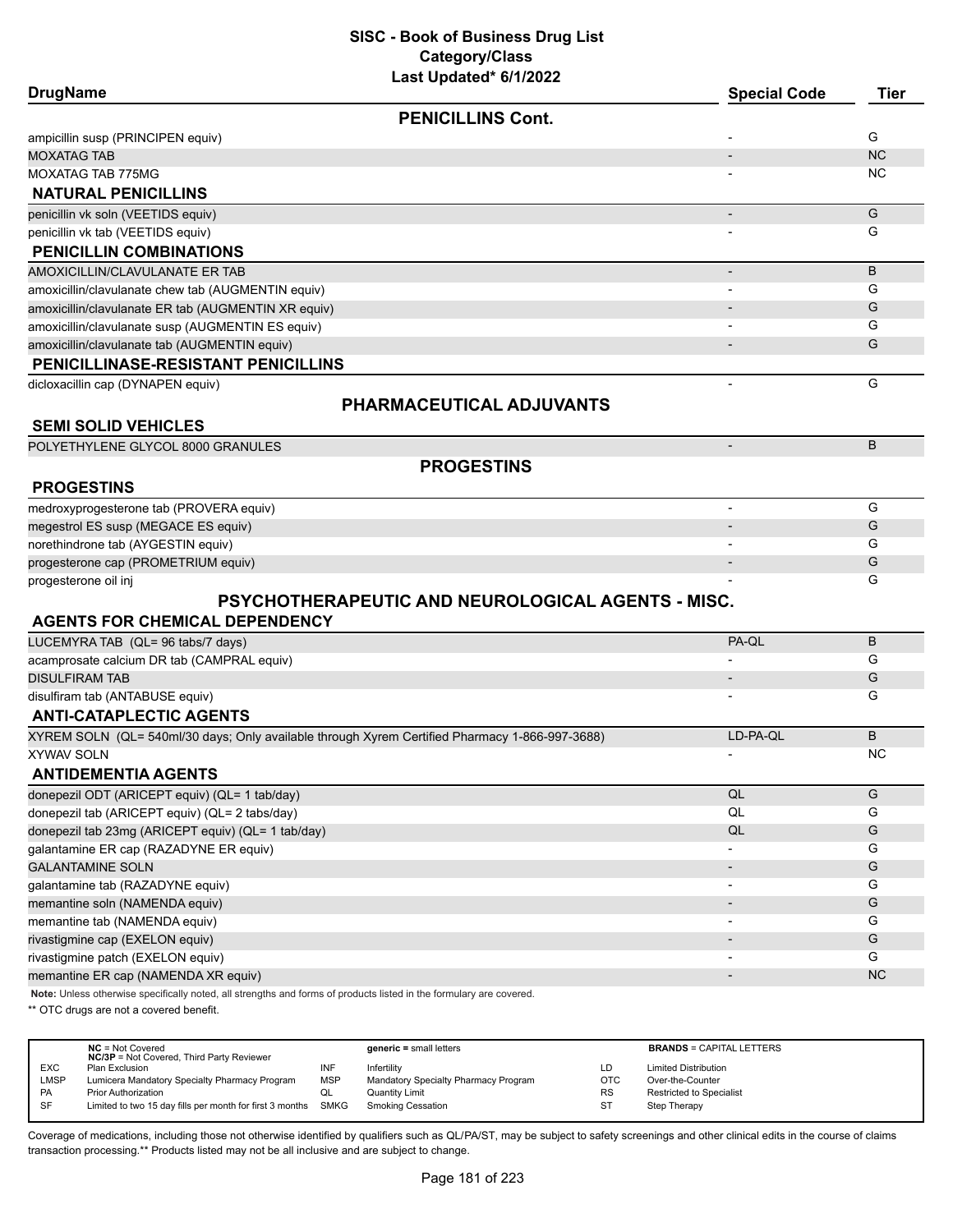| <b>DrugName</b>                                                                                                     | <b>Special Code</b>      | <b>Tier</b> |
|---------------------------------------------------------------------------------------------------------------------|--------------------------|-------------|
| <b>PENICILLINS Cont.</b>                                                                                            |                          |             |
| ampicillin susp (PRINCIPEN equiv)                                                                                   |                          | G           |
| <b>MOXATAG TAB</b>                                                                                                  |                          | <b>NC</b>   |
| <b>MOXATAG TAB 775MG</b>                                                                                            |                          | ΝC          |
| <b>NATURAL PENICILLINS</b>                                                                                          |                          |             |
| penicillin vk soln (VEETIDS equiv)                                                                                  |                          | G           |
| penicillin vk tab (VEETIDS equiv)                                                                                   |                          | G           |
| <b>PENICILLIN COMBINATIONS</b>                                                                                      |                          |             |
| AMOXICILLIN/CLAVULANATE ER TAB                                                                                      | $\overline{\phantom{a}}$ | B           |
| amoxicillin/clavulanate chew tab (AUGMENTIN equiv)                                                                  |                          | G           |
| amoxicillin/clavulanate ER tab (AUGMENTIN XR equiv)                                                                 |                          | G           |
| amoxicillin/clavulanate susp (AUGMENTIN ES equiv)                                                                   |                          | G           |
| amoxicillin/clavulanate tab (AUGMENTIN equiv)                                                                       |                          | G           |
| <b>PENICILLINASE-RESISTANT PENICILLINS</b>                                                                          |                          |             |
| dicloxacillin cap (DYNAPEN equiv)                                                                                   |                          | G           |
| PHARMACEUTICAL ADJUVANTS                                                                                            |                          |             |
| <b>SEMI SOLID VEHICLES</b>                                                                                          |                          |             |
| POLYETHYLENE GLYCOL 8000 GRANULES                                                                                   |                          | B           |
| <b>PROGESTINS</b>                                                                                                   |                          |             |
| <b>PROGESTINS</b>                                                                                                   |                          |             |
| medroxyprogesterone tab (PROVERA equiv)                                                                             | $\overline{\phantom{a}}$ | G           |
| megestrol ES susp (MEGACE ES equiv)                                                                                 |                          | G           |
| norethindrone tab (AYGESTIN equiv)                                                                                  |                          | G           |
| progesterone cap (PROMETRIUM equiv)                                                                                 | $\overline{\phantom{a}}$ | G           |
| progesterone oil inj                                                                                                |                          | G           |
| PSYCHOTHERAPEUTIC AND NEUROLOGICAL AGENTS - MISC.                                                                   |                          |             |
| <b>AGENTS FOR CHEMICAL DEPENDENCY</b>                                                                               |                          |             |
| LUCEMYRA TAB (QL= 96 tabs/7 days)                                                                                   | PA-QL                    | B           |
| acamprosate calcium DR tab (CAMPRAL equiv)                                                                          |                          | G           |
| <b>DISULFIRAM TAB</b>                                                                                               |                          | G           |
| disulfiram tab (ANTABUSE equiv)                                                                                     |                          | G           |
| <b>ANTI-CATAPLECTIC AGENTS</b>                                                                                      |                          |             |
| XYREM SOLN (QL= 540ml/30 days; Only available through Xyrem Certified Pharmacy 1-866-997-3688)                      | LD-PA-QL                 | B           |
| <b>XYWAV SOLN</b>                                                                                                   |                          | NC          |
| <b>ANTIDEMENTIA AGENTS</b>                                                                                          |                          |             |
| donepezil ODT (ARICEPT equiv) (QL= 1 tab/day)                                                                       | $\mathsf{QL}$            | G           |
| donepezil tab (ARICEPT equiv) (QL= 2 tabs/day)                                                                      | $\mathsf{QL}$            | G           |
| donepezil tab 23mg (ARICEPT equiv) (QL= 1 tab/day)                                                                  | QL                       | G           |
| galantamine ER cap (RAZADYNE ER equiv)                                                                              |                          | G           |
| <b>GALANTAMINE SOLN</b>                                                                                             | $\overline{\phantom{a}}$ | G           |
| galantamine tab (RAZADYNE equiv)                                                                                    |                          | G           |
| memantine soln (NAMENDA equiv)                                                                                      |                          | G           |
| memantine tab (NAMENDA equiv)                                                                                       |                          | G           |
| rivastigmine cap (EXELON equiv)                                                                                     |                          | G           |
| rivastigmine patch (EXELON equiv)                                                                                   |                          | G           |
| memantine ER cap (NAMENDA XR equiv)                                                                                 |                          | <b>NC</b>   |
| Note: Unless otherwise specifically noted, all strengths and forms of products listed in the formulary are covered. |                          |             |

\*\* OTC drugs are not a covered benefit.

|            | $NC = Not Covered$<br><b>NC/3P</b> = Not Covered, Third Party Reviewer |            | $generic = small letters$            |           | <b>BRANDS = CAPITAL LETTERS</b> |
|------------|------------------------------------------------------------------------|------------|--------------------------------------|-----------|---------------------------------|
| <b>EXC</b> | Plan Exclusion                                                         | INF        | Infertility                          | LD        | <b>Limited Distribution</b>     |
| LMSP       | Lumicera Mandatory Specialty Pharmacy Program                          | <b>MSP</b> | Mandatory Specialty Pharmacy Program | OTC       | Over-the-Counter                |
| PA         | <b>Prior Authorization</b>                                             | ◡          | Quantity Limit                       | <b>RS</b> | <b>Restricted to Specialist</b> |
| SF         | Limited to two 15 day fills per month for first 3 months SMKG          |            | <b>Smoking Cessation</b>             | ST        | Step Therapy                    |
|            |                                                                        |            |                                      |           |                                 |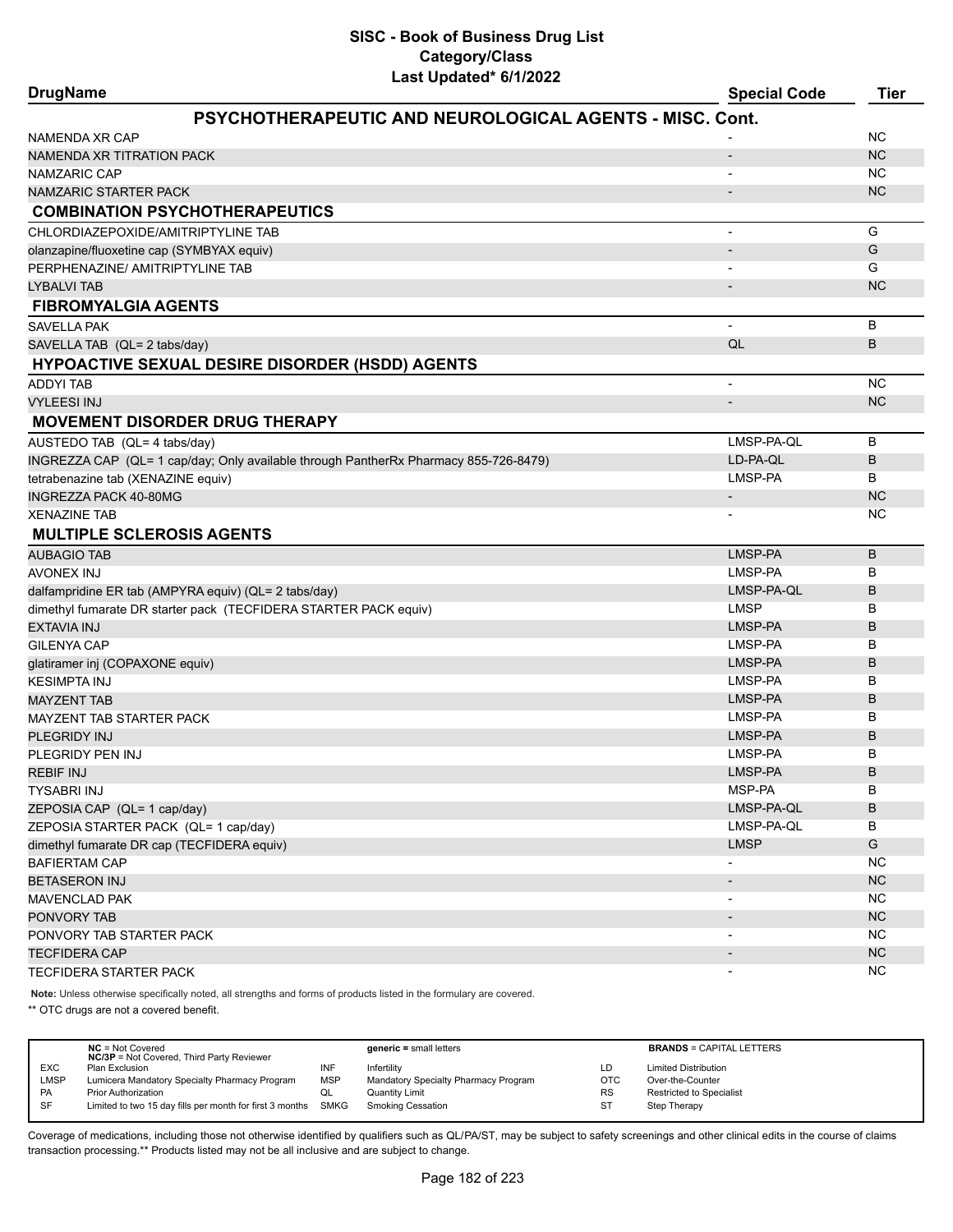| <b>DrugName</b>                                                                      | Last updated" 6/1/2022 | <b>Special Code</b>      | <b>Tier</b> |
|--------------------------------------------------------------------------------------|------------------------|--------------------------|-------------|
| PSYCHOTHERAPEUTIC AND NEUROLOGICAL AGENTS - MISC. Cont.                              |                        |                          |             |
| NAMENDA XR CAP                                                                       |                        |                          | ΝC          |
| NAMENDA XR TITRATION PACK                                                            |                        |                          | NC          |
| NAMZARIC CAP                                                                         |                        |                          | NC.         |
| <b>NAMZARIC STARTER PACK</b>                                                         |                        |                          | NC.         |
| <b>COMBINATION PSYCHOTHERAPEUTICS</b>                                                |                        |                          |             |
| CHLORDIAZEPOXIDE/AMITRIPTYLINE TAB                                                   |                        | $\overline{\phantom{a}}$ | G           |
| olanzapine/fluoxetine cap (SYMBYAX equiv)                                            |                        |                          | G           |
| PERPHENAZINE/ AMITRIPTYLINE TAB                                                      |                        |                          | G           |
| LYBALVI TAB                                                                          |                        |                          | <b>NC</b>   |
| <b>FIBROMYALGIA AGENTS</b>                                                           |                        |                          |             |
| <b>SAVELLA PAK</b>                                                                   |                        | $\blacksquare$           | B           |
| SAVELLA TAB (QL= 2 tabs/day)                                                         |                        | QL                       | B           |
| <b>HYPOACTIVE SEXUAL DESIRE DISORDER (HSDD) AGENTS</b>                               |                        |                          |             |
| <b>ADDYI TAB</b>                                                                     |                        |                          | <b>NC</b>   |
| <b>VYLEESI INJ</b>                                                                   |                        |                          | <b>NC</b>   |
| <b>MOVEMENT DISORDER DRUG THERAPY</b>                                                |                        |                          |             |
| AUSTEDO TAB (QL= 4 tabs/day)                                                         |                        | LMSP-PA-QL               | B           |
| INGREZZA CAP (QL= 1 cap/day; Only available through PantherRx Pharmacy 855-726-8479) |                        | LD-PA-QL                 | B           |
| tetrabenazine tab (XENAZINE equiv)                                                   |                        | LMSP-PA                  | B           |
| <b>INGREZZA PACK 40-80MG</b>                                                         |                        |                          | NC          |
| <b>XENAZINE TAB</b>                                                                  |                        |                          | ΝC          |
| <b>MULTIPLE SCLEROSIS AGENTS</b>                                                     |                        |                          |             |
| <b>AUBAGIO TAB</b>                                                                   |                        | LMSP-PA                  | B           |
| AVONEX INJ                                                                           |                        | LMSP-PA                  | B           |
| dalfampridine ER tab (AMPYRA equiv) (QL= 2 tabs/day)                                 |                        | LMSP-PA-QL               | B           |
| dimethyl fumarate DR starter pack (TECFIDERA STARTER PACK equiv)                     |                        | <b>LMSP</b>              | B           |
| <b>EXTAVIA INJ</b>                                                                   |                        | LMSP-PA                  | B           |
| <b>GILENYA CAP</b>                                                                   |                        | LMSP-PA                  | B           |
| glatiramer inj (COPAXONE equiv)                                                      |                        | LMSP-PA                  | B           |
| <b>KESIMPTA INJ</b>                                                                  |                        | LMSP-PA                  | в           |
| <b>MAYZENT TAB</b>                                                                   |                        | LMSP-PA                  | B           |
| MAYZENT TAB STARTER PACK                                                             |                        | LMSP-PA                  | в           |
| PLEGRIDY INJ                                                                         |                        | LMSP-PA                  | B           |
| PLEGRIDY PEN INJ                                                                     |                        | LMSP-PA                  | B           |
| REBIF INJ                                                                            |                        | LMSP-PA                  | В           |
| TYSABRI INJ                                                                          |                        | MSP-PA                   | В           |
| ZEPOSIA CAP (QL= 1 cap/day)                                                          |                        | LMSP-PA-QL               | B           |
| ZEPOSIA STARTER PACK (QL= 1 cap/day)                                                 |                        | LMSP-PA-QL               | В           |
| dimethyl fumarate DR cap (TECFIDERA equiv)                                           |                        | <b>LMSP</b>              | G           |
| <b>BAFIERTAM CAP</b>                                                                 |                        |                          | <b>NC</b>   |
| <b>BETASERON INJ</b>                                                                 |                        |                          | NC          |
| MAVENCLAD PAK                                                                        |                        |                          | NC          |
| PONVORY TAB                                                                          |                        |                          | NC          |
| PONVORY TAB STARTER PACK                                                             |                        |                          | <b>NC</b>   |
| <b>TECFIDERA CAP</b>                                                                 |                        |                          | NC          |
| TECFIDERA STARTER PACK                                                               |                        |                          | <b>NC</b>   |

**Note:** Unless otherwise specifically noted, all strengths and forms of products listed in the formulary are covered.

\*\* OTC drugs are not a covered benefit.

|            | $NC = Not Covered$<br><b>NC/3P</b> = Not Covered, Third Party Reviewer |            | $generic = small letters$            |            | <b>BRANDS = CAPITAL LETTERS</b> |
|------------|------------------------------------------------------------------------|------------|--------------------------------------|------------|---------------------------------|
| <b>EXC</b> | Plan Exclusion                                                         | INF        | Infertility                          | LD.        | <b>Limited Distribution</b>     |
| LMSP       | Lumicera Mandatory Specialty Pharmacy Program                          | <b>MSP</b> | Mandatory Specialty Pharmacy Program | <b>OTC</b> | Over-the-Counter                |
| <b>PA</b>  | <b>Prior Authorization</b>                                             | QL         | Quantity Limit                       | <b>RS</b>  | <b>Restricted to Specialist</b> |
| SF         | Limited to two 15 day fills per month for first 3 months SMKG          |            | <b>Smoking Cessation</b>             | ST         | Step Therapy                    |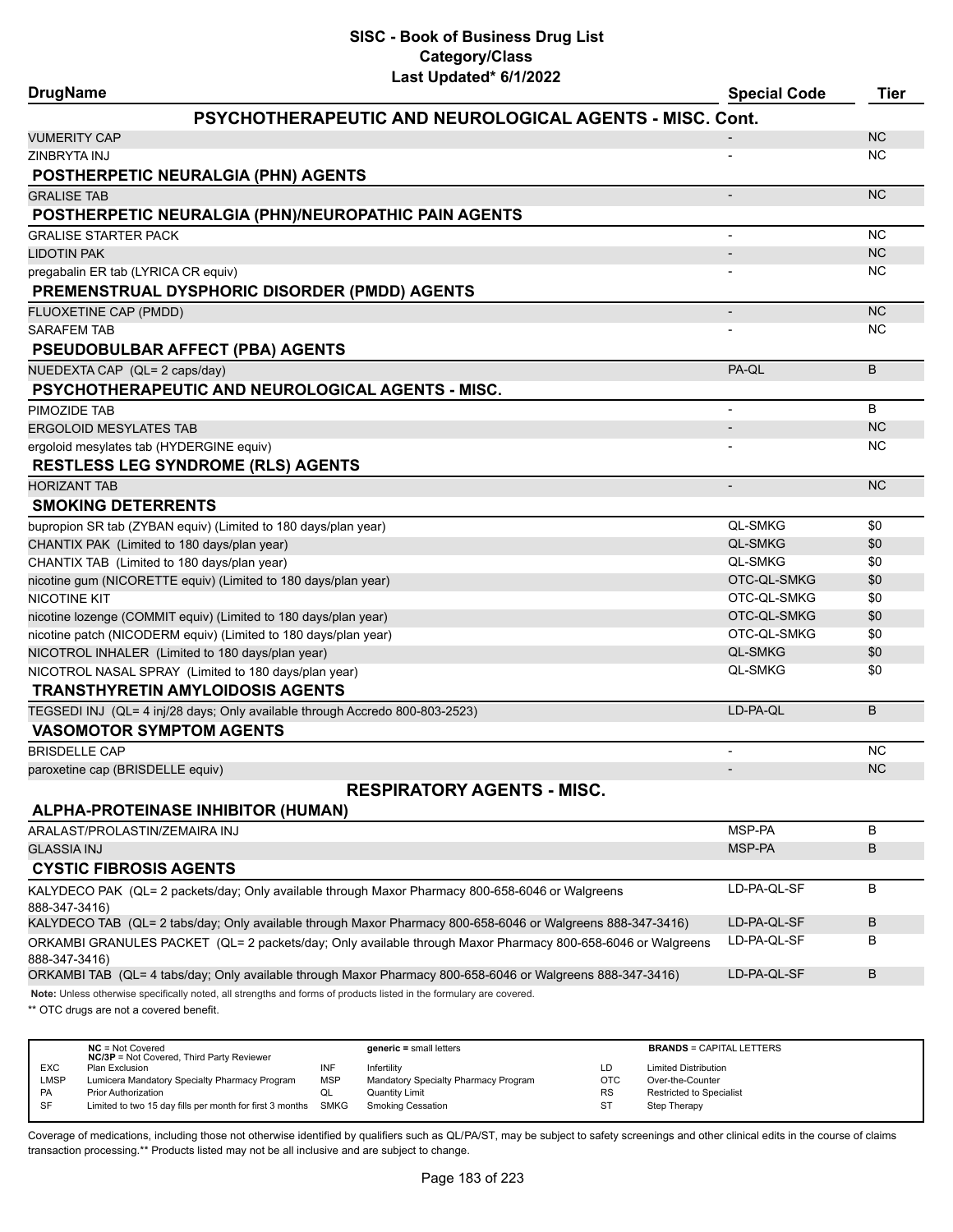# **SISC - Book of Business Drug List Category/Class**

| Last Updated* 6/1/2022<br><b>DrugName</b>                                                                                    | <b>Special Code</b>      | <b>Tier</b> |
|------------------------------------------------------------------------------------------------------------------------------|--------------------------|-------------|
| <b>PSYCHOTHERAPEUTIC AND NEUROLOGICAL AGENTS - MISC. Cont.</b>                                                               |                          |             |
| VUMERITY CAP                                                                                                                 |                          | <b>NC</b>   |
| ZINBRYTA INJ                                                                                                                 |                          | <b>NC</b>   |
| POSTHERPETIC NEURALGIA (PHN) AGENTS                                                                                          |                          |             |
| <b>GRALISE TAB</b>                                                                                                           | $\overline{\phantom{a}}$ | <b>NC</b>   |
| POSTHERPETIC NEURALGIA (PHN)/NEUROPATHIC PAIN AGENTS                                                                         |                          |             |
| <b>GRALISE STARTER PACK</b>                                                                                                  |                          | <b>NC</b>   |
| <b>LIDOTIN PAK</b>                                                                                                           |                          | <b>NC</b>   |
| pregabalin ER tab (LYRICA CR equiv)                                                                                          |                          | ΝC          |
| PREMENSTRUAL DYSPHORIC DISORDER (PMDD) AGENTS                                                                                |                          |             |
| FLUOXETINE CAP (PMDD)                                                                                                        | $\overline{\phantom{a}}$ | <b>NC</b>   |
| <b>SARAFEM TAB</b>                                                                                                           |                          | <b>NC</b>   |
| <b>PSEUDOBULBAR AFFECT (PBA) AGENTS</b>                                                                                      |                          |             |
| NUEDEXTA CAP (QL= 2 caps/day)                                                                                                | PA-QL                    | B           |
| <b>PSYCHOTHERAPEUTIC AND NEUROLOGICAL AGENTS - MISC.</b>                                                                     |                          |             |
| PIMOZIDE TAB                                                                                                                 | $\overline{\phantom{a}}$ | B           |
| <b>ERGOLOID MESYLATES TAB</b>                                                                                                |                          | <b>NC</b>   |
| ergoloid mesylates tab (HYDERGINE equiv)                                                                                     |                          | NC          |
| <b>RESTLESS LEG SYNDROME (RLS) AGENTS</b>                                                                                    |                          |             |
| <b>HORIZANT TAB</b>                                                                                                          | $\overline{\phantom{a}}$ | <b>NC</b>   |
| <b>SMOKING DETERRENTS</b>                                                                                                    |                          |             |
| bupropion SR tab (ZYBAN equiv) (Limited to 180 days/plan year)                                                               | <b>QL-SMKG</b>           | \$0         |
| CHANTIX PAK (Limited to 180 days/plan year)                                                                                  | <b>QL-SMKG</b>           | \$0         |
| CHANTIX TAB (Limited to 180 days/plan year)                                                                                  | <b>QL-SMKG</b>           | \$0         |
| nicotine gum (NICORETTE equiv) (Limited to 180 days/plan year)                                                               | OTC-QL-SMKG              | \$0         |
| NICOTINE KIT                                                                                                                 | OTC-QL-SMKG              | \$0         |
| nicotine lozenge (COMMIT equiv) (Limited to 180 days/plan year)                                                              | OTC-QL-SMKG              | \$0         |
| nicotine patch (NICODERM equiv) (Limited to 180 days/plan year)                                                              | OTC-QL-SMKG              | \$0         |
| NICOTROL INHALER (Limited to 180 days/plan year)                                                                             | <b>QL-SMKG</b>           | \$0         |
| NICOTROL NASAL SPRAY (Limited to 180 days/plan year)                                                                         | <b>QL-SMKG</b>           | \$0         |
| <b>TRANSTHYRETIN AMYLOIDOSIS AGENTS</b>                                                                                      |                          |             |
| TEGSEDI INJ (QL= 4 inj/28 days; Only available through Accredo 800-803-2523)                                                 | LD-PA-QL                 | B           |
| <b>VASOMOTOR SYMPTOM AGENTS</b>                                                                                              |                          |             |
| <b>BRISDELLE CAP</b>                                                                                                         |                          | <b>NC</b>   |
| paroxetine cap (BRISDELLE equiv)                                                                                             |                          | <b>NC</b>   |
| <b>RESPIRATORY AGENTS - MISC.</b>                                                                                            |                          |             |
| ALPHA-PROTEINASE INHIBITOR (HUMAN)                                                                                           |                          |             |
| ARALAST/PROLASTIN/ZEMAIRA INJ                                                                                                | MSP-PA                   | В           |
| <b>GLASSIA INJ</b>                                                                                                           | MSP-PA                   | B           |
| <b>CYSTIC FIBROSIS AGENTS</b>                                                                                                |                          |             |
| KALYDECO PAK (QL= 2 packets/day; Only available through Maxor Pharmacy 800-658-6046 or Walgreens<br>888-347-3416)            | LD-PA-QL-SF              | B           |
| KALYDECO TAB (QL= 2 tabs/day; Only available through Maxor Pharmacy 800-658-6046 or Walgreens 888-347-3416)                  | LD-PA-QL-SF              | B           |
| ORKAMBI GRANULES PACKET (QL= 2 packets/day; Only available through Maxor Pharmacy 800-658-6046 or Walgreens<br>888-347-3416) | LD-PA-QL-SF              | В           |
| ORKAMBI TAB (QL= 4 tabs/day; Only available through Maxor Pharmacy 800-658-6046 or Walgreens 888-347-3416)                   | LD-PA-QL-SF              | В           |

**Note:** Unless otherwise specifically noted, all strengths and forms of products listed in the formulary are covered.

\*\* OTC drugs are not a covered benefit.

|            | $NC = Not Covered$<br><b>NC/3P</b> = Not Covered, Third Party Reviewer |            | $generic = small letters$            |            | <b>BRANDS = CAPITAL LETTERS</b> |
|------------|------------------------------------------------------------------------|------------|--------------------------------------|------------|---------------------------------|
| <b>EXC</b> | Plan Exclusion                                                         | INF        | Infertility                          | LD         | <b>Limited Distribution</b>     |
| LMSP       | Lumicera Mandatory Specialty Pharmacy Program                          | <b>MSP</b> | Mandatory Specialty Pharmacy Program | <b>OTC</b> | Over-the-Counter                |
| <b>PA</b>  | <b>Prior Authorization</b>                                             | ◡          | <b>Quantity Limit</b>                | <b>RS</b>  | <b>Restricted to Specialist</b> |
| <b>SF</b>  | Limited to two 15 day fills per month for first 3 months SMKG          |            | <b>Smoking Cessation</b>             | ST         | Step Therapy                    |
|            |                                                                        |            |                                      |            |                                 |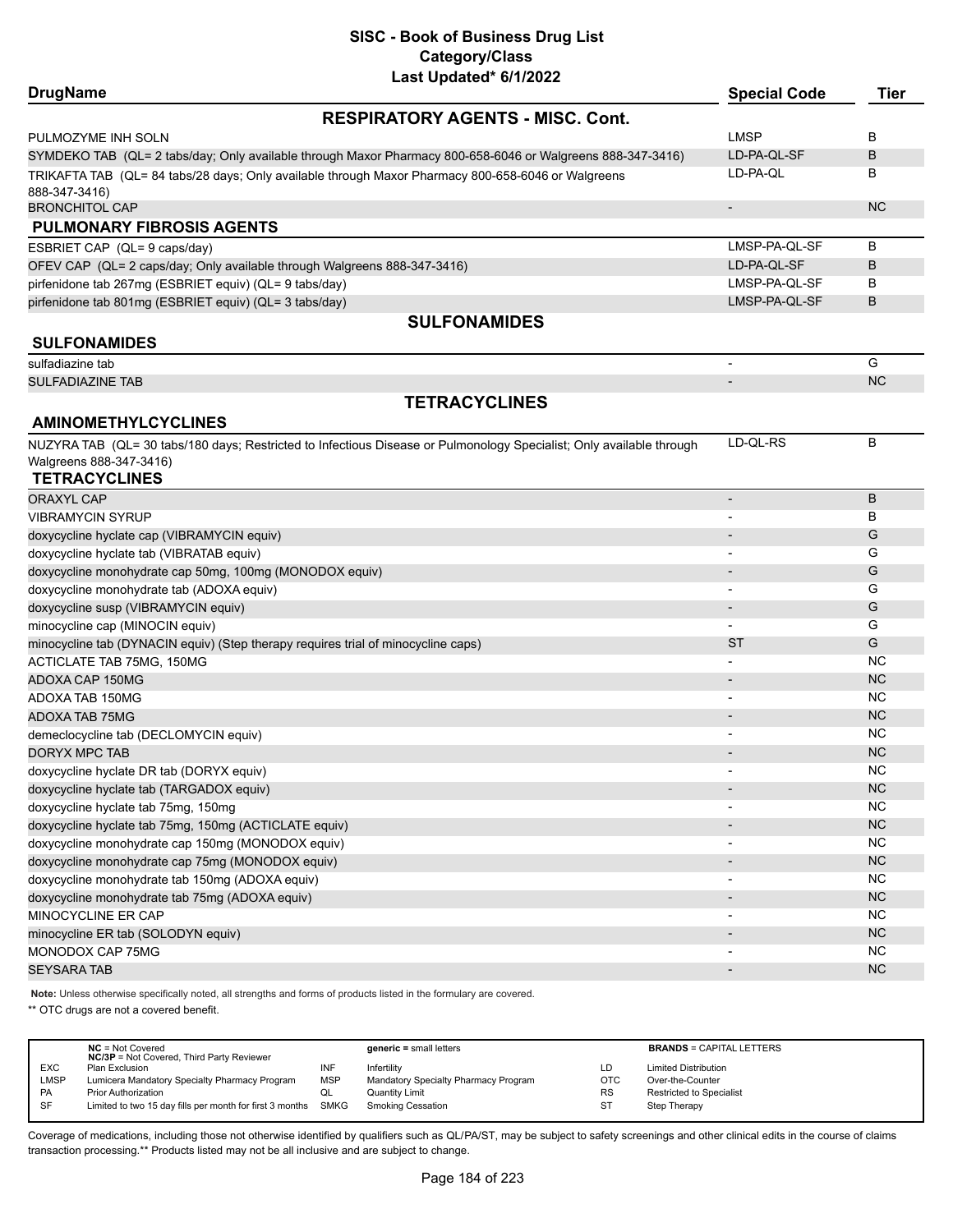| <b>DrugName</b>                                                                   | Last Updated" or 172022                                                                                              | <b>Special Code</b>      | <b>Tier</b> |
|-----------------------------------------------------------------------------------|----------------------------------------------------------------------------------------------------------------------|--------------------------|-------------|
|                                                                                   | <b>RESPIRATORY AGENTS - MISC. Cont.</b>                                                                              |                          |             |
| PULMOZYME INH SOLN                                                                |                                                                                                                      | <b>LMSP</b>              | В           |
|                                                                                   | SYMDEKO TAB (QL= 2 tabs/day; Only available through Maxor Pharmacy 800-658-6046 or Walgreens 888-347-3416)           | LD-PA-QL-SF              | B           |
|                                                                                   | TRIKAFTA TAB (QL= 84 tabs/28 days; Only available through Maxor Pharmacy 800-658-6046 or Walgreens                   | LD-PA-QL                 | В           |
| 888-347-3416)                                                                     |                                                                                                                      |                          |             |
| <b>BRONCHITOL CAP</b>                                                             |                                                                                                                      | $\overline{\phantom{a}}$ | <b>NC</b>   |
| <b>PULMONARY FIBROSIS AGENTS</b>                                                  |                                                                                                                      |                          |             |
| ESBRIET CAP (QL= 9 caps/day)                                                      |                                                                                                                      | LMSP-PA-QL-SF            | В           |
| OFEV CAP (QL= 2 caps/day; Only available through Walgreens 888-347-3416)          |                                                                                                                      | LD-PA-QL-SF              | B           |
| pirfenidone tab 267mg (ESBRIET equiv) (QL= 9 tabs/day)                            |                                                                                                                      | LMSP-PA-QL-SF            | B           |
| pirfenidone tab 801mg (ESBRIET equiv) (QL= 3 tabs/day)                            |                                                                                                                      | LMSP-PA-QL-SF            | B           |
|                                                                                   | <b>SULFONAMIDES</b>                                                                                                  |                          |             |
| <b>SULFONAMIDES</b>                                                               |                                                                                                                      |                          |             |
| sulfadiazine tab                                                                  |                                                                                                                      | $\overline{\phantom{a}}$ | G           |
| <b>SULFADIAZINE TAB</b>                                                           |                                                                                                                      |                          | NC.         |
|                                                                                   | <b>TETRACYCLINES</b>                                                                                                 |                          |             |
| <b>AMINOMETHYLCYCLINES</b>                                                        |                                                                                                                      |                          |             |
|                                                                                   | NUZYRA TAB (QL= 30 tabs/180 days; Restricted to Infectious Disease or Pulmonology Specialist; Only available through | LD-QL-RS                 | В           |
| Walgreens 888-347-3416)                                                           |                                                                                                                      |                          |             |
| <b>TETRACYCLINES</b>                                                              |                                                                                                                      |                          |             |
| <b>ORAXYL CAP</b>                                                                 |                                                                                                                      | $\overline{a}$           | B           |
| <b>VIBRAMYCIN SYRUP</b>                                                           |                                                                                                                      |                          | B           |
| doxycycline hyclate cap (VIBRAMYCIN equiv)                                        |                                                                                                                      |                          | G           |
| doxycycline hyclate tab (VIBRATAB equiv)                                          |                                                                                                                      |                          | G           |
| doxycycline monohydrate cap 50mg, 100mg (MONODOX equiv)                           |                                                                                                                      |                          | G           |
| doxycycline monohydrate tab (ADOXA equiv)                                         |                                                                                                                      |                          | G           |
| doxycycline susp (VIBRAMYCIN equiv)                                               |                                                                                                                      | $\blacksquare$           | G           |
| minocycline cap (MINOCIN equiv)                                                   |                                                                                                                      | $\overline{\phantom{0}}$ | G           |
| minocycline tab (DYNACIN equiv) (Step therapy requires trial of minocycline caps) |                                                                                                                      | ST                       | G           |
| ACTICLATE TAB 75MG, 150MG                                                         |                                                                                                                      |                          | <b>NC</b>   |
| ADOXA CAP 150MG                                                                   |                                                                                                                      |                          | <b>NC</b>   |
| ADOXA TAB 150MG                                                                   |                                                                                                                      | $\overline{\phantom{0}}$ | <b>NC</b>   |
| <b>ADOXA TAB 75MG</b>                                                             |                                                                                                                      | $\overline{\phantom{a}}$ | <b>NC</b>   |
| demeclocycline tab (DECLOMYCIN equiv)                                             |                                                                                                                      | $\overline{a}$           | <b>NC</b>   |
| <b>DORYX MPC TAB</b>                                                              |                                                                                                                      |                          | <b>NC</b>   |
| doxycycline hyclate DR tab (DORYX equiv)                                          |                                                                                                                      |                          | <b>NC</b>   |
| doxycycline hyclate tab (TARGADOX equiv)                                          |                                                                                                                      |                          | NC          |
| doxycycline hyclate tab 75mg, 150mg                                               |                                                                                                                      |                          | <b>NC</b>   |
| doxycycline hyclate tab 75mg, 150mg (ACTICLATE equiv)                             |                                                                                                                      |                          | NC          |
| doxycycline monohydrate cap 150mg (MONODOX equiv)                                 |                                                                                                                      |                          | <b>NC</b>   |
| doxycycline monohydrate cap 75mg (MONODOX equiv)                                  |                                                                                                                      |                          | NC          |
| doxycycline monohydrate tab 150mg (ADOXA equiv)                                   |                                                                                                                      |                          | <b>NC</b>   |
| doxycycline monohydrate tab 75mg (ADOXA equiv)                                    |                                                                                                                      |                          | <b>NC</b>   |
| MINOCYCLINE ER CAP                                                                |                                                                                                                      |                          | <b>NC</b>   |
| minocycline ER tab (SOLODYN equiv)                                                |                                                                                                                      |                          | NC          |
| MONODOX CAP 75MG                                                                  |                                                                                                                      |                          | <b>NC</b>   |
| <b>SEYSARA TAB</b>                                                                |                                                                                                                      |                          | NC          |
|                                                                                   |                                                                                                                      |                          |             |

**Note:** Unless otherwise specifically noted, all strengths and forms of products listed in the formulary are covered.

\*\* OTC drugs are not a covered benefit.

|            | $NC = Not Covered$<br><b>NC/3P</b> = Not Covered, Third Party Reviewer |            | $generic = small letters$            |           | <b>BRANDS = CAPITAL LETTERS</b> |
|------------|------------------------------------------------------------------------|------------|--------------------------------------|-----------|---------------------------------|
| <b>EXC</b> | Plan Exclusion                                                         | INF        | Infertility                          | LD        | <b>Limited Distribution</b>     |
| LMSP       | Lumicera Mandatory Specialty Pharmacy Program                          | <b>MSP</b> | Mandatory Specialty Pharmacy Program | OTC       | Over-the-Counter                |
| PA         | <b>Prior Authorization</b>                                             | QL         | <b>Quantity Limit</b>                | <b>RS</b> | Restricted to Specialist        |
| SF         | Limited to two 15 day fills per month for first 3 months SMKG          |            | <b>Smoking Cessation</b>             | ST        | Step Therapy                    |
|            |                                                                        |            |                                      |           |                                 |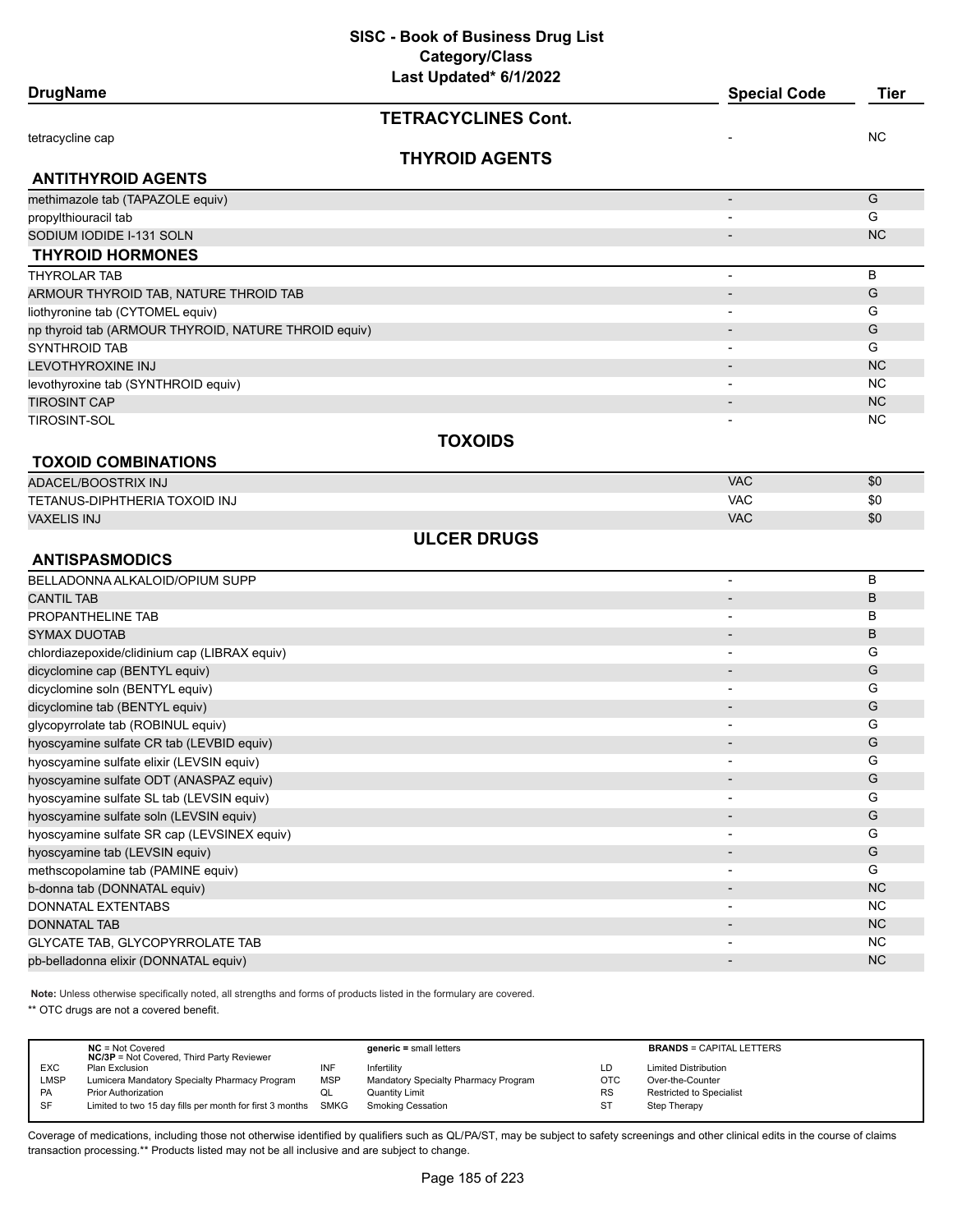| <b>DrugName</b>                                      | Last Updated* 6/1/2022     | <b>Special Code</b>      | <b>Tier</b> |  |
|------------------------------------------------------|----------------------------|--------------------------|-------------|--|
|                                                      | <b>TETRACYCLINES Cont.</b> |                          |             |  |
| tetracycline cap                                     |                            |                          | ΝC          |  |
|                                                      | <b>THYROID AGENTS</b>      |                          |             |  |
| <b>ANTITHYROID AGENTS</b>                            |                            |                          |             |  |
| methimazole tab (TAPAZOLE equiv)                     |                            | $\overline{\phantom{a}}$ | G           |  |
| propylthiouracil tab                                 |                            |                          | G           |  |
| SODIUM IODIDE I-131 SOLN                             |                            |                          | <b>NC</b>   |  |
| <b>THYROID HORMONES</b>                              |                            |                          |             |  |
| <b>THYROLAR TAB</b>                                  |                            | $\overline{\phantom{a}}$ | B           |  |
| ARMOUR THYROID TAB, NATURE THROID TAB                |                            | $\overline{\phantom{a}}$ | G           |  |
| liothyronine tab (CYTOMEL equiv)                     |                            |                          | G           |  |
| np thyroid tab (ARMOUR THYROID, NATURE THROID equiv) |                            |                          | G           |  |
| SYNTHROID TAB                                        |                            |                          | G           |  |
| LEVOTHYROXINE INJ                                    |                            |                          | <b>NC</b>   |  |
| levothyroxine tab (SYNTHROID equiv)                  |                            |                          | NC          |  |
| <b>TIROSINT CAP</b>                                  |                            |                          | <b>NC</b>   |  |
| TIROSINT-SOL                                         |                            |                          | ΝC          |  |
|                                                      | <b>TOXOIDS</b>             |                          |             |  |
| <b>TOXOID COMBINATIONS</b>                           |                            |                          |             |  |
| ADACEL/BOOSTRIX INJ                                  |                            | <b>VAC</b>               | \$0         |  |
| TETANUS-DIPHTHERIA TOXOID INJ                        |                            | <b>VAC</b>               | \$0         |  |
| <b>VAXELIS INJ</b>                                   |                            | <b>VAC</b>               | \$0         |  |
|                                                      | <b>ULCER DRUGS</b>         |                          |             |  |
| <b>ANTISPASMODICS</b>                                |                            |                          |             |  |
| BELLADONNA ALKALOID/OPIUM SUPP                       |                            | $\overline{\phantom{a}}$ | B           |  |
| <b>CANTIL TAB</b>                                    |                            |                          | B           |  |
| PROPANTHELINE TAB                                    |                            |                          | В           |  |
| <b>SYMAX DUOTAB</b>                                  |                            |                          | B           |  |
| chlordiazepoxide/clidinium cap (LIBRAX equiv)        |                            | $\overline{\phantom{a}}$ | G           |  |
| dicyclomine cap (BENTYL equiv)                       |                            |                          | G           |  |
| dicyclomine soln (BENTYL equiv)                      |                            | $\overline{\phantom{a}}$ | G           |  |
| dicyclomine tab (BENTYL equiv)                       |                            | $\overline{\phantom{a}}$ | G           |  |
| glycopyrrolate tab (ROBINUL equiv)                   |                            |                          | G           |  |
| hyoscyamine sulfate CR tab (LEVBID equiv)            |                            |                          | G           |  |
| hyoscyamine sulfate elixir (LEVSIN equiv)            |                            |                          | G           |  |
| hyoscyamine sulfate ODT (ANASPAZ equiv)              |                            | -                        | G           |  |
| hyoscyamine sulfate SL tab (LEVSIN equiv)            |                            | $\overline{\phantom{a}}$ | G           |  |
| hyoscyamine sulfate soln (LEVSIN equiv)              |                            |                          | G           |  |
| hyoscyamine sulfate SR cap (LEVSINEX equiv)          |                            | $\overline{\phantom{a}}$ | G           |  |
| hyoscyamine tab (LEVSIN equiv)                       |                            |                          | G           |  |
| methscopolamine tab (PAMINE equiv)                   |                            | $\blacksquare$           | G           |  |
| b-donna tab (DONNATAL equiv)                         |                            |                          | NC          |  |
| DONNATAL EXTENTABS                                   |                            |                          | <b>NC</b>   |  |
| DONNATAL TAB                                         |                            |                          | NC          |  |
| <b>GLYCATE TAB, GLYCOPYRROLATE TAB</b>               |                            |                          | <b>NC</b>   |  |
| pb-belladonna elixir (DONNATAL equiv)                |                            | $\overline{\phantom{a}}$ | NC          |  |
|                                                      |                            |                          |             |  |

**Note:** Unless otherwise specifically noted, all strengths and forms of products listed in the formulary are covered.

\*\* OTC drugs are not a covered benefit.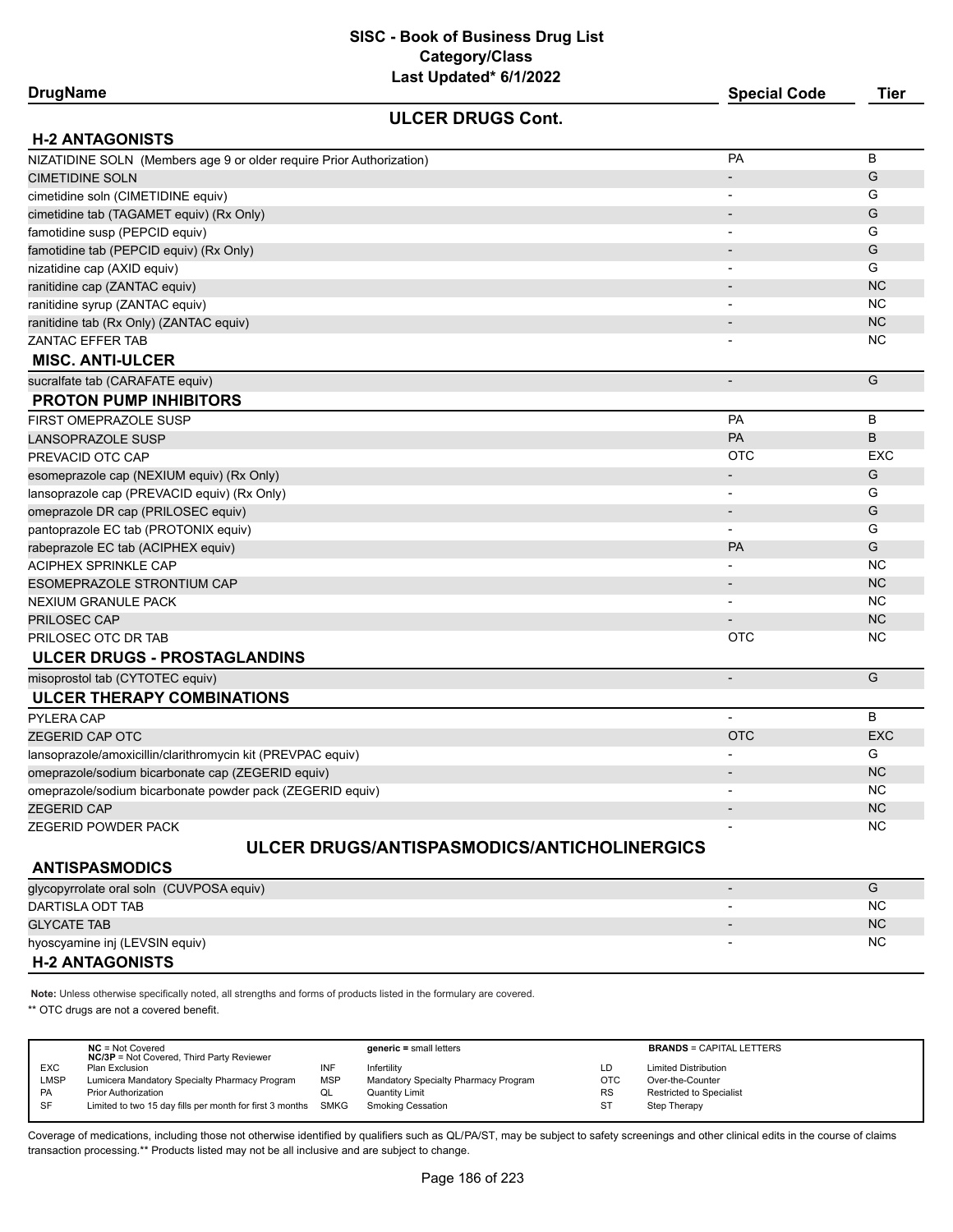| <b>DrugName</b>                                                      | <b>Special Code</b>          | <b>Tier</b> |
|----------------------------------------------------------------------|------------------------------|-------------|
| <b>ULCER DRUGS Cont.</b>                                             |                              |             |
| <b>H-2 ANTAGONISTS</b>                                               |                              |             |
| NIZATIDINE SOLN (Members age 9 or older require Prior Authorization) | PA                           | B           |
| <b>CIMETIDINE SOLN</b>                                               |                              | G           |
| cimetidine soln (CIMETIDINE equiv)                                   | $\overline{\phantom{a}}$     | G           |
| cimetidine tab (TAGAMET equiv) (Rx Only)                             |                              | G           |
| famotidine susp (PEPCID equiv)                                       |                              | G           |
| famotidine tab (PEPCID equiv) (Rx Only)                              |                              | G           |
| nizatidine cap (AXID equiv)                                          |                              | G           |
| ranitidine cap (ZANTAC equiv)                                        |                              | <b>NC</b>   |
| ranitidine syrup (ZANTAC equiv)                                      |                              | ΝC          |
| ranitidine tab (Rx Only) (ZANTAC equiv)                              |                              | <b>NC</b>   |
| <b>ZANTAC EFFER TAB</b>                                              |                              | NC          |
| <b>MISC. ANTI-ULCER</b>                                              |                              |             |
| sucralfate tab (CARAFATE equiv)                                      | $\overline{\phantom{a}}$     | G           |
| <b>PROTON PUMP INHIBITORS</b>                                        |                              |             |
| FIRST OMEPRAZOLE SUSP                                                | PA                           | B           |
| <b>LANSOPRAZOLE SUSP</b>                                             | PA                           | В           |
| PREVACID OTC CAP                                                     | <b>OTC</b>                   | EXC         |
| esomeprazole cap (NEXIUM equiv) (Rx Only)                            |                              | G           |
| lansoprazole cap (PREVACID equiv) (Rx Only)                          |                              | G           |
| omeprazole DR cap (PRILOSEC equiv)                                   | $\overline{\phantom{a}}$     | G           |
| pantoprazole EC tab (PROTONIX equiv)                                 |                              | G           |
| rabeprazole EC tab (ACIPHEX equiv)                                   | <b>PA</b>                    | G           |
| ACIPHEX SPRINKLE CAP                                                 |                              | <b>NC</b>   |
| ESOMEPRAZOLE STRONTIUM CAP                                           |                              | <b>NC</b>   |
| <b>NEXIUM GRANULE PACK</b>                                           | $\overline{\phantom{a}}$     | ΝC          |
| <b>PRILOSEC CAP</b>                                                  |                              | <b>NC</b>   |
| PRILOSEC OTC DR TAB                                                  | <b>OTC</b>                   | ΝC          |
| ULCER DRUGS - PROSTAGLANDINS                                         |                              |             |
| misoprostol tab (CYTOTEC equiv)                                      |                              | G           |
| <b>ULCER THERAPY COMBINATIONS</b>                                    |                              |             |
| PYLERA CAP                                                           |                              | B           |
| <b>ZEGERID CAP OTC</b>                                               | <b>OTC</b>                   | <b>EXC</b>  |
| lansoprazole/amoxicillin/clarithromycin kit (PREVPAC equiv)          |                              | G           |
| omeprazole/sodium bicarbonate cap (ZEGERID equiv)                    |                              | <b>NC</b>   |
| omeprazole/sodium bicarbonate powder pack (ZEGERID equiv)            |                              | <b>NC</b>   |
| <b>ZEGERID CAP</b>                                                   |                              | <b>NC</b>   |
| ZEGERID POWDER PACK                                                  |                              | ΝC          |
| ULCER DRUGS/ANTISPASMODICS/ANTICHOLINERGICS                          |                              |             |
| <b>ANTISPASMODICS</b>                                                |                              |             |
| glycopyrrolate oral soln (CUVPOSA equiv)                             | $\qquad \qquad \blacksquare$ | G           |
| DARTISLA ODT TAB                                                     |                              | <b>NC</b>   |

hyoscyamine inj (LEVSIN equiv) and the control of the control of the control of the control of the control of the control of the control of the control of the control of the control of the control of the control of the con

**H-2 ANTAGONISTS**

**Note:** Unless otherwise specifically noted, all strengths and forms of products listed in the formulary are covered.

\*\* OTC drugs are not a covered benefit.

| <b>BRANDS = CAPITAL LETTERS</b> |            | $generic = small letters$            |            | $NC = Not Covered$<br><b>NC/3P</b> = Not Covered, Third Party Reviewer |            |
|---------------------------------|------------|--------------------------------------|------------|------------------------------------------------------------------------|------------|
| <b>Limited Distribution</b>     | LD         | Infertilitv                          | INF        | Plan Exclusion                                                         | <b>EXC</b> |
| Over-the-Counter                | <b>OTC</b> | Mandatory Specialty Pharmacy Program | <b>MSP</b> | Lumicera Mandatory Specialty Pharmacy Program                          | LMSP       |
| Restricted to Specialist        | <b>RS</b>  | Quantity Limit                       | w∟         | <b>Prior Authorization</b>                                             | PA         |
| Step Therapy                    | ST         | <b>Smoking Cessation</b>             |            | Limited to two 15 day fills per month for first 3 months SMKG          | SF         |
|                                 |            |                                      |            |                                                                        |            |

Coverage of medications, including those not otherwise identified by qualifiers such as QL/PA/ST, may be subject to safety screenings and other clinical edits in the course of claims transaction processing.\*\* Products listed may not be all inclusive and are subject to change.

GLYCATE TAB - NO NORTH AND THE SERVICE OF THE SERVICE OF THE SERVICE OF THE SERVICE OF THE SERVICE OF THE SERVICE OF THE SERVICE OF THE SERVICE OF THE SERVICE OF THE SERVICE OF THE SERVICE OF THE SERVICE OF THE SERVICE OF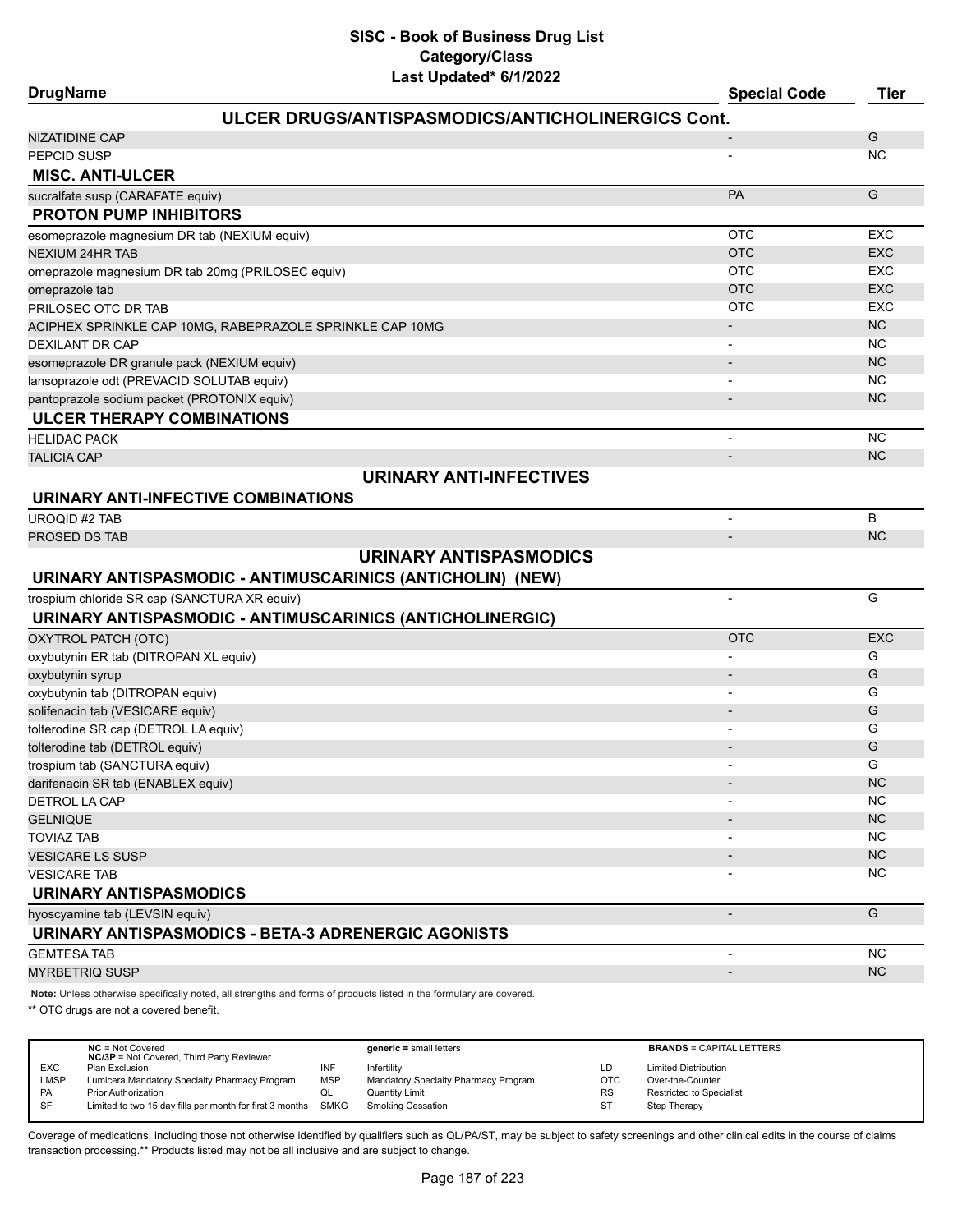| <b>DrugName</b>                                            | Last Upualtu VIIILULL                             | <b>Special Code</b>      | <b>Tier</b> |
|------------------------------------------------------------|---------------------------------------------------|--------------------------|-------------|
|                                                            | ULCER DRUGS/ANTISPASMODICS/ANTICHOLINERGICS Cont. |                          |             |
| <b>NIZATIDINE CAP</b>                                      |                                                   |                          | G           |
| PEPCID SUSP                                                |                                                   |                          | <b>NC</b>   |
| <b>MISC. ANTI-ULCER</b>                                    |                                                   |                          |             |
| sucralfate susp (CARAFATE equiv)                           |                                                   | PA                       | G           |
| <b>PROTON PUMP INHIBITORS</b>                              |                                                   |                          |             |
| esomeprazole magnesium DR tab (NEXIUM equiv)               |                                                   | <b>OTC</b>               | <b>EXC</b>  |
| <b>NEXIUM 24HR TAB</b>                                     |                                                   | <b>OTC</b>               | <b>EXC</b>  |
| omeprazole magnesium DR tab 20mg (PRILOSEC equiv)          |                                                   | <b>OTC</b>               | <b>EXC</b>  |
| omeprazole tab                                             |                                                   | <b>OTC</b>               | <b>EXC</b>  |
| PRILOSEC OTC DR TAB                                        |                                                   | <b>OTC</b>               | <b>EXC</b>  |
| ACIPHEX SPRINKLE CAP 10MG, RABEPRAZOLE SPRINKLE CAP 10MG   |                                                   | $\overline{\phantom{a}}$ | <b>NC</b>   |
| <b>DEXILANT DR CAP</b>                                     |                                                   | $\overline{\phantom{a}}$ | <b>NC</b>   |
| esomeprazole DR granule pack (NEXIUM equiv)                |                                                   |                          | <b>NC</b>   |
| lansoprazole odt (PREVACID SOLUTAB equiv)                  |                                                   | $\overline{\phantom{a}}$ | NC.         |
| pantoprazole sodium packet (PROTONIX equiv)                |                                                   | $\blacksquare$           | <b>NC</b>   |
| <b>ULCER THERAPY COMBINATIONS</b>                          |                                                   |                          |             |
| <b>HELIDAC PACK</b>                                        |                                                   | $\overline{\phantom{a}}$ | <b>NC</b>   |
| <b>TALICIA CAP</b>                                         |                                                   | $\blacksquare$           | <b>NC</b>   |
|                                                            | <b>URINARY ANTI-INFECTIVES</b>                    |                          |             |
| URINARY ANTI-INFECTIVE COMBINATIONS                        |                                                   |                          |             |
| <b>UROQID #2 TAB</b>                                       |                                                   |                          | B           |
| PROSED DS TAB                                              |                                                   |                          | <b>NC</b>   |
|                                                            | <b>URINARY ANTISPASMODICS</b>                     |                          |             |
| URINARY ANTISPASMODIC - ANTIMUSCARINICS (ANTICHOLIN) (NEW) |                                                   |                          |             |
| trospium chloride SR cap (SANCTURA XR equiv)               |                                                   | $\blacksquare$           | G           |
| URINARY ANTISPASMODIC - ANTIMUSCARINICS (ANTICHOLINERGIC)  |                                                   |                          |             |
| OXYTROL PATCH (OTC)                                        |                                                   | <b>OTC</b>               | <b>EXC</b>  |
| oxybutynin ER tab (DITROPAN XL equiv)                      |                                                   |                          | G           |
| oxybutynin syrup                                           |                                                   | $\overline{\phantom{a}}$ | G           |
| oxybutynin tab (DITROPAN equiv)                            |                                                   |                          | G           |
| solifenacin tab (VESICARE equiv)                           |                                                   | $\overline{\phantom{a}}$ | G           |
| tolterodine SR cap (DETROL LA equiv)                       |                                                   |                          | G           |
| tolterodine tab (DETROL equiv)                             |                                                   |                          | G           |
| trospium tab (SANCTURA equiv)                              |                                                   |                          | G           |
| darifenacin SR tab (ENABLEX equiv)                         |                                                   |                          | <b>NC</b>   |
| <b>DETROL LA CAP</b>                                       |                                                   |                          | <b>NC</b>   |
| <b>GELNIQUE</b>                                            |                                                   |                          | <b>NC</b>   |
| <b>TOVIAZ TAB</b>                                          |                                                   |                          | NC.         |
| <b>VESICARE LS SUSP</b>                                    |                                                   |                          | NC          |
| <b>VESICARE TAB</b>                                        |                                                   |                          | <b>NC</b>   |
| URINARY ANTISPASMODICS                                     |                                                   |                          |             |
| hyoscyamine tab (LEVSIN equiv)                             |                                                   | $\overline{\phantom{a}}$ | G           |
| URINARY ANTISPASMODICS - BETA-3 ADRENERGIC AGONISTS        |                                                   |                          |             |
| <b>GEMTESA TAB</b>                                         |                                                   | $\blacksquare$           | <b>NC</b>   |
| <b>MYRBETRIQ SUSP</b>                                      |                                                   |                          | NC          |

**Note:** Unless otherwise specifically noted, all strengths and forms of products listed in the formulary are covered.

\*\* OTC drugs are not a covered benefit.

|            | $NC = Not Covered$                                       |            | $generic = small letters$            |            | <b>BRANDS = CAPITAL LETTERS</b> |
|------------|----------------------------------------------------------|------------|--------------------------------------|------------|---------------------------------|
|            | <b>NC/3P</b> = Not Covered, Third Party Reviewer         |            |                                      |            |                                 |
| <b>EXC</b> | Plan Exclusion                                           | INF        | Infertility                          | LD         | <b>Limited Distribution</b>     |
| LMSP       | Lumicera Mandatory Specialty Pharmacy Program            | <b>MSP</b> | Mandatory Specialty Pharmacy Program | <b>OTC</b> | Over-the-Counter                |
| PA         | <b>Prior Authorization</b>                               | w∟         | Quantity Limit                       | <b>RS</b>  | <b>Restricted to Specialist</b> |
| SF         | Limited to two 15 day fills per month for first 3 months | SMKG       | Smoking Cessation                    | <b>ST</b>  | Step Therapy                    |
|            |                                                          |            |                                      |            |                                 |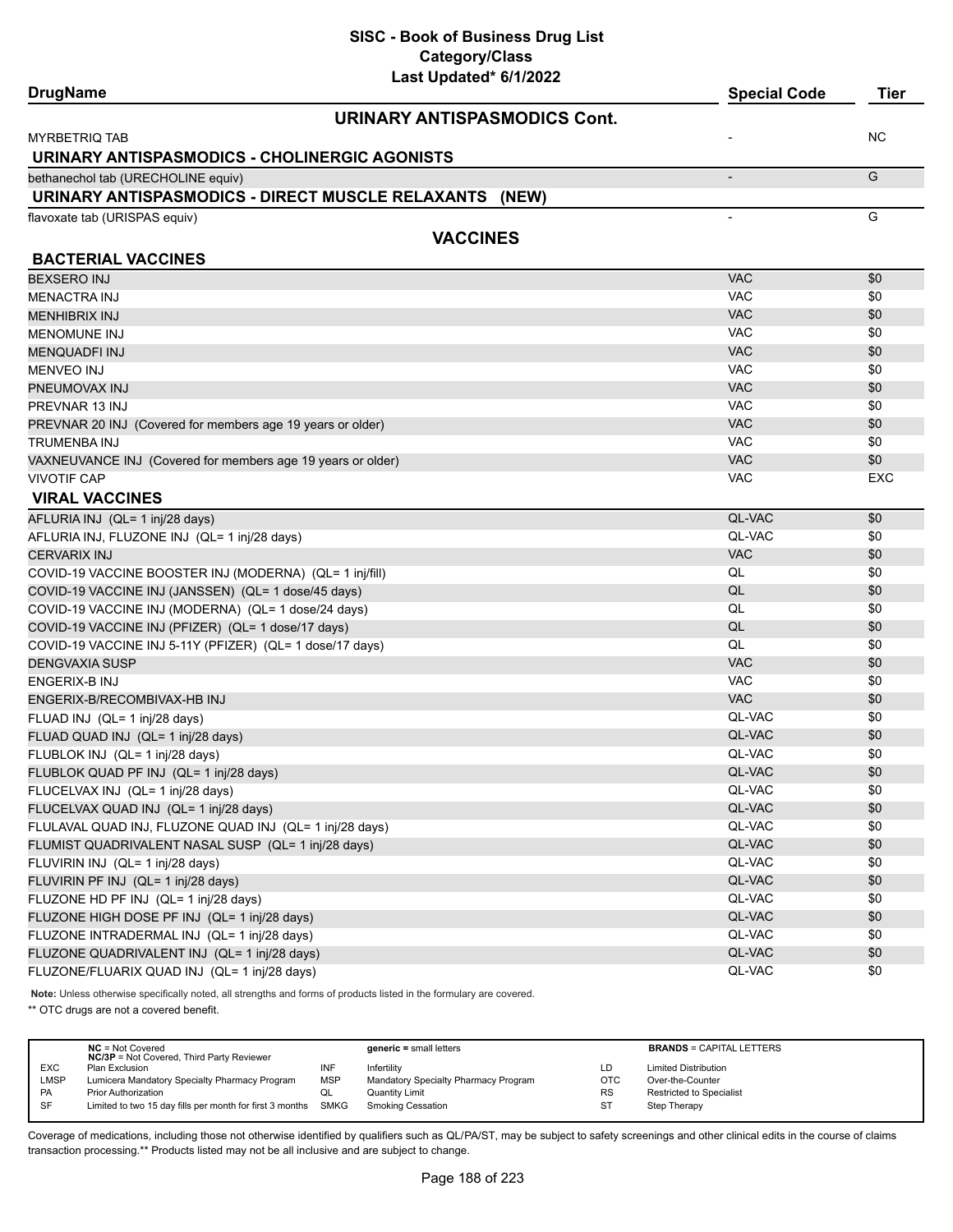| <b>DrugName</b>                                             | Last Upuateu o IIZUZZ                                                                                               | <b>Special Code</b> | <b>Tier</b> |
|-------------------------------------------------------------|---------------------------------------------------------------------------------------------------------------------|---------------------|-------------|
|                                                             | <b>URINARY ANTISPASMODICS Cont.</b>                                                                                 |                     |             |
| <b>MYRBETRIQ TAB</b>                                        |                                                                                                                     |                     | NC.         |
| URINARY ANTISPASMODICS - CHOLINERGIC AGONISTS               |                                                                                                                     |                     |             |
| bethanechol tab (URECHOLINE equiv)                          |                                                                                                                     | $\overline{a}$      | G           |
|                                                             | URINARY ANTISPASMODICS - DIRECT MUSCLE RELAXANTS (NEW)                                                              |                     |             |
| flavoxate tab (URISPAS equiv)                               |                                                                                                                     |                     | G           |
|                                                             | <b>VACCINES</b>                                                                                                     |                     |             |
| <b>BACTERIAL VACCINES</b>                                   |                                                                                                                     |                     |             |
| <b>BEXSERO INJ</b>                                          |                                                                                                                     | <b>VAC</b>          | \$0         |
| <b>MENACTRA INJ</b>                                         |                                                                                                                     | <b>VAC</b>          | \$0         |
| <b>MENHIBRIX INJ</b>                                        |                                                                                                                     | <b>VAC</b>          | \$0         |
| <b>MENOMUNE INJ</b>                                         |                                                                                                                     | <b>VAC</b>          | \$0         |
| <b>MENQUADFI INJ</b>                                        |                                                                                                                     | <b>VAC</b>          | \$0         |
| <b>MENVEO INJ</b>                                           |                                                                                                                     | <b>VAC</b>          | \$0         |
| PNEUMOVAX INJ                                               |                                                                                                                     | <b>VAC</b>          | \$0         |
| PREVNAR 13 INJ                                              |                                                                                                                     | <b>VAC</b>          | \$0         |
| PREVNAR 20 INJ (Covered for members age 19 years or older)  |                                                                                                                     | <b>VAC</b>          | \$0         |
| TRUMENBA INJ                                                |                                                                                                                     | <b>VAC</b>          | \$0         |
| VAXNEUVANCE INJ (Covered for members age 19 years or older) |                                                                                                                     | <b>VAC</b>          | \$0         |
| <b>VIVOTIF CAP</b>                                          |                                                                                                                     | <b>VAC</b>          | EXC         |
| <b>VIRAL VACCINES</b>                                       |                                                                                                                     |                     |             |
| AFLURIA INJ (QL= 1 inj/28 days)                             |                                                                                                                     | QL-VAC              | \$0         |
| AFLURIA INJ, FLUZONE INJ (QL= 1 inj/28 days)                |                                                                                                                     | QL-VAC              | \$0         |
| <b>CERVARIX INJ</b>                                         |                                                                                                                     | <b>VAC</b>          | \$0         |
| COVID-19 VACCINE BOOSTER INJ (MODERNA) (QL= 1 inj/fill)     |                                                                                                                     | QL                  | \$0         |
| COVID-19 VACCINE INJ (JANSSEN) (QL= 1 dose/45 days)         |                                                                                                                     | QL                  | \$0         |
| COVID-19 VACCINE INJ (MODERNA) (QL= 1 dose/24 days)         |                                                                                                                     | QL                  | \$0         |
| COVID-19 VACCINE INJ (PFIZER) (QL= 1 dose/17 days)          |                                                                                                                     | QL                  | \$0         |
| COVID-19 VACCINE INJ 5-11Y (PFIZER) (QL= 1 dose/17 days)    |                                                                                                                     | QL                  | \$0         |
| <b>DENGVAXIA SUSP</b>                                       |                                                                                                                     | <b>VAC</b>          | \$0         |
| ENGERIX-B INJ                                               |                                                                                                                     | <b>VAC</b>          | \$0         |
| ENGERIX-B/RECOMBIVAX-HB INJ                                 |                                                                                                                     | <b>VAC</b>          | \$0         |
| FLUAD INJ (QL= 1 inj/28 days)                               |                                                                                                                     | QL-VAC              | \$0         |
| FLUAD QUAD INJ (QL= 1 inj/28 days)                          |                                                                                                                     | QL-VAC              | \$0         |
| FLUBLOK INJ (QL= 1 inj/28 days)                             |                                                                                                                     | QL-VAC              | \$0         |
| FLUBLOK QUAD PF INJ (QL= 1 inj/28 days)                     |                                                                                                                     | QL-VAC              | \$0         |
| FLUCELVAX INJ (QL= 1 inj/28 days)                           |                                                                                                                     | QL-VAC              | \$0         |
| FLUCELVAX QUAD INJ (QL= 1 inj/28 days)                      |                                                                                                                     | QL-VAC              | \$0         |
| FLULAVAL QUAD INJ, FLUZONE QUAD INJ (QL= 1 inj/28 days)     |                                                                                                                     | QL-VAC              | \$0         |
| FLUMIST QUADRIVALENT NASAL SUSP (QL= 1 inj/28 days)         |                                                                                                                     | QL-VAC              | \$0         |
| FLUVIRIN INJ (QL= 1 inj/28 days)                            |                                                                                                                     | QL-VAC              | \$0         |
| FLUVIRIN PF INJ (QL= 1 inj/28 days)                         |                                                                                                                     | QL-VAC              | \$0         |
| FLUZONE HD PF INJ (QL= 1 inj/28 days)                       |                                                                                                                     | QL-VAC              | \$0         |
| FLUZONE HIGH DOSE PF INJ (QL= 1 inj/28 days)                |                                                                                                                     | QL-VAC              | \$0         |
| FLUZONE INTRADERMAL INJ (QL= 1 inj/28 days)                 |                                                                                                                     | QL-VAC              | \$0         |
| FLUZONE QUADRIVALENT INJ (QL= 1 inj/28 days)                |                                                                                                                     | QL-VAC              | \$0         |
| FLUZONE/FLUARIX QUAD INJ (QL= 1 inj/28 days)                |                                                                                                                     | QL-VAC              | \$0         |
|                                                             | Note: Unless otherwise specifically noted, all strengths and forms of products listed in the formulary are covered. |                     |             |

\*\* OTC drugs are not a covered benefit.

|             | $NC = Not Covered$<br><b>NC/3P</b> = Not Covered, Third Party Reviewer |            | $generic = small letters$            |            | <b>BRANDS = CAPITAL LETTERS</b> |
|-------------|------------------------------------------------------------------------|------------|--------------------------------------|------------|---------------------------------|
| <b>EXC</b>  | Plan Exclusion                                                         | INF        | Infertility                          | LD         | <b>Limited Distribution</b>     |
| <b>LMSP</b> | Lumicera Mandatory Specialty Pharmacy Program                          | <b>MSP</b> | Mandatory Specialty Pharmacy Program | <b>OTC</b> | Over-the-Counter                |
| PA          | <b>Prior Authorization</b>                                             | QL         | <b>Quantity Limit</b>                | <b>RS</b>  | <b>Restricted to Specialist</b> |
| <b>SF</b>   | Limited to two 15 day fills per month for first 3 months SMKG          |            | <b>Smoking Cessation</b>             | ST         | <b>Step Therapy</b>             |
|             |                                                                        |            |                                      |            |                                 |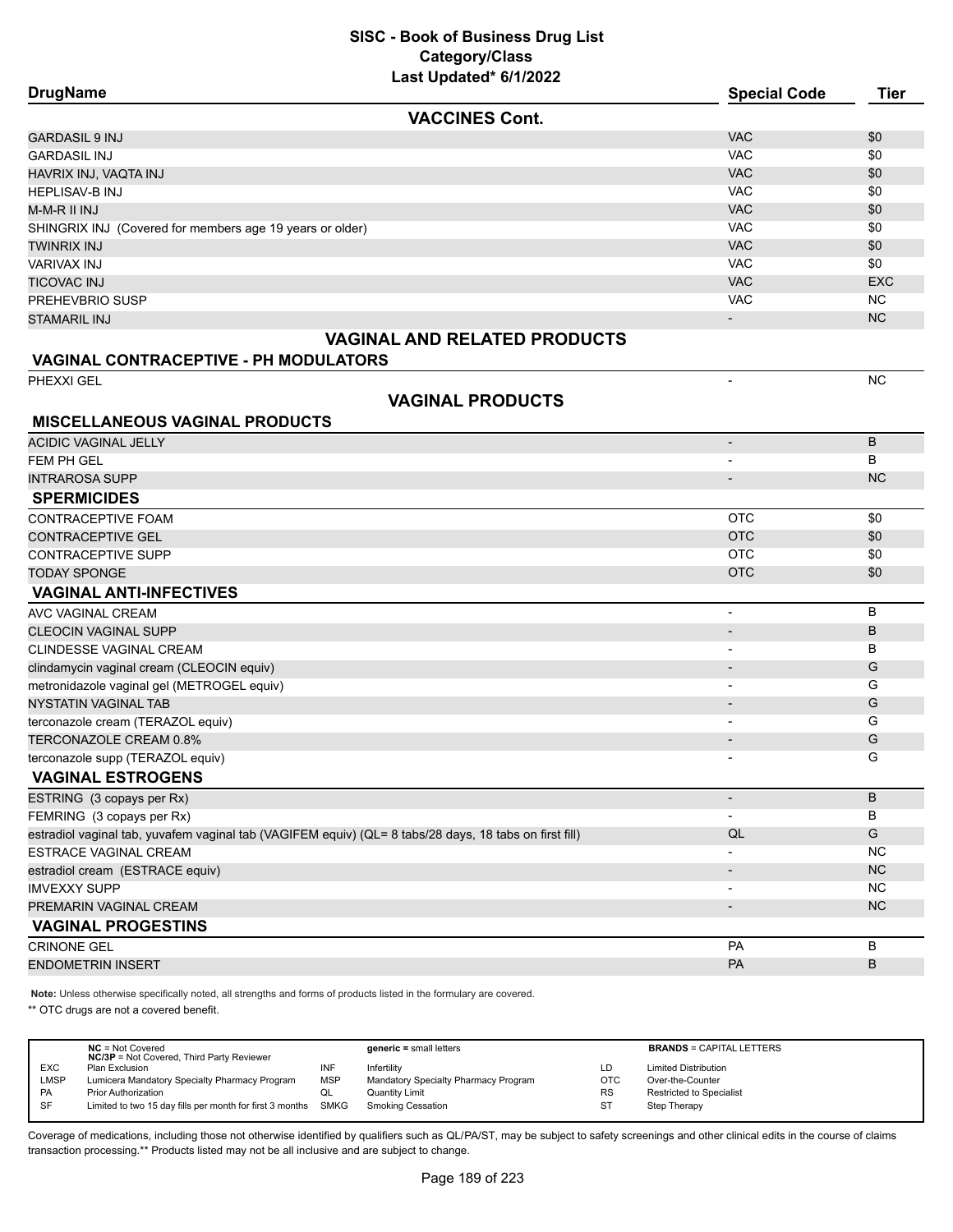| <b>VACCINES Cont.</b><br><b>GARDASIL 9 INJ</b>                                                         | <b>VAC</b>               |            |
|--------------------------------------------------------------------------------------------------------|--------------------------|------------|
|                                                                                                        |                          |            |
|                                                                                                        |                          | \$0        |
| <b>GARDASIL INJ</b>                                                                                    | <b>VAC</b>               | \$0        |
| HAVRIX INJ, VAQTA INJ                                                                                  | <b>VAC</b>               | \$0        |
| <b>HEPLISAV-B INJ</b>                                                                                  | <b>VAC</b>               | \$0        |
| M-M-R II INJ                                                                                           | <b>VAC</b>               | \$0        |
| SHINGRIX INJ (Covered for members age 19 years or older)                                               | <b>VAC</b>               | \$0        |
| <b>TWINRIX INJ</b>                                                                                     | <b>VAC</b>               | \$0        |
| <b>VARIVAX INJ</b>                                                                                     | <b>VAC</b>               | \$0        |
| TICOVAC INJ                                                                                            | <b>VAC</b>               | <b>EXC</b> |
| PREHEVBRIO SUSP                                                                                        | <b>VAC</b>               | <b>NC</b>  |
| <b>STAMARIL INJ</b>                                                                                    |                          | <b>NC</b>  |
| <b>VAGINAL AND RELATED PRODUCTS</b>                                                                    |                          |            |
| <b>VAGINAL CONTRACEPTIVE - PH MODULATORS</b>                                                           |                          | <b>NC</b>  |
| PHEXXI GEL                                                                                             | $\overline{\phantom{a}}$ |            |
| <b>VAGINAL PRODUCTS</b><br><b>MISCELLANEOUS VAGINAL PRODUCTS</b>                                       |                          |            |
| <b>ACIDIC VAGINAL JELLY</b>                                                                            | $\overline{\phantom{a}}$ | B          |
| FEM PH GEL                                                                                             |                          | в          |
| <b>INTRAROSA SUPP</b>                                                                                  |                          | <b>NC</b>  |
| <b>SPERMICIDES</b>                                                                                     |                          |            |
| <b>CONTRACEPTIVE FOAM</b>                                                                              | <b>OTC</b>               | \$0        |
| <b>CONTRACEPTIVE GEL</b>                                                                               | <b>OTC</b>               | \$0        |
| <b>CONTRACEPTIVE SUPP</b>                                                                              | <b>OTC</b>               | \$0        |
| <b>TODAY SPONGE</b>                                                                                    | <b>OTC</b>               | \$0        |
| <b>VAGINAL ANTI-INFECTIVES</b>                                                                         |                          |            |
| AVC VAGINAL CREAM                                                                                      | $\overline{\phantom{a}}$ | В          |
| <b>CLEOCIN VAGINAL SUPP</b>                                                                            | $\overline{\phantom{a}}$ | B          |
| CLINDESSE VAGINAL CREAM                                                                                | $\overline{\phantom{a}}$ | В          |
| clindamycin vaginal cream (CLEOCIN equiv)                                                              | $\overline{\phantom{a}}$ | G          |
| metronidazole vaginal gel (METROGEL equiv)                                                             | $\overline{\phantom{a}}$ | G          |
| <b>NYSTATIN VAGINAL TAB</b>                                                                            | $\overline{\phantom{a}}$ | G          |
| terconazole cream (TERAZOL equiv)                                                                      | $\overline{\phantom{a}}$ | G          |
| TERCONAZOLE CREAM 0.8%                                                                                 | $\overline{a}$           | G          |
| terconazole supp (TERAZOL equiv)                                                                       |                          | G          |
| <b>VAGINAL ESTROGENS</b>                                                                               |                          |            |
| ESTRING (3 copays per Rx)                                                                              | $\overline{\phantom{a}}$ | B          |
| FEMRING (3 copays per Rx)                                                                              | $\overline{\phantom{a}}$ | В          |
| estradiol vaginal tab, yuvafem vaginal tab (VAGIFEM equiv) (QL= 8 tabs/28 days, 18 tabs on first fill) | QL                       | G          |
| ESTRACE VAGINAL CREAM                                                                                  |                          | <b>NC</b>  |
| estradiol cream (ESTRACE equiv)                                                                        |                          | <b>NC</b>  |
| <b>IMVEXXY SUPP</b>                                                                                    |                          | <b>NC</b>  |
| PREMARIN VAGINAL CREAM                                                                                 |                          | NC         |
| <b>VAGINAL PROGESTINS</b>                                                                              |                          |            |
| <b>CRINONE GEL</b>                                                                                     | PA                       | В          |
| <b>ENDOMETRIN INSERT</b>                                                                               | PA                       | B          |

**Note:** Unless otherwise specifically noted, all strengths and forms of products listed in the formulary are covered.

\*\* OTC drugs are not a covered benefit.

|            | $NC = Not Covered$<br><b>NC/3P</b> = Not Covered, Third Party Reviewer |            | $generic = small letters$            |           | <b>BRANDS = CAPITAL LETTERS</b> |
|------------|------------------------------------------------------------------------|------------|--------------------------------------|-----------|---------------------------------|
| <b>EXC</b> | Plan Exclusion                                                         | INF        | Infertility                          | LD.       | <b>Limited Distribution</b>     |
|            |                                                                        |            |                                      |           |                                 |
| LMSP       | Lumicera Mandatory Specialty Pharmacy Program                          | <b>MSP</b> | Mandatory Specialty Pharmacy Program | OTC       | Over-the-Counter                |
| <b>PA</b>  | <b>Prior Authorization</b>                                             | QL         | <b>Quantity Limit</b>                | <b>RS</b> | <b>Restricted to Specialist</b> |
| <b>SF</b>  | Limited to two 15 day fills per month for first 3 months SMKG          |            | <b>Smoking Cessation</b>             | ST        | Step Therapy                    |
|            |                                                                        |            |                                      |           |                                 |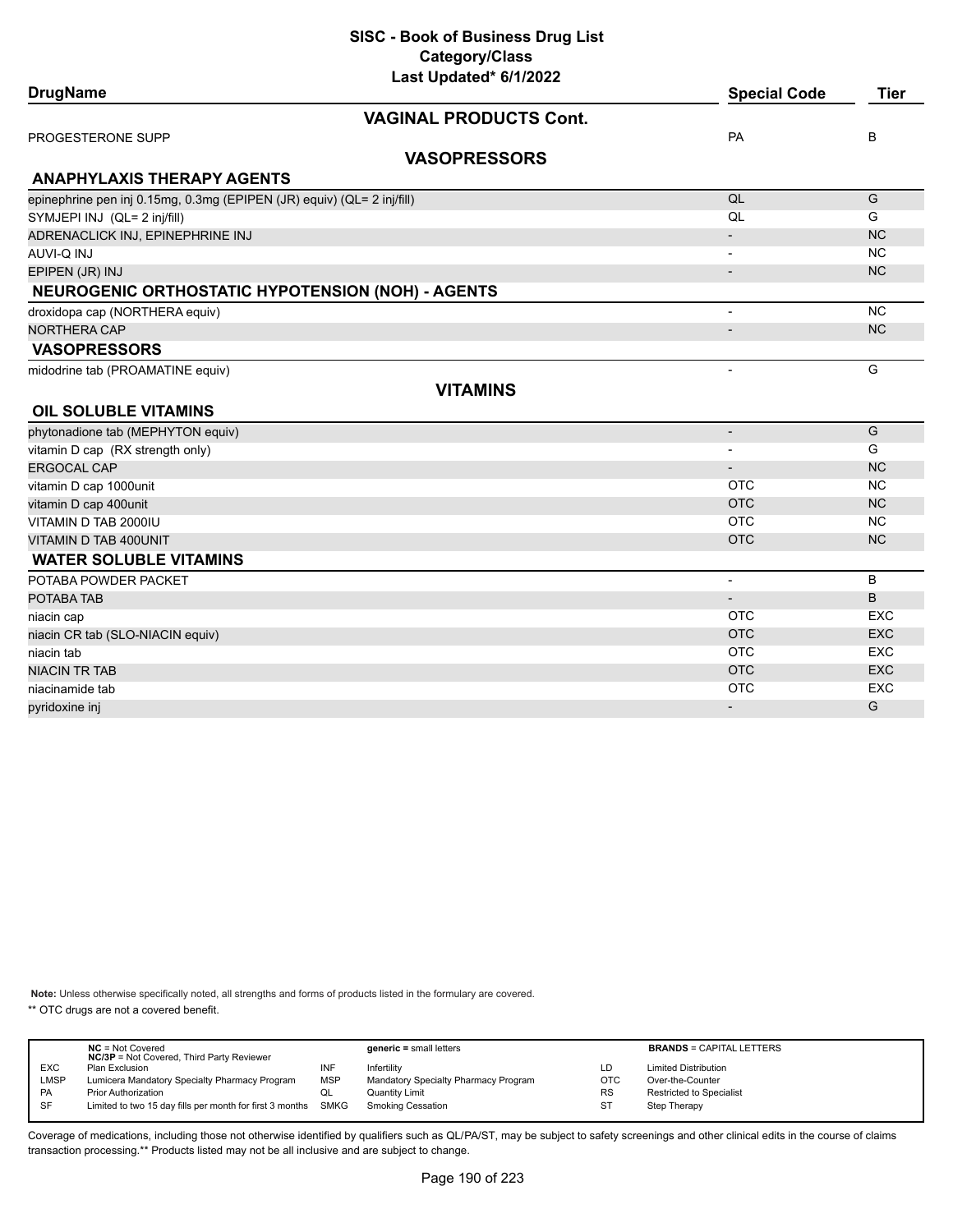| Last Updated* 6/1/2022                                                 |                          |             |
|------------------------------------------------------------------------|--------------------------|-------------|
| <b>DrugName</b>                                                        | <b>Special Code</b>      | <b>Tier</b> |
| <b>VAGINAL PRODUCTS Cont.</b>                                          |                          |             |
| PROGESTERONE SUPP                                                      | PA                       | B           |
| <b>VASOPRESSORS</b>                                                    |                          |             |
| <b>ANAPHYLAXIS THERAPY AGENTS</b>                                      |                          |             |
| epinephrine pen inj 0.15mg, 0.3mg (EPIPEN (JR) equiv) (QL= 2 inj/fill) | QL                       | G           |
| SYMJEPI INJ (QL= 2 inj/fill)                                           | QL                       | G           |
| ADRENACLICK INJ, EPINEPHRINE INJ                                       | $\overline{\phantom{a}}$ | <b>NC</b>   |
| LUI Q-IVUA                                                             |                          | <b>NC</b>   |
| EPIPEN (JR) INJ                                                        |                          | <b>NC</b>   |
| <b>NEUROGENIC ORTHOSTATIC HYPOTENSION (NOH) - AGENTS</b>               |                          |             |
| droxidopa cap (NORTHERA equiv)                                         | $\overline{\phantom{a}}$ | <b>NC</b>   |
| NORTHERA CAP                                                           | $\overline{\phantom{a}}$ | <b>NC</b>   |
| <b>VASOPRESSORS</b>                                                    |                          |             |
| midodrine tab (PROAMATINE equiv)                                       | $\overline{\phantom{a}}$ | G           |
| <b>VITAMINS</b>                                                        |                          |             |
| <b>OIL SOLUBLE VITAMINS</b>                                            |                          |             |
| phytonadione tab (MEPHYTON equiv)                                      | $\overline{\phantom{a}}$ | G           |
| vitamin D cap (RX strength only)                                       |                          | G           |
| <b>ERGOCAL CAP</b>                                                     | $\blacksquare$           | <b>NC</b>   |
| vitamin D cap 1000unit                                                 | <b>OTC</b>               | <b>NC</b>   |
| vitamin D cap 400unit                                                  | <b>OTC</b>               | <b>NC</b>   |
| VITAMIN D TAB 2000IU                                                   | <b>OTC</b>               | <b>NC</b>   |
| VITAMIN D TAB 400UNIT                                                  | <b>OTC</b>               | <b>NC</b>   |
| <b>WATER SOLUBLE VITAMINS</b>                                          |                          |             |
| POTABA POWDER PACKET                                                   | $\overline{\phantom{a}}$ | B           |
| POTABA TAB                                                             |                          | B           |
| niacin cap                                                             | <b>OTC</b>               | <b>EXC</b>  |
| niacin CR tab (SLO-NIACIN equiv)                                       | <b>OTC</b>               | <b>EXC</b>  |
| niacin tab                                                             | <b>OTC</b>               | <b>EXC</b>  |
| <b>NIACIN TR TAB</b>                                                   | <b>OTC</b>               | <b>EXC</b>  |
| niacinamide tab                                                        | <b>OTC</b>               | <b>EXC</b>  |
| pyridoxine inj                                                         |                          | G           |

**Note:** Unless otherwise specifically noted, all strengths and forms of products listed in the formulary are covered. \*\* OTC drugs are not a covered benefit.

|             | $NC = Not Covered$<br><b>NC/3P</b> = Not Covered, Third Party Reviewer |            | $generic = small letters$            |            | <b>BRANDS = CAPITAL LETTERS</b> |
|-------------|------------------------------------------------------------------------|------------|--------------------------------------|------------|---------------------------------|
| EXC         | Plan Exclusion                                                         | INF        | Infertility                          | LD         | <b>Limited Distribution</b>     |
| <b>LMSP</b> | Lumicera Mandatory Specialty Pharmacy Program                          | <b>MSP</b> | Mandatory Specialty Pharmacy Program | <b>OTC</b> | Over-the-Counter                |
| <b>PA</b>   | Prior Authorization                                                    | QL         | <b>Quantity Limit</b>                | <b>RS</b>  | Restricted to Specialist        |
| <b>SF</b>   | Limited to two 15 day fills per month for first 3 months               | SMKG       | <b>Smoking Cessation</b>             | ST         | Step Therapy                    |
|             |                                                                        |            |                                      |            |                                 |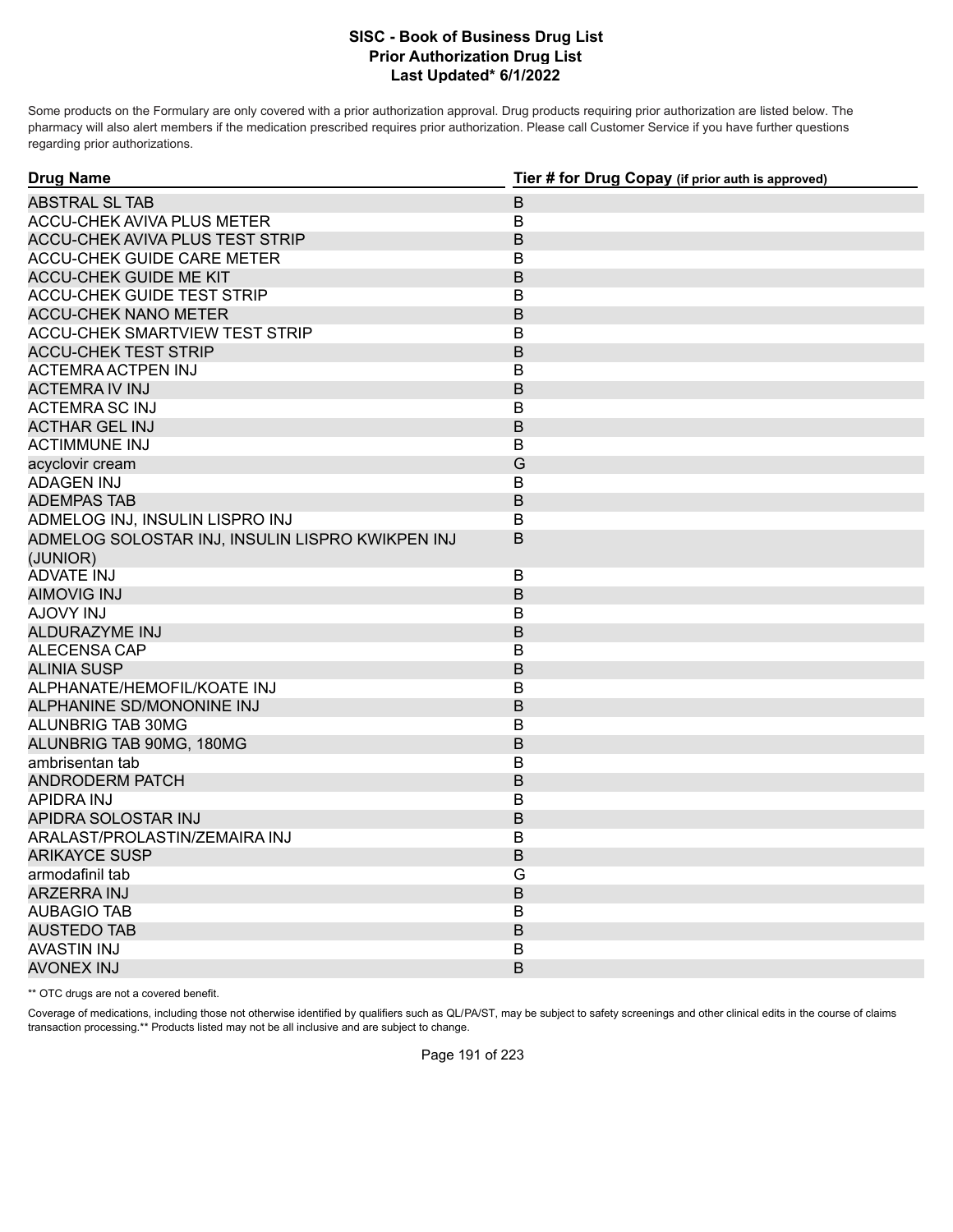Some products on the Formulary are only covered with a prior authorization approval. Drug products requiring prior authorization are listed below. The pharmacy will also alert members if the medication prescribed requires prior authorization. Please call Customer Service if you have further questions regarding prior authorizations.

| $\mathsf B$<br>B<br>B<br>ACCU-CHEK GUIDE CARE METER<br>B<br>B<br>B<br>B<br>B<br>ACCU-CHEK SMARTVIEW TEST STRIP<br>$\mathsf B$<br>B<br>B<br>В<br>B<br><b>ACTIMMUNE INJ</b><br>B<br>G<br><b>ADAGEN INJ</b><br>В<br>B<br>В<br>B<br>(JUNIOR)<br><b>ADVATE INJ</b><br>В<br><b>AIMOVIG INJ</b><br>B<br><b>AJOVY INJ</b><br>В<br><b>ALDURAZYME INJ</b><br>B<br>ALECENSA CAP<br>B<br>B<br><b>ALINIA SUSP</b><br>ALPHANATE/HEMOFIL/KOATE INJ<br>B<br>ALPHANINE SD/MONONINE INJ<br>B<br>ALUNBRIG TAB 30MG<br>В<br>B<br>ALUNBRIG TAB 90MG, 180MG<br>ambrisentan tab<br>B<br><b>ANDRODERM PATCH</b><br>B<br>APIDRA INJ<br>B<br>B<br>APIDRA SOLOSTAR INJ<br>ARALAST/PROLASTIN/ZEMAIRA INJ<br>B<br><b>ARIKAYCE SUSP</b><br>B<br>G<br>armodafinil tab<br><b>ARZERRA INJ</b><br>$\mathsf B$<br><b>AUBAGIO TAB</b><br>B<br>B<br><b>AUSTEDO TAB</b> | <b>Drug Name</b>                                 | Tier # for Drug Copay (if prior auth is approved) |
|-----------------------------------------------------------------------------------------------------------------------------------------------------------------------------------------------------------------------------------------------------------------------------------------------------------------------------------------------------------------------------------------------------------------------------------------------------------------------------------------------------------------------------------------------------------------------------------------------------------------------------------------------------------------------------------------------------------------------------------------------------------------------------------------------------------------------------------|--------------------------------------------------|---------------------------------------------------|
|                                                                                                                                                                                                                                                                                                                                                                                                                                                                                                                                                                                                                                                                                                                                                                                                                                   | <b>ABSTRAL SL TAB</b>                            |                                                   |
|                                                                                                                                                                                                                                                                                                                                                                                                                                                                                                                                                                                                                                                                                                                                                                                                                                   | <b>ACCU-CHEK AVIVA PLUS METER</b>                |                                                   |
|                                                                                                                                                                                                                                                                                                                                                                                                                                                                                                                                                                                                                                                                                                                                                                                                                                   | <b>ACCU-CHEK AVIVA PLUS TEST STRIP</b>           |                                                   |
|                                                                                                                                                                                                                                                                                                                                                                                                                                                                                                                                                                                                                                                                                                                                                                                                                                   |                                                  |                                                   |
|                                                                                                                                                                                                                                                                                                                                                                                                                                                                                                                                                                                                                                                                                                                                                                                                                                   | <b>ACCU-CHEK GUIDE ME KIT</b>                    |                                                   |
|                                                                                                                                                                                                                                                                                                                                                                                                                                                                                                                                                                                                                                                                                                                                                                                                                                   | <b>ACCU-CHEK GUIDE TEST STRIP</b>                |                                                   |
|                                                                                                                                                                                                                                                                                                                                                                                                                                                                                                                                                                                                                                                                                                                                                                                                                                   | <b>ACCU-CHEK NANO METER</b>                      |                                                   |
|                                                                                                                                                                                                                                                                                                                                                                                                                                                                                                                                                                                                                                                                                                                                                                                                                                   |                                                  |                                                   |
|                                                                                                                                                                                                                                                                                                                                                                                                                                                                                                                                                                                                                                                                                                                                                                                                                                   | <b>ACCU-CHEK TEST STRIP</b>                      |                                                   |
|                                                                                                                                                                                                                                                                                                                                                                                                                                                                                                                                                                                                                                                                                                                                                                                                                                   | <b>ACTEMRA ACTPEN INJ</b>                        |                                                   |
|                                                                                                                                                                                                                                                                                                                                                                                                                                                                                                                                                                                                                                                                                                                                                                                                                                   | <b>ACTEMRA IV INJ</b>                            |                                                   |
|                                                                                                                                                                                                                                                                                                                                                                                                                                                                                                                                                                                                                                                                                                                                                                                                                                   | <b>ACTEMRA SC INJ</b>                            |                                                   |
|                                                                                                                                                                                                                                                                                                                                                                                                                                                                                                                                                                                                                                                                                                                                                                                                                                   | <b>ACTHAR GEL INJ</b>                            |                                                   |
|                                                                                                                                                                                                                                                                                                                                                                                                                                                                                                                                                                                                                                                                                                                                                                                                                                   |                                                  |                                                   |
|                                                                                                                                                                                                                                                                                                                                                                                                                                                                                                                                                                                                                                                                                                                                                                                                                                   | acyclovir cream                                  |                                                   |
|                                                                                                                                                                                                                                                                                                                                                                                                                                                                                                                                                                                                                                                                                                                                                                                                                                   |                                                  |                                                   |
|                                                                                                                                                                                                                                                                                                                                                                                                                                                                                                                                                                                                                                                                                                                                                                                                                                   | <b>ADEMPAS TAB</b>                               |                                                   |
|                                                                                                                                                                                                                                                                                                                                                                                                                                                                                                                                                                                                                                                                                                                                                                                                                                   | ADMELOG INJ, INSULIN LISPRO INJ                  |                                                   |
|                                                                                                                                                                                                                                                                                                                                                                                                                                                                                                                                                                                                                                                                                                                                                                                                                                   | ADMELOG SOLOSTAR INJ, INSULIN LISPRO KWIKPEN INJ |                                                   |
|                                                                                                                                                                                                                                                                                                                                                                                                                                                                                                                                                                                                                                                                                                                                                                                                                                   |                                                  |                                                   |
|                                                                                                                                                                                                                                                                                                                                                                                                                                                                                                                                                                                                                                                                                                                                                                                                                                   |                                                  |                                                   |
|                                                                                                                                                                                                                                                                                                                                                                                                                                                                                                                                                                                                                                                                                                                                                                                                                                   |                                                  |                                                   |
|                                                                                                                                                                                                                                                                                                                                                                                                                                                                                                                                                                                                                                                                                                                                                                                                                                   |                                                  |                                                   |
|                                                                                                                                                                                                                                                                                                                                                                                                                                                                                                                                                                                                                                                                                                                                                                                                                                   |                                                  |                                                   |
|                                                                                                                                                                                                                                                                                                                                                                                                                                                                                                                                                                                                                                                                                                                                                                                                                                   |                                                  |                                                   |
|                                                                                                                                                                                                                                                                                                                                                                                                                                                                                                                                                                                                                                                                                                                                                                                                                                   |                                                  |                                                   |
|                                                                                                                                                                                                                                                                                                                                                                                                                                                                                                                                                                                                                                                                                                                                                                                                                                   |                                                  |                                                   |
|                                                                                                                                                                                                                                                                                                                                                                                                                                                                                                                                                                                                                                                                                                                                                                                                                                   |                                                  |                                                   |
|                                                                                                                                                                                                                                                                                                                                                                                                                                                                                                                                                                                                                                                                                                                                                                                                                                   |                                                  |                                                   |
|                                                                                                                                                                                                                                                                                                                                                                                                                                                                                                                                                                                                                                                                                                                                                                                                                                   |                                                  |                                                   |
|                                                                                                                                                                                                                                                                                                                                                                                                                                                                                                                                                                                                                                                                                                                                                                                                                                   |                                                  |                                                   |
|                                                                                                                                                                                                                                                                                                                                                                                                                                                                                                                                                                                                                                                                                                                                                                                                                                   |                                                  |                                                   |
|                                                                                                                                                                                                                                                                                                                                                                                                                                                                                                                                                                                                                                                                                                                                                                                                                                   |                                                  |                                                   |
|                                                                                                                                                                                                                                                                                                                                                                                                                                                                                                                                                                                                                                                                                                                                                                                                                                   |                                                  |                                                   |
|                                                                                                                                                                                                                                                                                                                                                                                                                                                                                                                                                                                                                                                                                                                                                                                                                                   |                                                  |                                                   |
|                                                                                                                                                                                                                                                                                                                                                                                                                                                                                                                                                                                                                                                                                                                                                                                                                                   |                                                  |                                                   |
|                                                                                                                                                                                                                                                                                                                                                                                                                                                                                                                                                                                                                                                                                                                                                                                                                                   |                                                  |                                                   |
|                                                                                                                                                                                                                                                                                                                                                                                                                                                                                                                                                                                                                                                                                                                                                                                                                                   |                                                  |                                                   |
|                                                                                                                                                                                                                                                                                                                                                                                                                                                                                                                                                                                                                                                                                                                                                                                                                                   |                                                  |                                                   |
|                                                                                                                                                                                                                                                                                                                                                                                                                                                                                                                                                                                                                                                                                                                                                                                                                                   | <b>AVASTIN INJ</b>                               | В                                                 |
| B<br><b>AVONEX INJ</b>                                                                                                                                                                                                                                                                                                                                                                                                                                                                                                                                                                                                                                                                                                                                                                                                            |                                                  |                                                   |

\*\* OTC drugs are not a covered benefit.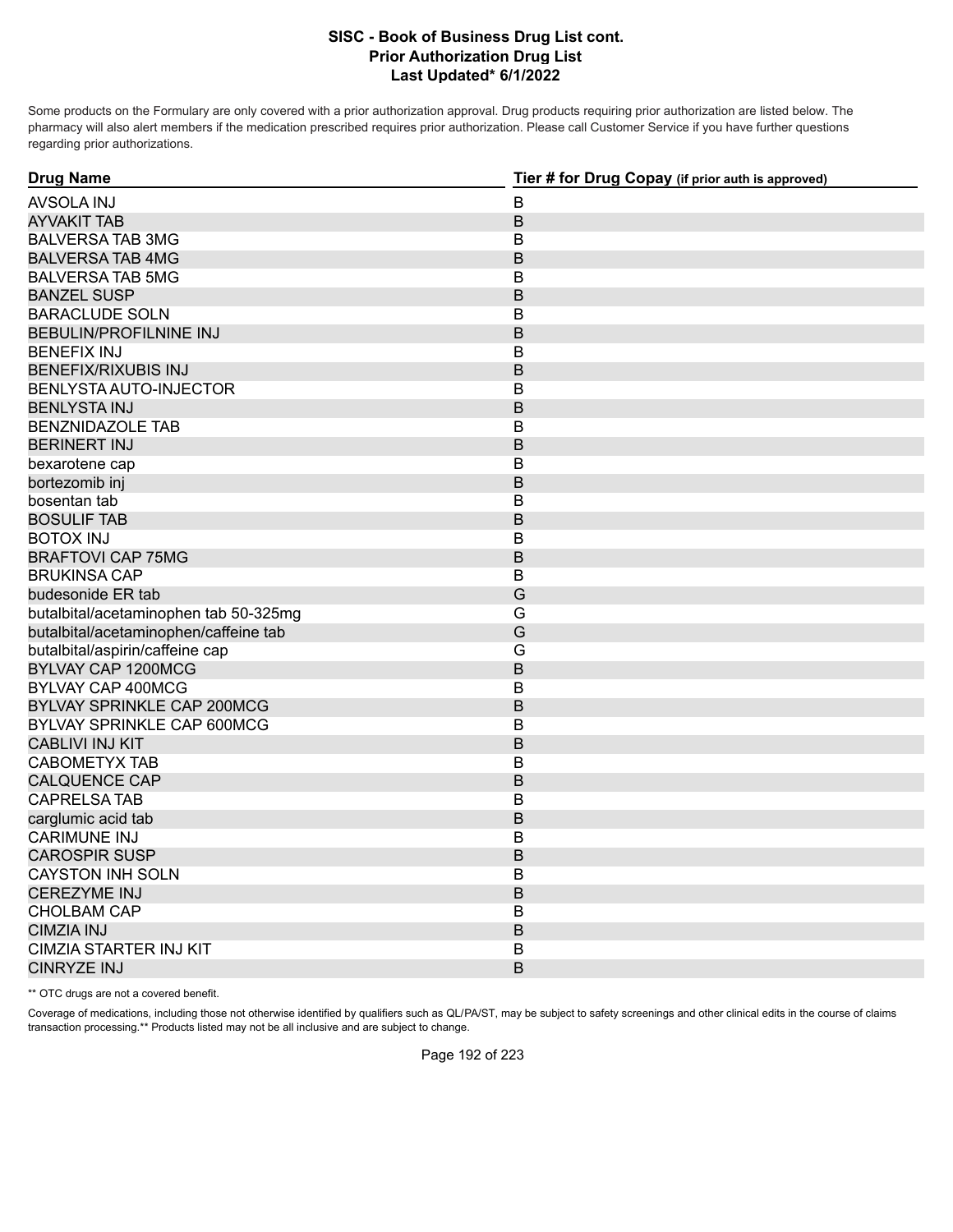Some products on the Formulary are only covered with a prior authorization approval. Drug products requiring prior authorization are listed below. The pharmacy will also alert members if the medication prescribed requires prior authorization. Please call Customer Service if you have further questions regarding prior authorizations.

| <b>Drug Name</b>                      | Tier # for Drug Copay (if prior auth is approved) |
|---------------------------------------|---------------------------------------------------|
| <b>AVSOLA INJ</b>                     | $\overline{B}$                                    |
| <b>AYVAKIT TAB</b>                    | B                                                 |
| <b>BALVERSA TAB 3MG</b>               | B                                                 |
| <b>BALVERSA TAB 4MG</b>               | B                                                 |
| <b>BALVERSA TAB 5MG</b>               | $\overline{B}$                                    |
| <b>BANZEL SUSP</b>                    | $\overline{B}$                                    |
| <b>BARACLUDE SOLN</b>                 | В                                                 |
| <b>BEBULIN/PROFILNINE INJ</b>         | B                                                 |
| <b>BENEFIX INJ</b>                    | В                                                 |
| <b>BENEFIX/RIXUBIS INJ</b>            | B                                                 |
| BENLYSTA AUTO-INJECTOR                | В                                                 |
| <b>BENLYSTA INJ</b>                   | B                                                 |
| <b>BENZNIDAZOLE TAB</b>               | $\overline{B}$                                    |
| <b>BERINERT INJ</b>                   | B                                                 |
| bexarotene cap                        | $\mathsf B$                                       |
| bortezomib inj                        | $\overline{B}$                                    |
| bosentan tab                          | B                                                 |
| <b>BOSULIF TAB</b>                    | B                                                 |
| <b>BOTOX INJ</b>                      | $\overline{B}$                                    |
| <b>BRAFTOVI CAP 75MG</b>              | B                                                 |
| <b>BRUKINSA CAP</b>                   | B                                                 |
| budesonide ER tab                     | G                                                 |
| butalbital/acetaminophen tab 50-325mg | G                                                 |
| butalbital/acetaminophen/caffeine tab | G                                                 |
| butalbital/aspirin/caffeine cap       | G                                                 |
| <b>BYLVAY CAP 1200MCG</b>             | B                                                 |
| BYLVAY CAP 400MCG                     | В                                                 |
| <b>BYLVAY SPRINKLE CAP 200MCG</b>     | B                                                 |
| BYLVAY SPRINKLE CAP 600MCG            | B                                                 |
| <b>CABLIVI INJ KIT</b>                | B                                                 |
| <b>CABOMETYX TAB</b>                  | $\overline{B}$                                    |
| <b>CALQUENCE CAP</b>                  | B                                                 |
| <b>CAPRELSA TAB</b>                   | $\overline{B}$                                    |
| carglumic acid tab                    | B                                                 |
| <b>CARIMUNE INJ</b>                   | В                                                 |
| <b>CAROSPIR SUSP</b>                  | B                                                 |
| <b>CAYSTON INH SOLN</b>               | В                                                 |
| <b>CEREZYME INJ</b>                   | B                                                 |
| <b>CHOLBAM CAP</b>                    | Β                                                 |
| <b>CIMZIA INJ</b>                     | B                                                 |
| <b>CIMZIA STARTER INJ KIT</b>         | В                                                 |
| <b>CINRYZE INJ</b>                    | B                                                 |

\*\* OTC drugs are not a covered benefit.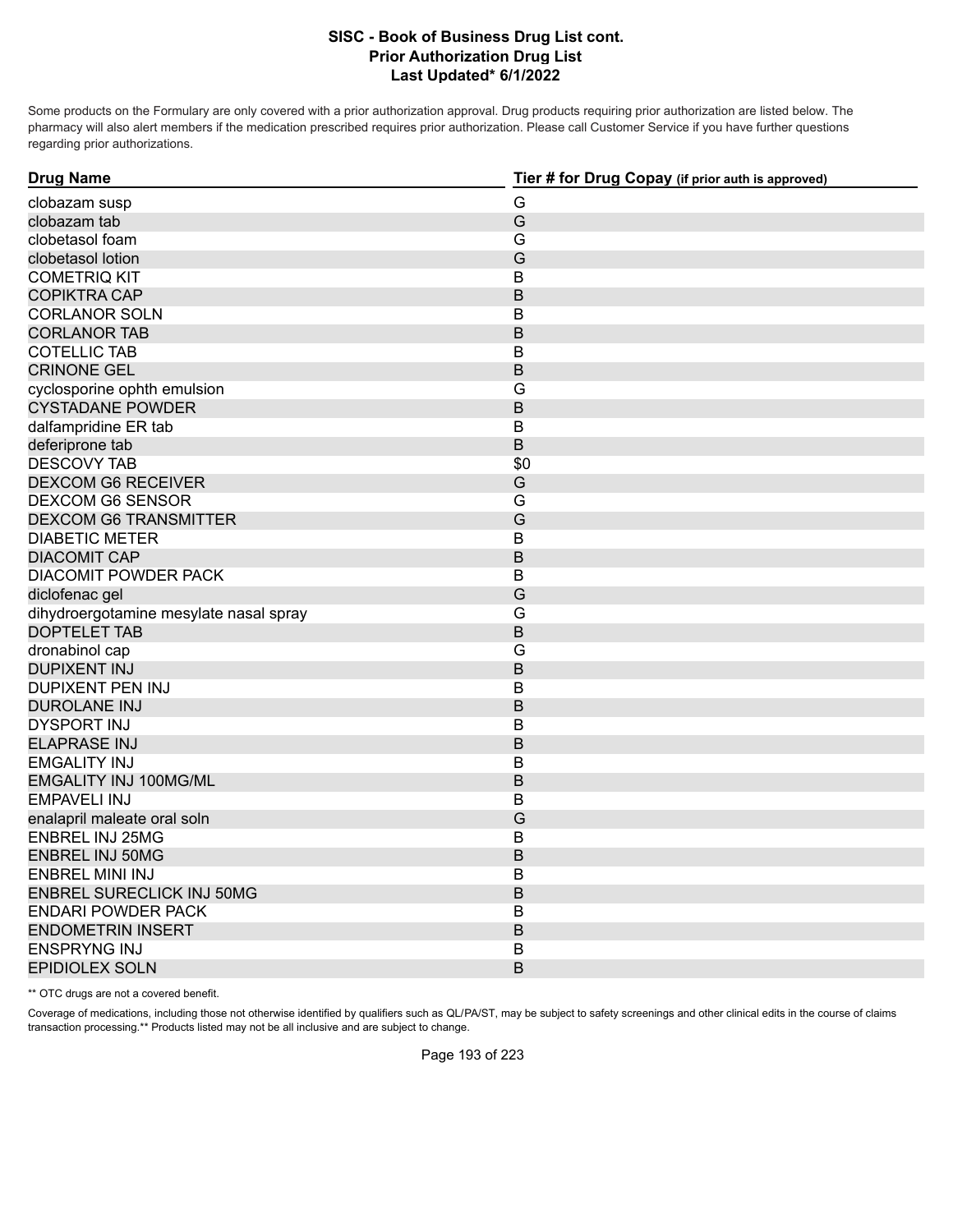Some products on the Formulary are only covered with a prior authorization approval. Drug products requiring prior authorization are listed below. The pharmacy will also alert members if the medication prescribed requires prior authorization. Please call Customer Service if you have further questions regarding prior authorizations.

| <b>Drug Name</b>                       | Tier # for Drug Copay (if prior auth is approved) |
|----------------------------------------|---------------------------------------------------|
| clobazam susp                          | G                                                 |
| clobazam tab                           | G                                                 |
| clobetasol foam                        | G                                                 |
| clobetasol lotion                      | G                                                 |
| <b>COMETRIQ KIT</b>                    | $\overline{B}$                                    |
| <b>COPIKTRA CAP</b>                    | B                                                 |
| <b>CORLANOR SOLN</b>                   | В                                                 |
| <b>CORLANOR TAB</b>                    | B                                                 |
| <b>COTELLIC TAB</b>                    | $\mathsf B$                                       |
| <b>CRINONE GEL</b>                     | B                                                 |
| cyclosporine ophth emulsion            | G                                                 |
| <b>CYSTADANE POWDER</b>                | B                                                 |
| dalfampridine ER tab                   | $\mathsf B$                                       |
| deferiprone tab                        | $\sf B$                                           |
| <b>DESCOVY TAB</b>                     | \$0                                               |
| <b>DEXCOM G6 RECEIVER</b>              | G                                                 |
| <b>DEXCOM G6 SENSOR</b>                | G                                                 |
| <b>DEXCOM G6 TRANSMITTER</b>           | G                                                 |
| <b>DIABETIC METER</b>                  | $\overline{B}$                                    |
| <b>DIACOMIT CAP</b>                    | B                                                 |
| <b>DIACOMIT POWDER PACK</b>            | B                                                 |
| diclofenac gel                         | G                                                 |
| dihydroergotamine mesylate nasal spray | G                                                 |
| <b>DOPTELET TAB</b>                    | $\overline{B}$                                    |
| dronabinol cap                         | G                                                 |
| <b>DUPIXENT INJ</b>                    | B                                                 |
| <b>DUPIXENT PEN INJ</b>                | B                                                 |
| <b>DUROLANE INJ</b>                    | B                                                 |
| DYSPORT INJ                            | В                                                 |
| <b>ELAPRASE INJ</b>                    | B                                                 |
| <b>EMGALITY INJ</b>                    | B                                                 |
| <b>EMGALITY INJ 100MG/ML</b>           | B                                                 |
| <b>EMPAVELI INJ</b>                    | $\overline{B}$                                    |
| enalapril maleate oral soln            | G                                                 |
| <b>ENBREL INJ 25MG</b>                 | $\mathsf B$                                       |
| <b>ENBREL INJ 50MG</b>                 | B                                                 |
| ENBREL MINI INJ                        | В                                                 |
| <b>ENBREL SURECLICK INJ 50MG</b>       | B                                                 |
| <b>ENDARI POWDER PACK</b>              | B                                                 |
| <b>ENDOMETRIN INSERT</b>               | B                                                 |
| <b>ENSPRYNG INJ</b>                    | В                                                 |
| <b>EPIDIOLEX SOLN</b>                  | B                                                 |

\*\* OTC drugs are not a covered benefit.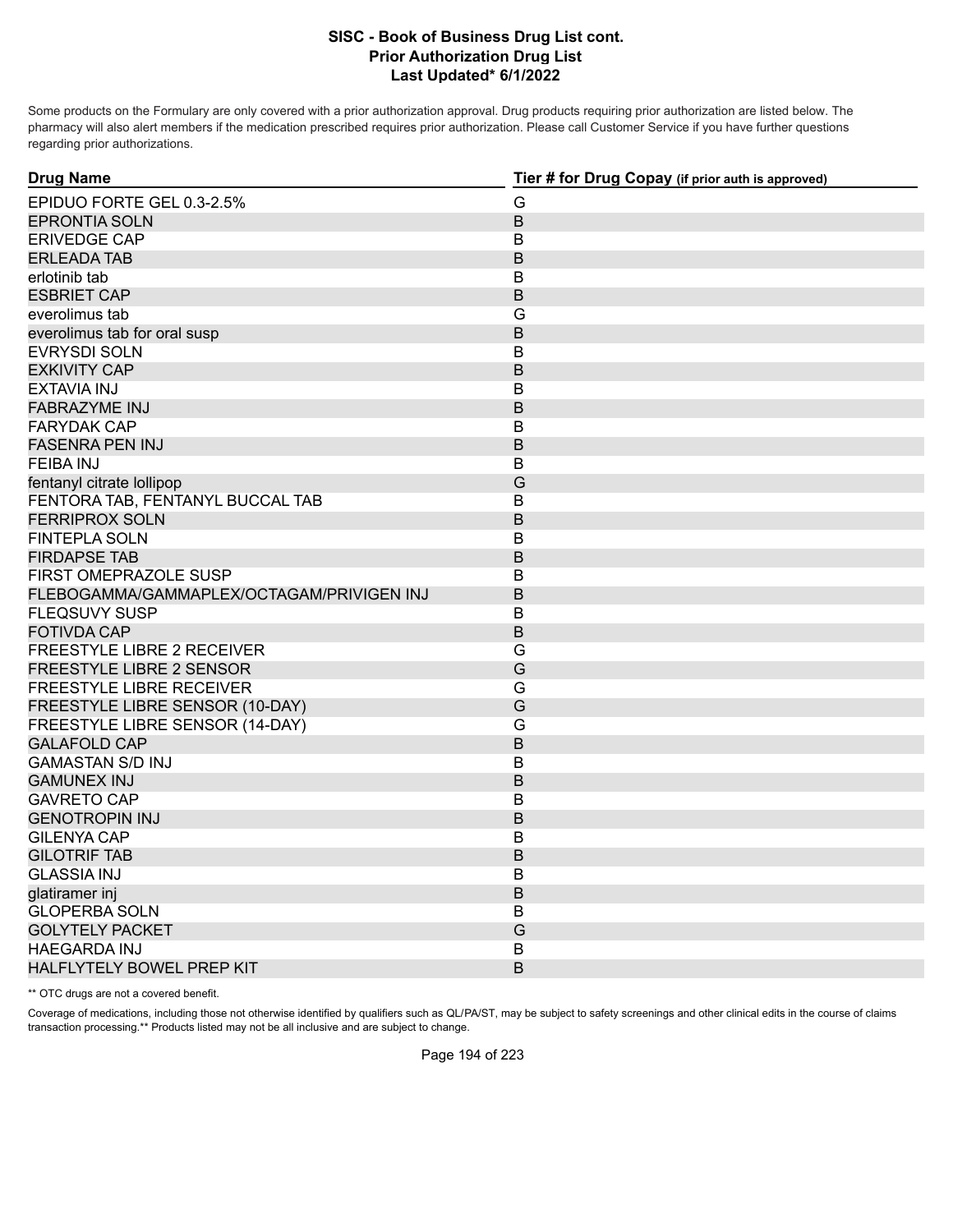Some products on the Formulary are only covered with a prior authorization approval. Drug products requiring prior authorization are listed below. The pharmacy will also alert members if the medication prescribed requires prior authorization. Please call Customer Service if you have further questions regarding prior authorizations.

| <b>Drug Name</b>                          | Tier # for Drug Copay (if prior auth is approved) |
|-------------------------------------------|---------------------------------------------------|
| EPIDUO FORTE GEL 0.3-2.5%                 | G                                                 |
| <b>EPRONTIA SOLN</b>                      | $\sf B$                                           |
| <b>ERIVEDGE CAP</b>                       | В                                                 |
| <b>ERLEADA TAB</b>                        | B                                                 |
| erlotinib tab                             | B                                                 |
| <b>ESBRIET CAP</b>                        | $\mathsf B$                                       |
| everolimus tab                            | G                                                 |
| everolimus tab for oral susp              | B                                                 |
| <b>EVRYSDI SOLN</b>                       | B                                                 |
| <b>EXKIVITY CAP</b>                       | B                                                 |
| <b>EXTAVIA INJ</b>                        | $\mathsf B$                                       |
| <b>FABRAZYME INJ</b>                      | $\mathsf B$                                       |
| <b>FARYDAK CAP</b>                        | B                                                 |
| <b>FASENRA PEN INJ</b>                    | $\mathsf B$                                       |
| <b>FEIBA INJ</b>                          | В                                                 |
| fentanyl citrate lollipop                 | G                                                 |
| FENTORA TAB, FENTANYL BUCCAL TAB          | B                                                 |
| <b>FERRIPROX SOLN</b>                     | $\mathsf B$                                       |
| <b>FINTEPLA SOLN</b>                      | в                                                 |
| <b>FIRDAPSE TAB</b>                       | $\mathsf B$                                       |
| FIRST OMEPRAZOLE SUSP                     | B                                                 |
| FLEBOGAMMA/GAMMAPLEX/OCTAGAM/PRIVIGEN INJ | B                                                 |
| <b>FLEQSUVY SUSP</b>                      | $\mathsf B$                                       |
| <b>FOTIVDA CAP</b>                        | $\mathsf B$                                       |
| <b>FREESTYLE LIBRE 2 RECEIVER</b>         | G                                                 |
| FREESTYLE LIBRE 2 SENSOR                  | G                                                 |
| <b>FREESTYLE LIBRE RECEIVER</b>           | G                                                 |
| FREESTYLE LIBRE SENSOR (10-DAY)           | G                                                 |
| FREESTYLE LIBRE SENSOR (14-DAY)           | G                                                 |
| <b>GALAFOLD CAP</b>                       | $\overline{B}$                                    |
| <b>GAMASTAN S/D INJ</b>                   | B                                                 |
| <b>GAMUNEX INJ</b>                        | $\mathsf B$                                       |
| <b>GAVRETO CAP</b>                        | B                                                 |
| <b>GENOTROPIN INJ</b>                     | $\mathsf B$                                       |
| <b>GILENYA CAP</b>                        | в                                                 |
| <b>GILOTRIF TAB</b>                       | $\mathsf B$                                       |
| <b>GLASSIA INJ</b>                        | B                                                 |
| glatiramer inj                            | $\mathsf B$                                       |
| <b>GLOPERBA SOLN</b>                      | B                                                 |
| <b>GOLYTELY PACKET</b>                    | G                                                 |
| <b>HAEGARDA INJ</b>                       | В                                                 |
| HALFLYTELY BOWEL PREP KIT                 | B                                                 |

\*\* OTC drugs are not a covered benefit.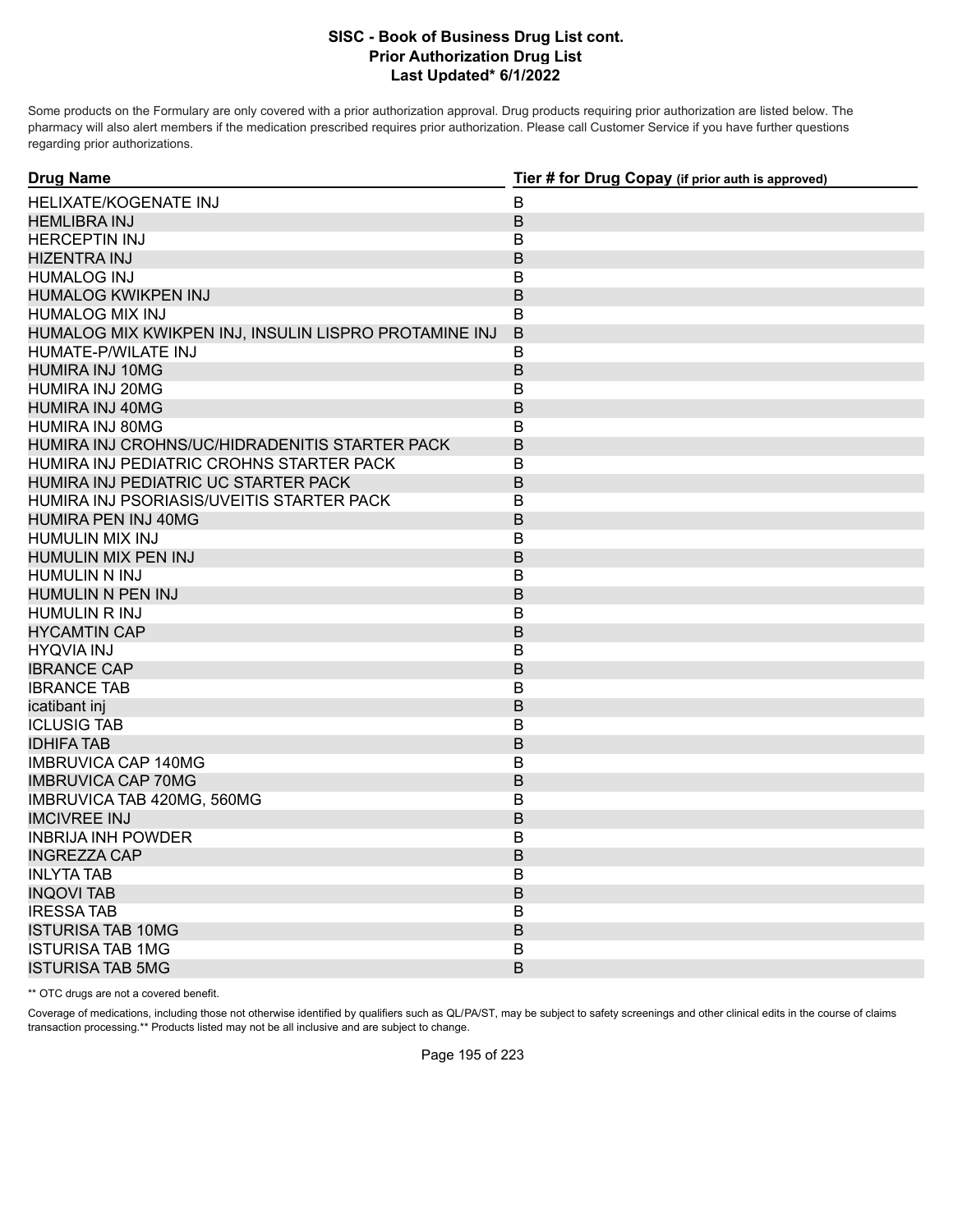Some products on the Formulary are only covered with a prior authorization approval. Drug products requiring prior authorization are listed below. The pharmacy will also alert members if the medication prescribed requires prior authorization. Please call Customer Service if you have further questions regarding prior authorizations.

| <b>Drug Name</b>                                      | Tier # for Drug Copay (if prior auth is approved) |
|-------------------------------------------------------|---------------------------------------------------|
| <b>HELIXATE/KOGENATE INJ</b>                          | B                                                 |
| <b>HEMLIBRA INJ</b>                                   | $\mathsf B$                                       |
| <b>HERCEPTIN INJ</b>                                  | B                                                 |
| <b>HIZENTRA INJ</b>                                   | B                                                 |
| <b>HUMALOG INJ</b>                                    | B                                                 |
| HUMALOG KWIKPEN INJ                                   | B                                                 |
| <b>HUMALOG MIX INJ</b>                                | B                                                 |
| HUMALOG MIX KWIKPEN INJ, INSULIN LISPRO PROTAMINE INJ | B                                                 |
| HUMATE-P/WILATE INJ                                   | B                                                 |
| <b>HUMIRA INJ 10MG</b>                                | B                                                 |
| <b>HUMIRA INJ 20MG</b>                                | В                                                 |
| HUMIRA INJ 40MG                                       | B                                                 |
| HUMIRA INJ 80MG                                       | В                                                 |
| HUMIRA INJ CROHNS/UC/HIDRADENITIS STARTER PACK        | B                                                 |
| HUMIRA INJ PEDIATRIC CROHNS STARTER PACK              | В                                                 |
| HUMIRA INJ PEDIATRIC UC STARTER PACK                  | $\mathsf B$                                       |
| HUMIRA INJ PSORIASIS/UVEITIS STARTER PACK             | B                                                 |
| HUMIRA PEN INJ 40MG                                   | B                                                 |
| <b>HUMULIN MIX INJ</b>                                | B                                                 |
| HUMULIN MIX PEN INJ                                   | $\mathsf B$                                       |
| <b>HUMULIN N INJ</b>                                  | B                                                 |
| HUMULIN N PEN INJ                                     | B                                                 |
| <b>HUMULIN R INJ</b>                                  | B                                                 |
| <b>HYCAMTIN CAP</b>                                   | B                                                 |
| <b>HYQVIA INJ</b>                                     | B                                                 |
| <b>IBRANCE CAP</b>                                    | B                                                 |
| <b>IBRANCE TAB</b>                                    | B                                                 |
| icatibant inj                                         | B                                                 |
| <b>ICLUSIG TAB</b>                                    | B                                                 |
| <b>IDHIFA TAB</b>                                     | B                                                 |
| <b>IMBRUVICA CAP 140MG</b>                            | B                                                 |
| <b>IMBRUVICA CAP 70MG</b>                             | B                                                 |
| IMBRUVICA TAB 420MG, 560MG                            | В                                                 |
| <b>IMCIVREE INJ</b>                                   | $\sf B$                                           |
| <b>INBRIJA INH POWDER</b>                             | B                                                 |
| <b>INGREZZA CAP</b>                                   | B                                                 |
| <b>INLYTA TAB</b>                                     | B                                                 |
| <b>INQOVI TAB</b>                                     | $\mathsf B$                                       |
| <b>IRESSATAB</b>                                      | B                                                 |
| <b>ISTURISA TAB 10MG</b>                              | B                                                 |
| <b>ISTURISA TAB 1MG</b>                               | B                                                 |
| <b>ISTURISA TAB 5MG</b>                               | B                                                 |

\*\* OTC drugs are not a covered benefit.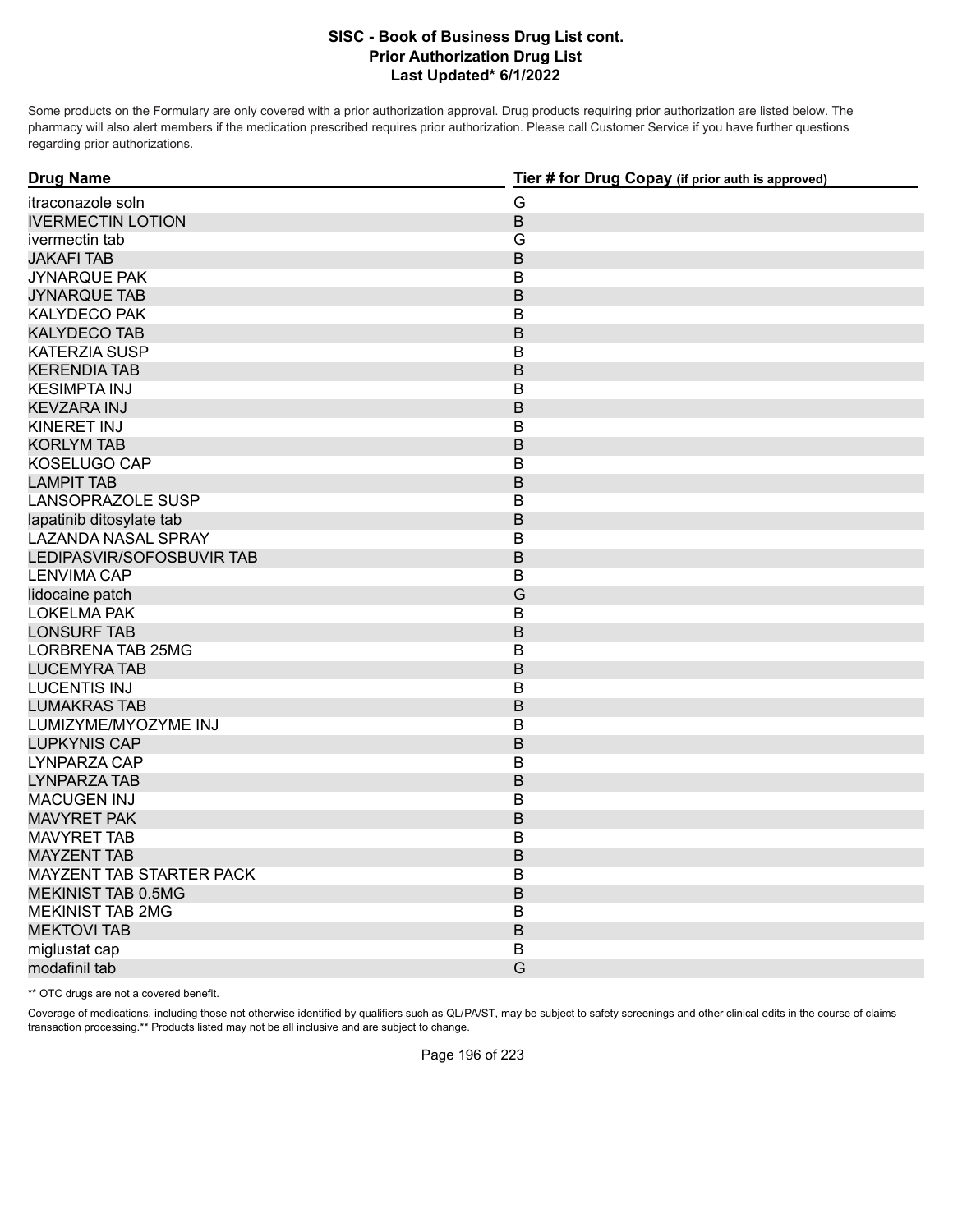Some products on the Formulary are only covered with a prior authorization approval. Drug products requiring prior authorization are listed below. The pharmacy will also alert members if the medication prescribed requires prior authorization. Please call Customer Service if you have further questions regarding prior authorizations.

| <b>Drug Name</b>           | Tier # for Drug Copay (if prior auth is approved) |
|----------------------------|---------------------------------------------------|
| itraconazole soln          | G                                                 |
| <b>IVERMECTIN LOTION</b>   | B                                                 |
| ivermectin tab             | G                                                 |
| <b>JAKAFI TAB</b>          | B                                                 |
| <b>JYNARQUE PAK</b>        | B                                                 |
| <b>JYNARQUE TAB</b>        | B                                                 |
| <b>KALYDECO PAK</b>        | B                                                 |
| <b>KALYDECO TAB</b>        | B                                                 |
| <b>KATERZIA SUSP</b>       | B                                                 |
| <b>KERENDIA TAB</b>        | B                                                 |
| <b>KESIMPTA INJ</b>        | B                                                 |
| <b>KEVZARA INJ</b>         | B                                                 |
| <b>KINERET INJ</b>         | $\mathsf B$                                       |
| <b>KORLYM TAB</b>          | $\mathsf B$                                       |
| KOSELUGO CAP               | B                                                 |
| <b>LAMPIT TAB</b>          | B                                                 |
| LANSOPRAZOLE SUSP          | В                                                 |
| lapatinib ditosylate tab   | B                                                 |
| <b>LAZANDA NASAL SPRAY</b> | B                                                 |
| LEDIPASVIR/SOFOSBUVIR TAB  | B                                                 |
| LENVIMA CAP                | B                                                 |
| lidocaine patch            | G                                                 |
| <b>LOKELMA PAK</b>         | B                                                 |
| <b>LONSURF TAB</b>         | B                                                 |
| <b>LORBRENA TAB 25MG</b>   | B                                                 |
| <b>LUCEMYRA TAB</b>        | B                                                 |
| <b>LUCENTIS INJ</b>        | B                                                 |
| <b>LUMAKRAS TAB</b>        | B                                                 |
| LUMIZYME/MYOZYME INJ       | B                                                 |
| <b>LUPKYNIS CAP</b>        | B                                                 |
| <b>LYNPARZA CAP</b>        | $\mathsf B$                                       |
| <b>LYNPARZA TAB</b>        | B                                                 |
| <b>MACUGEN INJ</b>         | B                                                 |
| <b>MAVYRET PAK</b>         | B                                                 |
| <b>MAVYRET TAB</b>         | $\mathsf B$                                       |
| <b>MAYZENT TAB</b>         | B                                                 |
| MAYZENT TAB STARTER PACK   | B                                                 |
| <b>MEKINIST TAB 0.5MG</b>  | B                                                 |
| <b>MEKINIST TAB 2MG</b>    | $\overline{B}$                                    |
| <b>MEKTOVI TAB</b>         | B                                                 |
| miglustat cap              | B                                                 |
| modafinil tab              | G                                                 |

\*\* OTC drugs are not a covered benefit.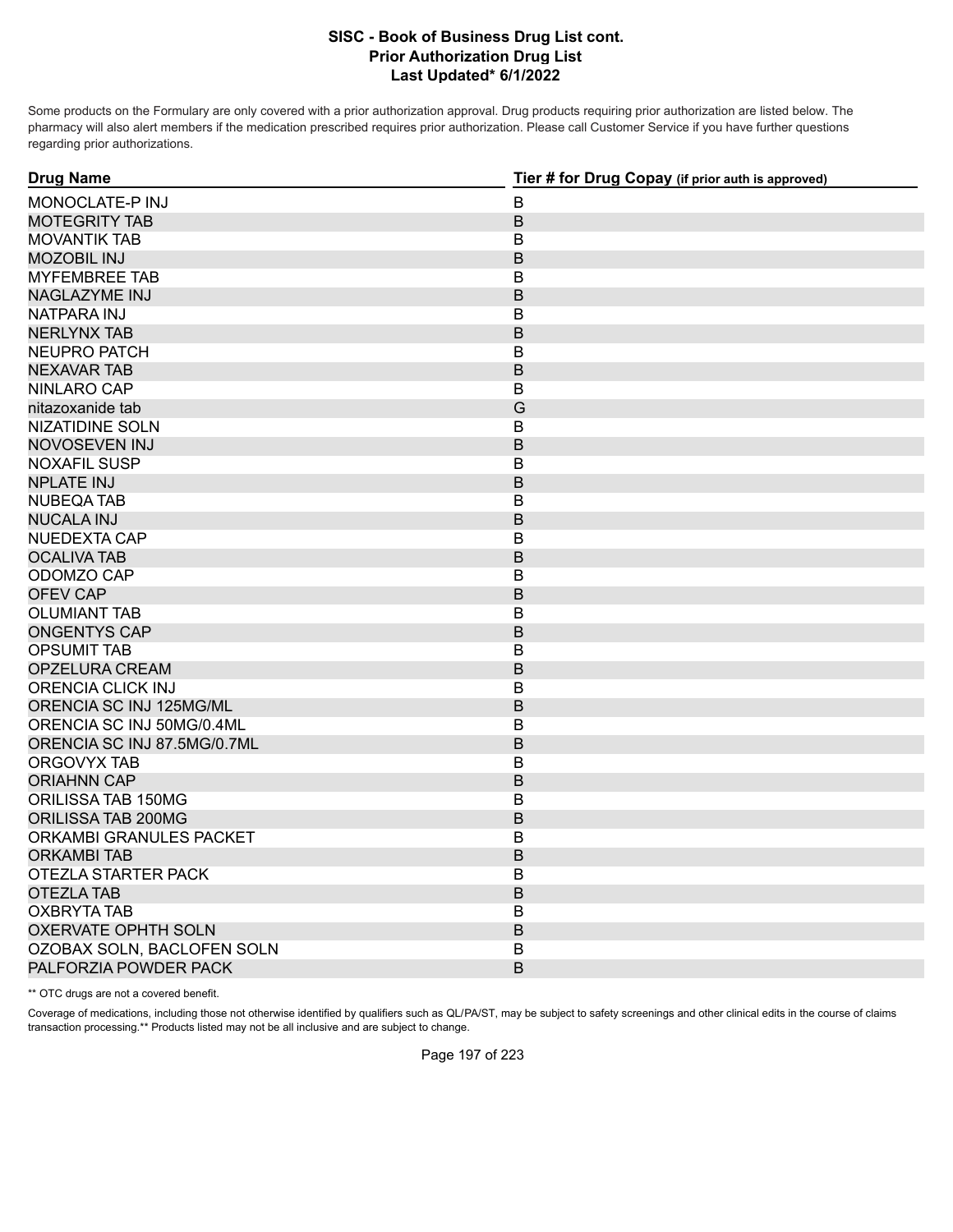Some products on the Formulary are only covered with a prior authorization approval. Drug products requiring prior authorization are listed below. The pharmacy will also alert members if the medication prescribed requires prior authorization. Please call Customer Service if you have further questions regarding prior authorizations.

| <b>Drug Name</b>            | Tier # for Drug Copay (if prior auth is approved) |
|-----------------------------|---------------------------------------------------|
| MONOCLATE-P INJ             | B                                                 |
| <b>MOTEGRITY TAB</b>        | $\sf B$                                           |
| <b>MOVANTIK TAB</b>         | B                                                 |
| <b>MOZOBIL INJ</b>          | B                                                 |
| <b>MYFEMBREE TAB</b>        | В                                                 |
| NAGLAZYME INJ               | B                                                 |
| NATPARA INJ                 | B                                                 |
| <b>NERLYNX TAB</b>          | B                                                 |
| NEUPRO PATCH                | $\mathsf B$                                       |
| <b>NEXAVAR TAB</b>          | $\sf B$                                           |
| NINLARO CAP                 | В                                                 |
| nitazoxanide tab            | G                                                 |
| <b>NIZATIDINE SOLN</b>      | В                                                 |
| NOVOSEVEN INJ               | B                                                 |
| <b>NOXAFIL SUSP</b>         | B                                                 |
| <b>NPLATE INJ</b>           | $\mathsf B$                                       |
| <b>NUBEQA TAB</b>           | B                                                 |
| <b>NUCALA INJ</b>           | B                                                 |
| NUEDEXTA CAP                | B                                                 |
| <b>OCALIVA TAB</b>          | $\mathsf B$                                       |
| ODOMZO CAP                  | B                                                 |
| <b>OFEV CAP</b>             | B                                                 |
| <b>OLUMIANT TAB</b>         | В                                                 |
| <b>ONGENTYS CAP</b>         | $\mathsf B$                                       |
| <b>OPSUMIT TAB</b>          | В                                                 |
| <b>OPZELURA CREAM</b>       | B                                                 |
| <b>ORENCIA CLICK INJ</b>    | $\mathsf B$                                       |
| ORENCIA SC INJ 125MG/ML     | $\mathsf B$                                       |
| ORENCIA SC INJ 50MG/0.4ML   | B                                                 |
| ORENCIA SC INJ 87.5MG/0.7ML | B                                                 |
| ORGOVYX TAB                 | B                                                 |
| <b>ORIAHNN CAP</b>          | B                                                 |
| ORILISSA TAB 150MG          | B                                                 |
| ORILISSA TAB 200MG          | $\mathsf B$                                       |
| ORKAMBI GRANULES PACKET     | B                                                 |
| <b>ORKAMBI TAB</b>          | B                                                 |
| <b>OTEZLA STARTER PACK</b>  | B                                                 |
| <b>OTEZLA TAB</b>           | $\mathsf B$                                       |
| <b>OXBRYTA TAB</b>          | B                                                 |
| <b>OXERVATE OPHTH SOLN</b>  | B                                                 |
| OZOBAX SOLN, BACLOFEN SOLN  | B                                                 |
| PALFORZIA POWDER PACK       | B                                                 |

\*\* OTC drugs are not a covered benefit.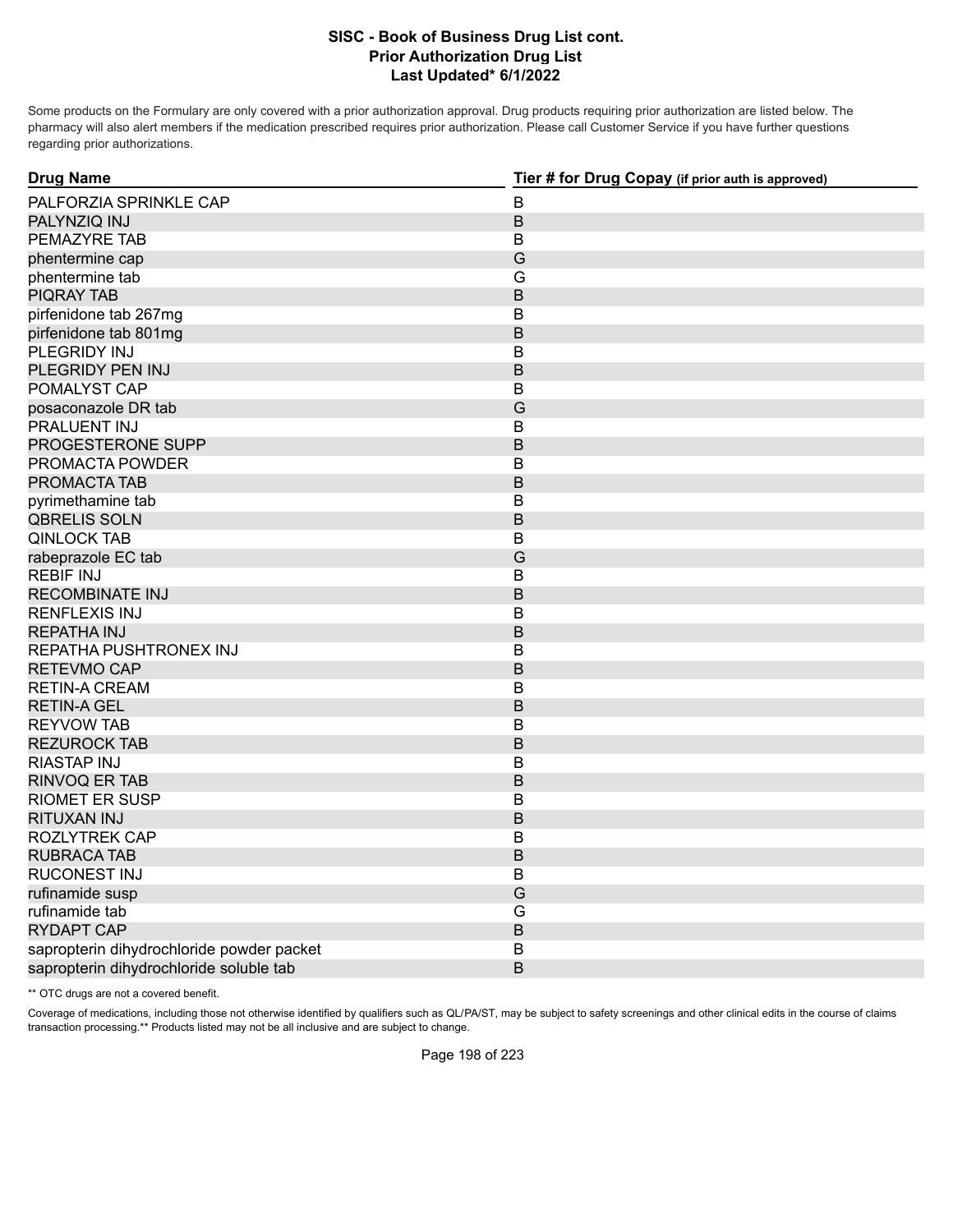Some products on the Formulary are only covered with a prior authorization approval. Drug products requiring prior authorization are listed below. The pharmacy will also alert members if the medication prescribed requires prior authorization. Please call Customer Service if you have further questions regarding prior authorizations.

| <b>Drug Name</b>                          | Tier # for Drug Copay (if prior auth is approved) |
|-------------------------------------------|---------------------------------------------------|
| PALFORZIA SPRINKLE CAP                    | B                                                 |
| PALYNZIQ INJ                              | $\sf B$                                           |
| PEMAZYRE TAB                              | B                                                 |
| phentermine cap                           | G                                                 |
| phentermine tab                           | G                                                 |
| <b>PIQRAY TAB</b>                         | B                                                 |
| pirfenidone tab 267mg                     | B                                                 |
| pirfenidone tab 801mg                     | B                                                 |
| PLEGRIDY INJ                              | В                                                 |
| PLEGRIDY PEN INJ                          | B                                                 |
| POMALYST CAP                              | В                                                 |
| posaconazole DR tab                       | G                                                 |
| PRALUENT INJ                              | B                                                 |
| PROGESTERONE SUPP                         | B                                                 |
| PROMACTA POWDER                           | B                                                 |
| PROMACTA TAB                              | B                                                 |
| pyrimethamine tab                         | B                                                 |
| <b>QBRELIS SOLN</b>                       | B                                                 |
| <b>QINLOCK TAB</b>                        | B                                                 |
| rabeprazole EC tab                        | G                                                 |
| <b>REBIF INJ</b>                          | B                                                 |
| <b>RECOMBINATE INJ</b>                    | B                                                 |
| <b>RENFLEXIS INJ</b>                      | B                                                 |
| <b>REPATHA INJ</b>                        | B                                                 |
| REPATHA PUSHTRONEX INJ                    | B                                                 |
| <b>RETEVMO CAP</b>                        | B                                                 |
| <b>RETIN-A CREAM</b>                      | В                                                 |
| <b>RETIN-A GEL</b>                        | B                                                 |
| <b>REYVOW TAB</b>                         | B                                                 |
| <b>REZUROCK TAB</b>                       | B                                                 |
| <b>RIASTAP INJ</b>                        | B                                                 |
| <b>RINVOQ ER TAB</b>                      | B                                                 |
| <b>RIOMET ER SUSP</b>                     | B                                                 |
| RITUXAN INJ                               | B                                                 |
| <b>ROZLYTREK CAP</b>                      | B                                                 |
| <b>RUBRACA TAB</b>                        | B                                                 |
| <b>RUCONEST INJ</b>                       | B                                                 |
| rufinamide susp                           | G                                                 |
| rufinamide tab                            | G                                                 |
| <b>RYDAPT CAP</b>                         | B                                                 |
| sapropterin dihydrochloride powder packet | B                                                 |
| sapropterin dihydrochloride soluble tab   | B                                                 |

\*\* OTC drugs are not a covered benefit.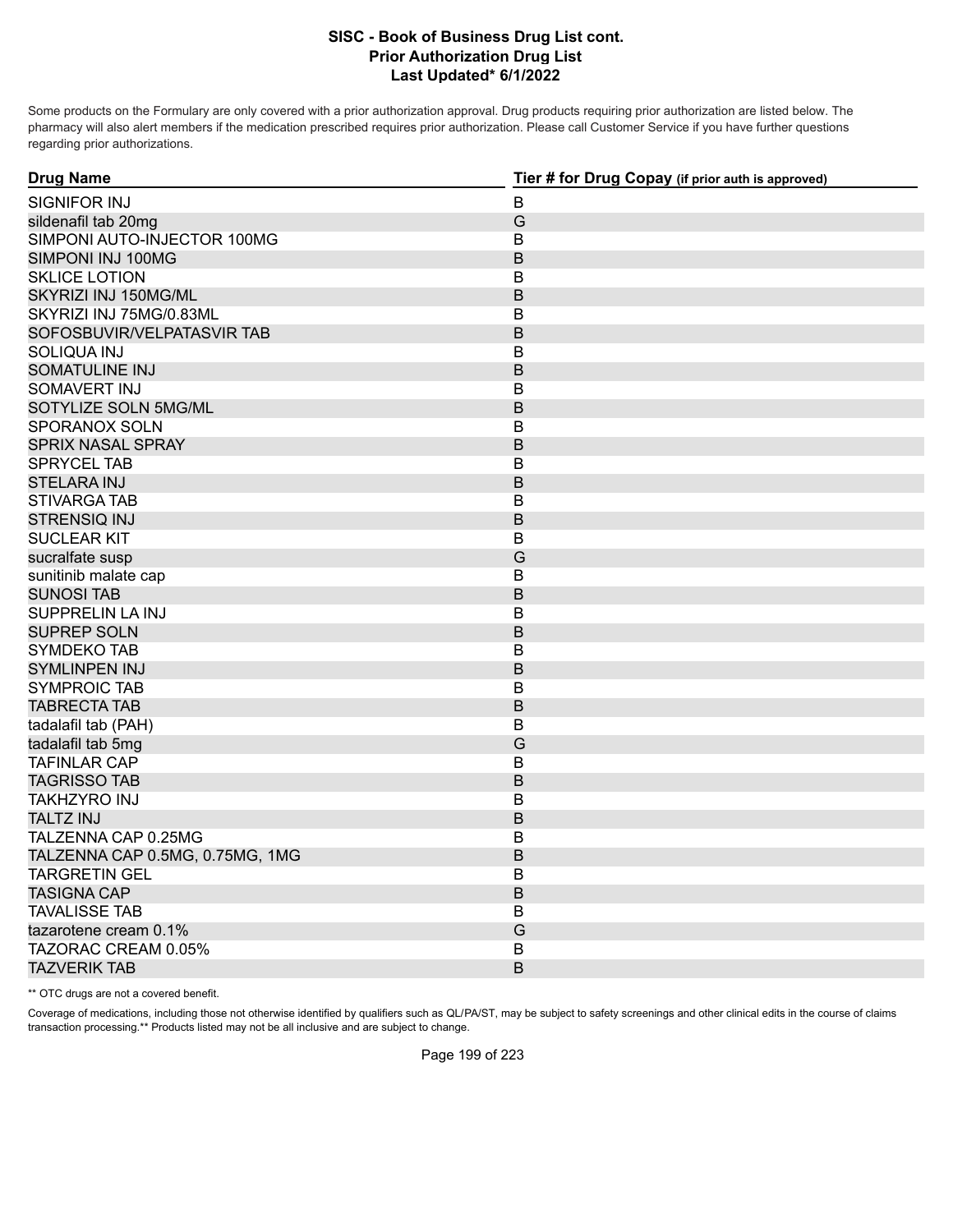Some products on the Formulary are only covered with a prior authorization approval. Drug products requiring prior authorization are listed below. The pharmacy will also alert members if the medication prescribed requires prior authorization. Please call Customer Service if you have further questions regarding prior authorizations.

| <b>Drug Name</b>                | Tier # for Drug Copay (if prior auth is approved) |
|---------------------------------|---------------------------------------------------|
| SIGNIFOR INJ                    | В                                                 |
| sildenafil tab 20mg             | G                                                 |
| SIMPONI AUTO-INJECTOR 100MG     | B                                                 |
| SIMPONI INJ 100MG               | $\mathsf B$                                       |
| <b>SKLICE LOTION</b>            | В                                                 |
| SKYRIZI INJ 150MG/ML            | $\mathsf B$                                       |
| SKYRIZI INJ 75MG/0.83ML         | B                                                 |
| SOFOSBUVIR/VELPATASVIR TAB      | B                                                 |
| <b>SOLIQUA INJ</b>              | $\overline{B}$                                    |
| <b>SOMATULINE INJ</b>           | B                                                 |
| SOMAVERT INJ                    | B                                                 |
| SOTYLIZE SOLN 5MG/ML            | B                                                 |
| SPORANOX SOLN                   | $\sf B$                                           |
| SPRIX NASAL SPRAY               | B                                                 |
| <b>SPRYCEL TAB</b>              | B                                                 |
| <b>STELARA INJ</b>              | $\mathsf B$                                       |
| <b>STIVARGA TAB</b>             | B                                                 |
| <b>STRENSIQ INJ</b>             | B                                                 |
| <b>SUCLEAR KIT</b>              | B                                                 |
| sucralfate susp                 | G                                                 |
| sunitinib malate cap            | B                                                 |
| <b>SUNOSI TAB</b>               | B                                                 |
| SUPPRELIN LA INJ                | B                                                 |
| <b>SUPREP SOLN</b>              | B                                                 |
| <b>SYMDEKO TAB</b>              | B                                                 |
| <b>SYMLINPEN INJ</b>            | B                                                 |
| <b>SYMPROIC TAB</b>             | В                                                 |
| <b>TABRECTA TAB</b>             | B                                                 |
| tadalafil tab (PAH)             | В                                                 |
| tadalafil tab 5mg               | G                                                 |
| <b>TAFINLAR CAP</b>             | $\sf B$                                           |
| <b>TAGRISSO TAB</b>             | $\mathsf B$                                       |
| TAKHZYRO INJ                    | B                                                 |
| <b>TALTZ INJ</b>                | $\mathsf B$                                       |
| TALZENNA CAP 0.25MG             | B                                                 |
| TALZENNA CAP 0.5MG, 0.75MG, 1MG | B                                                 |
| <b>TARGRETIN GEL</b>            | B                                                 |
| <b>TASIGNA CAP</b>              | $\mathsf B$                                       |
| <b>TAVALISSE TAB</b>            | B                                                 |
| tazarotene cream 0.1%           | G                                                 |
| TAZORAC CREAM 0.05%             | В                                                 |
| <b>TAZVERIK TAB</b>             | B                                                 |

\*\* OTC drugs are not a covered benefit.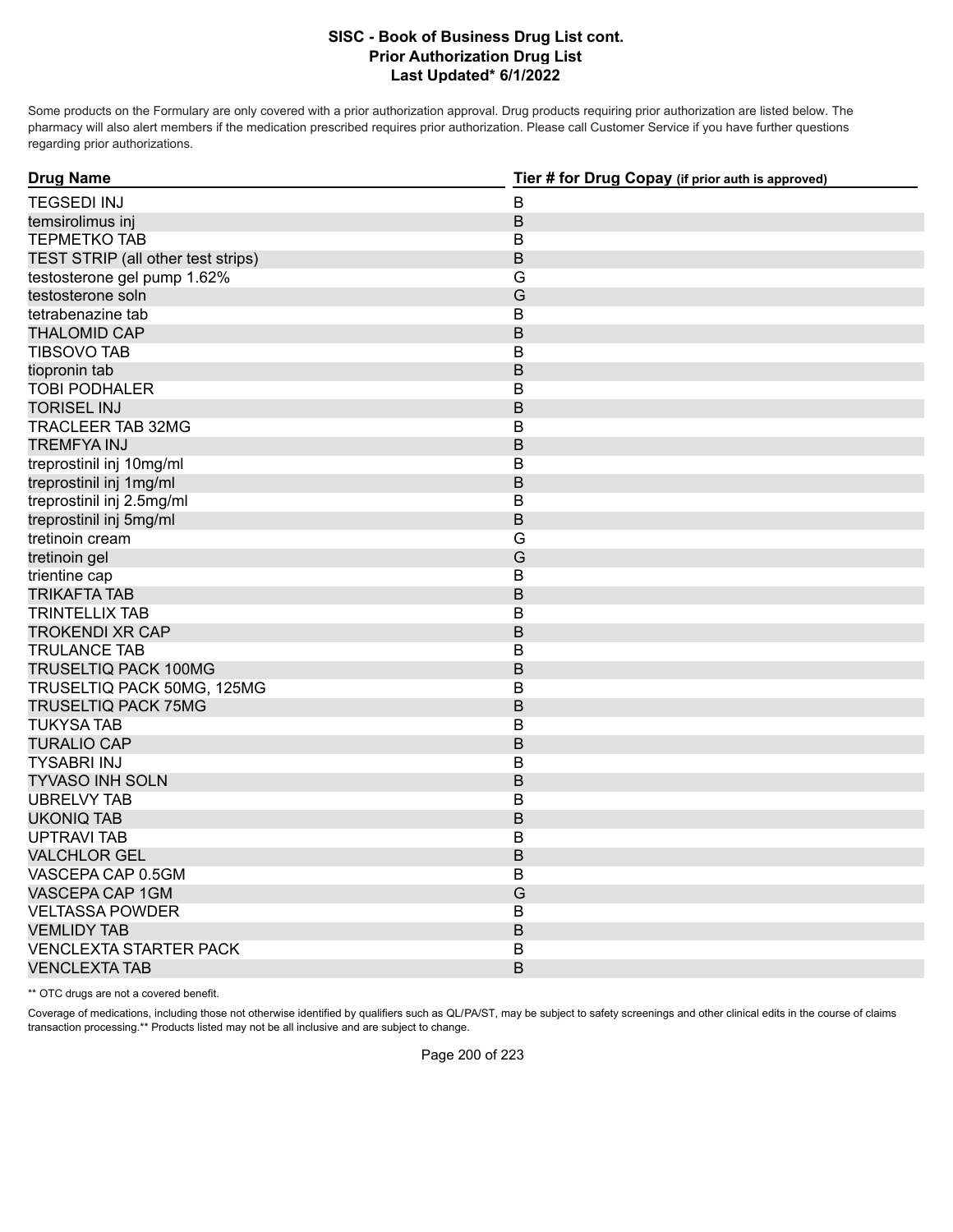Some products on the Formulary are only covered with a prior authorization approval. Drug products requiring prior authorization are listed below. The pharmacy will also alert members if the medication prescribed requires prior authorization. Please call Customer Service if you have further questions regarding prior authorizations.

| <b>Drug Name</b>                   | Tier # for Drug Copay (if prior auth is approved) |
|------------------------------------|---------------------------------------------------|
| <b>TEGSEDI INJ</b>                 | $\sf B$                                           |
| temsirolimus inj                   | $\sf B$                                           |
| <b>TEPMETKO TAB</b>                | $\sf B$                                           |
| TEST STRIP (all other test strips) | $\mathsf B$                                       |
| testosterone gel pump 1.62%        | G                                                 |
| testosterone soln                  | G                                                 |
| tetrabenazine tab                  | B                                                 |
| <b>THALOMID CAP</b>                | B                                                 |
| <b>TIBSOVO TAB</b>                 | B                                                 |
| tiopronin tab                      | $\sf B$                                           |
| <b>TOBI PODHALER</b>               | B                                                 |
| <b>TORISEL INJ</b>                 | $\sf B$                                           |
| <b>TRACLEER TAB 32MG</b>           | $\sf B$                                           |
| <b>TREMFYA INJ</b>                 | $\sf B$                                           |
| treprostinil inj 10mg/ml           | B                                                 |
| treprostinil inj 1mg/ml            | $\sf B$                                           |
| treprostinil inj 2.5mg/ml          | B                                                 |
| treprostinil inj 5mg/ml            | $\sf B$                                           |
| tretinoin cream                    | G                                                 |
| tretinoin gel                      | G                                                 |
| trientine cap                      | B                                                 |
| <b>TRIKAFTA TAB</b>                | B                                                 |
| <b>TRINTELLIX TAB</b>              | B                                                 |
| <b>TROKENDI XR CAP</b>             | $\mathsf B$                                       |
| <b>TRULANCE TAB</b>                | В                                                 |
| TRUSELTIQ PACK 100MG               | $\mathsf B$                                       |
| TRUSELTIQ PACK 50MG, 125MG         | $\sf B$                                           |
| <b>TRUSELTIQ PACK 75MG</b>         | $\sf B$                                           |
| <b>TUKYSA TAB</b>                  | B                                                 |
| <b>TURALIO CAP</b>                 | $\mathsf B$                                       |
| <b>TYSABRI INJ</b>                 | B                                                 |
| <b>TYVASO INH SOLN</b>             | $\mathsf B$                                       |
| <b>UBRELVY TAB</b>                 | B                                                 |
| <b>UKONIQ TAB</b>                  | $\mathsf B$                                       |
| <b>UPTRAVI TAB</b>                 | B                                                 |
| <b>VALCHLOR GEL</b>                | $\mathsf B$                                       |
| VASCEPA CAP 0.5GM                  | B                                                 |
| VASCEPA CAP 1GM                    | G                                                 |
| <b>VELTASSA POWDER</b>             | $\sf B$                                           |
| <b>VEMLIDY TAB</b>                 | B                                                 |
| <b>VENCLEXTA STARTER PACK</b>      | B                                                 |
| <b>VENCLEXTA TAB</b>               | B                                                 |

\*\* OTC drugs are not a covered benefit.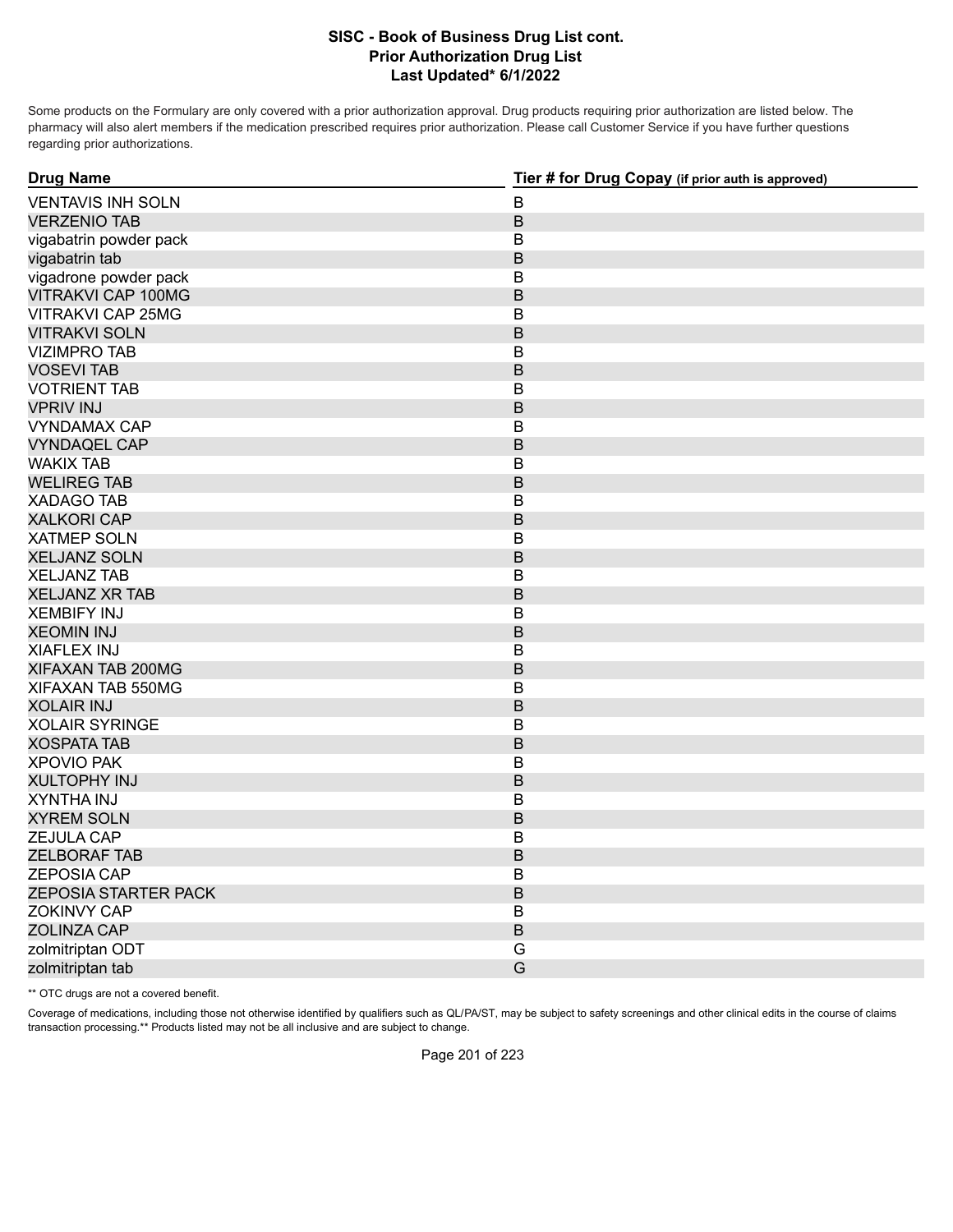Some products on the Formulary are only covered with a prior authorization approval. Drug products requiring prior authorization are listed below. The pharmacy will also alert members if the medication prescribed requires prior authorization. Please call Customer Service if you have further questions regarding prior authorizations.

| <b>Drug Name</b>            | Tier # for Drug Copay (if prior auth is approved) |
|-----------------------------|---------------------------------------------------|
| <b>VENTAVIS INH SOLN</b>    | $\mathsf B$                                       |
| <b>VERZENIO TAB</b>         | $\sf B$                                           |
| vigabatrin powder pack      | В                                                 |
| vigabatrin tab              | $\mathsf B$                                       |
| vigadrone powder pack       | B                                                 |
| VITRAKVI CAP 100MG          | $\mathsf B$                                       |
| <b>VITRAKVI CAP 25MG</b>    | $\mathsf B$                                       |
| <b>VITRAKVI SOLN</b>        | $\mathsf B$                                       |
| <b>VIZIMPRO TAB</b>         | $\mathsf B$                                       |
| <b>VOSEVI TAB</b>           | $\mathsf B$                                       |
| <b>VOTRIENT TAB</b>         | $\sf B$                                           |
| <b>VPRIV INJ</b>            | $\mathsf B$                                       |
| <b>VYNDAMAX CAP</b>         | B                                                 |
| <b>VYNDAQEL CAP</b>         | $\mathsf B$                                       |
| <b>WAKIX TAB</b>            | $\mathsf B$                                       |
| <b>WELIREG TAB</b>          | $\sf B$                                           |
| <b>XADAGO TAB</b>           | $\mathsf B$                                       |
| <b>XALKORI CAP</b>          | $\mathsf B$                                       |
| <b>XATMEP SOLN</b>          | В                                                 |
| <b>XELJANZ SOLN</b>         | $\mathsf B$                                       |
| <b>XELJANZ TAB</b>          | B                                                 |
| <b>XELJANZ XR TAB</b>       | $\mathsf B$                                       |
| <b>XEMBIFY INJ</b>          | $\mathsf B$                                       |
| <b>XEOMIN INJ</b>           | $\sf B$                                           |
| <b>XIAFLEX INJ</b>          | $\mathsf B$                                       |
| XIFAXAN TAB 200MG           | B                                                 |
| XIFAXAN TAB 550MG           | B                                                 |
| <b>XOLAIR INJ</b>           | $\mathsf B$                                       |
| <b>XOLAIR SYRINGE</b>       | B                                                 |
| <b>XOSPATA TAB</b>          | $\mathsf B$                                       |
| <b>XPOVIO PAK</b>           | $\mathsf B$                                       |
| <b>XULTOPHY INJ</b>         | $\sf B$                                           |
| XYNTHA INJ                  | $\mathsf B$                                       |
| <b>XYREM SOLN</b>           | $\mathsf B$                                       |
| ZEJULA CAP                  | B                                                 |
| <b>ZELBORAF TAB</b>         | $\mathsf B$                                       |
| <b>ZEPOSIA CAP</b>          | B                                                 |
| <b>ZEPOSIA STARTER PACK</b> | $\overline{B}$                                    |
| <b>ZOKINVY CAP</b>          | $\mathsf B$                                       |
| <b>ZOLINZA CAP</b>          | $\sf B$                                           |
| zolmitriptan ODT            | G                                                 |
| zolmitriptan tab            | G                                                 |

\*\* OTC drugs are not a covered benefit.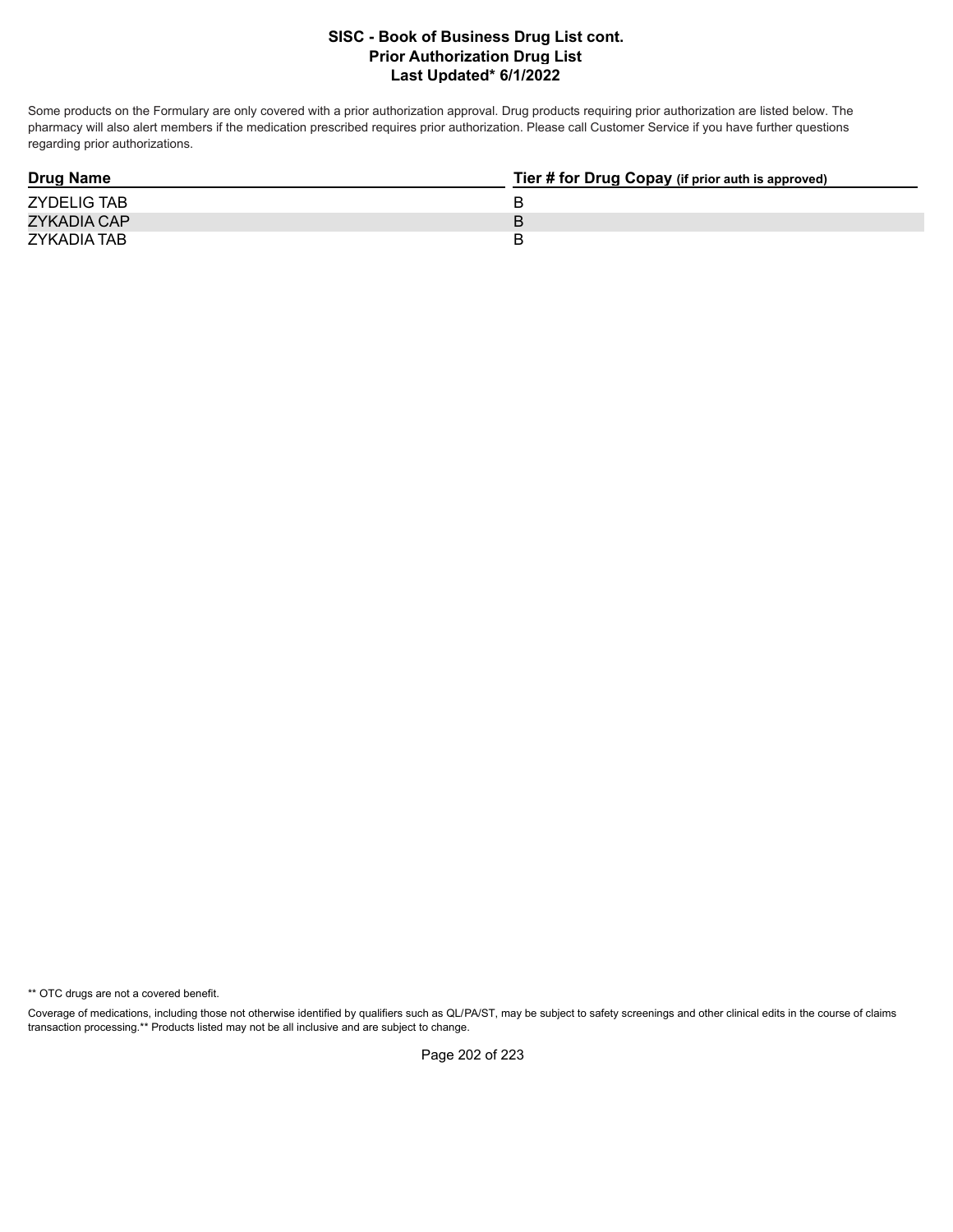Some products on the Formulary are only covered with a prior authorization approval. Drug products requiring prior authorization are listed below. The pharmacy will also alert members if the medication prescribed requires prior authorization. Please call Customer Service if you have further questions regarding prior authorizations.

| <b>Drug Name</b>   | Tier # for Drug Copay (if prior auth is approved) |
|--------------------|---------------------------------------------------|
| <b>ZYDELIG TAB</b> |                                                   |
| ZYKADIA CAP        |                                                   |
| ZYKADIA TAB        |                                                   |

\*\* OTC drugs are not a covered benefit.

Coverage of medications, including those not otherwise identified by qualifiers such as QL/PA/ST, may be subject to safety screenings and other clinical edits in the course of claims transaction processing.\*\* Products listed may not be all inclusive and are subject to change.

Page 202 of 223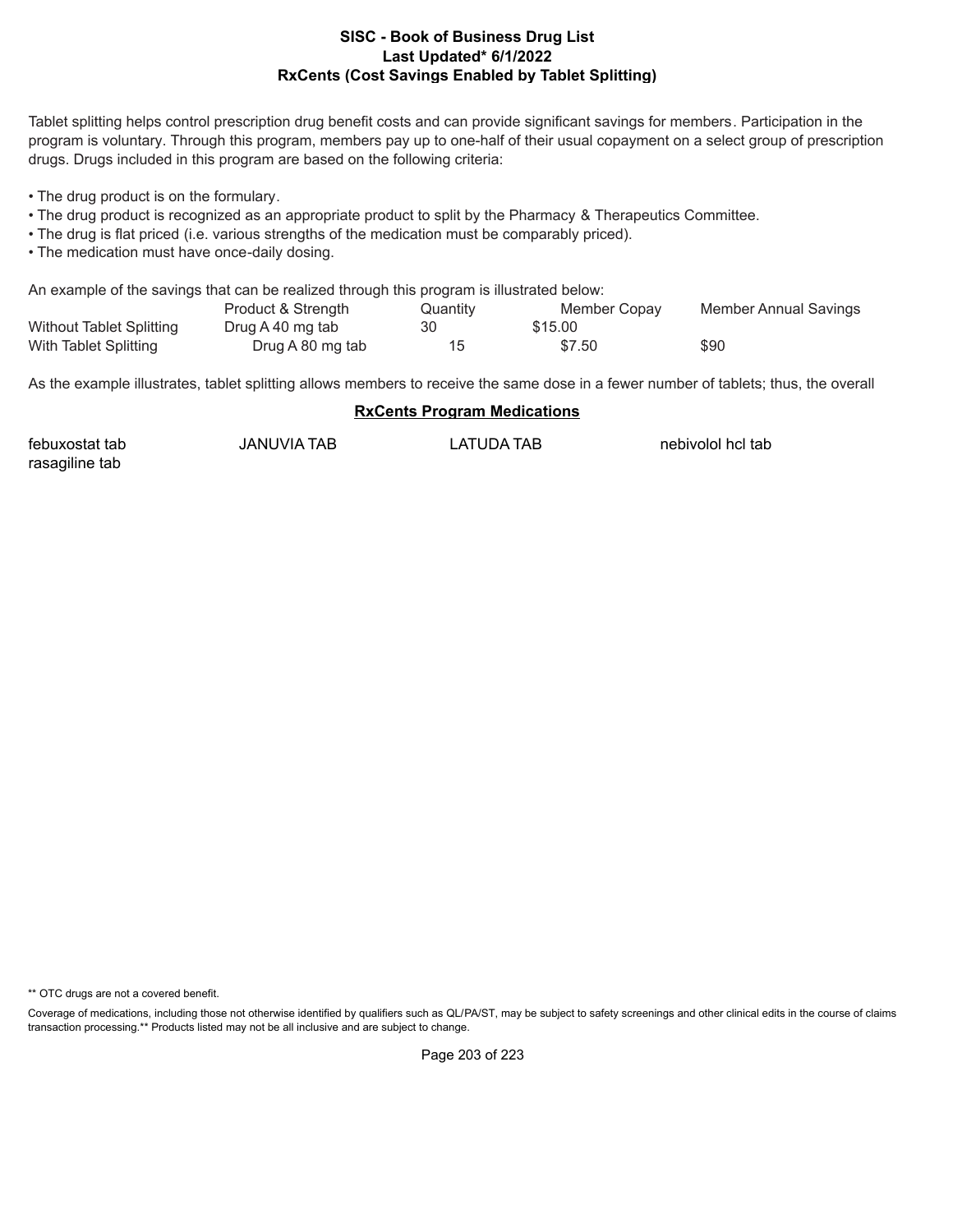#### **Last Updated\* 6/1/2022 RxCents (Cost Savings Enabled by Tablet Splitting) SISC - Book of Business Drug List**

Tablet splitting helps control prescription drug benefit costs and can provide significant savings for members. Participation in the program is voluntary. Through this program, members pay up to one-half of their usual copayment on a select group of prescription drugs. Drugs included in this program are based on the following criteria:

• The drug product is on the formulary.

- The drug product is recognized as an appropriate product to split by the Pharmacy & Therapeutics Committee.
- The drug is flat priced (i.e. various strengths of the medication must be comparably priced).
- The medication must have once-daily dosing.

An example of the savings that can be realized through this program is illustrated below:

|                                 | Product & Strength | Quantity | Member Copay | Member Annual Savings |
|---------------------------------|--------------------|----------|--------------|-----------------------|
| <b>Without Tablet Splitting</b> | Drug A 40 mg tab   | 30       | \$15.00      |                       |
| With Tablet Splitting           | Drug A 80 mg tab   |          | \$7.50       | \$90                  |

As the example illustrates, tablet splitting allows members to receive the same dose in a fewer number of tablets; thus, the overall

#### **RxCents Program Medications**

| febuxostat tab | <b>JANUVIA TAB</b> | LATUDA TAB | nebivolol hcl tab |
|----------------|--------------------|------------|-------------------|
| rasagiline tab |                    |            |                   |

\*\* OTC drugs are not a covered benefit.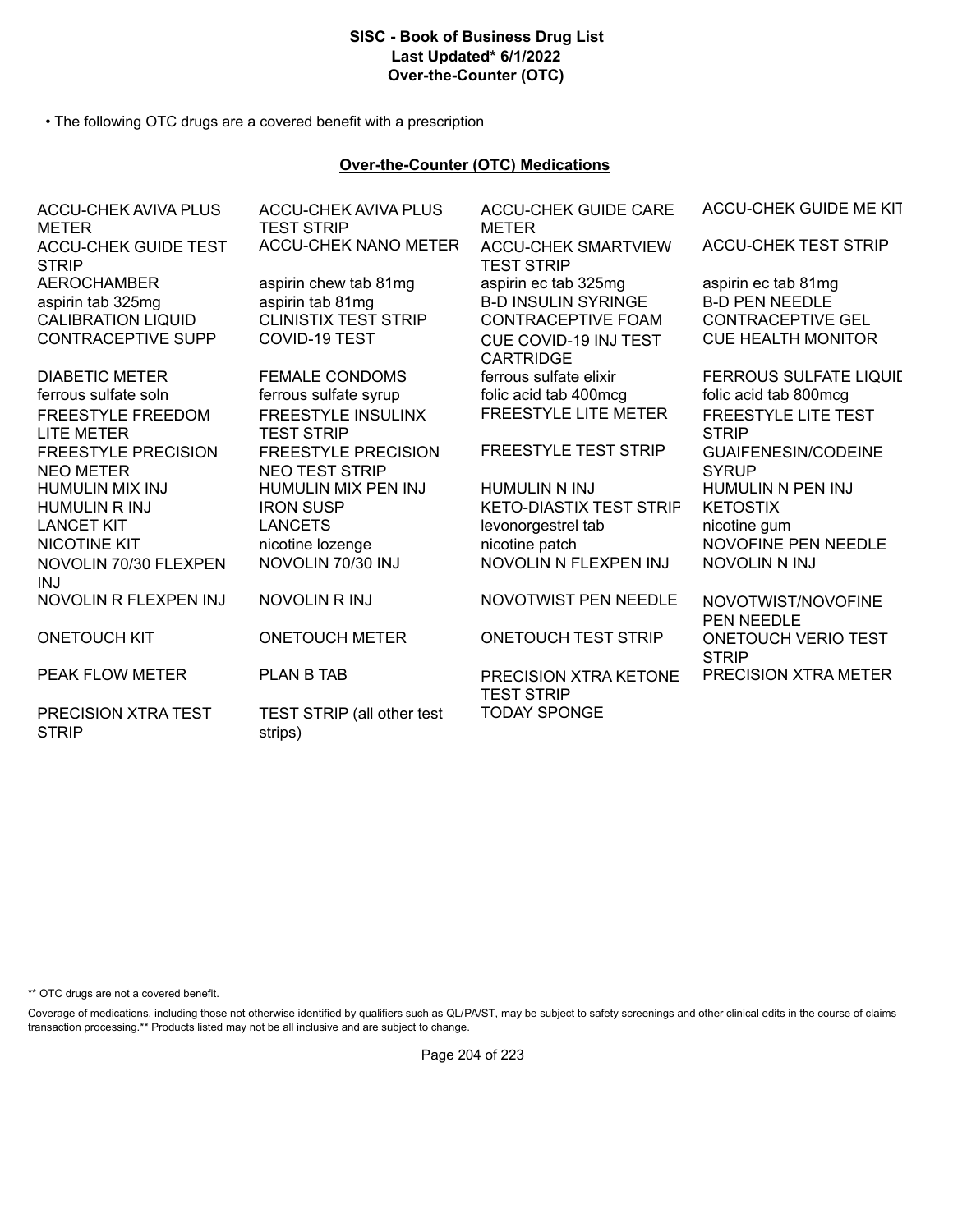# **SISC - Book of Business Drug List Last Updated\* 6/1/2022 Over-the-Counter (OTC)**

• The following OTC drugs are a covered benefit with a prescription

#### **Over-the-Counter (OTC) Medications**

| ACCU-CHEK AVIVA PLUS<br><b>METER</b>           | ACCU-CHEK AVIVA PLUS<br><b>TEST STRIP</b>           | ACCU-CHEK GUIDE CARE<br><b>METER</b>            | ACCU-CHEK GUIDE ME KIT                     |
|------------------------------------------------|-----------------------------------------------------|-------------------------------------------------|--------------------------------------------|
| <b>ACCU-CHEK GUIDE TEST</b><br><b>STRIP</b>    | <b>ACCU-CHEK NANO METER</b>                         | <b>ACCU-CHEK SMARTVIEW</b><br><b>TEST STRIP</b> | <b>ACCU-CHEK TEST STRIP</b>                |
| <b>AEROCHAMBER</b>                             | aspirin chew tab 81mg                               | aspirin ec tab 325mg                            | aspirin ec tab 81mg                        |
| aspirin tab 325mg                              | aspirin tab 81mg                                    | <b>B-D INSULIN SYRINGE</b>                      | <b>B-D PEN NEEDLE</b>                      |
| <b>CALIBRATION LIQUID</b>                      | <b>CLINISTIX TEST STRIP</b>                         | <b>CONTRACEPTIVE FOAM</b>                       | <b>CONTRACEPTIVE GEL</b>                   |
| <b>CONTRACEPTIVE SUPP</b>                      | COVID-19 TEST                                       | CUE COVID-19 INJ TEST<br><b>CARTRIDGE</b>       | <b>CUE HEALTH MONITOR</b>                  |
| <b>DIABETIC METER</b>                          | <b>FEMALE CONDOMS</b>                               | ferrous sulfate elixir                          | <b>FERROUS SULFATE LIQUIL</b>              |
| ferrous sulfate soln                           | ferrous sulfate syrup                               | folic acid tab 400mcg                           | folic acid tab 800mcg                      |
| <b>FREESTYLE FREEDOM</b><br><b>LITE METER</b>  | <b>FREESTYLE INSULINX</b><br><b>TEST STRIP</b>      | <b>FREESTYLE LITE METER</b>                     | <b>FREESTYLE LITE TEST</b><br><b>STRIP</b> |
| <b>FREESTYLE PRECISION</b><br><b>NEO METER</b> | <b>FREESTYLE PRECISION</b><br><b>NEO TEST STRIP</b> | <b>FREESTYLE TEST STRIP</b>                     | <b>GUAIFENESIN/CODEINE</b><br><b>SYRUP</b> |
| <b>HUMULIN MIX INJ</b>                         | HUMULIN MIX PEN INJ                                 | HUMULIN N INJ                                   | HUMULIN N PEN INJ                          |
| <b>HUMULIN R INJ</b>                           | <b>IRON SUSP</b>                                    | <b>KETO-DIASTIX TEST STRIF</b>                  | <b>KETOSTIX</b>                            |
| <b>LANCET KIT</b>                              | <b>LANCETS</b>                                      | levonorgestrel tab                              | nicotine gum                               |
| <b>NICOTINE KIT</b>                            | nicotine lozenge                                    | nicotine patch                                  | <b>NOVOFINE PEN NEEDLE</b>                 |
| NOVOLIN 70/30 FLEXPEN<br><b>INJ</b>            | NOVOLIN 70/30 INJ                                   | NOVOLIN N FLEXPEN INJ                           | <b>NOVOLIN N INJ</b>                       |
| NOVOLIN R FLEXPEN INJ                          | <b>NOVOLIN RINJ</b>                                 | NOVOTWIST PEN NEEDLE                            | NOVOTWIST/NOVOFINE<br><b>PEN NEEDLE</b>    |
| <b>ONETOUCH KIT</b>                            | <b>ONETOUCH METER</b>                               | <b>ONETOUCH TEST STRIP</b>                      | <b>ONETOUCH VERIO TEST</b><br><b>STRIP</b> |
| <b>PEAK FLOW METER</b>                         | <b>PLAN B TAB</b>                                   | PRECISION XTRA KETONE<br><b>TEST STRIP</b>      | <b>PRECISION XTRA METER</b>                |
| PRECISION XTRA TEST<br><b>STRIP</b>            | TEST STRIP (all other test<br>strips)               | <b>TODAY SPONGE</b>                             |                                            |

\*\* OTC drugs are not a covered benefit.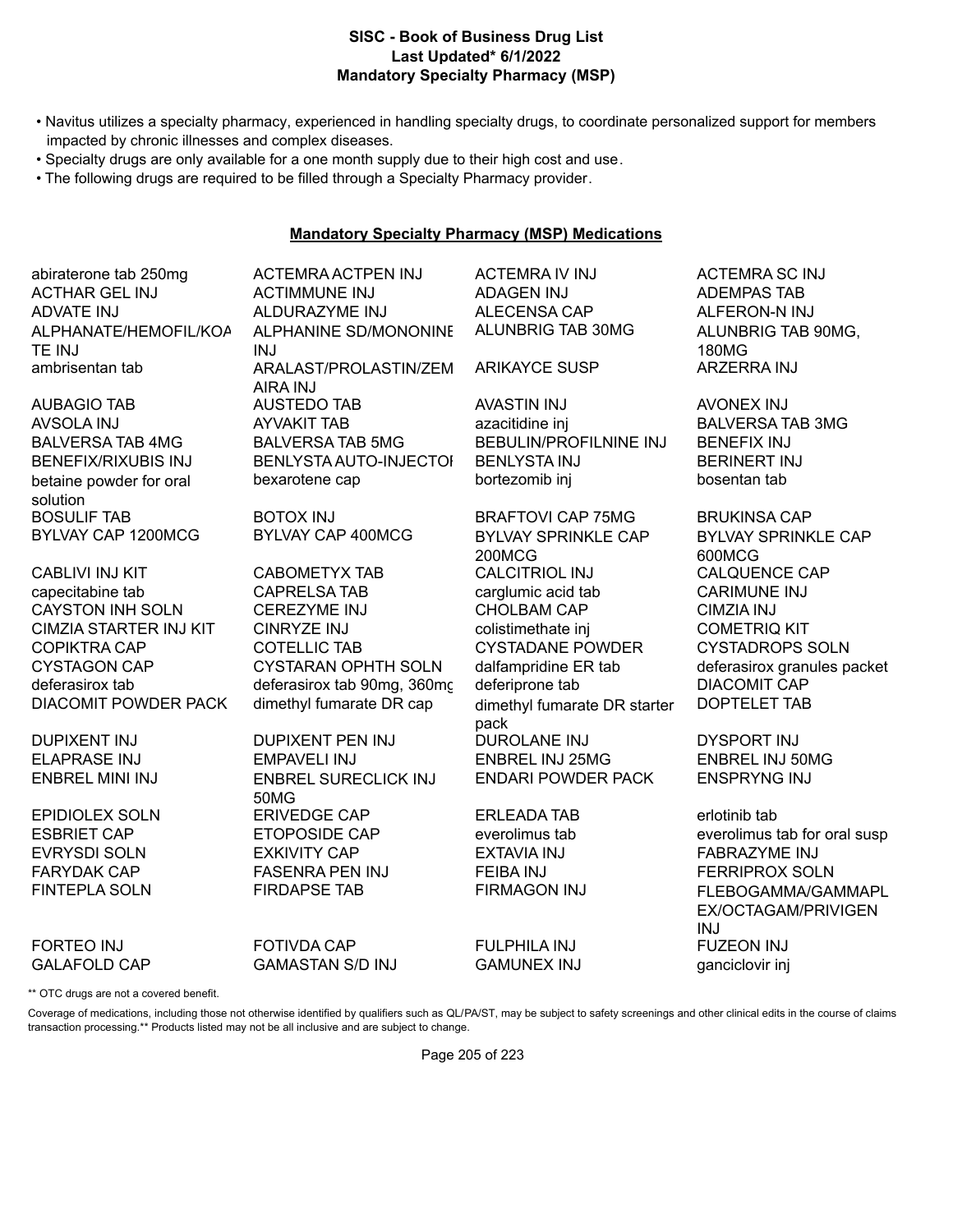#### **Last Updated\* 6/1/2022 Mandatory Specialty Pharmacy (MSP) SISC - Book of Business Drug List**

- Navitus utilizes a specialty pharmacy, experienced in handling specialty drugs, to coordinate personalized support for members impacted by chronic illnesses and complex diseases.
- Specialty drugs are only available for a one month supply due to their high cost and use.
- The following drugs are required to be filled through a Specialty Pharmacy provider.

# **Mandatory Specialty Pharmacy (MSP) Medications**

abiraterone tab 250mg ACTEMRA ACTPEN INJ ACTEMRA IV INJ ACTEMRA SC INJ ACTHAR GEL INJ ACTIMMUNE INJ ADAGEN INJ ADEMPAS TAB ADVATE INJ ALDURAZYME INJ ALECENSA CAP ALFERON-N INJ ALPHANATE/HEMOFIL/KOA TE INJ

betaine powder for oral solution<br>BOSULIF TAB BYLVAY CAP 1200MCG BYLVAY CAP 400MCG BYLVAY SPRINKLE CAP

capecitabine tab CAPRELSA TAB carglumic acid tab CARIMUNE INJ CAYSTON INH SOLN CEREZYME INJ CHOLBAM CAP CIMZIA INJ CIMZIA STARTER INJ KIT CINRYZE INJ colistimethate inj COMETRIQ KIT COPIKTRA CAP COTELLIC TAB CYSTADANE POWDER CYSTADROPS SOLN CYSTAGON CAP CYSTARAN OPHTH SOLN dalfampridine ER tab deferasirox granules packet deferasirox tab deferasirox tab 90mg, 360mg deferiprone tab DIACOMIT CAP DIACOMIT POWDER PACK dimethyl fumarate DR cap dimethyl fumarate DR starter

FORTEO INJ FOTIVDA CAP FULPHILA INJ FUZEON INJ GALAFOLD CAP GAMASTAN S/D INJ GAMUNEX INJ ganciclovir inj

ALPHANINE SD/MONONINE INJ ambrisentan tab ARALAST/PROLASTIN/ZEM AIRA INJ AUBAGIO TAB AUSTEDO TAB AVASTIN INJ AVONEX INJ AVSOLA INJ AYVAKIT TAB azacitidine inj BALVERSA TAB 3MG BALVERSA TAB 4MG BALVERSA TAB 5MG BEBULIN/PROFILNINE INJ BENEFIX INJ BENEFIX/RIXUBIS INJ BENLYSTA AUTO-INJECTOI BENLYSTA INJ BERINERT INJ bexarotene cap bortezomib inj bosentan tab

ENBREL MINI INJ ENBREL SURECLICK INJ 50MG EPIDIOLEX SOLN ERIVEDGE CAP ERLEADA TAB erlotinib tab EVRYSDI SOLN EXKIVITY CAP EXTAVIA INJ FABRAZYME INJ FARYDAK CAP FASENRA PEN INJ FEIBA INJ FERRIPROX SOLN

ALUNBRIG TAB 30MG ALUNBRIG TAB 90MG,

ARIKAYCE SUSP ARZERRA INJ

BOTOX INJ BRAFTOVI CAP 75MG BRUKINSA CAP 200MCG CABLIVI INJ KIT CABOMETYX TAB CALCITRIOL INJ CALQUENCE CAP pack DUPIXENT INJ DUPIXENT PEN INJ DUROLANE INJ DYSPORT INJ ELAPRASE INJ EMPAVELI INJ ENBREL INJ 25MG ENBREL INJ 50MG ENDARI POWDER PACK ENSPRYNG INJ

180MG

BYLVAY SPRINKLE CAP 600MCG DOPTELET TAB

ESBRIET CAP **ETOPOSIDE CAP** everolimus tab everolimus tab everolimus tab for oral susp FINTEPLA SOLN FIRDAPSE TAB FIRMAGON INJ FLEBOGAMMA/GAMMAPL EX/OCTAGAM/PRIVIGEN INJ

\*\* OTC drugs are not a covered benefit.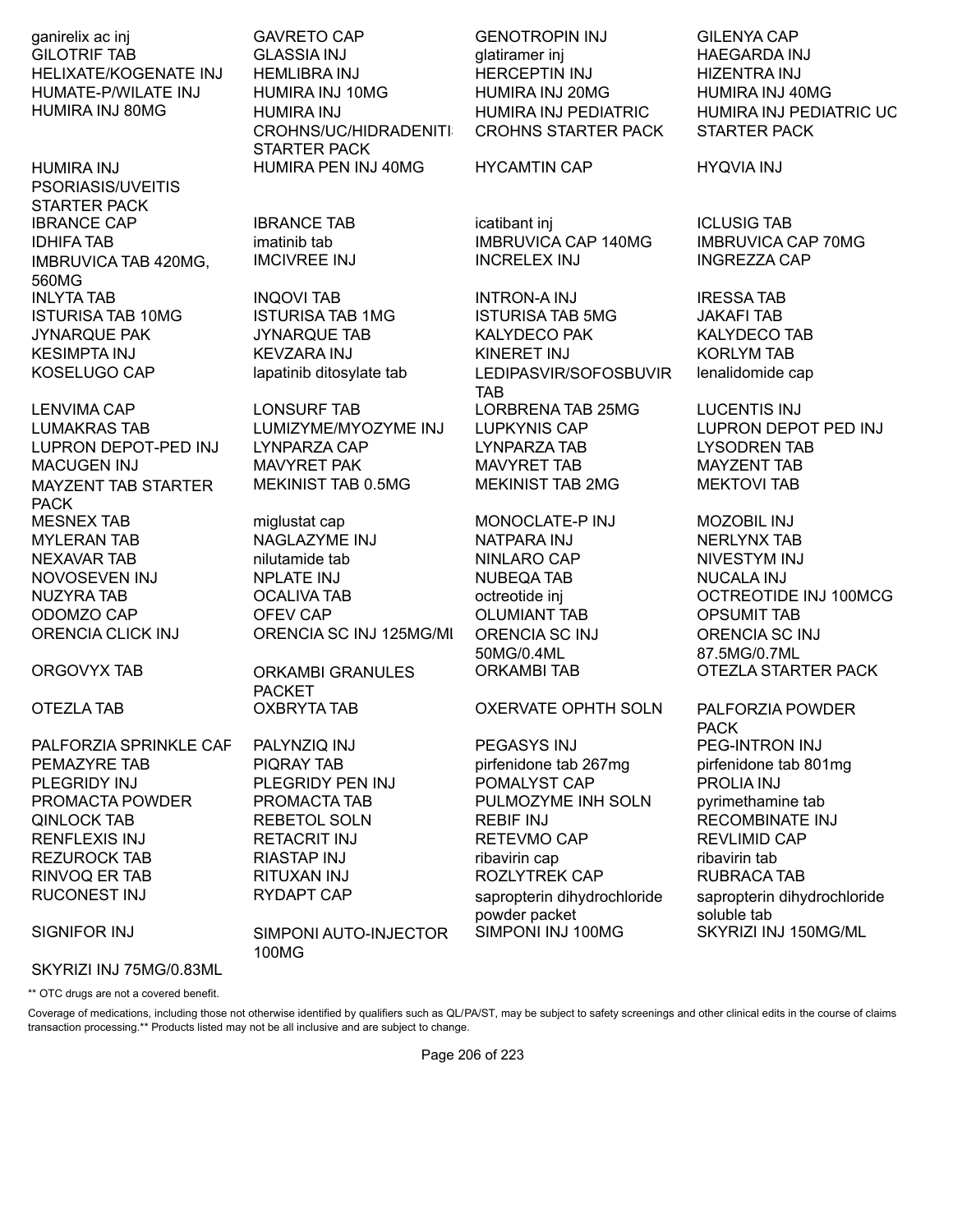ganirelix ac inj GAVRETO CAP GENOTROPIN INJ GILENYA CAP HUMIRA INJ 80MG HUMIRA INJ

HUMIRA INJ PSORIASIS/UVEITIS STARTER PACK IBRANCE CAP **IBRANCE TAB** icatibant inj ICLUSIG TAB IMBRUVICA TAB 420MG, 560MG INLYTA TAB INQOVI TAB INTRON-A INJ IRESSA TAB

MAYZENT TAB STARTER PACK MESNEX TAB miglustat cap MONOCLATE-P INJ MOZOBIL INJ

PEMAZYRE TAB **PIQRAY TAB** pirfenidone tab 267mg pirfenidone tab 801mg PLEGRIDY INJ PLEGRIDY PEN INJ POMALYST CAP PROLIA INJ PROMACTA POWDER PROMACTA TAB PULMOZYME INH SOLN pyrimethamine tab QINLOCK TAB REBETOL SOLN REBIF INJ RECOMBINATE INJ RENFLEXIS INJ RETACRIT INJ RETEVMO CAP REVLIMID CAP REZUROCK TAB **RIASTAP INJ** ribavirin cap ribavirin tab RINVOQ ER TAB RITUXAN INJ ROZLYTREK CAP RUBRACA TAB

GILOTRIF TAB GLASSIA INJ GILOTRIF TAB GILOTRIF TAB HELIXATE/KOGENATE INJ HEMLIBRA INJ HERCEPTIN INJ HIZENTRA INJ HUMATE-P/WILATE INJ HUMIRA INJ 10MG HUMIRA INJ 20MG HUMIRA INJ 40MG CROHNS/UC/HIDRADENITI STARTER PACK HUMIRA PEN INJ 40MG HYCAMTIN CAP HYQVIA INJ

MEKINIST TAB 0.5MG MEKINIST TAB 2MG MEKTOVI TAB

MYLERAN TAB NAGLAZYME INJ NATPARA INJ NERLYNX TAB NEXAVAR TAB nilutamide tab NINLARO CAP NIVESTYM INJ NOVOSEVEN INJ NPLATE INJ NUBEQA TAB NUCALA INJ ODOMZO CAP OFEV CAP OLUMIANT TAB OPSUMIT TAB ORENCIA CLICK INJ ORENCIA SC INJ 125MG/ML ORENCIA SC INJ

ORGOVYX TAB ORKAMBI GRANULES PACKET

SIGNIFOR INJ SIMPONI AUTO-INJECTOR 100MG

HUMIRA INJ PEDIATRIC CROHNS STARTER PACK

IDHIFA TAB imatinib tab IMBRUVICA CAP 140MG IMBRUVICA CAP 70MG IMCIVREE INJ INCRELEX INJ INGREZZA CAP

ISTURISA TAB 10MG ISTURISA TAB 1MG ISTURISA TAB 5MG JAKAFI TAB JYNARQUE PAK JYNARQUE TAB KALYDECO PAK KALYDECO TAB KESIMPTA INJ KEVZARA INJ KINERET INJ KORLYM TAB KOSELUGO CAP lapatinib ditosylate tab LEDIPASVIR/SOFOSBUVIR TAB LENVIMA CAP LONSURF TAB LORBRENA TAB 25MG LUCENTIS INJ LUMAKRAS TAB LUMIZYME/MYOZYME INJ LUPKYNIS CAP LUPRON DEPOT PED INJ LUPRON DEPOT-PED INJ LYNPARZA CAP LYNPARZA TAB LYSODREN TAB MACUGEN INJ MAVYRET PAK MAVYRET TAB MAYZENT TAB

50MG/0.4ML

OTEZLA TAB OXBRYTA TAB OXERVATE OPHTH SOLN PALFORZIA POWDER

PALFORZIA SPRINKLE CAP PALYNZIQ INJ PEGASYS INJ PEG-INTRON INJ RUCONEST INJ RYDAPT CAP sapropterin dihydrochloride powder packet SIMPONI INJ 100MG SKYRIZI INJ 150MG/ML

HUMIRA INJ PEDIATRIC UC STARTER PACK

lenalidomide cap

NUZYRA TAB OCALIVA TAB octreotide inj OCTREOTIDE INJ 100MCG ORENCIA SC INJ 87.5MG/0.7ML ORKAMBI TAB OTEZLA STARTER PACK

> PACK sapropterin dihydrochloride soluble tab

SKYRIZI INJ 75MG/0.83ML \*\* OTC drugs are not a covered benefit.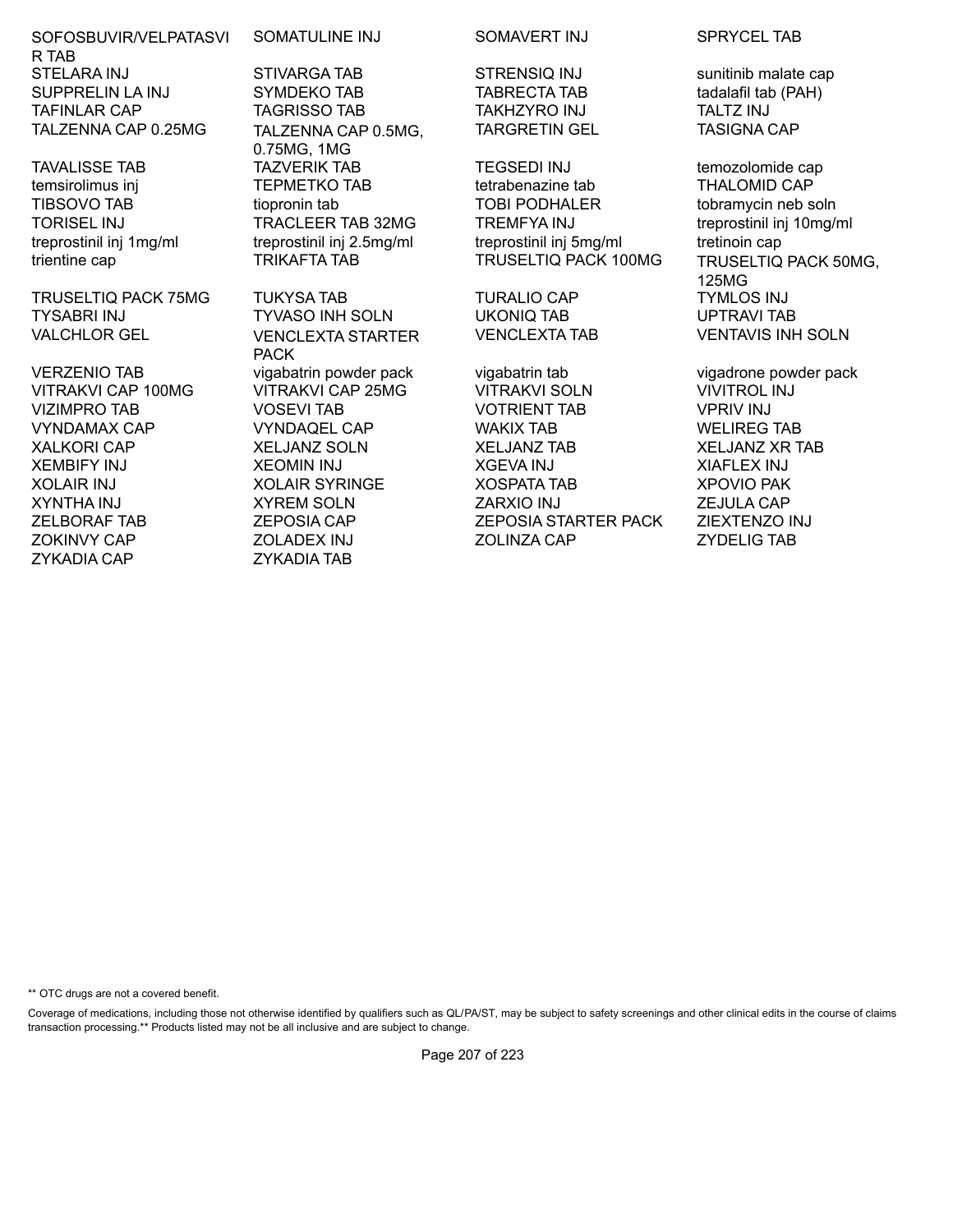SOFOSBUVIR/VELPATASVI R TAB STELARA INJ STIVARGA TAB STRENSIQ INJ sunitinib malate cap SUPPRELIN LA INJ SYMDEKO TAB TABRECTA TAB tadalafil tab (PAH) TAFINLAR CAP TAGRISSO TAB TAKHZYRO INJ TALTZ INJ TALZENNA CAP 0.25MG TALZENNA CAP 0.5MG,

TRUSELTIQ PACK 75MG TUKYSA TAB TURALIO CAP TYMLOS INJ TYSABRI INJ TYVASO INH SOLN UKONIQ TAB UPTRAVI TAB VALCHLOR GEL VENCLEXTA STARTER

ZYKADIA CAP ZYKADIA TAB

SOMATULINE INJ SOMAVERT INJ SPRYCEL TAB

0.75MG, 1MG TAVALISSE TAB TAZVERIK TAB TEGSEDI INJ temozolomide cap

PACK

TARGRETIN GEL TASIGNA CAP

temsirolimus inj TEPMETKO TAB tetrabenazine tab THALOMID CAP TIBSOVO TAB tiopronin tab TOBI PODHALER tobramycin neb soln TORISEL INJ TRACLEER TAB 32MG TREMFYA INJ treprostinil inj 10mg/ml treprostinil inj 1mg/ml treprostinil inj 2.5mg/ml treprostinil inj 5mg/ml tretinoin cap

VERZENIO TAB vigabatrin powder pack vigabatrin tab vigadrone powder pack VITRAKVI CAP 100MG VITRAKVI CAP 25MG VITRAKVI SOLN VIVITROL INJ VIZIMPRO TAB VOSEVI TAB VOTRIENT TAB VPRIV INJ VYNDAMAX CAP VYNDAQEL CAP WAKIX TAB WELIREG TAB XALKORI CAP XELJANZ SOLN XELJANZ TAB XELJANZ XR TAB XEMBIFY INJ XEOMIN INJ XGEVA INJ XIAFLEX INJ XOLAIR INJ XOLAIR SYRINGE XOSPATA TAB XPOVIO PAK XYNTHA INJ XYREM SOLN ZARXIO INJ ZEJULA CAP ZELBORAF TAB ZEPOSIA CAP ZEPOSIA STARTER PACK ZIEXTENZO INJ ZOKINVY CAP ZOLADEX INJ ZOLINZA CAP ZYDELIG TAB

trientine cap TRIKAFTA TAB TRUSELTIQ PACK 100MG TRUSELTIQ PACK 50MG, 125MG VENCLEXTA TAB VENTAVIS INH SOLN

\*\* OTC drugs are not a covered benefit.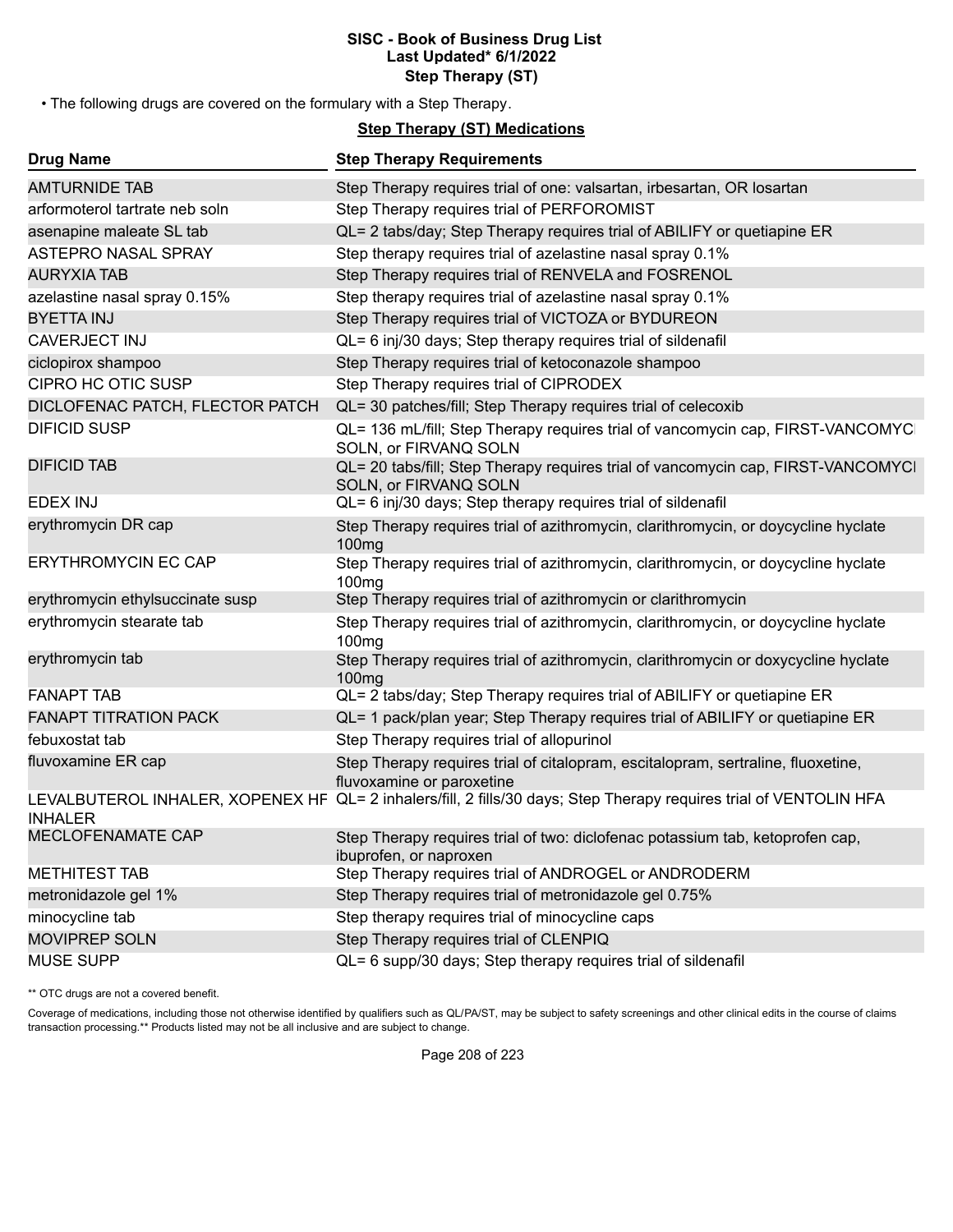#### **SISC - Book of Business Drug List Last Updated\* 6/1/2022 Step Therapy (ST)**

• The following drugs are covered on the formulary with a Step Therapy.

# **Step Therapy (ST) Medications**

| <b>Drug Name</b>                 | <b>Step Therapy Requirements</b>                                                                                   |
|----------------------------------|--------------------------------------------------------------------------------------------------------------------|
| <b>AMTURNIDE TAB</b>             | Step Therapy requires trial of one: valsartan, irbesartan, OR losartan                                             |
| arformoterol tartrate neb soln   | Step Therapy requires trial of PERFOROMIST                                                                         |
| asenapine maleate SL tab         | QL= 2 tabs/day; Step Therapy requires trial of ABILIFY or quetiapine ER                                            |
| <b>ASTEPRO NASAL SPRAY</b>       | Step therapy requires trial of azelastine nasal spray 0.1%                                                         |
| <b>AURYXIA TAB</b>               | Step Therapy requires trial of RENVELA and FOSRENOL                                                                |
| azelastine nasal spray 0.15%     | Step therapy requires trial of azelastine nasal spray 0.1%                                                         |
| <b>BYETTA INJ</b>                | Step Therapy requires trial of VICTOZA or BYDUREON                                                                 |
| <b>CAVERJECT INJ</b>             | QL= 6 inj/30 days; Step therapy requires trial of sildenafil                                                       |
| ciclopirox shampoo               | Step Therapy requires trial of ketoconazole shampoo                                                                |
| <b>CIPRO HC OTIC SUSP</b>        | Step Therapy requires trial of CIPRODEX                                                                            |
| DICLOFENAC PATCH, FLECTOR PATCH  | QL= 30 patches/fill; Step Therapy requires trial of celecoxib                                                      |
| <b>DIFICID SUSP</b>              | QL= 136 mL/fill; Step Therapy requires trial of vancomycin cap, FIRST-VANCOMYC<br>SOLN, or FIRVANQ SOLN            |
| <b>DIFICID TAB</b>               | QL= 20 tabs/fill; Step Therapy requires trial of vancomycin cap, FIRST-VANCOMYCI<br>SOLN, or FIRVANQ SOLN          |
| <b>EDEX INJ</b>                  | QL= 6 inj/30 days; Step therapy requires trial of sildenafil                                                       |
| erythromycin DR cap              | Step Therapy requires trial of azithromycin, clarithromycin, or doycycline hyclate<br>100 <sub>mg</sub>            |
| <b>ERYTHROMYCIN EC CAP</b>       | Step Therapy requires trial of azithromycin, clarithromycin, or doycycline hyclate<br>100 <sub>mg</sub>            |
| erythromycin ethylsuccinate susp | Step Therapy requires trial of azithromycin or clarithromycin                                                      |
| erythromycin stearate tab        | Step Therapy requires trial of azithromycin, clarithromycin, or doycycline hyclate<br>100 <sub>mg</sub>            |
| erythromycin tab                 | Step Therapy requires trial of azithromycin, clarithromycin or doxycycline hyclate<br>100 <sub>mg</sub>            |
| <b>FANAPT TAB</b>                | QL= 2 tabs/day; Step Therapy requires trial of ABILIFY or quetiapine ER                                            |
| <b>FANAPT TITRATION PACK</b>     | QL= 1 pack/plan year; Step Therapy requires trial of ABILIFY or quetiapine ER                                      |
| febuxostat tab                   | Step Therapy requires trial of allopurinol                                                                         |
| fluvoxamine ER cap               | Step Therapy requires trial of citalopram, escitalopram, sertraline, fluoxetine,<br>fluvoxamine or paroxetine      |
| <b>INHALER</b>                   | LEVALBUTEROL INHALER, XOPENEX HF QL= 2 inhalers/fill, 2 fills/30 days; Step Therapy requires trial of VENTOLIN HFA |
| MECLOFENAMATE CAP                | Step Therapy requires trial of two: diclofenac potassium tab, ketoprofen cap,<br>ibuprofen, or naproxen            |
| <b>METHITEST TAB</b>             | Step Therapy requires trial of ANDROGEL or ANDRODERM                                                               |
| metronidazole gel 1%             | Step Therapy requires trial of metronidazole gel 0.75%                                                             |
| minocycline tab                  | Step therapy requires trial of minocycline caps                                                                    |
| <b>MOVIPREP SOLN</b>             | Step Therapy requires trial of CLENPIQ                                                                             |
| <b>MUSE SUPP</b>                 | QL= 6 supp/30 days; Step therapy requires trial of sildenafil                                                      |

\*\* OTC drugs are not a covered benefit.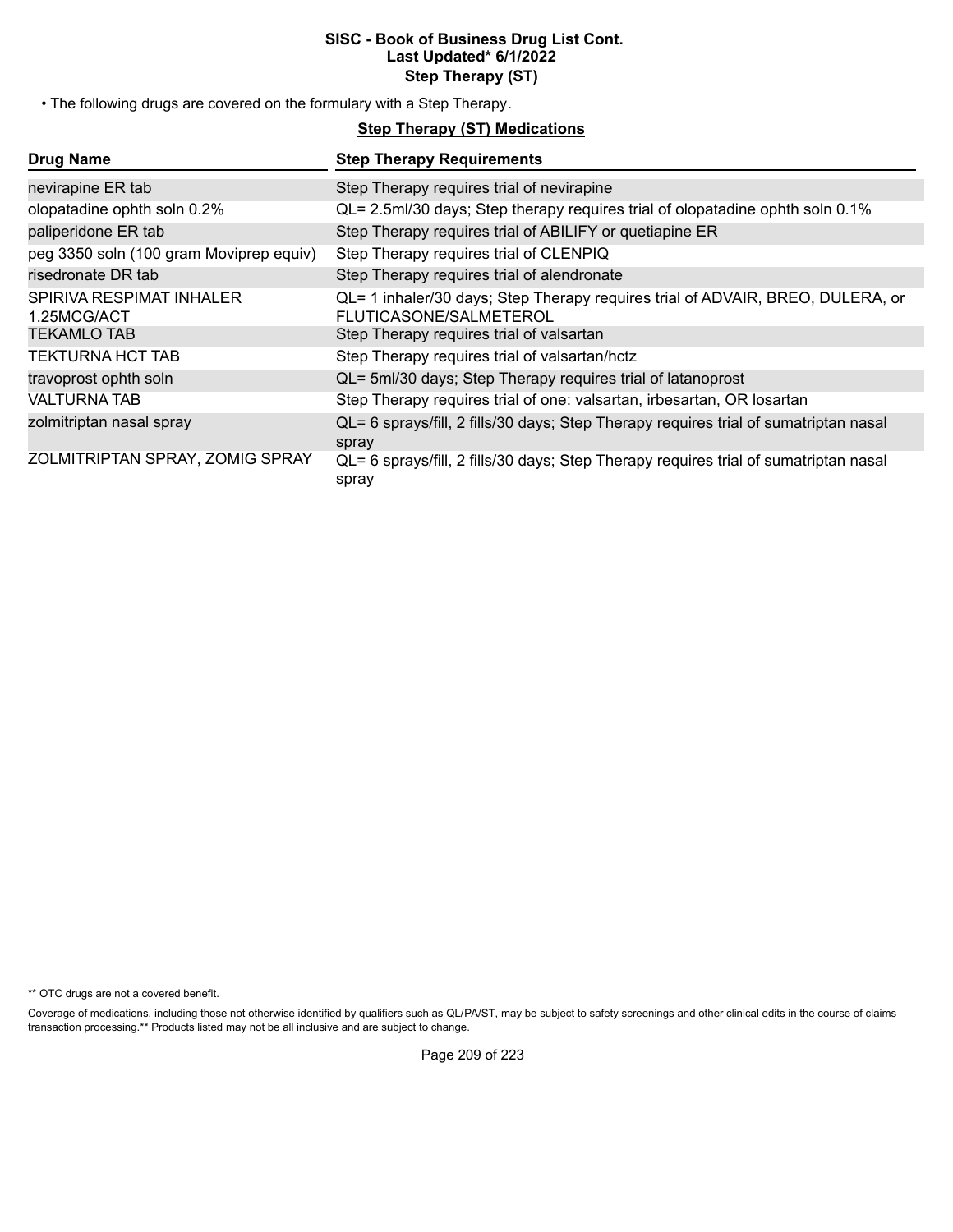#### **SISC - Book of Business Drug List Cont. Last Updated\* 6/1/2022 Step Therapy (ST)**

• The following drugs are covered on the formulary with a Step Therapy.

# **Step Therapy (ST) Medications**

| <b>Drug Name</b>                        | <b>Step Therapy Requirements</b>                                                                         |
|-----------------------------------------|----------------------------------------------------------------------------------------------------------|
| nevirapine ER tab                       | Step Therapy requires trial of nevirapine                                                                |
| olopatadine ophth soln 0.2%             | QL= 2.5ml/30 days; Step therapy requires trial of olopatadine ophth soln 0.1%                            |
| paliperidone ER tab                     | Step Therapy requires trial of ABILIFY or quetiapine ER                                                  |
| peg 3350 soln (100 gram Moviprep equiv) | Step Therapy requires trial of CLENPIQ                                                                   |
| risedronate DR tab                      | Step Therapy requires trial of alendronate                                                               |
| SPIRIVA RESPIMAT INHALER<br>1.25MCG/ACT | QL= 1 inhaler/30 days; Step Therapy requires trial of ADVAIR, BREO, DULERA, or<br>FLUTICASONE/SALMETEROL |
| <b>TEKAMLO TAB</b>                      | Step Therapy requires trial of valsartan                                                                 |
| TEKTURNA HCT TAB                        | Step Therapy requires trial of valsartan/hctz                                                            |
| travoprost ophth soln                   | QL= 5ml/30 days; Step Therapy requires trial of latanoprost                                              |
| VALTURNA TAB                            | Step Therapy requires trial of one: valsartan, irbesartan, OR losartan                                   |
| zolmitriptan nasal spray                | QL= 6 sprays/fill, 2 fills/30 days; Step Therapy requires trial of sumatriptan nasal<br>spray            |
| ZOLMITRIPTAN SPRAY, ZOMIG SPRAY         | QL= 6 sprays/fill, 2 fills/30 days; Step Therapy requires trial of sumatriptan nasal<br>spray            |

\*\* OTC drugs are not a covered benefit.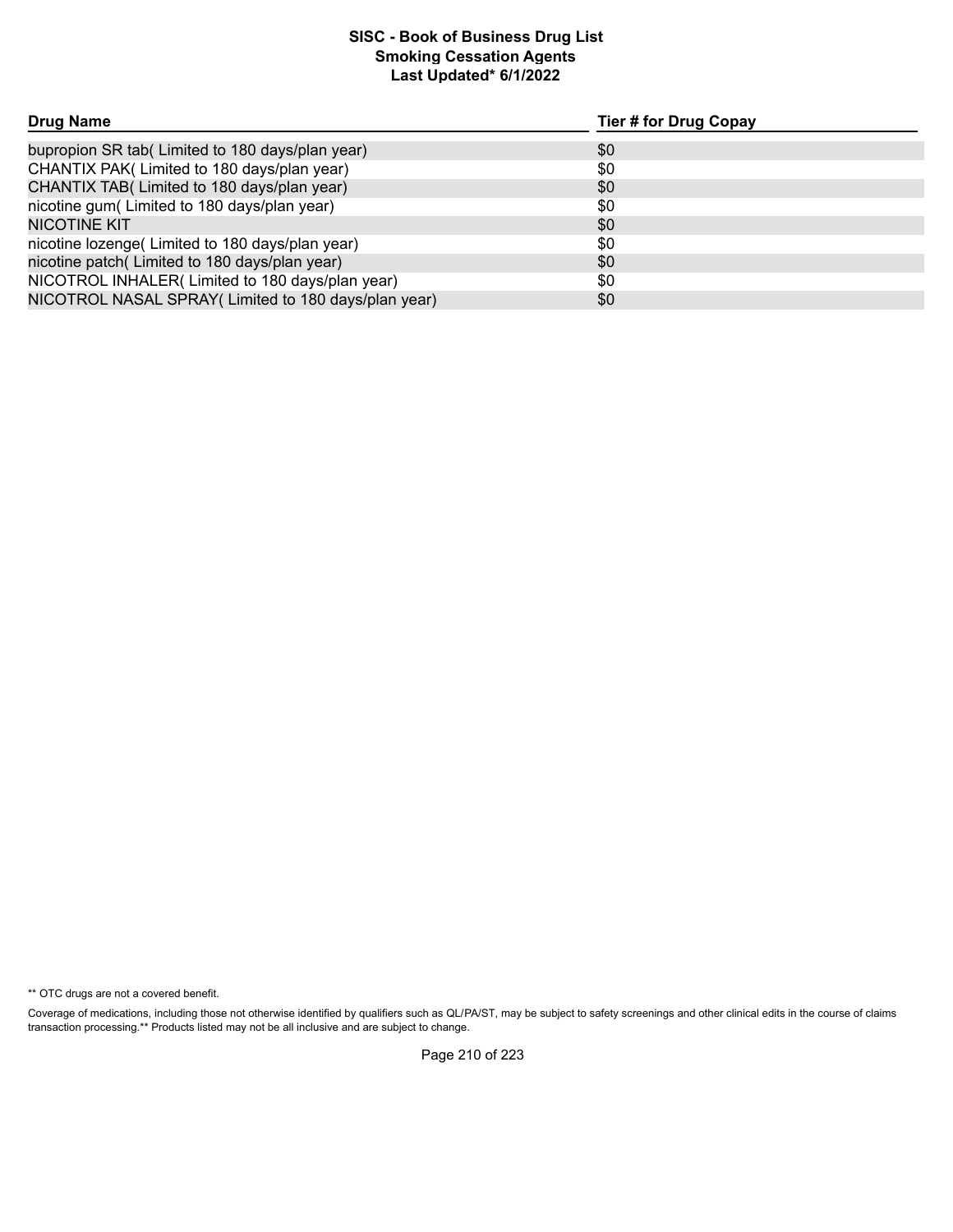# **Smoking Cessation Agents Last Updated\* 6/1/2022 SISC - Book of Business Drug List**

| <b>Drug Name</b>                                     | <b>Tier # for Drug Copay</b> |
|------------------------------------------------------|------------------------------|
| bupropion SR tab(Limited to 180 days/plan year)      | \$0                          |
| CHANTIX PAK(Limited to 180 days/plan year)           | \$0                          |
| CHANTIX TAB( Limited to 180 days/plan year)          | \$0                          |
| nicotine gum(Limited to 180 days/plan year)          | \$0                          |
| <b>NICOTINE KIT</b>                                  | \$0                          |
| nicotine lozenge(Limited to 180 days/plan year)      | \$0                          |
| nicotine patch(Limited to 180 days/plan year)        | \$0                          |
| NICOTROL INHALER(Limited to 180 days/plan year)      | \$0                          |
| NICOTROL NASAL SPRAY (Limited to 180 days/plan year) | \$0                          |

\*\* OTC drugs are not a covered benefit.

Coverage of medications, including those not otherwise identified by qualifiers such as QL/PA/ST, may be subject to safety screenings and other clinical edits in the course of claims transaction processing.\*\* Products listed may not be all inclusive and are subject to change.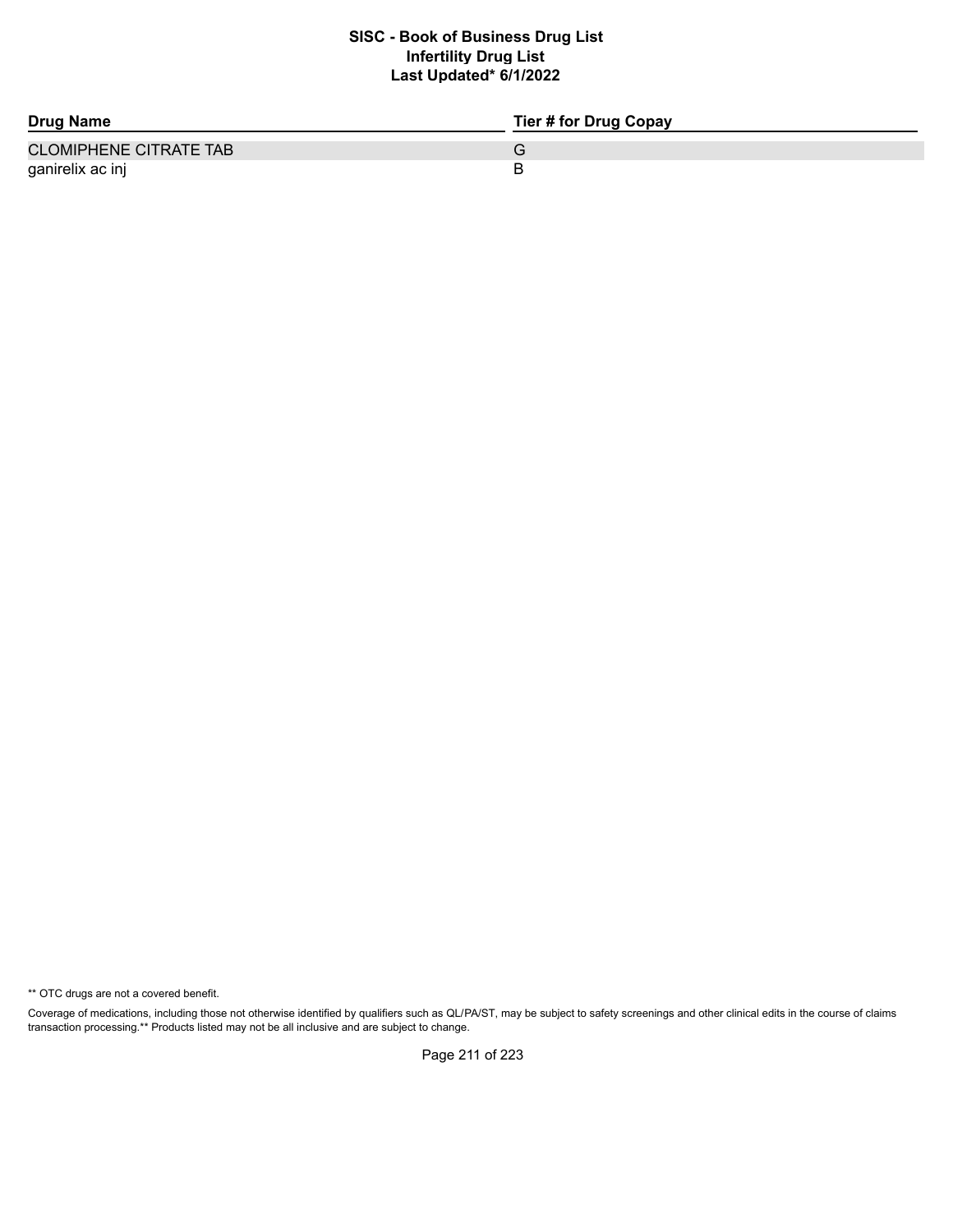# **Infertility Drug List Last Updated\* 6/1/2022 SISC - Book of Business Drug List**

| <b>Drug Name</b>              | Tier # for Drug Copay |
|-------------------------------|-----------------------|
| <b>CLOMIPHENE CITRATE TAB</b> |                       |
| ganirelix ac inj              |                       |

\*\* OTC drugs are not a covered benefit.

Coverage of medications, including those not otherwise identified by qualifiers such as QL/PA/ST, may be subject to safety screenings and other clinical edits in the course of claims transaction processing.\*\* Products listed may not be all inclusive and are subject to change.

Page 211 of 223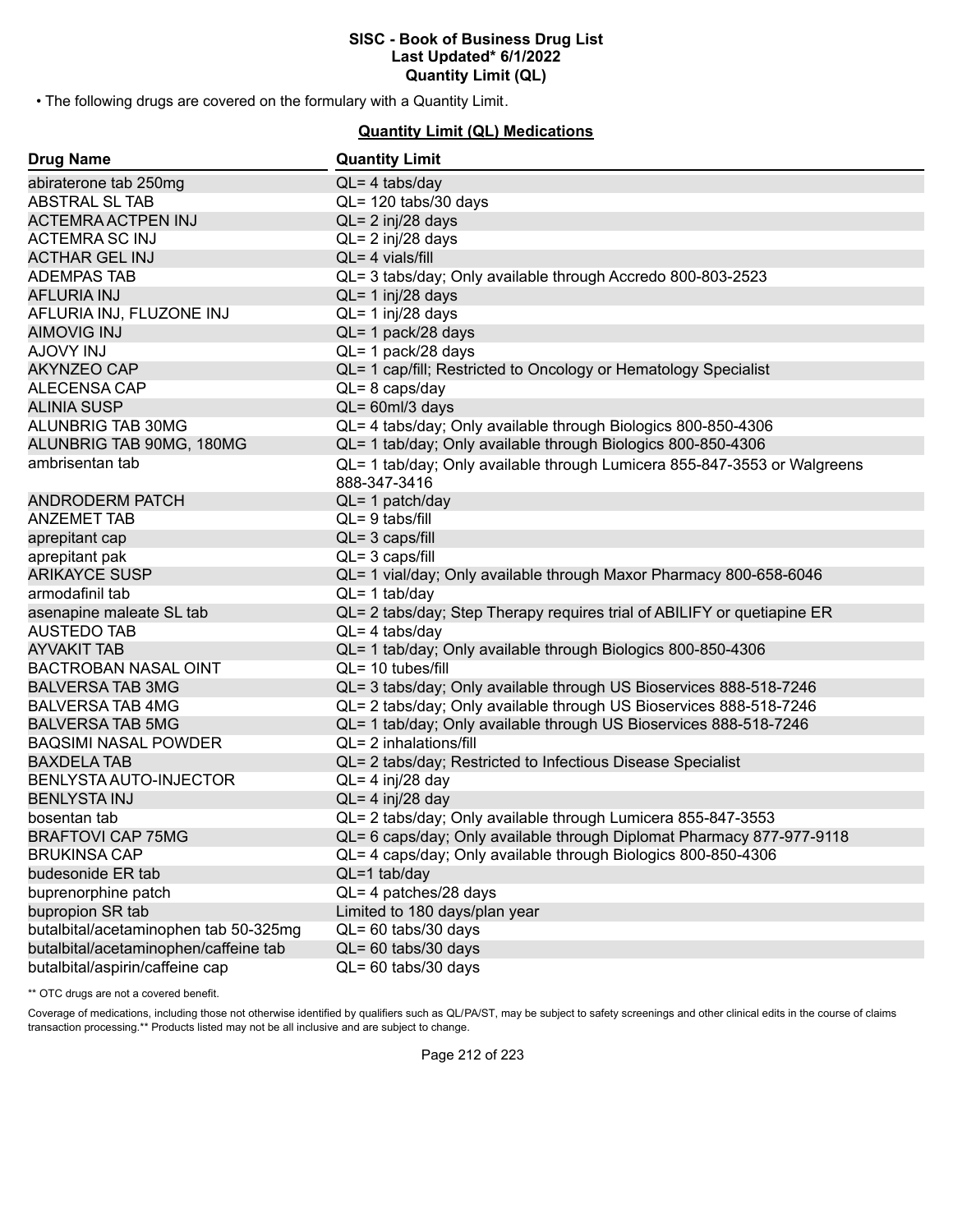• The following drugs are covered on the formulary with a Quantity Limit.

**Quantity Limit (QL) Medications**

| <b>Drug Name</b>                      | <b>Quantity Limit</b>                                                    |
|---------------------------------------|--------------------------------------------------------------------------|
| abiraterone tab 250mg                 | $QL = 4$ tabs/day                                                        |
| <b>ABSTRAL SL TAB</b>                 | QL= 120 tabs/30 days                                                     |
| <b>ACTEMRA ACTPEN INJ</b>             | $QL = 2$ inj/28 days                                                     |
| <b>ACTEMRA SC INJ</b>                 | $QL = 2$ inj/28 days                                                     |
| <b>ACTHAR GEL INJ</b>                 | $QL = 4$ vials/fill                                                      |
| <b>ADEMPAS TAB</b>                    | QL= 3 tabs/day; Only available through Accredo 800-803-2523              |
| <b>AFLURIA INJ</b>                    | $QL = 1$ inj/28 days                                                     |
| AFLURIA INJ, FLUZONE INJ              | $QL = 1$ inj/28 days                                                     |
| <b>AIMOVIG INJ</b>                    | QL= 1 pack/28 days                                                       |
| <b>AJOVY INJ</b>                      | QL= 1 pack/28 days                                                       |
| <b>AKYNZEO CAP</b>                    | QL= 1 cap/fill; Restricted to Oncology or Hematology Specialist          |
| ALECENSA CAP                          | $QL = 8 \text{ caps/day}$                                                |
| <b>ALINIA SUSP</b>                    | QL= 60ml/3 days                                                          |
| ALUNBRIG TAB 30MG                     | QL= 4 tabs/day; Only available through Biologics 800-850-4306            |
| ALUNBRIG TAB 90MG, 180MG              | QL= 1 tab/day; Only available through Biologics 800-850-4306             |
| ambrisentan tab                       | QL= 1 tab/day; Only available through Lumicera 855-847-3553 or Walgreens |
|                                       | 888-347-3416                                                             |
| <b>ANDRODERM PATCH</b>                | QL= 1 patch/day                                                          |
| <b>ANZEMET TAB</b>                    | $QL = 9$ tabs/fill                                                       |
| aprepitant cap                        | $QL = 3 \text{ caps/fill}$                                               |
| aprepitant pak                        | $QL = 3 \text{ caps/fill}$                                               |
| <b>ARIKAYCE SUSP</b>                  | QL= 1 vial/day; Only available through Maxor Pharmacy 800-658-6046       |
| armodafinil tab                       | $QL = 1$ tab/day                                                         |
| asenapine maleate SL tab              | QL= 2 tabs/day; Step Therapy requires trial of ABILIFY or quetiapine ER  |
| <b>AUSTEDO TAB</b>                    | $QL = 4$ tabs/day                                                        |
| <b>AYVAKIT TAB</b>                    | QL= 1 tab/day; Only available through Biologics 800-850-4306             |
| <b>BACTROBAN NASAL OINT</b>           | $QL = 10$ tubes/fill                                                     |
| <b>BALVERSA TAB 3MG</b>               | QL= 3 tabs/day; Only available through US Bioservices 888-518-7246       |
| <b>BALVERSA TAB 4MG</b>               | QL= 2 tabs/day; Only available through US Bioservices 888-518-7246       |
| <b>BALVERSA TAB 5MG</b>               | QL= 1 tab/day; Only available through US Bioservices 888-518-7246        |
| <b>BAQSIMI NASAL POWDER</b>           | QL= 2 inhalations/fill                                                   |
| <b>BAXDELA TAB</b>                    | QL= 2 tabs/day; Restricted to Infectious Disease Specialist              |
| BENLYSTA AUTO-INJECTOR                | $QL = 4$ inj/28 day                                                      |
| <b>BENLYSTA INJ</b>                   | $QL = 4$ inj/28 day                                                      |
| bosentan tab                          | QL= 2 tabs/day; Only available through Lumicera 855-847-3553             |
| <b>BRAFTOVI CAP 75MG</b>              | QL= 6 caps/day; Only available through Diplomat Pharmacy 877-977-9118    |
| <b>BRUKINSA CAP</b>                   | QL= 4 caps/day; Only available through Biologics 800-850-4306            |
| budesonide ER tab                     | $QL=1$ tab/day                                                           |
| buprenorphine patch                   | QL= 4 patches/28 days                                                    |
| bupropion SR tab                      | Limited to 180 days/plan year                                            |
| butalbital/acetaminophen tab 50-325mg | QL= 60 tabs/30 days                                                      |
| butalbital/acetaminophen/caffeine tab | $QL = 60$ tabs/30 days                                                   |
| butalbital/aspirin/caffeine cap       | QL= 60 tabs/30 days                                                      |

\*\* OTC drugs are not a covered benefit.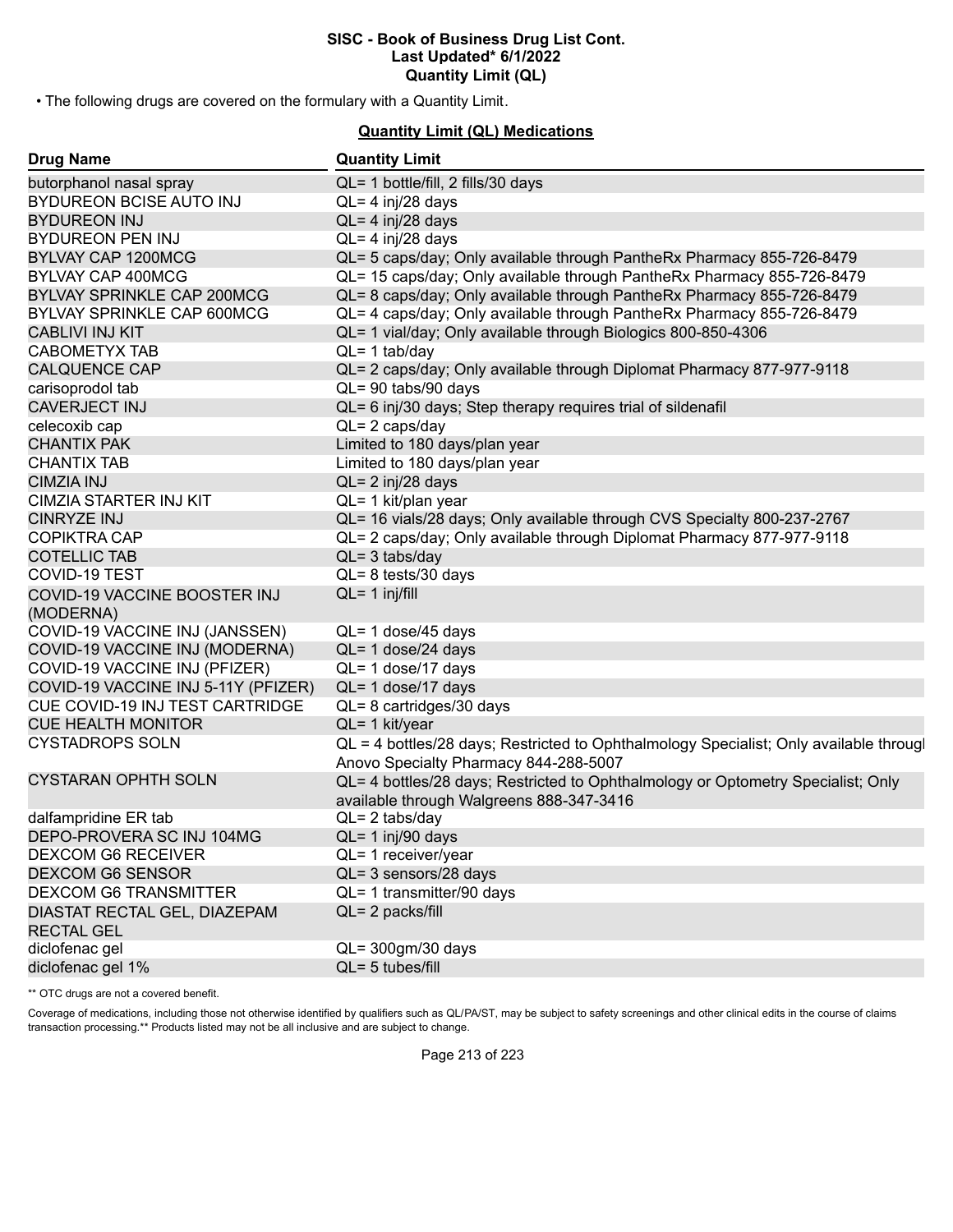• The following drugs are covered on the formulary with a Quantity Limit.

#### **Quantity Limit (QL) Medications**

| <b>Drug Name</b>                                  | <b>Quantity Limit</b>                                                                                                           |
|---------------------------------------------------|---------------------------------------------------------------------------------------------------------------------------------|
| butorphanol nasal spray                           | QL= 1 bottle/fill, 2 fills/30 days                                                                                              |
| BYDUREON BCISE AUTO INJ                           | $QL = 4$ inj/28 days                                                                                                            |
| <b>BYDUREON INJ</b>                               | $QL = 4$ inj/28 days                                                                                                            |
| <b>BYDUREON PEN INJ</b>                           | $QL = 4$ inj/28 days                                                                                                            |
| BYLVAY CAP 1200MCG                                | QL= 5 caps/day; Only available through PantheRx Pharmacy 855-726-8479                                                           |
| BYLVAY CAP 400MCG                                 | QL= 15 caps/day; Only available through PantheRx Pharmacy 855-726-8479                                                          |
| <b>BYLVAY SPRINKLE CAP 200MCG</b>                 | QL= 8 caps/day; Only available through PantheRx Pharmacy 855-726-8479                                                           |
| BYLVAY SPRINKLE CAP 600MCG                        | QL= 4 caps/day; Only available through PantheRx Pharmacy 855-726-8479                                                           |
| <b>CABLIVI INJ KIT</b>                            | QL= 1 vial/day; Only available through Biologics 800-850-4306                                                                   |
| <b>CABOMETYX TAB</b>                              | $QL = 1$ tab/day                                                                                                                |
| <b>CALQUENCE CAP</b>                              | QL= 2 caps/day; Only available through Diplomat Pharmacy 877-977-9118                                                           |
| carisoprodol tab                                  | QL= 90 tabs/90 days                                                                                                             |
| <b>CAVERJECT INJ</b>                              | QL= 6 inj/30 days; Step therapy requires trial of sildenafil                                                                    |
| celecoxib cap                                     | $QL = 2 \text{ caps/day}$                                                                                                       |
| <b>CHANTIX PAK</b>                                | Limited to 180 days/plan year                                                                                                   |
| <b>CHANTIX TAB</b>                                | Limited to 180 days/plan year                                                                                                   |
| <b>CIMZIA INJ</b>                                 | $QL = 2$ inj/28 days                                                                                                            |
| CIMZIA STARTER INJ KIT                            | QL= 1 kit/plan year                                                                                                             |
| <b>CINRYZE INJ</b>                                | QL= 16 vials/28 days; Only available through CVS Specialty 800-237-2767                                                         |
| <b>COPIKTRA CAP</b>                               | QL= 2 caps/day; Only available through Diplomat Pharmacy 877-977-9118                                                           |
| <b>COTELLIC TAB</b>                               | $QL = 3$ tabs/day                                                                                                               |
| <b>COVID-19 TEST</b>                              | $QL = 8$ tests/30 days                                                                                                          |
| COVID-19 VACCINE BOOSTER INJ                      | $QL = 1$ inj/fill                                                                                                               |
| (MODERNA)                                         |                                                                                                                                 |
| COVID-19 VACCINE INJ (JANSSEN)                    | QL= 1 dose/45 days                                                                                                              |
| COVID-19 VACCINE INJ (MODERNA)                    | QL= 1 dose/24 days                                                                                                              |
| COVID-19 VACCINE INJ (PFIZER)                     | QL= 1 dose/17 days                                                                                                              |
| COVID-19 VACCINE INJ 5-11Y (PFIZER)               | QL= 1 dose/17 days                                                                                                              |
| <b>CUE COVID-19 INJ TEST CARTRIDGE</b>            | QL= 8 cartridges/30 days                                                                                                        |
| <b>CUE HEALTH MONITOR</b>                         | $QL = 1$ kit/year                                                                                                               |
| <b>CYSTADROPS SOLN</b>                            | QL = 4 bottles/28 days; Restricted to Ophthalmology Specialist; Only available througl<br>Anovo Specialty Pharmacy 844-288-5007 |
| <b>CYSTARAN OPHTH SOLN</b>                        | QL= 4 bottles/28 days; Restricted to Ophthalmology or Optometry Specialist; Only<br>available through Walgreens 888-347-3416    |
| dalfampridine ER tab                              | $QL = 2$ tabs/day                                                                                                               |
| DEPO-PROVERA SC INJ 104MG                         | QL= 1 inj/90 days                                                                                                               |
| <b>DEXCOM G6 RECEIVER</b>                         | QL= 1 receiver/year                                                                                                             |
| <b>DEXCOM G6 SENSOR</b>                           | QL= 3 sensors/28 days                                                                                                           |
| <b>DEXCOM G6 TRANSMITTER</b>                      | $QL = 1$ transmitter/90 days                                                                                                    |
| DIASTAT RECTAL GEL, DIAZEPAM<br><b>RECTAL GEL</b> | QL= 2 packs/fill                                                                                                                |
| diclofenac gel                                    | QL= 300gm/30 days                                                                                                               |
| diclofenac gel 1%                                 | $QL = 5$ tubes/fill                                                                                                             |
|                                                   |                                                                                                                                 |

\*\* OTC drugs are not a covered benefit.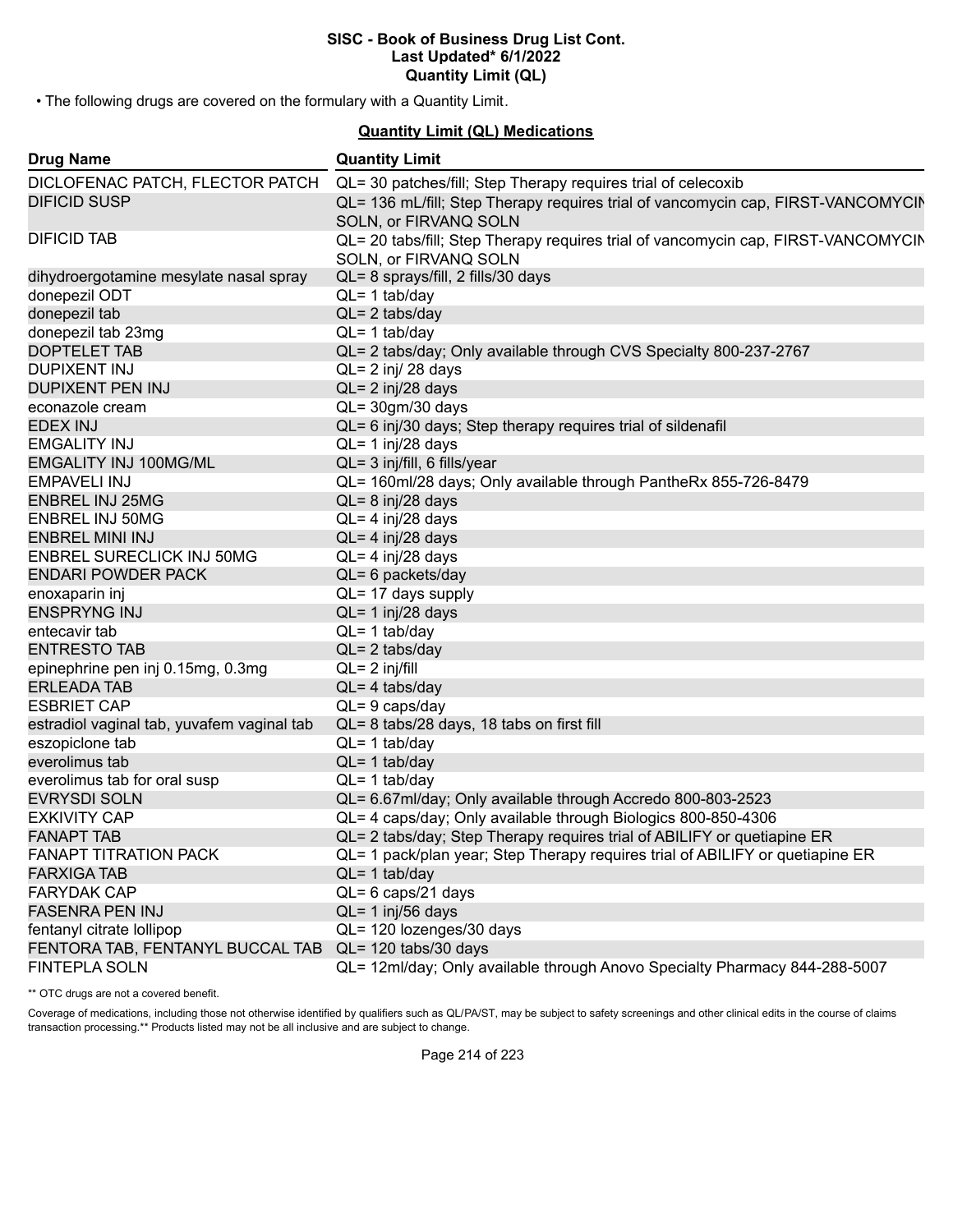• The following drugs are covered on the formulary with a Quantity Limit.

#### **Quantity Limit (QL) Medications**

| <b>Drug Name</b>                           | <b>Quantity Limit</b>                                                                                      |
|--------------------------------------------|------------------------------------------------------------------------------------------------------------|
| DICLOFENAC PATCH, FLECTOR PATCH            | QL= 30 patches/fill; Step Therapy requires trial of celecoxib                                              |
| <b>DIFICID SUSP</b>                        | QL= 136 mL/fill; Step Therapy requires trial of vancomycin cap, FIRST-VANCOMYCIN<br>SOLN, or FIRVANQ SOLN  |
| <b>DIFICID TAB</b>                         | QL= 20 tabs/fill; Step Therapy requires trial of vancomycin cap, FIRST-VANCOMYCIN<br>SOLN, or FIRVANQ SOLN |
| dihydroergotamine mesylate nasal spray     | QL= 8 sprays/fill, 2 fills/30 days                                                                         |
| donepezil ODT                              | $QL = 1$ tab/day                                                                                           |
| donepezil tab                              | $QL = 2$ tabs/day                                                                                          |
| donepezil tab 23mg                         | $QL = 1$ tab/day                                                                                           |
| <b>DOPTELET TAB</b>                        | QL= 2 tabs/day; Only available through CVS Specialty 800-237-2767                                          |
| <b>DUPIXENT INJ</b>                        | $QL = 2$ inj/ 28 days                                                                                      |
| <b>DUPIXENT PEN INJ</b>                    | $QL = 2$ inj/28 days                                                                                       |
| econazole cream                            | $QL = 30gm/30$ days                                                                                        |
| <b>EDEX INJ</b>                            | QL= 6 inj/30 days; Step therapy requires trial of sildenafil                                               |
| <b>EMGALITY INJ</b>                        | $QL = 1$ inj/28 days                                                                                       |
| <b>EMGALITY INJ 100MG/ML</b>               | QL= 3 inj/fill, 6 fills/year                                                                               |
| <b>EMPAVELI INJ</b>                        | QL= 160ml/28 days; Only available through PantheRx 855-726-8479                                            |
| <b>ENBREL INJ 25MG</b>                     | $QL = 8$ inj/28 days                                                                                       |
| <b>ENBREL INJ 50MG</b>                     | QL= 4 inj/28 days                                                                                          |
| <b>ENBREL MINI INJ</b>                     | $QL = 4$ inj/28 days                                                                                       |
| <b>ENBREL SURECLICK INJ 50MG</b>           | QL= 4 inj/28 days                                                                                          |
| <b>ENDARI POWDER PACK</b>                  | $QL = 6$ packets/day                                                                                       |
| enoxaparin inj                             | QL= 17 days supply                                                                                         |
| <b>ENSPRYNG INJ</b>                        | QL= 1 inj/28 days                                                                                          |
| entecavir tab                              | $QL = 1$ tab/day                                                                                           |
| <b>ENTRESTO TAB</b>                        | $QL = 2$ tabs/day                                                                                          |
| epinephrine pen inj 0.15mg, 0.3mg          | $QL = 2$ inj/fill                                                                                          |
| <b>ERLEADA TAB</b>                         | $QL = 4$ tabs/day                                                                                          |
| <b>ESBRIET CAP</b>                         | $QL = 9$ caps/day                                                                                          |
| estradiol vaginal tab, yuvafem vaginal tab | QL= 8 tabs/28 days, 18 tabs on first fill                                                                  |
| eszopiclone tab                            | $QL = 1$ tab/day                                                                                           |
| everolimus tab                             | $QL = 1$ tab/day                                                                                           |
| everolimus tab for oral susp               | $QL = 1$ tab/day                                                                                           |
| <b>EVRYSDI SOLN</b>                        | QL= 6.67ml/day; Only available through Accredo 800-803-2523                                                |
| <b>EXKIVITY CAP</b>                        | QL= 4 caps/day; Only available through Biologics 800-850-4306                                              |
| <b>FANAPT TAB</b>                          | QL= 2 tabs/day; Step Therapy requires trial of ABILIFY or quetiapine ER                                    |
| <b>FANAPT TITRATION PACK</b>               | QL= 1 pack/plan year; Step Therapy requires trial of ABILIFY or quetiapine ER                              |
| <b>FARXIGA TAB</b>                         | $QL = 1$ tab/day                                                                                           |
| <b>FARYDAK CAP</b>                         | QL= 6 caps/21 days                                                                                         |
| <b>FASENRA PEN INJ</b>                     | $QL = 1$ inj/56 days                                                                                       |
| fentanyl citrate lollipop                  | QL= 120 lozenges/30 days                                                                                   |
| FENTORA TAB, FENTANYL BUCCAL TAB           | QL= 120 tabs/30 days                                                                                       |
| <b>FINTEPLA SOLN</b>                       | QL= 12ml/day; Only available through Anovo Specialty Pharmacy 844-288-5007                                 |

\*\* OTC drugs are not a covered benefit.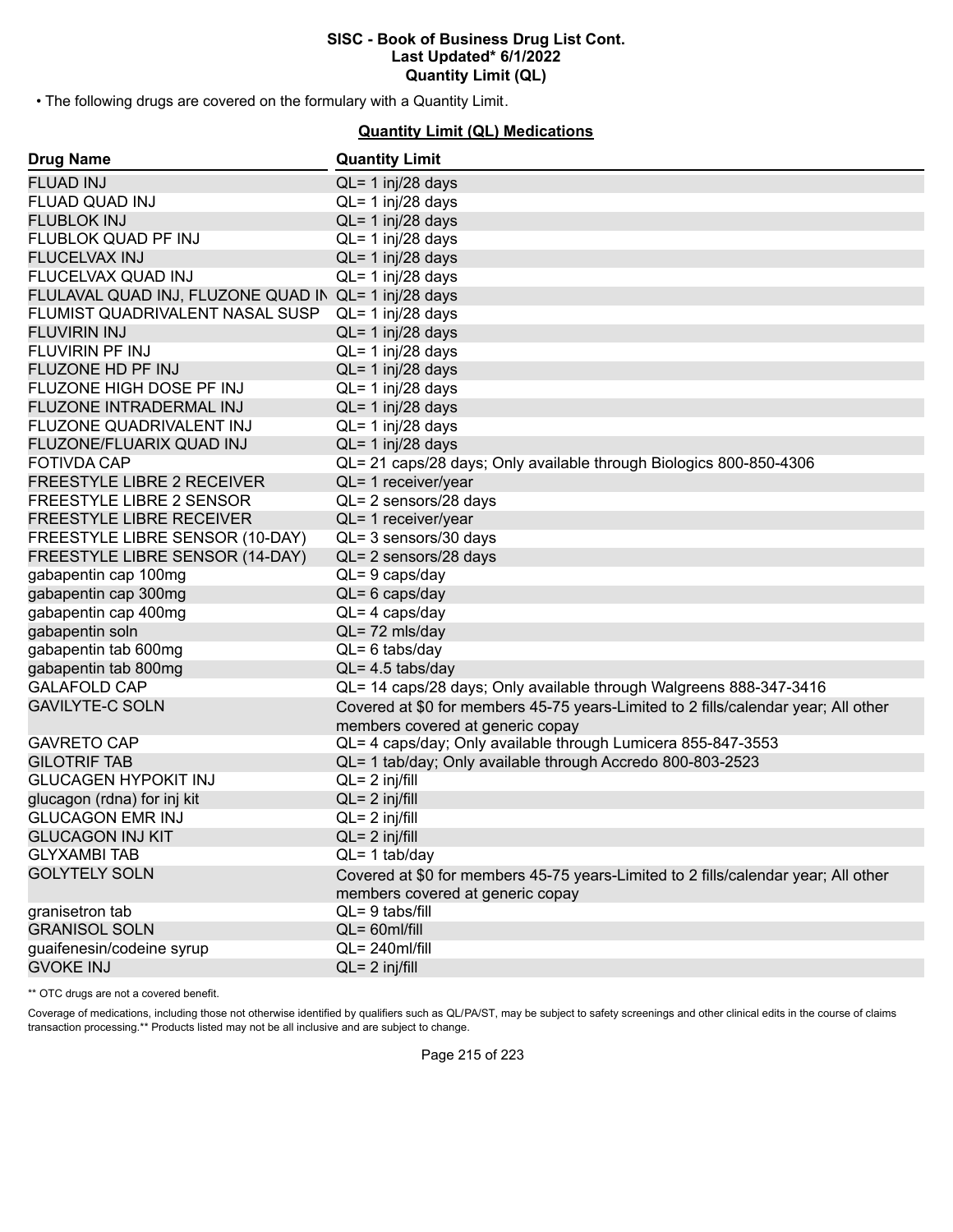• The following drugs are covered on the formulary with a Quantity Limit.

# **Quantity Limit (QL) Medications**

| <b>Drug Name</b>                                     | <b>Quantity Limit</b>                                                              |
|------------------------------------------------------|------------------------------------------------------------------------------------|
| <b>FLUAD INJ</b>                                     | $QL = 1$ inj/28 days                                                               |
| <b>FLUAD QUAD INJ</b>                                | QL= 1 inj/28 days                                                                  |
| <b>FLUBLOK INJ</b>                                   | $QL = 1$ inj/28 days                                                               |
| FLUBLOK QUAD PF INJ                                  | QL= 1 inj/28 days                                                                  |
| <b>FLUCELVAX INJ</b>                                 | $QL = 1$ inj/28 days                                                               |
| FLUCELVAX QUAD INJ                                   | QL= 1 inj/28 days                                                                  |
| FLULAVAL QUAD INJ, FLUZONE QUAD IN QL= 1 inj/28 days |                                                                                    |
| FLUMIST QUADRIVALENT NASAL SUSP                      | QL= 1 inj/28 days                                                                  |
| <b>FLUVIRIN INJ</b>                                  | $QL = 1$ inj/28 days                                                               |
| FLUVIRIN PF INJ                                      | $QL = 1$ inj/28 days                                                               |
| FLUZONE HD PF INJ                                    | $QL = 1$ inj/28 days                                                               |
| FLUZONE HIGH DOSE PF INJ                             | QL= 1 inj/28 days                                                                  |
| FLUZONE INTRADERMAL INJ                              | $QL = 1$ inj/28 days                                                               |
| FLUZONE QUADRIVALENT INJ                             | QL= 1 inj/28 days                                                                  |
| FLUZONE/FLUARIX QUAD INJ                             | QL= 1 inj/28 days                                                                  |
| <b>FOTIVDA CAP</b>                                   | QL= 21 caps/28 days; Only available through Biologics 800-850-4306                 |
| FREESTYLE LIBRE 2 RECEIVER                           | QL= 1 receiver/year                                                                |
| FREESTYLE LIBRE 2 SENSOR                             | QL= 2 sensors/28 days                                                              |
| <b>FREESTYLE LIBRE RECEIVER</b>                      | QL= 1 receiver/year                                                                |
| FREESTYLE LIBRE SENSOR (10-DAY)                      | QL= 3 sensors/30 days                                                              |
| FREESTYLE LIBRE SENSOR (14-DAY)                      | QL= 2 sensors/28 days                                                              |
| gabapentin cap 100mg                                 | $QL = 9$ caps/day                                                                  |
| gabapentin cap 300mg                                 | $QL = 6$ caps/day                                                                  |
| gabapentin cap 400mg                                 | $QL = 4 \text{ caps/day}$                                                          |
| gabapentin soln                                      | QL=72 mls/day                                                                      |
| gabapentin tab 600mg                                 | $QL = 6$ tabs/day                                                                  |
| gabapentin tab 800mg                                 | $QL = 4.5$ tabs/day                                                                |
| <b>GALAFOLD CAP</b>                                  | QL= 14 caps/28 days; Only available through Walgreens 888-347-3416                 |
| <b>GAVILYTE-C SOLN</b>                               | Covered at \$0 for members 45-75 years-Limited to 2 fills/calendar year; All other |
|                                                      | members covered at generic copay                                                   |
| <b>GAVRETO CAP</b>                                   | QL= 4 caps/day; Only available through Lumicera 855-847-3553                       |
| <b>GILOTRIF TAB</b>                                  | QL= 1 tab/day; Only available through Accredo 800-803-2523                         |
| <b>GLUCAGEN HYPOKIT INJ</b>                          | $QL = 2$ inj/fill                                                                  |
| glucagon (rdna) for inj kit                          | $QL = 2$ inj/fill                                                                  |
| <b>GLUCAGON EMR INJ</b>                              | $QL = 2$ inj/fill                                                                  |
| <b>GLUCAGON INJ KIT</b>                              | $QL = 2$ inj/fill                                                                  |
| <b>GLYXAMBI TAB</b>                                  | $QL = 1$ tab/day                                                                   |
| <b>GOLYTELY SOLN</b>                                 | Covered at \$0 for members 45-75 years-Limited to 2 fills/calendar year; All other |
|                                                      | members covered at generic copay                                                   |
| granisetron tab                                      | $QL = 9$ tabs/fill                                                                 |
| <b>GRANISOL SOLN</b>                                 | $QL = 60$ ml/fill                                                                  |
| guaifenesin/codeine syrup                            | $QL = 240$ ml/fill                                                                 |
| <b>GVOKE INJ</b>                                     | $QL = 2$ inj/fill                                                                  |

\*\* OTC drugs are not a covered benefit.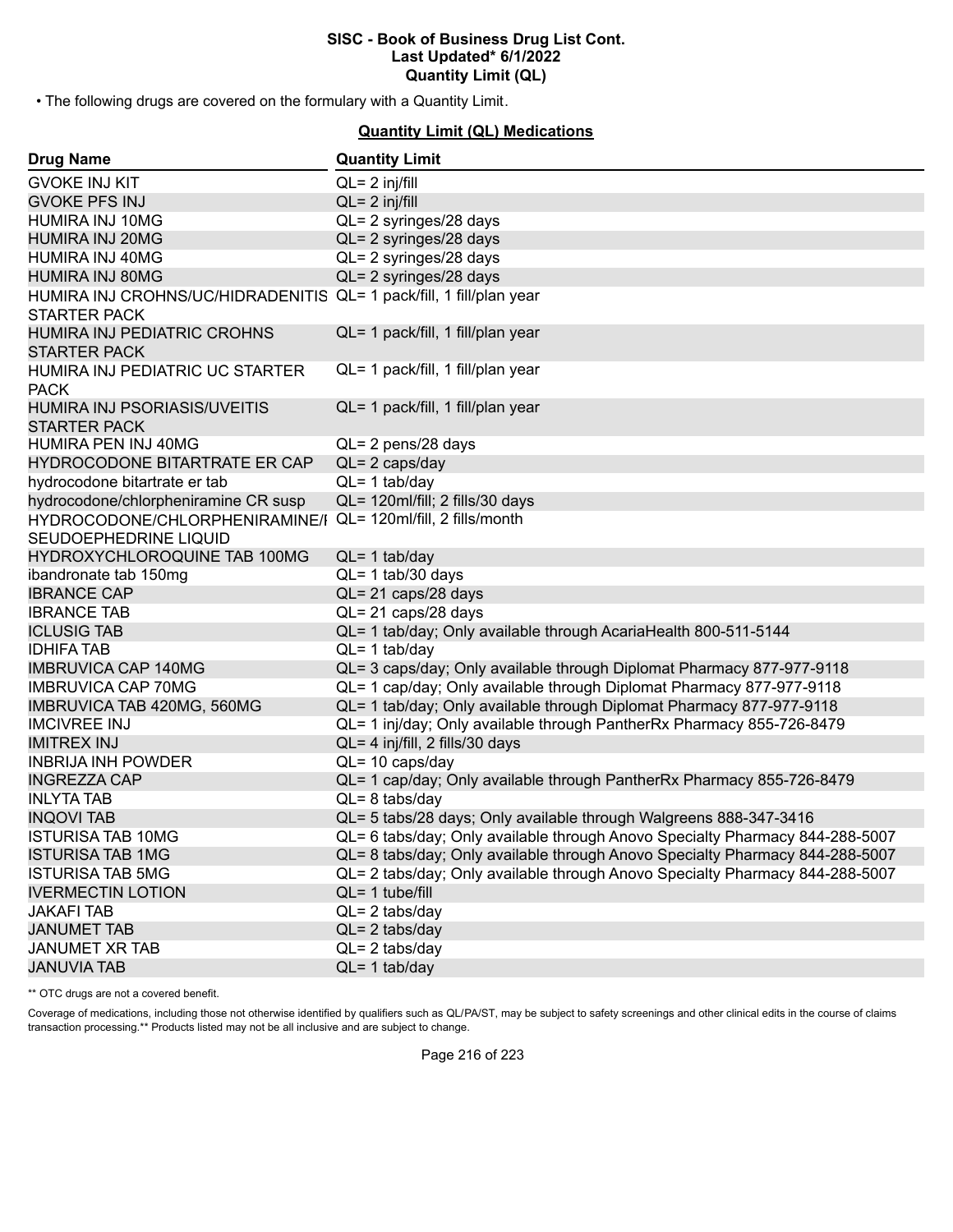• The following drugs are covered on the formulary with a Quantity Limit.

#### **Quantity Limit (QL) Medications**

| <b>Drug Name</b>                                                                           | <b>Quantity Limit</b>                                                        |
|--------------------------------------------------------------------------------------------|------------------------------------------------------------------------------|
| <b>GVOKE INJ KIT</b>                                                                       | $QL = 2$ inj/fill                                                            |
| <b>GVOKE PFS INJ</b>                                                                       | $QL = 2$ inj/fill                                                            |
| HUMIRA INJ 10MG                                                                            | QL= 2 syringes/28 days                                                       |
| <b>HUMIRA INJ 20MG</b>                                                                     | QL= 2 syringes/28 days                                                       |
| HUMIRA INJ 40MG                                                                            | QL= 2 syringes/28 days                                                       |
| <b>HUMIRA INJ 80MG</b>                                                                     | QL= 2 syringes/28 days                                                       |
| HUMIRA INJ CROHNS/UC/HIDRADENITIS QL= 1 pack/fill, 1 fill/plan year<br><b>STARTER PACK</b> |                                                                              |
| HUMIRA INJ PEDIATRIC CROHNS<br><b>STARTER PACK</b>                                         | QL= 1 pack/fill, 1 fill/plan year                                            |
| HUMIRA INJ PEDIATRIC UC STARTER<br><b>PACK</b>                                             | QL= 1 pack/fill, 1 fill/plan year                                            |
| HUMIRA INJ PSORIASIS/UVEITIS<br><b>STARTER PACK</b>                                        | QL= 1 pack/fill, 1 fill/plan year                                            |
| HUMIRA PEN INJ 40MG                                                                        | QL= 2 pens/28 days                                                           |
| HYDROCODONE BITARTRATE ER CAP                                                              | $QL = 2 \text{ caps/day}$                                                    |
| hydrocodone bitartrate er tab                                                              | $QL = 1$ tab/day                                                             |
| hydrocodone/chlorpheniramine CR susp                                                       | QL= 120ml/fill; 2 fills/30 days                                              |
| HYDROCODONE/CHLORPHENIRAMINE/I                                                             | QL= 120ml/fill, 2 fills/month                                                |
| SEUDOEPHEDRINE LIQUID                                                                      |                                                                              |
| HYDROXYCHLOROQUINE TAB 100MG                                                               | $QL = 1$ tab/day                                                             |
| ibandronate tab 150mg                                                                      | $QL = 1$ tab/30 days                                                         |
| <b>IBRANCE CAP</b>                                                                         | QL= 21 caps/28 days                                                          |
| <b>IBRANCE TAB</b>                                                                         | QL= 21 caps/28 days                                                          |
| <b>ICLUSIG TAB</b>                                                                         | QL= 1 tab/day; Only available through AcariaHealth 800-511-5144              |
| <b>IDHIFA TAB</b>                                                                          | $QL = 1$ tab/day                                                             |
| <b>IMBRUVICA CAP 140MG</b>                                                                 | QL= 3 caps/day; Only available through Diplomat Pharmacy 877-977-9118        |
| <b>IMBRUVICA CAP 70MG</b>                                                                  | QL= 1 cap/day; Only available through Diplomat Pharmacy 877-977-9118         |
| IMBRUVICA TAB 420MG, 560MG                                                                 | QL= 1 tab/day; Only available through Diplomat Pharmacy 877-977-9118         |
| <b>IMCIVREE INJ</b>                                                                        | QL= 1 inj/day; Only available through PantherRx Pharmacy 855-726-8479        |
| <b>IMITREX INJ</b>                                                                         | QL= 4 inj/fill, 2 fills/30 days                                              |
| <b>INBRIJA INH POWDER</b>                                                                  | $QL = 10 \text{ caps/day}$                                                   |
| <b>INGREZZA CAP</b>                                                                        | QL= 1 cap/day; Only available through PantherRx Pharmacy 855-726-8479        |
| <b>INLYTA TAB</b>                                                                          | $QL = 8$ tabs/day                                                            |
| <b>INQOVI TAB</b>                                                                          | QL= 5 tabs/28 days; Only available through Walgreens 888-347-3416            |
| <b>ISTURISA TAB 10MG</b>                                                                   | QL= 6 tabs/day; Only available through Anovo Specialty Pharmacy 844-288-5007 |
| <b>ISTURISA TAB 1MG</b>                                                                    | QL= 8 tabs/day; Only available through Anovo Specialty Pharmacy 844-288-5007 |
| <b>ISTURISA TAB 5MG</b>                                                                    | QL= 2 tabs/day; Only available through Anovo Specialty Pharmacy 844-288-5007 |
| <b>IVERMECTIN LOTION</b>                                                                   | $QL = 1$ tube/fill                                                           |
| <b>JAKAFI TAB</b>                                                                          | $QL = 2$ tabs/day                                                            |
| <b>JANUMET TAB</b>                                                                         | $QL = 2$ tabs/day                                                            |
| <b>JANUMET XR TAB</b>                                                                      | $QL = 2$ tabs/day                                                            |
| <b>JANUVIA TAB</b>                                                                         | $QL = 1$ tab/day                                                             |

\*\* OTC drugs are not a covered benefit.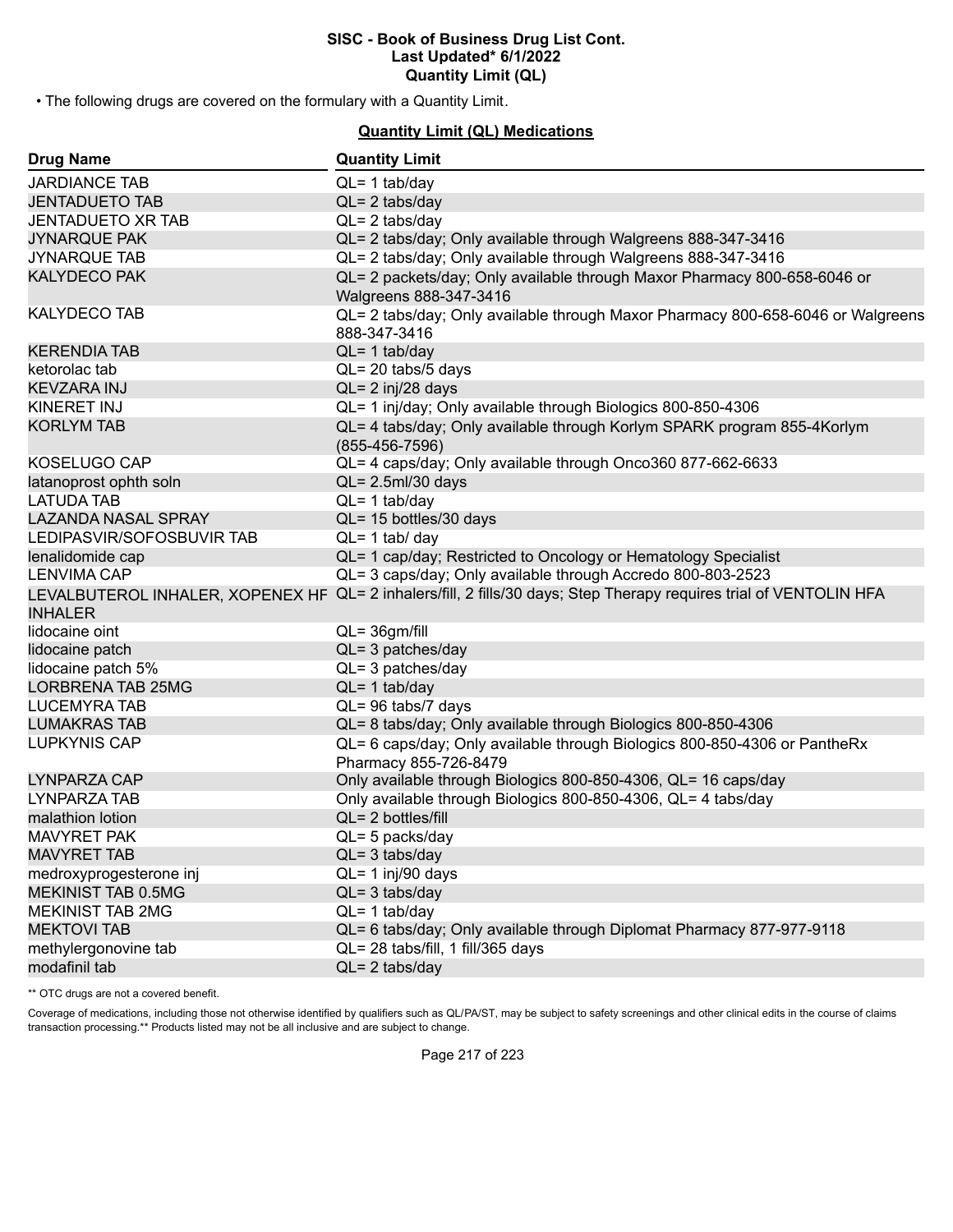• The following drugs are covered on the formulary with a Quantity Limit.

# **Quantity Limit (QL) Medications**

| <b>Drug Name</b>           | <b>Quantity Limit</b>                                                                                              |
|----------------------------|--------------------------------------------------------------------------------------------------------------------|
| <b>JARDIANCE TAB</b>       | $QL = 1$ tab/day                                                                                                   |
| <b>JENTADUETO TAB</b>      | $QL = 2$ tabs/day                                                                                                  |
| <b>JENTADUETO XR TAB</b>   | $QL = 2$ tabs/day                                                                                                  |
| <b>JYNARQUE PAK</b>        | QL= 2 tabs/day; Only available through Walgreens 888-347-3416                                                      |
| <b>JYNARQUE TAB</b>        | QL= 2 tabs/day; Only available through Walgreens 888-347-3416                                                      |
| <b>KALYDECO PAK</b>        | QL= 2 packets/day; Only available through Maxor Pharmacy 800-658-6046 or<br>Walgreens 888-347-3416                 |
| <b>KALYDECO TAB</b>        | QL= 2 tabs/day; Only available through Maxor Pharmacy 800-658-6046 or Walgreens<br>888-347-3416                    |
| <b>KERENDIA TAB</b>        | $QL = 1$ tab/day                                                                                                   |
| ketorolac tab              | QL= 20 tabs/5 days                                                                                                 |
| <b>KEVZARA INJ</b>         | $QL = 2$ inj/28 days                                                                                               |
| KINERET INJ                | QL= 1 inj/day; Only available through Biologics 800-850-4306                                                       |
| <b>KORLYM TAB</b>          | QL= 4 tabs/day; Only available through Korlym SPARK program 855-4Korlym<br>$(855-456-7596)$                        |
| KOSELUGO CAP               | QL= 4 caps/day; Only available through Onco360 877-662-6633                                                        |
| latanoprost ophth soln     | $QL = 2.5$ ml/30 days                                                                                              |
| <b>LATUDA TAB</b>          | $QL = 1$ tab/day                                                                                                   |
| <b>LAZANDA NASAL SPRAY</b> | QL= 15 bottles/30 days                                                                                             |
| LEDIPASVIR/SOFOSBUVIR TAB  | $QL = 1$ tab/ day                                                                                                  |
| lenalidomide cap           | QL= 1 cap/day; Restricted to Oncology or Hematology Specialist                                                     |
| <b>LENVIMA CAP</b>         | QL= 3 caps/day; Only available through Accredo 800-803-2523                                                        |
|                            | LEVALBUTEROL INHALER, XOPENEX HF QL= 2 inhalers/fill, 2 fills/30 days; Step Therapy requires trial of VENTOLIN HFA |
| <b>INHALER</b>             |                                                                                                                    |
| lidocaine oint             | $QL = 36gm/fill$                                                                                                   |
| lidocaine patch            | $QL = 3$ patches/day                                                                                               |
| lidocaine patch 5%         | $QL = 3$ patches/day                                                                                               |
| <b>LORBRENA TAB 25MG</b>   | $QL = 1$ tab/day                                                                                                   |
| LUCEMYRA TAB               | QL= 96 tabs/7 days                                                                                                 |
| <b>LUMAKRAS TAB</b>        | QL= 8 tabs/day; Only available through Biologics 800-850-4306                                                      |
| <b>LUPKYNIS CAP</b>        | QL= 6 caps/day; Only available through Biologics 800-850-4306 or PantheRx<br>Pharmacy 855-726-8479                 |
| LYNPARZA CAP               | Only available through Biologics 800-850-4306, QL= 16 caps/day                                                     |
| LYNPARZA TAB               | Only available through Biologics 800-850-4306, QL= 4 tabs/day                                                      |
| malathion lotion           | $QL = 2$ bottles/fill                                                                                              |
| <b>MAVYRET PAK</b>         | QL= 5 packs/day                                                                                                    |
| <b>MAVYRET TAB</b>         | $QL = 3$ tabs/day                                                                                                  |
| medroxyprogesterone inj    | QL= 1 inj/90 days                                                                                                  |
| <b>MEKINIST TAB 0.5MG</b>  | $QL = 3$ tabs/day                                                                                                  |
| <b>MEKINIST TAB 2MG</b>    | $QL = 1$ tab/day                                                                                                   |
| <b>MEKTOVI TAB</b>         | QL= 6 tabs/day; Only available through Diplomat Pharmacy 877-977-9118                                              |
| methylergonovine tab       | QL= 28 tabs/fill, 1 fill/365 days                                                                                  |
| modafinil tab              | $QL = 2$ tabs/day                                                                                                  |

\*\* OTC drugs are not a covered benefit.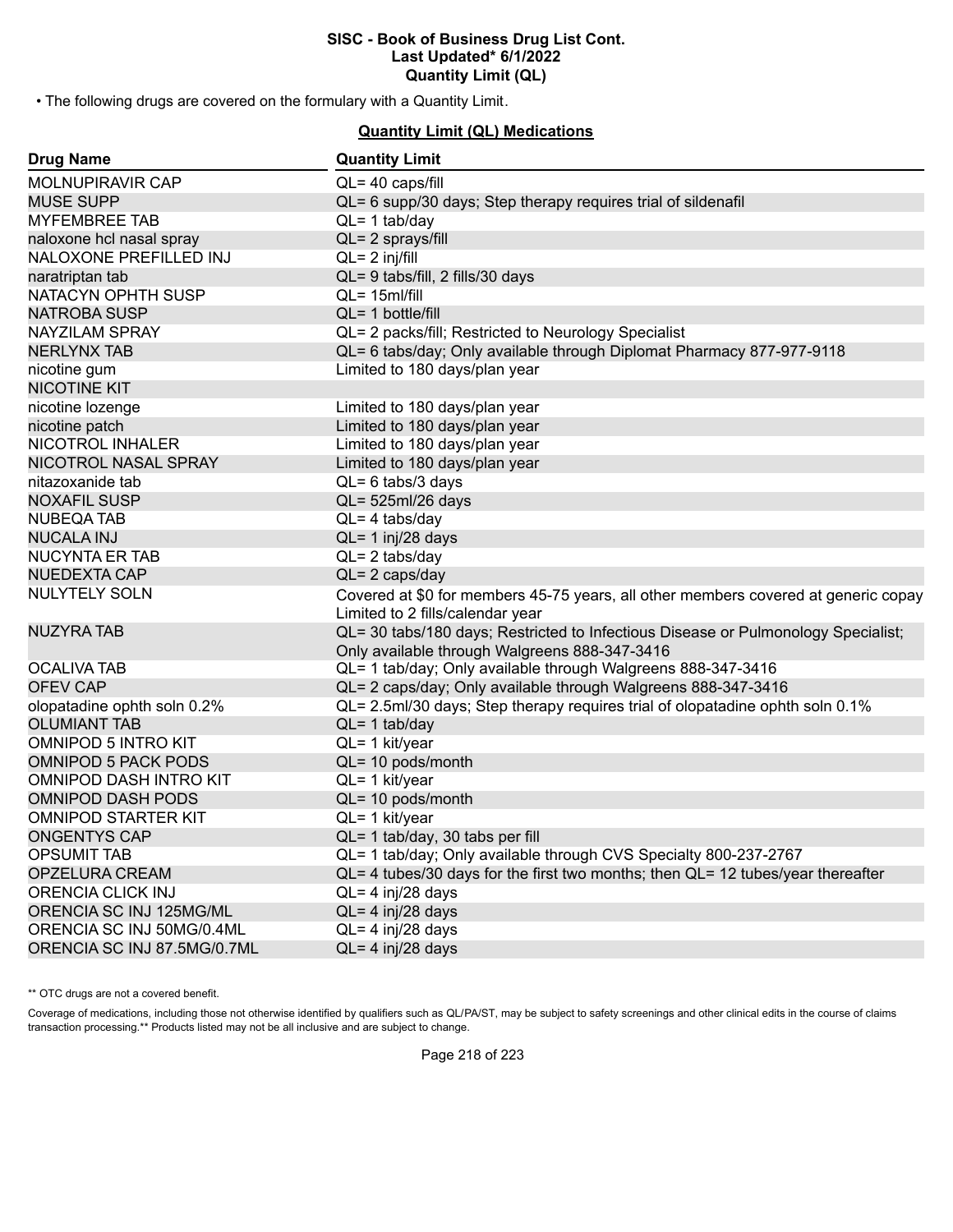• The following drugs are covered on the formulary with a Quantity Limit.

# **Quantity Limit (QL) Medications**

| <b>Drug Name</b>            | <b>Quantity Limit</b>                                                                                                              |
|-----------------------------|------------------------------------------------------------------------------------------------------------------------------------|
| MOLNUPIRAVIR CAP            | QL= 40 caps/fill                                                                                                                   |
| <b>MUSE SUPP</b>            | QL= 6 supp/30 days; Step therapy requires trial of sildenafil                                                                      |
| <b>MYFEMBREE TAB</b>        | $QL = 1$ tab/day                                                                                                                   |
| naloxone hcl nasal spray    | QL= 2 sprays/fill                                                                                                                  |
| NALOXONE PREFILLED INJ      | $QL = 2$ inj/fill                                                                                                                  |
| naratriptan tab             | QL= 9 tabs/fill, 2 fills/30 days                                                                                                   |
| NATACYN OPHTH SUSP          | QL= 15ml/fill                                                                                                                      |
| <b>NATROBA SUSP</b>         | QL= 1 bottle/fill                                                                                                                  |
| <b>NAYZILAM SPRAY</b>       | QL= 2 packs/fill; Restricted to Neurology Specialist                                                                               |
| NERLYNX TAB                 | QL= 6 tabs/day; Only available through Diplomat Pharmacy 877-977-9118                                                              |
| nicotine gum                | Limited to 180 days/plan year                                                                                                      |
| <b>NICOTINE KIT</b>         |                                                                                                                                    |
| nicotine lozenge            | Limited to 180 days/plan year                                                                                                      |
| nicotine patch              | Limited to 180 days/plan year                                                                                                      |
| NICOTROL INHALER            | Limited to 180 days/plan year                                                                                                      |
| NICOTROL NASAL SPRAY        | Limited to 180 days/plan year                                                                                                      |
| nitazoxanide tab            | $QL = 6$ tabs/3 days                                                                                                               |
| <b>NOXAFIL SUSP</b>         | QL= 525ml/26 days                                                                                                                  |
| NUBEQA TAB                  | $QL = 4$ tabs/day                                                                                                                  |
| <b>NUCALA INJ</b>           | $QL = 1$ inj/28 days                                                                                                               |
| NUCYNTA ER TAB              | $QL = 2$ tabs/day                                                                                                                  |
| <b>NUEDEXTA CAP</b>         | $QL = 2 \text{ caps/day}$                                                                                                          |
| NULYTELY SOLN               | Covered at \$0 for members 45-75 years, all other members covered at generic copay<br>Limited to 2 fills/calendar year             |
| NUZYRA TAB                  | QL= 30 tabs/180 days; Restricted to Infectious Disease or Pulmonology Specialist;<br>Only available through Walgreens 888-347-3416 |
| OCALIVA TAB                 | QL= 1 tab/day; Only available through Walgreens 888-347-3416                                                                       |
| <b>OFEV CAP</b>             | QL= 2 caps/day; Only available through Walgreens 888-347-3416                                                                      |
| olopatadine ophth soln 0.2% | QL= 2.5ml/30 days; Step therapy requires trial of olopatadine ophth soln 0.1%                                                      |
| <b>OLUMIANT TAB</b>         | $QL = 1$ tab/day                                                                                                                   |
| <b>OMNIPOD 5 INTRO KIT</b>  | QL= 1 kit/year                                                                                                                     |
| <b>OMNIPOD 5 PACK PODS</b>  | QL= 10 pods/month                                                                                                                  |
| OMNIPOD DASH INTRO KIT      | QL= 1 kit/year                                                                                                                     |
| <b>OMNIPOD DASH PODS</b>    | $QL = 10$ pods/month                                                                                                               |
| OMNIPOD STARTER KIT         | QL= 1 kit/year                                                                                                                     |
| ONGENTYS CAP                | QL= 1 tab/day, 30 tabs per fill                                                                                                    |
| <b>OPSUMIT TAB</b>          | QL= 1 tab/day; Only available through CVS Specialty 800-237-2767                                                                   |
| OPZELURA CREAM              | $QL = 4$ tubes/30 days for the first two months; then $QL = 12$ tubes/year thereafter                                              |
| <b>ORENCIA CLICK INJ</b>    | $QL = 4$ inj/28 days                                                                                                               |
| ORENCIA SC INJ 125MG/ML     | QL= 4 inj/28 days                                                                                                                  |
| ORENCIA SC INJ 50MG/0.4ML   | $QL = 4$ inj/28 days                                                                                                               |
| ORENCIA SC INJ 87.5MG/0.7ML | QL= 4 inj/28 days                                                                                                                  |

\*\* OTC drugs are not a covered benefit.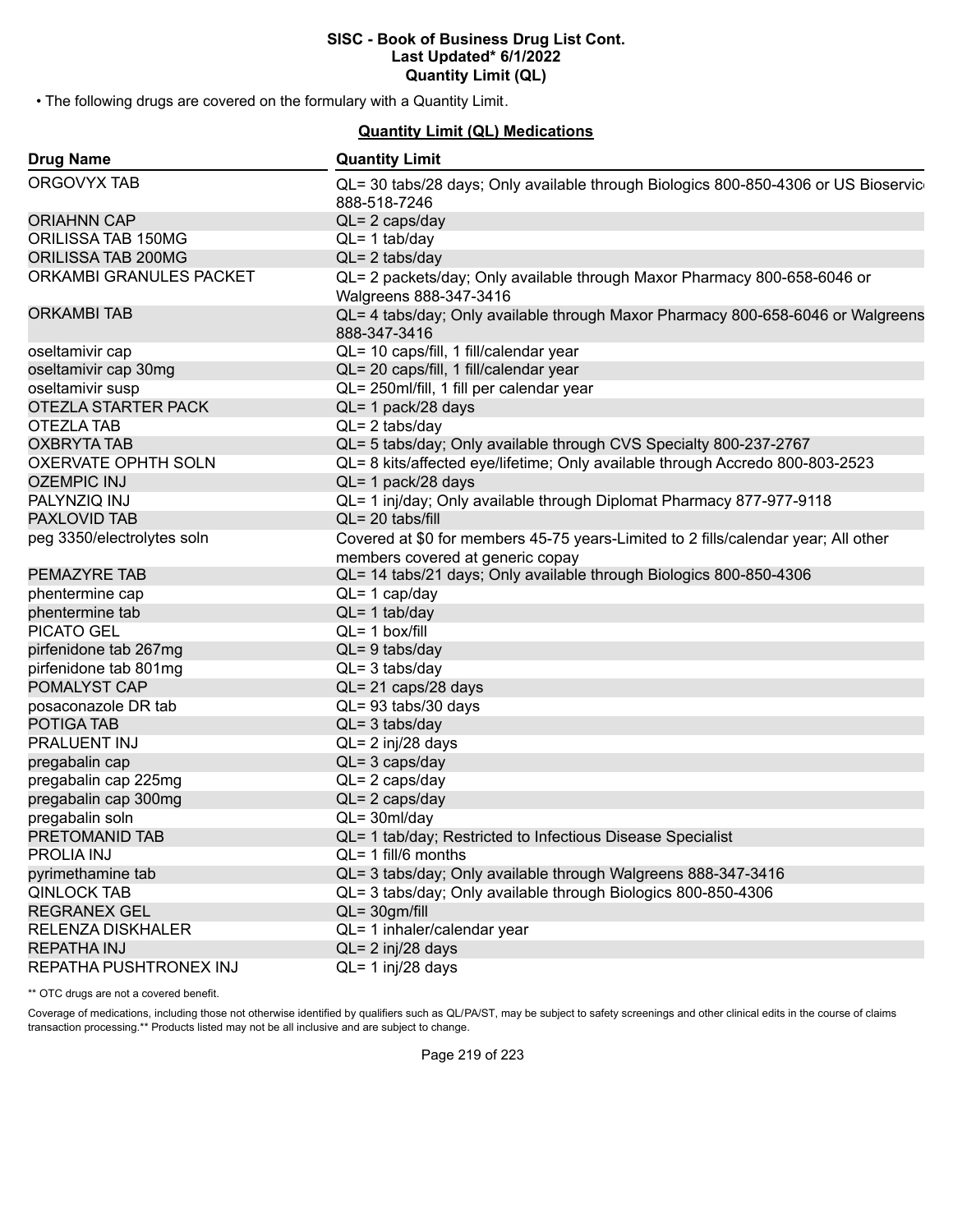• The following drugs are covered on the formulary with a Quantity Limit.

# **Quantity Limit (QL) Medications**

| <b>Drug Name</b>           | <b>Quantity Limit</b>                                                                                                  |
|----------------------------|------------------------------------------------------------------------------------------------------------------------|
| ORGOVYX TAB                | QL= 30 tabs/28 days; Only available through Biologics 800-850-4306 or US Bioservic<br>888-518-7246                     |
| <b>ORIAHNN CAP</b>         | $QL = 2 \text{ caps/day}$                                                                                              |
| ORILISSA TAB 150MG         | $QL = 1$ tab/day                                                                                                       |
| ORILISSA TAB 200MG         | $QL = 2$ tabs/day                                                                                                      |
| ORKAMBI GRANULES PACKET    | QL= 2 packets/day; Only available through Maxor Pharmacy 800-658-6046 or<br>Walgreens 888-347-3416                     |
| <b>ORKAMBI TAB</b>         | QL= 4 tabs/day; Only available through Maxor Pharmacy 800-658-6046 or Walgreens<br>888-347-3416                        |
| oseltamivir cap            | QL= 10 caps/fill, 1 fill/calendar year                                                                                 |
| oseltamivir cap 30mg       | QL= 20 caps/fill, 1 fill/calendar year                                                                                 |
| oseltamivir susp           | QL= 250ml/fill, 1 fill per calendar year                                                                               |
| OTEZLA STARTER PACK        | QL= 1 pack/28 days                                                                                                     |
| OTEZLA TAB                 | $QL = 2$ tabs/day                                                                                                      |
| <b>OXBRYTA TAB</b>         | QL= 5 tabs/day; Only available through CVS Specialty 800-237-2767                                                      |
| OXERVATE OPHTH SOLN        | QL= 8 kits/affected eye/lifetime; Only available through Accredo 800-803-2523                                          |
| <b>OZEMPIC INJ</b>         | $QL = 1$ pack/28 days                                                                                                  |
| PALYNZIQ INJ               | QL= 1 inj/day; Only available through Diplomat Pharmacy 877-977-9118                                                   |
| <b>PAXLOVID TAB</b>        | $QL = 20$ tabs/fill                                                                                                    |
| peg 3350/electrolytes soln | Covered at \$0 for members 45-75 years-Limited to 2 fills/calendar year; All other<br>members covered at generic copay |
| PEMAZYRE TAB               | QL= 14 tabs/21 days; Only available through Biologics 800-850-4306                                                     |
| phentermine cap            | $QL = 1$ cap/day                                                                                                       |
| phentermine tab            | $QL = 1$ tab/day                                                                                                       |
| <b>PICATO GEL</b>          | $QL = 1$ box/fill                                                                                                      |
| pirfenidone tab 267mg      | $QL = 9$ tabs/day                                                                                                      |
| pirfenidone tab 801mg      | $QL = 3$ tabs/day                                                                                                      |
| POMALYST CAP               | QL= 21 caps/28 days                                                                                                    |
| posaconazole DR tab        | QL= 93 tabs/30 days                                                                                                    |
| POTIGA TAB                 | $QL = 3$ tabs/day                                                                                                      |
| PRALUENT INJ               | QL= 2 inj/28 days                                                                                                      |
| pregabalin cap             | $QL = 3 \text{ caps/day}$                                                                                              |
| pregabalin cap 225mg       | $QL = 2 \text{ caps/day}$                                                                                              |
| pregabalin cap 300mg       | $QL = 2 \text{ caps/day}$                                                                                              |
| pregabalin soln            | $QL = 30ml/day$                                                                                                        |
| PRETOMANID TAB             | QL= 1 tab/day; Restricted to Infectious Disease Specialist                                                             |
| PROLIA INJ                 | QL= 1 fill/6 months                                                                                                    |
| pyrimethamine tab          | QL= 3 tabs/day; Only available through Walgreens 888-347-3416                                                          |
| <b>QINLOCK TAB</b>         | QL= 3 tabs/day; Only available through Biologics 800-850-4306                                                          |
| <b>REGRANEX GEL</b>        | $QL = 30gm/fill$                                                                                                       |
| <b>RELENZA DISKHALER</b>   | QL= 1 inhaler/calendar year                                                                                            |
| <b>REPATHA INJ</b>         | $QL = 2$ inj/28 days                                                                                                   |
| REPATHA PUSHTRONEX INJ     | $QL = 1$ inj/28 days                                                                                                   |

\*\* OTC drugs are not a covered benefit.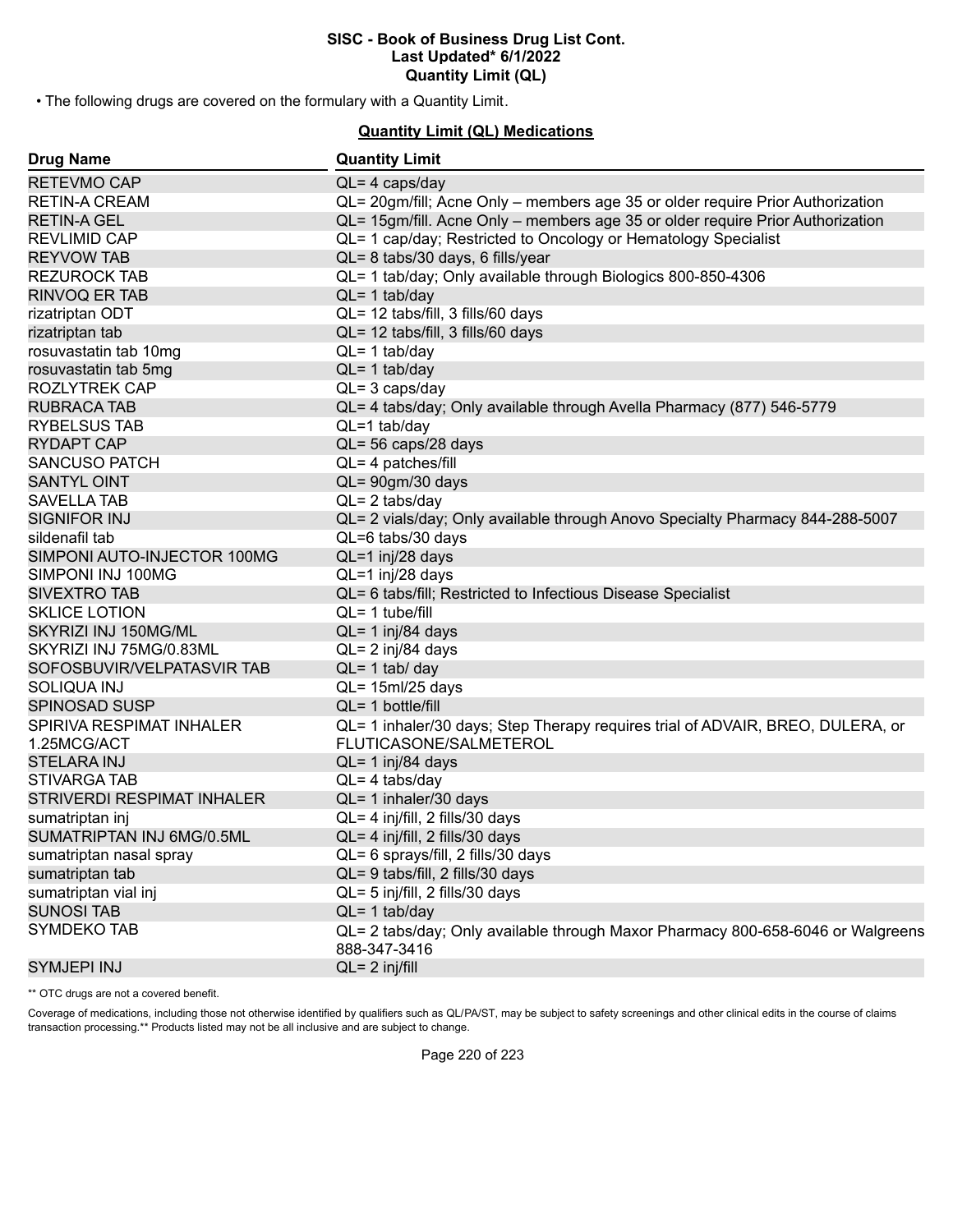• The following drugs are covered on the formulary with a Quantity Limit.

# **Quantity Limit (QL) Medications**

| <b>Drug Name</b>            | <b>Quantity Limit</b>                                                                           |
|-----------------------------|-------------------------------------------------------------------------------------------------|
| <b>RETEVMO CAP</b>          | $QL = 4 \text{ caps/day}$                                                                       |
| <b>RETIN-A CREAM</b>        | QL= 20gm/fill; Acne Only - members age 35 or older require Prior Authorization                  |
| <b>RETIN-A GEL</b>          | QL= 15gm/fill. Acne Only - members age 35 or older require Prior Authorization                  |
| <b>REVLIMID CAP</b>         | QL= 1 cap/day; Restricted to Oncology or Hematology Specialist                                  |
| <b>REYVOW TAB</b>           | QL= 8 tabs/30 days, 6 fills/year                                                                |
| <b>REZUROCK TAB</b>         | QL= 1 tab/day; Only available through Biologics 800-850-4306                                    |
| RINVOQ ER TAB               | $QL = 1$ tab/day                                                                                |
| rizatriptan ODT             | QL= 12 tabs/fill, 3 fills/60 days                                                               |
| rizatriptan tab             | QL= 12 tabs/fill, 3 fills/60 days                                                               |
| rosuvastatin tab 10mg       | $QL = 1$ tab/day                                                                                |
| rosuvastatin tab 5mg        | $QL = 1$ tab/day                                                                                |
| ROZLYTREK CAP               | $QL = 3 \text{ caps/day}$                                                                       |
| <b>RUBRACA TAB</b>          | QL= 4 tabs/day; Only available through Avella Pharmacy (877) 546-5779                           |
| <b>RYBELSUS TAB</b>         | QL=1 tab/day                                                                                    |
| <b>RYDAPT CAP</b>           | QL= 56 caps/28 days                                                                             |
| <b>SANCUSO PATCH</b>        | QL= 4 patches/fill                                                                              |
| <b>SANTYL OINT</b>          | QL= 90gm/30 days                                                                                |
| <b>SAVELLA TAB</b>          | $QL = 2$ tabs/day                                                                               |
| <b>SIGNIFOR INJ</b>         | QL= 2 vials/day; Only available through Anovo Specialty Pharmacy 844-288-5007                   |
| sildenafil tab              | QL=6 tabs/30 days                                                                               |
| SIMPONI AUTO-INJECTOR 100MG | QL=1 inj/28 days                                                                                |
| SIMPONI INJ 100MG           | QL=1 inj/28 days                                                                                |
| <b>SIVEXTRO TAB</b>         | QL= 6 tabs/fill; Restricted to Infectious Disease Specialist                                    |
| <b>SKLICE LOTION</b>        | $QL = 1$ tube/fill                                                                              |
| SKYRIZI INJ 150MG/ML        | $QL = 1$ inj/84 days                                                                            |
| SKYRIZI INJ 75MG/0.83ML     | QL= 2 inj/84 days                                                                               |
| SOFOSBUVIR/VELPATASVIR TAB  | $QL = 1$ tab/ day                                                                               |
| <b>SOLIQUA INJ</b>          | $QL = 15ml/25$ days                                                                             |
| <b>SPINOSAD SUSP</b>        | $QL = 1$ bottle/fill                                                                            |
| SPIRIVA RESPIMAT INHALER    | QL= 1 inhaler/30 days; Step Therapy requires trial of ADVAIR, BREO, DULERA, or                  |
| 1.25MCG/ACT                 | FLUTICASONE/SALMETEROL                                                                          |
| STELARA INJ                 | $QL = 1$ inj/84 days                                                                            |
| <b>STIVARGA TAB</b>         | $QL = 4$ tabs/day                                                                               |
| STRIVERDI RESPIMAT INHALER  | QL= 1 inhaler/30 days                                                                           |
| sumatriptan inj             | QL= 4 inj/fill, 2 fills/30 days                                                                 |
| SUMATRIPTAN INJ 6MG/0.5ML   | QL= 4 inj/fill, 2 fills/30 days                                                                 |
| sumatriptan nasal spray     | QL= 6 sprays/fill, 2 fills/30 days                                                              |
| sumatriptan tab             | QL= 9 tabs/fill, 2 fills/30 days                                                                |
| sumatriptan vial inj        | QL= 5 inj/fill, 2 fills/30 days                                                                 |
| <b>SUNOSI TAB</b>           | $QL = 1$ tab/day                                                                                |
| SYMDEKO TAB                 | QL= 2 tabs/day; Only available through Maxor Pharmacy 800-658-6046 or Walgreens<br>888-347-3416 |
| <b>SYMJEPI INJ</b>          | $QL = 2$ inj/fill                                                                               |

\*\* OTC drugs are not a covered benefit.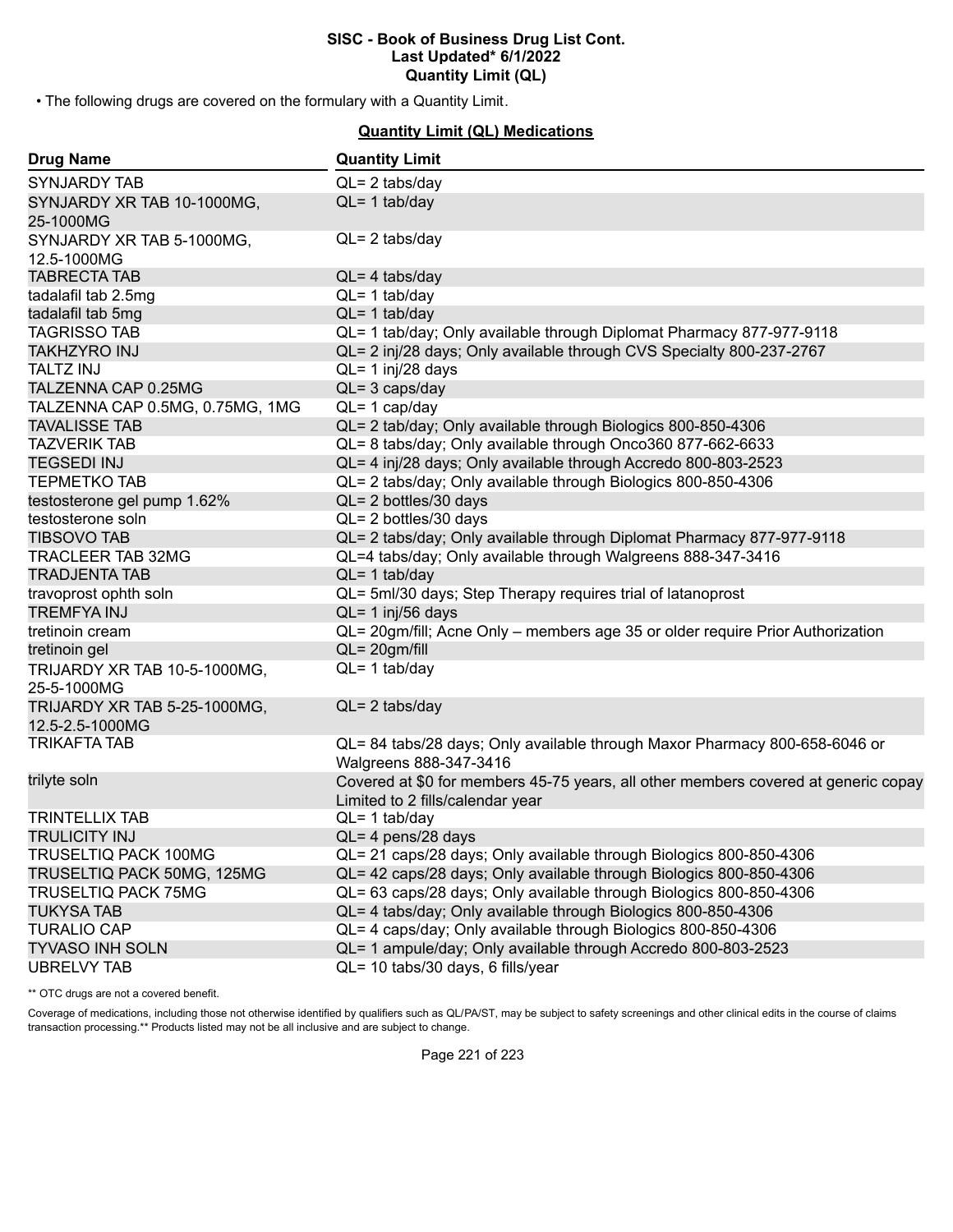• The following drugs are covered on the formulary with a Quantity Limit.

# **Quantity Limit (QL) Medications**

| <b>Drug Name</b>                                | <b>Quantity Limit</b>                                                                                                  |
|-------------------------------------------------|------------------------------------------------------------------------------------------------------------------------|
| <b>SYNJARDY TAB</b>                             | $QL = 2$ tabs/day                                                                                                      |
| SYNJARDY XR TAB 10-1000MG,<br>25-1000MG         | $QL = 1$ tab/day                                                                                                       |
| SYNJARDY XR TAB 5-1000MG,                       | $QL = 2$ tabs/day                                                                                                      |
| 12.5-1000MG                                     |                                                                                                                        |
| <b>TABRECTA TAB</b>                             | $QL = 4$ tabs/day                                                                                                      |
| tadalafil tab 2.5mg                             | $QL = 1$ tab/day                                                                                                       |
| tadalafil tab 5mg                               | $QL = 1$ tab/day                                                                                                       |
| <b>TAGRISSO TAB</b>                             | QL= 1 tab/day; Only available through Diplomat Pharmacy 877-977-9118                                                   |
| <b>TAKHZYRO INJ</b>                             | QL= 2 inj/28 days; Only available through CVS Specialty 800-237-2767                                                   |
| <b>TALTZ INJ</b>                                | $QL = 1$ inj/28 days                                                                                                   |
| TALZENNA CAP 0.25MG                             | $QL = 3 \text{ caps/day}$                                                                                              |
| TALZENNA CAP 0.5MG, 0.75MG, 1MG                 | $QL = 1$ cap/day                                                                                                       |
| <b>TAVALISSE TAB</b>                            | QL= 2 tab/day; Only available through Biologics 800-850-4306                                                           |
| <b>TAZVERIK TAB</b>                             | QL= 8 tabs/day; Only available through Onco360 877-662-6633                                                            |
| <b>TEGSEDI INJ</b>                              | QL= 4 inj/28 days; Only available through Accredo 800-803-2523                                                         |
| <b>TEPMETKO TAB</b>                             | QL= 2 tabs/day; Only available through Biologics 800-850-4306                                                          |
| testosterone gel pump 1.62%                     | $QL = 2$ bottles/30 days                                                                                               |
| testosterone soln                               | QL= 2 bottles/30 days                                                                                                  |
| <b>TIBSOVO TAB</b>                              | QL= 2 tabs/day; Only available through Diplomat Pharmacy 877-977-9118                                                  |
| <b>TRACLEER TAB 32MG</b>                        | QL=4 tabs/day; Only available through Walgreens 888-347-3416                                                           |
| <b>TRADJENTA TAB</b>                            | $QL = 1$ tab/day                                                                                                       |
| travoprost ophth soln                           | QL= 5ml/30 days; Step Therapy requires trial of latanoprost                                                            |
| <b>TREMFYAINJ</b>                               | $QL = 1$ inj/56 days                                                                                                   |
| tretinoin cream                                 | QL= 20gm/fill; Acne Only - members age 35 or older require Prior Authorization                                         |
| tretinoin gel                                   | $QL = 20gm/fill$                                                                                                       |
| TRIJARDY XR TAB 10-5-1000MG,<br>25-5-1000MG     | $QL = 1$ tab/day                                                                                                       |
| TRIJARDY XR TAB 5-25-1000MG,<br>12.5-2.5-1000MG | $QL = 2$ tabs/day                                                                                                      |
| <b>TRIKAFTA TAB</b>                             | QL= 84 tabs/28 days; Only available through Maxor Pharmacy 800-658-6046 or<br>Walgreens 888-347-3416                   |
| trilyte soln                                    | Covered at \$0 for members 45-75 years, all other members covered at generic copay<br>Limited to 2 fills/calendar year |
| <b>TRINTELLIX TAB</b>                           | $QL = 1$ tab/day                                                                                                       |
| <b>TRULICITY INJ</b>                            | QL= 4 pens/28 days                                                                                                     |
| <b>TRUSELTIQ PACK 100MG</b>                     | QL= 21 caps/28 days; Only available through Biologics 800-850-4306                                                     |
| TRUSELTIQ PACK 50MG, 125MG                      | QL= 42 caps/28 days; Only available through Biologics 800-850-4306                                                     |
| <b>TRUSELTIQ PACK 75MG</b>                      | QL= 63 caps/28 days; Only available through Biologics 800-850-4306                                                     |
| <b>TUKYSA TAB</b>                               | QL= 4 tabs/day; Only available through Biologics 800-850-4306                                                          |
| <b>TURALIO CAP</b>                              | QL= 4 caps/day; Only available through Biologics 800-850-4306                                                          |
| <b>TYVASO INH SOLN</b>                          | QL= 1 ampule/day; Only available through Accredo 800-803-2523                                                          |
| <b>UBRELVY TAB</b>                              | QL= 10 tabs/30 days, 6 fills/year                                                                                      |

\*\* OTC drugs are not a covered benefit.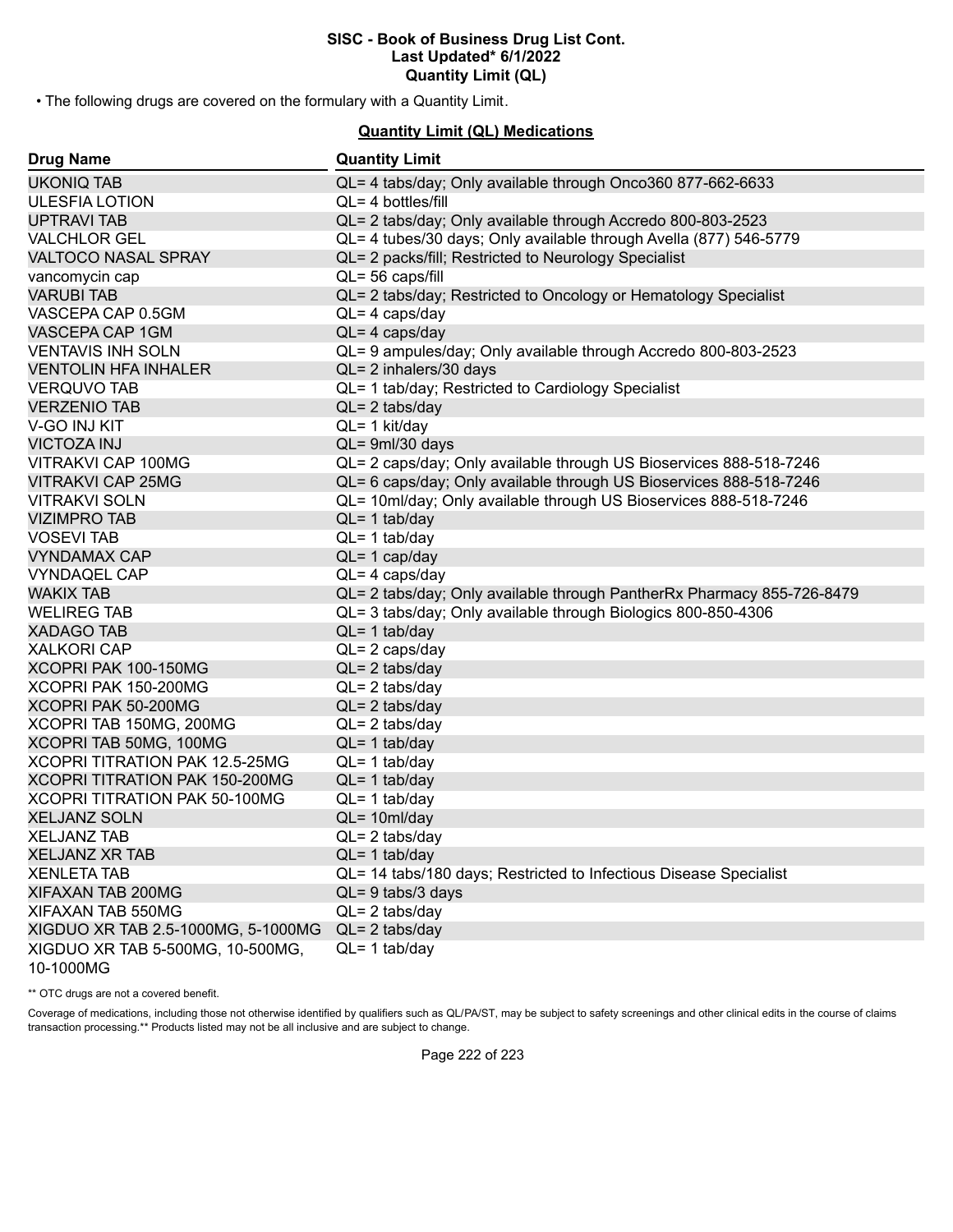• The following drugs are covered on the formulary with a Quantity Limit.

# **Quantity Limit (QL) Medications**

| <b>Drug Name</b>                              | <b>Quantity Limit</b>                                                  |
|-----------------------------------------------|------------------------------------------------------------------------|
| <b>UKONIQ TAB</b>                             | QL= 4 tabs/day; Only available through Onco360 877-662-6633            |
| <b>ULESFIA LOTION</b>                         | $QL = 4$ bottles/fill                                                  |
| <b>UPTRAVI TAB</b>                            | QL= 2 tabs/day; Only available through Accredo 800-803-2523            |
| <b>VALCHLOR GEL</b>                           | QL= 4 tubes/30 days; Only available through Avella (877) 546-5779      |
| <b>VALTOCO NASAL SPRAY</b>                    | QL= 2 packs/fill; Restricted to Neurology Specialist                   |
| vancomycin cap                                | QL= 56 caps/fill                                                       |
| <b>VARUBI TAB</b>                             | QL= 2 tabs/day; Restricted to Oncology or Hematology Specialist        |
| VASCEPA CAP 0.5GM                             | $QL = 4 \text{ caps/day}$                                              |
| VASCEPA CAP 1GM                               | $QL = 4 \text{ caps/day}$                                              |
| <b>VENTAVIS INH SOLN</b>                      | QL= 9 ampules/day; Only available through Accredo 800-803-2523         |
| <b>VENTOLIN HFA INHALER</b>                   | QL= 2 inhalers/30 days                                                 |
| <b>VERQUVO TAB</b>                            | QL= 1 tab/day; Restricted to Cardiology Specialist                     |
| <b>VERZENIO TAB</b>                           | $QL = 2$ tabs/day                                                      |
| V-GO INJ KIT                                  | $QL = 1$ kit/day                                                       |
| <b>VICTOZA INJ</b>                            | QL= 9ml/30 days                                                        |
| VITRAKVI CAP 100MG                            | QL= 2 caps/day; Only available through US Bioservices 888-518-7246     |
| <b>VITRAKVI CAP 25MG</b>                      | QL= 6 caps/day; Only available through US Bioservices 888-518-7246     |
| <b>VITRAKVI SOLN</b>                          | QL= 10ml/day; Only available through US Bioservices 888-518-7246       |
| <b>VIZIMPRO TAB</b>                           | $QL = 1$ tab/day                                                       |
| <b>VOSEVI TAB</b>                             | $QL = 1$ tab/day                                                       |
| <b>VYNDAMAX CAP</b>                           | $QL = 1$ cap/day                                                       |
| <b>VYNDAQEL CAP</b>                           | $QL = 4 \text{ caps/day}$                                              |
| <b>WAKIX TAB</b>                              | QL= 2 tabs/day; Only available through PantherRx Pharmacy 855-726-8479 |
| <b>WELIREG TAB</b>                            | QL= 3 tabs/day; Only available through Biologics 800-850-4306          |
| <b>XADAGO TAB</b>                             | $QL = 1$ tab/day                                                       |
| <b>XALKORI CAP</b>                            | $QL = 2 \text{ caps/day}$                                              |
| XCOPRI PAK 100-150MG                          | $QL = 2$ tabs/day                                                      |
| XCOPRI PAK 150-200MG                          | $QL = 2$ tabs/day                                                      |
| XCOPRI PAK 50-200MG                           | $QL = 2$ tabs/day                                                      |
| XCOPRI TAB 150MG, 200MG                       | $QL = 2$ tabs/day                                                      |
| XCOPRI TAB 50MG, 100MG                        | $QL = 1$ tab/day                                                       |
| XCOPRI TITRATION PAK 12.5-25MG                | $QL = 1$ tab/day                                                       |
| XCOPRI TITRATION PAK 150-200MG                | $QL = 1$ tab/day                                                       |
| XCOPRI TITRATION PAK 50-100MG                 | $QL = 1$ tab/day                                                       |
| <b>XELJANZ SOLN</b>                           | $QL = 10ml/day$                                                        |
| <b>XELJANZ TAB</b>                            | $QL = 2$ tabs/day                                                      |
| <b>XELJANZ XR TAB</b>                         | $QL = 1$ tab/day                                                       |
| <b>XENLETA TAB</b>                            | QL= 14 tabs/180 days; Restricted to Infectious Disease Specialist      |
| XIFAXAN TAB 200MG                             | $QL = 9$ tabs/3 days                                                   |
| XIFAXAN TAB 550MG                             | $QL = 2$ tabs/day                                                      |
| XIGDUO XR TAB 2.5-1000MG, 5-1000MG            | $QL = 2$ tabs/day                                                      |
| XIGDUO XR TAB 5-500MG, 10-500MG,<br>10-1000MG | $QL = 1$ tab/day                                                       |

\*\* OTC drugs are not a covered benefit.